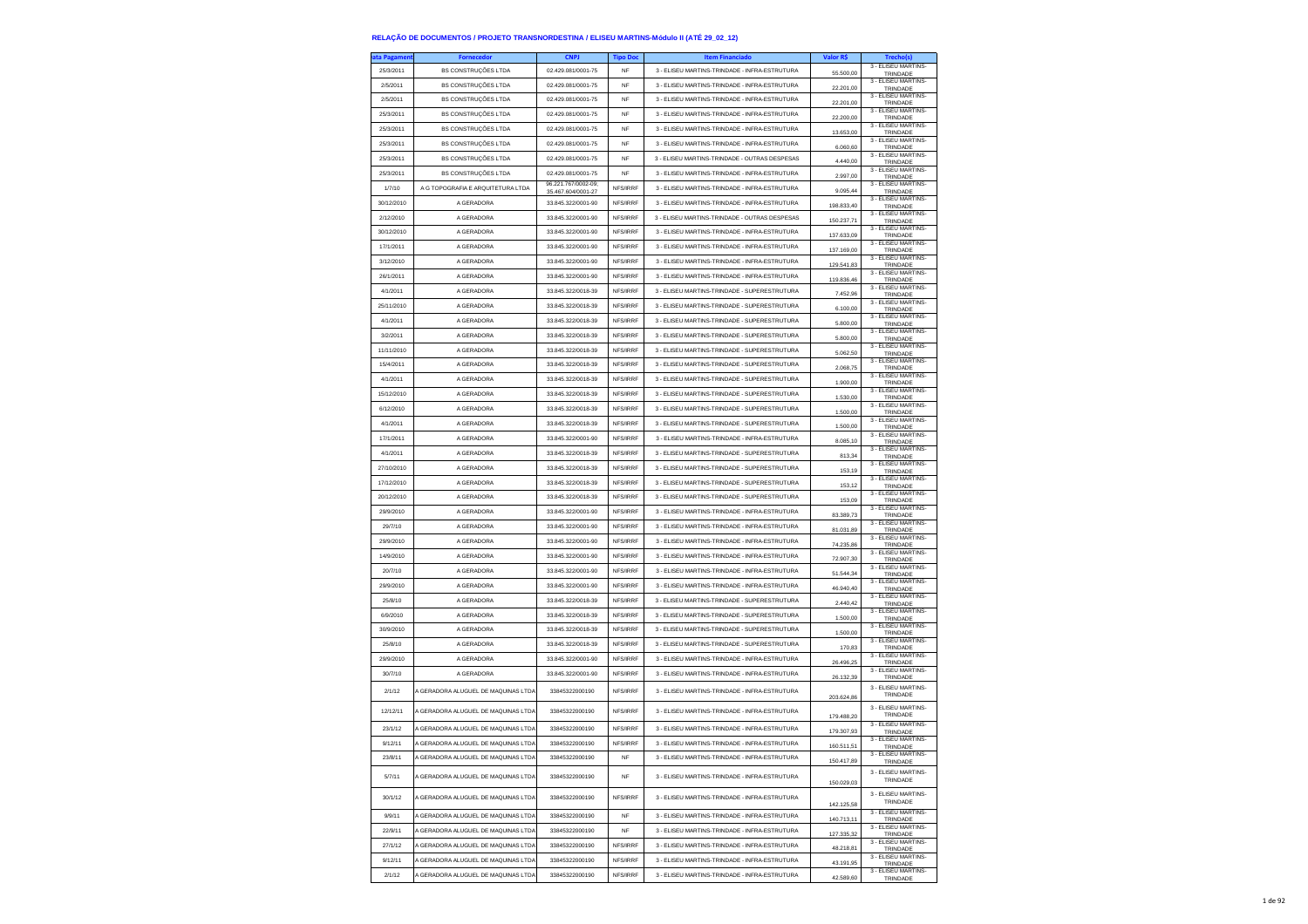| <b>ita Pagamen</b>   | <b>Fornecedor</b>                   | <b>CNPJ</b>                              | <b>Tipo Doc</b> | <b>Item Financiado</b>                                                                         | Valor R\$                | <b>Trechols</b>                       |
|----------------------|-------------------------------------|------------------------------------------|-----------------|------------------------------------------------------------------------------------------------|--------------------------|---------------------------------------|
| 25/3/2011            | <b>BS CONSTRUÇÕES LTDA</b>          | 02.429.081/0001-75                       | NF              | 3 - ELISEU MARTINS-TRINDADE - INFRA-ESTRUTURA                                                  | 55.500,00                | 3 - ELISEU MARTINS<br>TRINDADE        |
| 2/5/2011             | <b>BS CONSTRUÇÕES LTDA</b>          | 02.429.081/0001-75                       | NF              | 3 - ELISEU MARTINS-TRINDADE - INFRA-ESTRUTURA                                                  | 22.201,00                | 3 - ELISEU MARTINS-<br>TRINDADE       |
| 2/5/2011             | BS CONSTRUÇÕES LTDA                 | 02.429.081/0001-75                       | <b>NF</b>       | 3 - ELISEU MARTINS-TRINDADE - INFRA-ESTRUTURA                                                  | 22.201.00                | 3 - ELISEU MARTINS<br>TRINDADE        |
| 25/3/2011            | <b>BS CONSTRUÇÕES LTDA</b>          | 02.429.081/0001-75                       | <b>NF</b>       | 3 - ELISEU MARTINS-TRINDADE - INFRA-ESTRUTURA                                                  | 22.200,00                | 3 - ELISEU MARTINS-<br>TRINDADE       |
| 25/3/2011            | <b>BS CONSTRUÇÕES LTDA</b>          | 02.429.081/0001-75                       | NF              | 3 - ELISEU MARTINS-TRINDADE - INFRA-ESTRUTURA                                                  | 13.653,00                | 3 - ELISEU MARTINS-                   |
| 25/3/2011            | BS CONSTRUÇÕES LTDA                 | 02.429.081/0001-75                       | <b>NF</b>       | 3 - ELISEU MARTINS-TRINDADE - INFRA-ESTRUTURA                                                  | 6.060.60                 | TRINDADE<br>3 - ELISEU MARTINS-       |
| 25/3/2011            | BS CONSTRUÇÕES LTDA                 | 02.429.081/0001-75                       | <b>NF</b>       | 3 - ELISEU MARTINS-TRINDADE - OUTRAS DESPESAS                                                  |                          | TRINDADE<br>3 - ELISEU MARTINS-       |
| 25/3/2011            | <b>BS CONSTRUÇÕES LTDA</b>          | 02.429.081/0001-75                       | NF              | 3 - ELISEU MARTINS-TRINDADE - INFRA-ESTRUTURA                                                  | 4.440,00                 | TRINDADE<br>3 - ELISEU MARTINS-       |
|                      |                                     | 96.221.767/0002-09:                      | NFS/IRRF        |                                                                                                | 2.997,00                 | TRINDADE<br>3 - ELISEU MARTINS        |
| 1/7/10<br>30/12/2010 | A G TOPOGRAFIA E ARQUITETURA LTDA   | 35.467.604/0001-27<br>33 845 322/0001-90 |                 | 3 - ELISEU MARTINS-TRINDADE - INFRA-ESTRUTURA<br>3 - FLISELLMARTINS-TRINDADE - INFRA-ESTRUTURA | 9.095.44                 | TRINDADE<br>3 - ELISEU MARTINS-       |
|                      | A GERADORA                          |                                          | NES/IRRE        |                                                                                                | 198.833,40               | TRINDADE<br>3 - ELISEU MARTINS-       |
| 2/12/2010            | A GERADORA                          | 33.845.322/0001-90                       | NFS/IRRF        | 3 - ELISEU MARTINS-TRINDADE - OUTRAS DESPESAS                                                  | 150.237,71               | TRINDADE<br>3 - ELISEU MARTINS        |
| 30/12/2010           | A GERADORA                          | 33.845.322/0001-90                       | NFS/IRRF        | 3 - ELISEU MARTINS-TRINDADE - INFRA-ESTRUTURA                                                  | 137.633,09               | TRINDADE<br>3 - ELISEU MARTINS-       |
| 17/1/2011            | A GERADORA                          | 33 845 322/0001-90                       | NFS/IRRF        | 3 - FLISELLMARTINS-TRINDADE - INFRA-ESTRUTURA                                                  | 137.169,00               | TRINDADE<br>3 - ELISEU MARTINS-       |
| 3/12/2010            | A GERADORA                          | 33.845.322/0001-90                       | NFS/IRRF        | 3 - ELISEU MARTINS-TRINDADE - INFRA-ESTRUTURA                                                  | 129,541.83               | TRINDADE<br>3 - FLISEU MARTINS        |
| 26/1/2011            | A GERADORA                          | 33.845.322/0001-90                       | NFS/IRRF        | 3 - ELISEU MARTINS-TRINDADE - INFRA-ESTRUTURA                                                  | 119,836.46               | TRINDADE                              |
| 4/1/2011             | A GERADORA                          | 33.845.322/0018-39                       | NFS/IRRF        | 3 - ELISEU MARTINS-TRINDADE - SUPERESTRUTURA                                                   | 7.452,96                 | 3 - ELISEU MARTINS<br>TRINDADE        |
| 25/11/2010           | A GERADORA                          | 33.845.322/0018-39                       | NFS/IRRF        | 3 - ELISEU MARTINS-TRINDADE - SUPERESTRUTURA                                                   | 6.100,00                 | 3 - ELISEU MARTINS-<br>TRINDADE       |
| 4/1/2011             | A GERADORA                          | 33.845.322/0018-39                       | NFS/IRRF        | 3 - ELISEU MARTINS-TRINDADE - SUPERESTRUTURA                                                   | 5.800,00                 | 3 - ELISEU MARTINS<br>TRINDADE        |
| 3/2/2011             | A GERADORA                          | 33.845.322/0018-39                       | NFS/IRRF        | 3 - ELISEU MARTINS-TRINDADE - SUPERESTRUTURA                                                   | 5.800,00                 | 3 - ELISEU MARTINS<br>TRINDADE        |
| 11/11/2010           | A GERADORA                          | 33.845.322/0018-39                       | NFS/IRRF        | 3 - ELISEU MARTINS-TRINDADE - SUPERESTRUTURA                                                   | 5.062,50                 | 3 - ELISEU MARTINS-<br>TRINDADE       |
| 15/4/2011            | A GERADORA                          | 33.845.322/0018-39                       | NFS/IRRF        | 3 - ELISEU MARTINS-TRINDADE - SUPERESTRUTURA                                                   | 2.068,75                 | 3 - ELISEU MARTINS-<br>TRINDADE       |
| 4/1/2011             | A GERADORA                          | 33.845.322/0018-39                       | NFS/IRRF        | 3 - ELISEU MARTINS-TRINDADE - SUPERESTRUTURA                                                   | 1.900,00                 | 3 - FLISEU MARTINS-<br>TRINDADE       |
| 15/12/2010           | A GERADORA                          | 33.845.322/0018-39                       | NES/IRRE        | 3 - ELISEU MARTINS-TRINDADE - SUPERESTRUTURA                                                   | 1.530,00                 | 3 - ELISEU MARTINS-<br>TRINDADE       |
| 6/12/2010            | A GERADORA                          | 33.845.322/0018-39                       | NFS/IRRF        | 3 - ELISEU MARTINS-TRINDADE - SUPERESTRUTURA                                                   | 1.500,00                 | 3 - ELISEU MARTINS<br>TRINDADE        |
| 4/1/2011             | A GERADORA                          | 33.845.322/0018-39                       | NFS/IRRF        | 3 - ELISEU MARTINS-TRINDADE - SUPERESTRUTURA                                                   | 1.500.00                 | 3 - ELISEU MARTINS<br>TRINDADE        |
| 17/1/2011            | A GERADORA                          | 33.845.322/0001-90                       | NFS/IRRF        | 3 - ELISEU MARTINS-TRINDADE - INFRA-ESTRUTURA                                                  | 8.085,10                 | 3 - ELISEU MARTINS-<br>TRINDADE       |
| 4/1/2011             | A GERADORA                          | 33.845.322/0018-39                       | NFS/IRRF        | 3 - ELISEU MARTINS-TRINDADE - SUPERESTRUTURA                                                   | 813,34                   | 3 - ELISEU MARTINS<br>TRINDADE        |
| 27/10/2010           | A GERADORA                          | 33.845.322/0018-39                       | NFS/IRRF        | 3 - ELISEU MARTINS-TRINDADE - SUPERESTRUTURA                                                   | 153,19                   | 3 - ELISEU MARTINS-<br>TRINDADE       |
| 17/12/2010           | A GERADORA                          | 33 845 322/0018-39                       | NFS/IRRF        | 3 - ELISEU MARTINS-TRINDADE - SUPERESTRUTURA                                                   | 153,12                   | 3 - ELISEU MARTINS-<br>TRINDADE       |
| 20/12/2010           | A GERADORA                          | 33.845.322/0018-39                       | NFS/IRRF        | 3 - ELISEU MARTINS-TRINDADE - SUPERESTRUTURA                                                   | 153,09                   | 3 - ELISEU MARTINS-<br>TRINDADE       |
| 29/9/2010            | A GERADORA                          | 33.845.322/0001-90                       | NFS/IRRF        | 3 - ELISEU MARTINS-TRINDADE - INFRA-ESTRUTURA                                                  | 83,389.73                | 3 - ELISEU MARTINS-                   |
| 29/7/10              | A GERADORA                          | 33.845.322/0001-90                       | NFS/IRRF        | 3 - ELISEU MARTINS-TRINDADE - INFRA-ESTRUTURA                                                  | 81.031,89                | TRINDADE<br>3 - ELISEU MARTINS-       |
| 29/9/2010            | A GERADORA                          | 33.845.322/0001-90                       | NFS/IRRF        | 3 - ELISEU MARTINS-TRINDADE - INFRA-ESTRUTURA                                                  |                          | TRINDADE<br>3 - ELISEU MARTINS-       |
| 14/9/2010            | A GERADORA                          | 33.845.322/0001-90                       | NFS/IRRF        | 3 - ELISEU MARTINS-TRINDADE - INFRA-ESTRUTURA                                                  | 74.235,86                | <b>TRINDADE</b><br>3 - ELISEU MARTINS |
| 20/7/10              | A GERADORA                          | 33.845.322/0001-90                       | NFS/IRRF        | 3 - ELISEU MARTINS-TRINDADE - INFRA-ESTRUTURA                                                  | 72.907.30                | TRINDADE<br>3 - ELISEU MARTINS-       |
| 29/9/2010            | A GERADORA                          | 33.845.322/0001-90                       | NFS/IRRF        | 3 - ELISEU MARTINS-TRINDADE - INFRA-ESTRUTURA                                                  | 51.544,34                | TRINDADE<br>3 - ELISEU MARTINS-       |
| 25/8/10              | A GERADORA                          | 33.845.322/0018-39                       | NFS/IRRF        | 3 - ELISEU MARTINS-TRINDADE - SUPERESTRUTURA                                                   | 46.940,40                | TRINDADE<br>3 - ELISEU MARTINS        |
| 6/9/2010             | A GERADORA                          | 33.845.322/0018-39                       | NFS/IRRF        | 3 - ELISEU MARTINS-TRINDADE - SUPERESTRUTURA                                                   | 2.440.42                 | TRINDADE<br>3 - ELISEU MARTINS-       |
| 30/9/2010            | A GERADORA                          |                                          | NFS/IRRF        |                                                                                                | 1.500,00                 | TRINDADE<br>3 - ELISEU MARTINS        |
|                      |                                     | 33.845.322/0018-39                       |                 | 3 - ELISEU MARTINS-TRINDADE - SUPERESTRUTURA                                                   | 1.500,00                 | TRINDADE<br>3 - ELISEU MARTINS        |
| 25/8/10              | A GERADORA                          | 33.845.322/0018-39                       | NFS/IRRF        | 3 - ELISEU MARTINS-TRINDADE - SUPERESTRUTURA                                                   | 170.83                   | TRINDADE<br>3 - ELISEU MARTINS-       |
| 29/9/2010            | A GERADORA                          | 33 845 322/0001-90                       | NES/IRRE        | 3 - ELISEU MARTINS-TRINDADE - INFRA-ESTRUTURA                                                  | 26.496,25                | TRINDADE<br>3 - ELISEU MARTINS-       |
| 30/7/10              | A GERADORA                          | 33.845.322/0001-90                       | NFS/IRRF        | 3 - ELISEU MARTINS-TRINDADE - INFRA-ESTRUTURA                                                  | 26.132,39                | TRINDADE<br>3 - FLISEU MARTINS        |
| 2/1/12               | A GERADORA ALUGUEL DE MAQUINAS LTDA | 33845322000190                           | NFS/IRRF        | 3 - ELISEU MARTINS-TRINDADE - INFRA-ESTRUTURA                                                  | 203.624,86               | TRINDADE                              |
| 12/12/11             | A GERADORA ALUGUEL DE MAQUINAS LTDA | 33845322000190                           | NFS/IRRF        | 3 - ELISEU MARTINS-TRINDADE - INFRA-ESTRUTURA                                                  |                          | 3 - ELISEU MARTINS-<br>TRINDADE       |
| 23/1/12              | A GERADORA ALUGUEL DE MAQUINAS LTDA | 33845322000190                           | NFS/IRRF        | 3 - ELISEU MARTINS-TRINDADE - INFRA-ESTRUTURA                                                  | 179.488,20<br>179 307 93 | 3 - ELISEU MARTINS                    |
| 9/12/11              | A GERADORA ALUGUEL DE MAQUINAS LTDA | 33845322000190                           | NFS/IRRF        | 3 - ELISEU MARTINS-TRINDADE - INFRA-ESTRUTURA                                                  |                          | TRINDADE<br>3 - ELISEU MARTINS-       |
| 23/8/11              | A GERADORA ALUGUEL DE MAQUINAS LTDA | 33845322000190                           | NF              | 3 - ELISEU MARTINS-TRINDADE - INFRA-ESTRUTURA                                                  | 160.511,51               | TRINDADE<br>3 - ELISEU MARTINS-       |
|                      |                                     |                                          |                 |                                                                                                | 150.417,89               | TRINDADE<br>3 - ELISEU MARTINS-       |
| 5/7/11               | A GERADORA ALUGUEL DE MAQUINAS LTDA | 33845322000190                           | NF              | 3 - ELISEU MARTINS-TRINDADE - INFRA-ESTRUTURA                                                  | 150.029,03               | TRINDADE                              |
| 30/1/12              | A GERADORA ALUGUEL DE MAQUINAS LTDA | 33845322000190                           | NFS/IRRF        | 3 - ELISEU MARTINS-TRINDADE - INFRA-ESTRUTURA                                                  |                          | 3 - FLISEU MARTINS-<br>TRINDADE       |
| 9/9/11               | A GERADORA ALUGUEL DE MAQUINAS LTDA | 33845322000190                           | <b>NF</b>       | 3 - ELISEU MARTINS-TRINDADE - INFRA-ESTRUTURA                                                  | 142.125,58               | 3 - ELISEU MARTINS-                   |
|                      |                                     |                                          |                 |                                                                                                | 140.713,11               | TRINDADE<br>3 - ELISEU MARTINS-       |
| 22/9/11              | A GERADORA ALUGUEL DE MAQUINAS LTDA | 33845322000190                           | NF              | 3 - ELISEU MARTINS-TRINDADE - INFRA-ESTRUTURA                                                  | 127 335 32               | TRINDADE<br>3 - ELISEU MARTINS-       |
| 27/1/12              | A GERADORA ALUGUEL DE MAQUINAS LTDA | 33845322000190                           | NFS/IRRF        | 3 - ELISEU MARTINS-TRINDADE - INFRA-ESTRUTURA                                                  | 48.218.81                | TRINDADE<br>3 - ELISEU MARTINS-       |
| 9/12/11              | A GERADORA ALUGUEL DE MAQUINAS LTDA | 33845322000190                           | NFS/IRRF        | 3 - ELISEU MARTINS-TRINDADE - INFRA-ESTRUTURA                                                  | 43.191,95                | TRINDADE<br>3 - FLISEU MARTINS-       |
| 2/1/12               | A GERADORA ALUGUEL DE MAQUINAS LTDA | 33845322000190                           | NFS/IRRF        | 3 - ELISEU MARTINS-TRINDADE - INFRA-ESTRUTURA                                                  | 42,589.60                | TRINDADE                              |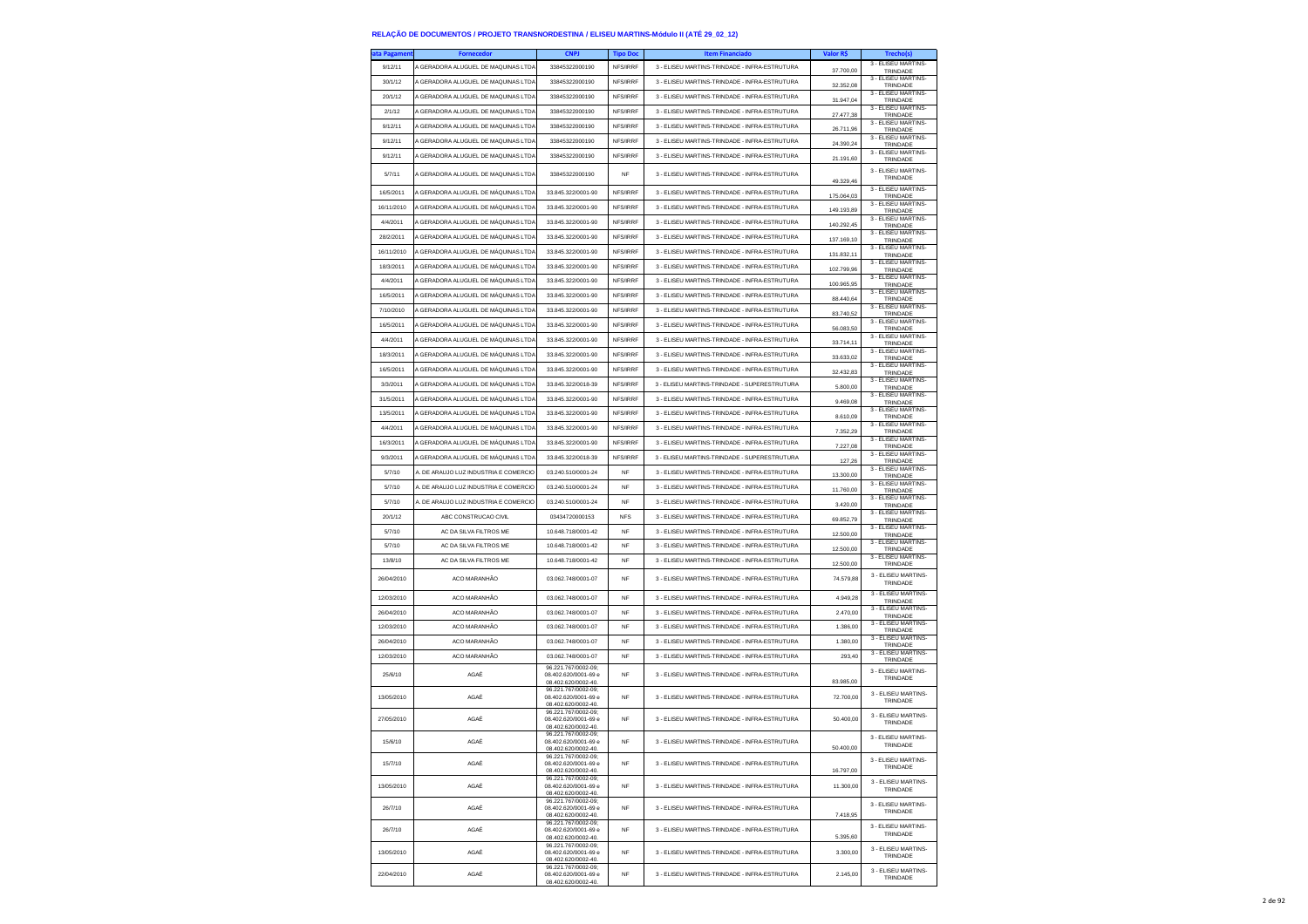| ata Pagameni | <b>Fornecedor</b>                     | <b>CNPJ</b>                                 | <b>Tipo Dor</b> | <b>Item Financiado</b>                        | Valor R\$  |                                                        |
|--------------|---------------------------------------|---------------------------------------------|-----------------|-----------------------------------------------|------------|--------------------------------------------------------|
| 9/12/11      | A GERADORA ALUGUEL DE MAQUINAS LTDA   | 33845322000190                              | NFS/IRRF        | 3 - ELISEU MARTINS-TRINDADE - INFRA-ESTRUTURA | 37,700.00  | 3 - ELISEU MARTINS<br>TRINDADE                         |
| 30/1/12      | A GERADORA ALUGUEL DE MAQUINAS LTDA   | 33845322000190                              | NFS/IRRF        | 3 - ELISEU MARTINS-TRINDADE - INFRA-ESTRUTURA | 32.352,08  | 3 - ELISEU MARTINS-<br>TRINDADE                        |
| 20/1/12      | A GERADORA ALUGUEL DE MAQUINAS LTDA   | 33845322000190                              | NFS/IRRF        | 3 - ELISEU MARTINS-TRINDADE - INFRA-ESTRUTURA | 31.947,04  | 3 - ELISEU MARTINS-<br>TRINDADE                        |
| 2/1/12       | A GERADORA ALUGUEL DE MAQUINAS LTDA   | 33845322000190                              | NFS/IRRF        | 3 - ELISEU MARTINS-TRINDADE - INFRA-ESTRUTURA | 27,477.38  | 3 - ELISEU MARTINS<br>TRINDADE                         |
| 9/12/11      | A GERADORA ALUGUEL DE MAQUINAS LTDA   | 33845322000190                              | NFS/IRRF        | 3 - ELISEU MARTINS-TRINDADE - INFRA-ESTRUTURA | 26.711,96  | 3 - ELISEU MARTINS-<br>TRINDADE                        |
| 9/12/11      | A GERADORA ALUGUEL DE MAQUINAS LTDA   | 33845322000190                              | NFS/IRRF        | 3 - ELISEU MARTINS-TRINDADE - INFRA-ESTRUTURA | 24.390,24  | 3 - ELISEU MARTINS-<br>TRINDADE                        |
| 9/12/11      | A GERADORA ALUGUEL DE MAQUINAS LTDA   | 33845322000190                              | NFS/IRRF        | 3 - ELISEU MARTINS-TRINDADE - INFRA-ESTRUTURA | 21.191.60  | 3 - FLISEU MARTINS-<br>TRINDADE                        |
|              |                                       |                                             |                 |                                               |            | 3 - ELISEU MARTINS                                     |
| 5/7/11       | A GERADORA ALUGUEL DE MAQUINAS LTDA   | 33845322000190                              | NF              | 3 - ELISEU MARTINS-TRINDADE - INFRA-ESTRUTURA | 49.329,46  | TRINDADE                                               |
| 16/5/2011    | A GERADORA ALUGUEL DE MÁQUINAS LTDA   | 33.845.322/0001-90                          | NFS/IRRF        | 3 - ELISEU MARTINS-TRINDADE - INFRA-ESTRUTURA | 175.064,03 | 3 - ELISEU MARTINS<br>TRINDADE                         |
| 16/11/2010   | A GERADORA ALUGUEL DE MÁQUINAS LTDA   | 33.845.322/0001-90                          | NFS/IRRF        | 3 - ELISEU MARTINS-TRINDADE - INFRA-ESTRUTURA | 149 193 89 | 3 - ELISEU MARTINS<br>TRINDADE                         |
| 4/4/2011     | A GERADORA ALUGUEL DE MÁQUINAS LTDA   | 33.845.322/0001-90                          | NFS/IRRF        | 3 - ELISEU MARTINS-TRINDADE - INFRA-ESTRUTURA | 140.292,45 | 3 - ELISEU MARTINS-<br>TRINDADE                        |
| 28/2/2011    | A GERADORA ALUGUEL DE MÁQUINAS LTDA   | 33.845.322/0001-90                          | NFS/IRRF        | 3 - ELISEU MARTINS-TRINDADE - INFRA-ESTRUTURA | 137.169,10 | 3 - ELISEU MARTINS-<br>TRINDADE                        |
| 16/11/2010   | A GERADORA ALUGUEL DE MÁQUINAS LTDA   | 33.845.322/0001-90                          | NFS/IRRF        | 3 - ELISEU MARTINS-TRINDADE - INFRA-ESTRUTURA | 131.832,11 | 3 - ELISEU MARTINS-<br>TRINDADE                        |
| 18/3/2011    | A GERADORA ALUGUEL DE MÁQUINAS LTDA   | 33.845.322/0001-90                          | NFS/IRRF        | 3 - ELISEU MARTINS-TRINDADE - INFRA-ESTRUTURA | 102.799,96 | 3 - ELISEU MARTINS-<br>TRINDADE                        |
| 4/4/2011     | A GERADORA ALUGUEL DE MÁQUINAS LTDA   | 33.845.322/0001-90                          | NFS/IRRF        | 3 - ELISEU MARTINS-TRINDADE - INFRA-ESTRUTURA | 100.965,95 | 3 - ELISEU MARTINS-<br>TRINDADE                        |
| 16/5/2011    | A GERADORA ALUGUEL DE MÁQUINAS LTDA   | 33.845.322/0001-90                          | NFS/IRRF        | 3 - ELISEU MARTINS-TRINDADE - INFRA-ESTRUTURA | 88,440.64  | 3 - ELISEU MARTINS<br>TRINDADE                         |
| 7/10/2010    | A GERADORA ALUGUEL DE MÁQUINAS LTDA   | 33.845.322/0001-90                          | NFS/IRRF        | 3 - ELISEU MARTINS-TRINDADE - INFRA-ESTRUTURA | 83.740,52  | 3 - ELISEU MARTINS-<br>TRINDADE                        |
| 16/5/2011    | A GERADORA ALUGUEL DE MÁQUINAS LTDA   | 33.845.322/0001-90                          | NFS/IRRF        | 3 - ELISEU MARTINS-TRINDADE - INFRA-ESTRUTURA | 56.083,50  | 3 - ELISEU MARTINS-                                    |
| 4/4/2011     | A GERADORA ALUGUEL DE MÁQUINAS LTDA   | 33.845.322/0001-90                          | NFS/IRRF        | 3 - ELISEU MARTINS-TRINDADE - INFRA-ESTRUTURA |            | TRINDADE<br>3 - ELISEU MARTINS-                        |
| 18/3/2011    | A GERADORA ALUGUEL DE MÁQUINAS LTDA   | 33.845.322/0001-90                          | NFS/IRRF        | 3 - ELISEU MARTINS-TRINDADE - INFRA-ESTRUTURA | 33.714,11  | TRINDADE<br>3 - ELISEU MARTINS-                        |
| 16/5/2011    | A GERADORA ALUGUEL DE MÁQUINAS LTDA   | 33.845.322/0001-90                          | NFS/IRRF        | 3 - ELISEU MARTINS-TRINDADE - INFRA-ESTRUTURA | 33.633.02  | TRINDADE<br>3 - ELISEU MARTINS                         |
| 3/3/2011     | A GERADORA ALUGUEL DE MÁQUINAS LTDA   | 33.845.322/0018-39                          | NFS/IRRF        | 3 - ELISEU MARTINS-TRINDADE - SUPERESTRUTURA  | 32.432,83  | TRINDADE<br>3 - ELISEU MARTINS                         |
|              |                                       |                                             |                 |                                               | 5,800.00   | TRINDADE<br>3 - ELISEU MARTINS-                        |
| 31/5/2011    | A GERADORA ALUGUEL DE MÁQUINAS LTDA   | 33.845.322/0001-90                          | NFS/IRRF        | 3 - ELISEU MARTINS-TRINDADE - INFRA-ESTRUTURA | 9.469,08   | TRINDADE<br>3 - ELISEU MARTINS-                        |
| 13/5/2011    | A GERADORA ALUGUEL DE MÁQUINAS LTDA   | 33 845 322/0001-90                          | <b>NES/IRRE</b> | 3 - ELISEU MARTINS-TRINDADE - INFRA-ESTRUTURA | 8.610.09   | TRINDADE<br>3 - ELISEU MARTINS                         |
| 4/4/2011     | A GERADORA ALUGUEL DE MÁQUINAS LTDA   | 33.845.322/0001-90                          | NFS/IRRF        | 3 - ELISEU MARTINS-TRINDADE - INFRA-ESTRUTURA | 7.352,29   | TRINDADE<br>3 - FLISEU MARTINS-                        |
| 16/3/2011    | A GERADORA ALUGUEL DE MÁQUINAS LTDA   | 33.845.322/0001-90                          | NFS/IRRF        | 3 - FLISELLMARTINS-TRINDADE - INFRA-ESTRUTURA | 7.227,08   | TRINDADE<br>3 - ELISEU MARTINS-                        |
| 9/3/2011     | A GERADORA ALUGUEL DE MÁQUINAS LTDA   | 33.845.322/0018-39                          | NFS/IRRF        | 3 - ELISEU MARTINS-TRINDADE - SUPERESTRUTURA  | 127,26     | TRINDADE<br>3 - FLISEU MARTINS-                        |
| 5/7/10       | A. DE ARAUJO LUZ INDUSTRIA E COMERCIO | 03.240.510/0001-24                          | NF              | 3 - ELISEU MARTINS-TRINDADE - INFRA-ESTRUTURA | 13.300,00  | TRINDADE<br>3 - ELISEU MARTINS-                        |
| 5/7/10       | A. DE ARAUJO LUZ INDUSTRIA E COMERCIO | 03.240.510/0001-24                          | <b>NF</b>       | 3 - ELISEU MARTINS-TRINDADE - INFRA-ESTRUTURA | 11.760,00  | TRINDADE                                               |
| 5/7/10       | A. DE ARAUJO LUZ INDUSTRIA E COMERCIO | 03.240.510/0001-24                          | <b>NF</b>       | 3 - ELISEU MARTINS-TRINDADE - INFRA-ESTRUTURA | 3.420,00   | 3 - ELISEU MARTINS-<br>TRINDADE                        |
| 20/1/12      | ABC CONSTRUCAO CIVIL                  | 03434720000153                              | <b>NFS</b>      | 3 - ELISEU MARTINS-TRINDADE - INFRA-ESTRUTURA | 69.852,79  | 3 - ELISEU MARTINS<br>TRINDADE                         |
| 5/7/10       | AC DA SILVA FILTROS ME                | 10.648.718/0001-42                          | <b>NF</b>       | 3 - ELISEU MARTINS-TRINDADE - INFRA-ESTRUTURA | 12,500.00  | 3 - ELISEU MARTINS<br>TRINDADE                         |
| 5/7/10       | AC DA SILVA FILTROS ME                | 10.648.718/0001-42                          | <b>NF</b>       | 3 - ELISEU MARTINS-TRINDADE - INFRA-ESTRUTURA | 12.500,00  | 3 - ELISEU MARTINS-<br>TRINDADE                        |
| 13/8/10      | AC DA SILVA FILTROS ME                | 10.648.718/0001-42                          | NF              | 3 - ELISEU MARTINS-TRINDADE - INFRA-ESTRUTURA | 12,500.00  | 3 - ELISEU MARTINS-<br>TRINDADE                        |
| 26/04/2010   | ACO MARANHÃO                          | 03.062.748/0001-07                          | NF              | 3 - ELISEU MARTINS-TRINDADE - INFRA-ESTRUTURA | 74.579,88  | 3 - ELISEU MARTINS-                                    |
|              |                                       |                                             |                 |                                               |            | TRINDADE<br>3 - ELISEU MARTINS-                        |
| 12/03/2010   | ACO MARANHÃO                          | 03.062.748/0001-07                          | <b>NF</b>       | 3 - ELISEU MARTINS-TRINDADE - INFRA-ESTRUTURA | 4.949,28   | TRINDADE<br>3 - ELISEU MARTINS                         |
| 26/04/2010   | ACO MARANHÃO                          | 03.062.748/0001-07                          | <b>NF</b>       | 3 - ELISEU MARTINS-TRINDADE - INFRA-ESTRUTURA | 2.470.00   | TRINDADE<br>3 - ELISEU MARTINS-                        |
| 12/03/2010   | ACO MARANHÃO                          | 03.062.748/0001-07                          | <b>NF</b>       | 3 - ELISEU MARTINS-TRINDADE - INFRA-ESTRUTURA | 1,386.00   | TRINDADE                                               |
| 26/04/2010   | ACO MARANHÃO                          | 03.062.748/0001-07                          | <b>NF</b>       | 3 - ELISEU MARTINS-TRINDADE - INFRA-ESTRUTURA | 1.380,00   | 3 - ELISEU MARTINS-<br>TRINDADE<br>3 - FLISEU MARTINS- |
| 12/03/2010   | ACO MARANHÃO                          | 03.062.748/0001-07                          | NF              | 3 - ELISEU MARTINS-TRINDADE - INFRA-ESTRUTURA | 293,40     | TRINDADE                                               |
| 25/6/10      | AGAÉ                                  | 96.221.767/0002-09:<br>08.402.620/0001-69 e | NF              | 3 - ELISEU MARTINS-TRINDADE - INFRA-ESTRUTURA |            | 3 - ELISEU MARTINS-<br>TRINDADE                        |
|              |                                       | 08.402.620/0002-40.<br>96.221.767/0002-09:  |                 |                                               | 83.985,00  | 3 - ELISEU MARTINS-                                    |
| 13/05/2010   | AGAÉ                                  | 08 402 620/0001-69 e<br>08.402.620/0002-40. | <b>NF</b>       | 3 - ELISEU MARTINS-TRINDADE - INFRA-ESTRUTURA | 72.700,00  | TRINDADE                                               |
| 27/05/2010   | AGAÉ                                  | 96.221.767/0002-09;<br>08.402.620/0001-69 e | NF              | 3 - ELISEU MARTINS-TRINDADE - INFRA-ESTRUTURA | 50.400,00  | 3 - FLISEU MARTINS-<br>TRINDADE                        |
|              |                                       | 08.402.620/0002-40.<br>96.221.767/0002-09:  |                 |                                               |            |                                                        |
| 15/6/10      | AGAÉ                                  | 08 402 620/0001-69 e<br>08 402 620/0002.40  | <b>NF</b>       | 3 - ELISEU MARTINS-TRINDADE - INFRA-ESTRUTURA | 50 400 00  | 3 - ELISEU MARTINS-<br>TRINDADE                        |
| 15/7/10      | AGAÉ                                  | 96.221.767/0002-09;<br>08.402.620/0001-69 e | NF              | 3 - ELISEU MARTINS-TRINDADE - INFRA-ESTRUTURA |            | 3 - FLISEU MARTINS-                                    |
|              |                                       | 08.402.620/0002-40.<br>96.221.767/0002-09:  |                 |                                               | 16.797,00  | TRINDADE                                               |
| 13/05/2010   | AGAÉ                                  | 08.402.620/0001-69 e<br>08.402.620/0002-40. | <b>NF</b>       | 3 - ELISEU MARTINS-TRINDADE - INFRA-ESTRUTURA | 11.300,00  | 3 - ELISEU MARTINS-<br>TRINDADE                        |
|              |                                       | 96.221.767/0002-09;<br>08 402 620/0001-69 e |                 |                                               |            | 3 - ELISEU MARTINS                                     |
| 26/7/10      | AGAÉ                                  | 08.402.620/0002-40.                         | NF              | 3 - ELISEU MARTINS-TRINDADE - INFRA-ESTRUTURA | 7.418,95   | TRINDADE                                               |
| 26/7/10      | AGAÉ                                  | 96.221.767/0002-09:<br>08.402.620/0001-69 e | NF              | 3 - ELISEU MARTINS-TRINDADE - INFRA-ESTRUTURA |            | 3 - ELISEU MARTINS-<br>TRINDADE                        |
|              |                                       | 08.402.620/0002-40.<br>96.221.767/0002-09;  |                 |                                               | 5.395.60   | 3 - ELISEU MARTINS-                                    |
| 13/05/2010   | AGAÉ                                  | 08.402.620/0001-69 e<br>08.402.620/0002-40. | NF              | 3 - ELISEU MARTINS-TRINDADE - INFRA-ESTRUTURA | 3.300,00   | TRINDADE                                               |
| 22/04/2010   | AGAÉ                                  | 96.221.767/0002-09:<br>08.402.620/0001-69 e | NF              | 3 - ELISEU MARTINS-TRINDADE - INFRA-ESTRUTURA | 2.145,00   | 3 - ELISEU MARTINS-<br>TRINDADE                        |
|              |                                       | 08.402.620/0002-40.                         |                 |                                               |            |                                                        |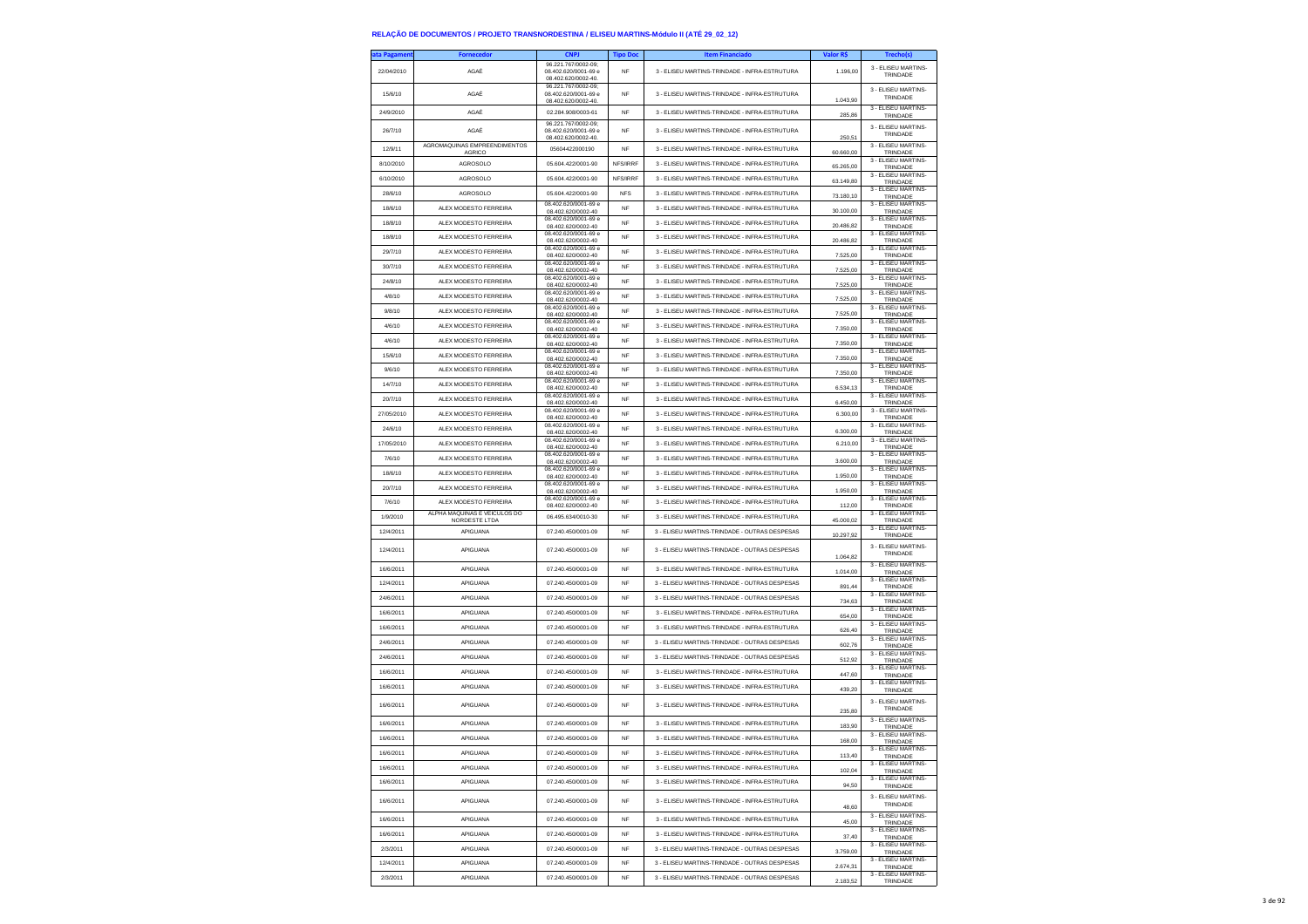| ata Pagamen | <b>Fornecedor</b>                             |                                                                    | <b>Tipo Doc</b> | <b>Item Financiado</b>                        | Valor R\$ | Trecho(s)                                   |
|-------------|-----------------------------------------------|--------------------------------------------------------------------|-----------------|-----------------------------------------------|-----------|---------------------------------------------|
| 22/04/2010  | AGAÉ                                          | 96.221.767/0002-09;<br>08.402.620/0001-69 e<br>08.402.620/0002-40. | <b>NF</b>       | 3 - ELISEU MARTINS-TRINDADE - INFRA-ESTRUTURA | 1.196.00  | 3 - ELISEU MARTINS-<br>TRINDADE             |
| 15/6/10     | AGAÉ                                          | 96.221.767/0002-09;<br>08.402.620/0001-69 e<br>08.402.620/0002-40. | <b>NF</b>       | 3 - ELISEU MARTINS-TRINDADE - INFRA-ESTRUTURA | 1.043,90  | 3 - ELISEU MARTINS-<br>TRINDADE             |
| 24/9/2010   | AGAÉ                                          | 02.284.908/0003-61                                                 | NF              | 3 - ELISEU MARTINS-TRINDADE - INFRA-ESTRUTURA | 285,86    | 3 - ELISEU MARTINS-<br><b>TRINDADE</b>      |
| 26/7/10     | AGAÉ                                          | 96.221.767/0002-09:<br>08.402.620/0001-69 e<br>08.402.620/0002-40. | <b>NF</b>       | 3 - ELISEU MARTINS-TRINDADE - INFRA-ESTRUTURA | 250,51    | 3 - ELISEU MARTINS-<br>TRINDADE             |
| 12/9/11     | AGROMAQUINAS EMPREENDIMENTOS<br>AGRICO        | 05604422000190                                                     | <b>NF</b>       | 3 - ELISEU MARTINS-TRINDADE - INFRA-ESTRUTURA | 60.660,00 | 3 - ELISEU MARTINS-<br>TRINDADE             |
| 8/10/2010   | <b>AGROSOLO</b>                               | 05.604.422/0001-90                                                 | NFS/IRRF        | 3 - ELISEU MARTINS-TRINDADE - INFRA-ESTRUTURA | 65.265,00 | 3 - FLISEU MARTINS-<br>TRINDADE             |
| 6/10/2010   | AGROSOLO                                      | 05.604.422/0001-90                                                 | NFS/IRRF        | 3 - ELISEU MARTINS-TRINDADE - INFRA-ESTRUTURA |           | 3 - ELISEU MARTINS-                         |
| 28/6/10     | <b>AGROSOLO</b>                               | 05.604.422/0001-90                                                 | <b>NFS</b>      | 3 - ELISEU MARTINS-TRINDADE - INFRA-ESTRUTURA | 63.149,80 | TRINDADE<br>3 - ELISEU MARTINS-             |
| 18/6/10     | ALEX MODESTO FERREIRA                         | 08 402 620/0001-69 e                                               | NF              | 3 - ELISEU MARTINS-TRINDADE - INFRA-ESTRUTURA | 73.180,10 | TRINDADE<br>3 - FLISEU MARTINS-             |
| 18/8/10     | ALEX MODESTO FERREIRA                         | 08.402.620/0002-40<br>08.402.620/0001-69 e                         | <b>NF</b>       | 3 - ELISEU MARTINS-TRINDADE - INFRA-ESTRUTURA | 30,100.00 | TRINDADE<br>3 - ELISEU MARTINS-             |
| 18/8/10     | ALEX MODESTO FERREIRA                         | 08.402.620/0002-40<br>08.402.620/0001-69 e                         | <b>NF</b>       | 3 - ELISEU MARTINS-TRINDADE - INFRA-ESTRUTURA | 20.486.82 | TRINDADE<br>3 - ELISEU MARTINS-             |
| 29/7/10     | ALEX MODESTO FERREIRA                         | 08.402.620/0002-40<br>08.402.620/0001-69 e                         | NF              | 3 - ELISEU MARTINS-TRINDADE - INFRA-ESTRUTURA | 20.486,82 | TRINDADE<br>3 - ELISEU MARTINS-             |
| 30/7/10     | ALEX MODESTO FERREIRA                         | 08.402.620/0002-40<br>08.402.620/0001-69 e                         | <b>NF</b>       | 3 - ELISEU MARTINS-TRINDADE - INFRA-ESTRUTURA | 7.525,00  | TRINDADE<br>3 - ELISEU MARTINS-             |
| 24/8/10     | ALEX MODESTO FERREIRA                         | 08.402.620/0002-40<br>08.402.620/0001-69 e                         | <b>NF</b>       | 3 - ELISEU MARTINS-TRINDADE - INFRA-ESTRUTURA | 7,525.00  | TRINDADE<br>3 - ELISEU MARTINS-             |
|             |                                               | 08.402.620/0002-40<br>08.402.620/0001-69 e                         |                 |                                               | 7.525,00  | TRINDADE<br>3 - ELISEU MARTINS-             |
| 4/8/10      | ALEX MODESTO FERREIRA                         | 08.402.620/0002-40<br>08.402.620/0001-69 e                         | NF              | 3 - ELISEU MARTINS-TRINDADE - INFRA-ESTRUTURA | 7.525,00  | TRINDADE<br>3 - ELISEU MARTINS-             |
| 9/8/10      | ALEX MODESTO FERREIRA                         | 08.402.620/0002-40<br>08.402.620/0001-69 e                         | <b>NF</b>       | 3 - ELISEU MARTINS-TRINDADE - INFRA-ESTRUTURA | 7,525.00  | TRINDADE<br>3 - ELISEU MARTINS-             |
| 4/6/10      | ALEX MODESTO FERREIRA                         | 08.402.620/0002-40<br>08.402.620/0001-69 e                         | <b>NF</b>       | 3 - ELISEU MARTINS-TRINDADE - INFRA-ESTRUTURA | 7.350,00  | TRINDADE<br>3 - ELISEU MARTINS-             |
| 4/6/10      | ALEX MODESTO FERREIRA                         | 08.402.620/0002-40<br>08 402 620/0001-69 e                         | NF              | 3 - ELISEU MARTINS-TRINDADE - INFRA-ESTRUTURA | 7.350,00  | TRINDADE<br>3 - ELISEU MARTINS-             |
| 15/6/10     | ALEX MODESTO FERREIRA                         | 08.402.620/0002-40<br>08.402.620/0001-69 e                         | <b>NF</b>       | 3 - ELISEU MARTINS-TRINDADE - INFRA-ESTRUTURA | 7,350.00  | TRINDADE<br>3 - ELISEU MARTINS-             |
| 9/6/10      | ALEX MODESTO FERREIRA                         | 08.402.620/0002-40<br>08.402.620/0001-69 e                         | <b>NF</b>       | 3 - FLISELLMARTINS-TRINDADE - INFRA-ESTRUTURA | 7.350,00  | TRINDADE<br>3 - ELISEU MARTINS-             |
| 14/7/10     | ALEX MODESTO FERREIRA                         | 08.402.620/0002-40<br>08 402 620/0001-69 e                         | <b>NF</b>       | 3 - ELISEU MARTINS-TRINDADE - INFRA-ESTRUTURA | 6.534,13  | TRINDADE<br>3 - ELISEU MARTINS-             |
| 20/7/10     | ALEX MODESTO FERREIRA                         | 08.402.620/0002-40                                                 | <b>NF</b>       | 3 - ELISEU MARTINS-TRINDADE - INFRA-ESTRUTURA | 6.450.00  | TRINDADE                                    |
| 27/05/2010  | ALEX MODESTO FERREIRA                         | 08.402.620/0001-69 e<br>08.402.620/0002-40                         | <b>NF</b>       | 3 - ELISEU MARTINS-TRINDADE - INFRA-ESTRUTURA | 6,300.00  | 3 - ELISEU MARTINS-<br>TRINDADE             |
| 24/6/10     | ALEX MODESTO FERREIRA                         | 08.402.620/0001-69 e<br>08.402.620/0002-40                         | <b>NF</b>       | 3 - ELISEU MARTINS-TRINDADE - INFRA-ESTRUTURA | 6.300,00  | 3 - ELISEU MARTINS-<br>TRINDADE             |
| 17/05/2010  | ALEX MODESTO FERREIRA                         | 08 402 620/0001-69 e<br>08.402.620/0002-40                         | <b>NF</b>       | 3 - ELISEU MARTINS-TRINDADE - INFRA-ESTRUTURA | 6.210,00  | 3 - ELISEU MARTINS-<br>TRINDADE             |
| 7/6/10      | ALEX MODESTO FERREIRA                         | 08.402.620/0001-69 e<br>08.402.620/0002-40                         | <b>NF</b>       | 3 - FLISEU MARTINS-TRINDADE - INFRA-ESTRUTURA | 3,600.00  | 3 - ELISEU MARTINS-<br>TRINDADE             |
| 18/6/10     | ALEX MODESTO FERREIRA                         | 08.402.620/0001-69 e<br>08.402.620/0002-40                         | <b>NF</b>       | 3 - ELISEU MARTINS-TRINDADE - INFRA-ESTRUTURA | 1.950,00  | 3 - ELISEU MARTINS-<br>TRINDADE             |
| 20/7/10     | ALEX MODESTO FERREIRA                         | 08.402.620/0001-69 e<br>08.402.620/0002-40                         | NF              | 3 - ELISEU MARTINS-TRINDADE - INFRA-ESTRUTURA | 1.950.00  | 3 - FLISEU MARTINS-<br>TRINDADE             |
| 7/6/10      | ALEX MODESTO FERREIRA                         | 08.402.620/0001-69 e<br>08.402.620/0002-40                         | <b>NF</b>       | 3 - ELISEU MARTINS-TRINDADE - INFRA-ESTRUTURA | 112,00    | 3 - FLISEU MARTINS-<br>TRINDADE             |
| 1/9/2010    | ALPHA MÁQUINAS E VEÍCULOS DO<br>NORDESTE LTDA | 06.495.634/0010-30                                                 | <b>NF</b>       | 3 - ELISEU MARTINS-TRINDADE - INFRA-ESTRUTURA | 45.000,02 | 3 - ELISEU MARTINS-<br>TRINDADE             |
| 12/4/2011   | APIGUANA                                      | 07.240.450/0001-09                                                 | NF              | 3 - ELISEU MARTINS-TRINDADE - OUTRAS DESPESAS | 10.297,92 | 3 - ELISEU MARTINS-<br>TRINDADE             |
| 12/4/2011   | APIGUANA                                      | 07.240.450/0001-09                                                 | NF              | 3 - ELISEU MARTINS-TRINDADE - OUTRAS DESPESAS | 1.064,82  | 3 - ELISEU MARTINS-<br>TRINDADE             |
| 16/6/2011   | APIGUANA                                      | 07.240.450/0001-09                                                 | NF              | 3 - ELISEU MARTINS-TRINDADE - INFRA-ESTRUTURA | 1.014,00  | 3 - ELISEU MARTINS-<br>TRINDADE             |
| 12/4/2011   | APIGUANA                                      | 07.240.450/0001-09                                                 | <b>NF</b>       | 3 - ELISEU MARTINS-TRINDADE - OUTRAS DESPESAS | 891.44    | 3 - ELISEU MARTINS-<br>TRINDADE             |
| 24/6/2011   | APIGUANA                                      | 07.240.450/0001-09                                                 | <b>NF</b>       | 3 - ELISEU MARTINS-TRINDADE - OUTRAS DESPESAS | 734,63    | 3 - ELISEU MARTINS-<br>TRINDADE             |
| 16/6/2011   | APIGUANA                                      | 07.240.450/0001-09                                                 | NF              | 3 - ELISEU MARTINS-TRINDADE - INFRA-ESTRUTURA | 654,00    | 3 - ELISEU MARTINS-<br>TRINDADE             |
| 16/6/2011   | APIGUANA                                      | 07.240.450/0001-09                                                 | <b>NF</b>       | 3 - ELISEU MARTINS-TRINDADE - INFRA-ESTRUTURA | 626.40    | 3 - ELISEU MARTINS-                         |
| 24/6/2011   | APIGUANA                                      | 07.240.450/0001-09                                                 | <b>NF</b>       | 3 - ELISEU MARTINS-TRINDADE - OUTRAS DESPESAS | 602,76    | TRINDADE<br>3 - ELISEU MARTINS-<br>TRINDADE |
| 24/6/2011   | APIGUANA                                      | 07.240.450/0001-09                                                 | <b>NF</b>       | 3 - ELISEU MARTINS-TRINDADE - OUTRAS DESPESAS | 512,92    | 3 - ELISEU MARTINS-<br>TRINDADE             |
| 16/6/2011   | APIGUANA                                      | 07.240.450/0001-09                                                 | <b>NF</b>       | 3 - ELISEU MARTINS-TRINDADE - INFRA-ESTRUTURA | 447.60    | 3 - ELISEU MARTINS-                         |
| 16/6/2011   | APIGUANA                                      | 07.240.450/0001-09                                                 | <b>NF</b>       | 3 - ELISEU MARTINS-TRINDADE - INFRA-ESTRUTURA | 439,20    | TRINDADE<br>3 - ELISEU MARTINS-             |
| 16/6/2011   | APIGUANA                                      | 07.240.450/0001-09                                                 | <b>NF</b>       | 3 - ELISEU MARTINS-TRINDADE - INFRA-ESTRUTURA |           | TRINDADE<br>3 - FLISEU MARTINS-<br>TRINDADE |
| 16/6/2011   | APIGUANA                                      | 07.240.450/0001-09                                                 | <b>NF</b>       | 3 - ELISEU MARTINS-TRINDADE - INFRA-ESTRUTURA | 235,80    | 3 - ELISEU MARTINS                          |
| 16/6/2011   | APIGUANA                                      | 07.240.450/0001-09                                                 | <b>NF</b>       | 3 - ELISEU MARTINS-TRINDADE - INFRA-ESTRUTURA | 183.90    | <b>TRINDADE</b><br>3 - ELISEU MARTINS-      |
| 16/6/2011   | APIGUANA                                      | 07.240.450/0001-09                                                 | NF              | 3 - ELISEU MARTINS-TRINDADE - INFRA-ESTRUTURA | 168,00    | TRINDADE<br>3 - ELISEU MARTINS-             |
| 16/6/2011   | APIGUANA                                      | 07.240.450/0001-09                                                 | <b>NF</b>       | 3 - ELISEU MARTINS-TRINDADE - INFRA-ESTRUTURA | 113,40    | TRINDADE<br>3 - FLISEU MARTINS-             |
| 16/6/2011   | APIGUANA                                      | 07.240.450/0001-09                                                 | <b>NF</b>       | 3 - ELISEU MARTINS-TRINDADE - INFRA-ESTRUTURA | 102.04    | TRINDADE<br>3 - ELISEU MARTINS-             |
| 16/6/2011   | APIGUANA                                      | 07 240 450/0001-09                                                 | <b>NF</b>       | 3 - ELISEU MARTINS-TRINDADE - INFRA-ESTRUTURA | 94,50     | TRINDADE<br>3 - ELISEU MARTINS-             |
| 16/6/2011   | APIGUANA                                      | 07 240 450/0001-09                                                 | <b>NF</b>       | 3 - FLISELLMARTINS-TRINDADE - INFRA-ESTRUTURA | 48,60     | TRINDADE<br>3 - FLISEU MARTINS-             |
| 16/6/2011   | APIGUANA                                      | 07.240.450/0001-09                                                 | <b>NF</b>       | 3 - ELISEU MARTINS-TRINDADE - INFRA-ESTRUTURA | 45,00     | TRINDADE<br>3 - ELISEU MARTINS-             |
| 2/3/2011    | APIGUANA                                      | 07.240.450/0001-09                                                 | NF              | 3 - ELISEU MARTINS-TRINDADE - OUTRAS DESPESAS | 37,40     | TRINDADE<br>3 - ELISEU MARTINS-             |
| 12/4/2011   | APIGUANA                                      | 07.240.450/0001-09                                                 | <b>NF</b>       | 3 - ELISEU MARTINS-TRINDADE - OUTRAS DESPESAS | 3 759 00  | TRINDADE<br>3 - ELISEU MARTINS-             |
| 2/3/2011    | APIGUANA                                      | 07.240.450/0001-09                                                 | <b>NF</b>       | 3 - ELISEU MARTINS-TRINDADE - OUTRAS DESPESAS | 2.674,31  | TRINDADE<br>3 - ELISEU MARTINS-             |
|             |                                               |                                                                    |                 |                                               | 2.183,52  | TRINDADE                                    |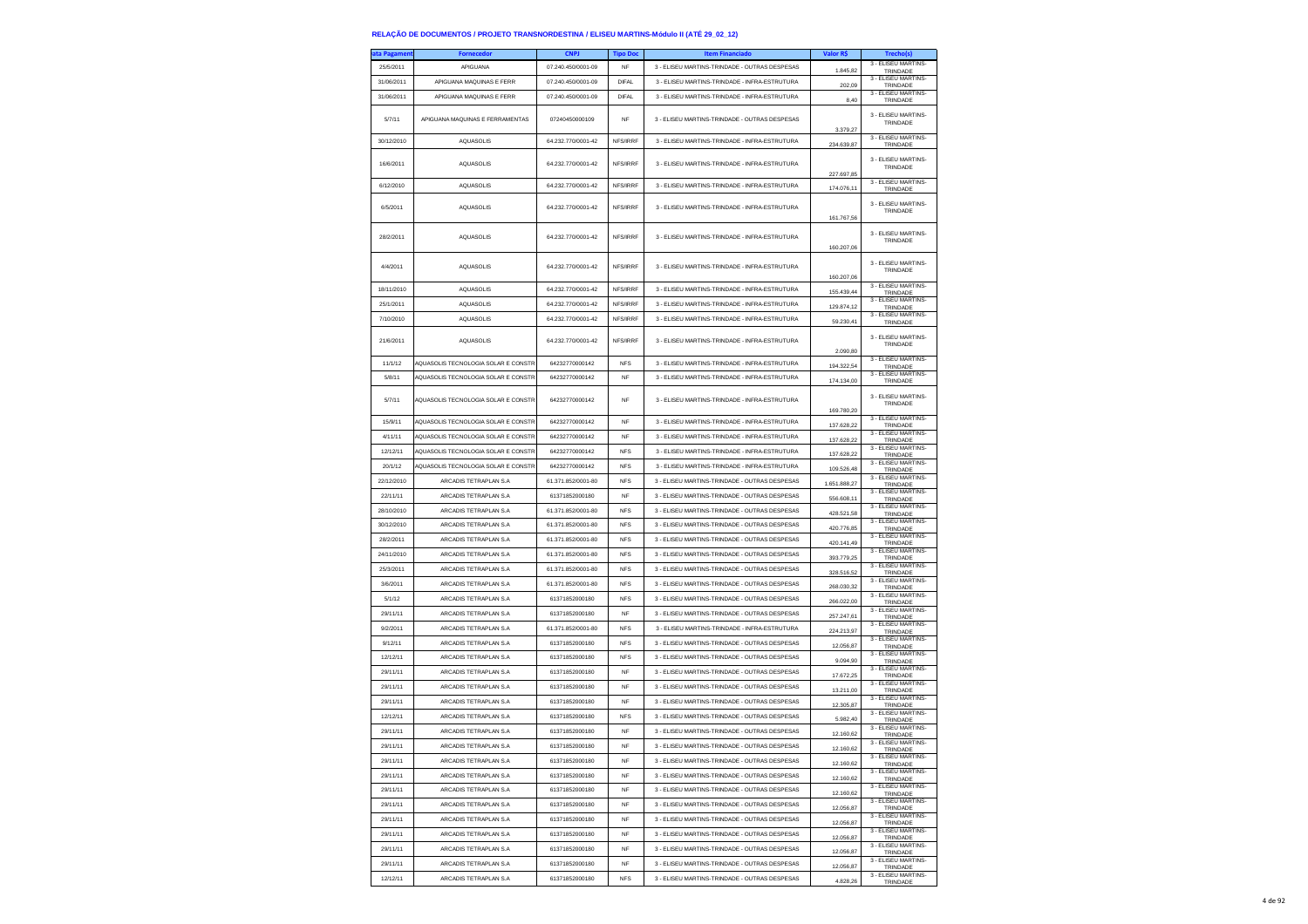| ata Pagameni | <b>Fornecedor</b>                   | <b>CNPJ</b>        | <b>Tipo Doc</b> | <b>Item Financiado</b>                        | Valor R\$              | Trecho(s)                       |
|--------------|-------------------------------------|--------------------|-----------------|-----------------------------------------------|------------------------|---------------------------------|
| 25/5/2011    | APIGUANA                            | 07.240.450/0001-09 | <b>NF</b>       | 3 - ELISEU MARTINS-TRINDADE - OUTRAS DESPESAS | 1.845.82               | 3 - ELISEU MARTINS-<br>TRINDADE |
| 31/06/2011   | APIGUANA MAQUINAS E FERR            | 07.240.450/0001-09 | <b>DIFAL</b>    | 3 - ELISEU MARTINS-TRINDADE - INFRA-ESTRUTURA |                        | 3 - ELISEU MARTINS-             |
|              |                                     |                    |                 |                                               | 202,09                 | TRINDADE<br>3 - ELISEU MARTINS- |
| 31/06/2011   | APIGUANA MAQUINAS E FERR            | 07.240.450/0001-09 | <b>DIFAL</b>    | 3 - ELISEU MARTINS-TRINDADE - INFRA-ESTRUTURA | 8,40                   | TRINDADE                        |
| 5/7/11       | APIGUANA MAQUINAS E FERRAMENTAS     | 07240450000109     | <b>NF</b>       | 3 - ELISEU MARTINS-TRINDADE - OUTRAS DESPESAS |                        | 3 - ELISEU MARTINS-<br>TRINDADE |
|              |                                     |                    |                 |                                               | 3.379,27               | 3 - ELISEU MARTINS-             |
| 30/12/2010   | <b>AQUASOLIS</b>                    | 64.232.770/0001-42 | NFS/IRRF        | 3 - ELISEU MARTINS-TRINDADE - INFRA-ESTRUTURA | 234.639,87             | TRINDADE                        |
| 16/6/2011    | <b>AQUASOLIS</b>                    | 64.232.770/0001-42 | NFS/IRRF        | 3 - ELISEU MARTINS-TRINDADE - INFRA-ESTRUTURA | 227.697,85             | 3 - FLISEU MARTINS<br>TRINDADE  |
| 6/12/2010    | <b>AQUASOLIS</b>                    | 64.232.770/0001-42 | NFS/IRRF        | 3 - ELISEU MARTINS-TRINDADE - INFRA-ESTRUTURA | 174.076,11             | 3 - ELISEU MARTINS-<br>TRINDADE |
| 6/5/2011     | <b>AQUASOLIS</b>                    | 64.232.770/0001-42 | NFS/IRRF        | 3 - ELISEU MARTINS-TRINDADE - INFRA-ESTRUTURA | 161.767.56             | 3 - ELISEU MARTINS<br>TRINDADE  |
| 28/2/2011    | AQUASOLIS                           | 64.232.770/0001-42 | NFS/IRRF        | 3 - ELISEU MARTINS-TRINDADE - INFRA-ESTRUTURA | 160.207,06             | 3 - FLISEU MARTINS<br>TRINDADE  |
|              |                                     |                    |                 |                                               |                        | 3 - ELISEU MARTINS-             |
| 4/4/2011     | <b>AQUASOLIS</b>                    | 64.232.770/0001-42 | NFS/IRRF        | 3 - ELISEU MARTINS-TRINDADE - INFRA-ESTRUTURA | 160.207,06             | TRINDADE                        |
| 18/11/2010   | <b>AQUASOLIS</b>                    | 64.232.770/0001-42 | NFS/IRRF        | 3 - ELISEU MARTINS-TRINDADE - INFRA-ESTRUTURA | 155.439,44             | 3 - ELISEU MARTINS-<br>TRINDADE |
| 25/1/2011    | <b>AQUASOLIS</b>                    | 64.232.770/0001-42 | NFS/IRRF        | 3 - ELISEU MARTINS-TRINDADE - INFRA-ESTRUTURA | 129.874,12             | 3 - ELISEU MARTINS-<br>TRINDADE |
| 7/10/2010    | <b>AQUASOLIS</b>                    | 64.232.770/0001-42 | NFS/IRRF        | 3 - ELISEU MARTINS-TRINDADE - INFRA-ESTRUTURA | 59.230,41              | 3 - ELISEU MARTINS-<br>TRINDADE |
| 21/6/2011    | <b>AQUASOLIS</b>                    | 64.232.770/0001-42 | NFS/IRRF        | 3 - ELISEU MARTINS-TRINDADE - INFRA-ESTRUTURA | 2.090,80               | 3 - ELISEU MARTINS-<br>TRINDADE |
| 11/1/12      | AQUASOLIS TECNOLOGIA SOLAR E CONSTR | 64232770000142     | <b>NFS</b>      | 3 - ELISEU MARTINS-TRINDADE - INFRA-ESTRUTURA |                        | 3 - ELISEU MARTINS-             |
| 5/8/11       | AQUASOLIS TECNOLOGIA SOLAR E CONSTR | 64232770000142     | <b>NF</b>       | 3 - ELISEU MARTINS-TRINDADE - INFRA-ESTRUTURA | 194.322,54             | TRINDADE<br>3 - FLISEU MARTINS- |
|              |                                     |                    |                 |                                               | 174.134.00             | TRINDADE                        |
| 5/7/11       | AQUASOLIS TECNOLOGIA SOLAR E CONSTR | 64232770000142     | NF              | 3 - ELISEU MARTINS-TRINDADE - INFRA-ESTRUTURA | 169.780,20             | 3 - ELISEU MARTINS-<br>TRINDADE |
| 15/9/11      | AQUASOLIS TECNOLOGIA SOLAR E CONSTR | 64232770000142     | <b>NF</b>       | 3 - ELISEU MARTINS-TRINDADE - INFRA-ESTRUTURA | 137.628,22             | 3 - ELISEU MARTINS<br>TRINDADE  |
| 4/11/11      | AQUASOLIS TECNOLOGIA SOLAR E CONSTR | 64232770000142     | <b>NF</b>       | 3 - ELISEU MARTINS-TRINDADE - INFRA-ESTRUTURA | 137.628,22             | 3 - ELISEU MARTINS-<br>TRINDADE |
| 12/12/11     | AQUASOLIS TECNOLOGIA SOLAR E CONSTR | 64232770000142     | <b>NFS</b>      | 3 - ELISEU MARTINS-TRINDADE - INFRA-ESTRUTURA | 137.628,22             | 3 - FLISEU MARTINS<br>TRINDADE  |
| 20/1/12      | AQUASOLIS TECNOLOGIA SOLAR E CONSTE | 64232770000142     | <b>NFS</b>      | 3 - ELISEU MARTINS-TRINDADE - INFRA-ESTRUTURA | 109.526,48             | 3 - ELISEU MARTINS<br>TRINDADE  |
| 22/12/2010   | ARCADIS TETRAPLAN S.A               | 61.371.852/0001-80 | <b>NFS</b>      | 3 - ELISEU MARTINS-TRINDADE - OUTRAS DESPESAS | 1.651.888,27           | 3 - ELISEU MARTINS-<br>TRINDADE |
| 22/11/11     | ARCADIS TETRAPLAN S.A               | 61371852000180     | NF              | 3 - ELISEU MARTINS-TRINDADE - OUTRAS DESPESAS | 556.608,11             | 3 - ELISEU MARTINS-<br>TRINDADE |
| 28/10/2010   | ARCADIS TETRAPLAN S.A.              | 61.371.852/0001-80 | <b>NFS</b>      | 3 - ELISEU MARTINS-TRINDADE - OUTRAS DESPESAS | 428.521,58             | 3 - ELISEU MARTINS-<br>TRINDADE |
| 30/12/2010   | ARCADIS TETRAPLAN S.A               | 61.371.852/0001-80 | <b>NFS</b>      | 3 - ELISEU MARTINS-TRINDADE - OUTRAS DESPESAS | 420.776,85             | 3 - ELISEU MARTINS-<br>TRINDADE |
| 28/2/2011    | ARCADIS TETRAPLAN S.A               | 61.371.852/0001-80 | <b>NFS</b>      | 3 - ELISEU MARTINS-TRINDADE - OUTRAS DESPESAS | 420.141,49             | 3 - ELISEU MARTINS-             |
| 24/11/2010   | ARCADIS TETRAPLAN S.A               | 61.371.852/0001-80 | <b>NFS</b>      | 3 - ELISEU MARTINS-TRINDADE - OUTRAS DESPESAS |                        | TRINDADE<br>3 - ELISEU MARTINS  |
| 25/3/2011    | ARCADIS TETRAPLAN S.A               | 61.371.852/0001-80 | <b>NFS</b>      | 3 - ELISEU MARTINS-TRINDADE - OUTRAS DESPESAS | 393.779,25             | TRINDADE<br>3 - ELISEU MARTINS- |
|              |                                     |                    |                 |                                               | 328.516,52             | TRINDADE<br>3 - ELISEU MARTINS- |
| 3/6/2011     | ARCADIS TETRAPLAN S.A               | 61.371.852/0001-80 | <b>NFS</b>      | 3 - ELISEU MARTINS-TRINDADE - OUTRAS DESPESAS | 268.030,32             | TRINDADE<br>3 - ELISEU MARTINS- |
| 5/1/12       | ARCADIS TETRAPLAN S.A               | 61371852000180     | <b>NFS</b>      | 3 - ELISEU MARTINS-TRINDADE - OUTRAS DESPESAS | 266.022,00             | TRINDADE<br>3 - ELISEU MARTINS- |
| 29/11/11     | ARCADIS TETRAPLAN S.A               | 61371852000180     | <b>NF</b>       | 3 - ELISEU MARTINS-TRINDADE - OUTRAS DESPESAS | 257.247,61             | TRINDADE                        |
| 9/2/2011     | ARCADIS TETRAPLAN S.A               | 61.371.852/0001-80 | <b>NFS</b>      | 3 - ELISEU MARTINS-TRINDADE - INFRA-ESTRUTURA | 224.213,97             | 3 - ELISEU MARTINS-<br>TRINDADE |
| 9/12/11      | ARCADIS TETRAPLAN S.A               | 61371852000180     | <b>NFS</b>      | 3 - ELISEU MARTINS-TRINDADE - OUTRAS DESPESAS | 12.056.87              | 3 - ELISEU MARTINS<br>TRINDADE  |
| 12/12/11     | ARCADIS TETRAPLAN S.A.              | 61371852000180     | <b>NFS</b>      | 3 - ELISEU MARTINS-TRINDADE - OUTRAS DESPESAS | 9.094,90               | 3 - ELISEU MARTINS-<br>TRINDADE |
| 29/11/11     | ARCADIS TETRAPLAN S.A               | 61371852000180     | NF              | 3 - ELISEU MARTINS-TRINDADE - OUTRAS DESPESAS | 17.672,25              | 3 - ELISEU MARTINS-<br>TRINDADE |
| 29/11/11     | ARCADIS TETRAPLAN S.A               | 61371852000180     | <b>NF</b>       | 3 - ELISEU MARTINS-TRINDADE - OUTRAS DESPESAS | 13.211,00              | 3 - ELISEU MARTINS-<br>TRINDADE |
| 29/11/11     | ARCADIS TETRAPLAN S.A.              | 61371852000180     | <b>NF</b>       | 3 - ELISEU MARTINS-TRINDADE - OUTRAS DESPESAS | 12.305,87              | 3 - ELISEU MARTINS-<br>TRINDADE |
| 12/12/11     | ARCADIS TETRAPLAN S.A               | 61371852000180     | <b>NFS</b>      | 3 - ELISEU MARTINS-TRINDADE - OUTRAS DESPESAS | 5.982,40               | 3 - ELISEU MARTINS-<br>TRINDADE |
| 29/11/11     | ARCADIS TETRAPLAN S.A               | 61371852000180     | <b>NF</b>       | 3 - ELISEU MARTINS-TRINDADE - OUTRAS DESPESAS | 12.160.62              | 3 - ELISEU MARTINS<br>TRINDADE  |
| 29/11/11     | ARCADIS TETRAPI AN S.A.             | 61371852000180     | <b>NF</b>       | 3 - ELISEU MARTINS-TRINDADE - OUTRAS DESPESAS | 12.160.62              | 3 - ELISEU MARTINS-<br>TRINDADE |
| 29/11/11     | ARCADIS TETRAPLAN S.A               | 61371852000180     | <b>NF</b>       | 3 - ELISEU MARTINS-TRINDADE - OUTRAS DESPESAS | 12.160,62              | 3 - ELISEU MARTINS-<br>TRINDADE |
| 29/11/11     | ARCADIS TETRAPLAN S.A               | 61371852000180     | <b>NF</b>       | 3 - ELISEU MARTINS-TRINDADE - OUTRAS DESPESAS | 12 160 62              | 3 - ELISEU MARTINS-<br>TRINDADE |
| 29/11/11     | ARCADIS TETRAPI AN S.A.             | 61371852000180     | <b>NF</b>       | 3 - ELISEU MARTINS-TRINDADE - OUTRAS DESPESAS | 12.160.62              | 3 - ELISEU MARTINS-<br>TRINDADE |
| 29/11/11     | ARCADIS TETRAPLAN S.A               | 61371852000180     | NF              | 3 - ELISEU MARTINS-TRINDADE - OUTRAS DESPESAS | 12.056,87              | 3 - ELISEU MARTINS-<br>TRINDADE |
| 29/11/11     | ARCADIS TETRAPLAN S.A.              | 61371852000180     | NF              | 3 - ELISEU MARTINS-TRINDADE - OUTRAS DESPESAS | 12.056.87              | 3 - ELISEU MARTINS-<br>TRINDADE |
| 29/11/11     | ARCADIS TETRAPI AN S.A.             | 61371852000180     | <b>NF</b>       | 3 - ELISEU MARTINS-TRINDADE - OUTRAS DESPESAS |                        | 3 - ELISEU MARTINS-             |
| 29/11/11     | ARCADIS TETRAPLAN S.A               | 61371852000180     | <b>NF</b>       | 3 - ELISEU MARTINS-TRINDADE - OUTRAS DESPESAS | 12.056,87<br>12.056,87 | TRINDADE<br>3 - ELISEU MARTINS- |
| 29/11/11     | ARCADIS TETRAPLAN S.A               | 61371852000180     | NF              | 3 - ELISEU MARTINS-TRINDADE - OUTRAS DESPESAS | 12.056,87              | TRINDADE<br>3 - ELISEU MARTINS- |
| 12/12/11     | ARCADIS TETRAPLAN S.A.              | 61371852000180     | <b>NFS</b>      | 3 - ELISEU MARTINS-TRINDADE - OUTRAS DESPESAS |                        | TRINDADE<br>3 - FLISEU MARTINS- |
|              |                                     |                    |                 |                                               | 4.828,26               | TRINDADE                        |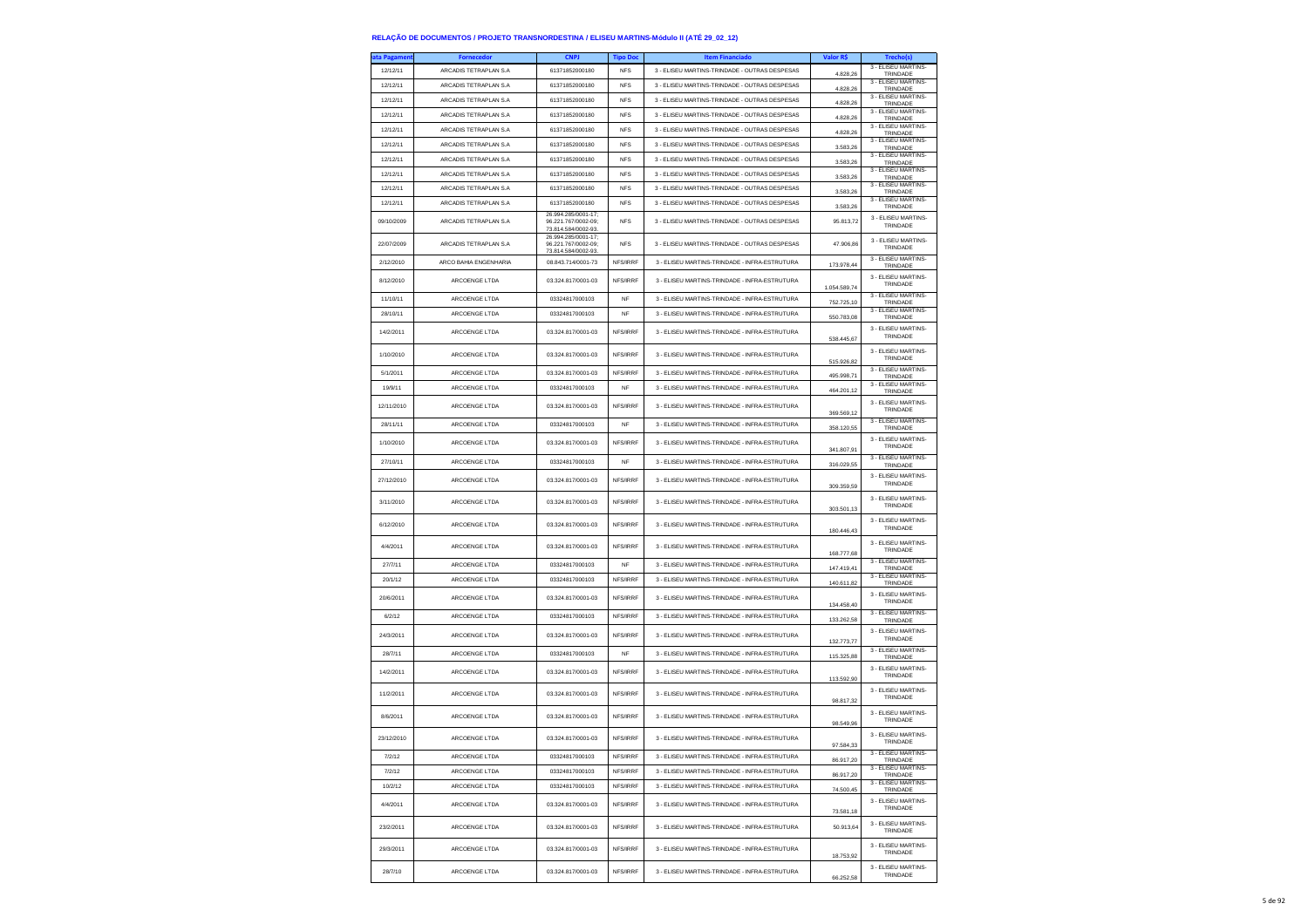| ta Pagamen | Fornecedor             | <b>CNPJ</b>                                                                              | <b>Tipo Doc</b> | <b>Item Financiado</b>                        | Valor R\$    | <b>Trechols</b>                 |
|------------|------------------------|------------------------------------------------------------------------------------------|-----------------|-----------------------------------------------|--------------|---------------------------------|
| 12/12/11   | ARCADIS TETRAPLAN S.A  | 61371852000180                                                                           | <b>NFS</b>      | 3 - ELISEU MARTINS-TRINDADE - OUTRAS DESPESAS | 4.828,26     | 3 - ELISEU MARTINS-<br>TRINDADE |
| 12/12/11   | ARCADIS TETRAPLAN S.A  | 61371852000180                                                                           | <b>NFS</b>      | 3 - ELISEU MARTINS-TRINDADE - OUTRAS DESPESAS | 4.828.26     | 3 - ELISEU MARTINS<br>TRINDADE  |
| 12/12/11   | ARCADIS TETRAPLAN S.A  | 61371852000180                                                                           | <b>NFS</b>      | 3 - ELISEU MARTINS-TRINDADE - OUTRAS DESPESAS | 4.828,26     | 3 - ELISEU MARTINS-<br>TRINDADE |
| 12/12/11   | ARCADIS TETRAPLAN S.A  | 61371852000180                                                                           | <b>NFS</b>      | 3 - ELISEU MARTINS-TRINDADE - OUTRAS DESPESAS | 4.828,26     | 3 - ELISEU MARTINS-<br>TRINDADE |
| 12/12/11   | ARCADIS TETRAPLAN S.A  | 61371852000180                                                                           | <b>NFS</b>      | 3 - ELISEU MARTINS-TRINDADE - OUTRAS DESPESAS | 4.828,26     | 3 - ELISEU MARTINS-<br>TRINDADE |
| 12/12/11   | ARCADIS TETRAPLAN S.A. | 61371852000180                                                                           | <b>NFS</b>      | 3 - ELISEU MARTINS-TRINDADE - OUTRAS DESPESAS | 3.583,26     | 3 - ELISEU MARTINS-<br>TRINDADE |
| 12/12/11   | ARCADIS TETRAPLAN S.A  | 61371852000180                                                                           | <b>NFS</b>      | 3 - ELISEU MARTINS-TRINDADE - OUTRAS DESPESAS | 3,583.26     | 3 - ELISEU MARTINS-<br>TRINDADE |
| 12/12/11   | ARCADIS TETRAPLAN S.A  | 61371852000180                                                                           | <b>NFS</b>      | 3 - ELISEU MARTINS-TRINDADE - OUTRAS DESPESAS | 3,583.26     | 3 - ELISEU MARTINS<br>TRINDADE  |
| 12/12/11   | ARCADIS TETRAPLAN S.A  | 61371852000180                                                                           | <b>NFS</b>      | 3 - ELISEU MARTINS-TRINDADE - OUTRAS DESPESAS | 3.583,26     | 3 - ELISEU MARTINS-<br>TRINDADE |
| 12/12/11   | ARCADIS TETRAPLAN S.A  | 61371852000180                                                                           | <b>NFS</b>      | 3 - ELISEU MARTINS-TRINDADE - OUTRAS DESPESAS | 3.583,26     | 3 - ELISEU MARTINS-<br>TRINDADE |
| 09/10/2009 | ARCADIS TETRAPLAN S.A  | 26.994.285/0001-17:<br>96.221.767/0002-09:<br>73.814.584/0002-93.<br>26.994.285/0001-17; | <b>NFS</b>      | 3 - ELISEU MARTINS-TRINDADE - OUTRAS DESPESAS | 95.813,72    | 3 - ELISEU MARTINS-<br>TRINDADE |
| 22/07/2009 | ARCADIS TETRAPLAN S.A  | 96.221.767/0002-09;<br>73.814.584/0002-93.                                               | <b>NFS</b>      | 3 - ELISEU MARTINS-TRINDADE - OUTRAS DESPESAS | 47.906,86    | 3 - ELISEU MARTINS-<br>TRINDADE |
| 2/12/2010  | ARCO BAHIA ENGENHARIA  | 08.843.714/0001-73                                                                       | NFS/IRRF        | 3 - ELISEU MARTINS-TRINDADE - INFRA-ESTRUTURA | 173,978.44   | 3 - ELISEU MARTINS-<br>TRINDADE |
| 8/12/2010  | ARCOENGE LTDA          | 03.324.817/0001-03                                                                       | NFS/IRRF        | 3 - ELISEU MARTINS-TRINDADE - INFRA-ESTRUTURA | 1.054.589,74 | 3 - ELISEU MARTINS-<br>TRINDADE |
| 11/10/11   | ARCOENGE LTDA          | 03324817000103                                                                           | NF              | 3 - ELISEU MARTINS-TRINDADE - INFRA-ESTRUTURA | 752.725,10   | 3 - ELISEU MARTINS-<br>TRINDADE |
| 28/10/11   | ARCOENGE LTDA          | 03324817000103                                                                           | NF              | 3 - ELISEU MARTINS-TRINDADE - INFRA-ESTRUTURA | 550.783,08   | 3 - ELISEU MARTINS-<br>TRINDADE |
| 14/2/2011  | ARCOENGE LTDA          | 03.324.817/0001-03                                                                       | NFS/IRRF        | 3 - ELISEU MARTINS-TRINDADE - INFRA-ESTRUTURA | 538.445,67   | 3 - ELISEU MARTINS-<br>TRINDADE |
| 1/10/2010  | ARCOENGE LTDA          | 03.324.817/0001-03                                                                       | NFS/IRRF        | 3 - ELISEU MARTINS-TRINDADE - INFRA-ESTRUTURA | 515.926.82   | 3 - ELISEU MARTINS-<br>TRINDADE |
| 5/1/2011   | ARCOENGE LTDA          | 03.324.817/0001-03                                                                       | NFS/IRRF        | 3 - ELISEU MARTINS-TRINDADE - INFRA-ESTRUTURA | 495.998,71   | 3 - ELISEU MARTINS-<br>TRINDADE |
| 19/9/11    | ARCOENGE LTDA          | 03324817000103                                                                           | NF              | 3 - ELISEU MARTINS-TRINDADE - INFRA-ESTRUTURA | 464.201,12   | 3 - ELISEU MARTINS-<br>TRINDADE |
| 12/11/2010 | ARCOENGE LTDA          | 03.324.817/0001-03                                                                       | NFS/IRRF        | 3 - ELISEU MARTINS-TRINDADE - INFRA-ESTRUTURA | 369.569,12   | 3 - ELISEU MARTINS-<br>TRINDADE |
| 28/11/11   | ARCOENGE LTDA          | 03324817000103                                                                           | <b>NF</b>       | 3 - ELISEU MARTINS-TRINDADE - INFRA-ESTRUTURA | 358.120,55   | 3 - ELISEU MARTINS-<br>TRINDADE |
| 1/10/2010  | ARCOENGE LTDA          | 03.324.817/0001-03                                                                       | NFS/IRRF        | 3 - ELISEU MARTINS-TRINDADE - INFRA-ESTRUTURA | 341,807.91   | 3 - ELISEU MARTINS-<br>TRINDADE |
| 27/10/11   | ARCOENGE LTDA          | 03324817000103                                                                           | NF              | 3 - ELISEU MARTINS-TRINDADE - INFRA-ESTRUTURA | 316.029,55   | 3 - ELISEU MARTINS-<br>TRINDADE |
| 27/12/2010 | ARCOENGE LTDA          | 03.324.817/0001-03                                                                       | NFS/IRRF        | 3 - ELISEU MARTINS-TRINDADE - INFRA-ESTRUTURA | 309.359.59   | 3 - ELISEU MARTINS-<br>TRINDADE |
| 3/11/2010  | ARCOENGE LTDA          | 03.324.817/0001-03                                                                       | NFS/IRRF        | 3 - ELISEU MARTINS-TRINDADE - INFRA-ESTRUTURA | 303.501,13   | 3 - FLISEU MARTINS-<br>TRINDADE |
| 6/12/2010  | ARCOENGE LTDA          | 03.324.817/0001-03                                                                       | NFS/IRRF        | 3 - ELISEU MARTINS-TRINDADE - INFRA-ESTRUTURA | 180.446.43   | 3 - ELISEU MARTINS-<br>TRINDADE |
| 4/4/2011   | ARCOENGE LTDA          | 03.324.817/0001-03                                                                       | NFS/IRRF        | 3 - ELISEU MARTINS-TRINDADE - INFRA-ESTRUTURA | 168.777,68   | 3 - ELISEU MARTINS-<br>TRINDADE |
| 27/7/11    | ARCOENGE LTDA          | 03324817000103                                                                           | NF              | 3 - ELISEU MARTINS-TRINDADE - INFRA-ESTRUTURA | 147.419,41   | 3 - ELISEU MARTINS-<br>TRINDADE |
| 20/1/12    | ARCOENGE LTDA          | 03324817000103                                                                           | NFS/IRRF        | 3 - ELISEU MARTINS-TRINDADE - INFRA-ESTRUTURA | 140.611,82   | 3 - ELISEU MARTINS-<br>TRINDADE |
| 20/6/2011  | ARCOENGE LTDA          | 03.324.817/0001-03                                                                       | NFS/IRRF        | 3 - ELISEU MARTINS-TRINDADE - INFRA-ESTRUTURA | 134.458,40   | 3 - ELISEU MARTINS-<br>TRINDADE |
| 6/2/12     | ARCOENGE LTDA          | 03324817000103                                                                           | NFS/IRRF        | 3 - ELISEU MARTINS-TRINDADE - INFRA-ESTRUTURA | 133,262.58   | 3 - ELISEU MARTINS-<br>TRINDADE |
| 24/3/2011  | ARCOENGE LTDA          | 03.324.817/0001-03                                                                       | NFS/IRRF        | 3 - ELISEU MARTINS-TRINDADE - INFRA-ESTRUTURA | 132.773,77   | 3 - ELISEU MARTINS-<br>TRINDADE |
| 28/7/11    | ARCOENGE LTDA          | 03324817000103                                                                           | NF              | 3 - ELISEU MARTINS-TRINDADE - INFRA-ESTRUTURA | 115,325.88   | 3 - ELISEU MARTINS-<br>TRINDADE |
| 14/2/2011  | ARCOENGE LTDA          | 03.324.817/0001-03                                                                       | NFS/IRRF        | 3 - ELISEU MARTINS-TRINDADE - INFRA-ESTRUTURA | 113,592.90   | 3 - ELISEU MARTINS-<br>TRINDADE |
| 11/2/2011  | ARCOENGE LTDA          | 03.324.817/0001-03                                                                       | NFS/IRRF        | 3 - ELISEU MARTINS-TRINDADE - INFRA-ESTRUTURA | 98.817,32    | 3 - ELISEU MARTINS-<br>TRINDADE |
| 8/6/2011   | ARCOENGE LTDA          | 03.324.817/0001-03                                                                       | NFS/IRRF        | 3 - ELISEU MARTINS-TRINDADE - INFRA-ESTRUTURA | 98.549,96    | 3 - ELISEU MARTINS-<br>TRINDADE |
| 23/12/2010 | ARCOENGE LTDA          | 03.324.817/0001-03                                                                       | NFS/IRRF        | 3 - FLISEU MARTINS-TRINDADE - INFRA-ESTRUTURA | 97.584.33    | 3 - ELISEU MARTINS-<br>TRINDADE |
| 7/2/12     | ARCOENGE LTDA          | 03324817000103                                                                           | NFS/IRRF        | 3 - ELISEU MARTINS-TRINDADE - INFRA-ESTRUTURA | 86.917,20    | 3 - ELISEU MARTINS-<br>TRINDADE |
| 7/2/12     | ARCOENGE LTDA          | 03324817000103                                                                           | NFS/IRRF        | 3 - ELISEU MARTINS-TRINDADE - INFRA-ESTRUTURA | 86.917,20    | 3 - ELISEU MARTINS-<br>TRINDADE |
| 10/2/12    | ARCOENGE LTDA          | 03324817000103                                                                           | NFS/IRRF        | 3 - ELISEU MARTINS-TRINDADE - INFRA-ESTRUTURA | 74,500.45    | 3 - ELISEU MARTINS-<br>TRINDADE |
| 4/4/2011   | ARCOENGE LTDA          | 03.324.817/0001-03                                                                       | NFS/IRRF        | 3 - ELISEU MARTINS-TRINDADE - INFRA-ESTRUTURA | 73.581,18    | 3 - FLISEU MARTINS-<br>TRINDADE |
| 23/2/2011  | ARCOENGE LTDA          | 03.324.817/0001-03                                                                       | NES/IRRE        | 3 - ELISEU MARTINS-TRINDADE - INFRA-ESTRUTURA | 50.913.64    | 3 - ELISEU MARTINS-<br>TRINDADE |
| 29/3/2011  | ARCOENGE LTDA          | 03.324.817/0001-03                                                                       | NFS/IRRF        | 3 - ELISEU MARTINS-TRINDADE - INFRA-ESTRUTURA | 18.753,92    | 3 - FLISEU MARTINS-<br>TRINDADE |
| 28/7/10    | ARCOENGE LTDA          | 03.324.817/0001-03                                                                       | NFS/IRRF        | 3 - ELISEU MARTINS-TRINDADE - INFRA-ESTRUTURA | 66 252 58    | 3 - ELISEU MARTINS-<br>TRINDADE |

66.252,58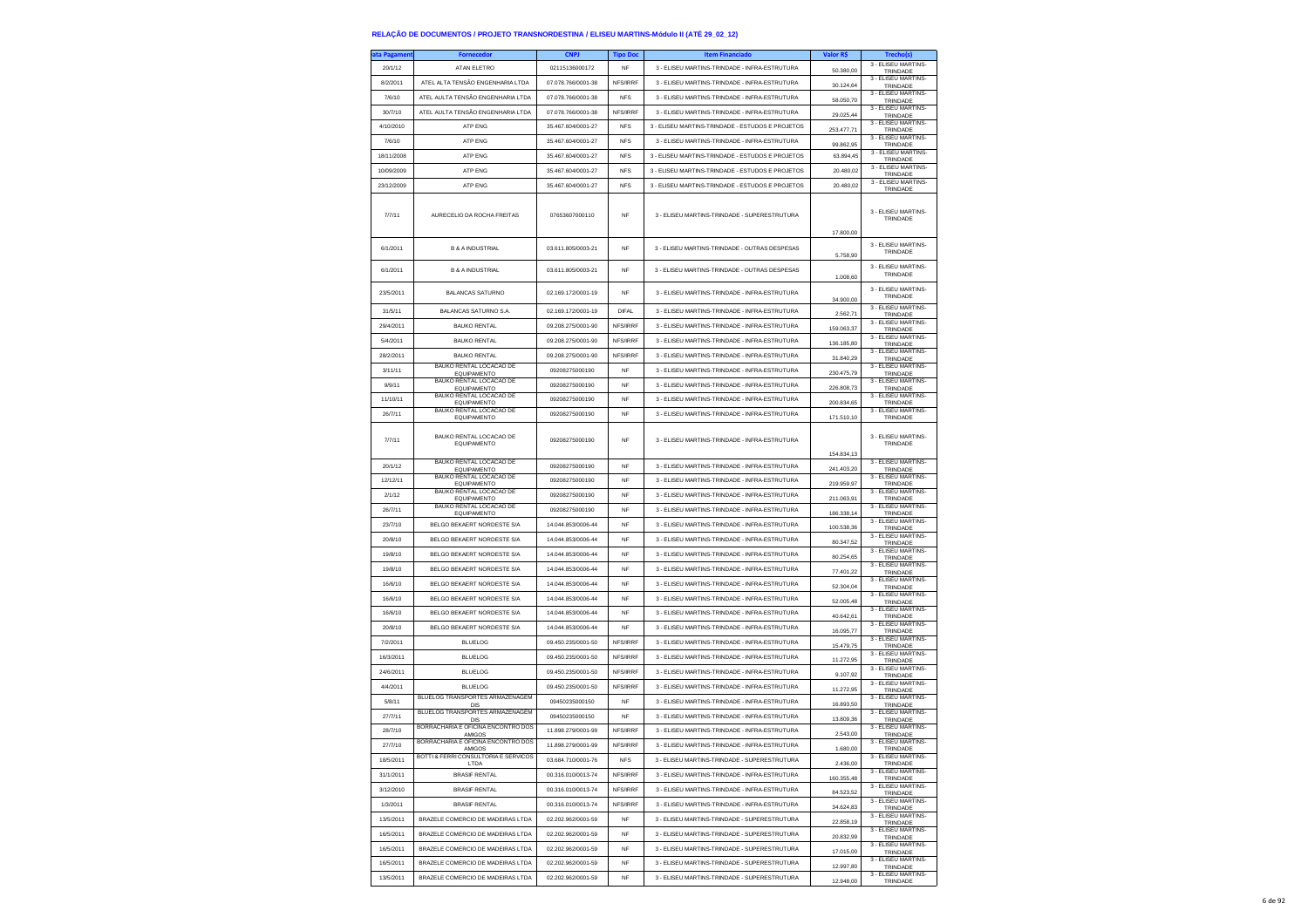| ita Pagameni | <b>Fornecedor</b>                                 | <b>CNPJ</b>        | <b>Tipo Doc</b> | <b>Item Financiado</b>                           | Valor R\$  | Trecho(s)                                              |
|--------------|---------------------------------------------------|--------------------|-----------------|--------------------------------------------------|------------|--------------------------------------------------------|
| 20/1/12      | ATAN ELETRO                                       | 02115136000172     | NF              | 3 - ELISEU MARTINS-TRINDADE - INFRA-ESTRUTURA    | 50,380.00  | 3 - ELISEU MARTINS-<br>TRINDADE                        |
| 8/2/2011     | ATEL ALTA TENSÃO ENGENHARIA LTDA                  | 07.078.766/0001-38 | NFS/IRRF        | 3 - ELISEU MARTINS-TRINDADE - INFRA-ESTRUTURA    | 30.124,64  | 3 - ELISEU MARTINS-                                    |
| 7/6/10       | ATEL AULTA TENSÃO ENGENHARIA LTDA                 | 07.078.766/0001-38 | <b>NFS</b>      | 3 - ELISEU MARTINS-TRINDADE - INFRA-ESTRUTURA    |            | TRINDADE<br>3 - ELISEU MARTINS-                        |
| 30/7/10      | ATEL AULTA TENSÃO ENGENHARIA LTDA                 | 07.078.766/0001-38 | NFS/IRRF        | 3 - ELISEU MARTINS-TRINDADE - INFRA-ESTRUTURA    | 58.050,70  | TRINDADE<br>3 - ELISEU MARTINS-                        |
|              |                                                   |                    |                 |                                                  | 29.025.44  | TRINDADE<br>3 - ELISEU MARTINS-                        |
| 4/10/2010    | ATP FNG                                           | 35.467.604/0001-27 | <b>NFS</b>      | 3 - ELISEU MARTINS-TRINDADE - ESTUDOS E PROJETOS | 253.477,71 | TRINDADE<br>3 - ELISEU MARTINS-                        |
| 7/6/10       | <b>ATP ENG</b>                                    | 35.467.604/0001-27 | <b>NFS</b>      | 3 - ELISEU MARTINS-TRINDADE - INFRA-ESTRUTURA    | 99.862,95  | TRINDADE                                               |
| 18/11/2008   | ATP ENG                                           | 35.467.604/0001-27 | <b>NFS</b>      | 3 - ELISEU MARTINS-TRINDADE - ESTUDOS E PROJETOS | 63.894,45  | 3 - ELISEU MARTINS-<br>TRINDADE                        |
| 10/09/2009   | ATP ENG                                           | 35.467.604/0001-27 | <b>NFS</b>      | 3 - ELISEU MARTINS-TRINDADE - ESTUDOS E PROJETOS | 20.480.02  | 3 - ELISEU MARTINS-<br>TRINDADE                        |
| 23/12/2009   | ATP ENG                                           | 35.467.604/0001-27 | <b>NFS</b>      | 3 - ELISEU MARTINS-TRINDADE - ESTUDOS E PROJETOS | 20.480,02  | 3 - ELISEU MARTINS-<br>TRINDADE                        |
| 7/7/11       | AURECELIO DA ROCHA FREITAS                        | 07653607000110     | <b>NF</b>       | 3 - ELISEU MARTINS-TRINDADE - SUPERESTRUTURA     | 17.800,00  | 3 - ELISEU MARTINS-<br>TRINDADE                        |
| 6/1/2011     | <b>B &amp; A INDUSTRIAL</b>                       | 03.611.805/0003-21 | <b>NF</b>       | 3 - ELISEU MARTINS-TRINDADE - OUTRAS DESPESAS    | 5.758,90   | 3 - ELISEU MARTINS-<br>TRINDADE                        |
| 6/1/2011     | <b>B &amp; A INDUSTRIAL</b>                       | 03.611.805/0003-21 | <b>NF</b>       | 3 - ELISEU MARTINS-TRINDADE - OUTRAS DESPESAS    | 1.008,60   | 3 - FLISEU MARTINS-<br>TRINDADE                        |
| 23/5/2011    | <b>BALANCAS SATURNO</b>                           | 02.169.172/0001-19 | NF              | 3 - ELISEU MARTINS-TRINDADE - INFRA-ESTRUTURA    | 34.900,00  | 3 - ELISEU MARTINS-<br>TRINDADE                        |
| 31/5/11      | BALANCAS SATURNO S.A.                             | 02.169.172/0001-19 | <b>DIFAL</b>    | 3 - ELISEU MARTINS-TRINDADE - INFRA-ESTRUTURA    | 2.562,71   | 3 - ELISEU MARTINS-<br>TRINDADE                        |
| 29/4/2011    | <b>BAUKO RENTAL</b>                               | 09.208.275/0001-90 | NFS/IRRF        | 3 - ELISEU MARTINS-TRINDADE - INFRA-ESTRUTURA    | 159.063.37 | 3 - ELISEU MARTINS<br>TRINDADE                         |
| 5/4/2011     | <b>BAUKO RENTAL</b>                               | 09.208.275/0001-90 | NFS/IRRF        | 3 - ELISEU MARTINS-TRINDADE - INFRA-ESTRUTURA    | 136.185,80 | 3 - ELISEU MARTINS-<br>TRINDADE                        |
| 28/2/2011    | <b>BAUKO RENTAL</b>                               | 09.208.275/0001-90 | NFS/IRRF        | 3 - ELISEU MARTINS-TRINDADE - INFRA-ESTRUTURA    | 31.840,29  | 3 - ELISEU MARTINS-                                    |
| 3/11/11      | BAUKO RENTAL LOCACAO DE                           | 09208275000190     | NF              | 3 - ELISEU MARTINS-TRINDADE - INFRA-ESTRUTURA    |            | TRINDADE<br>3 - ELISEU MARTINS-                        |
| 9/9/11       | <b>EQUIPAMENTO</b><br>BAUKO RENTAL LOCACAO DE     | 09208275000190     | <b>NF</b>       | 3 - ELISEU MARTINS-TRINDADE - INFRA-ESTRUTURA    | 230.475,79 | TRINDADE<br>3 - ELISEU MARTINS-                        |
|              | EQUIPAMENTO<br>BAUKO RENTAL LOCACAO DE            |                    |                 |                                                  | 226,808.73 | TRINDADE<br>3 - ELISEU MARTINS-                        |
| 11/10/11     | EQUIPAMENTO<br>BAUKO RENTAL LOCACAO DE            | 09208275000190     | <b>NF</b>       | 3 - ELISEU MARTINS-TRINDADE - INFRA-ESTRUTURA    | 200.834.65 | TRINDADE<br>3 - ELISEU MARTINS-                        |
| 26/7/11      | <b>EQUIPAMENTO</b>                                | 09208275000190     | NF              | 3 - ELISEU MARTINS-TRINDADE - INFRA-ESTRUTURA    | 171.510,10 | TRINDADE                                               |
| 7/7/11       | BAUKO RENTAL LOCACAO DE<br><b>FOUPAMENTO</b>      | 09208275000190     | <b>NF</b>       | 3 - ELISEU MARTINS-TRINDADE - INFRA-ESTRUTURA    | 154.834,13 | 3 - ELISEU MARTINS-<br>TRINDADE                        |
| 20/1/12      | BAUKO RENTAL LOCACAO DE<br><b>EQUIPAMENTO</b>     | 09208275000190     | <b>NF</b>       | 3 - ELISEU MARTINS-TRINDADE - INFRA-ESTRUTURA    | 241.403.20 | 3 - ELISEU MARTINS-<br>TRINDADE                        |
| 12/12/11     | BAUKO RENTAL LOCACAO DE<br>EQUIPAMENTO            | 09208275000190     | <b>NF</b>       | 3 - FLISELLMARTINS-TRINDADE - INFRA-ESTRUTURA    | 219.959,97 | 3 - ELISEU MARTINS-<br>TRINDADE                        |
| 2/1/12       | BAUKO RENTAL LOCACAO DE<br>EQUIPAMENTO            | 09208275000190     | NF              | 3 - ELISEU MARTINS-TRINDADE - INFRA-ESTRUTURA    | 211.063,91 | 3 - ELISEU MARTINS-<br>TRINDADE                        |
| 26/7/11      | BAUKO RENTAL LOCACAO DE                           | 09208275000190     | <b>NF</b>       | 3 - ELISEU MARTINS-TRINDADE - INFRA-ESTRUTURA    | 186.338,14 | 3 - ELISEU MARTINS-                                    |
| 23/7/10      | EQUIPAMENTO<br>BELGO BEKAERT NORDESTE S/A         | 14.044.853/0006-44 | <b>NF</b>       | 3 - ELISEU MARTINS-TRINDADE - INFRA-ESTRUTURA    |            | TRINDADE<br>3 - ELISEU MARTINS-                        |
| 20/8/10      | BELGO BEKAERT NORDESTE S/A                        | 14.044.853/0006-44 | <b>NF</b>       | 3 - ELISEU MARTINS-TRINDADE - INFRA-ESTRUTURA    | 100.538,36 | TRINDADE<br>3 - ELISEU MARTINS-                        |
|              |                                                   |                    | <b>NF</b>       |                                                  | 80.347,52  | TRINDADE<br>3 - ELISEU MARTINS                         |
| 19/8/10      | BELGO BEKAERT NORDESTE S/A                        | 14.044.853/0006-44 |                 | 3 - ELISEU MARTINS-TRINDADE - INFRA-ESTRUTURA    | 80.254.65  | TRINDADE<br>3 - ELISEU MARTINS-                        |
| 19/8/10      | BELGO BEKAERT NORDESTE S/A                        | 14.044.853/0006-44 | <b>NF</b>       | 3 - ELISEU MARTINS-TRINDADE - INFRA-ESTRUTURA    | 77.401,22  | TRINDADE<br>3 - ELISEU MARTINS-                        |
| 16/6/10      | BELGO BEKAERT NORDESTE S/A                        | 14.044.853/0006-44 | <b>NF</b>       | 3 - ELISEU MARTINS-TRINDADE - INFRA-ESTRUTURA    | 52.304,04  | TRINDADE                                               |
| 16/6/10      | BELGO BEKAERT NORDESTE S/A                        | 14.044.853/0006-44 | <b>NF</b>       | 3 - ELISEU MARTINS-TRINDADE - INFRA-ESTRUTURA    | 52.005.48  | 3 - ELISEU MARTINS-<br>TRINDADE                        |
| 16/6/10      | BELGO BEKAERT NORDESTE S/A                        | 14.044.853/0006-44 | <b>NF</b>       | 3 - ELISEU MARTINS-TRINDADE - INFRA-ESTRUTURA    | 40.642,61  | 3 - ELISEU MARTINS-<br>TRINDADE                        |
| 20/8/10      | BELGO BEKAERT NORDESTE S/A                        | 14.044.853/0006-44 | <b>NF</b>       | 3 - ELISEU MARTINS-TRINDADE - INFRA-ESTRUTURA    | 16.095,77  | 3 - ELISEU MARTINS-<br>TRINDADE                        |
| 7/2/2011     | <b>BLUELOG</b>                                    | 09.450.235/0001-50 | NFS/IRRF        | 3 - ELISEU MARTINS-TRINDADE - INFRA-ESTRUTURA    | 15,479.75  | 3 - ELISEU MARTINS<br>TRINDADE                         |
| 16/3/2011    | <b>BLUELOG</b>                                    | 09.450.235/0001-50 | NES/IRRE        | 3 - ELISEU MARTINS-TRINDADE - INFRA-ESTRUTURA    |            | 3 - ELISEU MARTINS-                                    |
| 24/6/2011    | <b>BLUELOG</b>                                    | 09.450.235/0001-50 | NFS/IRRF        | 3 - ELISEU MARTINS-TRINDADE - INFRA-ESTRUTURA    | 11.272,95  | TRINDADE<br>3 - ELISEU MARTINS-                        |
|              |                                                   |                    |                 |                                                  | 9.107,92   | TRINDADE<br>3 - ELISEU MARTINS-                        |
| 4/4/2011     | <b>BLUELOG</b><br>BLUELOG TRANSPORTES ARMAZENAGEM | 09.450.235/0001-50 | NFS/IRRF        | 3 - ELISEU MARTINS-TRINDADE - INFRA-ESTRUTURA    | 11.272,95  | TRINDADE<br>3 - ELISEU MARTINS-                        |
| 5/8/11       | DIS<br>BLUELOG TRANSPORTES ARMAZENAGEM            | 09450235000150     | <b>NF</b>       | 3 - ELISEU MARTINS-TRINDADE - INFRA-ESTRUTURA    | 16.893,50  | TRINDADE<br>3 - ELISEU MARTINS-                        |
| 27/7/11      | DIS<br>BORRACHARIA E OFICINA ENCONTRO DOS         | 09450235000150     | <b>NF</b>       | 3 - ELISEU MARTINS-TRINDADE - INFRA-ESTRUTURA    | 13.809,36  | TRINDADE<br>3 - ELISEU MARTINS-                        |
| 28/7/10      | AMIGOS                                            | 11.898.279/0001-99 | NFS/IRRF        | 3 - ELISEU MARTINS-TRINDADE - INFRA-ESTRUTURA    | 2.543,00   | TRINDADE                                               |
| 27/7/10      | BORRACHARIA E OFICINA ENCONTRO DOS<br>AMIGOS      | 11 898 279/0001-99 | NFS/IRRF        | 3 - ELISEU MARTINS-TRINDADE - INFRA-ESTRUTURA    | 1.680.00   | 3 - ELISEU MARTINS<br>TRINDADI                         |
| 18/5/2011    | BOTTI & FERRI CONSULTORIA E SERVICOS<br>LTDA      | 03.684.710/0001-76 | <b>NFS</b>      | 3 - ELISEU MARTINS-TRINDADE - SUPERESTRUTURA     | 2.436,00   | 3 - ELISEU MARTINS-<br>TRINDADE<br>3 - ELISEU MARTINS- |
| 31/1/2011    | <b>BRASIF RENTAL</b>                              | 00.316.010/0013-74 | NFS/IRRF        | 3 - ELISEU MARTINS-TRINDADE - INFRA-ESTRUTURA    | 160 355 48 | TRINDADE<br>3 - FLISEU MARTINS-                        |
| 3/12/2010    | <b>BRASIF RENTAL</b>                              | 00.316.010/0013-74 | NFS/IRRF        | 3 - ELISEU MARTINS-TRINDADE - INFRA-ESTRUTURA    | 84.523.52  | TRINDADE                                               |
| 1/3/2011     | <b>BRASIF RENTAL</b>                              | 00.316.010/0013-74 | NFS/IRRF        | 3 - ELISEU MARTINS-TRINDADE - INFRA-ESTRUTURA    | 34.624,83  | 3 - ELISEU MARTINS-<br>TRINDADE                        |
| 13/5/2011    | BRAZELE COMERCIO DE MADEIRAS LTDA                 | 02.202.962/0001-59 | NF              | 3 - ELISEU MARTINS-TRINDADE - SUPERESTRUTURA     | 22,858.19  | 3 - ELISEU MARTINS-<br>TRINDADE                        |
| 16/5/2011    | BRAZELE COMERCIO DE MADEIRAS LTDA                 | 02.202.962/0001-59 | <b>NF</b>       | 3 - ELISEU MARTINS-TRINDADE - SUPERESTRUTURA     | 20.832.99  | 3 - FLISEU MARTINS-<br>TRINDADE                        |
| 16/5/2011    | BRAZELE COMERCIO DE MADEIRAS LTDA                 | 02.202.962/0001-59 | <b>NF</b>       | 3 - ELISEU MARTINS-TRINDADE - SUPERESTRUTURA     | 17.015,00  | 3 - ELISEU MARTINS-<br>TRINDADE                        |
| 16/5/2011    | BRAZELE COMERCIO DE MADEIRAS LTDA                 | 02.202.962/0001-59 | NF              | 3 - ELISEU MARTINS-TRINDADE - SUPERESTRUTURA     | 12.997,80  | 3 - ELISEU MARTINS-<br>TRINDADE                        |
| 13/5/2011    | BRAZELE COMERCIO DE MADEIRAS LTDA                 | 02.202.962/0001-59 | <b>NF</b>       | 3 - ELISEU MARTINS-TRINDADE - SUPERESTRUTURA     |            | 3 - FLISEU MARTINS-                                    |
|              |                                                   |                    |                 |                                                  | 12.948,00  | TRINDADE                                               |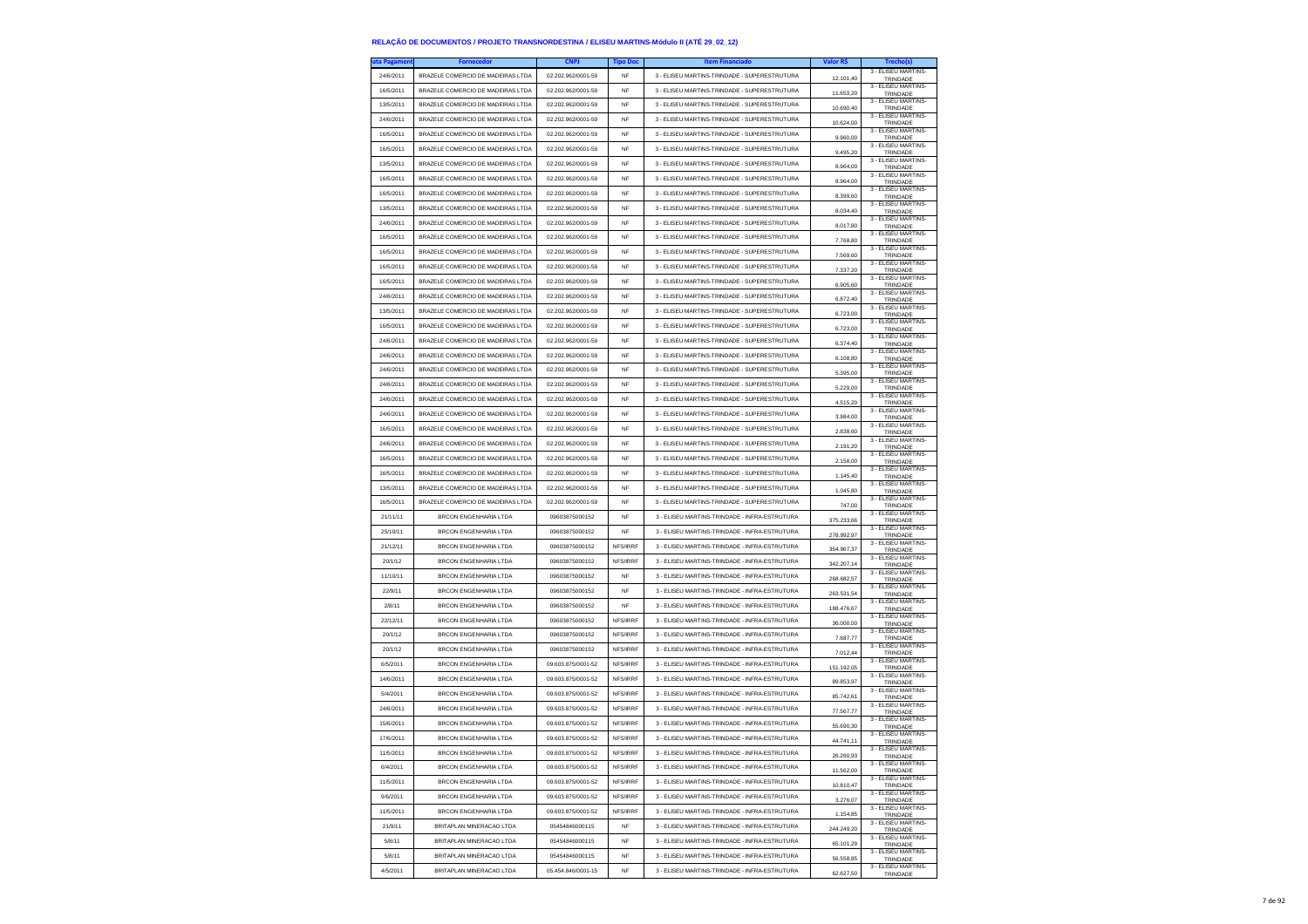| a Pagame  | <b>Fornecedo</b>                  | <b>CNPJ</b>        | <b>Tipo Doc</b> | <b>Item Financiado</b>                        | Valor R\$  | Trecho(s)                       |
|-----------|-----------------------------------|--------------------|-----------------|-----------------------------------------------|------------|---------------------------------|
| 24/6/2011 | BRAZELE COMERCIO DE MADEIRAS LTDA | 02.202.962/0001-59 | NF              | 3 - ELISEU MARTINS-TRINDADE - SUPERESTRUTURA  | 12.101,40  | 3 - ELISEU MARTINS-<br>TRINDADE |
| 16/5/2011 | BRAZELE COMERCIO DE MADEIRAS LTDA | 02.202.962/0001-59 | NF              | 3 - ELISEU MARTINS-TRINDADE - SUPERESTRUTURA  | 11.653,20  | 3 - ELISEU MARTINS-<br>TRINDADE |
| 13/5/2011 | BRAZELE COMERCIO DE MADEIRAS LTDA | 02.202.962/0001-59 | <b>NF</b>       | 3 - ELISEU MARTINS-TRINDADE - SUPERESTRUTURA  | 10 690 40  | 3 - ELISEU MARTINS-<br>TRINDADE |
| 24/6/2011 | BRAZELE COMERCIO DE MADEIRAS LTDA | 02.202.962/0001-59 | <b>NF</b>       | 3 - ELISEU MARTINS-TRINDADE - SUPERESTRUTURA  | 10.624,00  | 3 - ELISEU MARTINS-<br>TRINDADE |
| 16/5/2011 | BRAZELE COMERCIO DE MADEIRAS LTDA | 02.202.962/0001-59 | NF              | 3 - ELISEU MARTINS-TRINDADE - SUPERESTRUTURA  | 9.960,00   | 3 - ELISEU MARTINS-<br>TRINDADE |
| 16/5/2011 | BRAZELE COMERCIO DE MADEIRAS LTDA | 02.202.962/0001-59 | <b>NF</b>       | 3 - ELISEU MARTINS-TRINDADE - SUPERESTRUTURA  | 9.495.20   | 3 - ELISEU MARTINS-<br>TRINDADE |
| 13/5/2011 | BRAZELE COMERCIO DE MADEIRAS LTDA | 02.202.962/0001-59 | NF              | 3 - ELISEU MARTINS-TRINDADE - SUPERESTRUTURA  | 8,964.00   | 3 - ELISEU MARTINS-<br>TRINDADE |
| 16/5/2011 | BRAZELE COMERCIO DE MADEIRAS LTDA | 02.202.962/0001-59 | <b>NF</b>       | 3 - ELISEU MARTINS-TRINDADE - SUPERESTRUTURA  | 8.964,00   | 3 - ELISEU MARTINS-<br>TRINDADE |
| 16/5/2011 | BRAZELE COMERCIO DE MADEIRAS LTDA | 02.202.962/0001-59 | <b>NF</b>       | 3 - ELISEU MARTINS-TRINDADE - SUPERESTRUTURA  | 8,399.60   | 3 - ELISEU MARTINS-<br>TRINDADE |
| 13/5/2011 | BRAZELE COMERCIO DE MADEIRAS LTDA | 02 202 962/0001-59 | <b>NF</b>       | 3 - ELISEU MARTINS-TRINDADE - SUPERESTRUTURA  | 8.034,40   | 3 - ELISEU MARTINS-<br>TRINDADE |
| 24/6/2011 | BRAZELE COMERCIO DE MADEIRAS LTDA | 02.202.962/0001-59 | <b>NF</b>       | 3 - ELISEU MARTINS-TRINDADE - SUPERESTRUTURA  | 8.017,80   | 3 - ELISEU MARTINS-<br>TRINDADE |
| 16/5/2011 | BRAZELE COMERCIO DE MADEIRAS LTDA | 02 202 962/0001-59 | <b>NF</b>       | 3 - ELISEU MARTINS-TRINDADE - SUPERESTRUTURA  | 7.768.80   | 3 - ELISEU MARTINS-<br>TRINDADE |
| 16/5/2011 | BRAZELE COMERCIO DE MADEIRAS LTDA | 02 202 962/0001-59 | <b>NF</b>       | 3 - ELISEU MARTINS-TRINDADE - SUPERESTRUTURA  | 7.569,60   | 3 - FLISEU MARTINS-<br>TRINDADE |
| 16/5/2011 | BRAZELE COMERCIO DE MADEIRAS LTDA | 02.202.962/0001-59 | <b>NF</b>       | 3 - ELISEU MARTINS-TRINDADE - SUPERESTRUTURA  | 7.337,20   | 3 - ELISEU MARTINS-<br>TRINDADE |
| 16/5/2011 | BRAZELE COMERCIO DE MADEIRAS LTDA | 02.202.962/0001-59 | NF              | 3 - ELISEU MARTINS-TRINDADE - SUPERESTRUTURA  | 6,905.60   | 3 - FLISEU MARTINS-<br>TRINDADE |
| 24/6/2011 | BRAZELE COMERCIO DE MADEIRAS LTDA | 02.202.962/0001-59 | <b>NF</b>       | 3 - ELISEU MARTINS-TRINDADE - SUPERESTRUTURA  | 6.872,40   | 3 - ELISEU MARTINS-<br>TRINDADE |
| 13/5/2011 | BRAZELE COMERCIO DE MADEIRAS LTDA | 02.202.962/0001-59 | <b>NF</b>       | 3 - ELISEU MARTINS-TRINDADE - SUPERESTRUTURA  | 6.723,00   | 3 - ELISEU MARTINS-<br>TRINDADE |
| 16/5/2011 | BRAZELE COMERCIO DE MADEIRAS LTDA | 02.202.962/0001-59 | NF              | 3 - ELISEU MARTINS-TRINDADE - SUPERESTRUTURA  | 6.723,00   | 3 - ELISEU MARTINS-<br>TRINDADE |
| 24/6/2011 | BRAZELE COMERCIO DE MADEIRAS LTDA | 02.202.962/0001-59 | NF              | 3 - ELISEU MARTINS-TRINDADE - SUPERESTRUTURA  | 6.374,40   | 3 - ELISEU MARTINS-<br>TRINDADE |
| 24/6/2011 | BRAZELE COMERCIO DE MADEIRAS LTDA | 02.202.962/0001-59 | NF              | 3 - ELISEU MARTINS-TRINDADE - SUPERESTRUTURA  | 6.108,80   | 3 - ELISEU MARTINS-<br>TRINDADE |
| 24/6/2011 | BRAZELE COMERCIO DE MADEIRAS LTDA | 02.202.962/0001-59 | NF              | 3 - ELISEU MARTINS-TRINDADE - SUPERESTRUTURA  | 5.395,00   | 3 - FLISEU MARTINS-<br>TRINDADE |
| 24/6/2011 | BRAZELE COMERCIO DE MADEIRAS LTDA | 02.202.962/0001-59 | <b>NF</b>       | 3 - ELISEU MARTINS-TRINDADE - SUPERESTRUTURA  | 5.229,00   | 3 - FLISEU MARTINS-<br>TRINDADE |
| 24/6/2011 | BRAZELE COMERCIO DE MADEIRAS LTDA | 02.202.962/0001-59 | <b>NF</b>       | 3 - ELISEU MARTINS-TRINDADE - SUPERESTRUTURA  | 4.515,20   | 3 - ELISEU MARTINS-<br>TRINDADE |
| 24/6/2011 | BRAZELE COMERCIO DE MADEIRAS LTDA | 02.202.962/0001-59 | NF              | 3 - ELISEU MARTINS-TRINDADE - SUPERESTRUTURA  | 3.984,00   | 3 - ELISEU MARTINS-<br>TRINDADE |
| 16/5/2011 | BRAZELE COMERCIO DE MADEIRAS LTDA | 02 202 962/0001-59 | <b>NF</b>       | 3 - ELISEU MARTINS-TRINDADE - SUPERESTRUTURA  | 2.838.60   | 3 - FLISEU MARTINS-<br>TRINDADE |
| 24/6/2011 | BRAZELE COMERCIO DE MADEIRAS LTDA | 02.202.962/0001-59 | NF              | 3 - ELISEU MARTINS-TRINDADE - SUPERESTRUTURA  | 2.191,20   | 3 - ELISEU MARTINS-<br>TRINDADE |
| 16/5/2011 | BRAZELE COMERCIO DE MADEIRAS LTDA | 02.202.962/0001-59 | NF              | 3 - ELISEU MARTINS-TRINDADE - SUPERESTRUTURA  | 2.158,00   | 3 - ELISEU MARTINS-<br>TRINDADE |
| 16/5/2011 | BRAZELE COMERCIO DE MADEIRAS LTDA | 02.202.962/0001-59 | <b>NF</b>       | 3 - ELISEU MARTINS-TRINDADE - SUPERESTRUTURA  | 1.145.40   | 3 - ELISEU MARTINS-<br>TRINDADE |
| 13/5/2011 | BRAZELE COMERCIO DE MADEIRAS LTDA | 02.202.962/0001-59 | <b>NF</b>       | 3 - ELISEU MARTINS-TRINDADE - SUPERESTRUTURA  | 1.045,80   | 3 - ELISEU MARTINS-<br>TRINDADE |
| 16/5/2011 | BRAZELE COMERCIO DE MADEIRAS LTDA | 02.202.962/0001-59 | NF              | 3 - ELISEU MARTINS-TRINDADE - SUPERESTRUTURA  | 747,00     | 3 - ELISEU MARTINS-<br>TRINDADE |
| 21/11/11  | <b>BRCON ENGENHARIA LTDA</b>      | 09603875000152     | NF              | 3 - ELISEU MARTINS-TRINDADE - INFRA-ESTRUTURA | 375,233,66 | 3 - ELISEU MARTINS-<br>TRINDADE |
| 25/10/11  | <b>BRCON ENGENHARIA LTDA</b>      | 09603875000152     | NF              | 3 - ELISEU MARTINS-TRINDADE - INFRA-ESTRUTURA | 278.992,97 | 3 - ELISEU MARTINS-<br>TRINDADE |
| 21/12/11  | <b>BRCON ENGENHARIA LTDA</b>      | 09603875000152     | NFS/IRRF        | 3 - ELISEU MARTINS-TRINDADE - INFRA-ESTRUTURA | 354.967,37 | 3 - ELISEU MARTINS-<br>TRINDADE |
| 20/1/12   | <b>BRCON ENGENHARIA LTDA</b>      | 09603875000152     | NFS/IRRF        | 3 - ELISEU MARTINS-TRINDADE - INFRA-ESTRUTURA | 342.207.14 | 3 - ELISEU MARTINS-<br>TRINDADE |
| 11/10/11  | <b>BRCON ENGENHARIA LTDA</b>      | 09603875000152     | <b>NF</b>       | 3 - ELISEU MARTINS-TRINDADE - INFRA-ESTRUTURA | 268.682,57 | 3 - ELISEU MARTINS-<br>TRINDADE |
| 22/9/11   | <b>BRCON ENGENHARIA LTDA</b>      | 09603875000152     | <b>NF</b>       | 3 - ELISEU MARTINS-TRINDADE - INFRA-ESTRUTURA | 263.531,54 | 3 - ELISEU MARTINS-<br>TRINDADE |
| 2/8/11    | <b>BRCON ENGENHARIA LTDA</b>      | 09603875000152     | NF              | 3 - ELISEU MARTINS-TRINDADE - INFRA-ESTRUTURA | 188,476.67 | 3 - ELISEU MARTINS-<br>TRINDADE |
| 22/12/11  | <b>BRCON ENGENHARIA LTDA</b>      | 09603875000152     | NFS/IRRF        | 3 - ELISEU MARTINS-TRINDADE - INFRA-ESTRUTURA | 36.000,00  | 3 - ELISEU MARTINS-<br>TRINDADE |
| 20/1/12   | <b>BRCON ENGENHARIA LTDA</b>      | 09603875000152     | NFS/IRRF        | 3 - ELISEU MARTINS-TRINDADE - INFRA-ESTRUTURA | 7.687,77   | 3 - ELISEU MARTINS-<br>TRINDADE |
| 20/1/12   | <b>BRCON ENGENHARIA LTDA</b>      | 09603875000152     | NFS/IRRF        | 3 - ELISEU MARTINS-TRINDADE - INFRA-ESTRUTURA | 7.012.44   | 3 - ELISEU MARTINS-<br>TRINDADE |
| 6/5/2011  | <b>BRCON ENGENHARIA LTDA</b>      | 09.603.875/0001-52 | NFS/IRRF        | 3 - ELISEU MARTINS-TRINDADE - INFRA-ESTRUTURA | 151.192,05 | 3 - FLISEU MARTINS-<br>TRINDADE |
| 14/6/2011 | <b>BRCON ENGENHARIA LTDA</b>      | 09.603.875/0001-52 | NFS/IRRF        | 3 - ELISEU MARTINS-TRINDADE - INFRA-ESTRUTURA | 89.853,97  | 3 - ELISEU MARTINS-<br>TRINDADE |
| 5/4/2011  | <b>BRCON ENGENHARIA LTDA</b>      | 09.603.875/0001-52 | NFS/IRRF        | 3 - ELISEU MARTINS-TRINDADE - INFRA-ESTRUTURA | 85.742.61  | 3 - ELISEU MARTINS-<br>TRINDADE |
| 24/6/2011 | <b>BRCON ENGENHARIA LTDA</b>      | 09.603.875/0001-52 | <b>NFS/IRRF</b> | 3 - ELISEU MARTINS-TRINDADE - INFRA-ESTRUTURA | 77.567,77  | 3 - FLISEU MARTINS-<br>TRINDADE |
| 15/6/2011 | <b>BRCON ENGENHARIA LTDA</b>      | 09 603 875/0001-52 | <b>NES/IRRE</b> | 3 - ELISEU MARTINS-TRINDADE - INFRA-ESTRUTURA | 55.690,30  | 3 - ELISEU MARTINS-<br>TRINDADE |
| 17/6/2011 | BRCON ENGENHARIA LTDA             | 09.603.875/0001-52 | <b>NFS/IRRF</b> | 3 - ELISEU MARTINS-TRINDADE - INFRA-ESTRUTURA | 44.741.11  | 3 - ELISEU MARTINS-<br>TRINDADE |
| 11/5/2011 | BRCON ENGENHARIA I TDA            | 09-10003-028-000   | <b>NES/IRRE</b> | 3 - FLISELLMARTINS-TRINDADE - INFRA-ESTRUTURA | 26.260,93  | 3 - ELISEU MARTINS-<br>TRINDADE |
| 6/4/2011  | <b>BRCON ENGENHARIA LTDA</b>      | 09.603.875/0001-52 | NFS/IRRF        | 3 - ELISEU MARTINS-TRINDADE - INFRA-ESTRUTURA | 11.562,00  | 3 - ELISEU MARTINS-<br>TRINDADE |
| 11/5/2011 | BRCON ENGENHARIA LTDA             | 09.603.875/0001-52 | NFS/IRRF        | 3 - ELISEU MARTINS-TRINDADE - INFRA-ESTRUTURA | 10.810,47  | 3 - ELISEU MARTINS-<br>TRINDADE |
| 9/6/2011  | BRCON ENGENHARIA LTDA             | 09.603.875/0001-52 | NFS/IRRF        | 3 - ELISEU MARTINS-TRINDADE - INFRA-ESTRUTURA | 3.276,07   | 3 - FLISEU MARTINS-<br>TRINDADE |
| 11/5/2011 | <b>BRCON ENGENHARIA LTDA</b>      | 09.603.875/0001-52 | NFS/IRRF        | 3 - ELISEU MARTINS-TRINDADE - INFRA-ESTRUTURA | 1.154,85   | 3 - ELISEU MARTINS-<br>TRINDADE |
| 21/9/11   | BRITAPLAN MINERACAO LTDA          | 05454846000115     | NF              | 3 - ELISEU MARTINS-TRINDADE - INFRA-ESTRUTURA | 244.249,20 | 3 - ELISEU MARTINS-<br>TRINDADE |
| 5/8/11    | BRITAPLAN MINERACAO LTDA          | 05454846000115     | <b>NF</b>       | 3 - ELISEU MARTINS-TRINDADE - INFRA-ESTRUTURA | 65.101,29  | 3 - FLISEU MARTINS-<br>TRINDADE |
| 5/8/11    | BRITAPLAN MINERACAO LTDA          | 05454846000115     | NF              | 3 - ELISEU MARTINS-TRINDADE - INFRA-ESTRUTURA | 56.558,85  | 3 - ELISEU MARTINS-<br>TRINDADE |
| 4/5/2011  | BRITAPLAN MINERACAO LTDA          | 05.454.846/0001-15 | NF              | 3 - ELISEU MARTINS-TRINDADE - INFRA-ESTRUTURA | 62.627.50  | 3 - ELISEU MARTINS-<br>TRINDADE |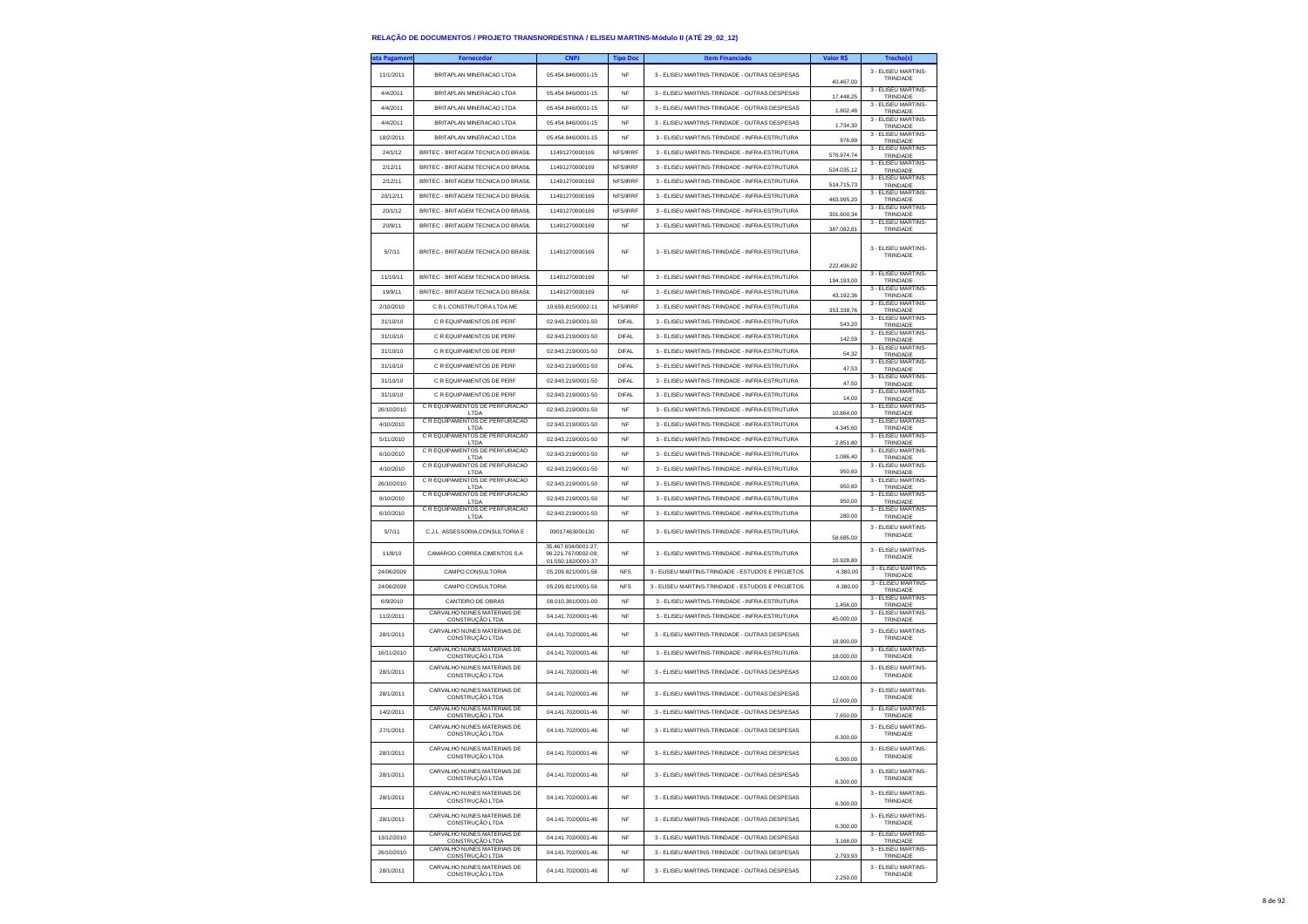| ita Pagamen | Fornecedor                                                               | <b>CNPJ</b>                                                      | <b>Tipo Doc</b> | <b>Item Financiado</b>                           | Valor R\$  | Trecho(s)                                              |
|-------------|--------------------------------------------------------------------------|------------------------------------------------------------------|-----------------|--------------------------------------------------|------------|--------------------------------------------------------|
| 11/1/2011   | BRITAPLAN MINERACAO LTDA                                                 | 05.454.846/0001-15                                               | <b>NF</b>       | 3 - ELISEU MARTINS-TRINDADE - OUTRAS DESPESAS    | 40.467,00  | 3 - ELISEU MARTINS-<br>TRINDADE                        |
| 4/4/2011    | BRITAPLAN MINERACAO LTDA                                                 | 05.454.846/0001-15                                               | <b>NF</b>       | 3 - ELISEU MARTINS-TRINDADE - OUTRAS DESPESAS    | 17,448.25  | 3 - ELISEU MARTINS-<br>TRINDADE                        |
| 4/4/2011    | BRITAPI AN MINERACAO I TDA                                               | 05.454.846/0001-15                                               | NF              | 3 - ELISEU MARTINS-TRINDADE - OUTRAS DESPESAS    | 1.802,48   | 3 - ELISEU MARTINS-<br>TRINDADE                        |
| 4/4/2011    | BRITAPLAN MINERACAO LTDA                                                 | 05.454.846/0001-15                                               | NF              | 3 - ELISEU MARTINS-TRINDADE - OUTRAS DESPESAS    | 1.734,30   | 3 - ELISEU MARTINS-<br>TRINDADE                        |
| 18/2/2011   | BRITAPLAN MINERACAO LTDA                                                 | 05.454.846/0001-15                                               | <b>NF</b>       | 3 - ELISEU MARTINS-TRINDADE - INFRA-ESTRUTURA    | 976.99     | 3 - ELISEU MARTINS-<br>TRINDADE                        |
| 24/1/12     | BRITEC - BRITAGEM TECNICA DO BRASIL                                      | 11491270000169                                                   | NFS/IRRF        | 3 - ELISEU MARTINS-TRINDADE - INFRA-ESTRUTURA    | 576.974,74 | 3 - ELISEU MARTINS-<br>TRINDADE                        |
| 2/12/11     | BRITEC - BRITAGEM TECNICA DO BRASIL                                      | 11491270000169                                                   | NFS/IRRF        | 3 - ELISEU MARTINS-TRINDADE - INFRA-ESTRUTURA    | 524.035,12 | 3 - ELISEU MARTINS-<br>TRINDADE                        |
| 2/12/11     | BRITEC - BRITAGEM TECNICA DO BRASIL                                      | 11491270000169                                                   | NFS/IRRF        | 3 - ELISEU MARTINS-TRINDADE - INFRA-ESTRUTURA    | 514.715.73 | 3 - ELISEU MARTINS-<br>TRINDADE                        |
| 20/12/11    | BRITEC - BRITAGEM TECNICA DO BRASIL                                      | 11491270000169                                                   | NFS/IRRF        | 3 - ELISEU MARTINS-TRINDADE - INFRA-ESTRUTURA    | 463.995,20 | 3 - ELISEU MARTINS-<br>TRINDADE                        |
| 20/1/12     | BRITEC - BRITAGEM TECNICA DO BRASIL                                      | 11491270000169                                                   | NFS/IRRF        | 3 - ELISEU MARTINS-TRINDADE - INFRA-ESTRUTURA    | 301.600,34 | 3 - ELISEU MARTINS-<br>TRINDADE                        |
| 20/9/11     | BRITEC - BRITAGEM TECNICA DO BRASIL                                      | 11491270000169                                                   | <b>NF</b>       | 3 - FLISEU MARTINS-TRINDADE - INFRA-ESTRUTURA    | 387.082.81 | 3 - ELISEU MARTINS-<br>TRINDADE                        |
| 5/7/11      | BRITEC - BRITAGEM TECNICA DO BRASIL                                      | 11491270000169                                                   | NF              | 3 - ELISEU MARTINS-TRINDADE - INFRA-ESTRUTURA    | 222.496,82 | 3 - ELISEU MARTINS-<br>TRINDADE                        |
| 11/10/11    | BRITEC - BRITAGEM TECNICA DO BRASIL                                      | 11491270000169                                                   | <b>NF</b>       | 3 - ELISEU MARTINS-TRINDADE - INFRA-ESTRUTURA    | 194.193,00 | 3 - ELISEU MARTINS-<br>TRINDADE                        |
| 19/9/11     | BRITEC - BRITAGEM TECNICA DO BRASIL                                      | 11491270000169                                                   | NF              | 3 - ELISEU MARTINS-TRINDADE - INFRA-ESTRUTURA    | 43.192,36  | 3 - ELISEU MARTINS-<br>TRINDADE                        |
| 2/10/2010   | C B L CONSTRUTORA LTDA ME                                                | 10.659.815/0002-11                                               | NFS/IRRF        | 3 - ELISEU MARTINS-TRINDADE - INFRA-ESTRUTURA    | 353.338,76 | 3 - ELISEU MARTINS-<br>TRINDADE                        |
| 31/10/10    | C R EQUIPAMENTOS DE PERF                                                 | 02.943.219/0001-50                                               | <b>DIFAL</b>    | 3 - ELISEU MARTINS-TRINDADE - INFRA-ESTRUTURA    | 543.20     | 3 - ELISEU MARTINS-<br>TRINDADE                        |
| 31/10/10    | C R EQUIPAMENTOS DE PERF                                                 | 02.943.219/0001-50                                               | <b>DIFAL</b>    | 3 - ELISEU MARTINS-TRINDADE - INFRA-ESTRUTURA    | 142,59     | 3 - ELISEU MARTINS-<br>TRINDADE                        |
| 31/10/10    | C R EQUIPAMENTOS DE PERF                                                 | 02.943.219/0001-50                                               | DIFAL           | 3 - ELISEU MARTINS-TRINDADE - INFRA-ESTRUTURA    | 54.32      | 3 - ELISEU MARTINS-<br>TRINDADE                        |
| 31/10/10    | C R EQUIPAMENTOS DE PERF                                                 | 02.943.219/0001-50                                               | <b>DIFAL</b>    | 3 - ELISEU MARTINS-TRINDADE - INFRA-ESTRUTURA    | 47.53      | 3 - ELISEU MARTINS-<br>TRINDADE                        |
| 31/10/10    | C.R. FOUIPAMENTOS DE PERE                                                | 02 943 219/0001-50                                               | <b>DIFAL</b>    | 3 - FLISELLMARTINS-TRINDADE - INFRA-ESTRUTURA    | 47,50      | 3 - ELISEU MARTINS-<br>TRINDADE                        |
| 31/10/10    | C R EQUIPAMENTOS DE PERF                                                 | 02.943.219/0001-50                                               | DIFAL           | 3 - ELISEU MARTINS-TRINDADE - INFRA-ESTRUTURA    | 14,00      | 3 - ELISEU MARTINS-<br>TRINDADE                        |
| 26/10/2010  | C R EQUIPAMENTOS DE PERFURACAO<br>LTDA                                   | 02.943.219/0001-50                                               | <b>NF</b>       | 3 - ELISEU MARTINS-TRINDADE - INFRA-ESTRUTURA    | 10 864 00  | 3 - ELISEU MARTINS-<br>TRINDADE                        |
| 4/10/2010   | C R EQUIPAMENTOS DE PERFURACAO<br>LTDA                                   | 02.943.219/0001-50                                               | <b>NF</b>       | 3 - ELISEU MARTINS-TRINDADE - INFRA-ESTRUTURA    | 4.345,60   | 3 - ELISEU MARTINS-<br>TRINDADE                        |
| 5/11/2010   | C R EQUIPAMENTOS DE PERFURACAO<br>LTDA                                   | 02.943.219/0001-50                                               | <b>NF</b>       | 3 - ELISEU MARTINS-TRINDADE - INFRA-ESTRUTURA    | 2.851,80   | 3 - ELISEU MARTINS-<br>TRINDADE                        |
| 6/10/2010   | C.R. FOUIPAMENTOS DE PERFURAÇÃO<br>LTDA                                  | 02.943.219/0001-50                                               | <b>NF</b>       | 3 - ELISEU MARTINS-TRINDADE - INFRA-ESTRUTURA    | 1 086 40   | 3 - ELISEU MARTINS<br>TRINDADE                         |
| 4/10/2010   | C R EQUIPAMENTOS DE PERFURACAO<br>LTDA                                   | 02.943.219/0001-50                                               | <b>NF</b>       | 3 - ELISEU MARTINS-TRINDADE - INFRA-ESTRUTURA    | 950,60     | 3 - ELISEU MARTINS-<br>TRINDADE                        |
| 26/10/2010  | C R EQUIPAMENTOS DE PERFURACAO<br>LTDA<br>C R EQUIPAMENTOS DE PERFURACAO | 02.943.219/0001-50                                               | <b>NF</b>       | 3 - ELISEU MARTINS-TRINDADE - INFRA-ESTRUTURA    | 950,60     | 3 - ELISEU MARTINS-<br>TRINDADE<br>3 - ELISEU MARTINS- |
| 8/10/2010   | LTDA                                                                     | 02.943.219/0001-50                                               | <b>NF</b>       | 3 - ELISEU MARTINS-TRINDADE - INFRA-ESTRUTURA    | 950.00     | TRINDADE                                               |
| 6/10/2010   | C R EQUIPAMENTOS DE PERFURACAO<br>LTDA                                   | 02.943.219/0001-50                                               | NF              | 3 - ELISEU MARTINS-TRINDADE - INFRA-ESTRUTURA    | 280,00     | 3 - ELISEU MARTINS-<br>TRINDADE                        |
| 5/7/11      | C.J.L. ASSESSORIA.CONSULTORIA E                                          | 09017463000130                                                   | NF              | 3 - ELISEU MARTINS-TRINDADE - INFRA-ESTRUTURA    | 58.685,00  | 3 - ELISEU MARTINS-<br>TRINDADE                        |
| 11/8/10     | CAMARGO CORREA CIMENTOS S.A                                              | 35.467.604/0001-27:<br>96.221.767/0002-09;<br>01.550.182/0001-37 | NF              | 3 - ELISEU MARTINS-TRINDADE - INFRA-ESTRUTURA    | 10.928.80  | 3 - ELISEU MARTINS-<br>TRINDADE                        |
| 24/06/2009  | CAMPO CONSULTORIA                                                        | 05.209.821/0001-56                                               | <b>NFS</b>      | 3 - ELISEU MARTINS-TRINDADE - ESTUDOS E PROJETOS | 4.380.00   | 3 - ELISEU MARTINS-<br>TRINDADE                        |
| 24/06/2009  | CAMPO CONSULTORIA                                                        | 05.209.821/0001-56                                               | <b>NFS</b>      | 3 - ELISEU MARTINS-TRINDADE - ESTUDOS E PROJETOS | 4.380,00   | 3 - ELISEU MARTINS-<br>TRINDADE                        |
| 6/9/2010    | CANTEIRO DE OBRAS                                                        | 08.010.381/0001-00                                               | <b>NF</b>       | 3 - ELISEU MARTINS-TRINDADE - INFRA-ESTRUTURA    | 1.456,00   | 3 - ELISEU MARTINS-<br>TRINDADE                        |
| 11/2/2011   | CARVALHO NUNES MATERIAIS DE<br>CONSTRUÇÃO LTDA                           | 04.141.702/0001-46                                               | NF              | 3 - ELISEU MARTINS-TRINDADE - INFRA-ESTRUTURA    | 45.000,00  | 3 - ELISEU MARTINS-<br>TRINDADE                        |
| 28/1/2011   | CARVALHO NUNES MATERIAIS DE<br>CONSTRUÇÃO LTDA                           | 04.141.702/0001-46                                               | NF              | 3 - ELISEU MARTINS-TRINDADE - OUTRAS DESPESAS    | 18.900,00  | 3 - ELISEU MARTINS-<br>TRINDADE                        |
| 16/11/2010  | CARVALHO NUNES MATERIAIS DE<br>CONSTRUÇÃO LTDA                           | 04.141.702/0001-46                                               | NF              | 3 - ELISEU MARTINS-TRINDADE - INFRA-ESTRUTURA    | 18.000,00  | 3 - ELISEU MARTINS-<br>TRINDADE                        |
| 28/1/2011   | CARVALHO NUNES MATERIAIS DE<br>CONSTRUÇÃO LTDA                           | 04.141.702/0001-46                                               | <b>NF</b>       | 3 - ELISEU MARTINS-TRINDADE - OUTRAS DESPESAS    | 12,600.00  | 3 - ELISEU MARTINS-<br>TRINDADE                        |
| 28/1/2011   | CARVALHO NUNES MATERIAIS DE<br>CONSTRUÇÃO LTDA                           | 04.141.702/0001-46                                               | NF              | 3 - ELISEU MARTINS-TRINDADE - OUTRAS DESPESAS    | 12,600.00  | 3 - ELISEU MARTINS-<br>TRINDADE                        |
| 14/2/2011   | CARVALHO NUNES MATERIAIS DE<br>CONSTRUÇÃO LTDA                           | 04.141.702/0001-46                                               | NF              | 3 - ELISEU MARTINS-TRINDADE - OUTRAS DESPESAS    | 7.650,00   | 3 - ELISEU MARTINS-<br>TRINDADE                        |
| 27/1/2011   | CARVALHO NUNES MATERIAIS DE<br>CONSTRUCÃO LTDA                           | 04.141.702/0001-46                                               | NF              | 3 - ELISEU MARTINS-TRINDADE - OUTRAS DESPESAS    | 6.300,00   | 3 - ELISEU MARTINS-<br>TRINDADE                        |
| 28/1/2011   | ᇆ<br>CONSTRUÇÃO LTDA                                                     | 04.141.702/0001-46                                               | <b>NF</b>       | 3 - ELISEU MARTINS-TRINDADE - OUTRAS DESPESAS    | 6.300,00   | TRINDADE                                               |
| 28/1/2011   | CARVALHO NUNES MATERIAIS DE<br>CONSTRUCÃO LTDA                           | 04.141.702/0001-46                                               | NF              | 3 - ELISEU MARTINS-TRINDADE - OUTRAS DESPESAS    | 6.300,00   | 3 - FLISEU MARTINS-<br>TRINDADE                        |
| 28/1/2011   | CARVALHO NUNES MATERIAIS DE<br>CONSTRUÇÃO LTDA                           | 04.141.702/0001-46                                               | NF              | 3 - ELISEU MARTINS-TRINDADE - OUTRAS DESPESAS    | 6,300.00   | 3 - ELISEU MARTINS-<br>TRINDADE                        |
| 28/1/2011   | CARVALHO NUNES MATERIAIS DE<br>CONSTRUCÃO LTDA                           | 04.141.702/0001-46                                               | NF              | 3 - ELISEU MARTINS-TRINDADE - OUTRAS DESPESAS    | 6.300,00   | 3 - FLISEU MARTINS-<br>TRINDADE                        |
| 13/12/2010  | CARVALHO NUNES MATERIAIS DE<br>CONSTRUCÃO LTDA                           | 04.141.702/0001-46                                               | NF              | 3 - ELISEU MARTINS-TRINDADE - OUTRAS DESPESAS    | 3.168,00   | 3 - ELISEU MARTINS<br>TRINDADE                         |
| 26/10/2010  | CARVALHO NUNES MATERIAIS DE<br>CONSTRUÇÃO LTDA                           | 04.141.702/0001-46                                               | <b>NF</b>       | 3 - ELISEU MARTINS-TRINDADE - OUTRAS DESPESAS    | 2 793 93   | 3 - ELISEU MARTINS-<br>TRINDADE                        |
| 28/1/2011   | CARVALHO NUNES MATERIAIS DE<br>CONSTRUÇÃO LTDA                           | 04.141.702/0001-46                                               | NF              | 3 - ELISEU MARTINS-TRINDADE - OUTRAS DESPESAS    | 2.250,00   | 3 - ELISEU MARTINS-<br>TRINDADE                        |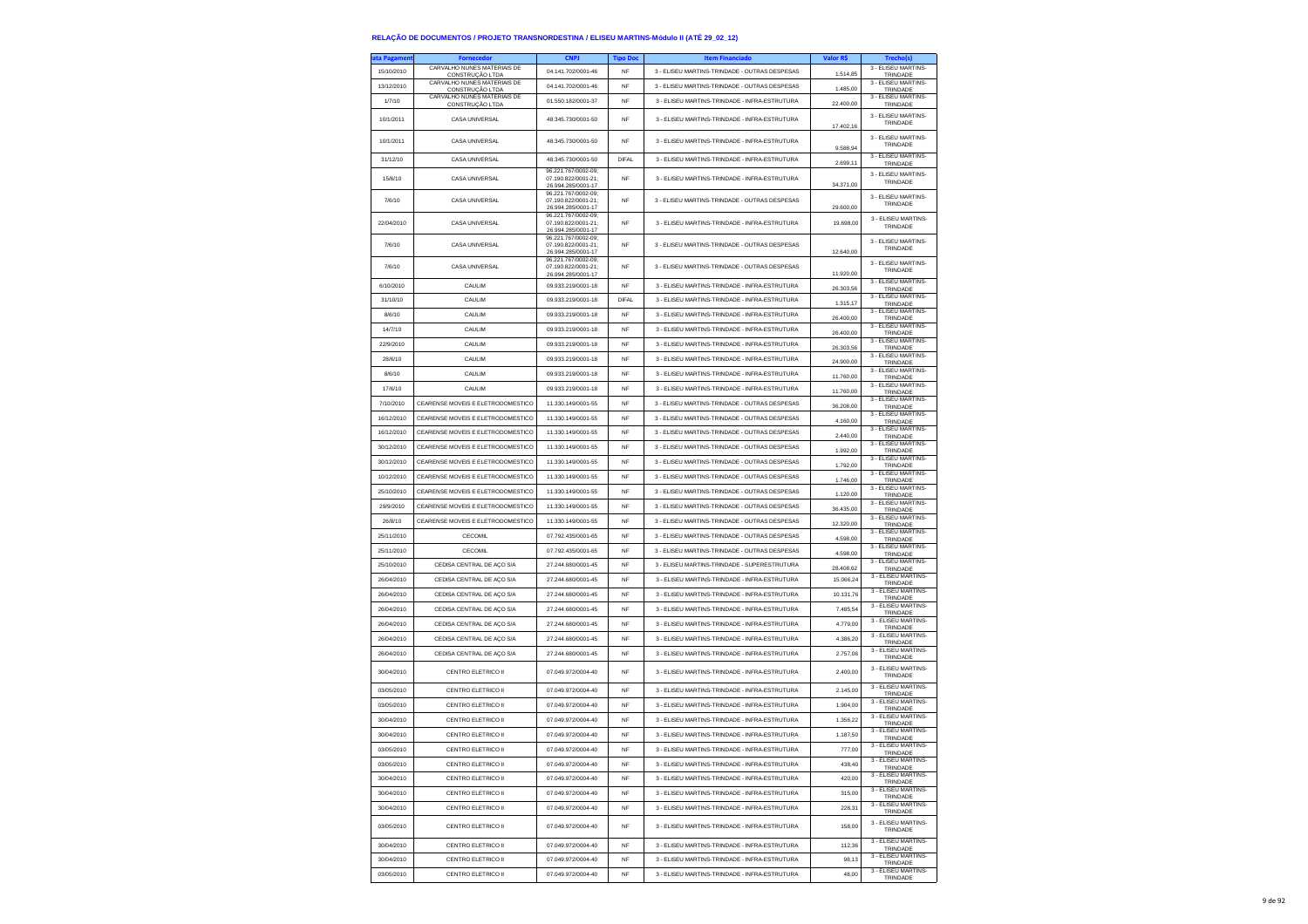| ta Pagamen | Fornecedor                                     | <b>CNPJ</b>                                | <b>Tipo Doc</b> | <b>Item Financiado</b>                        | Valor R\$ | <b>Trecho(s)</b>                |
|------------|------------------------------------------------|--------------------------------------------|-----------------|-----------------------------------------------|-----------|---------------------------------|
| 15/10/2010 | CARVALHO NUNES MATERIAIS DE<br>CONSTRUCÃO LTDA | 04.141.702/0001-46                         | NF              | 3 - ELISEU MARTINS-TRINDADE - OUTRAS DESPESAS | 1.514,85  | 3 - ELISEU MARTINS-<br>TRINDADE |
| 13/12/2010 | CARVALHO NUNES MATERIAIS DE                    | 04.141.702/0001-46                         | <b>NF</b>       | 3 - ELISEU MARTINS-TRINDADE - OUTRAS DESPESAS | 1,485.00  | 3 - ELISEU MARTINS-             |
| 1/7/10     | CONSTRUÇÃO LTDA<br>CARVALHO NUNES MATERIAIS DE | 01.550.182/0001-37                         | <b>NF</b>       | 3 - ELISEU MARTINS-TRINDADE - INFRA-ESTRUTURA |           | TRINDADE<br>3 - ELISEU MARTINS- |
|            | CONSTRUÇÃO LTDA                                |                                            |                 |                                               | 22.400,00 | TRINDADE<br>3 - ELISEU MARTINS- |
| 10/1/2011  | CASA UNIVERSAL                                 | 48.345.730/0001-50                         | NF              | 3 - ELISEU MARTINS-TRINDADE - INFRA-ESTRUTURA | 17,402.16 | TRINDADE                        |
|            |                                                |                                            |                 |                                               |           | 3 - ELISEU MARTINS-             |
| 10/1/2011  | CASA UNIVERSAL                                 | 48.345.730/0001-50                         | NF              | 3 - ELISEU MARTINS-TRINDADE - INFRA-ESTRUTURA | 9.588,94  | TRINDADE                        |
| 31/12/10   | CASA UNIVERSAL                                 | 48.345.730/0001-50                         | <b>DIFAL</b>    | 3 - ELISEU MARTINS-TRINDADE - INFRA-ESTRUTURA | 2.699,11  | 3 - ELISEU MARTINS-<br>TRINDADE |
| 15/6/10    | CASA UNIVERSAL                                 | 96.221.767/0002-09:<br>07.190.822/0001-21; | NF              | 3 - ELISEU MARTINS-TRINDADE - INFRA-ESTRUTURA |           | 3 - ELISEU MARTINS-             |
|            |                                                | 26.994.285/0001-17                         |                 |                                               | 34.371,00 | TRINDADE                        |
| 7/6/10     | CASA UNIVERSAL                                 | 96.221.767/0002-09;<br>07.190.822/0001-21; | NF              | 3 - ELISEU MARTINS-TRINDADE - OUTRAS DESPESAS |           | 3 - ELISEU MARTINS-<br>TRINDADE |
|            |                                                | 26.994.285/0001-17<br>96.221.767/0002-09:  |                 |                                               | 29.600,00 | 3 - ELISEU MARTINS-             |
| 22/04/2010 | CASA UNIVERSAL                                 | 07.190.822/0001-21:<br>26.994.285/0001-17  | NF              | 3 - ELISEU MARTINS-TRINDADE - INFRA-ESTRUTURA | 19,698.00 | TRINDADE                        |
| 7/6/10     | CASA UNIVERSAL                                 | 96.221.767/0002-09;<br>07.190.822/0001-21; | NF              | 3 - ELISEU MARTINS-TRINDADE - OUTRAS DESPESAS |           | 3 - FLISEU MARTINS-             |
|            |                                                | 26.994.285/0001-17                         |                 |                                               | 12.640,00 | TRINDADE                        |
| 7/6/10     | CASA UNIVERSAL                                 | 96.221.767/0002-09;<br>07.190.822/0001-21; | NF              | 3 - ELISEU MARTINS-TRINDADE - OUTRAS DESPESAS |           | 3 - ELISEU MARTINS-<br>TRINDADE |
|            |                                                | 26.994.285/0001-17                         |                 |                                               | 11.920.00 | 3 - ELISEU MARTINS-             |
| 6/10/2010  | CAULIM                                         | 09.933.219/0001-18                         | <b>NF</b>       | 3 - ELISEU MARTINS-TRINDADE - INFRA-ESTRUTURA | 26.303,56 | TRINDADE<br>3 - ELISEU MARTINS- |
| 31/10/10   | CAULIM                                         | 09.933.219/0001-18                         | DIFAL           | 3 - ELISEU MARTINS-TRINDADE - INFRA-ESTRUTURA | 1.315.17  | TRINDADE                        |
| 8/6/10     | CAULIM                                         | 09.933.219/0001-18                         | NF              | 3 - ELISEU MARTINS-TRINDADE - INFRA-ESTRUTURA | 26.400,00 | 3 - ELISEU MARTINS-<br>TRINDADE |
| 14/7/10    | CAULIM                                         | 09.933.219/0001-18                         | NF              | 3 - ELISEU MARTINS-TRINDADE - INFRA-ESTRUTURA | 26.400,00 | 3 - ELISEU MARTINS-<br>TRINDADE |
| 22/9/2010  | CAULIM                                         | 09.933.219/0001-18                         | NF              | 3 - ELISEU MARTINS-TRINDADE - INFRA-ESTRUTURA | 26.303,56 | 3 - ELISEU MARTINS-<br>TRINDADE |
| 28/6/10    | CAULIM                                         | 09.933.219/0001-18                         | <b>NF</b>       | 3 - ELISEU MARTINS-TRINDADE - INFRA-ESTRUTURA |           | 3 - ELISEU MARTINS-             |
|            |                                                |                                            |                 |                                               | 24.900,00 | TRINDADE<br>3 - ELISEU MARTINS- |
| 8/6/10     | CAULIM                                         | 09.933.219/0001-18                         | <b>NF</b>       | 3 - ELISEU MARTINS-TRINDADE - INFRA-ESTRUTURA | 11.760.00 | TRINDADE<br>3 - ELISEU MARTINS  |
| 17/6/10    | CAULIM                                         | 09.933.219/0001-18                         | NF              | 3 - ELISEU MARTINS-TRINDADE - INFRA-ESTRUTURA | 11.760,00 | TRINDADE                        |
| 7/10/2010  | CEARENSE MOVEIS E ELETRODOMESTICO              | 11.330.149/0001-55                         | <b>NF</b>       | 3 - ELISEU MARTINS-TRINDADE - OUTRAS DESPESAS | 36.208,00 | 3 - ELISEU MARTINS-<br>TRINDADE |
| 16/12/2010 | CEARENSE MOVEIS E ELETRODOMESTICO              | 11.330.149/0001-55                         | <b>NF</b>       | 3 - ELISEU MARTINS-TRINDADE - OUTRAS DESPESAS | 4.160,00  | 3 - ELISEU MARTINS-<br>TRINDADE |
| 16/12/2010 | CEARENSE MOVEIS E ELETRODOMESTICO              | 11.330.149/0001-55                         | NF              | 3 - ELISEU MARTINS-TRINDADE - OUTRAS DESPESAS | 2.440,00  | 3 - ELISEU MARTINS-<br>TRINDADE |
| 30/12/2010 | CEARENSE MOVEIS E ELETRODOMESTICO              | 11.330.149/0001-55                         | NF              | 3 - ELISEU MARTINS-TRINDADE - OUTRAS DESPESAS | 1 992 00  | 3 - ELISEU MARTINS-<br>TRINDADE |
| 30/12/2010 | CEARENSE MOVEIS E ELETRODOMESTICO              | 11.330.149/0001-55                         | NF              | 3 - ELISEU MARTINS-TRINDADE - OUTRAS DESPESAS |           | 3 - ELISEU MARTINS-             |
| 10/12/2010 | CEARENSE MOVEIS E ELETRODOMESTICO              | 11.330.149/0001-55                         | NF              | 3 - ELISEU MARTINS-TRINDADE - OUTRAS DESPESAS | 1.792,00  | TRINDADE<br>3 - ELISEU MARTINS- |
|            | CEARENSE MOVEIS E ELETRODOMESTICO              |                                            |                 |                                               | 1.746,00  | TRINDADE<br>3 - ELISEU MARTINS- |
| 25/10/2010 |                                                | 11.330.149/0001-55                         | <b>NF</b>       | 3 - ELISEU MARTINS-TRINDADE - OUTRAS DESPESAS | 1.120,00  | TRINDADE<br>3 - ELISEU MARTINS- |
| 29/9/2010  | CEARENSE MOVEIS E ELETRODOMESTICO              | 11.330.149/0001-55                         | <b>NF</b>       | 3 - ELISEU MARTINS-TRINDADE - OUTRAS DESPESAS | 36.435,00 | TRINDADE<br>3 - ELISEU MARTINS- |
| 26/8/10    | CEARENSE MOVEIS E ELETRODOMESTICO              | 11.330.149/0001-55                         | NF              | 3 - ELISEU MARTINS-TRINDADE - OUTRAS DESPESAS | 12.320,00 | TRINDADE                        |
| 25/11/2010 | CECOMIL                                        | 07.792.435/0001-65                         | NF              | 3 - ELISEU MARTINS-TRINDADE - OUTRAS DESPESAS | 4,598.00  | 3 - ELISEU MARTINS-<br>TRINDADE |
| 25/11/2010 | CECOMIL                                        | 07.792.435/0001-65                         | NF              | 3 - ELISEU MARTINS-TRINDADE - OUTRAS DESPESAS | 4.598,00  | 3 - ELISEU MARTINS-<br>TRINDADE |
| 25/10/2010 | CEDISA CENTRAL DE AÇO S/A                      | 27.244.680/0001-45                         | NF              | 3 - ELISEU MARTINS-TRINDADE - SUPERESTRUTURA  | 28.408,62 | 3 - ELISEU MARTINS-<br>TRINDADE |
| 26/04/2010 | CEDISA CENTRAL DE AÇO S/A                      | 27.244.680/0001-45                         | <b>NF</b>       | 3 - ELISEU MARTINS-TRINDADE - INFRA-ESTRUTURA | 15.066,24 | 3 - ELISEU MARTINS-             |
| 26/04/2010 | CEDISA CENTRAL DE AÇO S/A                      | 27.244.680/0001-45                         | <b>NF</b>       | 3 - ELISEU MARTINS-TRINDADE - INFRA-ESTRUTURA | 10.131.76 | TRINDADE<br>3 - ELISEU MARTINS- |
| 26/04/2010 |                                                | 27.244.680/0001-45                         | NF              | 3 - ELISEU MARTINS-TRINDADE - INFRA-ESTRUTURA | 7,485.54  | TRINDADE<br>3 - ELISEU MARTINS- |
|            | CEDISA CENTRAL DE AÇO S/A                      |                                            |                 |                                               |           | TRINDADE<br>3 - ELISEU MARTINS- |
| 26/04/2010 | CEDISA CENTRAL DE AÇO S/A                      | 27.244.680/0001-45                         | NF              | 3 - ELISEU MARTINS-TRINDADE - INFRA-ESTRUTURA | 4.779,00  | TRINDADE                        |
| 26/04/2010 | CEDISA CENTRAL DE AÇO S/A                      | 27.244.680/0001-45                         | <b>NF</b>       | 3 - ELISEU MARTINS-TRINDADE - INFRA-ESTRUTURA | 4.386.20  | 3 - ELISEU MARTINS-<br>TRINDADE |
| 26/04/2010 | CEDISA CENTRAL DE AÇO S/A                      | 27.244.680/0001-45                         | NF              | 3 - ELISEU MARTINS-TRINDADE - INFRA-ESTRUTURA | 2,757.06  | 3 - ELISEU MARTINS-<br>TRINDADE |
| 30/04/2010 | <b>CENTRO ELETRICO II</b>                      | 07 049 972/0004-40                         | NF              | 3 - ELISEU MARTINS-TRINDADE - INFRA-ESTRUTURA | 2.400,00  | 3 - ELISEU MARTINS-             |
|            |                                                |                                            |                 |                                               |           | TRINDADE<br>3 - ELISEU MARTINS- |
| 03/05/2010 | CENTRO ELETRICO II                             | 07.049.972/0004-40                         | NF              | 3 - ELISEU MARTINS-TRINDADE - INFRA-ESTRUTURA | 2.145.00  | TRINDADE                        |
| 03/05/2010 | CENTRO ELETRICO II                             | 07.049.972/0004-40                         | NF              | 3 - ELISEU MARTINS-TRINDADE - INFRA-ESTRUTURA | 1.904,00  | 3 - FLISEU MARTINS-<br>TRINDADE |
| 30/04/2010 | CENTRO ELETRICO II                             | 07.049.972/0004-40                         | <b>NF</b>       | 3 - ELISEU MARTINS-TRINDADE - INFRA-ESTRUTURA | 1.356.22  | 3 - ELISEU MARTINS-<br>TRINDADE |
| 30/04/2010 | CENTRO ELETRICO II                             | 07 049 972/0004-40                         | NF              | 3 - ELISEU MARTINS-TRINDADE - INFRA-ESTRUTURA | 1.187,50  | 3 - ELISEU MARTINS-<br>TRINDADE |
| 03/05/2010 | CENTRO ELETRICO II                             | 07.049.972/0004-40                         | NI              | 3 - ELISEU MARTINS-TRINDADE - INFRA-ESTRUTURA | 777,00    | 3 - ELISEU MARTINS-<br>TRINDADE |
| 03/05/2010 | CENTRO ELETRICO II                             | 07.049.972/0004-40                         | NF              | 3 - ELISEU MARTINS-TRINDADE - INFRA-ESTRUTURA | 438,40    | 3 - ELISEU MARTINS-             |
| 30/04/2010 | CENTRO ELETRICO II                             | 07.049.972/0004-40                         | NF              | 3 - ELISEU MARTINS-TRINDADE - INFRA-ESTRUTURA | 420.00    | TRINDADE<br>3 - ELISEU MARTINS- |
|            |                                                |                                            |                 |                                               |           | TRINDADE<br>3 - ELISEU MARTINS- |
| 30/04/2010 | CENTRO ELETRICO II                             | 07.049.972/0004-40                         | NF              | 3 - ELISEU MARTINS-TRINDADE - INFRA-ESTRUTURA | 315,00    | TRINDADE<br>3 - ELISEU MARTINS- |
| 30/04/2010 | CENTRO ELETRICO II                             | 07.049.972/0004-40                         | NF              | 3 - ELISEU MARTINS-TRINDADE - INFRA-ESTRUTURA | 228,31    | TRINDADE                        |
| 03/05/2010 | CENTRO ELETRICO II                             | 07.049.972/0004-40                         | NF              | 3 - ELISEU MARTINS-TRINDADE - INFRA-ESTRUTURA | 158,00    | 3 - FLISEU MARTINS-<br>TRINDADE |
|            |                                                |                                            |                 |                                               |           | 3 - ELISEU MARTINS-             |
| 30/04/2010 | CENTRO ELETRICO II                             | 07.049.972/0004-40                         | NF              | 3 - ELISEU MARTINS-TRINDADE - INFRA-ESTRUTURA | 112,36    | TRINDADE<br>3 - ELISEU MARTINS- |
| 30/04/2010 | CENTRO ELETRICO II                             | 07.049.972/0004-40                         | NF              | 3 - ELISELLMARTINS-TRINDADE - INFRA-ESTRUTURA | 98.13     | TRINDADE                        |
| 03/05/2010 | CENTRO ELETRICO II                             | 07.049.972/0004-40                         | NF              | 3 - ELISEU MARTINS-TRINDADE - INFRA-ESTRUTURA | 48,00     | 3 - ELISEU MARTINS-<br>TRINDADE |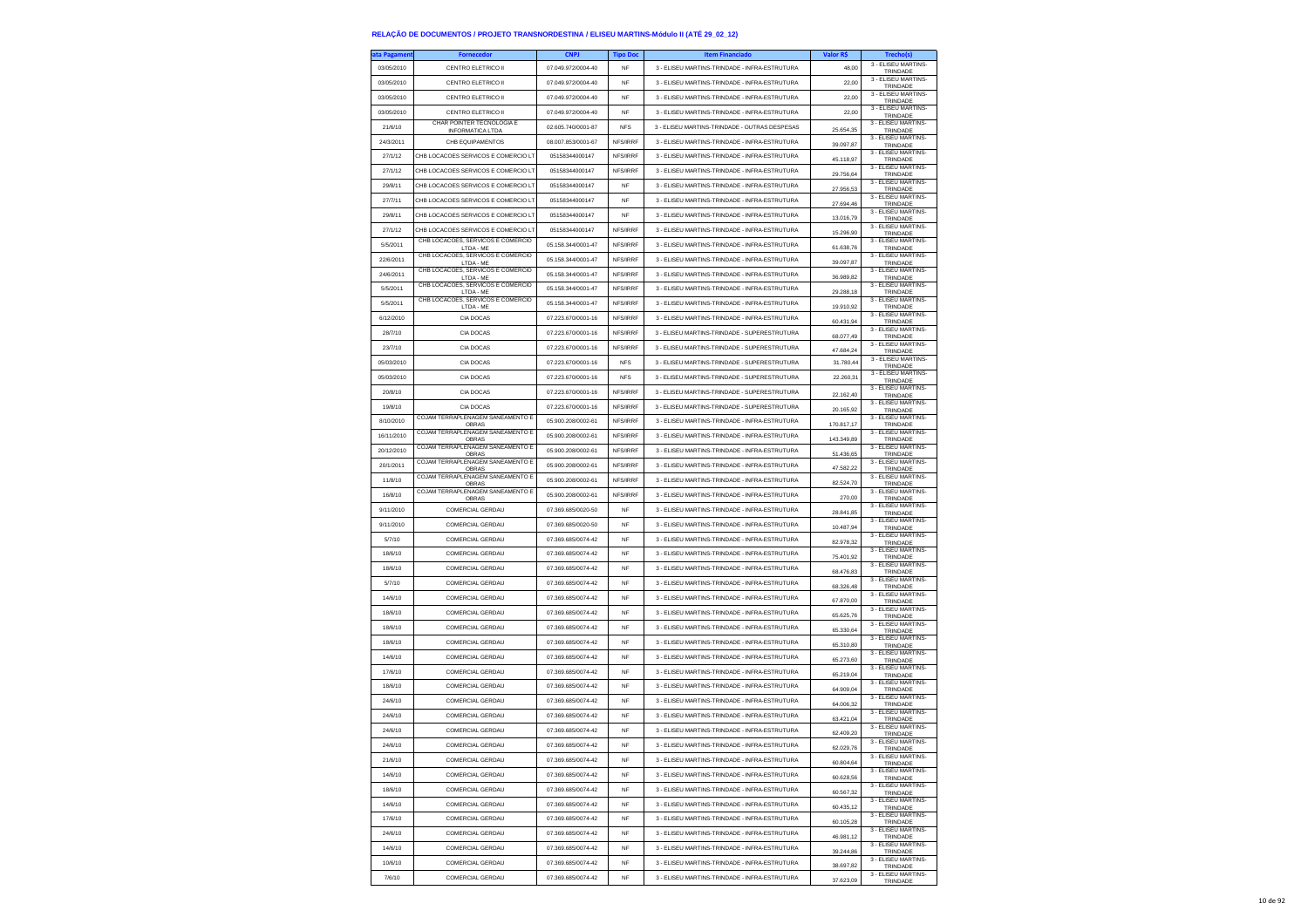| ta Pagamen | <b>Fornecedor</b>                                    | <b>CNPJ</b>        | <b>Tipo Doc</b> | <b>Item Financiado</b>                        | Valor R\$  | Trecho(s)                       |
|------------|------------------------------------------------------|--------------------|-----------------|-----------------------------------------------|------------|---------------------------------|
| 03/05/2010 | <b>CENTRO ELETRICO II</b>                            | 07.049.972/0004-40 | <b>NF</b>       | 3 - ELISEU MARTINS-TRINDADE - INFRA-ESTRUTURA | 48.00      | 3 - ELISEU MARTINS-<br>TRINDADE |
| 03/05/2010 | CENTRO ELETRICO II                                   | 07.049.972/0004-40 | NF              | 3 - ELISEU MARTINS-TRINDADE - INFRA-ESTRUTURA | 22,00      | 3 - FLISEU MARTINS-<br>TRINDADE |
| 03/05/2010 | CENTRO ELETRICO II                                   | 07.049.972/0004-40 | <b>NF</b>       | 3 - ELISEU MARTINS-TRINDADE - INFRA-ESTRUTURA | 22.00      | 3 - ELISEU MARTINS-<br>TRINDADE |
| 03/05/2010 | CENTRO ELETRICO II                                   | 07.049.972/0004-40 | <b>NF</b>       | 3 - ELISEU MARTINS-TRINDADE - INFRA-ESTRUTURA | 22.00      | 3 - ELISEU MARTINS-<br>TRINDADE |
| 21/6/10    | CHAR POINTER TECNOLOGIA E<br><b>INFORMATICA LTDA</b> | 02.605.740/0001-87 | <b>NFS</b>      | 3 - ELISEU MARTINS-TRINDADE - OUTRAS DESPESAS | 25.654,35  | 3 - ELISEU MARTINS-<br>TRINDADE |
| 24/3/2011  | CHB EQUIPAMENTOS                                     | 08 007 853/0001-67 | NFS/IRRF        | 3 - FLISEU MARTINS-TRINDADE - INFRA-ESTRUTURA | 39.097.87  | 3 - ELISEU MARTINS-<br>TRINDADE |
| 27/1/12    | CHB LOCACOES SERVICOS E COMERCIO L'                  | 05158344000147     | NFS/IRRF        | 3 - ELISELLMARTINS-TRINDADE - INFRA-ESTRUTURA | 45.118,97  | 3 - ELISEU MARTINS-<br>TRINDADE |
| 27/1/12    | CHB LOCACOES SERVICOS E COMERCIO LT                  | 05158344000147     | NFS/IRRF        | 3 - ELISEU MARTINS-TRINDADE - INFRA-ESTRUTURA | 29.756,64  | 3 - ELISEU MARTINS-<br>TRINDADE |
| 29/8/11    | CHB LOCACOES SERVICOS E COMERCIO LT                  | 05158344000147     | <b>NF</b>       | 3 - ELISEU MARTINS-TRINDADE - INFRA-ESTRUTURA | 27.956.53  | 3 - ELISEU MARTINS-<br>TRINDADE |
| 27/7/11    | CHB LOCACOES SERVICOS E COMERCIO LT                  | 05158344000147     | <b>NF</b>       | 3 - ELISEU MARTINS-TRINDADE - INFRA-ESTRUTURA | 27.694.46  | 3 - ELISEU MARTINS-<br>TRINDADE |
| 29/8/11    | CHB LOCACOES SERVICOS E COMERCIO LT                  | 05158344000147     | NF              | 3 - ELISEU MARTINS-TRINDADE - INFRA-ESTRUTURA | 13.016,79  | 3 - ELISEU MARTINS-<br>TRINDADE |
| 27/1/12    | CHB LOCACOES SERVICOS E COMERCIO LT                  | 05158344000147     | NFS/IRRF        | 3 - ELISEU MARTINS-TRINDADE - INFRA-ESTRUTURA | 15,296.90  | 3 - FLISEU MARTINS-<br>TRINDADE |
| 5/5/2011   | CHB LOCACOES, SERVICOS E COMERCIO<br>LTDA - ME       | 05.158.344/0001-47 | NFS/IRRF        | 3 - ELISEU MARTINS-TRINDADE - INFRA-ESTRUTURA | 61.638,76  | 3 - ELISEU MARTINS-<br>TRINDADE |
| 22/6/2011  | CHB LOCACOES, SERVICOS E COMERCIO<br>LTDA - ME       | 05.158.344/0001-47 | NFS/IRRF        | 3 - ELISEU MARTINS-TRINDADE - INFRA-ESTRUTURA | 39.097,87  | 3 - ELISEU MARTINS-<br>TRINDADE |
| 24/6/2011  | CHB LOCACOES, SERVICOS E COMERCIO<br>LTDA - ME       | 05.158.344/0001-47 | NFS/IRRF        | 3 - FLISEU MARTINS-TRINDADE - INFRA-ESTRUTURA | 36.989.82  | 3 - FLISEU MARTINS-<br>TRINDADE |
| 5/5/2011   | CHB LOCACOES, SERVICOS E COMERCIO<br>LTDA - ME       | 05.158.344/0001-47 | NFS/IRRF        | 3 - ELISEU MARTINS-TRINDADE - INFRA-ESTRUTURA | 29.288,18  | 3 - ELISEU MARTINS-<br>TRINDADE |
| 5/5/2011   | CHB LOCACOES, SERVICOS E COMERCIO<br>LTDA - ME       | 05.158.344/0001-47 | NFS/IRRF        | 3 - ELISEU MARTINS-TRINDADE - INFRA-ESTRUTURA | 19.910,92  | 3 - ELISEU MARTINS-<br>TRINDADE |
| 6/12/2010  | CIA DOCAS                                            | 07.223.670/0001-16 | NFS/IRRF        | 3 - ELISEU MARTINS-TRINDADE - INFRA-ESTRUTURA | 60.431.94  | 3 - ELISEU MARTINS-<br>TRINDADE |
| 28/7/10    | CIA DOCAS                                            | 07.223.670/0001-16 | NFS/IRRF        | 3 - ELISEU MARTINS-TRINDADE - SUPERESTRUTURA  | 68.077,49  | 3 - ELISEU MARTINS-<br>TRINDADE |
| 23/7/10    | CIA DOCAS                                            | 07.223.670/0001-16 | NES/IRRE        | 3 - ELISEU MARTINS-TRINDADE - SUPERESTRUTURA  | 47.684,24  | 3 - ELISEU MARTINS-<br>TRINDADE |
| 05/03/2010 | CIA DOCAS                                            | 07.223.670/0001-16 | <b>NFS</b>      | 3 - ELISEU MARTINS-TRINDADE - SUPERESTRUTURA  | 31.780,44  | 3 - ELISEU MARTINS-<br>TRINDADE |
| 05/03/2010 | CIA DOCAS                                            | 07.223.670/0001-16 | <b>NFS</b>      | 3 - ELISEU MARTINS-TRINDADE - SUPERESTRUTURA  | 22.260.31  | 3 - FLISEU MARTINS-<br>TRINDADE |
| 20/8/10    | CIA DOCAS                                            | 07.223.670/0001-16 | NFS/IRRF        | 3 - ELISEU MARTINS-TRINDADE - SUPERESTRUTURA  | 22.162,40  | 3 - ELISEU MARTINS-<br>TRINDADE |
| 19/8/10    | CIA DOCAS                                            | 07.223.670/0001-16 | NFS/IRRF        | 3 - ELISEU MARTINS-TRINDADE - SUPERESTRUTURA  | 20.165,92  | 3 - ELISEU MARTINS<br>TRINDADE  |
| 8/10/2010  | COJAM TERRAPLENAGEM SANEAMENTO E<br>OBRAS            | 05.900.208/0002-61 | NES/IRRE        | 3 - ELISEU MARTINS-TRINDADE - INFRA-ESTRUTURA | 170.817,17 | 3 - FLISEU MARTINS-<br>TRINDADE |
| 16/11/2010 | COJAM TERRAPLENAGEM SANEAMENTO E<br>OBRAS            | 05.900.208/0002-61 | NFS/IRRF        | 3 - ELISEU MARTINS-TRINDADE - INFRA-ESTRUTURA | 143.349,89 | 3 - ELISEU MARTINS-<br>TRINDADE |
| 20/12/2010 | COJAM TERRAPLENAGEM SANEAMENTO E<br><b>OBRAS</b>     | 05.900.208/0002-61 | NFS/IRRF        | 3 - ELISEU MARTINS-TRINDADE - INFRA-ESTRUTURA | 51.436,65  | 3 - ELISEU MARTINS-<br>TRINDADE |
| 20/1/2011  | COJAM TERRAPI ENAGEM SANEAMENTO E<br>OBRAS           | 05.900.208/0002-61 | NFS/IRRF        | 3 - ELISEU MARTINS-TRINDADE - INFRA-ESTRUTURA | 47.582.22  | 3 - FLISEU MARTINS-<br>TRINDADE |
| 11/8/10    | COJAM TERRAPLENAGEM SANEAMENTO E<br>OBRAS            | 05.900.208/0002-61 | NFS/IRRF        | 3 - ELISEU MARTINS-TRINDADE - INFRA-ESTRUTURA | 82.524,70  | 3 - ELISEU MARTINS-<br>TRINDADE |
| 16/8/10    | COJAM TERRAPLENAGEM SANEAMENTO E<br>OBRAS            | 05.900.208/0002-61 | NFS/IRRF        | 3 - ELISEU MARTINS-TRINDADE - INFRA-ESTRUTURA | 270,00     | 3 - ELISEU MARTINS-<br>TRINDADE |
| 9/11/2010  | COMERCIAL GERDAU                                     | 07.369.685/0020-50 | <b>NF</b>       | 3 - ELISEU MARTINS-TRINDADE - INFRA-ESTRUTURA | 28.841.85  | 3 - ELISEU MARTINS-<br>TRINDADE |
| 9/11/2010  | COMERCIAL GERDAU                                     | 07.369.685/0020-50 | <b>NF</b>       | 3 - ELISEU MARTINS-TRINDADE - INFRA-ESTRUTURA | 10.487,94  | 3 - ELISEU MARTINS-<br>TRINDADE |
| 5/7/10     | COMERCIAL GERDAU                                     | 07.369.685/0074-42 | NF              | 3 - ELISEU MARTINS-TRINDADE - INFRA-ESTRUTURA | 82.978,32  | 3 - ELISEU MARTINS-<br>TRINDADE |
| 18/6/10    | COMERCIAL GERDAU                                     | 07.369.685/0074-42 | <b>NF</b>       | 3 - ELISEU MARTINS-TRINDADE - INFRA-ESTRUTURA | 75,401.92  | 3 - ELISEU MARTINS-<br>TRINDADE |
| 18/6/10    | <b>COMERCIAL GERDAU</b>                              | 07.369.685/0074-42 | <b>NF</b>       | 3 - ELISEU MARTINS-TRINDADE - INFRA-ESTRUTURA | 68.476,83  | 3 - ELISEU MARTINS-<br>TRINDADE |
| 5/7/10     | COMERCIAL GERDAU                                     | 07.369.685/0074-42 | NF              | 3 - ELISEU MARTINS-TRINDADE - INFRA-ESTRUTURA | 68.326,48  | 3 - ELISEU MARTINS-<br>TRINDADE |
| 14/6/10    | COMERCIAL GERDAU                                     | 07.369.685/0074-42 | NF              | 3 - ELISEU MARTINS-TRINDADE - INFRA-ESTRUTURA | 67.870.00  | 3 - ELISEU MARTINS-<br>TRINDADE |
| 18/6/10    | COMERCIAL GERDAU                                     | 07.369.685/0074-42 | <b>NF</b>       | 3 - ELISEU MARTINS-TRINDADE - INFRA-ESTRUTURA | 65.625,76  | 3 - ELISEU MARTINS-<br>TRINDADE |
| 18/6/10    | COMERCIAL GERDAU                                     | 07.369.685/0074-42 | NF              | 3 - ELISEU MARTINS-TRINDADE - INFRA-ESTRUTURA | 65.330,64  | 3 - ELISEU MARTINS-<br>TRINDADE |
| 18/6/10    | COMERCIAL GERDAU                                     | 07.369.685/0074-42 | <b>NF</b>       | 3 - ELISEU MARTINS-TRINDADE - INFRA-ESTRUTURA | 65.310.80  | 3 - ELISEU MARTINS-<br>TRINDADE |
| 14/6/10    | COMERCIAL GERDAU                                     | 07 369 685/0074-42 | <b>NF</b>       | 3 - FLISELLMARTINS-TRINDADE - INFRA-ESTRUTURA | 65.273,60  | 3 - ELISEU MARTINS-<br>TRINDADE |
| 17/6/10    | <b>COMERCIAL GERDAU</b>                              | 07.369.685/0074-42 | <b>NF</b>       | 3 - ELISEU MARTINS-TRINDADE - INFRA-ESTRUTURA | 65,219.04  | 3 - ELISEU MARTINS-<br>TRINDADE |
| 18/6/10    | COMERCIAL GERDAU                                     | 07.369.685/0074-42 | NF              | 3 - ELISEU MARTINS-TRINDADE - INFRA-ESTRUTURA | 64.909.04  | 3 - FLISEU MARTINS-<br>TRINDADE |
| 24/6/10    | COMERCIAL GERDALL                                    | 07 369 685/0074-42 | <b>NF</b>       | 3 - ELISEU MARTINS-TRINDADE - INFRA-ESTRUTURA | 64.006,32  | 3 - ELISEU MARTINS-<br>TRINDADE |
| 24/6/10    | COMERCIAL GERDAU                                     | 07.369.685/0074-42 | <b>NF</b>       | 3 - FLISELLMARTINS-TRINDADE - INFRA-ESTRUTURA | 63.421,04  | 3 - ELISEU MARTINS-<br>TRINDADE |
| 24/6/10    | COMERCIAL GERDAU                                     | 07.369.685/0074-42 | <b>NF</b>       | 3 - ELISEU MARTINS-TRINDADE - INFRA-ESTRUTURA | 62.409,20  | 3 - FLISEU MARTINS-<br>TRINDADE |
| 24/6/10    | COMERCIAL GERDAU                                     | 07 369 685/0074-42 | NF              | 3 - ELISEU MARTINS-TRINDADE - INFRA-ESTRUTURA | 62.029.76  | 3 - ELISEU MARTINS-<br>TRINDAD  |
| 21/6/10    | COMERCIAL GERDAU                                     | 07.369.685/0074-42 | <b>NF</b>       | 3 - ELISEU MARTINS-TRINDADE - INFRA-ESTRUTURA | 60.804,64  | 3 - ELISEU MARTINS-<br>TRINDADE |
| 14/6/10    | COMERCIAL GERDAU                                     | 07.369.685/0074-42 | NF              | 3 - ELISEU MARTINS-TRINDADE - INFRA-ESTRUTURA | 60.628,56  | 3 - ELISEU MARTINS-<br>TRINDADE |
| 18/6/10    | COMERCIAL GERDAU                                     | 07 369 685/0074-42 | <b>NF</b>       | 3 - ELISEU MARTINS-TRINDADE - INFRA-ESTRUTURA | 60.567,32  | 3 - FLISEU MARTINS-<br>TRINDADE |
| 14/6/10    | COMERCIAL GERDAU                                     | 07.369.685/0074-42 | <b>NF</b>       | 3 - ELISEU MARTINS-TRINDADE - INFRA-ESTRUTURA | 60.435,12  | 3 - ELISEU MARTINS-<br>TRINDADE |
| 17/6/10    | COMERCIAL GERDAU                                     | 07.369.685/0074-42 | NF              | 3 - ELISEU MARTINS-TRINDADE - INFRA-ESTRUTURA | 60.105,28  | 3 - FLISEU MARTINS-<br>TRINDADE |
| 24/6/10    | COMERCIAL GERDAU                                     | 07.369.685/0074-42 | <b>NF</b>       | 3 - ELISEU MARTINS-TRINDADE - INFRA-ESTRUTURA | 46.981,12  | 3 - FLISELLMARTINS-<br>TRINDADE |
| 14/6/10    | COMERCIAL GERDAU                                     | 07.369.685/0074-42 | <b>NF</b>       | 3 - ELISEU MARTINS-TRINDADE - INFRA-ESTRUTURA | 39.244,86  | 3 - ELISEU MARTINS-<br>TRINDADE |
| 10/6/10    | COMERCIAL GERDAU                                     | 07.369.685/0074-42 | NF              | 3 - ELISEU MARTINS-TRINDADE - INFRA-ESTRUTURA | 38.697,82  | 3 - FLISEU MARTINS-<br>TRINDADE |
| 7/6/10     | COMERCIAL GERDAU                                     | 07.369.685/0074-42 | <b>NF</b>       | 3 - ELISEU MARTINS-TRINDADE - INFRA-ESTRUTURA | 37.623.09  | 3 - ELISEU MARTINS-<br>TRINDADE |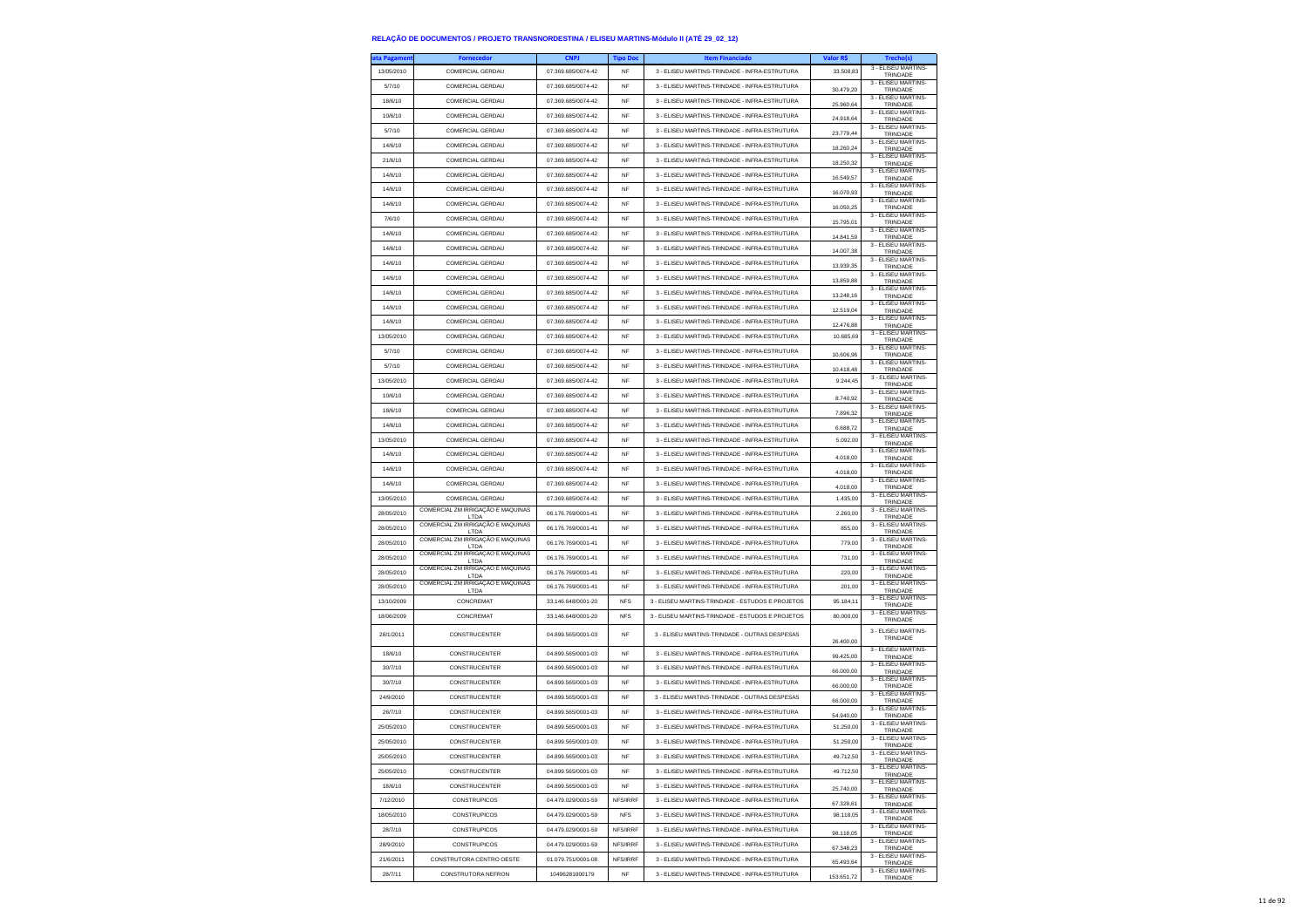| ıta Pagamen | <b>Fornecedor</b>                                     | <b>CNPJ</b>        | <b>Tipo Doc</b> | <b>Item Financiado</b>                           | <b>Valor RS</b> | Trecho(s)                       |
|-------------|-------------------------------------------------------|--------------------|-----------------|--------------------------------------------------|-----------------|---------------------------------|
| 13/05/2010  | COMERCIAL GERDAU                                      | 07.369.685/0074-42 | NF              | 3 - ELISEU MARTINS-TRINDADE - INFRA-ESTRUTURA    | 33,508.83       | 3 - ELISEU MARTINS-<br>TRINDADE |
| 5/7/10      | COMERCIAL GERDAU                                      | 07.369.685/0074-42 | <b>NF</b>       | 3 - ELISEU MARTINS-TRINDADE - INFRA-ESTRUTURA    | 30.479,20       | 3 - ELISEU MARTINS-<br>TRINDADE |
| 18/6/10     | COMERCIAL GERDAU                                      | 07.369.685/0074-42 | <b>NF</b>       | 3 - ELISEU MARTINS-TRINDADE - INFRA-ESTRUTURA    |                 | 3 - FLISEU MARTINS-             |
| 10/6/10     | COMERCIAL GERDAU                                      | 07.369.685/0074-42 | <b>NF</b>       | 3 - ELISEU MARTINS-TRINDADE - INFRA-ESTRUTURA    | 25.960.64       | TRINDADE<br>3 - ELISEU MARTINS- |
| 5/7/10      | COMERCIAL GERDAU                                      | 07.369.685/0074-42 | <b>NF</b>       | 3 - ELISEU MARTINS-TRINDADE - INFRA-ESTRUTURA    | 24.918,64       | TRINDADE<br>3 - ELISEU MARTINS- |
|             |                                                       |                    |                 |                                                  | 23.779,44       | TRINDADE<br>3 - FLISEU MARTINS- |
| 14/6/10     | COMERCIAL GERDAU                                      | 07.369.685/0074-42 | NF              | 3 - ELISEU MARTINS-TRINDADE - INFRA-ESTRUTURA    | 18 260 24       | TRINDADE<br>3 - FLISEU MARTINS- |
| 21/6/10     | COMERCIAL GERDAU                                      | 07.369.685/0074-42 | NF              | 3 - ELISEU MARTINS-TRINDADE - INFRA-ESTRUTURA    | 18.250,32       | TRINDADE<br>3 - ELISEU MARTINS- |
| 14/6/10     | COMERCIAL GERDAU                                      | 07.369.685/0074-42 | <b>NF</b>       | 3 - ELISEU MARTINS-TRINDADE - INFRA-ESTRUTURA    | 16.549,57       | TRINDADE                        |
| 14/6/10     | COMERCIAL GERDAU                                      | 07.369.685/0074-42 | NF              | 3 - ELISEU MARTINS-TRINDADE - INFRA-ESTRUTURA    | 16.070,93       | 3 - ELISEU MARTINS-<br>TRINDADE |
| 14/6/10     | COMERCIAL GERDAU                                      | 07.369.685/0074-42 | <b>NF</b>       | 3 - ELISEU MARTINS-TRINDADE - INFRA-ESTRUTURA    | 16.050,25       | 3 - ELISEU MARTINS-<br>TRINDADE |
| 7/6/10      | COMERCIAL GERDAU                                      | 07.369.685/0074-42 | <b>NF</b>       | 3 - ELISEU MARTINS-TRINDADE - INFRA-ESTRUTURA    | 15.795.01       | 3 - ELISEU MARTINS-<br>TRINDADE |
| 14/6/10     | COMERCIAL GERDAU                                      | 07.369.685/0074-42 | NF              | 3 - ELISEU MARTINS-TRINDADE - INFRA-ESTRUTURA    | 14.841,59       | 3 - ELISEU MARTINS-<br>TRINDADE |
| 14/6/10     | COMERCIAL GERDAU                                      | 07.369.685/0074-42 | <b>NF</b>       | 3 - ELISEU MARTINS-TRINDADE - INFRA-ESTRUTURA    | 14.007,38       | 3 - ELISEU MARTINS-<br>TRINDADE |
| 14/6/10     | COMERCIAL GERDAU                                      | 07 369 685/0074-42 | NF              | 3 - ELISEU MARTINS-TRINDADE - INFRA-ESTRUTURA    | 13.939.35       | 3 - ELISEU MARTINS-<br>TRINDADE |
| 14/6/10     | COMERCIAL GERDAU                                      | 07.369.685/0074-42 | NF              | 3 - ELISEU MARTINS-TRINDADE - INFRA-ESTRUTURA    |                 | 3 - ELISEU MARTINS-             |
| 14/6/10     | COMERCIAL GERDAU                                      | 07.369.685/0074-42 | <b>NF</b>       | 3 - ELISEU MARTINS-TRINDADE - INFRA-ESTRUTURA    | 13.859,88       | TRINDADE<br>3 - ELISEU MARTINS- |
| 14/6/10     | COMERCIAL GERDAU                                      | 07.369.685/0074-42 | <b>NF</b>       | 3 - ELISEU MARTINS-TRINDADE - INFRA-ESTRUTURA    | 13,248.16       | TRINDADE<br>3 - ELISEU MARTINS- |
|             |                                                       |                    |                 |                                                  | 12.519,04       | TRINDADE<br>3 - ELISEU MARTINS- |
| 14/6/10     | COMERCIAL GERDAU                                      | 07.369.685/0074-42 | NF              | 3 - ELISEU MARTINS-TRINDADE - INFRA-ESTRUTURA    | 12.476,88       | TRINDADE<br>3 - ELISEU MARTINS- |
| 13/05/2010  | COMERCIAL GERDAU                                      | 07.369.685/0074-42 | <b>NF</b>       | 3 - ELISEU MARTINS-TRINDADE - INFRA-ESTRUTURA    | 10.685,69       | TRINDADE<br>3 - ELISEU MARTINS- |
| 5/7/10      | COMERCIAL GERDAU                                      | 07.369.685/0074-42 | <b>NF</b>       | 3 - ELISEU MARTINS-TRINDADE - INFRA-ESTRUTURA    | 10.606,96       | TRINDADE                        |
| 5/7/10      | COMERCIAL GERDAU                                      | 07.369.685/0074-42 | NF              | 3 - ELISEU MARTINS-TRINDADE - INFRA-ESTRUTURA    | 10.418,48       | 3 - ELISEU MARTINS-<br>TRINDADE |
| 13/05/2010  | COMERCIAL GERDAU                                      | 07 369 685/0074-42 | <b>NF</b>       | 3 - ELISEU MARTINS-TRINDADE - INFRA-ESTRUTURA    | 9.244,45        | 3 - ELISEU MARTINS-<br>TRINDADE |
| 10/6/10     | COMERCIAL GERDAU                                      | 07.369.685/0074-42 | <b>NF</b>       | 3 - ELISEU MARTINS-TRINDADE - INFRA-ESTRUTURA    | 8.740,92        | 3 - ELISEU MARTINS-<br>TRINDADE |
| 18/6/10     | COMERCIAL GERDAU                                      | 07.369.685/0074-42 | NF              | 3 - ELISEU MARTINS-TRINDADE - INFRA-ESTRUTURA    | 7.896,32        | 3 - ELISEU MARTINS-<br>TRINDADE |
| 14/6/10     | COMERCIAL GERDAU                                      | 07.369.685/0074-42 | <b>NF</b>       | 3 - ELISEU MARTINS-TRINDADE - INFRA-ESTRUTURA    | 6.688.72        | 3 - ELISEU MARTINS-<br>TRINDADE |
| 13/05/2010  | COMERCIAL GERDAU                                      | 07.369.685/0074-42 | NF              | 3 - FLISELLMARTINS-TRINDADE - INFRA-ESTRUTURA    | 5.092.00        | 3 - ELISEU MARTINS-             |
| 14/6/10     | COMERCIAL GERDAU                                      | 07 369 685/0074-42 | <b>NF</b>       | 3 - ELISEU MARTINS-TRINDADE - INFRA-ESTRUTURA    |                 | TRINDADE<br>3 - ELISEU MARTINS- |
| 14/6/10     | COMERCIAL GERDAU                                      | 07.369.685/0074-42 | <b>NF</b>       | 3 - ELISEU MARTINS-TRINDADE - INFRA-ESTRUTURA    | 4.018,00        | TRINDADE<br>3 - ELISEU MARTINS- |
| 14/6/10     | COMERCIAL GERDAU                                      | 07.369.685/0074-42 | <b>NF</b>       | 3 - ELISEU MARTINS-TRINDADE - INFRA-ESTRUTURA    | 4.018.00        | TRINDADE<br>3 - ELISEU MARTINS- |
|             |                                                       |                    |                 |                                                  | 4.018,00        | TRINDADE<br>3 - ELISEU MARTINS- |
| 13/05/2010  | COMERCIAL GERDAU<br>COMERCIAL ZM IRRIGAÇÃO E MAQUINAS | 07.369.685/0074-42 | <b>NF</b>       | 3 - ELISEU MARTINS-TRINDADE - INFRA-ESTRUTURA    | 1.435.00        | TRINDADE<br>3 - ELISEU MARTINS- |
| 28/05/2010  | LTDA<br>COMERCIAL ZM IRRIGAÇÃO E MAQUINAS             | 06.176.769/0001-41 | <b>NF</b>       | 3 - ELISEU MARTINS-TRINDADE - INFRA-ESTRUTURA    | 2.260,00        | TRINDADE<br>3 - ELISEU MARTINS- |
| 28/05/2010  | LTDA                                                  | 06.176.769/0001-41 | <b>NF</b>       | 3 - ELISEU MARTINS-TRINDADE - INFRA-ESTRUTURA    | 855.00          | TRINDADE                        |
| 28/05/2010  | COMERCIAL ZM IRRIGAÇÃO E MAQUINAS<br>LTDA             | 06.176.769/0001-41 | <b>NF</b>       | 3 - ELISEU MARTINS-TRINDADE - INFRA-ESTRUTURA    | 779,00          | 3 - ELISEU MARTINS-<br>TRINDADE |
| 28/05/2010  | COMERCIAL ZM IRRIGAÇÃO E MAQUINAS<br>LTDA             | 06.176.769/0001-41 | NF              | 3 - ELISEU MARTINS-TRINDADE - INFRA-ESTRUTURA    | 731,00          | 3 - ELISEU MARTINS-<br>TRINDADE |
| 28/05/2010  | COMERCIAL ZM IRRIGAÇÃO E MAQUINAS<br>LTDA             | 06.176.769/0001-41 | <b>NF</b>       | 3 - ELISEU MARTINS-TRINDADE - INFRA-ESTRUTURA    | 220.00          | 3 - ELISEU MARTINS-<br>TRINDADE |
| 28/05/2010  | COMERCIAL ZM IRRIGAÇÃO E MAQUINAS<br>LTDA             | 06.176.769/0001-41 | <b>NF</b>       | 3 - ELISEU MARTINS-TRINDADE - INFRA-ESTRUTURA    | 201.00          | 3 - ELISEU MARTINS-<br>TRINDADE |
| 13/10/2009  | CONCREMAT                                             | 33.146.648/0001-20 | <b>NFS</b>      | 3 - ELISEU MARTINS-TRINDADE - ESTUDOS E PROJETOS | 95.184,11       | 3 - ELISEU MARTINS-<br>TRINDADE |
| 18/06/2009  | CONCREMAT                                             | 33.146.648/0001-20 | <b>NFS</b>      | 3 - ELISEU MARTINS-TRINDADE - ESTUDOS E PROJETOS | 80,000.00       | 3 - ELISEU MARTINS-<br>TRINDADE |
| 28/1/2011   | CONSTRUCENTER                                         | 04.899.565/0001-03 | NF              | 3 - ELISEU MARTINS-TRINDADE - OUTRAS DESPESAS    |                 | 3 - ELISEU MARTINS-             |
|             |                                                       |                    |                 |                                                  | 26.400,00       | TRINDADE                        |
| 18/6/10     | CONSTRUCENTER                                         | 04.899.565/0001-03 | <b>NF</b>       | 3 - ELISEU MARTINS-TRINDADE - INFRA-ESTRUTURA    | 99.425.00       | 3 - ELISEU MARTINS-<br>TRINDADE |
| 30/7/10     | CONSTRUCENTER                                         | 04.899.565/0001-03 | NF              | 3 - ELISEU MARTINS-TRINDADE - INFRA-ESTRUTURA    | 66,000.00       | 3 - ELISEU MARTINS-<br>TRINDADE |
| 30/7/10     | CONSTRUCENTER                                         | 04.899.565/0001-03 | NF              | 3 - ELISEU MARTINS-TRINDADE - INFRA-ESTRUTURA    | 66.000,00       | 3 - ELISEU MARTINS-<br>TRINDADE |
| 24/9/2010   | CONSTRUCENTER                                         | 04.899.565/0001-03 | <b>NF</b>       | 3 - ELISEU MARTINS-TRINDADE - OUTRAS DESPESAS    | 66,000.00       | 3 - FLISEU MARTINS-<br>TRINDADE |
| 26/7/10     | <b>CONSTRUCENTER</b>                                  | 04.899.565/0001-03 | <b>NF</b>       | 3 - ELISEU MARTINS-TRINDADE - INFRA-ESTRUTURA    | 54.940,00       | 3 - ELISEU MARTINS-<br>TRINDADE |
| 25/05/2010  | CONSTRUCENTER                                         | 04.899.565/0001-03 | <b>NF</b>       | 3 - ELISEU MARTINS-TRINDADE - INFRA-ESTRUTURA    | 51 250 00       | 3 - ELISEU MARTINS-<br>TRINDADE |
| 25/05/2010  | <b>CONSTRUCENTER</b>                                  | 04 899 565/0001-03 | NF              | 3 - ELISEU MARTINS-TRINDADE - INFRA-ESTRUTURA    | 51 250 00       | 3 - FLISEU MARTINS-             |
| 25/05/2010  | CONSTRUCENTER                                         | 04.899.565/0001-03 | NF              | 3 - ELISEU MARTINS-TRINDADE - INFRA-ESTRUTURA    | 49.712.50       | TRINDADE<br>3 - ELISEU MARTINS- |
| 25/05/2010  | CONSTRUCENTER                                         | 04.899.565/0001-03 | NF              | 3 - ELISEU MARTINS-TRINDADE - INFRA-ESTRUTURA    | 49.712,50       | TRINDADE<br>3 - ELISEU MARTINS- |
| 18/6/10     | CONSTRUCENTER                                         | 04.899.565/0001-03 | <b>NF</b>       | 3 - ELISEU MARTINS-TRINDADE - INFRA-ESTRUTURA    |                 | TRINDADE<br>3 - ELISEU MARTINS- |
|             |                                                       | 04.479.029/0001-59 | NES/IRRE        |                                                  | 25 740 00       | TRINDADE<br>3 - ELISEU MARTINS- |
| 7/12/2010   | CONSTRUPICOS                                          |                    |                 | 3 - ELISEU MARTINS-TRINDADE - INFRA-ESTRUTURA    | 67.328,61       | TRINDADE<br>3 - ELISEU MARTINS- |
| 18/05/2010  | CONSTRUPICOS                                          | 04.479.029/0001-59 | <b>NFS</b>      | 3 - ELISEU MARTINS-TRINDADE - INFRA-ESTRUTURA    | 98.118,05       | TRINDADE<br>3 - FLISEU MARTINS- |
| 28/7/10     | CONSTRUPICOS                                          | 04.479.029/0001-59 | NFS/IRRF        | 3 - ELISEU MARTINS-TRINDADE - INFRA-ESTRUTURA    | 98.118.05       | TRINDADE<br>3 - ELISEU MARTINS- |
| 28/9/2010   | <b>CONSTRUPICOS</b>                                   | 04.479.029/0001-59 | NFS/IRRF        | 3 - ELISEU MARTINS-TRINDADE - INFRA-ESTRUTURA    | 67.348,23       | TRINDADE                        |
| 21/6/2011   | CONSTRUTORA CENTRO OESTE                              | 01.079.751/0001-08 | NFS/IRRF        | 3 - ELISEU MARTINS-TRINDADE - INFRA-ESTRUTURA    | 65.493,64       | 3 - ELISEU MARTINS-<br>TRINDADE |
| 28/7/11     | CONSTRUTORA NEFRON                                    | 10496281000179     | NF              | 3 - ELISEU MARTINS-TRINDADE - INFRA-ESTRUTURA    | 153.651,72      | 3 - ELISEU MARTINS-<br>TRINDADE |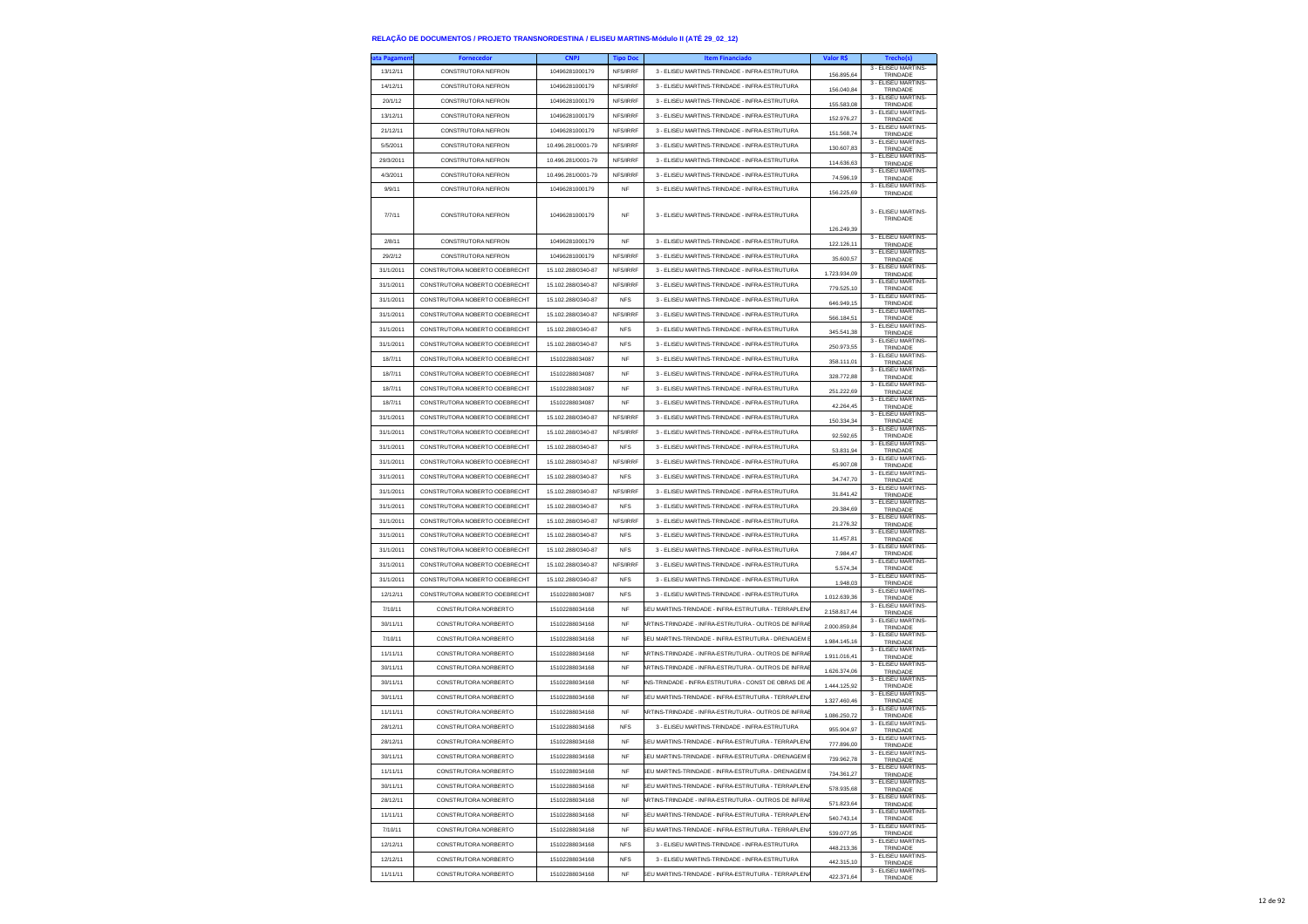| ata Pagamen | <b>Fornecedor</b>             | <b>CNPJ</b>        | <b>Tipo Doc</b> | <b>Item Financiado</b>                               | Valor R\$    | Trecho(s)                       |
|-------------|-------------------------------|--------------------|-----------------|------------------------------------------------------|--------------|---------------------------------|
| 13/12/11    | <b>CONSTRUTORA NEFRON</b>     | 10496281000179     | NFS/IRRF        | 3 - ELISEU MARTINS-TRINDADE - INFRA-ESTRUTURA        | 156.895,64   | 3 - ELISEU MARTINS-<br>TRINDADE |
| 14/12/11    | <b>CONSTRUTORA NEFRON</b>     | 10496281000179     | NFS/IRRF        | 3 - ELISEU MARTINS-TRINDADE - INFRA-ESTRUTURA        | 156.040,84   | 3 - ELISEU MARTINS-<br>TRINDADE |
| 20/1/12     | CONSTRUTORA NEFRON            | 10496281000179     | NFS/IRRF        | 3 - ELISEU MARTINS-TRINDADE - INFRA-ESTRUTURA        | 155,583.08   | 3 - FLISEU MARTINS-             |
| 13/12/11    | <b>CONSTRUTORA NEFRON</b>     | 10496281000179     | NFS/IRRF        | 3 - ELISEU MARTINS-TRINDADE - INFRA-ESTRUTURA        |              | TRINDADE<br>3 - ELISEU MARTINS- |
| 21/12/11    | CONSTRUTORA NEFRON            | 10496281000179     | NFS/IRRF        | 3 - ELISEU MARTINS-TRINDADE - INFRA-ESTRUTURA        | 152.976,27   | TRINDADE<br>3 - ELISEU MARTINS- |
| 5/5/2011    | CONSTRUTORA NEFRON            | 10.496.281/0001-79 | NFS/IRRF        | 3 - ELISEU MARTINS-TRINDADE - INFRA-ESTRUTURA        | 151.568,74   | TRINDADE<br>3 - FLISEU MARTINS- |
| 29/3/2011   | <b>CONSTRUTORA NEFRON</b>     | 10.496.281/0001-79 | NFS/IRRF        | 3 - ELISEU MARTINS-TRINDADE - INFRA-ESTRUTURA        | 130.607,83   | TRINDADE<br>3 - ELISEU MARTINS- |
| 4/3/2011    | <b>CONSTRUTORA NEFRON</b>     | 10.496.281/0001-79 | NFS/IRRF        | 3 - ELISEU MARTINS-TRINDADE - INFRA-ESTRUTURA        | 114.636,63   | TRINDADE<br>3 - ELISEU MARTINS- |
|             |                               |                    |                 |                                                      | 74.596,19    | TRINDADE<br>3 - ELISEU MARTINS- |
| 9/9/11      | CONSTRUTORA NEFRON            | 10496281000179     | NF              | 3 - ELISEU MARTINS-TRINDADE - INFRA-ESTRUTURA        | 156.225,69   | TRINDADE                        |
| 7/7/11      | CONSTRUTORA NEFRON            | 10496281000179     | <b>NF</b>       | 3 - ELISEU MARTINS-TRINDADE - INFRA-ESTRUTURA        | 126.249,39   | 3 - ELISEU MARTINS-<br>TRINDADE |
| 2/8/11      | CONSTRUTORA NEFRON            | 10496281000179     | <b>NF</b>       | 3 - ELISEU MARTINS-TRINDADE - INFRA-ESTRUTURA        | 122.126.11   | 3 - ELISEU MARTINS<br>TRINDADE  |
| 29/2/12     | <b>CONSTRUTORA NEFRON</b>     | 10496281000179     | NFS/IRRF        | 3 - ELISEU MARTINS-TRINDADE - INFRA-ESTRUTURA        | 35.600,57    | 3 - ELISEU MARTINS-<br>TRINDADE |
| 31/1/2011   | CONSTRUTORA NOBERTO ODEBRECHT | 15.102.288/0340-87 | NFS/IRRF        | 3 - ELISEU MARTINS-TRINDADE - INFRA-ESTRUTURA        | 1.723.934,09 | 3 - ELISEU MARTINS-<br>TRINDADE |
| 31/1/2011   | CONSTRUTORA NOBERTO ODEBRECHT | 15.102.288/0340-87 | NFS/IRRF        | 3 - ELISEU MARTINS-TRINDADE - INFRA-ESTRUTURA        | 779,525.10   | 3 - ELISEU MARTINS-<br>TRINDADE |
| 31/1/2011   | CONSTRUTORA NOBERTO ODEBRECHT | 15.102.288/0340-87 | <b>NFS</b>      | 3 - ELISEU MARTINS-TRINDADE - INFRA-ESTRUTURA        | 646.949,15   | 3 - ELISEU MARTINS-<br>TRINDADE |
| 31/1/2011   | CONSTRUTORA NOBERTO ODEBRECHT | 15.102.288/0340-87 | NFS/IRRF        | 3 - ELISEU MARTINS-TRINDADE - INFRA-ESTRUTURA        | 566.184,51   | 3 - ELISEU MARTINS-<br>TRINDADE |
| 31/1/2011   | CONSTRUTORA NOBERTO ODEBRECHT | 15.102.288/0340-87 | <b>NFS</b>      | 3 - ELISEU MARTINS-TRINDADE - INFRA-ESTRUTURA        | 345.541.38   | 3 - ELISEU MARTINS<br>TRINDADE  |
| 31/1/2011   | CONSTRUTORA NOBERTO ODEBRECHT | 15.102.288/0340-87 | <b>NFS</b>      | 3 - ELISEU MARTINS-TRINDADE - INFRA-ESTRUTURA        | 250.973,55   | 3 - ELISEU MARTINS-<br>TRINDADE |
| 18/7/11     | CONSTRUTORA NOBERTO ODEBRECHT | 15102288034087     | <b>NF</b>       | 3 - ELISEU MARTINS-TRINDADE - INFRA-ESTRUTURA        | 358.111,01   | 3 - ELISEU MARTINS-             |
| 18/7/11     | CONSTRUTORA NOBERTO ODEBRECHT | 15102288034087     | <b>NF</b>       | 3 - ELISEU MARTINS-TRINDADE - INFRA-ESTRUTURA        |              | TRINDADE<br>3 - ELISEU MARTINS- |
| 18/7/11     | CONSTRUTORA NOBERTO ODEBRECHT | 15102288034087     | <b>NF</b>       | 3 - ELISEU MARTINS-TRINDADE - INFRA-ESTRUTURA        | 328.772,88   | TRINDADE<br>3 - FLISEU MARTINS- |
|             | CONSTRUTORA NORFRTO ODERRECHT | 15102288034087     | <b>NF</b>       | 3 - ELISEU MARTINS-TRINDADE - INFRA-ESTRUTURA        | 251.222,69   | TRINDADE<br>3 - ELISEU MARTINS- |
| 18/7/11     |                               |                    |                 |                                                      | 42.264.45    | TRINDADE<br>3 - FLISEU MARTINS- |
| 31/1/2011   | CONSTRUTORA NOBERTO ODEBRECHT | 15.102.288/0340-87 | NFS/IRRF        | 3 - ELISEU MARTINS-TRINDADE - INFRA-ESTRUTURA        | 150.334.34   | TRINDADE<br>3 - ELISEU MARTINS- |
| 31/1/2011   | CONSTRUTORA NOBERTO ODEBRECHT | 15 102 288/0340-87 | NFS/IRRF        | 3 - ELISEU MARTINS-TRINDADE - INFRA-ESTRUTURA        | 92.592,65    | TRINDADE<br>3 - ELISEU MARTINS- |
| 31/1/2011   | CONSTRUTORA NOBERTO ODEBRECHT | 15.102.288/0340-87 | <b>NFS</b>      | 3 - ELISEU MARTINS-TRINDADE - INFRA-ESTRUTURA        | 53.831,94    | TRINDADE<br>3 - ELISEU MARTINS- |
| 31/1/2011   | CONSTRUTORA NOBERTO ODEBRECHT | 15.102.288/0340-87 | NFS/IRRF        | 3 - ELISEU MARTINS-TRINDADE - INFRA-ESTRUTURA        | 45.907,08    | TRINDADE<br>3 - ELISEU MARTINS- |
| 31/1/2011   | CONSTRUTORA NOBERTO ODEBRECHT | 15.102.288/0340-87 | <b>NFS</b>      | 3 - ELISEU MARTINS-TRINDADE - INFRA-ESTRUTURA        | 34.747,70    | TRINDADE                        |
| 31/1/2011   | CONSTRUTORA NOBERTO ODEBRECHT | 15.102.288/0340-87 | NFS/IRRF        | 3 - ELISEU MARTINS-TRINDADE - INFRA-ESTRUTURA        | 31.841.42    | 3 - ELISEU MARTINS-<br>TRINDADE |
| 31/1/2011   | CONSTRUTORA NOBERTO ODEBRECHT | 15.102.288/0340-87 | <b>NFS</b>      | 3 - ELISEU MARTINS-TRINDADE - INFRA-ESTRUTURA        | 29.384,69    | 3 - ELISEU MARTINS-<br>TRINDADE |
| 31/1/2011   | CONSTRUTORA NOBERTO ODEBRECHT | 15.102.288/0340-87 | NFS/IRRF        | 3 - ELISEU MARTINS-TRINDADE - INFRA-ESTRUTURA        | 21.276,32    | 3 - ELISEU MARTINS-<br>TRINDADE |
| 31/1/2011   | CONSTRUTORA NOBERTO ODEBRECHT | 15.102.288/0340-87 | <b>NFS</b>      | 3 - ELISEU MARTINS-TRINDADE - INFRA-ESTRUTURA        | 11.457,81    | 3 - ELISEU MARTINS-<br>TRINDADE |
| 31/1/2011   | CONSTRUTORA NOBERTO ODEBRECHT | 15.102.288/0340-87 | <b>NFS</b>      | 3 - ELISEU MARTINS-TRINDADE - INFRA-ESTRUTURA        | 7.984,47     | 3 - ELISEU MARTINS-<br>TRINDADE |
| 31/1/2011   | CONSTRUTORA NOBERTO ODEBRECHT | 15.102.288/0340-87 | NFS/IRRF        | 3 - ELISEU MARTINS-TRINDADE - INFRA-ESTRUTURA        | 5.574.34     | 3 - ELISEU MARTINS-<br>TRINDADE |
| 31/1/2011   | CONSTRUTORA NOBERTO ODEBRECHT | 15.102.288/0340-87 | <b>NFS</b>      | 3 - ELISEU MARTINS-TRINDADE - INFRA-ESTRUTURA        | 1.948,03     | 3 - ELISEU MARTINS-<br>TRINDADE |
| 12/12/11    | CONSTRUTORA NOBERTO ODEBRECHT | 15102288034087     | <b>NFS</b>      | 3 - ELISEU MARTINS-TRINDADE - INFRA-ESTRUTURA        | 1.012.639,36 | 3 - ELISEU MARTINS-<br>TRINDADE |
| 7/10/11     | CONSTRUTORA NORBERTO          | 15102288034168     | <b>NF</b>       | SEU MARTINS-TRINDADE - INFRA-ESTRUTURA - TERRAPLEN   | 2.158.817.44 | 3 - ELISEU MARTINS-<br>TRINDADE |
| 30/11/11    | CONSTRUTORA NORBERTO          | 15102288034168     | <b>NF</b>       | ARTINS-TRINDADE - INFRA-ESTRUTURA - OUTROS DE INFRAI | 2.000.859,84 | 3 - ELISEU MARTINS-<br>TRINDADE |
| 7/10/11     | CONSTRUTORA NORBERTO          | 15102288034168     | NF              | EU MARTINS-TRINDADE - INFRA-ESTRUTURA - DRENAGEM     | 1.984.145,16 | 3 - ELISEU MARTINS-             |
| 11/11/11    | CONSTRUTORA NORBERTO          | 15102288034168     | <b>NF</b>       | ARTINS-TRINDADE - INFRA-ESTRUTURA - OUTROS DE INFRAI | 1.911.016,41 | TRINDADE<br>3 - ELISEU MARTINS- |
| 30/11/11    | CONSTRUTORA NORBERTO          | 15102288034168     | <b>NF</b>       | ARTINS-TRINDADE - INFRA-ESTRUTURA - OUTROS DE INFRAI |              | TRINDADE<br>3 - ELISEU MARTINS- |
| 30/11/11    | CONSTRUTORA NORBERTO          | 15102288034168     | <b>NF</b>       | INS-TRINDADE - INFRA-ESTRUTURA - CONST DE OBRAS DE   | 1.626.374,06 | TRINDADE<br>3 - ELISEU MARTINS- |
| 30/11/11    | CONSTRUTORA NORBERTO          | 15102288034168     | <b>NF</b>       | SEU MARTINS-TRINDADE - INFRA-ESTRUTURA - TERRAPLEN   | 1.444.125,92 | TRINDADE<br>3 - ELISEU MARTINS  |
| 11/11/11    | CONSTRUTORA NORBERTO          | 15102288034168     | <b>NF</b>       | ARTINS-TRINDADE - INFRA-ESTRUTURA - OUTROS DE INFRAE | 1.327.460.46 | TRINDADE<br>3 - ELISEU MARTINS- |
|             | CONSTRUTORA NORBERTO          | 15102288034168     | <b>NFS</b>      | 3 - FLISELLMARTINS-TRINDADE - INFRA-ESTRUTURA        | 1.086.250.72 | TRINDADE<br>3 - ELISEU MARTINS- |
| 28/12/11    |                               |                    |                 |                                                      | 955.904,97   | TRINDADE<br>3 - ELISEU MARTINS  |
| 28/12/11    | CONSTRUTORA NORBERTO          | 15102288034168     | NF              | SEU MARTINS-TRINDADE - INFRA-ESTRUTURA - TERRAPLEN   | 777.896,00   | TRINDADE<br>3 - ELISEU MARTINS  |
| 30/11/11    | CONSTRUTORA NORBERTO          | 15102288034168     | <b>NF</b>       | BEU MARTINS-TRINDADE - INFRA-ESTRUTURA - DRENAGEM E  | 739.962,78   | TRINDADE<br>3 - ELISEU MARTINS- |
| 11/11/11    | CONSTRUTORA NORBERTO          | 15102288034168     | <b>NF</b>       | SEU MARTINS-TRINDADE - INFRA-ESTRUTURA - DRENAGEM E  | 734.361,27   | TRINDADE<br>3 - ELISEU MARTINS- |
| 30/11/11    | CONSTRUTORA NORBERTO          | 15102288034168     | <b>NF</b>       | SEU MARTINS-TRINDADE - INFRA-ESTRUTURA - TERRAPLEN/  | 578.935.68   | TRINDADE<br>3 - FLISEU MARTINS- |
| 28/12/11    | CONSTRUTORA NORBERTO          | 15102288034168     | <b>NF</b>       | ARTINS-TRINDADE - INFRA-ESTRUTURA - OUTROS DE INFRAE | 571.823,64   | TRINDADE                        |
| 11/11/11    | CONSTRUTORA NORBERTO          | 15102288034168     | <b>NF</b>       | SEU MARTINS-TRINDADE - INFRA-ESTRUTURA - TERRAPLEN   | 540.743,14   | 3 - ELISEU MARTINS-<br>TRINDADE |
| 7/10/11     | CONSTRUTORA NORBERTO          | 15102288034168     | NF              | SEU MARTINS-TRINDADE - INFRA-ESTRUTURA - TERRAPLEN   | 539.077,95   | 3 - ELISEU MARTINS-<br>TRINDADE |
| 12/12/11    | CONSTRUTORA NORBERTO          | 15102288034168     | <b>NFS</b>      | 3 - ELISEU MARTINS-TRINDADE - INFRA-ESTRUTURA        | 448.213,36   | 3 - FLISEU MARTINS-<br>TRINDADE |
| 12/12/11    | CONSTRUTORA NORBERTO          | 15102288034168     | <b>NFS</b>      | 3 - ELISEU MARTINS-TRINDADE - INFRA-ESTRUTURA        | 442.315,10   | 3 - ELISEU MARTINS-<br>TRINDADE |
| 11/11/11    | CONSTRUTORA NORBERTO          | 15102288034168     | NF              | SEU MARTINS-TRINDADE - INFRA-ESTRUTURA - TERRAPLEN   | 422.371,64   | 3 - ELISEU MARTINS<br>TRINDADE  |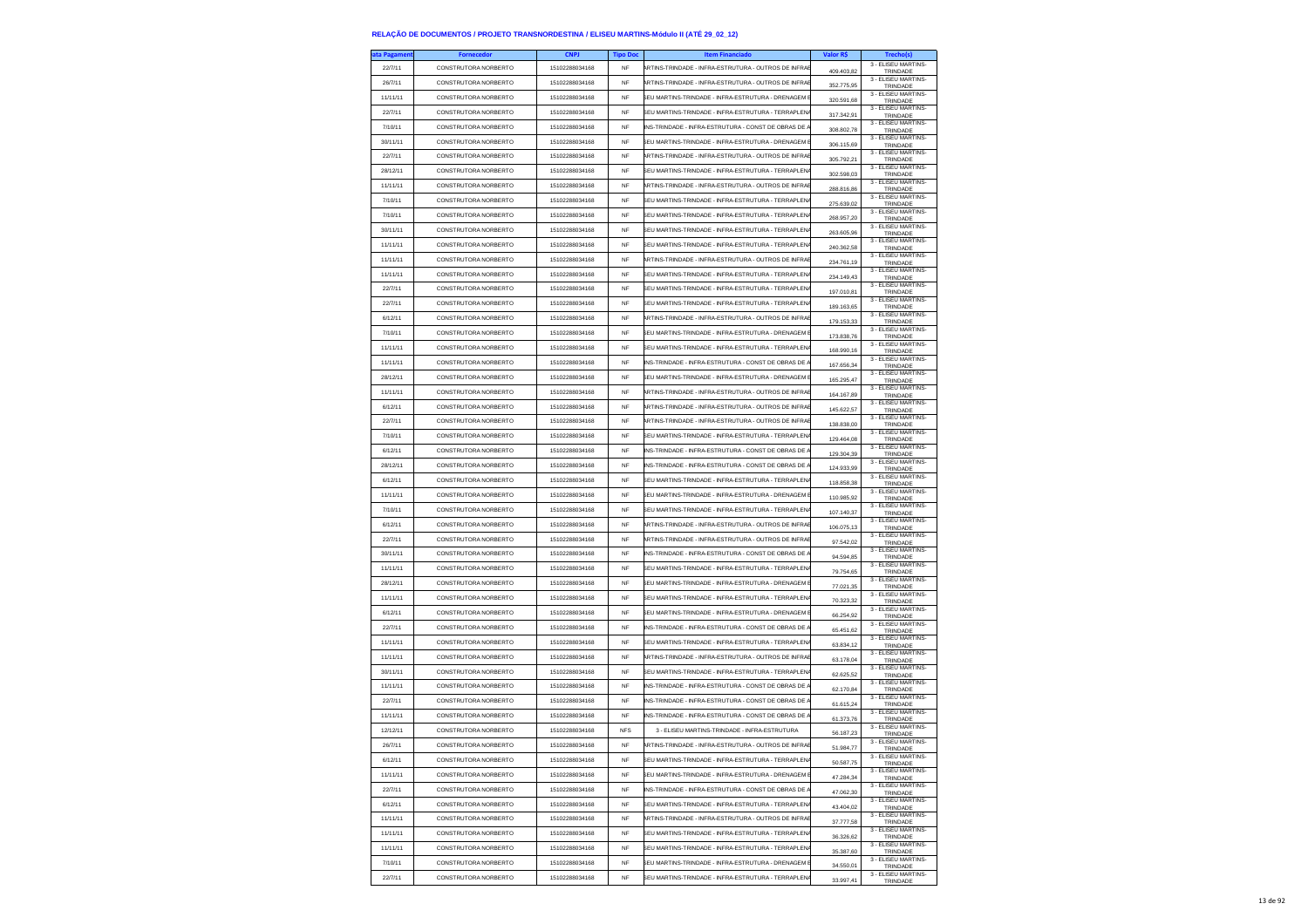| ta Pagameni | <b>Fornecedor</b>    | <b>CNPJ</b>    | <b>Tipo Doc</b> | <b>Item Financiado</b>                               | Valor R\$  | <b>Trecho(s</b>                       |
|-------------|----------------------|----------------|-----------------|------------------------------------------------------|------------|---------------------------------------|
| 22/7/11     | CONSTRUTORA NORBERTO | 15102288034168 | NF              | RTINS-TRINDADE - INFRA-ESTRUTURA - OUTROS DE INFRA   | 409.403,82 | 3 - ELISEU MARTINS-<br>TRINDADE       |
| 26/7/11     | CONSTRUTORA NORBERTO | 15102288034168 | <b>NF</b>       | ARTINS-TRINDADE - INFRA-ESTRUTURA - OUTROS DE INFRAI | 352,775.95 | 3 - ELISEU MARTINS-<br>TRINDADE       |
| 11/11/11    | CONSTRUTORA NORBERTO | 15102288034168 | <b>NF</b>       | SELLMARTINS-TRINDADE - INFRA-ESTRUTURA - DRENAGEM    | 320.591,68 | 3 - ELISEU MARTINS-                   |
| 22/7/11     | CONSTRUTORA NORBERTO | 15102288034168 | NF              | SEU MARTINS-TRINDADE - INFRA-ESTRUTURA - TERRAPLEN   |            | TRINDADE<br>3 - ELISEU MARTINS-       |
| 7/10/11     | CONSTRUTORA NORBERTO | 15102288034168 | <b>NF</b>       | INS-TRINDADE - INFRA-ESTRUTURA - CONST DE OBRAS DE   | 317.342,91 | TRINDADE<br>3 - ELISEU MARTINS        |
| 30/11/11    | CONSTRUTORA NORBERTO | 15102288034168 | <b>NF</b>       | SELLMARTINS-TRINDADE - INFRA-ESTRUTURA - DRENAGEM B  | 308,802.78 | TRINDADE<br>3 - ELISEU MARTINS-       |
| 22/7/11     | CONSTRUTORA NORRERTO | 15102288034168 | <b>NF</b>       | ARTINS-TRINDADE - INFRA-ESTRUTURA - OUTROS DE INFRAI | 306.115,69 | TRINDADE<br>3 - ELISEU MARTINS-       |
|             |                      |                |                 |                                                      | 305.792,21 | TRINDADE<br>3 - ELISEU MARTINS-       |
| 28/12/11    | CONSTRUTORA NORBERTO | 15102288034168 | <b>NF</b>       | SEU MARTINS-TRINDADE - INFRA-ESTRUTURA - TERRAPLEN   | 302.598.03 | TRINDADE<br>3 - ELISEU MARTINS-       |
| 11/11/11    | CONSTRUTORA NORBERTO | 15102288034168 | <b>NF</b>       | ARTINS-TRINDADE - INFRA-ESTRUTURA - OUTROS DE INFRAI | 288.816,86 | TRINDADE<br>3 - ELISEU MARTINS-       |
| 7/10/11     | CONSTRUTORA NORBERTO | 15102288034168 | <b>NF</b>       | SEU MARTINS-TRINDADE - INFRA-ESTRUTURA - TERRAPLEN   | 275.639.02 | TRINDADE<br>3 - ELISEU MARTINS        |
| 7/10/11     | CONSTRUTORA NORBERTO | 15102288034168 | <b>NF</b>       | SEU MARTINS-TRINDADE - INFRA-ESTRUTURA - TERRAPLEN   | 268.957.20 | TRINDADE                              |
| 30/11/11    | CONSTRUTORA NORBERTO | 15102288034168 | <b>NF</b>       | SEU MARTINS-TRINDADE - INFRA-ESTRUTURA - TERRAPLEN   | 263.605,96 | 3 - ELISEU MARTINS-<br>TRINDADE       |
| 11/11/11    | CONSTRUTORA NORBERTO | 15102288034168 | <b>NF</b>       | FU MARTINS-TRINDADE - INFRA-ESTRUTURA - TERRAPI EN   | 240.362,58 | 3 - ELISEU MARTINS-<br>TRINDADE       |
| 11/11/11    | CONSTRUTORA NORBERTO | 15102288034168 | NF              | RTINS-TRINDADE - INFRA-ESTRUTURA - OUTROS DE INFRA   | 234.761,19 | 3 - FLISEU MARTINS-<br>TRINDADE       |
| 11/11/11    | CONSTRUTORA NORBERTO | 15102288034168 | <b>NF</b>       | SEU MARTINS-TRINDADE - INFRA-ESTRUTURA - TERRAPLEN   | 234.149,43 | 3 - ELISEU MARTINS-<br>TRINDADE       |
| 22/7/11     | CONSTRUTORA NORBERTO | 15102288034168 | <b>NF</b>       | SEU MARTINS-TRINDADE - INFRA-ESTRUTURA - TERRAPLEN   | 197.010,81 | 3 - ELISEU MARTINS-<br>TRINDADE       |
| 22/7/11     | CONSTRUTORA NORBERTO | 15102288034168 | NF              | SEU MARTINS-TRINDADE - INFRA-ESTRUTURA - TERRAPLEN   | 189.163,65 | 3 - ELISEU MARTINS<br>TRINDADE        |
| 6/12/11     | CONSTRUTORA NORBERTO | 15102288034168 | <b>NF</b>       | ARTINS-TRINDADE - INFRA-ESTRUTURA - OUTROS DE INFRA  | 179.153,33 | 3 - ELISEU MARTINS-                   |
| 7/10/11     | CONSTRUTORA NORBERTO | 15102288034168 | <b>NF</b>       | SEU MARTINS-TRINDADE - INFRA-ESTRUTURA - DRENAGEM    |            | TRINDADE<br>3 - ELISEU MARTINS-       |
| 11/11/11    | CONSTRUTORA NORBERTO | 15102288034168 | NF              | SEU MARTINS-TRINDADE - INFRA-ESTRUTURA - TERRAPLEN   | 173.838,76 | TRINDADE<br>3 - ELISEU MARTINS-       |
| 11/11/11    | CONSTRUTORA NORBERTO | 15102288034168 | <b>NF</b>       | INS-TRINDADE - INFRA-ESTRUTURA - CONST DE OBRAS DE   | 168.990,16 | TRINDADE<br>3 - FLISEU MARTINS-       |
| 28/12/11    | CONSTRUTORA NORRERTO | 15102288034168 | <b>NF</b>       | SEU MARTINS-TRINDADE - INFRA-ESTRUTURA - DRENAGEM I  | 167,656,34 | TRINDADE<br>3 - ELISEU MARTINS-       |
| 11/11/11    | CONSTRUTORA NORBERTO | 15102288034168 | NF              | ARTINS-TRINDADE - INFRA-ESTRUTURA - OUTROS DE INFRA  | 165.295,47 | TRINDADE<br>3 - ELISEU MARTINS-       |
| 6/12/11     | CONSTRUTORA NORBERTO | 15102288034168 | <b>NF</b>       | ARTINS-TRINDADE - INFRA-ESTRUTURA - OUTROS DE INFRAI | 164.167,89 | TRINDADE<br>3 - ELISEU MARTINS-       |
|             |                      |                |                 | RTINS-TRINDADE - INFRA-ESTRUTURA - OUTROS DE INFRA   | 145.622.57 | TRINDADE<br>3 - ELISEU MARTINS-       |
| 22/7/11     | CONSTRUTORA NORBERTO | 15102288034168 | <b>NF</b>       |                                                      | 138.838,00 | TRINDADE<br>3 - ELISEU MARTINS-       |
| 7/10/11     | CONSTRUTORA NORBERTO | 15102288034168 | NF              | SEU MARTINS-TRINDADE - INFRA-ESTRUTURA - TERRAPLEN   | 129.464,08 | TRINDADE<br>3 - ELISEU MARTINS-       |
| 6/12/11     | CONSTRUTORA NORBERTO | 15102288034168 | <b>NF</b>       | INS-TRINDADE - INFRA-ESTRUTURA - CONST DE OBRAS DE   | 129,304.39 | TRINDADE<br>3 - ELISEU MARTINS-       |
| 28/12/11    | CONSTRUTORA NORBERTO | 15102288034168 | <b>NF</b>       | INS-TRINDADE - INFRA-ESTRUTURA - CONST DE OBRAS DE   | 124.933,99 | TRINDADE<br>3 - ELISEU MARTINS-       |
| 6/12/11     | CONSTRUTORA NORBERTO | 15102288034168 | NF              | SEU MARTINS-TRINDADE - INFRA-ESTRUTURA - TERRAPLEN   | 118.858,38 | TRINDADE<br>3 - ELISEU MARTINS-       |
| 11/11/11    | CONSTRUTORA NORBERTO | 15102288034168 | <b>NF</b>       | SELLMARTINS-TRINDADE - INFRA-ESTRUTURA - DRENAGEM    | 110.985.92 | TRINDADE<br>3 - ELISEU MARTINS-       |
| 7/10/11     | CONSTRUTORA NORBERTO | 15102288034168 | <b>NF</b>       | SEU MARTINS-TRINDADE - INFRA-ESTRUTURA - TERRAPLEN   | 107.140,37 | TRINDADE<br>3 - ELISEU MARTINS        |
| 6/12/11     | CONSTRUTORA NORBERTO | 15102288034168 | NF              | RTINS-TRINDADE - INFRA-ESTRUTURA - OUTROS DE INFRA   | 106.075,13 | TRINDADE<br>3 - ELISEU MARTINS-       |
| 22/7/11     | CONSTRUTORA NORBERTO | 15102288034168 | <b>NF</b>       | ARTINS-TRINDADE - INFRA-ESTRUTURA - OUTROS DE INFRAI | 97.542,02  | TRINDADE<br>3 - ELISEU MARTINS-       |
| 30/11/11    | CONSTRUTORA NORBERTO | 15102288034168 | <b>NF</b>       | INS-TRINDADE - INFRA-ESTRUTURA - CONST DE OBRAS DE   | 94.594,85  | TRINDADE<br>3 - ELISEU MARTINS-       |
| 11/11/11    | CONSTRUTORA NORBERTO | 15102288034168 | <b>NF</b>       | SEU MARTINS-TRINDADE - INFRA-ESTRUTURA - TERRAPLEN   | 79.754,65  | TRINDADE<br>3 - ELISEU MARTINS        |
| 28/12/11    | CONSTRUTORA NORBERTO | 15102288034168 | <b>NF</b>       | SEU MARTINS-TRINDADE - INFRA-ESTRUTURA - DRENAGEM    | 77.021.35  | TRINDADE<br>3 - ELISEU MARTINS-       |
| 11/11/11    | CONSTRUTORA NORBERTO | 15102288034168 | <b>NF</b>       | SEU MARTINS-TRINDADE - INFRA-ESTRUTURA - TERRAPLEN   | 70.323,32  | TRINDADE                              |
| 6/12/11     | CONSTRUTORA NORBERTO | 15102288034168 | <b>NF</b>       | SEU MARTINS-TRINDADE - INFRA-ESTRUTURA - DRENAGEM I  | 66.254,92  | 3 - ELISEU MARTINS-<br>TRINDADE       |
| 22/7/11     | CONSTRUTORA NORBERTO | 15102288034168 | <b>NF</b>       | INS-TRINDADE - INFRA-ESTRUTURA - CONST DE OBRAS DE   | 65.451,62  | 3 - ELISEU MARTINS-<br>TRINDADE       |
| 11/11/11    | CONSTRUTORA NORBERTO | 15102288034168 | <b>NF</b>       | SEU MARTINS-TRINDADE - INFRA-ESTRUTURA - TERRAPLEN   | 63.834,12  | 3 - ELISEU MARTINS-<br>TRINDADE       |
| 11/11/11    | CONSTRUTORA NORBERTO | 15102288034168 | <b>NF</b>       | ARTINS-TRINDADE - INFRA-ESTRUTURA - OUTROS DE INFRAE | 63.178,04  | 3 - ELISEU MARTINS-<br>TRINDADE       |
| 30/11/11    | CONSTRUTORA NORBERTO | 15102288034168 | NF              | SEU MARTINS-TRINDADE - INFRA-ESTRUTURA - TERRAPLEN   | 62.625,52  | 3 - ELISEU MARTINS-<br>TRINDADE       |
| 11/11/11    | CONSTRUTORA NORBERTO | 15102288034168 | <b>NF</b>       | INS-TRINDADE - INFRA-ESTRUTURA - CONST DE OBRAS DE   | 62.170,84  | 3 - FLISEU MARTINS-<br>TRINDADE       |
| 22/7/11     | CONSTRUTORA NORBERTO | 15102288034168 | <b>NF</b>       | NS-TRINDADE - INFRA-ESTRUTURA - CONST DE OBRAS DE    | 61.615,24  | 3 - ELISEU MARTINS-<br>TRINDADE       |
| 11/11/11    | CONSTRUTORA NORBERTO | 15102288034168 | NF              | INS-TRINDADE - INFRA-ESTRUTURA - CONST DE OBRAS DE   | 61.373,76  | 3 - ELISEU MARTINS-<br>TRINDADE       |
| 12/12/11    | CONSTRUTORA NORBERTO | 15102288034168 | <b>NFS</b>      | 3 - FLISELLMARTINS-TRINDADE - INFRA-ESTRUTURA        | 56.187,23  | 3 - ELISEU MARTINS-<br>TRINDADE       |
| 26/7/11     | CONSTRUTORA NORBERTO | 15102288034168 | <b>NF</b>       | ARTINS-TRINDADE - INFRA-ESTRUTURA - OUTROS DE INFRAE |            | 3 - ELISEU MARTINS-<br><b>TRINDAD</b> |
| 6/12/11     | CONSTRUTORA NORBERTO | 15102288034168 | NF              | SEU MARTINS-TRINDADE - INFRA-ESTRUTURA - TERRAPLEN.  | 50.587,75  | 3 - FLISEU MARTINS<br>TRINDADE        |
| 11/11/11    | CONSTRUTORA NORBERTO | 15102288034168 | <b>NF</b>       | SEU MARTINS-TRINDADE - INFRA-ESTRUTURA - DRENAGEM    | 47 284 34  | 3 - ELISEU MARTINS-<br>TRINDADE       |
| 22/7/11     | CONSTRUTORA NORBERTO | 15102288034168 | <b>NF</b>       | INS-TRINDADE - INFRA-ESTRUTURA - CONST DE OBRAS DE.  | 47.062,30  | 3 - ELISEU MARTINS-<br>TRINDADE       |
| 6/12/11     | CONSTRUTORA NORBERTO | 15102288034168 | NF              | SEU MARTINS-TRINDADE - INFRA-ESTRUTURA - TERRAPLEN   | 43.404,02  | 3 - FLISEU MARTINS-<br>TRINDADE       |
| 11/11/11    | CONSTRUTORA NORBERTO | 15102288034168 | <b>NF</b>       | ARTINS-TRINDADE - INFRA-ESTRUTURA - OUTROS DE INFRAE | 37,777.58  | 3 - FLISEU MARTINS-<br>TRINDADE       |
| 11/11/11    | CONSTRUTORA NORBERTO | 15102288034168 | <b>NF</b>       | SEU MARTINS-TRINDADE - INFRA-ESTRUTURA - TERRAPLEN.  | 36.326,62  | 3 - ELISEU MARTINS-<br>TRINDADE       |
| 11/11/11    | CONSTRUTORA NORBERTO | 15102288034168 | NF              | SEU MARTINS-TRINDADE - INFRA-ESTRUTURA - TERRAPLEN.  | 35.387,60  | 3 - ELISEU MARTINS-<br>TRINDADE       |
| 7/10/11     | CONSTRUTORA NORBERTO | 15102288034168 | <b>NF</b>       | SEU MARTINS-TRINDADE - INFRA-ESTRUTURA - DRENAGEM I  | 34 550 01  | 3 - ELISEU MARTINS-<br>TRINDADE       |
| 22/7/11     | CONSTRUTORA NORBERTO | 15102288034168 | <b>NF</b>       | SEU MARTINS-TRINDADE - INFRA-ESTRUTURA - TERRAPI ENA | 33.997.41  | 3 - ELISEU MARTINS-<br>TRINDADE       |
|             |                      |                |                 |                                                      |            |                                       |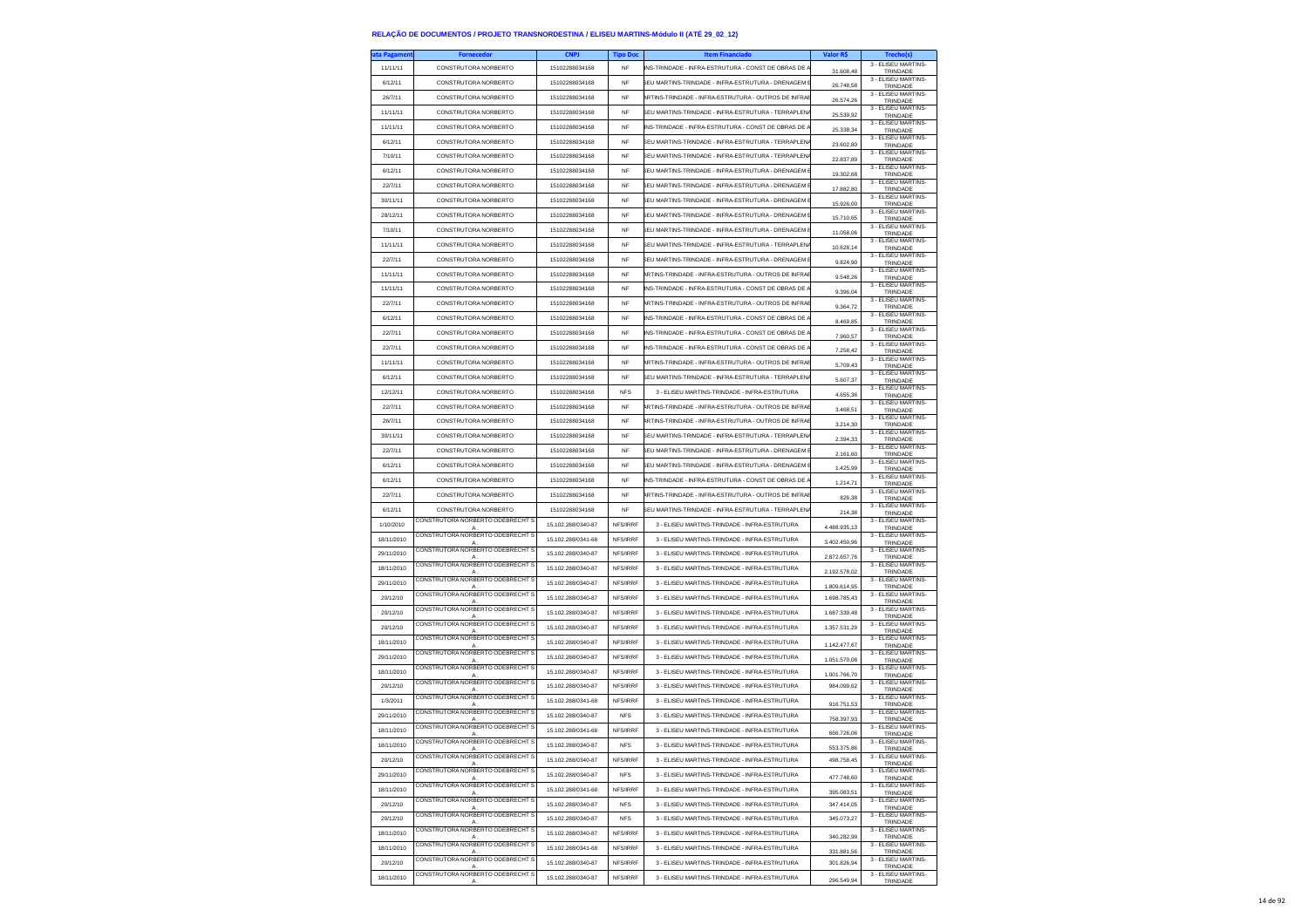| ta Pagamen | <b>Fornecedor</b>                                  | <b>CNPJ</b>        | <b>Tipo Doc</b> | <b>Item Financiado</b>                               | Valor R\$    | <b>Trecho(s)</b>                |
|------------|----------------------------------------------------|--------------------|-----------------|------------------------------------------------------|--------------|---------------------------------|
| 11/11/11   | CONSTRUTORA NORBERTO                               | 15102288034168     | NF              | INS-TRINDADE - INFRA-ESTRUTURA - CONST DE OBRAS DE A | 31.608,48    | 3 - ELISEU MARTINS-<br>TRINDADE |
| 6/12/11    | CONSTRUTORA NORBERTO                               | 15102288034168     | <b>NF</b>       | SEU MARTINS-TRINDADE - INFRA-ESTRUTURA - DRENAGEM E  | 26.748.58    | 3 - ELISEU MARTINS-             |
| 26/7/11    | CONSTRUTORA NORBERTO                               | 15102288034168     | NF              | ARTINS-TRINDADE - INFRA-ESTRUTURA - OUTROS DE INFRAE |              | TRINDADE<br>3 - ELISEU MARTINS- |
| 11/11/11   | CONSTRUTORA NORBERTO                               | 15102288034168     | NF              | SEU MARTINS-TRINDADE - INFRA-ESTRUTURA - TERRAPLENA  | 26.574,26    | TRINDADE<br>3 - ELISEU MARTINS- |
|            |                                                    |                    | <b>NF</b>       |                                                      | 25.539,92    | TRINDADE<br>3 - ELISEU MARTINS- |
| 11/11/11   | CONSTRUTORA NORBERTO                               | 15102288034168     |                 | INS-TRINDADE - INFRA-ESTRUTURA - CONST DE OBRAS DE A | 25.338.34    | TRINDADE<br>3 - ELISEU MARTINS- |
| 6/12/11    | CONSTRUTORA NORBERTO                               | 15102288034168     | NF              | SEU MARTINS-TRINDADE - INFRA-ESTRUTURA - TERRAPI ENA | 23.602,80    | TRINDADE<br>3 - ELISEU MARTINS- |
| 7/10/11    | CONSTRUTORA NORBERTO                               | 15102288034168     | <b>NF</b>       | SEU MARTINS-TRINDADE - INFRA-ESTRUTURA - TERRAPI ENA | 22.837,89    | TRINDADE                        |
| 6/12/11    | CONSTRUTORA NORBERTO                               | 15102288034168     | <b>NF</b>       | SEU MARTINS-TRINDADE - INFRA-ESTRUTURA - DRENAGEM B  | 19.302,68    | 3 - ELISEU MARTINS-<br>TRINDADE |
| 22/7/11    | CONSTRUTORA NORBERTO                               | 15102288034168     | <b>NF</b>       | SEU MARTINS-TRINDADE - INFRA-ESTRUTURA - DRENAGEM E  | 17.882,80    | 3 - ELISEU MARTINS-<br>TRINDADE |
| 30/11/11   | CONSTRUTORA NORBERTO                               | 15102288034168     | NF              | SEU MARTINS-TRINDADE - INFRA-ESTRUTURA - DRENAGEM E  | 15.926,00    | 3 - ELISEU MARTINS-<br>TRINDADE |
| 28/12/11   | CONSTRUTORA NORBERTO                               | 15102288034168     | NF              | SEU MARTINS-TRINDADE - INFRA-ESTRUTURA - DRENAGEM E  | 15.710.65    | 3 - ELISEU MARTINS-<br>TRINDADE |
| 7/10/11    | CONSTRUTORA NORBERTO                               | 15102288034168     | NF              | SEU MARTINS-TRINDADE - INFRA-ESTRUTURA - DRENAGEM E  | 11.058.06    | 3 - ELISEU MARTINS-<br>TRINDADE |
| 11/11/11   | CONSTRUTORA NORBERTO                               | 15102288034168     | NF              | SEU MARTINS-TRINDADE - INFRA-ESTRUTURA - TERRAPLENA  | 10.628,14    | 3 - ELISEU MARTINS-<br>TRINDADE |
| 22/7/11    | CONSTRUTORA NORBERTO                               | 15102288034168     | NF              | SEU MARTINS-TRINDADE - INFRA-ESTRUTURA - DRENAGEM B  | 9.824,90     | 3 - ELISEU MARTINS-<br>TRINDADE |
| 11/11/11   | CONSTRUTORA NORBERTO                               | 15102288034168     | NF              | ARTINS-TRINDADE - INFRA-ESTRUTURA - OUTROS DE INFRAE | 9.548,26     | 3 - ELISEU MARTINS-             |
| 11/11/11   | CONSTRUTORA NORBERTO                               | 15102288034168     | NF              | INS-TRINDADE - INFRA-ESTRUTURA - CONST DE OBRAS DE A |              | TRINDADE<br>3 - ELISEU MARTINS- |
| 22/7/11    | CONSTRUTORA NORBERTO                               | 15102288034168     | NF              | ARTINS-TRINDADE - INFRA-ESTRUTURA - OUTROS DE INFRAE | 9.396,04     | TRINDADE<br>3 - ELISEU MARTINS- |
| 6/12/11    | CONSTRUTORA NORBERTO                               | 15102288034168     | NF              | INS-TRINDADE - INFRA-ESTRUTURA - CONST DE OBRAS DE A | 9.364,72     | TRINDADE<br>3 - ELISEU MARTINS- |
|            |                                                    |                    | NF              |                                                      | 8.469,85     | TRINDADE<br>3 - ELISEU MARTINS- |
| 22/7/11    | CONSTRUTORA NORBERTO                               | 15102288034168     |                 | INS-TRINDADE - INFRA-ESTRUTURA - CONST DE OBRAS DE A | 7.960,57     | TRINDADE<br>3 - ELISEU MARTINS- |
| 22/7/11    | CONSTRUTORA NORBERTO                               | 15102288034168     | NF              | NS-TRINDADE - INFRA-ESTRUTURA - CONST DE OBRAS DE /  | 7.258,42     | TRINDADE<br>3 - ELISEU MARTINS- |
| 11/11/11   | CONSTRUTORA NORBERTO                               | 15102288034168     | <b>NF</b>       | ARTINS-TRINDADE - INFRA-ESTRUTURA - OUTROS DE INFRAE | 5.709.43     | TRINDADE<br>3 - ELISEU MARTINS- |
| 6/12/11    | CONSTRUTORA NORBERTO                               | 15102288034168     | NF              | SEU MARTINS-TRINDADE - INFRA-ESTRUTURA - TERRAPLENA  | 5.607,37     | TRINDADE<br>3 - ELISEU MARTINS- |
| 12/12/11   | CONSTRUTORA NORBERTO                               | 15102288034168     | <b>NFS</b>      | 3 - ELISEU MARTINS-TRINDADE - INFRA-ESTRUTURA        | 4.655,36     | TRINDADE                        |
| 22/7/11    | CONSTRUTORA NORBERTO                               | 15102288034168     | <b>NF</b>       | ARTINS-TRINDADE - INFRA-ESTRUTURA - OUTROS DE INFRAE | 3.468.51     | 3 - ELISEU MARTINS-<br>TRINDADE |
| 26/7/11    | CONSTRUTORA NORBERTO                               | 15102288034168     | NF              | ARTINS-TRINDADE - INFRA-ESTRUTURA - OUTROS DE INFRAE | 3.214,30     | 3 - ELISEU MARTINS-<br>TRINDADE |
| 30/11/11   | CONSTRUTORA NORBERTO                               | 15102288034168     | NF              | SEU MARTINS-TRINDADE - INFRA-ESTRUTURA - TERRAPLEN   | 2.394,33     | 3 - ELISEU MARTINS-<br>TRINDADE |
| 22/7/11    | CONSTRUTORA NORBERTO                               | 15102288034168     | <b>NF</b>       | SEU MARTINS-TRINDADE - INFRA-ESTRUTURA - DRENAGEM E  | 2.161.60     | 3 - ELISEU MARTINS-<br>TRINDADE |
| 6/12/11    | CONSTRUTORA NORBERTO                               | 15102288034168     | NF              | SEU MARTINS-TRINDADE - INFRA-ESTRUTURA - DRENAGEM E  | 1.425,99     | 3 - ELISEU MARTINS-<br>TRINDADE |
| 6/12/11    | CONSTRUTORA NORBERTO                               | 15102288034168     | NF              | INS-TRINDADE - INFRA-ESTRUTURA - CONST DE OBRAS DE A | 1.214,71     | 3 - ELISEU MARTINS-<br>TRINDADE |
| 22/7/11    | CONSTRUTORA NORBERTO                               | 15102288034168     | NF              | ARTINS-TRINDADE - INFRA-ESTRUTURA - OUTROS DE INFRAE | 826.38       | 3 - ELISEU MARTINS-<br>TRINDADE |
| 6/12/11    | CONSTRUTORA NORBERTO                               | 15102288034168     | NF              | SEU MARTINS-TRINDADE - INFRA-ESTRUTURA - TERRAPLENA  | 214,38       | 3 - ELISEU MARTINS-<br>TRINDADE |
| 1/10/2010  | CONSTRUTORA NORBERTO ODEBRECHT S                   | 15.102.288/0340-87 | NFS/IRRF        | 3 - ELISEU MARTINS-TRINDADE - INFRA-ESTRUTURA        | 4.488.935,13 | 3 - ELISEU MARTINS-<br>TRINDADE |
| 18/11/2010 | CONSTRUTORA NORBERTO ODEBRECHT S<br>A              | 15.102.288/0341-68 | NFS/IRRF        | 3 - ELISEU MARTINS-TRINDADE - INFRA-ESTRUTURA        | 3.402.450,96 | 3 - ELISEU MARTINS-<br>TRINDADE |
| 29/11/2010 | CONSTRUTORA NORBERTO ODEBRECHT S<br>Α              | 15.102.288/0340-87 | NFS/IRRF        | 3 - ELISEU MARTINS-TRINDADE - INFRA-ESTRUTURA        | 2.872.657,76 | 3 - ELISEU MARTINS-<br>TRINDADE |
| 18/11/2010 | CONSTRUTORA NORBERTO ODEBRECHT S<br>A              | 15.102.288/0340-87 | NFS/IRRF        | 3 - ELISEU MARTINS-TRINDADE - INFRA-ESTRUTURA        | 2.192.578,02 | 3 - ELISEU MARTINS-<br>TRINDADE |
| 29/11/2010 | CONSTRUTORA NORBERTO ODEBRECHT S                   | 15.102.288/0340-87 | NFS/IRRF        | 3 - ELISEU MARTINS-TRINDADE - INFRA-ESTRUTURA        | 1.809.614.95 | 3 - ELISEU MARTINS-             |
| 20/12/10   | A<br>CONSTRUTORA NORBERTO ODEBRECHT S              | 15.102.288/0340-87 | NFS/IRRF        | 3 - ELISEU MARTINS-TRINDADE - INFRA-ESTRUTURA        | 1.698.785.43 | TRINDADE<br>3 - ELISEU MARTINS- |
| 20/12/10   | CONSTRUTORA NORBERTO ODEBRECHT S                   | 15.102.288/0340-87 | NFS/IRRF        | 3 - ELISEU MARTINS-TRINDADE - INFRA-ESTRUTURA        | 1.687.339,48 | TRINDADE<br>3 - ELISEU MARTINS- |
| 20/12/10   | A<br>CONSTRUTORA NORBERTO ODEBRECHT S              | 15.102.288/0340-87 | NFS/IRRF        | 3 - ELISEU MARTINS-TRINDADE - INFRA-ESTRUTURA        | 1.357.531,29 | TRINDADE<br>3 - ELISEU MARTINS- |
| 18/11/2010 | A<br>CONSTRUTORA NORBERTO ODEBRECHT S              | 15.102.288/0340-87 |                 | 3 - ELISEU MARTINS-TRINDADE - INFRA-ESTRUTURA        |              | TRINDADE<br>3 - ELISEU MARTINS- |
|            | CONSTRUTORA NORBERTO ODEBRECHT S                   |                    | NFS/IRRF        |                                                      | 1.142.477,67 | TRINDADE<br>3 - ELISEU MARTINS- |
| 29/11/2010 | $\mathsf{A}$<br>CONSTRUTORA NORBERTO ODEBRECHT S   | 15.102.288/0340-87 | NFS/IRRF        | 3 - ELISEU MARTINS-TRINDADE - INFRA-ESTRUTURA        | 1.051.570,08 | TRINDADE<br>3 - ELISEU MARTINS- |
| 18/11/2010 | $\mathsf{A}$<br>CONSTRUTORA NORBERTO ODEBRECHT S   | 15.102.288/0340-87 | NFS/IRRF        | 3 - ELISEU MARTINS-TRINDADE - INFRA-ESTRUTURA        | 1.001.766,70 | TRINDADE<br>3 - ELISEU MARTINS- |
| 20/12/10   | CONSTRUTORA NORBERTO ODEBRECHT S                   | 15.102.288/0340-87 | NFS/IRRF        | 3 - ELISEU MARTINS-TRINDADE - INFRA-ESTRUTURA        | 984.099.62   | TRINDADE<br>3 - ELISEU MARTINS- |
| 1/3/2011   | A<br>CONSTRUTORA NORBERTO ODEBRECHT S              | 15.102.288/0341-68 | NFS/IRRF        | 3 - ELISEU MARTINS-TRINDADE - INFRA-ESTRUTURA        | 916.751,53   | TRINDADE                        |
| 29/11/2010 | A                                                  | 15.102.288/0340-87 | <b>NFS</b>      | 3 - ELISEU MARTINS-TRINDADE - INFRA-ESTRUTURA        | 758.397,93   | 3 - ELISEU MARTINS-<br>TRINDADE |
| 18/11/2010 | CONSTRUTORA NORBERTO ODEBRECHT S<br>A              | 15 102 288/0341-68 | NFS/IRRF        | 3 - ELISEU MARTINS-TRINDADE - INFRA-ESTRUTURA        | 666.726,06   | 3 - ELISEU MARTINS-<br>TRINDADE |
| 18/11/2010 | CONSTRUTORA NORBERTO ODEBRECHT S                   | 15.102.288/0340-87 | <b>NFS</b>      | 3 - ELISEU MARTINS-TRINDADE - INFRA-ESTRUTURA        |              | 3 - ELISEU MARTINS-<br>TRIND    |
| 20/12/10   | CONSTRUTORA NORBERTO ODEBRECHT S<br>$\mathsf{A}$   | 15.102.288/0340-87 | NFS/IRRF        | 3 - ELISEU MARTINS-TRINDADE - INFRA-ESTRUTURA        | 498.758,45   | 3 - ELISEU MARTINS<br>TRINDADE  |
| 29/11/2010 | CONSTRUTORA NORBERTO ODEBRECHT S                   | 15.102.288/0340-87 | <b>NFS</b>      | 3 - ELISEU MARTINS-TRINDADE - INFRA-ESTRUTURA        | 477,748.60   | 3 - FLISEU MARTINS-<br>TRINDADE |
| 18/11/2010 | CONSTRUTORA NORBERTO ODEBRECHT S<br>А              | 15.102.288/0341-68 | NFS/IRRF        | 3 - ELISEU MARTINS-TRINDADE - INFRA-ESTRUTURA        | 395.083,51   | 3 - ELISEU MARTINS-<br>TRINDADE |
| 20/12/10   | CONSTRUTORA NORBERTO ODERRECHT S<br>$\mathsf{A}$   | 15.102.288/0340-87 | <b>NFS</b>      | 3 - ELISEU MARTINS-TRINDADE - INFRA-ESTRUTURA        | 347.414,05   | 3 - ELISEU MARTINS-<br>TRINDADE |
| 20/12/10   | CONSTRUTORA NORBERTO ODEBRECHT S<br>$\mathsf{A}$   | 15.102.288/0340-87 | <b>NFS</b>      | 3 - ELISEU MARTINS-TRINDADE - INFRA-ESTRUTURA        | 345.073,27   | 3 - ELISEU MARTINS-<br>TRINDADE |
| 18/11/2010 | CONSTRUTORA NORBERTO ODEBRECHT S<br>$\overline{A}$ | 15.102.288/0340-87 | NFS/IRRF        | 3 - ELISEU MARTINS-TRINDADE - INFRA-ESTRUTURA        | 340.282,99   | 3 - ELISEU MARTINS-<br>TRINDADE |
| 18/11/2010 | CONSTRUTORA NORBERTO ODEBRECHT S<br>А              | 15.102.288/0341-68 | NFS/IRRF        | 3 - ELISEU MARTINS-TRINDADE - INFRA-ESTRUTURA        | 331.881,56   | 3 - ELISEU MARTINS-<br>TRINDADE |
| 20/12/10   | CONSTRUTORA NORBERTO ODEBRECHT S<br>A              | 15.102.288/0340-87 | NFS/IRRF        | 3 - ELISEU MARTINS-TRINDADE - INFRA-ESTRUTURA        | 301.826.94   | 3 - ELISEU MARTINS<br>TRINDADE  |
| 18/11/2010 | CONSTRUTORA NORBERTO ODEBRECHT S                   | 15.102.288/0340-87 | NFS/IRRF        | 3 - ELISELLMARTINS-TRINDADE - INFRA-ESTRUTURA        | 296,549.94   | 3 - ELISEU MARTINS-             |
|            | Α                                                  |                    |                 |                                                      |              | TRINDADE                        |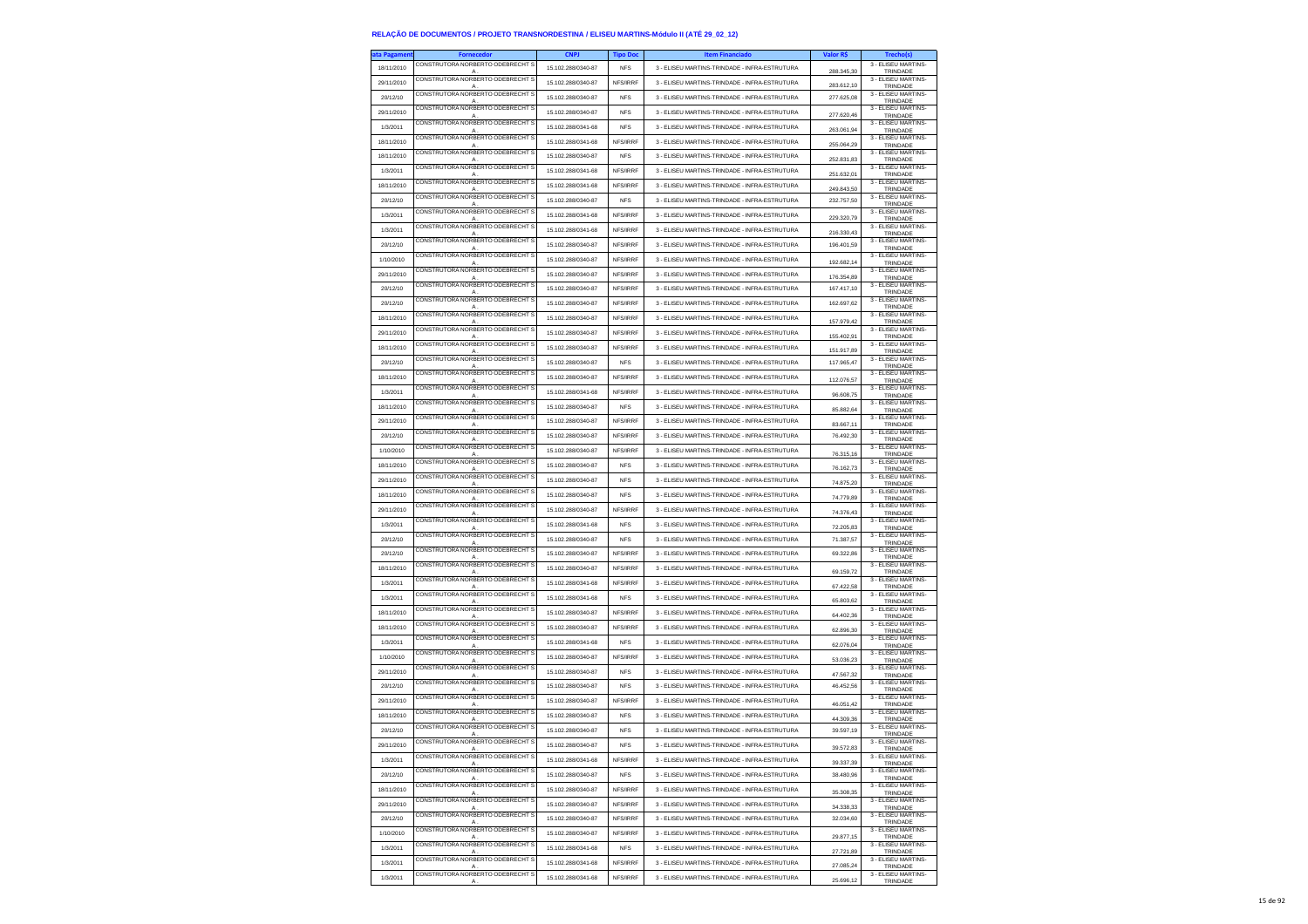| ta Pagamen |                                                    | <b>CNPJ</b>        | <b>Tipo Doc</b> | <b>Item Financiado</b>                        | Valor R\$  | Trecho(s)                           |
|------------|----------------------------------------------------|--------------------|-----------------|-----------------------------------------------|------------|-------------------------------------|
| 18/11/2010 | CONSTRUTORA NORBERTO ODEBRECHT S<br>А              | 15.102.288/0340-87 | <b>NFS</b>      | 3 - ELISEU MARTINS-TRINDADE - INFRA-ESTRUTURA | 288.345,30 | 3 - ELISEU MARTINS-<br>TRINDADE     |
| 29/11/2010 | CONSTRUTORA NORBERTO ODEBRECHT S                   | 15.102.288/0340-87 | NFS/IRRF        | 3 - ELISEU MARTINS-TRINDADE - INFRA-ESTRUTURA |            | 3 - ELISEU MARTINS-                 |
|            | A<br>CONSTRUTORA NORBERTO ODEBRECHT S              |                    |                 |                                               | 283.612.10 | TRINDADE<br>3 - ELISEU MARTINS-     |
| 20/12/10   | А.<br>CONSTRUTORA NORBERTO ODEBRECHT S             | 15.102.288/0340-87 | <b>NFS</b>      | 3 - ELISEU MARTINS-TRINDADE - INFRA-ESTRUTURA | 277,625.08 | TRINDADE                            |
| 29/11/2010 | А                                                  | 15.102.288/0340-87 | <b>NFS</b>      | 3 - ELISEU MARTINS-TRINDADE - INFRA-ESTRUTURA | 277.620,46 | 3 - ELISEU MARTINS-<br>TRINDADE     |
| 1/3/2011   | CONSTRUTORA NORBERTO ODEBRECHT S<br>A              | 15.102.288/0341-68 | <b>NFS</b>      | 3 - ELISEU MARTINS-TRINDADE - INFRA-ESTRUTURA | 263.061.94 | 3 - ELISEU MARTINS<br>TRINDADE      |
| 18/11/2010 | CONSTRUTORA NORBERTO ODEBRECHT S                   | 15 102 288/0341-68 | NFS/IRRF        | 3 - FLISELLMARTINS-TRINDADE - INFRA-ESTRUTURA |            | 3 - ELISEU MARTINS-                 |
|            | A<br>CONSTRUTORA NORBERTO ODEBRECHT S              |                    |                 | 3 - FLISELLMARTINS-TRINDADE - INFRA-ESTRUTURA | 255.064,29 | TRINDADE<br>3 - ELISEU MARTINS-     |
| 18/11/2010 | A<br>CONSTRUTORA NORBERTO ODEBRECHT S              | 15.102.288/0340-87 | <b>NFS</b>      |                                               | 252.831,83 | TRINDADE<br>3 - ELISEU MARTINS-     |
| 1/3/2011   | A                                                  | 15.102.288/0341-68 | NFS/IRRF        | 3 - ELISEU MARTINS-TRINDADE - INFRA-ESTRUTURA | 251.632.01 | TRINDADE                            |
| 18/11/2010 | CONSTRUTORA NORBERTO ODEBRECHT S<br>Α              | 15.102.288/0341-68 | NFS/IRRF        | 3 - ELISEU MARTINS-TRINDADE - INFRA-ESTRUTURA | 249.843,50 | 3 - ELISEU MARTINS-<br>TRINDADE     |
| 20/12/10   | CONSTRUTORA NORBERTO ODEBRECHT S                   | 15.102.288/0340-87 | <b>NFS</b>      | 3 - ELISEU MARTINS-TRINDADE - INFRA-ESTRUTURA | 232.757,50 | 3 - ELISEU MARTINS<br>TRINDADE      |
| 1/3/2011   | A<br>CONSTRUTORA NORBERTO ODEBRECHT S              | 15.102.288/0341-68 | NFS/IRRF        | 3 - FLISEU MARTINS-TRINDADE - INFRA-ESTRUTURA |            | 3 - FLISEU MARTINS-                 |
|            | A<br>CONSTRUTORA NORBERTO ODEBRECHT S              |                    |                 |                                               | 229,320.79 | TRINDADE<br>3 - ELISEU MARTINS-     |
| 1/3/2011   |                                                    | 15.102.288/0341-68 | NFS/IRRF        | 3 - FLISELLMARTINS-TRINDADE - INFRA-ESTRUTURA | 216.330,43 | TRINDADE                            |
| 20/12/10   | CONSTRUTORA NORBERTO ODEBRECHT S<br>A              | 15 102 288/0340-87 | <b>NES/IRRE</b> | 3 - FLISELLMARTINS-TRINDADE - INFRA-ESTRUTURA | 196.401,59 | 3 - ELISEU MARTINS-<br>TRINDADE     |
| 1/10/2010  | CONSTRUTORA NORBERTO ODEBRECHT S<br>A              | 15.102.288/0340-87 | NFS/IRRF        | 3 - ELISEU MARTINS-TRINDADE - INFRA-ESTRUTURA | 192.682,14 | 3 - FLISEU MARTINS-<br>TRINDADE     |
| 29/11/2010 | CONSTRUTORA NORBERTO ODEBRECHT S                   | 15 102 288/0340-87 | NFS/IRRF        | 3 - ELISEU MARTINS-TRINDADE - INFRA-ESTRUTURA |            | 3 - FLISEU MARTINS-                 |
|            | CONSTRUTORA NORBERTO ODEBRECHT S                   |                    |                 |                                               | 176.354,89 | TRINDADE<br>3 - ELISEU MARTINS-     |
| 20/12/10   | A<br>CONSTRUTORA NORBERTO ODEBRECHT S              | 15.102.288/0340-87 | NFS/IRRF        | 3 - ELISEU MARTINS-TRINDADE - INFRA-ESTRUTURA | 167.417,10 | TRINDADE<br>3 - ELISEU MARTINS      |
| 20/12/10   | A.                                                 | 15.102.288/0340-87 | NFS/IRRF        | 3 - ELISEU MARTINS-TRINDADE - INFRA-ESTRUTURA | 162.697,62 | TRINDADE                            |
| 18/11/2010 | CONSTRUTORA NORBERTO ODEBRECHT S                   | 15.102.288/0340-87 | NFS/IRRF        | 3 - ELISEU MARTINS-TRINDADE - INFRA-ESTRUTURA | 157.979,42 | 3 - ELISEU MARTINS-<br>TRINDADE     |
| 29/11/2010 | CONSTRUTORA NORBERTO ODEBRECHT                     | 15.102.288/0340-87 | NFS/IRRF        | 3 - ELISEU MARTINS-TRINDADE - INFRA-ESTRUTURA | 155.402,91 | 3 - ELISEU MARTINS-                 |
| 18/11/2010 | А<br>CONSTRUTORA NORBERTO ODEBRECHT S              | 15.102.288/0340-87 | NFS/IRRF        | 3 - ELISEU MARTINS-TRINDADE - INFRA-ESTRUTURA |            | TRINDADE<br>3 - ELISEU MARTINS-     |
|            | $\mathsf{A}$<br>CONSTRUTORA NORBERTO ODERRECHT S   |                    |                 |                                               | 151.917,89 | TRINDADE<br>3 - FLISEU MARTINS-     |
| 20/12/10   | A                                                  | 15 102 288/0340-87 | <b>NFS</b>      | 3 - ELISEU MARTINS-TRINDADE - INFRA-ESTRUTURA | 117.965,47 | TRINDADE                            |
| 18/11/2010 | CONSTRUTORA NORBERTO ODEBRECHT<br>A                | 15.102.288/0340-87 | NFS/IRRF        | 3 - ELISEU MARTINS-TRINDADE - INFRA-ESTRUTURA | 112.076,57 | 3 - ELISEU MARTINS-<br>TRINDADE     |
| 1/3/2011   | CONSTRUTORA NORBERTO ODEBRECHT S<br>A              | 15.102.288/0341-68 | NFS/IRRF        | 3 - ELISEU MARTINS-TRINDADE - INFRA-ESTRUTURA | 96.608,75  | 3 - ELISEU MARTINS-<br>TRINDADE     |
| 18/11/2010 | CONSTRUTORA NORBERTO ODEBRECHT S                   | 15 102 288/0340-87 | <b>NFS</b>      | 3 - ELISEU MARTINS-TRINDADE - INFRA-ESTRUTURA |            | 3 - ELISEU MARTINS-                 |
|            | A<br>CONSTRUTORA NORBERTO ODEBRECHT S              |                    |                 |                                               | 85 882 64  | TRINDADE<br>3 - ELISEU MARTINS-     |
| 29/11/2010 | Α<br>CONSTRUTORA NORBERTO ODEBRECHT S              | 15.102.288/0340-87 | NFS/IRRF        | 3 - ELISEU MARTINS-TRINDADE - INFRA-ESTRUTURA | 83.667.11  | TRINDADE<br>3 - ELISEU MARTINS-     |
| 20/12/10   | A                                                  | 15.102.288/0340-87 | NFS/IRRF        | 3 - ELISEU MARTINS-TRINDADE - INFRA-ESTRUTURA | 76,492.30  | TRINDADE                            |
| 1/10/2010  | CONSTRUTORA NORBERTO ODEBRECHT \$<br>A             | 15.102.288/0340-87 | NFS/IRRF        | 3 - ELISEU MARTINS-TRINDADE - INFRA-ESTRUTURA | 76 315 16  | 3 - ELISEU MARTINS-<br>TRINDADE     |
| 18/11/2010 | CONSTRUTORA NORBERTO ODEBRECHT S<br>Α              | 15 102 288/0340-87 | <b>NFS</b>      | 3 - ELISEU MARTINS-TRINDADE - INFRA-ESTRUTURA | 76,162.73  | 3 - ELISEU MARTINS-<br>TRINDADE     |
| 29/11/2010 | CONSTRUTORA NORBERTO ODEBRECHT S                   | 15.102.288/0340-87 | <b>NFS</b>      | 3 - ELISEU MARTINS-TRINDADE - INFRA-ESTRUTURA |            | 3 - ELISEU MARTINS-                 |
|            | А<br>CONSTRUTORA NORBERTO ODEBRECHT S              |                    |                 |                                               | 74.875,20  | TRINDADE<br>3 - ELISEU MARTINS-     |
| 18/11/2010 | A                                                  | 15.102.288/0340-87 | <b>NFS</b>      | 3 - ELISEU MARTINS-TRINDADE - INFRA-ESTRUTURA | 74,779.89  | TRINDADE                            |
| 29/11/2010 | CONSTRUTORA NORBERTO ODEBRECHT S<br>A              | 15.102.288/0340-87 | NFS/IRRF        | 3 - ELISEU MARTINS-TRINDADE - INFRA-ESTRUTURA | 74.376,43  | 3 - ELISEU MARTINS-<br>TRINDADE     |
| 1/3/2011   | CONSTRUTORA NORBERTO ODEBRECHT S<br>A              | 15.102.288/0341-68 | <b>NFS</b>      | 3 - ELISEU MARTINS-TRINDADE - INFRA-ESTRUTURA | 72.205,83  | 3 - ELISEU MARTINS-<br>TRINDADE     |
| 20/12/10   | CONSTRUTORA NORBERTO ODEBRECHT S                   | 15.102.288/0340-87 | <b>NFS</b>      | 3 - ELISEU MARTINS-TRINDADE - INFRA-ESTRUTURA | 71.387.57  | 3 - ELISEU MARTINS-                 |
| 20/12/10   | A<br>CONSTRUTORA NORBERTO ODEBRECHT S              | 15.102.288/0340-87 | NFS/IRRF        | 3 - ELISEU MARTINS-TRINDADE - INFRA-ESTRUTURA | 69,322.86  | TRINDADE<br>3 - ELISEU MARTINS-     |
|            | Α<br>CONSTRUTORA NORBERTO ODEBRECHT S              |                    |                 |                                               |            | TRINDADE<br>3 - ELISEU MARTINS-     |
| 18/11/2010 | A                                                  | 15.102.288/0340-87 | NFS/IRRF        | 3 - ELISEU MARTINS-TRINDADE - INFRA-ESTRUTURA | 69.159,72  | TRINDADE                            |
| 1/3/2011   | CONSTRUTORA NORBERTO ODEBRECHT S<br>A              | 15.102.288/0341-68 | NFS/IRRF        | 3 - ELISEU MARTINS-TRINDADE - INFRA-ESTRUTURA | 67.422.58  | 3 - ELISEU MARTINS<br>TRINDADE      |
| 1/3/2011   | CONSTRUTORA NORBERTO ODEBRECHT S<br>Α              | 15.102.288/0341-68 | <b>NFS</b>      | 3 - ELISEU MARTINS-TRINDADE - INFRA-ESTRUTURA | 65.803,62  | 3 - ELISEU MARTINS-<br>TRINDADE     |
| 18/11/2010 | CONSTRUTORA NORBERTO ODEBRECHT S                   | 15.102.288/0340-87 | NFS/IRRF        | 3 - ELISEU MARTINS-TRINDADE - INFRA-ESTRUTURA |            | 3 - ELISEU MARTINS-                 |
|            | A<br>CONSTRUTORA NORBERTO ODEBRECHT S              |                    |                 |                                               | 64.402,36  | TRINDADE<br>3 - ELISEU MARTINS-     |
| 18/11/2010 | A<br>CONSTRUTORA NORBERTO ODEBRECHT S              | 15.102.288/0340-87 | NFS/IRRF        | 3 - ELISEU MARTINS-TRINDADE - INFRA-ESTRUTURA | 62.896.30  | TRINDADE<br>3 - ELISEU MARTINS-     |
| 1/3/2011   |                                                    | 15.102.288/0341-68 | <b>NFS</b>      | 3 - ELISEU MARTINS-TRINDADE - INFRA-ESTRUTURA | 62.076,04  | TRINDADE                            |
| 1/10/2010  | CONSTRUTORA NORBERTO ODEBRECHT S<br>$\mathsf{A}$   | 15.102.288/0340-87 | NFS/IRRF        | 3 - ELISEU MARTINS-TRINDADE - INFRA-ESTRUTURA | 53.036,23  | 3 - ELISEU MARTINS-<br>TRINDADE     |
| 29/11/2010 | CONSTRUTORA NORBERTO ODEBRECHT S                   | 15.102.288/0340-87 | <b>NFS</b>      | 3 - ELISEU MARTINS-TRINDADE - INFRA-ESTRUTURA | 47.567,32  | 3 - ELISEU MARTINS-<br>TRINDADE     |
| 20/12/10   | A<br>CONSTRUTORA NORBERTO ODEBRECHT S              | 15.102.288/0340-87 | <b>NFS</b>      | 3 - ELISEU MARTINS-TRINDADE - INFRA-ESTRUTURA | 46.452.56  | 3 - ELISEU MARTINS-                 |
|            | CONSTRUTORA NORBERTO ODEBRECHT S                   |                    |                 |                                               |            | TRINDADE<br>3 - ELISEU MARTINS-     |
| 29/11/2010 | A                                                  | 15 102 288/0340-87 | NFS/IRRF        | 3 - ELISEU MARTINS-TRINDADE - INFRA-ESTRUTURA | 46.051,42  | TRINDADE                            |
| 18/11/2010 | CONSTRUTORA NORBERTO ODEBRECHT S<br>$\overline{A}$ | 15.102.288/0340-87 | <b>NFS</b>      | 3 - ELISEU MARTINS-TRINDADE - INFRA-ESTRUTURA | 44.309,36  | 3 - FLISEU MARTINS-<br>TRINDADE     |
| 20/12/10   | CONSTRUTORA NORBERTO ODEBRECHT S<br>A              | 15.102.288/0340-87 | <b>NFS</b>      | 3 - ELISEU MARTINS-TRINDADE - INFRA-ESTRUTURA | 39,597.19  | 3 - ELISEU MARTINS-<br>TRINDADE     |
| 29/11/2010 | CONSTRUTORA NORBERTO ODEBRECHT S                   | 15.102.288/0340-87 | <b>NFS</b>      | 3 - ELISEU MARTINS-TRINDADE - INFRA-ESTRUTURA |            | 3 - ELISEU MARTINS-                 |
| 1/3/2011   | CONSTRUTORA NORBERTO ODEBRECHT S                   | 15.102.288/0341-68 | NFS/IRRF        | 3 - ELISEU MARTINS-TRINDADE - INFRA-ESTRUTURA |            | <b>I RINL</b><br>3 - ELISEU MARTINS |
|            | $\mathsf{A}$<br>CONSTRUTORA NORBERTO ODEBRECHT S   |                    |                 |                                               | 39.337,39  | TRINDADE<br>3 - ELISEU MARTINS-     |
| 20/12/10   | A                                                  | 15.102.288/0340-87 | <b>NFS</b>      | 3 - ELISEU MARTINS-TRINDADE - INFRA-ESTRUTURA | 38.480,96  | TRINDADE                            |
| 18/11/2010 | CONSTRUTORA NORBERTO ODEBRECHT S<br>А              | 15.102.288/0340-87 | NFS/IRRF        | 3 - ELISEU MARTINS-TRINDADE - INFRA-ESTRUTURA | 35.308,35  | 3 - ELISEU MARTINS-<br>TRINDADE     |
| 29/11/2010 | CONSTRUTORA NORBERTO ODEBRECHT S<br>$\mathsf{A}$   | 15.102.288/0340-87 | NFS/IRRF        | 3 - ELISEU MARTINS-TRINDADE - INFRA-ESTRUTURA | 34.338,33  | 3 - ELISEU MARTINS-<br>TRINDADE     |
| 20/12/10   | CONSTRUTORA NORBERTO ODEBRECHT S                   | 15.102.288/0340-87 | NFS/IRRF        | 3 - ELISEU MARTINS-TRINDADE - INFRA-ESTRUTURA | 32.034,60  | 3 - FLISEU MARTINS-                 |
|            | A<br>CONSTRUTORA NORBERTO ODEBRECHT S              |                    |                 |                                               |            | TRINDADE<br>3 - ELISEU MARTINS-     |
| 1/10/2010  | A<br>CONSTRUTORA NORBERTO ODEBRECHT S              | 15.102.288/0340-87 | NFS/IRRF        | 3 - ELISEU MARTINS-TRINDADE - INFRA-ESTRUTURA | 29.877,15  | TRINDADE<br>3 - ELISEU MARTINS-     |
| 1/3/2011   | А                                                  | 15.102.288/0341-68 | <b>NFS</b>      | 3 - ELISEU MARTINS-TRINDADE - INFRA-ESTRUTURA | 27.721,89  | TRINDADE                            |
| 1/3/2011   | CONSTRUTORA NORBERTO ODEBRECHT S<br>A              | 15.102.288/0341-68 | NFS/IRRF        | 3 - ELISEU MARTINS-TRINDADE - INFRA-ESTRUTURA | 27.085.24  | 3 - ELISEU MARTINS<br>TRINDADE      |
| 1/3/2011   | CONSTRUTORA NORBERTO ODEBRECHT S<br>Α              | 15 102 288/0341-68 | NFS/IRRF        | 3 - ELISEU MARTINS-TRINDADE - INFRA-ESTRUTURA | 25.696,12  | 3 - ELISEU MARTINS-<br>TRINDADE     |
|            |                                                    |                    |                 |                                               |            |                                     |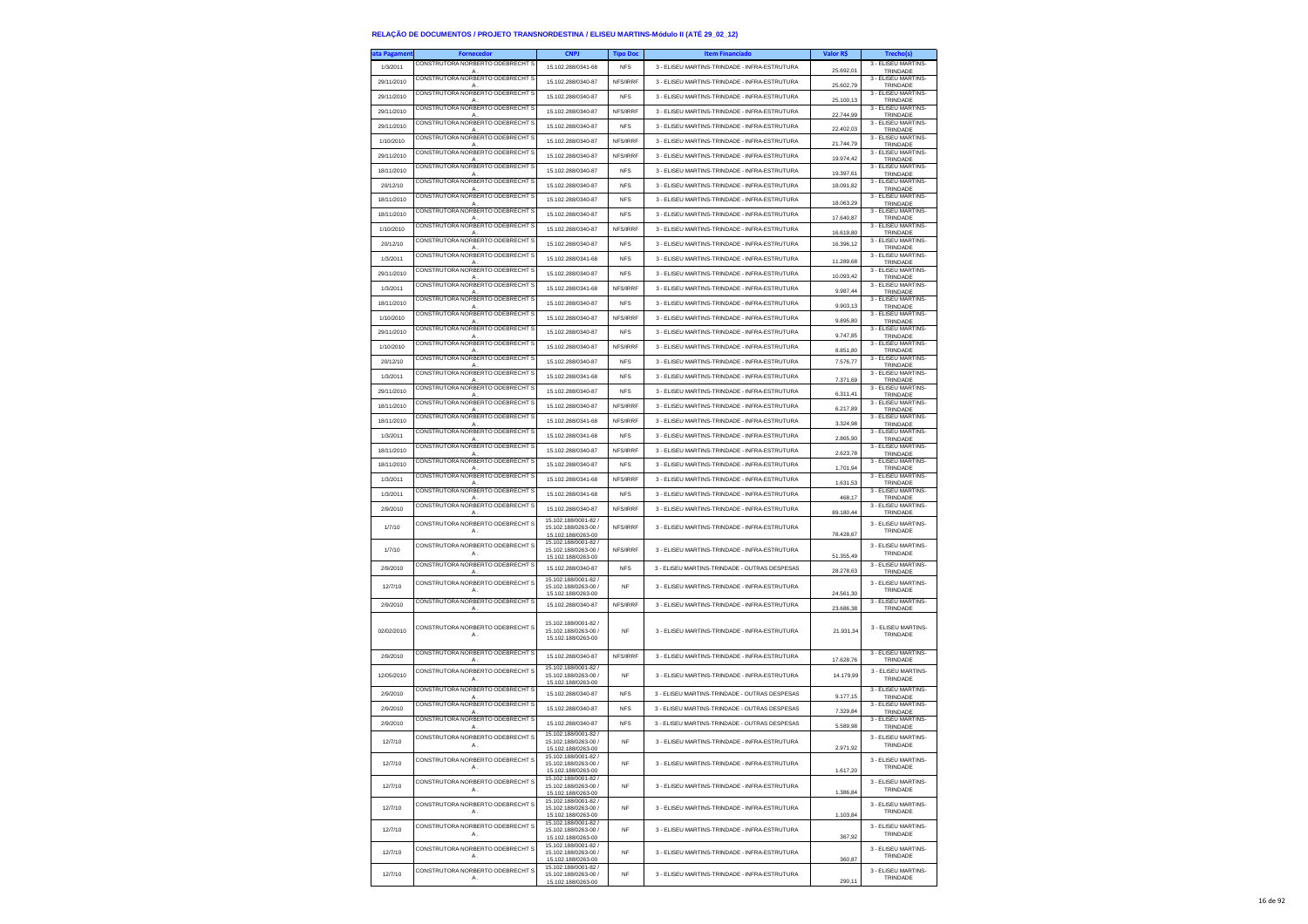| ta Pagamer |                                                    | <b>CNPJ</b>                                  | Tipo Doc   | <b>Item Financiado</b>                        | Valor RŞ               |                                 |
|------------|----------------------------------------------------|----------------------------------------------|------------|-----------------------------------------------|------------------------|---------------------------------|
| 1/3/2011   | CONSTRUTORA NORBERTO ODEBRECHT S                   | 15.102.288/0341-68                           | <b>NFS</b> | 3 - ELISEU MARTINS-TRINDADE - INFRA-ESTRUTURA | 25.692,01              | 3 - ELISEU MARTINS-<br>TRINDADE |
| 29/11/2010 | CONSTRUTORA NORBERTO ODEBRECHT S                   | 15.102.288/0340-87                           | NFS/IRRF   | 3 - ELISEU MARTINS-TRINDADE - INFRA-ESTRUTURA |                        | 3 - ELISEU MARTINS              |
| 29/11/2010 | A<br>CONSTRUTORA NORBERTO ODEBRECHT S              | 15.102.288/0340-87                           | <b>NFS</b> | 3 - ELISEU MARTINS-TRINDADE - INFRA-ESTRUTURA | 25.602,79              | TRINDADE<br>3 - ELISEU MARTINS- |
|            | A<br>CONSTRUTORA NORBERTO ODEBRECHT S              |                                              |            |                                               | 25,100.13              | TRINDADE<br>3 - ELISEU MARTINS- |
| 29/11/2010 | A<br>CONSTRUTORA NORBERTO ODEBRECHT S              | 15.102.288/0340-87                           | NFS/IRRF   | 3 - ELISEU MARTINS-TRINDADE - INFRA-ESTRUTURA | 22.744,99              | TRINDADE<br>3 - ELISEU MARTINS- |
| 29/11/2010 | А                                                  | 15.102.288/0340-87                           | <b>NFS</b> | 3 - ELISEU MARTINS-TRINDADE - INFRA-ESTRUTURA | 22.402,03              | TRINDADE                        |
| 1/10/2010  | CONSTRUTORA NORBERTO ODEBRECHT S<br>A              | 15.102.288/0340-87                           | NFS/IRRF   | 3 - ELISEU MARTINS-TRINDADE - INFRA-ESTRUTURA | 21.744.79              | 3 - FLISEU MARTINS<br>TRINDADE  |
| 29/11/2010 | CONSTRUTORA NORBERTO ODEBRECHT                     | 15 102 288/0340-87                           | NFS/IRRF   | 3 - FLISELLMARTINS-TRINDADE - INFRA-ESTRUTURA | 19.974,42              | 3 - ELISEU MARTINS-<br>TRINDADE |
| 18/11/2010 | CONSTRUTORA NORBERTO ODEBRECHT S                   | 15.102.288/0340-87                           | <b>NFS</b> | 3 - ELISEU MARTINS-TRINDADE - INFRA-ESTRUTURA |                        | 3 - ELISEU MARTINS              |
| 20/12/10   | A<br>CONSTRUTORA NORBERTO ODEBRECHT S              | 15.102.288/0340-87                           | <b>NFS</b> | 3 - ELISEU MARTINS-TRINDADE - INFRA-ESTRUTURA | 19.397,61<br>18.091,82 | TRINDADE<br>3 - ELISEU MARTINS- |
|            | A<br>CONSTRUTORA NORBERTO ODEBRECHT                |                                              |            |                                               |                        | TRINDADE<br>3 - ELISEU MARTINS- |
| 18/11/2010 | А.<br>CONSTRUTORA NORBERTO ODEBRECHT S             | 15.102.288/0340-87                           | <b>NFS</b> | 3 - ELISEU MARTINS-TRINDADE - INFRA-ESTRUTURA | 18.063,29              | TRINDADE<br>3 - ELISEU MARTINS- |
| 18/11/2010 | А                                                  | 15.102.288/0340-87                           | <b>NFS</b> | 3 - ELISEU MARTINS-TRINDADE - INFRA-ESTRUTURA | 17.640,87              | <b>TRINDADE</b>                 |
| 1/10/2010  | CONSTRUTORA NORBERTO ODEBRECHT S<br>A              | 15.102.288/0340-87                           | NFS/IRRF   | 3 - ELISEU MARTINS-TRINDADE - INFRA-ESTRUTURA | 16.619.80              | 3 - ELISEU MARTINS<br>TRINDADE  |
| 20/12/10   | CONSTRUTORA NORBERTO ODEBRECHT S                   | 15 102 288/0340-87                           | <b>NFS</b> | 3 - ELISEU MARTINS-TRINDADE - INFRA-ESTRUTURA | 16 396 12              | 3 - ELISEU MARTINS-<br>TRINDADE |
| 1/3/2011   | CONSTRUTORA NORBERTO ODEBRECHT S                   | 15.102.288/0341-68                           | <b>NFS</b> | 3 - ELISEU MARTINS-TRINDADE - INFRA-ESTRUTURA |                        | 3 - ELISEU MARTINS-<br>TRINDADE |
| 29/11/2010 | A<br>CONSTRUTORA NORBERTO ODEBRECHT S              | 15.102.288/0340-87                           | <b>NFS</b> | 3 - ELISEU MARTINS-TRINDADE - INFRA-ESTRUTURA | 11.289,68              | 3 - FLISEU MARTINS-             |
|            | A<br>CONSTRUTORA NORBERTO ODEBRECHT S              |                                              |            |                                               | 10.093.42              | TRINDADE<br>3 - ELISEU MARTINS- |
| 1/3/2011   | Α<br>CONSTRUTORA NORBERTO ODEBRECHT S              | 15.102.288/0341-68                           | NFS/IRRF   | 3 - ELISEU MARTINS-TRINDADE - INFRA-ESTRUTURA | 9.987,44               | TRINDADE<br>3 - ELISEU MARTINS- |
| 18/11/2010 | A                                                  | 15.102.288/0340-87                           | <b>NFS</b> | 3 - ELISEU MARTINS-TRINDADE - INFRA-ESTRUTURA | 9.903,13               | TRINDADE                        |
| 1/10/2010  | CONSTRUTORA NORBERTO ODEBRECHT S<br>Δ              | 15.102.288/0340-87                           | NFS/IRRF   | 3 - ELISEU MARTINS-TRINDADE - INFRA-ESTRUTURA | 9,895.80               | 3 - ELISEU MARTINS<br>TRINDADE  |
| 29/11/2010 | CONSTRUTORA NORBERTO ODEBRECHT S                   | 15.102.288/0340-87                           | <b>NFS</b> | 3 - ELISEU MARTINS-TRINDADE - INFRA-ESTRUTURA | 9.747,85               | 3 - ELISEU MARTINS-<br>TRINDADE |
| 1/10/2010  | CONSTRUTORA NORBERTO ODEBRECHT S                   | 15.102.288/0340-87                           | NFS/IRRF   | 3 - ELISEU MARTINS-TRINDADE - INFRA-ESTRUTURA | 8.851,80               | 3 - ELISEU MARTINS-             |
| 20/12/10   | $\mathsf{A}$<br>CONSTRUTORA NORBERTO ODEBRECHT S   | 15.102.288/0340-87                           | <b>NFS</b> | 3 - ELISEU MARTINS-TRINDADE - INFRA-ESTRUTURA | 7.576,77               | TRINDADE<br>3 - FLISEU MARTINS- |
|            | $\mathsf{A}$<br>CONSTRUTORA NORBERTO ODEBRECHTS    |                                              |            |                                               |                        | TRINDADE<br>3 - FLISEU MARTINS- |
| 1/3/2011   | Α<br>CONSTRUTORA NORBERTO ODEBRECHT S              | 15.102.288/0341-68                           | <b>NFS</b> | 3 - ELISEU MARTINS-TRINDADE - INFRA-ESTRUTURA | 7.371,69               | TRINDADE<br>3 - ELISEU MARTINS- |
| 29/11/2010 | A                                                  | 15 102 288/0340-87                           | <b>NFS</b> | 3 - ELISEU MARTINS-TRINDADE - INFRA-ESTRUTURA | 6.311,41               | TRINDADE                        |
| 18/11/2010 | CONSTRUTORA NORBERTO ODEBRECHT S<br>$\mathsf{A}$   | 15.102.288/0340-87                           | NFS/IRRF   | 3 - ELISEU MARTINS-TRINDADE - INFRA-ESTRUTURA | 6.217,89               | 3 - ELISEU MARTINS<br>TRINDADE  |
| 18/11/2010 | CONSTRUTORA NORBERTO ODEBRECHT S                   | 15.102.288/0341-68                           | NFS/IRRF   | 3 - ELISEU MARTINS-TRINDADE - INFRA-ESTRUTURA | 3.324,98               | 3 - ELISEU MARTINS-<br>TRINDADE |
| 1/3/2011   | CONSTRUTORA NORBERTO ODEBRECHT                     | 15.102.288/0341-68                           | <b>NFS</b> | 3 - ELISEU MARTINS-TRINDADE - INFRA-ESTRUTURA | 2.865,90               | 3 - ELISEU MARTINS-             |
| 18/11/2010 | CONSTRUTORA NORBERTO ODERRECHT S                   | 15.102.288/0340-87                           | NFS/IRRF   | 3 - ELISEU MARTINS-TRINDADE - INFRA-ESTRUTURA |                        | TRINDADE<br>3 - FLISEU MARTINS  |
|            | $\mathsf{A}$<br>CONSTRUTORA NORBERTO ODEBRECHT S   |                                              |            |                                               | 2.623.78               | TRINDADE<br>3 - ELISEU MARTINS- |
| 18/11/2010 | A<br>CONSTRUTORA NORBERTO ODEBRECHT                | 15.102.288/0340-87                           | <b>NFS</b> | 3 - ELISEU MARTINS-TRINDADE - INFRA-ESTRUTURA | 1.701,94               | TRINDADE<br>3 - ELISEU MARTINS- |
| 1/3/2011   | A                                                  | 15.102.288/0341-68                           | NFS/IRRF   | 3 - ELISEU MARTINS-TRINDADE - INFRA-ESTRUTURA | 1.631,53               | TRINDADE                        |
| 1/3/2011   | CONSTRUTORA NORBERTO ODEBRECHT S<br>$\overline{A}$ | 15.102.288/0341-68                           | <b>NFS</b> | 3 - ELISEU MARTINS-TRINDADE - INFRA-ESTRUTURA | 468,17                 | 3 - ELISEU MARTINS-<br>TRINDADE |
| 2/9/2010   | CONSTRUTORA NORBERTO ODEBRECHT S<br>A              | 15.102.288/0340-87                           | NFS/IRRF   | 3 - ELISEU MARTINS-TRINDADE - INFRA-ESTRUTURA | 89.180.44              | 3 - ELISEU MARTINS-<br>TRINDADE |
| 1/7/10     | CONSTRUTORA NORBERTO ODEBRECHT S                   | 15.102.188/0001-82<br>15.102.188/0263-00 /   | NFS/IRRF   | 3 - ELISEU MARTINS-TRINDADE - INFRA-ESTRUTURA |                        | 3 - ELISEU MARTINS              |
|            | Α.                                                 | 15.102.188/0263-00                           |            |                                               | 78.428,67              | TRINDADE                        |
| 1/7/10     | CONSTRUTORA NORBERTO ODEBRECHT S                   | 15.102.188/0001-82 /<br>15.102.188/0263-00 / | NFS/IRRF   | 3 - ELISEU MARTINS-TRINDADE - INFRA-ESTRUTURA |                        | 3 - ELISEU MARTINS-<br>TRINDADE |
|            | Α.<br>CONSTRUTORA NORBERTO ODEBRECHT S             | 15.102.188/0263-00                           |            |                                               | 51.355,49              | 3 - ELISEU MARTINS-             |
| 2/9/2010   |                                                    | 15.102.288/0340-87                           | <b>NFS</b> | 3 - ELISEU MARTINS-TRINDADE - OUTRAS DESPESAS | 28.278,63              | TRINDADE                        |
| 12/7/10    | CONSTRUTORA NORBERTO ODEBRECHT S<br>Α.             | 15.102.188/0001-82 /<br>15.102.188/0263-00 / | <b>NF</b>  | 3 - ELISEU MARTINS-TRINDADE - INFRA-ESTRUTURA |                        | 3 - ELISEU MARTINS-<br>TRINDADE |
|            | CONSTRUTORA NORBERTO ODEBRECHT S                   | 15.102.188/0263-00                           |            |                                               | 24.561,30              | 3 - ELISEU MARTINS-             |
| 2/9/2010   | Α                                                  | 15.102.288/0340-87                           | NFS/IRRF   | 3 - ELISEU MARTINS-TRINDADE - INFRA-ESTRUTURA | 23.686,38              | TRINDADE                        |
|            | CONSTRUTORA NORBERTO ODEBRECHT S                   | 15.102.188/0001-82 /                         |            |                                               |                        | 3 - ELISEU MARTINS              |
| 02/02/2010 | Α.                                                 | 15.102.188/0263-00 /<br>15.102.188/0263-00   | <b>NF</b>  | 3 - ELISEU MARTINS-TRINDADE - INFRA-ESTRUTURA | 21.931.34              | TRINDADE                        |
|            |                                                    |                                              |            |                                               |                        | 3 - ELISEU MARTINS-             |
| 2/9/2010   | CONSTRUTORA NORBERTO ODEBRECHT S                   | 15.102.288/0340-87                           | NFS/IRRF   | 3 - ELISEU MARTINS-TRINDADE - INFRA-ESTRUTURA | 17.628,76              | TRINDADE                        |
| 12/05/2010 | CONSTRUTORA NORBERTO ODEBRECHT S                   | 15.102.188/0001-82 /<br>15.102.188/0263-00 / | <b>NF</b>  | 3 - ELISEU MARTINS-TRINDADE - INFRA-ESTRUTURA | 14.179.99              | 3 - ELISEU MARTINS-             |
|            | Α.                                                 | 15.102.188/0263-00                           |            |                                               |                        | TRINDADE                        |
| 2/9/2010   | CONSTRUTORA NORBERTO ODEBRECHT S<br>Α              | 15 102 288/0340-87                           | <b>NFS</b> | 3 - ELISEU MARTINS-TRINDADE - OUTRAS DESPESAS | 9.177,15               | 3 - ELISEU MARTINS-<br>TRINDADE |
| 2/9/2010   | CONSTRUTORA NORBERTO ODEBRECHT S<br>А              | 15.102.288/0340-87                           | <b>NFS</b> | 3 - ELISEU MARTINS-TRINDADE - OUTRAS DESPESAS | 7.329,84               | 3 - ELISEU MARTINS-<br>TRINDADE |
| 2/9/2010   | CONSTRUTORA NORBERTO ODEBRECHT S                   | 15.102.288/0340-87                           | <b>NFS</b> | 3 - ELISEU MARTINS-TRINDADE - OUTRAS DESPESAS | 5,589.98               | 3 - FLISEU MARTINS-<br>TRINDADE |
|            | CONSTRUTORA NORBERTO ODEBRECHT S                   | 15.102.188/0001-82 /                         |            |                                               |                        | 3 - ELISEU MARTINS              |
| 12/7/10    | Α                                                  | 15.102.188/0263-00 /<br>15.102<br>.188/0     | NF         | 3 - ELISEU MARTINS-TRINDADE - INFRA-ESTRUTURA |                        | TRINDADE                        |
| 12/7/10    | CONSTRUTORA NORBERTO ODEBRECHT S                   | 15.102.188/0001-82 /<br>15.102.188/0263-00 / | <b>NF</b>  | 3 - ELISEU MARTINS-TRINDADE - INFRA-ESTRUTURA |                        | 3 - ELISEU MARTINS-             |
|            | Α.                                                 | 15.102.188/0263-00                           |            |                                               | 1.617,20               | TRINDADE                        |
| 12/7/10    | CONSTRUTORA NORBERTO ODEBRECHT S                   | 15.102.188/0001-82 /<br>15.102.188/0263-00 / | <b>NF</b>  | 3 - ELISEU MARTINS-TRINDADE - INFRA-ESTRUTURA |                        | 3 - ELISEU MARTINS-<br>TRINDADE |
|            | Α.                                                 | 15.102.188/0263-00<br>15.102.188/0001-82 /   |            |                                               | 1.386,84               |                                 |
| 12/7/10    | CONSTRUTORA NORBERTO ODEBRECHT S<br>Α.             | 15.102.188/0263-00 /                         | NF         | 3 - ELISEU MARTINS-TRINDADE - INFRA-ESTRUTURA |                        | 3 - ELISEU MARTINS-<br>TRINDADE |
|            | CONSTRUTORA NORBERTO ODEBRECHT S                   | 15.102.188/0263-00<br>15.102.188/0001-82 /   |            |                                               | 1.103.84               | 3 - ELISEU MARTINS-             |
| 12/7/10    | Α.                                                 | 15.102.188/0263-00 /<br>15.102.188/0263-00   | <b>NF</b>  | 3 - ELISEU MARTINS-TRINDADE - INFRA-ESTRUTURA | 367,92                 | TRINDADE                        |
|            | CONSTRUTORA NORBERTO ODEBRECHT S                   | 15.102.188/0001-82 /<br>15 102 188/0263-00 / |            |                                               |                        | 3 - ELISEU MARTINS-             |
| 12/7/10    | Α.                                                 | 15.102.188/0263-00                           | <b>NF</b>  | 3 - ELISEU MARTINS-TRINDADE - INFRA-ESTRUTURA | 360.87                 | TRINDADE                        |
| 12/7/10    | CONSTRUTORA NORBERTO ODEBRECHT S                   | 15.102.188/0001-82 /<br>15.102.188/0263-00 / | <b>NF</b>  | 3 - ELISEU MARTINS-TRINDADE - INFRA-ESTRUTURA |                        | 3 - ELISEU MARTINS-             |
|            | Α.                                                 | 15.102.188/0263-00                           |            |                                               | 290,11                 | TRINDADE                        |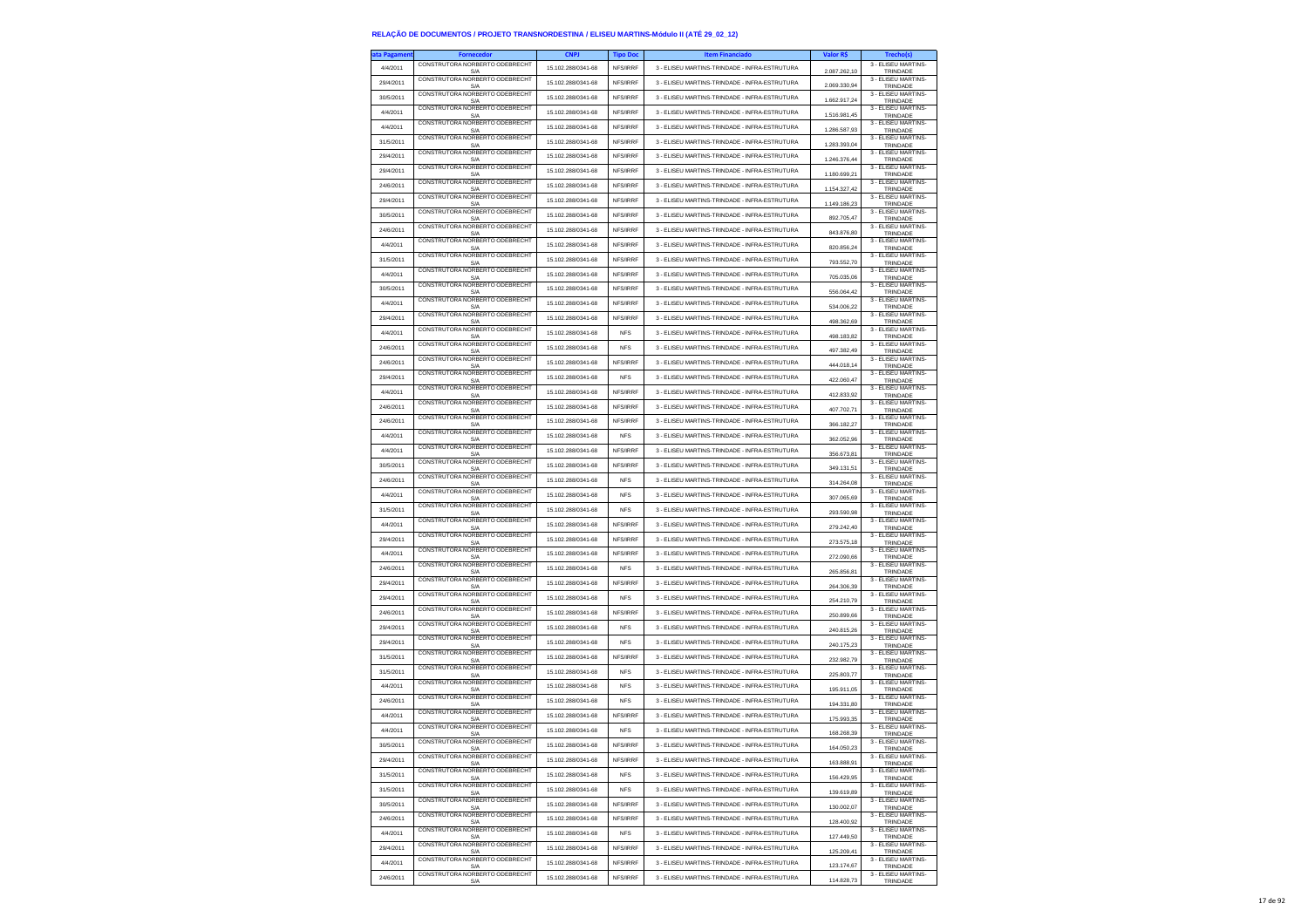| ta Pagamen | <b>Fornecedor</b>                      | <b>CNPJ</b>        | <b>Tipo Doc</b> | <b>Item Financiado</b>                        | Valor R\$    | <b>Trecho(s)</b>                |
|------------|----------------------------------------|--------------------|-----------------|-----------------------------------------------|--------------|---------------------------------|
| 4/4/2011   | CONSTRUTORA NORBERTO ODEBRECHT<br>S/A  | 15.102.288/0341-68 | NFS/IRRF        | 3 - ELISEU MARTINS-TRINDADE - INFRA-ESTRUTURA | 2.087.262,10 | 3 - ELISEU MARTINS-<br>TRINDADE |
| 29/4/2011  | CONSTRUTORA NORBERTO ODEBRECHT         | 15.102.288/0341-68 | NFS/IRRF        | 3 - ELISEU MARTINS-TRINDADE - INFRA-ESTRUTURA |              | 3 - ELISEU MARTINS-             |
| 30/5/2011  | S/A<br>CONSTRUTORA NORBERTO ODEBRECHT  | 15.102.288/0341-68 | NFS/IRRF        | 3 - ELISEU MARTINS-TRINDADE - INFRA-ESTRUTURA | 2.069.330.94 | TRINDADE<br>3 - ELISEU MARTINS- |
|            | S/A<br>CONSTRUTORA NORBERTO ODEBRECHT  |                    |                 |                                               | 1.662.917,24 | TRINDADE<br>3 - ELISEU MARTINS- |
| 4/4/2011   | S/A<br>CONSTRUTORA NORBERTO ODEBRECHT  | 15.102.288/0341-68 | NFS/IRRF        | 3 - ELISEU MARTINS-TRINDADE - INFRA-ESTRUTURA | 1.516.981,45 | TRINDADE<br>3 - ELISEU MARTINS  |
| 4/4/2011   | S/A                                    | 15.102.288/0341-68 | NFS/IRRF        | 3 - ELISEU MARTINS-TRINDADE - INFRA-ESTRUTURA | 1.286.587.93 | TRINDADE                        |
| 31/5/2011  | CONSTRUTORA NORBERTO ODEBRECHT<br>S/A  | 15 102 288/0341-68 | NFS/IRRF        | 3 - ELISEU MARTINS-TRINDADE - INFRA-ESTRUTURA | 1.283.393,04 | 3 - ELISEU MARTINS-<br>TRINDADE |
| 29/4/2011  | CONSTRUTORA NORBERTO ODEBRECHT<br>S/A  | 15.102.288/0341-68 | NFS/IRRF        | 3 - ELISEU MARTINS-TRINDADE - INFRA-ESTRUTURA | 1.246.376,44 | 3 - ELISEU MARTINS-<br>TRINDADE |
| 29/4/2011  | CONSTRUTORA NORBERTO ODEBRECHT         | 15.102.288/0341-68 | NFS/IRRF        | 3 - ELISEU MARTINS-TRINDADE - INFRA-ESTRUTURA |              | 3 - ELISEU MARTINS-             |
| 24/6/2011  | S/A<br>CONSTRUTORA NORBERTO ODEBRECHT  | 15.102.288/0341-68 | NFS/IRRF        | 3 - ELISEU MARTINS-TRINDADE - INFRA-ESTRUTURA | 1.180.699.21 | TRINDADE<br>3 - ELISEU MARTINS- |
|            | S/A<br>CONSTRUTORA NORBERTO ODEBRECHT  |                    |                 |                                               | 1.154.327,42 | TRINDADE<br>3 - ELISEU MARTINS  |
| 29/4/2011  | S/A<br>CONSTRUITORA NORBERTO ODEBRECHT | 15.102.288/0341-68 | NFS/IRRF        | 3 - ELISEU MARTINS-TRINDADE - INFRA-ESTRUTURA | 1.149.186,23 | TRINDADE<br>3 - ELISEU MARTINS- |
| 30/5/2011  | S/A                                    | 15.102.288/0341-68 | NFS/IRRF        | 3 - ELISEU MARTINS-TRINDADE - INFRA-ESTRUTURA | 892 705 47   | TRINDADE                        |
| 24/6/2011  | CONSTRUTORA NORBERTO ODEBRECHT<br>S/A  | 15.102.288/0341-68 | NES/IRRE        | 3 - ELISEU MARTINS-TRINDADE - INFRA-ESTRUTURA | 843.876,80   | 3 - ELISEU MARTINS-<br>TRINDADE |
| 4/4/2011   | CONSTRUTORA NORBERTO ODEBRECHT<br>S/A  | 15.102.288/0341-68 | <b>NES/IRRE</b> | 3 - FLISELLMARTINS-TRINDADE - INFRA-ESTRUTURA | 820.856.24   | 3 - ELISEU MARTINS-<br>TRINDADE |
| 31/5/2011  | CONSTRUTORA NORBERTO ODEBRECHT<br>S/A  | 15.102.288/0341-68 | NFS/IRRF        | 3 - ELISEU MARTINS-TRINDADE - INFRA-ESTRUTURA | 793.552,70   | 3 - FLISEU MARTINS-<br>TRINDADE |
| 4/4/2011   | CONSTRUTORA NORBERTO ODEBRECHT         | 15.102.288/0341-68 | NFS/IRRF        | 3 - ELISEU MARTINS-TRINDADE - INFRA-ESTRUTURA |              | 3 - FLISEU MARTINS-             |
|            | S/A<br>CONSTRUTORA NORBERTO ODEBRECHT  | 15.102.288/0341-68 | NFS/IRRF        | 3 - ELISEU MARTINS-TRINDADE - INFRA-ESTRUTURA | 705.035,06   | TRINDADE<br>3 - ELISEU MARTINS- |
| 30/5/2011  | S/A<br>CONSTRUTORA NORBERTO ODEBRECHT  |                    |                 |                                               | 556.064,42   | TRINDADE<br>3 - ELISEU MARTINS  |
| 4/4/2011   | S/A<br>CONSTRUTORA NORBERTO ODEBRECHT  | 15.102.288/0341-68 | NFS/IRRF        | 3 - ELISEU MARTINS-TRINDADE - INFRA-ESTRUTURA | 534.006.22   | TRINDADE<br>3 - ELISEU MARTINS- |
| 29/4/2011  | S/A                                    | 15.102.288/0341-68 | NFS/IRRF        | 3 - ELISEU MARTINS-TRINDADE - INFRA-ESTRUTURA | 498.362,69   | TRINDADE                        |
| 4/4/2011   | CONSTRUTORA NORBERTO ODEBRECHT<br>S/A  | 15.102.288/0341-68 | <b>NFS</b>      | 3 - ELISEU MARTINS-TRINDADE - INFRA-ESTRUTURA | 498.183,82   | 3 - ELISEU MARTINS-<br>TRINDADE |
| 24/6/2011  | CONSTRUTORA NORBERTO ODEBRECHT<br>S/A  | 15.102.288/0341-68 | <b>NFS</b>      | 3 - ELISEU MARTINS-TRINDADE - INFRA-ESTRUTURA | 497.382,49   | 3 - ELISEU MARTINS-<br>TRINDADE |
| 24/6/2011  | CONSTRUTORA NORBERTO ODEBRECHT<br>S/A  | 15.102.288/0341-68 | NFS/IRRF        | 3 - ELISEU MARTINS-TRINDADE - INFRA-ESTRUTURA | 444.018.14   | 3 - ELISEU MARTINS-<br>TRINDADE |
| 29/4/2011  | CONSTRUTORA NORBERTO ODEBRECH          | 15.102.288/0341-68 | <b>NFS</b>      | 3 - ELISEU MARTINS-TRINDADE - INFRA-ESTRUTURA | 422.060.47   | 3 - ELISEU MARTINS-             |
| 4/4/2011   | S/A<br>CONSTRUTORA NORBERTO ODEBRECHT  | 15.102.288/0341-68 | NFS/IRRF        | 3 - ELISEU MARTINS-TRINDADE - INFRA-ESTRUTURA |              | TRINDADE<br>3 - ELISEU MARTINS- |
|            | S/A<br>CONSTRUTORA NORBERTO ODEBRECHT  |                    |                 |                                               | 412 833 92   | TRINDADE<br>3 - ELISEU MARTINS- |
| 24/6/2011  | S/A<br>CONSTRUTORA NORBERTO ODEBRECHT  | 15.102.288/0341-68 | NFS/IRRF        | 3 - ELISEU MARTINS-TRINDADE - INFRA-ESTRUTURA | 407.702.71   | TRINDADE<br>3 - ELISEU MARTINS- |
| 24/6/2011  | S/A<br>CONSTRUTORA NORBERTO ODEBRECHT  | 15.102.288/0341-68 | NFS/IRRF        | 3 - ELISEU MARTINS-TRINDADE - INFRA-ESTRUTURA | 366.182.27   | TRINDADE<br>3 - ELISEU MARTINS- |
| 4/4/2011   | S/A                                    | 15.102.288/0341-68 | <b>NFS</b>      | 3 - ELISEU MARTINS-TRINDADE - INFRA-ESTRUTURA | 362.052,96   | TRINDADE                        |
| 4/4/2011   | CONSTRUTORA NORBERTO ODEBRECHT<br>S/A  | 15.102.288/0341-68 | NFS/IRRF        | 3 - ELISEU MARTINS-TRINDADE - INFRA-ESTRUTURA | 356 673 81   | 3 - ELISEU MARTINS-<br>TRINDADE |
| 30/5/2011  | CONSTRUTORA NORBERTO ODEBRECHT<br>S/A  | 15 102 288/0341-68 | NFS/IRRF        | 3 - ELISEU MARTINS-TRINDADE - INFRA-ESTRUTURA | 349.131,51   | 3 - ELISEU MARTINS-<br>TRINDADE |
| 24/6/2011  | CONSTRUTORA NORBERTO ODEBRECHT<br>S/A  | 15.102.288/0341-68 | <b>NFS</b>      | 3 - ELISEU MARTINS-TRINDADE - INFRA-ESTRUTURA | 314.264,08   | 3 - ELISEU MARTINS<br>TRINDADE  |
| 4/4/2011   | CONSTRUTORA NORBERTO ODEBRECHT         | 15.102.288/0341-68 | <b>NFS</b>      | 3 - ELISEU MARTINS-TRINDADE - INFRA-ESTRUTURA | 307.065.69   | 3 - ELISEU MARTINS-             |
| 31/5/2011  | S/A<br>CONSTRUTORA NORBERTO ODEBRECHT  | 15.102.288/0341-68 | <b>NFS</b>      | 3 - ELISEU MARTINS-TRINDADE - INFRA-ESTRUTURA |              | TRINDADE<br>3 - ELISEU MARTINS- |
|            | S/A<br>CONSTRUTORA NORBERTO ODEBRECHT  |                    |                 |                                               | 293.590,98   | TRINDADE<br>3 - ELISEU MARTINS  |
| 4/4/2011   | S/A<br>CONSTRUTORA NORBERTO ODEBRECHT  | 15.102.288/0341-68 | NFS/IRRF        | 3 - ELISEU MARTINS-TRINDADE - INFRA-ESTRUTURA | 279.242,40   | TRINDADE<br>3 - ELISEU MARTINS- |
| 29/4/2011  | S/A                                    | 15.102.288/0341-68 | NFS/IRRF        | 3 - ELISEU MARTINS-TRINDADE - INFRA-ESTRUTURA | 273,575.18   | TRINDADE                        |
| 4/4/2011   | CONSTRUTORA NORBERTO ODEBRECHT<br>S/A  | 15.102.288/0341-68 | NFS/IRRF        | 3 - ELISEU MARTINS-TRINDADE - INFRA-ESTRUTURA | 272.090,66   | 3 - ELISEU MARTINS-<br>TRINDADE |
| 24/6/2011  | CONSTRUTORA NORBERTO ODEBRECHT<br>S/A  | 15.102.288/0341-68 | <b>NFS</b>      | 3 - ELISEU MARTINS-TRINDADE - INFRA-ESTRUTURA | 265.856,81   | 3 - ELISEU MARTINS-<br>TRINDADE |
| 29/4/2011  | CONSTRUTORA NORBERTO ODEBRECHT<br>S/A  | 15.102.288/0341-68 | NFS/IRRF        | 3 - ELISEU MARTINS-TRINDADE - INFRA-ESTRUTURA | 264,306.39   | 3 - ELISEU MARTINS<br>TRINDADE  |
| 29/4/2011  | CONSTRUTORA NORBERTO ODEBRECHT         | 15.102.288/0341-68 | <b>NFS</b>      | 3 - ELISEU MARTINS-TRINDADE - INFRA-ESTRUTURA |              | 3 - ELISEU MARTINS-             |
| 24/6/2011  | S/A<br>CONSTRUTORA NORBERTO ODEBRECHT  | 15.102.288/0341-68 | NFS/IRRF        | 3 - ELISEU MARTINS-TRINDADE - INFRA-ESTRUTURA | 254.210,79   | TRINDADE<br>3 - ELISEU MARTINS- |
|            | S/A<br>CONSTRUTORA NORBERTO ODEBRECHT  |                    |                 |                                               | 250.899,66   | TRINDADE<br>3 - ELISEU MARTINS- |
| 29/4/2011  | S/A<br>CONSTRUTORA NORBERTO ODEBRECHT  | 15.102.288/0341-68 | <b>NFS</b>      | 3 - ELISEU MARTINS-TRINDADE - INFRA-ESTRUTURA | 240.815.26   | TRINDADE<br>3 - ELISEU MARTINS- |
| 29/4/2011  | S/A                                    | 15.102.288/0341-68 | <b>NFS</b>      | 3 - ELISEU MARTINS-TRINDADE - INFRA-ESTRUTURA | 240.175,23   | TRINDADE<br>3 - ELISEU MARTINS- |
| 31/5/2011  | CONSTRUTORA NORBERTO ODEBRECHT<br>S/A  | 15.102.288/0341-68 | NFS/IRRF        | 3 - ELISEU MARTINS-TRINDADE - INFRA-ESTRUTURA | 232.982.79   | TRINDADE                        |
| 31/5/2011  | CONSTRUTORA NORBERTO ODEBRECHT<br>S/A  | 15.102.288/0341-68 | <b>NFS</b>      | 3 - ELISEU MARTINS-TRINDADE - INFRA-ESTRUTURA | 225 803 77   | 3 - ELISEU MARTINS-<br>TRINDADE |
| 4/4/2011   | CONSTRUTORA NORBERTO ODEBRECHT<br>S/A  | 15.102.288/0341-68 | <b>NFS</b>      | 3 - ELISEU MARTINS-TRINDADE - INFRA-ESTRUTURA | 195.911,05   | 3 - FLISEU MARTINS-<br>TRINDADE |
| 24/6/2011  | CONSTRUTORA NORBERTO ODEBRECHT<br>S/A  | 15 102 288/0341-68 | <b>NFS</b>      | 3 - ELISEU MARTINS-TRINDADE - INFRA-ESTRUTURA | 194.331,80   | 3 - ELISEU MARTINS-<br>TRINDADE |
| 4/4/2011   | CONSTRUTORA NORBERTO ODEBRECHT         | 15.102.288/0341-68 | NFS/IRRF        | 3 - ELISEU MARTINS-TRINDADE - INFRA-ESTRUTURA |              | 3 - FLISEU MARTINS-             |
| 4/4/2011   | S/A<br>CONSTRUTORA NORBERTO ODEBRECHT  | 15.102.288/0341-68 | <b>NFS</b>      | 3 - ELISEU MARTINS-TRINDADE - INFRA-ESTRUTURA | 175.993,35   | TRINDADE<br>3 - FLISEU MARTINS- |
|            | S/A<br>CONSTRUTORA NORBERTO ODEBRECHT  |                    |                 |                                               | 168.268,39   | TRINDADE<br>3 - ELISEU MARTINS- |
| 30/5/2011  | CONSTRUTORA NORBERTO ODEBRECHT         | 15.102.288/0341-68 | NES/IRRE        | 3 - ELISEU MARTINS-TRINDADE - INFRA-ESTRUTURA | $\sim$       | TRINI<br>3 - ELISEU MARTINS     |
| 29/4/2011  | S/A                                    | 15.102.288/0341-68 | NFS/IRRF        | 3 - ELISEU MARTINS-TRINDADE - INFRA-ESTRUTURA | 163.888,91   | TRINDADE<br>3 - FLISEU MARTINS- |
| 31/5/2011  | CONSTRUTORA NORBERTO ODEBRECHT<br>S/A  | 15 102 288/0341-68 | <b>NFS</b>      | 3 - ELISEU MARTINS-TRINDADE - INFRA-ESTRUTURA | 156.429.95   | TRINDADE                        |
| 31/5/2011  | CONSTRUTORA NORBERTO ODEBRECHT<br>S/A  | 15.102.288/0341-68 | <b>NFS</b>      | 3 - ELISEU MARTINS-TRINDADE - INFRA-ESTRUTURA | 139.619,89   | 3 - ELISEU MARTINS-<br>TRINDADE |
| 30/5/2011  | CONSTRUTORA NORBERTO ODEBRECHT<br>S/A  | 15.102.288/0341-68 | NFS/IRRF        | 3 - ELISEU MARTINS-TRINDADE - INFRA-ESTRUTURA | 130.002,07   | 3 - ELISEU MARTINS-<br>TRINDADE |
| 24/6/2011  | CONSTRUTORA NORBERTO ODEBRECHT<br>S/A  | 15.102.288/0341-68 | NFS/IRRF        | 3 - ELISEU MARTINS-TRINDADE - INFRA-ESTRUTURA | 128 400 92   | 3 - ELISEU MARTINS-<br>TRINDADE |
| 4/4/2011   | CONSTRUTORA NORBERTO ODEBRECHT         | 15.102.288/0341-68 | <b>NFS</b>      | 3 - ELISEU MARTINS-TRINDADE - INFRA-ESTRUTURA |              | 3 - ELISEU MARTINS-             |
| 29/4/2011  | S/A<br>CONSTRUTORA NORBERTO ODEBRECHT  | 15.102.288/0341-68 | NFS/IRRF        | 3 - ELISEU MARTINS-TRINDADE - INFRA-ESTRUTURA | 127,449.50   | TRINDADE<br>3 - ELISEU MARTINS- |
|            | S/A<br>CONSTRUTORA NORBERTO ODEBRECHT  |                    |                 |                                               | 125.209,41   | TRINDADE<br>3 - FLISEU MARTINS  |
| 4/4/2011   | S/A<br>CONSTRUTORA NORBERTO ODEBRECHT  | 15.102.288/0341-68 | NFS/IRRF        | 3 - ELISEU MARTINS-TRINDADE - INFRA-ESTRUTURA | 123.174,67   | TRINDADE<br>3 - ELISEU MARTINS- |
| 24/6/2011  | S/A                                    | 15.102.288/0341-68 | NFS/IRRF        | 3 - ELISEU MARTINS-TRINDADE - INFRA-ESTRUTURA | 114.828,73   | TRINDADE                        |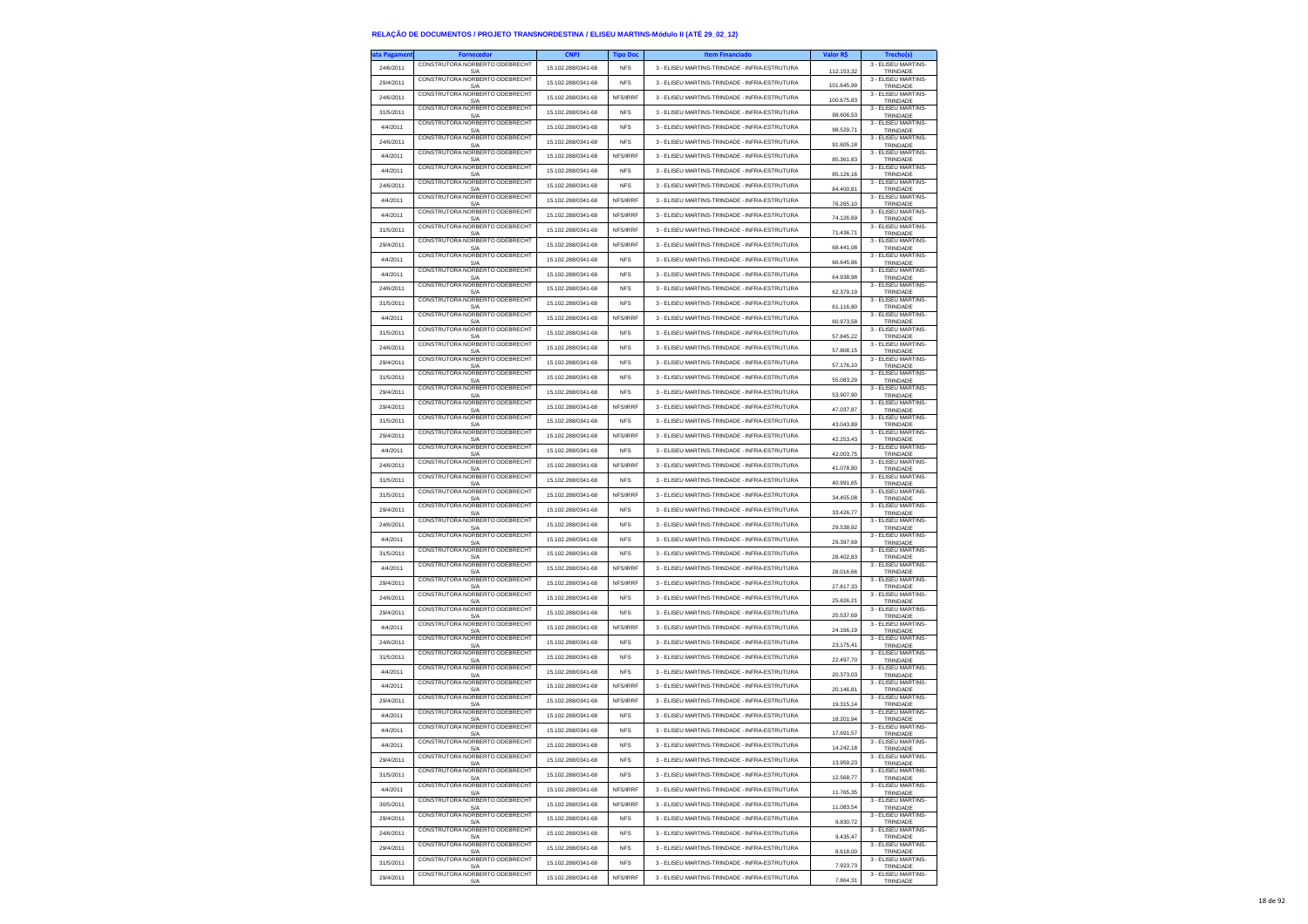| ta Pagameni | <b>Fornecedor</b>                     | <b>CNPJ</b>        | <b>Tipo Doc</b> | <b>Item Financiado</b>                        | Valor R\$  | <b>Trecho(s)</b>                    |
|-------------|---------------------------------------|--------------------|-----------------|-----------------------------------------------|------------|-------------------------------------|
| 24/6/2011   | CONSTRUTORA NORBERTO ODEBRECHT<br>S/A | 15.102.288/0341-68 | <b>NFS</b>      | 3 - ELISEU MARTINS-TRINDADE - INFRA-ESTRUTURA | 112.153,32 | 3 - ELISEU MARTINS-<br>TRINDADE     |
| 29/4/2011   | CONSTRUTORA NORBERTO ODEBRECHT        | 15.102.288/0341-68 | <b>NFS</b>      | 3 - ELISEU MARTINS-TRINDADE - INFRA-ESTRUTURA | 101.645.99 | 3 - ELISEU MARTINS-                 |
| 24/6/2011   | S/A<br>CONSTRUTORA NORBERTO ODEBRECHT | 15.102.288/0341-68 | NFS/IRRF        | 3 - FLISELLMARTINS-TRINDADE - INFRA-ESTRUTURA |            | TRINDADE<br>3 - ELISEU MARTINS-     |
|             | S/A<br>CONSTRUTORA NORBERTO ODEBRECHT |                    |                 |                                               | 100.675,83 | TRINDADE<br>3 - ELISEU MARTINS-     |
| 31/5/2011   | S/A<br>CONSTRUTORA NORBERTO ODEBRECHT | 15.102.288/0341-68 | <b>NFS</b>      | 3 - ELISEU MARTINS-TRINDADE - INFRA-ESTRUTURA | 98.606,53  | TRINDADE<br>3 - ELISEU MARTINS      |
| 4/4/2011    | S/A                                   | 15.102.288/0341-68 | <b>NFS</b>      | 3 - ELISEU MARTINS-TRINDADE - INFRA-ESTRUTURA | 98.529.71  | TRINDADE<br>3 - ELISEU MARTINS-     |
| 24/6/2011   | CONSTRUTORA NORBERTO ODEBRECHT<br>S/A | 15 102 288/0341-68 | <b>NFS</b>      | 3 - ELISEU MARTINS-TRINDADE - INFRA-ESTRUTURA | 91.605,18  | TRINDADE                            |
| 4/4/2011    | CONSTRUTORA NORBERTO ODEBRECHT<br>S/A | 15.102.288/0341-68 | NFS/IRRF        | 3 - ELISEU MARTINS-TRINDADE - INFRA-ESTRUTURA | 85.361,83  | 3 - ELISEU MARTINS-<br>TRINDADE     |
| 4/4/2011    | CONSTRUTORA NORBERTO ODEBRECHT<br>S/A | 15.102.288/0341-68 | <b>NFS</b>      | 3 - ELISEU MARTINS-TRINDADE - INFRA-ESTRUTURA | 85.126.16  | 3 - ELISEU MARTINS-<br>TRINDADE     |
| 24/6/2011   | CONSTRUTORA NORBERTO ODEBRECHT        | 15.102.288/0341-68 | <b>NFS</b>      | 3 - ELISEU MARTINS-TRINDADE - INFRA-ESTRUTURA | 84.400,81  | 3 - ELISEU MARTINS-                 |
| 4/4/2011    | S/A<br>CONSTRUTORA NORBERTO ODEBRECHT | 15.102.288/0341-68 | NFS/IRRF        | 3 - ELISEU MARTINS-TRINDADE - INFRA-ESTRUTURA |            | TRINDADE<br>3 - ELISEU MARTINS      |
| 4/4/2011    | S/A<br>CONSTRUTORA NORBERTO ODEBRECHT | 15.102.288/0341-68 | NFS/IRRF        | 3 - ELISEU MARTINS-TRINDADE - INFRA-ESTRUTURA | 76.265,10  | TRINDADE<br>3 - ELISEU MARTINS-     |
|             | S/A<br>CONSTRUTORA NORBERTO ODEBRECHT |                    |                 |                                               | 74.126.69  | TRINDADE<br>3 - ELISEU MARTINS-     |
| 31/5/2011   | S/A<br>CONSTRUTORA NORBERTO ODEBRECHT | 15.102.288/0341-68 | NFS/IRRF        | 3 - ELISEU MARTINS-TRINDADE - INFRA-ESTRUTURA | 71.436,71  | TRINDADE<br>3 - ELISEU MARTINS-     |
| 29/4/2011   | S/A<br>CONSTRUTORA NORBERTO ODEBRECHT | 15.102.288/0341-68 | NES/IRRE        | 3 - FLISELLMARTINS-TRINDADE - INFRA-ESTRUTURA | 68.441,08  | TRINDADE<br>3 - FLISEU MARTINS-     |
| 4/4/2011    | S/A                                   | 15.102.288/0341-68 | <b>NFS</b>      | 3 - ELISEU MARTINS-TRINDADE - INFRA-ESTRUTURA | 66.645,86  | TRINDADE                            |
| 4/4/2011    | CONSTRUTORA NORBERTO ODEBRECHT<br>S/A | 15 102 288/0341-68 | <b>NFS</b>      | 3 - ELISEU MARTINS-TRINDADE - INFRA-ESTRUTURA | 64.938,98  | 3 - FLISEU MARTINS-<br>TRINDADE     |
| 24/6/2011   | CONSTRUTORA NORBERTO ODEBRECHT<br>S/A | 15.102.288/0341-68 | <b>NFS</b>      | 3 - ELISEU MARTINS-TRINDADE - INFRA-ESTRUTURA | 62.379,19  | 3 - ELISEU MARTINS-<br>TRINDADE     |
| 31/5/2011   | CONSTRUTORA NORBERTO ODEBRECHT<br>S/A | 15.102.288/0341-68 | <b>NFS</b>      | 3 - ELISEU MARTINS-TRINDADE - INFRA-ESTRUTURA | 61.116,80  | 3 - ELISEU MARTINS<br>TRINDADE      |
| 4/4/2011    | CONSTRUTORA NORBERTO ODEBRECHT        | 15.102.288/0341-68 | NFS/IRRF        | 3 - ELISEU MARTINS-TRINDADE - INFRA-ESTRUTURA | 60.973,58  | 3 - ELISEU MARTINS-                 |
| 31/5/2011   | S/A<br>CONSTRUTORA NORBERTO ODEBRECHT | 15.102.288/0341-68 | <b>NFS</b>      | 3 - ELISEU MARTINS-TRINDADE - INFRA-ESTRUTURA |            | TRINDADE<br>3 - ELISEU MARTINS-     |
| 24/6/2011   | S/A<br>CONSTRUTORA NORBERTO ODEBRECHT | 15.102.288/0341-68 | <b>NFS</b>      | 3 - ELISEU MARTINS-TRINDADE - INFRA-ESTRUTURA | 57.845,22  | TRINDADE<br>3 - ELISEU MARTINS-     |
|             | S/A<br>CONSTRUTORA NORBERTO ODEBRECHT |                    |                 |                                               | 57.808,15  | TRINDADE<br>3 - ELISEU MARTINS-     |
| 29/4/2011   | S/A<br>CONSTRUTORA NORBERTO ODEBRECH  | 15.102.288/0341-68 | <b>NFS</b>      | 3 - ELISEU MARTINS-TRINDADE - INFRA-ESTRUTURA | 57.176,10  | TRINDADE<br>3 - ELISEU MARTINS-     |
| 31/5/2011   | S/A<br>CONSTRUTORA NORBERTO ODEBRECHT | 15.102.288/0341-68 | <b>NFS</b>      | 3 - ELISEU MARTINS-TRINDADE - INFRA-ESTRUTURA | 55.083,29  | TRINDADE<br>3 - ELISEU MARTINS-     |
| 29/4/2011   | S/A                                   | 15.102.288/0341-68 | <b>NFS</b>      | 3 - ELISEU MARTINS-TRINDADE - INFRA-ESTRUTURA | 53.907,90  | TRINDADE                            |
| 29/4/2011   | CONSTRUTORA NORBERTO ODEBRECHT<br>S/A | 15.102.288/0341-68 | NFS/IRRF        | 3 - ELISEU MARTINS-TRINDADE - INFRA-ESTRUTURA | 47.037.87  | 3 - ELISEU MARTINS-<br>TRINDADE     |
| 31/5/2011   | CONSTRUTORA NORBERTO ODEBRECHT<br>S/A | 15.102.288/0341-68 | <b>NFS</b>      | 3 - ELISEU MARTINS-TRINDADE - INFRA-ESTRUTURA | 43.043,89  | 3 - ELISEU MARTINS-<br>TRINDADE     |
| 29/4/2011   | CONSTRUTORA NORBERTO ODEBRECHT<br>S/A | 15.102.288/0341-68 | NFS/IRRF        | 3 - ELISEU MARTINS-TRINDADE - INFRA-ESTRUTURA | 42.253,43  | 3 - ELISEU MARTINS-<br>TRINDADE     |
| 4/4/2011    | CONSTRUTORA NORBERTO ODEBRECHT<br>S/A | 15.102.288/0341-68 | <b>NFS</b>      | 3 - ELISEU MARTINS-TRINDADE - INFRA-ESTRUTURA | 42.003.75  | 3 - ELISEU MARTINS-<br>TRINDADE     |
| 24/6/2011   | CONSTRUTORA NORBERTO ODEBRECHT        | 15.102.288/0341-68 | NFS/IRRF        | 3 - ELISEU MARTINS-TRINDADE - INFRA-ESTRUTURA |            | 3 - ELISEU MARTINS-                 |
| 31/5/2011   | S/A<br>CONSTRUTORA NORBERTO ODEBRECHT | 15.102.288/0341-68 | <b>NFS</b>      | 3 - ELISEU MARTINS-TRINDADE - INFRA-ESTRUTURA | 41.078,80  | TRINDADE<br>3 - ELISEU MARTINS      |
|             | S/A<br>CONSTRUTORA NORBERTO ODEBRECHT | 15.102.288/0341-68 | NFS/IRRF        | 3 - ELISEU MARTINS-TRINDADE - INFRA-ESTRUTURA | 40.991,65  | TRINDADE<br>3 - ELISEU MARTINS-     |
| 31/5/2011   | S/A<br>CONSTRUTORA NORBERTO ODEBRECHT |                    |                 |                                               | 34,455.08  | TRINDADE<br>3 - ELISEU MARTINS-     |
| 29/4/2011   | S/A<br>CONSTRUTORA NORBERTO ODEBRECHT | 15.102.288/0341-68 | <b>NFS</b>      | 3 - ELISEU MARTINS-TRINDADE - INFRA-ESTRUTURA | 33.426,77  | TRINDADE<br>3 - ELISEU MARTINS      |
| 24/6/2011   | S/A<br>CONSTRUTORA NORBERTO ODEBRECHT | 15.102.288/0341-68 | <b>NFS</b>      | 3 - ELISEU MARTINS-TRINDADE - INFRA-ESTRUTURA | 29.538,92  | TRINDADE<br>3 - ELISEU MARTINS-     |
| 4/4/2011    | S/A                                   | 15.102.288/0341-68 | <b>NFS</b>      | 3 - ELISEU MARTINS-TRINDADE - INFRA-ESTRUTURA | 29,397.69  | TRINDADE                            |
| 31/5/2011   | CONSTRUTORA NORBERTO ODEBRECHT<br>S/A | 15.102.288/0341-68 | <b>NFS</b>      | 3 - ELISEU MARTINS-TRINDADE - INFRA-ESTRUTURA | 28.402,83  | 3 - ELISEU MARTINS-<br>TRINDADE     |
| 4/4/2011    | CONSTRUTORA NORBERTO ODEBRECHT<br>S/A | 15.102.288/0341-68 | NFS/IRRF        | 3 - ELISEU MARTINS-TRINDADE - INFRA-ESTRUTURA | 28.016,66  | 3 - ELISEU MARTINS-<br>TRINDADE     |
| 29/4/2011   | CONSTRUTORA NORBERTO ODEBRECHT<br>S/A | 15.102.288/0341-68 | NFS/IRRF        | 3 - ELISEU MARTINS-TRINDADE - INFRA-ESTRUTURA | 27.817.33  | 3 - ELISEU MARTINS<br>TRINDADE      |
| 24/6/2011   | CONSTRUTORA NORBERTO ODEBRECHT        | 15.102.288/0341-68 | <b>NFS</b>      | 3 - ELISEU MARTINS-TRINDADE - INFRA-ESTRUTURA |            | 3 - ELISEU MARTINS-                 |
| 29/4/2011   | S/A<br>CONSTRUTORA NORBERTO ODEBRECHT | 15.102.288/0341-68 | <b>NFS</b>      | 3 - ELISEU MARTINS-TRINDADE - INFRA-ESTRUTURA | 25.826,21  | TRINDADE<br>3 - ELISEU MARTINS-     |
|             | S/A<br>CONSTRUTORA NORBERTO ODEBRECHT |                    |                 |                                               | 25.537,69  | TRINDADE<br>3 - ELISEU MARTINS-     |
| 4/4/2011    | S/A<br>CONSTRUTORA NORBERTO ODEBRECHT | 15.102.288/0341-68 | NFS/IRRF        | 3 - ELISEU MARTINS-TRINDADE - INFRA-ESTRUTURA | 24.166.19  | TRINDADE<br>3 - ELISEU MARTINS-     |
| 24/6/2011   | S/A                                   | 15.102.288/0341-68 | <b>NFS</b>      | 3 - ELISEU MARTINS-TRINDADE - INFRA-ESTRUTURA | 23.175,41  | TRINDADE                            |
| 31/5/2011   | CONSTRUTORA NORBERTO ODEBRECHT<br>S/A | 15.102.288/0341-68 | <b>NFS</b>      | 3 - FLISELLMARTINS-TRINDADE - INFRA-ESTRUTURA | 22.497,70  | 3 - ELISEU MARTINS-<br>TRINDADE     |
| 4/4/2011    | CONSTRUTORA NORBERTO ODEBRECHT<br>S/A | 15.102.288/0341-68 | <b>NFS</b>      | 3 - ELISEU MARTINS-TRINDADE - INFRA-ESTRUTURA | 20.373,03  | 3 - ELISEU MARTINS-<br>TRINDADE     |
| 4/4/2011    | CONSTRUTORA NORBERTO ODEBRECHT<br>S/A | 15.102.288/0341-68 | NFS/IRRF        | 3 - ELISEU MARTINS-TRINDADE - INFRA-ESTRUTURA | 20.146,81  | 3 - ELISEU MARTINS-<br>TRINDADE     |
| 29/4/2011   | CONSTRUTORA NORBERTO ODEBRECHT<br>S/A | 15 102 288/0341-68 | NFS/IRRF        | 3 - ELISEU MARTINS-TRINDADE - INFRA-ESTRUTURA | 19.315,14  | 3 - ELISEU MARTINS-<br>TRINDADE     |
| 4/4/2011    | CONSTRUTORA NORBERTO ODEBRECHT        | 15.102.288/0341-68 | <b>NFS</b>      | 3 - ELISEU MARTINS-TRINDADE - INFRA-ESTRUTURA | 18.201,94  | 3 - FLISEU MARTINS-                 |
| 4/4/2011    | S/A<br>CONSTRUTORA NORBERTO ODEBRECHT | 15 102 288/0341-68 | <b>NFS</b>      | 3 - ELISEU MARTINS-TRINDADE - INFRA-ESTRUTURA |            | TRINDADE<br>3 - FLISEU MARTINS-     |
| 4/4/2011    | S/A<br>CONSTRUTORA NORBERTO ODEBRECHT | 15.102.288/0341-68 |                 | 3 - ELISEU MARTINS-TRINDADE - INFRA-ESTRUTURA | 17.691,57  | TRINDADE<br>3 - ELISEU MARTINS-     |
|             | CONSTRUTORA NORBERTO ODEBRECHT        |                    | <b>NFS</b>      |                                               |            | <b>I RINL</b><br>3 - ELISEU MARTINS |
| 29/4/2011   | S/A<br>CONSTRUTORA NORBERTO ODEBRECHT | 15.102.288/0341-68 | <b>NFS</b>      | 3 - ELISEU MARTINS-TRINDADE - INFRA-ESTRUTURA | 13.959,23  | TRINDADE<br>3 - FLISEU MARTINS-     |
| 31/5/2011   | S/A                                   | 15.102.288/0341-68 | <b>NFS</b>      | 3 - ELISEU MARTINS-TRINDADE - INFRA-ESTRUTURA | 12.568.77  | TRINDADE                            |
| 4/4/2011    | CONSTRUTORA NORBERTO ODEBRECHT<br>S/A | 15.102.288/0341-68 | NFS/IRRF        | 3 - ELISEU MARTINS-TRINDADE - INFRA-ESTRUTURA | 11.765,35  | 3 - ELISEU MARTINS-<br>TRINDADE     |
| 30/5/2011   | CONSTRUTORA NORBERTO ODEBRECHT<br>S/A | 15.102.288/0341-68 | NFS/IRRF        | 3 - ELISEU MARTINS-TRINDADE - INFRA-ESTRUTURA | 11.083,54  | 3 - ELISEU MARTINS-<br>TRINDADE     |
| 29/4/2011   | CONSTRUTORA NORBERTO ODEBRECHT<br>S/A | 15.102.288/0341-68 | <b>NFS</b>      | 3 - ELISEU MARTINS-TRINDADE - INFRA-ESTRUTURA | 9.830.72   | 3 - ELISEU MARTINS-<br>TRINDADE     |
| 24/6/2011   | CONSTRUTORA NORBERTO ODEBRECHT<br>S/A | 15.102.288/0341-68 | <b>NFS</b>      | 3 - ELISEU MARTINS-TRINDADE - INFRA-ESTRUTURA | 9.435,47   | 3 - ELISEU MARTINS-                 |
| 29/4/2011   | CONSTRUTORA NORBERTO ODEBRECHT        | 15.102.288/0341-68 | <b>NFS</b>      | 3 - ELISEU MARTINS-TRINDADE - INFRA-ESTRUTURA |            | TRINDADE<br>3 - ELISEU MARTINS-     |
| 31/5/2011   | S/A<br>CONSTRUTORA NORBERTO ODEBRECHT | 15.102.288/0341-68 | <b>NFS</b>      | 3 - ELISEU MARTINS-TRINDADE - INFRA-ESTRUTURA | 8.618,00   | TRINDADE<br>3 - FLISEU MARTINS      |
|             | S/A<br>CONSTRUTORA NORBERTO ODEBRECHT | 15 102 288/0341-68 |                 |                                               | 7.923.73   | TRINDADE<br>3 - ELISEU MARTINS-     |
| 29/4/2011   | S/A                                   |                    | NFS/IRRF        | 3 - ELISEU MARTINS-TRINDADE - INFRA-ESTRUTURA | 7.864,31   | TRINDADE                            |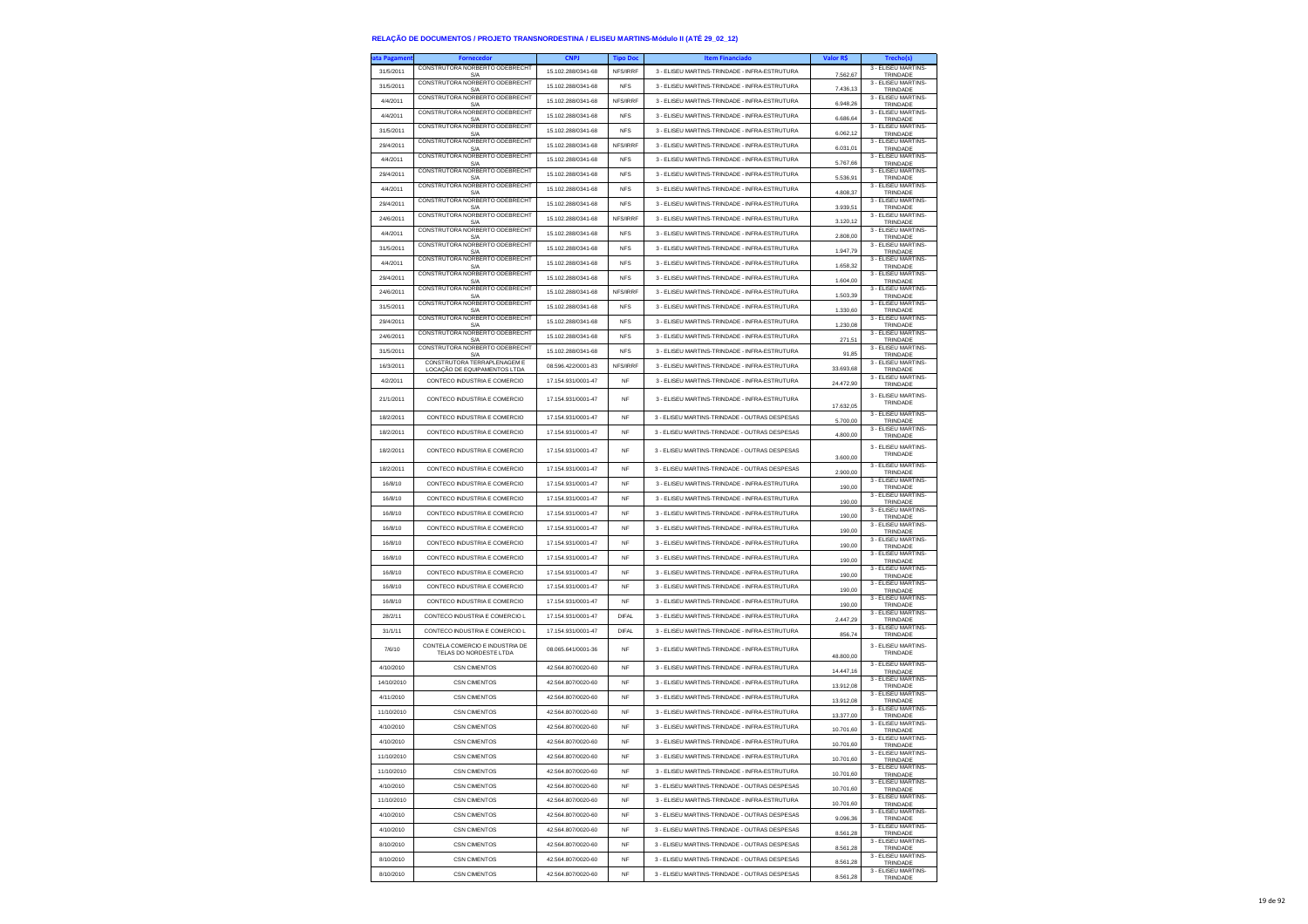| ta Pagamen | <b>Fornecedor</b>                                           | <b>CNPJ</b>        | <b>Tipo Doc</b> | <b>Item Financiado</b>                        | Valor R\$   | Trecho(s)                       |
|------------|-------------------------------------------------------------|--------------------|-----------------|-----------------------------------------------|-------------|---------------------------------|
| 31/5/2011  | CONSTRUTORA NORBERTO ODEBRECHT<br>S/A                       | 15.102.288/0341-68 | NFS/IRRF        | 3 - ELISEU MARTINS-TRINDADE - INFRA-ESTRUTURA | 7.562,67    | 3 - ELISEU MARTINS-<br>TRINDADE |
| 31/5/2011  | CONSTRUTORA NORBERTO ODEBRECHT<br>S/A                       | 15.102.288/0341-68 | <b>NFS</b>      | 3 - ELISEU MARTINS-TRINDADE - INFRA-ESTRUTURA | 7.436,13    | 3 - ELISEU MARTINS-<br>TRINDADE |
| 4/4/2011   | CONSTRUTORA NORBERTO ODEBRECHT                              | 15.102.288/0341-68 | NFS/IRRF        | 3 - ELISEU MARTINS-TRINDADE - INFRA-ESTRUTURA |             | 3 - ELISEU MARTINS-             |
| 4/4/2011   | S/A<br>CONSTRUTORA NORBERTO ODEBRECHT                       | 15.102.288/0341-68 | <b>NFS</b>      | 3 - ELISEU MARTINS-TRINDADE - INFRA-ESTRUTURA | 6.948,26    | TRINDADE<br>3 - ELISEU MARTINS- |
|            | S/A<br>CONSTRUTORA NORBERTO ODEBRECHT                       |                    |                 | 3 - FLISELLMARTINS-TRINDADE - INFRA-ESTRUTURA | 6.686,64    | TRINDADE<br>3 - ELISEU MARTINS- |
| 31/5/2011  | S/A<br>CONSTRUTORA NORBERTO ODEBRECHT                       | 15.102.288/0341-68 | <b>NFS</b>      |                                               | 6.062,12    | TRINDADE<br>3 - ELISEU MARTINS- |
| 29/4/2011  | S/A<br>CONSTRUTORA NORBERTO ODEBRECHT                       | 15.102.288/0341-68 | NFS/IRRF        | 3 - ELISEU MARTINS-TRINDADE - INFRA-ESTRUTURA | 6.031,01    | TRINDADE<br>3 - FLISEU MARTINS- |
| 4/4/2011   | S/A                                                         | 15.102.288/0341-68 | <b>NFS</b>      | 3 - ELISEU MARTINS-TRINDADE - INFRA-ESTRUTURA | 5.767,66    | TRINDADE                        |
| 29/4/2011  | CONSTRUTORA NORBERTO ODEBRECHT<br>S/A                       | 15.102.288/0341-68 | <b>NFS</b>      | 3 - ELISEU MARTINS-TRINDADE - INFRA-ESTRUTURA | 5.536,91    | 3 - ELISEU MARTINS-<br>TRINDADE |
| 4/4/2011   | CONSTRUTORA NORBERTO ODEBRECHT<br>S/A                       | 15.102.288/0341-68 | <b>NFS</b>      | 3 - ELISEU MARTINS-TRINDADE - INFRA-ESTRUTURA | 4.808,37    | 3 - ELISEU MARTINS-<br>TRINDADE |
| 29/4/2011  | CONSTRUTORA NORBERTO ODEBRECHT<br>S/A                       | 15.102.288/0341-68 | <b>NFS</b>      | 3 - ELISEU MARTINS-TRINDADE - INFRA-ESTRUTURA | 3 9 3 9 5 1 | 3 - ELISEU MARTINS-<br>TRINDADE |
| 24/6/2011  | CONSTRUTORA NORBERTO ODEBRECHT<br>S/A                       | 15.102.288/0341-68 | NFS/IRRF        | 3 - ELISEU MARTINS-TRINDADE - INFRA-ESTRUTURA | 3.120,12    | 3 - ELISEU MARTINS-<br>TRINDADE |
| 4/4/2011   | CONSTRUTORA NORBERTO ODEBRECHT<br>S/A                       | 15.102.288/0341-68 | <b>NFS</b>      | 3 - ELISEU MARTINS-TRINDADE - INFRA-ESTRUTURA | 2.808,00    | 3 - ELISEU MARTINS-<br>TRINDADE |
| 31/5/2011  | CONSTRUTORA NORBERTO ODEBRECHT<br>S/A                       | 15.102.288/0341-68 | <b>NFS</b>      | 3 - ELISEU MARTINS-TRINDADE - INFRA-ESTRUTURA | 1.947.79    | 3 - FLISEU MARTINS-<br>TRINDADE |
| 4/4/2011   | CONSTRUTORA NORBERTO ODEBRECHT                              | 15.102.288/0341-68 | <b>NFS</b>      | 3 - ELISEU MARTINS-TRINDADE - INFRA-ESTRUTURA |             | 3 - ELISEU MARTINS-             |
| 29/4/2011  | S/A<br>CONSTRUTORA NORBERTO ODEBRECHT                       | 15.102.288/0341-68 | <b>NFS</b>      | 3 - ELISEU MARTINS-TRINDADE - INFRA-ESTRUTURA | 1.658,32    | TRINDADE<br>3 - ELISEU MARTINS- |
| 24/6/2011  | S/A<br>CONSTRUTORA NORBERTO ODEBRECHT                       | 15.102.288/0341-68 | NFS/IRRF        | 3 - ELISEU MARTINS-TRINDADE - INFRA-ESTRUTURA | 1.604,00    | TRINDADE<br>3 - ELISEU MARTINS- |
|            | S/A<br>CONSTRUTORA NORBERTO ODEBRECHT                       |                    |                 |                                               | 1,503.39    | TRINDADE<br>3 - ELISEU MARTINS- |
| 31/5/2011  | S/A<br>CONSTRUTORA NORBERTO ODEBRECHT                       | 15.102.288/0341-68 | <b>NFS</b>      | 3 - ELISEU MARTINS-TRINDADE - INFRA-ESTRUTURA | 1.330,60    | TRINDADE<br>3 - ELISEU MARTINS- |
| 29/4/2011  | S/A<br>CONSTRUTORA NORBERTO ODEBRECHT                       | 15.102.288/0341-68 | <b>NFS</b>      | 3 - ELISEU MARTINS-TRINDADE - INFRA-ESTRUTURA | 1.230,08    | TRINDADE<br>3 - ELISEU MARTINS- |
| 24/6/2011  | S/A                                                         | 15.102.288/0341-68 | <b>NFS</b>      | 3 - ELISEU MARTINS-TRINDADE - INFRA-ESTRUTURA | 271.51      | TRINDADE                        |
| 31/5/2011  | CONSTRUTORA NORBERTO ODEBRECHT<br>S/A                       | 15.102.288/0341-68 | <b>NFS</b>      | 3 - ELISEU MARTINS-TRINDADE - INFRA-ESTRUTURA | 91,85       | 3 - ELISEU MARTINS-<br>TRINDADE |
| 16/3/2011  | CONSTRUTORA TERRAPLENAGEM E<br>LOCACÃO DE EQUIPAMENTOS LTDA | 08.596.422/0001-83 | NFS/IRRF        | 3 - ELISEU MARTINS-TRINDADE - INFRA-ESTRUTURA | 33.693,68   | 3 - ELISEU MARTINS-<br>TRINDADE |
| 4/2/2011   | CONTECO INDUSTRIA E COMERCIO                                | 17.154.931/0001-47 | <b>NF</b>       | 3 - ELISEU MARTINS-TRINDADE - INFRA-ESTRUTURA | 24.472.90   | 3 - FLISEU MARTINS-<br>TRINDADE |
| 21/1/2011  | CONTECO INDUSTRIA E COMERCIO                                | 17.154.931/0001-47 | NF              | 3 - ELISEU MARTINS-TRINDADE - INFRA-ESTRUTURA |             | 3 - ELISEU MARTINS-             |
|            |                                                             |                    |                 |                                               | 17.632.05   | TRINDADE<br>3 - ELISEU MARTINS- |
| 18/2/2011  | CONTECO INDUSTRIA E COMERCIO                                | 17.154.931/0001-47 | NF              | 3 - ELISEU MARTINS-TRINDADE - OUTRAS DESPESAS | 5.700,00    | TRINDADE                        |
| 18/2/2011  | CONTECO INDUSTRIA E COMERCIO                                | 17.154.931/0001-47 | <b>NF</b>       | 3 - ELISEU MARTINS-TRINDADE - OUTRAS DESPESAS | 4.800,00    | 3 - ELISEU MARTINS-<br>TRINDADE |
| 18/2/2011  | CONTECO INDUSTRIA E COMERCIO                                | 17.154.931/0001-47 | <b>NF</b>       | 3 - ELISEU MARTINS-TRINDADE - OUTRAS DESPESAS |             | 3 - ELISEU MARTINS-<br>TRINDADE |
|            |                                                             |                    |                 |                                               | 3.600,00    | 3 - FLISEU MARTINS-             |
| 18/2/2011  | CONTECO INDUSTRIA E COMERCIO                                | 17.154.931/0001-47 | <b>NF</b>       | 3 - ELISEU MARTINS-TRINDADE - OUTRAS DESPESAS | 2.900.00    | TRINDADE<br>3 - ELISEU MARTINS- |
| 16/8/10    | CONTECO INDUSTRIA E COMERCIO                                | 17 154 931/0001-47 | <b>NF</b>       | 3 - ELISEU MARTINS-TRINDADE - INFRA-ESTRUTURA | 190,00      | TRINDADE<br>3 - ELISEU MARTINS- |
| 16/8/10    | CONTECO INDUSTRIA E COMERCIO                                | 17.154.931/0001-47 | <b>NF</b>       | 3 - ELISEU MARTINS-TRINDADE - INFRA-ESTRUTURA | 190,00      | TRINDADE<br>3 - ELISEU MARTINS- |
| 16/8/10    | CONTECO INDUSTRIA E COMERCIO                                | 17.154.931/0001-47 | <b>NF</b>       | 3 - ELISEU MARTINS-TRINDADE - INFRA-ESTRUTURA | 190.00      | TRINDADE                        |
| 16/8/10    | CONTECO INDUSTRIA E COMERCIO                                | 17.154.931/0001-47 | <b>NF</b>       | 3 - ELISEU MARTINS-TRINDADE - INFRA-ESTRUTURA | 190,00      | 3 - ELISEU MARTINS-<br>TRINDADE |
| 16/8/10    | CONTECO INDUSTRIA E COMERCIO                                | 17.154.931/0001-47 | <b>NF</b>       | 3 - ELISEU MARTINS-TRINDADE - INFRA-ESTRUTURA | 190,00      | 3 - ELISEU MARTINS-<br>TRINDADE |
| 16/8/10    | CONTECO INDUSTRIA E COMERCIO                                | 17.154.931/0001-47 | NF              | 3 - ELISEU MARTINS-TRINDADE - INFRA-ESTRUTURA | 190.00      | 3 - ELISEU MARTINS-<br>TRINDADE |
| 16/8/10    | CONTECO INDUSTRIA E COMERCIO                                | 17.154.931/0001-47 | <b>NF</b>       | 3 - ELISEU MARTINS-TRINDADE - INFRA-ESTRUTURA | 190,00      | 3 - ELISEU MARTINS-<br>TRINDADE |
| 16/8/10    | CONTECO INDUSTRIA E COMERCIO                                | 17.154.931/0001-47 | <b>NF</b>       | 3 - ELISEU MARTINS-TRINDADE - INFRA-ESTRUTURA | 190,00      | 3 - ELISEU MARTINS-<br>TRINDADE |
| 16/8/10    | CONTECO INDUSTRIA E COMERCIO                                | 17.154.931/0001-47 | NF              | 3 - ELISEU MARTINS-TRINDADE - INFRA-ESTRUTURA | 190,00      | 3 - ELISEU MARTINS-             |
| 28/2/11    | CONTECO INDUSTRIA E COMERCIO L                              | 17.154.931/0001-47 | <b>DIFAL</b>    | 3 - ELISEU MARTINS-TRINDADE - INFRA-ESTRUTURA |             | TRINDADE<br>3 - ELISEU MARTINS- |
| 31/1/11    | CONTECO INDUSTRIA E COMERCIO L                              | 17.154.931/0001-47 | DIFAI           | 3 - ELISEU MARTINS-TRINDADE - INFRA-ESTRUTURA | 2.447,29    | TRINDADE<br>3 - ELISEU MARTINS- |
|            | CONTELA COMERCIO E INDUSTRIA DE                             |                    |                 |                                               | 856,74      | TRINDADE<br>3 - ELISEU MARTINS- |
| 7/6/10     | TELAS DO NORDESTE LTDA                                      | 08.065.641/0001-36 | <b>NF</b>       | 3 - ELISEU MARTINS-TRINDADE - INFRA-ESTRUTURA | 48,800.00   | TRINDADE                        |
| 4/10/2010  | <b>CSN CIMENTOS</b>                                         | 42.564.807/0020-60 | <b>NF</b>       | 3 - ELISEU MARTINS-TRINDADE - INFRA-ESTRUTURA | 14.447,16   | 3 - ELISEU MARTINS-<br>TRINDADE |
| 14/10/2010 | <b>CSN CIMENTOS</b>                                         | 42.564.807/0020-60 | NF              | 3 - ELISEU MARTINS-TRINDADE - INFRA-ESTRUTURA | 13.912,08   | 3 - ELISEU MARTINS-<br>TRINDADE |
| 4/11/2010  | <b>CSN CIMENTOS</b>                                         | 42.564.807/0020-60 | <b>NF</b>       | 3 - ELISEU MARTINS-TRINDADE - INFRA-ESTRUTURA | 13.912.08   | 3 - ELISEU MARTINS-             |
| 11/10/2010 | <b>CSN CIMENTOS</b>                                         | 42.564.807/0020-60 | <b>NF</b>       | 3 - ELISEU MARTINS-TRINDADE - INFRA-ESTRUTURA |             | TRINDADE<br>3 - ELISEU MARTINS- |
| 4/10/2010  | <b>CSN CIMENTOS</b>                                         | 42 564 807/0020-60 | <b>NF</b>       | 3 - ELISEU MARTINS-TRINDADE - INFRA-ESTRUTURA | 13.377,00   | TRINDADE<br>3 - ELISEU MARTINS- |
| 4/10/2010  | <b>CSN CIMENTOS</b>                                         | 42.564.807/0020-60 |                 | 3 - ELISEU MARTINS-TRINDADE - INFRA-ESTRUTURA | 10.701,60   | TRINDADE<br>3 - FLISEU MARTINS- |
|            |                                                             |                    |                 |                                               | 10.701,60   | TRINDADE<br>3 - ELISEU MARTINS- |
| 11/10/2010 | <b>CSN CIMENTOS</b>                                         | 42.564.807/0020-60 | NF              | 3 - ELISEU MARTINS-TRINDADE - INFRA-ESTRUTURA | 10.701,60   | TRINDADE<br>3 - ELISEU MARTINS- |
| 11/10/2010 | <b>CSN CIMENTOS</b>                                         | 42.564.807/0020-60 | NF              | 3 - ELISEU MARTINS-TRINDADE - INFRA-ESTRUTURA | 10.701,60   | TRINDADE<br>3 - ELISEU MARTINS- |
| 4/10/2010  | <b>CSN CIMENTOS</b>                                         | 42.564.807/0020-60 | NF              | 3 - ELISEU MARTINS-TRINDADE - OUTRAS DESPESAS | 10.701.60   | TRINDADE                        |
| 11/10/2010 | <b>CSN CIMENTOS</b>                                         | 42 564 807/0020-60 | NF              | 3 - ELISEU MARTINS-TRINDADE - INFRA-ESTRUTURA | 10,701.60   | 3 - ELISEU MARTINS-<br>TRINDADE |
| 4/10/2010  | <b>CSN CIMENTOS</b>                                         | 42.564.807/0020-60 | <b>NF</b>       | 3 - ELISEU MARTINS-TRINDADE - OUTRAS DESPESAS | 9.096,36    | 3 - ELISEU MARTINS-<br>TRINDADE |
| 4/10/2010  | <b>CSN CIMENTOS</b>                                         | 42.564.807/0020-60 | NF              | 3 - ELISEU MARTINS-TRINDADE - OUTRAS DESPESAS | 8.561,28    | 3 - ELISEU MARTINS-<br>TRINDADE |
| 8/10/2010  | CSN CIMENTOS                                                | 42 564 807/0020-60 | NF              | 3 - ELISEU MARTINS-TRINDADE - OUTRAS DESPESAS | 8.561,28    | 3 - FLISEU MARTINS-<br>TRINDADE |
| 8/10/2010  | <b>CSN CIMENTOS</b>                                         | 42.564.807/0020-60 | NF              | 3 - ELISEU MARTINS-TRINDADE - OUTRAS DESPESAS | 8.561,28    | 3 - ELISEU MARTINS-<br>TRINDADE |
| 8/10/2010  | <b>CSN CIMENTOS</b>                                         | 42.564.807/0020-60 | NF              | 3 - ELISEU MARTINS-TRINDADE - OUTRAS DESPESAS |             | 3 - FLISEU MARTINS-             |
|            |                                                             |                    |                 |                                               | 8.561,28    | TRINDADE                        |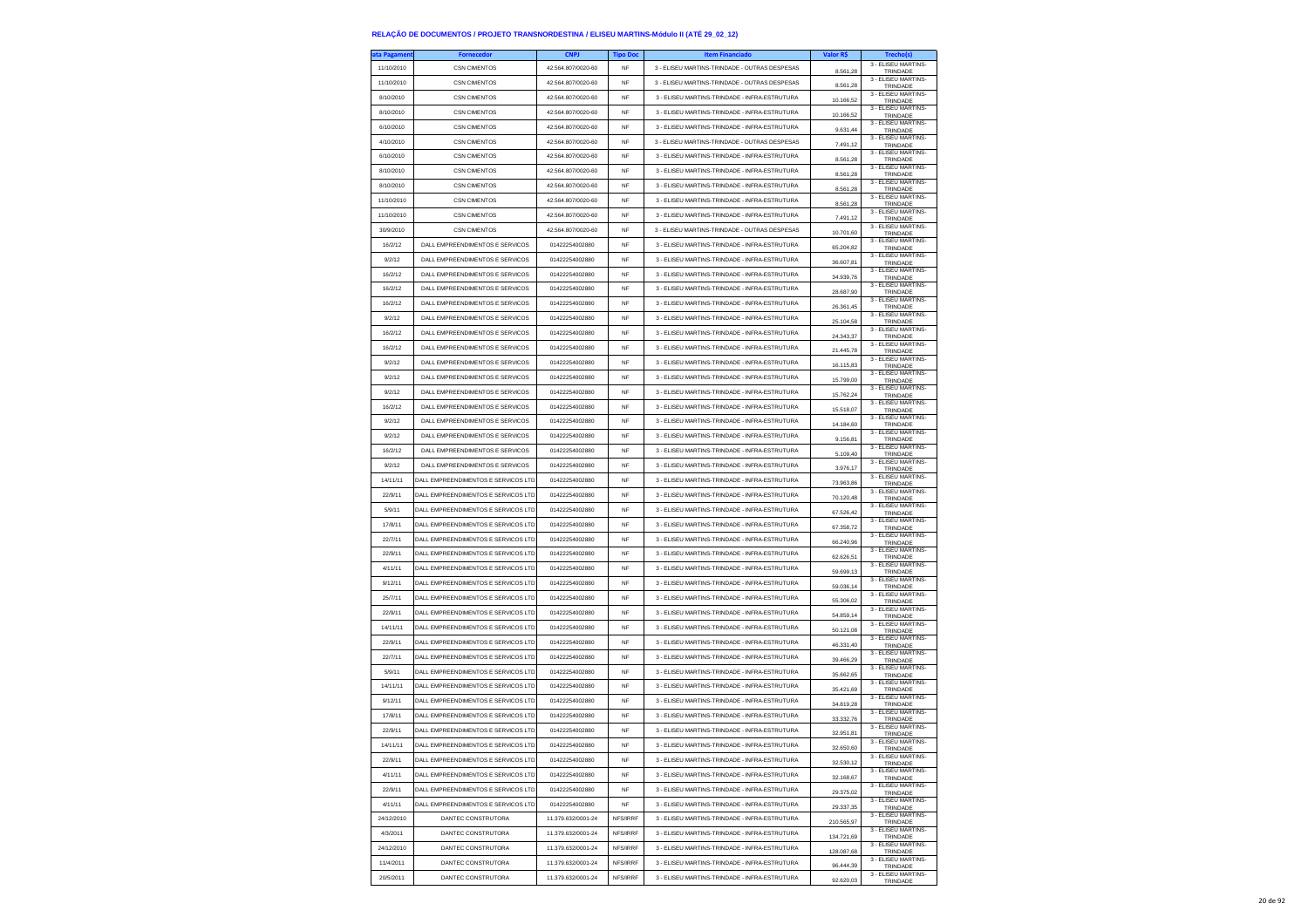| ta Pagamen | <b>Fornecedor</b>                   | <b>CNPJ</b>        | <b>Tipo Doc</b> | <b>Item Financiado</b>                        | Valor R\$  | Trecho(s)                       |
|------------|-------------------------------------|--------------------|-----------------|-----------------------------------------------|------------|---------------------------------|
| 11/10/2010 | <b>CSN CIMENTOS</b>                 | 42.564.807/0020-60 | NF              | 3 - ELISEU MARTINS-TRINDADE - OUTRAS DESPESAS | 8.561,28   | 3 - ELISEU MARTINS-<br>TRINDADE |
| 11/10/2010 | <b>CSN CIMENTOS</b>                 | 42.564.807/0020-60 | NF              | 3 - ELISEU MARTINS-TRINDADE - OUTRAS DESPESAS | 8.561,28   | 3 - FLISEU MARTINS-             |
| 8/10/2010  | <b>CSN CIMENTOS</b>                 | 42.564.807/0020-60 | <b>NF</b>       | 3 - ELISEU MARTINS-TRINDADE - INFRA-ESTRUTURA |            | TRINDADE<br>3 - ELISEU MARTINS- |
| 8/10/2010  | <b>CSN CIMENTOS</b>                 | 42.564.807/0020-60 | NF              | 3 - ELISEU MARTINS-TRINDADE - INFRA-ESTRUTURA | 10.166.52  | TRINDADE<br>3 - ELISEU MARTINS- |
|            |                                     |                    |                 |                                               | 10.166,52  | TRINDADE<br>3 - ELISEU MARTINS- |
| 6/10/2010  | <b>CSN CIMENTOS</b><br>CSN CIMENTOS | 42.564.807/0020-60 | NF              | 3 - ELISEU MARTINS-TRINDADE - INFRA-ESTRUTURA | 9.631,44   | TRINDADE<br>3 - ELISEU MARTINS- |
| 4/10/2010  |                                     | 42.564.807/0020-60 | <b>NF</b>       | 3 - ELISEU MARTINS-TRINDADE - OUTRAS DESPESAS | 7.491.12   | TRINDADE<br>3 - ELISEU MARTINS- |
| 6/10/2010  | <b>CSN CIMENTOS</b>                 | 42.564.807/0020-60 | <b>NF</b>       | 3 - ELISEU MARTINS-TRINDADE - INFRA-ESTRUTURA | 8,561.28   | TRINDADE<br>3 - ELISEU MARTINS- |
| 8/10/2010  | <b>CSN CIMENTOS</b>                 | 42.564.807/0020-60 | NF              | 3 - ELISEU MARTINS-TRINDADE - INFRA-ESTRUTURA | 8.561,28   | TRINDADE                        |
| 8/10/2010  | <b>CSN CIMENTOS</b>                 | 42.564.807/0020-60 | NF              | 3 - ELISEU MARTINS-TRINDADE - INFRA-ESTRUTURA | 8.561.28   | 3 - ELISEU MARTINS-<br>TRINDADE |
| 11/10/2010 | <b>CSN CIMENTOS</b>                 | 42.564.807/0020-60 | NF              | 3 - ELISEU MARTINS-TRINDADE - INFRA-ESTRUTURA | 8.561,28   | 3 - ELISEU MARTINS-<br>TRINDADE |
| 11/10/2010 | <b>CSN CIMENTOS</b>                 | 42.564.807/0020-60 | NF              | 3 - ELISEU MARTINS-TRINDADE - INFRA-ESTRUTURA | 7.491,12   | 3 - ELISEU MARTINS-<br>TRINDADE |
| 30/9/2010  | <b>CSN CIMENTOS</b>                 | 42.564.807/0020-60 | <b>NF</b>       | 3 - ELISEU MARTINS-TRINDADE - OUTRAS DESPESAS | 10.701.60  | 3 - FLISEU MARTINS-<br>TRINDADE |
| 16/2/12    | DALL EMPREENDIMENTOS E SERVICOS     | 01422254002880     | <b>NF</b>       | 3 - ELISEU MARTINS-TRINDADE - INFRA-ESTRUTURA | 65.204,82  | 3 - ELISEU MARTINS-<br>TRINDADE |
| 9/2/12     | DALL EMPREENDIMENTOS E SERVICOS     | 01422254002880     | <b>NF</b>       | 3 - ELISEU MARTINS-TRINDADE - INFRA-ESTRUTURA | 36.607,81  | 3 - ELISEU MARTINS-<br>TRINDADE |
| 16/2/12    | DALL EMPREENDIMENTOS E SERVICOS     | 01422254002880     | <b>NF</b>       | 3 - ELISEU MARTINS-TRINDADE - INFRA-ESTRUTURA | 34.939.76  | 3 - FLISEU MARTINS-<br>TRINDADE |
| 16/2/12    | DALL EMPREENDIMENTOS E SERVICOS     | 01422254002880     | NF              | 3 - ELISEU MARTINS-TRINDADE - INFRA-ESTRUTURA | 28.687,90  | 3 - ELISEU MARTINS-             |
| 16/2/12    | DALL EMPREENDIMENTOS E SERVICOS     | 01422254002880     | <b>NF</b>       | 3 - ELISEU MARTINS-TRINDADE - INFRA-ESTRUTURA |            | TRINDADE<br>3 - ELISEU MARTINS- |
| 9/2/12     | DALL EMPREENDIMENTOS E SERVICOS     | 01422254002880     | <b>NF</b>       | 3 - ELISEU MARTINS-TRINDADE - INFRA-ESTRUTURA | 26.361,45  | TRINDADE<br>3 - ELISEU MARTINS- |
| 16/2/12    | DALL EMPREENDIMENTOS E SERVICOS     | 01422254002880     | <b>NF</b>       | 3 - ELISEU MARTINS-TRINDADE - INFRA-ESTRUTURA | 25.104.58  | TRINDADE<br>3 - ELISEU MARTINS- |
|            |                                     |                    | <b>NF</b>       |                                               | 24.343,37  | TRINDADE<br>3 - ELISEU MARTINS- |
| 16/2/12    | DALL EMPREENDIMENTOS E SERVICOS     | 01422254002880     |                 | 3 - ELISEU MARTINS-TRINDADE - INFRA-ESTRUTURA | 21.445,78  | TRINDADE<br>3 - FLISEU MARTINS- |
| 9/2/12     | DALL EMPREENDIMENTOS E SERVICOS     | 01422254002880     | NF              | 3 - ELISEU MARTINS-TRINDADE - INFRA-ESTRUTURA | 16.115,83  | TRINDADE<br>3 - FLISEU MARTINS- |
| 9/2/12     | DALL EMPREENDIMENTOS E SERVICOS     | 01422254002880     | <b>NF</b>       | 3 - ELISEU MARTINS-TRINDADE - INFRA-ESTRUTURA | 15.799,00  | TRINDADE<br>3 - ELISEU MARTINS- |
| 9/2/12     | DALL EMPREENDIMENTOS E SERVICOS     | 01422254002880     | NF              | 3 - ELISEU MARTINS-TRINDADE - INFRA-ESTRUTURA | 15.762.24  | TRINDADE                        |
| 16/2/12    | DALL EMPREENDIMENTOS E SERVICOS     | 01422254002880     | NF              | 3 - ELISEU MARTINS-TRINDADE - INFRA-ESTRUTURA | 15.518,07  | 3 - FLISEU MARTINS<br>TRINDADE  |
| 9/2/12     | DALL EMPREENDIMENTOS E SERVICOS     | 01422254002880     | <b>NF</b>       | 3 - ELISEU MARTINS-TRINDADE - INFRA-ESTRUTURA | 14.184,60  | 3 - FLISEU MARTINS-<br>TRINDADE |
| 9/2/12     | DALL EMPREENDIMENTOS E SERVICOS     | 01422254002880     | NF              | 3 - ELISEU MARTINS-TRINDADE - INFRA-ESTRUTURA | 9.156,81   | 3 - ELISEU MARTINS-<br>TRINDADE |
| 16/2/12    | DALL EMPREENDIMENTOS E SERVICOS     | 01422254002880     | NF              | 3 - ELISEU MARTINS-TRINDADE - INFRA-ESTRUTURA | 5.109,40   | 3 - FLISEU MARTINS-<br>TRINDADE |
| 9/2/12     | DALL EMPREENDIMENTOS E SERVICOS     | 01422254002880     | <b>NF</b>       | 3 - ELISEU MARTINS-TRINDADE - INFRA-ESTRUTURA | 397617     | 3 - ELISEU MARTINS-<br>TRINDADE |
| 14/11/11   | DALL EMPREENDIMENTOS E SERVICOS LTD | 01422254002880     | NF              | 3 - ELISEU MARTINS-TRINDADE - INFRA-ESTRUTURA | 73.963,86  | 3 - ELISEU MARTINS-<br>TRINDADE |
| 22/9/11    | DALL EMPREENDIMENTOS E SERVICOS LTD | 01422254002880     | NF              | 3 - ELISEU MARTINS-TRINDADE - INFRA-ESTRUTURA |            | 3 - FLISEU MARTINS-<br>TRINDADE |
| 5/9/11     | DALL EMPREENDIMENTOS E SERVICOS LTD | 01422254002880     | <b>NF</b>       | 3 - ELISEU MARTINS-TRINDADE - INFRA-ESTRUTURA | 70.120,48  | 3 - ELISEU MARTINS-             |
| 17/8/11    | DALL EMPREENDIMENTOS E SERVICOS LTD | 01422254002880     | <b>NF</b>       | 3 - ELISEU MARTINS-TRINDADE - INFRA-ESTRUTURA | 67.526.42  | TRINDADE<br>3 - ELISEU MARTINS- |
|            |                                     |                    |                 |                                               | 67.358,72  | TRINDADE<br>3 - ELISEU MARTINS- |
| 22/7/11    | DALL EMPREENDIMENTOS E SERVICOS LTD | 01422254002880     | NF              | 3 - ELISEU MARTINS-TRINDADE - INFRA-ESTRUTURA | 66.240,96  | TRINDADE<br>3 - ELISEU MARTINS- |
| 22/9/11    | DALL EMPREENDIMENTOS E SERVICOS LTD | 01422254002880     | <b>NF</b>       | 3 - ELISEU MARTINS-TRINDADE - INFRA-ESTRUTURA | 62.626.51  | TRINDADE<br>3 - ELISEU MARTINS- |
| 4/11/11    | DALL EMPREENDIMENTOS E SERVICOS LTD | 01422254002880     | NF              | 3 - ELISEU MARTINS-TRINDADE - INFRA-ESTRUTURA | 59.699,13  | TRINDADE<br>3 - ELISEU MARTINS- |
| 9/12/11    | DALL EMPREENDIMENTOS E SERVICOS LTD | 01422254002880     | NF              | 3 - ELISEU MARTINS-TRINDADE - INFRA-ESTRUTURA | 59.036,14  | TRINDADE                        |
| 25/7/11    | DALL EMPREENDIMENTOS E SERVICOS LTD | 01422254002880     | <b>NF</b>       | 3 - ELISEU MARTINS-TRINDADE - INFRA-ESTRUTURA | 55,306.02  | 3 - ELISEU MARTINS-<br>TRINDADE |
| 22/9/11    | DALL EMPREENDIMENTOS E SERVICOS LTD | 01422254002880     | <b>NF</b>       | 3 - ELISEU MARTINS-TRINDADE - INFRA-ESTRUTURA | 54.859,14  | 3 - ELISEU MARTINS-<br>TRINDADE |
| 14/11/11   | DALL EMPREENDIMENTOS E SERVICOS LTD | 01422254002880     | NF              | 3 - ELISEU MARTINS-TRINDADE - INFRA-ESTRUTURA | 50.121,08  | 3 - ELISEU MARTINS-<br>TRINDADE |
| 22/9/11    | DALL EMPREENDIMENTOS E SERVICOS LTD | 01422254002880     | <b>NF</b>       | 3 - ELISEU MARTINS-TRINDADE - INFRA-ESTRUTURA | 46.331.40  | 3 - ELISEU MARTINS-<br>TRINDADE |
| 22/7/11    | DALL EMPREENDIMENTOS E SERVICOS LTD | 01422254002880     | <b>NF</b>       | 3 - ELISEU MARTINS-TRINDADE - INFRA-ESTRUTURA | 39.466,29  | 3 - ELISEU MARTINS-<br>TRINDADE |
| 5/9/11     | DALL EMPREENDIMENTOS E SERVICOS LTD | 01422254002880     | <b>NF</b>       | 3 - ELISEU MARTINS-TRINDADE - INFRA-ESTRUTURA | 35.662.65  | 3 - ELISEU MARTINS-<br>TRINDADE |
| 14/11/11   | DALL EMPREENDIMENTOS E SERVICOS LTD | 01422254002880     | <b>NF</b>       | 3 - ELISEU MARTINS-TRINDADE - INFRA-ESTRUTURA | 35.421.69  | 3 - FLISEU MARTINS-<br>TRINDADE |
| 9/12/11    | DALL EMPREENDIMENTOS E SERVICOS LTD | 01422254002880     | <b>NF</b>       | 3 - ELISEU MARTINS-TRINDADE - INFRA-ESTRUTURA | 34.819,28  | 3 - ELISEU MARTINS-<br>TRINDADE |
| 17/8/11    | DALL EMPREENDIMENTOS E SERVICOS LTD | 01422254002880     | <b>NF</b>       | 3 - ELISEU MARTINS-TRINDADE - INFRA-ESTRUTURA |            | 3 - ELISEU MARTINS-             |
| 22/9/11    | DALL EMPREENDIMENTOS E SERVICOS LTD | 01422254002880     | <b>NF</b>       | 3 - ELISEU MARTINS-TRINDADE - INFRA-ESTRUTURA | 33.332,76  | TRINDADE<br>3 - FLISEU MARTINS- |
| 14/11/11   | DALL EMPREENDIMENTOS E SERVICOS LTD | 01422254002880     | NF              | 3 - ELISEU MARTINS-TRINDADE - INFRA-ESTRUTURA | 32.951.81  | TRINDADE<br>3 - ELISEU MARTINS- |
| 22/9/11    | DALL EMPREENDIMENTOS E SERVICOS LTD | 01422254002880     | NF              | 3 - ELISEU MARTINS-TRINDADE - INFRA-ESTRUTURA | 32.650.60  | TRINDADE<br>3 - ELISEU MARTINS- |
|            |                                     |                    |                 |                                               | 32.530,12  | TRINDADE<br>3 - ELISEU MARTINS- |
| 4/11/11    | DALL EMPREENDIMENTOS E SERVICOS LTD | 01422254002880     | NF              | 3 - ELISEU MARTINS-TRINDADE - INFRA-ESTRUTURA | 32.168,67  | TRINDADE<br>3 - ELISEU MARTINS- |
| 22/9/11    | DALL EMPREENDIMENTOS E SERVICOS LTD | 01422254002880     | NF              | 3 - ELISEU MARTINS-TRINDADE - INFRA-ESTRUTURA | 29.375,02  | TRINDADE<br>3 - ELISEU MARTINS- |
| 4/11/11    | DALL EMPREENDIMENTOS E SERVICOS LTD | 01422254002880     | NF              | 3 - ELISEU MARTINS-TRINDADE - INFRA-ESTRUTURA | 29.337,35  | TRINDADE<br>3 - ELISEU MARTINS- |
| 24/12/2010 | DANTEC CONSTRUTORA                  | 11.379.632/0001-24 | NFS/IRRF        | 3 - ELISEU MARTINS-TRINDADE - INFRA-ESTRUTURA | 210.565,97 | TRINDADE<br>3. ELISELLMARTINS.  |
| 4/3/2011   | DANTEC CONSTRUTORA                  | 11.379.632/0001-24 | NFS/IRRF        | 3 - ELISEU MARTINS-TRINDADE - INFRA-ESTRUTURA | 134.721,69 | TRINDADE                        |
| 24/12/2010 | DANTEC CONSTRUTORA                  | 11.379.632/0001-24 | NFS/IRRF        | 3 - ELISEU MARTINS-TRINDADE - INFRA-ESTRUTURA | 128.087,68 | 3 - ELISEU MARTINS-<br>TRINDADE |
| 11/4/2011  | DANTEC CONSTRUTORA                  | 11.379.632/0001-24 | NFS/IRRF        | 3 - ELISEU MARTINS-TRINDADE - INFRA-ESTRUTURA | 96.444,39  | 3 - FLISEU MARTINS-<br>TRINDADE |
| 20/5/2011  | DANTEC CONSTRUTORA                  | 11.379.632/0001-24 | NFS/IRRF        | 3 - ELISEU MARTINS-TRINDADE - INFRA-ESTRUTURA | 92.620.03  | 3 - ELISEU MARTINS-<br>TRINDADE |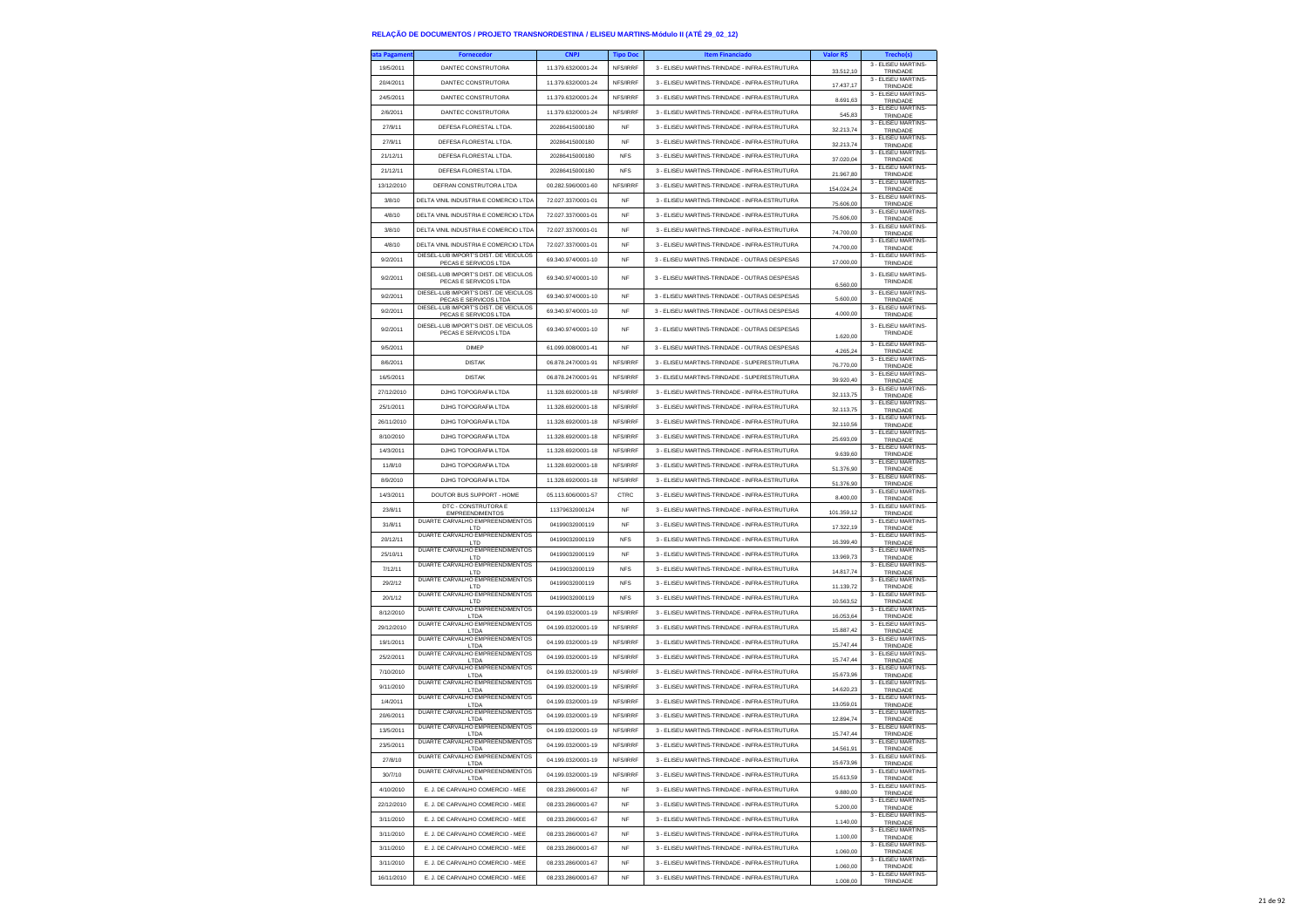| ta Pagament | <b>Fornecedor</b>                                                              | <b>CNPJ</b>        | <b>Tipo Doc</b> | <b>Item Financiado</b>                        | Valor R\$  | <b>Trechols</b>                        |
|-------------|--------------------------------------------------------------------------------|--------------------|-----------------|-----------------------------------------------|------------|----------------------------------------|
| 19/5/2011   | DANTEC CONSTRUTORA                                                             | 11.379.632/0001-24 | NFS/IRRF        | 3 - ELISEU MARTINS-TRINDADE - INFRA-ESTRUTURA | 33.512,10  | 3 - ELISEU MARTINS-<br>TRINDADE        |
| 20/4/2011   | DANTEC CONSTRUTORA                                                             | 11.379.632/0001-24 | NFS/IRRF        | 3 - ELISEU MARTINS-TRINDADE - INFRA-ESTRUTURA | 17.437.17  | 3 - FLISEU MARTINS-<br>TRINDADE        |
| 24/5/2011   | DANTEC CONSTRUTORA                                                             | 11.379.632/0001-24 | NFS/IRRF        | 3 - ELISEU MARTINS-TRINDADE - INFRA-ESTRUTURA |            | 3 - ELISEU MARTINS-                    |
| 2/6/2011    | DANTEC CONSTRUTORA                                                             | 11.379.632/0001-24 | NFS/IRRF        | 3 - ELISEU MARTINS-TRINDADE - INFRA-ESTRUTURA | 8.691,63   | TRINDADE<br>3 - ELISEU MARTINS-        |
| 27/9/11     |                                                                                | 20286415000180     | <b>NF</b>       |                                               | 545,83     | TRINDADE<br>3 - ELISEU MARTINS         |
|             | DEFESA FLORESTAL LTDA.                                                         |                    |                 | 3 - ELISEU MARTINS-TRINDADE - INFRA-ESTRUTURA | 32.213.74  | TRINDADE<br>3 - ELISEU MARTINS-        |
| 27/9/11     | DEFESA FLORESTAL LTDA                                                          | 20286415000180     | <b>NF</b>       | 3 - ELISEU MARTINS-TRINDADE - INFRA-ESTRUTURA | 32.213,74  | TRINDADE<br>3 - ELISEU MARTINS-        |
| 21/12/11    | DEFESA FLORESTAL LTDA                                                          | 20286415000180     | <b>NFS</b>      | 3 - ELISEU MARTINS-TRINDADE - INFRA-ESTRUTURA | 37.020,04  | TRINDADE                               |
| 21/12/11    | DEFESA FLORESTAL LTDA.                                                         | 20286415000180     | <b>NFS</b>      | 3 - ELISEU MARTINS-TRINDADE - INFRA-ESTRUTURA | 21.967.80  | 3 - ELISEU MARTINS-<br>TRINDADE        |
| 13/12/2010  | DEFRAN CONSTRUTORA LTDA                                                        | 00.282.596/0001-60 | NFS/IRRF        | 3 - ELISEU MARTINS-TRINDADE - INFRA-ESTRUTURA | 154.024,24 | 3 - ELISEU MARTINS-<br>TRINDADE        |
| 3/8/10      | DELTA VINIL INDUSTRIA E COMERCIO LTDA                                          | 72.027.337/0001-01 | <b>NF</b>       | 3 - ELISEU MARTINS-TRINDADE - INFRA-ESTRUTURA | 75.606,00  | 3 - ELISEU MARTINS<br>TRINDADE         |
| 4/8/10      | DELTA VINIL INDUSTRIA E COMERCIO LTDA                                          | 72.027.337/0001-01 | <b>NF</b>       | 3 - ELISEU MARTINS-TRINDADE - INFRA-ESTRUTURA |            | 3 - ELISEU MARTINS-<br>TRINDADE        |
| 3/8/10      | DELTA VINIL INDUSTRIA E COMERCIO LTDA                                          | 72.027.337/0001-01 | <b>NF</b>       | 3 - ELISEU MARTINS-TRINDADE - INFRA-ESTRUTURA | 75,606.00  | 3 - FLISEU MARTINS-                    |
|             |                                                                                | 72 027 337/0001-01 | <b>NF</b>       |                                               | 74.700,00  | TRINDADE<br>3 - ELISEU MARTINS-        |
| 4/8/10      | DELTA VINIL INDUSTRIA E COMERCIO LTDA<br>DIESEL-LUB IMPORT'S DIST. DE VEICULOS |                    |                 | 3 - ELISEU MARTINS-TRINDADE - INFRA-ESTRUTURA | 74.700,00  | TRINDADE<br>3 - FLISEU MARTINS-        |
| 9/2/2011    | PECAS E SERVICOS LTDA                                                          | 69.340.974/0001-10 | NF              | 3 - ELISEU MARTINS-TRINDADE - OUTRAS DESPESAS | 17.000,00  | TRINDADE                               |
| 9/2/2011    | DIESEL-LUB IMPORT'S DIST. DE VEICULOS<br>PECAS E SERVICOS LTDA                 | 69.340.974/0001-10 | NF              | 3 - ELISEU MARTINS-TRINDADE - OUTRAS DESPESAS | 6.560,00   | 3 - FLISEU MARTINS-<br>TRINDADE        |
| 9/2/2011    | DIESEL-LUB IMPORT'S DIST. DE VEICULOS<br>PECAS E SERVICOS LTDA                 | 69.340.974/0001-10 | NF              | 3 - ELISEU MARTINS-TRINDADE - OUTRAS DESPESAS | 5.600,00   | 3 - ELISEU MARTINS-<br>TRINDADE        |
| 9/2/2011    | DIESEL-LUB IMPORT'S DIST. DE VEICULOS<br>PECAS E SERVICOS LTDA                 | 69.340.974/0001-10 | <b>NF</b>       | 3 - ELISEU MARTINS-TRINDADE - OUTRAS DESPESAS | 4.000.00   | 3 - ELISEU MARTINS-<br>TRINDADE        |
|             | DIESEL-LUB IMPORT'S DIST. DE VEICULOS                                          |                    |                 |                                               |            | 3 - ELISEU MARTINS-                    |
| 9/2/2011    | PECAS E SERVICOS LTDA                                                          | 69.340.974/0001-10 | <b>NF</b>       | 3 - ELISEU MARTINS-TRINDADE - OUTRAS DESPESAS | 1.620,00   | TRINDADE                               |
| 9/5/2011    | <b>DIMEP</b>                                                                   | 61.099.008/0001-41 | NF              | 3 - ELISEU MARTINS-TRINDADE - OUTRAS DESPESAS | 4.265.24   | 3 - ELISEU MARTINS-<br>TRINDADE        |
| 8/6/2011    | <b>DISTAK</b>                                                                  | 06.878.247/0001-91 | NFS/IRRF        | 3 - ELISEU MARTINS-TRINDADE - SUPERESTRUTURA  | 76,770.00  | 3 - FLISEU MARTINS-<br>TRINDADE        |
| 16/5/2011   | <b>DISTAK</b>                                                                  | 06 878 247/0001-91 | NFS/IRRF        | 3 - ELISEU MARTINS-TRINDADE - SUPERESTRUTURA  | 39.920,40  | 3 - ELISEU MARTINS-<br>TRINDADE        |
| 27/12/2010  | DJHG TOPOGRAFIA LTDA                                                           | 11.328.692/0001-18 | NFS/IRRF        | 3 - ELISEU MARTINS-TRINDADE - INFRA-ESTRUTURA |            | 3 - ELISEU MARTINS-                    |
| 25/1/2011   | DJHG TOPOGRAFIA LTDA                                                           | 11.328.692/0001-18 | NES/IRRE        | 3 - ELISEU MARTINS-TRINDADE - INFRA-ESTRUTURA | 32.113,75  | TRINDADE<br>3 - FLISEU MARTINS-        |
|             |                                                                                |                    |                 |                                               | 32.113,75  | TRINDADE<br>3 - ELISEU MARTINS-        |
| 26/11/2010  | DJHG TOPOGRAFIA LTDA                                                           | 11 328 692/0001-18 | NFS/IRRF        | 3 - ELISEU MARTINS-TRINDADE - INFRA-ESTRUTURA | 32.110,56  | TRINDADE<br>3 - FLISEU MARTINS-        |
| 8/10/2010   | DJHG TOPOGRAFIA LTDA                                                           | 11.328.692/0001-18 | NFS/IRRF        | 3 - ELISEU MARTINS-TRINDADE - INFRA-ESTRUTURA | 25.693,09  | TRINDADE<br>3 - FLISEU MARTINS-        |
| 14/3/2011   | DJHG TOPOGRAFIA LTDA                                                           | 11.328.692/0001-18 | NFS/IRRF        | 3 - ELISEU MARTINS-TRINDADE - INFRA-ESTRUTURA | 9.639,60   | TRINDADE                               |
| 11/8/10     | DJHG TOPOGRAFIA LTDA                                                           | 11.328.692/0001-18 | NFS/IRRF        | 3 - ELISEU MARTINS-TRINDADE - INFRA-ESTRUTURA | 51.376,90  | 3 - ELISEU MARTINS-<br>TRINDADE        |
| 8/9/2010    | DJHG TOPOGRAFIA LTDA                                                           | 11.328.692/0001-18 | NFS/IRRF        | 3 - ELISEU MARTINS-TRINDADE - INFRA-ESTRUTURA | 51.376,90  | 3 - ELISEU MARTINS-<br>TRINDADE        |
| 14/3/2011   | DOUTOR BUS SUPPORT - HOME                                                      | 05.113.606/0001-57 | CTRC            | 3 - ELISEU MARTINS-TRINDADE - INFRA-ESTRUTURA | 8,400.00   | 3 - ELISEU MARTINS-<br>TRINDADE        |
| 23/8/11     | DTC - CONSTRUTORA E                                                            | 11379632000124     | <b>NF</b>       | 3 - ELISEU MARTINS-TRINDADE - INFRA-ESTRUTURA |            | 3 - ELISEU MARTINS-                    |
| 31/8/11     | <b>EMPREENDIMENTOS</b><br>DUARTE CARVALHO EMPREENDIMENTOS                      | 04199032000119     | NF              | 3 - ELISEU MARTINS-TRINDADE - INFRA-ESTRUTURA | 101.359,12 | TRINDADE<br>3 - ELISEU MARTINS-        |
|             | <b>LTD</b><br>DUARTE CARVALHO EMPREENDIMENTOS                                  |                    |                 |                                               | 17.322,19  | TRINDADE<br>3 - ELISEU MARTINS-        |
| 20/12/11    | <b>LTD</b><br>DUARTE CARVALHO EMPREENDIMENTOS                                  | 04199032000119     | <b>NFS</b>      | 3 - ELISEU MARTINS-TRINDADE - INFRA-ESTRUTURA | 16,399.40  | TRINDADE<br>3 - ELISEU MARTINS-        |
| 25/10/11    | LTD                                                                            | 04199032000119     | <b>NF</b>       | 3 - ELISEU MARTINS-TRINDADE - INFRA-ESTRUTURA | 13.969,73  | TRINDADE                               |
| 7/12/11     | DUARTE CARVALHO EMPREENDIMENTOS<br>LTD                                         | 04199032000119     | <b>NFS</b>      | 3 - ELISEU MARTINS-TRINDADE - INFRA-ESTRUTURA | 14.817,74  | 3 - ELISEU MARTINS-<br>TRINDADE        |
| 29/2/12     | DUARTE CARVALHO EMPREENDIMENTOS<br><b>ITD</b>                                  | 04199032000119     | <b>NFS</b>      | 3 - ELISEU MARTINS-TRINDADE - INFRA-ESTRUTURA | 11.139,72  | 3 - ELISEU MARTINS<br>TRINDADE         |
| 20/1/12     | DUARTE CARVALHO EMPREENDIMENTOS<br>LTD                                         | 04199032000119     | <b>NFS</b>      | 3 - ELISEU MARTINS-TRINDADE - INFRA-ESTRUTURA | 10.563,52  | 3 - ELISEU MARTINS-<br>TRINDADE        |
| 8/12/2010   | DUARTE CARVALHO EMPREENDIMENTOS<br>LTDA                                        | 04.199.032/0001-19 | NFS/IRRF        | 3 - ELISEU MARTINS-TRINDADE - INFRA-ESTRUTURA | 16.053,64  | 3 - ELISEU MARTINS-<br>TRINDADE        |
| 29/12/2010  | DUARTE CARVALHO EMPREENDIMENTOS                                                | 04.199.032/0001-19 | NFS/IRRF        | 3 - ELISEU MARTINS-TRINDADE - INFRA-ESTRUTURA |            | 3 - ELISEU MARTINS-                    |
| 19/1/2011   | LTDA<br>DUARTE CARVALHO EMPREENDIMENTOS                                        | 04.199.032/0001-19 | NFS/IRRF        | 3 - ELISEU MARTINS-TRINDADE - INFRA-ESTRUTURA | 15.887.42  | TRINDADE<br>3 - ELISEU MARTINS-        |
|             | LTDA<br>DUARTE CARVALHO EMPREENDIMENTOS                                        | 04 199 032/0001-19 |                 |                                               | 15.747,44  | TRINDADE<br>3 - FLISEU MARTINS         |
| 25/2/2011   | LTDA<br>DUARTE CARVALHO EMPREENDIMENTOS                                        |                    | NFS/IRRF        | 3 - ELISEU MARTINS-TRINDADE - INFRA-ESTRUTURA | 15.747,44  | TRINDADE<br>3 - ELISEU MARTINS-        |
| 7/10/2010   | LTDA                                                                           | 04.199.032/0001-19 | NFS/IRRF        | 3 - ELISEU MARTINS-TRINDADE - INFRA-ESTRUTURA | 15.673.96  | TRINDADE<br>3 - ELISEU MARTINS-        |
| 9/11/2010   | DUARTE CARVALHO EMPREENDIMENTOS<br>LTDA                                        | 04 199 032/0001-19 | NFS/IRRF        | 3 - ELISEU MARTINS-TRINDADE - INFRA-ESTRUTURA | 14.620,23  | TRINDADE                               |
| 1/4/2011    | DUARTE CARVALHO EMPREENDIMENTOS<br>LTDA                                        | 04.199.032/0001-19 | NFS/IRRF        | 3 - ELISEU MARTINS-TRINDADE - INFRA-ESTRUTURA | 13.059,01  | 3 - ELISEU MARTINS-<br>TRINDADE        |
| 20/6/2011   | DUARTE CARVALHO EMPREENDIMENTOS<br>I TDA                                       | 04.199.032/0001-19 | NFS/IRRF        | 3 - ELISEU MARTINS-TRINDADE - INFRA-ESTRUTURA | 12.894.74  | 3 - FLISEU MARTINS-<br>TRINDADE        |
| 13/5/2011   | DUARTE CARVALHO EMPREENDIMENTOS<br>LTDA                                        | 04.199.032/0001-19 | NFS/IRRF        | 3 - FLISELLMARTINS-TRINDADE - INFRA-ESTRUTURA | 15.747,44  | 3 - ELISEU MARTINS-<br>TRINDADE        |
| 23/5/2011   | DUARTE CARVALHO EMPREENDIMENTOS                                                | 04.199.032/0001-19 | NES/IRRE        | 3 - ELISEU MARTINS-TRINDADE - INFRA-ESTRUTURA |            | 3 - ELISEU MARTINS-                    |
| 27/8/10     | DUARTE CARVALHO EMPREENDIMENTOS                                                | 04.199.032/0001-19 | NFS/IRRF        | 3 - ELISEU MARTINS-TRINDADE - INFRA-ESTRUTURA | 14.561,91  | <b>I RINDAL</b><br>3 - ELISEU MARTINS- |
|             | LTDA<br>DUARTE CARVALHO EMPREENDIMENTOS                                        |                    |                 |                                               | 15.673.96  | TRINDADE<br>3 - ELISEU MARTINS-        |
| 30/7/10     | LTDA                                                                           | 04 199 032/0001-19 | NFS/IRRF        | 3 - ELISEU MARTINS-TRINDADE - INFRA-ESTRUTURA | 15.613,59  | TRINDADE<br>3 - ELISEU MARTINS-        |
| 4/10/2010   | E. J. DE CARVALHO COMERCIO - MEE                                               | 08.233.286/0001-67 | <b>NF</b>       | 3 - ELISEU MARTINS-TRINDADE - INFRA-ESTRUTURA | 9.880,00   | TRINDADE                               |
| 22/12/2010  | E. J. DE CARVALHO COMERCIO - MEE                                               | 08.233.286/0001-67 | NF              | 3 - ELISEU MARTINS-TRINDADE - INFRA-ESTRUTURA | 5.200,00   | 3 - FLISEU MARTINS-<br>TRINDADE        |
| 3/11/2010   | E. J. DE CARVALHO COMERCIO - MEE                                               | 08.233.286/0001-67 | NF              | 3 - ELISEU MARTINS-TRINDADE - INFRA-ESTRUTURA | 1.140,00   | 3 - FLISEU MARTINS-<br>TRINDADE        |
| 3/11/2010   | E. J. DE CARVALHO COMERCIO - MEE                                               | 08.233.286/0001-67 | NF              | 3 - ELISEU MARTINS-TRINDADE - INFRA-ESTRUTURA | 1.100,00   | 3 - ELISEU MARTINS-<br>TRINDADE        |
| 3/11/2010   | E. J. DE CARVALHO COMERCIO - MEE                                               | 08.233.286/0001-67 | NF              | 3 - ELISEU MARTINS-TRINDADE - INFRA-ESTRUTURA |            | 3 - ELISEU MARTINS-                    |
| 3/11/2010   | E. J. DE CARVALHO COMERCIO - MEE                                               | 08.233.286/0001-67 | NF              | 3 - ELISEU MARTINS-TRINDADE - INFRA-ESTRUTURA | 1.060,00   | TRINDADE<br>3 - FLISEU MARTINS-        |
|             |                                                                                |                    |                 |                                               | 1.060,00   | TRINDADE<br>3 - ELISEU MARTINS-        |
| 16/11/2010  | E. J. DE CARVALHO COMERCIO - MEE                                               | 08.233.286/0001-67 | <b>NF</b>       | 3 - ELISEU MARTINS-TRINDADE - INFRA-ESTRUTURA | 1.008,00   | TRINDADE                               |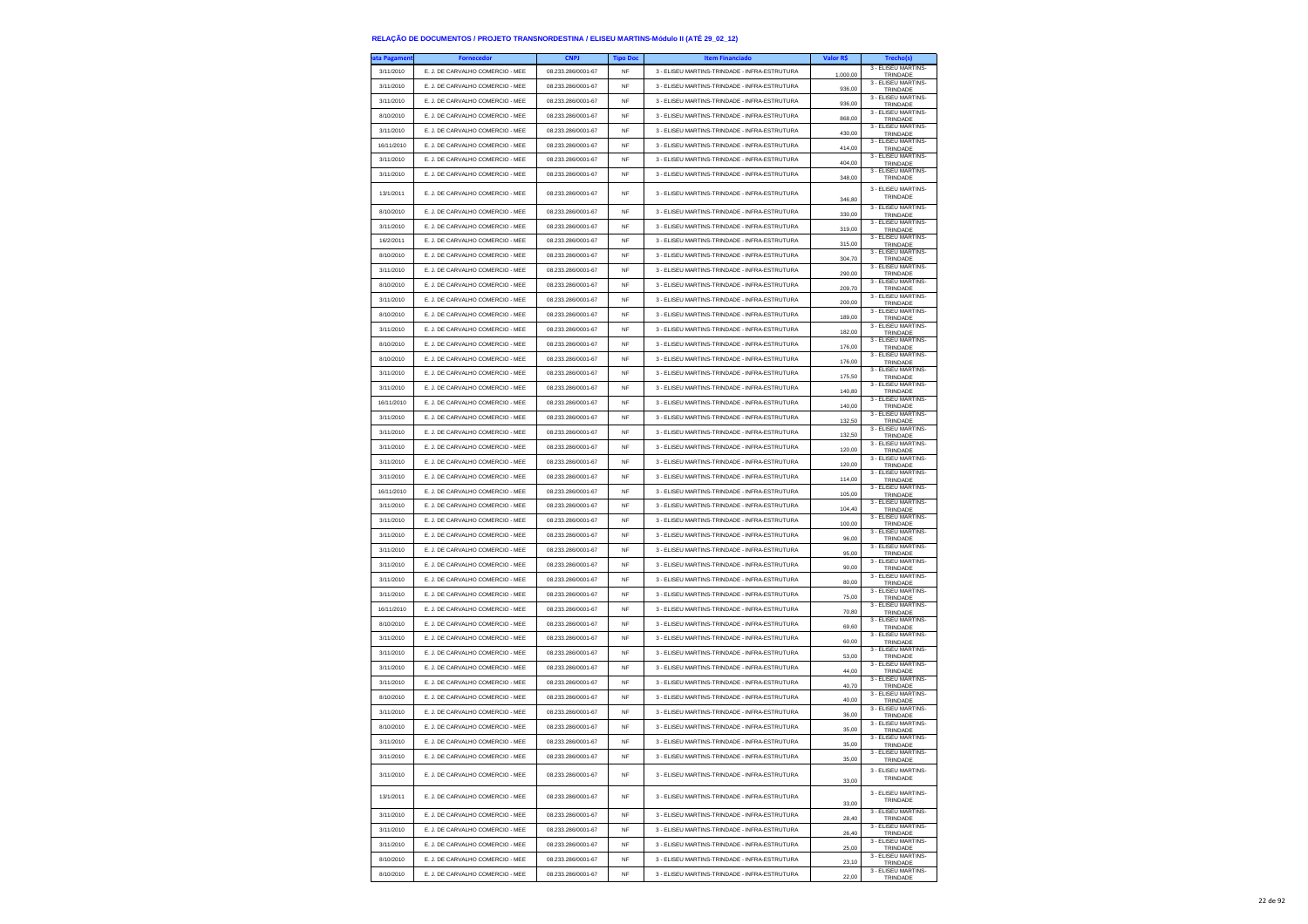| ata Pagamen <sup>.</sup> | <b>Fornecedor</b>                | <b>CNPJ</b>        | <b>Tipo Doc</b> | <b>Item Financiado</b>                        | Valor R\$ | Trecho(s)                       |
|--------------------------|----------------------------------|--------------------|-----------------|-----------------------------------------------|-----------|---------------------------------|
| 3/11/2010                | E. J. DE CARVALHO COMERCIO - MEE | 08.233.286/0001-67 | <b>NF</b>       | 3 - ELISEU MARTINS-TRINDADE - INFRA-ESTRUTURA | 1.000,00  | 3 - ELISEU MARTINS-<br>TRINDADE |
| 3/11/2010                | E. J. DE CARVALHO COMERCIO - MEE | 08.233.286/0001-67 | <b>NF</b>       | 3 - ELISEU MARTINS-TRINDADE - INFRA-ESTRUTURA | 936,00    | 3 - ELISEU MARTINS-<br>TRINDADE |
| 3/11/2010                | E. J. DE CARVALHO COMERCIO - MEE | 08.233.286/0001-67 | NF              | 3 - ELISEU MARTINS-TRINDADE - INFRA-ESTRUTURA | 936,00    | 3 - ELISEU MARTINS<br>TRINDADE  |
| 8/10/2010                | E. J. DE CARVALHO COMERCIO - MEE | 08.233.286/0001-67 | <b>NF</b>       | 3 - ELISEU MARTINS-TRINDADE - INFRA-ESTRUTURA |           | 3 - ELISEU MARTINS-             |
| 3/11/2010                | E. J. DE CARVALHO COMERCIO - MEE | 08.233.286/0001-67 | <b>NF</b>       | 3 - ELISEU MARTINS-TRINDADE - INFRA-ESTRUTURA | 868,00    | TRINDADE<br>3 - ELISEU MARTINS- |
|                          |                                  |                    |                 |                                               | 430,00    | TRINDADE<br>3 - ELISEU MARTINS- |
| 16/11/2010               | E. J. DE CARVALHO COMERCIO - MEE | 08.233.286/0001-67 | NF              | 3 - ELISEU MARTINS-TRINDADE - INFRA-ESTRUTURA | 414,00    | TRINDADE<br>3 - ELISEU MARTINS- |
| 3/11/2010                | E. J. DE CARVALHO COMERCIO - MEE | 08.233.286/0001-67 | <b>NF</b>       | 3 - ELISEU MARTINS-TRINDADE - INFRA-ESTRUTURA | 404,00    | TRINDADE<br>3 - ELISEU MARTINS- |
| 3/11/2010                | E. J. DE CARVALHO COMERCIO - MEE | 08.233.286/0001-67 | <b>NF</b>       | 3 - ELISEU MARTINS-TRINDADE - INFRA-ESTRUTURA | 348,00    | TRINDADE                        |
| 13/1/2011                | E. J. DE CARVALHO COMERCIO - MEE | 08.233.286/0001-67 | <b>NF</b>       | 3 - ELISEU MARTINS-TRINDADE - INFRA-ESTRUTURA | 346,80    | 3 - ELISEU MARTINS-<br>TRINDADE |
| 8/10/2010                | E. J. DE CARVALHO COMERCIO - MEE | 08.233.286/0001-67 | <b>NF</b>       | 3 - FLISELLMARTINS-TRINDADE - INFRA-ESTRUTURA | 330,00    | 3 - ELISEU MARTINS-<br>TRINDADE |
| 3/11/2010                | E. J. DE CARVALHO COMERCIO - MEE | 08.233.286/0001-67 | <b>NF</b>       | 3 - ELISEU MARTINS-TRINDADE - INFRA-ESTRUTURA | 319,00    | 3 - ELISEU MARTINS-<br>TRINDADE |
| 16/2/2011                | E. J. DE CARVALHO COMERCIO - MEE | 08.233.286/0001-67 | <b>NF</b>       | 3 - ELISEU MARTINS-TRINDADE - INFRA-ESTRUTURA | 315.00    | 3 - FLISEU MARTINS-<br>TRINDADE |
| 8/10/2010                | E. J. DE CARVALHO COMERCIO - MEE | 08.233.286/0001-67 | <b>NF</b>       | 3 - ELISEU MARTINS-TRINDADE - INFRA-ESTRUTURA | 304,70    | 3 - ELISEU MARTINS-             |
| 3/11/2010                | E. J. DE CARVALHO COMERCIO - MEE | 08.233.286/0001-67 | <b>NF</b>       | 3 - FLISELLMARTINS-TRINDADE - INFRA-ESTRUTURA |           | TRINDADE<br>3 - ELISEU MARTINS- |
| 8/10/2010                | E. J. DE CARVALHO COMERCIO - MEE | 08.233.286/0001-67 | <b>NF</b>       | 3 - ELISEU MARTINS-TRINDADE - INFRA-ESTRUTURA | 290,00    | TRINDADE<br>3 - ELISEU MARTINS- |
|                          |                                  |                    |                 |                                               | 209,70    | TRINDADE<br>3 - ELISEU MARTINS- |
| 3/11/2010                | E. J. DE CARVALHO COMERCIO - MEE | 08.233.286/0001-67 | <b>NF</b>       | 3 - ELISEU MARTINS-TRINDADE - INFRA-ESTRUTURA | 200,00    | TRINDADE<br>3 - ELISEU MARTINS- |
| 8/10/2010                | E. J. DE CARVALHO COMERCIO - MEE | 08.233.286/0001-67 | <b>NF</b>       | 3 - ELISEU MARTINS-TRINDADE - INFRA-ESTRUTURA | 189,00    | TRINDADE<br>3 - ELISEU MARTINS- |
| 3/11/2010                | E. J. DE CARVALHO COMERCIO - MEE | 08.233.286/0001-67 | NF              | 3 - ELISEU MARTINS-TRINDADE - INFRA-ESTRUTURA | 182.00    | TRINDADE                        |
| 8/10/2010                | E. J. DE CARVALHO COMERCIO - MEE | 08.233.286/0001-67 | <b>NF</b>       | 3 - ELISEU MARTINS-TRINDADE - INFRA-ESTRUTURA | 176,00    | 3 - ELISEU MARTINS<br>TRINDADE  |
| 8/10/2010                | E. J. DE CARVALHO COMERCIO - MEE | 08.233.286/0001-67 | <b>NF</b>       | 3 - ELISEU MARTINS-TRINDADE - INFRA-ESTRUTURA | 176,00    | 3 - ELISEU MARTINS-<br>TRINDADE |
| 3/11/2010                | E. J. DE CARVALHO COMERCIO - MEE | 08.233.286/0001-67 | NF              | 3 - ELISEU MARTINS-TRINDADE - INFRA-ESTRUTURA | 175,50    | 3 - ELISEU MARTINS-<br>TRINDADE |
| 3/11/2010                | E JI DE CARVALHO COMERCIO - MEE  | 08.233.286/0001-67 | <b>NF</b>       | 3 - ELISEU MARTINS-TRINDADE - INFRA-ESTRUTURA | 140,80    | 3 - ELISEU MARTINS-<br>TRINDADE |
| 16/11/2010               | E. J. DE CARVALHO COMERCIO - MEE | 08 233 286/0001-67 | <b>NF</b>       | 3 - ELISEU MARTINS-TRINDADE - INFRA-ESTRUTURA | 140,00    | 3 - ELISEU MARTINS-<br>TRINDADE |
| 3/11/2010                | E. J. DE CARVALHO COMERCIO - MEE | 08.233.286/0001-67 | NF              | 3 - ELISEU MARTINS-TRINDADE - INFRA-ESTRUTURA |           | 3 - ELISEU MARTINS              |
| 3/11/2010                | E. J. DE CARVALHO COMERCIO - MEE | 08.233.286/0001-67 | <b>NF</b>       | 3 - ELISEU MARTINS-TRINDADE - INFRA-ESTRUTURA | 132,50    | TRINDADE<br>3 - ELISEU MARTINS  |
| 3/11/2010                | E. J. DE CARVALHO COMERCIO - MEE | 08.233.286/0001-67 | <b>NF</b>       | 3 - ELISEU MARTINS-TRINDADE - INFRA-ESTRUTURA | 132,50    | TRINDADE<br>3 - ELISEU MARTINS- |
| 3/11/2010                |                                  |                    |                 |                                               | 120,00    | TRINDADE<br>3 - ELISEU MARTINS- |
|                          | E. J. DE CARVALHO COMERCIO - MEE | 08.233.286/0001-67 | NF              | 3 - ELISEU MARTINS-TRINDADE - INFRA-ESTRUTURA | 120,00    | TRINDADE<br>3 - ELISEU MARTINS- |
| 3/11/2010                | E. J. DE CARVALHO COMERCIO - MEE | 08 233 286/0001-67 | <b>NF</b>       | 3 - ELISEU MARTINS-TRINDADE - INFRA-ESTRUTURA | 114,00    | TRINDADE<br>3 - ELISEU MARTINS- |
| 16/11/2010               | E JI DE CARVALHO COMERCIO - MEE  | 08.233.286/0001-67 | <b>NF</b>       | 3 - ELISEU MARTINS-TRINDADE - INFRA-ESTRUTURA | 105,00    | TRINDADE<br>3 - ELISEU MARTINS- |
| 3/11/2010                | E. J. DE CARVALHO COMERCIO - MEE | 08.233.286/0001-67 | NF              | 3 - ELISEU MARTINS-TRINDADE - INFRA-ESTRUTURA | 104,40    | TRINDADE                        |
| 3/11/2010                | E. J. DE CARVALHO COMERCIO - MEE | 08.233.286/0001-67 | <b>NF</b>       | 3 - ELISEU MARTINS-TRINDADE - INFRA-ESTRUTURA | 100,00    | 3 - ELISEU MARTINS-<br>TRINDADE |
| 3/11/2010                | E. J. DE CARVALHO COMERCIO - MEE | 08.233.286/0001-67 | <b>NF</b>       | 3 - ELISEU MARTINS-TRINDADE - INFRA-ESTRUTURA | 96,00     | 3 - ELISEU MARTINS-<br>TRINDADE |
| 3/11/2010                | E. J. DE CARVALHO COMERCIO - MEE | 08.233.286/0001-67 | NF              | 3 - ELISEU MARTINS-TRINDADE - INFRA-ESTRUTURA | 95,00     | 3 - ELISEU MARTINS-<br>TRINDADE |
| 3/11/2010                | E. J. DE CARVALHO COMERCIO - MEE | 08.233.286/0001-67 | <b>NF</b>       | 3 - ELISEU MARTINS-TRINDADE - INFRA-ESTRUTURA | 90.00     | 3 - ELISEU MARTINS-<br>TRINDADE |
| 3/11/2010                | E. J. DE CARVALHO COMERCIO - MEE | 08.233.286/0001-67 | <b>NF</b>       | 3 - ELISEU MARTINS-TRINDADE - INFRA-ESTRUTURA | 80,00     | 3 - ELISEU MARTINS-<br>TRINDADE |
| 3/11/2010                | E. J. DE CARVALHO COMERCIO - MEE | 08.233.286/0001-67 | NF              | 3 - ELISEU MARTINS-TRINDADE - INFRA-ESTRUTURA | 75,00     | 3 - ELISEU MARTINS-<br>TRINDADE |
| 16/11/2010               | E. J. DE CARVALHO COMERCIO - MEE | 08.233.286/0001-67 | <b>NF</b>       | 3 - ELISEU MARTINS-TRINDADE - INFRA-ESTRUTURA | 70.80     | 3 - ELISEU MARTINS-             |
| 8/10/2010                | E. J. DE CARVALHO COMERCIO - MEE | 08.233.286/0001-67 | <b>NF</b>       | 3 - ELISEU MARTINS-TRINDADE - INFRA-ESTRUTURA |           | TRINDADE<br>3 - ELISEU MARTINS- |
| 3/11/2010                | E. J. DE CARVALHO COMERCIO - MEE | 08.233.286/0001-67 | <b>NF</b>       | 3 - ELISEU MARTINS-TRINDADE - INFRA-ESTRUTURA | 69,60     | TRINDADE<br>3 - ELISEU MARTINS- |
| 3/11/2010                | E. J. DE CARVALHO COMERCIO - MEE | 08.233.286/0001-67 | <b>NF</b>       | 3 - ELISEU MARTINS-TRINDADE - INFRA-ESTRUTURA | 60,00     | TRINDADE<br>3 - ELISEU MARTINS- |
|                          |                                  |                    |                 |                                               | 53,00     | TRINDADE<br>3 - ELISEU MARTINS- |
| 3/11/2010                | E. J. DE CARVALHO COMERCIO - MEE | 08.233.286/0001-67 | <b>NF</b>       | 3 - ELISEU MARTINS-TRINDADE - INFRA-ESTRUTURA | 44,00     | TRINDADE<br>3 - ELISEU MARTINS- |
| 3/11/2010                | E. J. DE CARVALHO COMERCIO - MEE | 08.233.286/0001-67 | <b>NF</b>       | 3 - ELISEU MARTINS-TRINDADE - INFRA-ESTRUTURA | 40,70     | TRINDADE<br>3 - ELISEU MARTINS  |
| 8/10/2010                | E. J. DE CARVALHO COMERCIO - MEE | 08.233.286/0001-67 | <b>NF</b>       | 3 - ELISEU MARTINS-TRINDADE - INFRA-ESTRUTURA | 40.00     | TRINDADE<br>3 - ELISEU MARTINS- |
| 3/11/2010                | E J. DE CARVALHO COMERCIO - MEE  | 08.233.286/0001-67 | <b>NF</b>       | 3 - ELISEU MARTINS-TRINDADE - INFRA-ESTRUTURA | 36,00     | TRINDADE                        |
| 8/10/2010                | E. J. DE CARVALHO COMERCIO - MEE | 08.233.286/0001-67 | <b>NF</b>       | 3 - ELISEU MARTINS-TRINDADE - INFRA-ESTRUTURA | 35,00     | 3 - ELISEU MARTINS-<br>TRINDADE |
| 3/11/2010                | E. J. DE CARVALHO COMERCIO - MEE | 08.233.286/0001-67 | NF              | 3 - ELISEU MARTINS-TRINDADE - INFRA-ESTRUTURA | 35.00     | 3 - FLISEU MARTINS-<br>TRINDADE |
| 3/11/2010                | F. J. DE CARVALHO COMERCIO - MEE | 08.233.286/0001-67 | NF              | 3 - ELISEU MARTINS-TRINDADE - INFRA-ESTRUTURA | 35,00     | 3 - ELISEU MARTINS-<br>TRINDADE |
| 3/11/2010                | E. J. DE CARVALHO COMERCIO - MEE | 08.233.286/0001-67 | NF              | 3 - ELISEU MARTINS-TRINDADE - INFRA-ESTRUTURA | 33,00     | 3 - FLISEU MARTINS-<br>TRINDADE |
| 13/1/2011                | E. J. DE CARVALHO COMERCIO - MEE | 08.233.286/0001-67 | <b>NF</b>       | 3 - ELISEU MARTINS-TRINDADE - INFRA-ESTRUTURA | 33,00     | 3 - ELISEU MARTINS-<br>TRINDADE |
| 3/11/2010                | E. J. DE CARVALHO COMERCIO - MEE | 08.233.286/0001-67 | <b>NF</b>       | 3 - ELISEU MARTINS-TRINDADE - INFRA-ESTRUTURA | 28,40     | 3 - ELISEU MARTINS-<br>TRINDADE |
| 3/11/2010                | E. J. DE CARVALHO COMERCIO - MEE | 08.233.286/0001-67 | NF              | 3 - ELISEU MARTINS-TRINDADE - INFRA-ESTRUTURA | 26.40     | 3 - ELISEU MARTINS-<br>TRINDADE |
| 3/11/2010                | E. J. DE CARVALHO COMERCIO - MEE | 08.233.286/0001-67 | <b>NF</b>       | 3 - ELISEU MARTINS-TRINDADE - INFRA-ESTRUTURA |           | 3 - FLISEU MARTINS-             |
| 8/10/2010                | E. J. DE CARVALHO COMERCIO - MEE | 08.233.286/0001-67 | <b>NF</b>       | 3 - ELISEU MARTINS-TRINDADE - INFRA-ESTRUTURA | 25,00     | TRINDADE<br>3 - ELISEU MARTINS- |
| 8/10/2010                | E. J. DE CARVALHO COMERCIO - MEE | 08.233.286/0001-67 | NF              | 3 - ELISEU MARTINS-TRINDADE - INFRA-ESTRUTURA | 23,10     | TRINDADE<br>3 - ELISEU MARTINS  |
|                          |                                  |                    |                 |                                               | 22,00     | TRINDADE                        |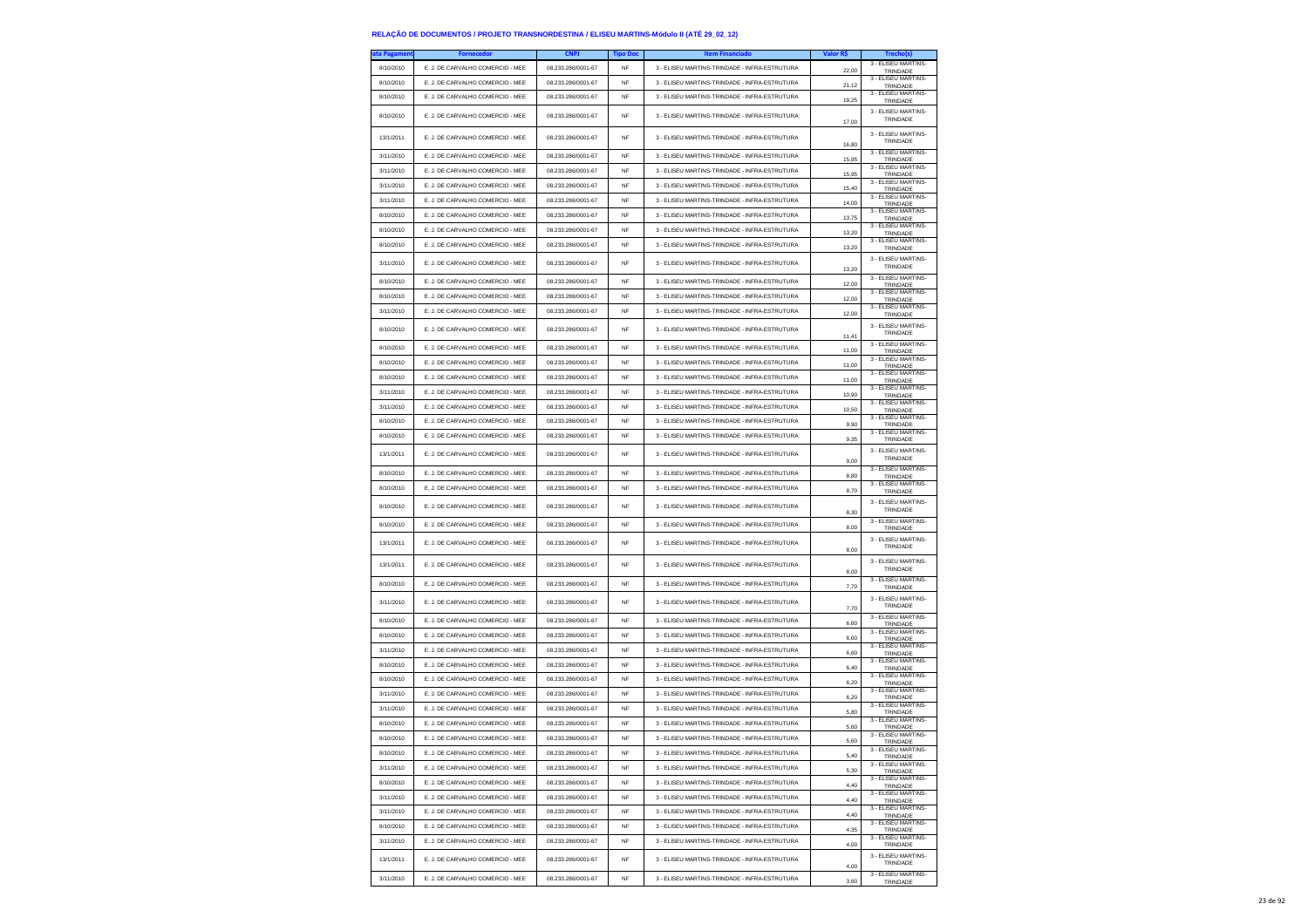| ita Pagamen | <b>Fornecedor</b>                | <b>CNPJ</b>        | <b>Tipo Doc</b> | <b>Item Financiado</b>                        | Valor R\$ | Trecho(s)                              |
|-------------|----------------------------------|--------------------|-----------------|-----------------------------------------------|-----------|----------------------------------------|
| 8/10/2010   | E. J. DE CARVALHO COMERCIO - MEE | 08.233.286/0001-67 | <b>NF</b>       | 3 - ELISEU MARTINS-TRINDADE - INFRA-ESTRUTURA | 22,00     | 3 - ELISEU MARTINS-<br>TRINDADE        |
| 8/10/2010   | E. J. DE CARVALHO COMERCIO - MEE | 08.233.286/0001-67 | NF              | 3 - ELISEU MARTINS-TRINDADE - INFRA-ESTRUTURA |           | 3 - ELISEU MARTINS                     |
|             | E. J. DE CARVALHO COMERCIO - MEE | 08 233 286/0001-67 |                 | 3 - ELISEU MARTINS-TRINDADE - INFRA-ESTRUTURA | 21,12     | TRINDADE<br>3 - ELISEU MARTINS-        |
| 8/10/2010   |                                  |                    | <b>NF</b>       |                                               | 19,25     | <b>TRINDADE</b>                        |
| 8/10/2010   | E. J. DE CARVALHO COMERCIO - MEE | 08.233.286/0001-67 | <b>NF</b>       | 3 - ELISEU MARTINS-TRINDADE - INFRA-ESTRUTURA | 17,00     | 3 - ELISEU MARTINS-<br>TRINDADE        |
|             |                                  | 08 233 286/0001-67 |                 |                                               |           | 3 - ELISEU MARTINS-                    |
| 13/1/2011   | E. J. DE CARVALHO COMERCIO - MEE |                    | <b>NF</b>       | 3 - ELISEU MARTINS-TRINDADE - INFRA-ESTRUTURA | 16,80     | TRINDADE                               |
| 3/11/2010   | E. J. DE CARVALHO COMERCIO - MEE | 08.233.286/0001-67 | <b>NF</b>       | 3 - ELISEU MARTINS-TRINDADE - INFRA-ESTRUTURA | 15,95     | 3 - ELISEU MARTINS-<br>TRINDADE        |
| 3/11/2010   | E. J. DE CARVALHO COMERCIO - MEE | 08.233.286/0001-67 | NF              | 3 - ELISEU MARTINS-TRINDADE - INFRA-ESTRUTURA | 15,95     | 3 - ELISEU MARTINS-<br>TRINDADE        |
| 3/11/2010   | E. J. DE CARVALHO COMERCIO - MEE | 08.233.286/0001-67 | <b>NF</b>       | 3 - ELISEU MARTINS-TRINDADE - INFRA-ESTRUTURA | 15,40     | 3 - ELISEU MARTINS-<br>TRINDADE        |
| 3/11/2010   | E. J. DE CARVALHO COMERCIO - MEE | 08.233.286/0001-67 | <b>NF</b>       | 3 - ELISEU MARTINS-TRINDADE - INFRA-ESTRUTURA | 14,00     | 3 - ELISEU MARTINS-<br>TRINDADE        |
| 8/10/2010   | E. J. DE CARVALHO COMERCIO - MEE | 08.233.286/0001-67 | NF              | 3 - ELISEU MARTINS-TRINDADE - INFRA-ESTRUTURA |           | 3 - ELISEU MARTINS<br>TRINDADE         |
| 8/10/2010   | E. J. DE CARVALHO COMERCIO - MEE | 08.233.286/0001-67 | <b>NF</b>       | 3 - ELISEU MARTINS-TRINDADE - INFRA-ESTRUTURA | 13,75     | 3 - ELISEU MARTINS                     |
| 8/10/2010   | E. J. DE CARVALHO COMERCIO - MEE | 08 233 286/0001-67 | NF              | 3 - ELISEU MARTINS-TRINDADE - INFRA-ESTRUTURA | 13,20     | TRINDADE<br>3 - ELISEU MARTINS-        |
|             |                                  |                    |                 |                                               | 13,20     | TRINDADE                               |
| 3/11/2010   | E. J. DE CARVALHO COMERCIO - MEE | 08.233.286/0001-67 | <b>NF</b>       | 3 - ELISEU MARTINS-TRINDADE - INFRA-ESTRUTURA | 13.20     | 3 - ELISEU MARTINS-<br>TRINDADE        |
| 8/10/2010   | E. J. DE CARVALHO COMERCIO - MEE | 08.233.286/0001-67 | <b>NF</b>       | 3 - ELISEU MARTINS-TRINDADE - INFRA-ESTRUTURA | 12,00     | 3 - ELISEU MARTINS-<br>TRINDADE        |
| 8/10/2010   | E. J. DE CARVALHO COMERCIO - MEE | 08.233.286/0001-67 | <b>NF</b>       | 3 - ELISEU MARTINS-TRINDADE - INFRA-ESTRUTURA |           | 3 - ELISEU MARTINS-                    |
| 3/11/2010   | E. J. DE CARVALHO COMERCIO - MEE | 08.233.286/0001-67 | <b>NF</b>       | 3 - ELISEU MARTINS-TRINDADE - INFRA-ESTRUTURA | 12,00     | TRINDADE<br>3 - ELISEU MARTINS         |
|             |                                  |                    |                 |                                               | 12.00     | TRINDADE<br>3 - ELISEU MARTINS-        |
| 8/10/2010   | E. J. DE CARVALHO COMERCIO - MEE | 08.233.286/0001-67 | NF              | 3 - ELISEU MARTINS-TRINDADE - INFRA-ESTRUTURA | 11,41     | TRINDADE                               |
| 8/10/2010   | E. J. DE CARVALHO COMERCIO - MEE | 08.233.286/0001-67 | NF              | 3 - ELISEU MARTINS-TRINDADE - INFRA-ESTRUTURA | 11,00     | 3 - ELISEU MARTINS<br>TRINDADE         |
| 8/10/2010   | E. J. DE CARVALHO COMERCIO - MEE | 08.233.286/0001-67 | <b>NF</b>       | 3 - ELISEU MARTINS-TRINDADE - INFRA-ESTRUTURA | 11,00     | 3 - ELISEU MARTINS-<br>TRINDADE        |
| 8/10/2010   | E. J. DE CARVALHO COMERCIO - MEE | 08.233.286/0001-67 | <b>NF</b>       | 3 - ELISEU MARTINS-TRINDADE - INFRA-ESTRUTURA |           | 3 - ELISEU MARTINS-                    |
| 3/11/2010   | E. J. DE CARVALHO COMERCIO - MEE | 08.233.286/0001-67 | NF              | 3 - ELISEU MARTINS-TRINDADE - INFRA-ESTRUTURA | 11,00     | TRINDADE<br>3 - ELISEU MARTINS-        |
| 3/11/2010   | E. J. DE CARVALHO COMERCIO - MEE | 08.233.286/0001-67 | <b>NF</b>       | 3 - ELISEU MARTINS-TRINDADE - INFRA-ESTRUTURA | 10.90     | TRINDADE<br>3 - ELISEU MARTINS         |
|             |                                  |                    |                 |                                               | 10.50     | <b>TRINDADE</b><br>3 - ELISEU MARTINS- |
| 8/10/2010   | E. J. DE CARVALHO COMERCIO - MEE | 08.233.286/0001-67 | <b>NF</b>       | 3 - ELISEU MARTINS-TRINDADE - INFRA-ESTRUTURA | 9,90      | TRINDADE<br>3 - ELISEU MARTINS-        |
| 8/10/2010   | E. J. DE CARVALHO COMERCIO - MEE | 08.233.286/0001-67 | NF              | 3 - ELISEU MARTINS-TRINDADE - INFRA-ESTRUTURA | 9,35      | TRINDADE                               |
| 13/1/2011   | E. J. DE CARVALHO COMERCIO - MEE | 08.233.286/0001-67 | <b>NF</b>       | 3 - ELISEU MARTINS-TRINDADE - INFRA-ESTRUTURA | 9,00      | 3 - ELISEU MARTINS-<br>TRINDADE        |
| 8/10/2010   | E. J. DE CARVALHO COMERCIO - MEE | 08.233.286/0001-67 | <b>NF</b>       | 3 - ELISEU MARTINS-TRINDADE - INFRA-ESTRUTURA |           | 3 - ELISEU MARTINS-                    |
| 8/10/2010   | E. J. DE CARVALHO COMERCIO - MEE | 08.233.286/0001-67 | NF              | 3 - ELISEU MARTINS-TRINDADE - INFRA-ESTRUTURA | 8,80      | TRINDADE<br>3 - ELISEU MARTINS-        |
|             |                                  |                    |                 |                                               | 8.70      | TRINDADE<br>3 - ELISEU MARTINS-        |
| 8/10/2010   | E. J. DE CARVALHO COMERCIO - MEE | 08.233.286/0001-67 | NF              | 3 - ELISEU MARTINS-TRINDADE - INFRA-ESTRUTURA | 8,30      | TRINDADE                               |
| 8/10/2010   | E. J. DE CARVALHO COMERCIO - MEE | 08.233.286/0001-67 | NF              | 3 - ELISEU MARTINS-TRINDADE - INFRA-ESTRUTURA | 8,00      | 3 - ELISEU MARTINS-<br>TRINDADE        |
|             |                                  |                    |                 |                                               |           | 3 - ELISEU MARTINS-                    |
| 13/1/2011   | E. J. DE CARVALHO COMERCIO - MEE | 08.233.286/0001-67 | NF              | 3 - ELISEU MARTINS-TRINDADE - INFRA-ESTRUTURA | 8,00      | TRINDADE                               |
| 13/1/2011   | E. J. DE CARVALHO COMERCIO - MEE | 08.233.286/0001-67 | <b>NF</b>       | 3 - ELISEU MARTINS-TRINDADE - INFRA-ESTRUTURA |           | 3 - ELISEU MARTINS-<br>TRINDADE        |
| 8/10/2010   | E. J. DE CARVALHO COMERCIO - MEE | 08.233.286/0001-67 | <b>NF</b>       | 3 - ELISEU MARTINS-TRINDADE - INFRA-ESTRUTURA | 8,00      | 3 - ELISEU MARTINS-                    |
|             |                                  |                    |                 |                                               | 7,70      | TRINDADE                               |
| 3/11/2010   | E. J. DE CARVALHO COMERCIO - MEE | 08.233.286/0001-67 | <b>NF</b>       | 3 - ELISEU MARTINS-TRINDADE - INFRA-ESTRUTURA | 7,70      | 3 - ELISEU MARTINS-<br>TRINDADE        |
| 8/10/2010   | E. J. DE CARVALHO COMERCIO - MEE | 08.233.286/0001-67 | <b>NF</b>       | 3 - ELISEU MARTINS-TRINDADE - INFRA-ESTRUTURA | 6.60      | 3 - ELISEU MARTINS                     |
| 8/10/2010   | E. J. DE CARVALHO COMERCIO - MEE | 08.233.286/0001-67 | <b>NF</b>       | 3 - ELISEU MARTINS-TRINDADE - INFRA-ESTRUTURA |           | TRINDADE<br>3 - ELISEU MARTINS-        |
| 3/11/2010   | E. J. DE CARVALHO COMERCIO - MEE | 08.233.286/0001-67 | <b>NF</b>       | 3 - ELISEU MARTINS-TRINDADE - INFRA-ESTRUTURA | 6,60      | TRINDADE<br>3 - ELISEU MARTINS-        |
|             |                                  |                    |                 |                                               | 6,60      | TRINDADE<br>3 - ELISEU MARTINS-        |
| 8/10/2010   | E. J. DE CARVALHO COMERCIO - MEE | 08.233.286/0001-67 | <b>NF</b>       | 3 - ELISEU MARTINS-TRINDADE - INFRA-ESTRUTURA | 6.40      | TRINDADE<br>3 - ELISEU MARTINS-        |
| 8/10/2010   | E. J. DE CARVALHO COMERCIO - MEE | 08.233.286/0001-67 | <b>NF</b>       | 3 - ELISEU MARTINS-TRINDADE - INFRA-ESTRUTURA | 6,20      | TRINDADE<br>3 - ELISEU MARTINS-        |
| 3/11/2010   | E. J. DE CARVALHO COMERCIO - MEE | 08.233.286/0001-67 | <b>NF</b>       | 3 - ELISEU MARTINS-TRINDADE - INFRA-ESTRUTURA | 6,20      | TRINDADE                               |
| 3/11/2010   | E. J. DE CARVALHO COMERCIO - MEE | 08.233.286/0001-67 | NF              | 3 - ELISEU MARTINS-TRINDADE - INFRA-ESTRUTURA | 5.80      | 3 - ELISEU MARTINS-<br>TRINDADE        |
| 8/10/2010   | E. J. DE CARVALHO COMERCIO - MEE | 08.233.286/0001-67 | <b>NF</b>       | 3 - ELISEU MARTINS-TRINDADE - INFRA-ESTRUTURA | 5,60      | 3 - ELISEU MARTINS-<br>TRINDADE        |
| 8/10/2010   | E. J. DE CARVALHO COMERCIO - MEE | 08.233.286/0001-67 | <b>NF</b>       | 3 - ELISEU MARTINS-TRINDADE - INFRA-ESTRUTURA | 5,60      | 3 - ELISEU MARTINS-<br>TRINDADE        |
| 8/10/2010   | E. J. DE CARVALHO COMERCIO - MEE | 08.233.286/0001-67 | NF              | 3 - ELISEU MARTINS-TRINDADE - INFRA-ESTRUTURA | 5,40      | 3 - ELISEU MARTINS-<br>TRINDADE        |
| 3/11/2010   | E. J. DE CARVALHO COMERCIO - MEE | 08.233.286/0001-67 | NF              | 3 - ELISEU MARTINS-TRINDADE - INFRA-ESTRUTURA | 5,30      | 3 - FLISEU MARTINS-<br>TRINDADE        |
| 8/10/2010   | E. J. DE CARVALHO COMERCIO - MEE | 08.233.286/0001-67 | NF              | 3 - ELISEU MARTINS-TRINDADE - INFRA-ESTRUTURA |           | 3 - ELISEU MARTINS-                    |
| 3/11/2010   | E. J. DE CARVALHO COMERCIO - MEE | 08.233.286/0001-67 | NF              | 3 - ELISEU MARTINS-TRINDADE - INFRA-ESTRUTURA | 4,40      | TRINDADE<br>3 - ELISEU MARTINS-        |
| 3/11/2010   | E. J. DE CARVALHO COMERCIO - MEE | 08.233.286/0001-67 | <b>NF</b>       | 3 - ELISEU MARTINS-TRINDADE - INFRA-ESTRUTURA | 4,40      | TRINDADE<br>3 - ELISEU MARTINS-        |
|             |                                  |                    |                 |                                               | 4.40      | TRINDADE<br>3 - ELISEU MARTINS-        |
| 8/10/2010   | E. J. DE CARVALHO COMERCIO - MEE | 08.233.286/0001-67 | NF              | 3 - ELISEU MARTINS-TRINDADE - INFRA-ESTRUTURA | 4,35      | TRINDADE<br>3 - ELISEU MARTINS-        |
| 3/11/2010   | E. J. DE CARVALHO COMERCIO - MEE | 08.233.286/0001-67 | NF              | 3 - ELISEU MARTINS-TRINDADE - INFRA-ESTRUTURA | 4,00      | TRINDADE                               |
| 13/1/2011   | E. J. DE CARVALHO COMERCIO - MEE | 08.233.286/0001-67 | NF              | 3 - ELISEU MARTINS-TRINDADE - INFRA-ESTRUTURA | 4,00      | 3 - ELISEU MARTINS-<br>TRINDADE        |
| 3/11/2010   | E. J. DE CARVALHO COMERCIO - MEE | 08.233.286/0001-67 | <b>NF</b>       | 3 - ELISEU MARTINS-TRINDADE - INFRA-ESTRUTURA | 3,60      | 3 - ELISEU MARTINS-                    |
|             |                                  |                    |                 |                                               |           | TRINDADE                               |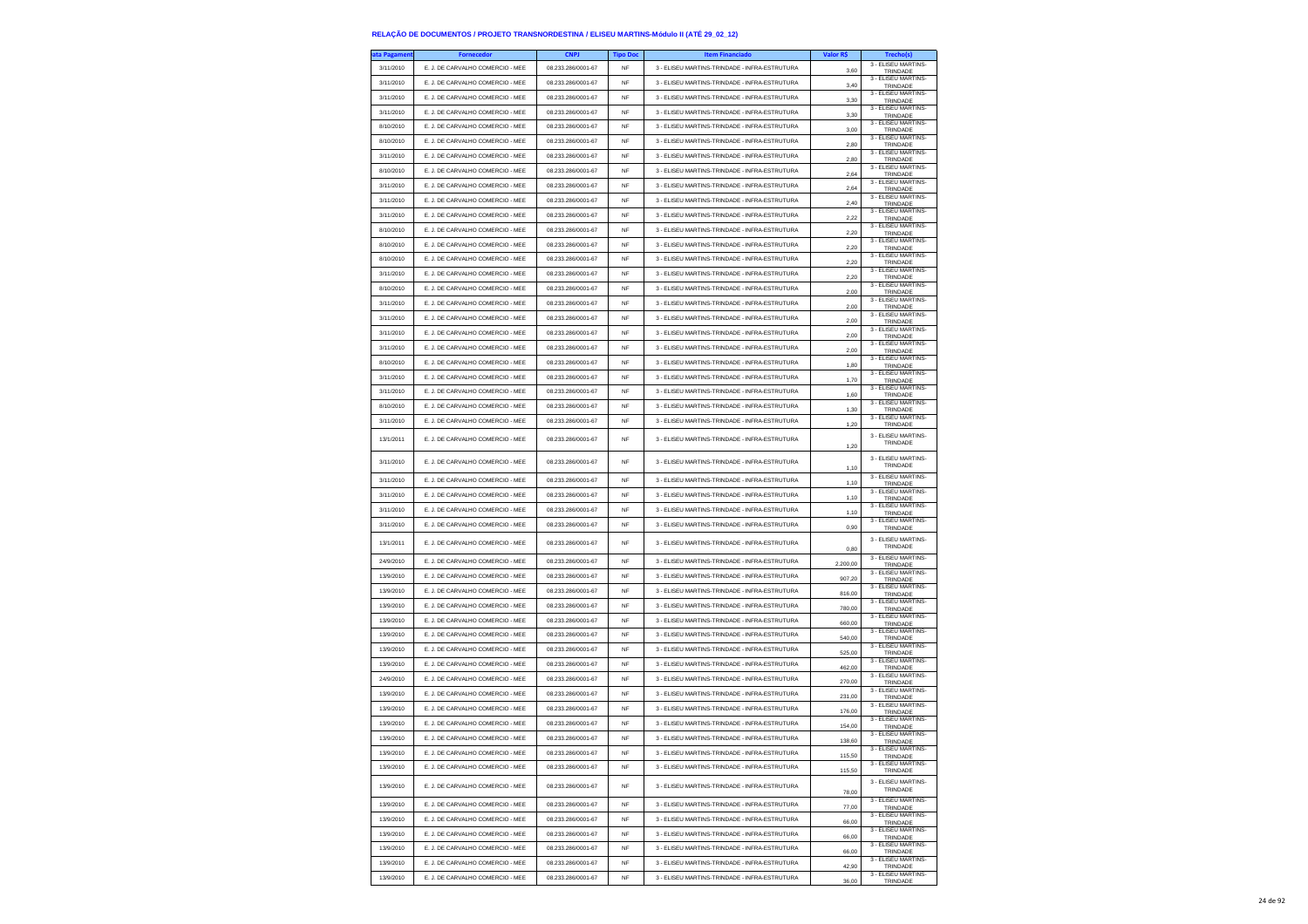| ita Pagament | <b>Fornecedor</b>                | <b>CNPJ</b>        | <b>Tipo Do</b>  | <b>Item Financiado</b>                        | Valor R\$        |                                             |
|--------------|----------------------------------|--------------------|-----------------|-----------------------------------------------|------------------|---------------------------------------------|
| 3/11/2010    | E. J. DE CARVALHO COMERCIO - MEE | 08.233.286/0001-67 | NF              | 3 - ELISEU MARTINS-TRINDADE - INFRA-ESTRUTURA | 3.60             | 3 - ELISEU MARTINS-<br>TRINDADE             |
| 3/11/2010    | E. J. DE CARVALHO COMERCIO - MEE | 08.233.286/0001-67 | NF              | 3 - ELISEU MARTINS-TRINDADE - INFRA-ESTRUTURA | 3,40             | 3 - ELISEU MARTINS-<br>TRINDADE             |
| 3/11/2010    | E. J. DE CARVALHO COMERCIO - MEE | 08.233.286/0001-67 | NF              | 3 - ELISEU MARTINS-TRINDADE - INFRA-ESTRUTURA | 3,30             | 3 - ELISEU MARTINS-<br>TRINDADE             |
| 3/11/2010    | E. J. DE CARVALHO COMERCIO - MEE | 08.233.286/0001-67 | <b>NF</b>       | 3 - ELISEU MARTINS-TRINDADE - INFRA-ESTRUTURA | 3.30             | 3 - ELISEU MARTINS-<br>TRINDADE             |
| 8/10/2010    | E. J. DE CARVALHO COMERCIO - MEE | 08.233.286/0001-67 | NF              | 3 - ELISEU MARTINS-TRINDADE - INFRA-ESTRUTURA | 3,00             | 3 - ELISEU MARTINS-<br>TRINDADE             |
| 8/10/2010    | E. J. DE CARVALHO COMERCIO - MEE | 08.233.286/0001-67 | NF              | 3 - ELISEU MARTINS-TRINDADE - INFRA-ESTRUTURA | 2,80             | 3 - ELISEU MARTINS-<br>TRINDADE             |
| 3/11/2010    | E. J. DE CARVALHO COMERCIO - MEE | 08.233.286/0001-67 | <b>NF</b>       | 3 - ELISEU MARTINS-TRINDADE - INFRA-ESTRUTURA | 2.80             | 3 - ELISEU MARTINS<br>TRINDADE              |
| 8/10/2010    | E. J. DE CARVALHO COMERCIO - MEE | 08.233.286/0001-67 | <b>NF</b>       | 3 - ELISEU MARTINS-TRINDADE - INFRA-ESTRUTURA | 2,64             | 3 - ELISEU MARTINS-                         |
| 3/11/2010    | E. J. DE CARVALHO COMERCIO - MEE | 08.233.286/0001-67 | NF              | 3 - ELISEU MARTINS-TRINDADE - INFRA-ESTRUTURA |                  | TRINDADE<br>3 - ELISEU MARTINS-             |
| 3/11/2010    | E. J. DE CARVALHO COMERCIO - MEE | 08.233.286/0001-67 | <b>NF</b>       | 3 - ELISEU MARTINS-TRINDADE - INFRA-ESTRUTURA | 2,64<br>2.40     | TRINDADE<br>3 - ELISEU MARTINS-             |
| 3/11/2010    | E. J. DE CARVALHO COMERCIO - MEE | 08.233.286/0001-67 | NF              | 3 - ELISEU MARTINS-TRINDADE - INFRA-ESTRUTURA |                  | TRINDADE<br>3 - ELISEU MARTINS-             |
| 8/10/2010    | E. J. DE CARVALHO COMERCIO - MEE | 08.233.286/0001-67 | <b>NF</b>       | 3 - ELISEU MARTINS-TRINDADE - INFRA-ESTRUTURA | 2,22             | TRINDADE<br>3 - ELISEU MARTINS-             |
| 8/10/2010    | E. J. DE CARVALHO COMERCIO - MEE | 08.233.286/0001-67 | <b>NF</b>       | 3 - ELISEU MARTINS-TRINDADE - INFRA-ESTRUTURA | 2,20             | TRINDADE<br>3 - ELISEU MARTINS-             |
| 8/10/2010    | E. J. DE CARVALHO COMERCIO - MEE | 08.233.286/0001-67 | <b>NF</b>       | 3 - ELISEU MARTINS-TRINDADE - INFRA-ESTRUTURA | 2.20             | TRINDADE<br>3 - ELISEU MARTINS-             |
| 3/11/2010    | E. J. DE CARVALHO COMERCIO - MEE | 08.233.286/0001-67 | <b>NF</b>       | 3 - ELISEU MARTINS-TRINDADE - INFRA-ESTRUTURA | 2,20             | TRINDADE<br>3 - ELISEU MARTINS-             |
| 8/10/2010    | E. J. DE CARVALHO COMERCIO - MEE | 08.233.286/0001-67 | <b>NF</b>       | 3 - ELISEU MARTINS-TRINDADE - INFRA-ESTRUTURA | 2,20             | TRINDADE<br>3 - ELISEU MARTINS-             |
| 3/11/2010    | E. J. DE CARVALHO COMERCIO - MEE | 08.233.286/0001-67 | <b>NF</b>       | 3 - ELISEU MARTINS-TRINDADE - INFRA-ESTRUTURA | 2.00             | TRINDADE<br>3 - ELISEU MARTINS-             |
| 3/11/2010    | E. J. DE CARVALHO COMERCIO - MEE | 08.233.286/0001-67 | <b>NF</b>       | 3 - ELISEU MARTINS-TRINDADE - INFRA-ESTRUTURA | 2,00             | TRINDADE<br>3 - ELISEU MARTINS-             |
|              |                                  |                    |                 |                                               | 2,00             | TRINDADE<br>3 - ELISEU MARTINS-             |
| 3/11/2010    | E. J. DE CARVALHO COMERCIO - MEE | 08.233.286/0001-67 | NF<br><b>NF</b> | 3 - ELISEU MARTINS-TRINDADE - INFRA-ESTRUTURA | 2.00             | TRINDADE<br>3 - ELISEU MARTINS-             |
| 3/11/2010    | E. J. DE CARVALHO COMERCIO - MEE | 08.233.286/0001-67 |                 | 3 - ELISEU MARTINS-TRINDADE - INFRA-ESTRUTURA | 2,00             | TRINDADE<br>3 - ELISEU MARTINS-             |
| 8/10/2010    | E. J. DE CARVALHO COMERCIO - MEE | 08.233.286/0001-67 | <b>NF</b>       | 3 - ELISEU MARTINS-TRINDADE - INFRA-ESTRUTURA | 1,80             | TRINDADE<br>3 - ELISEU MARTINS-             |
| 3/11/2010    | E. J. DE CARVALHO COMERCIO - MEE | 08.233.286/0001-67 | NF              | 3 - ELISEU MARTINS-TRINDADE - INFRA-ESTRUTURA | 1,70             | TRINDADE<br>3 - ELISEU MARTINS-             |
| 3/11/2010    | E. J. DE CARVALHO COMERCIO - MEE | 08.233.286/0001-67 | <b>NF</b>       | 3 - ELISEU MARTINS-TRINDADE - INFRA-ESTRUTURA | 1,60             | TRINDADE<br>3 - ELISEU MARTINS-             |
| 8/10/2010    | E. J. DE CARVALHO COMERCIO - MEE | 08.233.286/0001-67 | <b>NF</b>       | 3 - ELISEU MARTINS-TRINDADE - INFRA-ESTRUTURA | 1,30             | TRINDADE<br>3 - ELISEU MARTINS-             |
| 3/11/2010    | E. J. DE CARVALHO COMERCIO - MEE | 08.233.286/0001-67 | NF              | 3 - ELISEU MARTINS-TRINDADE - INFRA-ESTRUTURA | 1,20             | TRINDADE                                    |
| 13/1/2011    | E. J. DE CARVALHO COMERCIO - MEE | 08.233.286/0001-67 | NF              | 3 - ELISEU MARTINS-TRINDADE - INFRA-ESTRUTURA | 1,20             | 3 - ELISEU MARTINS-<br>TRINDADE             |
| 3/11/2010    | E. J. DE CARVALHO COMERCIO - MEE | 08.233.286/0001-67 | <b>NF</b>       | 3 - ELISEU MARTINS-TRINDADE - INFRA-ESTRUTURA | 1,10             | 3 - ELISEU MARTINS-<br>TRINDADE             |
| 3/11/2010    | E. J. DE CARVALHO COMERCIO - MEE | 08.233.286/0001-67 | <b>NF</b>       | 3 - ELISEU MARTINS-TRINDADE - INFRA-ESTRUTURA | 1,10             | 3 - ELISEU MARTINS-<br>TRINDADE             |
| 3/11/2010    | E. J. DE CARVALHO COMERCIO - MEE | 08.233.286/0001-67 | <b>NF</b>       | 3 - ELISEU MARTINS-TRINDADE - INFRA-ESTRUTURA | 1,10             | 3 - ELISEU MARTINS-<br>TRINDADE             |
| 3/11/2010    | E. J. DE CARVALHO COMERCIO - MEE | 08.233.286/0001-67 | NF              | 3 - ELISEU MARTINS-TRINDADE - INFRA-ESTRUTURA | 1,10             | 3 - ELISEU MARTINS<br>TRINDADE              |
| 3/11/2010    | E. J. DE CARVALHO COMERCIO - MEE | 08.233.286/0001-67 | <b>NF</b>       | 3 - ELISEU MARTINS-TRINDADE - INFRA-ESTRUTURA | 0,90             | 3 - ELISEU MARTINS-<br>TRINDADE             |
| 13/1/2011    | E. J. DE CARVALHO COMERCIO - MEE | 08.233.286/0001-67 | <b>NF</b>       | 3 - ELISEU MARTINS-TRINDADE - INFRA-ESTRUTURA |                  | 3 - ELISEU MARTINS-<br>TRINDADE             |
| 24/9/2010    | E. J. DE CARVALHO COMERCIO - MEE | 08.233.286/0001-67 | <b>NF</b>       | 3 - ELISEU MARTINS-TRINDADE - INFRA-ESTRUTURA | 0,80             | 3 - ELISEU MARTINS-                         |
| 13/9/2010    | E. J. DE CARVALHO COMERCIO - MEE | 08.233.286/0001-67 | <b>NF</b>       | 3 - ELISEU MARTINS-TRINDADE - INFRA-ESTRUTURA | 2.200,00         | TRINDADE<br>3 - ELISEU MARTINS-             |
| 13/9/2010    | E. J. DE CARVALHO COMERCIO - MEE | 08.233.286/0001-67 | <b>NF</b>       | 3 - ELISEU MARTINS-TRINDADE - INFRA-ESTRUTURA | 907,20           | TRINDADE<br>3 - ELISEU MARTINS-             |
| 13/9/2010    | E. J. DE CARVALHO COMERCIO - MEE | 08.233.286/0001-67 | <b>NF</b>       | 3 - ELISEU MARTINS-TRINDADE - INFRA-ESTRUTURA | 816,00           | TRINDADE<br>3 - ELISEU MARTINS-             |
| 13/9/2010    | E. J. DE CARVALHO COMERCIO - MEE | 08.233.286/0001-67 | <b>NF</b>       | 3 - ELISEU MARTINS-TRINDADE - INFRA-ESTRUTURA | 780,00           | TRINDADE<br>3 - ELISEU MARTINS-             |
| 13/9/2010    | E. J. DE CARVALHO COMERCIO - MEE | 08.233.286/0001-67 | <b>NF</b>       | 3 - ELISEU MARTINS-TRINDADE - INFRA-ESTRUTURA | 660,00           | TRINDADE<br>3 - ELISEU MARTINS-             |
| 13/9/2010    | E. J. DE CARVALHO COMERCIO - MEE | 08.233.286/0001-67 | <b>NF</b>       | 3 - ELISEU MARTINS-TRINDADE - INFRA-ESTRUTURA | 540,00           | TRINDADE<br>3 - ELISEU MARTINS-             |
| 13/9/2010    | E. J. DE CARVALHO COMERCIO - MEE | 08.233.286/0001-67 | <b>NF</b>       | 3 - ELISEU MARTINS-TRINDADE - INFRA-ESTRUTURA | 525.00           | TRINDADE<br>3 - ELISEU MARTINS-             |
| 24/9/2010    | E. J. DE CARVALHO COMERCIO - MEE | 08.233.286/0001-67 | <b>NF</b>       | 3 - ELISEU MARTINS-TRINDADE - INFRA-ESTRUTURA | 462,00           | TRINDADE<br>3 - ELISEU MARTINS-             |
| 13/9/2010    | E. J. DE CARVALHO COMERCIO - MEE | 08.233.286/0001-67 | NF              | 3 - ELISEU MARTINS-TRINDADE - INFRA-ESTRUTURA | 270,00           | TRINDADE<br>3 - ELISEU MARTINS-             |
| 13/9/2010    | E. J. DE CARVALHO COMERCIO - MEE | 08.233.286/0001-67 | NF              | 3 - ELISEU MARTINS-TRINDADE - INFRA-ESTRUTURA | 231,00           | TRINDADE<br>3 - ELISEU MARTINS-             |
| 13/9/2010    | E. J. DE CARVALHO COMERCIO - MEE | 08.233.286/0001-67 | <b>NF</b>       | 3 - ELISEU MARTINS-TRINDADE - INFRA-ESTRUTURA | 176,00<br>154,00 | TRINDADE<br>3 - ELISEU MARTINS-             |
| 13/9/2010    | E. J. DE CARVALHO COMERCIO - MEE | 08.233.286/0001-67 | <b>NF</b>       | 3 - ELISEU MARTINS-TRINDADE - INFRA-ESTRUTURA |                  | TRINDADE<br>3 - ELISEU MARTINS-             |
| 13/9/2010    | E. J. DE CARVALHO COMERCIO - MEE | 08.233.286/0001-67 | <b>NF</b>       | 3 - ELISEU MARTINS-TRINDADE - INFRA-ESTRUTURA | 138,60           | TRINDADE<br>3 - ELISEU MART                 |
| 13/9/2010    | E. J. DE CARVALHO COMERCIO - MEE | 08.233.286/0001-67 | NF              | 3 - ELISEU MARTINS-TRINDADE - INFRA-ESTRUTURA | 115,50           | TRINDADE<br>3 - ELISEU MARTINS-             |
| 13/9/2010    | E. J. DE CARVALHO COMERCIO - MEE | 08.233.286/0001-67 | <b>NF</b>       | 3 - ELISEU MARTINS-TRINDADE - INFRA-ESTRUTURA | 115,50           | TRINDADE<br>3 - ELISEU MARTINS-             |
| 13/9/2010    | E J DE CARVALHO COMERCIO - MEE   | 08 233 286/0001-67 | NF              | 3 - ELISEU MARTINS-TRINDADE - INFRA-ESTRUTURA | 78.00            | TRINDADE<br>3 - ELISEU MARTINS-             |
| 13/9/2010    | E. J. DE CARVALHO COMERCIO - MEE | 08.233.286/0001-67 | NF              | 3 - ELISEU MARTINS-TRINDADE - INFRA-ESTRUTURA | 77,00            | TRINDADE<br>3 - ELISEU MARTINS-             |
| 13/9/2010    | E. J. DE CARVALHO COMERCIO - MEE | 08.233.286/0001-67 | <b>NF</b>       | 3 - ELISEU MARTINS-TRINDADE - INFRA-ESTRUTURA | 66,00            | TRINDADE<br>3 - ELISEU MARTINS-             |
| 13/9/2010    | E. J. DE CARVALHO COMERCIO - MEE | 08.233.286/0001-67 | <b>NF</b>       | 3 - ELISEU MARTINS-TRINDADE - INFRA-ESTRUTURA | 66,00<br>66,00   | TRINDADE<br>3 - ELISEU MARTINS-<br>TRINDADE |
| 13/9/2010    | E. J. DE CARVALHO COMERCIO - MEE | 08.233.286/0001-67 | <b>NF</b>       | 3 - ELISEU MARTINS-TRINDADE - INFRA-ESTRUTURA |                  | 3 - ELISEU MARTINS-<br>TRINDADE             |
| 13/9/2010    | E. J. DE CARVALHO COMERCIO - MEE | 08.233.286/0001-67 | <b>NF</b>       | 3 - ELISEU MARTINS-TRINDADE - INFRA-ESTRUTURA | 42,90<br>36.00   | 3 - ELISEU MARTINS-<br>TRINDADE             |
|              |                                  |                    |                 |                                               |                  |                                             |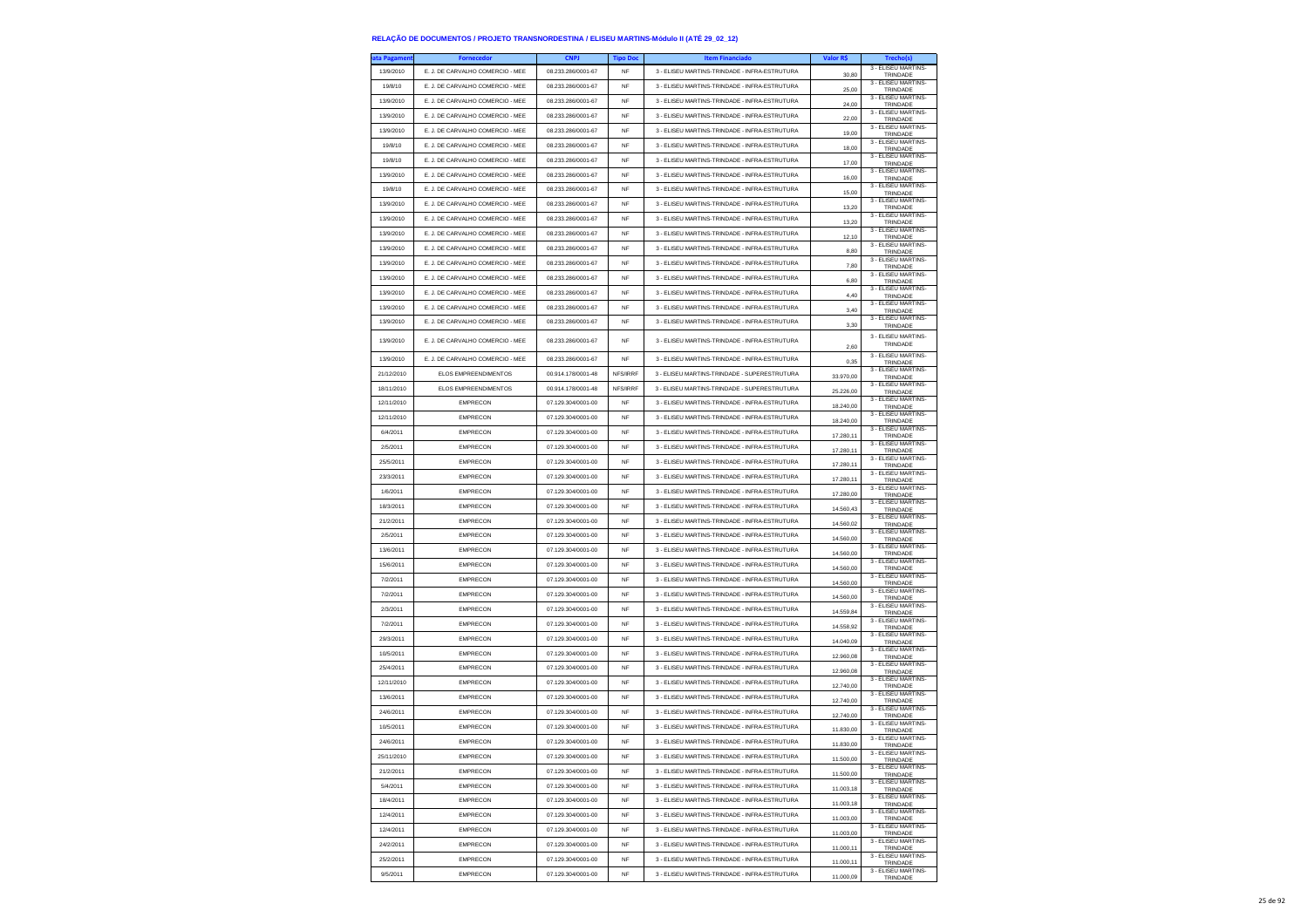| ata Pagamen | <b>Fornecedor</b>                | <b>CNPJ</b>        | <b>Tipo Doc</b> | <b>Item Financiado</b>                        | Valor R\$ | Trecho(s)                       |
|-------------|----------------------------------|--------------------|-----------------|-----------------------------------------------|-----------|---------------------------------|
| 13/9/2010   | E. J. DE CARVALHO COMERCIO - MEE | 08.233.286/0001-67 | NF              | 3 - ELISEU MARTINS-TRINDADE - INFRA-ESTRUTURA | 30,80     | 3 - ELISEU MARTINS-<br>TRINDADE |
| 19/8/10     | E. J. DE CARVALHO COMERCIO - MEE | 08.233.286/0001-67 | <b>NF</b>       | 3 - ELISEU MARTINS-TRINDADE - INFRA-ESTRUTURA | 25,00     | 3 - ELISEU MARTINS-<br>TRINDADE |
| 13/9/2010   | E. J. DE CARVALHO COMERCIO - MEE | 08.233.286/0001-67 | <b>NF</b>       | 3 - ELISEU MARTINS-TRINDADE - INFRA-ESTRUTURA |           | 3 - FLISEU MARTINS-             |
|             |                                  |                    |                 |                                               | 24.00     | TRINDADE<br>3 - ELISEU MARTINS- |
| 13/9/2010   | E. J. DE CARVALHO COMERCIO - MEE | 08.233.286/0001-67 | <b>NF</b>       | 3 - ELISEU MARTINS-TRINDADE - INFRA-ESTRUTURA | 22,00     | TRINDADE<br>3 - ELISEU MARTINS- |
| 13/9/2010   | E. J. DE CARVALHO COMERCIO - MEE | 08.233.286/0001-67 | NF              | 3 - ELISEU MARTINS-TRINDADE - INFRA-ESTRUTURA | 19,00     | TRINDADE<br>3 - FLISEU MARTINS- |
| 19/8/10     | E. J. DE CARVALHO COMERCIO - MEE | 08.233.286/0001-67 | NF              | 3 - ELISEU MARTINS-TRINDADE - INFRA-ESTRUTURA | 18.00     | TRINDADE                        |
| 19/8/10     | E J DE CARVALHO COMERCIO - MEE   | 08 233 286/0001-67 | NF              | 3 - ELISEU MARTINS-TRINDADE - INFRA-ESTRUTURA | 17,00     | 3 - FLISEU MARTINS-<br>TRINDADE |
| 13/9/2010   | E. J. DE CARVALHO COMERCIO - MEE | 08.233.286/0001-67 | NF              | 3 - ELISEU MARTINS-TRINDADE - INFRA-ESTRUTURA | 16,00     | 3 - ELISEU MARTINS-<br>TRINDADE |
| 19/8/10     | E. J. DE CARVALHO COMERCIO - MEE | 08.233.286/0001-67 | NF              | 3 - ELISEU MARTINS-TRINDADE - INFRA-ESTRUTURA | 15,00     | 3 - ELISEU MARTINS-<br>TRINDADE |
| 13/9/2010   | E J. DE CARVALHO COMERCIO - MEE  | 08.233.286/0001-67 | NF              | 3 - ELISEU MARTINS-TRINDADE - INFRA-ESTRUTURA |           | 3 - ELISEU MARTINS              |
| 13/9/2010   | E. J. DE CARVALHO COMERCIO - MEE | 08 233 286/0001-67 | NF              | 3 - ELISEU MARTINS-TRINDADE - INFRA-ESTRUTURA | 13,20     | TRINDADE<br>3 - ELISEU MARTINS- |
| 13/9/2010   | E. J. DE CARVALHO COMERCIO - MEE | 08.233.286/0001-67 | NF              | 3 - ELISEU MARTINS-TRINDADE - INFRA-ESTRUTURA | 13,20     | TRINDADE<br>3 - ELISEU MARTINS  |
| 13/9/2010   | E. J. DE CARVALHO COMERCIO - MEE | 08.233.286/0001-67 | <b>NF</b>       | 3 - ELISEU MARTINS-TRINDADE - INFRA-ESTRUTURA | 12,10     | TRINDADE<br>3 - ELISEU MARTINS- |
|             |                                  |                    |                 |                                               | 8,80      | TRINDADE<br>3 - ELISEU MARTINS- |
| 13/9/2010   | E. J. DE CARVALHO COMERCIO - MEE | 08.233.286/0001-67 | NF              | 3 - ELISEU MARTINS-TRINDADE - INFRA-ESTRUTURA | 7,80      | TRINDADE<br>3 - ELISEU MARTINS  |
| 13/9/2010   | E. J. DE CARVALHO COMERCIO - MEE | 08.233.286/0001-67 | NF              | 3 - ELISEU MARTINS-TRINDADE - INFRA-ESTRUTURA | 6,80      | TRINDADE                        |
| 13/9/2010   | E. J. DE CARVALHO COMERCIO - MEE | 08.233.286/0001-67 | <b>NF</b>       | 3 - ELISEU MARTINS-TRINDADE - INFRA-ESTRUTURA | 4.40      | 3 - ELISEU MARTINS<br>TRINDADE  |
| 13/9/2010   | E. J. DE CARVALHO COMERCIO - MEE | 08.233.286/0001-67 | NF              | 3 - ELISEU MARTINS-TRINDADE - INFRA-ESTRUTURA | 3,40      | 3 - ELISEU MARTINS-<br>TRINDADE |
| 13/9/2010   | E. J. DE CARVALHO COMERCIO - MEE | 08.233.286/0001-67 | NF              | 3 - ELISEU MARTINS-TRINDADE - INFRA-ESTRUTURA | 3,30      | 3 - ELISEU MARTINS-<br>TRINDADE |
| 13/9/2010   | E. J. DE CARVALHO COMERCIO - MEE | 08.233.286/0001-67 | NF              | 3 - ELISEU MARTINS-TRINDADE - INFRA-ESTRUTURA |           | 3 - ELISEU MARTINS-             |
|             |                                  |                    |                 |                                               | 2,60      | TRINDADE<br>3 - ELISEU MARTINS- |
| 13/9/2010   | E. J. DE CARVALHO COMERCIO - MEE | 08.233.286/0001-67 | NF              | 3 - ELISEU MARTINS-TRINDADE - INFRA-ESTRUTURA | 0,35      | TRINDADE                        |
| 21/12/2010  | <b>ELOS EMPREENDIMENTOS</b>      | 00.914.178/0001-48 | NFS/IRRF        | 3 - ELISEU MARTINS-TRINDADE - SUPERESTRUTURA  | 33,970.00 | 3 - ELISEU MARTINS<br>TRINDADE  |
| 18/11/2010  | FLOS EMPREENDIMENTOS             | 00.914.178/0001-48 | NFS/IRRF        | 3 - ELISEU MARTINS-TRINDADE - SUPERESTRUTURA  | 25,226.00 | 3 - FLISEU MARTINS-<br>TRINDADE |
| 12/11/2010  | <b>EMPRECON</b>                  | 07.129.304/0001-00 | NF              | 3 - ELISEU MARTINS-TRINDADE - INFRA-ESTRUTURA | 18.240,00 | 3 - ELISEU MARTINS-<br>TRINDADE |
| 12/11/2010  | <b>EMPRECON</b>                  | 07.129.304/0001-00 | NF              | 3 - ELISEU MARTINS-TRINDADE - INFRA-ESTRUTURA | 18,240.00 | 3 - FLISEU MARTINS-<br>TRINDADE |
| 6/4/2011    | <b>EMPRECON</b>                  | 07.129.304/0001-00 | <b>NF</b>       | 3 - ELISEU MARTINS-TRINDADE - INFRA-ESTRUTURA | 17.280,11 | 3 - ELISEU MARTINS-             |
| 2/5/2011    | <b>EMPRECON</b>                  | 07.129.304/0001-00 | NF              | 3 - ELISEU MARTINS-TRINDADE - INFRA-ESTRUTURA |           | TRINDADE<br>3 - ELISEU MARTINS- |
| 25/5/2011   | <b>EMPRECON</b>                  | 07.129.304/0001-00 | NF              | 3 - ELISEU MARTINS-TRINDADE - INFRA-ESTRUTURA | 17.280,11 | TRINDADE<br>3 - ELISEU MARTINS- |
| 23/3/2011   |                                  |                    |                 |                                               | 17.280,11 | TRINDADE<br>3 - ELISEU MARTINS- |
|             | <b>EMPRECON</b>                  | 07.129.304/0001-00 | NF              | 3 - ELISEU MARTINS-TRINDADE - INFRA-ESTRUTURA | 17.280,11 | TRINDADE<br>3 - ELISEU MARTINS- |
| 1/6/2011    | <b>EMPRECON</b>                  | 07.129.304/0001-00 | NF              | 3 - ELISEU MARTINS-TRINDADE - INFRA-ESTRUTURA | 17,280.00 | TRINDADE<br>3 - ELISEU MARTINS  |
| 18/3/2011   | <b>EMPRECON</b>                  | 07.129.304/0001-00 | NF              | 3 - ELISEU MARTINS-TRINDADE - INFRA-ESTRUTURA | 14.560,43 | TRINDADE                        |
| 21/2/2011   | <b>EMPRECON</b>                  | 07.129.304/0001-00 | <b>NF</b>       | 3 - ELISEU MARTINS-TRINDADE - INFRA-ESTRUTURA | 14.560,02 | 3 - ELISEU MARTINS-<br>TRINDADE |
| 2/5/2011    | <b>EMPRECON</b>                  | 07.129.304/0001-00 | NF              | 3 - ELISEU MARTINS-TRINDADE - INFRA-ESTRUTURA | 14.560,00 | 3 - ELISEU MARTINS-<br>TRINDADE |
| 13/6/2011   | <b>EMPRECON</b>                  | 07.129.304/0001-00 | NF              | 3 - ELISEU MARTINS-TRINDADE - INFRA-ESTRUTURA | 14.560,00 | 3 - ELISEU MARTINS<br>TRINDADE  |
| 15/6/2011   | <b>EMPRECON</b>                  | 07.129.304/0001-00 | <b>NF</b>       | 3 - ELISEU MARTINS-TRINDADE - INFRA-ESTRUTURA | 14,560.00 | 3 - ELISEU MARTINS-<br>TRINDADE |
| 7/2/2011    | <b>EMPRECON</b>                  | 07.129.304/0001-00 | NF              | 3 - ELISEU MARTINS-TRINDADE - INFRA-ESTRUTURA | 14.560,00 | 3 - ELISEU MARTINS-<br>TRINDADE |
| 7/2/2011    | <b>EMPRECON</b>                  | 07.129.304/0001-00 | NF              | 3 - ELISEU MARTINS-TRINDADE - INFRA-ESTRUTURA |           | 3 - ELISEU MARTINS-             |
| 2/3/2011    | <b>EMPRECON</b>                  | 07.129.304/0001-00 | <b>NF</b>       | 3 - ELISEU MARTINS-TRINDADE - INFRA-ESTRUTURA | 14.560,00 | TRINDADE<br>3 - ELISEU MARTINS  |
|             | <b>EMPRECON</b>                  | 07.129.304/0001-00 |                 | 3 - ELISEU MARTINS-TRINDADE - INFRA-ESTRUTURA | 14,559.84 | TRINDADE<br>3 - ELISEU MARTINS- |
| 7/2/2011    |                                  |                    | NF              |                                               | 14.558,92 | TRINDADE<br>3 - ELISEU MARTINS- |
| 29/3/2011   | <b>EMPRECON</b>                  | 07.129.304/0001-00 | NF              | 3 - ELISEU MARTINS-TRINDADE - INFRA-ESTRUTURA | 14.040,09 | TRINDADE<br>3 - ELISEU MARTINS- |
| 10/5/2011   | <b>EMPRECON</b>                  | 07.129.304/0001-00 | NF              | 3 - ELISEU MARTINS-TRINDADE - INFRA-ESTRUTURA | 12,960.08 | TRINDADE<br>3 - ELISEU MARTINS- |
| 25/4/2011   | <b>EMPRECON</b>                  | 07.129.304/0001-00 | NF              | 3 - FLISELLMARTINS-TRINDADE - INFRA-ESTRUTURA | 12.960,08 | TRINDADE                        |
| 12/11/2010  | <b>EMPRECON</b>                  | 07.129.304/0001-00 | NF              | 3 - ELISEU MARTINS-TRINDADE - INFRA-ESTRUTURA | 12.740,00 | 3 - ELISEU MARTINS-<br>TRINDADE |
| 13/6/2011   | <b>EMPRECON</b>                  | 07.129.304/0001-00 | <b>NF</b>       | 3 - ELISEU MARTINS-TRINDADE - INFRA-ESTRUTURA | 12,740.00 | 3 - ELISEU MARTINS<br>TRINDADE  |
| 24/6/2011   | <b>EMPRECON</b>                  | 07 129 304/0001-00 | <b>NF</b>       | 3 - ELISEU MARTINS-TRINDADE - INFRA-ESTRUTURA | 12.740,00 | 3 - ELISEU MARTINS-<br>TRINDADE |
| 10/5/2011   | <b>EMPRECON</b>                  | 07.129.304/0001-00 | <b>NF</b>       | 3 - ELISEU MARTINS-TRINDADE - INFRA-ESTRUTURA | 11.830,00 | 3 - ELISEU MARTINS-<br>TRINDADE |
| 24/6/2011   | EMPRECON                         | 07.129.304/0001-00 | NF              | 3 - ELISEU MARTINS-TRINDADE - INFRA-ESTRUTURA | 11.830,00 | 3 - FLISEU MARTINS-             |
| 25/11/2010  | <b>EMPRECON</b>                  | 07.129.304/0001-00 | NF              | 3 - ELISEU MARTINS-TRINDADE - INFRA-ESTRUTURA |           | TRINDADE<br>3 - ELISEU MARTINS  |
| 21/2/2011   | <b>EMPRECON</b>                  | 07.129.304/0001-00 | NF              | 3 - ELISEU MARTINS-TRINDADE - INFRA-ESTRUTURA | 11.500,00 | TRINDADE<br>3 - ELISEU MARTINS- |
|             |                                  |                    |                 |                                               | 11.500,00 | TRINDADE<br>3 - ELISEU MARTINS- |
| 5/4/2011    | <b>EMPRECON</b>                  | 07.129.304/0001-00 | <b>NF</b>       | 3 - ELISEU MARTINS-TRINDADE - INFRA-ESTRUTURA | 11.003.18 | TRINDADE<br>3 - ELISEU MARTINS- |
| 18/4/2011   | <b>EMPRECON</b>                  | 07.129.304/0001-00 | NF              | 3 - ELISEU MARTINS-TRINDADE - INFRA-ESTRUTURA | 11.003,18 | TRINDADE<br>3 - ELISEU MARTINS- |
| 12/4/2011   | <b>EMPRECON</b>                  | 07.129.304/0001-00 | NF              | 3 - ELISEU MARTINS-TRINDADE - INFRA-ESTRUTURA | 11.003,00 | TRINDADE<br>3 - FLISEU MARTINS- |
| 12/4/2011   | <b>EMPRECON</b>                  | 07.129.304/0001-00 | NF              | 3 - ELISEU MARTINS-TRINDADE - INFRA-ESTRUTURA | 11.003,00 | TRINDADE                        |
| 24/2/2011   | <b>EMPRECON</b>                  | 07.129.304/0001-00 | NF              | 3 - ELISEU MARTINS-TRINDADE - INFRA-ESTRUTURA | 11.000,11 | 3 - FLISEU MARTINS-<br>TRINDADE |
| 25/2/2011   | <b>EMPRECON</b>                  | 07.129.304/0001-00 | NF              | 3 - ELISEU MARTINS-TRINDADE - INFRA-ESTRUTURA | 11.000,11 | 3 - ELISEU MARTINS-<br>TRINDADE |
| 9/5/2011    | <b>EMPRECON</b>                  | 07.129.304/0001-00 | NF              | 3 - ELISEU MARTINS-TRINDADE - INFRA-ESTRUTURA | 11.000,09 | 3 - ELISEU MARTINS<br>TRINDADE  |
|             |                                  |                    |                 |                                               |           |                                 |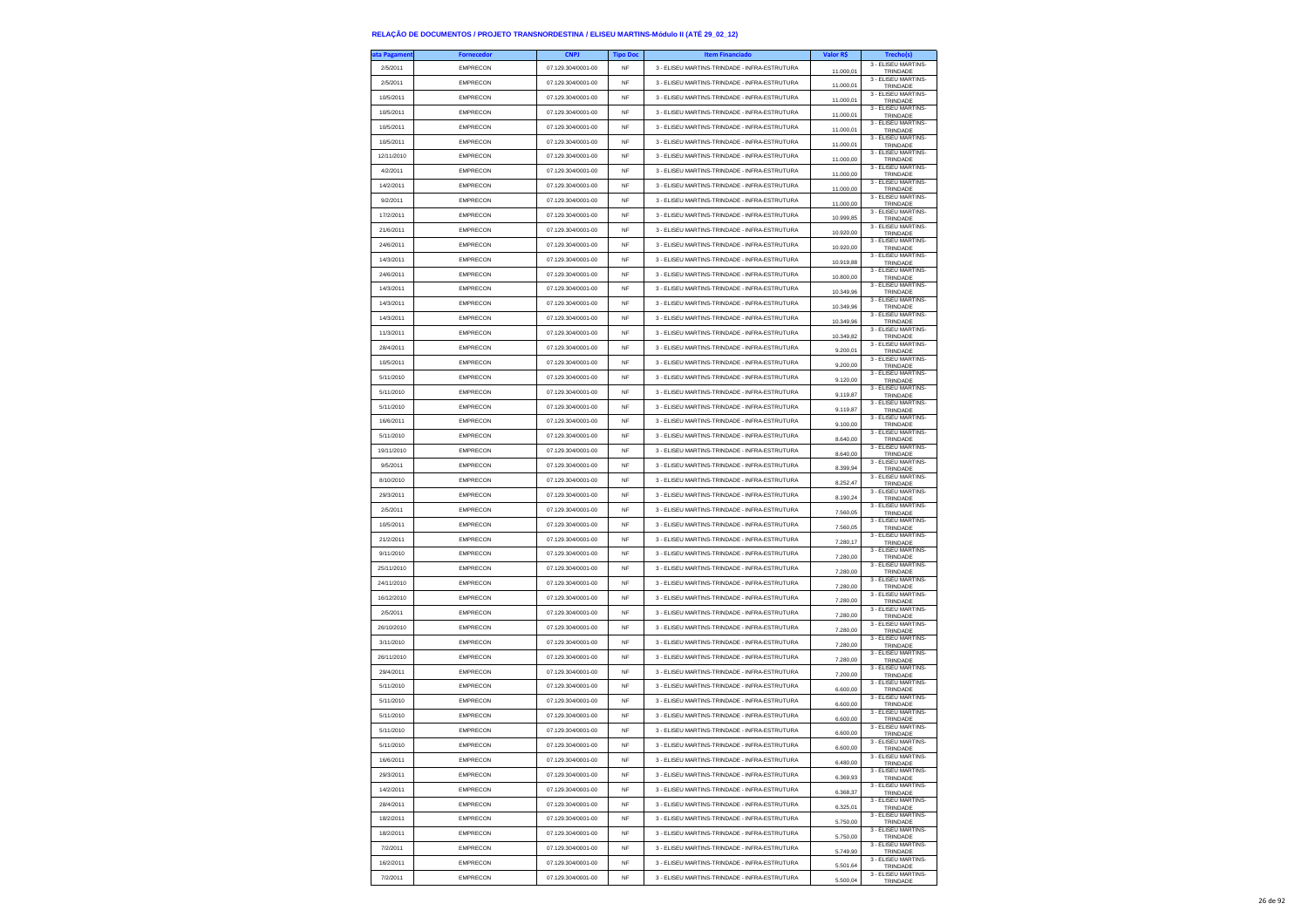| ta Pagamen | <b>Fornecedor</b> | CNP.               | <b>Tipo Doc</b> | <b>Item Financiado</b>                        | Valor R\$ | <b>Trecho(s)</b>                |
|------------|-------------------|--------------------|-----------------|-----------------------------------------------|-----------|---------------------------------|
| 2/5/2011   | <b>EMPRECON</b>   | 07.129.304/0001-00 | NF              | 3 - ELISEU MARTINS-TRINDADE - INFRA-ESTRUTURA | 11.000,01 | 3 - ELISEU MARTINS-<br>TRINDADE |
| 2/5/2011   | <b>EMPRECON</b>   | 07.129.304/0001-00 | NF              | 3 - ELISEU MARTINS-TRINDADE - INFRA-ESTRUTURA | 11.000.01 | 3 - ELISEU MARTINS-<br>TRINDADE |
| 10/5/2011  | <b>EMPRECON</b>   | 07.129.304/0001-00 | NF              | 3 - FLISELLMARTINS-TRINDADE - INFRA-ESTRUTURA | 11.000,01 | 3 - ELISEU MARTINS-<br>TRINDADE |
| 10/5/2011  | <b>EMPRECON</b>   | 07.129.304/0001-00 | NF              | 3 - ELISEU MARTINS-TRINDADE - INFRA-ESTRUTURA | 11.000,01 | 3 - ELISEU MARTINS-             |
| 10/5/2011  | <b>EMPRECON</b>   | 07.129.304/0001-00 | <b>NF</b>       | 3 - ELISEU MARTINS-TRINDADE - INFRA-ESTRUTURA |           | TRINDADE<br>3 - ELISEU MARTINS- |
| 10/5/2011  | <b>EMPRECON</b>   | 07.129.304/0001-00 | <b>NF</b>       | 3 - ELISEU MARTINS-TRINDADE - INFRA-ESTRUTURA | 11.000.01 | TRINDADE<br>3 - ELISEU MARTINS- |
| 12/11/2010 | <b>EMPRECON</b>   | 07.129.304/0001-00 | NF              | 3 - ELISEU MARTINS-TRINDADE - INFRA-ESTRUTURA | 11.000,01 | TRINDADE<br>3 - ELISEU MARTINS- |
| 4/2/2011   | <b>EMPRECON</b>   | 07.129.304/0001-00 |                 |                                               | 11.000,00 | TRINDADE<br>3 - ELISEU MARTINS- |
|            |                   |                    | <b>NF</b>       | 3 - ELISEU MARTINS-TRINDADE - INFRA-ESTRUTURA | 11.000,00 | TRINDADE<br>3 - ELISEU MARTINS- |
| 14/2/2011  | <b>EMPRECON</b>   | 07.129.304/0001-00 | <b>NF</b>       | 3 - ELISEU MARTINS-TRINDADE - INFRA-ESTRUTURA | 11.000,00 | TRINDADE<br>3 - ELISEU MARTINS- |
| 9/2/2011   | <b>EMPRECON</b>   | 07.129.304/0001-00 | NF              | 3 - ELISEU MARTINS-TRINDADE - INFRA-ESTRUTURA | 11.000,00 | TRINDADE<br>3 - ELISEU MARTINS- |
| 17/2/2011  | <b>EMPRECON</b>   | 07.129.304/0001-00 | <b>NF</b>       | 3 - ELISEU MARTINS-TRINDADE - INFRA-ESTRUTURA | 10 999 85 | TRINDADE<br>3 - ELISEU MARTINS- |
| 21/6/2011  | <b>EMPRECON</b>   | 07 129 304/0001-00 | <b>NF</b>       | 3 - ELISEU MARTINS-TRINDADE - INFRA-ESTRUTURA | 10.920,00 | TRINDADE<br>3 - ELISEU MARTINS- |
| 24/6/2011  | <b>EMPRECON</b>   | 07.129.304/0001-00 | <b>NF</b>       | 3 - ELISEU MARTINS-TRINDADE - INFRA-ESTRUTURA | 10.920,00 | TRINDADE<br>3 - ELISEU MARTINS- |
| 14/3/2011  | <b>EMPRECON</b>   | 07.129.304/0001-00 | NF              | 3 - ELISEU MARTINS-TRINDADE - INFRA-ESTRUTURA | 10.919,88 | TRINDADE                        |
| 24/6/2011  | <b>EMPRECON</b>   | 07 129 304/0001-00 | NF              | 3 - FLISELLMARTINS-TRINDADE - INFRA-ESTRUTURA | 10.800,00 | 3 - ELISEU MARTINS-<br>TRINDADE |
| 14/3/2011  | <b>EMPRECON</b>   | 07.129.304/0001-00 | NF              | 3 - ELISEU MARTINS-TRINDADE - INFRA-ESTRUTURA | 10.349,96 | 3 - ELISEU MARTINS-<br>TRINDADE |
| 14/3/2011  | <b>EMPRECON</b>   | 07.129.304/0001-00 | NF              | 3 - ELISEU MARTINS-TRINDADE - INFRA-ESTRUTURA | 10.349,96 | 3 - ELISEU MARTINS-<br>TRINDADE |
| 14/3/2011  | <b>EMPRECON</b>   | 07.129.304/0001-00 | <b>NF</b>       | 3 - ELISEU MARTINS-TRINDADE - INFRA-ESTRUTURA | 10.349,96 | 3 - ELISEU MARTINS-<br>TRINDADE |
| 11/3/2011  | <b>EMPRECON</b>   | 07.129.304/0001-00 | NF              | 3 - ELISEU MARTINS-TRINDADE - INFRA-ESTRUTURA | 10.349,82 | 3 - ELISEU MARTINS-<br>TRINDADE |
| 28/4/2011  | <b>EMPRECON</b>   | 07.129.304/0001-00 | NF              | 3 - ELISEU MARTINS-TRINDADE - INFRA-ESTRUTURA | 9.200,01  | 3 - ELISEU MARTINS-<br>TRINDADE |
| 10/5/2011  | <b>EMPRECON</b>   | 07.129.304/0001-00 | NF              | 3 - ELISEU MARTINS-TRINDADE - INFRA-ESTRUTURA | 9,200.00  | 3 - FLISEU MARTINS-<br>TRINDADE |
| 5/11/2010  | <b>EMPRECON</b>   | 07.129.304/0001-00 | NF              | 3 - ELISEU MARTINS-TRINDADE - INFRA-ESTRUTURA | 9.120,00  | 3 - ELISEU MARTINS-<br>TRINDADE |
| 5/11/2010  | <b>EMPRECON</b>   | 07.129.304/0001-00 | NF              | 3 - ELISEU MARTINS-TRINDADE - INFRA-ESTRUTURA | 9.119.87  | 3 - ELISEU MARTINS-<br>TRINDADE |
| 5/11/2010  | <b>EMPRECON</b>   | 07.129.304/0001-00 | <b>NF</b>       | 3 - ELISEU MARTINS-TRINDADE - INFRA-ESTRUTURA | 9.119,87  | 3 - ELISEU MARTINS-<br>TRINDADE |
| 16/6/2011  | <b>EMPRECON</b>   | 07 129 304/0001-00 | NF              | 3 - ELISEU MARTINS-TRINDADE - INFRA-ESTRUTURA | 9.100,00  | 3 - ELISEU MARTINS-<br>TRINDADE |
| 5/11/2010  | EMPRECON          | 07.129.304/0001-00 | NF              | 3 - ELISEU MARTINS-TRINDADE - INFRA-ESTRUTURA | 8.640,00  | 3 - ELISEU MARTINS-<br>TRINDADE |
| 19/11/2010 | <b>EMPRECON</b>   | 07.129.304/0001-00 | <b>NF</b>       | 3 - ELISEU MARTINS-TRINDADE - INFRA-ESTRUTURA | 8,640.00  | 3 - ELISEU MARTINS-<br>TRINDADE |
| 9/5/2011   | <b>EMPRECON</b>   | 07.129.304/0001-00 | NF              | 3 - ELISEU MARTINS-TRINDADE - INFRA-ESTRUTURA | 8.399,94  | 3 - ELISEU MARTINS-<br>TRINDADE |
| 8/10/2010  | <b>EMPRECON</b>   | 07.129.304/0001-00 | NF              | 3 - ELISEU MARTINS-TRINDADE - INFRA-ESTRUTURA | 8.252,47  | 3 - ELISEU MARTINS-<br>TRINDADE |
| 29/3/2011  | EMPRECON          | 07.129.304/0001-00 | <b>NF</b>       | 3 - ELISEU MARTINS-TRINDADE - INFRA-ESTRUTURA | 8 190 24  | 3 - ELISEU MARTINS-             |
| 2/5/2011   | <b>EMPRECON</b>   | 07.129.304/0001-00 | NF              | 3 - ELISEU MARTINS-TRINDADE - INFRA-ESTRUTURA | 7.560,05  | TRINDADE<br>3 - ELISEU MARTINS- |
| 10/5/2011  | EMPRECON          | 07.129.304/0001-00 | NF              | 3 - ELISEU MARTINS-TRINDADE - INFRA-ESTRUTURA |           | TRINDADE<br>3 - ELISEU MARTINS- |
| 21/2/2011  | <b>EMPRECON</b>   | 07.129.304/0001-00 | <b>NF</b>       | 3 - ELISEU MARTINS-TRINDADE - INFRA-ESTRUTURA | 7.560,05  | TRINDADE<br>3 - ELISEU MARTINS- |
| 9/11/2010  | <b>EMPRECON</b>   | 07.129.304/0001-00 | NF              | 3 - ELISEU MARTINS-TRINDADE - INFRA-ESTRUTURA | 7,280.17  | TRINDADE<br>3 - ELISEU MARTINS- |
| 25/11/2010 | <b>EMPRECON</b>   | 07.129.304/0001-00 | <b>NF</b>       | 3 - ELISEU MARTINS-TRINDADE - INFRA-ESTRUTURA | 7.280,00  | TRINDADE<br>3 - ELISEU MARTINS- |
| 24/11/2010 | <b>EMPRECON</b>   | 07.129.304/0001-00 | <b>NF</b>       | 3 - ELISEU MARTINS-TRINDADE - INFRA-ESTRUTURA | 7.280,00  | TRINDADE<br>3 - ELISEU MARTINS- |
| 16/12/2010 | <b>EMPRECON</b>   | 07.129.304/0001-00 | <b>NF</b>       | 3 - ELISEU MARTINS-TRINDADE - INFRA-ESTRUTURA | 7,280.00  | TRINDADE<br>3 - ELISEU MARTINS- |
| 2/5/2011   | <b>EMPRECON</b>   | 07.129.304/0001-00 | NF              | 3 - ELISEU MARTINS-TRINDADE - INFRA-ESTRUTURA | 7.280,00  | TRINDADE<br>3 - ELISEU MARTINS- |
| 26/10/2010 | <b>EMPRECON</b>   | 07.129.304/0001-00 |                 |                                               | 7.280,00  | TRINDADE<br>3 - ELISEU MARTINS- |
|            |                   |                    | <b>NF</b>       | 3 - ELISEU MARTINS-TRINDADE - INFRA-ESTRUTURA | 7,280.00  | TRINDADE<br>3 - ELISEU MARTINS- |
| 3/11/2010  | <b>EMPRECON</b>   | 07.129.304/0001-00 | NF              | 3 - ELISEU MARTINS-TRINDADE - INFRA-ESTRUTURA | 7.280,00  | TRINDADE<br>3 - ELISEU MARTINS- |
| 26/11/2010 | <b>EMPRECON</b>   | 07.129.304/0001-00 | NF              | 3 - ELISEU MARTINS-TRINDADE - INFRA-ESTRUTURA | 7.280,00  | TRINDADE<br>3 - ELISEU MARTINS- |
| 29/4/2011  | <b>EMPRECON</b>   | 07.129.304/0001-00 | NF              | 3 - ELISEU MARTINS-TRINDADE - INFRA-ESTRUTURA | 7.200,00  | TRINDADE<br>3 - ELISEU MARTINS- |
| 5/11/2010  | <b>EMPRECON</b>   | 07 129 304/0001-00 | NF              | 3 - FLISELLMARTINS-TRINDADE - INFRA-ESTRUTURA | 6.600,00  | TRINDADE<br>3 - ELISEU MARTINS- |
| 5/11/2010  | <b>EMPRECON</b>   | 07.129.304/0001-00 | NF              | 3 - ELISEU MARTINS-TRINDADE - INFRA-ESTRUTURA | 6.600,00  | TRINDADE<br>3 - ELISEU MARTINS- |
| 5/11/2010  | <b>EMPRECON</b>   | 07.129.304/0001-00 | NF              | 3 - ELISEU MARTINS-TRINDADE - INFRA-ESTRUTURA | 6.600,00  | TRINDADE<br>3 - ELISEU MARTINS- |
| 5/11/2010  | <b>EMPRECON</b>   | 07.129.304/0001-00 | <b>NF</b>       | 3 - ELISEU MARTINS-TRINDADE - INFRA-ESTRUTURA | 6.600,00  | TRINDADE<br>3 - ELISEU MARTINS- |
| 5/11/2010  | <b>EMPRECON</b>   | 07.129.304/0001-00 | NF              | 3 - ELISEU MARTINS-TRINDADE - INFRA-ESTRUTURA |           | <b>TRINDAD</b>                  |
| 16/6/2011  | <b>EMPRECON</b>   | 07.129.304/0001-00 | NF              | 3 - ELISEU MARTINS-TRINDADE - INFRA-ESTRUTURA | 6.480,00  | 3 - ELISEU MARTINS-<br>TRINDADE |
| 29/3/2011  | <b>EMPRECON</b>   | 07.129.304/0001-00 | <b>NF</b>       | 3 - FLISEU MARTINS-TRINDADE - INFRA-ESTRUTURA | 6,369.93  | 3 - ELISEU MARTINS-<br>TRINDADE |
| 14/2/2011  | <b>EMPRECON</b>   | 07.129.304/0001-00 | NF              | 3 - ELISEU MARTINS-TRINDADE - INFRA-ESTRUTURA | 6.368,37  | 3 - ELISEU MARTINS-<br>TRINDADE |
| 28/4/2011  | <b>EMPRECON</b>   | 07.129.304/0001-00 | NF              | 3 - ELISEU MARTINS-TRINDADE - INFRA-ESTRUTURA | 6.325,01  | 3 - ELISEU MARTINS-<br>TRINDADE |
| 18/2/2011  | <b>EMPRECON</b>   | 07.129.304/0001-00 | NF              | 3 - ELISEU MARTINS-TRINDADE - INFRA-ESTRUTURA | 5,750.00  | 3 - FLISEU MARTINS-<br>TRINDADE |
| 18/2/2011  | <b>EMPRECON</b>   | 07.129.304/0001-00 | NF              | 3 - ELISEU MARTINS-TRINDADE - INFRA-ESTRUTURA | 5.750,00  | 3 - ELISEU MARTINS-<br>TRINDADE |
| 7/2/2011   | <b>EMPRECON</b>   | 07.129.304/0001-00 | NF              | 3 - ELISEU MARTINS-TRINDADE - INFRA-ESTRUTURA | 5.749,90  | 3 - ELISEU MARTINS-<br>TRINDADE |
| 16/2/2011  | <b>EMPRECON</b>   | 07.129.304/0001-00 | <b>NF</b>       | 3 - ELISEU MARTINS-TRINDADE - INFRA-ESTRUTURA | 5,501.64  | 3 - ELISEU MARTINS-<br>TRINDADE |
| 7/2/2011   | <b>EMPRECON</b>   | 07.129.304/0001-00 | NF              | 3 - FLISELLMARTINS-TRINDADE - INFRA-ESTRUTURA | 5,500.04  | 3 - ELISEU MARTINS-<br>TRINDADE |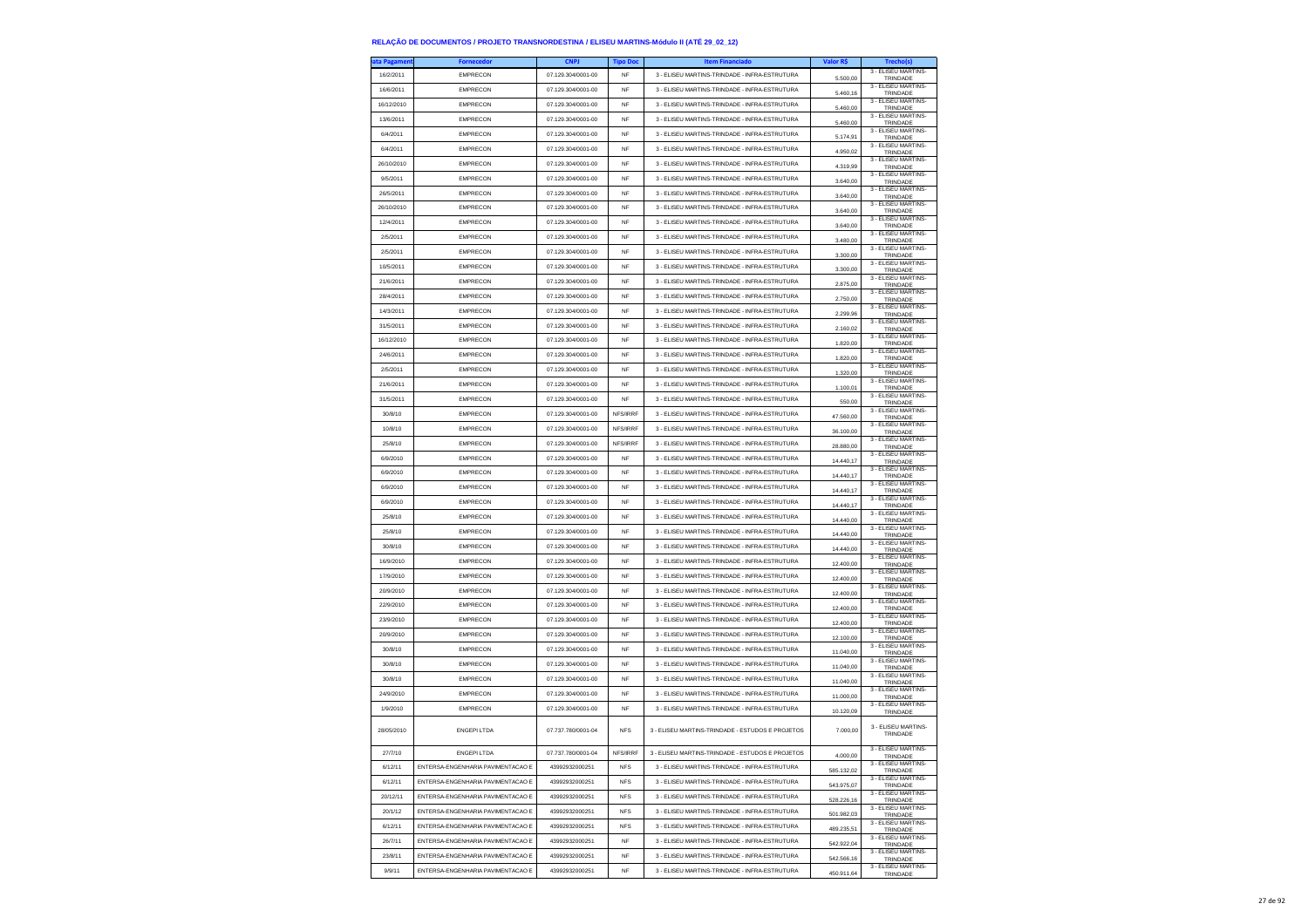| ata Pagamen <sup>.</sup> | <b>Fornecedor</b>                 | <b>CNPJ</b>        | <b>Tipo Doc</b> | <b>Item Financiado</b>                           | Valor R\$  | Trecho(s)                              |
|--------------------------|-----------------------------------|--------------------|-----------------|--------------------------------------------------|------------|----------------------------------------|
| 16/2/2011                | <b>EMPRECON</b>                   | 07.129.304/0001-00 | <b>NF</b>       | 3 - ELISEU MARTINS-TRINDADE - INFRA-ESTRUTURA    | 5,500.00   | 3 - ELISEU MARTINS-<br>TRINDADE        |
| 16/6/2011                | <b>EMPRECON</b>                   | 07.129.304/0001-00 | <b>NF</b>       | 3 - ELISEU MARTINS-TRINDADE - INFRA-ESTRUTURA    | 5.460,16   | 3 - ELISEU MARTINS-<br>TRINDADE        |
| 16/12/2010               | EMPRECON                          | 07.129.304/0001-00 | NF              | 3 - ELISEU MARTINS-TRINDADE - INFRA-ESTRUTURA    | 5.460,00   | 3 - ELISEU MARTINS-<br>TRINDADE        |
| 13/6/2011                | <b>EMPRECON</b>                   | 07.129.304/0001-00 | <b>NF</b>       | 3 - ELISEU MARTINS-TRINDADE - INFRA-ESTRUTURA    | 5,460.00   | 3 - ELISEU MARTINS-<br>TRINDADE        |
| 6/4/2011                 | <b>EMPRECON</b>                   | 07 129 304/0001-00 | <b>NF</b>       | 3 - ELISEU MARTINS-TRINDADE - INFRA-ESTRUTURA    | 5.174,91   | 3 - ELISEU MARTINS-<br>TRINDADE        |
| 6/4/2011                 | EMPRECON                          | 07.129.304/0001-00 | NF              | 3 - ELISEU MARTINS-TRINDADE - INFRA-ESTRUTURA    | 4.950,02   | 3 - ELISEU MARTINS-<br>TRINDADE        |
| 26/10/2010               | <b>EMPRECON</b>                   | 07.129.304/0001-00 | <b>NF</b>       | 3 - ELISEU MARTINS-TRINDADE - INFRA-ESTRUTURA    | 4.319.99   | 3 - ELISEU MARTINS-<br>TRINDADE        |
| 9/5/2011                 | <b>EMPRECON</b>                   | 07.129.304/0001-00 | <b>NF</b>       | 3 - ELISEU MARTINS-TRINDADE - INFRA-ESTRUTURA    | 3.640,00   | 3 - ELISEU MARTINS-<br>TRINDADE        |
| 26/5/2011                | <b>EMPRECON</b>                   | 07.129.304/0001-00 | <b>NF</b>       | 3 - ELISEU MARTINS-TRINDADE - INFRA-ESTRUTURA    | 3.640,00   | 3 - ELISEU MARTINS-<br>TRINDADE        |
| 26/10/2010               | <b>EMPRECON</b>                   | 07.129.304/0001-00 | <b>NF</b>       | 3 - ELISEU MARTINS-TRINDADE - INFRA-ESTRUTURA    | 3,640.00   | 3 - ELISEU MARTINS<br>TRINDADE         |
| 12/4/2011                | <b>EMPRECON</b>                   | 07.129.304/0001-00 | <b>NF</b>       | 3 - ELISEU MARTINS-TRINDADE - INFRA-ESTRUTURA    | 3.640,00   | 3 - ELISEU MARTINS-<br>TRINDADE        |
| 2/5/2011                 | <b>EMPRECON</b>                   | 07.129.304/0001-00 | <b>NF</b>       | 3 - ELISEU MARTINS-TRINDADE - INFRA-ESTRUTURA    | 3.480,00   | 3 - ELISEU MARTINS-<br>TRINDADE        |
| 2/5/2011                 | <b>EMPRECON</b>                   | 07.129.304/0001-00 | <b>NF</b>       | 3 - ELISEU MARTINS-TRINDADE - INFRA-ESTRUTURA    | 3,300.00   | 3 - ELISEU MARTINS-<br>TRINDADE        |
| 10/5/2011                | <b>EMPRECON</b>                   | 07.129.304/0001-00 | <b>NF</b>       | 3 - ELISEU MARTINS-TRINDADE - INFRA-ESTRUTURA    | 3.300,00   | 3 - FLISEU MARTINS-<br>TRINDADE        |
| 21/6/2011                | <b>EMPRECON</b>                   | 07.129.304/0001-00 | <b>NF</b>       | 3 - ELISEU MARTINS-TRINDADE - INFRA-ESTRUTURA    | 2.875,00   | 3 - ELISEU MARTINS-<br>TRINDADE        |
| 28/4/2011                | <b>EMPRECON</b>                   | 07.129.304/0001-00 | NF              | 3 - ELISEU MARTINS-TRINDADE - INFRA-ESTRUTURA    | 2,750.00   | 3 - ELISEU MARTINS-<br>TRINDADE        |
| 14/3/2011                | <b>EMPRECON</b>                   | 07.129.304/0001-00 | <b>NF</b>       | 3 - ELISEU MARTINS-TRINDADE - INFRA-ESTRUTURA    | 2.299,96   | 3 - ELISEU MARTINS-<br>TRINDADE        |
| 31/5/2011                | <b>EMPRECON</b>                   | 07.129.304/0001-00 | <b>NF</b>       | 3 - ELISEU MARTINS-TRINDADE - INFRA-ESTRUTURA    | 2.160,02   | 3 - ELISEU MARTINS-<br>TRINDADE        |
| 16/12/2010               | <b>EMPRECON</b>                   | 07.129.304/0001-00 | NF              | 3 - ELISEU MARTINS-TRINDADE - INFRA-ESTRUTURA    | 1.820,00   | 3 - ELISEU MARTINS-<br>TRINDADE        |
| 24/6/2011                | <b>EMPRECON</b>                   | 07.129.304/0001-00 | <b>NF</b>       | 3 - ELISEU MARTINS-TRINDADE - INFRA-ESTRUTURA    | 1.820,00   | 3 - ELISEU MARTINS-<br>TRINDADE        |
| 2/5/2011                 | <b>EMPRECON</b>                   | 07.129.304/0001-00 | <b>NF</b>       | 3 - ELISEU MARTINS-TRINDADE - INFRA-ESTRUTURA    | 1.320,00   | 3 - ELISEU MARTINS-<br>TRINDADE        |
| 21/6/2011                | <b>EMPRECON</b>                   | 07.129.304/0001-00 | NF              | 3 - ELISEU MARTINS-TRINDADE - INFRA-ESTRUTURA    | 1.100,01   | 3 - FLISEU MARTINS-<br>TRINDADE        |
| 31/5/2011                | EMPRECON                          | 07.129.304/0001-00 | <b>NF</b>       | 3 - ELISEU MARTINS-TRINDADE - INFRA-ESTRUTURA    | 550,00     | 3 - ELISEU MARTINS-<br>TRINDADE        |
| 30/8/10                  | <b>EMPRECON</b>                   | 07 129 304/0001-00 | NFS/IRRF        | 3 - ELISEU MARTINS-TRINDADE - INFRA-ESTRUTURA    | 47.560,00  | 3 - ELISEU MARTINS-<br>TRINDADE        |
| 10/8/10                  | <b>EMPRECON</b>                   | 07.129.304/0001-00 | NFS/IRRF        | 3 - ELISEU MARTINS-TRINDADE - INFRA-ESTRUTURA    | 36.100,00  | 3 - ELISEU MARTINS-<br>TRINDADE        |
| 25/8/10                  | <b>EMPRECON</b>                   | 07.129.304/0001-00 | NFS/IRRF        | 3 - ELISEU MARTINS-TRINDADE - INFRA-ESTRUTURA    | 28,880.00  | 3 - ELISEU MARTINS-<br>TRINDADE        |
| 6/9/2010                 | <b>EMPRECON</b>                   | 07 129 304/0001-00 | <b>NF</b>       | 3 - ELISEU MARTINS-TRINDADE - INFRA-ESTRUTURA    | 14,440.17  | 3 - ELISEU MARTINS-<br>TRINDADE        |
| 6/9/2010                 | <b>EMPRECON</b>                   | 07.129.304/0001-00 | NF              | 3 - ELISEU MARTINS-TRINDADE - INFRA-ESTRUTURA    | 14.440,17  | 3 - ELISEU MARTINS-<br>TRINDADE        |
| 6/9/2010                 | <b>EMPRECON</b>                   | 07.129.304/0001-00 | <b>NF</b>       | 3 - ELISEU MARTINS-TRINDADE - INFRA-ESTRUTURA    | 14,440.17  | 3 - ELISEU MARTINS<br>TRINDADE         |
| 6/9/2010                 | <b>EMPRECON</b>                   | 07.129.304/0001-00 | <b>NF</b>       | 3 - FLISELLMARTINS-TRINDADE - INFRA-ESTRUTURA    | 14.440,17  | 3 - ELISEU MARTINS-<br>TRINDADE        |
| 25/8/10                  | <b>EMPRECON</b>                   | 07.129.304/0001-00 | NF              | 3 - ELISEU MARTINS-TRINDADE - INFRA-ESTRUTURA    | 14,440,00  | 3 - ELISEU MARTINS-<br>TRINDADE        |
| 25/8/10                  | <b>EMPRECON</b>                   | 07.129.304/0001-00 | <b>NF</b>       | 3 - ELISEU MARTINS-TRINDADE - INFRA-ESTRUTURA    | 14,440.00  | 3 - ELISEU MARTINS-<br>TRINDADE        |
| 30/8/10                  | <b>EMPRECON</b>                   | 07.129.304/0001-00 | <b>NF</b>       | 3 - ELISEU MARTINS-TRINDADE - INFRA-ESTRUTURA    | 14.440,00  | 3 - ELISEU MARTINS-<br>TRINDADE        |
| 16/9/2010                | <b>EMPRECON</b>                   | 07.129.304/0001-00 | NF              | 3 - ELISEU MARTINS-TRINDADE - INFRA-ESTRUTURA    | 12.400,00  | 3 - ELISEU MARTINS-<br>TRINDADE        |
| 17/9/2010                | <b>EMPRECON</b>                   | 07.129.304/0001-00 | <b>NF</b>       | 3 - ELISEU MARTINS-TRINDADE - INFRA-ESTRUTURA    | 12,400.00  | 3 - ELISEU MARTINS-<br>TRINDADE        |
| 20/9/2010                | <b>EMPRECON</b>                   | 07.129.304/0001-00 | <b>NF</b>       | 3 - ELISEU MARTINS-TRINDADE - INFRA-ESTRUTURA    | 12.400,00  | 3 - ELISEU MARTINS-<br>TRINDADE        |
| 22/9/2010                | <b>EMPRECON</b>                   | 07.129.304/0001-00 | <b>NF</b>       | 3 - ELISEU MARTINS-TRINDADE - INFRA-ESTRUTURA    | 12.400,00  | 3 - ELISEU MARTINS-<br>TRINDADE        |
| 23/9/2010                | <b>EMPRECON</b>                   | 07.129.304/0001-00 | <b>NF</b>       | 3 - ELISEU MARTINS-TRINDADE - INFRA-ESTRUTURA    | 12,400.00  | 3 - ELISEU MARTINS-<br>TRINDADE        |
| 20/9/2010                | <b>EMPRECON</b>                   | 07.129.304/0001-00 | <b>NF</b>       | 3 - ELISEU MARTINS-TRINDADE - INFRA-ESTRUTURA    | 12.100,00  | 3 - ELISEU MARTINS-<br>TRINDADE        |
| 30/8/10                  | <b>EMPRECON</b>                   | 07.129.304/0001-00 | <b>NF</b>       | 3 - ELISEU MARTINS-TRINDADE - INFRA-ESTRUTURA    | 11.040,00  | 3 - ELISEU MARTINS-<br>TRINDADE        |
| 30/8/10                  | EMPRECON                          | 07.129.304/0001-00 | <b>NF</b>       | 3 - ELISEU MARTINS-TRINDADE - INFRA-ESTRUTURA    | 11.040.00  | 3 - FLISEU MARTINS<br>TRINDADE         |
| 30/8/10                  | <b>EMPRECON</b>                   | 07.129.304/0001-00 | <b>NF</b>       | 3 - ELISEU MARTINS-TRINDADE - INFRA-ESTRUTURA    | 11.040,00  | 3 - FLISEU MARTINS-<br>TRINDADE        |
| 24/9/2010                | <b>EMPRECON</b>                   | 07.129.304/0001-00 | <b>NF</b>       | 3 - ELISEU MARTINS-TRINDADE - INFRA-ESTRUTURA    | 11.000,00  | 3 - ELISEU MARTINS-<br>TRINDADE        |
| 1/9/2010                 | <b>EMPRECON</b>                   | 07.129.304/0001-00 | NF              | 3 - ELISEU MARTINS-TRINDADE - INFRA-ESTRUTURA    | 10.120.09  | 3 - ELISEU MARTINS-<br>TRINDADE        |
|                          |                                   |                    |                 |                                                  |            | 3 - ELISEU MARTINS-                    |
| 28/05/2010               | <b>ENGEPILTDA</b>                 | 07 737 780/0001-04 | <b>NFS</b>      | 3 - ELISEU MARTINS-TRINDADE - ESTUDOS E PROJETOS | 7.000,00   | TRINDADE                               |
| 27/7/10                  | <b>ENGEPILTDA</b>                 | 07.737.780/0001-04 | NFS/IRRF        | 3 - ELISEU MARTINS-TRINDADE - ESTUDOS E PROJETOS | 4.000.00   | 3 - ELISEU MARTINS-<br><b>TRINDADE</b> |
| 6/12/11                  | ENTERSA-ENGENHARIA PAVIMENTACAO E | 43992932000251     | <b>NFS</b>      | 3 - ELISEU MARTINS-TRINDADE - INFRA-ESTRUTURA    | 585.132,02 | 3 - ELISEU MARTINS-<br>TRINDADE        |
| 6/12/11                  | ENTERSA-ENGENHARIA PAVIMENTACAO E | 43992932000251     | <b>NFS</b>      | 3 - FLISELLMARTINS-TRINDADE - INFRA-ESTRUTURA    | 543.975,07 | 3 - ELISEU MARTINS-<br>TRINDADE        |
| 20/12/11                 | ENTERSA-ENGENHARIA PAVIMENTACAO E | 43992932000251     | <b>NFS</b>      | 3 - ELISEU MARTINS-TRINDADE - INFRA-ESTRUTURA    | 528.226,16 | 3 - FLISEU MARTINS-<br>TRINDADE        |
| 20/1/12                  | ENTERSA-ENGENHARIA PAVIMENTACAO E | 43992932000251     | <b>NFS</b>      | 3 - ELISEU MARTINS-TRINDADE - INFRA-ESTRUTURA    | 501.982,03 | 3 - ELISEU MARTINS-<br>TRINDADE        |
| 6/12/11                  | ENTERSA-ENGENHARIA PAVIMENTACAO E | 43992932000251     | <b>NFS</b>      | 3 - ELISEU MARTINS-TRINDADE - INFRA-ESTRUTURA    | 489.235,51 | 3 - ELISEU MARTINS-<br>TRINDADE        |
| 26/7/11                  | ENTERSA-ENGENHARIA PAVIMENTACAO E | 43992932000251     | NF              | 3 - ELISEU MARTINS-TRINDADE - INFRA-ESTRUTURA    | 542.922,04 | 3 - ELISEU MARTINS-<br>TRINDADE        |
| 23/8/11                  | ENTERSA-ENGENHARIA PAVIMENTACAO E | 43992932000251     | <b>NF</b>       | 3 - ELISEU MARTINS-TRINDADE - INFRA-ESTRUTURA    | 542.566,16 | 3 - ELISEU MARTINS-<br>TRINDADE        |
| 9/9/11                   | ENTERSA-ENGENHARIA PAVIMENTACAO E | 43992932000251     | <b>NF</b>       | 3 - ELISEU MARTINS-TRINDADE - INFRA-ESTRUTURA    | 450.911,64 | 3 - ELISEU MARTINS-<br>TRINDADE        |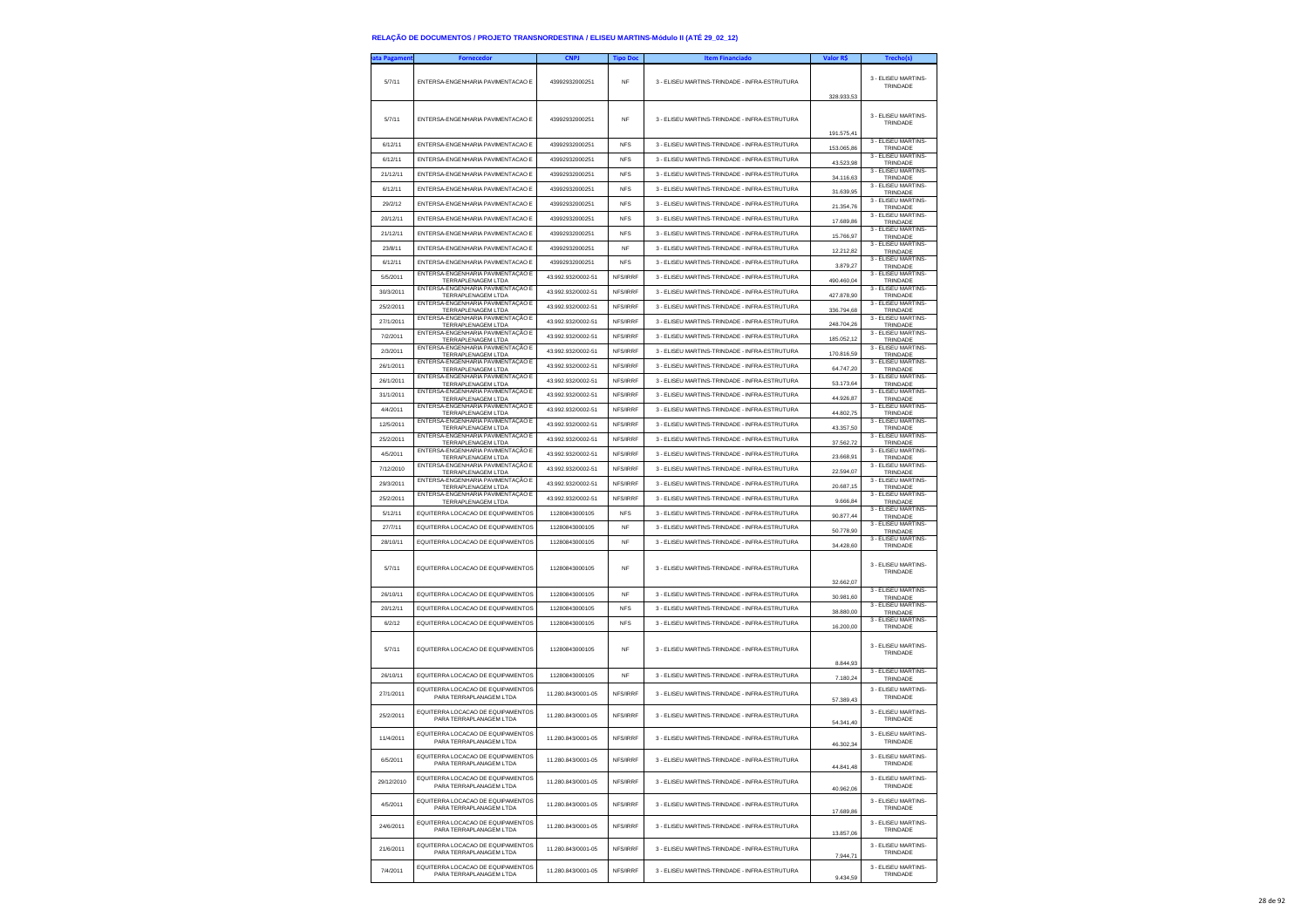| ata Pagamer | <b>Fornecedo</b>                                                                                    | <b>CNPJ</b>        | <b>Tipo Doc</b> | <b>Item Financiado</b>                        | Valor R\$  | Trecho(s)                                              |
|-------------|-----------------------------------------------------------------------------------------------------|--------------------|-----------------|-----------------------------------------------|------------|--------------------------------------------------------|
| 5/7/11      | ENTERSA-ENGENHARIA PAVIMENTACAO E                                                                   | 43992932000251     | <b>NF</b>       | 3 - ELISEU MARTINS-TRINDADE - INFRA-ESTRUTURA | 328.933.53 | 3 - ELISEU MARTINS<br>TRINDADE                         |
| 5/7/11      | ENTERSA-ENGENHARIA PAVIMENTACAO E                                                                   | 43992932000251     | <b>NF</b>       | 3 - ELISEU MARTINS-TRINDADE - INFRA-ESTRUTURA | 191.575,41 | 3 - ELISEU MARTINS<br>TRINDADE                         |
| 6/12/11     | ENTERSA-ENGENHARIA PAVIMENTACAO E                                                                   | 43992932000251     | <b>NFS</b>      | 3 - ELISEU MARTINS-TRINDADE - INFRA-ESTRUTURA | 153.065,86 | 3 - ELISEU MARTINS-<br>TRINDADE                        |
| 6/12/11     | ENTERSA-ENGENHARIA PAVIMENTACAO E                                                                   | 43992932000251     | <b>NFS</b>      | 3 - FLISELLMARTINS-TRINDADE - INFRA-ESTRUTURA | 43,523.98  | 3 - ELISEU MARTINS-<br>TRINDADE                        |
| 21/12/11    | ENTERSA-ENGENHARIA PAVIMENTACAO E                                                                   | 43992932000251     | <b>NFS</b>      | 3 - ELISEU MARTINS-TRINDADE - INFRA-ESTRUTURA | 34.116.63  | 3 - ELISEU MARTINS<br>TRINDADE                         |
| 6/12/11     | ENTERSA-ENGENHARIA PAVIMENTACAO E                                                                   | 43992932000251     | <b>NFS</b>      | 3 - ELISEU MARTINS-TRINDADE - INFRA-ESTRUTURA | 31.639,95  | 3 - ELISEU MARTINS-<br>TRINDADE                        |
| 29/2/12     | ENTERSA-ENGENHARIA PAVIMENTACAO E                                                                   | 43992932000251     | <b>NFS</b>      | 3 - ELISEU MARTINS-TRINDADE - INFRA-ESTRUTURA | 21.354,76  | 3 - ELISEU MARTINS-<br>TRINDADE                        |
| 20/12/11    | ENTERSA-ENGENHARIA PAVIMENTACAO E                                                                   | 43992932000251     | <b>NFS</b>      | 3 - ELISEU MARTINS-TRINDADE - INFRA-ESTRUTURA | 17.689,86  | 3 - ELISEU MARTINS-<br>TRINDADE                        |
| 21/12/11    | ENTERSA-ENGENHARIA PAVIMENTACAO E                                                                   | 43992932000251     | <b>NFS</b>      | 3 - ELISEU MARTINS-TRINDADE - INFRA-ESTRUTURA | 15.766,97  | 3 - FLISEU MARTINS-<br>TRINDADE                        |
| 23/8/11     | ENTERSA-ENGENHARIA PAVIMENTACAO E                                                                   | 43992932000251     | <b>NF</b>       | 3 - ELISEU MARTINS-TRINDADE - INFRA-ESTRUTURA | 12.212,82  | 3 - ELISEU MARTINS-<br>TRINDADE                        |
| 6/12/11     | ENTERSA-ENGENHARIA PAVIMENTACAO E                                                                   | 43992932000251     | <b>NFS</b>      | 3 - ELISEU MARTINS-TRINDADE - INFRA-ESTRUTURA | 3.879.27   | 3 - ELISEU MARTINS-<br>TRINDADE                        |
| 5/5/2011    | ENTERSA-ENGENHARIA PAVIMENTAÇÃO E<br>TERRAPLENAGEM LTDA                                             | 43 992 932/0002-51 | NFS/IRRF        | 3 - ELISEU MARTINS-TRINDADE - INFRA-ESTRUTURA | 490.460,04 | 3 - ELISEU MARTINS-<br>TRINDADE                        |
| 30/3/2011   | ENTERSA-ENGENHARIA PAVIMENTAÇÃO E<br>TERRAPLENAGEM LTDA                                             | 43.992.932/0002-51 | NFS/IRRF        | 3 - ELISEU MARTINS-TRINDADE - INFRA-ESTRUTURA | 427.878,90 | 3 - ELISEU MARTINS-<br>TRINDADE                        |
| 25/2/2011   | ENTERSA-ENGENHARIA PAVIMENTACÃO E<br><b>TERRAPLENAGEM LTDA</b>                                      | 43.992.932/0002-51 | NFS/IRRF        | 3 - ELISEU MARTINS-TRINDADE - INFRA-ESTRUTURA | 336.794,68 | 3 - ELISEU MARTINS-<br>TRINDADE                        |
| 27/1/2011   | ENTERSA-ENGENHARIA PAVIMENTAÇÃO E<br>TERRAPLENAGEM LTDA                                             | 43.992.932/0002-51 | NFS/IRRF        | 3 - ELISEU MARTINS-TRINDADE - INFRA-ESTRUTURA | 248.704.26 | 3 - ELISEU MARTINS-<br>TRINDADE                        |
| 7/2/2011    | ENTERSA-ENGENHARIA PAVIMENTAÇÃO E<br>TERRAPLENAGEM LTDA                                             | 43.992.932/0002-51 | NFS/IRRF        | 3 - ELISEU MARTINS-TRINDADE - INFRA-ESTRUTURA | 185.052,12 | 3 - ELISEU MARTINS-<br>TRINDADE                        |
| 2/3/2011    | ENTERSA-ENGENHARIA PAVIMENTAÇÃO E<br><b>TERRAPLENAGEM LTDA</b>                                      | 43.992.932/0002-51 | NFS/IRRF        | 3 - ELISEU MARTINS-TRINDADE - INFRA-ESTRUTURA | 170.816,59 | 3 - ELISEU MARTINS-<br>TRINDADE                        |
| 26/1/2011   | ENTERSA-ENGENHARIA PAVIMENTAÇÃO E<br>TERRAPLENAGEM LTDA                                             | 43.992.932/0002-51 | NFS/IRRF        | 3 - ELISEU MARTINS-TRINDADE - INFRA-ESTRUTURA | 64 747 20  | 3 - ELISEU MARTINS-<br>TRINDADE                        |
| 26/1/2011   | ENTERSA-ENGENHARIA PAVIMENTAÇÃO E<br>TERRAPLENAGEM LTDA                                             | 43.992.932/0002-51 | NFS/IRRF        | 3 - FLISELLMARTINS-TRINDADE - INFRA-ESTRUTURA | 53.173,64  | 3 - ELISEU MARTINS-<br>TRINDADE                        |
| 31/1/2011   | ENTERSA-ENGENHARIA PAVIMENTAÇÃO E<br>TERRAPLENAGEM LTDA                                             | 43.992.932/0002-51 | NFS/IRRF        | 3 - ELISEU MARTINS-TRINDADE - INFRA-ESTRUTURA | 44.926,87  | 3 - ELISEU MARTINS-<br>TRINDADE                        |
| 4/4/2011    | ENTERSA-ENGENHARIA PAVIMENTAÇÃO E<br>TERRAPLENAGEM LTDA                                             | 43.992.932/0002-51 | NFS/IRRF        | 3 - ELISEU MARTINS-TRINDADE - INFRA-ESTRUTURA | 44.802.75  | 3 - ELISEU MARTINS-<br>TRINDADE                        |
| 12/5/2011   | ENTERSA-ENGENHARIA PAVIMENTAÇÃO E<br>TERRAPLENAGEM LTDA                                             | 43.992.932/0002-51 | NFS/IRRF        | 3 - ELISEU MARTINS-TRINDADE - INFRA-ESTRUTURA | 43.357,50  | 3 - ELISEU MARTINS-<br>TRINDADE                        |
| 25/2/2011   | ENTERSA-ENGENHARIA PAVIMENTAÇÃO E<br><b>TERRAPLENAGEM LTDA</b>                                      | 43.992.932/0002-51 | NFS/IRRF        | 3 - ELISEU MARTINS-TRINDADE - INFRA-ESTRUTURA | 37.562.72  | 3 - ELISEU MARTINS-<br>TRINDADE                        |
| 4/5/2011    | ENTERSA-ENGENHARIA PAVIMENTACÃO E<br>TERRAPLENAGEM LTDA                                             | 43.992.932/0002-51 | NFS/IRRF        | 3 - ELISEU MARTINS-TRINDADE - INFRA-ESTRUTURA | 23 668 91  | 3 - FLISEU MARTINS-<br>TRINDADE                        |
| 7/12/2010   | ENTERSA-ENGENHARIA PAVIMENTAÇÃO E<br>TERRAPLENAGEM LTDA                                             | 43.992.932/0002-51 | NFS/IRRF        | 3 - ELISEU MARTINS-TRINDADE - INFRA-ESTRUTURA | 22.594,07  | 3 - ELISEU MARTINS-<br>TRINDADE                        |
| 29/3/2011   | ENTERSA-ENGENHARIA PAVIMENTAÇÃO E<br>TERRAPLENAGEM LTDA                                             | 43.992.932/0002-51 | NFS/IRRF        | 3 - ELISEU MARTINS-TRINDADE - INFRA-ESTRUTURA | 20.687,15  | 3 - ELISEU MARTINS-<br>TRINDADE                        |
| 25/2/2011   | ENTERSA-ENGENHARIA PAVIMENTAÇÃO E<br><b>TERRAPLENAGEM LTDA</b>                                      | 43 992 932/0002-51 | NFS/IRRF        | 3 - ELISEU MARTINS-TRINDADE - INFRA-ESTRUTURA | 9.666.84   | 3 - ELISEU MARTINS-<br>TRINDADE                        |
| 5/12/11     | EQUITERRA LOCACAO DE EQUIPAMENTOS                                                                   | 11280843000105     | <b>NFS</b>      | 3 - ELISEU MARTINS-TRINDADE - INFRA-ESTRUTURA | 90.877,44  | 3 - ELISEU MARTINS-<br>TRINDADE                        |
| 27/7/11     | EQUITERRA LOCACAO DE EQUIPAMENTOS                                                                   | 11280843000105     | <b>NF</b>       | 3 - ELISEU MARTINS-TRINDADE - INFRA-ESTRUTURA | 50.778,90  | 3 - ELISEU MARTINS-<br>TRINDADE                        |
| 28/10/11    | EQUITERRA LOCACAO DE EQUIPAMENTOS                                                                   | 11280843000105     | <b>NF</b>       | 3 - ELISEU MARTINS-TRINDADE - INFRA-ESTRUTURA | 34.428.60  | 3 - ELISEU MARTINS-<br>TRINDADE                        |
| 5/7/11      | EQUITERRA LOCACAO DE EQUIPAMENTOS                                                                   | 11280843000105     | <b>NF</b>       | 3 - ELISEU MARTINS-TRINDADE - INFRA-ESTRUTURA | 32.662,07  | 3 - ELISEU MARTINS-<br>TRINDADE                        |
| 26/10/11    | EQUITERRA LOCACAO DE EQUIPAMENTOS                                                                   | 11280843000105     | <b>NF</b>       | 3 - ELISEU MARTINS-TRINDADE - INFRA-ESTRUTURA | 30.981.60  | 3 - ELISEU MARTINS<br>TRINDADE                         |
| 20/12/11    | EQUITERRA LOCACAO DE EQUIPAMENTOS                                                                   | 11280843000105     | <b>NFS</b>      | 3 - ELISEU MARTINS-TRINDADE - INFRA-ESTRUTURA | 38.880,00  | 3 - ELISEU MARTINS-<br>TRINDADE                        |
| 6/2/12      | EQUITERRA LOCACAO DE EQUIPAMENTOS                                                                   | 11280843000105     | <b>NFS</b>      | 3 - ELISEU MARTINS-TRINDADE - INFRA-ESTRUTURA | 16.200,00  | 3 - ELISEU MARTINS-<br>TRINDADE                        |
| 5/7/11      | EQUITERRA LOCACAO DE EQUIPAMENTOS                                                                   | 11280843000105     | NF              | 3 - ELISEU MARTINS-TRINDADE - INFRA-ESTRUTURA | 8.844,93   | 3 - ELISEU MARTINS<br>TRINDADE                         |
| 26/10/11    | EQUITERRA LOCACAO DE EQUIPAMENTOS                                                                   | 11280843000105     | NF              | 3 - ELISEU MARTINS-TRINDADE - INFRA-ESTRUTURA | 7.180.24   | 3 - FLISEU MARTINS-<br>TRINDADE                        |
| 27/1/2011   | FOUITERRA LOCACAO DE FOUIPAMENTOS<br>PARA TERRAPLANAGEM LTDA                                        | 11.280.843/0001-05 | NFS/IRRF        | 3 - ELISEU MARTINS-TRINDADE - INFRA-ESTRUTURA | 57.389,43  | 3 - FLISEU MARTINS-<br>TRINDADE                        |
| 25/2/2011   | EQUITERRA LOCACAO DE EQUIPAMENTOS<br>PARA TERRAPLANAGEM LTDA                                        | 11.280.843/0001-05 | NFS/IRRF        | 3 - ELISEU MARTINS-TRINDADE - INFRA-ESTRUTURA | 54.341.40  | 3 - ELISEU MARTINS<br>TRINDADE                         |
| 11/4/2011   | EQUITERRA LOCACAO DE EQUIPAMENTOS<br>PARA TERRAPLANAGEM LTDA                                        | 11.280.843/0001-05 | NFS/IRRF        | 3 - ELISEU MARTINS-TRINDADE - INFRA-ESTRUTURA | 46.302,34  | 3 - ELISEU MARTINS-<br>TRINDADE                        |
| 6/5/2011    | EQUITERRA LOCACAO DE EQUIPAMENTOS<br>PARA TERRAPLANAGEM LTDA                                        | 11.280.843/0001-05 | NFS/IRRF        | 3 - ELISEU MARTINS-TRINDADE - INFRA-ESTRUTURA | 44.841.48  | 3 - ELISEU MARTINS-<br>TRINDADE<br>3 - FLISEU MARTINS- |
| 29/12/2010  | EQUITERRA LOCACAO DE EQUIPAMENTOS<br>PARA TERRAPI ANAGEM I TDA<br>EQUITERRA LOCACAO DE EQUIPAMENTOS | 11.280.843/0001-05 | NFS/IRRF        | 3 - ELISEU MARTINS-TRINDADE - INFRA-ESTRUTURA | 40.962,06  | TRINDADE<br>3 - ELISEU MARTINS-                        |
| 4/5/2011    | PARA TERRAPI ANAGEM I TDA<br>EQUITERRA LOCACAO DE EQUIPAMENTOS                                      | 11.280.843/0001-05 | NFS/IRRF        | 3 - ELISEU MARTINS-TRINDADE - INFRA-ESTRUTURA | 17,689.86  | TRINDADE<br>3 - ELISEU MARTINS-                        |
| 24/6/2011   | PARA TERRAPLANAGEM LTDA<br>EQUITERRA LOCACAO DE EQUIPAMENTOS                                        | 11.280.843/0001-05 | NFS/IRRF        | 3 - ELISEU MARTINS-TRINDADE - INFRA-ESTRUTURA | 13.857,06  | TRINDADE<br>3 - ELISEU MARTINS-                        |
| 21/6/2011   | PARA TERRAPLANAGEM LTDA                                                                             | 11 280 843/0001-05 | NFS/IRRF        | 3 - ELISEU MARTINS-TRINDADE - INFRA-ESTRUTURA | 7.944.71   | TRINDADE                                               |
| 7/4/2011    | EQUITERRA LOCACAO DE EQUIPAMENTOS<br>PARA TERRAPLANAGEM LTDA                                        | 11.280.843/0001-05 | NFS/IRRF        | 3 - ELISEU MARTINS-TRINDADE - INFRA-ESTRUTURA | 9.434,59   | 3 - ELISEU MARTINS-<br>TRINDADE                        |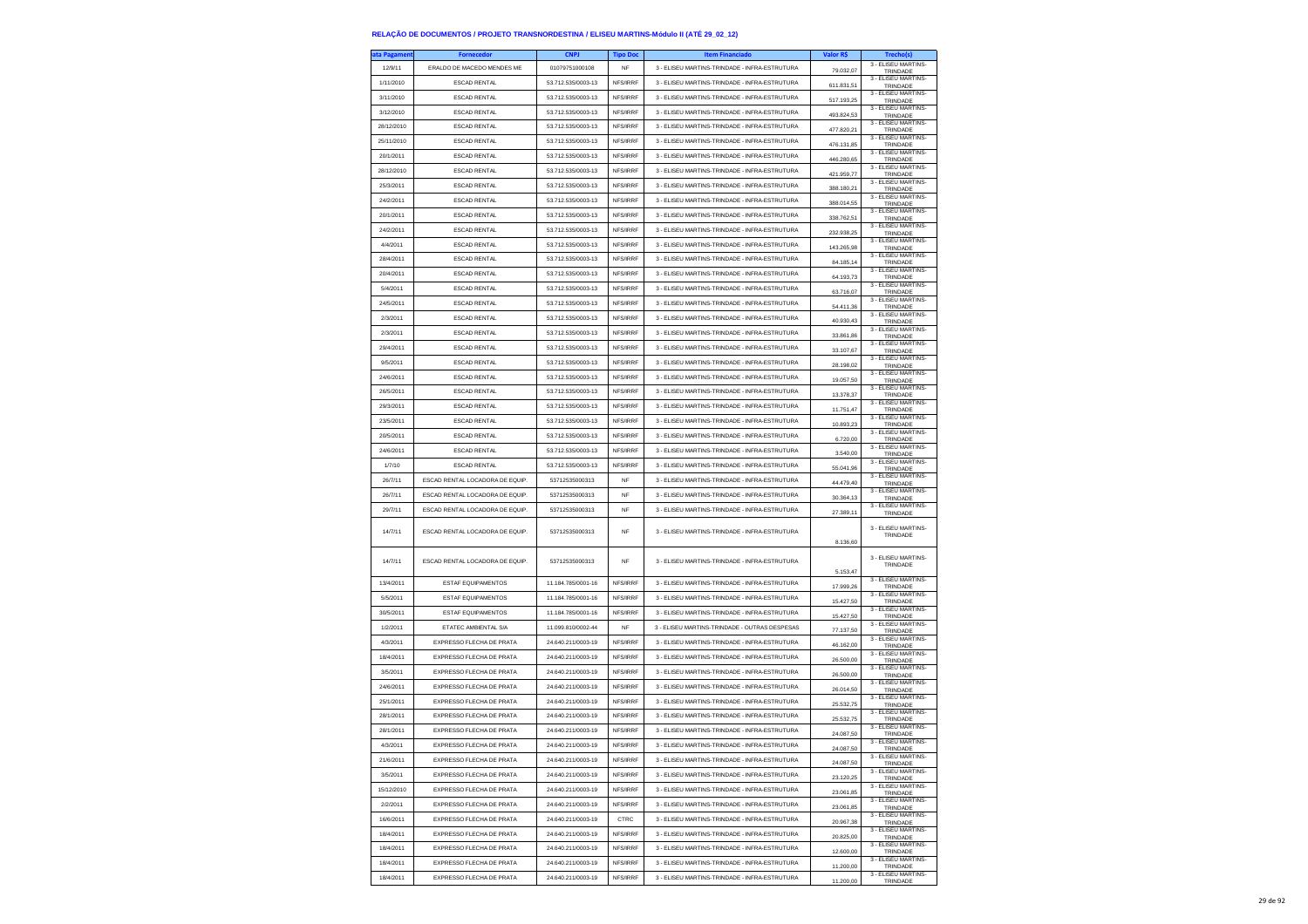| ıta Pagamen | <b>Fornecedor</b>               | <b>CNPJ</b>        | <b>Tipo Doc</b> | <b>Item Financiado</b>                        | Valor R\$  | Trecho(s)                                              |
|-------------|---------------------------------|--------------------|-----------------|-----------------------------------------------|------------|--------------------------------------------------------|
| 12/9/11     | ERALDO DE MACEDO MENDES ME      | 01079751000108     | NF              | 3 - ELISEU MARTINS-TRINDADE - INFRA-ESTRUTURA | 79.032,07  | 3 - ELISEU MARTINS-<br>TRINDADE                        |
| 1/11/2010   | <b>ESCAD RENTAL</b>             | 53.712.535/0003-13 | NFS/IRRF        | 3 - ELISEU MARTINS-TRINDADE - INFRA-ESTRUTURA | 611.831.51 | 3 - FLISEU MARTINS-<br>TRINDADE                        |
| 3/11/2010   | <b>ESCAD RENTAL</b>             | 53.712.535/0003-13 | NFS/IRRF        | 3 - ELISEU MARTINS-TRINDADE - INFRA-ESTRUTURA | 517.193,25 | 3 - ELISEU MARTINS-                                    |
| 3/12/2010   | <b>ESCAD RENTAL</b>             | 53.712.535/0003-13 | NFS/IRRF        | 3 - ELISEU MARTINS-TRINDADE - INFRA-ESTRUTURA |            | TRINDADE<br>3 - ELISEU MARTINS-                        |
| 28/12/2010  | <b>ESCAD RENTAL</b>             | 53.712.535/0003-13 | NFS/IRRF        | 3 - ELISEU MARTINS-TRINDADE - INFRA-ESTRUTURA | 493.824,53 | TRINDADE<br>3 - ELISEU MARTINS-                        |
| 25/11/2010  | <b>ESCAD RENTAL</b>             | 53 712 535/0003-13 | NFS/IRRF        | 3 - ELISEU MARTINS-TRINDADE - INFRA-ESTRUTURA | 477.820.21 | TRINDADE<br>3 - ELISEU MARTINS-                        |
|             | <b>ESCAD RENTAL</b>             | 53.712.535/0003-13 | NFS/IRRF        |                                               | 476.131,85 | TRINDADE<br>3 - ELISEU MARTINS-                        |
| 20/1/2011   |                                 |                    |                 | 3 - ELISEU MARTINS-TRINDADE - INFRA-ESTRUTURA | 446.280,65 | TRINDADE<br>3 - ELISEU MARTINS-                        |
| 28/12/2010  | <b>ESCAD RENTAL</b>             | 53.712.535/0003-13 | NFS/IRRF        | 3 - ELISEU MARTINS-TRINDADE - INFRA-ESTRUTURA | 421.959,77 | TRINDADE<br>3 - ELISEU MARTINS-                        |
| 25/3/2011   | <b>ESCAD RENTAL</b>             | 53.712.535/0003-13 | NFS/IRRF        | 3 - ELISEU MARTINS-TRINDADE - INFRA-ESTRUTURA | 388.180,21 | TRINDADE<br>3 - ELISEU MARTINS-                        |
| 24/2/2011   | <b>ESCAD RENTAL</b>             | 53.712.535/0003-13 | NFS/IRRF        | 3 - ELISEU MARTINS-TRINDADE - INFRA-ESTRUTURA | 388.014.55 | TRINDADE<br>3 - ELISEU MARTINS-                        |
| 20/1/2011   | <b>ESCAD RENTAL</b>             | 53.712.535/0003-13 | NFS/IRRF        | 3 - ELISEU MARTINS-TRINDADE - INFRA-ESTRUTURA | 338.762,51 | TRINDADE<br>3 - ELISEU MARTINS-                        |
| 24/2/2011   | <b>ESCAD RENTAL</b>             | 53.712.535/0003-13 | NFS/IRRF        | 3 - ELISEU MARTINS-TRINDADE - INFRA-ESTRUTURA | 232.938,25 | TRINDADE<br>3 - ELISEU MARTINS-                        |
| 4/4/2011    | <b>ESCAD RENTAL</b>             | 53.712.535/0003-13 | NFS/IRRF        | 3 - ELISEU MARTINS-TRINDADE - INFRA-ESTRUTURA | 143.265,98 | TRINDADE                                               |
| 28/4/2011   | <b>ESCAD RENTAL</b>             | 53.712.535/0003-13 | NFS/IRRF        | 3 - ELISEU MARTINS-TRINDADE - INFRA-ESTRUTURA | 84.185,14  | 3 - ELISEU MARTINS-<br>TRINDADE                        |
| 20/4/2011   | <b>ESCAD RENTAL</b>             | 53.712.535/0003-13 | NFS/IRRF        | 3 - ELISEU MARTINS-TRINDADE - INFRA-ESTRUTURA | 64.193.73  | 3 - FLISEU MARTINS-<br>TRINDADE                        |
| 5/4/2011    | <b>ESCAD RENTAL</b>             | 53.712.535/0003-13 | NFS/IRRF        | 3 - ELISEU MARTINS-TRINDADE - INFRA-ESTRUTURA | 63.716,07  | 3 - ELISEU MARTINS-<br>TRINDADE                        |
| 24/5/2011   | <b>ESCAD RENTAL</b>             | 53.712.535/0003-13 | NFS/IRRF        | 3 - ELISEU MARTINS-TRINDADE - INFRA-ESTRUTURA | 54.411,36  | 3 - ELISEU MARTINS-<br>TRINDADE                        |
| 2/3/2011    | <b>ESCAD RENTAL</b>             | 53.712.535/0003-13 | NFS/IRRF        | 3 - ELISEU MARTINS-TRINDADE - INFRA-ESTRUTURA | 40.930.43  | 3 - ELISEU MARTINS-<br>TRINDADE                        |
| 2/3/2011    | <b>ESCAD RENTAL</b>             | 53.712.535/0003-13 | NFS/IRRF        | 3 - ELISEU MARTINS-TRINDADE - INFRA-ESTRUTURA | 33.861,86  | 3 - ELISEU MARTINS-<br>TRINDADE                        |
| 29/4/2011   | <b>ESCAD RENTAL</b>             | 53.712.535/0003-13 | NFS/IRRF        | 3 - ELISEU MARTINS-TRINDADE - INFRA-ESTRUTURA | 33.107,67  | 3 - ELISEU MARTINS-<br>TRINDADE                        |
| 9/5/2011    | <b>ESCAD RENTAL</b>             | 53.712.535/0003-13 | NFS/IRRF        | 3 - ELISEU MARTINS-TRINDADE - INFRA-ESTRUTURA | 28.198.02  | 3 - ELISEU MARTINS-<br>TRINDADE                        |
| 24/6/2011   | <b>ESCAD RENTAL</b>             | 53.712.535/0003-13 | NFS/IRRF        | 3 - ELISEU MARTINS-TRINDADE - INFRA-ESTRUTURA | 19.057,50  | 3 - ELISEU MARTINS-<br>TRINDADE                        |
| 26/5/2011   | <b>ESCAD RENTAL</b>             | 53.712.535/0003-13 | NFS/IRRF        | 3 - ELISEU MARTINS-TRINDADE - INFRA-ESTRUTURA | 13.378,37  | 3 - ELISEU MARTINS-<br>TRINDADE                        |
| 29/3/2011   | <b>ESCAD RENTAL</b>             | 53.712.535/0003-13 | NFS/IRRF        | 3 - ELISEU MARTINS-TRINDADE - INFRA-ESTRUTURA | 11.751,47  | 3 - ELISEU MARTINS-<br>TRINDADE                        |
| 23/5/2011   | <b>ESCAD RENTAL</b>             | 53 712 535/0003-13 | NFS/IRRF        | 3 - ELISEU MARTINS-TRINDADE - INFRA-ESTRUTURA | 10.893,23  | 3 - ELISEU MARTINS-<br>TRINDADE                        |
| 20/5/2011   | <b>ESCAD RENTAL</b>             | 53.712.535/0003-13 | NFS/IRRF        | 3 - ELISEU MARTINS-TRINDADE - INFRA-ESTRUTURA | 6.720,00   | 3 - ELISEU MARTINS-<br>TRINDADE                        |
| 24/6/2011   | <b>ESCAD RENTAL</b>             | 53.712.535/0003-13 | NFS/IRRF        | 3 - ELISEU MARTINS-TRINDADE - INFRA-ESTRUTURA | 3,540.00   | 3 - ELISEU MARTINS-<br>TRINDADE                        |
| 1/7/10      | <b>ESCAD RENTAL</b>             | 53.712.535/0003-13 | NFS/IRRF        | 3 - ELISEU MARTINS-TRINDADE - INFRA-ESTRUTURA | 55.041.96  | 3 - ELISEU MARTINS-                                    |
|             |                                 |                    |                 |                                               |            |                                                        |
| 26/7/11     | ESCAD RENTAL LOCADORA DE EQUIP. | 53712535000313     | <b>NF</b>       | 3 - ELISEU MARTINS-TRINDADE - INFRA-ESTRUTURA |            | TRINDADE<br>3 - ELISEU MARTINS-                        |
| 26/7/11     | ESCAD RENTAL LOCADORA DE EQUIP. | 53712535000313     | <b>NF</b>       | 3 - ELISEU MARTINS-TRINDADE - INFRA-ESTRUTURA | 44.479,40  | TRINDADE<br>3 - ELISEU MARTINS-                        |
| 29/7/11     | ESCAD RENTAL LOCADORA DE EQUIP. | 53712535000313     | <b>NF</b>       | 3 - ELISEU MARTINS-TRINDADE - INFRA-ESTRUTURA | 30 364 13  | TRINDADE<br>3 - ELISEU MARTINS-                        |
|             |                                 |                    |                 |                                               | 27.389,11  | TRINDADE                                               |
| 14/7/11     | ESCAD RENTAL LOCADORA DE EQUIP. | 53712535000313     | NF              | 3 - ELISEU MARTINS-TRINDADE - INFRA-ESTRUTURA |            | 3 - ELISEU MARTINS-<br>TRINDADE                        |
|             |                                 |                    |                 |                                               | 8.136.60   |                                                        |
| 14/7/11     | ESCAD RENTAL LOCADORA DE EQUIP  | 53712535000313     | <b>NF</b>       | 3 - ELISEU MARTINS-TRINDADE - INFRA-ESTRUTURA |            | 3 - ELISEU MARTINS-<br>TRINDADE                        |
|             |                                 |                    |                 |                                               | 5.153,47   | 3 - ELISEU MARTINS                                     |
| 13/4/2011   | <b>ESTAF EQUIPAMENTOS</b>       | 11.184.785/0001-16 | NFS/IRRF        | 3 - ELISEU MARTINS-TRINDADE - INFRA-ESTRUTURA | 17.999.26  | TRINDADE<br>3 - ELISEU MARTINS-                        |
| 5/5/2011    | <b>ESTAF EQUIPAMENTOS</b>       | 11.184.785/0001-16 | NFS/IRRF        | 3 - ELISEU MARTINS-TRINDADE - INFRA-ESTRUTURA | 15.427,50  | TRINDADE                                               |
| 30/5/2011   | <b>ESTAF EQUIPAMENTOS</b>       | 11.184.785/0001-16 | NFS/IRRF        | 3 - ELISEU MARTINS-TRINDADE - INFRA-ESTRUTURA | 15.427,50  | 3 - ELISEU MARTINS-<br>TRINDADE<br>3 - ELISEU MARTINS- |
| 1/2/2011    | ETATEC AMBIENTAL S/A            | 11.099.810/0002-44 | NF              | 3 - ELISEU MARTINS-TRINDADE - OUTRAS DESPESAS | 77.137,50  | TRINDADE                                               |
| 4/3/2011    | EXPRESSO FLECHA DE PRATA        | 24.640.211/0003-19 | NFS/IRRF        | 3 - ELISEU MARTINS-TRINDADE - INFRA-ESTRUTURA | 46.162,00  | 3 - ELISEU MARTINS-<br>TRINDADE                        |
| 18/4/2011   | EXPRESSO FLECHA DE PRATA        | 24.640.211/0003-19 | NFS/IRRF        | 3 - ELISEU MARTINS-TRINDADE - INFRA-ESTRUTURA | 26.500,00  | 3 - ELISEU MARTINS-<br>TRINDADE<br>3 - ELISEU MARTINS- |
| 3/5/2011    | EXPRESSO FLECHA DE PRATA        | 24.640.211/0003-19 | NFS/IRRF        | 3 - ELISEU MARTINS-TRINDADE - INFRA-ESTRUTURA | 26,500.00  | TRINDADE                                               |
| 24/6/2011   | EXPRESSO FLECHA DE PRATA        | 24.640.211/0003-19 | NFS/IRRF        | 3 - ELISEU MARTINS-TRINDADE - INFRA-ESTRUTURA | 26.014,50  | 3 - ELISEU MARTINS-<br>TRINDADE                        |
| 25/1/2011   | EXPRESSO FLECHA DE PRATA        | 24.640.211/0003-19 | NFS/IRRF        | 3 - ELISEU MARTINS-TRINDADE - INFRA-ESTRUTURA | 25.532,75  | 3 - ELISEU MARTINS-<br>TRINDADE                        |
| 28/1/2011   | EXPRESSO FLECHA DE PRATA        | 24.640.211/0003-19 | NFS/IRRF        | 3 - ELISEU MARTINS-TRINDADE - INFRA-ESTRUTURA | 25.532.75  | 3 - ELISEU MARTINS-<br>TRINDADE                        |
| 28/1/2011   | EXPRESSO FLECHA DE PRATA        | 24 640 211/0003-19 | NFS/IRRF        | 3 - ELISEU MARTINS-TRINDADE - INFRA-ESTRUTURA | 24.087,50  | 3 - FLISEU MARTINS-<br>TRINDADE                        |
| 4/3/2011    | EXPRESSO FLECHA DE PRATA        | 24.640.211/0003-19 | NES/IRRE        | 3 - ELISEU MARTINS-TRINDADE - INFRA-ESTRUTURA | 24.087,50  | 3 - ELISEU MARTINS-<br><b>I RINDAL</b>                 |
| 21/6/2011   | EXPRESSO FLECHA DE PRATA        | 24.640.211/0003-19 | NFS/IRRF        | 3 - ELISEU MARTINS-TRINDADE - INFRA-ESTRUTURA | 24.087.50  | 3 - ELISEU MARTINS-<br>TRINDADE                        |
| 3/5/2011    | EXPRESSO FLECHA DE PRATA        | 24 640 211/0003-19 | NFS/IRRF        | 3 - ELISEU MARTINS-TRINDADE - INFRA-ESTRUTURA | 23.120,25  | 3 - ELISEU MARTINS-<br>TRINDADE                        |
| 15/12/2010  | EXPRESSO FLECHA DE PRATA        | 24.640.211/0003-19 | NFS/IRRF        | 3 - ELISEU MARTINS-TRINDADE - INFRA-ESTRUTURA | 23.061,85  | 3 - ELISEU MARTINS-<br>TRINDADE                        |
| 2/2/2011    | EXPRESSO FLECHA DE PRATA        | 24.640.211/0003-19 | NFS/IRRF        | 3 - ELISEU MARTINS-TRINDADE - INFRA-ESTRUTURA | 23.061,85  | 3 - ELISEU MARTINS-<br>TRINDADE                        |
| 16/6/2011   | EXPRESSO FLECHA DE PRATA        | 24.640.211/0003-19 | CTRC            | 3 - ELISEU MARTINS-TRINDADE - INFRA-ESTRUTURA | 20.967,38  | 3 - ELISEU MARTINS-<br>TRINDADE                        |
| 18/4/2011   | EXPRESSO FLECHA DE PRATA        | 24.640.211/0003-19 | NFS/IRRF        | 3 - ELISEU MARTINS-TRINDADE - INFRA-ESTRUTURA | 20.825,00  | 3 - ELISEU MARTINS-<br>TRINDADE                        |
| 18/4/2011   | EXPRESSO FLECHA DE PRATA        | 24.640.211/0003-19 | NFS/IRRF        | 3 - ELISEU MARTINS-TRINDADE - INFRA-ESTRUTURA | 12.600,00  | 3 - ELISEU MARTINS-<br>TRINDADE                        |
| 18/4/2011   | EXPRESSO FLECHA DE PRATA        | 24.640.211/0003-19 | NFS/IRRF        | 3 - ELISEU MARTINS-TRINDADE - INFRA-ESTRUTURA | 11.200,00  | 3 - ELISEU MARTINS-<br>TRINDADE<br>3 - ELISEU MARTINS- |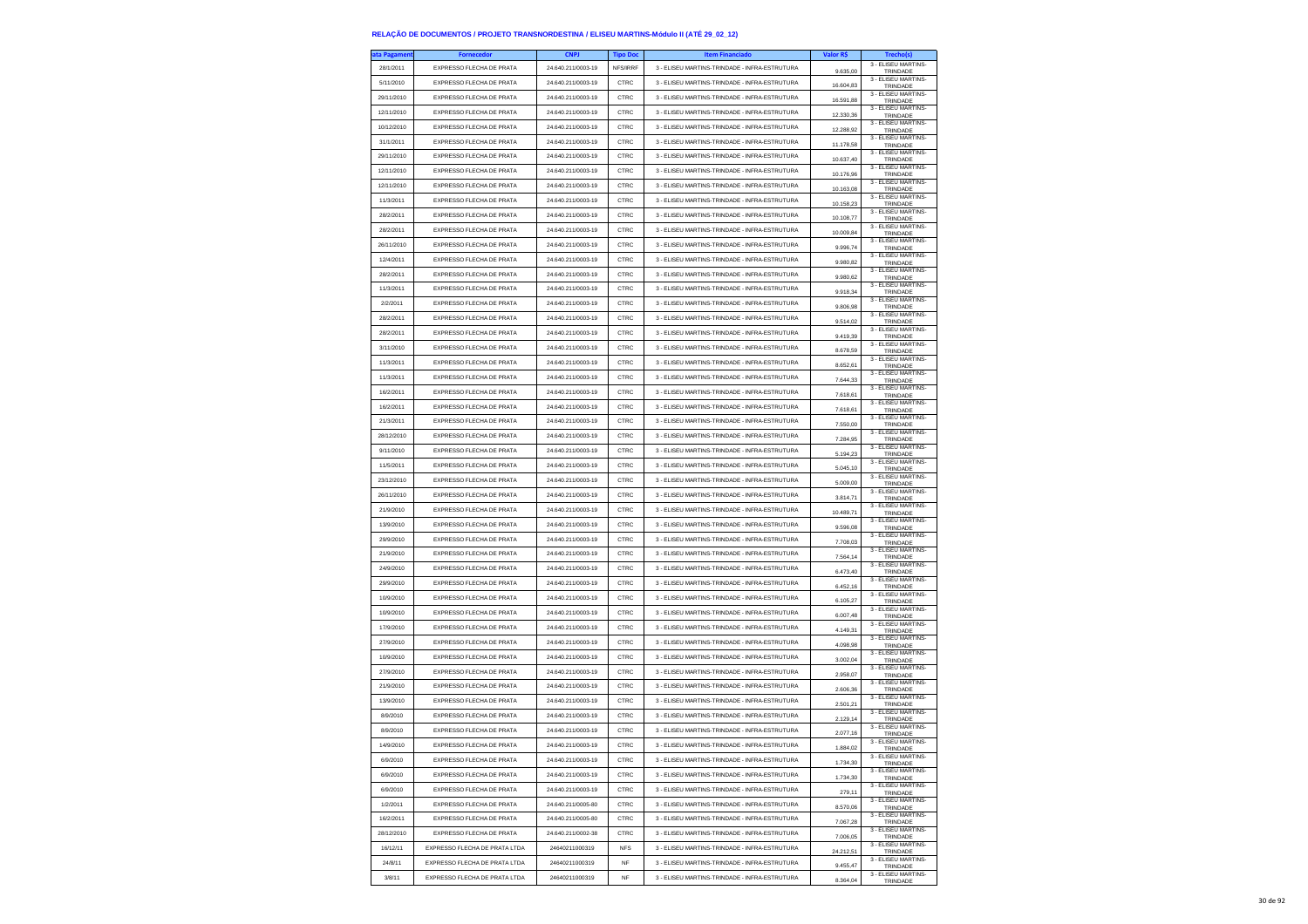| ta Pagament | <b>Fornecedor</b>             | <b>CNPJ</b>        | <b>Tipo Doc</b> | <b>Item Financiado</b>                        | Valor R\$ | Trecho(s)                                              |
|-------------|-------------------------------|--------------------|-----------------|-----------------------------------------------|-----------|--------------------------------------------------------|
| 28/1/2011   | EXPRESSO FLECHA DE PRATA      | 24.640.211/0003-19 | NFS/IRRF        | 3 - ELISEU MARTINS-TRINDADE - INFRA-ESTRUTURA | 9.635,00  | 3 - ELISEU MARTINS-<br>TRINDADE                        |
| 5/11/2010   | EXPRESSO FLECHA DE PRATA      | 24.640.211/0003-19 | CTRC            | 3 - ELISEU MARTINS-TRINDADE - INFRA-ESTRUTURA | 16,604.83 | 3 - ELISEU MARTINS-                                    |
| 29/11/2010  | EXPRESSO ELECHA DE PRATA      | 24.640.211/0003-19 | CTRC            | 3 - ELISEU MARTINS-TRINDADE - INFRA-ESTRUTURA |           | TRINDADE<br>3 - ELISEU MARTINS-                        |
| 12/11/2010  | EXPRESSO FLECHA DE PRATA      | 24.640.211/0003-19 | CTRC            | 3 - ELISEU MARTINS-TRINDADE - INFRA-ESTRUTURA | 16.591,88 | TRINDADE<br>3 - ELISEU MARTINS-                        |
| 10/12/2010  | EXPRESSO FLECHA DE PRATA      | 24.640.211/0003-19 | CTRC            | 3 - ELISEU MARTINS-TRINDADE - INFRA-ESTRUTURA | 12.330,36 | TRINDADE<br>3 - ELISEU MARTINS-                        |
|             |                               |                    |                 |                                               | 12 288 92 | TRINDADE<br>3 - ELISEU MARTINS-                        |
| 31/1/2011   | EXPRESSO FLECHA DE PRATA      | 24.640.211/0003-19 | CTRC            | 3 - ELISEU MARTINS-TRINDADE - INFRA-ESTRUTURA | 11.178,58 | TRINDADE<br>3 - ELISEU MARTINS-                        |
| 29/11/2010  | EXPRESSO FLECHA DE PRATA      | 24.640.211/0003-19 | CTRC            | 3 - ELISEU MARTINS-TRINDADE - INFRA-ESTRUTURA | 10.637,40 | TRINDADE<br>3 - ELISEU MARTINS-                        |
| 12/11/2010  | EXPRESSO FLECHA DE PRATA      | 24.640.211/0003-19 | CTRC            | 3 - ELISEU MARTINS-TRINDADE - INFRA-ESTRUTURA | 10.176.96 | TRINDADE                                               |
| 12/11/2010  | EXPRESSO FLECHA DE PRATA      | 24.640.211/0003-19 | CTRC            | 3 - ELISEU MARTINS-TRINDADE - INFRA-ESTRUTURA | 10.163,08 | 3 - ELISEU MARTINS-<br>TRINDADE                        |
| 11/3/2011   | EXPRESSO FLECHA DE PRATA      | 24.640.211/0003-19 | CTRC            | 3 - ELISEU MARTINS-TRINDADE - INFRA-ESTRUTURA | 10.158,23 | 3 - ELISEU MARTINS-<br>TRINDADE                        |
| 28/2/2011   | EXPRESSO FLECHA DE PRATA      | 24.640.211/0003-19 | CTRC            | 3 - ELISEU MARTINS-TRINDADE - INFRA-ESTRUTURA | 10 108 77 | 3 - ELISEU MARTINS-<br>TRINDADE                        |
| 28/2/2011   | EXPRESSO ELECHA DE PRATA      | 24.640.211/0003-19 | CTRC            | 3 - ELISEU MARTINS-TRINDADE - INFRA-ESTRUTURA | 10.009,84 | 3 - ELISEU MARTINS-<br>TRINDADE                        |
| 26/11/2010  | EXPRESSO ELECHA DE PRATA      | 24.640.211/0003-19 | CTRC            | 3 - ELISEU MARTINS-TRINDADE - INFRA-ESTRUTURA | 9.996,74  | 3 - ELISEU MARTINS-<br>TRINDADE                        |
| 12/4/2011   | EXPRESSO FLECHA DE PRATA      | 24.640.211/0003-19 | CTRC            | 3 - ELISEU MARTINS-TRINDADE - INFRA-ESTRUTURA | 9.980,82  | 3 - ELISEU MARTINS-<br>TRINDADE                        |
| 28/2/2011   | EXPRESSO ELECHA DE PRATA      | 24.640.211/0003-19 | CTRC            | 3 - ELISEU MARTINS-TRINDADE - INFRA-ESTRUTURA | 9.980,62  | 3 - ELISEU MARTINS-<br>TRINDADE                        |
| 11/3/2011   | EXPRESSO FLECHA DE PRATA      | 24.640.211/0003-19 | CTRC            | 3 - ELISEU MARTINS-TRINDADE - INFRA-ESTRUTURA | 9.918,34  | 3 - ELISEU MARTINS-<br>TRINDADE                        |
| 2/2/2011    | EXPRESSO FLECHA DE PRATA      | 24.640.211/0003-19 | CTRC            | 3 - ELISEU MARTINS-TRINDADE - INFRA-ESTRUTURA | 9.806,98  | 3 - ELISEU MARTINS-<br>TRINDADE                        |
| 28/2/2011   | EXPRESSO FLECHA DE PRATA      | 24.640.211/0003-19 | CTRC            | 3 - ELISEU MARTINS-TRINDADE - INFRA-ESTRUTURA |           | 3 - ELISEU MARTINS-                                    |
| 28/2/2011   | EXPRESSO FLECHA DE PRATA      | 24.640.211/0003-19 | CTRC            | 3 - ELISEU MARTINS-TRINDADE - INFRA-ESTRUTURA | 9.514,02  | TRINDADE<br>3 - ELISEU MARTINS-                        |
| 3/11/2010   | EXPRESSO FLECHA DE PRATA      | 24.640.211/0003-19 | CTRC            | 3 - ELISEU MARTINS-TRINDADE - INFRA-ESTRUTURA | 9.419,39  | TRINDADE<br>3 - ELISEU MARTINS-                        |
| 11/3/2011   | EXPRESSO FLECHA DE PRATA      | 24.640.211/0003-19 | CTRC            | 3 - ELISEU MARTINS-TRINDADE - INFRA-ESTRUTURA | 8.678,59  | TRINDADE<br>3 - FLISEU MARTINS-                        |
|             | EXPRESSO ELECHA DE PRATA      |                    |                 |                                               | 8.652.61  | TRINDADE<br>3 - ELISEU MARTINS-                        |
| 11/3/2011   |                               | 24.640.211/0003-19 | CTRC            | 3 - ELISEU MARTINS-TRINDADE - INFRA-ESTRUTURA | 7.644,33  | TRINDADE<br>3 - ELISEU MARTINS-                        |
| 16/2/2011   | EXPRESSO FLECHA DE PRATA      | 24.640.211/0003-19 | CTRC            | 3 - ELISEU MARTINS-TRINDADE - INFRA-ESTRUTURA | 7.618.61  | TRINDADE<br>3 - ELISEU MARTINS-                        |
| 16/2/2011   | EXPRESSO FLECHA DE PRATA      | 24.640.211/0003-19 | CTRC            | 3 - ELISEU MARTINS-TRINDADE - INFRA-ESTRUTURA | 7.618.61  | TRINDADE<br>3 - ELISEU MARTINS-                        |
| 21/3/2011   | EXPRESSO FLECHA DE PRATA      | 24 640 211/0003-19 | CTRC            | 3 - ELISEU MARTINS-TRINDADE - INFRA-ESTRUTURA | 7.550,00  | TRINDADE<br>3 - ELISEU MARTINS-                        |
| 28/12/2010  | EXPRESSO FLECHA DE PRATA      | 24.640.211/0003-19 | CTRC            | 3 - ELISEU MARTINS-TRINDADE - INFRA-ESTRUTURA | 7.284,95  | TRINDADE<br>3 - ELISEU MARTINS-                        |
| 9/11/2010   | EXPRESSO FLECHA DE PRATA      | 24.640.211/0003-19 | CTRC            | 3 - ELISEU MARTINS-TRINDADE - INFRA-ESTRUTURA | 5.194.23  | TRINDADE<br>3 - ELISEU MARTINS-                        |
| 11/5/2011   | EXPRESSO FLECHA DE PRATA      | 24 640 211/0003-19 | CTRC            | 3 - ELISELLMARTINS-TRINDADE - INFRA-ESTRUTURA | 5.045,10  | TRINDADE<br>3 - ELISEU MARTINS-                        |
| 23/12/2010  | EXPRESSO FLECHA DE PRATA      | 24.640.211/0003-19 | CTRC            | 3 - ELISEU MARTINS-TRINDADE - INFRA-ESTRUTURA | 5.009,00  | TRINDADE<br>3 - ELISEU MARTINS-                        |
| 26/11/2010  | EXPRESSO FLECHA DE PRATA      | 24.640.211/0003-19 | CTRC            | 3 - ELISEU MARTINS-TRINDADE - INFRA-ESTRUTURA | 3.814.71  | TRINDADE                                               |
| 21/9/2010   | EXPRESSO FLECHA DE PRATA      | 24.640.211/0003-19 | CTRC            | 3 - ELISEU MARTINS-TRINDADE - INFRA-ESTRUTURA | 10.489,71 | 3 - ELISEU MARTINS-<br>TRINDADE                        |
| 13/9/2010   | EXPRESSO FLECHA DE PRATA      | 24.640.211/0003-19 | CTRC            | 3 - ELISEU MARTINS-TRINDADE - INFRA-ESTRUTURA | 9.596,08  | 3 - ELISEU MARTINS-<br>TRINDADE<br>3 - ELISEU MARTINS- |
| 29/9/2010   | EXPRESSO FLECHA DE PRATA      | 24.640.211/0003-19 | CTRC            | 3 - ELISEU MARTINS-TRINDADE - INFRA-ESTRUTURA | 7.708.03  | TRINDADE                                               |
| 21/9/2010   | EXPRESSO FLECHA DE PRATA      | 24.640.211/0003-19 | CTRC            | 3 - ELISEU MARTINS-TRINDADE - INFRA-ESTRUTURA | 7.564,14  | 3 - ELISEU MARTINS-<br>TRINDADE                        |
| 24/9/2010   | EXPRESSO FLECHA DE PRATA      | 24.640.211/0003-19 | CTRC            | 3 - ELISEU MARTINS-TRINDADE - INFRA-ESTRUTURA | 6.473,40  | 3 - ELISEU MARTINS-<br>TRINDADE                        |
| 29/9/2010   | EXPRESSO FLECHA DE PRATA      | 24.640.211/0003-19 | CTRC            | 3 - ELISEU MARTINS-TRINDADE - INFRA-ESTRUTURA | 6.452.16  | 3 - ELISEU MARTINS<br>TRINDADE                         |
| 10/9/2010   | EXPRESSO FLECHA DE PRATA      | 24.640.211/0003-19 | CTRC            | 3 - ELISEU MARTINS-TRINDADE - INFRA-ESTRUTURA | 6.105,27  | 3 - ELISEU MARTINS-<br>TRINDADE                        |
| 10/9/2010   | EXPRESSO FLECHA DE PRATA      | 24.640.211/0003-19 | CTRC            | 3 - ELISEU MARTINS-TRINDADE - INFRA-ESTRUTURA | 6.007,48  | 3 - ELISEU MARTINS-<br>TRINDADE                        |
| 17/9/2010   | EXPRESSO FLECHA DE PRATA      | 24.640.211/0003-19 | CTRC            | 3 - ELISEU MARTINS-TRINDADE - INFRA-ESTRUTURA | 4.149.31  | 3 - ELISEU MARTINS-<br>TRINDADE                        |
| 27/9/2010   | EXPRESSO FLECHA DE PRATA      | 24.640.211/0003-19 | CTRC            | 3 - ELISEU MARTINS-TRINDADE - INFRA-ESTRUTURA | 4.098,98  | 3 - ELISEU MARTINS-<br>TRINDADE                        |
| 10/9/2010   | EXPRESSO FLECHA DE PRATA      | 24.640.211/0003-19 | CTRC            | 3 - ELISEU MARTINS-TRINDADE - INFRA-ESTRUTURA | 3.002,04  | 3 - ELISEU MARTINS-<br>TRINDADE                        |
| 27/9/2010   | EXPRESSO FLECHA DE PRATA      | 24.640.211/0003-19 | CTRC            | 3 - ELISEU MARTINS-TRINDADE - INFRA-ESTRUTURA | 2.958.07  | 3 - ELISEU MARTINS-<br>TRINDADE                        |
| 21/9/2010   | EXPRESSO FLECHA DE PRATA      | 24.640.211/0003-19 | CTRC            | 3 - FLISELLMARTINS-TRINDADE - INFRA-ESTRUTURA | 2.606,36  | 3 - ELISEU MARTINS-<br>TRINDADE                        |
| 13/9/2010   | EXPRESSO FLECHA DE PRATA      | 24.640.211/0003-19 | CTRC            | 3 - ELISEU MARTINS-TRINDADE - INFRA-ESTRUTURA | 2.501,21  | 3 - ELISEU MARTINS-<br>TRINDADE                        |
| 8/9/2010    | EXPRESSO FLECHA DE PRATA      | 24.640.211/0003-19 | CTRC            | 3 - ELISEU MARTINS-TRINDADE - INFRA-ESTRUTURA | 2.129,14  | 3 - ELISEU MARTINS-<br>TRINDADE                        |
| 8/9/2010    | EXPRESSO FLECHA DE PRATA      | 24.640.211/0003-19 | CTRC            | 3 - ELISEU MARTINS-TRINDADE - INFRA-ESTRUTURA | 2.077,16  | 3 - ELISEU MARTINS-                                    |
| 14/9/2010   | EXPRESSO FLECHA DE PRATA      | 24 640 211/0003-19 | CTRC            | 3 - ELISEU MARTINS-TRINDADE - INFRA-ESTRUTURA | 4,02      | TRINDADE<br>3 - ELISEU MARTINS-                        |
| 6/9/2010    | EXPRESSO FLECHA DE PRATA      | 24.640.211/0003-19 | CTRC            | 3 - ELISEU MARTINS-TRINDADE - INFRA-ESTRUTURA |           | <b>TRINDAD</b><br>3 - ELISEU MARTINS                   |
| 6/9/2010    | EXPRESSO FLECHA DE PRATA      | 24.640.211/0003-19 | CTRC            | 3 - ELISEU MARTINS-TRINDADE - INFRA-ESTRUTURA | 1.734,30  | TRINDADE<br>3 - ELISEU MARTINS-                        |
| 6/9/2010    | EXPRESSO FLECHA DE PRATA      | 24.640.211/0003-19 | CTRC            | 3 - ELISEU MARTINS-TRINDADE - INFRA-ESTRUTURA | 1.734.30  | TRINDADE<br>3 - ELISEU MARTINS-                        |
| 1/2/2011    | EXPRESSO FLECHA DE PRATA      | 24.640.211/0005-80 | CTRC            | 3 - ELISEU MARTINS-TRINDADE - INFRA-ESTRUTURA | 279,11    | TRINDADE<br>3 - ELISEU MARTINS-                        |
| 16/2/2011   | EXPRESSO FLECHA DE PRATA      | 24.640.211/0005-80 | CTRC            | 3 - ELISEU MARTINS-TRINDADE - INFRA-ESTRUTURA | 8.570,06  | TRINDADE<br>3 - FLISEU MARTINS-                        |
| 28/12/2010  | EXPRESSO FLECHA DE PRATA      | 24.640.211/0002-38 | CTRC            | 3 - ELISEU MARTINS-TRINDADE - INFRA-ESTRUTURA | 7.067.28  | TRINDADE<br>3 - ELISEU MARTINS-                        |
| 16/12/11    | EXPRESSO FLECHA DE PRATA LTDA | 24640211000319     | <b>NFS</b>      | 3 - ELISEU MARTINS-TRINDADE - INFRA-ESTRUTURA | 7.006,05  | TRINDADE<br>3 - ELISEU MARTINS-                        |
| 24/8/11     | EXPRESSO FLECHA DE PRATA LTDA | 24640211000319     | <b>NF</b>       | 3 - ELISEU MARTINS-TRINDADE - INFRA-ESTRUTURA | 24.212,51 | TRINDADE<br>3 - ELISEU MARTINS-                        |
| 3/8/11      | EXPRESSO FLECHA DE PRATA LTDA | 24640211000319     | <b>NF</b>       | 3 - ELISEU MARTINS-TRINDADE - INFRA-ESTRUTURA | 9.455.47  | TRINDADE<br>3 - ELISEU MARTINS-                        |
|             |                               |                    |                 |                                               | 8 364 04  | TRINDADE                                               |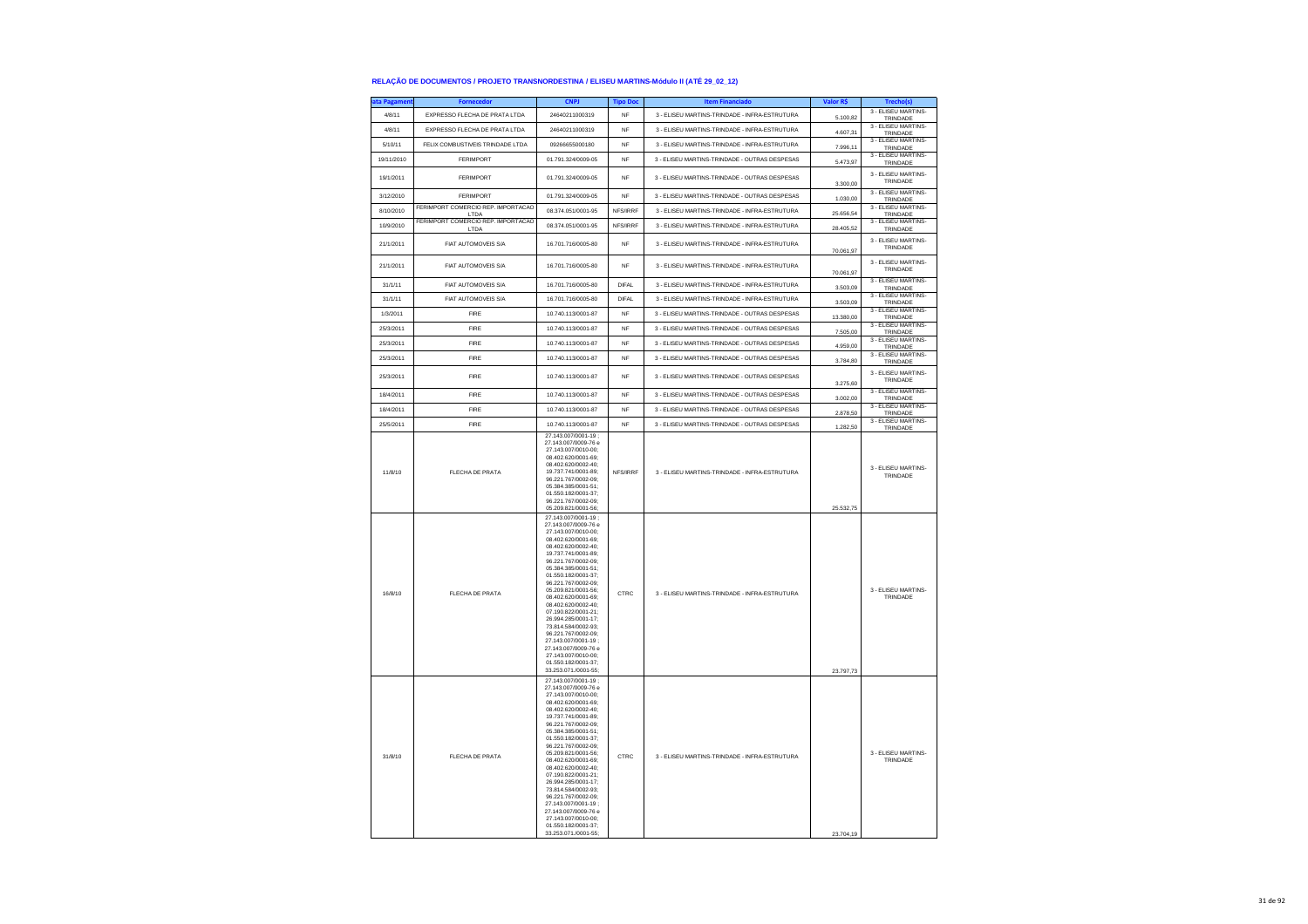| <b>ita Pagament</b> | <b>Fornecedor</b>                          | <b>CNPJ</b>                                                                                                                                                                                                                                                                                                                                                                                                                                                                                                               | <b>Tipo Doc</b> | <b>Item Financiado</b>                        | Valor R\$ | Trecho(s)                       |
|---------------------|--------------------------------------------|---------------------------------------------------------------------------------------------------------------------------------------------------------------------------------------------------------------------------------------------------------------------------------------------------------------------------------------------------------------------------------------------------------------------------------------------------------------------------------------------------------------------------|-----------------|-----------------------------------------------|-----------|---------------------------------|
| 4/8/11              | EXPRESSO FLECHA DE PRATA LTDA              | 24640211000319                                                                                                                                                                                                                                                                                                                                                                                                                                                                                                            | NF              | 3 - ELISEU MARTINS-TRINDADE - INFRA-ESTRUTURA | 5.100,82  | 3 - ELISEU MARTINS-<br>TRINDADE |
| 4/8/11              | EXPRESSO ELECHA DE PRATA LTDA              | 24640211000319                                                                                                                                                                                                                                                                                                                                                                                                                                                                                                            | NF              | 3 - FLISELLMARTINS-TRINDADE - INFRA-ESTRUTURA | 4.607,31  | 3 - ELISEU MARTINS-<br>TRINDADE |
| 5/10/11             | FELIX COMBUSTIVEIS TRINDADE LTDA           | 09266655000180                                                                                                                                                                                                                                                                                                                                                                                                                                                                                                            | <b>NF</b>       | 3 - ELISEU MARTINS-TRINDADE - INFRA-ESTRUTURA | 7.996,11  | 3 - ELISEU MARTINS-<br>TRINDADE |
| 19/11/2010          | FERIMPORT                                  | 01.791.324/0009-05                                                                                                                                                                                                                                                                                                                                                                                                                                                                                                        | <b>NF</b>       | 3 - ELISEU MARTINS-TRINDADE - OUTRAS DESPESAS | 5.473,97  | 3 - ELISEU MARTINS-<br>TRINDADE |
| 19/1/2011           | <b>FERIMPORT</b>                           | 01.791.324/0009-05                                                                                                                                                                                                                                                                                                                                                                                                                                                                                                        | NF              | 3 - ELISEU MARTINS-TRINDADE - OUTRAS DESPESAS | 3,300.00  | 3 - ELISEU MARTINS-<br>TRINDADE |
| 3/12/2010           | <b>FERIMPORT</b>                           | 01.791.324/0009-05                                                                                                                                                                                                                                                                                                                                                                                                                                                                                                        | NF              | 3 - ELISEU MARTINS-TRINDADE - OUTRAS DESPESAS | 1.030.00  | 3 - ELISEU MARTINS-<br>TRINDADE |
| 8/10/2010           | FERIMPORT COMERCIO REP. IMPORTACAO<br>LTDA | 08.374.051/0001-95                                                                                                                                                                                                                                                                                                                                                                                                                                                                                                        | NFS/IRRF        | 3 - ELISEU MARTINS-TRINDADE - INFRA-ESTRUTURA | 25.656.54 | 3 - ELISEU MARTINS-<br>TRINDADE |
| 10/9/2010           | FERIMPORT COMERCIO REP. IMPORTACAO<br>LTDA | 08.374.051/0001-95                                                                                                                                                                                                                                                                                                                                                                                                                                                                                                        | NFS/IRRF        | 3 - ELISEU MARTINS-TRINDADE - INFRA-ESTRUTURA | 28.405,52 | 3 - ELISEU MARTINS-<br>TRINDADE |
| 21/1/2011           | FIAT AUTOMOVEIS S/A                        | 16.701.716/0005-80                                                                                                                                                                                                                                                                                                                                                                                                                                                                                                        | <b>NF</b>       | 3 - ELISEU MARTINS-TRINDADE - INFRA-ESTRUTURA | 70.061,97 | 3 - ELISEU MARTINS-<br>TRINDADE |
| 21/1/2011           | FIAT AUTOMOVEIS S/A                        | 16.701.716/0005-80                                                                                                                                                                                                                                                                                                                                                                                                                                                                                                        | <b>NF</b>       | 3 - ELISEU MARTINS-TRINDADE - INFRA-ESTRUTURA | 70.061,97 | 3 - ELISEU MARTINS-<br>TRINDADE |
| 31/1/11             | FIAT AUTOMOVEIS S/A                        | 16.701.716/0005-80                                                                                                                                                                                                                                                                                                                                                                                                                                                                                                        | <b>DIFAL</b>    | 3 - ELISEU MARTINS-TRINDADE - INFRA-ESTRUTURA | 3,503.09  | 3 - ELISEU MARTINS-<br>TRINDADE |
| 31/1/11             | FIAT AUTOMOVEIS S/A                        | 16.701.716/0005-80                                                                                                                                                                                                                                                                                                                                                                                                                                                                                                        | DIFAL           | 3 - ELISEU MARTINS-TRINDADE - INFRA-ESTRUTURA | 3.503,09  | 3 - ELISEU MARTINS-<br>TRINDADE |
| 1/3/2011            | FIRE                                       | 10.740.113/0001-87                                                                                                                                                                                                                                                                                                                                                                                                                                                                                                        | NF              | 3 - ELISEU MARTINS-TRINDADE - OUTRAS DESPESAS | 13.380,00 | 3 - ELISEU MARTINS-<br>TRINDADE |
| 25/3/2011           | FIRE                                       | 10.740.113/0001-87                                                                                                                                                                                                                                                                                                                                                                                                                                                                                                        | <b>NF</b>       | 3 - ELISEU MARTINS-TRINDADE - OUTRAS DESPESAS | 7.505,00  | 3 - ELISEU MARTINS-<br>TRINDADE |
| 25/3/2011           | FIRE                                       | 10.740.113/0001-87                                                                                                                                                                                                                                                                                                                                                                                                                                                                                                        | NF              | 3 - ELISEU MARTINS-TRINDADE - OUTRAS DESPESAS | 4.959,00  | 3 - ELISEU MARTINS-<br>TRINDADE |
| 25/3/2011           | FIRE                                       | 10.740.113/0001-87                                                                                                                                                                                                                                                                                                                                                                                                                                                                                                        | <b>NF</b>       | 3 - ELISEU MARTINS-TRINDADE - OUTRAS DESPESAS | 3.784,80  | 3 - ELISEU MARTINS-<br>TRINDADE |
| 25/3/2011           | FIRE                                       | 10.740.113/0001-87                                                                                                                                                                                                                                                                                                                                                                                                                                                                                                        | <b>NF</b>       | 3 - ELISEU MARTINS-TRINDADE - OUTRAS DESPESAS | 3.275,60  | 3 - ELISEU MARTINS-<br>TRINDADE |
| 18/4/2011           | FIRE                                       | 10.740.113/0001-87                                                                                                                                                                                                                                                                                                                                                                                                                                                                                                        | <b>NF</b>       | 3 - ELISEU MARTINS-TRINDADE - OUTRAS DESPESAS | 3.002,00  | 3 - ELISEU MARTINS-<br>TRINDADE |
| 18/4/2011           | FIRE                                       | 10.740.113/0001-87                                                                                                                                                                                                                                                                                                                                                                                                                                                                                                        | <b>NF</b>       | 3 - ELISEU MARTINS-TRINDADE - OUTRAS DESPESAS | 2.878,50  | 3 - ELISEU MARTINS-<br>TRINDADE |
| 25/5/2011           | FIRE                                       | 10.740.113/0001-87                                                                                                                                                                                                                                                                                                                                                                                                                                                                                                        | <b>NF</b>       | 3 - ELISEU MARTINS-TRINDADE - OUTRAS DESPESAS | 1.282,50  | 3 - ELISEU MARTINS-<br>TRINDADE |
| 11/8/10             | FLECHA DE PRATA                            | 27.143.007/0001-19<br>27.143.007/0009-76 e<br>27.143.007/0010-00;<br>08.402.620/0001-69:<br>08.402.620/0002-40;<br>19.737.741/0001-89;<br>96.221.767/0002-09;<br>05 384 385/0001-51:<br>01 550 182/0001-37<br>96.221.767/0002-09:<br>05.209.821/0001-56;                                                                                                                                                                                                                                                                  | NFS/IRRF        | 3 - ELISEU MARTINS-TRINDADE - INFRA-ESTRUTURA | 25.532,75 | 3 - ELISEU MARTINS-<br>TRINDADE |
| 16/8/10             | <b>FLECHA DE PRATA</b>                     | 27.143.007/0001-19;<br>27.143.007/0009-76 e<br>27.143.007/0010-00;<br>08.402.620/0001-69;<br>08.402.620/0002-40:<br>19.737.741/0001-89;<br>96.221.767/0002-09;<br>05.384.385/0001-51;<br>01.550.182/0001-37:<br>96.221.767/0002-09:<br>05.209.821/0001-56:<br>08.402.620/0001-69:<br>08.402.620/0002-40:<br>07.190.822/0001-21:<br>26.994.285/0001-17;<br>73.814.584/0002-93;<br>96.221.767/0002-09;<br>27.143.007/0001-19;<br>27.143.007/0009-76 e<br>27.143.007/0010-00;<br>01.550.182/0001-37;<br>33.253.071./0001-55; | CTRC            | 3 - ELISEU MARTINS-TRINDADE - INFRA-ESTRUTURA | 23.797,73 | 3 - ELISEU MARTINS-<br>TRINDADE |
| 31/8/10             | FLECHA DE PRATA                            | 27.143.007/0001-19;<br>27.143.007/0009-76 e<br>27.143.007/0010-00:<br>08.402.620/0001-69;<br>08.402.620/0002-40:<br>19.737.741/0001-89;<br>96 221 767/0002-09:<br>05.384.385/0001-51:<br>01.550.182/0001-37:<br>96.221.767/0002-09:<br>05.209.821/0001-56:<br>08.402.620/0001-69:<br>08.402.620/0002-40;<br>07.190.822/0001-21;<br>26.994.285/0001-17:<br>73.814.584/0002-93;<br>96.221.767/0002-09;<br>27.143.007/0001-19;<br>27.143.007/0009-76 e<br>27.143.007/0010-00:<br>01.550.182/0001-37;<br>33.253.071./0001-55: | CTRC            | 3 - ELISEU MARTINS-TRINDADE - INFRA-ESTRUTURA | 23 704 19 | 3 - ELISEU MARTINS-<br>TRINDADE |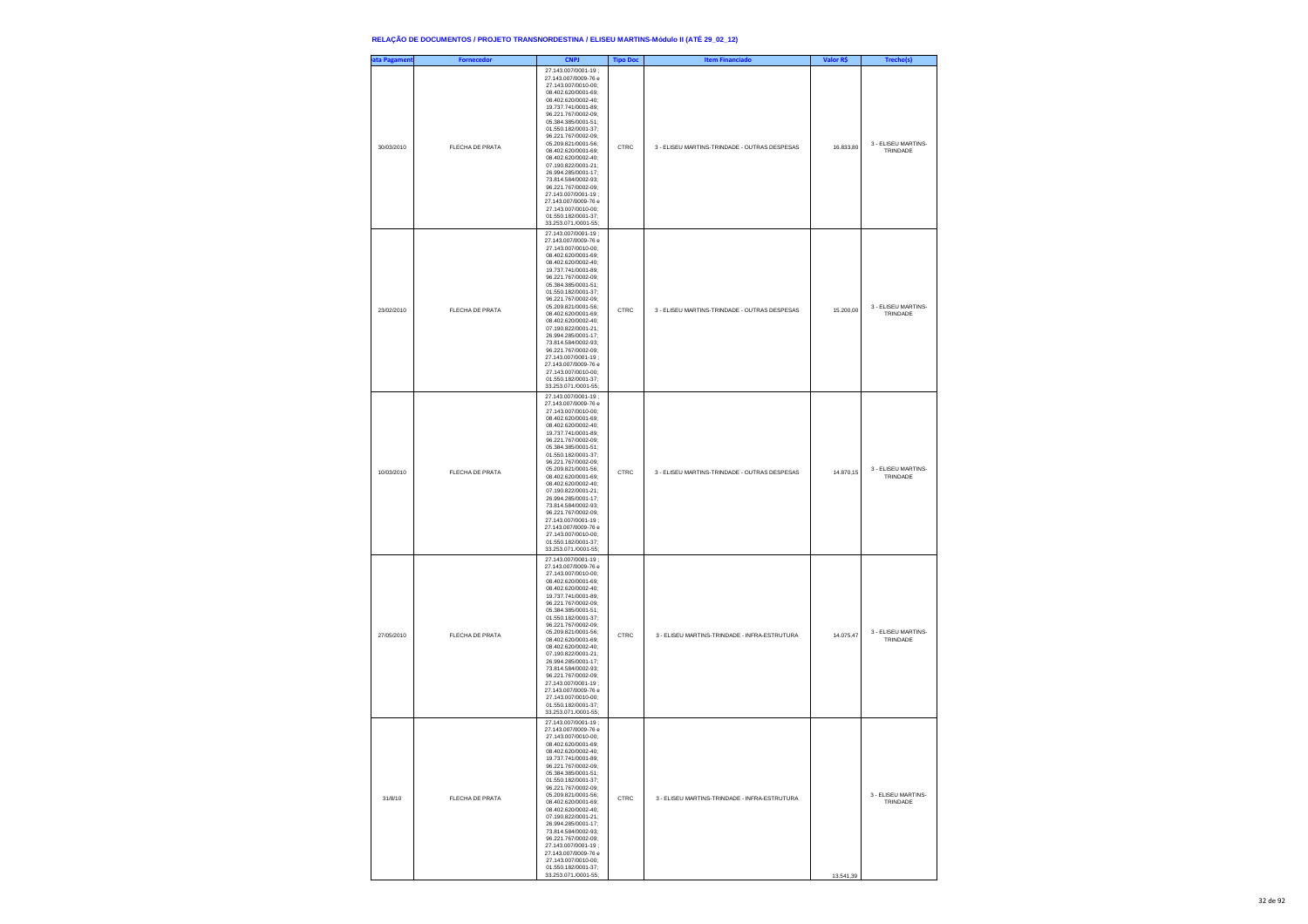| ata Pagament | <b>Fornecedor</b> | <b>CNPJ</b>                                                                                                                                                                                                                                                                                                                                                                                                                                                                                                               | <b>Tipo Doc</b> | <b>Item Financiado</b>                        | Valor R\$ | Trecho(s)                       |
|--------------|-------------------|---------------------------------------------------------------------------------------------------------------------------------------------------------------------------------------------------------------------------------------------------------------------------------------------------------------------------------------------------------------------------------------------------------------------------------------------------------------------------------------------------------------------------|-----------------|-----------------------------------------------|-----------|---------------------------------|
| 30/03/2010   | FLECHA DE PRATA   | 27.143.007/0001-19;<br>27.143.007/0009-76 e<br>27.143.007/0010-00;<br>08.402.620/0001-69;<br>08.402.620/0002-40;<br>19.737.741/0001-89:<br>96.221.767/0002-09:<br>05.384.385/0001-51;<br>01.550.182/0001-37;<br>96.221.767/0002-09;<br>05.209.821/0001-56;<br>08.402.620/0001-69;<br>08.402.620/0002-40;<br>07 190 822/0001-21:<br>26.994.285/0001-17:<br>73.814.584/0002-93;<br>96.221.767/0002-09;<br>27.143.007/0001-19;<br>27.143.007/0009-76 e<br>27.143.007/0010-00;<br>01.550.182/0001-37;<br>33.253.071./0001-55; | CTRC            | 3 - ELISEU MARTINS-TRINDADE - OUTRAS DESPESAS | 16,833,80 | 3 - ELISEU MARTINS-<br>TRINDADE |
| 23/02/2010   | FLECHA DE PRATA   | 27.143.007/0001-19;<br>27.143.007/0009-76 e<br>27.143.007/0010-00;<br>08.402.620/0001-69;<br>08.402.620/0002-40;<br>19 737 741/0001-89<br>96 221 767/0002-09:<br>05.384.385/0001-51;<br>01.550.182/0001-37;<br>96.221.767/0002-09;<br>05.209.821/0001-56;<br>08.402.620/0001-69;<br>08.402.620/0002-40;<br>07.190.822/0001-21;<br>26.994.285/0001-17:<br>73.814.584/0002-93:<br>96.221.767/0002-09;<br>27.143.007/0001-19;<br>27.143.007/0009-76 e<br>27.143.007/0010-00;<br>01.550.182/0001-37;<br>33.253.071./0001-55;  | CTRC            | 3 - ELISEU MARTINS-TRINDADE - OUTRAS DESPESAS | 15.200,00 | 3 - ELISEU MARTINS-<br>TRINDADE |
| 10/03/2010   | FLECHA DE PRATA   | 27.143.007/0001-19;<br>27.143.007/0009-76 e<br>27.143.007/0010-00;<br>08.402.620/0001-69;<br>08.402.620/0002-40;<br>19.737.741/0001-89;<br>96.221.767/0002-09:<br>05 384 385/0001-51:<br>01.550.182/0001-37;<br>96.221.767/0002-09;<br>05.209.821/0001-56;<br>08.402.620/0001-69;<br>08.402.620/0002-40;<br>07.190.822/0001-21;<br>26 994 285/0001-17:<br>73.814.584/0002-93:<br>96.221.767/0002-09;<br>27.143.007/0001-19;<br>27.143.007/0009-76 e<br>27.143.007/0010-00;<br>01.550.182/0001-37;<br>33.253.071./0001-55; | CTRC            | 3 - ELISEU MARTINS-TRINDADE - OUTRAS DESPESAS | 14.870,15 | 3 - ELISEU MARTINS-<br>TRINDADE |
| 27/05/2010   | FLECHA DE PRATA   | 27.143.007/0001-19;<br>27.143.007/0009-76 e<br>27.143.007/0010-00;<br>08.402.620/0001-69;<br>08.402.620/0002-40;<br>19.737.741/0001-89;<br>96.221.767/0002-09:<br>05.384.385/0001-51:<br>01.550.182/0001-37;<br>96.221.767/0002-09;<br>05.209.821/0001-56;<br>08.402.620/0001-69;<br>08.402.620/0002-40;<br>07.190.822/0001-21;<br>26.994.285/0001-17;<br>73 814 584/0002-93:<br>96 221 767/0002-09:<br>27.143.007/0001-19:<br>27.143.007/0009-76 e<br>27.143.007/0010-00;<br>01.550.182/0001-37;<br>33.253.071./0001-55; | CTRC            | 3 - ELISEU MARTINS-TRINDADE - INFRA-ESTRUTURA | 14.075.47 | 3 - ELISEU MARTINS-<br>TRINDADE |
| 31/8/10      | FLECHA DE PRATA   | 27.143.007/0001-19;<br>27.143.007/0009-76 e<br>27.143.007/0010-00;<br>08.402.620/0001-69;<br>08.402.620/0002-40;<br>19.737.741/0001-89;<br>96.221.767/0002-09;<br>05.384.385/0001-51:<br>01 550 182/0001-37<br>96.221.767/0002-09:<br>05.209.821/0001-56;<br>08.402.620/0001-69;<br>08.402.620/0002-40;<br>07.190.822/0001-21;<br>26.994.285/0001-17;<br>73.814.584/0002-93;<br>96 221 767/0002-09:<br>27.143.007/0001-19:<br>27.143.007/0009-76 e<br>27.143.007/0010-00;<br>01.550.182/0001-37;<br>33.253.071./0001-55;  | CTRC            | 3 - ELISEU MARTINS-TRINDADE - INFRA-ESTRUTURA | 13.541,39 | 3 - ELISEU MARTINS-<br>TRINDADE |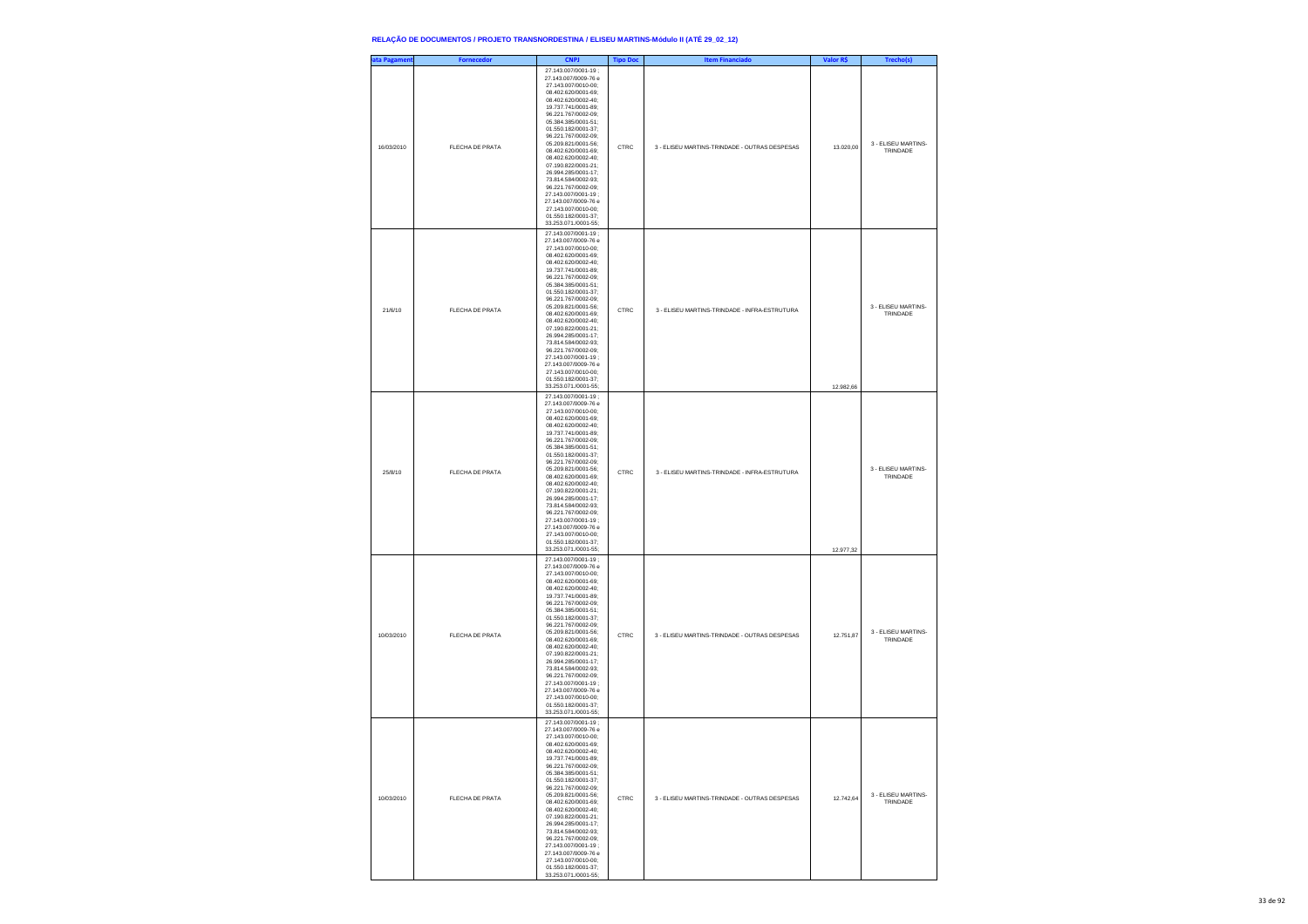| ata Pagament | <b>Fornecedor</b> | <b>CNPJ</b>                                                                                                                                                                                                                                                                                                                                                                                                                                                                                                               | <b>Tipo Doc</b> | <b>Item Financiado</b>                        | Valor R\$ | Trecho(s)                       |
|--------------|-------------------|---------------------------------------------------------------------------------------------------------------------------------------------------------------------------------------------------------------------------------------------------------------------------------------------------------------------------------------------------------------------------------------------------------------------------------------------------------------------------------------------------------------------------|-----------------|-----------------------------------------------|-----------|---------------------------------|
| 16/03/2010   | FLECHA DE PRATA   | 27.143.007/0001-19;<br>27.143.007/0009-76 e<br>27.143.007/0010-00;<br>08.402.620/0001-69;<br>08.402.620/0002-40;<br>19.737.741/0001-89:<br>96.221.767/0002-09:<br>05.384.385/0001-51;<br>01.550.182/0001-37;<br>96.221.767/0002-09;<br>05.209.821/0001-56;<br>08.402.620/0001-69;<br>08.402.620/0002-40;<br>07 190 822/0001-21:<br>26.994.285/0001-17:<br>73.814.584/0002-93;<br>96.221.767/0002-09;<br>27.143.007/0001-19;<br>27.143.007/0009-76 e<br>27.143.007/0010-00;<br>01.550.182/0001-37;<br>33.253.071./0001-55; | CTRC            | 3 - ELISEU MARTINS-TRINDADE - OUTRAS DESPESAS | 13.020,00 | 3 - ELISEU MARTINS-<br>TRINDADE |
| 21/6/10      | FLECHA DE PRATA   | 27.143.007/0001-19;<br>27.143.007/0009-76 e<br>27.143.007/0010-00;<br>08.402.620/0001-69;<br>08.402.620/0002-40;<br>19.737.741/0001-89:<br>96.221.767/0002-09:<br>05.384.385/0001-51;<br>01.550.182/0001-37;<br>96.221.767/0002-09;<br>05.209.821/0001-56;<br>08.402.620/0001-69;<br>08.402.620/0002-40;<br>07.190.822/0001-21;<br>26.994.285/0001-17:<br>73.814.584/0002-93:<br>96.221.767/0002-09;<br>27.143.007/0001-19:<br>27.143.007/0009-76 e<br>27.143.007/0010-00;<br>01.550.182/0001-37;<br>33.253.071./0001-55; | CTRC            | 3 - ELISEU MARTINS-TRINDADE - INFRA-ESTRUTURA | 12.982,66 | 3 - ELISEU MARTINS-<br>TRINDADE |
| 25/8/10      | FLECHA DE PRATA   | 27.143.007/0001-19:<br>27.143.007/0009-76 e<br>27.143.007/0010-00;<br>08.402.620/0001-69;<br>08.402.620/0002-40;<br>19.737.741/0001-89;<br>96.221.767/0002-09:<br>05 384 385/0001-51:<br>01.550.182/0001-37:<br>96.221.767/0002-09;<br>05.209.821/0001-56;<br>08.402.620/0001-69;<br>08.402.620/0002-40;<br>07.190.822/0001-21;<br>26 994 285/0001-17:<br>73.814.584/0002-93:<br>96.221.767/0002-09;<br>27.143.007/0001-19;<br>27.143.007/0009-76 e<br>27.143.007/0010-00;<br>01.550.182/0001-37;<br>33.253.071./0001-55; | CTRC            | 3 - ELISEU MARTINS-TRINDADE - INFRA-ESTRUTURA | 12.977,32 | 3 - ELISEU MARTINS-<br>TRINDADE |
| 10/03/2010   | FLECHA DE PRATA   | 27.143.007/0001-19;<br>27.143.007/0009-76 e<br>27.143.007/0010-00;<br>08.402.620/0001-69;<br>08.402.620/0002-40;<br>19.737.741/0001-89;<br>96.221.767/0002-09:<br>05.384.385/0001-51:<br>01.550.182/0001-37;<br>96.221.767/0002-09;<br>05.209.821/0001-56;<br>08.402.620/0001-69;<br>08.402.620/0002-40;<br>07.190.822/0001-21;<br>26.994.285/0001-17;<br>73.814.584/0002-93:<br>96 221 767/0002-09:<br>27.143.007/0001-19;<br>27.143.007/0009-76 e<br>27.143.007/0010-00;<br>01.550.182/0001-37;<br>33.253.071./0001-55; | CTRC            | 3 - ELISEU MARTINS-TRINDADE - OUTRAS DESPESAS | 12.751,87 | 3 - ELISEU MARTINS-<br>TRINDADE |
| 10/03/2010   | FLECHA DE PRATA   | 27.143.007/0001-19;<br>27.143.007/0009-76 e<br>27.143.007/0010-00;<br>08.402.620/0001-69;<br>08.402.620/0002-40;<br>19.737.741/0001-89;<br>96.221.767/0002-09;<br>05.384.385/0001-51:<br>01.550.182/0001-37:<br>96.221.767/0002-09:<br>05 209 821/0001-56:<br>08.402.620/0001-69;<br>08.402.620/0002-40;<br>07.190.822/0001-21;<br>26.994.285/0001-17;<br>73.814.584/0002-93;<br>96.221.767/0002-09:<br>27.143.007/0001-19;<br>27.143.007/0009-76 e<br>27.143.007/0010-00;<br>01.550.182/0001-37;<br>33.253.071./0001-55; | CTRC            | 3 - ELISEU MARTINS-TRINDADE - OUTRAS DESPESAS | 12.742,64 | 3 - ELISEU MARTINS-<br>TRINDADE |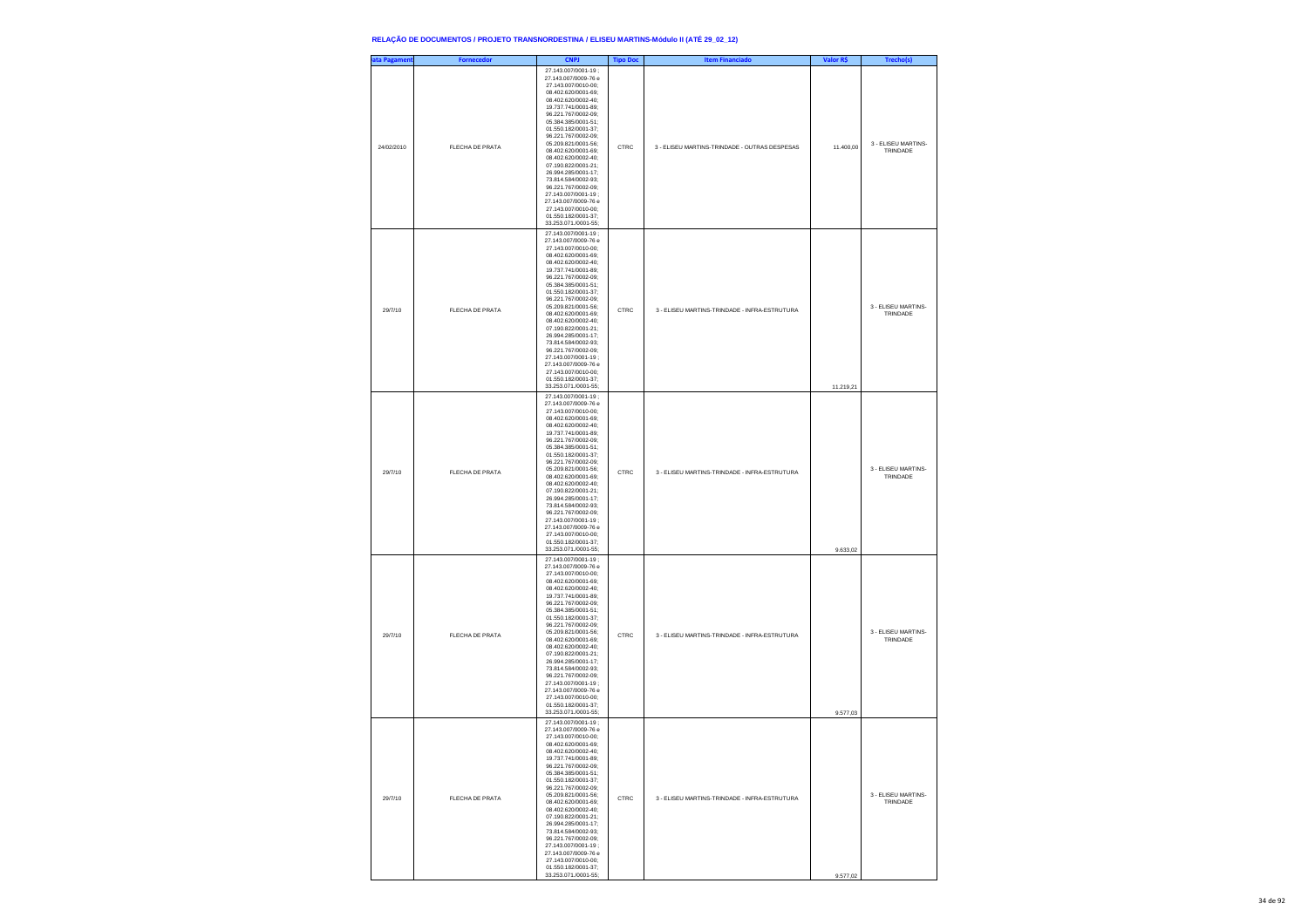| ata Pagament | <b>Fornecedor</b> | <b>CNPJ</b>                                                                                                                                                                                                                                                                                                                                                                                                                                                                                                               | <b>Tipo Doc</b> | <b>Item Financiado</b>                        | Valor R\$ | Trecho(s)                       |
|--------------|-------------------|---------------------------------------------------------------------------------------------------------------------------------------------------------------------------------------------------------------------------------------------------------------------------------------------------------------------------------------------------------------------------------------------------------------------------------------------------------------------------------------------------------------------------|-----------------|-----------------------------------------------|-----------|---------------------------------|
| 24/02/2010   | FLECHA DE PRATA   | 27 143 007/0001-19<br>27.143.007/0009-76 e<br>27.143.007/0010-00;<br>08.402.620/0001-69;<br>08.402.620/0002-40;<br>19.737.741/0001-89;<br>96.221.767/0002-09;<br>05.384.385/0001-51:<br>01.550.182/0001-37:<br>96.221.767/0002-09;<br>05.209.821/0001-56;<br>08.402.620/0001-69;<br>08.402.620/0002-40;<br>07.190.822/0001-21;<br>26.994.285/0001-17;<br>73.814.584/0002-93:<br>96.221.767/0002-09:<br>27.143.007/0001-19;<br>27.143.007/0009-76 e<br>27.143.007/0010-00;<br>01.550.182/0001-37;<br>33.253.071./0001-55;  | CTRC            | 3 - ELISEU MARTINS-TRINDADE - OUTRAS DESPESAS | 11.400,00 | 3 - FLISEU MARTINS-<br>TRINDADE |
| 29/7/10      | FLECHA DE PRATA   | 27.143.007/0001-19;<br>27.143.007/0009-76 e<br>27.143.007/0010-00;<br>08.402.620/0001-69;<br>08.402.620/0002-40;<br>19.737.741/0001-89;<br>96.221.767/0002-09;<br>05.384.385/0001-51:<br>01.550.182/0001-37:<br>96.221.767/0002-09;<br>05.209.821/0001-56;<br>08.402.620/0001-69;<br>08.402.620/0002-40;<br>07.190.822/0001-21;<br>26.994.285/0001-17;<br>73.814.584/0002-93;<br>96.221.767/0002-09:<br>27.143.007/0001-19:<br>27.143.007/0009-76 e<br>27.143.007/0010-00;<br>01.550.182/0001-37;<br>33.253.071./0001-55; | CTRC            | 3 - ELISEU MARTINS-TRINDADE - INFRA-ESTRUTURA | 11.219,21 | 3 - ELISEU MARTINS-<br>TRINDADE |
| 29/7/10      | FLECHA DE PRATA   | 27.143.007/0001-19;<br>27 143 007/0009-76 e<br>27.143.007/0010-00:<br>08.402.620/0001-69;<br>08.402.620/0002-40;<br>19.737.741/0001-89;<br>96.221.767/0002-09;<br>05.384.385/0001-51;<br>01.550.182/0001-37:<br>96.221.767/0002-09:<br>05.209.821/0001-56;<br>08.402.620/0001-69;<br>08.402.620/0002-40;<br>07.190.822/0001-21;<br>26.994.285/0001-17;<br>73.814.584/0002-93;<br>96.221.767/0002-09:<br>27.143.007/0001-19:<br>27.143.007/0009-76 e<br>27.143.007/0010-00;<br>01.550.182/0001-37;<br>33.253.071./0001-55; | CTRC            | 3 - ELISEU MARTINS-TRINDADE - INFRA-ESTRUTURA | 9.633,02  | 3 - FLISEU MARTINS-<br>TRINDADE |
| 29/7/10      | FLECHA DE PRATA   | 27.143.007/0001-19;<br>27.143.007/0009-76 e<br>27.143.007/0010-00;<br>08.402.620/0001-69;<br>08.402.620/0002-40;<br>19.737.741/0001-89;<br>96.221.767/0002-09;<br>05.384.385/0001-51;<br>01.550.182/0001-37:<br>96.221.767/0002-09:<br>05.209.821/0001-56;<br>08.402.620/0001-69;<br>08.402.620/0002-40;<br>07.190.822/0001-21;<br>26.994.285/0001-17;<br>73.814.584/0002-93;<br>96.221.767/0002-09;<br>27.143.007/0001-19:<br>27.143.007/0009-76 e<br>27.143.007/0010-00:<br>01.550.182/0001-37:<br>33.253.071./0001-55; | CTRC            | 3 - ELISEU MARTINS-TRINDADE - INFRA-ESTRUTURA | 9.577,03  | 3 - ELISEU MARTINS-<br>TRINDADE |
| 29/7/10      | FLECHA DE PRATA   | 27.143.007/0001-19;<br>27.143.007/0009-76 e<br>27 143 007/0010-00:<br>08.402.620/0001-69;<br>402 620/0002-40<br>19.737.741/0001-89;<br>96.221.767/0002-09;<br>05.384.385/0001-51;<br>01.550.182/0001-37;<br>96.221.767/0002-09:<br>05 209 821/0001-56:<br>08.402.620/0001-69:<br>08.402.620/0002-40;<br>07.190.822/0001-21;<br>26.994.285/0001-17;<br>73.814.584/0002-93;<br>96.221.767/0002-09;<br>27.143.007/0001-19:<br>27 143 007/0009-76 e<br>27 143 007/0010-00:<br>01.550.182/0001-37;<br>33.253.071./0001-55;     | CTRC            | 3 - ELISEU MARTINS-TRINDADE - INFRA-ESTRUTURA | 9.577,02  | 3 - FLISEU MARTINS-<br>TRINDADE |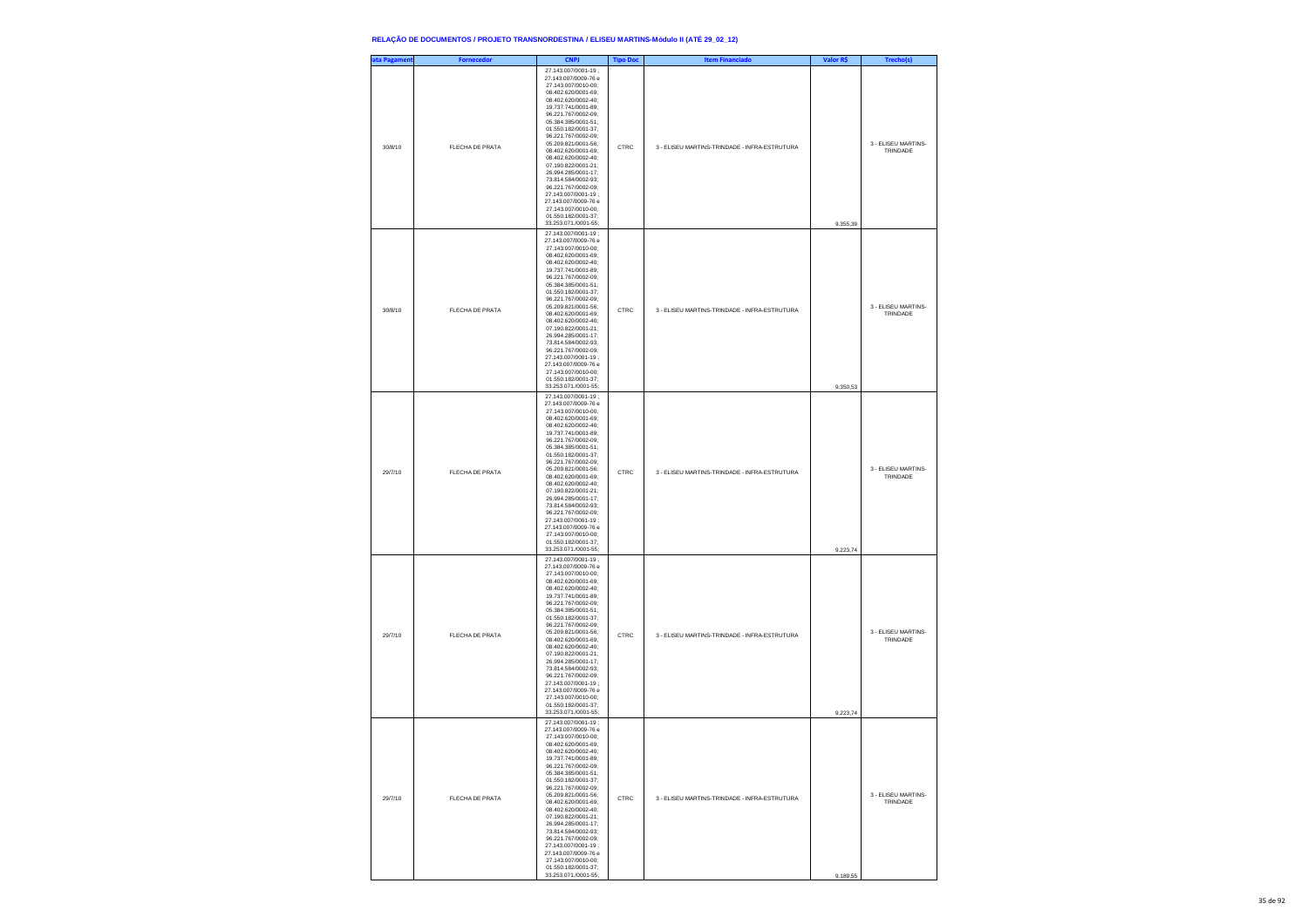| ata Pagament | <b>Fornecedor</b> | <b>CNPJ</b>                                                                                                                                                                                                                                                                                                                                                                                                                                                                                                                | <b>Tipo Doc</b> | <b>Item Financiado</b>                        | Valor R\$ | Trecho(s)                       |
|--------------|-------------------|----------------------------------------------------------------------------------------------------------------------------------------------------------------------------------------------------------------------------------------------------------------------------------------------------------------------------------------------------------------------------------------------------------------------------------------------------------------------------------------------------------------------------|-----------------|-----------------------------------------------|-----------|---------------------------------|
| 30/8/10      | FLECHA DE PRATA   | 27 143 007/0001-19 :<br>27.143.007/0009-76 e<br>27.143.007/0010-00;<br>08.402.620/0001-69;<br>08.402.620/0002-40;<br>19.737.741/0001-89;<br>96.221.767/0002-09;<br>05.384.385/0001-51:<br>01.550.182/0001-37:<br>96.221.767/0002-09:<br>05.209.821/0001-56;<br>08.402.620/0001-69;<br>08.402.620/0002-40;<br>07.190.822/0001-21;<br>26.994.285/0001-17;<br>73.814.584/0002-93:<br>96.221.767/0002-09:<br>27.143.007/0001-19;<br>27.143.007/0009-76 e<br>27.143.007/0010-00;<br>01.550.182/0001-37;<br>33.253.071./0001-55; | CTRC            | 3 - ELISEU MARTINS-TRINDADE - INFRA-ESTRUTURA | 9.355,39  | 3 - FLISEU MARTINS-<br>TRINDADE |
| 30/8/10      | FLECHA DE PRATA   | 27.143.007/0001-19;<br>27.143.007/0009-76 e<br>27.143.007/0010-00:<br>08.402.620/0001-69;<br>08.402.620/0002-40;<br>19.737.741/0001-89;<br>96.221.767/0002-09;<br>05.384.385/0001-51:<br>01.550.182/0001-37:<br>96.221.767/0002-09;<br>05.209.821/0001-56;<br>08.402.620/0001-69;<br>08.402.620/0002-40;<br>07.190.822/0001-21;<br>26.994.285/0001-17;<br>73.814.584/0002-93;<br>96.221.767/0002-09:<br>27.143.007/0001-19;<br>27.143.007/0009-76 e<br>27.143.007/0010-00;<br>01.550.182/0001-37;<br>33.253.071./0001-55;  | CTRC            | 3 - ELISEU MARTINS-TRINDADE - INFRA-ESTRUTURA | 9.350,53  | 3 - ELISEU MARTINS-<br>TRINDADE |
| 29/7/10      | FLECHA DE PRATA   | 27.143.007/0001-19;<br>27.143.007/0009-76 e<br>27.143.007/0010-00;<br>08.402.620/0001-69;<br>08.402.620/0002-40;<br>19.737.741/0001-89;<br>96.221.767/0002-09;<br>05.384.385/0001-51;<br>01.550.182/0001-37:<br>96.221.767/0002-09:<br>05.209.821/0001-56;<br>08.402.620/0001-69;<br>08.402.620/0002-40;<br>07.190.822/0001-21;<br>26.994.285/0001-17;<br>73.814.584/0002-93;<br>96.221.767/0002-09:<br>27.143.007/0001-19:<br>27.143.007/0009-76 e<br>27.143.007/0010-00;<br>01.550.182/0001-37;<br>33.253.071./0001-55;  | CTRC            | 3 - ELISEU MARTINS-TRINDADE - INFRA-ESTRUTURA | 9.223,74  | 3 - ELISEU MARTINS-<br>TRINDADE |
| 29/7/10      | FLECHA DE PRATA   | 27.143.007/0001-19;<br>27.143.007/0009-76 e<br>27.143.007/0010-00;<br>08.402.620/0001-69;<br>08.402.620/0002-40;<br>19.737.741/0001-89;<br>96.221.767/0002-09;<br>05.384.385/0001-51;<br>01.550.182/0001-37:<br>96.221.767/0002-09:<br>05.209.821/0001-56;<br>08.402.620/0001-69;<br>08.402.620/0002-40;<br>07.190.822/0001-21;<br>26.994.285/0001-17;<br>73.814.584/0002-93;<br>96.221.767/0002-09;<br>27.143.007/0001-19:<br>27.143.007/0009-76 e<br>27.143.007/0010-00;<br>01.550.182/0001-37;<br>33.253.071./0001-55;  | CTRC            | 3 - ELISEU MARTINS-TRINDADE - INFRA-ESTRUTURA | 9.223,74  | 3 - ELISEU MARTINS-<br>TRINDADE |
| 29/7/10      | FLECHA DE PRATA   | 27.143.007/0001-19;<br>27.143.007/0009-76 e<br>27.143.007/0010-00:<br>08 402 620/0001-69:<br>402.620/0002<br>19.737.741/0001-89;<br>96.221.767/0002-09;<br>05.384.385/0001-51;<br>01.550.182/0001-37;<br>96.221.767/0002-09:<br>05 209 821/0001-56:<br>08.402.620/0001-69:<br>08.402.620/0002-40:<br>07.190.822/0001-21;<br>26.994.285/0001-17;<br>73.814.584/0002-93;<br>96.221.767/0002-09;<br>27.143.007/0001-19:<br>27 143 007/0009-76 e<br>27 143 007/0010-00:<br>01.550.182/0001-37:<br>33.253.071./0001-55;         | CTRC            | 3 - ELISEU MARTINS-TRINDADE - INFRA-ESTRUTURA | 9.189,55  | 3 - FLISEU MARTINS-<br>TRINDADE |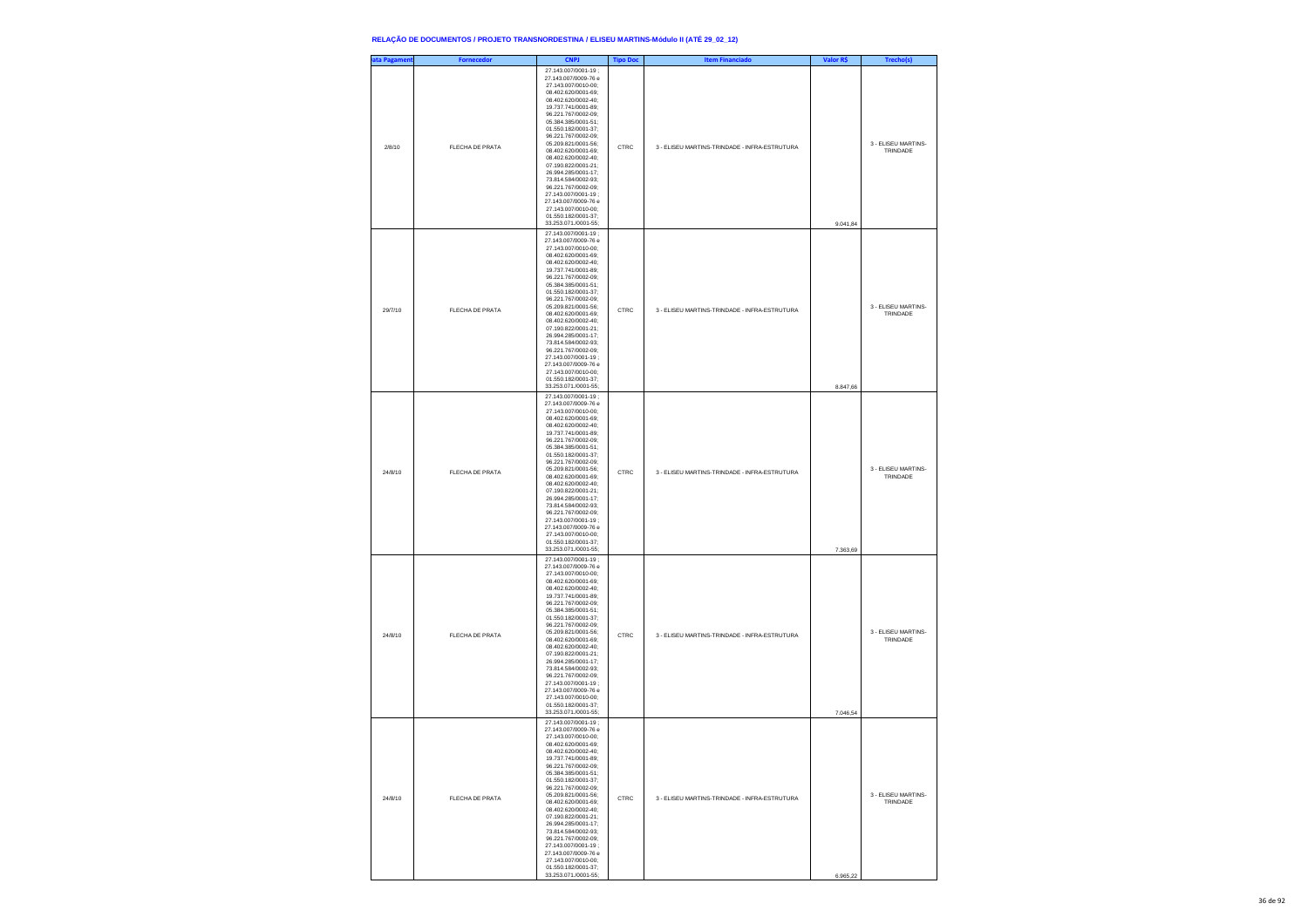| ata Pagament | <b>Fornecedor</b> | <b>CNPJ</b>                                                                                                                                                                                                                                                                                                                                                                                                                                                                                                                | <b>Tipo Doc</b> | <b>Item Financiado</b>                        | Valor R\$ | Trecho(s)                       |
|--------------|-------------------|----------------------------------------------------------------------------------------------------------------------------------------------------------------------------------------------------------------------------------------------------------------------------------------------------------------------------------------------------------------------------------------------------------------------------------------------------------------------------------------------------------------------------|-----------------|-----------------------------------------------|-----------|---------------------------------|
| 2/8/10       | FLECHA DE PRATA   | 27.143.007/0001-19:<br>27.143.007/0009-76 e<br>27.143.007/0010-00;<br>08.402.620/0001-69;<br>08.402.620/0002-40;<br>19.737.741/0001-89;<br>96.221.767/0002-09;<br>05.384.385/0001-51:<br>01.550.182/0001-37:<br>96.221.767/0002-09;<br>05.209.821/0001-56;<br>08.402.620/0001-69;<br>08.402.620/0002-40;<br>07.190.822/0001-21;<br>26.994.285/0001-17;<br>73.814.584/0002-93:<br>96.221.767/0002-09:<br>27.143.007/0001-19;<br>27.143.007/0009-76 e<br>27.143.007/0010-00;<br>01.550.182/0001-37;<br>33.253.071./0001-55;  | CTRC            | 3 - ELISEU MARTINS-TRINDADE - INFRA-ESTRUTURA | 9.041,84  | 3 - ELISEU MARTINS-<br>TRINDADE |
| 29/7/10      | FLECHA DE PRATA   | 27.143.007/0001-19:<br>27.143.007/0009-76 e<br>27.143.007/0010-00:<br>08.402.620/0001-69;<br>08.402.620/0002-40;<br>19.737.741/0001-89;<br>96.221.767/0002-09;<br>05.384.385/0001-51:<br>01.550.182/0001-37:<br>96.221.767/0002-09;<br>05.209.821/0001-56;<br>08.402.620/0001-69;<br>08.402.620/0002-40;<br>07.190.822/0001-21;<br>26.994.285/0001-17;<br>73.814.584/0002-93;<br>96.221.767/0002-09:<br>27.143.007/0001-19:<br>27.143.007/0009-76 e<br>27.143.007/0010-00;<br>01.550.182/0001-37;<br>33.253.071./0001-55;  | CTRC            | 3 - ELISEU MARTINS-TRINDADE - INFRA-ESTRUTURA | 8.847,66  | 3 - ELISEU MARTINS-<br>TRINDADE |
| 24/8/10      | FLECHA DE PRATA   | 27.143.007/0001-19;<br>27 143 007/0009-76 e<br>27 143 007/0010-00:<br>08.402.620/0001-69;<br>08.402.620/0002-40;<br>19.737.741/0001-89;<br>96.221.767/0002-09;<br>05.384.385/0001-51;<br>01 550 182/0001-37<br>96.221.767/0002-09:<br>05.209.821/0001-56:<br>08.402.620/0001-69;<br>08.402.620/0002-40;<br>07.190.822/0001-21;<br>26.994.285/0001-17;<br>73.814.584/0002-93;<br>96.221.767/0002-09:<br>27.143.007/0001-19:<br>27.143.007/0009-76 e<br>27.143.007/0010-00;<br>01.550.182/0001-37;<br>33.253.071./0001-55;   | CTRC            | 3 - ELISEU MARTINS-TRINDADE - INFRA-ESTRUTURA | 7.363,69  | 3 - ELISEU MARTINS-<br>TRINDADE |
| 24/8/10      | FLECHA DE PRATA   | 27.143.007/0001-19;<br>27.143.007/0009-76 e<br>27.143.007/0010-00:<br>08.402.620/0001-69;<br>08.402.620/0002-40;<br>19.737.741/0001-89;<br>96.221.767/0002-09;<br>05.384.385/0001-51;<br>01.550.182/0001-37:<br>96.221.767/0002-09:<br>05.209.821/0001-56;<br>08.402.620/0001-69;<br>08.402.620/0002-40;<br>07.190.822/0001-21;<br>26.994.285/0001-17;<br>73.814.584/0002-93;<br>96.221.767/0002-09;<br>27 143 007/0001-19 :<br>27.143.007/0009-76 e<br>27.143.007/0010-00:<br>01.550.182/0001-37;<br>33.253.071./0001-55; | CTRC            | 3 - ELISEU MARTINS-TRINDADE - INFRA-ESTRUTURA | 7.046,54  | 3 - ELISEU MARTINS-<br>TRINDADE |
| 24/8/10      | FLECHA DE PRATA   | 27.143.007/0001-19;<br>27.143.007/0009-76 e<br>27.143.007/0010-00:<br>08.402.620/0001-69:<br>402.620/0002<br>19.737.741/0001-89;<br>96.221.767/0002-09;<br>05.384.385/0001-51;<br>01.550.182/0001-37;<br>96.221.767/0002-09:<br>05 209 821/0001-56:<br>08.402.620/0001-69:<br>08.402.620/0002-40;<br>07.190.822/0001-21;<br>26.994.285/0001-17;<br>73.814.584/0002-93;<br>96.221.767/0002-09;<br>27.143.007/0001-19:<br>27 143 007/0009-76 e<br>27.143.007/0010-00:<br>01.550.182/0001-37;<br>33.253.071./0001-55;         | CTRC            | 3 - ELISEU MARTINS-TRINDADE - INFRA-ESTRUTURA | 6.965,22  | 3 - ELISEU MARTINS-<br>TRINDADE |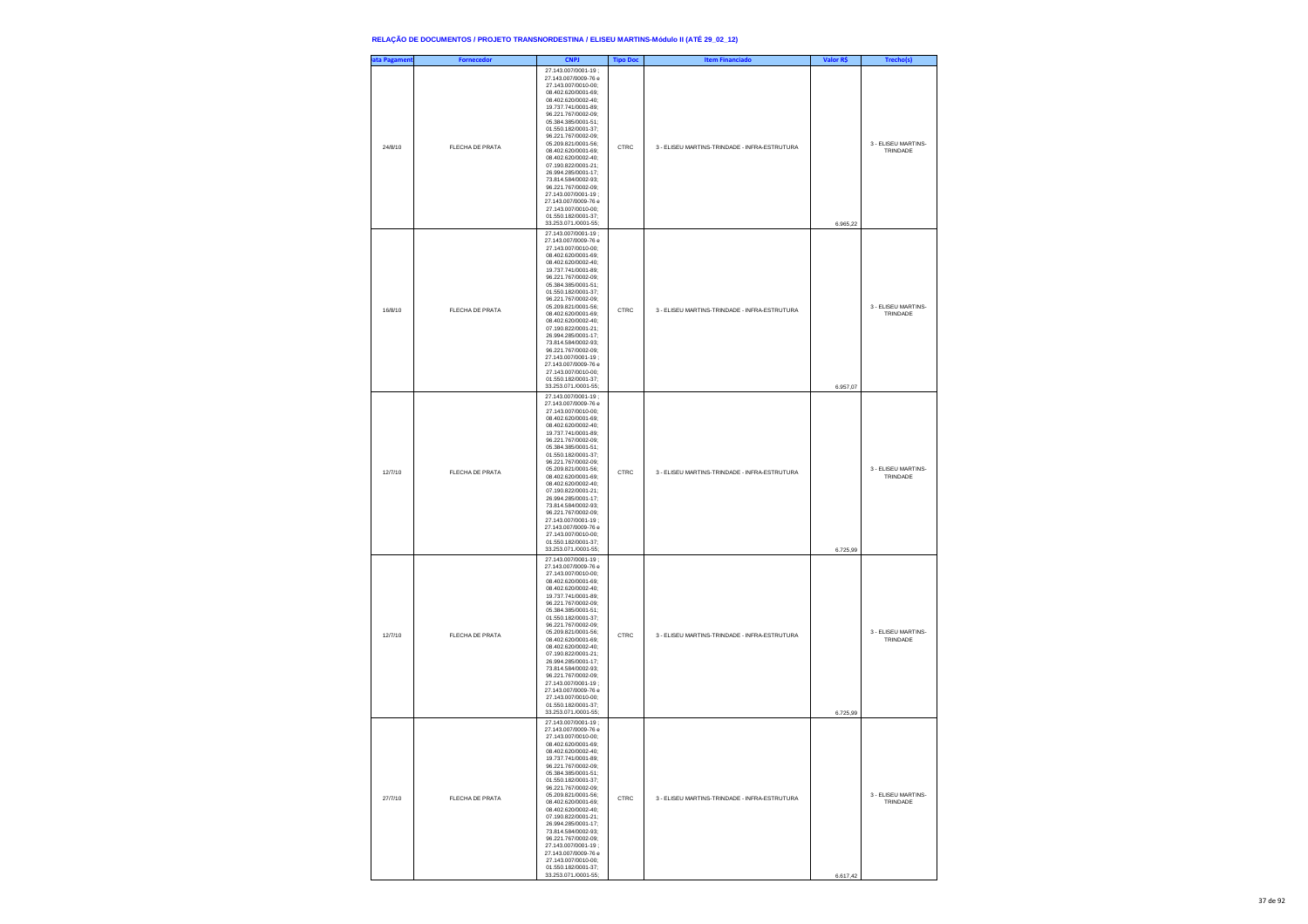| ata Pagament | <b>Fornecedor</b> | <b>CNPJ</b>                                                                                                                                                                                                                                                                                                                                                                                                                                                                                                               | <b>Tipo Doc</b> | <b>Item Financiado</b>                        | Valor R\$ | Trecho(s)                       |
|--------------|-------------------|---------------------------------------------------------------------------------------------------------------------------------------------------------------------------------------------------------------------------------------------------------------------------------------------------------------------------------------------------------------------------------------------------------------------------------------------------------------------------------------------------------------------------|-----------------|-----------------------------------------------|-----------|---------------------------------|
| 24/8/10      | FLECHA DE PRATA   | 27.143.007/0001-19;<br>27.143.007/0009-76 e<br>27.143.007/0010-00;<br>08.402.620/0001-69;<br>08.402.620/0002-40;<br>19.737.741/0001-89;<br>96.221.767/0002-09;<br>05.384.385/0001-51:<br>01.550.182/0001-37:<br>96.221.767/0002-09;<br>05.209.821/0001-56;<br>08.402.620/0001-69;<br>08.402.620/0002-40;<br>07.190.822/0001-21;<br>26.994.285/0001-17;<br>73.814.584/0002-93:<br>96.221.767/0002-09:<br>27.143.007/0001-19;<br>27.143.007/0009-76 e<br>27.143.007/0010-00;<br>01.550.182/0001-37;<br>33.253.071./0001-55; | CTRC            | 3 - ELISEU MARTINS-TRINDADE - INFRA-ESTRUTURA | 6.965,22  | 3 - FLISEU MARTINS-<br>TRINDADE |
| 16/8/10      | FLECHA DE PRATA   | 27.143.007/0001-19;<br>27.143.007/0009-76 e<br>27.143.007/0010-00:<br>08.402.620/0001-69;<br>08.402.620/0002-40;<br>19.737.741/0001-89;<br>96.221.767/0002-09;<br>05.384.385/0001-51:<br>01.550.182/0001-37:<br>96.221.767/0002-09;<br>05.209.821/0001-56;<br>08.402.620/0001-69;<br>08.402.620/0002-40;<br>07.190.822/0001-21;<br>26.994.285/0001-17;<br>73.814.584/0002-93;<br>96.221.767/0002-09:<br>27.143.007/0001-19;<br>27.143.007/0009-76 e<br>27.143.007/0010-00:<br>01.550.182/0001-37;<br>33.253.071./0001-55; | CTRC            | 3 - ELISEU MARTINS-TRINDADE - INFRA-ESTRUTURA | 6.957,07  | 3 - ELISEU MARTINS-<br>TRINDADE |
| 12/7/10      | FLECHA DE PRATA   | 27.143.007/0001-19;<br>27.143.007/0009-76 e<br>27.143.007/0010-00;<br>08.402.620/0001-69;<br>08.402.620/0002-40;<br>19.737.741/0001-89;<br>96.221.767/0002-09;<br>05.384.385/0001-51;<br>01.550.182/0001-37:<br>96.221.767/0002-09:<br>05.209.821/0001-56;<br>08.402.620/0001-69;<br>08.402.620/0002-40;<br>07.190.822/0001-21;<br>26.994.285/0001-17;<br>73.814.584/0002-93;<br>96.221.767/0002-09:<br>27.143.007/0001-19:<br>27.143.007/0009-76 e<br>27.143.007/0010-00;<br>01.550.182/0001-37;<br>33.253.071./0001-55; | CTRC            | 3 - ELISEU MARTINS-TRINDADE - INFRA-ESTRUTURA | 6.725,99  | 3 - ELISEU MARTINS-<br>TRINDADE |
| 12/7/10      | FLECHA DE PRATA   | 27.143.007/0001-19;<br>27.143.007/0009-76 e<br>27.143.007/0010-00;<br>08.402.620/0001-69;<br>08.402.620/0002-40;<br>19.737.741/0001-89;<br>96.221.767/0002-09;<br>05.384.385/0001-51;<br>01.550.182/0001-37:<br>96.221.767/0002-09:<br>05.209.821/0001-56;<br>08.402.620/0001-69;<br>08.402.620/0002-40;<br>07.190.822/0001-21;<br>26.994.285/0001-17;<br>73.814.584/0002-93;<br>96.221.767/0002-09;<br>27.143.007/0001-19:<br>27.143.007/0009-76 e<br>27.143.007/0010-00;<br>01.550.182/0001-37:<br>33.253.071./0001-55; | CTRC            | 3 - ELISEU MARTINS-TRINDADE - INFRA-ESTRUTURA | 6.725,99  | 3 - ELISEU MARTINS-<br>TRINDADE |
| 27/7/10      | FLECHA DE PRATA   | 27.143.007/0001-19;<br>27.143.007/0009-76 e<br>27 143 007/0010-00:<br>08.402.620/0001-69:<br>402.620/0002<br>19.737.741/0001-89;<br>96.221.767/0002-09;<br>05.384.385/0001-51;<br>01.550.182/0001-37;<br>96.221.767/0002-09:<br>05 209 821/0001-56:<br>08.402.620/0001-69:<br>08.402.620/0002-40:<br>07.190.822/0001-21;<br>26.994.285/0001-17;<br>73.814.584/0002-93;<br>96.221.767/0002-09;<br>27.143.007/0001-19:<br>27 143 007/0009-76 e<br>27 143 007/0010-00:<br>01.550.182/0001-37:<br>33.253.071./0001-55;        | CTRC            | 3 - ELISEU MARTINS-TRINDADE - INFRA-ESTRUTURA | 6.617,42  | 3 - FLISEU MARTINS-<br>TRINDADE |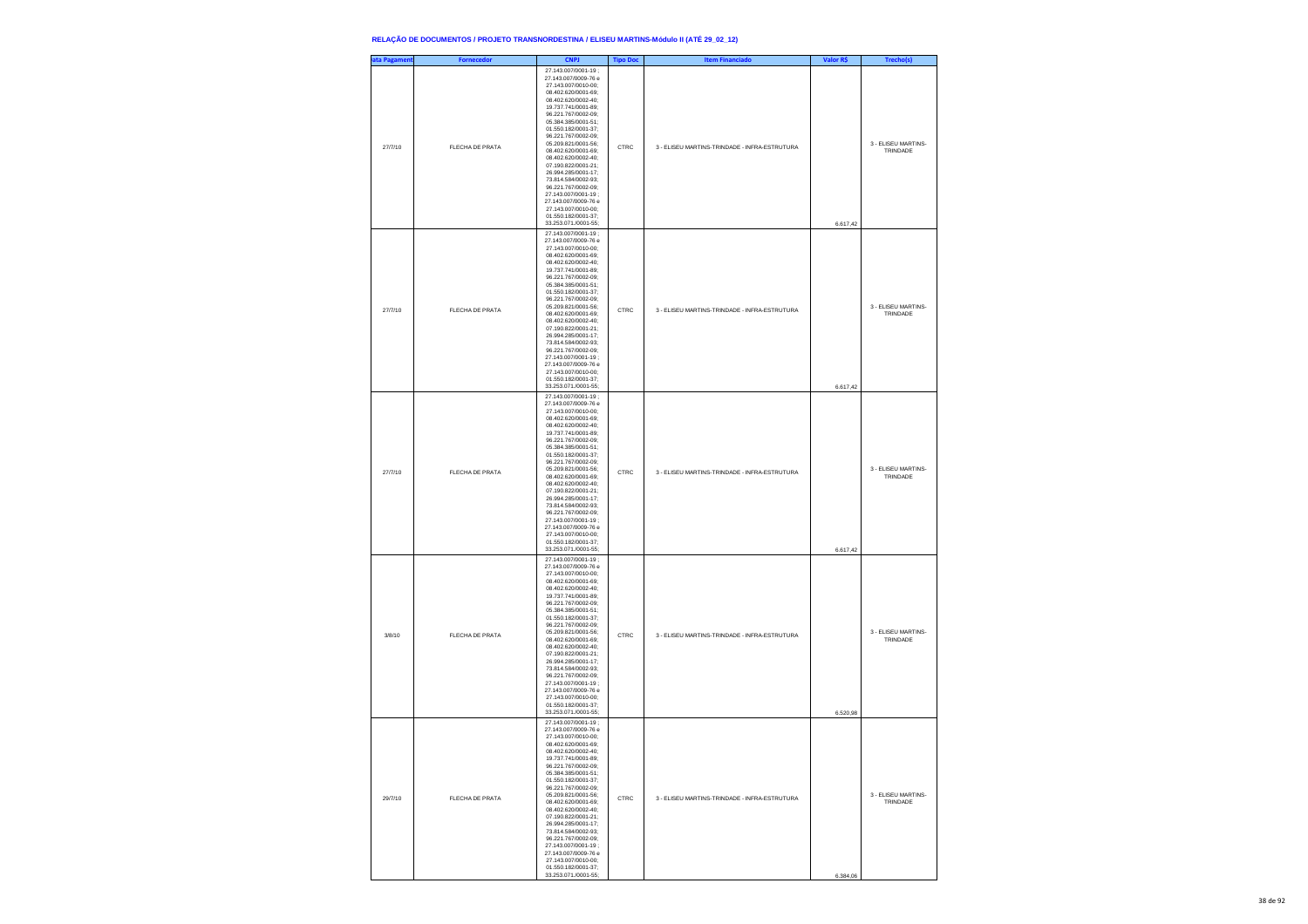| ata Pagament | <b>Fornecedor</b> | <b>CNPJ</b>                                                                                                                                                                                                                                                                                                                                                                                                                                                                                                               | <b>Tipo Doc</b> | <b>Item Financiado</b>                        | Valor R\$ | Trecho(s)                       |
|--------------|-------------------|---------------------------------------------------------------------------------------------------------------------------------------------------------------------------------------------------------------------------------------------------------------------------------------------------------------------------------------------------------------------------------------------------------------------------------------------------------------------------------------------------------------------------|-----------------|-----------------------------------------------|-----------|---------------------------------|
| 27/7/10      | FLECHA DE PRATA   | 27.143.007/0001-19;<br>27.143.007/0009-76 e<br>27.143.007/0010-00;<br>08.402.620/0001-69;<br>08.402.620/0002-40;<br>19.737.741/0001-89;<br>96.221.767/0002-09;<br>05.384.385/0001-51:<br>01.550.182/0001-37:<br>96.221.767/0002-09;<br>05.209.821/0001-56;<br>08.402.620/0001-69;<br>08.402.620/0002-40;<br>07.190.822/0001-21;<br>26.994.285/0001-17;<br>73.814.584/0002-93:<br>96.221.767/0002-09:<br>27.143.007/0001-19;<br>27.143.007/0009-76 e<br>27.143.007/0010-00;<br>01.550.182/0001-37;<br>33.253.071./0001-55; | CTRC            | 3 - ELISEU MARTINS-TRINDADE - INFRA-ESTRUTURA | 6.617,42  | 3 - FLISEU MARTINS-<br>TRINDADE |
| 27/7/10      | FLECHA DE PRATA   | 27.143.007/0001-19;<br>27.143.007/0009-76 e<br>27.143.007/0010-00:<br>08.402.620/0001-69;<br>08.402.620/0002-40;<br>19.737.741/0001-89;<br>96.221.767/0002-09;<br>05.384.385/0001-51:<br>01.550.182/0001-37:<br>96.221.767/0002-09;<br>05.209.821/0001-56;<br>08.402.620/0001-69;<br>08.402.620/0002-40;<br>07.190.822/0001-21;<br>26.994.285/0001-17;<br>73.814.584/0002-93;<br>96.221.767/0002-09:<br>27.143.007/0001-19;<br>27.143.007/0009-76 e<br>27.143.007/0010-00:<br>01.550.182/0001-37;<br>33.253.071./0001-55; | CTRC            | 3 - ELISEU MARTINS-TRINDADE - INFRA-ESTRUTURA | 6.617,42  | 3 - ELISEU MARTINS-<br>TRINDADE |
| 27/7/10      | FLECHA DE PRATA   | 27.143.007/0001-19;<br>27.143.007/0009-76 e<br>27.143.007/0010-00;<br>08.402.620/0001-69;<br>08.402.620/0002-40;<br>19.737.741/0001-89;<br>96.221.767/0002-09;<br>05.384.385/0001-51;<br>01.550.182/0001-37:<br>96.221.767/0002-09:<br>05.209.821/0001-56;<br>08.402.620/0001-69;<br>08.402.620/0002-40;<br>07.190.822/0001-21;<br>26.994.285/0001-17;<br>73.814.584/0002-93;<br>96.221.767/0002-09:<br>27.143.007/0001-19:<br>27.143.007/0009-76 e<br>27.143.007/0010-00;<br>01.550.182/0001-37;<br>33.253.071./0001-55; | CTRC            | 3 - ELISEU MARTINS-TRINDADE - INFRA-ESTRUTURA | 6.617,42  | 3 - ELISEU MARTINS-<br>TRINDADE |
| 3/8/10       | FLECHA DE PRATA   | 27.143.007/0001-19;<br>27.143.007/0009-76 e<br>27.143.007/0010-00;<br>08.402.620/0001-69;<br>08.402.620/0002-40;<br>19.737.741/0001-89;<br>96.221.767/0002-09;<br>05.384.385/0001-51;<br>01.550.182/0001-37:<br>96.221.767/0002-09:<br>05.209.821/0001-56;<br>08.402.620/0001-69;<br>08.402.620/0002-40;<br>07.190.822/0001-21;<br>26.994.285/0001-17;<br>73.814.584/0002-93;<br>96.221.767/0002-09;<br>27.143.007/0001-19:<br>27.143.007/0009-76 e<br>27.143.007/0010-00;<br>01.550.182/0001-37:<br>33.253.071./0001-55; | CTRC            | 3 - ELISEU MARTINS-TRINDADE - INFRA-ESTRUTURA | 6.520,98  | 3 - ELISEU MARTINS-<br>TRINDADE |
| 29/7/10      | FLECHA DE PRATA   | 27.143.007/0001-19;<br>27.143.007/0009-76 e<br>27.143.007/0010-00:<br>08 402 620/0001-69:<br>402.620/0002<br>19.737.741/0001-89;<br>96.221.767/0002-09;<br>05.384.385/0001-51;<br>01.550.182/0001-37;<br>96.221.767/0002-09:<br>05 209 821/0001-56:<br>08.402.620/0001-69:<br>08.402.620/0002-40:<br>07.190.822/0001-21;<br>26.994.285/0001-17;<br>73.814.584/0002-93;<br>96.221.767/0002-09;<br>27.143.007/0001-19:<br>27 143 007/0009-76 e<br>27 143 007/0010-00:<br>01.550.182/0001-37:<br>33.253.071./0001-55;        | CTRC            | 3 - ELISEU MARTINS-TRINDADE - INFRA-ESTRUTURA | 6.384,06  | 3 - FLISEU MARTINS-<br>TRINDADE |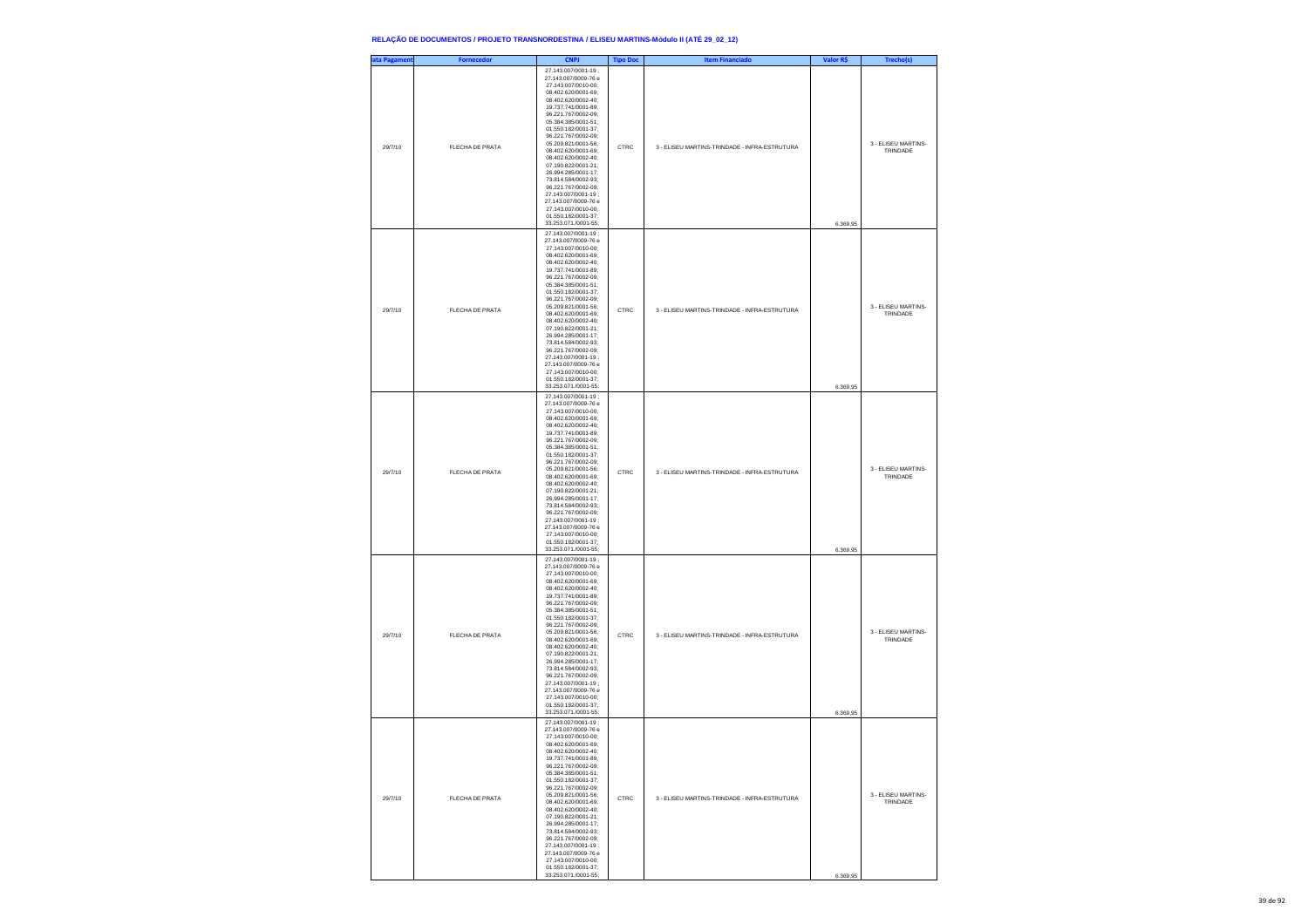| ata Pagament | <b>Fornecedor</b> | <b>CNPJ</b>                                                                                                                                                                                                                                                                                                                                                                                                                                                                                                                | <b>Tipo Doc</b> | <b>Item Financiado</b>                        | Valor R\$ | Trecho(s)                       |
|--------------|-------------------|----------------------------------------------------------------------------------------------------------------------------------------------------------------------------------------------------------------------------------------------------------------------------------------------------------------------------------------------------------------------------------------------------------------------------------------------------------------------------------------------------------------------------|-----------------|-----------------------------------------------|-----------|---------------------------------|
| 29/7/10      | FLECHA DE PRATA   | 27 143 007/0001-19 :<br>27.143.007/0009-76 e<br>27.143.007/0010-00;<br>08.402.620/0001-69;<br>08.402.620/0002-40;<br>19.737.741/0001-89;<br>96.221.767/0002-09;<br>05.384.385/0001-51:<br>01.550.182/0001-37:<br>96.221.767/0002-09:<br>05.209.821/0001-56;<br>08.402.620/0001-69;<br>08.402.620/0002-40;<br>07.190.822/0001-21;<br>26.994.285/0001-17;<br>73.814.584/0002-93:<br>96.221.767/0002-09:<br>27.143.007/0001-19;<br>27.143.007/0009-76 e<br>27.143.007/0010-00;<br>01.550.182/0001-37;<br>33.253.071./0001-55; | CTRC            | 3 - ELISEU MARTINS-TRINDADE - INFRA-ESTRUTURA | 6.369,95  | 3 - FLISEU MARTINS-<br>TRINDADE |
| 29/7/10      | FLECHA DE PRATA   | 27.143.007/0001-19;<br>27.143.007/0009-76 e<br>27.143.007/0010-00:<br>08.402.620/0001-69;<br>08.402.620/0002-40;<br>19.737.741/0001-89;<br>96.221.767/0002-09;<br>05.384.385/0001-51:<br>01.550.182/0001-37:<br>96.221.767/0002-09;<br>05.209.821/0001-56;<br>08.402.620/0001-69;<br>08.402.620/0002-40;<br>07.190.822/0001-21;<br>26.994.285/0001-17;<br>73.814.584/0002-93;<br>96.221.767/0002-09:<br>27.143.007/0001-19;<br>27.143.007/0009-76 e<br>27.143.007/0010-00;<br>01.550.182/0001-37;<br>33.253.071./0001-55;  | CTRC            | 3 - ELISEU MARTINS-TRINDADE - INFRA-ESTRUTURA | 6.369,95  | 3 - ELISEU MARTINS-<br>TRINDADE |
| 29/7/10      | FLECHA DE PRATA   | 27.143.007/0001-19;<br>27.143.007/0009-76 e<br>27.143.007/0010-00;<br>08.402.620/0001-69;<br>08.402.620/0002-40;<br>19.737.741/0001-89;<br>96.221.767/0002-09;<br>05.384.385/0001-51;<br>01.550.182/0001-37:<br>96.221.767/0002-09:<br>05.209.821/0001-56;<br>08.402.620/0001-69;<br>08.402.620/0002-40;<br>07.190.822/0001-21;<br>26.994.285/0001-17;<br>73.814.584/0002-93;<br>96.221.767/0002-09:<br>27.143.007/0001-19:<br>27.143.007/0009-76 e<br>27.143.007/0010-00;<br>01.550.182/0001-37;<br>33.253.071./0001-55;  | CTRC            | 3 - ELISEU MARTINS-TRINDADE - INFRA-ESTRUTURA | 6.369,95  | 3 - ELISEU MARTINS-<br>TRINDADE |
| 29/7/10      | FLECHA DE PRATA   | 27.143.007/0001-19;<br>27.143.007/0009-76 e<br>27.143.007/0010-00;<br>08.402.620/0001-69;<br>08.402.620/0002-40;<br>19.737.741/0001-89;<br>96.221.767/0002-09;<br>05.384.385/0001-51;<br>01.550.182/0001-37:<br>96.221.767/0002-09:<br>05.209.821/0001-56;<br>08.402.620/0001-69;<br>08.402.620/0002-40;<br>07.190.822/0001-21;<br>26.994.285/0001-17;<br>73.814.584/0002-93;<br>96.221.767/0002-09;<br>27.143.007/0001-19:<br>27.143.007/0009-76 e<br>27.143.007/0010-00;<br>01.550.182/0001-37;<br>33.253.071./0001-55;  | CTRC            | 3 - ELISEU MARTINS-TRINDADE - INFRA-ESTRUTURA | 6.369,95  | 3 - ELISEU MARTINS-<br>TRINDADE |
| 29/7/10      | FLECHA DE PRATA   | 27.143.007/0001-19;<br>27.143.007/0009-76 e<br>27.143.007/0010-00:<br>08 402 620/0001-69:<br>402.620/0002<br>19.737.741/0001-89;<br>96.221.767/0002-09;<br>05.384.385/0001-51;<br>01.550.182/0001-37;<br>96.221.767/0002-09:<br>05 209 821/0001-56:<br>08.402.620/0001-69:<br>08.402.620/0002-40:<br>07.190.822/0001-21;<br>26.994.285/0001-17;<br>73.814.584/0002-93;<br>96.221.767/0002-09;<br>27.143.007/0001-19:<br>27 143 007/0009-76 e<br>27 143 007/0010-00:<br>01.550.182/0001-37:<br>33.253.071./0001-55;         | CTRC            | 3 - ELISEU MARTINS-TRINDADE - INFRA-ESTRUTURA | 6.369,95  | 3 - FLISEU MARTINS-<br>TRINDADE |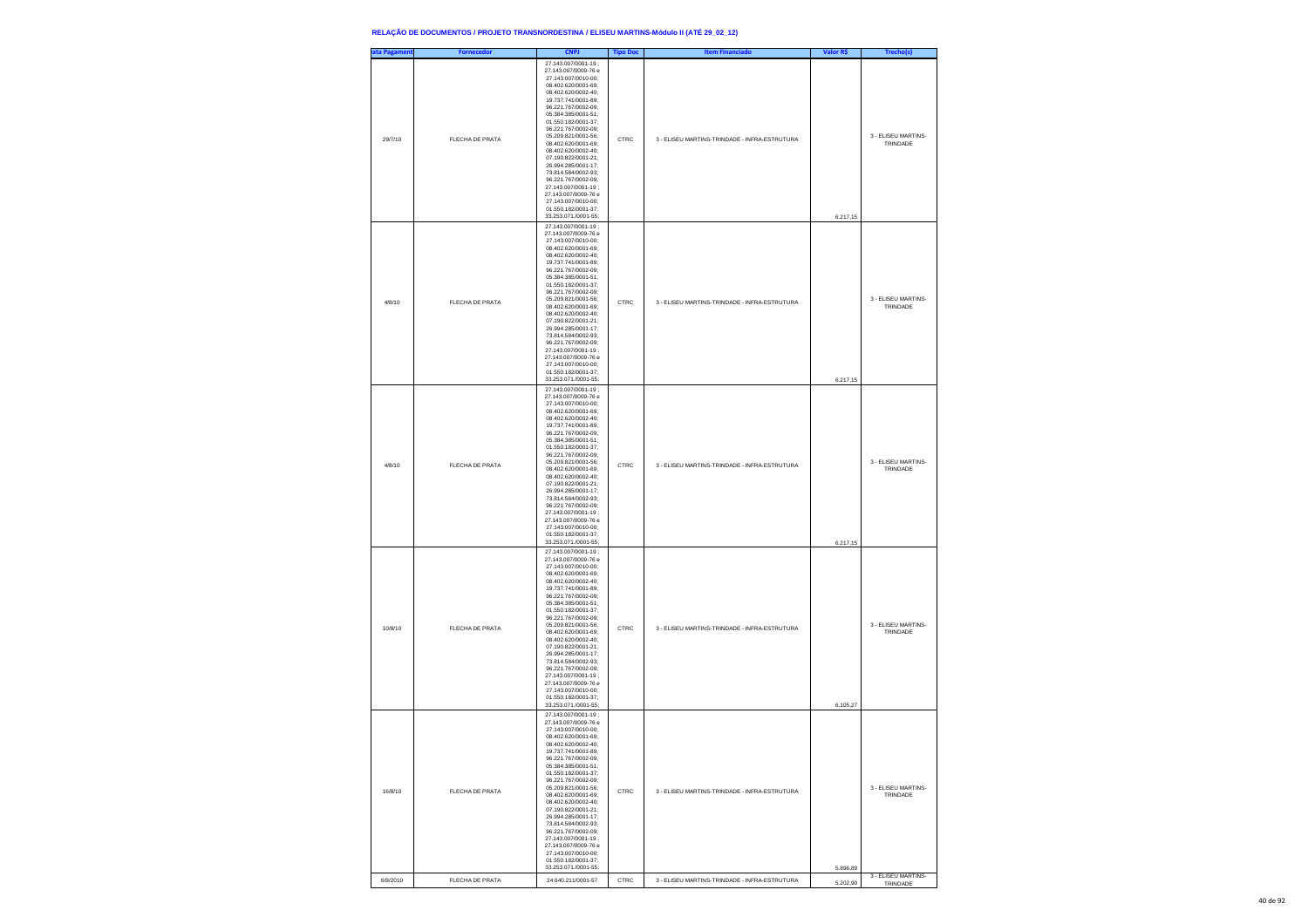| ata Pagameni | <b>Fornecedor</b>      | <b>CNPJ</b>                                                                                                                                                                                                                                                                                                                                                                                                                                                                                                               | <b>Tipo Doc</b> | <b>Item Financiado</b>                        | Valor R\$ | Trecho(s)                       |
|--------------|------------------------|---------------------------------------------------------------------------------------------------------------------------------------------------------------------------------------------------------------------------------------------------------------------------------------------------------------------------------------------------------------------------------------------------------------------------------------------------------------------------------------------------------------------------|-----------------|-----------------------------------------------|-----------|---------------------------------|
| 29/7/10      | FLECHA DE PRATA        | 27.143.007/0001-19;<br>27.143.007/0009-76 e<br>27.143.007/0010-00:<br>08.402.620/0001-69:<br>08.402.620/0002-40:<br>19.737.741/0001-89;<br>96.221.767/0002-09;<br>05.384.385/0001-51;<br>01.550.182/0001-37;<br>96.221.767/0002-09;<br>05.209.821/0001-56:<br>08.402.620/0001-69:<br>08.402.620/0002-40;<br>07.190.822/0001-21;<br>26.994.285/0001-17;<br>73.814.584/0002-93;<br>96.221.767/0002-09;<br>27.143.007/0001-19;<br>27.143.007/0009-76 e<br>27 143 007/0010-00:<br>01.550.182/0001-37;<br>33.253.071./0001-55; | CTRC            | 3 - ELISEU MARTINS-TRINDADE - INFRA-ESTRUTURA | 6.217,15  | 3 - ELISEU MARTINS-<br>TRINDADE |
| 4/8/10       | FLECHA DE PRATA        | 27.143.007/0001-19;<br>27.143.007/0009-76 e<br>27 143 007/0010-00:<br>08 402 620/0001-69:<br>08.402.620/0002-40;<br>19.737.741/0001-89;<br>96.221.767/0002-09;<br>05.384.385/0001-51;<br>01.550.182/0001-37;<br>96.221.767/0002-09;<br>05.209.821/0001-56:<br>08.402.620/0001-69:<br>08.402.620/0002-40;<br>07.190.822/0001-21;<br>26.994.285/0001-17;<br>73.814.584/0002-93;<br>96.221.767/0002-09;<br>27.143.007/0001-19;<br>27.143.007/0009-76 e<br>27 143 007/0010-00:<br>01.550.182/0001-37:<br>33.253.071./0001-55; | CTRC            | 3 - ELISEU MARTINS-TRINDADE - INFRA-ESTRUTURA | 6.217,15  | 3 - ELISEU MARTINS-<br>TRINDADE |
| 4/8/10       | <b>FLECHA DE PRATA</b> | 27.143.007/0001-19;<br>27.143.007/0009-76 e<br>27.143.007/0010-00;<br>08 402 620/0001-69:<br>08.402.620/0002-40:<br>19.737.741/0001-89;<br>96.221.767/0002-09;<br>05.384.385/0001-51;<br>01.550.182/0001-37;<br>96.221.767/0002-09;<br>05.209.821/0001-56;<br>08.402.620/0001-69:<br>08.402.620/0002-40:<br>07.190.822/0001-21;<br>26.994.285/0001-17;<br>73.814.584/0002-93;<br>96.221.767/0002-09;<br>27.143.007/0001-19;<br>27.143.007/0009-76 e<br>27.143.007/0010-00:<br>01.550.182/0001-37:<br>33.253.071./0001-55; | CTRC            | 3 - ELISEU MARTINS-TRINDADE - INFRA-ESTRUTURA | 6.217,15  | 3 - ELISEU MARTINS-<br>TRINDADE |
| 10/8/10      | <b>FLECHA DE PRATA</b> | 27.143.007/0001-19;<br>27.143.007/0009-76 e<br>27.143.007/0010-00;<br>08.402.620/0001-69:<br>08.402.620/0002-40:<br>19.737.741/0001-89;<br>96.221.767/0002-09;<br>05.384.385/0001-51;<br>01.550.182/0001-37;<br>96.221.767/0002-09;<br>05.209.821/0001-56;<br>08.402.620/0001-69:<br>08.402.620/0002-40:<br>07.190.822/0001-21:<br>26.994.285/0001-17;<br>73.814.584/0002-93;<br>96.221.767/0002-09;<br>27.143.007/0001-19;<br>27.143.007/0009-76 e<br>27.143.007/0010-00;<br>01 550 182/0001-37<br>33.253.071./0001-55;  | CTRC            | 3 - ELISEU MARTINS-TRINDADE - INFRA-ESTRUTURA | 6.105,27  | 3 - ELISEU MARTINS-<br>TRINDADE |
| 16/8/10      | <b>FLECHA DE PRATA</b> | 27.143.007/0001-19;<br>27.143.007/0009-76 e<br>27.143.007/0010-00;<br>08.402.620/0001-69;<br>08.402.620/0002-40:<br>19 737 741/0001-89<br>96 221 767/0002-09:<br>05.384.385/0001-51;<br>01.550.182/0001-37;<br>96.221.767/0002-09;<br>05.209.821/0001-56;<br>08.402.620/0001-69;<br>08 402 620/0002-40:<br>07 190 822/0001-21:<br>26 994 285/0001-17:<br>73.814.584/0002-93;<br>96.221.767/0002-09;<br>27.143.007/0001-19;<br>27.143.007/0009-76 e<br>27.143.007/0010-00;<br>01.550.182/0001-37;<br>33.253.071./0001-55:  | CTRC            | 3 - ELISEU MARTINS-TRINDADE - INFRA-ESTRUTURA | 5.896,89  | 3 - ELISEU MARTINS-<br>TRINDADE |
| 6/9/2010     | FLECHA DE PRATA        | 24.640.211/0001-57                                                                                                                                                                                                                                                                                                                                                                                                                                                                                                        | CTRC            | 3 - ELISEU MARTINS-TRINDADE - INFRA-ESTRUTURA | 5.202,90  | 3 - ELISEU MARTINS-<br>TRINDADE |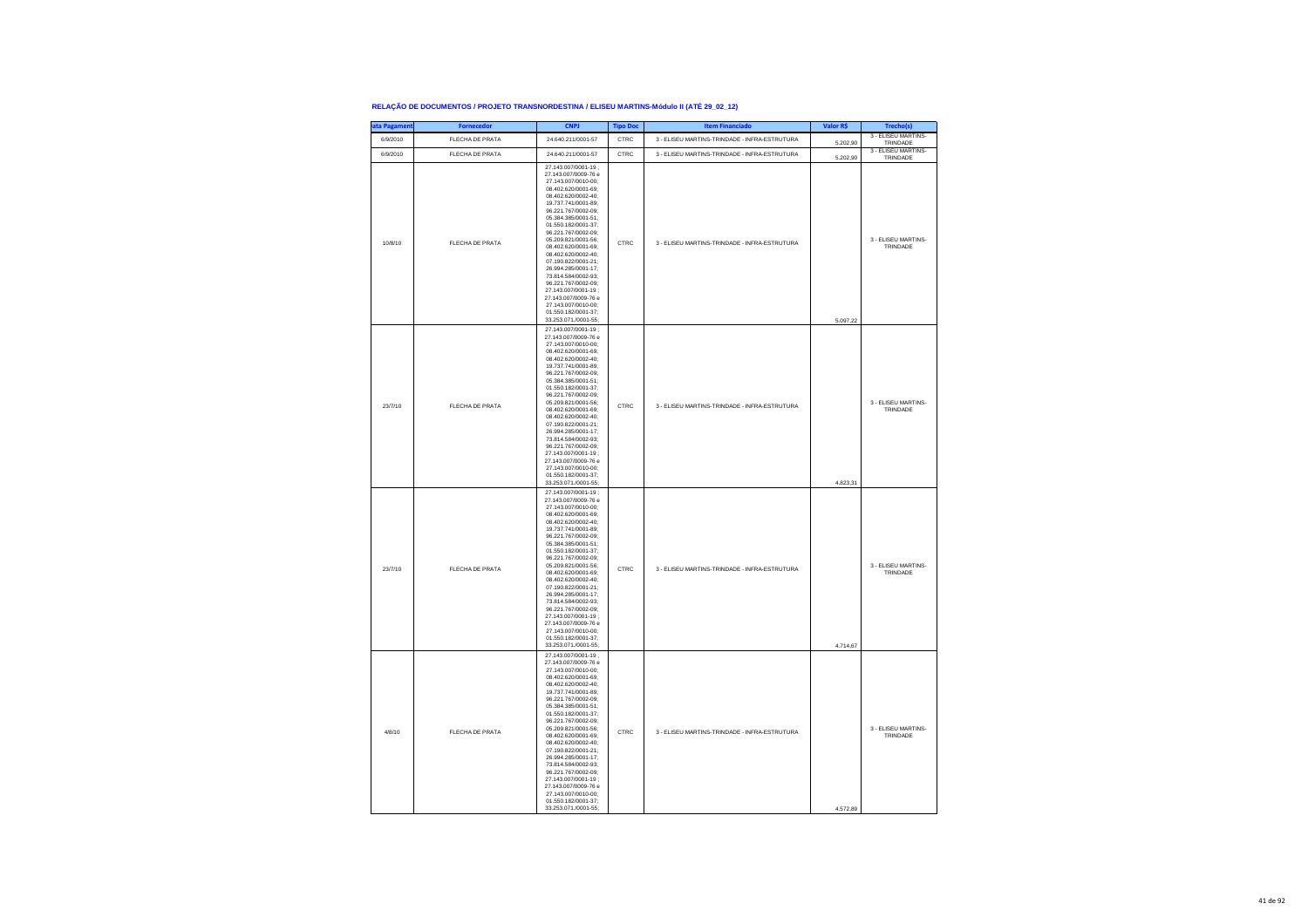| ata Pagament | <b>Fornecedor</b> | <b>CNPJ</b>                                                                                                                                                                                                                                                                                                                                                                                                                                                                                                                | <b>Tipo Doc</b> | <b>Item Financiado</b>                        | Valor R\$ | Trecho(s)                       |
|--------------|-------------------|----------------------------------------------------------------------------------------------------------------------------------------------------------------------------------------------------------------------------------------------------------------------------------------------------------------------------------------------------------------------------------------------------------------------------------------------------------------------------------------------------------------------------|-----------------|-----------------------------------------------|-----------|---------------------------------|
| 6/9/2010     | FLECHA DE PRATA   | 24.640.211/0001-57                                                                                                                                                                                                                                                                                                                                                                                                                                                                                                         | CTRC            | 3 - ELISEU MARTINS-TRINDADE - INFRA-ESTRUTURA | 5.202,90  | 3 - ELISEU MARTINS-<br>TRINDADE |
| 6/9/2010     | FLECHA DE PRATA   | 24.640.211/0001-57                                                                                                                                                                                                                                                                                                                                                                                                                                                                                                         | CTRC            | 3 - ELISEU MARTINS-TRINDADE - INFRA-ESTRUTURA | 5.202,90  | 3 - ELISEU MARTINS-<br>TRINDADE |
| 10/8/10      | FLECHA DE PRATA   | 27 143 007/0001-19 :<br>27 143 007/0009-76 e<br>27.143.007/0010-00:<br>08.402.620/0001-69;<br>08.402.620/0002-40;<br>19.737.741/0001-89;<br>96.221.767/0002-09;<br>05.384.385/0001-51;<br>01.550.182/0001-37:<br>96.221.767/0002-09:<br>05.209.821/0001-56:<br>08.402.620/0001-69;<br>08.402.620/0002-40;<br>07.190.822/0001-21;<br>26.994.285/0001-17;<br>73.814.584/0002-93:<br>96.221.767/0002-09:<br>27.143.007/0001-19:<br>27.143.007/0009-76 e<br>27.143.007/0010-00;<br>01.550.182/0001-37;<br>33.253.071./0001-55; | CTRC            | 3 - ELISEU MARTINS-TRINDADE - INFRA-ESTRUTURA | 5.097,22  | 3 - ELISEU MARTINS-<br>TRINDADE |
| 23/7/10      | FLECHA DE PRATA   | 27.143.007/0001-19;<br>27.143.007/0009-76 e<br>27.143.007/0010-00;<br>08.402.620/0001-69;<br>08.402.620/0002-40;<br>19.737.741/0001-89;<br>96.221.767/0002-09;<br>05 384 385/0001-51:<br>01 550 182/0001-37:<br>96.221.767/0002-09:<br>05.209.821/0001-56;<br>08.402.620/0001-69;<br>08.402.620/0002-40;<br>07.190.822/0001-21;<br>26.994.285/0001-17:<br>73 814 584/0002-93:<br>96.221.767/0002-09:<br>27.143.007/0001-19;<br>27.143.007/0009-76 e<br>27.143.007/0010-00;<br>01.550.182/0001-37;<br>33.253.071./0001-55;  | CTRC            | 3 - ELISEU MARTINS-TRINDADE - INFRA-ESTRUTURA | 4.823,31  | 3 - ELISEU MARTINS-<br>TRINDADE |
| 23/7/10      | FLECHA DE PRATA   | 27.143.007/0001-19;<br>27.143.007/0009-76 e<br>27.143.007/0010-00;<br>08.402.620/0001-69;<br>08.402.620/0002-40;<br>19.737.741/0001-89:<br>96.221.767/0002-09:<br>05.384.385/0001-51:<br>01.550.182/0001-37:<br>96.221.767/0002-09;<br>05.209.821/0001-56;<br>08.402.620/0001-69;<br>08.402.620/0002-40;<br>07.190.822/0001-21;<br>26 994 285/0001-17:<br>73 814 584/0002-93:<br>96.221.767/0002-09:<br>27.143.007/0001-19;<br>27.143.007/0009-76 e<br>27.143.007/0010-00;<br>01.550.182/0001-37;<br>33.253.071./0001-55;  | CTRC            | 3 - ELISEU MARTINS-TRINDADE - INFRA-ESTRUTURA | 4.714,67  | 3 - ELISEU MARTINS-<br>TRINDADE |
| 4/8/10       | FLECHA DE PRATA   | 27.143.007/0001-19;<br>27.143.007/0009-76 e<br>27.143.007/0010-00;<br>08.402.620/0001-69;<br>08.402.620/0002-40;<br>19.737.741/0001-89:<br>96.221.767/0002-09:<br>05.384.385/0001-51:<br>01.550.182/0001-37;<br>96.221.767/0002-09;<br>05.209.821/0001-56;<br>08.402.620/0001-69;<br>08.402.620/0002-40:<br>07.190.822/0001-21:<br>26.994.285/0001-17:<br>73.814.584/0002-93;<br>96.221.767/0002-09;<br>27.143.007/0001-19;<br>27.143.007/0009-76 e<br>27.143.007/0010-00;<br>01.550.182/0001-37;<br>33.253.071./0001-55:  | CTRC            | 3 - ELISEU MARTINS-TRINDADE - INFRA-ESTRUTURA | 4,572.89  | 3 - ELISEU MARTINS-<br>TRINDADE |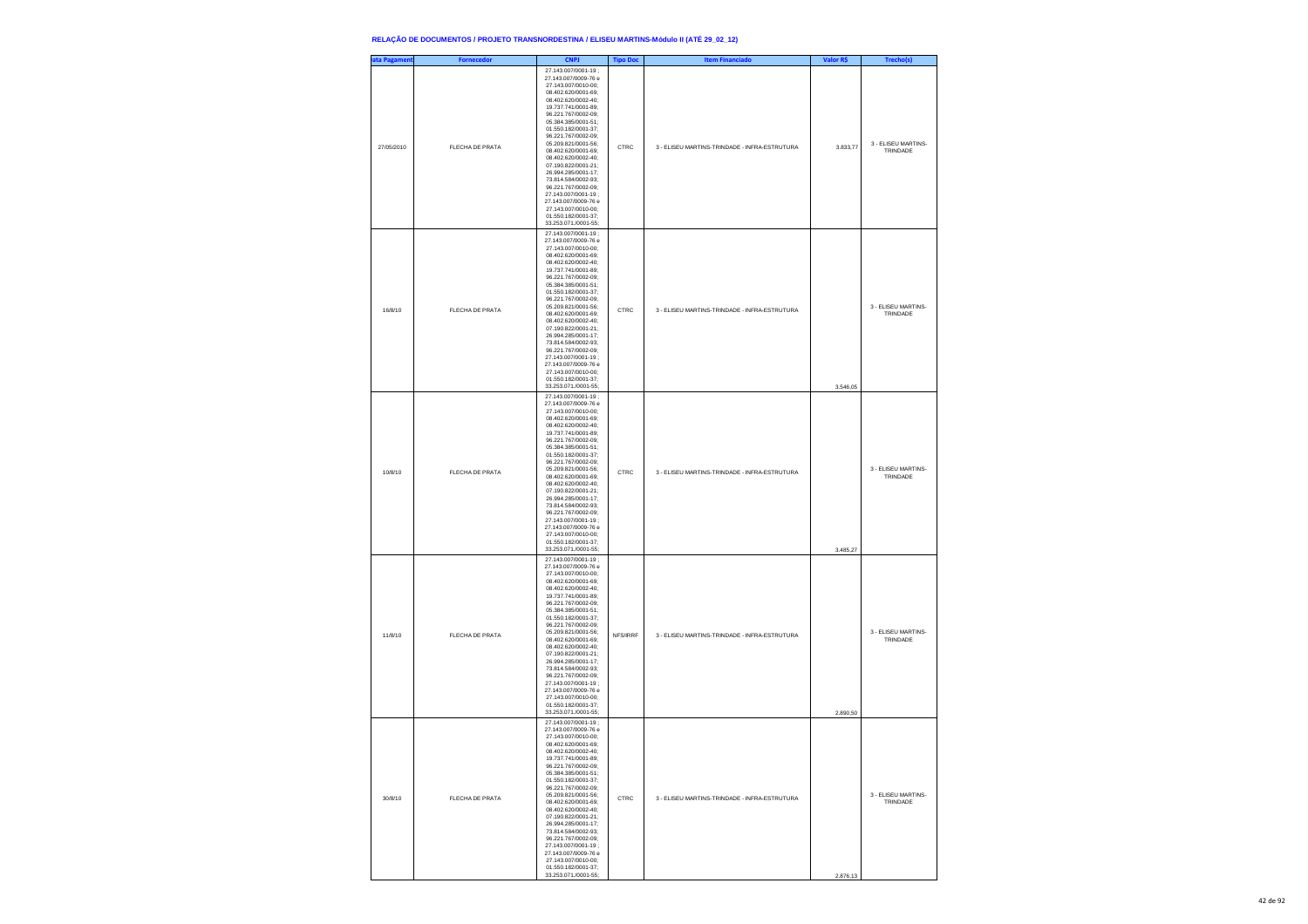| ata Pagament | <b>Fornecedor</b> | <b>CNPJ</b>                                                                                                                                                                                                                                                                                                                                                                                                                                                                                                                | <b>Tipo Doc</b> | <b>Item Financiado</b>                        | Valor R\$ | Trecho(s)                       |
|--------------|-------------------|----------------------------------------------------------------------------------------------------------------------------------------------------------------------------------------------------------------------------------------------------------------------------------------------------------------------------------------------------------------------------------------------------------------------------------------------------------------------------------------------------------------------------|-----------------|-----------------------------------------------|-----------|---------------------------------|
| 27/05/2010   | FLECHA DE PRATA   | 27.143.007/0001-19;<br>27.143.007/0009-76 e<br>27.143.007/0010-00;<br>08.402.620/0001-69;<br>08.402.620/0002-40;<br>19.737.741/0001-89:<br>96.221.767/0002-09:<br>05.384.385/0001-51;<br>01.550.182/0001-37;<br>96.221.767/0002-09;<br>05.209.821/0001-56;<br>08.402.620/0001-69;<br>08.402.620/0002-40;<br>07 190 822/0001-21:<br>26.994.285/0001-17:<br>73.814.584/0002-93;<br>96.221.767/0002-09;<br>27.143.007/0001-19;<br>27.143.007/0009-76 e<br>27.143.007/0010-00;<br>01.550.182/0001-37;<br>33.253.071./0001-55;  | CTRC            | 3 - FLISEU MARTINS-TRINDADE - INFRA-ESTRUTURA | 3.833.77  | 3 - ELISEU MARTINS-<br>TRINDADE |
| 16/8/10      | FLECHA DE PRATA   | 27.143.007/0001-19;<br>27.143.007/0009-76 e<br>27.143.007/0010-00;<br>08.402.620/0001-69;<br>08.402.620/0002-40;<br>19.737.741/0001-89:<br>96.221.767/0002-09:<br>05.384.385/0001-51;<br>01.550.182/0001-37;<br>96.221.767/0002-09;<br>05.209.821/0001-56;<br>08.402.620/0001-69;<br>08.402.620/0002-40;<br>07.190.822/0001-21;<br>26.994.285/0001-17:<br>73.814.584/0002-93:<br>96.221.767/0002-09;<br>27.143.007/0001-19;<br>27.143.007/0009-76 e<br>27.143.007/0010-00;<br>01.550.182/0001-37;<br>33.253.071./0001-55;  | CTRC            | 3 - ELISEU MARTINS-TRINDADE - INFRA-ESTRUTURA | 3.546,05  | 3 - ELISEU MARTINS-<br>TRINDADE |
| 10/8/10      | FLECHA DE PRATA   | 27 143 007/0001-19 :<br>27.143.007/0009-76 e<br>27.143.007/0010-00;<br>08.402.620/0001-69;<br>08.402.620/0002-40;<br>19.737.741/0001-89;<br>96.221.767/0002-09:<br>05 384 385/0001-51:<br>01.550.182/0001-37;<br>96.221.767/0002-09;<br>05.209.821/0001-56;<br>08.402.620/0001-69;<br>08.402.620/0002-40;<br>07.190.822/0001-21;<br>26 994 285/0001-17:<br>73.814.584/0002-93:<br>96.221.767/0002-09;<br>27.143.007/0001-19;<br>27.143.007/0009-76 e<br>27.143.007/0010-00;<br>01.550.182/0001-37;<br>33.253.071./0001-55; | CTRC            | 3 - FLISEU MARTINS-TRINDADE - INFRA-ESTRUTURA | 3.485,27  | 3 - ELISEU MARTINS-<br>TRINDADE |
| 11/8/10      | FLECHA DE PRATA   | 27.143.007/0001-19;<br>27.143.007/0009-76 e<br>27.143.007/0010-00;<br>08.402.620/0001-69;<br>08.402.620/0002-40;<br>19.737.741/0001-89;<br>96.221.767/0002-09:<br>05.384.385/0001-51:<br>01.550.182/0001-37;<br>96.221.767/0002-09;<br>05.209.821/0001-56;<br>08.402.620/0001-69;<br>08.402.620/0002-40;<br>07.190.822/0001-21;<br>26.994.285/0001-17;<br>73 814 584/0002-93:<br>96 221 767/0002-09:<br>27.143.007/0001-19:<br>27.143.007/0009-76 e<br>27.143.007/0010-00;<br>01.550.182/0001-37;<br>33.253.071./0001-55;  | NFS/IRRF        | 3 - ELISEU MARTINS-TRINDADE - INFRA-ESTRUTURA | 2.890,50  | 3 - ELISEU MARTINS-<br>TRINDADE |
| 30/8/10      | FLECHA DE PRATA   | 27.143.007/0001-19;<br>27.143.007/0009-76 e<br>27.143.007/0010-00;<br>08.402.620/0001-69;<br>08.402.620/0002-40;<br>19.737.741/0001-89;<br>96.221.767/0002-09;<br>05.384.385/0001-51:<br>01.550.182/0001-37:<br>96.221.767/0002-09:<br>05.209.821/0001-56;<br>08.402.620/0001-69;<br>08.402.620/0002-40;<br>07.190.822/0001-21;<br>26.994.285/0001-17;<br>73.814.584/0002-93;<br>96 221 767/0002-09:<br>27.143.007/0001-19;<br>27.143.007/0009-76 e<br>27.143.007/0010-00;<br>01.550.182/0001-37;<br>33.253.071./0001-55;  | CTRC            | 3 - ELISEU MARTINS-TRINDADE - INFRA-ESTRUTURA | 2.876,13  | 3 - ELISEU MARTINS-<br>TRINDADE |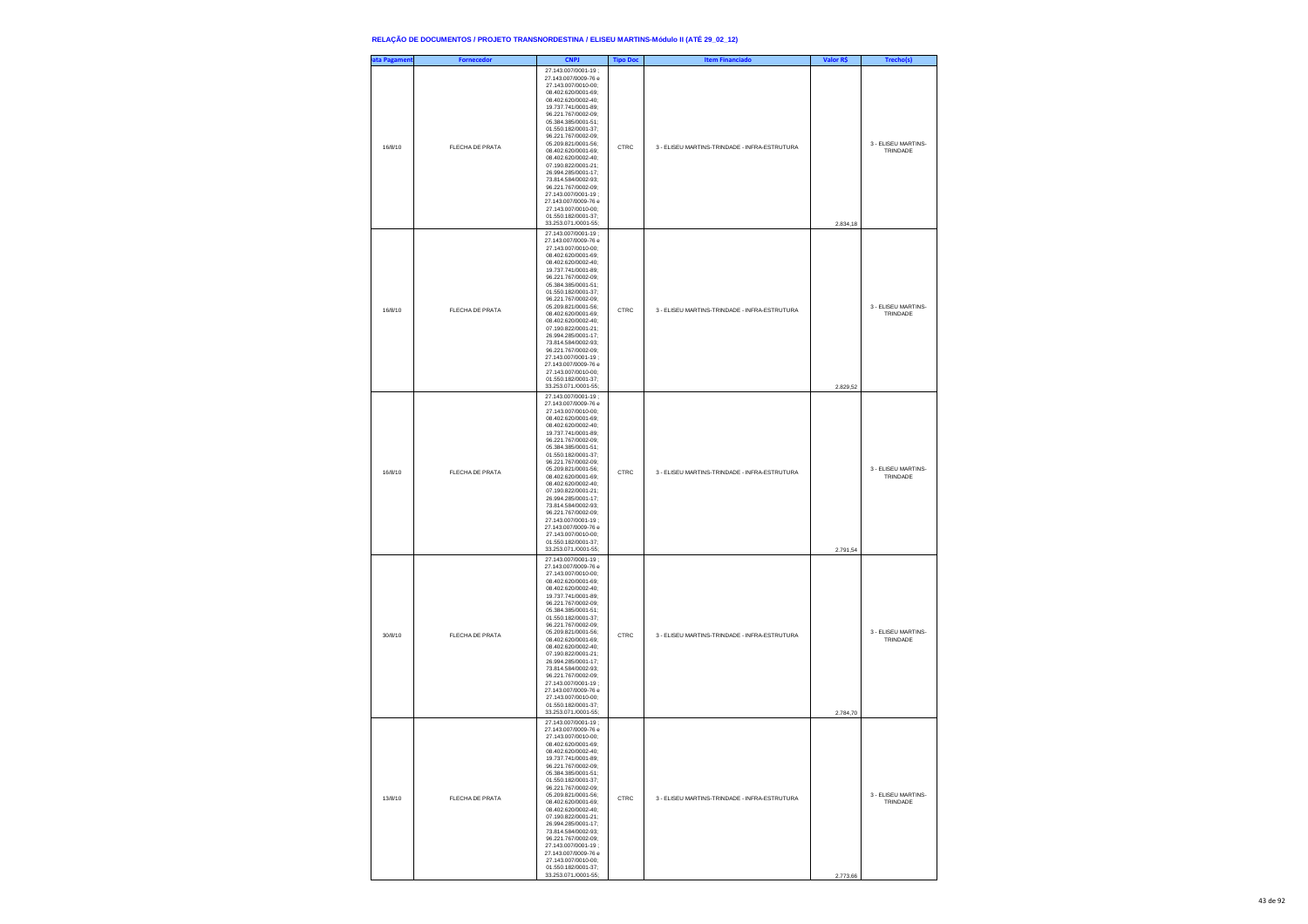| ata Pagament | <b>Fornecedor</b> | <b>CNPJ</b>                                                                                                                                                                                                                                                                                                                                                                                                                                                                                                               | <b>Tipo Doc</b> | <b>Item Financiado</b>                        | Valor R\$ | Trecho(s)                       |
|--------------|-------------------|---------------------------------------------------------------------------------------------------------------------------------------------------------------------------------------------------------------------------------------------------------------------------------------------------------------------------------------------------------------------------------------------------------------------------------------------------------------------------------------------------------------------------|-----------------|-----------------------------------------------|-----------|---------------------------------|
| 16/8/10      | FLECHA DE PRATA   | 27.143.007/0001-19;<br>27.143.007/0009-76 e<br>27.143.007/0010-00;<br>08.402.620/0001-69;<br>08.402.620/0002-40;<br>19.737.741/0001-89;<br>96.221.767/0002-09;<br>05.384.385/0001-51:<br>01.550.182/0001-37:<br>96.221.767/0002-09;<br>05.209.821/0001-56;<br>08.402.620/0001-69;<br>08.402.620/0002-40;<br>07.190.822/0001-21;<br>26.994.285/0001-17;<br>73.814.584/0002-93:<br>96.221.767/0002-09:<br>27.143.007/0001-19;<br>27.143.007/0009-76 e<br>27.143.007/0010-00;<br>01.550.182/0001-37;<br>33.253.071./0001-55; | CTRC            | 3 - ELISEU MARTINS-TRINDADE - INFRA-ESTRUTURA | 2.834,18  | 3 - ELISEU MARTINS-<br>TRINDADE |
| 16/8/10      | FLECHA DE PRATA   | 27.143.007/0001-19;<br>27.143.007/0009-76 e<br>27.143.007/0010-00:<br>08.402.620/0001-69;<br>08.402.620/0002-40;<br>19.737.741/0001-89;<br>96.221.767/0002-09;<br>05.384.385/0001-51:<br>01.550.182/0001-37:<br>96.221.767/0002-09;<br>05.209.821/0001-56;<br>08.402.620/0001-69;<br>08.402.620/0002-40;<br>07.190.822/0001-21;<br>26.994.285/0001-17;<br>73.814.584/0002-93;<br>96.221.767/0002-09:<br>27.143.007/0001-19;<br>27.143.007/0009-76 e<br>27.143.007/0010-00:<br>01.550.182/0001-37;<br>33.253.071./0001-55; | CTRC            | 3 - ELISEU MARTINS-TRINDADE - INFRA-ESTRUTURA | 2.829,52  | 3 - ELISEU MARTINS-<br>TRINDADE |
| 16/8/10      | FLECHA DE PRATA   | 27.143.007/0001-19;<br>27.143.007/0009-76 e<br>27.143.007/0010-00;<br>08.402.620/0001-69;<br>08.402.620/0002-40;<br>19.737.741/0001-89;<br>96.221.767/0002-09;<br>05.384.385/0001-51;<br>01.550.182/0001-37:<br>96.221.767/0002-09:<br>05.209.821/0001-56;<br>08.402.620/0001-69;<br>08.402.620/0002-40;<br>07.190.822/0001-21;<br>26.994.285/0001-17;<br>73.814.584/0002-93;<br>96.221.767/0002-09:<br>27.143.007/0001-19:<br>27.143.007/0009-76 e<br>27.143.007/0010-00;<br>01.550.182/0001-37;<br>33.253.071./0001-55; | CTRC            | 3 - ELISEU MARTINS-TRINDADE - INFRA-ESTRUTURA | 2.791,54  | 3 - ELISEU MARTINS-<br>TRINDADE |
| 30/8/10      | FLECHA DE PRATA   | 27.143.007/0001-19;<br>27.143.007/0009-76 e<br>27.143.007/0010-00;<br>08.402.620/0001-69;<br>08.402.620/0002-40;<br>19.737.741/0001-89;<br>96.221.767/0002-09;<br>05.384.385/0001-51;<br>01.550.182/0001-37:<br>96.221.767/0002-09:<br>05.209.821/0001-56;<br>08.402.620/0001-69;<br>08.402.620/0002-40;<br>07.190.822/0001-21;<br>26.994.285/0001-17;<br>73.814.584/0002-93;<br>96.221.767/0002-09;<br>27.143.007/0001-19:<br>27.143.007/0009-76 e<br>27.143.007/0010-00;<br>01.550.182/0001-37:<br>33.253.071./0001-55; | CTRC            | 3 - ELISEU MARTINS-TRINDADE - INFRA-ESTRUTURA | 2.784,70  | 3 - ELISEU MARTINS-<br>TRINDADE |
| 13/8/10      | FLECHA DE PRATA   | 27.143.007/0001-19;<br>27.143.007/0009-76 e<br>27.143.007/0010-00:<br>08.402.620/0001-69:<br>402.620/0002<br>19.737.741/0001-89;<br>96.221.767/0002-09;<br>05.384.385/0001-51;<br>01.550.182/0001-37;<br>96.221.767/0002-09:<br>05 209 821/0001-56:<br>08 402 620/0001-69:<br>08.402.620/0002-40:<br>07.190.822/0001-21;<br>26.994.285/0001-17;<br>73.814.584/0002-93;<br>96.221.767/0002-09;<br>27.143.007/0001-19:<br>27 143 007/0009-76 e<br>27 143 007/0010-00:<br>01.550.182/0001-37:<br>33.253.071./0001-55;        | CTRC            | 3 - ELISEU MARTINS-TRINDADE - INFRA-ESTRUTURA | 2.773,66  | 3 - FLISEU MARTINS-<br>TRINDADE |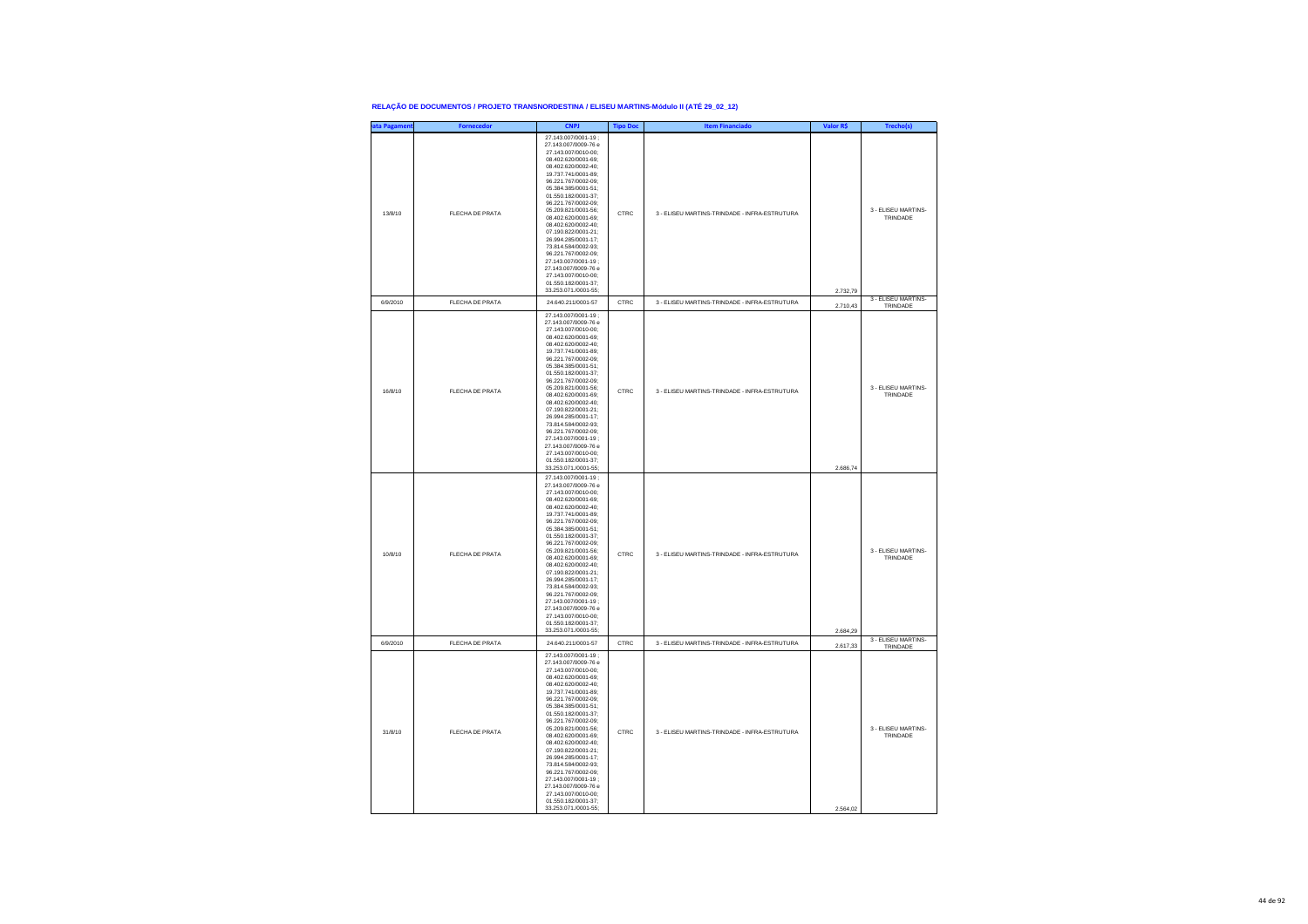| ata Pagament | <b>Fornecedor</b>      | <b>CNP</b>                                                                                                                                                                                                                                                                                                                                                                                                                                                                                                                | <b>Tipo Doc</b> | <b>Item Financiado</b>                        | Valor R\$ | Trecho(s)                       |
|--------------|------------------------|---------------------------------------------------------------------------------------------------------------------------------------------------------------------------------------------------------------------------------------------------------------------------------------------------------------------------------------------------------------------------------------------------------------------------------------------------------------------------------------------------------------------------|-----------------|-----------------------------------------------|-----------|---------------------------------|
| 13/8/10      | FLECHA DE PRATA        | 27.143.007/0001-19:<br>27 143 007/0009-76 e<br>27 143 007/0010-00:<br>08 402 620/0001-69<br>08.402.620/0002-40;<br>19.737.741/0001-89;<br>96.221.767/0002-09;<br>05.384.385/0001-51;<br>01.550.182/0001-37;<br>96.221.767/0002-09:<br>05.209.821/0001-56:<br>08.402.620/0001-69:<br>08.402.620/0002-40;<br>07.190.822/0001-21;<br>26.994.285/0001-17;<br>73.814.584/0002-93;<br>96.221.767/0002-09:<br>27 143 007/0001-19 :<br>27.143.007/0009-76 e<br>27.143.007/0010-00;<br>01.550.182/0001-37;<br>33.253.071./0001-55; | CTRC            | 3 - ELISEU MARTINS-TRINDADE - INFRA-ESTRUTURA | 2.732,79  | 3 - ELISEU MARTINS-<br>TRINDADE |
| 6/9/2010     | FLECHA DE PRATA        | 24.640.211/0001-57                                                                                                                                                                                                                                                                                                                                                                                                                                                                                                        | CTRC            | 3 - ELISEU MARTINS-TRINDADE - INFRA-ESTRUTURA | 2.710,43  | 3 - ELISEU MARTINS<br>TRINDADE  |
| 16/8/10      | <b>FLECHA DE PRATA</b> | 27.143.007/0001-19;<br>27.143.007/0009-76 e<br>27.143.007/0010-00;<br>08.402.620/0001-69;<br>08.402.620/0002-40:<br>19.737.741/0001-89:<br>96.221.767/0002-09;<br>05.384.385/0001-51;<br>01.550.182/0001-37;<br>96.221.767/0002-09;<br>05.209.821/0001-56;<br>08.402.620/0001-69;<br>08 402 620/0002-40:<br>07 190 822/0001-21:<br>26.994.285/0001-17:<br>73.814.584/0002-93:<br>96.221.767/0002-09;<br>27.143.007/0001-19;<br>27.143.007/0009-76 e<br>27.143.007/0010-00:<br>01.550.182/0001-37:<br>33.253.071./0001-55; | CTRC            | 3 - ELISEU MARTINS-TRINDADE - INFRA-ESTRUTURA | 2.686,74  | 3 - ELISEU MARTINS-<br>TRINDADE |
| 10/8/10      | FLECHA DE PRATA        | 27.143.007/0001-19;<br>27.143.007/0009-76 e<br>27.143.007/0010-00:<br>08.402.620/0001-69:<br>08.402.620/0002-40:<br>19.737.741/0001-89;<br>96.221.767/0002-09;<br>05.384.385/0001-51;<br>01.550.182/0001-37;<br>96.221.767/0002-09;<br>05 209 821/0001-56:<br>08 402 620/0001-69:<br>08.402.620/0002-40:<br>07.190.822/0001-21;<br>26.994.285/0001-17;<br>73.814.584/0002-93;<br>96.221.767/0002-09;<br>27.143.007/0001-19:<br>27.143.007/0009-76 e<br>27.143.007/0010-00:<br>01.550.182/0001-37<br>33.253.071./0001-55;  | CTRC            | 3 - ELISEU MARTINS-TRINDADE - INFRA-ESTRUTURA | 2.684,29  | 3 - FLISEU MARTINS-<br>TRINDADE |
| 6/9/2010     | FLECHA DE PRATA        | 24.640.211/0001-57                                                                                                                                                                                                                                                                                                                                                                                                                                                                                                        | CTRC            | 3 - ELISEU MARTINS-TRINDADE - INFRA-ESTRUTURA | 2.617,33  | 3 - ELISEU MARTINS-<br>TRINDADE |
| 31/8/10      | FLECHA DE PRATA        | 27.143.007/0001-19:<br>27.143.007/0009-76 e<br>27.143.007/0010-00;<br>08.402.620/0001-69;<br>08.402.620/0002-40;<br>19.737.741/0001-89;<br>96 221 767/0002-09:<br>05 384 385/0001-51:<br>01.550.182/0001-37;<br>96.221.767/0002-09;<br>05.209.821/0001-56;<br>08.402.620/0001-69;<br>08.402.620/0002-40:<br>07.190.822/0001-21:<br>26.994.285/0001-17:<br>73.814.584/0002-93:<br>96.221.767/0002-09;<br>27.143.007/0001-19;<br>27.143.007/0009-76 e<br>27.143.007/0010-00;<br>01.550.182/0001-37;<br>33.253.071./0001-55: | CTRC            | 3 - ELISEU MARTINS-TRINDADE - INFRA-ESTRUTURA | 2.564,02  | 3 - ELISEU MARTINS-<br>TRINDADE |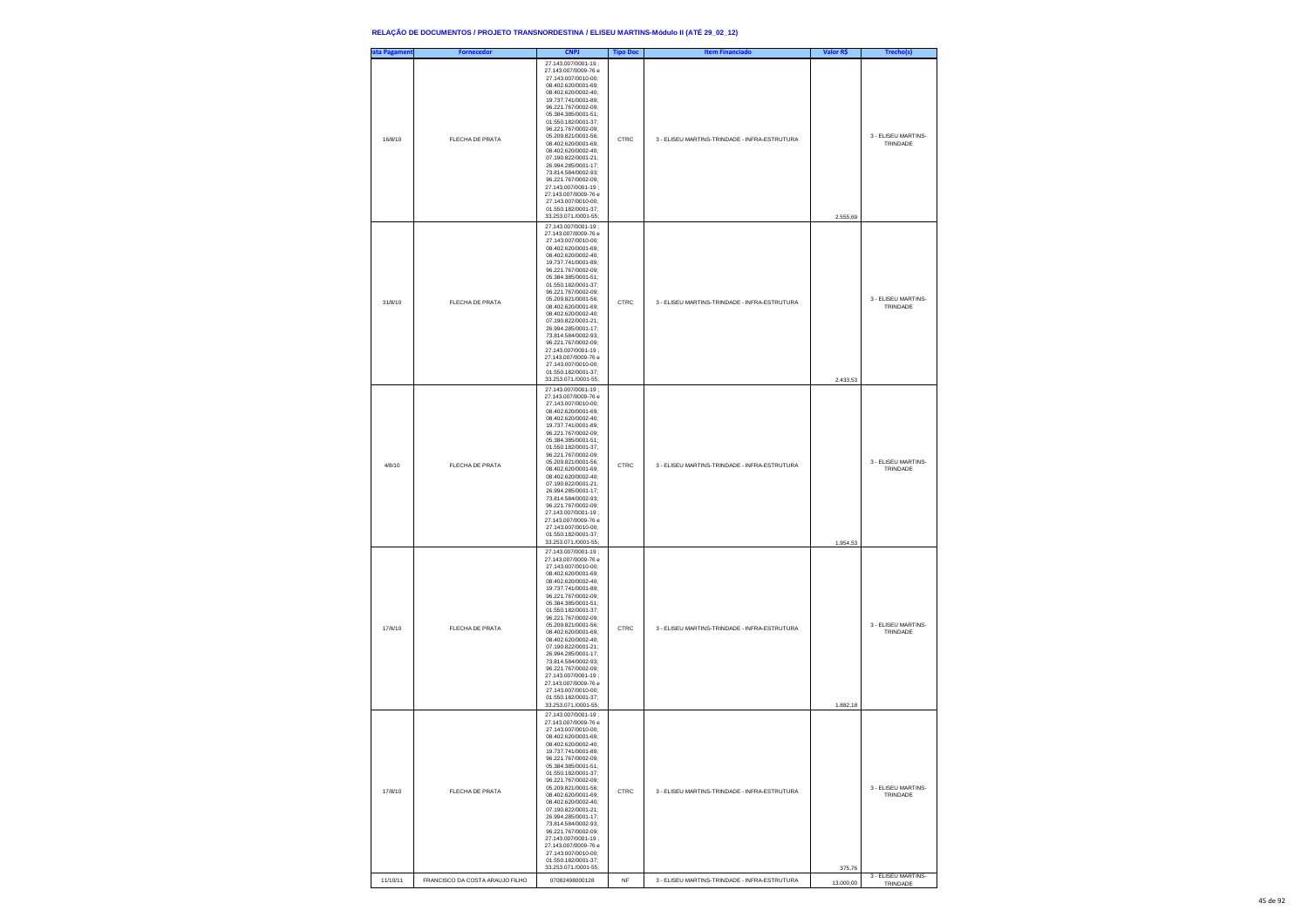| ata Pagameni | <b>Fornecedor</b>               | <b>CNPJ</b>                                                                                                                                                                                                                                                                                                                                                                                                                                                                                                               | <b>Tipo Doc</b> | <b>Item Financiado</b>                        | Valor R\$ | Trecho(s)                       |
|--------------|---------------------------------|---------------------------------------------------------------------------------------------------------------------------------------------------------------------------------------------------------------------------------------------------------------------------------------------------------------------------------------------------------------------------------------------------------------------------------------------------------------------------------------------------------------------------|-----------------|-----------------------------------------------|-----------|---------------------------------|
| 16/8/10      | FLECHA DE PRATA                 | 27.143.007/0001-19;<br>27.143.007/0009-76 e<br>27.143.007/0010-00:<br>08.402.620/0001-69:<br>08.402.620/0002-40:<br>19.737.741/0001-89;<br>96.221.767/0002-09;<br>05.384.385/0001-51;<br>01.550.182/0001-37;<br>96.221.767/0002-09;<br>05.209.821/0001-56:<br>08.402.620/0001-69:<br>08.402.620/0002-40;<br>07.190.822/0001-21;<br>26.994.285/0001-17;<br>73.814.584/0002-93;<br>96.221.767/0002-09;<br>27.143.007/0001-19;<br>27.143.007/0009-76 e<br>27 143 007/0010-00:<br>01.550.182/0001-37;<br>33.253.071./0001-55; | CTRC            | 3 - ELISEU MARTINS-TRINDADE - INFRA-ESTRUTURA | 2.555,69  | 3 - ELISEU MARTINS-<br>TRINDADE |
| 31/8/10      | FLECHA DE PRATA                 | 27.143.007/0001-19;<br>27.143.007/0009-76 e<br>27 143 007/0010-00:<br>08.402.620/0001-69:<br>08.402.620/0002-40;<br>19.737.741/0001-89;<br>96.221.767/0002-09;<br>05.384.385/0001-51;<br>01.550.182/0001-37;<br>96.221.767/0002-09;<br>05.209.821/0001-56:<br>08.402.620/0001-69:<br>08.402.620/0002-40;<br>07.190.822/0001-21;<br>26.994.285/0001-17;<br>73.814.584/0002-93;<br>96.221.767/0002-09;<br>27.143.007/0001-19;<br>27.143.007/0009-76 e<br>27 143 007/0010-00:<br>01.550.182/0001-37:<br>33.253.071./0001-55; | CTRC            | 3 - ELISEU MARTINS-TRINDADE - INFRA-ESTRUTURA | 2.433,53  | 3 - ELISEU MARTINS-<br>TRINDADE |
| 4/8/10       | <b>FLECHA DE PRATA</b>          | 27.143.007/0001-19;<br>27.143.007/0009-76 e<br>27.143.007/0010-00;<br>08 402 620/0001-69:<br>08.402.620/0002-40:<br>19.737.741/0001-89;<br>96.221.767/0002-09;<br>05.384.385/0001-51;<br>01.550.182/0001-37;<br>96.221.767/0002-09;<br>05.209.821/0001-56;<br>08.402.620/0001-69:<br>08.402.620/0002-40:<br>07.190.822/0001-21;<br>26.994.285/0001-17;<br>73.814.584/0002-93;<br>96.221.767/0002-09;<br>27.143.007/0001-19;<br>27.143.007/0009-76 e<br>27.143.007/0010-00:<br>01.550.182/0001-37:<br>33.253.071./0001-55; | CTRC            | 3 - ELISEU MARTINS-TRINDADE - INFRA-ESTRUTURA | 1.954,53  | 3 - ELISEU MARTINS-<br>TRINDADE |
| 17/6/10      | <b>FLECHA DE PRATA</b>          | 27.143.007/0001-19;<br>27.143.007/0009-76 e<br>27.143.007/0010-00;<br>08.402.620/0001-69:<br>08.402.620/0002-40:<br>19.737.741/0001-89;<br>96.221.767/0002-09;<br>05.384.385/0001-51;<br>01.550.182/0001-37;<br>96.221.767/0002-09;<br>05.209.821/0001-56;<br>08.402.620/0001-69:<br>08.402.620/0002-40:<br>07.190.822/0001-21:<br>26.994.285/0001-17;<br>73.814.584/0002-93;<br>96.221.767/0002-09;<br>27.143.007/0001-19;<br>27.143.007/0009-76 e<br>27.143.007/0010-00;<br>01 550 182/0001-37<br>33.253.071./0001-55;  | CTRC            | 3 - ELISEU MARTINS-TRINDADE - INFRA-ESTRUTURA | 1.882,18  | 3 - ELISEU MARTINS-<br>TRINDADE |
| 17/8/10      | <b>FLECHA DE PRATA</b>          | 27.143.007/0001-19;<br>27.143.007/0009-76 e<br>27.143.007/0010-00;<br>08.402.620/0001-69;<br>08.402.620/0002-40:<br>19.737.741/0001-89;<br>96 221 767/0002-09:<br>05.384.385/0001-51;<br>01.550.182/0001-37;<br>96.221.767/0002-09;<br>05.209.821/0001-56;<br>08.402.620/0001-69;<br>08 402 620/0002-40:<br>07 190 822/0001-21:<br>26 994 285/0001-17:<br>73.814.584/0002-93;<br>96.221.767/0002-09;<br>27.143.007/0001-19;<br>27.143.007/0009-76 e<br>27.143.007/0010-00;<br>01 550 182/0001-37<br>33.253.071./0001-55;  | CTRC            | 3 - ELISEU MARTINS-TRINDADE - INFRA-ESTRUTURA | 375,76    | 3 - ELISEU MARTINS-<br>TRINDADE |
| 11/10/11     | FRANCISCO DA COSTA ARAUJO FILHO | 07082498000128                                                                                                                                                                                                                                                                                                                                                                                                                                                                                                            | NF              | 3 - ELISEU MARTINS-TRINDADE - INFRA-ESTRUTURA | 13.000,00 | 3 - ELISEU MARTINS-<br>TRINDADE |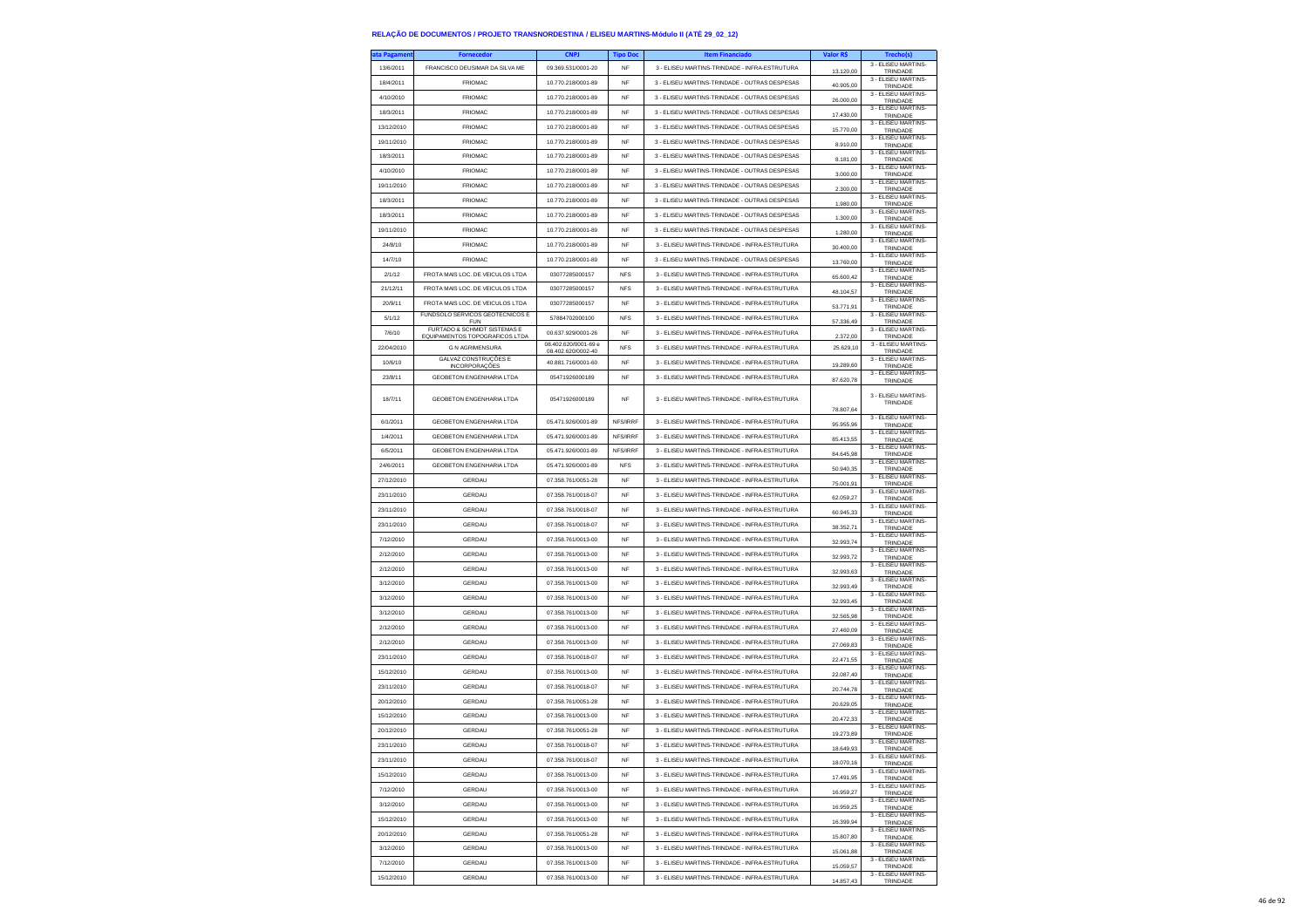| ıta Pagamen | <b>Fornecedor</b>                                        | <b>CNPJ</b>          | <b>Tipo Doc</b> | <b>Item Financiado</b>                        | Valor R\$ | Trecho(s)                       |
|-------------|----------------------------------------------------------|----------------------|-----------------|-----------------------------------------------|-----------|---------------------------------|
| 13/6/2011   | FRANCISCO DEUSIMAR DA SILVA ME                           | 09.369.531/0001-20   | <b>NF</b>       | 3 - ELISEU MARTINS-TRINDADE - INFRA-ESTRUTURA | 13.120,00 | 3 - ELISEU MARTINS-<br>TRINDADE |
| 18/4/2011   | <b>FRIOMAC</b>                                           | 10.770.218/0001-89   | <b>NF</b>       | 3 - ELISEU MARTINS-TRINDADE - OUTRAS DESPESAS | 40.905,00 | 3 - ELISEU MARTINS-<br>TRINDADE |
| 4/10/2010   | <b>FRIOMAC</b>                                           | 10.770.218/0001-89   | NF              | 3 - ELISEU MARTINS-TRINDADE - OUTRAS DESPESAS | 26.000,00 | 3 - ELISEU MARTINS<br>TRINDADE  |
| 18/3/2011   | <b>FRIOMAC</b>                                           | 10.770.218/0001-89   | <b>NF</b>       | 3 - ELISEU MARTINS-TRINDADE - OUTRAS DESPESAS |           | 3 - ELISEU MARTINS-             |
| 13/12/2010  | <b>FRIOMAC</b>                                           | 10.770.218/0001-89   | <b>NF</b>       | 3 - ELISEU MARTINS-TRINDADE - OUTRAS DESPESAS | 17.430,00 | TRINDADE<br>3 - ELISEU MARTINS- |
| 19/11/2010  | <b>FRIOMAC</b>                                           | 10.770.218/0001-89   | NF              | 3 - ELISEU MARTINS-TRINDADE - OUTRAS DESPESAS | 15.770,00 | TRINDADE<br>3 - ELISEU MARTINS- |
|             |                                                          |                      |                 |                                               | 8.910,00  | TRINDADE<br>3 - FLISEU MARTINS- |
| 18/3/2011   | <b>FRIOMAC</b>                                           | 10.770.218/0001-89   | <b>NF</b>       | 3 - ELISEU MARTINS-TRINDADE - OUTRAS DESPESAS | 8.181.00  | TRINDADE<br>3 - ELISEU MARTINS- |
| 4/10/2010   | <b>FRIOMAC</b>                                           | 10.770.218/0001-89   | <b>NF</b>       | 3 - ELISEU MARTINS-TRINDADE - OUTRAS DESPESAS | 3.000,00  | TRINDADE<br>3 - ELISEU MARTINS- |
| 19/11/2010  | <b>FRIOMAC</b>                                           | 10.770.218/0001-89   | NF              | 3 - ELISEU MARTINS-TRINDADE - OUTRAS DESPESAS | 2,300.00  | TRINDADE                        |
| 18/3/2011   | <b>FRIOMAC</b>                                           | 10.770.218/0001-89   | <b>NF</b>       | 3 - ELISEU MARTINS-TRINDADE - OUTRAS DESPESAS | 1,980.00  | 3 - ELISEU MARTINS-<br>TRINDADE |
| 18/3/2011   | <b>FRIOMAC</b>                                           | 10.770.218/0001-89   | <b>NF</b>       | 3 - ELISEU MARTINS-TRINDADE - OUTRAS DESPESAS | 1.300,00  | 3 - ELISEU MARTINS-<br>TRINDADE |
| 19/11/2010  | <b>FRIOMAC</b>                                           | 10.770.218/0001-89   | NF              | 3 - ELISEU MARTINS-TRINDADE - OUTRAS DESPESAS | 1.280,00  | 3 - ELISEU MARTINS-<br>TRINDADE |
| 24/8/10     | <b>FRIOMAC</b>                                           | 10 770 218/0001-89   | <b>NF</b>       | 3 - ELISEU MARTINS-TRINDADE - INFRA-ESTRUTURA | 30 400 00 | 3 - ELISEU MARTINS-<br>TRINDADE |
| 14/7/10     | <b>FRIOMAC</b>                                           | 10.770.218/0001-89   | <b>NF</b>       | 3 - ELISEU MARTINS-TRINDADE - OUTRAS DESPESAS | 13,760.00 | 3 - ELISEU MARTINS-<br>TRINDADE |
| 2/1/12      | FROTA MAIS LOC. DE VEICULOS LTDA                         | 03077285000157       | <b>NFS</b>      | 3 - ELISEU MARTINS-TRINDADE - INFRA-ESTRUTURA | 65.600,42 | 3 - ELISEU MARTINS-<br>TRINDADE |
| 21/12/11    | FROTA MAIS LOC. DE VEICULOS LTDA                         | 03077285000157       | <b>NFS</b>      | 3 - ELISEU MARTINS-TRINDADE - INFRA-ESTRUTURA | 48.104.57 | 3 - ELISEU MARTINS-<br>TRINDADE |
| 20/9/11     | FROTA MAIS LOC. DE VEICULOS LTDA                         | 03077285000157       | <b>NF</b>       | 3 - ELISEU MARTINS-TRINDADE - INFRA-ESTRUTURA | 53.771,91 | 3 - ELISEU MARTINS-             |
| 5/1/12      | FUNDSOLO SERVICOS GEOTECNICOS E                          | 57884702000100       | <b>NFS</b>      | 3 - ELISEU MARTINS-TRINDADE - INFRA-ESTRUTURA |           | TRINDADE<br>3 - ELISEU MARTINS  |
| 7/6/10      | <b>FUN</b><br>FURTADO & SCHMIDT SISTEMAS E               | 00.637.929/0001-26   | <b>NF</b>       | 3 - ELISEU MARTINS-TRINDADE - INFRA-ESTRUTURA | 57.336,49 | TRINDADE<br>3 - ELISEU MARTINS- |
|             | EQUIPAMENTOS TOPOGRAFICOS LTDA<br><b>G N AGRIMENSURA</b> | 08.402.620/0001-69 e |                 |                                               | 2.372.00  | TRINDADE<br>3 - ELISEU MARTINS- |
| 22/04/2010  | <b>GALVAZ CONSTRUÇÕES E</b>                              | 08.402.620/0002-40   | <b>NFS</b>      | 3 - ELISEU MARTINS-TRINDADE - INFRA-ESTRUTURA | 25.629.10 | TRINDADE<br>3 - ELISEU MARTINS- |
| 10/6/10     | INCORPORAÇÕES                                            | 40 881 716/0001-60   | <b>NF</b>       | 3 - ELISEU MARTINS-TRINDADE - INFRA-ESTRUTURA | 19,289.60 | TRINDADE<br>3 - FLISEU MARTINS- |
| 23/8/11     | GEOBETON ENGENHARIA LTDA                                 | 05471926000189       | <b>NF</b>       | 3 - ELISEU MARTINS-TRINDADE - INFRA-ESTRUTURA | 87.620.78 | TRINDADE                        |
| 18/7/11     | GEOBETON ENGENHARIA I TDA                                | 05471926000189       | <b>NF</b>       | 3 - FLISEU MARTINS-TRINDADE - INFRA-ESTRUTURA |           | 3 - ELISEU MARTINS-<br>TRINDADE |
|             |                                                          |                      |                 |                                               | 78.807,64 | 3 - FLISEU MARTINS-             |
| 6/1/2011    | GEOBETON ENGENHARIA LTDA                                 | 05.471.926/0001-89   | NFS/IRRF        | 3 - ELISEU MARTINS-TRINDADE - INFRA-ESTRUTURA | 95 955 96 | TRINDADE<br>3 - ELISEU MARTINS- |
| 1/4/2011    | GEOBETON ENGENHARIA I TDA                                | 05.471.926/0001-89   | NFS/IRRF        | 3 - ELISEU MARTINS-TRINDADE - INFRA-ESTRUTURA | 85.413,55 | TRINDADE<br>3 - ELISEU MARTINS  |
| 6/5/2011    | GEOBETON ENGENHARIA I TDA                                | 05.471.926/0001-89   | NFS/IRRF        | 3 - ELISEU MARTINS-TRINDADE - INFRA-ESTRUTURA | 84.645,98 | TRINDADE                        |
| 24/6/2011   | GEOBETON ENGENHARIA LTDA                                 | 05.471.926/0001-89   | <b>NFS</b>      | 3 - ELISEU MARTINS-TRINDADE - INFRA-ESTRUTURA | 50.940.35 | 3 - ELISEU MARTINS-<br>TRINDADE |
| 27/12/2010  | <b>GERDAU</b>                                            | 07.358.761/0051-28   | <b>NF</b>       | 3 - ELISEU MARTINS-TRINDADE - INFRA-ESTRUTURA | 75.001,91 | 3 - ELISEU MARTINS-<br>TRINDADE |
| 23/11/2010  | <b>GERDAU</b>                                            | 07.358.761/0018-07   | <b>NF</b>       | 3 - ELISEU MARTINS-TRINDADE - INFRA-ESTRUTURA | 62.059,27 | 3 - ELISEU MARTINS<br>TRINDADE  |
| 23/11/2010  | GERDAU                                                   | 07.358.761/0018-07   | <b>NF</b>       | 3 - ELISEU MARTINS-TRINDADE - INFRA-ESTRUTURA | 60.945.33 | 3 - ELISEU MARTINS-<br>TRINDADE |
| 23/11/2010  | GERDAU                                                   | 07.358.761/0018-07   | <b>NF</b>       | 3 - ELISEU MARTINS-TRINDADE - INFRA-ESTRUTURA | 38.352,71 | 3 - ELISEU MARTINS-<br>TRINDADE |
| 7/12/2010   | GERDAU                                                   | 07.358.761/0013-00   | <b>NF</b>       | 3 - ELISEU MARTINS-TRINDADE - INFRA-ESTRUTURA | 32.993,74 | 3 - ELISEU MARTINS-<br>TRINDADE |
| 2/12/2010   | GERDAU                                                   | 07.358.761/0013-00   | NF              | 3 - ELISEU MARTINS-TRINDADE - INFRA-ESTRUTURA | 32.993.72 | 3 - ELISEU MARTINS<br>TRINDADE  |
| 2/12/2010   | <b>GERDAU</b>                                            | 07.358.761/0013-00   | <b>NF</b>       | 3 - ELISEU MARTINS-TRINDADE - INFRA-ESTRUTURA |           | 3 - ELISEU MARTINS-             |
| 3/12/2010   | GERDAU                                                   | 07.358.761/0013-00   | <b>NF</b>       | 3 - ELISEU MARTINS-TRINDADE - INFRA-ESTRUTURA | 32.993,63 | TRINDADE<br>3 - ELISEU MARTINS- |
| 3/12/2010   | GERDAU                                                   | 07.358.761/0013-00   | NF              | 3 - ELISEU MARTINS-TRINDADE - INFRA-ESTRUTURA | 32.993,49 | TRINDADE<br>3 - ELISEU MARTINS- |
| 3/12/2010   | GERDAU                                                   | 07.358.761/0013-00   |                 | 3 - ELISEU MARTINS-TRINDADE - INFRA-ESTRUTURA | 32.993,45 | TRINDADE<br>3 - ELISEU MARTINS- |
|             |                                                          |                      | <b>NF</b>       |                                               | 32.565,98 | TRINDADE<br>3 - ELISEU MARTINS- |
| 2/12/2010   | GERDAU                                                   | 07.358.761/0013-00   | <b>NF</b>       | 3 - ELISEU MARTINS-TRINDADE - INFRA-ESTRUTURA | 27.460,09 | TRINDADE<br>3 - ELISEU MARTINS- |
| 2/12/2010   | GERDAU                                                   | 07.358.761/0013-00   | NF              | 3 - ELISEU MARTINS-TRINDADE - INFRA-ESTRUTURA | 27.069,83 | TRINDADE<br>3 - FLISEU MARTINS- |
| 23/11/2010  | GERDAU                                                   | 07.358.761/0018-07   | <b>NF</b>       | 3 - ELISEU MARTINS-TRINDADE - INFRA-ESTRUTURA | 22.471,55 | TRINDADE<br>3 - ELISEU MARTINS- |
| 15/12/2010  | GERDAU                                                   | 07.358.761/0013-00   | <b>NF</b>       | 3 - ELISEU MARTINS-TRINDADE - INFRA-ESTRUTURA | 22.087,40 | TRINDADE<br>3 - FLISEU MARTINS- |
| 23/11/2010  | GERDAU                                                   | 07.358.761/0018-07   | NF              | 3 - ELISEU MARTINS-TRINDADE - INFRA-ESTRUTURA | 20.744,78 | TRINDADE                        |
| 20/12/2010  | GERDAU                                                   | 07.358.761/0051-28   | <b>NF</b>       | 3 - ELISEU MARTINS-TRINDADE - INFRA-ESTRUTURA | 20.629.05 | 3 - FLISEU MARTINS-<br>TRINDADE |
| 15/12/2010  | GERDAU                                                   | 07.358.761/0013-00   | <b>NF</b>       | 3 - ELISEU MARTINS-TRINDADE - INFRA-ESTRUTURA | 20.472,33 | 3 - ELISEU MARTINS-<br>TRINDADE |
| 20/12/2010  | GERDAU                                                   | 07.358.761/0051-28   | NF              | 3 - ELISEU MARTINS-TRINDADE - INFRA-ESTRUTURA | 19.273,89 | 3 - ELISEU MARTINS-<br>TRINDADE |
| 23/11/2010  | GERDAU                                                   | 07.358.761/0018-07   | <b>NF</b>       | 3 - ELISEU MARTINS-TRINDADE - INFRA-ESTRUTURA | 18.649,93 | 3 - ELISEU MARTINS-<br>TRINDADE |
| 23/11/2010  | <b>GERDAU</b>                                            | 07.358.761/0018-07   | <b>NF</b>       | 3 - ELISEU MARTINS-TRINDADE - INFRA-ESTRUTURA | 18.070,16 | 3 - ELISEU MARTINS-<br>TRINDADE |
| 15/12/2010  | GERDAU                                                   | 07.358.761/0013-00   | NF              | 3 - ELISEU MARTINS-TRINDADE - INFRA-ESTRUTURA | 17.491,95 | 3 - ELISEU MARTINS<br>TRINDADE  |
| 7/12/2010   | GERDAU                                                   | 07.358.761/0013-00   | NF              | 3 - ELISEU MARTINS-TRINDADE - INFRA-ESTRUTURA | 16 959 27 | 3 - ELISEU MARTINS-             |
| 3/12/2010   | GERDAU                                                   | 07.358.761/0013-00   | <b>NF</b>       | 3 - ELISEU MARTINS-TRINDADE - INFRA-ESTRUTURA |           | TRINDADE<br>3 - ELISEU MARTINS- |
| 15/12/2010  | GERDAU                                                   | 07.358.761/0013-00   | NF              | 3 - ELISEU MARTINS-TRINDADE - INFRA-ESTRUTURA | 16,959.25 | TRINDADE<br>3 - ELISEU MARTINS- |
|             | GERDAU                                                   |                      |                 |                                               | 16,399.94 | TRINDADE<br>3 - ELISEU MARTINS  |
| 20/12/2010  |                                                          | 07.358.761/0051-28   | NF              | 3 - ELISEU MARTINS-TRINDADE - INFRA-ESTRUTURA | 15,807.80 | TRINDADE<br>3 - ELISEU MARTINS- |
| 3/12/2010   | <b>GERDAU</b>                                            | 07.358.761/0013-00   | <b>NF</b>       | 3 - ELISEU MARTINS-TRINDADE - INFRA-ESTRUTURA | 15.061,88 | TRINDADE<br>3 - ELISEU MARTINS- |
| 7/12/2010   | GERDAU                                                   | 07.358.761/0013-00   | <b>NF</b>       | 3 - ELISEU MARTINS-TRINDADE - INFRA-ESTRUTURA | 15.059,57 | TRINDADE<br>3 - FLISEU MARTINS- |
| 15/12/2010  | GERDAU                                                   | 07.358.761/0013-00   | <b>NF</b>       | 3 - ELISEU MARTINS-TRINDADE - INFRA-ESTRUTURA | 14,857.43 | TRINDADE                        |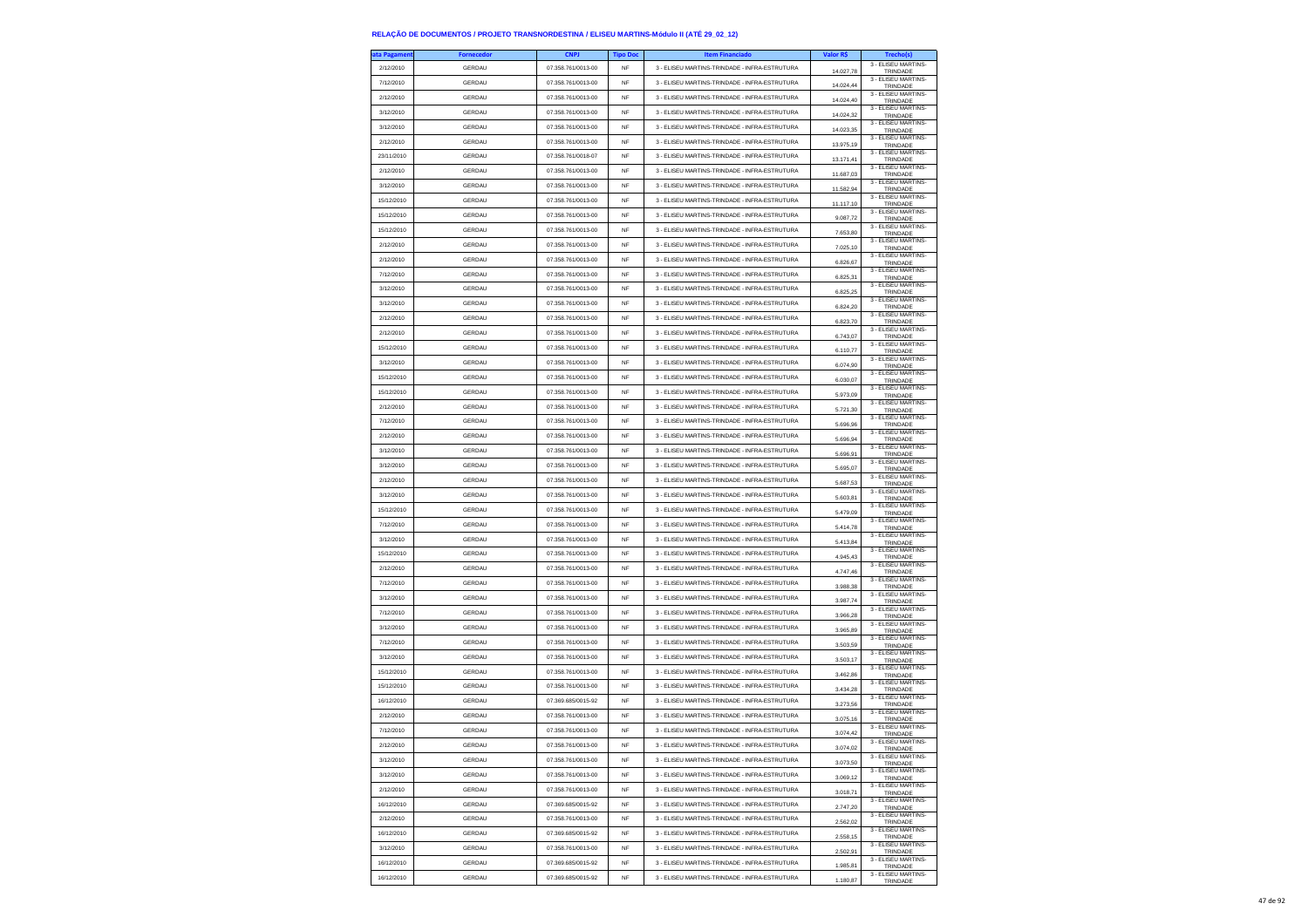| ta Pagamen | <b>Fornecedor</b> | <b>CNPJ</b>        | <b>Tipo Doc</b> | <b>Item Financiado</b>                        | Valor R\$ | Trecho(s)                            |
|------------|-------------------|--------------------|-----------------|-----------------------------------------------|-----------|--------------------------------------|
| 2/12/2010  | GERDAU            | 07.358.761/0013-00 | NF              | 3 - ELISEU MARTINS-TRINDADE - INFRA-ESTRUTURA | 14.027,78 | 3 - ELISEU MARTINS-<br>TRINDADE      |
| 7/12/2010  | <b>GERDAU</b>     | 07.358.761/0013-00 | NF              | 3 - ELISEU MARTINS-TRINDADE - INFRA-ESTRUTURA | 14.024.44 | 3 - ELISEU MARTINS-<br>TRINDADE      |
| 2/12/2010  | GERDAU            | 07.358.761/0013-00 | <b>NF</b>       | 3 - ELISEU MARTINS-TRINDADE - INFRA-ESTRUTURA | 14.024.40 | 3 - ELISEU MARTINS-<br>TRINDADE      |
| 3/12/2010  | GERDAU            | 07.358.761/0013-00 | NF              | 3 - ELISEU MARTINS-TRINDADE - INFRA-ESTRUTURA | 14.024,32 | 3 - ELISEU MARTINS-<br>TRINDADE      |
| 3/12/2010  | GERDAU            | 07.358.761/0013-00 | <b>NF</b>       | 3 - ELISEU MARTINS-TRINDADE - INFRA-ESTRUTURA | 14.023.35 | 3 - ELISEU MARTINS-<br>TRINDADE      |
| 2/12/2010  | GERDAU            | 07.358.761/0013-00 | <b>NF</b>       | 3 - ELISEU MARTINS-TRINDADE - INFRA-ESTRUTURA | 13.975,19 | 3 - ELISEU MARTINS-<br>TRINDADE      |
| 23/11/2010 | GERDAU            | 07 358 761/0018-07 | <b>NF</b>       | 3 - ELISEU MARTINS-TRINDADE - INFRA-ESTRUTURA | 13.171,41 | 3 - ELISEU MARTINS-                  |
| 2/12/2010  | GERDAU            | 07.358.761/0013-00 | <b>NF</b>       | 3 - ELISEU MARTINS-TRINDADE - INFRA-ESTRUTURA |           | TRINDADE<br>3 - ELISEU MARTINS-      |
| 3/12/2010  | <b>GERDAU</b>     | 07.358.761/0013-00 | <b>NF</b>       | 3 - ELISEU MARTINS-TRINDADE - INFRA-ESTRUTURA | 11.687,03 | TRINDADE<br>3 - ELISEU MARTINS-      |
| 15/12/2010 | GERDAU            | 07.358.761/0013-00 | <b>NF</b>       | 3 - ELISEU MARTINS-TRINDADE - INFRA-ESTRUTURA | 11.582,94 | TRINDADE<br>3 - ELISEU MARTINS-      |
| 15/12/2010 | GERDAU            | 07.358.761/0013-00 | <b>NF</b>       | 3 - ELISEU MARTINS-TRINDADE - INFRA-ESTRUTURA | 11.117,10 | TRINDADE<br>3 - ELISEU MARTINS-      |
| 15/12/2010 | GERDAU            | 07.358.761/0013-00 | <b>NF</b>       | 3 - FLISELLMARTINS-TRINDADE - INFRA-ESTRUTURA | 9 087 72  | TRINDADE<br>3 - ELISEU MARTINS-      |
| 2/12/2010  | GERDAU            | 07.358.761/0013-00 | <b>NF</b>       | 3 - ELISEU MARTINS-TRINDADE - INFRA-ESTRUTURA | 7.653,80  | TRINDADE<br>3 - ELISEU MARTINS-      |
| 2/12/2010  | GERDAU            | 07.358.761/0013-00 | NF              | 3 - ELISEU MARTINS-TRINDADE - INFRA-ESTRUTURA | 7.025,10  | TRINDADE<br>3 - ELISEU MARTINS-      |
| 7/12/2010  |                   |                    |                 |                                               | 6.826,67  | TRINDADE<br>3 - FLISEU MARTINS-      |
|            | <b>GERDAU</b>     | 07.358.761/0013-00 | <b>NF</b>       | 3 - ELISEU MARTINS-TRINDADE - INFRA-ESTRUTURA | 6.825,31  | TRINDADE<br>3 - ELISEU MARTINS-      |
| 3/12/2010  | <b>GERDAU</b>     | 07.358.761/0013-00 | NF              | 3 - ELISEU MARTINS-TRINDADE - INFRA-ESTRUTURA | 6.825,25  | TRINDADE<br>3 - ELISEU MARTINS-      |
| 3/12/2010  | GERDAU            | 07.358.761/0013-00 | NF              | 3 - ELISEU MARTINS-TRINDADE - INFRA-ESTRUTURA | 6.824,20  | TRINDADE<br>3 - ELISEU MARTINS-      |
| 2/12/2010  | GERDAU            | 07.358.761/0013-00 | <b>NF</b>       | 3 - ELISEU MARTINS-TRINDADE - INFRA-ESTRUTURA | 6.823,70  | TRINDADE<br>3 - ELISEU MARTINS-      |
| 2/12/2010  | <b>GERDAU</b>     | 07.358.761/0013-00 | NF              | 3 - ELISEU MARTINS-TRINDADE - INFRA-ESTRUTURA | 6.743,07  | TRINDADE<br>3 - ELISEU MARTINS-      |
| 15/12/2010 | GERDAU            | 07.358.761/0013-00 | NF              | 3 - ELISEU MARTINS-TRINDADE - INFRA-ESTRUTURA | 6.110,77  | TRINDADE<br>3 - FLISEU MARTINS-      |
| 3/12/2010  | GERDAU            | 07.358.761/0013-00 | <b>NF</b>       | 3 - ELISEU MARTINS-TRINDADE - INFRA-ESTRUTURA | 6.074.90  | TRINDADE<br>3 - ELISEU MARTINS-      |
| 15/12/2010 | GERDAU            | 07.358.761/0013-00 | NF              | 3 - ELISEU MARTINS-TRINDADE - INFRA-ESTRUTURA | 6.030.07  | TRINDADE                             |
| 15/12/2010 | GERDAU            | 07.358.761/0013-00 | NF              | 3 - ELISEU MARTINS-TRINDADE - INFRA-ESTRUTURA | 5.973,09  | 3 - ELISEU MARTINS-<br>TRINDADE      |
| 2/12/2010  | GERDAU            | 07.358.761/0013-00 | <b>NF</b>       | 3 - ELISEU MARTINS-TRINDADE - INFRA-ESTRUTURA | 5.721,30  | 3 - ELISEU MARTINS-<br>TRINDADE      |
| 7/12/2010  | <b>GERDAU</b>     | 07.358.761/0013-00 | NF              | 3 - ELISEU MARTINS-TRINDADE - INFRA-ESTRUTURA | 5.696,96  | 3 - ELISEU MARTINS-<br>TRINDADE      |
| 2/12/2010  | GERDAU            | 07.358.761/0013-00 | NF              | 3 - ELISEU MARTINS-TRINDADE - INFRA-ESTRUTURA | 5.696,94  | 3 - ELISEU MARTINS-<br>TRINDADE      |
| 3/12/2010  | GERDAU            | 07.358.761/0013-00 | <b>NF</b>       | 3 - ELISEU MARTINS-TRINDADE - INFRA-ESTRUTURA | 5.696.91  | 3 - ELISEU MARTINS-<br>TRINDADE      |
| 3/12/2010  | <b>GERDAU</b>     | 07.358.761/0013-00 | <b>NF</b>       | 3 - FLISELLMARTINS-TRINDADE - INFRA-ESTRUTURA | 5.695,07  | 3 - ELISEU MARTINS-<br>TRINDADE      |
| 2/12/2010  | GERDAU            | 07.358.761/0013-00 | NF              | 3 - ELISEU MARTINS-TRINDADE - INFRA-ESTRUTURA | 5.687,53  | 3 - ELISEU MARTINS-<br>TRINDADE      |
| 3/12/2010  | GERDAU            | 07.358.761/0013-00 | <b>NF</b>       | 3 - ELISEU MARTINS-TRINDADE - INFRA-ESTRUTURA | 5.603.81  | 3 - ELISEU MARTINS-<br>TRINDADE      |
| 15/12/2010 | <b>GERDAU</b>     | 07.358.761/0013-00 | <b>NF</b>       | 3 - ELISEU MARTINS-TRINDADE - INFRA-ESTRUTURA | 5.479,09  | 3 - ELISEU MARTINS-<br>TRINDADE      |
| 7/12/2010  | GERDAU            | 07.358.761/0013-00 | NF              | 3 - ELISEU MARTINS-TRINDADE - INFRA-ESTRUTURA | 5.414,78  | 3 - ELISEU MARTINS-<br>TRINDADE      |
| 3/12/2010  | GERDAU            | 07.358.761/0013-00 | <b>NF</b>       | 3 - ELISEU MARTINS-TRINDADE - INFRA-ESTRUTURA | 5.413.84  | 3 - ELISEU MARTINS-<br>TRINDADE      |
| 15/12/2010 | <b>GERDAU</b>     | 07.358.761/0013-00 | <b>NF</b>       | 3 - ELISEU MARTINS-TRINDADE - INFRA-ESTRUTURA | 4.945,43  | 3 - ELISEU MARTINS-<br>TRINDADE      |
| 2/12/2010  | GERDAU            | 07.358.761/0013-00 | <b>NF</b>       | 3 - ELISEU MARTINS-TRINDADE - INFRA-ESTRUTURA | 4.747,46  | 3 - ELISEU MARTINS-<br>TRINDADE      |
| 7/12/2010  | GERDAU            | 07.358.761/0013-00 | <b>NF</b>       | 3 - ELISEU MARTINS-TRINDADE - INFRA-ESTRUTURA | 3.988.38  | 3 - ELISEU MARTINS<br>TRINDADE       |
| 3/12/2010  | GERDAU            | 07.358.761/0013-00 | <b>NF</b>       | 3 - ELISEU MARTINS-TRINDADE - INFRA-ESTRUTURA | 3.987,74  | 3 - ELISEU MARTINS-                  |
| 7/12/2010  | <b>GERDAU</b>     | 07.358.761/0013-00 | <b>NF</b>       | 3 - ELISEU MARTINS-TRINDADE - INFRA-ESTRUTURA | 3.966,28  | TRINDADE<br>3 - ELISEU MARTINS-      |
| 3/12/2010  | GERDAU            | 07.358.761/0013-00 | <b>NF</b>       | 3 - ELISEU MARTINS-TRINDADE - INFRA-ESTRUTURA |           | TRINDADE<br>3 - ELISEU MARTINS-      |
| 7/12/2010  | <b>GERDAU</b>     | 07.358.761/0013-00 | <b>NF</b>       | 3 - ELISEU MARTINS-TRINDADE - INFRA-ESTRUTURA | 3.965.89  | TRINDADE<br>3 - ELISEU MARTINS-      |
| 3/12/2010  | <b>GERDAU</b>     | 07.358.761/0013-00 | NF              | 3 - ELISEU MARTINS-TRINDADE - INFRA-ESTRUTURA | 3.503,59  | TRINDADE<br>3 - ELISEU MARTINS-      |
| 15/12/2010 | GERDAU            | 07.358.761/0013-00 | NF              | 3 - ELISEU MARTINS-TRINDADE - INFRA-ESTRUTURA | 3,503.17  | TRINDADE<br>3 - ELISEU MARTINS-      |
| 15/12/2010 | GERDAU            | 07 358 761/0013-00 | <b>NF</b>       | 3 - ELISEU MARTINS-TRINDADE - INFRA-ESTRUTURA | 3.462,86  | TRINDADE<br>3 - ELISEU MARTINS-      |
| 16/12/2010 | GERDAU            | 07.369.685/0015-92 | <b>NF</b>       | 3 - ELISEU MARTINS-TRINDADE - INFRA-ESTRUTURA | 3.434,28  | TRINDADE<br>3 - ELISEU MARTINS-      |
| 2/12/2010  | GERDAU            | 07.358.761/0013-00 | NF              | 3 - ELISEU MARTINS-TRINDADE - INFRA-ESTRUTURA | 3.273,56  | TRINDADE<br>3 - ELISEU MARTINS-      |
|            |                   |                    |                 |                                               | 3.075,16  | TRINDADE<br>3 - ELISEU MARTINS-      |
| 7/12/2010  | <b>GERDAU</b>     | 07.358.761/0013-00 | <b>NF</b>       | 3 - ELISEU MARTINS-TRINDADE - INFRA-ESTRUTURA | 3.074,42  | TRINDADE<br>3 - ELISEU MARTINS-      |
| 2/12/2010  | <b>GERDAU</b>     | 07 358 761/0013-00 | NF              | 3 - ELISEU MARTINS-TRINDADE - INFRA-ESTRUTURA | 74.02     | <b>TRINDAD</b><br>3 - ELISEU MARTINS |
| 3/12/2010  | GERDAU            | 07.358.761/0013-00 | NF              | 3 - ELISEU MARTINS-TRINDADE - INFRA-ESTRUTURA | 3.073,50  | TRINDADE<br>3 - ELISEU MARTINS-      |
| 3/12/2010  | GERDAU            | 07.358.761/0013-00 | <b>NF</b>       | 3 - ELISEU MARTINS-TRINDADE - INFRA-ESTRUTURA | 3.069.12  | TRINDADE<br>3 - ELISEU MARTINS-      |
| 2/12/2010  | GERDAU            | 07.358.761/0013-00 | NF              | 3 - ELISEU MARTINS-TRINDADE - INFRA-ESTRUTURA | 3.018,71  | TRINDADE<br>3 - ELISEU MARTINS-      |
| 16/12/2010 | GERDAU            | 07.369.685/0015-92 | NF              | 3 - ELISEU MARTINS-TRINDADE - INFRA-ESTRUTURA | 2.747,20  | TRINDADE<br>3 - ELISEU MARTINS-      |
| 2/12/2010  | GERDAU            | 07.358.761/0013-00 | NF              | 3 - ELISEU MARTINS-TRINDADE - INFRA-ESTRUTURA | 2.562.02  | TRINDADE                             |
| 16/12/2010 | <b>GERDAU</b>     | 07.369.685/0015-92 | NF              | 3 - ELISEU MARTINS-TRINDADE - INFRA-ESTRUTURA | 2.558,15  | 3 - ELISEU MARTINS-<br>TRINDADE      |
| 3/12/2010  | GERDAU            | 07.358.761/0013-00 | NF              | 3 - ELISEU MARTINS-TRINDADE - INFRA-ESTRUTURA | 2.502,91  | 3 - ELISEU MARTINS-<br>TRINDADE      |
| 16/12/2010 | GERDAU            | 07.369.685/0015-92 | NF              | 3 - ELISEU MARTINS-TRINDADE - INFRA-ESTRUTURA | 1.985.81  | 3 - ELISEU MARTINS-<br>TRINDADE      |
| 16/12/2010 | <b>GERDAU</b>     | 07.369.685/0015-92 | <b>NF</b>       | 3 - FLISELLMARTINS-TRINDADE - INFRA-ESTRUTURA | 1.180.87  | 3 - ELISEU MARTINS-<br>TRINDADE      |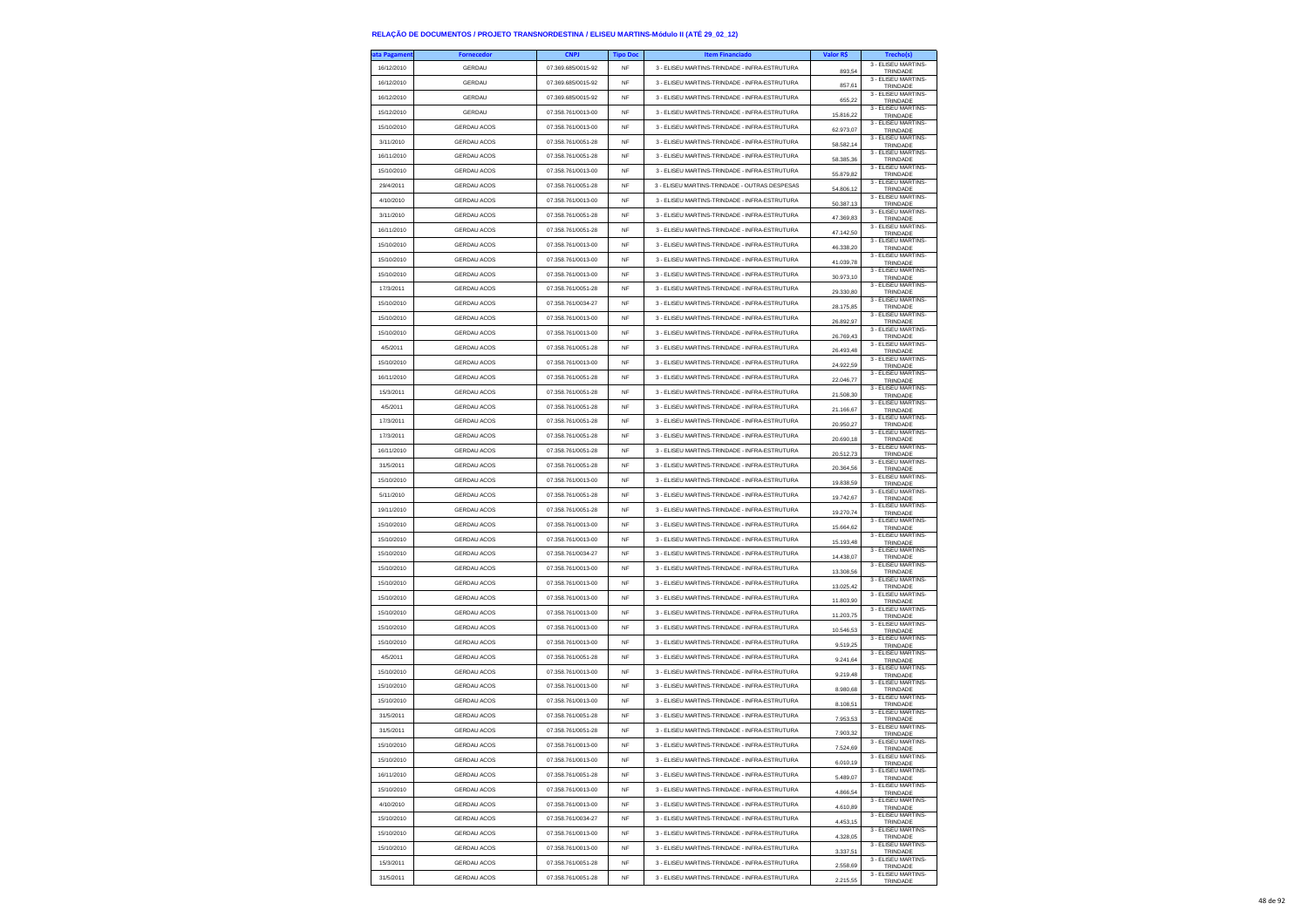| ıta Pagameni | <b>Fornecedor</b>  | <b>CNPJ</b>        | <b>Tipo Doc</b> | <b>Item Financiado</b>                        | Valor R\$   | Trecho(s)                                              |
|--------------|--------------------|--------------------|-----------------|-----------------------------------------------|-------------|--------------------------------------------------------|
| 16/12/2010   | GERDAU             | 07.369.685/0015-92 | <b>NF</b>       | 3 - ELISEU MARTINS-TRINDADE - INFRA-ESTRUTURA | 893.54      | 3 - ELISEU MARTINS-<br>TRINDADE                        |
| 16/12/2010   | GERDAU             | 07.369.685/0015-92 | <b>NF</b>       | 3 - ELISEU MARTINS-TRINDADE - INFRA-ESTRUTURA | 857,61      | 3 - ELISEU MARTINS-<br>TRINDADE                        |
| 16/12/2010   | GERDAU             | 07.369.685/0015-92 | NF              | 3 - ELISEU MARTINS-TRINDADE - INFRA-ESTRUTURA |             | 3 - ELISEU MARTINS-                                    |
| 15/12/2010   | GERDAU             | 07.358.761/0013-00 | <b>NF</b>       | 3 - ELISEU MARTINS-TRINDADE - INFRA-ESTRUTURA | 655,22      | TRINDADE<br>3 - ELISEU MARTINS-                        |
| 15/10/2010   |                    | 07 358 761/0013-00 |                 |                                               | 15.816.22   | TRINDADE<br>3 - ELISEU MARTINS-                        |
|              | <b>GERDAU ACOS</b> |                    | <b>NF</b>       | 3 - ELISEU MARTINS-TRINDADE - INFRA-ESTRUTURA | 62.973.07   | TRINDADE<br>3 - ELISEU MARTINS-                        |
| 3/11/2010    | <b>GERDAU ACOS</b> | 07.358.761/0051-28 | <b>NF</b>       | 3 - ELISEU MARTINS-TRINDADE - INFRA-ESTRUTURA | 58.582,14   | TRINDADE<br>3 - ELISEU MARTINS-                        |
| 16/11/2010   | <b>GERDAU ACOS</b> | 07.358.761/0051-28 | NF              | 3 - ELISEU MARTINS-TRINDADE - INFRA-ESTRUTURA | 58.385,36   | TRINDADE<br>3 - ELISEU MARTINS-                        |
| 15/10/2010   | <b>GERDAU ACOS</b> | 07.358.761/0013-00 | <b>NF</b>       | 3 - ELISEU MARTINS-TRINDADE - INFRA-ESTRUTURA | 55.879,82   | TRINDADE                                               |
| 29/4/2011    | <b>GERDAU ACOS</b> | 07.358.761/0051-28 | NF              | 3 - ELISEU MARTINS-TRINDADE - OUTRAS DESPESAS | 54.806,12   | 3 - ELISEU MARTINS-<br>TRINDADE                        |
| 4/10/2010    | GERDAU ACOS        | 07.358.761/0013-00 | NF              | 3 - ELISEU MARTINS-TRINDADE - INFRA-ESTRUTURA | 50.387,13   | 3 - ELISEU MARTINS-<br>TRINDADE                        |
| 3/11/2010    | <b>GERDAU ACOS</b> | 07.358.761/0051-28 | <b>NF</b>       | 3 - ELISEU MARTINS-TRINDADE - INFRA-ESTRUTURA | 47.369,83   | 3 - ELISEU MARTINS-<br>TRINDADE                        |
| 16/11/2010   | <b>GERDAU ACOS</b> | 07.358.761/0051-28 | NF              | 3 - ELISEU MARTINS-TRINDADE - INFRA-ESTRUTURA | 47.142,50   | 3 - ELISEU MARTINS-<br>TRINDADE                        |
| 15/10/2010   | <b>GERDAU ACOS</b> | 07.358.761/0013-00 | NF              | 3 - ELISEU MARTINS-TRINDADE - INFRA-ESTRUTURA | 46.338,20   | 3 - FLISEU MARTINS-<br>TRINDADE                        |
| 15/10/2010   | <b>GERDAU ACOS</b> | 07.358.761/0013-00 | <b>NF</b>       | 3 - ELISEU MARTINS-TRINDADE - INFRA-ESTRUTURA | 41.039.78   | 3 - ELISEU MARTINS-<br>TRINDADE                        |
| 15/10/2010   | <b>GERDAU ACOS</b> | 07.358.761/0013-00 | NF              | 3 - ELISEU MARTINS-TRINDADE - INFRA-ESTRUTURA | 30.973,10   | 3 - ELISEU MARTINS-<br>TRINDADE                        |
| 17/3/2011    | <b>GERDAU ACOS</b> | 07.358.761/0051-28 | NF              | 3 - ELISEU MARTINS-TRINDADE - INFRA-ESTRUTURA | 29.330,80   | 3 - ELISEU MARTINS-<br>TRINDADE                        |
| 15/10/2010   | <b>GERDAU ACOS</b> | 07.358.761/0034-27 | <b>NF</b>       | 3 - ELISEU MARTINS-TRINDADE - INFRA-ESTRUTURA | 28.175,85   | 3 - ELISEU MARTINS-                                    |
| 15/10/2010   | <b>GERDAU ACOS</b> | 07.358.761/0013-00 | <b>NF</b>       | 3 - ELISEU MARTINS-TRINDADE - INFRA-ESTRUTURA |             | TRINDADE<br>3 - ELISEU MARTINS-                        |
| 15/10/2010   | <b>GERDAU ACOS</b> | 07.358.761/0013-00 | NF              | 3 - ELISEU MARTINS-TRINDADE - INFRA-ESTRUTURA | 26.892,97   | TRINDADE<br>3 - ELISEU MARTINS-                        |
| 4/5/2011     | <b>GERDAU ACOS</b> | 07.358.761/0051-28 | <b>NF</b>       | 3 - ELISEU MARTINS-TRINDADE - INFRA-ESTRUTURA | 26.769,43   | TRINDADE<br>3 - ELISEU MARTINS-                        |
|              |                    |                    |                 |                                               | 26 493 48   | TRINDADE<br>3 - ELISEU MARTINS-                        |
| 15/10/2010   | <b>GERDAU ACOS</b> | 07.358.761/0013-00 | NF              | 3 - ELISEU MARTINS-TRINDADE - INFRA-ESTRUTURA | 24.922.59   | TRINDADE<br>3 - ELISEU MARTINS-                        |
| 16/11/2010   | <b>GERDAU ACOS</b> | 07.358.761/0051-28 | NF              | 3 - ELISEU MARTINS-TRINDADE - INFRA-ESTRUTURA | 22.046,77   | TRINDADE<br>3 - ELISEU MARTINS-                        |
| 15/3/2011    | <b>GERDAU ACOS</b> | 07.358.761/0051-28 | <b>NF</b>       | 3 - ELISEU MARTINS-TRINDADE - INFRA-ESTRUTURA | 21,508.30   | TRINDADE<br>3 - ELISEU MARTINS-                        |
| 4/5/2011     | <b>GERDAU ACOS</b> | 07 358 761/0051-28 | <b>NF</b>       | 3 - FLISELLMARTINS-TRINDADE - INFRA-ESTRUTURA | 21.166.67   | TRINDADE                                               |
| 17/3/2011    | <b>GERDAU ACOS</b> | 07.358.761/0051-28 | NF              | 3 - ELISEU MARTINS-TRINDADE - INFRA-ESTRUTURA | 20.950,27   | 3 - ELISEU MARTINS-<br>TRINDADE<br>3 - FLISEU MARTINS- |
| 17/3/2011    | <b>GERDAU ACOS</b> | 07.358.761/0051-28 | <b>NF</b>       | 3 - ELISEU MARTINS-TRINDADE - INFRA-ESTRUTURA | 20.690.18   | TRINDADE                                               |
| 16/11/2010   | <b>GERDAU ACOS</b> | 07.358.761/0051-28 | <b>NF</b>       | 3 - ELISEU MARTINS-TRINDADE - INFRA-ESTRUTURA | 20.512,73   | 3 - ELISEU MARTINS-<br>TRINDADE                        |
| 31/5/2011    | <b>GERDAU ACOS</b> | 07 358 761/0051-28 | NF              | 3 - ELISEU MARTINS-TRINDADE - INFRA-ESTRUTURA | 20.364,56   | 3 - ELISEU MARTINS-<br>TRINDADE                        |
| 15/10/2010   | GERDAU ACOS        | 07.358.761/0013-00 | <b>NF</b>       | 3 - ELISEU MARTINS-TRINDADE - INFRA-ESTRUTURA | 19.838.59   | 3 - FLISEU MARTINS-<br>TRINDADE                        |
| 5/11/2010    | <b>GERDAU ACOS</b> | 07.358.761/0051-28 | <b>NF</b>       | 3 - ELISEU MARTINS-TRINDADE - INFRA-ESTRUTURA | 19.742,67   | 3 - ELISEU MARTINS-<br>TRINDADE                        |
| 19/11/2010   | <b>GERDAU ACOS</b> | 07.358.761/0051-28 | <b>NF</b>       | 3 - ELISEU MARTINS-TRINDADE - INFRA-ESTRUTURA | 19.270,74   | 3 - ELISEU MARTINS-<br>TRINDADE                        |
| 15/10/2010   | <b>GERDAU ACOS</b> | 07.358.761/0013-00 | <b>NF</b>       | 3 - ELISEU MARTINS-TRINDADE - INFRA-ESTRUTURA | 15.664,62   | 3 - ELISEU MARTINS-<br>TRINDADE                        |
| 15/10/2010   | <b>GERDAU ACOS</b> | 07.358.761/0013-00 | <b>NF</b>       | 3 - ELISEU MARTINS-TRINDADE - INFRA-ESTRUTURA | 15.193,48   | 3 - ELISEU MARTINS-<br>TRINDADE                        |
| 15/10/2010   | <b>GERDAU ACOS</b> | 07.358.761/0034-27 | NF              | 3 - ELISEU MARTINS-TRINDADE - INFRA-ESTRUTURA | 14.438,07   | 3 - ELISEU MARTINS-<br>TRINDADE                        |
| 15/10/2010   | GERDAU ACOS        | 07.358.761/0013-00 | NF              | 3 - ELISEU MARTINS-TRINDADE - INFRA-ESTRUTURA | 13.308,56   | 3 - ELISEU MARTINS-                                    |
| 15/10/2010   | <b>GERDAU ACOS</b> | 07.358.761/0013-00 | <b>NF</b>       | 3 - ELISEU MARTINS-TRINDADE - INFRA-ESTRUTURA |             | TRINDADE<br>3 - ELISEU MARTINS-                        |
| 15/10/2010   | <b>GERDAU ACOS</b> | 07.358.761/0013-00 | NF              | 3 - ELISEU MARTINS-TRINDADE - INFRA-ESTRUTURA | 13.025,42   | TRINDADE<br>3 - ELISEU MARTINS-                        |
| 15/10/2010   | GERDAU ACOS        | 07.358.761/0013-00 | NF              | 3 - ELISEU MARTINS-TRINDADE - INFRA-ESTRUTURA | 11.803,90   | TRINDADE<br>3 - ELISEU MARTINS-                        |
|              |                    |                    |                 |                                               | 11.203,75   | TRINDADE<br>3 - ELISEU MARTINS-                        |
| 15/10/2010   | <b>GERDAU ACOS</b> | 07.358.761/0013-00 | <b>NF</b>       | 3 - ELISEU MARTINS-TRINDADE - INFRA-ESTRUTURA | 10.546,53   | TRINDADE<br>3 - ELISEU MARTINS-                        |
| 15/10/2010   | <b>GERDAU ACOS</b> | 07.358.761/0013-00 | <b>NF</b>       | 3 - ELISEU MARTINS-TRINDADE - INFRA-ESTRUTURA | 9.519,25    | TRINDADE<br>3 - ELISEU MARTINS-                        |
| 4/5/2011     | GERDAU ACOS        | 07.358.761/0051-28 | NF              | 3 - ELISEU MARTINS-TRINDADE - INFRA-ESTRUTURA | 9.241,64    | TRINDADE<br>3 - ELISEU MARTINS-                        |
| 15/10/2010   | GERDAU ACOS        | 07.358.761/0013-00 | <b>NF</b>       | 3 - ELISEU MARTINS-TRINDADE - INFRA-ESTRUTURA | 9.219.48    | TRINDADE                                               |
| 15/10/2010   | <b>GERDAU ACOS</b> | 07.358.761/0013-00 | NF              | 3 - ELISEU MARTINS-TRINDADE - INFRA-ESTRUTURA | 8.980,68    | 3 - ELISEU MARTINS-<br>TRINDADE                        |
| 15/10/2010   | <b>GERDAU ACOS</b> | 07.358.761/0013-00 | NF              | 3 - ELISEU MARTINS-TRINDADE - INFRA-ESTRUTURA | 8.108,51    | 3 - ELISEU MARTINS-<br>TRINDADE                        |
| 31/5/2011    | GERDAU ACOS        | 07.358.761/0051-28 | <b>NF</b>       | 3 - ELISEU MARTINS-TRINDADE - INFRA-ESTRUTURA | 7.953.53    | 3 - FLISEU MARTINS-<br>TRINDADE                        |
| 31/5/2011    | <b>GERDAU ACOS</b> | 07 358 761/0051-28 | NF              | 3 - ELISEU MARTINS-TRINDADE - INFRA-ESTRUTURA | 7.903,32    | 3 - ELISEU MARTINS-<br>TRINDADE                        |
| 15/10/2010   | <b>GERDAU ACOS</b> | 07.358.761/0013-00 | NF              | 3 - ELISEU MARTINS-TRINDADE - INFRA-ESTRUTURA |             | 3 - ELISEU MARTINS-<br><b>TRINDADI</b>                 |
| 15/10/2010   | GERDAU ACOS        | 07.358.761/0013-00 | <b>NF</b>       | 3 - ELISEU MARTINS-TRINDADE - INFRA-ESTRUTURA | 6.010.19    | 3 - ELISEU MARTINS-<br>TRINDADE                        |
| 16/11/2010   | <b>GERDAU ACOS</b> | 07.358.761/0051-28 | NF              | 3 - ELISEU MARTINS-TRINDADE - INFRA-ESTRUTURA | 5.489,07    | 3 - ELISEU MARTINS-<br>TRINDADE                        |
| 15/10/2010   | <b>GERDAU ACOS</b> | 07.358.761/0013-00 | NF              | 3 - ELISEU MARTINS-TRINDADE - INFRA-ESTRUTURA | 4.866,54    | 3 - ELISEU MARTINS-<br>TRINDADE                        |
| 4/10/2010    | GERDAU ACOS        | 07.358.761/0013-00 | NF              | 3 - ELISEU MARTINS-TRINDADE - INFRA-ESTRUTURA |             | 3 - ELISEU MARTINS-                                    |
| 15/10/2010   | <b>GERDAU ACOS</b> | 07.358.761/0034-27 | NF              | 3 - ELISEU MARTINS-TRINDADE - INFRA-ESTRUTURA | 4.610.89    | TRINDADE<br>3 - ELISEU MARTINS-                        |
| 15/10/2010   | GERDAU ACOS        | 07.358.761/0013-00 | NF              | 3 - ELISEU MARTINS-TRINDADE - INFRA-ESTRUTURA | 4.453,15    | TRINDADE<br>3 - ELISEU MARTINS-                        |
|              |                    |                    |                 |                                               | 4.328,05    | TRINDADE<br>3 - FLISEU MARTINS-                        |
| 15/10/2010   | GERDAU ACOS        | 07.358.761/0013-00 | NF              | 3 - ELISEU MARTINS-TRINDADE - INFRA-ESTRUTURA | 3 3 3 7 5 1 | TRINDADE<br>3 - ELISEU MARTINS-                        |
| 15/3/2011    | <b>GERDAU ACOS</b> | 07.358.761/0051-28 | NF              | 3 - ELISEU MARTINS-TRINDADE - INFRA-ESTRUTURA | 2.558,69    | TRINDADE<br>3 - ELISEU MARTINS-                        |
| 31/5/2011    | <b>GERDAU ACOS</b> | 07.358.761/0051-28 | NF              | 3 - ELISEU MARTINS-TRINDADE - INFRA-ESTRUTURA | 2.215,55    | TRINDADE                                               |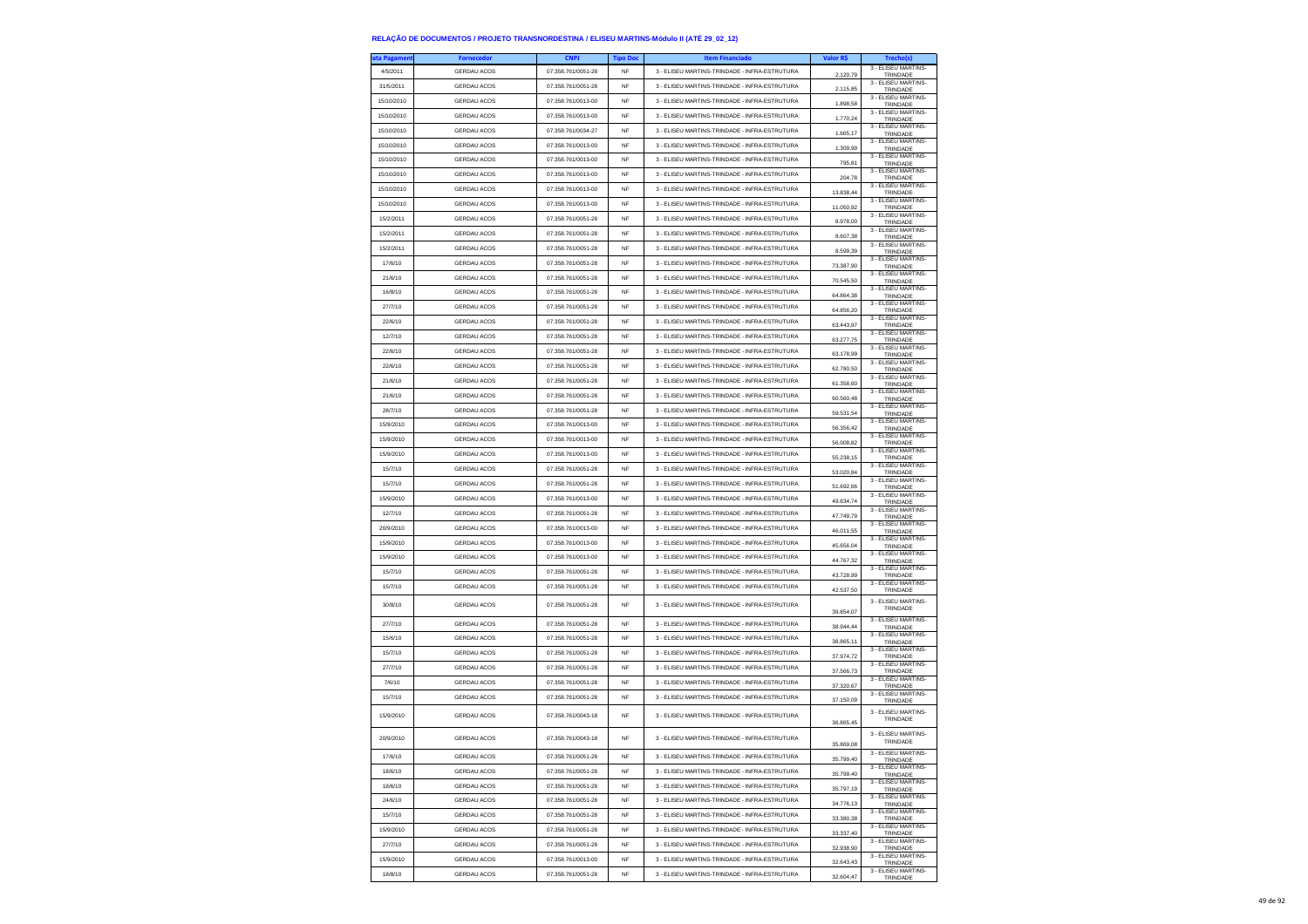| ta Pagamen         | <b>Fornecedor</b>                 | <b>CNPJ</b>                              | <b>Tipo Doc</b> | <b>Item Financiado</b>                        | Valor R\$ | Trecho(s)                                             |
|--------------------|-----------------------------------|------------------------------------------|-----------------|-----------------------------------------------|-----------|-------------------------------------------------------|
| 4/5/2011           | <b>GERDAU ACOS</b>                | 07.358.761/0051-28                       | <b>NF</b>       | 3 - ELISEU MARTINS-TRINDADE - INFRA-ESTRUTURA | 2.120.79  | 3 - ELISEU MARTINS-<br>TRINDADE                       |
| 31/5/2011          | <b>GERDAU ACOS</b>                | 07.358.761/0051-28                       | <b>NF</b>       | 3 - ELISEU MARTINS-TRINDADE - INFRA-ESTRUTURA | 2.115,85  | 3 - ELISEU MARTINS-<br>TRINDADE                       |
| 15/10/2010         | <b>GERDAU ACOS</b>                | 07.358.761/0013-00                       | <b>NF</b>       | 3 - ELISEU MARTINS-TRINDADE - INFRA-ESTRUTURA | 1.898,58  | 3 - ELISEU MARTINS-<br>TRINDADE                       |
| 15/10/2010         | <b>GERDAU ACOS</b>                | 07.358.761/0013-00                       | <b>NF</b>       | 3 - ELISEU MARTINS-TRINDADE - INFRA-ESTRUTURA | 1.770.24  | 3 - ELISEU MARTINS<br>TRINDADE                        |
| 15/10/2010         | <b>GERDAU ACOS</b>                | 07 358 761/0034-27                       | <b>NF</b>       | 3 - FLISELLMARTINS-TRINDADE - INFRA-ESTRUTURA | 1.665,17  | 3 - ELISEU MARTINS-<br>TRINDADE                       |
| 15/10/2010         | <b>GERDAU ACOS</b>                | 07.358.761/0013-00                       | <b>NF</b>       | 3 - ELISEU MARTINS-TRINDADE - INFRA-ESTRUTURA | 1.309,99  | 3 - ELISEU MARTINS-                                   |
| 15/10/2010         | GERDAU ACOS                       | 07.358.761/0013-00                       | NF              | 3 - ELISEU MARTINS-TRINDADE - INFRA-ESTRUTURA |           | TRINDADE<br>3 - ELISEU MARTINS                        |
| 15/10/2010         | <b>GERDAU ACOS</b>                | 07.358.761/0013-00                       | <b>NF</b>       | 3 - ELISEU MARTINS-TRINDADE - INFRA-ESTRUTURA | 795.81    | TRINDADE<br>3 - ELISEU MARTINS-                       |
| 15/10/2010         | <b>GERDAU ACOS</b>                | 07.358.761/0013-00                       | <b>NF</b>       | 3 - ELISEU MARTINS-TRINDADE - INFRA-ESTRUTURA | 204,78    | TRINDADE<br>3 - ELISEU MARTINS-                       |
| 15/10/2010         | GERDAU ACOS                       | 07.358.761/0013-00                       | NF              | 3 - ELISEU MARTINS-TRINDADE - INFRA-ESTRUTURA | 13.838,44 | TRINDADE<br>3 - ELISEU MARTINS                        |
| 15/2/2011          | <b>GERDAU ACOS</b>                | 07.358.761/0051-28                       | <b>NF</b>       | 3 - ELISEU MARTINS-TRINDADE - INFRA-ESTRUTURA | 11.050,92 | TRINDADE<br>3 - ELISEU MARTINS                        |
| 15/2/2011          | <b>GERDAU ACOS</b>                | 07.358.761/0051-28                       | <b>NF</b>       | 3 - ELISEU MARTINS-TRINDADE - INFRA-ESTRUTURA | 8.978,00  | TRINDADE<br>3 - ELISEU MARTINS-                       |
| 15/2/2011          | <b>GERDAU ACOS</b>                | 07.358.761/0051-28                       | NF              | 3 - ELISEU MARTINS-TRINDADE - INFRA-ESTRUTURA | 8.607,38  | TRINDADE<br>3 - ELISEU MARTINS                        |
| 17/6/10            | <b>GERDAU ACOS</b>                | 07.358.761/0051-28                       | <b>NF</b>       | 3 - ELISEU MARTINS-TRINDADE - INFRA-ESTRUTURA | 8.599,39  | TRINDADE<br>3 - FLISEU MARTINS                        |
| 21/6/10            | <b>GERDAU ACOS</b>                | 07.358.761/0051-28                       | <b>NF</b>       | 3 - ELISEU MARTINS-TRINDADE - INFRA-ESTRUTURA | 73.387,90 | TRINDADE<br>3 - ELISEU MARTINS-                       |
| 16/8/10            | <b>GERDAU ACOS</b>                | 07.358.761/0051-28                       | NF              | 3 - ELISEU MARTINS-TRINDADE - INFRA-ESTRUTURA | 70.545,50 | TRINDADE<br>3 - ELISEU MARTINS                        |
| 27/7/10            | <b>GERDAU ACOS</b>                | 07.358.761/0051-28                       | <b>NF</b>       | 3 - ELISEU MARTINS-TRINDADE - INFRA-ESTRUTURA | 64.864,38 | TRINDADE<br>3 - ELISEU MARTINS                        |
|                    |                                   | 07.358.761/0051-28                       | <b>NF</b>       |                                               | 64,856.20 | TRINDADE<br>3 - ELISEU MARTINS-                       |
| 22/6/10            | <b>GERDAU ACOS</b>                |                                          |                 | 3 - ELISEU MARTINS-TRINDADE - INFRA-ESTRUTURA | 63.443,97 | TRINDADE<br>3 - ELISEU MARTINS-                       |
| 12/7/10            | <b>GERDAU ACOS</b>                | 07.358.761/0051-28                       | NF              | 3 - ELISEU MARTINS-TRINDADE - INFRA-ESTRUTURA | 63.277,75 | TRINDADE<br>3 - ELISEU MARTINS                        |
| 22/6/10            | <b>GERDAU ACOS</b>                | 07.358.761/0051-28                       | <b>NF</b>       | 3 - ELISEU MARTINS-TRINDADE - INFRA-ESTRUTURA | 63,178.99 | TRINDADE<br>3 - ELISEU MARTINS-                       |
| 22/6/10            | <b>GERDAU ACOS</b>                | 07.358.761/0051-28                       | <b>NF</b>       | 3 - ELISEU MARTINS-TRINDADE - INFRA-ESTRUTURA | 62.780,50 | TRINDADE<br>3 - ELISEU MARTINS-                       |
| 21/6/10            | <b>GERDAU ACOS</b>                | 07.358.761/0051-28                       | NF              | 3 - ELISEU MARTINS-TRINDADE - INFRA-ESTRUTURA | 61.358,60 | TRINDADE<br>3 - ELISEU MARTINS                        |
| 21/6/10            | <b>GERDAU ACOS</b>                | 07.358.761/0051-28                       | <b>NF</b>       | 3 - ELISEU MARTINS-TRINDADE - INFRA-ESTRUTURA | 60,560.48 | TRINDADE<br>3 - ELISEU MARTINS-                       |
| 28/7/10            | <b>GERDAU ACOS</b>                | 07.358.761/0051-28                       | <b>NF</b>       | 3 - FLISEU MARTINS-TRINDADE - INFRA-ESTRUTURA | 59.531,54 | TRINDADE<br>3 - ELISEU MARTINS-                       |
| 15/9/2010          | <b>GERDAU ACOS</b>                | 07.358.761/0013-00                       | NF              | 3 - ELISEU MARTINS-TRINDADE - INFRA-ESTRUTURA | 56.356,42 | TRINDADE<br>3 - ELISEU MARTINS                        |
| 15/9/2010          | <b>GERDAU ACOS</b>                | 07.358.761/0013-00                       | <b>NF</b>       | 3 - ELISEU MARTINS-TRINDADE - INFRA-ESTRUTURA | 56,008.82 | TRINDADE<br>3 - ELISEU MARTINS-                       |
| 15/9/2010          | <b>GERDAU ACOS</b>                | 07.358.761/0013-00                       | <b>NF</b>       | 3 - FLISEU MARTINS-TRINDADE - INFRA-ESTRUTURA | 55.238.15 | TRINDADE<br>3 - ELISEU MARTINS-                       |
| 15/7/10            | <b>GERDAU ACOS</b>                | 07.358.761/0051-28                       | <b>NF</b>       | 3 - ELISEU MARTINS-TRINDADE - INFRA-ESTRUTURA | 53.020,84 | TRINDADE<br>3 - FLISEU MARTINS-                       |
| 15/7/10            | <b>GERDAU ACOS</b>                | 07.358.761/0051-28                       | <b>NF</b>       | 3 - ELISEU MARTINS-TRINDADE - INFRA-ESTRUTURA | 51.692.66 | TRINDADE<br>3 - ELISEU MARTINS-                       |
| 15/9/2010          | <b>GERDAU ACOS</b>                | 07.358.761/0013-00                       | <b>NF</b>       | 3 - ELISEU MARTINS-TRINDADE - INFRA-ESTRUTURA | 49.634,74 | TRINDADE                                              |
| 12/7/10            | <b>GERDAU ACOS</b>                | 07.358.761/0051-28                       | <b>NF</b>       | 3 - ELISEU MARTINS-TRINDADE - INFRA-ESTRUTURA | 47.749,79 | 3 - ELISEU MARTINS-<br>TRINDADE<br>3 - ELISEU MARTINS |
| 20/9/2010          | <b>GERDAU ACOS</b>                | 07.358.761/0013-00                       | <b>NF</b>       | 3 - ELISEU MARTINS-TRINDADE - INFRA-ESTRUTURA | 46.011.55 | TRINDADE<br>3 - ELISEU MARTINS                        |
| 15/9/2010          | <b>GERDAU ACOS</b>                | 07.358.761/0013-00                       | <b>NF</b>       | 3 - ELISEU MARTINS-TRINDADE - INFRA-ESTRUTURA | 45.656,04 | TRINDADE                                              |
| 15/9/2010          | <b>GERDAU ACOS</b>                | 07.358.761/0013-00                       | <b>NF</b>       | 3 - ELISEU MARTINS-TRINDADE - INFRA-ESTRUTURA | 44.767,32 | 3 - ELISEU MARTINS-<br>TRINDADE                       |
| 15/7/10            | GERDAU ACOS                       | 07.358.761/0051-28                       | NF              | 3 - ELISEU MARTINS-TRINDADE - INFRA-ESTRUTURA | 43.728.99 | 3 - ELISEU MARTINS<br>TRINDADE                        |
| 15/7/10            | <b>GERDAU ACOS</b>                | 07.358.761/0051-28                       | <b>NF</b>       | 3 - ELISEU MARTINS-TRINDADE - INFRA-ESTRUTURA | 42.537,50 | 3 - ELISEU MARTINS-<br>TRINDADE                       |
| 30/8/10            | <b>GERDAU ACOS</b>                | 07.358.761/0051-28                       | <b>NF</b>       | 3 - ELISEU MARTINS-TRINDADE - INFRA-ESTRUTURA |           | 3 - ELISEU MARTINS<br>TRINDADE                        |
| 27/7/10            | GERDAU ACOS                       | 07.358.761/0051-28                       | <b>NF</b>       | 3 - ELISEU MARTINS-TRINDADE - INFRA-ESTRUTURA | 39.854,07 | 3 - ELISEU MARTINS                                    |
| 15/6/10            | <b>GERDAU ACOS</b>                | 07.358.761/0051-28                       | <b>NF</b>       | 3 - ELISEU MARTINS-TRINDADE - INFRA-ESTRUTURA | 38.944.44 | TRINDADE<br>3 - ELISEU MARTINS-                       |
| 15/7/10            | <b>GERDAU ACOS</b>                | 07.358.761/0051-28                       | NF              | 3 - ELISEU MARTINS-TRINDADE - INFRA-ESTRUTURA | 38.865,11 | TRINDADE<br>3 - ELISEU MARTINS-                       |
| 27/7/10            | GERDAU ACOS                       | 07.358.761/0051-28                       | <b>NF</b>       | 3 - ELISEU MARTINS-TRINDADE - INFRA-ESTRUTURA | 37.974,72 | TRINDADE<br>3 - ELISEU MARTINS-                       |
| 7/6/10             | <b>GERDAU ACOS</b>                | 07.358.761/0051-28                       | <b>NF</b>       | 3 - ELISEU MARTINS-TRINDADE - INFRA-ESTRUTURA | 37,566.73 | TRINDADE<br>3 - ELISEU MARTINS-                       |
| 15/7/10            | GERDAU ACOS                       | 07.358.761/0051-28                       | NF              | 3 - ELISEU MARTINS-TRINDADE - INFRA-ESTRUTURA | 37.320,67 | TRINDADE<br>3 - ELISEU MARTINS-                       |
|                    |                                   |                                          |                 |                                               | 37.150,09 | TRINDADE<br>3 - ELISEU MARTINS                        |
| 15/9/2010          | <b>GERDAU ACOS</b>                | 07.358.761/0043-18                       | <b>NF</b>       | 3 - ELISEU MARTINS-TRINDADE - INFRA-ESTRUTURA | 36.865.45 | TRINDADE                                              |
| 20/9/2010          | <b>GERDAU ACOS</b>                | 07.358.761/0043-18                       | <b>NF</b>       | 3 - ELISEU MARTINS-TRINDADE - INFRA-ESTRUTURA |           | 3 - ELISEU MARTINS-<br>TRINDADE                       |
|                    |                                   |                                          |                 | 3 - ELISEU MARTINS-TRINDADE - INFRA-ESTRUTURA | 35,869.08 | 3 - ELISEU MARTINS-                                   |
| 17/6/10<br>18/6/10 | <b>GERDAU ACOS</b><br>GERDAU ACOS | 07.358.761/0051-28<br>07.358.761/0051-28 | NF<br><b>NF</b> |                                               | 35.799,40 | TRINDADE<br>3 - ELISEU MARTINS-                       |
|                    |                                   |                                          |                 | 3 - ELISEU MARTINS-TRINDADE - INFRA-ESTRUTURA | 35.799,40 | TRINDADE<br>3 - ELISEU MARTINS-                       |
| 18/6/10            | GERDAU ACOS                       | 07.358.761/0051-28                       | NF              | 3 - ELISEU MARTINS-TRINDADE - INFRA-ESTRUTURA | 35.797,19 | TRINDADE<br>3 - FLISEU MARTINS-                       |
| 24/6/10            | GERDAU ACOS                       | 07.358.761/0051-28                       | <b>NF</b>       | 3 - ELISEU MARTINS-TRINDADE - INFRA-ESTRUTURA | 34,776.13 | TRINDADE<br>3 - ELISEU MARTINS-                       |
| 15/7/10            | <b>GERDAU ACOS</b>                | 07.358.761/0051-28                       | <b>NF</b>       | 3 - ELISEU MARTINS-TRINDADE - INFRA-ESTRUTURA | 33.380,38 | TRINDADE<br>3 - ELISEU MARTINS-                       |
| 15/9/2010          | <b>GERDAU ACOS</b>                | 07.358.761/0051-28                       | NF              | 3 - ELISEU MARTINS-TRINDADE - INFRA-ESTRUTURA | 33.337,40 | TRINDADE<br>3 - ELISEU MARTINS-                       |
| 27/7/10            | GERDAU ACOS                       | 07.358.761/0051-28                       | <b>NF</b>       | 3 - ELISEU MARTINS-TRINDADE - INFRA-ESTRUTURA | 32.938.90 | TRINDADE<br>3 - ELISEU MARTINS-                       |
| 15/9/2010          | GERDAU ACOS                       | 07.358.761/0013-00                       | <b>NF</b>       | 3 - ELISEU MARTINS-TRINDADE - INFRA-ESTRUTURA | 32.643,43 | TRINDADE<br>3 - ELISEU MARTINS-                       |
| 18/8/10            | <b>GERDAU ACOS</b>                | 07.358.761/0051-28                       | <b>NF</b>       | 3 - ELISEU MARTINS-TRINDADE - INFRA-ESTRUTURA | 32.604,47 | TRINDADE                                              |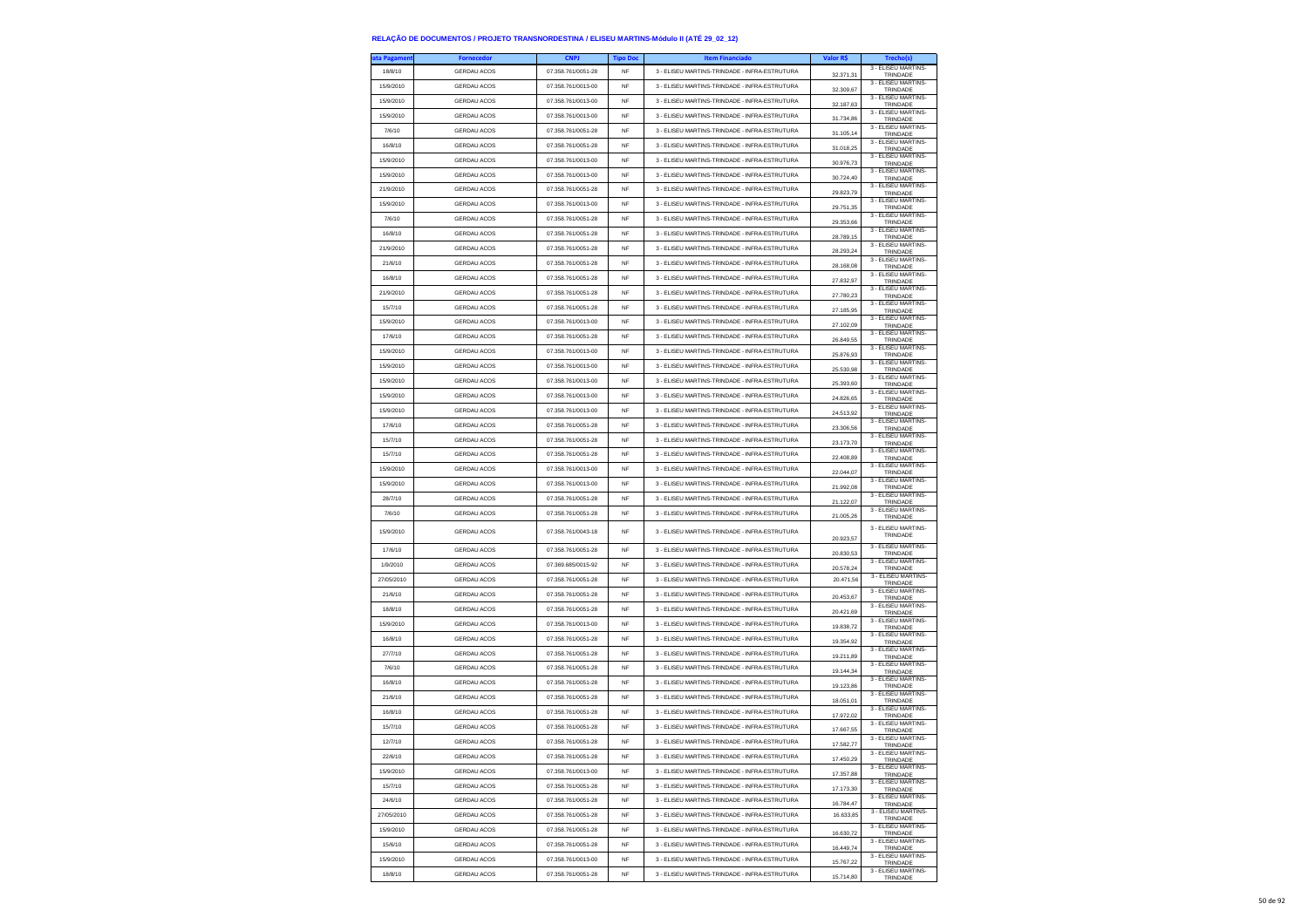| ata Pagamen | <b>Fornecedor</b>  | CNP.               | <b>Tipo Doc</b> | <b>Item Financiado</b>                        | Valor R\$              | Trecho(s)                                              |
|-------------|--------------------|--------------------|-----------------|-----------------------------------------------|------------------------|--------------------------------------------------------|
| 18/8/10     | <b>GERDAU ACOS</b> | 07.358.761/0051-28 | NF              | 3 - ELISEU MARTINS-TRINDADE - INFRA-ESTRUTURA | 32.371,31              | 3 - ELISEU MARTINS-<br>TRINDADE                        |
| 15/9/2010   | <b>GERDAU ACOS</b> | 07.358.761/0013-00 | <b>NF</b>       | 3 - ELISEU MARTINS-TRINDADE - INFRA-ESTRUTURA | 32.309,67              | 3 - ELISEU MARTINS-<br>TRINDADE                        |
| 15/9/2010   | GERDAU ACOS        | 07.358.761/0013-00 | <b>NF</b>       | 3 - ELISEU MARTINS-TRINDADE - INFRA-ESTRUTURA | 32 187 63              | 3 - FLISEU MARTINS-                                    |
| 15/9/2010   | <b>GERDAU ACOS</b> | 07.358.761/0013-00 | <b>NF</b>       | 3 - ELISEU MARTINS-TRINDADE - INFRA-ESTRUTURA |                        | TRINDADE<br>3 - ELISEU MARTINS-                        |
| 7/6/10      | <b>GERDAU ACOS</b> | 07.358.761/0051-28 | <b>NF</b>       | 3 - ELISEU MARTINS-TRINDADE - INFRA-ESTRUTURA | 31.734,86              | TRINDADE<br>3 - ELISEU MARTINS-                        |
| 16/8/10     | <b>GERDAU ACOS</b> | 07.358.761/0051-28 | NF              | 3 - ELISEU MARTINS-TRINDADE - INFRA-ESTRUTURA | 31.105,14              | TRINDADE<br>3 - FLISEU MARTINS-                        |
| 15/9/2010   |                    |                    |                 | 3 - FLISELLMARTINS-TRINDADE - INFRA-ESTRUTURA | 31.018.25              | TRINDADE<br>3 - ELISEU MARTINS-                        |
|             | <b>GERDAU ACOS</b> | 07.358.761/0013-00 | NF              |                                               | 30.976,73              | TRINDADE<br>3 - ELISEU MARTINS-                        |
| 15/9/2010   | <b>GERDAU ACOS</b> | 07.358.761/0013-00 | NF              | 3 - ELISEU MARTINS-TRINDADE - INFRA-ESTRUTURA | 30.724,40              | TRINDADE<br>3 - ELISEU MARTINS-                        |
| 21/9/2010   | GERDAU ACOS        | 07.358.761/0051-28 | NF              | 3 - ELISEU MARTINS-TRINDADE - INFRA-ESTRUTURA | 29.823,79              | TRINDADE<br>3 - ELISEU MARTINS-                        |
| 15/9/2010   | <b>GERDAU ACOS</b> | 07.358.761/0013-00 | NF              | 3 - FLISELLMARTINS-TRINDADE - INFRA-ESTRUTURA | 29.751,35              | TRINDADE                                               |
| 7/6/10      | <b>GERDAU ACOS</b> | 07.358.761/0051-28 | NF              | 3 - ELISEU MARTINS-TRINDADE - INFRA-ESTRUTURA | 29.353,66              | 3 - ELISEU MARTINS-<br>TRINDADE                        |
| 16/8/10     | <b>GERDAU ACOS</b> | 07.358.761/0051-28 | NF              | 3 - ELISEU MARTINS-TRINDADE - INFRA-ESTRUTURA | 28.789,15              | 3 - ELISEU MARTINS-<br>TRINDADE                        |
| 21/9/2010   | <b>GERDAU ACOS</b> | 07.358.761/0051-28 | <b>NF</b>       | 3 - ELISEU MARTINS-TRINDADE - INFRA-ESTRUTURA | 28.293,24              | 3 - ELISEU MARTINS-<br>TRINDADE                        |
| 21/6/10     | <b>GERDAU ACOS</b> | 07 358 761/0051-28 | NF              | 3 - ELISEU MARTINS-TRINDADE - INFRA-ESTRUTURA | 28.168,08              | 3 - ELISEU MARTINS-<br>TRINDADE                        |
| 16/8/10     | GERDAU ACOS        | 07.358.761/0051-28 | NF              | 3 - ELISEU MARTINS-TRINDADE - INFRA-ESTRUTURA | 27.832,97              | 3 - ELISEU MARTINS-<br>TRINDADE                        |
| 21/9/2010   | <b>GERDAU ACOS</b> | 07.358.761/0051-28 | <b>NF</b>       | 3 - ELISEU MARTINS-TRINDADE - INFRA-ESTRUTURA | 27.780.23              | 3 - ELISEU MARTINS-<br>TRINDADE                        |
| 15/7/10     | <b>GERDAU ACOS</b> | 07.358.761/0051-28 | NF              | 3 - ELISEU MARTINS-TRINDADE - INFRA-ESTRUTURA | 27.185,95              | 3 - ELISEU MARTINS-<br>TRINDADE                        |
| 15/9/2010   | <b>GERDAU ACOS</b> | 07.358.761/0013-00 | NF              | 3 - ELISEU MARTINS-TRINDADE - INFRA-ESTRUTURA | 27.102,09              | 3 - ELISEU MARTINS-<br>TRINDADE                        |
| 17/6/10     | GERDAU ACOS        | 07.358.761/0051-28 | <b>NF</b>       | 3 - ELISEU MARTINS-TRINDADE - INFRA-ESTRUTURA | 26.849.55              | 3 - ELISEU MARTINS-                                    |
| 15/9/2010   | <b>GERDAU ACOS</b> | 07.358.761/0013-00 | NF              | 3 - ELISEU MARTINS-TRINDADE - INFRA-ESTRUTURA |                        | TRINDADE<br>3 - ELISEU MARTINS-                        |
| 15/9/2010   | <b>GERDAU ACOS</b> | 07.358.761/0013-00 | NF              | 3 - ELISEU MARTINS-TRINDADE - INFRA-ESTRUTURA | 25.876,93              | TRINDADE<br>3 - ELISEU MARTINS-                        |
| 15/9/2010   | GERDAU ACOS        | 07.358.761/0013-00 | <b>NF</b>       | 3 - ELISEU MARTINS-TRINDADE - INFRA-ESTRUTURA | 25.530,98              | TRINDADE<br>3 - ELISEU MARTINS-                        |
| 15/9/2010   | <b>GERDAU ACOS</b> | 07 358 761/0013-00 | <b>NF</b>       | 3 - ELISEU MARTINS-TRINDADE - INFRA-ESTRUTURA | 25,393.60              | TRINDADE<br>3 - ELISEU MARTINS-                        |
|             |                    |                    |                 |                                               | 24.826,65              | TRINDADE<br>3 - ELISEU MARTINS-                        |
| 15/9/2010   | <b>GERDAU ACOS</b> | 07.358.761/0013-00 | NF              | 3 - ELISEU MARTINS-TRINDADE - INFRA-ESTRUTURA | 24.513,92              | TRINDADE<br>3 - ELISEU MARTINS-                        |
| 17/6/10     | <b>GERDAU ACOS</b> | 07.358.761/0051-28 | <b>NF</b>       | 3 - ELISEU MARTINS-TRINDADE - INFRA-ESTRUTURA | 23,306.56              | TRINDADE<br>3 - ELISEU MARTINS-                        |
| 15/7/10     | <b>GERDAU ACOS</b> | 07.358.761/0051-28 | NF              | 3 - ELISEU MARTINS-TRINDADE - INFRA-ESTRUTURA | 23.173,70              | TRINDADE<br>3 - ELISEU MARTINS-                        |
| 15/7/10     | <b>GERDAU ACOS</b> | 07.358.761/0051-28 | NF              | 3 - ELISEU MARTINS-TRINDADE - INFRA-ESTRUTURA | 22.408,89              | TRINDADE<br>3 - ELISEU MARTINS-                        |
| 15/9/2010   | GERDAU ACOS        | 07.358.761/0013-00 | <b>NF</b>       | 3 - FLISEU MARTINS-TRINDADE - INFRA-ESTRUTURA | 22 044 07              | TRINDADE<br>3 - ELISEU MARTINS-                        |
| 15/9/2010   | <b>GERDAU ACOS</b> | 07.358.761/0013-00 | NF              | 3 - FLISELLMARTINS-TRINDADE - INFRA-ESTRUTURA | 21.992,08              | TRINDADE                                               |
| 28/7/10     | <b>GERDAU ACOS</b> | 07.358.761/0051-28 | NF              | 3 - ELISEU MARTINS-TRINDADE - INFRA-ESTRUTURA | 21.122,07              | 3 - ELISEU MARTINS-<br>TRINDADE<br>3 - ELISEU MARTINS- |
| 7/6/10      | GERDAU ACOS        | 07.358.761/0051-28 | NF              | 3 - ELISEU MARTINS-TRINDADE - INFRA-ESTRUTURA | 21.005.26              | TRINDADE                                               |
| 15/9/2010   | <b>GERDAU ACOS</b> | 07.358.761/0043-18 | NF              | 3 - ELISEU MARTINS-TRINDADE - INFRA-ESTRUTURA | 20.923,57              | 3 - ELISEU MARTINS-<br>TRINDADE                        |
| 17/6/10     | <b>GERDAU ACOS</b> | 07.358.761/0051-28 | NF              | 3 - ELISEU MARTINS-TRINDADE - INFRA-ESTRUTURA | 20.830,53              | 3 - ELISEU MARTINS-<br>TRINDADE                        |
| 1/9/2010    | <b>GERDAU ACOS</b> | 07.369.685/0015-92 | <b>NF</b>       | 3 - ELISEU MARTINS-TRINDADE - INFRA-ESTRUTURA | 20,578.24              | 3 - ELISEU MARTINS-<br>TRINDADE                        |
| 27/05/2010  | <b>GERDAU ACOS</b> | 07.358.761/0051-28 | NF              | 3 - ELISEU MARTINS-TRINDADE - INFRA-ESTRUTURA | 20.471,56              | 3 - ELISEU MARTINS-<br>TRINDADE                        |
| 21/6/10     | GERDAU ACOS        | 07.358.761/0051-28 | NF              | 3 - ELISEU MARTINS-TRINDADE - INFRA-ESTRUTURA | 20.453,67              | 3 - ELISEU MARTINS-<br>TRINDADE                        |
| 18/8/10     | GERDAU ACOS        | 07.358.761/0051-28 | <b>NF</b>       | 3 - ELISEU MARTINS-TRINDADE - INFRA-ESTRUTURA | 20.421.69              | 3 - ELISEU MARTINS-<br>TRINDADE                        |
| 15/9/2010   | <b>GERDAU ACOS</b> | 07.358.761/0013-00 | NF              | 3 - ELISEU MARTINS-TRINDADE - INFRA-ESTRUTURA | 19.838,72              | 3 - ELISEU MARTINS-<br>TRINDADE                        |
| 16/8/10     | <b>GERDAU ACOS</b> | 07.358.761/0051-28 | NF              | 3 - ELISEU MARTINS-TRINDADE - INFRA-ESTRUTURA | 19.354,92              | 3 - ELISEU MARTINS-<br>TRINDADE                        |
| 27/7/10     | GERDAU ACOS        | 07.358.761/0051-28 | NF              | 3 - ELISEU MARTINS-TRINDADE - INFRA-ESTRUTURA | 19 211 89              | 3 - ELISEU MARTINS-<br>TRINDADE                        |
| 7/6/10      | <b>GERDAU ACOS</b> | 07.358.761/0051-28 | NF              | 3 - ELISEU MARTINS-TRINDADE - INFRA-ESTRUTURA |                        | 3 - ELISEU MARTINS-                                    |
| 16/8/10     | <b>GERDAU ACOS</b> | 07.358.761/0051-28 | NF              | 3 - ELISEU MARTINS-TRINDADE - INFRA-ESTRUTURA | 19.144,34              | TRINDADE<br>3 - ELISEU MARTINS-                        |
| 21/6/10     | GERDAU ACOS        | 07.358.761/0051-28 | <b>NF</b>       | 3 - ELISEU MARTINS-TRINDADE - INFRA-ESTRUTURA | 19.123,86              | TRINDADE<br>3 - FLISEU MARTINS-                        |
| 16/8/10     | <b>GERDAU ACOS</b> | 07.358.761/0051-28 | <b>NF</b>       | 3 - ELISEU MARTINS-TRINDADE - INFRA-ESTRUTURA | 18.051.01              | TRINDADE<br>3 - ELISEU MARTINS-                        |
| 15/7/10     | <b>GERDAU ACOS</b> | 07.358.761/0051-28 | <b>NF</b>       | 3 - ELISEU MARTINS-TRINDADE - INFRA-ESTRUTURA | 17.972,02              | TRINDADE<br>3 - ELISEU MARTINS-                        |
| 12/7/10     | GERDAU ACOS        | 07.358.761/0051-28 | <b>NF</b>       | 3 - FLISEU MARTINS-TRINDADE - INFRA-ESTRUTURA | 17.667,55              | TRINDADE<br>3 - FLISEU MARTINS-                        |
| 22/6/10     | GERDAU ACOS        | 07.358.761/0051-28 | NF              | 3 - ELISEU MARTINS-TRINDADE - INFRA-ESTRUTURA | 17,582.77              | TRINDADE<br>3 - ELISEU MARTINS-                        |
| 15/9/2010   | <b>GERDAU ACOS</b> | 07.358.761/0013-00 | NF              | 3 - ELISEU MARTINS-TRINDADE - INFRA-ESTRUTURA | 17.450,29              | TRINDADE<br>3 - ELISEU MARTINS-                        |
| 15/7/10     | GERDAU ACOS        | 07.358.761/0051-28 | <b>NF</b>       | 3 - ELISEU MARTINS-TRINDADE - INFRA-ESTRUTURA | 17.357,88              | TRINDADE<br>3 - ELISEU MARTINS-                        |
| 24/6/10     | <b>GERDAU ACOS</b> | 07.358.761/0051-28 | NF              | 3 - FLISELLMARTINS-TRINDADE - INFRA-ESTRUTURA | 17.173,30              | TRINDADE<br>3 - FLISEU MARTINS-                        |
| 27/05/2010  | <b>GERDAU ACOS</b> | 07.358.761/0051-28 | NF              | 3 - ELISEU MARTINS-TRINDADE - INFRA-ESTRUTURA | 16.784,47<br>16.633,85 | TRINDADE<br>3 - ELISEU MARTINS-                        |
|             |                    |                    |                 |                                               |                        | TRINDADE<br>3 - FLISEU MARTINS-                        |
| 15/9/2010   | <b>GERDAU ACOS</b> | 07.358.761/0051-28 | NF              | 3 - ELISEU MARTINS-TRINDADE - INFRA-ESTRUTURA | 16.630,72              | TRINDADE<br>3 - ELISEU MARTINS-                        |
| 15/6/10     | <b>GERDAU ACOS</b> | 07.358.761/0051-28 | NF              | 3 - ELISEU MARTINS-TRINDADE - INFRA-ESTRUTURA | 16.449,74              | TRINDADE<br>3 - ELISEU MARTINS-                        |
| 15/9/2010   | <b>GERDAU ACOS</b> | 07.358.761/0013-00 | NF              | 3 - ELISEU MARTINS-TRINDADE - INFRA-ESTRUTURA | 15.767,22              | TRINDADE<br>3 - ELISEU MARTINS-                        |
| 18/8/10     | <b>GERDAU ACOS</b> | 07.358.761/0051-28 | NF              | 3 - ELISEU MARTINS-TRINDADE - INFRA-ESTRUTURA | 15.714,80              | TRINDADE                                               |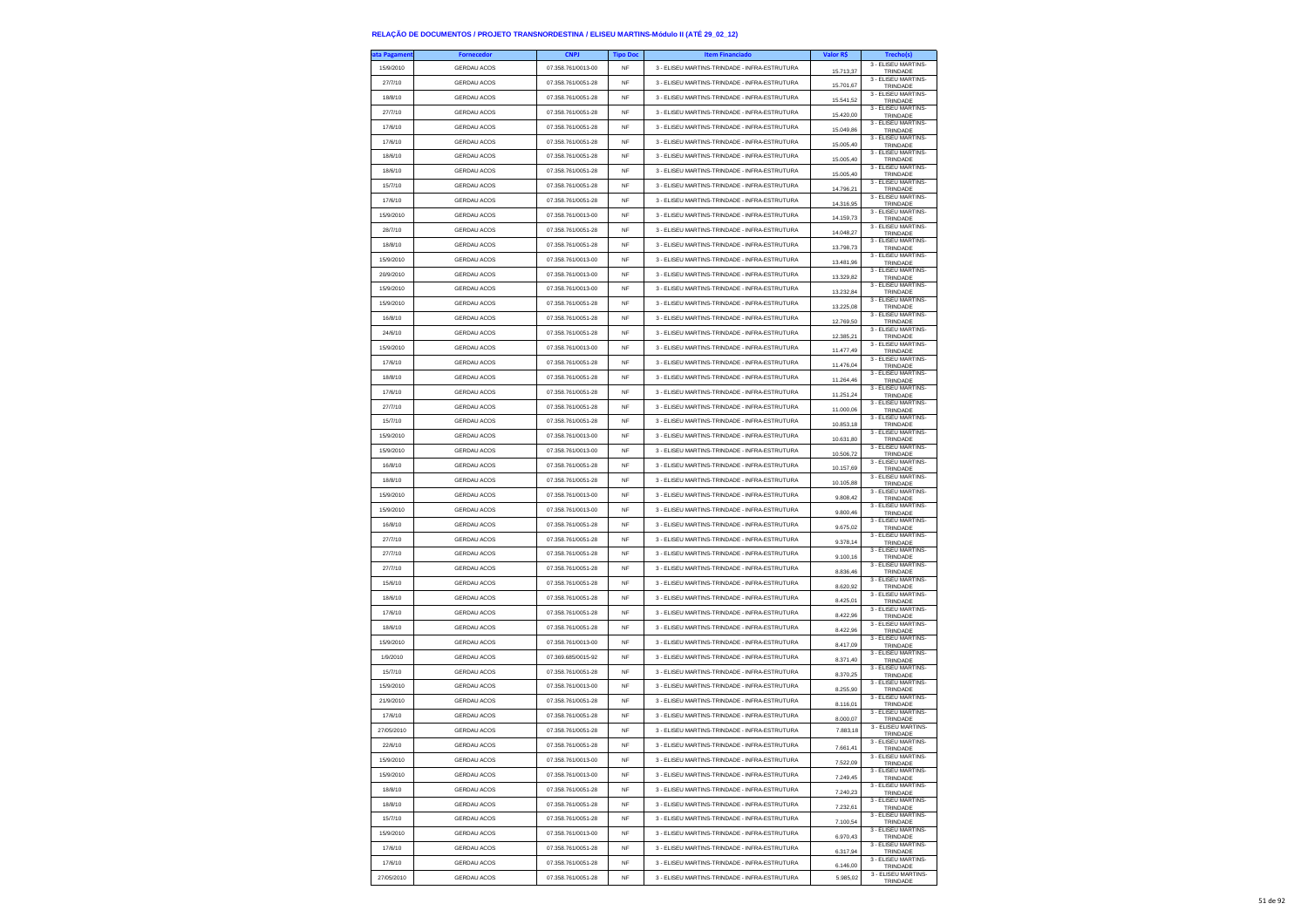| ıta Pagameni | <b>Fornecedor</b>  | <b>CNPJ</b>        | <b>Tipo Doc</b> | <b>Item Financiado</b>                        | Valor R\$            | Trecho(s)                       |
|--------------|--------------------|--------------------|-----------------|-----------------------------------------------|----------------------|---------------------------------|
| 15/9/2010    | GERDAU ACOS        | 07.358.761/0013-00 | <b>NF</b>       | 3 - ELISEU MARTINS-TRINDADE - INFRA-ESTRUTURA | 15.713.37            | 3 - ELISEU MARTINS-<br>TRINDADE |
| 27/7/10      | <b>GERDAU ACOS</b> | 07.358.761/0051-28 | <b>NF</b>       | 3 - ELISEU MARTINS-TRINDADE - INFRA-ESTRUTURA | 15.701,67            | 3 - ELISEU MARTINS-             |
| 18/8/10      | GERDAU ACOS        | 07.358.761/0051-28 | <b>NF</b>       | 3 - ELISEU MARTINS-TRINDADE - INFRA-ESTRUTURA |                      | TRINDADE<br>3 - ELISEU MARTINS  |
|              | <b>GERDAU ACOS</b> | 07.358.761/0051-28 | <b>NF</b>       |                                               | 15.541,52            | TRINDADE<br>3 - ELISEU MARTINS- |
| 27/7/10      |                    |                    |                 | 3 - ELISEU MARTINS-TRINDADE - INFRA-ESTRUTURA | 15,420.00            | TRINDADE<br>3 - ELISEU MARTINS- |
| 17/6/10      | <b>GERDAU ACOS</b> | 07.358.761/0051-28 | <b>NF</b>       | 3 - ELISEU MARTINS-TRINDADE - INFRA-ESTRUTURA | 15.049,86            | TRINDADE                        |
| 17/6/10      | <b>GERDAU ACOS</b> | 07.358.761/0051-28 | <b>NF</b>       | 3 - ELISEU MARTINS-TRINDADE - INFRA-ESTRUTURA | 15.005,40            | 3 - ELISEU MARTINS-<br>TRINDADE |
| 18/6/10      | <b>GERDAU ACOS</b> | 07.358.761/0051-28 | NF              | 3 - ELISEU MARTINS-TRINDADE - INFRA-ESTRUTURA | 15.005,40            | 3 - FLISEU MARTINS-<br>TRINDADE |
| 18/6/10      | <b>GERDAU ACOS</b> | 07.358.761/0051-28 | <b>NF</b>       | 3 - ELISEU MARTINS-TRINDADE - INFRA-ESTRUTURA | 15.005,40            | 3 - ELISEU MARTINS-<br>TRINDADE |
| 15/7/10      | <b>GERDAU ACOS</b> | 07.358.761/0051-28 | NF              | 3 - ELISEU MARTINS-TRINDADE - INFRA-ESTRUTURA | 14.796,21            | 3 - ELISEU MARTINS-<br>TRINDADE |
| 17/6/10      | GERDAU ACOS        | 07.358.761/0051-28 | NF              | 3 - ELISEU MARTINS-TRINDADE - INFRA-ESTRUTURA | 14.316,95            | 3 - ELISEU MARTINS<br>TRINDADE  |
| 15/9/2010    | <b>GERDAU ACOS</b> | 07 358 761/0013-00 | <b>NF</b>       | 3 - ELISEU MARTINS-TRINDADE - INFRA-ESTRUTURA |                      | 3 - ELISEU MARTINS-             |
|              |                    | 07 358 761/0051-28 |                 |                                               | 14.159,73            | TRINDADE<br>3 - ELISEU MARTINS- |
| 28/7/10      | <b>GERDAU ACOS</b> |                    | NF              | 3 - ELISEU MARTINS-TRINDADE - INFRA-ESTRUTURA | 14.048,27            | TRINDADE<br>3 - FLISEU MARTINS- |
| 18/8/10      | GERDAU ACOS        | 07.358.761/0051-28 | NF              | 3 - ELISEU MARTINS-TRINDADE - INFRA-ESTRUTURA | 13.798,73            | TRINDADE<br>3 - FLISEU MARTINS- |
| 15/9/2010    | <b>GERDAU ACOS</b> | 07.358.761/0013-00 | <b>NF</b>       | 3 - ELISEU MARTINS-TRINDADE - INFRA-ESTRUTURA | 13,481.96            | TRINDADE                        |
| 20/9/2010    | <b>GERDAU ACOS</b> | 07.358.761/0013-00 | NF              | 3 - ELISEU MARTINS-TRINDADE - INFRA-ESTRUTURA | 13.329,82            | 3 - ELISEU MARTINS-<br>TRINDADE |
| 15/9/2010    | <b>GERDAU ACOS</b> | 07.358.761/0013-00 | NF              | 3 - ELISEU MARTINS-TRINDADE - INFRA-ESTRUTURA | 13.232,84            | 3 - ELISEU MARTINS-<br>TRINDADE |
| 15/9/2010    | <b>GERDAU ACOS</b> | 07.358.761/0051-28 | <b>NF</b>       | 3 - ELISEU MARTINS-TRINDADE - INFRA-ESTRUTURA | 13,225.08            | 3 - ELISEU MARTINS-<br>TRINDADE |
| 16/8/10      | <b>GERDAU ACOS</b> | 07.358.761/0051-28 | <b>NF</b>       | 3 - ELISEU MARTINS-TRINDADE - INFRA-ESTRUTURA |                      | 3 - ELISEU MARTINS-             |
| 24/6/10      | GERDAU ACOS        | 07.358.761/0051-28 | NF              | 3 - ELISEU MARTINS-TRINDADE - INFRA-ESTRUTURA | 12.769,50            | TRINDADE<br>3 - ELISEU MARTINS- |
| 15/9/2010    | <b>GERDAU ACOS</b> | 07.358.761/0013-00 | <b>NF</b>       |                                               | 12.385,21            | TRINDADE<br>3 - ELISEU MARTINS- |
|              |                    |                    |                 | 3 - ELISEU MARTINS-TRINDADE - INFRA-ESTRUTURA | 11 477 49            | TRINDADE<br>3 - ELISEU MARTINS- |
| 17/6/10      | <b>GERDAU ACOS</b> | 07.358.761/0051-28 | NF              | 3 - FLISEU MARTINS-TRINDADE - INFRA-ESTRUTURA | 11.476,04            | TRINDADE<br>3 - ELISEU MARTINS- |
| 18/8/10      | <b>GERDAU ACOS</b> | 07.358.761/0051-28 | NF              | 3 - ELISEU MARTINS-TRINDADE - INFRA-ESTRUTURA | 11.264,46            | TRINDADE                        |
| 17/6/10      | <b>GERDAU ACOS</b> | 07.358.761/0051-28 | <b>NF</b>       | 3 - ELISEU MARTINS-TRINDADE - INFRA-ESTRUTURA | 11.251.24            | 3 - ELISEU MARTINS-<br>TRINDADE |
| 27/7/10      | <b>GERDAU ACOS</b> | 07.358.761/0051-28 | <b>NF</b>       | 3 - ELISEU MARTINS-TRINDADE - INFRA-ESTRUTURA | 11.000,06            | 3 - ELISEU MARTINS-<br>TRINDADE |
| 15/7/10      | <b>GERDAU ACOS</b> | 07.358.761/0051-28 | NF              | 3 - ELISEU MARTINS-TRINDADE - INFRA-ESTRUTURA | 10.853,18            | 3 - ELISEU MARTINS-<br>TRINDADE |
| 15/9/2010    | <b>GERDAU ACOS</b> | 07.358.761/0013-00 | <b>NF</b>       | 3 - ELISEU MARTINS-TRINDADE - INFRA-ESTRUTURA | 10.631.80            | 3 - FLISEU MARTINS-<br>TRINDADE |
| 15/9/2010    | <b>GERDAU ACOS</b> | 07.358.761/0013-00 | <b>NF</b>       | 3 - ELISEU MARTINS-TRINDADE - INFRA-ESTRUTURA |                      | 3 - ELISEU MARTINS-             |
| 16/8/10      | <b>GERDAU ACOS</b> | 07 358 761/0051-28 | NF              | 3 - ELISEU MARTINS-TRINDADE - INFRA-ESTRUTURA | 10.506,72            | TRINDADE<br>3 - ELISEU MARTINS- |
| 18/8/10      | <b>GERDAU ACOS</b> | 07.358.761/0051-28 | <b>NF</b>       | 3 - ELISEU MARTINS-TRINDADE - INFRA-ESTRUTURA | 10.157.69            | TRINDADE<br>3 - FLISEU MARTINS- |
|              |                    |                    |                 |                                               | 10 105 88            | TRINDADE<br>3 - ELISEU MARTINS- |
| 15/9/2010    | <b>GERDAU ACOS</b> | 07.358.761/0013-00 | <b>NF</b>       | 3 - ELISEU MARTINS-TRINDADE - INFRA-ESTRUTURA | 9.808,42             | TRINDADE<br>3 - ELISEU MARTINS- |
| 15/9/2010    | <b>GERDAU ACOS</b> | 07.358.761/0013-00 | <b>NF</b>       | 3 - ELISEU MARTINS-TRINDADE - INFRA-ESTRUTURA | 9.800,46             | TRINDADE<br>3 - ELISEU MARTINS- |
| 16/8/10      | <b>GERDAU ACOS</b> | 07.358.761/0051-28 | <b>NF</b>       | 3 - ELISEU MARTINS-TRINDADE - INFRA-ESTRUTURA | 9.675.02             | TRINDADE                        |
| 27/7/10      | <b>GERDAU ACOS</b> | 07.358.761/0051-28 | <b>NF</b>       | 3 - ELISEU MARTINS-TRINDADE - INFRA-ESTRUTURA | 9.378,14             | 3 - ELISEU MARTINS-<br>TRINDADE |
| 27/7/10      | <b>GERDAU ACOS</b> | 07.358.761/0051-28 | NF              | 3 - ELISEU MARTINS-TRINDADE - INFRA-ESTRUTURA | 9.100,16             | 3 - ELISEU MARTINS-<br>TRINDADE |
| 27/7/10      | <b>GERDAU ACOS</b> | 07.358.761/0051-28 | NF              | 3 - ELISEU MARTINS-TRINDADE - INFRA-ESTRUTURA | 8.836,46             | 3 - ELISEU MARTINS-<br>TRINDADE |
| 15/6/10      | <b>GERDAU ACOS</b> | 07.358.761/0051-28 | <b>NF</b>       | 3 - ELISEU MARTINS-TRINDADE - INFRA-ESTRUTURA | 8.620,92             | 3 - ELISEU MARTINS-<br>TRINDADE |
| 18/6/10      | <b>GERDAU ACOS</b> | 07.358.761/0051-28 | NF              | 3 - ELISEU MARTINS-TRINDADE - INFRA-ESTRUTURA |                      | 3 - ELISEU MARTINS-             |
| 17/6/10      | GERDAU ACOS        | 07.358.761/0051-28 | NF              | 3 - ELISEU MARTINS-TRINDADE - INFRA-ESTRUTURA | 8.425,01             | TRINDADE<br>3 - ELISEU MARTINS- |
|              |                    |                    |                 |                                               | 8.422,96             | TRINDADE<br>3 - ELISEU MARTINS- |
| 18/6/10      | <b>GERDAU ACOS</b> | 07.358.761/0051-28 | <b>NF</b>       | 3 - ELISEU MARTINS-TRINDADE - INFRA-ESTRUTURA | 8.422,96             | TRINDADE<br>3 - ELISEU MARTINS- |
| 15/9/2010    | <b>GERDAU ACOS</b> | 07.358.761/0013-00 | <b>NF</b>       | 3 - ELISEU MARTINS-TRINDADE - INFRA-ESTRUTURA | 8.417,09             | TRINDADE<br>3 - FLISEU MARTINS- |
| 1/9/2010     | GERDAU ACOS        | 07.369.685/0015-92 | NF              | 3 - ELISEU MARTINS-TRINDADE - INFRA-ESTRUTURA | 8.371,40             | TRINDADE                        |
| 15/7/10      | GERDAU ACOS        | 07.358.761/0051-28 | <b>NF</b>       | 3 - ELISEU MARTINS-TRINDADE - INFRA-ESTRUTURA | 8.370.25             | 3 - ELISEU MARTINS-<br>TRINDADE |
| 15/9/2010    | <b>GERDAU ACOS</b> | 07.358.761/0013-00 | NF              | 3 - ELISEU MARTINS-TRINDADE - INFRA-ESTRUTURA | 8.255,90             | 3 - ELISEU MARTINS-<br>TRINDADE |
| 21/9/2010    | <b>GERDAU ACOS</b> | 07.358.761/0051-28 | NF              | 3 - ELISEU MARTINS-TRINDADE - INFRA-ESTRUTURA | 8.116,01             | 3 - FLISEU MARTINS-<br>TRINDADE |
| 17/6/10      | GERDAU ACOS        | 07.358.761/0051-28 | <b>NF</b>       | 3 - ELISEU MARTINS-TRINDADE - INFRA-ESTRUTURA |                      | 3 - FLISEU MARTINS-             |
| 27/05/2010   | <b>GERDAU ACOS</b> | 07 358 761/0051-28 | NF              | 3 - ELISEU MARTINS-TRINDADE - INFRA-ESTRUTURA | 8.000.07<br>7,883.18 | TRINDADE<br>3 - ELISEU MARTINS- |
|              |                    |                    |                 |                                               |                      | TRINDADE<br>3 - ELISEU MARTINS- |
| 22/6/10      | <b>GERDAU ACOS</b> | 07.358.761/0051-28 | NF              | 3 - ELISEU MARTINS-TRINDADE - INFRA-ESTRUTURA | 7.661.41             | TRINDADE<br>3 - ELISEU MARTINS- |
| 15/9/2010    | GERDAU ACOS        | 07.358.761/0013-00 | <b>NF</b>       | 3 - ELISEU MARTINS-TRINDADE - INFRA-ESTRUTURA | 7,522.09             | TRINDADE                        |
| 15/9/2010    | <b>GERDAU ACOS</b> | 07.358.761/0013-00 | NF              | 3 - ELISEU MARTINS-TRINDADE - INFRA-ESTRUTURA | 7.249,45             | 3 - ELISEU MARTINS-<br>TRINDADE |
| 18/8/10      | GERDAU ACOS        | 07.358.761/0051-28 | NF              | 3 - ELISEU MARTINS-TRINDADE - INFRA-ESTRUTURA | 7.240,23             | 3 - ELISEU MARTINS-<br>TRINDADE |
| 18/8/10      | GERDAU ACOS        | 07.358.761/0051-28 | NF              | 3 - ELISEU MARTINS-TRINDADE - INFRA-ESTRUTURA | 7 232 61             | 3 - FLISEU MARTINS-<br>TRINDADE |
| 15/7/10      | <b>GERDAU ACOS</b> | 07.358.761/0051-28 | NF              | 3 - ELISEU MARTINS-TRINDADE - INFRA-ESTRUTURA | 7.100.54             | 3 - ELISEU MARTINS-<br>TRINDADE |
| 15/9/2010    | GERDAU ACOS        | 07.358.761/0013-00 | NF              | 3 - ELISEU MARTINS-TRINDADE - INFRA-ESTRUTURA |                      | 3 - ELISEU MARTINS-             |
| 17/6/10      | GERDAU ACOS        | 07.358.761/0051-28 | NF              | 3 - ELISEU MARTINS-TRINDADE - INFRA-ESTRUTURA | 6.970,43             | TRINDADE<br>3 - FLISEU MARTINS- |
|              |                    |                    |                 | 3 - FLISELLMARTINS-TRINDADE - INFRA-ESTRUTURA | 6.317.94             | TRINDADE<br>3 - ELISEU MARTINS- |
| 17/6/10      | <b>GERDAU ACOS</b> | 07.358.761/0051-28 | NF              |                                               | 6.146,00             | TRINDADE<br>3 - ELISEU MARTINS- |
| 27/05/2010   | <b>GERDAU ACOS</b> | 07.358.761/0051-28 | NF              | 3 - ELISEU MARTINS-TRINDADE - INFRA-ESTRUTURA | 5.985.02             | TRINDADE                        |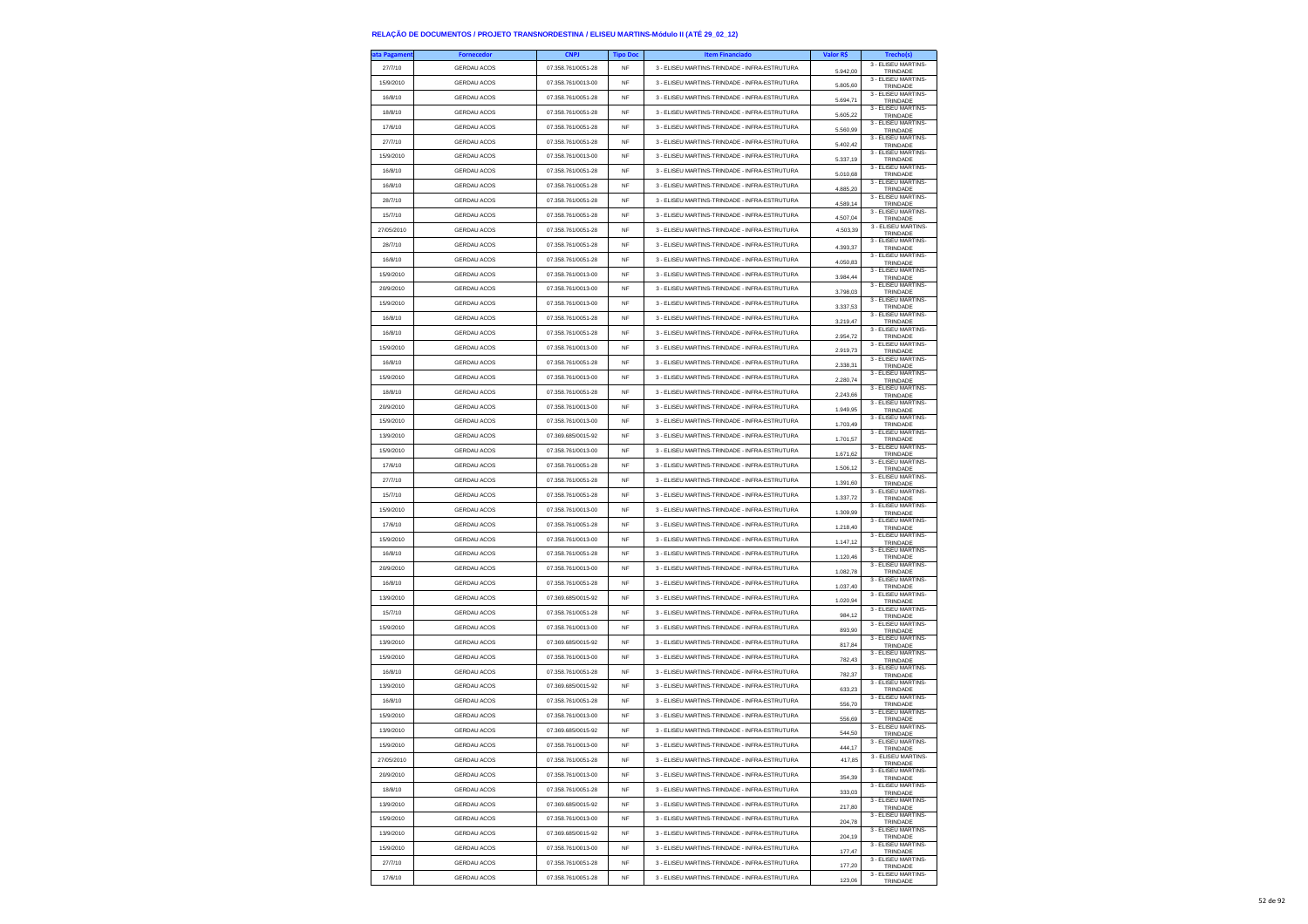| 27/7/10<br><b>GERDAU ACOS</b><br>07.358.761/0051-28<br>3 - ELISEU MARTINS-TRINDADE - INFRA-ESTRUTURA<br><b>NF</b><br>5.942.00<br>TRINDADE<br>3 - ELISEU MARTINS-<br>07.358.761/0013-00<br>3 - ELISEU MARTINS-TRINDADE - INFRA-ESTRUTURA<br>15/9/2010<br><b>GERDAU ACOS</b><br><b>NF</b><br>5.805,60<br>TRINDADE<br>3 - ELISEU MARTINS-<br>16/8/10<br><b>GERDAU ACOS</b><br>07 358 761/0051-28<br><b>NF</b><br>3 - ELISEU MARTINS-TRINDADE - INFRA-ESTRUTURA<br>5.694,71<br>TRINDADE<br>3 - ELISEU MARTINS-<br>18/8/10<br><b>GERDAU ACOS</b><br>07.358.761/0051-28<br><b>NF</b><br>3 - ELISEU MARTINS-TRINDADE - INFRA-ESTRUTURA<br>5.605.22<br>TRINDADE<br>3 - ELISEU MARTINS-<br>07.358.761/0051-28<br>17/6/10<br><b>GERDAU ACOS</b><br><b>NF</b><br>3 - ELISEU MARTINS-TRINDADE - INFRA-ESTRUTURA<br>5.560,99<br>TRINDADE<br>3 - ELISEU MARTINS-<br>27/7/10<br><b>GERDAU ACOS</b><br>07.358.761/0051-28<br><b>NF</b><br>3 - ELISEU MARTINS-TRINDADE - INFRA-ESTRUTURA<br>5.402,42<br>TRINDADE<br>3 - ELISEU MARTINS-<br>GERDAU ACOS<br>07.358.761/0013-00<br>3 - ELISEU MARTINS-TRINDADE - INFRA-ESTRUTURA<br>15/9/2010<br>NF<br>5.337,19<br>TRINDADE<br>3 - ELISEU MARTINS-<br>16/8/10<br><b>GERDAU ACOS</b><br>07.358.761/0051-28<br>3 - ELISEU MARTINS-TRINDADE - INFRA-ESTRUTURA<br><b>NF</b><br>5.010,68<br>TRINDADE<br>3 - ELISEU MARTINS-<br>16/8/10<br><b>GERDAU ACOS</b><br>07.358.761/0051-28<br><b>NF</b><br>3 - ELISEU MARTINS-TRINDADE - INFRA-ESTRUTURA<br>4.885,20<br>TRINDADE<br>3 - ELISEU MARTINS-<br>GERDAU ACOS<br>07.358.761/0051-28<br>3 - ELISEU MARTINS-TRINDADE - INFRA-ESTRUTURA<br>28/7/10<br>NF<br>4.589,14<br>TRINDADE<br>3 - ELISEU MARTINS-<br>07.358.761/0051-28<br>15/7/10<br><b>GERDAU ACOS</b><br><b>NF</b><br>3 - ELISEU MARTINS-TRINDADE - INFRA-ESTRUTURA<br>4.507,04<br>TRINDADE<br>3 - ELISEU MARTINS-<br>27/05/2010<br><b>GERDAU ACOS</b><br>07.358.761/0051-28<br><b>NF</b><br>3 - ELISEU MARTINS-TRINDADE - INFRA-ESTRUTURA<br>4.503,39<br>TRINDADE<br>3 - ELISEU MARTINS-<br>28/7/10<br><b>GERDAU ACOS</b><br>07.358.761/0051-28<br>NF<br>3 - ELISEU MARTINS-TRINDADE - INFRA-ESTRUTURA<br>4.393,37<br>TRINDADE<br>3 - FLISEU MARTINS-<br>16/8/10<br><b>GERDAU ACOS</b><br>07.358.761/0051-28<br>3 - ELISEU MARTINS-TRINDADE - INFRA-ESTRUTURA<br><b>NF</b><br>4.050.83<br>TRINDADE<br>3 - ELISEU MARTINS-<br>15/9/2010<br><b>GERDAU ACOS</b><br>07.358.761/0013-00<br><b>NF</b><br>3 - ELISEU MARTINS-TRINDADE - INFRA-ESTRUTURA<br>3.984,44<br>TRINDADE<br>3 - ELISEU MARTINS-<br>20/9/2010<br><b>GERDAU ACOS</b><br>07.358.761/0013-00<br>3 - ELISEU MARTINS-TRINDADE - INFRA-ESTRUTURA<br>NF<br>3.798.03<br>TRINDADE<br>3 - ELISEU MARTINS-<br>15/9/2010<br><b>GERDAU ACOS</b><br>07.358.761/0013-00<br>3 - ELISEU MARTINS-TRINDADE - INFRA-ESTRUTURA<br><b>NF</b><br>3.337.53<br>TRINDADE<br>3 - ELISEU MARTINS-<br>16/8/10<br><b>GERDAU ACOS</b><br>07.358.761/0051-28<br><b>NF</b><br>3 - ELISEU MARTINS-TRINDADE - INFRA-ESTRUTURA<br>3.219,47<br>TRINDADE<br>3 - ELISEU MARTINS-<br>GERDAU ACOS<br>07.358.761/0051-28<br>3 - ELISEU MARTINS-TRINDADE - INFRA-ESTRUTURA<br>16/8/10<br>NF<br>2.954,72<br>TRINDADE<br>3 - ELISEU MARTINS-<br>15/9/2010<br><b>GERDAU ACOS</b><br>07.358.761/0013-00<br>3 - ELISEU MARTINS-TRINDADE - INFRA-ESTRUTURA<br><b>NF</b><br>2.919.73<br>TRINDADE<br>3 - ELISEU MARTINS-<br><b>GERDAU ACOS</b><br>07.358.761/0051-28<br>3 - ELISEU MARTINS-TRINDADE - INFRA-ESTRUTURA<br>16/8/10<br><b>NF</b><br>2.338,31<br>TRINDADE<br>3 - ELISEU MARTINS-<br><b>GERDAU ACOS</b><br>07.358.761/0013-00<br>3 - ELISEU MARTINS-TRINDADE - INFRA-ESTRUTURA<br>15/9/2010<br>NF<br>2.280,74<br>TRINDADE<br>3 - ELISEU MARTINS-<br>18/8/10<br><b>GERDAU ACOS</b><br>07.358.761/0051-28<br><b>NF</b><br>3 - ELISEU MARTINS-TRINDADE - INFRA-ESTRUTURA<br>2.243.66<br>TRINDADE<br>3 - ELISEU MARTINS-<br>20/9/2010<br><b>GERDAU ACOS</b><br>07.358.761/0013-00<br><b>NF</b><br>3 - ELISEU MARTINS-TRINDADE - INFRA-ESTRUTURA<br>1.949,95<br>TRINDADE<br>3 - ELISEU MARTINS-<br><b>GERDAU ACOS</b><br>07.358.761/0013-00<br>3 - ELISEU MARTINS-TRINDADE - INFRA-ESTRUTURA<br>15/9/2010<br>NF<br>1.703,49<br>TRINDADE<br>3 - ELISEU MARTINS-<br>13/9/2010<br><b>GERDAU ACOS</b><br>07.369.685/0015-92<br>3 - ELISEU MARTINS-TRINDADE - INFRA-ESTRUTURA<br><b>NF</b><br>1.701.57<br>TRINDADE<br>3 - ELISEU MARTINS-<br>15/9/2010<br><b>GERDAU ACOS</b><br>07.358.761/0013-00<br>3 - ELISEU MARTINS-TRINDADE - INFRA-ESTRUTURA<br><b>NF</b><br>1.671,62<br>TRINDADE<br>3 - ELISEU MARTINS-<br>17/6/10<br><b>GERDAU ACOS</b><br>07.358.761/0051-28<br><b>NF</b><br>3 - ELISEU MARTINS-TRINDADE - INFRA-ESTRUTURA<br>1.506,12<br>TRINDADE<br>3 - ELISEU MARTINS-<br>27/7/10<br><b>GERDAU ACOS</b><br>07.358.761/0051-28<br><b>NF</b><br>3 - ELISEU MARTINS-TRINDADE - INFRA-ESTRUTURA<br>1.391.60<br>TRINDADE<br>3 - ELISEU MARTINS-<br>07.358.761/0051-28<br>15/7/10<br><b>GERDAU ACOS</b><br>3 - ELISELLMARTINS-TRINDADE - INFRA-ESTRUTURA<br><b>NF</b><br>1.337,72<br>TRINDADE<br>3 - ELISEU MARTINS-<br>15/9/2010<br><b>GERDAU ACOS</b><br>07.358.761/0013-00<br><b>NF</b><br>3 - ELISEU MARTINS-TRINDADE - INFRA-ESTRUTURA<br>1.309,99<br>TRINDADE<br>3 - ELISEU MARTINS-<br><b>GERDAU ACOS</b><br>07.358.761/0051-28<br>3 - ELISEU MARTINS-TRINDADE - INFRA-ESTRUTURA<br>17/6/10<br><b>NF</b><br>1.218.40<br>TRINDADE<br>3 - ELISEU MARTINS-<br>15/9/2010<br><b>GERDAU ACOS</b><br>07.358.761/0013-00<br>3 - ELISEU MARTINS-TRINDADE - INFRA-ESTRUTURA<br><b>NF</b><br>1.147,12<br>TRINDADE<br>3 - ELISEU MARTINS-<br>16/8/10<br><b>GERDAU ACOS</b><br>07.358.761/0051-28<br><b>NF</b><br>3 - ELISEU MARTINS-TRINDADE - INFRA-ESTRUTURA<br>1.120,46<br>TRINDADE<br>3 - ELISEU MARTINS-<br><b>GERDAU ACOS</b><br>07.358.761/0013-00<br>3 - ELISEU MARTINS-TRINDADE - INFRA-ESTRUTURA<br>20/9/2010<br>NF<br>1.082.78<br>TRINDADE<br>3 - ELISEU MARTINS-<br>16/8/10<br><b>GERDAU ACOS</b><br>07.358.761/0051-28<br>3 - ELISEU MARTINS-TRINDADE - INFRA-ESTRUTURA<br><b>NF</b><br>1.037,40<br>TRINDADE<br>3 - ELISEU MARTINS-<br>13/9/2010<br><b>GERDAU ACOS</b><br>07.369.685/0015-92<br><b>NF</b><br>3 - ELISEU MARTINS-TRINDADE - INFRA-ESTRUTURA<br>1.020,94<br>TRINDADE<br>3 - ELISEU MARTINS-<br><b>GERDAU ACOS</b><br>07.358.761/0051-28<br>3 - ELISEU MARTINS-TRINDADE - INFRA-ESTRUTURA<br>15/7/10<br>NF<br>984,12<br>TRINDADE<br>3 - ELISEU MARTINS-<br>15/9/2010<br><b>GERDAU ACOS</b><br>07.358.761/0013-00<br>3 - ELISEU MARTINS-TRINDADE - INFRA-ESTRUTURA<br><b>NF</b><br>893,90<br>TRINDADE<br>3 - ELISEU MARTINS-<br>13/9/2010<br><b>GERDAU ACOS</b><br>07.369.685/0015-92<br><b>NF</b><br>3 - ELISEU MARTINS-TRINDADE - INFRA-ESTRUTURA<br>817,84<br>TRINDADE<br>3 - ELISEU MARTINS-<br>15/9/2010<br><b>GERDAU ACOS</b><br>07.358.761/0013-00<br>3 - ELISEU MARTINS-TRINDADE - INFRA-ESTRUTURA<br>NF<br>782,43<br>TRINDADE<br>3 - ELISEU MARTINS-<br>16/8/10<br><b>GERDAU ACOS</b><br>07.358.761/0051-28<br>3 - ELISEU MARTINS-TRINDADE - INFRA-ESTRUTURA<br><b>NF</b><br>782.37<br>TRINDADE<br>3 - ELISEU MARTINS-<br>13/9/2010<br><b>GERDAU ACOS</b><br>07.369.685/0015-92<br><b>NF</b><br>3 - ELISEU MARTINS-TRINDADE - INFRA-ESTRUTURA<br>633,23<br>TRINDADE<br>3 - ELISEU MARTINS-<br>07.358.761/0051-28<br>16/8/10<br><b>GERDAU ACOS</b><br>NF<br>3 - ELISEU MARTINS-TRINDADE - INFRA-ESTRUTURA<br>556,70<br>TRINDADE<br>3 - FLISEU MARTINS-<br>15/9/2010<br><b>GERDAU ACOS</b><br>07.358.761/0013-00<br>3 - ELISEU MARTINS-TRINDADE - INFRA-ESTRUTURA<br><b>NF</b><br>556.69<br>TRINDADE<br>3 - ELISEU MARTINS-<br>13/9/2010<br><b>GERDAU ACOS</b><br>07.369.685/0015-92<br><b>NF</b><br>3 - ELISEU MARTINS-TRINDADE - INFRA-ESTRUTURA<br>544,50<br>TRINDADE<br>3 - ELISEU MARTINS-<br>15/9/2010<br><b>GERDAU ACOS</b><br>07.358.761/0013-00<br>NF<br>3 - ELISEU MARTINS-TRINDADE - INFRA-ESTRUTURA<br>444,17<br>TRINDADI<br>3 - ELISEU MARTINS-<br>27/05/2010<br><b>GERDAU ACOS</b><br>07.358.761/0051-28<br><b>NF</b><br>3 - ELISEU MARTINS-TRINDADE - INFRA-ESTRUTURA<br>417,85<br>TRINDADE<br>3 - ELISEU MARTINS-<br>20/9/2010<br><b>GERDAU ACOS</b><br>07.358.761/0013-00<br><b>NF</b><br>3 - FLISELLMARTINS-TRINDADE - INFRA-ESTRUTURA<br>354,39<br>TRINDADE<br>3 - ELISEU MARTINS-<br>18/8/10<br><b>GERDAU ACOS</b><br>07.358.761/0051-28<br>3 - ELISEU MARTINS-TRINDADE - INFRA-ESTRUTURA<br>NF<br>333,03<br>TRINDADE<br>3 - FLISEU MARTINS-<br>13/9/2010<br><b>GERDAU ACOS</b><br>07.369.685/0015-92<br><b>NF</b><br>3 - ELISEU MARTINS-TRINDADE - INFRA-ESTRUTURA<br>217.80<br>TRINDADE<br>3 - ELISEU MARTINS-<br>07.358.761/0013-00<br>3 - ELISEU MARTINS-TRINDADE - INFRA-ESTRUTURA<br>15/9/2010<br><b>GERDAU ACOS</b><br><b>NF</b><br>204,78<br>TRINDADE<br>3 - ELISEU MARTINS-<br>13/9/2010<br><b>GERDAU ACOS</b><br>07.369.685/0015-92<br>3 - ELISEU MARTINS-TRINDADE - INFRA-ESTRUTURA<br>NF<br>204,19<br>TRINDADE<br>3 - FLISEU MARTINS-<br>15/9/2010<br><b>GERDAU ACOS</b><br>07.358.761/0013-00<br>NF<br>3 - ELISEU MARTINS-TRINDADE - INFRA-ESTRUTURA<br>177.47<br>TRINDADE<br>3 - ELISEU MARTINS-<br>27/7/10<br><b>GERDAU ACOS</b><br>07.358.761/0051-28<br><b>NF</b><br>3 - ELISEU MARTINS-TRINDADE - INFRA-ESTRUTURA<br>177,20<br>TRINDADE<br>3 - ELISEU MARTINS-<br>17/6/10<br><b>GERDAU ACOS</b><br>07.358.761/0051-28<br><b>NF</b><br>3 - ELISEU MARTINS-TRINDADE - INFRA-ESTRUTURA<br>123,06<br>TRINDADE | ita Pagament | <b>Fornecedor</b> | <b>CNPJ</b> | <b>Tipo Doc</b> | <b>Item Financiado</b> | Valor R\$ | Trecho(s)           |
|-------------------------------------------------------------------------------------------------------------------------------------------------------------------------------------------------------------------------------------------------------------------------------------------------------------------------------------------------------------------------------------------------------------------------------------------------------------------------------------------------------------------------------------------------------------------------------------------------------------------------------------------------------------------------------------------------------------------------------------------------------------------------------------------------------------------------------------------------------------------------------------------------------------------------------------------------------------------------------------------------------------------------------------------------------------------------------------------------------------------------------------------------------------------------------------------------------------------------------------------------------------------------------------------------------------------------------------------------------------------------------------------------------------------------------------------------------------------------------------------------------------------------------------------------------------------------------------------------------------------------------------------------------------------------------------------------------------------------------------------------------------------------------------------------------------------------------------------------------------------------------------------------------------------------------------------------------------------------------------------------------------------------------------------------------------------------------------------------------------------------------------------------------------------------------------------------------------------------------------------------------------------------------------------------------------------------------------------------------------------------------------------------------------------------------------------------------------------------------------------------------------------------------------------------------------------------------------------------------------------------------------------------------------------------------------------------------------------------------------------------------------------------------------------------------------------------------------------------------------------------------------------------------------------------------------------------------------------------------------------------------------------------------------------------------------------------------------------------------------------------------------------------------------------------------------------------------------------------------------------------------------------------------------------------------------------------------------------------------------------------------------------------------------------------------------------------------------------------------------------------------------------------------------------------------------------------------------------------------------------------------------------------------------------------------------------------------------------------------------------------------------------------------------------------------------------------------------------------------------------------------------------------------------------------------------------------------------------------------------------------------------------------------------------------------------------------------------------------------------------------------------------------------------------------------------------------------------------------------------------------------------------------------------------------------------------------------------------------------------------------------------------------------------------------------------------------------------------------------------------------------------------------------------------------------------------------------------------------------------------------------------------------------------------------------------------------------------------------------------------------------------------------------------------------------------------------------------------------------------------------------------------------------------------------------------------------------------------------------------------------------------------------------------------------------------------------------------------------------------------------------------------------------------------------------------------------------------------------------------------------------------------------------------------------------------------------------------------------------------------------------------------------------------------------------------------------------------------------------------------------------------------------------------------------------------------------------------------------------------------------------------------------------------------------------------------------------------------------------------------------------------------------------------------------------------------------------------------------------------------------------------------------------------------------------------------------------------------------------------------------------------------------------------------------------------------------------------------------------------------------------------------------------------------------------------------------------------------------------------------------------------------------------------------------------------------------------------------------------------------------------------------------------------------------------------------------------------------------------------------------------------------------------------------------------------------------------------------------------------------------------------------------------------------------------------------------------------------------------------------------------------------------------------------------------------------------------------------------------------------------------------------------------------------------------------------------------------------------------------------------------------------------------------------------------------------------------------------------------------------------------------------------------------------------------------------------------------------------------------------------------------------------------------------------------------------------------------------------------------------------------------------------------------------------------------------------------------------------------------------------------------------------------------------------------------------------------------------------------------------------------------------------------------------------------------------------------------------------------------------------------------------------------------------------------------------------------------------------------------------------------------------------------------------------------------------------------------------------------------------------------------------------------------------------------------------------------------------------------------------------------------------------------------------------------------------------------------------------------------------------------------------------------------------------------------------------------------------------------------------------------------------------------------------------------------------------------------------------------------------------------------------------------------------------------------------------------------------------------------------------------------------------------------------------------------------------------------------------------------------------------------------------------------------------------------------------------------------------------------------------------------------------------------------------------------------------------------------------------------------------------------------------------------------------------------------------------------------------------------------------------------------------------------------------------------------------------------------------------------------------------------------------------------------------------------------------------------------------------------------------------------------------------------------------------|--------------|-------------------|-------------|-----------------|------------------------|-----------|---------------------|
|                                                                                                                                                                                                                                                                                                                                                                                                                                                                                                                                                                                                                                                                                                                                                                                                                                                                                                                                                                                                                                                                                                                                                                                                                                                                                                                                                                                                                                                                                                                                                                                                                                                                                                                                                                                                                                                                                                                                                                                                                                                                                                                                                                                                                                                                                                                                                                                                                                                                                                                                                                                                                                                                                                                                                                                                                                                                                                                                                                                                                                                                                                                                                                                                                                                                                                                                                                                                                                                                                                                                                                                                                                                                                                                                                                                                                                                                                                                                                                                                                                                                                                                                                                                                                                                                                                                                                                                                                                                                                                                                                                                                                                                                                                                                                                                                                                                                                                                                                                                                                                                                                                                                                                                                                                                                                                                                                                                                                                                                                                                                                                                                                                                                                                                                                                                                                                                                                                                                                                                                                                                                                                                                                                                                                                                                                                                                                                                                                                                                                                                                                                                                                                                                                                                                                                                                                                                                                                                                                                                                                                                                                                                                                                                                                                                                                                                                                                                                                                                                                                                                                                                                                                                                                                                                                                                                                                                                                                                                                                                                                                                                                                                                                                                                                                                                                                                                                                                                                                                                                                                                                                                                                                                                                                                                                                                                                                                                                                                                                                                                                                                                                                                                                                                                                                                                                                                                                                                                                               |              |                   |             |                 |                        |           | 3 - ELISEU MARTINS- |
|                                                                                                                                                                                                                                                                                                                                                                                                                                                                                                                                                                                                                                                                                                                                                                                                                                                                                                                                                                                                                                                                                                                                                                                                                                                                                                                                                                                                                                                                                                                                                                                                                                                                                                                                                                                                                                                                                                                                                                                                                                                                                                                                                                                                                                                                                                                                                                                                                                                                                                                                                                                                                                                                                                                                                                                                                                                                                                                                                                                                                                                                                                                                                                                                                                                                                                                                                                                                                                                                                                                                                                                                                                                                                                                                                                                                                                                                                                                                                                                                                                                                                                                                                                                                                                                                                                                                                                                                                                                                                                                                                                                                                                                                                                                                                                                                                                                                                                                                                                                                                                                                                                                                                                                                                                                                                                                                                                                                                                                                                                                                                                                                                                                                                                                                                                                                                                                                                                                                                                                                                                                                                                                                                                                                                                                                                                                                                                                                                                                                                                                                                                                                                                                                                                                                                                                                                                                                                                                                                                                                                                                                                                                                                                                                                                                                                                                                                                                                                                                                                                                                                                                                                                                                                                                                                                                                                                                                                                                                                                                                                                                                                                                                                                                                                                                                                                                                                                                                                                                                                                                                                                                                                                                                                                                                                                                                                                                                                                                                                                                                                                                                                                                                                                                                                                                                                                                                                                                                                               |              |                   |             |                 |                        |           |                     |
|                                                                                                                                                                                                                                                                                                                                                                                                                                                                                                                                                                                                                                                                                                                                                                                                                                                                                                                                                                                                                                                                                                                                                                                                                                                                                                                                                                                                                                                                                                                                                                                                                                                                                                                                                                                                                                                                                                                                                                                                                                                                                                                                                                                                                                                                                                                                                                                                                                                                                                                                                                                                                                                                                                                                                                                                                                                                                                                                                                                                                                                                                                                                                                                                                                                                                                                                                                                                                                                                                                                                                                                                                                                                                                                                                                                                                                                                                                                                                                                                                                                                                                                                                                                                                                                                                                                                                                                                                                                                                                                                                                                                                                                                                                                                                                                                                                                                                                                                                                                                                                                                                                                                                                                                                                                                                                                                                                                                                                                                                                                                                                                                                                                                                                                                                                                                                                                                                                                                                                                                                                                                                                                                                                                                                                                                                                                                                                                                                                                                                                                                                                                                                                                                                                                                                                                                                                                                                                                                                                                                                                                                                                                                                                                                                                                                                                                                                                                                                                                                                                                                                                                                                                                                                                                                                                                                                                                                                                                                                                                                                                                                                                                                                                                                                                                                                                                                                                                                                                                                                                                                                                                                                                                                                                                                                                                                                                                                                                                                                                                                                                                                                                                                                                                                                                                                                                                                                                                                                               |              |                   |             |                 |                        |           |                     |
|                                                                                                                                                                                                                                                                                                                                                                                                                                                                                                                                                                                                                                                                                                                                                                                                                                                                                                                                                                                                                                                                                                                                                                                                                                                                                                                                                                                                                                                                                                                                                                                                                                                                                                                                                                                                                                                                                                                                                                                                                                                                                                                                                                                                                                                                                                                                                                                                                                                                                                                                                                                                                                                                                                                                                                                                                                                                                                                                                                                                                                                                                                                                                                                                                                                                                                                                                                                                                                                                                                                                                                                                                                                                                                                                                                                                                                                                                                                                                                                                                                                                                                                                                                                                                                                                                                                                                                                                                                                                                                                                                                                                                                                                                                                                                                                                                                                                                                                                                                                                                                                                                                                                                                                                                                                                                                                                                                                                                                                                                                                                                                                                                                                                                                                                                                                                                                                                                                                                                                                                                                                                                                                                                                                                                                                                                                                                                                                                                                                                                                                                                                                                                                                                                                                                                                                                                                                                                                                                                                                                                                                                                                                                                                                                                                                                                                                                                                                                                                                                                                                                                                                                                                                                                                                                                                                                                                                                                                                                                                                                                                                                                                                                                                                                                                                                                                                                                                                                                                                                                                                                                                                                                                                                                                                                                                                                                                                                                                                                                                                                                                                                                                                                                                                                                                                                                                                                                                                                                               |              |                   |             |                 |                        |           |                     |
|                                                                                                                                                                                                                                                                                                                                                                                                                                                                                                                                                                                                                                                                                                                                                                                                                                                                                                                                                                                                                                                                                                                                                                                                                                                                                                                                                                                                                                                                                                                                                                                                                                                                                                                                                                                                                                                                                                                                                                                                                                                                                                                                                                                                                                                                                                                                                                                                                                                                                                                                                                                                                                                                                                                                                                                                                                                                                                                                                                                                                                                                                                                                                                                                                                                                                                                                                                                                                                                                                                                                                                                                                                                                                                                                                                                                                                                                                                                                                                                                                                                                                                                                                                                                                                                                                                                                                                                                                                                                                                                                                                                                                                                                                                                                                                                                                                                                                                                                                                                                                                                                                                                                                                                                                                                                                                                                                                                                                                                                                                                                                                                                                                                                                                                                                                                                                                                                                                                                                                                                                                                                                                                                                                                                                                                                                                                                                                                                                                                                                                                                                                                                                                                                                                                                                                                                                                                                                                                                                                                                                                                                                                                                                                                                                                                                                                                                                                                                                                                                                                                                                                                                                                                                                                                                                                                                                                                                                                                                                                                                                                                                                                                                                                                                                                                                                                                                                                                                                                                                                                                                                                                                                                                                                                                                                                                                                                                                                                                                                                                                                                                                                                                                                                                                                                                                                                                                                                                                                               |              |                   |             |                 |                        |           |                     |
|                                                                                                                                                                                                                                                                                                                                                                                                                                                                                                                                                                                                                                                                                                                                                                                                                                                                                                                                                                                                                                                                                                                                                                                                                                                                                                                                                                                                                                                                                                                                                                                                                                                                                                                                                                                                                                                                                                                                                                                                                                                                                                                                                                                                                                                                                                                                                                                                                                                                                                                                                                                                                                                                                                                                                                                                                                                                                                                                                                                                                                                                                                                                                                                                                                                                                                                                                                                                                                                                                                                                                                                                                                                                                                                                                                                                                                                                                                                                                                                                                                                                                                                                                                                                                                                                                                                                                                                                                                                                                                                                                                                                                                                                                                                                                                                                                                                                                                                                                                                                                                                                                                                                                                                                                                                                                                                                                                                                                                                                                                                                                                                                                                                                                                                                                                                                                                                                                                                                                                                                                                                                                                                                                                                                                                                                                                                                                                                                                                                                                                                                                                                                                                                                                                                                                                                                                                                                                                                                                                                                                                                                                                                                                                                                                                                                                                                                                                                                                                                                                                                                                                                                                                                                                                                                                                                                                                                                                                                                                                                                                                                                                                                                                                                                                                                                                                                                                                                                                                                                                                                                                                                                                                                                                                                                                                                                                                                                                                                                                                                                                                                                                                                                                                                                                                                                                                                                                                                                                               |              |                   |             |                 |                        |           |                     |
|                                                                                                                                                                                                                                                                                                                                                                                                                                                                                                                                                                                                                                                                                                                                                                                                                                                                                                                                                                                                                                                                                                                                                                                                                                                                                                                                                                                                                                                                                                                                                                                                                                                                                                                                                                                                                                                                                                                                                                                                                                                                                                                                                                                                                                                                                                                                                                                                                                                                                                                                                                                                                                                                                                                                                                                                                                                                                                                                                                                                                                                                                                                                                                                                                                                                                                                                                                                                                                                                                                                                                                                                                                                                                                                                                                                                                                                                                                                                                                                                                                                                                                                                                                                                                                                                                                                                                                                                                                                                                                                                                                                                                                                                                                                                                                                                                                                                                                                                                                                                                                                                                                                                                                                                                                                                                                                                                                                                                                                                                                                                                                                                                                                                                                                                                                                                                                                                                                                                                                                                                                                                                                                                                                                                                                                                                                                                                                                                                                                                                                                                                                                                                                                                                                                                                                                                                                                                                                                                                                                                                                                                                                                                                                                                                                                                                                                                                                                                                                                                                                                                                                                                                                                                                                                                                                                                                                                                                                                                                                                                                                                                                                                                                                                                                                                                                                                                                                                                                                                                                                                                                                                                                                                                                                                                                                                                                                                                                                                                                                                                                                                                                                                                                                                                                                                                                                                                                                                                                               |              |                   |             |                 |                        |           |                     |
|                                                                                                                                                                                                                                                                                                                                                                                                                                                                                                                                                                                                                                                                                                                                                                                                                                                                                                                                                                                                                                                                                                                                                                                                                                                                                                                                                                                                                                                                                                                                                                                                                                                                                                                                                                                                                                                                                                                                                                                                                                                                                                                                                                                                                                                                                                                                                                                                                                                                                                                                                                                                                                                                                                                                                                                                                                                                                                                                                                                                                                                                                                                                                                                                                                                                                                                                                                                                                                                                                                                                                                                                                                                                                                                                                                                                                                                                                                                                                                                                                                                                                                                                                                                                                                                                                                                                                                                                                                                                                                                                                                                                                                                                                                                                                                                                                                                                                                                                                                                                                                                                                                                                                                                                                                                                                                                                                                                                                                                                                                                                                                                                                                                                                                                                                                                                                                                                                                                                                                                                                                                                                                                                                                                                                                                                                                                                                                                                                                                                                                                                                                                                                                                                                                                                                                                                                                                                                                                                                                                                                                                                                                                                                                                                                                                                                                                                                                                                                                                                                                                                                                                                                                                                                                                                                                                                                                                                                                                                                                                                                                                                                                                                                                                                                                                                                                                                                                                                                                                                                                                                                                                                                                                                                                                                                                                                                                                                                                                                                                                                                                                                                                                                                                                                                                                                                                                                                                                                                               |              |                   |             |                 |                        |           |                     |
|                                                                                                                                                                                                                                                                                                                                                                                                                                                                                                                                                                                                                                                                                                                                                                                                                                                                                                                                                                                                                                                                                                                                                                                                                                                                                                                                                                                                                                                                                                                                                                                                                                                                                                                                                                                                                                                                                                                                                                                                                                                                                                                                                                                                                                                                                                                                                                                                                                                                                                                                                                                                                                                                                                                                                                                                                                                                                                                                                                                                                                                                                                                                                                                                                                                                                                                                                                                                                                                                                                                                                                                                                                                                                                                                                                                                                                                                                                                                                                                                                                                                                                                                                                                                                                                                                                                                                                                                                                                                                                                                                                                                                                                                                                                                                                                                                                                                                                                                                                                                                                                                                                                                                                                                                                                                                                                                                                                                                                                                                                                                                                                                                                                                                                                                                                                                                                                                                                                                                                                                                                                                                                                                                                                                                                                                                                                                                                                                                                                                                                                                                                                                                                                                                                                                                                                                                                                                                                                                                                                                                                                                                                                                                                                                                                                                                                                                                                                                                                                                                                                                                                                                                                                                                                                                                                                                                                                                                                                                                                                                                                                                                                                                                                                                                                                                                                                                                                                                                                                                                                                                                                                                                                                                                                                                                                                                                                                                                                                                                                                                                                                                                                                                                                                                                                                                                                                                                                                                                               |              |                   |             |                 |                        |           |                     |
|                                                                                                                                                                                                                                                                                                                                                                                                                                                                                                                                                                                                                                                                                                                                                                                                                                                                                                                                                                                                                                                                                                                                                                                                                                                                                                                                                                                                                                                                                                                                                                                                                                                                                                                                                                                                                                                                                                                                                                                                                                                                                                                                                                                                                                                                                                                                                                                                                                                                                                                                                                                                                                                                                                                                                                                                                                                                                                                                                                                                                                                                                                                                                                                                                                                                                                                                                                                                                                                                                                                                                                                                                                                                                                                                                                                                                                                                                                                                                                                                                                                                                                                                                                                                                                                                                                                                                                                                                                                                                                                                                                                                                                                                                                                                                                                                                                                                                                                                                                                                                                                                                                                                                                                                                                                                                                                                                                                                                                                                                                                                                                                                                                                                                                                                                                                                                                                                                                                                                                                                                                                                                                                                                                                                                                                                                                                                                                                                                                                                                                                                                                                                                                                                                                                                                                                                                                                                                                                                                                                                                                                                                                                                                                                                                                                                                                                                                                                                                                                                                                                                                                                                                                                                                                                                                                                                                                                                                                                                                                                                                                                                                                                                                                                                                                                                                                                                                                                                                                                                                                                                                                                                                                                                                                                                                                                                                                                                                                                                                                                                                                                                                                                                                                                                                                                                                                                                                                                                                               |              |                   |             |                 |                        |           |                     |
|                                                                                                                                                                                                                                                                                                                                                                                                                                                                                                                                                                                                                                                                                                                                                                                                                                                                                                                                                                                                                                                                                                                                                                                                                                                                                                                                                                                                                                                                                                                                                                                                                                                                                                                                                                                                                                                                                                                                                                                                                                                                                                                                                                                                                                                                                                                                                                                                                                                                                                                                                                                                                                                                                                                                                                                                                                                                                                                                                                                                                                                                                                                                                                                                                                                                                                                                                                                                                                                                                                                                                                                                                                                                                                                                                                                                                                                                                                                                                                                                                                                                                                                                                                                                                                                                                                                                                                                                                                                                                                                                                                                                                                                                                                                                                                                                                                                                                                                                                                                                                                                                                                                                                                                                                                                                                                                                                                                                                                                                                                                                                                                                                                                                                                                                                                                                                                                                                                                                                                                                                                                                                                                                                                                                                                                                                                                                                                                                                                                                                                                                                                                                                                                                                                                                                                                                                                                                                                                                                                                                                                                                                                                                                                                                                                                                                                                                                                                                                                                                                                                                                                                                                                                                                                                                                                                                                                                                                                                                                                                                                                                                                                                                                                                                                                                                                                                                                                                                                                                                                                                                                                                                                                                                                                                                                                                                                                                                                                                                                                                                                                                                                                                                                                                                                                                                                                                                                                                                                               |              |                   |             |                 |                        |           |                     |
|                                                                                                                                                                                                                                                                                                                                                                                                                                                                                                                                                                                                                                                                                                                                                                                                                                                                                                                                                                                                                                                                                                                                                                                                                                                                                                                                                                                                                                                                                                                                                                                                                                                                                                                                                                                                                                                                                                                                                                                                                                                                                                                                                                                                                                                                                                                                                                                                                                                                                                                                                                                                                                                                                                                                                                                                                                                                                                                                                                                                                                                                                                                                                                                                                                                                                                                                                                                                                                                                                                                                                                                                                                                                                                                                                                                                                                                                                                                                                                                                                                                                                                                                                                                                                                                                                                                                                                                                                                                                                                                                                                                                                                                                                                                                                                                                                                                                                                                                                                                                                                                                                                                                                                                                                                                                                                                                                                                                                                                                                                                                                                                                                                                                                                                                                                                                                                                                                                                                                                                                                                                                                                                                                                                                                                                                                                                                                                                                                                                                                                                                                                                                                                                                                                                                                                                                                                                                                                                                                                                                                                                                                                                                                                                                                                                                                                                                                                                                                                                                                                                                                                                                                                                                                                                                                                                                                                                                                                                                                                                                                                                                                                                                                                                                                                                                                                                                                                                                                                                                                                                                                                                                                                                                                                                                                                                                                                                                                                                                                                                                                                                                                                                                                                                                                                                                                                                                                                                                                               |              |                   |             |                 |                        |           |                     |
|                                                                                                                                                                                                                                                                                                                                                                                                                                                                                                                                                                                                                                                                                                                                                                                                                                                                                                                                                                                                                                                                                                                                                                                                                                                                                                                                                                                                                                                                                                                                                                                                                                                                                                                                                                                                                                                                                                                                                                                                                                                                                                                                                                                                                                                                                                                                                                                                                                                                                                                                                                                                                                                                                                                                                                                                                                                                                                                                                                                                                                                                                                                                                                                                                                                                                                                                                                                                                                                                                                                                                                                                                                                                                                                                                                                                                                                                                                                                                                                                                                                                                                                                                                                                                                                                                                                                                                                                                                                                                                                                                                                                                                                                                                                                                                                                                                                                                                                                                                                                                                                                                                                                                                                                                                                                                                                                                                                                                                                                                                                                                                                                                                                                                                                                                                                                                                                                                                                                                                                                                                                                                                                                                                                                                                                                                                                                                                                                                                                                                                                                                                                                                                                                                                                                                                                                                                                                                                                                                                                                                                                                                                                                                                                                                                                                                                                                                                                                                                                                                                                                                                                                                                                                                                                                                                                                                                                                                                                                                                                                                                                                                                                                                                                                                                                                                                                                                                                                                                                                                                                                                                                                                                                                                                                                                                                                                                                                                                                                                                                                                                                                                                                                                                                                                                                                                                                                                                                                                               |              |                   |             |                 |                        |           |                     |
|                                                                                                                                                                                                                                                                                                                                                                                                                                                                                                                                                                                                                                                                                                                                                                                                                                                                                                                                                                                                                                                                                                                                                                                                                                                                                                                                                                                                                                                                                                                                                                                                                                                                                                                                                                                                                                                                                                                                                                                                                                                                                                                                                                                                                                                                                                                                                                                                                                                                                                                                                                                                                                                                                                                                                                                                                                                                                                                                                                                                                                                                                                                                                                                                                                                                                                                                                                                                                                                                                                                                                                                                                                                                                                                                                                                                                                                                                                                                                                                                                                                                                                                                                                                                                                                                                                                                                                                                                                                                                                                                                                                                                                                                                                                                                                                                                                                                                                                                                                                                                                                                                                                                                                                                                                                                                                                                                                                                                                                                                                                                                                                                                                                                                                                                                                                                                                                                                                                                                                                                                                                                                                                                                                                                                                                                                                                                                                                                                                                                                                                                                                                                                                                                                                                                                                                                                                                                                                                                                                                                                                                                                                                                                                                                                                                                                                                                                                                                                                                                                                                                                                                                                                                                                                                                                                                                                                                                                                                                                                                                                                                                                                                                                                                                                                                                                                                                                                                                                                                                                                                                                                                                                                                                                                                                                                                                                                                                                                                                                                                                                                                                                                                                                                                                                                                                                                                                                                                                                               |              |                   |             |                 |                        |           |                     |
|                                                                                                                                                                                                                                                                                                                                                                                                                                                                                                                                                                                                                                                                                                                                                                                                                                                                                                                                                                                                                                                                                                                                                                                                                                                                                                                                                                                                                                                                                                                                                                                                                                                                                                                                                                                                                                                                                                                                                                                                                                                                                                                                                                                                                                                                                                                                                                                                                                                                                                                                                                                                                                                                                                                                                                                                                                                                                                                                                                                                                                                                                                                                                                                                                                                                                                                                                                                                                                                                                                                                                                                                                                                                                                                                                                                                                                                                                                                                                                                                                                                                                                                                                                                                                                                                                                                                                                                                                                                                                                                                                                                                                                                                                                                                                                                                                                                                                                                                                                                                                                                                                                                                                                                                                                                                                                                                                                                                                                                                                                                                                                                                                                                                                                                                                                                                                                                                                                                                                                                                                                                                                                                                                                                                                                                                                                                                                                                                                                                                                                                                                                                                                                                                                                                                                                                                                                                                                                                                                                                                                                                                                                                                                                                                                                                                                                                                                                                                                                                                                                                                                                                                                                                                                                                                                                                                                                                                                                                                                                                                                                                                                                                                                                                                                                                                                                                                                                                                                                                                                                                                                                                                                                                                                                                                                                                                                                                                                                                                                                                                                                                                                                                                                                                                                                                                                                                                                                                                                               |              |                   |             |                 |                        |           |                     |
|                                                                                                                                                                                                                                                                                                                                                                                                                                                                                                                                                                                                                                                                                                                                                                                                                                                                                                                                                                                                                                                                                                                                                                                                                                                                                                                                                                                                                                                                                                                                                                                                                                                                                                                                                                                                                                                                                                                                                                                                                                                                                                                                                                                                                                                                                                                                                                                                                                                                                                                                                                                                                                                                                                                                                                                                                                                                                                                                                                                                                                                                                                                                                                                                                                                                                                                                                                                                                                                                                                                                                                                                                                                                                                                                                                                                                                                                                                                                                                                                                                                                                                                                                                                                                                                                                                                                                                                                                                                                                                                                                                                                                                                                                                                                                                                                                                                                                                                                                                                                                                                                                                                                                                                                                                                                                                                                                                                                                                                                                                                                                                                                                                                                                                                                                                                                                                                                                                                                                                                                                                                                                                                                                                                                                                                                                                                                                                                                                                                                                                                                                                                                                                                                                                                                                                                                                                                                                                                                                                                                                                                                                                                                                                                                                                                                                                                                                                                                                                                                                                                                                                                                                                                                                                                                                                                                                                                                                                                                                                                                                                                                                                                                                                                                                                                                                                                                                                                                                                                                                                                                                                                                                                                                                                                                                                                                                                                                                                                                                                                                                                                                                                                                                                                                                                                                                                                                                                                                                               |              |                   |             |                 |                        |           |                     |
|                                                                                                                                                                                                                                                                                                                                                                                                                                                                                                                                                                                                                                                                                                                                                                                                                                                                                                                                                                                                                                                                                                                                                                                                                                                                                                                                                                                                                                                                                                                                                                                                                                                                                                                                                                                                                                                                                                                                                                                                                                                                                                                                                                                                                                                                                                                                                                                                                                                                                                                                                                                                                                                                                                                                                                                                                                                                                                                                                                                                                                                                                                                                                                                                                                                                                                                                                                                                                                                                                                                                                                                                                                                                                                                                                                                                                                                                                                                                                                                                                                                                                                                                                                                                                                                                                                                                                                                                                                                                                                                                                                                                                                                                                                                                                                                                                                                                                                                                                                                                                                                                                                                                                                                                                                                                                                                                                                                                                                                                                                                                                                                                                                                                                                                                                                                                                                                                                                                                                                                                                                                                                                                                                                                                                                                                                                                                                                                                                                                                                                                                                                                                                                                                                                                                                                                                                                                                                                                                                                                                                                                                                                                                                                                                                                                                                                                                                                                                                                                                                                                                                                                                                                                                                                                                                                                                                                                                                                                                                                                                                                                                                                                                                                                                                                                                                                                                                                                                                                                                                                                                                                                                                                                                                                                                                                                                                                                                                                                                                                                                                                                                                                                                                                                                                                                                                                                                                                                                                               |              |                   |             |                 |                        |           |                     |
|                                                                                                                                                                                                                                                                                                                                                                                                                                                                                                                                                                                                                                                                                                                                                                                                                                                                                                                                                                                                                                                                                                                                                                                                                                                                                                                                                                                                                                                                                                                                                                                                                                                                                                                                                                                                                                                                                                                                                                                                                                                                                                                                                                                                                                                                                                                                                                                                                                                                                                                                                                                                                                                                                                                                                                                                                                                                                                                                                                                                                                                                                                                                                                                                                                                                                                                                                                                                                                                                                                                                                                                                                                                                                                                                                                                                                                                                                                                                                                                                                                                                                                                                                                                                                                                                                                                                                                                                                                                                                                                                                                                                                                                                                                                                                                                                                                                                                                                                                                                                                                                                                                                                                                                                                                                                                                                                                                                                                                                                                                                                                                                                                                                                                                                                                                                                                                                                                                                                                                                                                                                                                                                                                                                                                                                                                                                                                                                                                                                                                                                                                                                                                                                                                                                                                                                                                                                                                                                                                                                                                                                                                                                                                                                                                                                                                                                                                                                                                                                                                                                                                                                                                                                                                                                                                                                                                                                                                                                                                                                                                                                                                                                                                                                                                                                                                                                                                                                                                                                                                                                                                                                                                                                                                                                                                                                                                                                                                                                                                                                                                                                                                                                                                                                                                                                                                                                                                                                                                               |              |                   |             |                 |                        |           |                     |
|                                                                                                                                                                                                                                                                                                                                                                                                                                                                                                                                                                                                                                                                                                                                                                                                                                                                                                                                                                                                                                                                                                                                                                                                                                                                                                                                                                                                                                                                                                                                                                                                                                                                                                                                                                                                                                                                                                                                                                                                                                                                                                                                                                                                                                                                                                                                                                                                                                                                                                                                                                                                                                                                                                                                                                                                                                                                                                                                                                                                                                                                                                                                                                                                                                                                                                                                                                                                                                                                                                                                                                                                                                                                                                                                                                                                                                                                                                                                                                                                                                                                                                                                                                                                                                                                                                                                                                                                                                                                                                                                                                                                                                                                                                                                                                                                                                                                                                                                                                                                                                                                                                                                                                                                                                                                                                                                                                                                                                                                                                                                                                                                                                                                                                                                                                                                                                                                                                                                                                                                                                                                                                                                                                                                                                                                                                                                                                                                                                                                                                                                                                                                                                                                                                                                                                                                                                                                                                                                                                                                                                                                                                                                                                                                                                                                                                                                                                                                                                                                                                                                                                                                                                                                                                                                                                                                                                                                                                                                                                                                                                                                                                                                                                                                                                                                                                                                                                                                                                                                                                                                                                                                                                                                                                                                                                                                                                                                                                                                                                                                                                                                                                                                                                                                                                                                                                                                                                                                                               |              |                   |             |                 |                        |           |                     |
|                                                                                                                                                                                                                                                                                                                                                                                                                                                                                                                                                                                                                                                                                                                                                                                                                                                                                                                                                                                                                                                                                                                                                                                                                                                                                                                                                                                                                                                                                                                                                                                                                                                                                                                                                                                                                                                                                                                                                                                                                                                                                                                                                                                                                                                                                                                                                                                                                                                                                                                                                                                                                                                                                                                                                                                                                                                                                                                                                                                                                                                                                                                                                                                                                                                                                                                                                                                                                                                                                                                                                                                                                                                                                                                                                                                                                                                                                                                                                                                                                                                                                                                                                                                                                                                                                                                                                                                                                                                                                                                                                                                                                                                                                                                                                                                                                                                                                                                                                                                                                                                                                                                                                                                                                                                                                                                                                                                                                                                                                                                                                                                                                                                                                                                                                                                                                                                                                                                                                                                                                                                                                                                                                                                                                                                                                                                                                                                                                                                                                                                                                                                                                                                                                                                                                                                                                                                                                                                                                                                                                                                                                                                                                                                                                                                                                                                                                                                                                                                                                                                                                                                                                                                                                                                                                                                                                                                                                                                                                                                                                                                                                                                                                                                                                                                                                                                                                                                                                                                                                                                                                                                                                                                                                                                                                                                                                                                                                                                                                                                                                                                                                                                                                                                                                                                                                                                                                                                                                               |              |                   |             |                 |                        |           |                     |
|                                                                                                                                                                                                                                                                                                                                                                                                                                                                                                                                                                                                                                                                                                                                                                                                                                                                                                                                                                                                                                                                                                                                                                                                                                                                                                                                                                                                                                                                                                                                                                                                                                                                                                                                                                                                                                                                                                                                                                                                                                                                                                                                                                                                                                                                                                                                                                                                                                                                                                                                                                                                                                                                                                                                                                                                                                                                                                                                                                                                                                                                                                                                                                                                                                                                                                                                                                                                                                                                                                                                                                                                                                                                                                                                                                                                                                                                                                                                                                                                                                                                                                                                                                                                                                                                                                                                                                                                                                                                                                                                                                                                                                                                                                                                                                                                                                                                                                                                                                                                                                                                                                                                                                                                                                                                                                                                                                                                                                                                                                                                                                                                                                                                                                                                                                                                                                                                                                                                                                                                                                                                                                                                                                                                                                                                                                                                                                                                                                                                                                                                                                                                                                                                                                                                                                                                                                                                                                                                                                                                                                                                                                                                                                                                                                                                                                                                                                                                                                                                                                                                                                                                                                                                                                                                                                                                                                                                                                                                                                                                                                                                                                                                                                                                                                                                                                                                                                                                                                                                                                                                                                                                                                                                                                                                                                                                                                                                                                                                                                                                                                                                                                                                                                                                                                                                                                                                                                                                                               |              |                   |             |                 |                        |           |                     |
|                                                                                                                                                                                                                                                                                                                                                                                                                                                                                                                                                                                                                                                                                                                                                                                                                                                                                                                                                                                                                                                                                                                                                                                                                                                                                                                                                                                                                                                                                                                                                                                                                                                                                                                                                                                                                                                                                                                                                                                                                                                                                                                                                                                                                                                                                                                                                                                                                                                                                                                                                                                                                                                                                                                                                                                                                                                                                                                                                                                                                                                                                                                                                                                                                                                                                                                                                                                                                                                                                                                                                                                                                                                                                                                                                                                                                                                                                                                                                                                                                                                                                                                                                                                                                                                                                                                                                                                                                                                                                                                                                                                                                                                                                                                                                                                                                                                                                                                                                                                                                                                                                                                                                                                                                                                                                                                                                                                                                                                                                                                                                                                                                                                                                                                                                                                                                                                                                                                                                                                                                                                                                                                                                                                                                                                                                                                                                                                                                                                                                                                                                                                                                                                                                                                                                                                                                                                                                                                                                                                                                                                                                                                                                                                                                                                                                                                                                                                                                                                                                                                                                                                                                                                                                                                                                                                                                                                                                                                                                                                                                                                                                                                                                                                                                                                                                                                                                                                                                                                                                                                                                                                                                                                                                                                                                                                                                                                                                                                                                                                                                                                                                                                                                                                                                                                                                                                                                                                                                               |              |                   |             |                 |                        |           |                     |
|                                                                                                                                                                                                                                                                                                                                                                                                                                                                                                                                                                                                                                                                                                                                                                                                                                                                                                                                                                                                                                                                                                                                                                                                                                                                                                                                                                                                                                                                                                                                                                                                                                                                                                                                                                                                                                                                                                                                                                                                                                                                                                                                                                                                                                                                                                                                                                                                                                                                                                                                                                                                                                                                                                                                                                                                                                                                                                                                                                                                                                                                                                                                                                                                                                                                                                                                                                                                                                                                                                                                                                                                                                                                                                                                                                                                                                                                                                                                                                                                                                                                                                                                                                                                                                                                                                                                                                                                                                                                                                                                                                                                                                                                                                                                                                                                                                                                                                                                                                                                                                                                                                                                                                                                                                                                                                                                                                                                                                                                                                                                                                                                                                                                                                                                                                                                                                                                                                                                                                                                                                                                                                                                                                                                                                                                                                                                                                                                                                                                                                                                                                                                                                                                                                                                                                                                                                                                                                                                                                                                                                                                                                                                                                                                                                                                                                                                                                                                                                                                                                                                                                                                                                                                                                                                                                                                                                                                                                                                                                                                                                                                                                                                                                                                                                                                                                                                                                                                                                                                                                                                                                                                                                                                                                                                                                                                                                                                                                                                                                                                                                                                                                                                                                                                                                                                                                                                                                                                                               |              |                   |             |                 |                        |           |                     |
|                                                                                                                                                                                                                                                                                                                                                                                                                                                                                                                                                                                                                                                                                                                                                                                                                                                                                                                                                                                                                                                                                                                                                                                                                                                                                                                                                                                                                                                                                                                                                                                                                                                                                                                                                                                                                                                                                                                                                                                                                                                                                                                                                                                                                                                                                                                                                                                                                                                                                                                                                                                                                                                                                                                                                                                                                                                                                                                                                                                                                                                                                                                                                                                                                                                                                                                                                                                                                                                                                                                                                                                                                                                                                                                                                                                                                                                                                                                                                                                                                                                                                                                                                                                                                                                                                                                                                                                                                                                                                                                                                                                                                                                                                                                                                                                                                                                                                                                                                                                                                                                                                                                                                                                                                                                                                                                                                                                                                                                                                                                                                                                                                                                                                                                                                                                                                                                                                                                                                                                                                                                                                                                                                                                                                                                                                                                                                                                                                                                                                                                                                                                                                                                                                                                                                                                                                                                                                                                                                                                                                                                                                                                                                                                                                                                                                                                                                                                                                                                                                                                                                                                                                                                                                                                                                                                                                                                                                                                                                                                                                                                                                                                                                                                                                                                                                                                                                                                                                                                                                                                                                                                                                                                                                                                                                                                                                                                                                                                                                                                                                                                                                                                                                                                                                                                                                                                                                                                                                               |              |                   |             |                 |                        |           |                     |
|                                                                                                                                                                                                                                                                                                                                                                                                                                                                                                                                                                                                                                                                                                                                                                                                                                                                                                                                                                                                                                                                                                                                                                                                                                                                                                                                                                                                                                                                                                                                                                                                                                                                                                                                                                                                                                                                                                                                                                                                                                                                                                                                                                                                                                                                                                                                                                                                                                                                                                                                                                                                                                                                                                                                                                                                                                                                                                                                                                                                                                                                                                                                                                                                                                                                                                                                                                                                                                                                                                                                                                                                                                                                                                                                                                                                                                                                                                                                                                                                                                                                                                                                                                                                                                                                                                                                                                                                                                                                                                                                                                                                                                                                                                                                                                                                                                                                                                                                                                                                                                                                                                                                                                                                                                                                                                                                                                                                                                                                                                                                                                                                                                                                                                                                                                                                                                                                                                                                                                                                                                                                                                                                                                                                                                                                                                                                                                                                                                                                                                                                                                                                                                                                                                                                                                                                                                                                                                                                                                                                                                                                                                                                                                                                                                                                                                                                                                                                                                                                                                                                                                                                                                                                                                                                                                                                                                                                                                                                                                                                                                                                                                                                                                                                                                                                                                                                                                                                                                                                                                                                                                                                                                                                                                                                                                                                                                                                                                                                                                                                                                                                                                                                                                                                                                                                                                                                                                                                                               |              |                   |             |                 |                        |           |                     |
|                                                                                                                                                                                                                                                                                                                                                                                                                                                                                                                                                                                                                                                                                                                                                                                                                                                                                                                                                                                                                                                                                                                                                                                                                                                                                                                                                                                                                                                                                                                                                                                                                                                                                                                                                                                                                                                                                                                                                                                                                                                                                                                                                                                                                                                                                                                                                                                                                                                                                                                                                                                                                                                                                                                                                                                                                                                                                                                                                                                                                                                                                                                                                                                                                                                                                                                                                                                                                                                                                                                                                                                                                                                                                                                                                                                                                                                                                                                                                                                                                                                                                                                                                                                                                                                                                                                                                                                                                                                                                                                                                                                                                                                                                                                                                                                                                                                                                                                                                                                                                                                                                                                                                                                                                                                                                                                                                                                                                                                                                                                                                                                                                                                                                                                                                                                                                                                                                                                                                                                                                                                                                                                                                                                                                                                                                                                                                                                                                                                                                                                                                                                                                                                                                                                                                                                                                                                                                                                                                                                                                                                                                                                                                                                                                                                                                                                                                                                                                                                                                                                                                                                                                                                                                                                                                                                                                                                                                                                                                                                                                                                                                                                                                                                                                                                                                                                                                                                                                                                                                                                                                                                                                                                                                                                                                                                                                                                                                                                                                                                                                                                                                                                                                                                                                                                                                                                                                                                                                               |              |                   |             |                 |                        |           |                     |
|                                                                                                                                                                                                                                                                                                                                                                                                                                                                                                                                                                                                                                                                                                                                                                                                                                                                                                                                                                                                                                                                                                                                                                                                                                                                                                                                                                                                                                                                                                                                                                                                                                                                                                                                                                                                                                                                                                                                                                                                                                                                                                                                                                                                                                                                                                                                                                                                                                                                                                                                                                                                                                                                                                                                                                                                                                                                                                                                                                                                                                                                                                                                                                                                                                                                                                                                                                                                                                                                                                                                                                                                                                                                                                                                                                                                                                                                                                                                                                                                                                                                                                                                                                                                                                                                                                                                                                                                                                                                                                                                                                                                                                                                                                                                                                                                                                                                                                                                                                                                                                                                                                                                                                                                                                                                                                                                                                                                                                                                                                                                                                                                                                                                                                                                                                                                                                                                                                                                                                                                                                                                                                                                                                                                                                                                                                                                                                                                                                                                                                                                                                                                                                                                                                                                                                                                                                                                                                                                                                                                                                                                                                                                                                                                                                                                                                                                                                                                                                                                                                                                                                                                                                                                                                                                                                                                                                                                                                                                                                                                                                                                                                                                                                                                                                                                                                                                                                                                                                                                                                                                                                                                                                                                                                                                                                                                                                                                                                                                                                                                                                                                                                                                                                                                                                                                                                                                                                                                                               |              |                   |             |                 |                        |           |                     |
|                                                                                                                                                                                                                                                                                                                                                                                                                                                                                                                                                                                                                                                                                                                                                                                                                                                                                                                                                                                                                                                                                                                                                                                                                                                                                                                                                                                                                                                                                                                                                                                                                                                                                                                                                                                                                                                                                                                                                                                                                                                                                                                                                                                                                                                                                                                                                                                                                                                                                                                                                                                                                                                                                                                                                                                                                                                                                                                                                                                                                                                                                                                                                                                                                                                                                                                                                                                                                                                                                                                                                                                                                                                                                                                                                                                                                                                                                                                                                                                                                                                                                                                                                                                                                                                                                                                                                                                                                                                                                                                                                                                                                                                                                                                                                                                                                                                                                                                                                                                                                                                                                                                                                                                                                                                                                                                                                                                                                                                                                                                                                                                                                                                                                                                                                                                                                                                                                                                                                                                                                                                                                                                                                                                                                                                                                                                                                                                                                                                                                                                                                                                                                                                                                                                                                                                                                                                                                                                                                                                                                                                                                                                                                                                                                                                                                                                                                                                                                                                                                                                                                                                                                                                                                                                                                                                                                                                                                                                                                                                                                                                                                                                                                                                                                                                                                                                                                                                                                                                                                                                                                                                                                                                                                                                                                                                                                                                                                                                                                                                                                                                                                                                                                                                                                                                                                                                                                                                                                               |              |                   |             |                 |                        |           |                     |
|                                                                                                                                                                                                                                                                                                                                                                                                                                                                                                                                                                                                                                                                                                                                                                                                                                                                                                                                                                                                                                                                                                                                                                                                                                                                                                                                                                                                                                                                                                                                                                                                                                                                                                                                                                                                                                                                                                                                                                                                                                                                                                                                                                                                                                                                                                                                                                                                                                                                                                                                                                                                                                                                                                                                                                                                                                                                                                                                                                                                                                                                                                                                                                                                                                                                                                                                                                                                                                                                                                                                                                                                                                                                                                                                                                                                                                                                                                                                                                                                                                                                                                                                                                                                                                                                                                                                                                                                                                                                                                                                                                                                                                                                                                                                                                                                                                                                                                                                                                                                                                                                                                                                                                                                                                                                                                                                                                                                                                                                                                                                                                                                                                                                                                                                                                                                                                                                                                                                                                                                                                                                                                                                                                                                                                                                                                                                                                                                                                                                                                                                                                                                                                                                                                                                                                                                                                                                                                                                                                                                                                                                                                                                                                                                                                                                                                                                                                                                                                                                                                                                                                                                                                                                                                                                                                                                                                                                                                                                                                                                                                                                                                                                                                                                                                                                                                                                                                                                                                                                                                                                                                                                                                                                                                                                                                                                                                                                                                                                                                                                                                                                                                                                                                                                                                                                                                                                                                                                                               |              |                   |             |                 |                        |           |                     |
|                                                                                                                                                                                                                                                                                                                                                                                                                                                                                                                                                                                                                                                                                                                                                                                                                                                                                                                                                                                                                                                                                                                                                                                                                                                                                                                                                                                                                                                                                                                                                                                                                                                                                                                                                                                                                                                                                                                                                                                                                                                                                                                                                                                                                                                                                                                                                                                                                                                                                                                                                                                                                                                                                                                                                                                                                                                                                                                                                                                                                                                                                                                                                                                                                                                                                                                                                                                                                                                                                                                                                                                                                                                                                                                                                                                                                                                                                                                                                                                                                                                                                                                                                                                                                                                                                                                                                                                                                                                                                                                                                                                                                                                                                                                                                                                                                                                                                                                                                                                                                                                                                                                                                                                                                                                                                                                                                                                                                                                                                                                                                                                                                                                                                                                                                                                                                                                                                                                                                                                                                                                                                                                                                                                                                                                                                                                                                                                                                                                                                                                                                                                                                                                                                                                                                                                                                                                                                                                                                                                                                                                                                                                                                                                                                                                                                                                                                                                                                                                                                                                                                                                                                                                                                                                                                                                                                                                                                                                                                                                                                                                                                                                                                                                                                                                                                                                                                                                                                                                                                                                                                                                                                                                                                                                                                                                                                                                                                                                                                                                                                                                                                                                                                                                                                                                                                                                                                                                                                               |              |                   |             |                 |                        |           |                     |
|                                                                                                                                                                                                                                                                                                                                                                                                                                                                                                                                                                                                                                                                                                                                                                                                                                                                                                                                                                                                                                                                                                                                                                                                                                                                                                                                                                                                                                                                                                                                                                                                                                                                                                                                                                                                                                                                                                                                                                                                                                                                                                                                                                                                                                                                                                                                                                                                                                                                                                                                                                                                                                                                                                                                                                                                                                                                                                                                                                                                                                                                                                                                                                                                                                                                                                                                                                                                                                                                                                                                                                                                                                                                                                                                                                                                                                                                                                                                                                                                                                                                                                                                                                                                                                                                                                                                                                                                                                                                                                                                                                                                                                                                                                                                                                                                                                                                                                                                                                                                                                                                                                                                                                                                                                                                                                                                                                                                                                                                                                                                                                                                                                                                                                                                                                                                                                                                                                                                                                                                                                                                                                                                                                                                                                                                                                                                                                                                                                                                                                                                                                                                                                                                                                                                                                                                                                                                                                                                                                                                                                                                                                                                                                                                                                                                                                                                                                                                                                                                                                                                                                                                                                                                                                                                                                                                                                                                                                                                                                                                                                                                                                                                                                                                                                                                                                                                                                                                                                                                                                                                                                                                                                                                                                                                                                                                                                                                                                                                                                                                                                                                                                                                                                                                                                                                                                                                                                                                                               |              |                   |             |                 |                        |           |                     |
|                                                                                                                                                                                                                                                                                                                                                                                                                                                                                                                                                                                                                                                                                                                                                                                                                                                                                                                                                                                                                                                                                                                                                                                                                                                                                                                                                                                                                                                                                                                                                                                                                                                                                                                                                                                                                                                                                                                                                                                                                                                                                                                                                                                                                                                                                                                                                                                                                                                                                                                                                                                                                                                                                                                                                                                                                                                                                                                                                                                                                                                                                                                                                                                                                                                                                                                                                                                                                                                                                                                                                                                                                                                                                                                                                                                                                                                                                                                                                                                                                                                                                                                                                                                                                                                                                                                                                                                                                                                                                                                                                                                                                                                                                                                                                                                                                                                                                                                                                                                                                                                                                                                                                                                                                                                                                                                                                                                                                                                                                                                                                                                                                                                                                                                                                                                                                                                                                                                                                                                                                                                                                                                                                                                                                                                                                                                                                                                                                                                                                                                                                                                                                                                                                                                                                                                                                                                                                                                                                                                                                                                                                                                                                                                                                                                                                                                                                                                                                                                                                                                                                                                                                                                                                                                                                                                                                                                                                                                                                                                                                                                                                                                                                                                                                                                                                                                                                                                                                                                                                                                                                                                                                                                                                                                                                                                                                                                                                                                                                                                                                                                                                                                                                                                                                                                                                                                                                                                                                               |              |                   |             |                 |                        |           |                     |
|                                                                                                                                                                                                                                                                                                                                                                                                                                                                                                                                                                                                                                                                                                                                                                                                                                                                                                                                                                                                                                                                                                                                                                                                                                                                                                                                                                                                                                                                                                                                                                                                                                                                                                                                                                                                                                                                                                                                                                                                                                                                                                                                                                                                                                                                                                                                                                                                                                                                                                                                                                                                                                                                                                                                                                                                                                                                                                                                                                                                                                                                                                                                                                                                                                                                                                                                                                                                                                                                                                                                                                                                                                                                                                                                                                                                                                                                                                                                                                                                                                                                                                                                                                                                                                                                                                                                                                                                                                                                                                                                                                                                                                                                                                                                                                                                                                                                                                                                                                                                                                                                                                                                                                                                                                                                                                                                                                                                                                                                                                                                                                                                                                                                                                                                                                                                                                                                                                                                                                                                                                                                                                                                                                                                                                                                                                                                                                                                                                                                                                                                                                                                                                                                                                                                                                                                                                                                                                                                                                                                                                                                                                                                                                                                                                                                                                                                                                                                                                                                                                                                                                                                                                                                                                                                                                                                                                                                                                                                                                                                                                                                                                                                                                                                                                                                                                                                                                                                                                                                                                                                                                                                                                                                                                                                                                                                                                                                                                                                                                                                                                                                                                                                                                                                                                                                                                                                                                                                                               |              |                   |             |                 |                        |           |                     |
|                                                                                                                                                                                                                                                                                                                                                                                                                                                                                                                                                                                                                                                                                                                                                                                                                                                                                                                                                                                                                                                                                                                                                                                                                                                                                                                                                                                                                                                                                                                                                                                                                                                                                                                                                                                                                                                                                                                                                                                                                                                                                                                                                                                                                                                                                                                                                                                                                                                                                                                                                                                                                                                                                                                                                                                                                                                                                                                                                                                                                                                                                                                                                                                                                                                                                                                                                                                                                                                                                                                                                                                                                                                                                                                                                                                                                                                                                                                                                                                                                                                                                                                                                                                                                                                                                                                                                                                                                                                                                                                                                                                                                                                                                                                                                                                                                                                                                                                                                                                                                                                                                                                                                                                                                                                                                                                                                                                                                                                                                                                                                                                                                                                                                                                                                                                                                                                                                                                                                                                                                                                                                                                                                                                                                                                                                                                                                                                                                                                                                                                                                                                                                                                                                                                                                                                                                                                                                                                                                                                                                                                                                                                                                                                                                                                                                                                                                                                                                                                                                                                                                                                                                                                                                                                                                                                                                                                                                                                                                                                                                                                                                                                                                                                                                                                                                                                                                                                                                                                                                                                                                                                                                                                                                                                                                                                                                                                                                                                                                                                                                                                                                                                                                                                                                                                                                                                                                                                                                               |              |                   |             |                 |                        |           |                     |
|                                                                                                                                                                                                                                                                                                                                                                                                                                                                                                                                                                                                                                                                                                                                                                                                                                                                                                                                                                                                                                                                                                                                                                                                                                                                                                                                                                                                                                                                                                                                                                                                                                                                                                                                                                                                                                                                                                                                                                                                                                                                                                                                                                                                                                                                                                                                                                                                                                                                                                                                                                                                                                                                                                                                                                                                                                                                                                                                                                                                                                                                                                                                                                                                                                                                                                                                                                                                                                                                                                                                                                                                                                                                                                                                                                                                                                                                                                                                                                                                                                                                                                                                                                                                                                                                                                                                                                                                                                                                                                                                                                                                                                                                                                                                                                                                                                                                                                                                                                                                                                                                                                                                                                                                                                                                                                                                                                                                                                                                                                                                                                                                                                                                                                                                                                                                                                                                                                                                                                                                                                                                                                                                                                                                                                                                                                                                                                                                                                                                                                                                                                                                                                                                                                                                                                                                                                                                                                                                                                                                                                                                                                                                                                                                                                                                                                                                                                                                                                                                                                                                                                                                                                                                                                                                                                                                                                                                                                                                                                                                                                                                                                                                                                                                                                                                                                                                                                                                                                                                                                                                                                                                                                                                                                                                                                                                                                                                                                                                                                                                                                                                                                                                                                                                                                                                                                                                                                                                                               |              |                   |             |                 |                        |           |                     |
|                                                                                                                                                                                                                                                                                                                                                                                                                                                                                                                                                                                                                                                                                                                                                                                                                                                                                                                                                                                                                                                                                                                                                                                                                                                                                                                                                                                                                                                                                                                                                                                                                                                                                                                                                                                                                                                                                                                                                                                                                                                                                                                                                                                                                                                                                                                                                                                                                                                                                                                                                                                                                                                                                                                                                                                                                                                                                                                                                                                                                                                                                                                                                                                                                                                                                                                                                                                                                                                                                                                                                                                                                                                                                                                                                                                                                                                                                                                                                                                                                                                                                                                                                                                                                                                                                                                                                                                                                                                                                                                                                                                                                                                                                                                                                                                                                                                                                                                                                                                                                                                                                                                                                                                                                                                                                                                                                                                                                                                                                                                                                                                                                                                                                                                                                                                                                                                                                                                                                                                                                                                                                                                                                                                                                                                                                                                                                                                                                                                                                                                                                                                                                                                                                                                                                                                                                                                                                                                                                                                                                                                                                                                                                                                                                                                                                                                                                                                                                                                                                                                                                                                                                                                                                                                                                                                                                                                                                                                                                                                                                                                                                                                                                                                                                                                                                                                                                                                                                                                                                                                                                                                                                                                                                                                                                                                                                                                                                                                                                                                                                                                                                                                                                                                                                                                                                                                                                                                                                               |              |                   |             |                 |                        |           |                     |
|                                                                                                                                                                                                                                                                                                                                                                                                                                                                                                                                                                                                                                                                                                                                                                                                                                                                                                                                                                                                                                                                                                                                                                                                                                                                                                                                                                                                                                                                                                                                                                                                                                                                                                                                                                                                                                                                                                                                                                                                                                                                                                                                                                                                                                                                                                                                                                                                                                                                                                                                                                                                                                                                                                                                                                                                                                                                                                                                                                                                                                                                                                                                                                                                                                                                                                                                                                                                                                                                                                                                                                                                                                                                                                                                                                                                                                                                                                                                                                                                                                                                                                                                                                                                                                                                                                                                                                                                                                                                                                                                                                                                                                                                                                                                                                                                                                                                                                                                                                                                                                                                                                                                                                                                                                                                                                                                                                                                                                                                                                                                                                                                                                                                                                                                                                                                                                                                                                                                                                                                                                                                                                                                                                                                                                                                                                                                                                                                                                                                                                                                                                                                                                                                                                                                                                                                                                                                                                                                                                                                                                                                                                                                                                                                                                                                                                                                                                                                                                                                                                                                                                                                                                                                                                                                                                                                                                                                                                                                                                                                                                                                                                                                                                                                                                                                                                                                                                                                                                                                                                                                                                                                                                                                                                                                                                                                                                                                                                                                                                                                                                                                                                                                                                                                                                                                                                                                                                                                                               |              |                   |             |                 |                        |           |                     |
|                                                                                                                                                                                                                                                                                                                                                                                                                                                                                                                                                                                                                                                                                                                                                                                                                                                                                                                                                                                                                                                                                                                                                                                                                                                                                                                                                                                                                                                                                                                                                                                                                                                                                                                                                                                                                                                                                                                                                                                                                                                                                                                                                                                                                                                                                                                                                                                                                                                                                                                                                                                                                                                                                                                                                                                                                                                                                                                                                                                                                                                                                                                                                                                                                                                                                                                                                                                                                                                                                                                                                                                                                                                                                                                                                                                                                                                                                                                                                                                                                                                                                                                                                                                                                                                                                                                                                                                                                                                                                                                                                                                                                                                                                                                                                                                                                                                                                                                                                                                                                                                                                                                                                                                                                                                                                                                                                                                                                                                                                                                                                                                                                                                                                                                                                                                                                                                                                                                                                                                                                                                                                                                                                                                                                                                                                                                                                                                                                                                                                                                                                                                                                                                                                                                                                                                                                                                                                                                                                                                                                                                                                                                                                                                                                                                                                                                                                                                                                                                                                                                                                                                                                                                                                                                                                                                                                                                                                                                                                                                                                                                                                                                                                                                                                                                                                                                                                                                                                                                                                                                                                                                                                                                                                                                                                                                                                                                                                                                                                                                                                                                                                                                                                                                                                                                                                                                                                                                                                               |              |                   |             |                 |                        |           |                     |
|                                                                                                                                                                                                                                                                                                                                                                                                                                                                                                                                                                                                                                                                                                                                                                                                                                                                                                                                                                                                                                                                                                                                                                                                                                                                                                                                                                                                                                                                                                                                                                                                                                                                                                                                                                                                                                                                                                                                                                                                                                                                                                                                                                                                                                                                                                                                                                                                                                                                                                                                                                                                                                                                                                                                                                                                                                                                                                                                                                                                                                                                                                                                                                                                                                                                                                                                                                                                                                                                                                                                                                                                                                                                                                                                                                                                                                                                                                                                                                                                                                                                                                                                                                                                                                                                                                                                                                                                                                                                                                                                                                                                                                                                                                                                                                                                                                                                                                                                                                                                                                                                                                                                                                                                                                                                                                                                                                                                                                                                                                                                                                                                                                                                                                                                                                                                                                                                                                                                                                                                                                                                                                                                                                                                                                                                                                                                                                                                                                                                                                                                                                                                                                                                                                                                                                                                                                                                                                                                                                                                                                                                                                                                                                                                                                                                                                                                                                                                                                                                                                                                                                                                                                                                                                                                                                                                                                                                                                                                                                                                                                                                                                                                                                                                                                                                                                                                                                                                                                                                                                                                                                                                                                                                                                                                                                                                                                                                                                                                                                                                                                                                                                                                                                                                                                                                                                                                                                                                                               |              |                   |             |                 |                        |           |                     |
|                                                                                                                                                                                                                                                                                                                                                                                                                                                                                                                                                                                                                                                                                                                                                                                                                                                                                                                                                                                                                                                                                                                                                                                                                                                                                                                                                                                                                                                                                                                                                                                                                                                                                                                                                                                                                                                                                                                                                                                                                                                                                                                                                                                                                                                                                                                                                                                                                                                                                                                                                                                                                                                                                                                                                                                                                                                                                                                                                                                                                                                                                                                                                                                                                                                                                                                                                                                                                                                                                                                                                                                                                                                                                                                                                                                                                                                                                                                                                                                                                                                                                                                                                                                                                                                                                                                                                                                                                                                                                                                                                                                                                                                                                                                                                                                                                                                                                                                                                                                                                                                                                                                                                                                                                                                                                                                                                                                                                                                                                                                                                                                                                                                                                                                                                                                                                                                                                                                                                                                                                                                                                                                                                                                                                                                                                                                                                                                                                                                                                                                                                                                                                                                                                                                                                                                                                                                                                                                                                                                                                                                                                                                                                                                                                                                                                                                                                                                                                                                                                                                                                                                                                                                                                                                                                                                                                                                                                                                                                                                                                                                                                                                                                                                                                                                                                                                                                                                                                                                                                                                                                                                                                                                                                                                                                                                                                                                                                                                                                                                                                                                                                                                                                                                                                                                                                                                                                                                                                               |              |                   |             |                 |                        |           |                     |
|                                                                                                                                                                                                                                                                                                                                                                                                                                                                                                                                                                                                                                                                                                                                                                                                                                                                                                                                                                                                                                                                                                                                                                                                                                                                                                                                                                                                                                                                                                                                                                                                                                                                                                                                                                                                                                                                                                                                                                                                                                                                                                                                                                                                                                                                                                                                                                                                                                                                                                                                                                                                                                                                                                                                                                                                                                                                                                                                                                                                                                                                                                                                                                                                                                                                                                                                                                                                                                                                                                                                                                                                                                                                                                                                                                                                                                                                                                                                                                                                                                                                                                                                                                                                                                                                                                                                                                                                                                                                                                                                                                                                                                                                                                                                                                                                                                                                                                                                                                                                                                                                                                                                                                                                                                                                                                                                                                                                                                                                                                                                                                                                                                                                                                                                                                                                                                                                                                                                                                                                                                                                                                                                                                                                                                                                                                                                                                                                                                                                                                                                                                                                                                                                                                                                                                                                                                                                                                                                                                                                                                                                                                                                                                                                                                                                                                                                                                                                                                                                                                                                                                                                                                                                                                                                                                                                                                                                                                                                                                                                                                                                                                                                                                                                                                                                                                                                                                                                                                                                                                                                                                                                                                                                                                                                                                                                                                                                                                                                                                                                                                                                                                                                                                                                                                                                                                                                                                                                                               |              |                   |             |                 |                        |           |                     |
|                                                                                                                                                                                                                                                                                                                                                                                                                                                                                                                                                                                                                                                                                                                                                                                                                                                                                                                                                                                                                                                                                                                                                                                                                                                                                                                                                                                                                                                                                                                                                                                                                                                                                                                                                                                                                                                                                                                                                                                                                                                                                                                                                                                                                                                                                                                                                                                                                                                                                                                                                                                                                                                                                                                                                                                                                                                                                                                                                                                                                                                                                                                                                                                                                                                                                                                                                                                                                                                                                                                                                                                                                                                                                                                                                                                                                                                                                                                                                                                                                                                                                                                                                                                                                                                                                                                                                                                                                                                                                                                                                                                                                                                                                                                                                                                                                                                                                                                                                                                                                                                                                                                                                                                                                                                                                                                                                                                                                                                                                                                                                                                                                                                                                                                                                                                                                                                                                                                                                                                                                                                                                                                                                                                                                                                                                                                                                                                                                                                                                                                                                                                                                                                                                                                                                                                                                                                                                                                                                                                                                                                                                                                                                                                                                                                                                                                                                                                                                                                                                                                                                                                                                                                                                                                                                                                                                                                                                                                                                                                                                                                                                                                                                                                                                                                                                                                                                                                                                                                                                                                                                                                                                                                                                                                                                                                                                                                                                                                                                                                                                                                                                                                                                                                                                                                                                                                                                                                                                               |              |                   |             |                 |                        |           |                     |
|                                                                                                                                                                                                                                                                                                                                                                                                                                                                                                                                                                                                                                                                                                                                                                                                                                                                                                                                                                                                                                                                                                                                                                                                                                                                                                                                                                                                                                                                                                                                                                                                                                                                                                                                                                                                                                                                                                                                                                                                                                                                                                                                                                                                                                                                                                                                                                                                                                                                                                                                                                                                                                                                                                                                                                                                                                                                                                                                                                                                                                                                                                                                                                                                                                                                                                                                                                                                                                                                                                                                                                                                                                                                                                                                                                                                                                                                                                                                                                                                                                                                                                                                                                                                                                                                                                                                                                                                                                                                                                                                                                                                                                                                                                                                                                                                                                                                                                                                                                                                                                                                                                                                                                                                                                                                                                                                                                                                                                                                                                                                                                                                                                                                                                                                                                                                                                                                                                                                                                                                                                                                                                                                                                                                                                                                                                                                                                                                                                                                                                                                                                                                                                                                                                                                                                                                                                                                                                                                                                                                                                                                                                                                                                                                                                                                                                                                                                                                                                                                                                                                                                                                                                                                                                                                                                                                                                                                                                                                                                                                                                                                                                                                                                                                                                                                                                                                                                                                                                                                                                                                                                                                                                                                                                                                                                                                                                                                                                                                                                                                                                                                                                                                                                                                                                                                                                                                                                                                                               |              |                   |             |                 |                        |           |                     |
|                                                                                                                                                                                                                                                                                                                                                                                                                                                                                                                                                                                                                                                                                                                                                                                                                                                                                                                                                                                                                                                                                                                                                                                                                                                                                                                                                                                                                                                                                                                                                                                                                                                                                                                                                                                                                                                                                                                                                                                                                                                                                                                                                                                                                                                                                                                                                                                                                                                                                                                                                                                                                                                                                                                                                                                                                                                                                                                                                                                                                                                                                                                                                                                                                                                                                                                                                                                                                                                                                                                                                                                                                                                                                                                                                                                                                                                                                                                                                                                                                                                                                                                                                                                                                                                                                                                                                                                                                                                                                                                                                                                                                                                                                                                                                                                                                                                                                                                                                                                                                                                                                                                                                                                                                                                                                                                                                                                                                                                                                                                                                                                                                                                                                                                                                                                                                                                                                                                                                                                                                                                                                                                                                                                                                                                                                                                                                                                                                                                                                                                                                                                                                                                                                                                                                                                                                                                                                                                                                                                                                                                                                                                                                                                                                                                                                                                                                                                                                                                                                                                                                                                                                                                                                                                                                                                                                                                                                                                                                                                                                                                                                                                                                                                                                                                                                                                                                                                                                                                                                                                                                                                                                                                                                                                                                                                                                                                                                                                                                                                                                                                                                                                                                                                                                                                                                                                                                                                                                               |              |                   |             |                 |                        |           |                     |
|                                                                                                                                                                                                                                                                                                                                                                                                                                                                                                                                                                                                                                                                                                                                                                                                                                                                                                                                                                                                                                                                                                                                                                                                                                                                                                                                                                                                                                                                                                                                                                                                                                                                                                                                                                                                                                                                                                                                                                                                                                                                                                                                                                                                                                                                                                                                                                                                                                                                                                                                                                                                                                                                                                                                                                                                                                                                                                                                                                                                                                                                                                                                                                                                                                                                                                                                                                                                                                                                                                                                                                                                                                                                                                                                                                                                                                                                                                                                                                                                                                                                                                                                                                                                                                                                                                                                                                                                                                                                                                                                                                                                                                                                                                                                                                                                                                                                                                                                                                                                                                                                                                                                                                                                                                                                                                                                                                                                                                                                                                                                                                                                                                                                                                                                                                                                                                                                                                                                                                                                                                                                                                                                                                                                                                                                                                                                                                                                                                                                                                                                                                                                                                                                                                                                                                                                                                                                                                                                                                                                                                                                                                                                                                                                                                                                                                                                                                                                                                                                                                                                                                                                                                                                                                                                                                                                                                                                                                                                                                                                                                                                                                                                                                                                                                                                                                                                                                                                                                                                                                                                                                                                                                                                                                                                                                                                                                                                                                                                                                                                                                                                                                                                                                                                                                                                                                                                                                                                                               |              |                   |             |                 |                        |           |                     |
|                                                                                                                                                                                                                                                                                                                                                                                                                                                                                                                                                                                                                                                                                                                                                                                                                                                                                                                                                                                                                                                                                                                                                                                                                                                                                                                                                                                                                                                                                                                                                                                                                                                                                                                                                                                                                                                                                                                                                                                                                                                                                                                                                                                                                                                                                                                                                                                                                                                                                                                                                                                                                                                                                                                                                                                                                                                                                                                                                                                                                                                                                                                                                                                                                                                                                                                                                                                                                                                                                                                                                                                                                                                                                                                                                                                                                                                                                                                                                                                                                                                                                                                                                                                                                                                                                                                                                                                                                                                                                                                                                                                                                                                                                                                                                                                                                                                                                                                                                                                                                                                                                                                                                                                                                                                                                                                                                                                                                                                                                                                                                                                                                                                                                                                                                                                                                                                                                                                                                                                                                                                                                                                                                                                                                                                                                                                                                                                                                                                                                                                                                                                                                                                                                                                                                                                                                                                                                                                                                                                                                                                                                                                                                                                                                                                                                                                                                                                                                                                                                                                                                                                                                                                                                                                                                                                                                                                                                                                                                                                                                                                                                                                                                                                                                                                                                                                                                                                                                                                                                                                                                                                                                                                                                                                                                                                                                                                                                                                                                                                                                                                                                                                                                                                                                                                                                                                                                                                                                               |              |                   |             |                 |                        |           |                     |
|                                                                                                                                                                                                                                                                                                                                                                                                                                                                                                                                                                                                                                                                                                                                                                                                                                                                                                                                                                                                                                                                                                                                                                                                                                                                                                                                                                                                                                                                                                                                                                                                                                                                                                                                                                                                                                                                                                                                                                                                                                                                                                                                                                                                                                                                                                                                                                                                                                                                                                                                                                                                                                                                                                                                                                                                                                                                                                                                                                                                                                                                                                                                                                                                                                                                                                                                                                                                                                                                                                                                                                                                                                                                                                                                                                                                                                                                                                                                                                                                                                                                                                                                                                                                                                                                                                                                                                                                                                                                                                                                                                                                                                                                                                                                                                                                                                                                                                                                                                                                                                                                                                                                                                                                                                                                                                                                                                                                                                                                                                                                                                                                                                                                                                                                                                                                                                                                                                                                                                                                                                                                                                                                                                                                                                                                                                                                                                                                                                                                                                                                                                                                                                                                                                                                                                                                                                                                                                                                                                                                                                                                                                                                                                                                                                                                                                                                                                                                                                                                                                                                                                                                                                                                                                                                                                                                                                                                                                                                                                                                                                                                                                                                                                                                                                                                                                                                                                                                                                                                                                                                                                                                                                                                                                                                                                                                                                                                                                                                                                                                                                                                                                                                                                                                                                                                                                                                                                                                                               |              |                   |             |                 |                        |           |                     |
|                                                                                                                                                                                                                                                                                                                                                                                                                                                                                                                                                                                                                                                                                                                                                                                                                                                                                                                                                                                                                                                                                                                                                                                                                                                                                                                                                                                                                                                                                                                                                                                                                                                                                                                                                                                                                                                                                                                                                                                                                                                                                                                                                                                                                                                                                                                                                                                                                                                                                                                                                                                                                                                                                                                                                                                                                                                                                                                                                                                                                                                                                                                                                                                                                                                                                                                                                                                                                                                                                                                                                                                                                                                                                                                                                                                                                                                                                                                                                                                                                                                                                                                                                                                                                                                                                                                                                                                                                                                                                                                                                                                                                                                                                                                                                                                                                                                                                                                                                                                                                                                                                                                                                                                                                                                                                                                                                                                                                                                                                                                                                                                                                                                                                                                                                                                                                                                                                                                                                                                                                                                                                                                                                                                                                                                                                                                                                                                                                                                                                                                                                                                                                                                                                                                                                                                                                                                                                                                                                                                                                                                                                                                                                                                                                                                                                                                                                                                                                                                                                                                                                                                                                                                                                                                                                                                                                                                                                                                                                                                                                                                                                                                                                                                                                                                                                                                                                                                                                                                                                                                                                                                                                                                                                                                                                                                                                                                                                                                                                                                                                                                                                                                                                                                                                                                                                                                                                                                                                               |              |                   |             |                 |                        |           |                     |
|                                                                                                                                                                                                                                                                                                                                                                                                                                                                                                                                                                                                                                                                                                                                                                                                                                                                                                                                                                                                                                                                                                                                                                                                                                                                                                                                                                                                                                                                                                                                                                                                                                                                                                                                                                                                                                                                                                                                                                                                                                                                                                                                                                                                                                                                                                                                                                                                                                                                                                                                                                                                                                                                                                                                                                                                                                                                                                                                                                                                                                                                                                                                                                                                                                                                                                                                                                                                                                                                                                                                                                                                                                                                                                                                                                                                                                                                                                                                                                                                                                                                                                                                                                                                                                                                                                                                                                                                                                                                                                                                                                                                                                                                                                                                                                                                                                                                                                                                                                                                                                                                                                                                                                                                                                                                                                                                                                                                                                                                                                                                                                                                                                                                                                                                                                                                                                                                                                                                                                                                                                                                                                                                                                                                                                                                                                                                                                                                                                                                                                                                                                                                                                                                                                                                                                                                                                                                                                                                                                                                                                                                                                                                                                                                                                                                                                                                                                                                                                                                                                                                                                                                                                                                                                                                                                                                                                                                                                                                                                                                                                                                                                                                                                                                                                                                                                                                                                                                                                                                                                                                                                                                                                                                                                                                                                                                                                                                                                                                                                                                                                                                                                                                                                                                                                                                                                                                                                                                                               |              |                   |             |                 |                        |           |                     |
|                                                                                                                                                                                                                                                                                                                                                                                                                                                                                                                                                                                                                                                                                                                                                                                                                                                                                                                                                                                                                                                                                                                                                                                                                                                                                                                                                                                                                                                                                                                                                                                                                                                                                                                                                                                                                                                                                                                                                                                                                                                                                                                                                                                                                                                                                                                                                                                                                                                                                                                                                                                                                                                                                                                                                                                                                                                                                                                                                                                                                                                                                                                                                                                                                                                                                                                                                                                                                                                                                                                                                                                                                                                                                                                                                                                                                                                                                                                                                                                                                                                                                                                                                                                                                                                                                                                                                                                                                                                                                                                                                                                                                                                                                                                                                                                                                                                                                                                                                                                                                                                                                                                                                                                                                                                                                                                                                                                                                                                                                                                                                                                                                                                                                                                                                                                                                                                                                                                                                                                                                                                                                                                                                                                                                                                                                                                                                                                                                                                                                                                                                                                                                                                                                                                                                                                                                                                                                                                                                                                                                                                                                                                                                                                                                                                                                                                                                                                                                                                                                                                                                                                                                                                                                                                                                                                                                                                                                                                                                                                                                                                                                                                                                                                                                                                                                                                                                                                                                                                                                                                                                                                                                                                                                                                                                                                                                                                                                                                                                                                                                                                                                                                                                                                                                                                                                                                                                                                                                               |              |                   |             |                 |                        |           |                     |
|                                                                                                                                                                                                                                                                                                                                                                                                                                                                                                                                                                                                                                                                                                                                                                                                                                                                                                                                                                                                                                                                                                                                                                                                                                                                                                                                                                                                                                                                                                                                                                                                                                                                                                                                                                                                                                                                                                                                                                                                                                                                                                                                                                                                                                                                                                                                                                                                                                                                                                                                                                                                                                                                                                                                                                                                                                                                                                                                                                                                                                                                                                                                                                                                                                                                                                                                                                                                                                                                                                                                                                                                                                                                                                                                                                                                                                                                                                                                                                                                                                                                                                                                                                                                                                                                                                                                                                                                                                                                                                                                                                                                                                                                                                                                                                                                                                                                                                                                                                                                                                                                                                                                                                                                                                                                                                                                                                                                                                                                                                                                                                                                                                                                                                                                                                                                                                                                                                                                                                                                                                                                                                                                                                                                                                                                                                                                                                                                                                                                                                                                                                                                                                                                                                                                                                                                                                                                                                                                                                                                                                                                                                                                                                                                                                                                                                                                                                                                                                                                                                                                                                                                                                                                                                                                                                                                                                                                                                                                                                                                                                                                                                                                                                                                                                                                                                                                                                                                                                                                                                                                                                                                                                                                                                                                                                                                                                                                                                                                                                                                                                                                                                                                                                                                                                                                                                                                                                                                                               |              |                   |             |                 |                        |           |                     |
|                                                                                                                                                                                                                                                                                                                                                                                                                                                                                                                                                                                                                                                                                                                                                                                                                                                                                                                                                                                                                                                                                                                                                                                                                                                                                                                                                                                                                                                                                                                                                                                                                                                                                                                                                                                                                                                                                                                                                                                                                                                                                                                                                                                                                                                                                                                                                                                                                                                                                                                                                                                                                                                                                                                                                                                                                                                                                                                                                                                                                                                                                                                                                                                                                                                                                                                                                                                                                                                                                                                                                                                                                                                                                                                                                                                                                                                                                                                                                                                                                                                                                                                                                                                                                                                                                                                                                                                                                                                                                                                                                                                                                                                                                                                                                                                                                                                                                                                                                                                                                                                                                                                                                                                                                                                                                                                                                                                                                                                                                                                                                                                                                                                                                                                                                                                                                                                                                                                                                                                                                                                                                                                                                                                                                                                                                                                                                                                                                                                                                                                                                                                                                                                                                                                                                                                                                                                                                                                                                                                                                                                                                                                                                                                                                                                                                                                                                                                                                                                                                                                                                                                                                                                                                                                                                                                                                                                                                                                                                                                                                                                                                                                                                                                                                                                                                                                                                                                                                                                                                                                                                                                                                                                                                                                                                                                                                                                                                                                                                                                                                                                                                                                                                                                                                                                                                                                                                                                                                               |              |                   |             |                 |                        |           |                     |
|                                                                                                                                                                                                                                                                                                                                                                                                                                                                                                                                                                                                                                                                                                                                                                                                                                                                                                                                                                                                                                                                                                                                                                                                                                                                                                                                                                                                                                                                                                                                                                                                                                                                                                                                                                                                                                                                                                                                                                                                                                                                                                                                                                                                                                                                                                                                                                                                                                                                                                                                                                                                                                                                                                                                                                                                                                                                                                                                                                                                                                                                                                                                                                                                                                                                                                                                                                                                                                                                                                                                                                                                                                                                                                                                                                                                                                                                                                                                                                                                                                                                                                                                                                                                                                                                                                                                                                                                                                                                                                                                                                                                                                                                                                                                                                                                                                                                                                                                                                                                                                                                                                                                                                                                                                                                                                                                                                                                                                                                                                                                                                                                                                                                                                                                                                                                                                                                                                                                                                                                                                                                                                                                                                                                                                                                                                                                                                                                                                                                                                                                                                                                                                                                                                                                                                                                                                                                                                                                                                                                                                                                                                                                                                                                                                                                                                                                                                                                                                                                                                                                                                                                                                                                                                                                                                                                                                                                                                                                                                                                                                                                                                                                                                                                                                                                                                                                                                                                                                                                                                                                                                                                                                                                                                                                                                                                                                                                                                                                                                                                                                                                                                                                                                                                                                                                                                                                                                                                                               |              |                   |             |                 |                        |           |                     |
|                                                                                                                                                                                                                                                                                                                                                                                                                                                                                                                                                                                                                                                                                                                                                                                                                                                                                                                                                                                                                                                                                                                                                                                                                                                                                                                                                                                                                                                                                                                                                                                                                                                                                                                                                                                                                                                                                                                                                                                                                                                                                                                                                                                                                                                                                                                                                                                                                                                                                                                                                                                                                                                                                                                                                                                                                                                                                                                                                                                                                                                                                                                                                                                                                                                                                                                                                                                                                                                                                                                                                                                                                                                                                                                                                                                                                                                                                                                                                                                                                                                                                                                                                                                                                                                                                                                                                                                                                                                                                                                                                                                                                                                                                                                                                                                                                                                                                                                                                                                                                                                                                                                                                                                                                                                                                                                                                                                                                                                                                                                                                                                                                                                                                                                                                                                                                                                                                                                                                                                                                                                                                                                                                                                                                                                                                                                                                                                                                                                                                                                                                                                                                                                                                                                                                                                                                                                                                                                                                                                                                                                                                                                                                                                                                                                                                                                                                                                                                                                                                                                                                                                                                                                                                                                                                                                                                                                                                                                                                                                                                                                                                                                                                                                                                                                                                                                                                                                                                                                                                                                                                                                                                                                                                                                                                                                                                                                                                                                                                                                                                                                                                                                                                                                                                                                                                                                                                                                                                               |              |                   |             |                 |                        |           |                     |
|                                                                                                                                                                                                                                                                                                                                                                                                                                                                                                                                                                                                                                                                                                                                                                                                                                                                                                                                                                                                                                                                                                                                                                                                                                                                                                                                                                                                                                                                                                                                                                                                                                                                                                                                                                                                                                                                                                                                                                                                                                                                                                                                                                                                                                                                                                                                                                                                                                                                                                                                                                                                                                                                                                                                                                                                                                                                                                                                                                                                                                                                                                                                                                                                                                                                                                                                                                                                                                                                                                                                                                                                                                                                                                                                                                                                                                                                                                                                                                                                                                                                                                                                                                                                                                                                                                                                                                                                                                                                                                                                                                                                                                                                                                                                                                                                                                                                                                                                                                                                                                                                                                                                                                                                                                                                                                                                                                                                                                                                                                                                                                                                                                                                                                                                                                                                                                                                                                                                                                                                                                                                                                                                                                                                                                                                                                                                                                                                                                                                                                                                                                                                                                                                                                                                                                                                                                                                                                                                                                                                                                                                                                                                                                                                                                                                                                                                                                                                                                                                                                                                                                                                                                                                                                                                                                                                                                                                                                                                                                                                                                                                                                                                                                                                                                                                                                                                                                                                                                                                                                                                                                                                                                                                                                                                                                                                                                                                                                                                                                                                                                                                                                                                                                                                                                                                                                                                                                                                                               |              |                   |             |                 |                        |           |                     |
|                                                                                                                                                                                                                                                                                                                                                                                                                                                                                                                                                                                                                                                                                                                                                                                                                                                                                                                                                                                                                                                                                                                                                                                                                                                                                                                                                                                                                                                                                                                                                                                                                                                                                                                                                                                                                                                                                                                                                                                                                                                                                                                                                                                                                                                                                                                                                                                                                                                                                                                                                                                                                                                                                                                                                                                                                                                                                                                                                                                                                                                                                                                                                                                                                                                                                                                                                                                                                                                                                                                                                                                                                                                                                                                                                                                                                                                                                                                                                                                                                                                                                                                                                                                                                                                                                                                                                                                                                                                                                                                                                                                                                                                                                                                                                                                                                                                                                                                                                                                                                                                                                                                                                                                                                                                                                                                                                                                                                                                                                                                                                                                                                                                                                                                                                                                                                                                                                                                                                                                                                                                                                                                                                                                                                                                                                                                                                                                                                                                                                                                                                                                                                                                                                                                                                                                                                                                                                                                                                                                                                                                                                                                                                                                                                                                                                                                                                                                                                                                                                                                                                                                                                                                                                                                                                                                                                                                                                                                                                                                                                                                                                                                                                                                                                                                                                                                                                                                                                                                                                                                                                                                                                                                                                                                                                                                                                                                                                                                                                                                                                                                                                                                                                                                                                                                                                                                                                                                                                               |              |                   |             |                 |                        |           |                     |
|                                                                                                                                                                                                                                                                                                                                                                                                                                                                                                                                                                                                                                                                                                                                                                                                                                                                                                                                                                                                                                                                                                                                                                                                                                                                                                                                                                                                                                                                                                                                                                                                                                                                                                                                                                                                                                                                                                                                                                                                                                                                                                                                                                                                                                                                                                                                                                                                                                                                                                                                                                                                                                                                                                                                                                                                                                                                                                                                                                                                                                                                                                                                                                                                                                                                                                                                                                                                                                                                                                                                                                                                                                                                                                                                                                                                                                                                                                                                                                                                                                                                                                                                                                                                                                                                                                                                                                                                                                                                                                                                                                                                                                                                                                                                                                                                                                                                                                                                                                                                                                                                                                                                                                                                                                                                                                                                                                                                                                                                                                                                                                                                                                                                                                                                                                                                                                                                                                                                                                                                                                                                                                                                                                                                                                                                                                                                                                                                                                                                                                                                                                                                                                                                                                                                                                                                                                                                                                                                                                                                                                                                                                                                                                                                                                                                                                                                                                                                                                                                                                                                                                                                                                                                                                                                                                                                                                                                                                                                                                                                                                                                                                                                                                                                                                                                                                                                                                                                                                                                                                                                                                                                                                                                                                                                                                                                                                                                                                                                                                                                                                                                                                                                                                                                                                                                                                                                                                                                                               |              |                   |             |                 |                        |           |                     |
|                                                                                                                                                                                                                                                                                                                                                                                                                                                                                                                                                                                                                                                                                                                                                                                                                                                                                                                                                                                                                                                                                                                                                                                                                                                                                                                                                                                                                                                                                                                                                                                                                                                                                                                                                                                                                                                                                                                                                                                                                                                                                                                                                                                                                                                                                                                                                                                                                                                                                                                                                                                                                                                                                                                                                                                                                                                                                                                                                                                                                                                                                                                                                                                                                                                                                                                                                                                                                                                                                                                                                                                                                                                                                                                                                                                                                                                                                                                                                                                                                                                                                                                                                                                                                                                                                                                                                                                                                                                                                                                                                                                                                                                                                                                                                                                                                                                                                                                                                                                                                                                                                                                                                                                                                                                                                                                                                                                                                                                                                                                                                                                                                                                                                                                                                                                                                                                                                                                                                                                                                                                                                                                                                                                                                                                                                                                                                                                                                                                                                                                                                                                                                                                                                                                                                                                                                                                                                                                                                                                                                                                                                                                                                                                                                                                                                                                                                                                                                                                                                                                                                                                                                                                                                                                                                                                                                                                                                                                                                                                                                                                                                                                                                                                                                                                                                                                                                                                                                                                                                                                                                                                                                                                                                                                                                                                                                                                                                                                                                                                                                                                                                                                                                                                                                                                                                                                                                                                                                               |              |                   |             |                 |                        |           |                     |
|                                                                                                                                                                                                                                                                                                                                                                                                                                                                                                                                                                                                                                                                                                                                                                                                                                                                                                                                                                                                                                                                                                                                                                                                                                                                                                                                                                                                                                                                                                                                                                                                                                                                                                                                                                                                                                                                                                                                                                                                                                                                                                                                                                                                                                                                                                                                                                                                                                                                                                                                                                                                                                                                                                                                                                                                                                                                                                                                                                                                                                                                                                                                                                                                                                                                                                                                                                                                                                                                                                                                                                                                                                                                                                                                                                                                                                                                                                                                                                                                                                                                                                                                                                                                                                                                                                                                                                                                                                                                                                                                                                                                                                                                                                                                                                                                                                                                                                                                                                                                                                                                                                                                                                                                                                                                                                                                                                                                                                                                                                                                                                                                                                                                                                                                                                                                                                                                                                                                                                                                                                                                                                                                                                                                                                                                                                                                                                                                                                                                                                                                                                                                                                                                                                                                                                                                                                                                                                                                                                                                                                                                                                                                                                                                                                                                                                                                                                                                                                                                                                                                                                                                                                                                                                                                                                                                                                                                                                                                                                                                                                                                                                                                                                                                                                                                                                                                                                                                                                                                                                                                                                                                                                                                                                                                                                                                                                                                                                                                                                                                                                                                                                                                                                                                                                                                                                                                                                                                                               |              |                   |             |                 |                        |           |                     |
|                                                                                                                                                                                                                                                                                                                                                                                                                                                                                                                                                                                                                                                                                                                                                                                                                                                                                                                                                                                                                                                                                                                                                                                                                                                                                                                                                                                                                                                                                                                                                                                                                                                                                                                                                                                                                                                                                                                                                                                                                                                                                                                                                                                                                                                                                                                                                                                                                                                                                                                                                                                                                                                                                                                                                                                                                                                                                                                                                                                                                                                                                                                                                                                                                                                                                                                                                                                                                                                                                                                                                                                                                                                                                                                                                                                                                                                                                                                                                                                                                                                                                                                                                                                                                                                                                                                                                                                                                                                                                                                                                                                                                                                                                                                                                                                                                                                                                                                                                                                                                                                                                                                                                                                                                                                                                                                                                                                                                                                                                                                                                                                                                                                                                                                                                                                                                                                                                                                                                                                                                                                                                                                                                                                                                                                                                                                                                                                                                                                                                                                                                                                                                                                                                                                                                                                                                                                                                                                                                                                                                                                                                                                                                                                                                                                                                                                                                                                                                                                                                                                                                                                                                                                                                                                                                                                                                                                                                                                                                                                                                                                                                                                                                                                                                                                                                                                                                                                                                                                                                                                                                                                                                                                                                                                                                                                                                                                                                                                                                                                                                                                                                                                                                                                                                                                                                                                                                                                                                               |              |                   |             |                 |                        |           |                     |
|                                                                                                                                                                                                                                                                                                                                                                                                                                                                                                                                                                                                                                                                                                                                                                                                                                                                                                                                                                                                                                                                                                                                                                                                                                                                                                                                                                                                                                                                                                                                                                                                                                                                                                                                                                                                                                                                                                                                                                                                                                                                                                                                                                                                                                                                                                                                                                                                                                                                                                                                                                                                                                                                                                                                                                                                                                                                                                                                                                                                                                                                                                                                                                                                                                                                                                                                                                                                                                                                                                                                                                                                                                                                                                                                                                                                                                                                                                                                                                                                                                                                                                                                                                                                                                                                                                                                                                                                                                                                                                                                                                                                                                                                                                                                                                                                                                                                                                                                                                                                                                                                                                                                                                                                                                                                                                                                                                                                                                                                                                                                                                                                                                                                                                                                                                                                                                                                                                                                                                                                                                                                                                                                                                                                                                                                                                                                                                                                                                                                                                                                                                                                                                                                                                                                                                                                                                                                                                                                                                                                                                                                                                                                                                                                                                                                                                                                                                                                                                                                                                                                                                                                                                                                                                                                                                                                                                                                                                                                                                                                                                                                                                                                                                                                                                                                                                                                                                                                                                                                                                                                                                                                                                                                                                                                                                                                                                                                                                                                                                                                                                                                                                                                                                                                                                                                                                                                                                                                                               |              |                   |             |                 |                        |           |                     |
|                                                                                                                                                                                                                                                                                                                                                                                                                                                                                                                                                                                                                                                                                                                                                                                                                                                                                                                                                                                                                                                                                                                                                                                                                                                                                                                                                                                                                                                                                                                                                                                                                                                                                                                                                                                                                                                                                                                                                                                                                                                                                                                                                                                                                                                                                                                                                                                                                                                                                                                                                                                                                                                                                                                                                                                                                                                                                                                                                                                                                                                                                                                                                                                                                                                                                                                                                                                                                                                                                                                                                                                                                                                                                                                                                                                                                                                                                                                                                                                                                                                                                                                                                                                                                                                                                                                                                                                                                                                                                                                                                                                                                                                                                                                                                                                                                                                                                                                                                                                                                                                                                                                                                                                                                                                                                                                                                                                                                                                                                                                                                                                                                                                                                                                                                                                                                                                                                                                                                                                                                                                                                                                                                                                                                                                                                                                                                                                                                                                                                                                                                                                                                                                                                                                                                                                                                                                                                                                                                                                                                                                                                                                                                                                                                                                                                                                                                                                                                                                                                                                                                                                                                                                                                                                                                                                                                                                                                                                                                                                                                                                                                                                                                                                                                                                                                                                                                                                                                                                                                                                                                                                                                                                                                                                                                                                                                                                                                                                                                                                                                                                                                                                                                                                                                                                                                                                                                                                                                               |              |                   |             |                 |                        |           |                     |
|                                                                                                                                                                                                                                                                                                                                                                                                                                                                                                                                                                                                                                                                                                                                                                                                                                                                                                                                                                                                                                                                                                                                                                                                                                                                                                                                                                                                                                                                                                                                                                                                                                                                                                                                                                                                                                                                                                                                                                                                                                                                                                                                                                                                                                                                                                                                                                                                                                                                                                                                                                                                                                                                                                                                                                                                                                                                                                                                                                                                                                                                                                                                                                                                                                                                                                                                                                                                                                                                                                                                                                                                                                                                                                                                                                                                                                                                                                                                                                                                                                                                                                                                                                                                                                                                                                                                                                                                                                                                                                                                                                                                                                                                                                                                                                                                                                                                                                                                                                                                                                                                                                                                                                                                                                                                                                                                                                                                                                                                                                                                                                                                                                                                                                                                                                                                                                                                                                                                                                                                                                                                                                                                                                                                                                                                                                                                                                                                                                                                                                                                                                                                                                                                                                                                                                                                                                                                                                                                                                                                                                                                                                                                                                                                                                                                                                                                                                                                                                                                                                                                                                                                                                                                                                                                                                                                                                                                                                                                                                                                                                                                                                                                                                                                                                                                                                                                                                                                                                                                                                                                                                                                                                                                                                                                                                                                                                                                                                                                                                                                                                                                                                                                                                                                                                                                                                                                                                                                                               |              |                   |             |                 |                        |           |                     |
|                                                                                                                                                                                                                                                                                                                                                                                                                                                                                                                                                                                                                                                                                                                                                                                                                                                                                                                                                                                                                                                                                                                                                                                                                                                                                                                                                                                                                                                                                                                                                                                                                                                                                                                                                                                                                                                                                                                                                                                                                                                                                                                                                                                                                                                                                                                                                                                                                                                                                                                                                                                                                                                                                                                                                                                                                                                                                                                                                                                                                                                                                                                                                                                                                                                                                                                                                                                                                                                                                                                                                                                                                                                                                                                                                                                                                                                                                                                                                                                                                                                                                                                                                                                                                                                                                                                                                                                                                                                                                                                                                                                                                                                                                                                                                                                                                                                                                                                                                                                                                                                                                                                                                                                                                                                                                                                                                                                                                                                                                                                                                                                                                                                                                                                                                                                                                                                                                                                                                                                                                                                                                                                                                                                                                                                                                                                                                                                                                                                                                                                                                                                                                                                                                                                                                                                                                                                                                                                                                                                                                                                                                                                                                                                                                                                                                                                                                                                                                                                                                                                                                                                                                                                                                                                                                                                                                                                                                                                                                                                                                                                                                                                                                                                                                                                                                                                                                                                                                                                                                                                                                                                                                                                                                                                                                                                                                                                                                                                                                                                                                                                                                                                                                                                                                                                                                                                                                                                                                               |              |                   |             |                 |                        |           |                     |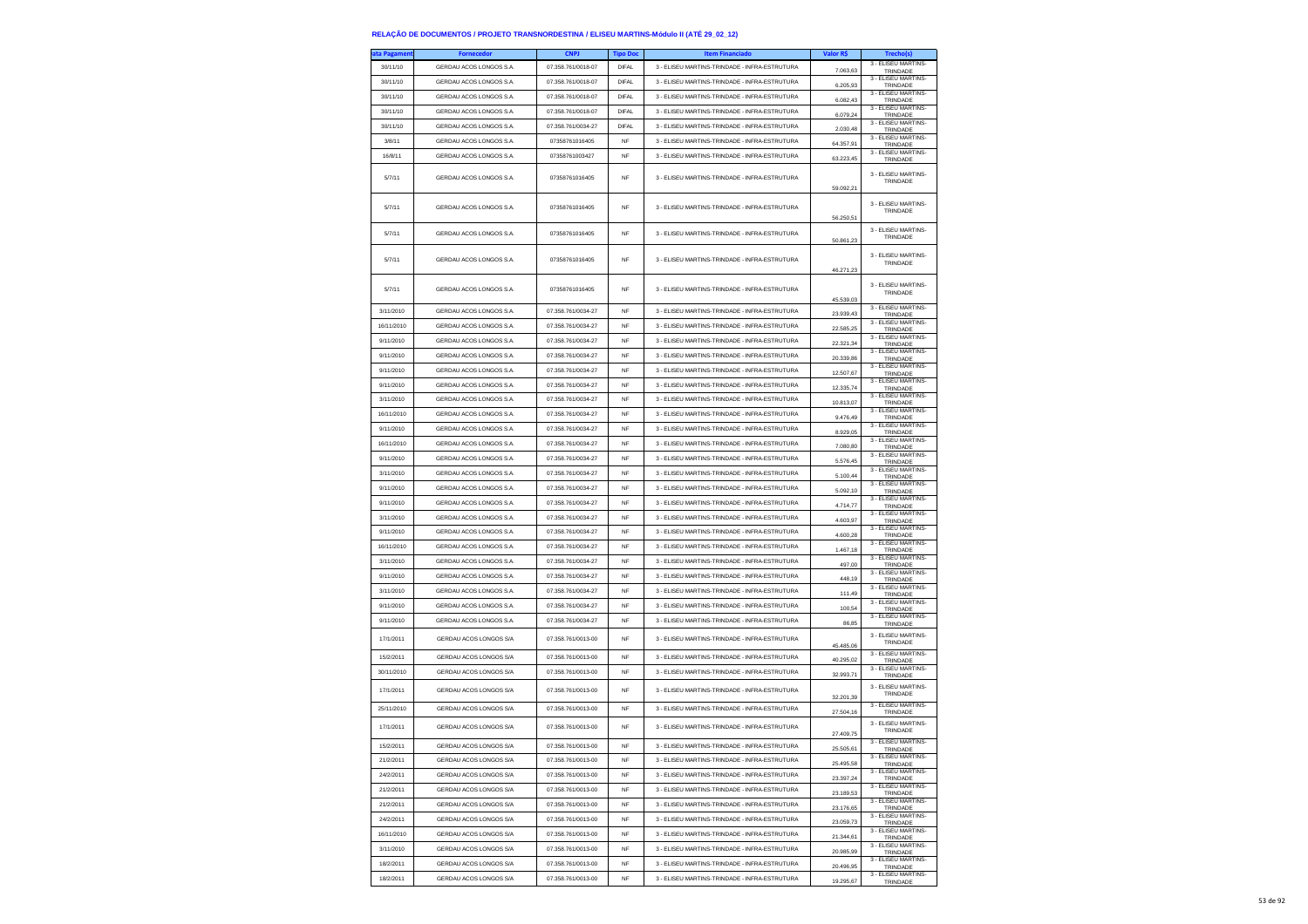| ata Pagamen <sup>.</sup> | <b>Fornecedor</b>       | <b>CNPJ</b>        | <b>Tipo Doc</b> | <b>Item Financiado</b>                        | Valor R\$ | Trecho(s)                       |
|--------------------------|-------------------------|--------------------|-----------------|-----------------------------------------------|-----------|---------------------------------|
| 30/11/10                 | GERDAU ACOS LONGOS S.A. | 07.358.761/0018-07 | DIFAL           | 3 - ELISEU MARTINS-TRINDADE - INFRA-ESTRUTURA | 7.063.63  | 3 - ELISEU MARTINS-<br>TRINDADE |
| 30/11/10                 | GERDAU ACOS LONGOS S.A. | 07.358.761/0018-07 | <b>DIFAL</b>    | 3 - ELISEU MARTINS-TRINDADE - INFRA-ESTRUTURA | 6.205,93  | 3 - ELISEU MARTINS-<br>TRINDADE |
| 30/11/10                 | GERDAU ACOS LONGOS S.A  | 07.358.761/0018-07 | <b>DIFAL</b>    | 3 - ELISEU MARTINS-TRINDADE - INFRA-ESTRUTURA | 6.082,43  | 3 - ELISEU MARTINS-<br>TRINDADE |
| 30/11/10                 | GERDAU ACOS LONGOS S.A. | 07.358.761/0018-07 | DIFAL           | 3 - ELISEU MARTINS-TRINDADE - INFRA-ESTRUTURA | 6.079.24  | 3 - ELISEU MARTINS-<br>TRINDADE |
| 30/11/10                 | GERDAU ACOS LONGOS S.A. | 07.358.761/0034-27 | <b>DIFAL</b>    | 3 - ELISEU MARTINS-TRINDADE - INFRA-ESTRUTURA | 2.030,48  | 3 - ELISEU MARTINS-<br>TRINDADE |
| 3/8/11                   | GERDAU ACOS LONGOS S.A. | 07358761016405     | <b>NF</b>       | 3 - ELISEU MARTINS-TRINDADE - INFRA-ESTRUTURA | 64.357,91 | 3 - ELISEU MARTINS-<br>TRINDADE |
| 16/8/11                  | GERDAU ACOS LONGOS S.A. | 07358761003427     | NF              | 3 - ELISEU MARTINS-TRINDADE - INFRA-ESTRUTURA | 63.223.45 | 3 - ELISEU MARTINS-<br>TRINDADE |
| 5/7/11                   | GERDAU ACOS LONGOS S.A. | 07358761016405     | <b>NF</b>       | 3 - ELISEU MARTINS-TRINDADE - INFRA-ESTRUTURA | 59.092,21 | 3 - ELISEU MARTINS-<br>TRINDADE |
| 5/7/11                   | GERDAU ACOS LONGOS S.A. | 07358761016405     | <b>NF</b>       | 3 - ELISEU MARTINS-TRINDADE - INFRA-ESTRUTURA | 56.250,51 | 3 - ELISEU MARTINS-<br>TRINDADE |
| 5/7/11                   | GERDAU ACOS LONGOS S.A. | 07358761016405     | <b>NF</b>       | 3 - ELISEU MARTINS-TRINDADE - INFRA-ESTRUTURA | 50.861,23 | 3 - ELISEU MARTINS-<br>TRINDADE |
| 5/7/11                   | GERDAU ACOS LONGOS S.A. | 07358761016405     | <b>NF</b>       | 3 - ELISEU MARTINS-TRINDADE - INFRA-ESTRUTURA | 46.271,23 | 3 - ELISEU MARTINS-<br>TRINDADE |
| 5/7/11                   | GERDAU ACOS LONGOS S.A. | 07358761016405     | <b>NF</b>       | 3 - ELISEU MARTINS-TRINDADE - INFRA-ESTRUTURA | 45.539,03 | 3 - ELISEU MARTINS-<br>TRINDADE |
| 3/11/2010                | GERDAU ACOS LONGOS S.A. | 07.358.761/0034-27 | <b>NF</b>       | 3 - ELISEU MARTINS-TRINDADE - INFRA-ESTRUTURA | 23.939,43 | 3 - ELISEU MARTINS-<br>TRINDADE |
| 16/11/2010               | GERDAU ACOS LONGOS S.A. | 07.358.761/0034-27 | <b>NF</b>       | 3 - ELISEU MARTINS-TRINDADE - INFRA-ESTRUTURA | 22.585.25 | 3 - ELISEU MARTINS-<br>TRINDADE |
| 9/11/2010                | GERDAU ACOS LONGOS S.A. | 07.358.761/0034-27 | <b>NF</b>       | 3 - ELISEU MARTINS-TRINDADE - INFRA-ESTRUTURA | 22.321,34 | 3 - ELISEU MARTINS-<br>TRINDADE |
| 9/11/2010                | GERDAU ACOS LONGOS S.A. | 07.358.761/0034-27 | <b>NF</b>       | 3 - ELISEU MARTINS-TRINDADE - INFRA-ESTRUTURA | 20,339.86 | 3 - ELISEU MARTINS-<br>TRINDADE |
| 9/11/2010                | GERDAU ACOS LONGOS S.A. | 07.358.761/0034-27 | NF              | 3 - ELISEU MARTINS-TRINDADE - INFRA-ESTRUTURA | 12.507,67 | 3 - ELISEU MARTINS-<br>TRINDADE |
| 9/11/2010                | GERDAU ACOS LONGOS S.A. | 07 358 761/0034-27 | <b>NF</b>       | 3 - FLISELLMARTINS-TRINDADE - INFRA-ESTRUTURA | 12.335,74 | 3 - ELISEU MARTINS-<br>TRINDADE |
| 3/11/2010                | GERDAU ACOS LONGOS S.A. | 07.358.761/0034-27 | <b>NF</b>       | 3 - ELISEU MARTINS-TRINDADE - INFRA-ESTRUTURA | 10.813,07 | 3 - ELISEU MARTINS-<br>TRINDADE |
| 16/11/2010               | GERDAU ACOS LONGOS S.A. | 07.358.761/0034-27 | NF              | 3 - ELISEU MARTINS-TRINDADE - INFRA-ESTRUTURA | 9.476,49  | 3 - ELISEU MARTINS-<br>TRINDADE |
| 9/11/2010                | GERDAU ACOS LONGOS S.A. | 07.358.761/0034-27 | <b>NF</b>       | 3 - ELISEU MARTINS-TRINDADE - INFRA-ESTRUTURA | 8.929,05  | 3 - ELISEU MARTINS-<br>TRINDADE |
| 16/11/2010               | GERDAU ACOS LONGOS S.A. | 07.358.761/0034-27 | <b>NF</b>       | 3 - ELISEU MARTINS-TRINDADE - INFRA-ESTRUTURA | 7.080,80  | 3 - ELISEU MARTINS-             |
| 9/11/2010                | GERDAU ACOS LONGOS S.A. | 07.358.761/0034-27 | NF              | 3 - ELISEU MARTINS-TRINDADE - INFRA-ESTRUTURA |           | TRINDADE<br>3 - ELISEU MARTINS- |
| 3/11/2010                | GERDAU ACOS LONGOS S.A. | 07.358.761/0034-27 | <b>NF</b>       | 3 - ELISEU MARTINS-TRINDADE - INFRA-ESTRUTURA | 5.576,45  | TRINDADE<br>3 - FLISEU MARTINS- |
| 9/11/2010                | GERDAU ACOS LONGOS S.A. | 07.358.761/0034-27 | <b>NF</b>       | 3 - ELISEU MARTINS-TRINDADE - INFRA-ESTRUTURA | 5.100,44  | TRINDADE<br>3 - ELISEU MARTINS- |
| 9/11/2010                | GERDAU ACOS LONGOS S.A. | 07.358.761/0034-27 | NF              | 3 - ELISEU MARTINS-TRINDADE - INFRA-ESTRUTURA | 5.092,10  | TRINDADE<br>3 - ELISEU MARTINS- |
| 3/11/2010                | GERDAU ACOS LONGOS S.A. | 07.358.761/0034-27 | <b>NF</b>       | 3 - ELISEU MARTINS-TRINDADE - INFRA-ESTRUTURA | 4.714,77  | TRINDADE<br>3 - ELISEU MARTINS- |
| 9/11/2010                | GERDAU ACOS LONGOS S.A. | 07.358.761/0034-27 | NF              | 3 - ELISEU MARTINS-TRINDADE - INFRA-ESTRUTURA | 4.603.97  | TRINDADE<br>3 - ELISEU MARTINS- |
|                          |                         |                    |                 |                                               | 4.600,28  | TRINDADE<br>3 - ELISEU MARTINS- |
| 16/11/2010               | GERDAU ACOS LONGOS S.A. | 07.358.761/0034-27 | NF              | 3 - ELISEU MARTINS-TRINDADE - INFRA-ESTRUTURA | 1.467,18  | TRINDADE<br>3 - ELISEU MARTINS- |
| 3/11/2010                | GERDAU ACOS LONGOS S.A. | 07.358.761/0034-27 | <b>NF</b>       | 3 - ELISEU MARTINS-TRINDADE - INFRA-ESTRUTURA | 497,00    | TRINDADE<br>3 - ELISEU MARTINS- |
| 9/11/2010                | GERDAU ACOS LONGOS S.A. | 07.358.761/0034-27 | <b>NF</b>       | 3 - ELISEU MARTINS-TRINDADE - INFRA-ESTRUTURA | 448,19    | TRINDADE<br>3 - ELISEU MARTINS- |
| 3/11/2010                | GERDAU ACOS LONGOS S.A. | 07.358.761/0034-27 | NF              | 3 - ELISEU MARTINS-TRINDADE - INFRA-ESTRUTURA | 111,49    | TRINDADE<br>3 - ELISEU MARTINS- |
| 9/11/2010                | GERDAU ACOS LONGOS S.A. | 07.358.761/0034-27 | <b>NF</b>       | 3 - ELISEU MARTINS-TRINDADE - INFRA-ESTRUTURA | 100.54    | TRINDADE                        |
| 9/11/2010                | GERDAU ACOS LONGOS S.A. | 07.358.761/0034-27 | <b>NF</b>       | 3 - ELISEU MARTINS-TRINDADE - INFRA-ESTRUTURA | 86,85     | 3 - ELISEU MARTINS-<br>TRINDADE |
| 17/1/2011                | GERDAU ACOS LONGOS S/A  | 07.358.761/0013-00 | <b>NF</b>       | 3 - ELISEU MARTINS-TRINDADE - INFRA-ESTRUTURA | 45.485,06 | 3 - ELISEU MARTINS-<br>TRINDADE |
| 15/2/2011                | GERDAU ACOS LONGOS S/A  | 07.358.761/0013-00 | <b>NF</b>       | 3 - FLISELLMARTINS-TRINDADE - INFRA-ESTRUTURA | 40.295,02 | 3 - ELISEU MARTINS-<br>TRINDADE |
| 30/11/2010               | GERDAU ACOS LONGOS S/A  | 07.358.761/0013-00 | <b>NF</b>       | 3 - ELISEU MARTINS-TRINDADE - INFRA-ESTRUTURA | 32.993,71 | 3 - ELISEU MARTINS-<br>TRINDADE |
| 17/1/2011                | GERDAU ACOS LONGOS S/A  | 07.358.761/0013-00 | <b>NF</b>       | 3 - ELISEU MARTINS-TRINDADE - INFRA-ESTRUTURA | 32.201,39 | 3 - ELISEU MARTINS-<br>TRINDADE |
| 25/11/2010               | GERDAU ACOS LONGOS S/A  | 07.358.761/0013-00 | NF              | 3 - ELISEU MARTINS-TRINDADE - INFRA-ESTRUTURA | 27.504,16 | 3 - ELISEU MARTINS-<br>TRINDADE |
| 17/1/2011                | GERDAU ACOS LONGOS S/A  | 07.358.761/0013-00 | <b>NF</b>       | 3 - FLISELLMARTINS-TRINDADE - INFRA-ESTRUTURA | 27,409.75 | 3 - ELISEU MARTINS-<br>TRINDADE |
| 15/2/2011                | GERDAU ACOS LONGOS S/A  | 07.358.761/0013-00 | <b>NF</b>       | 3 - ELISEU MARTINS-TRINDADE - INFRA-ESTRUTURA | 25,505.61 | 3 - ELISEU MARTINS-<br>INDAD    |
| 21/2/2011                | GERDAU ACOS LONGOS S/A  | 07.358.761/0013-00 | <b>NF</b>       | 3 - ELISEU MARTINS-TRINDADE - INFRA-ESTRUTURA | 25.495,58 | 3 - ELISEU MARTINS-<br>TRINDADE |
| 24/2/2011                | GERDAU ACOS LONGOS S/A  | 07.358.761/0013-00 | NF              | 3 - ELISEU MARTINS-TRINDADE - INFRA-ESTRUTURA | 23.397,24 | 3 - ELISEU MARTINS-<br>TRINDADE |
| 21/2/2011                | GERDAU ACOS LONGOS S/A  | 07 358 761/0013-00 | <b>NF</b>       | 3 - ELISEU MARTINS-TRINDADE - INFRA-ESTRUTURA | 23.189,53 | 3 - FLISEU MARTINS-<br>TRINDADE |
| 21/2/2011                | GERDAU ACOS LONGOS S/A  | 07.358.761/0013-00 | <b>NF</b>       | 3 - ELISEU MARTINS-TRINDADE - INFRA-ESTRUTURA | 23.176,65 | 3 - ELISEU MARTINS-<br>TRINDADE |
| 24/2/2011                | GERDAU ACOS LONGOS S/A  | 07.358.761/0013-00 | NF              | 3 - ELISEU MARTINS-TRINDADE - INFRA-ESTRUTURA | 23.059,73 | 3 - ELISEU MARTINS-<br>TRINDADE |
| 16/11/2010               | GERDAU ACOS LONGOS S/A  | 07.358.761/0013-00 | <b>NF</b>       | 3 - ELISEU MARTINS-TRINDADE - INFRA-ESTRUTURA | 21.344,61 | 3 - FLISEU MARTINS-<br>TRINDADE |
| 3/11/2010                | GERDAU ACOS LONGOS S/A  | 07.358.761/0013-00 | <b>NF</b>       | 3 - ELISEU MARTINS-TRINDADE - INFRA-ESTRUTURA | 20.985,99 | 3 - ELISEU MARTINS-<br>TRINDADE |
| 18/2/2011                | GERDAU ACOS LONGOS S/A  | 07.358.761/0013-00 | NF              | 3 - ELISEU MARTINS-TRINDADE - INFRA-ESTRUTURA | 20.496,95 | 3 - ELISEU MARTINS-<br>TRINDADE |
| 18/2/2011                | GERDAU ACOS LONGOS S/A  | 07.358.761/0013-00 | <b>NF</b>       | 3 - ELISEU MARTINS-TRINDADE - INFRA-ESTRUTURA | 19 295 67 | 3 - ELISEU MARTINS-<br>TRINDADE |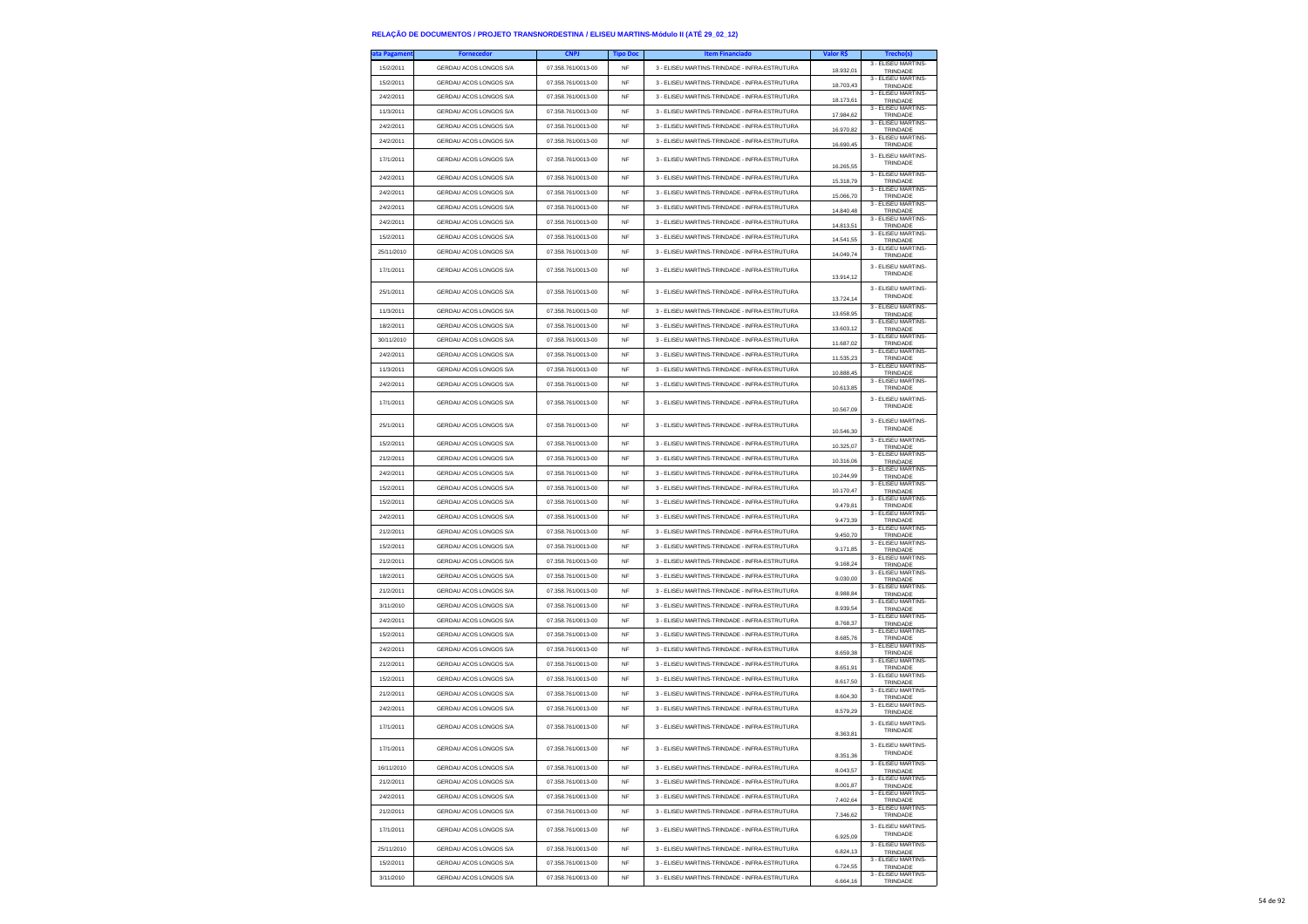| ita Pagameni | <b>Fornecedor</b>      | <b>CNPJ</b>        | <b>Tipo Doc</b> | <b>Item Financiado</b>                        | Valor R\$ |                                                        |
|--------------|------------------------|--------------------|-----------------|-----------------------------------------------|-----------|--------------------------------------------------------|
| 15/2/2011    | GERDAU ACOS LONGOS S/A | 07.358.761/0013-00 | <b>NF</b>       | 3 - ELISEU MARTINS-TRINDADE - INFRA-ESTRUTURA | 18.932.01 | 3 - ELISEU MARTINS-<br>TRINDADE                        |
| 15/2/2011    | GERDAU ACOS LONGOS S/A | 07.358.761/0013-00 | <b>NF</b>       | 3 - ELISEU MARTINS-TRINDADE - INFRA-ESTRUTURA | 18.703,43 | 3 - ELISEU MARTINS-<br>TRINDADE                        |
| 24/2/2011    | GERDAU ACOS LONGOS S/A | 07.358.761/0013-00 | NF              | 3 - ELISEU MARTINS-TRINDADE - INFRA-ESTRUTURA | 18,173.61 | 3 - ELISEU MARTINS-<br>TRINDADE                        |
| 11/3/2011    | GERDAU ACOS LONGOS S/A | 07.358.761/0013-00 | NF              | 3 - ELISEU MARTINS-TRINDADE - INFRA-ESTRUTURA | 17.984.62 | 3 - ELISEU MARTINS-<br>TRINDADE                        |
| 24/2/2011    | GERDAU ACOS LONGOS S/A | 07.358.761/0013-00 | NF              | 3 - ELISEU MARTINS-TRINDADE - INFRA-ESTRUTURA | 16.970,82 | 3 - ELISEU MARTINS-<br>TRINDADE                        |
| 24/2/2011    | GERDAU ACOS LONGOS S/A | 07.358.761/0013-00 | NF              | 3 - ELISEU MARTINS-TRINDADE - INFRA-ESTRUTURA | 16.690,45 | 3 - ELISEU MARTINS-<br>TRINDADE                        |
| 17/1/2011    | GERDAU ACOS LONGOS S/A | 07.358.761/0013-00 | <b>NF</b>       | 3 - ELISEU MARTINS-TRINDADE - INFRA-ESTRUTURA | 16.265,55 | 3 - ELISEU MARTINS-<br>TRINDADE                        |
| 24/2/2011    | GERDAU ACOS LONGOS S/A | 07.358.761/0013-00 | NF              | 3 - ELISEU MARTINS-TRINDADE - INFRA-ESTRUTURA | 15.318,79 | 3 - ELISEU MARTINS-<br>TRINDADE                        |
| 24/2/2011    | GERDAU ACOS LONGOS S/A | 07.358.761/0013-00 | NF              | 3 - ELISEU MARTINS-TRINDADE - INFRA-ESTRUTURA | 15.066,70 | 3 - ELISEU MARTINS-<br>TRINDADE                        |
| 24/2/2011    | GERDAU ACOS LONGOS S/A | 07.358.761/0013-00 | <b>NF</b>       | 3 - ELISEU MARTINS-TRINDADE - INFRA-ESTRUTURA | 14,840.48 | 3 - ELISEU MARTINS-<br>TRINDADE                        |
| 24/2/2011    | GERDAU ACOS LONGOS S/A | 07.358.761/0013-00 | NF              | 3 - ELISEU MARTINS-TRINDADE - INFRA-ESTRUTURA | 14.813,51 | 3 - ELISEU MARTINS-<br>TRINDADE                        |
| 15/2/2011    | GERDAU ACOS LONGOS S/A | 07.358.761/0013-00 | NF              | 3 - ELISEU MARTINS-TRINDADE - INFRA-ESTRUTURA | 14,541,55 | 3 - ELISEU MARTINS-<br>TRINDADE                        |
| 25/11/2010   | GERDAU ACOS LONGOS S/A | 07.358.761/0013-00 | NF              | 3 - ELISEU MARTINS-TRINDADE - INFRA-ESTRUTURA | 14,049.74 | 3 - FLISEU MARTINS-<br>TRINDADE                        |
| 17/1/2011    | GERDAU ACOS LONGOS S/A | 07.358.761/0013-00 | <b>NF</b>       | 3 - ELISEU MARTINS-TRINDADE - INFRA-ESTRUTURA | 13.914.12 | 3 - ELISEU MARTINS-<br>TRINDADE                        |
| 25/1/2011    | GERDAU ACOS LONGOS S/A | 07.358.761/0013-00 | <b>NF</b>       | 3 - ELISEU MARTINS-TRINDADE - INFRA-ESTRUTURA | 13.724,14 | 3 - ELISEU MARTINS-<br>TRINDADE                        |
| 11/3/2011    | GERDAU ACOS LONGOS S/A | 07.358.761/0013-00 | NF              | 3 - ELISEU MARTINS-TRINDADE - INFRA-ESTRUTURA | 13.658,95 | 3 - ELISEU MARTINS-<br>TRINDADE                        |
| 18/2/2011    | GERDAU ACOS LONGOS S/A | 07.358.761/0013-00 | NF              | 3 - ELISEU MARTINS-TRINDADE - INFRA-ESTRUTURA | 13.603,12 | 3 - ELISEU MARTINS-<br>TRINDADE                        |
| 30/11/2010   | GERDAU ACOS LONGOS S/A | 07.358.761/0013-00 | <b>NF</b>       | 3 - ELISEU MARTINS-TRINDADE - INFRA-ESTRUTURA | 11.687.02 | 3 - ELISEU MARTINS-<br>TRINDADE                        |
| 24/2/2011    | GERDAU ACOS LONGOS S/A | 07.358.761/0013-00 | NF              | 3 - ELISEU MARTINS-TRINDADE - INFRA-ESTRUTURA | 11.535,23 | 3 - ELISEU MARTINS-<br>TRINDADE                        |
| 11/3/2011    | GERDAU ACOS LONGOS S/A | 07.358.761/0013-00 | NF              | 3 - ELISEU MARTINS-TRINDADE - INFRA-ESTRUTURA | 10.888,45 | 3 - ELISEU MARTINS-<br>TRINDADE                        |
| 24/2/2011    | GERDAU ACOS LONGOS S/A | 07.358.761/0013-00 | <b>NF</b>       | 3 - ELISEU MARTINS-TRINDADE - INFRA-ESTRUTURA | 10.613.85 | 3 - ELISEU MARTINS-<br>TRINDADE                        |
| 17/1/2011    | GERDAU ACOS LONGOS S/A | 07.358.761/0013-00 | <b>NF</b>       | 3 - ELISEU MARTINS-TRINDADE - INFRA-ESTRUTURA | 10.567,09 | 3 - ELISEU MARTINS-<br>TRINDADE                        |
| 25/1/2011    | GERDAU ACOS LONGOS S/A | 07.358.761/0013-00 | <b>NF</b>       | 3 - ELISEU MARTINS-TRINDADE - INFRA-ESTRUTURA | 10 546 30 | 3 - FLISEU MARTINS-<br>TRINDADE                        |
| 15/2/2011    | GERDAU ACOS LONGOS S/A | 07.358.761/0013-00 | NF              | 3 - ELISEU MARTINS-TRINDADE - INFRA-ESTRUTURA | 10.325,07 | 3 - ELISEU MARTINS-<br>TRINDADE                        |
| 21/2/2011    | GERDAU ACOS LONGOS S/A | 07.358.761/0013-00 | NF              | 3 - ELISEU MARTINS-TRINDADE - INFRA-ESTRUTURA | 10,316.06 | 3 - ELISEU MARTINS-<br>TRINDADE                        |
| 24/2/2011    | GERDAU ACOS LONGOS S/A | 07.358.761/0013-00 | <b>NF</b>       | 3 - ELISEU MARTINS-TRINDADE - INFRA-ESTRUTURA | 10.244.99 | 3 - FLISEU MARTINS-<br>TRINDADE                        |
| 15/2/2011    | GERDAU ACOS LONGOS S/A | 07.358.761/0013-00 | <b>NF</b>       | 3 - ELISEU MARTINS-TRINDADE - INFRA-ESTRUTURA | 10.170.47 | 3 - ELISEU MARTINS-<br>TRINDADE                        |
| 15/2/2011    | GERDAU ACOS LONGOS S/A | 07.358.761/0013-00 | NF              | 3 - ELISEU MARTINS-TRINDADE - INFRA-ESTRUTURA | 9.479,81  | 3 - ELISEU MARTINS-<br>TRINDADE                        |
| 24/2/2011    | GERDAU ACOS LONGOS S/A | 07.358.761/0013-00 | <b>NF</b>       | 3 - ELISEU MARTINS-TRINDADE - INFRA-ESTRUTURA | 9.473.39  | 3 - ELISEU MARTINS-<br>TRINDADE                        |
| 21/2/2011    | GERDAU ACOS LONGOS S/A | 07.358.761/0013-00 | NF              | 3 - ELISEU MARTINS-TRINDADE - INFRA-ESTRUTURA | 9.450,70  | 3 - ELISEU MARTINS-<br>TRINDADE                        |
| 15/2/2011    | GERDAU ACOS LONGOS S/A | 07.358.761/0013-00 | NF              | 3 - ELISEU MARTINS-TRINDADE - INFRA-ESTRUTURA | 9.171,85  | 3 - ELISEU MARTINS-<br>TRINDADE                        |
| 21/2/2011    | GERDAU ACOS LONGOS S/A | 07.358.761/0013-00 | <b>NF</b>       | 3 - ELISEU MARTINS-TRINDADE - INFRA-ESTRUTURA | 9.168,24  | 3 - ELISEU MARTINS-<br>TRINDADE                        |
| 18/2/2011    | GERDAU ACOS LONGOS S/A | 07.358.761/0013-00 | <b>NF</b>       | 3 - ELISEU MARTINS-TRINDADE - INFRA-ESTRUTURA | 9.030,00  | 3 - ELISEU MARTINS-<br>TRINDADE                        |
| 21/2/2011    | GERDAU ACOS LONGOS S/A | 07.358.761/0013-00 | <b>NF</b>       | 3 - ELISEU MARTINS-TRINDADE - INFRA-ESTRUTURA | 8.988,84  | 3 - ELISEU MARTINS-<br>TRINDADE                        |
| 3/11/2010    | GERDAU ACOS LONGOS S/A | 07.358.761/0013-00 | <b>NF</b>       | 3 - ELISEU MARTINS-TRINDADE - INFRA-ESTRUTURA | 8.939.54  | 3 - ELISEU MARTINS-<br>TRINDADE                        |
| 24/2/2011    | GERDAU ACOS LONGOS S/A | 07.358.761/0013-00 | <b>NF</b>       | 3 - ELISEU MARTINS-TRINDADE - INFRA-ESTRUTURA | 8.768,37  | 3 - ELISEU MARTINS-<br>TRINDADE                        |
| 15/2/2011    | GERDAU ACOS LONGOS S/A | 07.358.761/0013-00 | <b>NF</b>       | 3 - ELISEU MARTINS-TRINDADE - INFRA-ESTRUTURA | 8.685,76  | 3 - ELISEU MARTINS-<br>TRINDADE                        |
| 24/2/2011    | GERDAU ACOS LONGOS S/A | 07.358.761/0013-00 | <b>NF</b>       | 3 - ELISEU MARTINS-TRINDADE - INFRA-ESTRUTURA | 8.659.38  | 3 - ELISEU MARTINS-<br>TRINDADE                        |
| 21/2/2011    | GERDAU ACOS LONGOS S/A | 07.358.761/0013-00 | <b>NF</b>       | 3 - ELISEU MARTINS-TRINDADE - INFRA-ESTRUTURA | 8.651,91  | 3 - ELISEU MARTINS-<br>TRINDADE                        |
| 15/2/2011    | GERDAU ACOS LONGOS S/A | 07.358.761/0013-00 | <b>NF</b>       | 3 - ELISEU MARTINS-TRINDADE - INFRA-ESTRUTURA | 8.617,50  | 3 - ELISEU MARTINS-<br>TRINDADE                        |
| 21/2/2011    | GERDAU ACOS LONGOS S/A | 07.358.761/0013-00 | NF              | 3 - ELISEU MARTINS-TRINDADE - INFRA-ESTRUTURA | 8.604,30  | 3 - ELISEU MARTINS-<br>TRINDADE<br>3 - FLISEU MARTINS- |
| 24/2/2011    | GERDAU ACOS LONGOS S/A | 07.358.761/0013-00 | NF              | 3 - ELISEU MARTINS-TRINDADE - INFRA-ESTRUTURA | 8,579.29  | TRINDADE                                               |
| 17/1/2011    | GERDAU ACOS LONGOS S/A | 07.358.761/0013-00 | <b>NF</b>       | 3 - ELISEU MARTINS-TRINDADE - INFRA-ESTRUTURA | 8.363,81  | 3 - ELISEU MARTINS-<br>TRINDADE                        |
| 17/1/2011    | GERDAU ACOS LONGOS S/A | U7.358.761/UU13-UU |                 | s - ELISEU MARTINS-TRINDADE - INFRA-ESTRUTURA | 8.351,36  | 3 - ELISEU MARTINS-<br>TRINDADE                        |
| 16/11/2010   | GERDAU ACOS LONGOS S/A | 07.358.761/0013-00 | <b>NF</b>       | 3 - ELISEU MARTINS-TRINDADE - INFRA-ESTRUTURA | 8.043,57  | 3 - ELISEU MARTINS-<br>TRINDADE                        |
| 21/2/2011    | GERDAU ACOS LONGOS S/A | 07.358.761/0013-00 | NF              | 3 - ELISEU MARTINS-TRINDADE - INFRA-ESTRUTURA | 8.001.87  | 3 - ELISEU MARTINS-<br>TRINDADE<br>3 - FLISEU MARTINS- |
| 24/2/2011    | GERDAU ACOS LONGOS S/A | 07.358.761/0013-00 | NF              | 3 - ELISEU MARTINS-TRINDADE - INFRA-ESTRUTURA | 7.402,64  | TRINDADE                                               |
| 21/2/2011    | GERDAU ACOS LONGOS S/A | 07.358.761/0013-00 | NF              | 3 - ELISEU MARTINS-TRINDADE - INFRA-ESTRUTURA | 7.346,62  | 3 - ELISEU MARTINS-<br>TRINDADE                        |
| 17/1/2011    | GERDAU ACOS LONGOS S/A | 07.358.761/0013-00 | NF              | 3 - ELISEU MARTINS-TRINDADE - INFRA-ESTRUTURA | 6.925.09  | 3 - ELISEU MARTINS-<br>TRINDADE                        |
| 25/11/2010   | GERDAU ACOS LONGOS S/A | 07.358.761/0013-00 | NF              | 3 - FLISELLMARTINS-TRINDADE - INFRA-ESTRUTURA | 6.824,13  | 3 - ELISEU MARTINS-<br>TRINDADE<br>3 - ELISEU MARTINS- |
| 15/2/2011    | GERDAU ACOS LONGOS S/A | 07.358.761/0013-00 | NF              | 3 - ELISEU MARTINS-TRINDADE - INFRA-ESTRUTURA | 6.724,55  | TRINDADE<br>3 - ELISEU MARTINS-                        |
| 3/11/2010    | GERDAU ACOS LONGOS S/A | 07.358.761/0013-00 | <b>NF</b>       | 3 - ELISEU MARTINS-TRINDADE - INFRA-ESTRUTURA | 6.664.16  | TRINDADE                                               |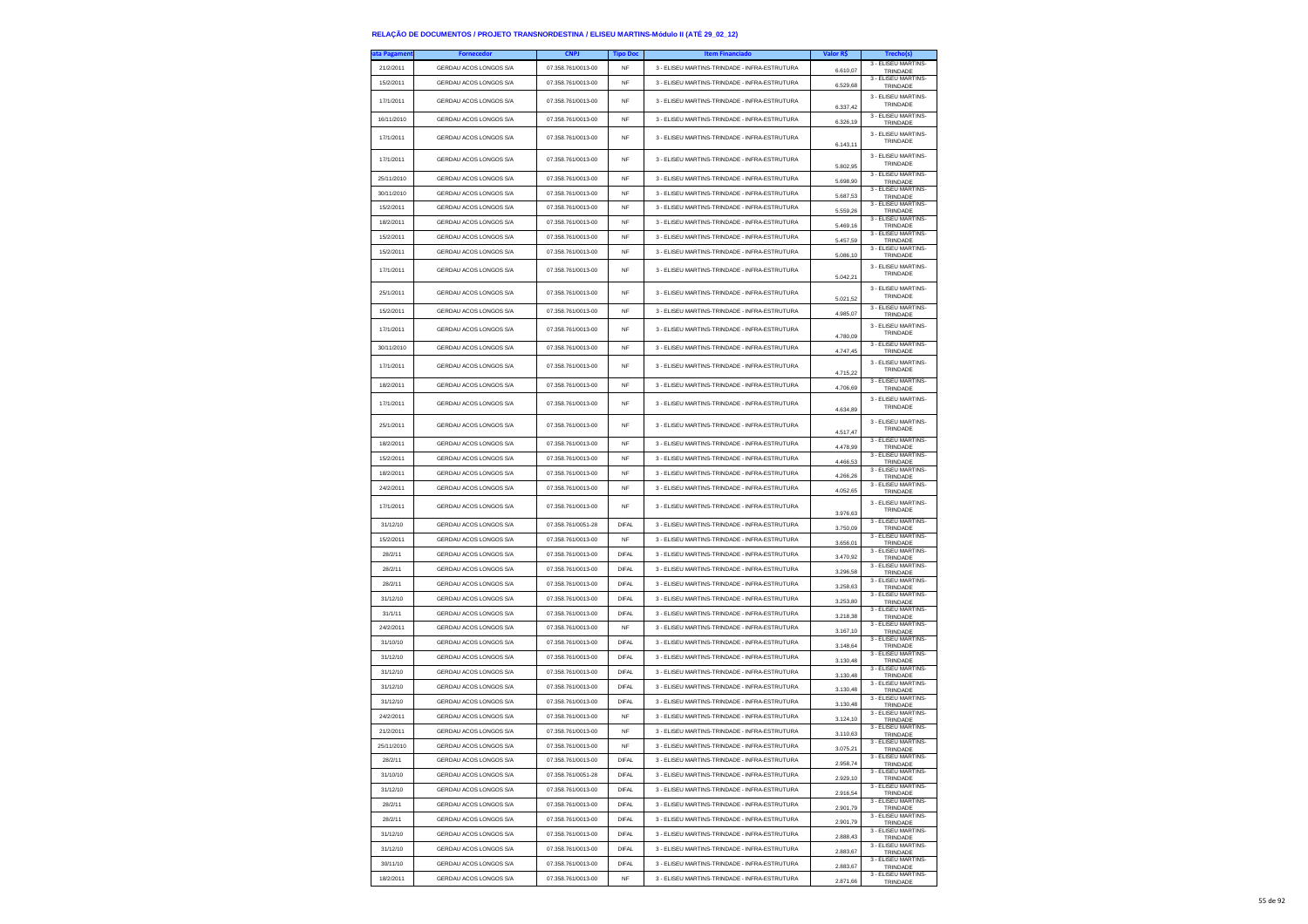| ta Pagament | <b>Fornecedor</b>      | <b>CNPJ</b>        | <b>Tipo Doc</b> | <b>Item Financiado</b>                        | Valor R\$ | Trecho(s)                              |
|-------------|------------------------|--------------------|-----------------|-----------------------------------------------|-----------|----------------------------------------|
| 21/2/2011   | GERDAU ACOS LONGOS S/A | 07.358.761/0013-00 | NF              | 3 - ELISEU MARTINS-TRINDADE - INFRA-ESTRUTURA | 6.610,07  | 3 - ELISEU MARTINS-<br>TRINDADE        |
| 15/2/2011   | GERDAU ACOS LONGOS S/A | 07.358.761/0013-00 | NF              | 3 - ELISEU MARTINS-TRINDADE - INFRA-ESTRUTURA |           | 3 - FLISEU MARTINS-                    |
|             |                        |                    |                 |                                               | 6,529.68  | TRINDADE                               |
| 17/1/2011   | GERDAU ACOS LONGOS S/A | 07.358.761/0013-00 | <b>NF</b>       | 3 - ELISEU MARTINS-TRINDADE - INFRA-ESTRUTURA | 6.337,42  | 3 - ELISEU MARTINS-<br>TRINDADE        |
| 16/11/2010  | GERDAU ACOS LONGOS S/A | 07.358.761/0013-00 | NF              | 3 - ELISEU MARTINS-TRINDADE - INFRA-ESTRUTURA |           | 3 - ELISEU MARTINS-                    |
|             |                        |                    |                 |                                               | 6,326.19  | TRINDADE<br>3 - FLISEU MARTINS-        |
| 17/1/2011   | GERDAU ACOS LONGOS S/A | 07.358.761/0013-00 | NF              | 3 - ELISEU MARTINS-TRINDADE - INFRA-ESTRUTURA | 6.143,11  | TRINDADE                               |
|             |                        |                    |                 |                                               |           | 3 - ELISEU MARTINS                     |
| 17/1/2011   | GERDAU ACOS LONGOS S/A | 07 358 761/0013-00 | <b>NF</b>       | 3 - ELISEU MARTINS-TRINDADE - INFRA-ESTRUTURA | 5.802.95  | TRINDADE                               |
| 25/11/2010  | GERDAU ACOS LONGOS S/A | 07.358.761/0013-00 | <b>NF</b>       | 3 - ELISEU MARTINS-TRINDADE - INFRA-ESTRUTURA | 5.698,90  | 3 - ELISEU MARTINS-<br>TRINDADE        |
| 30/11/2010  | GERDAU ACOS LONGOS S/A | 07.358.761/0013-00 | <b>NF</b>       | 3 - ELISEU MARTINS-TRINDADE - INFRA-ESTRUTURA | 5.687,53  | 3 - ELISEU MARTINS-                    |
| 15/2/2011   | GERDAU ACOS LONGOS S/A | 07.358.761/0013-00 | <b>NF</b>       | 3 - ELISEU MARTINS-TRINDADE - INFRA-ESTRUTURA |           | TRINDADE<br>3 - FLISEU MARTINS-        |
|             |                        |                    |                 |                                               | 5.559.26  | TRINDADE<br>3 - ELISEU MARTINS-        |
| 18/2/2011   | GERDAU ACOS LONGOS S/A | 07.358.761/0013-00 | <b>NF</b>       | 3 - ELISEU MARTINS-TRINDADE - INFRA-ESTRUTURA | 5.469,16  | TRINDADE<br>3 - ELISEU MARTINS         |
| 15/2/2011   | GERDAU ACOS LONGOS S/A | 07.358.761/0013-00 | <b>NF</b>       | 3 - ELISEU MARTINS-TRINDADE - INFRA-ESTRUTURA | 5.457,59  | TRINDADE<br>3 - ELISEU MARTINS         |
| 15/2/2011   | GERDAU ACOS LONGOS S/A | 07.358.761/0013-00 | <b>NF</b>       | 3 - ELISEU MARTINS-TRINDADE - INFRA-ESTRUTURA | 5.086.10  | TRINDADE                               |
| 17/1/2011   | GERDAU ACOS LONGOS S/A | 07.358.761/0013-00 | NF              | 3 - ELISEU MARTINS-TRINDADE - INFRA-ESTRUTURA |           | 3 - FLISEU MARTINS-<br>TRINDADE        |
|             |                        |                    |                 |                                               | 5.042,21  |                                        |
| 25/1/2011   | GERDAU ACOS LONGOS S/A | 07.358.761/0013-00 | <b>NF</b>       | 3 - ELISEU MARTINS-TRINDADE - INFRA-ESTRUTURA |           | 3 - ELISEU MARTINS-<br>TRINDADE        |
| 15/2/2011   | GERDAU ACOS LONGOS S/A | 07.358.761/0013-00 | <b>NF</b>       | 3 - ELISEU MARTINS-TRINDADE - INFRA-ESTRUTURA | 5.021.52  | 3 - ELISEU MARTINS-                    |
|             |                        |                    |                 |                                               | 4.985,07  | TRINDADE                               |
| 17/1/2011   | GERDAU ACOS LONGOS S/A | 07.358.761/0013-00 | NF              | 3 - ELISEU MARTINS-TRINDADE - INFRA-ESTRUTURA | 4.780,09  | 3 - ELISEU MARTINS-<br>TRINDADE        |
| 30/11/2010  | GERDAU ACOS LONGOS S/A | 07.358.761/0013-00 | <b>NF</b>       | 3 - ELISEU MARTINS-TRINDADE - INFRA-ESTRUTURA |           | 3 - ELISEU MARTINS-                    |
|             |                        |                    |                 |                                               | 4.747.45  | TRINDADE<br>3 - FLISEU MARTINS-        |
| 17/1/2011   | GERDAU ACOS LONGOS S/A | 07.358.761/0013-00 | NF              | 3 - ELISEU MARTINS-TRINDADE - INFRA-ESTRUTURA | 4.715,22  | TRINDADE                               |
| 18/2/2011   | GERDAU ACOS LONGOS S/A | 07.358.761/0013-00 | <b>NF</b>       | 3 - ELISEU MARTINS-TRINDADE - INFRA-ESTRUTURA | 4.706.69  | 3 - ELISEU MARTINS-                    |
|             |                        |                    |                 |                                               |           | TRINDADE<br>3 - ELISEU MARTINS-        |
| 17/1/2011   | GERDAU ACOS LONGOS S/A | 07.358.761/0013-00 | NF              | 3 - ELISEU MARTINS-TRINDADE - INFRA-ESTRUTURA | 4.634,89  | TRINDADE                               |
| 25/1/2011   | GERDAU ACOS LONGOS S/A | 07.358.761/0013-00 | NF              | 3 - ELISEU MARTINS-TRINDADE - INFRA-ESTRUTURA |           | 3 - ELISEU MARTINS-                    |
|             |                        |                    |                 |                                               | 4.517.47  | TRINDADE                               |
| 18/2/2011   | GERDAU ACOS LONGOS S/A | 07.358.761/0013-00 | NF              | 3 - ELISEU MARTINS-TRINDADE - INFRA-ESTRUTURA | 4.478,99  | 3 - ELISEU MARTINS-<br>TRINDADE        |
| 15/2/2011   | GERDAU ACOS LONGOS S/A | 07.358.761/0013-00 | NF              | 3 - ELISEU MARTINS-TRINDADE - INFRA-ESTRUTURA | 4.466,53  | 3 - ELISEU MARTINS-<br>TRINDADE        |
| 18/2/2011   | GERDAU ACOS LONGOS S/A | 07.358.761/0013-00 | <b>NF</b>       | 3 - ELISEU MARTINS-TRINDADE - INFRA-ESTRUTURA | 4.266,26  | 3 - ELISEU MARTINS                     |
| 24/2/2011   | GERDAU ACOS LONGOS S/A | 07.358.761/0013-00 | <b>NF</b>       | 3 - ELISEU MARTINS-TRINDADE - INFRA-ESTRUTURA |           | TRINDADE<br>3 - ELISEU MARTINS-        |
|             |                        |                    |                 |                                               | 4.052,65  | TRINDADE<br>3 - ELISEU MARTINS-        |
| 17/1/2011   | GERDAU ACOS LONGOS S/A | 07.358.761/0013-00 | <b>NF</b>       | 3 - ELISEU MARTINS-TRINDADE - INFRA-ESTRUTURA | 3.976,63  | TRINDADE                               |
| 31/12/10    | GERDAU ACOS LONGOS S/A | 07.358.761/0051-28 | <b>DIFAL</b>    | 3 - ELISEU MARTINS-TRINDADE - INFRA-ESTRUTURA | 3.750,09  | 3 - ELISEU MARTINS-                    |
| 15/2/2011   | GERDAU ACOS LONGOS S/A | 07.358.761/0013-00 | NF              | 3 - ELISEU MARTINS-TRINDADE - INFRA-ESTRUTURA |           | TRINDADE<br>3 - ELISEU MARTINS-        |
| 28/2/11     | GERDAU ACOS LONGOS S/A | 07.358.761/0013-00 | DIFAL           | 3 - ELISEU MARTINS-TRINDADE - INFRA-ESTRUTURA | 3.656,01  | TRINDADE<br>3 - ELISEU MARTINS         |
|             |                        |                    |                 |                                               | 3.470,92  | TRINDADE<br>3 - ELISEU MARTINS-        |
| 28/2/11     | GERDAU ACOS LONGOS S/A | 07.358.761/0013-00 | <b>DIFAL</b>    | 3 - ELISEU MARTINS-TRINDADE - INFRA-ESTRUTURA | 3.296.58  | TRINDADE<br>3 - ELISEU MARTINS-        |
| 28/2/11     | GERDAU ACOS LONGOS S/A | 07.358.761/0013-00 | <b>DIFAL</b>    | 3 - ELISEU MARTINS-TRINDADE - INFRA-ESTRUTURA | 3.258,63  | TRINDADE                               |
| 31/12/10    | GERDAU ACOS LONGOS S/A | 07.358.761/0013-00 | DIFAL           | 3 - ELISEU MARTINS-TRINDADE - INFRA-ESTRUTURA | 3.253,80  | 3 - ELISEU MARTINS-<br>TRINDADE        |
| 31/1/11     | GERDAU ACOS LONGOS S/A | 07.358.761/0013-00 | <b>DIFAL</b>    | 3 - ELISEU MARTINS-TRINDADE - INFRA-ESTRUTURA | 3.218,38  | 3 - ELISEU MARTINS-<br>TRINDADE        |
| 24/2/2011   | GERDAU ACOS LONGOS S/A | 07.358.761/0013-00 | NF              | 3 - ELISEU MARTINS-TRINDADE - INFRA-ESTRUTURA | 3.167,10  | 3 - ELISEU MARTINS-                    |
| 31/10/10    | GERDAU ACOS LONGOS S/A | 07.358.761/0013-00 | <b>DIFAL</b>    | 3 - ELISEU MARTINS-TRINDADE - INFRA-ESTRUTURA |           | TRINDADE<br>3 - ELISEU MARTINS-        |
| 31/12/10    | GERDAU ACOS LONGOS S/A | 07.358.761/0013-00 | <b>DIFAL</b>    | 3 - ELISEU MARTINS-TRINDADE - INFRA-ESTRUTURA | 3.148,64  | TRINDADE<br>3 - ELISEU MARTINS         |
|             |                        |                    |                 |                                               | 3.130,48  | TRINDADE<br>3 - ELISEU MARTINS-        |
| 31/12/10    | GERDAU ACOS LONGOS S/A | 07.358.761/0013-00 | DIFAL           | 3 - ELISEU MARTINS-TRINDADE - INFRA-ESTRUTURA | 3.130,48  | TRINDADE<br>3 - ELISEU MARTINS-        |
| 31/12/10    | GERDAU ACOS LONGOS S/A | 07.358.761/0013-00 | DIFAL           | 3 - ELISEU MARTINS-TRINDADE - INFRA-ESTRUTURA | 3.130,48  | TRINDADE                               |
| 31/12/10    | GERDAU ACOS LONGOS S/A | 07.358.761/0013-00 | <b>DIFAL</b>    | 3 - ELISEU MARTINS-TRINDADE - INFRA-ESTRUTURA | 3 130 48  | 3 - ELISEU MARTINS-<br>TRINDADE        |
| 24/2/2011   | GERDAU ACOS LONGOS S/A | 07.358.761/0013-00 | NF              | 3 - ELISEU MARTINS-TRINDADE - INFRA-ESTRUTURA | 3.124,10  | 3 - ELISEU MARTINS-<br>TRINDADE        |
| 21/2/2011   | GERDAU ACOS LONGOS S/A | 07 358 761/0013-00 | <b>NF</b>       | 3 - ELISEU MARTINS-TRINDADE - INFRA-ESTRUTURA | 3.110,63  | 3 - ELISEU MARTINS-<br>TRINDADE        |
| 25/11/2010  | GERDAU ACOS LONGOS S/A | 07 358 761/0013-00 | NF              | 3 - ELISEU MARTINS-TRINDADE - INFRA-ESTRUTURA |           | 3 - ELISEU MARTINS-                    |
| 28/2/11     | GERDAU ACOS LONGOS S/A | 07.358.761/0013-00 | <b>DIFAL</b>    | 3 - ELISEU MARTINS-TRINDADE - INFRA-ESTRUTURA | 3.075.21  | <b>TRINDADE</b><br>3 - ELISEU MARTINS- |
|             |                        |                    |                 |                                               | 2.958,74  | TRINDADE<br>3 - ELISEU MARTINS-        |
| 31/10/10    | GERDAU ACOS LONGOS S/A | 07.358.761/0051-28 | <b>DIFAL</b>    | 3 - ELISEU MARTINS-TRINDADE - INFRA-ESTRUTURA | 2.929,10  | TRINDADE<br>3 - ELISEU MARTINS-        |
| 31/12/10    | GERDAU ACOS LONGOS S/A | 07.358.761/0013-00 | DIFAL           | 3 - ELISEU MARTINS-TRINDADE - INFRA-ESTRUTURA | 2.916,54  | TRINDADE                               |
| 28/2/11     | GERDAU ACOS LONGOS S/A | 07.358.761/0013-00 | <b>DIFAL</b>    | 3 - ELISEU MARTINS-TRINDADE - INFRA-ESTRUTURA | 2.901,79  | 3 - FLISEU MARTINS-<br>TRINDADE        |
| 28/2/11     | GERDAU ACOS LONGOS S/A | 07.358.761/0013-00 | <b>DIFAL</b>    | 3 - ELISEU MARTINS-TRINDADE - INFRA-ESTRUTURA | 2.901,79  | 3 - ELISEU MARTINS-<br>TRINDADE        |
| 31/12/10    | GERDAU ACOS LONGOS S/A | 07.358.761/0013-00 | DIFAL           | 3 - ELISEU MARTINS-TRINDADE - INFRA-ESTRUTURA | 2.888.43  | 3 - FLISEU MARTINS-                    |
| 31/12/10    | GERDAU ACOS LONGOS S/A | 07.358.761/0013-00 | <b>DIFAL</b>    | 3 - ELISEU MARTINS-TRINDADE - INFRA-ESTRUTURA |           | TRINDADE<br>3 - FLISEU MARTINS-        |
|             |                        |                    |                 |                                               | 2.883,67  | TRINDADE<br>3 - ELISEU MARTINS-        |
| 30/11/10    | GERDAU ACOS LONGOS S/A | 07.358.761/0013-00 | <b>DIFAL</b>    | 3 - ELISEU MARTINS-TRINDADE - INFRA-ESTRUTURA | 2.883,67  | TRINDADE<br>3 - FLISEU MARTINS-        |
| 18/2/2011   | GERDAU ACOS LONGOS S/A | 07.358.761/0013-00 | NF              | 3 - ELISEU MARTINS-TRINDADE - INFRA-ESTRUTURA | 2.871.66  | TRINDADE                               |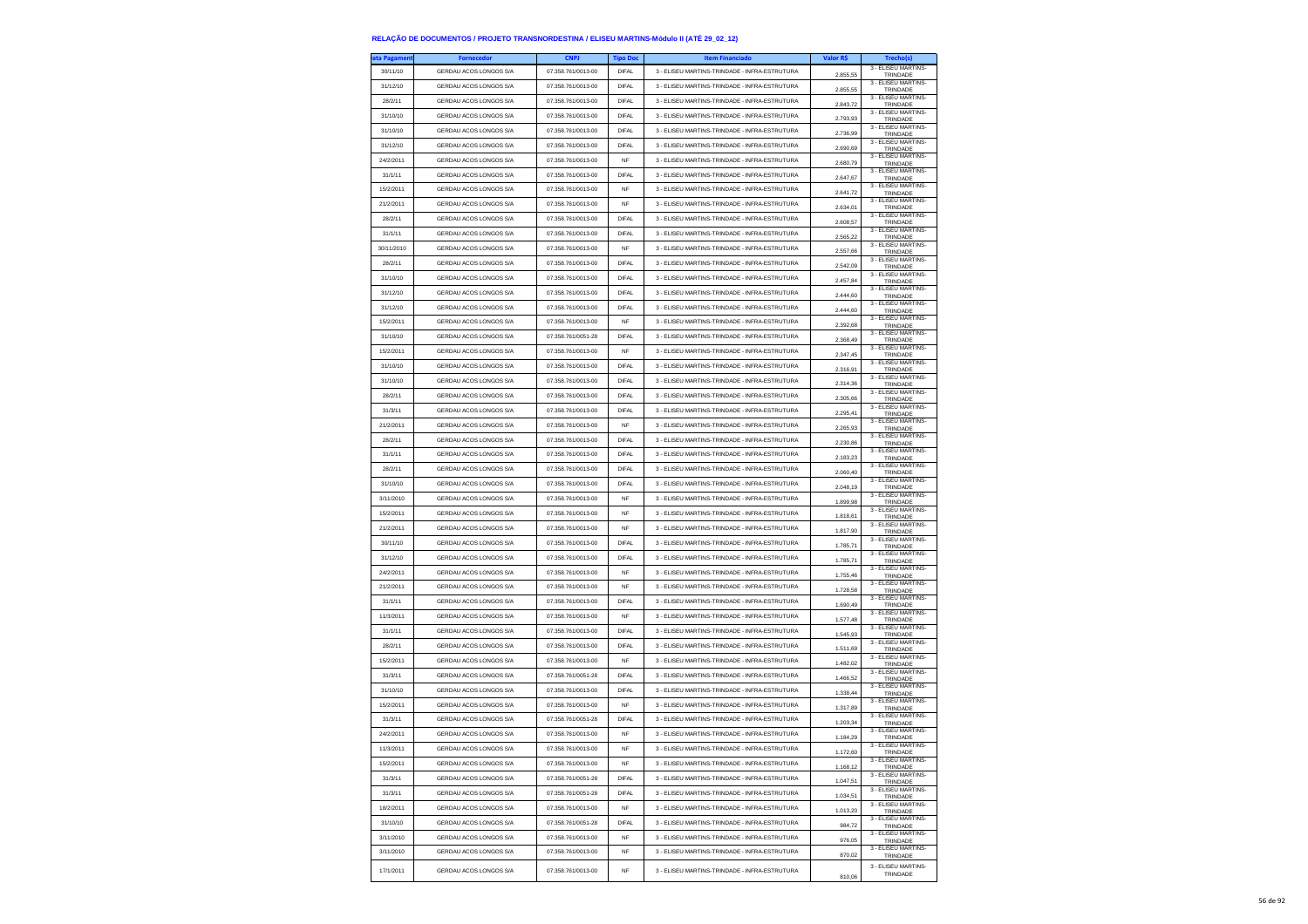| ıta Pagamen' | <b>Fornecedor</b>      | <b>CNPJ</b>        | <b>Tipo Doc</b> | <b>Item Financiado</b>                        | Valor R\$ | Trecho(s)                       |
|--------------|------------------------|--------------------|-----------------|-----------------------------------------------|-----------|---------------------------------|
| 30/11/10     | GERDAU ACOS LONGOS S/A | 07.358.761/0013-00 | <b>DIFAL</b>    | 3 - ELISEU MARTINS-TRINDADE - INFRA-ESTRUTURA | 2.855.55  | 3 - ELISEU MARTINS-<br>TRINDADE |
| 31/12/10     | GERDAU ACOS LONGOS S/A | 07.358.761/0013-00 | <b>DIFAL</b>    | 3 - ELISEU MARTINS-TRINDADE - INFRA-ESTRUTURA | 2.855,55  | 3 - ELISEU MARTINS-<br>TRINDADE |
| 28/2/11      | GERDAU ACOS LONGOS S/A | 07.358.761/0013-00 | <b>DIFAL</b>    | 3 - ELISEU MARTINS-TRINDADE - INFRA-ESTRUTURA |           | 3 - FLISEU MARTINS-             |
| 31/10/10     | GERDAU ACOS LONGOS S/A | 07.358.761/0013-00 | <b>DIFAL</b>    | 3 - ELISEU MARTINS-TRINDADE - INFRA-ESTRUTURA | 2.843.72  | TRINDADE<br>3 - ELISEU MARTINS- |
| 31/10/10     | GERDAU ACOS LONGOS S/A | 07.358.761/0013-00 | DIFAI           | 3 - ELISEU MARTINS-TRINDADE - INFRA-ESTRUTURA | 2.793,93  | TRINDADE<br>3 - ELISEU MARTINS- |
|              |                        |                    |                 |                                               | 2.736,99  | TRINDADE<br>3 - ELISEU MARTINS- |
| 31/12/10     | GERDAU ACOS LONGOS S/A | 07.358.761/0013-00 | <b>DIFAL</b>    | 3 - ELISEU MARTINS-TRINDADE - INFRA-ESTRUTURA | 2.690.69  | TRINDADE<br>3 - FLISEU MARTINS- |
| 24/2/2011    | GERDAU ACOS LONGOS S/A | 07.358.761/0013-00 | <b>NF</b>       | 3 - ELISEU MARTINS-TRINDADE - INFRA-ESTRUTURA | 2.680,79  | TRINDADE                        |
| 31/1/11      | GERDAU ACOS LONGOS S/A | 07.358.761/0013-00 | <b>DIFAL</b>    | 3 - ELISEU MARTINS-TRINDADE - INFRA-ESTRUTURA | 2.647,67  | 3 - ELISEU MARTINS-<br>TRINDADE |
| 15/2/2011    | GERDAU ACOS LONGOS S/A | 07.358.761/0013-00 | NF              | 3 - ELISEU MARTINS-TRINDADE - INFRA-ESTRUTURA | 2.641,72  | 3 - ELISEU MARTINS-<br>TRINDADE |
| 21/2/2011    | GERDAU ACOS LONGOS S/A | 07.358.761/0013-00 | <b>NF</b>       | 3 - ELISEU MARTINS-TRINDADE - INFRA-ESTRUTURA | 2.634,01  | 3 - ELISEU MARTINS-<br>TRINDADE |
| 28/2/11      | GERDAU ACOS LONGOS S/A | 07 358 761/0013-00 | <b>DIFAL</b>    | 3 - ELISEU MARTINS-TRINDADE - INFRA-ESTRUTURA | 2.608,57  | 3 - ELISEU MARTINS-<br>TRINDADE |
| 31/1/11      | GERDAU ACOS LONGOS S/A | 07.358.761/0013-00 | <b>DIFAL</b>    | 3 - ELISEU MARTINS-TRINDADE - INFRA-ESTRUTURA | 2.565,22  | 3 - ELISEU MARTINS-<br>TRINDADE |
| 30/11/2010   | GERDAU ACOS LONGOS S/A | 07 358 761/0013-00 | <b>NF</b>       | 3 - ELISEU MARTINS-TRINDADE - INFRA-ESTRUTURA | 2.557,66  | 3 - FLISEU MARTINS-<br>TRINDADE |
| 28/2/11      | GERDAU ACOS LONGOS S/A | 07.358.761/0013-00 | <b>DIFAL</b>    | 3 - ELISEU MARTINS-TRINDADE - INFRA-ESTRUTURA | 2.542,09  | 3 - ELISEU MARTINS-<br>TRINDADE |
| 31/10/10     | GERDAU ACOS LONGOS S/A | 07.358.761/0013-00 | <b>DIFAL</b>    | 3 - ELISEU MARTINS-TRINDADE - INFRA-ESTRUTURA |           | 3 - ELISEU MARTINS-             |
| 31/12/10     | GERDAU ACOS LONGOS S/A | 07.358.761/0013-00 | <b>DIFAL</b>    | 3 - ELISEU MARTINS-TRINDADE - INFRA-ESTRUTURA | 2.457,84  | TRINDADE<br>3 - ELISEU MARTINS- |
| 31/12/10     | GERDAU ACOS LONGOS S/A | 07.358.761/0013-00 | <b>DIFAL</b>    | 3 - ELISEU MARTINS-TRINDADE - INFRA-ESTRUTURA | 2.444.60  | TRINDADE<br>3 - ELISEU MARTINS- |
|              |                        |                    |                 |                                               | 2.444,60  | TRINDADE<br>3 - ELISEU MARTINS- |
| 15/2/2011    | GERDAU ACOS LONGOS S/A | 07.358.761/0013-00 | NF              | 3 - ELISEU MARTINS-TRINDADE - INFRA-ESTRUTURA | 2.392,68  | TRINDADE<br>3 - ELISEU MARTINS- |
| 31/10/10     | GERDAU ACOS LONGOS S/A | 07.358.761/0051-28 | <b>DIFAL</b>    | 3 - ELISEU MARTINS-TRINDADE - INFRA-ESTRUTURA | 2.368.49  | TRINDADE<br>3 - ELISEU MARTINS- |
| 15/2/2011    | GERDAU ACOS LONGOS S/A | 07.358.761/0013-00 | <b>NF</b>       | 3 - ELISEU MARTINS-TRINDADE - INFRA-ESTRUTURA | 2.347,45  | TRINDADE<br>3 - FLISEU MARTINS- |
| 31/10/10     | GERDAU ACOS LONGOS S/A | 07.358.761/0013-00 | <b>DIFAL</b>    | 3 - ELISEU MARTINS-TRINDADE - INFRA-ESTRUTURA | 2.316,91  | TRINDADE                        |
| 31/10/10     | GERDAU ACOS LONGOS S/A | 07.358.761/0013-00 | <b>DIFAL</b>    | 3 - ELISEU MARTINS-TRINDADE - INFRA-ESTRUTURA | 2.314.36  | 3 - ELISEU MARTINS-<br>TRINDADE |
| 28/2/11      | GERDAU ACOS LONGOS S/A | 07.358.761/0013-00 | <b>DIFAL</b>    | 3 - ELISEU MARTINS-TRINDADE - INFRA-ESTRUTURA | 2.305.66  | 3 - ELISEU MARTINS-<br>TRINDADE |
| 31/3/11      | GERDAU ACOS LONGOS S/A | 07.358.761/0013-00 | <b>DIFAL</b>    | 3 - ELISEU MARTINS-TRINDADE - INFRA-ESTRUTURA | 2.295,41  | 3 - ELISEU MARTINS-<br>TRINDADE |
| 21/2/2011    | GERDAU ACOS LONGOS S/A | 07.358.761/0013-00 | <b>NF</b>       | 3 - ELISEU MARTINS-TRINDADE - INFRA-ESTRUTURA | 2.265.93  | 3 - ELISEU MARTINS-<br>TRINDADE |
| 28/2/11      | GERDAU ACOS LONGOS S/A | 07.358.761/0013-00 | <b>DIFAL</b>    | 3 - ELISEU MARTINS-TRINDADE - INFRA-ESTRUTURA | 2.230,86  | 3 - ELISEU MARTINS-<br>TRINDADE |
| 31/1/11      | GERDAU ACOS LONGOS S/A | 07.358.761/0013-00 | <b>DIFAL</b>    | 3 - ELISEU MARTINS-TRINDADE - INFRA-ESTRUTURA |           | 3 - ELISEU MARTINS-             |
| 28/2/11      | GERDAU ACOS LONGOS S/A | 07.358.761/0013-00 | DIFAL           | 3 - ELISEU MARTINS-TRINDADE - INFRA-ESTRUTURA | 2.183,23  | TRINDADE<br>3 - ELISEU MARTINS- |
| 31/10/10     | GERDAU ACOS LONGOS S/A | 07.358.761/0013-00 | <b>DIFAL</b>    | 3 - ELISEU MARTINS-TRINDADE - INFRA-ESTRUTURA | 2.060.40  | TRINDADE<br>3 - ELISEU MARTINS- |
| 3/11/2010    | GERDAU ACOS LONGOS S/A | 07 358 761/0013-00 | <b>NF</b>       | 3 - ELISEU MARTINS-TRINDADE - INFRA-ESTRUTURA | 2.048,19  | TRINDADE<br>3 - ELISEU MARTINS- |
|              |                        |                    |                 |                                               | 1.899,98  | TRINDADE<br>3 - ELISEU MARTINS- |
| 15/2/2011    | GERDAU ACOS LONGOS S/A | 07.358.761/0013-00 | <b>NF</b>       | 3 - ELISEU MARTINS-TRINDADE - INFRA-ESTRUTURA | 1.818,61  | TRINDADE<br>3 - ELISEU MARTINS- |
| 21/2/2011    | GERDAU ACOS LONGOS S/A | 07.358.761/0013-00 | <b>NF</b>       | 3 - ELISEU MARTINS-TRINDADE - INFRA-ESTRUTURA | 1.817,90  | TRINDADE<br>3 - ELISEU MARTINS- |
| 30/11/10     | GERDAU ACOS LONGOS S/A | 07.358.761/0013-00 | <b>DIFAL</b>    | 3 - ELISEU MARTINS-TRINDADE - INFRA-ESTRUTURA | 1.785,71  | TRINDADE<br>3 - ELISEU MARTINS- |
| 31/12/10     | GERDAU ACOS LONGOS S/A | 07.358.761/0013-00 | DIFAL           | 3 - ELISEU MARTINS-TRINDADE - INFRA-ESTRUTURA | 1.785.71  | TRINDADE                        |
| 24/2/2011    | GERDAU ACOS LONGOS S/A | 07.358.761/0013-00 | <b>NF</b>       | 3 - ELISEU MARTINS-TRINDADE - INFRA-ESTRUTURA | 1.755,46  | 3 - ELISEU MARTINS-<br>TRINDADE |
| 21/2/2011    | GERDAU ACOS LONGOS S/A | 07.358.761/0013-00 | <b>NF</b>       | 3 - ELISEU MARTINS-TRINDADE - INFRA-ESTRUTURA | 1.728,58  | 3 - ELISEU MARTINS-<br>TRINDADE |
| 31/1/11      | GERDAU ACOS LONGOS S/A | 07.358.761/0013-00 | DIFAL           | 3 - ELISEU MARTINS-TRINDADE - INFRA-ESTRUTURA | 1.690,49  | 3 - ELISEU MARTINS-<br>TRINDADE |
| 11/3/2011    | GERDAU ACOS LONGOS S/A | 07.358.761/0013-00 | <b>NF</b>       | 3 - ELISEU MARTINS-TRINDADE - INFRA-ESTRUTURA | 1.577,48  | 3 - ELISEU MARTINS-<br>TRINDADE |
| 31/1/11      | GERDAU ACOS LONGOS S/A | 07.358.761/0013-00 | <b>DIFAL</b>    | 3 - ELISEU MARTINS-TRINDADE - INFRA-ESTRUTURA | 1.545,93  | 3 - ELISEU MARTINS-<br>TRINDADE |
| 28/2/11      | GERDAU ACOS LONGOS S/A | 07.358.761/0013-00 | <b>DIFAL</b>    | 3 - ELISEU MARTINS-TRINDADE - INFRA-ESTRUTURA | 1.511,69  | 3 - ELISEU MARTINS-<br>TRINDADE |
| 15/2/2011    | GERDAU ACOS LONGOS S/A | 07.358.761/0013-00 | <b>NF</b>       | 3 - ELISEU MARTINS-TRINDADE - INFRA-ESTRUTURA |           | 3 - ELISEU MARTINS-             |
| 31/3/11      | GERDAU ACOS LONGOS S/A | 07 358 761/0051-28 | <b>DIFAL</b>    | 3 - ELISEU MARTINS-TRINDADE - INFRA-ESTRUTURA | 1.482,02  | TRINDADE<br>3 - ELISEU MARTINS- |
| 31/10/10     | GERDAU ACOS LONGOS S/A | 07.358.761/0013-00 | <b>DIFAL</b>    | 3 - ELISEU MARTINS-TRINDADE - INFRA-ESTRUTURA | 1.466,52  | TRINDADE<br>3 - ELISEU MARTINS- |
| 15/2/2011    | GERDAU ACOS LONGOS S/A | 07.358.761/0013-00 | <b>NF</b>       | 3 - ELISEU MARTINS-TRINDADE - INFRA-ESTRUTURA | 1.338,44  | TRINDADE<br>3 - ELISEU MARTINS- |
|              |                        |                    |                 |                                               | 1,317.89  | TRINDADE<br>3 - ELISEU MARTINS- |
| 31/3/11      | GERDAU ACOS LONGOS S/A | 07.358.761/0051-28 | DIFAI           | 3 - ELISEU MARTINS-TRINDADE - INFRA-ESTRUTURA | 1.203,34  | TRINDADE<br>3 - ELISEU MARTINS- |
| 24/2/2011    | GERDAU ACOS LONGOS S/A | 07.358.761/0013-00 | <b>NF</b>       | 3 - ELISEU MARTINS-TRINDADE - INFRA-ESTRUTURA | 1.184,29  | TRINDADE<br>3 - FLISEU MARTINS- |
| 11/3/2011    | GERDAU ACOS LONGOS S/A | 07 358 761/0013-00 | <b>NF</b>       | 3 - ELISEU MARTINS-TRINDADE - INFRA-ESTRUTURA | 1.172,60  | TRINDADE<br>3 - ELISEU MARTINS- |
| 15/2/2011    | GERDAU ACOS LONGOS S/A | 07.358.761/0013-00 | NF              | 3 - FLISELLMARTINS-TRINDADE - INFRA-ESTRUTURA | 1.168,12  | TRINDADE                        |
| 31/3/11      | GERDAU ACOS LONGOS S/A | 07.358.761/0051-28 | DIFAL           | 3 - ELISEU MARTINS-TRINDADE - INFRA-ESTRUTURA | 1.047,51  | 3 - ELISEU MARTINS-<br>TRINDADE |
| 31/3/11      | GERDAU ACOS LONGOS S/A | 07.358.761/0051-28 | <b>DIFAL</b>    | 3 - ELISEU MARTINS-TRINDADE - INFRA-ESTRUTURA | 1 034 51  | 3 - FLISEU MARTINS-<br>TRINDADE |
| 18/2/2011    | GERDAU ACOS LONGOS S/A | 07.358.761/0013-00 | NF              | 3 - ELISEU MARTINS-TRINDADE - INFRA-ESTRUTURA | 1.013,20  | 3 - ELISEU MARTINS-<br>TRINDADE |
| 31/10/10     | GERDAU ACOS LONGOS S/A | 07.358.761/0051-28 | DIFAL           | 3 - ELISEU MARTINS-TRINDADE - INFRA-ESTRUTURA | 984,72    | 3 - ELISEU MARTINS-<br>TRINDADE |
| 3/11/2010    | GERDAU ACOS LONGOS S/A | 07.358.761/0013-00 | <b>NF</b>       | 3 - ELISEU MARTINS-TRINDADE - INFRA-ESTRUTURA | 976.05    | 3 - ELISEU MARTINS-<br>TRINDADE |
| 3/11/2010    | GERDAU ACOS LONGOS S/A | 07 358 761/0013-00 | <b>NF</b>       | 3 - ELISEU MARTINS-TRINDADE - INFRA-ESTRUTURA | 870,02    | 3 - ELISEU MARTINS-<br>TRINDADE |
| 17/1/2011    | GERDAU ACOS LONGOS S/A | 07.358.761/0013-00 | <b>NF</b>       | 3 - ELISEU MARTINS-TRINDADE - INFRA-ESTRUTURA |           | 3 - ELISEU MARTINS-             |
|              |                        |                    |                 |                                               | 810,06    | TRINDADE                        |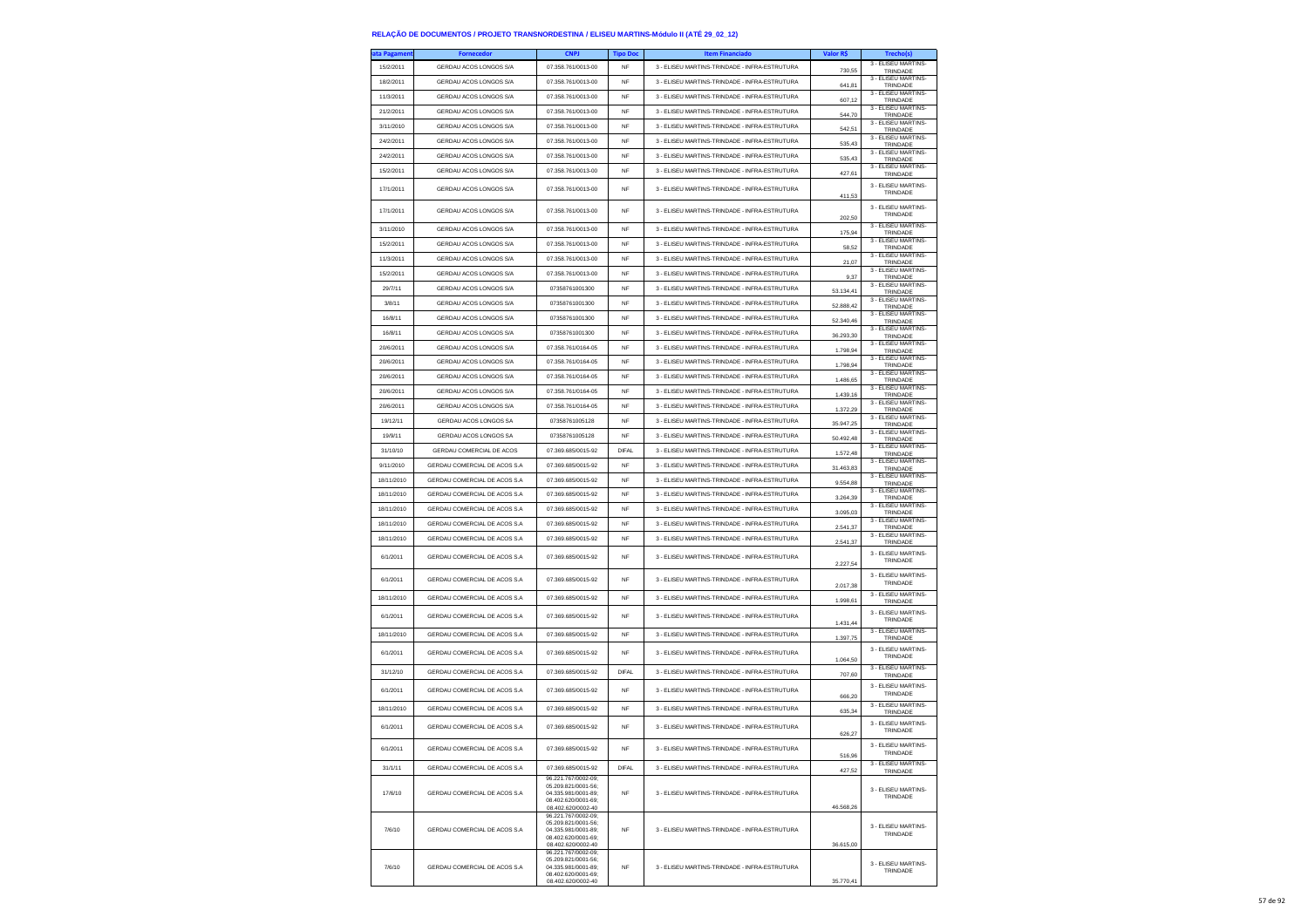| ata Pagamen | <b>Fornecedor</b>             | <b>CNPJ</b>                                                                                                    | <b>Tipo Doc</b> | <b>Item Financiado</b>                           | Valor R\$        |                                             |
|-------------|-------------------------------|----------------------------------------------------------------------------------------------------------------|-----------------|--------------------------------------------------|------------------|---------------------------------------------|
| 15/2/2011   | GERDAU ACOS LONGOS S/A        | 07.358.761/0013-00                                                                                             | <b>NF</b>       | 3 - ELISEU MARTINS-TRINDADE - INFRA-ESTRUTURA    | 730.55           | 3 - ELISEU MARTINS-<br>TRINDADE             |
| 18/2/2011   | GERDAU ACOS LONGOS S/A        | 07.358.761/0013-00                                                                                             | <b>NF</b>       | 3 - ELISEU MARTINS-TRINDADE - INFRA-ESTRUTURA    | 641,81           | 3 - ELISEU MARTINS-<br>TRINDADE             |
| 11/3/2011   | GERDAU ACOS LONGOS S/A        | 07.358.761/0013-00                                                                                             | <b>NF</b>       | 3 - ELISEU MARTINS-TRINDADE - INFRA-ESTRUTURA    | 607,12           | 3 - ELISEU MARTINS-<br>TRINDADE             |
| 21/2/2011   | GERDAU ACOS LONGOS S/A        | 07.358.761/0013-00                                                                                             | <b>NF</b>       | 3 - ELISEU MARTINS-TRINDADE - INFRA-ESTRUTURA    | 544,70           | 3 - ELISEU MARTINS-<br>TRINDADE             |
| 3/11/2010   | GERDAU ACOS LONGOS S/A        | 07.358.761/0013-00                                                                                             | <b>NF</b>       | 3 - ELISEU MARTINS-TRINDADE - INFRA-ESTRUTURA    | 542,51           | 3 - ELISEU MARTINS-<br>TRINDADE             |
| 24/2/2011   | GERDAU ACOS LONGOS S/A        | 07 358 761/0013-00                                                                                             | <b>NF</b>       | 3 - ELISEU MARTINS-TRINDADE - INFRA-ESTRUTURA    | 535,43           | 3 - ELISEU MARTINS-<br>TRINDADE             |
| 24/2/2011   | GERDAU ACOS LONGOS S/A        | 07.358.761/0013-00                                                                                             | NF              | 3 - ELISEU MARTINS-TRINDADE - INFRA-ESTRUTURA    | 535.43           | 3 - ELISEU MARTINS-<br>TRINDADE             |
| 15/2/2011   | GERDAU ACOS LONGOS S/A        | 07.358.761/0013-00                                                                                             | <b>NF</b>       | 3 - ELISEU MARTINS-TRINDADE - INFRA-ESTRUTURA    | 427,61           | 3 - ELISEU MARTINS-<br>TRINDADE             |
| 17/1/2011   | GERDAU ACOS LONGOS S/A        | 07.358.761/0013-00                                                                                             | <b>NF</b>       | 3 - ELISEU MARTINS-TRINDADE - INFRA-ESTRUTURA    | 411,53           | 3 - ELISEU MARTINS-<br>TRINDADE             |
| 17/1/2011   | GERDAU ACOS LONGOS S/A        | 07.358.761/0013-00                                                                                             | <b>NF</b>       | 3 - ELISEU MARTINS-TRINDADE - INFRA-ESTRUTURA    | 202,50           | 3 - ELISEU MARTINS<br>TRINDADE              |
| 3/11/2010   | GERDAU ACOS LONGOS S/A        | 07 358 761/0013-00                                                                                             | <b>NF</b>       | 3 - ELISEU MARTINS-TRINDADE - INFRA-ESTRUTURA    | 175,94           | 3 - ELISEU MARTINS-<br>TRINDADE             |
| 15/2/2011   | GERDAU ACOS LONGOS S/A        | 07.358.761/0013-00                                                                                             | NF              | 3 - ELISEU MARTINS-TRINDADE - INFRA-ESTRUTURA    | 58.52            | 3 - ELISEU MARTINS-<br>TRINDADE             |
| 11/3/2011   | GERDAU ACOS LONGOS S/A        | 07.358.761/0013-00                                                                                             | <b>NF</b>       | 3 - ELISEU MARTINS-TRINDADE - INFRA-ESTRUTURA    | 21,07            | 3 - ELISEU MARTINS-<br>TRINDADE             |
| 15/2/2011   | GERDAU ACOS LONGOS S/A        | 07.358.761/0013-00                                                                                             | <b>NF</b>       | 3 - ELISEU MARTINS-TRINDADE - INFRA-ESTRUTURA    | 9,37             | 3 - ELISEU MARTINS-<br>TRINDADE             |
| 29/7/11     | GERDAU ACOS LONGOS S/A        | 07358761001300                                                                                                 | NF              | 3 - ELISEU MARTINS-TRINDADE - INFRA-ESTRUTURA    | 53.134,41        | 3 - ELISEU MARTINS-<br>TRINDADE             |
| 3/8/11      | GERDAU ACOS LONGOS S/A        | 07358761001300                                                                                                 | <b>NF</b>       | 3 - ELISEU MARTINS-TRINDADE - INFRA-ESTRUTURA    | 52.888,42        | 3 - ELISEU MARTINS-<br>TRINDADE             |
| 16/8/11     | GERDAU ACOS LONGOS S/A        | 07358761001300                                                                                                 | NF              | 3 - ELISEU MARTINS-TRINDADE - INFRA-ESTRUTURA    | 52.340,46        | 3 - ELISEU MARTINS-<br>TRINDADE             |
| 16/8/11     | GERDAU ACOS LONGOS S/A        | 07358761001300                                                                                                 | NF              | 3 - ELISEU MARTINS-TRINDADE - INFRA-ESTRUTURA    | 36.293,30        | 3 - ELISEU MARTINS-<br>TRINDADE             |
| 20/6/2011   | GERDAU ACOS LONGOS S/A        | 07.358.761/0164-05                                                                                             | <b>NF</b>       | 3 - ELISEU MARTINS-TRINDADE - INFRA-ESTRUTURA    | 1.798,94         | 3 - ELISEU MARTINS-<br>TRINDADE             |
| 20/6/2011   | GERDAU ACOS LONGOS S/A        | 07.358.761/0164-05                                                                                             | <b>NF</b>       | 3 - ELISEU MARTINS-TRINDADE - INFRA-ESTRUTURA    | 1.798,94         | 3 - ELISEU MARTINS-<br>TRINDADE             |
| 20/6/2011   | GERDAU ACOS LONGOS S/A        | 07.358.761/0164-05                                                                                             | NF              | 3 - ELISEU MARTINS-TRINDADE - INFRA-ESTRUTURA    | 1.486,65         | 3 - ELISEU MARTINS-<br>TRINDADE             |
| 20/6/2011   | GERDAU ACOS LONGOS S/A        | 07.358.761/0164-05                                                                                             | <b>NF</b>       | 3 - ELISEU MARTINS-TRINDADE - INFRA-ESTRUTURA    | 1,439.16         | 3 - ELISEU MARTINS-<br>TRINDADE             |
| 20/6/2011   | GERDAU ACOS LONGOS S/A        | 07.358.761/0164-05                                                                                             | <b>NF</b>       | 3 - ELISEU MARTINS-TRINDADE - INFRA-ESTRUTURA    | 1.372.29         | 3 - ELISEU MARTINS-<br>TRINDADE             |
| 19/12/11    | GERDAU ACOS LONGOS SA         | 07358761005128                                                                                                 | <b>NF</b>       | 3 - ELISEU MARTINS-TRINDADE - INFRA-ESTRUTURA    | 35.947,25        | 3 - ELISEU MARTINS-<br>TRINDADE             |
| 19/9/11     | GERDAU ACOS LONGOS SA         | 07358761005128                                                                                                 | <b>NF</b>       | 3 - ELISEU MARTINS-TRINDADE - INFRA-ESTRUTURA    | 50.492.48        | 3 - ELISEU MARTINS-<br>TRINDADE             |
| 31/10/10    | GERDAU COMERCIAL DE ACOS      | 07.369.685/0015-92                                                                                             | <b>DIFAL</b>    | 3 - ELISEU MARTINS-TRINDADE - INFRA-ESTRUTURA    | 1.572,48         | 3 - ELISEU MARTINS-<br>TRINDADE             |
| 9/11/2010   | GERDAU COMERCIAL DE ACOS S.A  | 07.369.685/0015-92                                                                                             | NF              | 3 - ELISEU MARTINS-TRINDADE - INFRA-ESTRUTURA    | 31.463,83        | 3 - ELISEU MARTINS-<br>TRINDADE             |
| 18/11/2010  | GERDAU COMERCIAL DE ACOS S.A  | 07.369.685/0015-92                                                                                             | <b>NF</b>       | 3 - ELISEU MARTINS-TRINDADE - INFRA-ESTRUTURA    | 9,554.88         | 3 - ELISEU MARTINS-<br>TRINDADE             |
| 18/11/2010  | GERDAU COMERCIAL DE ACOS S.A. | 07.369.685/0015-92                                                                                             | <b>NF</b>       | 3 - FLISEU MARTINS-TRINDADE - INFRA-ESTRUTURA    | 3.264,39         | 3 - ELISEU MARTINS-<br>TRINDADE             |
| 18/11/2010  | GERDAU COMERCIAL DE ACOS S.A  | 07.369.685/0015-92                                                                                             | NF              | 3 - ELISEU MARTINS-TRINDADE - INFRA-ESTRUTURA    | 3.095,03         | 3 - ELISEU MARTINS-<br>TRINDADE             |
| 18/11/2010  | GERDAU COMERCIAL DE ACOS S.A  | 07.369.685/0015-92                                                                                             | <b>NF</b>       | 3 - ELISEU MARTINS-TRINDADE - INFRA-ESTRUTURA    | 2.541,37         | 3 - ELISEU MARTINS-<br>TRINDADE             |
| 18/11/2010  | GERDAU COMERCIAL DE ACOS S.A. | 07.369.685/0015-92                                                                                             | <b>NF</b>       | 3 - ELISEU MARTINS-TRINDADE - INFRA-ESTRUTURA    | 2.541,37         | 3 - ELISEU MARTINS-<br>TRINDADE             |
| 6/1/2011    | GERDAU COMERCIAL DE ACOS S.A. | 07.369.685/0015-92                                                                                             | <b>NF</b>       | 3 - ELISEU MARTINS-TRINDADE - INFRA-ESTRUTURA    | 2.227.54         | 3 - ELISEU MARTINS-<br>TRINDADE             |
| 6/1/2011    | GERDAU COMERCIAL DE ACOS S.A  | 07.369.685/0015-92                                                                                             | <b>NF</b>       | 3 - ELISEU MARTINS-TRINDADE - INFRA-ESTRUTURA    | 2.017,38         | 3 - ELISEU MARTINS-<br>TRINDADE             |
| 18/11/2010  | GERDAU COMERCIAL DE ACOS S.A  | 07.369.685/0015-92                                                                                             | NF              | 3 - ELISEU MARTINS-TRINDADE - INFRA-ESTRUTURA    | 1.998.61         | 3 - ELISEU MARTINS-<br>TRINDADE             |
| 6/1/2011    | GERDAU COMERCIAL DE ACOS S.A  | 07.369.685/0015-92                                                                                             | <b>NF</b>       | 3 - ELISEU MARTINS-TRINDADE - INFRA-ESTRUTURA    |                  | 3 - ELISEU MARTINS-<br>TRINDADE             |
| 18/11/2010  | GERDAU COMERCIAL DE ACOS S.A  | 07.369.685/0015-92                                                                                             | NF              | 3 - ELISEU MARTINS-TRINDADE - INFRA-ESTRUTURA    | 1.431,44         | 3 - ELISEU MARTINS-                         |
| 6/1/2011    | GERDAU COMERCIAL DE ACOS S.A  | 07.369.685/0015-92                                                                                             | <b>NF</b>       | 3 - ELISEU MARTINS-TRINDADE - INFRA-ESTRUTURA    | 1.397,75         | TRINDADE<br>3 - ELISEU MARTINS-<br>TRINDADE |
| 31/12/10    | GERDAU COMERCIAL DE ACOS S.A. | 07.369.685/0015-92                                                                                             | <b>DIFAL</b>    | 3 - ELISEU MARTINS-TRINDADE - INFRA-ESTRUTURA    | 1.064.50         | 3 - ELISEU MARTINS-                         |
| 6/1/2011    | GERDAU COMERCIAL DE ACOS S.A. | 07.369.685/0015-92                                                                                             | <b>NF</b>       | 3 - ELISEU MARTINS-TRINDADE - INFRA-ESTRUTURA    | 707,60           | TRINDADE<br>3 - ELISEU MARTINS-<br>TRINDADE |
| 18/11/2010  | GERDAU COMERCIAL DE ACOS S.A. | 07.369.685/0015-92                                                                                             | <b>NF</b>       | 3 - ELISEU MARTINS-TRINDADE - INFRA-ESTRUTURA    | 666,20<br>635,34 | 3 - ELISEU MARTINS-                         |
| 6/1/2011    | GERDAU COMERCIAL DE ACOS S.A  | 07.369.685/0015-92                                                                                             | <b>NF</b>       | 3 - ELISEU MARTINS-TRINDADE - INFRA-ESTRUTURA    | 626,27           | TRINDADE<br>3 - ELISEU MARTINS-<br>TRINDADE |
| 6/1/2011    | GERDAU COMERCIAL DE ACOS S.A  | 07.369.685/0015-92                                                                                             |                 | - ELISEU MARTINS-TRINDADE<br>- INFRA-ESIRU I URA | 516,96           | 3 - ELISEU MARTINS-<br>TRINDADE             |
| 31/1/11     | GERDAU COMERCIAL DE ACOS S.A  | 07.369.685/0015-92                                                                                             | <b>DIFAL</b>    | 3 - ELISEU MARTINS-TRINDADE - INFRA-ESTRUTURA    | 427,52           | 3 - ELISEU MARTINS-<br>TRINDADE             |
| 17/6/10     | GERDAU COMERCIAL DE ACOS S.A. | 96.221.767/0002-09:<br>05.209.821/0001-56:<br>04.335.981/0001-89;<br>08.402.620/0001-69;<br>08.402.620/0002-40 | NF              | 3 - FLISELLMARTINS-TRINDADE - INFRA-ESTRUTURA    | 46.568,26        | 3 - ELISEU MARTINS-<br>TRINDADE             |
| 7/6/10      | GERDAU COMERCIAL DE ACOS S.A  | 96.221.767/0002-09:<br>05.209.821/0001-56:<br>04.335.981/0001-89:<br>08.402.620/0001-69;<br>08.402.620/0002-40 | NF              | 3 - ELISEU MARTINS-TRINDADE - INFRA-ESTRUTURA    | 36.615,00        | 3 - ELISEU MARTINS-<br>TRINDADE             |
| 7/6/10      | GERDAU COMERCIAL DE ACOS S.A. | 96.221.767/0002-09;<br>05.209.821/0001-56:<br>04.335.981/0001-89:<br>08.402.620/0001-69:<br>08.402.620/0002-40 | NF              | 3 - FLISELLMARTINS-TRINDADE - INFRA-ESTRUTURA    | 35 770 41        | 3 - ELISEU MARTINS-<br>TRINDADE             |
|             |                               |                                                                                                                |                 |                                                  |                  |                                             |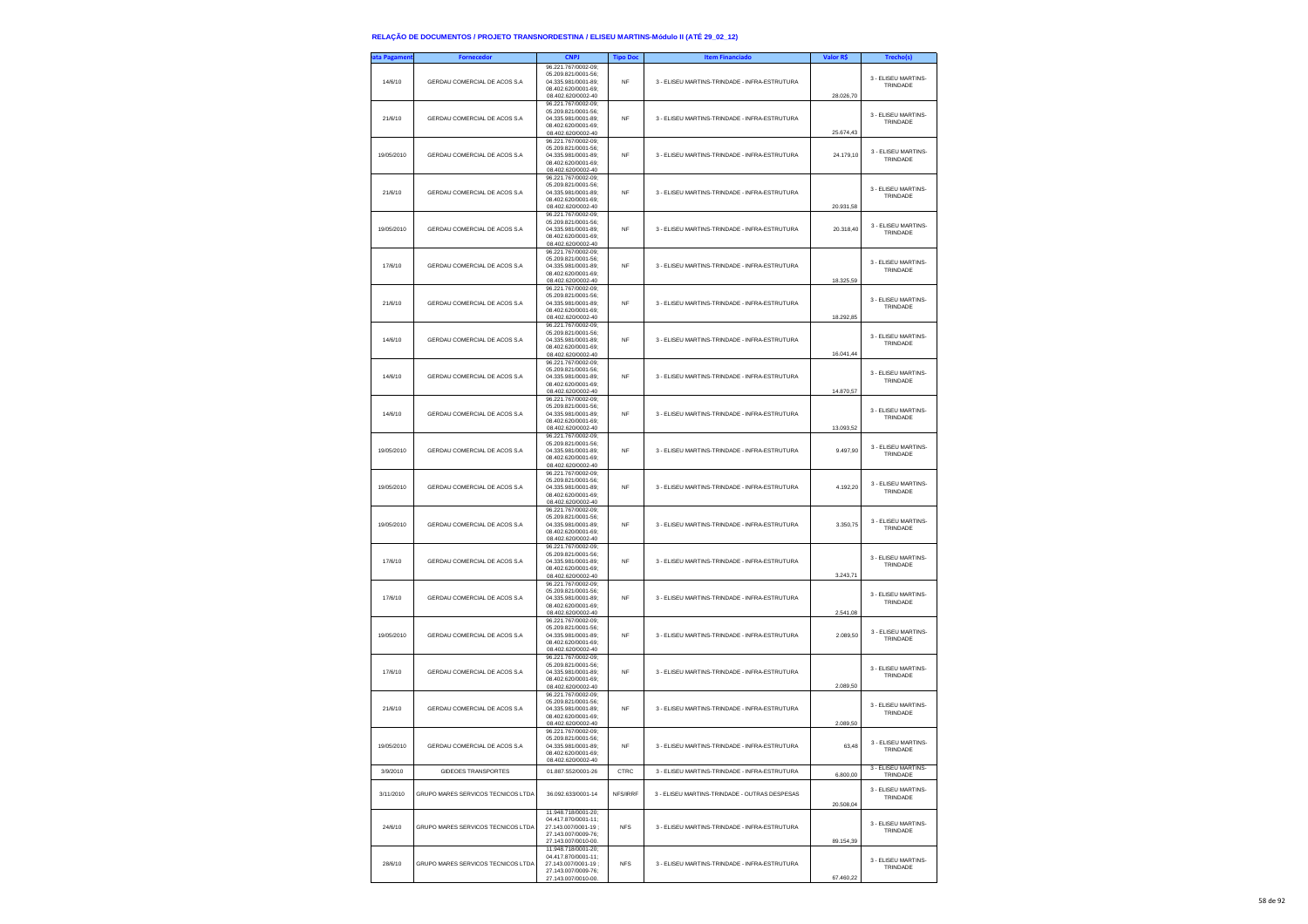| ata Pagameni | Fornecedor                         | <b>CNPJ</b>                                                                                                      | <b>Tipo Doc</b> | <b>Item Financiado</b>                        | Valor R\$ | Trecho(s)                               |
|--------------|------------------------------------|------------------------------------------------------------------------------------------------------------------|-----------------|-----------------------------------------------|-----------|-----------------------------------------|
| 14/6/10      | GERDAU COMERCIAL DE ACOS S.A.      | 96.221.767/0002-09;<br>05.209.821/0001-56:<br>04.335.981/0001-89:<br>08.402.620/0001-69:<br>08.402.620/0002-40   | <b>NF</b>       | 3 - FLISEU MARTINS-TRINDADE - INFRA-ESTRUTURA | 28.026.70 | 3 - ELISEU MARTINS-<br>TRINDADE         |
| 21/6/10      | GERDAU COMERCIAL DE ACOS S.A       | 96.221.767/0002-09;<br>05.209.821/0001-56;<br>04.335.981/0001-89;<br>08.402.620/0001-69:<br>08.402.620/0002-40   | <b>NF</b>       | 3 - ELISEU MARTINS-TRINDADE - INFRA-ESTRUTURA | 25.674,43 | 3 - ELISEU MARTINS-<br>TRINDADE         |
| 19/05/2010   | GERDAU COMERCIAL DE ACOS S.A       | 96.221.767/0002-09;<br>05.209.821/0001-56;<br>04.335.981/0001-89;<br>08.402.620/0001-69;<br>08.402.620/0002-40   | <b>NF</b>       | 3 - ELISEU MARTINS-TRINDADE - INFRA-ESTRUTURA | 24.179,10 | 3 - FLISEU MARTINS-<br>TRINDADE         |
| 21/6/10      | GERDAU COMERCIAL DE ACOS S.A       | 96.221.767/0002-09:<br>05.209.821/0001-56;<br>04.335.981/0001-89;<br>08.402.620/0001-69;<br>08.402.620/0002-40   | <b>NF</b>       | 3 - ELISEU MARTINS-TRINDADE - INFRA-ESTRUTURA | 20.931,58 | 3 - ELISEU MARTINS-<br>TRINDADE         |
| 19/05/2010   | GERDAU COMERCIAL DE ACOS S.A.      | 96.221.767/0002-09:<br>05.209.821/0001-56;<br>04.335.981/0001-89;<br>08.402.620/0001-69;<br>08.402.620/0002-40   | NF              | 3 - ELISEU MARTINS-TRINDADE - INFRA-ESTRUTURA | 20.318,40 | 3 - ELISEU MARTINS-<br>TRINDADE         |
| 17/6/10      | GERDAU COMERCIAL DE ACOS S.A       | 96.221.767/0002-09:<br>05.209.821/0001-56:<br>04.335.981/0001-89;<br>08.402.620/0001-69;<br>08.402.620/0002-40   | <b>NF</b>       | 3 - ELISEU MARTINS-TRINDADE - INFRA-ESTRUTURA | 18.325,59 | 3 - ELISEU MARTINS-<br>TRINDADE         |
| 21/6/10      | GERDAU COMERCIAL DE ACOS S.A.      | 96.221.767/0002-09;<br>05.209.821/0001-56:<br>04.335.981/0001-89:<br>08.402.620/0001-69;<br>08.402.620/0002-40   | <b>NF</b>       | 3 - ELISEU MARTINS-TRINDADE - INFRA-ESTRUTURA | 18.292,85 | 3 - ELISEU MARTINS-<br>TRINDADE         |
| 14/6/10      | GERDAU COMERCIAL DE ACOS S.A.      | 96.221.767/0002-09;<br>05.209.821/0001-56;<br>04.335.981/0001-89:<br>08.402.620/0001-69:<br>08.402.620/0002-40   | <b>NF</b>       | 3 - ELISEU MARTINS-TRINDADE - INFRA-ESTRUTURA | 16.041.44 | 3 - ELISEU MARTINS-<br>TRINDADE         |
| 14/6/10      | GERDAU COMERCIAL DE ACOS S.A       | 96.221.767/0002-09;<br>05.209.821/0001-56;<br>04.335.981/0001-89;<br>08.402.620/0001-69;<br>08.402.620/0002-40   | <b>NF</b>       | 3 - ELISEU MARTINS-TRINDADE - INFRA-ESTRUTURA | 14.870,57 | 3 - ELISEU MARTINS-<br>TRINDADE         |
| 14/6/10      | GERDAU COMERCIAL DE ACOS S.A       | 96.221.767/0002-09;<br>05.209.821/0001-56;<br>04.335.981/0001-89;<br>08.402.620/0001-69;<br>08.402.620/0002-40   | NF              | 3 - ELISEU MARTINS-TRINDADE - INFRA-ESTRUTURA | 13.093,52 | 3 - ELISEU MARTINS-<br>TRINDADE         |
| 19/05/2010   | GERDAU COMERCIAL DE ACOS S.A       | 96.221.767/0002-09:<br>05.209.821/0001-56;<br>04.335.981/0001-89;<br>08.402.620/0001-69;<br>08.402.620/0002-40   | <b>NF</b>       | 3 - ELISEU MARTINS-TRINDADE - INFRA-ESTRUTURA | 9.497,90  | 3 - ELISEU MARTINS-<br>TRINDADE         |
| 19/05/2010   | GERDAU COMERCIAL DE ACOS S.A       | 96.221.767/0002-09:<br>05.209.821/0001-56:<br>04.335.981/0001-89;<br>08.402.620/0001-69;<br>08.402.620/0002-40   | <b>NF</b>       | 3 - ELISEU MARTINS-TRINDADE - INFRA-ESTRUTURA | 4.192.20  | 3 - ELISEU MARTINS-<br>TRINDADE         |
| 19/05/2010   | GERDAU COMERCIAL DE ACOS S.A       | 96.221.767/0002-09:<br>05.209.821/0001-56:<br>04.335.981/0001-89;<br>08.402.620/0001-69:<br>08.402.620/0002-40   | <b>NF</b>       | 3 - ELISEU MARTINS-TRINDADE - INFRA-ESTRUTURA | 3.350.75  | 3 - ELISEU MARTINS-<br>TRINDADE         |
| 17/6/10      | GERDAU COMERCIAL DE ACOS S.A.      | 96.221.767/0002-09;<br>05.209.821/0001-56;<br>04.335.981/0001-89:<br>08.402.620/0001-69:<br>08.402.620/0002-40   | <b>NF</b>       | 3 - ELISEU MARTINS-TRINDADE - INFRA-ESTRUTURA | 3.243,71  | 3 - ELISEU MARTINS-<br>TRINDADE         |
| 17/6/10      | GERDAU COMERCIAL DE ACOS S.A       | 96.221.767/0002-09;<br>05.209.821/0001-56;<br>04.335.981/0001-89;<br>08.402.620/0001-69:<br>08.402.620/0002-40   | <b>NF</b>       | 3 - ELISEU MARTINS-TRINDADE - INFRA-ESTRUTURA | 2.541,08  | 3 - ELISEU MARTINS-<br>TRINDADE         |
| 19/05/2010   | GERDAU COMERCIAL DE ACOS S.A       | 96.221.767/0002-09;<br>05.209.821/0001-56;<br>04.335.981/0001-89;<br>08.402.620/0001-69;<br>08.402.620/0002-40   | <b>NF</b>       | 3 - ELISEU MARTINS-TRINDADE - INFRA-ESTRUTURA | 2.089,50  | 3 - ELISEU MARTINS-<br>TRINDADE         |
| 17/6/10      | GERDAU COMERCIAL DE ACOS S.A       | 96.221.767/0002-09;<br>05.209.821/0001-56;<br>04.335.981/0001-89;<br>08.402.620/0001-69;<br>08.402.620/0002-40   | <b>NF</b>       | 3 - ELISEU MARTINS-TRINDADE - INFRA-ESTRUTURA | 2.089,50  | 3 - FLISEU MARTINS-<br>TRINDADE         |
| 21/6/10      | GERDAU COMERCIAL DE ACOS S.A       | 96.221.767/0002-09:<br>05.209.821/0001-56;<br>04.335.981/0001-89;<br>08.402.620/0001-69;<br>08.402.620/0002-40   | <b>NF</b>       | 3 - ELISEU MARTINS-TRINDADE - INFRA-ESTRUTURA | 2.089,50  | 3 - ELISEU MARTINS-<br>TRINDADE         |
| 19/05/2010   | GERDAU COMERCIAL DE ACOS S.A       | 96.221.767/0002-09:<br>05.209.821/0001-56:<br>04.335.981/0001-89;<br>08.402.620/0001-69:<br>08.402.620/0002-40   | <b>NF</b>       | 3 - ELISEU MARTINS-TRINDADE - INFRA-ESTRUTURA | 63,48     | 3 - ELISEU MARTINS-<br><b>I RINDADE</b> |
| 3/9/2010     | <b>GIDEOES TRANSPORTES</b>         | 01.887.552/0001-26                                                                                               | CTRC            | 3 - ELISEU MARTINS-TRINDADE - INFRA-ESTRUTURA | 6.800,00  | 3 - ELISEU MARTINS-<br>TRINDADE         |
| 3/11/2010    | GRUPO MARES SERVICOS TECNICOS LTDA | 36.092.633/0001-14                                                                                               | NFS/IRRF        | 3 - ELISEU MARTINS-TRINDADE - OUTRAS DESPESAS | 20,508.04 | 3 - ELISEU MARTINS-<br>TRINDADE         |
| 24/6/10      | GRUPO MARES SERVICOS TECNICOS LTDA | 11.948.718/0001-20;<br>04.417.870/0001-11:<br>27 143 007/0001-19 :<br>27.143.007/0009-76;<br>27.143.007/0010-00. | <b>NFS</b>      | 3 - ELISEU MARTINS-TRINDADE - INFRA-ESTRUTURA | 89.154,39 | 3 - ELISEU MARTINS-<br>TRINDADE         |
| 28/6/10      | GRUPO MARES SERVICOS TECNICOS LTDA | 11.948.718/0001-20;<br>04.417.870/0001-11;<br>27.143.007/0001-19:<br>27.143.007/0009-76:<br>27.143.007/0010-00.  | <b>NFS</b>      | 3 - ELISEU MARTINS-TRINDADE - INFRA-ESTRUTURA | 67 460 22 | 3 - ELISEU MARTINS-<br>TRINDADE         |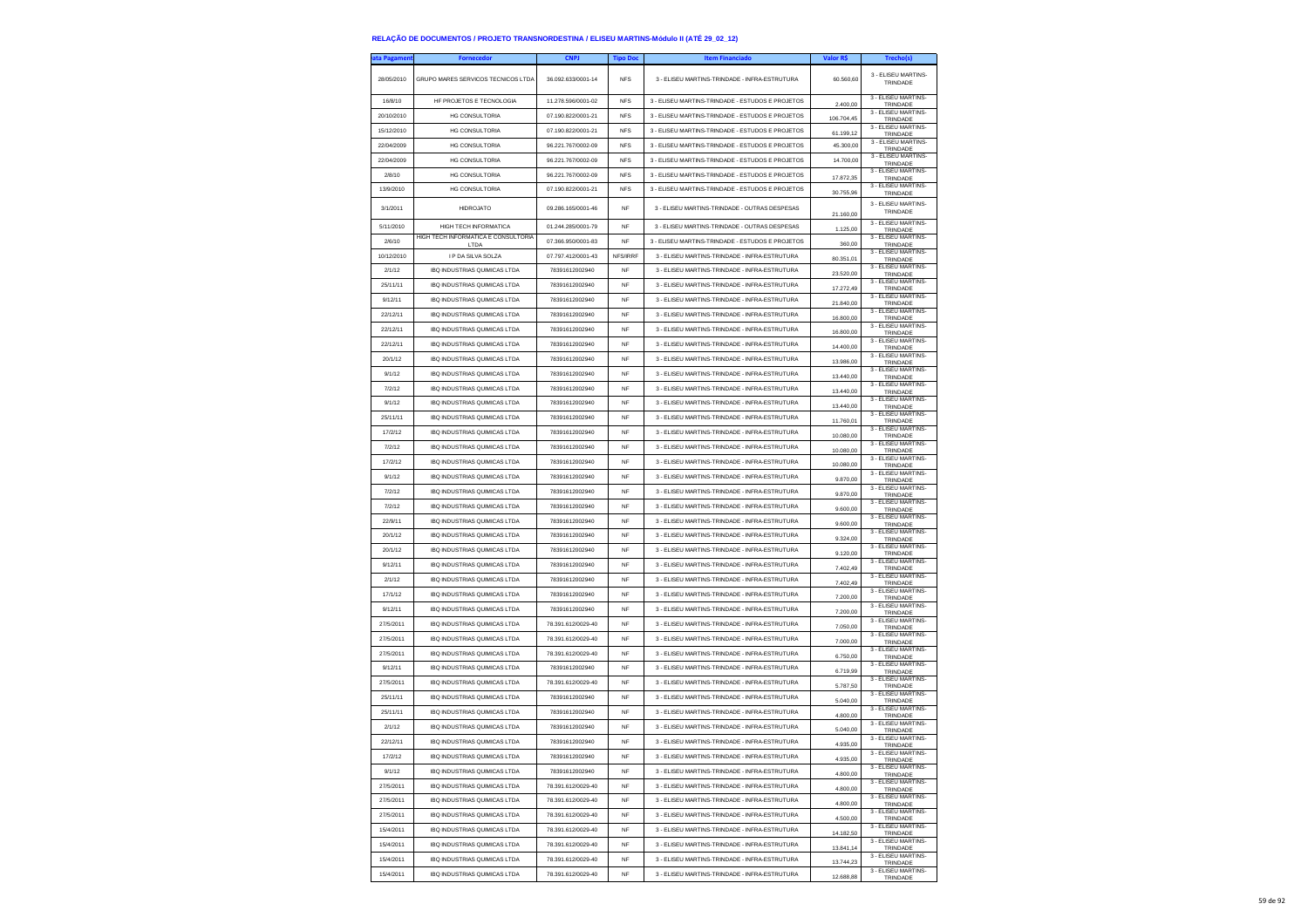| ata Pagamen <sup>.</sup> | <b>Fornecedor</b>                                                   | <b>CNPJ</b>                          | <b>Tipo Doc</b> | <b>Item Financiado</b>                           | Valor R\$            | Trecho(s)                                   |
|--------------------------|---------------------------------------------------------------------|--------------------------------------|-----------------|--------------------------------------------------|----------------------|---------------------------------------------|
| 28/05/2010               | GRUPO MARES SERVICOS TECNICOS LTDA                                  | 36.092.633/0001-14                   | <b>NFS</b>      | 3 - ELISEU MARTINS-TRINDADE - INFRA-ESTRUTURA    | 60.560,60            | 3 - FLISEU MARTINS-<br>TRINDADE             |
| 16/8/10                  | HE PROJETOS E TECNOLOGIA                                            | 11.278.596/0001-02                   | <b>NFS</b>      | 3 - ELISEU MARTINS-TRINDADE - ESTUDOS E PROJETOS | 2.400,00             | 3 - ELISEU MARTINS-<br>TRINDADE             |
| 20/10/2010               | <b>HG CONSULTORIA</b>                                               | 07.190.822/0001-21                   | <b>NFS</b>      | 3 - ELISEU MARTINS-TRINDADE - ESTUDOS E PROJETOS | 106.704,45           | 3 - ELISEU MARTINS-<br>TRINDADE             |
| 15/12/2010               | HG CONSULTORIA                                                      | 07.190.822/0001-21                   | <b>NFS</b>      | 3 - ELISEU MARTINS-TRINDADE - ESTUDOS E PROJETOS | 61.199,12            | 3 - ELISEU MARTINS-<br>TRINDADE             |
| 22/04/2009               | <b>HG CONSULTORIA</b>                                               | 96.221.767/0002-09                   | <b>NFS</b>      | 3 - ELISEU MARTINS-TRINDADE - ESTUDOS E PROJETOS | 45,300.00            | 3 - ELISEU MARTINS-<br>TRINDADE             |
| 22/04/2009               | HG CONSULTORIA                                                      | 96.221.767/0002-09                   | <b>NFS</b>      | 3 - ELISEU MARTINS-TRINDADE - ESTUDOS E PROJETOS | 14.700,00            | 3 - ELISEU MARTINS-<br>TRINDADE             |
| 2/8/10                   | HG CONSULTORIA                                                      | 96.221.767/0002-09                   | <b>NFS</b>      | 3 - ELISEU MARTINS-TRINDADE - ESTUDOS E PROJETOS | 17.872,35            | 3 - ELISEU MARTINS-<br>TRINDADE             |
| 13/9/2010                | HG CONSULTORIA                                                      | 07.190.822/0001-21                   | <b>NFS</b>      | 3 - ELISEU MARTINS-TRINDADE - ESTUDOS E PROJETOS | 30,755.96            | 3 - ELISEU MARTINS-<br>TRINDADE             |
| 3/1/2011                 | <b>HIDROJATO</b>                                                    | 09.286.165/0001-46                   | <b>NF</b>       | 3 - ELISEU MARTINS-TRINDADE - OUTRAS DESPESAS    | 21.160,00            | 3 - FLISEU MARTINS-<br>TRINDADE             |
| 5/11/2010                | HIGH TECH INFORMATICA                                               | 01.244.285/0001-79                   | <b>NF</b>       | 3 - ELISEU MARTINS-TRINDADE - OUTRAS DESPESAS    | 1.125.00             | 3 - ELISEU MARTINS-<br>TRINDADE             |
| 2/6/10                   | HIGH TECH INFORMATICA E CONSULTORIA<br>LTDA                         | 07.366.950/0001-83                   | <b>NF</b>       | 3 - ELISEU MARTINS-TRINDADE - ESTUDOS E PROJETOS | 360,00               | 3 - ELISEU MARTINS-<br>TRINDADE             |
| 10/12/2010               | <b>IP DA SILVA SOLZA</b>                                            | 07.797.412/0001-43                   | NFS/IRRF        | 3 - ELISEU MARTINS-TRINDADE - INFRA-ESTRUTURA    | 80.351.01            | 3 - ELISEU MARTINS-<br>TRINDADE             |
| 2/1/12                   | IBQ INDUSTRIAS QUIMICAS LTDA                                        | 78391612002940                       | <b>NF</b>       | 3 - ELISEU MARTINS-TRINDADE - INFRA-ESTRUTURA    | 23,520.00            | 3 - ELISEU MARTINS-<br>TRINDADE             |
| 25/11/11                 | <b>IBQ INDUSTRIAS QUIMICAS LTDA</b>                                 | 78391612002940                       | <b>NF</b>       | 3 - ELISEU MARTINS-TRINDADE - INFRA-ESTRUTURA    | 17.272,49            | 3 - ELISEU MARTINS-<br>TRINDADE             |
| 9/12/11                  | <b>IBQ INDUSTRIAS QUIMICAS LTDA</b>                                 | 78391612002940                       | <b>NF</b>       | 3 - ELISEU MARTINS-TRINDADE - INFRA-ESTRUTURA    | 21.840,00            | 3 - ELISEU MARTINS-<br>TRINDADE             |
| 22/12/11                 | IBQ INDUSTRIAS QUIMICAS LTDA                                        | 78391612002940                       | NF              | 3 - ELISEU MARTINS-TRINDADE - INFRA-ESTRUTURA    | 16,800.00            | 3 - ELISEU MARTINS-<br>TRINDADE             |
| 22/12/11                 | <b>IBQ INDUSTRIAS QUIMICAS LTDA</b>                                 | 78391612002940                       | <b>NF</b>       | 3 - ELISEU MARTINS-TRINDADE - INFRA-ESTRUTURA    | 16.800,00            | 3 - ELISEU MARTINS-<br>TRINDADE             |
| 22/12/11                 | IBQ INDUSTRIAS QUIMICAS LTDA                                        | 78391612002940                       | <b>NF</b>       | 3 - ELISEU MARTINS-TRINDADE - INFRA-ESTRUTURA    | 14,400,00            | 3 - ELISEU MARTINS-<br>TRINDADE             |
| 20/1/12                  | IBQ INDUSTRIAS QUIMICAS LTDA                                        | 78391612002940                       | NF              | 3 - ELISEU MARTINS-TRINDADE - INFRA-ESTRUTURA    | 13.986,00            | 3 - ELISEU MARTINS-<br>TRINDADE             |
| 9/1/12                   | <b>IBQ INDUSTRIAS QUIMICAS LTDA</b>                                 | 78391612002940                       | <b>NF</b>       | 3 - FLISELLMARTINS-TRINDADE - INFRA-ESTRUTURA    | 13.440,00            | 3 - FLISEU MARTINS-<br>TRINDADE             |
| 7/2/12                   | <b>IBQ INDUSTRIAS QUIMICAS LTDA</b>                                 | 78391612002940                       | <b>NF</b>       | 3 - ELISEU MARTINS-TRINDADE - INFRA-ESTRUTURA    | 13.440,00            | 3 - ELISEU MARTINS-<br>TRINDADE             |
| 9/1/12                   | IBQ INDUSTRIAS QUIMICAS LTDA                                        | 78391612002940                       | NF              | 3 - ELISEU MARTINS-TRINDADE - INFRA-ESTRUTURA    | 13,440.00            | 3 - ELISEU MARTINS-<br>TRINDADE             |
| 25/11/11                 | IBQ INDUSTRIAS QUIMICAS LTDA                                        | 78391612002940                       | <b>NF</b>       | 3 - ELISEU MARTINS-TRINDADE - INFRA-ESTRUTURA    | 11.760,01            | 3 - ELISEU MARTINS-                         |
| 17/2/12                  | <b>IBO INDUSTRIAS QUIMICAS LTDA</b>                                 | 78391612002940                       | <b>NF</b>       | 3 - ELISEU MARTINS-TRINDADE - INFRA-ESTRUTURA    | 10.080,00            | TRINDADE<br>3 - ELISEU MARTINS-             |
| 7/2/12                   | IBQ INDUSTRIAS QUIMICAS LTDA                                        | 78391612002940                       | NF              | 3 - ELISEU MARTINS-TRINDADE - INFRA-ESTRUTURA    | 10.080,00            | TRINDADE<br>3 - ELISEU MARTINS-             |
| 17/2/12                  | <b>IBQ INDUSTRIAS QUIMICAS LTDA</b>                                 | 78391612002940                       | <b>NF</b>       | 3 - ELISEU MARTINS-TRINDADE - INFRA-ESTRUTURA    | 10.080.00            | TRINDADE<br>3 - ELISEU MARTINS-<br>TRINDADE |
| 9/1/12                   | <b>IBQ INDUSTRIAS QUIMICAS LTDA</b>                                 | 78391612002940                       | NF              | 3 - ELISEU MARTINS-TRINDADE - INFRA-ESTRUTURA    |                      | 3 - ELISEU MARTINS-                         |
| 7/2/12                   | IBQ INDUSTRIAS QUIMICAS LTDA                                        | 78391612002940                       | NF              | 3 - ELISEU MARTINS-TRINDADE - INFRA-ESTRUTURA    | 9.870,00             | TRINDADE<br>3 - ELISEU MARTINS-             |
| 7/2/12                   | <b>IBQ INDUSTRIAS QUIMICAS LTDA</b>                                 | 78391612002940                       | <b>NF</b>       | 3 - ELISEU MARTINS-TRINDADE - INFRA-ESTRUTURA    | 9.870,00<br>9,600.00 | TRINDADE<br>3 - ELISEU MARTINS-             |
| 22/9/11                  | <b>IBQ INDUSTRIAS QUIMICAS LTDA</b>                                 | 78391612002940                       | <b>NF</b>       | 3 - ELISEU MARTINS-TRINDADE - INFRA-ESTRUTURA    |                      | TRINDADE<br>3 - ELISEU MARTINS-             |
| 20/1/12                  | IBQ INDUSTRIAS QUIMICAS LTDA                                        | 78391612002940                       | NF              | 3 - ELISEU MARTINS-TRINDADE - INFRA-ESTRUTURA    | 9.600,00             | TRINDADE<br>3 - ELISEU MARTINS-             |
| 20/1/12                  | IBQ INDUSTRIAS QUIMICAS LTDA                                        | 78391612002940                       | <b>NF</b>       | 3 - ELISEU MARTINS-TRINDADE - INFRA-ESTRUTURA    | 9.324,00             | TRINDADE<br>3 - ELISEU MARTINS-             |
| 9/12/11                  | <b>IBQ INDUSTRIAS QUIMICAS LTDA</b>                                 | 78391612002940                       | <b>NF</b>       | 3 - ELISEU MARTINS-TRINDADE - INFRA-ESTRUTURA    | 9.120,00             | TRINDADE<br>3 - ELISEU MARTINS-             |
| 2/1/12                   | IBQ INDUSTRIAS QUIMICAS LTDA                                        | 78391612002940                       | NF              | 3 - ELISEU MARTINS-TRINDADE - INFRA-ESTRUTURA    | 7.402,49             | TRINDADE<br>3 - ELISEU MARTINS-             |
| 17/1/12                  | IBQ INDUSTRIAS QUIMICAS LTDA                                        | 78391612002940                       | <b>NF</b>       | 3 - ELISEU MARTINS-TRINDADE - INFRA-ESTRUTURA    | 7.402,49             | TRINDADE<br>3 - ELISEU MARTINS-             |
| 9/12/11                  | <b>IBQ INDUSTRIAS QUIMICAS LTDA</b>                                 | 78391612002940                       | <b>NF</b>       | 3 - ELISEU MARTINS-TRINDADE - INFRA-ESTRUTURA    | 7,200.00             | TRINDADE<br>3 - ELISEU MARTINS-             |
| 27/5/2011                | IBQ INDUSTRIAS QUIMICAS LTDA                                        | 78.391.612/0029-40                   | <b>NF</b>       | 3 - ELISEU MARTINS-TRINDADE - INFRA-ESTRUTURA    | 7.200,00             | TRINDADE<br>3 - ELISEU MARTINS-             |
| 27/5/2011                | IBQ INDUSTRIAS QUIMICAS LTDA                                        | 78.391.612/0029-40                   | <b>NF</b>       | 3 - ELISEU MARTINS-TRINDADE - INFRA-ESTRUTURA    | 7.050,00             | TRINDADE<br>3 - ELISEU MARTINS-             |
| 27/5/2011                | <b>IBQ INDUSTRIAS QUIMICAS LTDA</b>                                 | 78 391 612/0029-40                   | <b>NF</b>       | 3 - FLISELLMARTINS-TRINDADE - INFRA-ESTRUTURA    | 7.000.00             | TRINDADE<br>3 - ELISEU MARTINS-             |
| 9/12/11                  | <b>IBQ INDUSTRIAS QUIMICAS LTDA</b>                                 | 78391612002940                       | <b>NF</b>       | 3 - ELISEU MARTINS-TRINDADE - INFRA-ESTRUTURA    | 6.750,00             | TRINDADE<br>3 - ELISEU MARTINS-             |
| 27/5/2011                |                                                                     |                                      | <b>NF</b>       | 3 - ELISEU MARTINS-TRINDADE - INFRA-ESTRUTURA    | 6.719,99             | TRINDADE<br>3 - ELISEU MARTINS-             |
|                          | IBQ INDUSTRIAS QUIMICAS LTDA<br><b>IBQ INDUSTRIAS QUIMICAS LTDA</b> | 78.391.612/0029-40<br>78391612002940 |                 | 3 - FLISELLMARTINS-TRINDADE - INFRA-ESTRUTURA    | 5,787.50             | TRINDADE<br>3 - ELISEU MARTINS-             |
| 25/11/11                 |                                                                     |                                      | <b>NF</b>       |                                                  | 5.040,00             | TRINDADE<br>3 - ELISEU MARTINS-             |
| 25/11/11                 | IBQ INDUSTRIAS QUIMICAS LTDA                                        | 78391612002940                       | <b>NF</b>       | 3 - ELISEU MARTINS-TRINDADE - INFRA-ESTRUTURA    | 4.800,00             | TRINDADE<br>3 - ELISEU MARTINS-             |
| 2/1/12                   | IBQ INDUSTRIAS QUIMICAS LTDA                                        | 78391612002940                       | NF              | 3 - ELISEU MARTINS-TRINDADE - INFRA-ESTRUTURA    | 5.040.00             | TRINDADE<br>3 - FLISEU MARTINS-             |
| 22/12/11                 | <b>IBQ INDUSTRIAS QUIMICAS LTDA</b>                                 | 78391612002940                       | <b>NF</b>       | 3 - ELISEU MARTINS-TRINDADE - INFRA-ESTRUTURA    | 4.935,00             | TRINDADE<br>3 - ELISEU MARTINS-             |
| 17/2/12                  | IBQ INDUSTRIAS QUIMICAS LTDA                                        | 78391612002940                       | NF              | 3 - ELISEU MARTINS-TRINDADE - INFRA-ESTRUTURA    | 4.935,00             | TRINDADE<br>3 - ELISEU MARTINS-             |
| 9/1/12                   | IBQ INDUSTRIAS QUIMICAS LTDA                                        | 78391612002940                       | NF              | 3 - ELISEU MARTINS-TRINDADE - INFRA-ESTRUTURA    | 4800.00              | TRINDADE<br>3 - FLISEU MARTINS-             |
| 27/5/2011                | <b>IBO INDUSTRIAS QUIMICAS LTDA</b>                                 | 78.391.612/0029-40                   | <b>NF</b>       | 3 - ELISEU MARTINS-TRINDADE - INFRA-ESTRUTURA    | 4.800,00             | TRINDADE<br>3 - ELISEU MARTINS-             |
| 27/5/2011                | IBQ INDUSTRIAS QUIMICAS LTDA                                        | 78.391.612/0029-40                   | <b>NF</b>       | 3 - ELISEU MARTINS-TRINDADE - INFRA-ESTRUTURA    | 4.800,00             | TRINDADE<br>3 - ELISEU MARTINS-             |
| 27/5/2011                | IBQ INDUSTRIAS QUIMICAS LTDA                                        | 78.391.612/0029-40                   | NF              | 3 - ELISEU MARTINS-TRINDADE - INFRA-ESTRUTURA    | 4.500,00             | TRINDADE<br>3 - FLISEU MARTINS-             |
| 15/4/2011                | IBQ INDUSTRIAS QUIMICAS LTDA                                        | 78.391.612/0029-40                   | <b>NF</b>       | 3 - ELISEU MARTINS-TRINDADE - INFRA-ESTRUTURA    | 14.182,50            | TRINDADE<br>3 - ELISEU MARTINS-             |
| 15/4/2011                | IBQ INDUSTRIAS QUIMICAS LTDA                                        | 78.391.612/0029-40                   | NF              | 3 - ELISEU MARTINS-TRINDADE - INFRA-ESTRUTURA    | 13.841,14            | TRINDADE<br>3 - FLISEU MARTINS-             |
| 15/4/2011                | IBQ INDUSTRIAS QUIMICAS LTDA                                        | 78.391.612/0029-40                   | NF              | 3 - ELISEU MARTINS-TRINDADE - INFRA-ESTRUTURA    | 13.744,23            | TRINDADE<br>3 - FLISEU MARTINS-             |
| 15/4/2011                | IBQ INDUSTRIAS QUIMICAS LTDA                                        | 78.391.612/0029-40                   | <b>NF</b>       | 3 - ELISEU MARTINS-TRINDADE - INFRA-ESTRUTURA    | 12,688.88            | TRINDADE                                    |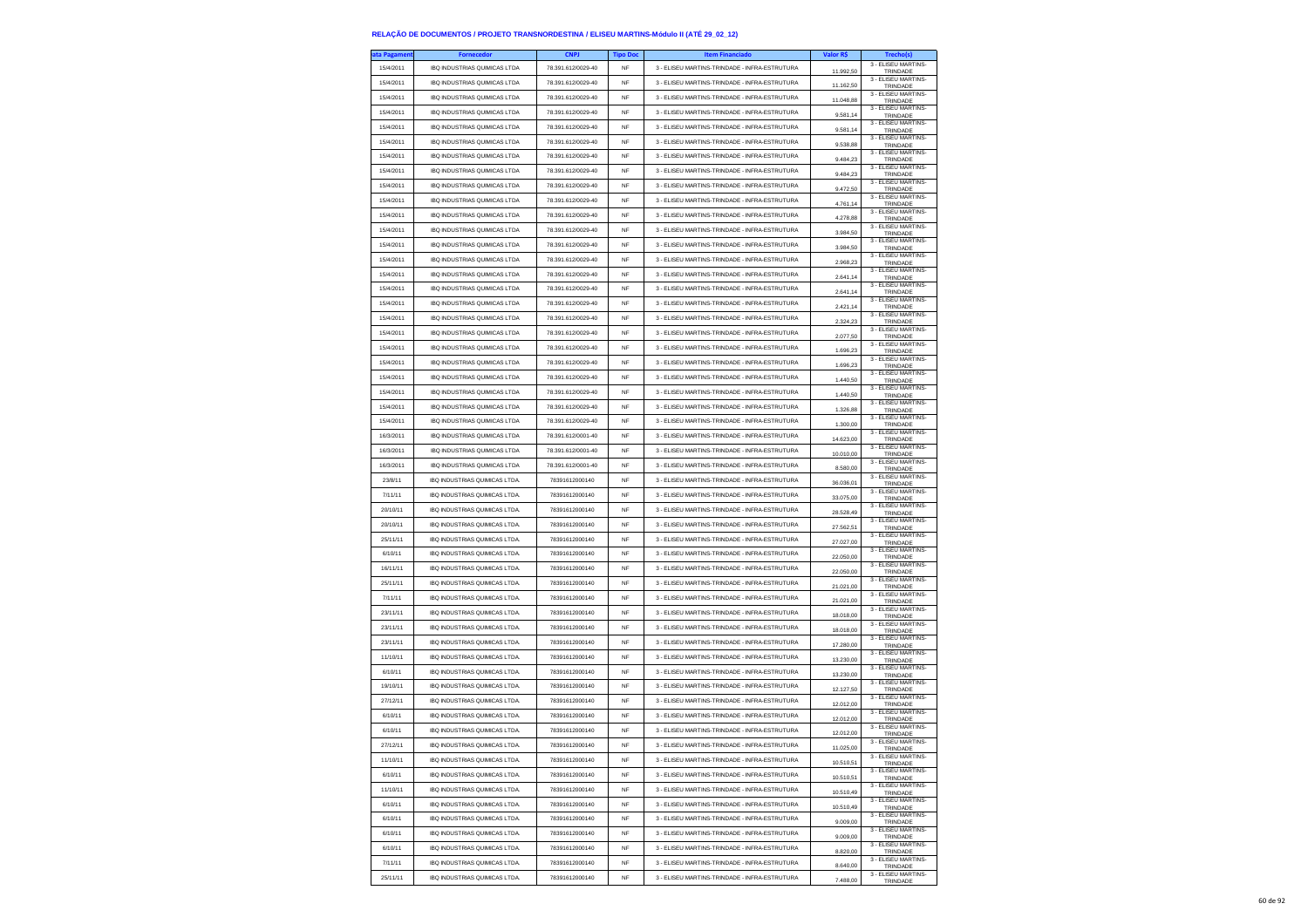| ta Pagamen | <b>Fornecedor</b>                    | <b>CNPJ</b>        | <b>Tipo Doc</b>        | <b>Item Financiado</b>                        | Valor R\$              |                                 |
|------------|--------------------------------------|--------------------|------------------------|-----------------------------------------------|------------------------|---------------------------------|
| 15/4/2011  | IBQ INDUSTRIAS QUIMICAS LTDA         | 78.391.612/0029-40 | NF                     | 3 - ELISEU MARTINS-TRINDADE - INFRA-ESTRUTURA | 11.992,50              | 3 - ELISEU MARTINS-<br>TRINDADE |
| 15/4/2011  | IBQ INDUSTRIAS QUIMICAS LTDA         | 78.391.612/0029-40 | <b>NF</b>              | 3 - ELISEU MARTINS-TRINDADE - INFRA-ESTRUTURA | 11.162,50              | 3 - ELISEU MARTINS-<br>TRINDADE |
| 15/4/2011  | IBQ INDUSTRIAS QUIMICAS LTDA         | 78.391.612/0029-40 | <b>NF</b>              | 3 - ELISEU MARTINS-TRINDADE - INFRA-ESTRUTURA | 11.048,88              | 3 - ELISEU MARTINS-<br>TRINDADE |
| 15/4/2011  | <b>IBQ INDUSTRIAS QUIMICAS LTDA</b>  | 78.391.612/0029-40 | <b>NF</b>              | 3 - ELISEU MARTINS-TRINDADE - INFRA-ESTRUTURA | 9.581,14               | 3 - FLISEU MARTINS-<br>TRINDADE |
| 15/4/2011  | IBQ INDUSTRIAS QUIMICAS LTDA         | 78.391.612/0029-40 | <b>NF</b>              | 3 - ELISEU MARTINS-TRINDADE - INFRA-ESTRUTURA | 9.581,14               | 3 - ELISEU MARTINS-<br>TRINDADE |
| 15/4/2011  | IBQ INDUSTRIAS QUIMICAS LTDA         | 78.391.612/0029-40 | NF                     | 3 - ELISEU MARTINS-TRINDADE - INFRA-ESTRUTURA | 953888                 | 3 - ELISEU MARTINS-<br>TRINDADE |
| 15/4/2011  | IBQ INDUSTRIAS QUIMICAS LTDA         | 78.391.612/0029-40 | <b>NF</b>              | 3 - ELISEU MARTINS-TRINDADE - INFRA-ESTRUTURA | 9 484 23               | 3 - FLISEU MARTINS-<br>TRINDADE |
| 15/4/2011  | IBQ INDUSTRIAS QUIMICAS LTDA         | 78.391.612/0029-40 | <b>NF</b>              | 3 - ELISEU MARTINS-TRINDADE - INFRA-ESTRUTURA | 9.484,23               | 3 - ELISEU MARTINS-             |
| 15/4/2011  | IBQ INDUSTRIAS QUIMICAS LTDA         | 78.391.612/0029-40 | NF                     | 3 - ELISEU MARTINS-TRINDADE - INFRA-ESTRUTURA | 9.472,50               | TRINDADE<br>3 - ELISEU MARTINS- |
| 15/4/2011  | IBQ INDUSTRIAS QUIMICAS LTDA         | 78.391.612/0029-40 | <b>NF</b>              | 3 - ELISEU MARTINS-TRINDADE - INFRA-ESTRUTURA |                        | TRINDADE<br>3 - ELISEU MARTINS- |
| 15/4/2011  | IBQ INDUSTRIAS QUIMICAS LTDA         | 78.391.612/0029-40 | <b>NF</b>              | 3 - ELISEU MARTINS-TRINDADE - INFRA-ESTRUTURA | 4.761,14               | TRINDADE<br>3 - ELISEU MARTINS- |
| 15/4/2011  | IBQ INDUSTRIAS QUIMICAS LTDA         | 78.391.612/0029-40 | NF                     | 3 - ELISEU MARTINS-TRINDADE - INFRA-ESTRUTURA | 4.278,88               | TRINDADE<br>3 - ELISEU MARTINS- |
| 15/4/2011  | <b>IBQ INDUSTRIAS QUIMICAS LTDA</b>  | 78.391.612/0029-40 | <b>NF</b>              | 3 - ELISEU MARTINS-TRINDADE - INFRA-ESTRUTURA | 3.984,50               | TRINDADE<br>3 - ELISEU MARTINS- |
| 15/4/2011  | IBQ INDUSTRIAS QUIMICAS LTDA         | 78.391.612/0029-40 | <b>NF</b>              | 3 - ELISEU MARTINS-TRINDADE - INFRA-ESTRUTURA | 3 984 50               | TRINDADE<br>3 - ELISEU MARTINS- |
| 15/4/2011  | IBQ INDUSTRIAS QUIMICAS LTDA         | 78.391.612/0029-40 | NF                     | 3 - ELISEU MARTINS-TRINDADE - INFRA-ESTRUTURA | 2.968.23               | TRINDADE<br>3 - ELISEU MARTINS- |
| 15/4/2011  | IBQ INDUSTRIAS QUIMICAS LTDA         | 78.391.612/0029-40 | <b>NF</b>              | 3 - ELISEU MARTINS-TRINDADE - INFRA-ESTRUTURA | 2.641,14               | TRINDADE<br>3 - ELISEU MARTINS- |
| 15/4/2011  | <b>IBQ INDUSTRIAS QUIMICAS LTDA</b>  | 78.391.612/0029-40 |                        | 3 - ELISEU MARTINS-TRINDADE - INFRA-ESTRUTURA | 2.641,14               | TRINDADE<br>3 - ELISEU MARTINS- |
|            |                                      |                    | <b>NF</b>              |                                               | 2.421,14               | TRINDADE<br>3 - ELISEU MARTINS- |
| 15/4/2011  | IBQ INDUSTRIAS QUIMICAS LTDA         | 78.391.612/0029-40 | NF                     | 3 - ELISEU MARTINS-TRINDADE - INFRA-ESTRUTURA | 2.324,23               | TRINDADE<br>3 - ELISEU MARTINS- |
| 15/4/2011  | IBQ INDUSTRIAS QUIMICAS LTDA         | 78.391.612/0029-40 | <b>NF</b>              | 3 - ELISEU MARTINS-TRINDADE - INFRA-ESTRUTURA | 2.077.50               | TRINDADE<br>3 - ELISEU MARTINS- |
| 15/4/2011  | <b>IBQ INDUSTRIAS QUIMICAS LTDA</b>  | 78.391.612/0029-40 | <b>NF</b>              | 3 - ELISEU MARTINS-TRINDADE - INFRA-ESTRUTURA | 1.696,23               | TRINDADE<br>3 - ELISEU MARTINS- |
| 15/4/2011  | <b>IBO INDUSTRIAS QUIMICAS LTDA</b>  | 78.391.612/0029-40 | <b>NF</b>              | 3 - ELISEU MARTINS-TRINDADE - INFRA-ESTRUTURA | 1.696,23               | TRINDADE<br>3 - FLISEU MARTINS- |
| 15/4/2011  | <b>IBQ INDUSTRIAS QUIMICAS LTDA</b>  | 78.391.612/0029-40 | <b>NF</b>              | 3 - ELISEU MARTINS-TRINDADE - INFRA-ESTRUTURA | 1.440.50               | TRINDADE<br>3 - ELISEU MARTINS- |
| 15/4/2011  | <b>IBQ INDUSTRIAS QUIMICAS LTDA</b>  | 78.391.612/0029-40 | <b>NF</b>              | 3 - ELISEU MARTINS-TRINDADE - INFRA-ESTRUTURA | 1.440,50               | TRINDADE<br>3 - FLISEU MARTINS- |
| 15/4/2011  | IBQ INDUSTRIAS QUIMICAS LTDA         | 78.391.612/0029-40 | <b>NF</b>              | 3 - ELISEU MARTINS-TRINDADE - INFRA-ESTRUTURA | 1.326,88               | TRINDADE<br>3 - ELISEU MARTINS- |
| 15/4/2011  | IBQ INDUSTRIAS QUIMICAS LTDA         | 78.391.612/0029-40 | <b>NF</b>              | 3 - ELISEU MARTINS-TRINDADE - INFRA-ESTRUTURA | 1.300.00               | TRINDADE<br>3 - ELISEU MARTINS- |
| 16/3/2011  | <b>IBO INDUSTRIAS QUIMICAS LTDA</b>  | 78.391.612/0001-40 | <b>NF</b>              | 3 - ELISEU MARTINS-TRINDADE - INFRA-ESTRUTURA | 14.623,00              | TRINDADE                        |
| 16/3/2011  | <b>IBQ INDUSTRIAS QUIMICAS LTDA</b>  | 78 391 612/0001-40 | <b>NF</b>              | 3 - FLISELLMARTINS-TRINDADE - INFRA-ESTRUTURA | 10.010,00              | 3 - ELISEU MARTINS-<br>TRINDADE |
| 16/3/2011  | IBQ INDUSTRIAS QUIMICAS LTDA         | 78.391.612/0001-40 | NF                     | 3 - ELISEU MARTINS-TRINDADE - INFRA-ESTRUTURA | 8.580,00               | 3 - ELISEU MARTINS-<br>TRINDADE |
| 23/8/11    | <b>IBQ INDUSTRIAS QUIMICAS LTDA.</b> | 78391612000140     | <b>NF</b>              | 3 - ELISEU MARTINS-TRINDADE - INFRA-ESTRUTURA | 36.036.01              | 3 - FLISEU MARTINS-<br>TRINDADE |
| 7/11/11    | IBQ INDUSTRIAS QUIMICAS LTDA.        | 78391612000140     | <b>NF</b>              | 3 - ELISEU MARTINS-TRINDADE - INFRA-ESTRUTURA | 33,075.00              | 3 - ELISEU MARTINS-<br>TRINDADE |
| 20/10/11   | IBQ INDUSTRIAS QUIMICAS LTDA.        | 78391612000140     | NF                     | 3 - ELISEU MARTINS-TRINDADE - INFRA-ESTRUTURA | 28,528.49              | 3 - ELISEU MARTINS-<br>TRINDADE |
| 20/10/11   | IBQ INDUSTRIAS QUIMICAS LTDA         | 78391612000140     | <b>NF</b>              | 3 - ELISEU MARTINS-TRINDADE - INFRA-ESTRUTURA | 27.562,51              | 3 - ELISEU MARTINS-<br>TRINDADE |
| 25/11/11   | IBQ INDUSTRIAS QUIMICAS LTDA.        | 78391612000140     | <b>NF</b>              | 3 - ELISEU MARTINS-TRINDADE - INFRA-ESTRUTURA | 27.027,00              | 3 - ELISEU MARTINS-<br>TRINDADE |
| 6/10/11    | IBQ INDUSTRIAS QUIMICAS LTDA         | 78391612000140     | NF                     | 3 - ELISEU MARTINS-TRINDADE - INFRA-ESTRUTURA | 22.050,00              | 3 - ELISEU MARTINS-<br>TRINDADE |
| 16/11/11   | IBQ INDUSTRIAS QUIMICAS LTDA.        | 78391612000140     | <b>NF</b>              | 3 - ELISEU MARTINS-TRINDADE - INFRA-ESTRUTURA | 22.050.00              | 3 - ELISEU MARTINS-<br>TRINDADE |
| 25/11/11   | IBQ INDUSTRIAS QUIMICAS LTDA.        | 78391612000140     | <b>NF</b>              | 3 - ELISEU MARTINS-TRINDADE - INFRA-ESTRUTURA | 21.021,00              | 3 - ELISEU MARTINS-<br>TRINDADE |
| 7/11/11    | IBQ INDUSTRIAS QUIMICAS LTDA.        | 78391612000140     | NF                     | 3 - ELISEU MARTINS-TRINDADE - INFRA-ESTRUTURA | 21.021,00              | 3 - ELISEU MARTINS-<br>TRINDADE |
| 23/11/11   | IBQ INDUSTRIAS QUIMICAS LTDA.        | 78391612000140     | <b>NF</b>              | 3 - ELISEU MARTINS-TRINDADE - INFRA-ESTRUTURA | 18.018.00              | 3 - ELISEU MARTINS-<br>TRINDADE |
| 23/11/11   | IBQ INDUSTRIAS QUIMICAS LTDA.        | 78391612000140     | <b>NF</b>              | 3 - ELISEU MARTINS-TRINDADE - INFRA-ESTRUTURA | 18.018,00              | 3 - ELISEU MARTINS-<br>TRINDADE |
| 23/11/11   | IBQ INDUSTRIAS QUIMICAS LTDA         | 78391612000140     | NF                     | 3 - ELISEU MARTINS-TRINDADE - INFRA-ESTRUTURA | 17.280,00              | 3 - ELISEU MARTINS-<br>TRINDADE |
| 11/10/11   | <b>IBQ INDUSTRIAS QUIMICAS LTDA.</b> | 78391612000140     | <b>NF</b>              | 3 - ELISEU MARTINS-TRINDADE - INFRA-ESTRUTURA | 13 230 00              | 3 - ELISEU MARTINS-<br>TRINDADE |
| 6/10/11    | IBQ INDUSTRIAS QUIMICAS LTDA.        | 78391612000140     | NF                     | 3 - ELISEU MARTINS-TRINDADE - INFRA-ESTRUTURA | 13.230,00              | 3 - ELISEU MARTINS-<br>TRINDADE |
| 19/10/11   | IBQ INDUSTRIAS QUIMICAS LTDA.        | 78391612000140     | NF                     | 3 - ELISEU MARTINS-TRINDADE - INFRA-ESTRUTURA | 12.127,50              | 3 - ELISEU MARTINS-             |
| 27/12/11   | IBQ INDUSTRIAS QUIMICAS LTDA.        | 78391612000140     | <b>NF</b>              | 3 - ELISEU MARTINS-TRINDADE - INFRA-ESTRUTURA | 12.012,00              | TRINDADE<br>3 - ELISEU MARTINS- |
| 6/10/11    | IBQ INDUSTRIAS QUIMICAS LTDA.        | 78391612000140     | <b>NF</b>              | 3 - FLISELLMARTINS-TRINDADE - INFRA-ESTRUTURA | 12.012.00              | TRINDADE<br>3 - ELISEU MARTINS- |
| 6/10/11    | IBQ INDUSTRIAS QUIMICAS LTDA         | 78391612000140     | NF                     | 3 - ELISEU MARTINS-TRINDADE - INFRA-ESTRUTURA |                        | TRINDADE<br>3 - ELISEU MARTINS- |
| 27/12/11   | <b>IBQ INDUSTRIAS QUIMICAS LTDA</b>  | 78391612000140     | <b>NF</b>              | 3 - ELISEU MARTINS-TRINDADE - INFRA-ESTRUTURA | 12.012,00<br>11 025 00 | TRINDADE<br>3 - ELISEU MARTINS- |
| 11/10/11   | <b>IBQ INDUSTRIAS QUIMICAS LTDA.</b> | 78391612000140     | <b>NF</b>              | 3 - ELISEU MARTINS-TRINDADE - INFRA-ESTRUTURA |                        | TRINDADE<br>3 - ELISEU MARTINS- |
| 6/10/11    | IBQ INDUSTRIAS QUIMICAS LTDA.        | 78391612000140     | <b>NF</b>              | 3 - ELISEU MARTINS-TRINDADE - INFRA-ESTRUTURA | 10.510,51              | TRINDADE<br>3 - ELISEU MARTINS- |
| 11/10/11   | IBQ INDUSTRIAS QUIMICAS LTDA.        | 78391612000140     | NF                     | 3 - ELISEU MARTINS-TRINDADE - INFRA-ESTRUTURA | 10.510.51              | TRINDADE<br>3 - ELISEU MARTINS  |
| 6/10/11    | IBQ INDUSTRIAS QUIMICAS LTDA.        | 78391612000140     |                        | 3 - ELISEU MARTINS-TRINDADE - INFRA-ESTRUTURA | 10 510 49              | TRINDADE<br>3 - ELISEU MARTINS- |
|            |                                      | 78391612000140     | <b>NF</b><br><b>NF</b> |                                               | 10.510,49              | TRINDADE<br>3 - ELISEU MARTINS- |
| 6/10/11    | IBQ INDUSTRIAS QUIMICAS LTDA.        |                    |                        | 3 - ELISEU MARTINS-TRINDADE - INFRA-ESTRUTURA | 9.009,00               | TRINDADE<br>3 - ELISEU MARTINS- |
| 6/10/11    | IBQ INDUSTRIAS QUIMICAS LTDA.        | 78391612000140     | <b>NF</b>              | 3 - ELISEU MARTINS-TRINDADE - INFRA-ESTRUTURA | 9.009.00               | TRINDADE<br>3 - FLISEU MARTINS- |
| 6/10/11    | <b>IBQ INDUSTRIAS QUIMICAS LTDA.</b> | 78391612000140     | NF                     | 3 - ELISEU MARTINS-TRINDADE - INFRA-ESTRUTURA | 8.820,00               | TRINDADE<br>3 - ELISEU MARTINS- |
| 7/11/11    | IBQ INDUSTRIAS QUIMICAS LTDA.        | 78391612000140     | <b>NF</b>              | 3 - ELISEU MARTINS-TRINDADE - INFRA-ESTRUTURA | 8.640,00               | TRINDADE<br>3 - ELISEU MARTINS- |
| 25/11/11   | IBQ INDUSTRIAS QUIMICAS LTDA.        | 78391612000140     | NF                     | 3 - ELISEU MARTINS-TRINDADE - INFRA-ESTRUTURA | 7,488.00               | TRINDADE                        |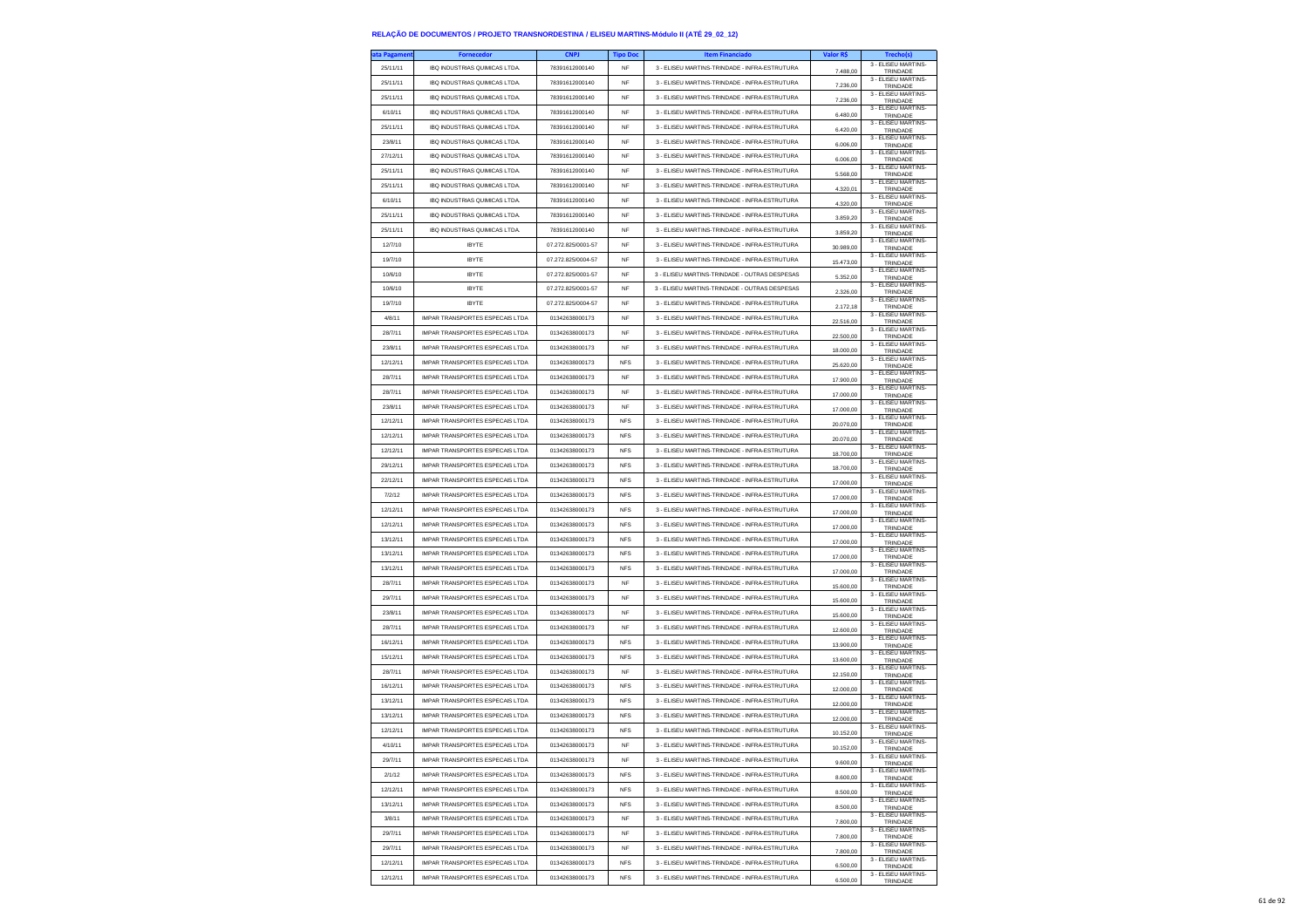| ta Pagamen | <b>Fornecedor</b>                                                  | <b>CNPJ</b>        | <b>Tipo Doc</b> | <b>Item Financiado</b>                        | Valor R\$ | Trecho(s)                                              |
|------------|--------------------------------------------------------------------|--------------------|-----------------|-----------------------------------------------|-----------|--------------------------------------------------------|
| 25/11/11   | IBQ INDUSTRIAS QUIMICAS LTDA.                                      | 78391612000140     | NF              | 3 - ELISEU MARTINS-TRINDADE - INFRA-ESTRUTURA | 7.488,00  | 3 - ELISEU MARTINS-<br>TRINDADE                        |
| 25/11/11   | IBQ INDUSTRIAS QUIMICAS LTDA                                       | 78391612000140     | NF              | 3 - ELISEU MARTINS-TRINDADE - INFRA-ESTRUTURA | 7.236,00  | 3 - FLISEU MARTINS-<br>TRINDADE                        |
| 25/11/11   | <b>IBQ INDUSTRIAS QUIMICAS LTDA.</b>                               | 78391612000140     | <b>NF</b>       | 3 - ELISEU MARTINS-TRINDADE - INFRA-ESTRUTURA | 7,236.00  | 3 - FLISEU MARTINS-<br>TRINDADE                        |
| 6/10/11    | IBQ INDUSTRIAS QUIMICAS LTDA.                                      | 78391612000140     | NF              | 3 - ELISEU MARTINS-TRINDADE - INFRA-ESTRUTURA |           | 3 - ELISEU MARTINS-                                    |
| 25/11/11   | IBQ INDUSTRIAS QUIMICAS LTDA.                                      | 78391612000140     | NF              | 3 - ELISEU MARTINS-TRINDADE - INFRA-ESTRUTURA | 6.480,00  | TRINDADE<br>3 - ELISEU MARTINS-                        |
| 23/8/11    | IBQ INDUSTRIAS QUIMICAS LTDA.                                      | 78391612000140     | <b>NF</b>       | 3 - ELISEU MARTINS-TRINDADE - INFRA-ESTRUTURA | 6.420,00  | TRINDADE<br>3 - ELISEU MARTINS-                        |
| 27/12/11   | <b>IBO INDUSTRIAS OUIMICAS LTDA</b>                                | 78391612000140     | <b>NF</b>       | 3 - FLISELLMARTINS-TRINDADE - INFRA-ESTRUTURA | 6,006.00  | TRINDADE<br>3 - ELISEU MARTINS-                        |
|            |                                                                    |                    |                 |                                               | 6,006.00  | TRINDADE<br>3 - ELISEU MARTINS-                        |
| 25/11/11   | IBQ INDUSTRIAS QUIMICAS LTDA                                       | 78391612000140     | NF              | 3 - ELISEU MARTINS-TRINDADE - INFRA-ESTRUTURA | 5.568,00  | TRINDADE<br>3 - ELISEU MARTINS-                        |
| 25/11/11   | IBQ INDUSTRIAS QUIMICAS LTDA.                                      | 78391612000140     | <b>NF</b>       | 3 - ELISEU MARTINS-TRINDADE - INFRA-ESTRUTURA | 4.320.01  | TRINDADE<br>3 - ELISEU MARTINS-                        |
| 6/10/11    | IBQ INDUSTRIAS QUIMICAS LTDA.                                      | 78391612000140     | NF              | 3 - ELISEU MARTINS-TRINDADE - INFRA-ESTRUTURA | 4.320,00  | TRINDADE<br>3 - ELISEU MARTINS-                        |
| 25/11/11   | IBQ INDUSTRIAS QUIMICAS LTDA.                                      | 78391612000140     | NF              | 3 - ELISEU MARTINS-TRINDADE - INFRA-ESTRUTURA | 3.859,20  | TRINDADE<br>3 - FLISEU MARTINS-                        |
| 25/11/11   | IBQ INDUSTRIAS QUIMICAS LTDA.                                      | 78391612000140     | <b>NF</b>       | 3 - ELISEU MARTINS-TRINDADE - INFRA-ESTRUTURA | 3.859.20  | TRINDADE<br>3 - ELISEU MARTINS-                        |
| 12/7/10    | <b>IBYTE</b>                                                       | 07.272.825/0001-57 | <b>NF</b>       | 3 - FLISELLMARTINS-TRINDADE - INFRA-ESTRUTURA | 30.989,00 | TRINDADE<br>3 - ELISEU MARTINS-                        |
| 19/7/10    | <b>IBYTE</b>                                                       | 07.272.825/0004-57 | <b>NF</b>       | 3 - ELISEU MARTINS-TRINDADE - INFRA-ESTRUTURA | 15.473,00 | TRINDADE<br>3 - FLISEU MARTINS-                        |
| 10/6/10    | <b>IBYTE</b>                                                       | 07.272.825/0001-57 | <b>NF</b>       | 3 - ELISEU MARTINS-TRINDADE - OUTRAS DESPESAS | 5.352.00  | TRINDADE                                               |
| 10/6/10    | <b>IBYTE</b>                                                       | 07.272.825/0001-57 | <b>NF</b>       | 3 - ELISEU MARTINS-TRINDADE - OUTRAS DESPESAS | 2.326,00  | 3 - ELISEU MARTINS-<br>TRINDADE<br>3 - ELISEU MARTINS- |
| 19/7/10    | <b>IBYTE</b>                                                       | 07.272.825/0004-57 | <b>NF</b>       | 3 - ELISEU MARTINS-TRINDADE - INFRA-ESTRUTURA | 2.172,18  | TRINDADE                                               |
| 4/8/11     | IMPAR TRANSPORTES ESPECAIS LTDA                                    | 01342638000173     | <b>NF</b>       | 3 - ELISEU MARTINS-TRINDADE - INFRA-ESTRUTURA | 22.516.00 | 3 - ELISEU MARTINS-<br>TRINDADE                        |
| 28/7/11    | <b>IMPAR TRANSPORTES ESPECAIS LTDA</b>                             | 01342638000173     | <b>NF</b>       | 3 - ELISEU MARTINS-TRINDADE - INFRA-ESTRUTURA | 22.500,00 | 3 - ELISEU MARTINS-<br>TRINDADE                        |
| 23/8/11    | <b>IMPAR TRANSPORTES ESPECAIS LTDA</b>                             | 01342638000173     | <b>NF</b>       | 3 - ELISEU MARTINS-TRINDADE - INFRA-ESTRUTURA | 18.000,00 | 3 - ELISEU MARTINS-<br>TRINDADE                        |
| 12/12/11   | IMPAR TRANSPORTES ESPECAIS LTDA                                    | 01342638000173     | <b>NFS</b>      | 3 - ELISEU MARTINS-TRINDADE - INFRA-ESTRUTURA | 25.620,00 | 3 - ELISEU MARTINS-<br>TRINDADE                        |
| 28/7/11    | <b>IMPAR TRANSPORTES ESPECAIS LTDA</b>                             | 01342638000173     | <b>NF</b>       | 3 - ELISEU MARTINS-TRINDADE - INFRA-ESTRUTURA | 17.900,00 | 3 - FLISEU MARTINS-<br>TRINDADE                        |
| 28/7/11    | IMPAR TRANSPORTES ESPECAIS I TDA                                   | 01342638000173     | NF              | 3 - FLISELLMARTINS-TRINDADE - INFRA-ESTRUTURA | 17.000,00 | 3 - ELISEU MARTINS-<br>TRINDADE                        |
| 23/8/11    | IMPAR TRANSPORTES ESPECAIS LTDA                                    | 01342638000173     | NF              | 3 - ELISEU MARTINS-TRINDADE - INFRA-ESTRUTURA | 17.000,00 | 3 - ELISEU MARTINS-<br>TRINDADE                        |
| 12/12/11   | <b>IMPAR TRANSPORTES ESPECAIS LTDA</b>                             | 01342638000173     | <b>NFS</b>      | 3 - ELISEU MARTINS-TRINDADE - INFRA-ESTRUTURA | 20,070.00 | 3 - FLISEU MARTINS-<br>TRINDADE                        |
| 12/12/11   | <b>IMPAR TRANSPORTES ESPECAIS LTDA</b>                             | 01342638000173     | <b>NFS</b>      | 3 - ELISEU MARTINS-TRINDADE - INFRA-ESTRUTURA | 20.070,00 | 3 - ELISEU MARTINS-<br>TRINDADE                        |
| 12/12/11   | <b>IMPAR TRANSPORTES ESPECAIS LTDA</b>                             | 01342638000173     | <b>NFS</b>      | 3 - ELISEU MARTINS-TRINDADE - INFRA-ESTRUTURA | 18.700,00 | 3 - FLISEU MARTINS-<br>TRINDADE                        |
| 29/12/11   | IMPAR TRANSPORTES ESPECAIS LTDA                                    | 01342638000173     | <b>NFS</b>      | 3 - ELISEU MARTINS-TRINDADE - INFRA-ESTRUTURA | 18 700.00 | 3 - ELISEU MARTINS-<br>TRINDADE                        |
| 22/12/11   | <b>IMPAR TRANSPORTES ESPECAIS LTDA</b>                             | 01342638000173     | <b>NFS</b>      | 3 - FLISELLMARTINS-TRINDADE - INFRA-ESTRUTURA | 17.000,00 | 3 - ELISEU MARTINS-<br>TRINDADE                        |
| 7/2/12     | <b>IMPAR TRANSPORTES ESPECAIS LTDA</b>                             | 01342638000173     | <b>NFS</b>      | 3 - ELISEU MARTINS-TRINDADE - INFRA-ESTRUTURA | 17,000.00 | 3 - FLISEU MARTINS-<br>TRINDADE                        |
| 12/12/11   | IMPAR TRANSPORTES ESPECAIS LTDA                                    | 01342638000173     | <b>NFS</b>      | 3 - ELISEU MARTINS-TRINDADE - INFRA-ESTRUTURA | 17,000.00 | 3 - ELISEU MARTINS-<br>TRINDADE                        |
| 12/12/11   | <b>IMPAR TRANSPORTES ESPECAIS LTDA</b>                             | 01342638000173     | <b>NFS</b>      | 3 - ELISEU MARTINS-TRINDADE - INFRA-ESTRUTURA | 17.000,00 | 3 - ELISEU MARTINS-<br>TRINDADE                        |
| 13/12/11   | <b>IMPAR TRANSPORTES ESPECAIS LTDA</b>                             | 01342638000173     | <b>NFS</b>      | 3 - ELISEU MARTINS-TRINDADE - INFRA-ESTRUTURA | 17.000,00 | 3 - ELISEU MARTINS-<br>TRINDADE                        |
| 13/12/11   | IMPAR TRANSPORTES ESPECAIS LTDA                                    | 01342638000173     | <b>NFS</b>      | 3 - ELISEU MARTINS-TRINDADE - INFRA-ESTRUTURA | 17,000.00 | 3 - ELISEU MARTINS-<br>TRINDADE                        |
| 13/12/11   | <b>IMPAR TRANSPORTES ESPECAIS LTDA</b>                             | 01342638000173     | <b>NFS</b>      | 3 - ELISEU MARTINS-TRINDADE - INFRA-ESTRUTURA | 17.000,00 | 3 - ELISEU MARTINS-                                    |
| 28/7/11    | IMPAR TRANSPORTES ESPECAIS LTDA                                    | 01342638000173     | NF              | 3 - ELISEU MARTINS-TRINDADE - INFRA-ESTRUTURA |           | TRINDADE<br>3 - ELISEU MARTINS-                        |
| 29/7/11    | IMPAR TRANSPORTES ESPECAIS LTDA                                    | 01342638000173     | <b>NF</b>       | 3 - ELISEU MARTINS-TRINDADE - INFRA-ESTRUTURA | 15.600,00 | TRINDADE<br>3 - ELISEU MARTINS-                        |
| 23/8/11    | <b>IMPAR TRANSPORTES ESPECAIS LTDA</b>                             | 01342638000173     | <b>NF</b>       | 3 - ELISEU MARTINS-TRINDADE - INFRA-ESTRUTURA | 15,600.00 | TRINDADE<br>3 - ELISEU MARTINS-                        |
| 28/7/11    | IMPAR TRANSPORTES ESPECAIS LTDA                                    | 01342638000173     | NF              | 3 - ELISEU MARTINS-TRINDADE - INFRA-ESTRUTURA | 15.600,00 | TRINDADE<br>3 - ELISEU MARTINS-                        |
| 16/12/11   | IMPAR TRANSPORTES ESPECAIS LTDA                                    | 01342638000173     | <b>NFS</b>      | 3 - ELISEU MARTINS-TRINDADE - INFRA-ESTRUTURA | 12.600,00 | TRINDADE<br>3 - ELISEU MARTINS-                        |
| 15/12/11   | <b>IMPAR TRANSPORTES ESPECAIS LTDA</b>                             | 01342638000173     | <b>NFS</b>      | 3 - ELISEU MARTINS-TRINDADE - INFRA-ESTRUTURA | 13,900.00 | TRINDADE<br>3 - ELISEU MARTINS-                        |
| 28/7/11    | <b>IMPAR TRANSPORTES ESPECAIS LTDA</b>                             | 01342638000173     | <b>NF</b>       | 3 - ELISEU MARTINS-TRINDADE - INFRA-ESTRUTURA | 13.600,00 | TRINDADE<br>3 - ELISEU MARTINS-                        |
|            |                                                                    | 01342638000173     | <b>NFS</b>      | 3 - ELISEU MARTINS-TRINDADE - INFRA-ESTRUTURA | 12,150.00 | TRINDADE<br>3 - FLISEU MARTINS-                        |
| 16/12/11   | IMPAR TRANSPORTES ESPECAIS LTDA<br>IMPAR TRANSPORTES ESPECAIS LTDA |                    |                 |                                               | 12,000.00 | TRINDADE<br>3 - ELISEU MARTINS-                        |
| 13/12/11   |                                                                    | 01342638000173     | <b>NFS</b>      | 3 - ELISEU MARTINS-TRINDADE - INFRA-ESTRUTURA | 12.000,00 | TRINDADE<br>3 - ELISEU MARTINS-                        |
| 13/12/11   | <b>IMPAR TRANSPORTES ESPECAIS LTDA</b>                             | 01342638000173     | <b>NFS</b>      | 3 - ELISEU MARTINS-TRINDADE - INFRA-ESTRUTURA | 12.000,00 | TRINDADE<br>3 - FLISEU MARTINS-                        |
| 12/12/11   | <b>IMPAR TRANSPORTES ESPECAIS LTDA</b>                             | 01342638000173     | <b>NFS</b>      | 3 - ELISEU MARTINS-TRINDADE - INFRA-ESTRUTURA | 10.152,00 | TRINDADE<br>3 - ELISEU MARTINS-                        |
| 4/10/11    | <b>IMPAR TRANSPORTES ESPECAIS LTDA</b>                             | 01342638000173     | <b>NF</b>       | 3 - FLISEU MARTINS-TRINDADE - INFRA-ESTRUTURA | 10 152 00 | TOMOADE<br>3 - ELISEU MARTINS-                         |
| 29/7/11    | IMPAR TRANSPORTES ESPECAIS LTDA                                    | 01342638000173     | NF              | 3 - ELISEU MARTINS-TRINDADE - INFRA-ESTRUTURA | 9.600,00  | TRINDADE<br>3 - ELISEU MARTINS-                        |
| 2/1/12     | IMPAR TRANSPORTES ESPECAIS LTDA                                    | 01342638000173     | <b>NFS</b>      | 3 - ELISEU MARTINS-TRINDADE - INFRA-ESTRUTURA | 8,600.00  | TRINDADE<br>3 - FLISEU MARTINS-                        |
| 12/12/11   | <b>IMPAR TRANSPORTES ESPECAIS LTDA</b>                             | 01342638000173     | <b>NFS</b>      | 3 - ELISELLMARTINS-TRINDADE - INFRA-ESTRUTURA | 8,500.00  | TRINDADE<br>3 - ELISEU MARTINS-                        |
| 13/12/11   | IMPAR TRANSPORTES ESPECAIS LTDA                                    | 01342638000173     | <b>NFS</b>      | 3 - ELISEU MARTINS-TRINDADE - INFRA-ESTRUTURA | 8.500,00  | TRINDADE<br>3 - ELISEU MARTINS-                        |
| 3/8/11     | IMPAR TRANSPORTES ESPECAIS LTDA                                    | 01342638000173     | NF              | 3 - ELISEU MARTINS-TRINDADE - INFRA-ESTRUTURA | 7.800,00  | TRINDADE<br>3 - FLISELLMARTINS-                        |
| 29/7/11    | <b>IMPAR TRANSPORTES ESPECAIS LTDA</b>                             | 01342638000173     | NF              | 3 - ELISELLMARTINS-TRINDADE - INFRA-ESTRUTURA | 7,800.00  | TRINDADE                                               |
| 29/7/11    | IMPAR TRANSPORTES ESPECAIS LTDA                                    | 01342638000173     | NF              | 3 - ELISEU MARTINS-TRINDADE - INFRA-ESTRUTURA | 7.800,00  | 3 - ELISEU MARTINS-<br>TRINDADE<br>3 - FLISEU MARTINS- |
| 12/12/11   | IMPAR TRANSPORTES ESPECAIS LTDA                                    | 01342638000173     | <b>NFS</b>      | 3 - ELISEU MARTINS-TRINDADE - INFRA-ESTRUTURA | 6.500,00  | TRINDADE                                               |
| 12/12/11   | IMPAR TRANSPORTES ESPECAIS LTDA                                    | 01342638000173     | <b>NFS</b>      | 3 - ELISEU MARTINS-TRINDADE - INFRA-ESTRUTURA | 6,500.00  | 3 - ELISEU MARTINS-<br>TRINDADE                        |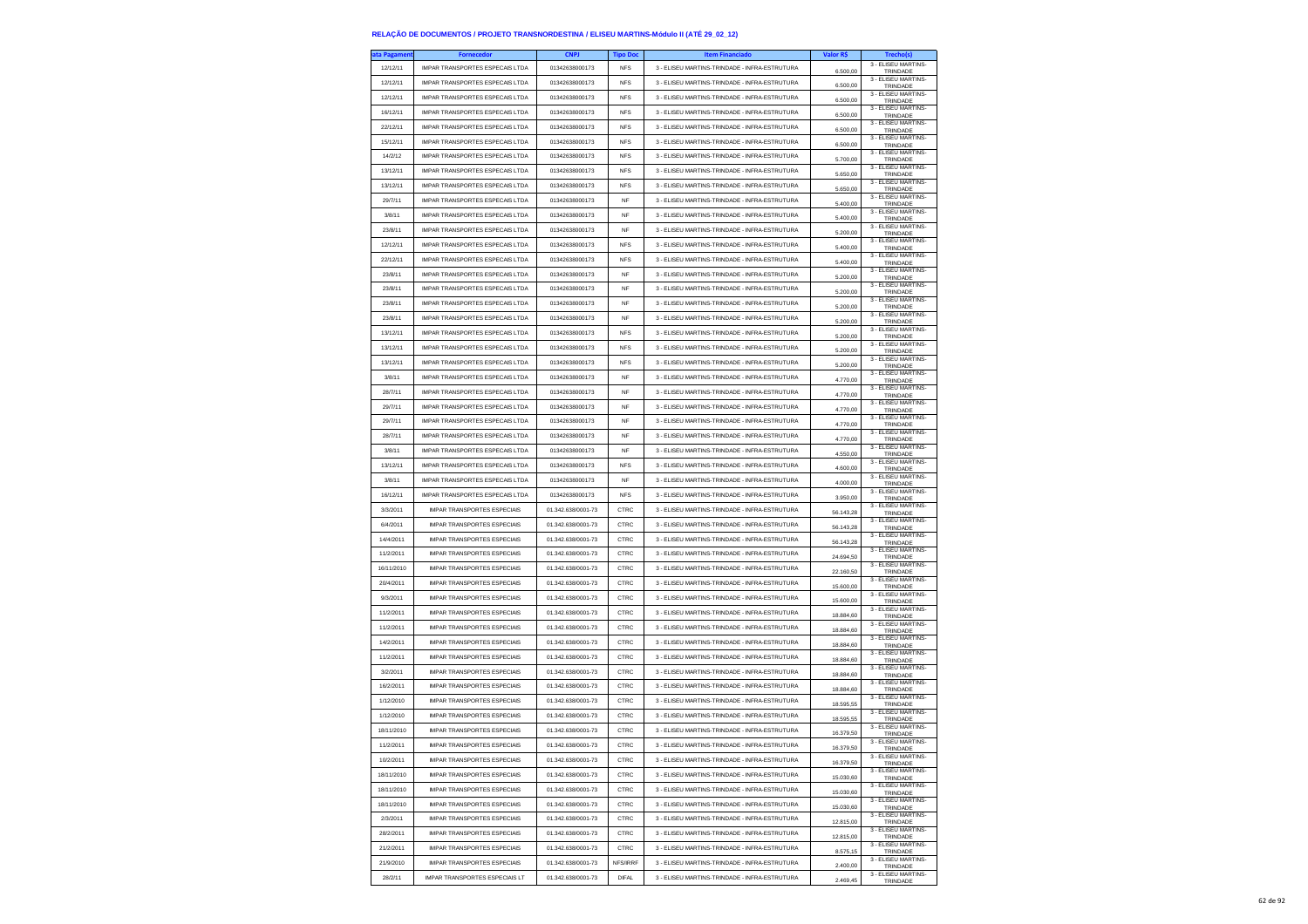| ita Pagameni | <b>Fornecedor</b>                      | <b>CNPJ</b>        | <b>Tipo Doc</b> | <b>Item Financiado</b>                        | Valor R\$ | Trecho(s)                       |
|--------------|----------------------------------------|--------------------|-----------------|-----------------------------------------------|-----------|---------------------------------|
| 12/12/11     | IMPAR TRANSPORTES ESPECAIS LTDA        | 01342638000173     | <b>NFS</b>      | 3 - ELISEU MARTINS-TRINDADE - INFRA-ESTRUTURA | 6,500.00  | 3 - ELISEU MARTINS-<br>TRINDADE |
| 12/12/11     | <b>IMPAR TRANSPORTES ESPECAIS LTDA</b> | 01342638000173     | <b>NFS</b>      | 3 - ELISEU MARTINS-TRINDADE - INFRA-ESTRUTURA |           | 3 - ELISEU MARTINS-             |
| 12/12/11     |                                        |                    |                 |                                               | 6.500,00  | TRINDADE<br>3 - ELISEU MARTINS- |
|              | IMPAR TRANSPORTES ESPECAIS LTDA        | 01342638000173     | <b>NFS</b>      | 3 - ELISEU MARTINS-TRINDADE - INFRA-ESTRUTURA | 6.500,00  | TRINDADE<br>3 - ELISEU MARTINS- |
| 16/12/11     | IMPAR TRANSPORTES ESPECAIS LTDA        | 01342638000173     | <b>NFS</b>      | 3 - ELISEU MARTINS-TRINDADE - INFRA-ESTRUTURA | 6,500.00  | TRINDADE                        |
| 22/12/11     | <b>IMPAR TRANSPORTES ESPECAIS LTDA</b> | 01342638000173     | <b>NFS</b>      | 3 - ELISEU MARTINS-TRINDADE - INFRA-ESTRUTURA | 6,500.00  | 3 - ELISEU MARTINS-<br>TRINDADE |
| 15/12/11     | IMPAR TRANSPORTES ESPECAIS LTDA        | 01342638000173     | <b>NFS</b>      | 3 - ELISEU MARTINS-TRINDADE - INFRA-ESTRUTURA |           | 3 - ELISEU MARTINS-             |
| 14/2/12      | IMPAR TRANSPORTES ESPECAIS LTDA        | 01342638000173     | <b>NFS</b>      | 3 - ELISEU MARTINS-TRINDADE - INFRA-ESTRUTURA | 6.500,00  | TRINDADE<br>3 - ELISEU MARTINS- |
|              |                                        |                    |                 |                                               | 5.700,00  | TRINDADE<br>3 - ELISEU MARTINS- |
| 13/12/11     | <b>IMPAR TRANSPORTES ESPECAIS LTDA</b> | 01342638000173     | <b>NFS</b>      | 3 - ELISEU MARTINS-TRINDADE - INFRA-ESTRUTURA | 5.650,00  | TRINDADE                        |
| 13/12/11     | IMPAR TRANSPORTES ESPECAIS LTDA        | 01342638000173     | <b>NFS</b>      | 3 - ELISEU MARTINS-TRINDADE - INFRA-ESTRUTURA | 5.650,00  | 3 - ELISEU MARTINS-<br>TRINDADE |
| 29/7/11      | IMPAR TRANSPORTES ESPECAIS LTDA        | 01342638000173     | NF              | 3 - ELISEU MARTINS-TRINDADE - INFRA-ESTRUTURA | 5.400,00  | 3 - ELISEU MARTINS-<br>TRINDADE |
| 3/8/11       | <b>IMPAR TRANSPORTES ESPECAIS LTDA</b> | 01342638000173     | <b>NF</b>       | 3 - ELISEU MARTINS-TRINDADE - INFRA-ESTRUTURA |           | 3 - FLISEU MARTINS-             |
|              |                                        |                    |                 |                                               | 5.400,00  | TRINDADE<br>3 - ELISEU MARTINS- |
| 23/8/11      | IMPAR TRANSPORTES ESPECAIS LTDA        | 01342638000173     | NF              | 3 - ELISEU MARTINS-TRINDADE - INFRA-ESTRUTURA | 5.200,00  | TRINDADE<br>3 - FLISEU MARTINS- |
| 12/12/11     | IMPAR TRANSPORTES ESPECAIS LTDA        | 01342638000173     | <b>NFS</b>      | 3 - ELISEU MARTINS-TRINDADE - INFRA-ESTRUTURA | 5.400,00  | TRINDADE                        |
| 22/12/11     | IMPAR TRANSPORTES ESPECAIS LTDA        | 01342638000173     | <b>NFS</b>      | 3 - ELISEU MARTINS-TRINDADE - INFRA-ESTRUTURA | 5,400.00  | 3 - FLISEU MARTINS-<br>TRINDADE |
| 23/8/11      | IMPAR TRANSPORTES ESPECAIS I TDA       | 01342638000173     | NF              | 3 - ELISEU MARTINS-TRINDADE - INFRA-ESTRUTURA | 5.200,00  | 3 - ELISEU MARTINS-             |
| 23/8/11      | IMPAR TRANSPORTES ESPECAIS LTDA        | 01342638000173     | NF              | 3 - ELISEU MARTINS-TRINDADE - INFRA-ESTRUTURA |           | TRINDADE<br>3 - ELISEU MARTINS- |
|              |                                        |                    |                 |                                               | 5.200,00  | TRINDADE<br>3 - ELISEU MARTINS- |
| 23/8/11      | IMPAR TRANSPORTES ESPECAIS LTDA        | 01342638000173     | <b>NF</b>       | 3 - ELISEU MARTINS-TRINDADE - INFRA-ESTRUTURA | 5,200.00  | TRINDADE                        |
| 23/8/11      | IMPAR TRANSPORTES ESPECAIS LTDA        | 01342638000173     | NF              | 3 - ELISEU MARTINS-TRINDADE - INFRA-ESTRUTURA | 5.200,00  | 3 - ELISEU MARTINS-<br>TRINDADE |
| 13/12/11     | IMPAR TRANSPORTES ESPECAIS LTDA        | 01342638000173     | <b>NFS</b>      | 3 - ELISEU MARTINS-TRINDADE - INFRA-ESTRUTURA | 5.200,00  | 3 - ELISEU MARTINS-<br>TRINDADE |
| 13/12/11     | IMPAR TRANSPORTES ESPECAIS LTDA        | 01342638000173     | <b>NFS</b>      | 3 - ELISEU MARTINS-TRINDADE - INFRA-ESTRUTURA | 5,200.00  | 3 - ELISEU MARTINS-             |
| 13/12/11     | IMPAR TRANSPORTES ESPECAIS LTDA        | 01342638000173     | <b>NFS</b>      | 3 - ELISEU MARTINS-TRINDADE - INFRA-ESTRUTURA |           | TRINDADE<br>3 - ELISEU MARTINS- |
|              |                                        |                    |                 |                                               | 5.200,00  | TRINDADE<br>3 - ELISEU MARTINS- |
| 3/8/11       | IMPAR TRANSPORTES ESPECAIS LTDA        | 01342638000173     | NF              | 3 - ELISEU MARTINS-TRINDADE - INFRA-ESTRUTURA | 4.770,00  | TRINDADE                        |
| 28/7/11      | IMPAR TRANSPORTES ESPECAIS LTDA        | 01342638000173     | <b>NF</b>       | 3 - ELISEU MARTINS-TRINDADE - INFRA-ESTRUTURA | 4.770.00  | 3 - ELISEU MARTINS-<br>TRINDADE |
| 29/7/11      | <b>IMPAR TRANSPORTES ESPECAIS LTDA</b> | 01342638000173     | <b>NF</b>       | 3 - ELISEU MARTINS-TRINDADE - INFRA-ESTRUTURA | 4.770,00  | 3 - ELISEU MARTINS-<br>TRINDADE |
| 29/7/11      | IMPAR TRANSPORTES ESPECAIS LTDA        | 01342638000173     | NF              | 3 - ELISEU MARTINS-TRINDADE - INFRA-ESTRUTURA | 4.770,00  | 3 - ELISEU MARTINS-<br>TRINDADE |
| 28/7/11      | IMPAR TRANSPORTES ESPECAIS LTDA        | 01342638000173     | <b>NF</b>       | 3 - ELISEU MARTINS-TRINDADE - INFRA-ESTRUTURA |           | 3 - FLISEU MARTINS-             |
|              |                                        |                    |                 |                                               | 4,770.00  | TRINDADE<br>3 - ELISEU MARTINS- |
| 3/8/11       | IMPAR TRANSPORTES ESPECAIS I TDA       | 01342638000173     | NF              | 3 - ELISEU MARTINS-TRINDADE - INFRA-ESTRUTURA | 4.550,00  | TRINDADE                        |
| 13/12/11     | IMPAR TRANSPORTES ESPECAIS LTDA        | 01342638000173     | <b>NFS</b>      | 3 - ELISEU MARTINS-TRINDADE - INFRA-ESTRUTURA | 4.600,00  | 3 - ELISEU MARTINS-<br>TRINDADE |
| 3/8/11       | IMPAR TRANSPORTES ESPECAIS LTDA        | 01342638000173     | <b>NF</b>       | 3 - ELISEU MARTINS-TRINDADE - INFRA-ESTRUTURA | 4.000.00  | 3 - FLISEU MARTINS-<br>TRINDADE |
| 16/12/11     | <b>IMPAR TRANSPORTES ESPECAIS LTDA</b> | 01342638000173     | <b>NFS</b>      | 3 - ELISEU MARTINS-TRINDADE - INFRA-ESTRUTURA | 3.950,00  | 3 - ELISEU MARTINS-<br>TRINDADE |
| 3/3/2011     | <b>IMPAR TRANSPORTES ESPECIAIS</b>     | 01.342.638/0001-73 | CTRC            | 3 - ELISEU MARTINS-TRINDADE - INFRA-ESTRUTURA |           | 3 - ELISEU MARTINS-             |
| 6/4/2011     | IMPAR TRANSPORTES ESPECIAIS            | 01.342.638/0001-73 | CTRC            | 3 - ELISEU MARTINS-TRINDADE - INFRA-ESTRUTURA | 56.143,28 | TRINDADE<br>3 - ELISEU MARTINS- |
|              |                                        |                    |                 |                                               | 56.143,28 | TRINDADE<br>3 - ELISEU MARTINS- |
| 14/4/2011    | <b>IMPAR TRANSPORTES ESPECIAIS</b>     | 01.342.638/0001-73 | CTRC            | 3 - ELISEU MARTINS-TRINDADE - INFRA-ESTRUTURA | 56.143,28 | TRINDADE<br>3 - ELISEU MARTINS- |
| 11/2/2011    | <b>IMPAR TRANSPORTES ESPECIAIS</b>     | 01.342.638/0001-73 | CTRC            | 3 - ELISEU MARTINS-TRINDADE - INFRA-ESTRUTURA | 24.694,50 | TRINDADE                        |
| 16/11/2010   | <b>IMPAR TRANSPORTES ESPECIAIS</b>     | 01.342.638/0001-73 | CTRC            | 3 - ELISEU MARTINS-TRINDADE - INFRA-ESTRUTURA | 22.160,50 | 3 - ELISEU MARTINS-<br>TRINDADE |
| 20/4/2011    | <b>IMPAR TRANSPORTES ESPECIAIS</b>     | 01.342.638/0001-73 | CTRC            | 3 - ELISEU MARTINS-TRINDADE - INFRA-ESTRUTURA | 15.600,00 | 3 - ELISEU MARTINS-<br>TRINDADE |
| 9/3/2011     | <b>IMPAR TRANSPORTES ESPECIAIS</b>     | 01.342.638/0001-73 | CTRC            | 3 - ELISEU MARTINS-TRINDADE - INFRA-ESTRUTURA |           | 3 - ELISEU MARTINS-             |
| 11/2/2011    | <b>IMPAR TRANSPORTES ESPECIAIS</b>     | 01.342.638/0001-73 | CTRC            | 3 - ELISEU MARTINS-TRINDADE - INFRA-ESTRUTURA | 15.600,00 | TRINDADE<br>3 - ELISEU MARTINS- |
|              |                                        |                    |                 |                                               | 18.884,60 | TRINDADE<br>3 - ELISEU MARTINS- |
| 11/2/2011    | <b>IMPAR TRANSPORTES ESPECIAIS</b>     | 01.342.638/0001-73 | CTRC            | 3 - ELISEU MARTINS-TRINDADE - INFRA-ESTRUTURA | 18.884,60 | TRINDADE                        |
| 14/2/2011    | <b>IMPAR TRANSPORTES ESPECIAIS</b>     | 01.342.638/0001-73 | CTRC            | 3 - ELISEU MARTINS-TRINDADE - INFRA-ESTRUTURA | 18.884,60 | 3 - ELISEU MARTINS-<br>TRINDADE |
| 11/2/2011    | <b>IMPAR TRANSPORTES ESPECIAIS</b>     | 01.342.638/0001-73 | CTRC            | 3 - ELISEU MARTINS-TRINDADE - INFRA-ESTRUTURA | 18.884,60 | 3 - ELISEU MARTINS-<br>TRINDADE |
| 3/2/2011     | <b>IMPAR TRANSPORTES ESPECIAIS</b>     | 01.342.638/0001-73 | CTRC            | 3 - ELISEU MARTINS-TRINDADE - INFRA-ESTRUTURA |           | 3 - ELISEU MARTINS-             |
|              |                                        |                    |                 |                                               | 18 884 60 | TRINDADE<br>3 - ELISEU MARTINS- |
| 16/2/2011    | <b>IMPAR TRANSPORTES ESPECIAIS</b>     | 01.342.638/0001-73 | CTRC            | 3 - ELISEU MARTINS-TRINDADE - INFRA-ESTRUTURA | 18.884,60 | TRINDADE<br>3 - ELISEU MARTINS- |
| 1/12/2010    | <b>IMPAR TRANSPORTES ESPECIAIS</b>     | 01.342.638/0001-73 | CTRC            | 3 - ELISEU MARTINS-TRINDADE - INFRA-ESTRUTURA | 18.595,55 | TRINDADE                        |
| 1/12/2010    | <b>IMPAR TRANSPORTES ESPECIAIS</b>     | 01.342.638/0001-73 | CTRC            | 3 - ELISEU MARTINS-TRINDADE - INFRA-ESTRUTURA | 18,595.55 | 3 - ELISEU MARTINS-<br>TRINDADE |
| 18/11/2010   | <b>IMPAR TRANSPORTES ESPECIAIS</b>     | 01.342.638/0001-73 | CTRC            | 3 - ELISEU MARTINS-TRINDADE - INFRA-ESTRUTURA | 16.379,50 | 3 - ELISEU MARTINS-<br>TRINDADE |
| 11/2/2011    | <b>IMPAR TRANSPORTES ESPECIAIS</b>     | 01.342.638/0001-73 | CTRC            | 3 - ELISEU MARTINS-TRINDADE - INFRA-ESTRUTURA |           | 3 - ELISEU MARTINS-             |
|              |                                        |                    |                 |                                               | 16.379.50 | TRINDAD<br>3 - ELISEU MARTINS-  |
| 10/2/2011    | <b>IMPAR TRANSPORTES ESPECIAIS</b>     | 01.342.638/0001-73 | CTRC            | 3 - ELISEU MARTINS-TRINDADE - INFRA-ESTRUTURA | 16 379 50 | TRINDADE<br>3 - ELISEU MARTINS- |
| 18/11/2010   | <b>IMPAR TRANSPORTES ESPECIAIS</b>     | 01.342.638/0001-73 | CTRC            | 3 - ELISEU MARTINS-TRINDADE - INFRA-ESTRUTURA | 15.030,60 | TRINDADE                        |
| 18/11/2010   | <b>IMPAR TRANSPORTES ESPECIAIS</b>     | 01.342.638/0001-73 | CTRC            | 3 - ELISEU MARTINS-TRINDADE - INFRA-ESTRUTURA | 15.030,60 | 3 - ELISEU MARTINS-<br>TRINDADE |
| 18/11/2010   | IMPAR TRANSPORTES ESPECIAIS            | 01.342.638/0001-73 | CTRC            | 3 - ELISEU MARTINS-TRINDADE - INFRA-ESTRUTURA | 15 030 60 | 3 - FLISEU MARTINS-<br>TRINDADE |
| 2/3/2011     | <b>IMPAR TRANSPORTES ESPECIAIS</b>     | 01.342.638/0001-73 | CTRC            | 3 - ELISEU MARTINS-TRINDADE - INFRA-ESTRUTURA |           | 3 - ELISEU MARTINS-             |
|              |                                        |                    |                 |                                               | 12.815,00 | TRINDADE<br>3 - ELISEU MARTINS- |
| 28/2/2011    | <b>IMPAR TRANSPORTES ESPECIAIS</b>     | 01.342.638/0001-73 | CTRC            | 3 - ELISEU MARTINS-TRINDADE - INFRA-ESTRUTURA | 12.815,00 | TRINDADE<br>3 - FLISEU MARTINS- |
| 21/2/2011    | <b>IMPAR TRANSPORTES ESPECIAIS</b>     | 01.342.638/0001-73 | CTRC            | 3 - ELISEU MARTINS-TRINDADE - INFRA-ESTRUTURA | 8,575.15  | TRINDADE                        |
| 21/9/2010    | <b>IMPAR TRANSPORTES ESPECIAIS</b>     | 01.342.638/0001-73 | NFS/IRRF        | 3 - ELISEU MARTINS-TRINDADE - INFRA-ESTRUTURA | 2.400,00  | 3 - ELISEU MARTINS-<br>TRINDADE |
| 28/2/11      | IMPAR TRANSPORTES ESPECIAIS LT         | 01.342.638/0001-73 | <b>DIFAL</b>    | 3 - ELISEU MARTINS-TRINDADE - INFRA-ESTRUTURA | 2.469,45  | 3 - ELISEU MARTINS-<br>TRINDADE |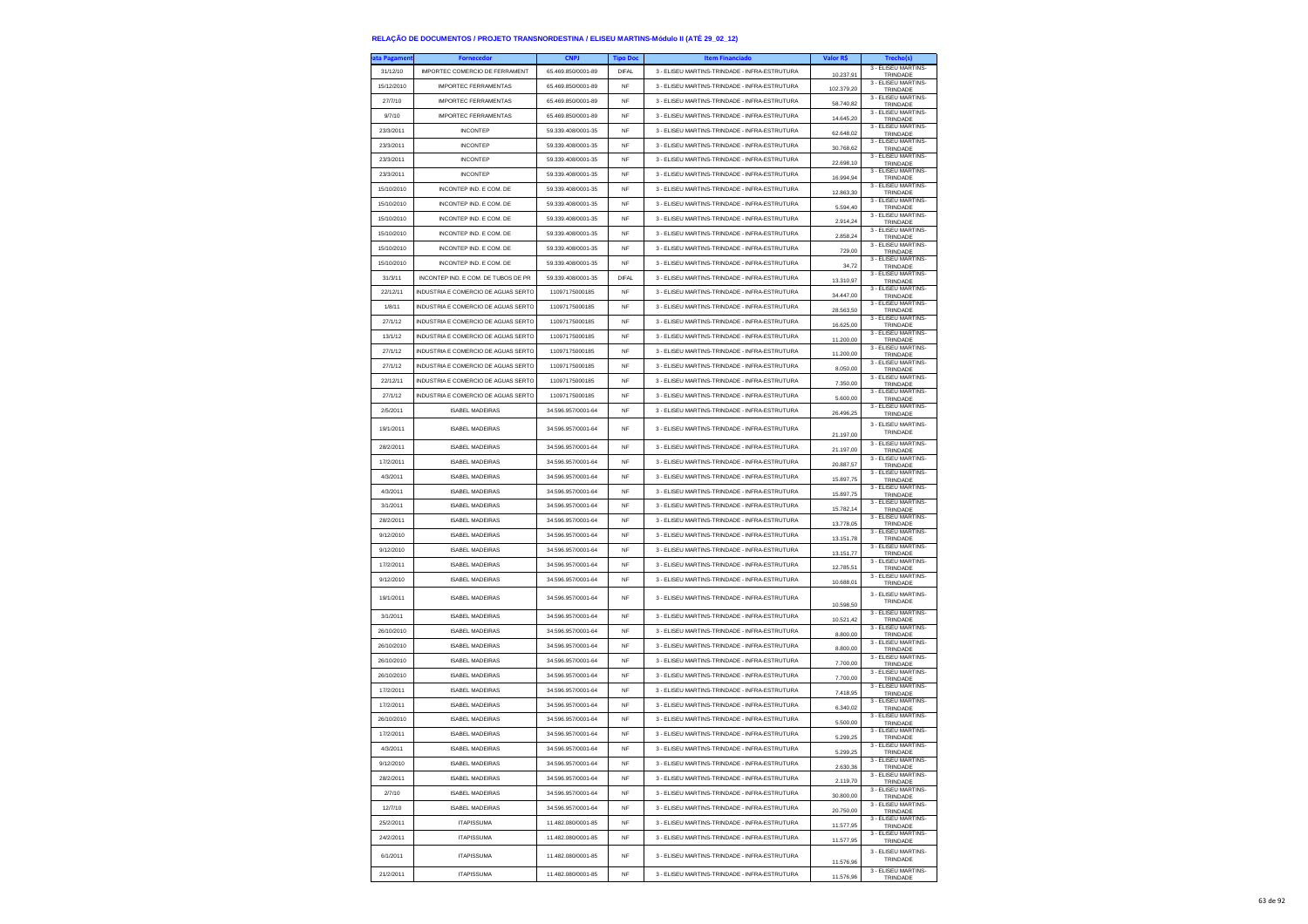| a Pagamen              | <b>Fornecedor</b>                                | <b>CNPJ</b>                              | <b>Tipo Dos</b> | <b>Item Financiado</b>                        | Valor R\$  | Trecho(s)                             |
|------------------------|--------------------------------------------------|------------------------------------------|-----------------|-----------------------------------------------|------------|---------------------------------------|
| 31/12/10               | IMPORTEC COMERCIO DE FERRAMENT                   | 65.469.850/0001-89                       | <b>DIFAL</b>    | 3 - ELISEU MARTINS-TRINDADE - INFRA-ESTRUTURA | 10.237,91  | 3 - ELISEU MARTINS-<br>TRINDADE       |
| 15/12/2010             | <b>IMPORTEC FERRAMENTAS</b>                      | 65.469.850/0001-89                       | NF              | 3 - ELISEU MARTINS-TRINDADE - INFRA-ESTRUTURA | 102.379.20 | 3 - FLISEU MARTINS-<br>TRINDADE       |
| 27/7/10                | <b>IMPORTEC FERRAMENTAS</b>                      | 65.469.850/0001-89                       | <b>NF</b>       | 3 - ELISEU MARTINS-TRINDADE - INFRA-ESTRUTURA | 58.740.82  | 3 - ELISEU MARTINS<br>TRINDADE        |
| 9/7/10                 | <b>IMPORTEC FERRAMENTAS</b>                      | 65.469.850/0001-89                       | <b>NF</b>       | 3 - ELISEU MARTINS-TRINDADE - INFRA-ESTRUTURA | 14.645,20  | 3 - ELISEU MARTINS-<br>TRINDADE       |
| 23/3/2011              | <b>INCONTEP</b>                                  | 59.339.408/0001-35                       | NF              | 3 - ELISEU MARTINS-TRINDADE - INFRA-ESTRUTURA | 62.648,02  | 3 - ELISEU MARTINS-<br>TRINDADE       |
| 23/3/2011              | <b>INCONTEP</b>                                  | 59.339.408/0001-35                       | <b>NF</b>       | 3 - ELISEU MARTINS-TRINDADE - INFRA-ESTRUTURA |            | 3 - ELISEU MARTINS-                   |
| 23/3/2011              | <b>INCONTEP</b>                                  | 59.339.408/0001-35                       | <b>NF</b>       | 3 - ELISEU MARTINS-TRINDADE - INFRA-ESTRUTURA | 30.768.62  | TRINDADE<br>3 - ELISEU MARTINS-       |
| 23/3/2011              | <b>INCONTEP</b>                                  | 59.339.408/0001-35                       | NF              | 3 - ELISEU MARTINS-TRINDADE - INFRA-ESTRUTURA | 22.698.10  | TRINDADE<br>3 - ELISEU MARTINS-       |
| 15/10/2010             | INCONTEP IND. E COM. DE                          | 59.339.408/0001-35                       | <b>NF</b>       | 3 - ELISEU MARTINS-TRINDADE - INFRA-ESTRUTURA | 16.994,94  | TRINDADE<br>3 - ELISEU MARTINS-       |
|                        |                                                  | 59.339.408/0001-35                       |                 |                                               | 12.863.30  | TRINDADE<br>3 - ELISEU MARTINS-       |
| 15/10/2010             | INCONTEP IND. E COM. DE                          |                                          | <b>NF</b>       | 3 - ELISEU MARTINS-TRINDADE - INFRA-ESTRUTURA | 5,594.40   | TRINDADE<br>3 - ELISEU MARTINS-       |
| 15/10/2010             | INCONTEP IND. E COM. DE                          | 59.339.408/0001-35                       | NF              | 3 - ELISEU MARTINS-TRINDADE - INFRA-ESTRUTURA | 2.914,24   | TRINDADE<br>3 - ELISEU MARTINS-       |
| 15/10/2010             | INCONTEP IND. E COM. DE                          | 59.339.408/0001-35                       | <b>NF</b>       | 3 - ELISEU MARTINS-TRINDADE - INFRA-ESTRUTURA | 2.858.24   | TRINDADE<br>3 - ELISEU MARTINS-       |
| 15/10/2010             | INCONTEP IND. E COM. DE                          | 59.339.408/0001-35                       | <b>NF</b>       | 3 - ELISEU MARTINS-TRINDADE - INFRA-ESTRUTURA | 729,00     | TRINDADE<br>3 - ELISEU MARTINS-       |
| 15/10/2010             | INCONTEP IND. E COM. DE                          | 59.339.408/0001-35                       | <b>NF</b>       | 3 - ELISEU MARTINS-TRINDADE - INFRA-ESTRUTURA | 34,72      | TRINDADE<br>3 - FLISEU MARTINS        |
| 31/3/11                | INCONTEP IND. E COM. DE TUBOS DE PR              | 59.339.408/0001-35                       | DIFAL           | 3 - ELISEU MARTINS-TRINDADE - INFRA-ESTRUTURA | 13,310.97  | TRINDADE                              |
| 22/12/11               | <b>INDUSTRIA E COMERCIO DE AGUAS SERTO</b>       | 11097175000185                           | <b>NF</b>       | 3 - ELISEU MARTINS-TRINDADE - INFRA-ESTRUTURA | 34.447,00  | 3 - ELISEU MARTINS-<br>TRINDADE       |
| 1/8/11                 | INDUSTRIA E COMERCIO DE AGUAS SERTO              | 11097175000185                           | <b>NF</b>       | 3 - ELISEU MARTINS-TRINDADE - INFRA-ESTRUTURA | 28.563,50  | 3 - ELISEU MARTINS-<br>TRINDADE       |
| 27/1/12                | INDUSTRIA E COMERCIO DE AGUAS SERTO              | 11097175000185                           | <b>NF</b>       | 3 - ELISEU MARTINS-TRINDADE - INFRA-ESTRUTURA | 16.625.00  | 3 - ELISEU MARTINS-<br>TRINDADE       |
| 13/1/12                | <b>INDUSTRIA E COMERCIO DE AGUAS SERTO</b>       | 11097175000185                           | <b>NF</b>       | 3 - ELISEU MARTINS-TRINDADE - INFRA-ESTRUTURA | 11.200,00  | 3 - ELISEU MARTINS-<br>TRINDADE       |
| 27/1/12                | INDUSTRIA E COMERCIO DE AGUAS SERTO              | 11097175000185                           | <b>NF</b>       | 3 - ELISEU MARTINS-TRINDADE - INFRA-ESTRUTURA | 11.200,00  | 3 - ELISEU MARTINS<br>TRINDADE        |
| 27/1/12                | INDUSTRIA E COMERCIO DE AGUAS SERTO              | 11097175000185                           | NF              | 3 - ELISEU MARTINS-TRINDADE - INFRA-ESTRUTURA | 8.050.00   | 3 - ELISEU MARTINS<br>TRINDADE        |
| 22/12/11               | <b>INDUSTRIA E COMERCIO DE AGUAS SERTO</b>       | 11097175000185                           | <b>NF</b>       | 3 - FLISELLMARTINS-TRINDADE - INFRA-ESTRUTURA | 7.350,00   | 3 - FLISEU MARTINS-<br>TRINDADE       |
| 27/1/12                | <b>INDUSTRIA E COMERCIO DE AGUAS SERTO</b>       | 11097175000185                           | <b>NF</b>       | 3 - FLISELLMARTINS-TRINDADE - INFRA-ESTRUTURA | 5.600.00   | 3 - ELISEU MARTINS-<br>TRINDADE       |
| 2/5/2011               | <b>ISABEL MADEIRAS</b>                           | 34.596.957/0001-64                       | NF              | 3 - ELISEU MARTINS-TRINDADE - INFRA-ESTRUTURA | 26.496,25  | 3 - ELISEU MARTINS-<br>TRINDADE       |
| 19/1/2011              | <b>ISABEL MADEIRAS</b>                           | 34.596.957/0001-64                       | NF              | 3 - ELISEU MARTINS-TRINDADE - INFRA-ESTRUTURA |            | 3 - FLISEU MARTINS-<br>TRINDADE       |
|                        |                                                  |                                          |                 | 3 - ELISEU MARTINS-TRINDADE - INFRA-ESTRUTURA | 21.197,00  | 3 - ELISEU MARTINS-                   |
| 28/2/2011<br>17/2/2011 | <b>ISABEL MADEIRAS</b><br><b>ISABEL MADEIRAS</b> | 34.596.957/0001-64<br>34.596.957/0001-64 | NF<br><b>NF</b> | 3 - ELISEU MARTINS-TRINDADE - INFRA-ESTRUTURA | 21.197,00  | TRINDADE<br>3 - ELISEU MARTINS-       |
|                        |                                                  | 34.596.957/0001-64                       |                 | 3 - FLISEU MARTINS-TRINDADE - INFRA-ESTRUTURA | 20.887.57  | TRINDADE<br>3 - ELISEU MARTINS-       |
| 4/3/2011               | <b>ISABEL MADEIRAS</b>                           |                                          | <b>NF</b>       |                                               | 15.897,75  | TRINDADE<br>3 - ELISEU MARTINS-       |
| 4/3/2011               | <b>ISABEL MADEIRAS</b>                           | 34.596.957/0001-64                       | NF              | 3 - ELISEU MARTINS-TRINDADE - INFRA-ESTRUTURA | 15.897,75  | TRINDADE<br>3 - ELISEU MARTINS        |
| 3/1/2011               | <b>ISABEL MADEIRAS</b>                           | 34.596.957/0001-64                       | <b>NF</b>       | 3 - ELISEU MARTINS-TRINDADE - INFRA-ESTRUTURA | 15.782.14  | TRINDADE<br>3 - ELISEU MARTINS-       |
| 28/2/2011              | <b>ISABEL MADEIRAS</b>                           | 34.596.957/0001-64                       | <b>NF</b>       | 3 - ELISEU MARTINS-TRINDADE - INFRA-ESTRUTURA | 13.778,05  | TRINDADE<br>3 - ELISEU MARTINS-       |
| 9/12/2010              | <b>ISABEL MADEIRAS</b>                           | 34.596.957/0001-64                       | <b>NF</b>       | 3 - ELISEU MARTINS-TRINDADE - INFRA-ESTRUTURA | 13.151,78  | TRINDADE<br>3 - ELISEU MARTINS        |
| 9/12/2010              | <b>ISABEL MADEIRAS</b>                           | 34.596.957/0001-64                       | <b>NF</b>       | 3 - ELISEU MARTINS-TRINDADE - INFRA-ESTRUTURA | 13.151,77  | TRINDADE                              |
| 17/2/2011              | <b>ISABEL MADEIRAS</b>                           | 34.596.957/0001-64                       | <b>NF</b>       | 3 - ELISEU MARTINS-TRINDADE - INFRA-ESTRUTURA | 12.785,51  | 3 - ELISEU MARTINS-<br>TRINDADE       |
| 9/12/2010              | <b>ISABEL MADEIRAS</b>                           | 34.596.957/0001-64                       | <b>NF</b>       | 3 - ELISEU MARTINS-TRINDADE - INFRA-ESTRUTURA | 10.688,01  | 3 - ELISEU MARTINS-<br>TRINDADE       |
| 19/1/2011              | <b>ISABEL MADEIRAS</b>                           | 34.596.957/0001-64                       | <b>NF</b>       | 3 - ELISEU MARTINS-TRINDADE - INFRA-ESTRUTURA | 10,598.50  | 3 - ELISEU MARTINS<br>TRINDADE        |
| 3/1/2011               | <b>ISABEL MADEIRAS</b>                           | 34.596.957/0001-64                       | NF              | 3 - ELISEU MARTINS-TRINDADE - INFRA-ESTRUTURA | 10.521,42  | 3 - ELISEU MARTINS-<br>TRINDADE       |
| 26/10/2010             | <b>ISABEL MADEIRAS</b>                           | 34.596.957/0001-64                       | NF              | 3 - ELISEU MARTINS-TRINDADE - INFRA-ESTRUTURA | 8,800.00   | 3 - ELISEU MARTINS<br>TRINDADE        |
| 26/10/2010             | <b>ISABEL MADEIRAS</b>                           | 34.596.957/0001-64                       | <b>NF</b>       | 3 - ELISEU MARTINS-TRINDADE - INFRA-ESTRUTURA | 8,800.00   | 3 - ELISEU MARTINS-<br>TRINDADE       |
| 26/10/2010             | <b>ISABEL MADEIRAS</b>                           | 34.596.957/0001-64                       | <b>NF</b>       | 3 - ELISELLMARTINS-TRINDADE - INFRA-ESTRUTURA |            | 3 - ELISEU MARTINS-                   |
| 26/10/2010             | <b>ISABEL MADEIRAS</b>                           | 34.596.957/0001-64                       | NF              | 3 - ELISEU MARTINS-TRINDADE - INFRA-ESTRUTURA | 7.700,00   | TRINDADE<br>3 - ELISEU MARTINS-       |
| 17/2/2011              | <b>ISABEL MADEIRAS</b>                           | 34.596.957/0001-64                       | <b>NF</b>       | 3 - ELISEU MARTINS-TRINDADE - INFRA-ESTRUTURA | 7.700,00   | TRINDADE<br>3 - ELISEU MARTINS-       |
| 17/2/2011              | <b>ISABEL MADEIRAS</b>                           | 34.596.957/0001-64                       | <b>NF</b>       | 3 - ELISEU MARTINS-TRINDADE - INFRA-ESTRUTURA | 741895     | TRINDADE<br>3 - ELISEU MARTINS-       |
| 26/10/2010             | <b>ISABEL MADEIRAS</b>                           | 34.596.957/0001-64                       | <b>NF</b>       | 3 - ELISEU MARTINS-TRINDADE - INFRA-ESTRUTURA | 6.340,02   | TRINDADE<br>3 - ELISEU MARTINS-       |
| 17/2/2011              | <b>ISABEL MADEIRAS</b>                           | 34.596.957/0001-64                       | <b>NF</b>       | 3 - ELISEU MARTINS-TRINDADE - INFRA-ESTRUTURA | 5,500.00   | <b>TRINDADE</b><br>3 - ELISEU MARTINS |
|                        |                                                  | 34 596 957/0001-64                       |                 |                                               | 5.299.25   | TRINDADE<br>3 - ELISEU MARTINS-       |
|                        | ISAREL MADEIRAS                                  |                                          | <b>NF</b>       | 3 - ELISELLMARTINS-TRINDADE - INFRA-ESTRUTURA | 5.299,25   | TRINDADE<br>3 - ELISEU MARTINS-       |
| 9/12/2010              | <b>ISABEL MADEIRAS</b>                           | 34.596.957/0001-64                       | <b>NF</b>       | 3 - ELISEU MARTINS-TRINDADE - INFRA-ESTRUTURA | 2.630,36   | TRINDADE<br>3 - FLISEU MARTINS-       |
| 28/2/2011              | <b>ISABEL MADEIRAS</b>                           | 34.596.957/0001-64                       | <b>NF</b>       | 3 - ELISEU MARTINS-TRINDADE - INFRA-ESTRUTURA | 2.119,70   | TRINDADE<br>3 - ELISEU MARTINS-       |
| 2/7/10                 | <b>ISABEL MADEIRAS</b>                           | 34 596 957/0001-64                       | <b>NF</b>       | 3 - FLISELLMARTINS-TRINDADE - INFRA-ESTRUTURA | 30.800,00  | TRINDADE<br>3 - ELISEU MARTINS-       |
| 12/7/10                | <b>ISABEL MADEIRAS</b>                           | 34.596.957/0001-64                       | NF              | 3 - ELISEU MARTINS-TRINDADE - INFRA-ESTRUTURA | 20.750,00  | TRINDADE<br>3 - FLISEU MARTINS-       |
| 25/2/2011              | <b>ITAPISSUMA</b>                                | 11.482.080/0001-85                       | <b>NF</b>       | 3 - ELISEU MARTINS-TRINDADE - INFRA-ESTRUTURA | 11.577.95  | TRINDADE                              |
| 24/2/2011              | <b>ITAPISSUMA</b>                                | 11.482.080/0001-85                       | <b>NF</b>       | 3 - ELISEU MARTINS-TRINDADE - INFRA-ESTRUTURA | 11,577.95  | 3 - ELISEU MARTINS-<br>TRINDADE       |
| 6/1/2011               | <b>ITAPISSUMA</b>                                | 11.482.080/0001-85                       | <b>NF</b>       | 3 - ELISEU MARTINS-TRINDADE - INFRA-ESTRUTURA | 11.576,96  | 3 - ELISEU MARTINS-<br>TRINDADE       |
| 21/2/2011              | <b>ITAPISSUMA</b>                                | 11.482.080/0001-85                       | <b>NF</b>       | 3 - ELISEU MARTINS-TRINDADE - INFRA-ESTRUTURA | 11,576.96  | 3 - ELISEU MARTINS-<br>TRINDADE       |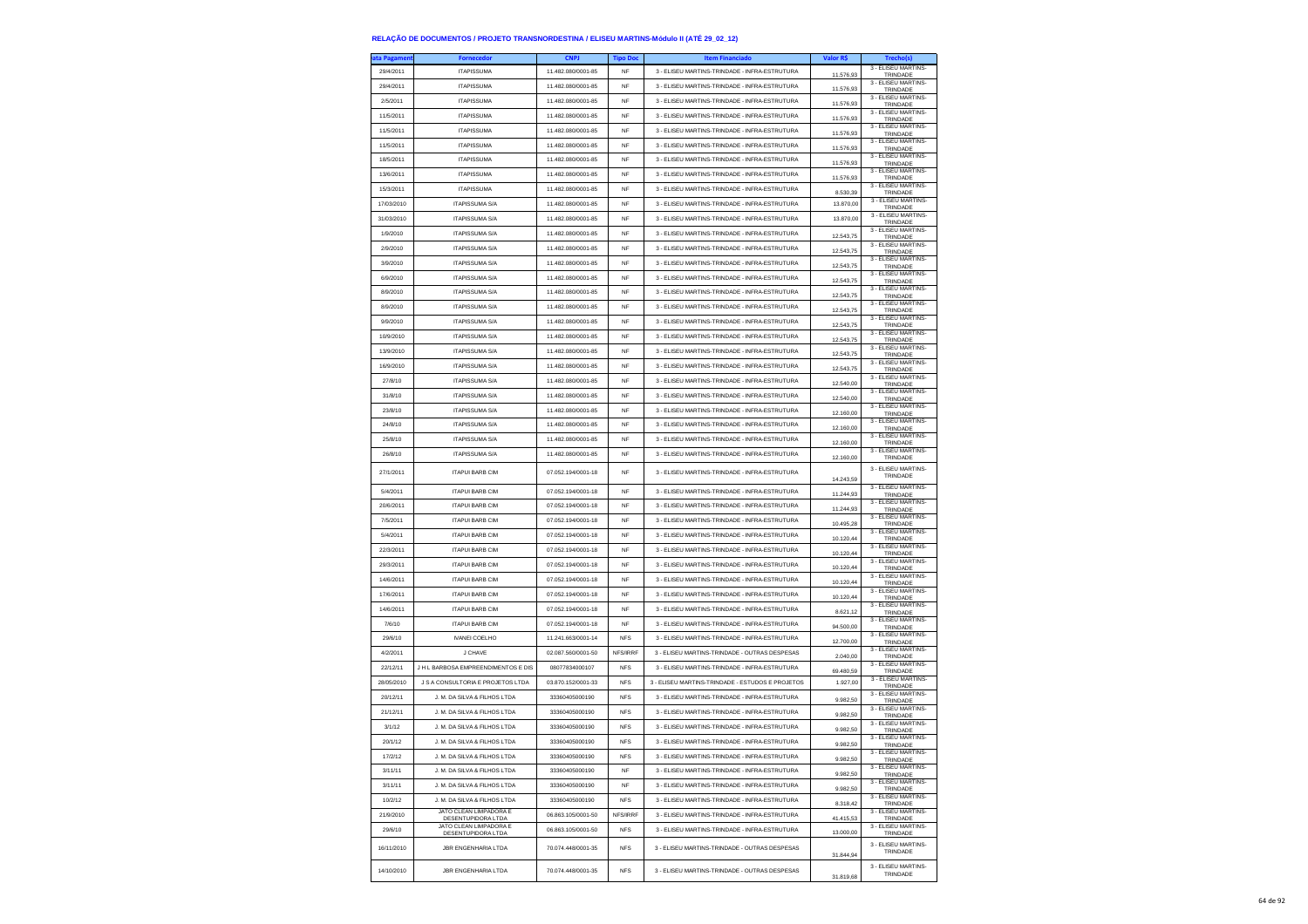| a Pagamer  | Fornecedo                                    | <b>CNPJ</b>        | <b>Tipo Dor</b> | <b>Item Financiad</b>                            | Valor R\$ | Trecho(s)                       |
|------------|----------------------------------------------|--------------------|-----------------|--------------------------------------------------|-----------|---------------------------------|
| 29/4/2011  | <b>ITAPISSUMA</b>                            | 11.482.080/0001-85 | <b>NF</b>       | 3 - ELISEU MARTINS-TRINDADE - INFRA-ESTRUTURA    | 11.576,93 | 3 - ELISEU MARTINS-<br>TRINDADE |
| 29/4/2011  | <b>ITAPISSUMA</b>                            | 11.482.080/0001-85 | NF              | 3 - ELISEU MARTINS-TRINDADE - INFRA-ESTRUTURA    | 11.576,93 | 3 - FLISEU MARTINS-<br>TRINDADE |
| 2/5/2011   | <b>ITAPISSUMA</b>                            | 11.482.080/0001-85 | <b>NF</b>       | 3 - ELISEU MARTINS-TRINDADE - INFRA-ESTRUTURA    | 11,576.93 | 3 - ELISEU MARTINS-<br>TRINDADE |
| 11/5/2011  | <b>ITAPISSUMA</b>                            | 11.482.080/0001-85 | <b>NF</b>       | 3 - ELISEU MARTINS-TRINDADE - INFRA-ESTRUTURA    | 11.576,93 | 3 - ELISEU MARTINS-<br>TRINDADE |
| 11/5/2011  | <b>ITAPISSUMA</b>                            | 11.482.080/0001-85 | NF              | 3 - ELISEU MARTINS-TRINDADE - INFRA-ESTRUTURA    | 11.576,93 | 3 - ELISEU MARTINS-             |
| 11/5/2011  | <b>ITAPISSUMA</b>                            | 11.482.080/0001-85 | <b>NF</b>       | 3 - ELISEU MARTINS-TRINDADE - INFRA-ESTRUTURA    |           | TRINDADE<br>3 - ELISEU MARTINS- |
| 18/5/2011  | <b>ITAPISSUMA</b>                            | 11 482 080/0001-85 | <b>NF</b>       | 3 - ELISEU MARTINS-TRINDADE - INFRA-ESTRUTURA    | 11.576.93 | TRINDADE<br>3 - ELISEU MARTINS- |
| 13/6/2011  | <b>ITAPISSUMA</b>                            | 11.482.080/0001-85 | NF              | 3 - ELISEU MARTINS-TRINDADE - INFRA-ESTRUTURA    | 11.576.93 | TRINDADE<br>3 - ELISEU MARTINS- |
|            | <b>ITAPISSUMA</b>                            | 11.482.080/0001-85 | <b>NF</b>       | 3 - ELISEU MARTINS-TRINDADE - INFRA-ESTRUTURA    | 11.576,93 | TRINDADE<br>3 - ELISEU MARTINS- |
| 15/3/2011  | <b>ITAPISSUMA S/A</b>                        | 11 482 080/0001-85 |                 |                                                  | 8,530.39  | TRINDADE<br>3 - ELISEU MARTINS- |
| 17/03/2010 |                                              |                    | <b>NF</b>       | 3 - ELISEU MARTINS-TRINDADE - INFRA-ESTRUTURA    | 13 870 00 | TRINDADE<br>3 - ELISEU MARTINS- |
| 31/03/2010 | <b>ITAPISSUMA S/A</b>                        | 11.482.080/0001-85 | NF              | 3 - ELISEU MARTINS-TRINDADE - INFRA-ESTRUTURA    | 13.870,00 | TRINDADE<br>3 - ELISEU MARTINS- |
| 1/9/2010   | <b>ITAPISSUMA S/A</b>                        | 11.482.080/0001-85 | NF              | 3 - ELISEU MARTINS-TRINDADE - INFRA-ESTRUTURA    | 12 543 75 | TRINDADE<br>3 - ELISEU MARTINS- |
| 2/9/2010   | <b>ITAPISSUMA S/A</b>                        | 11.482.080/0001-85 | <b>NF</b>       | 3 - ELISEU MARTINS-TRINDADE - INFRA-ESTRUTURA    | 12.543,75 | TRINDADE                        |
| 3/9/2010   | <b>ITAPISSUMA S/A</b>                        | 11.482.080/0001-85 | <b>NF</b>       | 3 - ELISEU MARTINS-TRINDADE - INFRA-ESTRUTURA    | 12.543.75 | 3 - ELISEU MARTINS-<br>TRINDADE |
| 6/9/2010   | <b>ITAPISSUMA S/A</b>                        | 11 482 080/0001-85 | <b>NF</b>       | 3 - ELISEU MARTINS-TRINDADE - INFRA-ESTRUTURA    | 12.543.75 | 3 - FLISEU MARTINS-<br>TRINDADE |
| 8/9/2010   | <b>ITAPISSUMA S/A</b>                        | 11.482.080/0001-85 | <b>NF</b>       | 3 - ELISEU MARTINS-TRINDADE - INFRA-ESTRUTURA    | 12.543,75 | 3 - ELISEU MARTINS-<br>TRINDADE |
| 8/9/2010   | <b>ITAPISSUMA S/A</b>                        | 11.482.080/0001-85 | <b>NF</b>       | 3 - ELISEU MARTINS-TRINDADE - INFRA-ESTRUTURA    | 12.543,75 | 3 - ELISEU MARTINS-<br>TRINDADE |
| 9/9/2010   | <b>ITAPISSUMA S/A</b>                        | 11.482.080/0001-85 | <b>NF</b>       | 3 - ELISEU MARTINS-TRINDADE - INFRA-ESTRUTURA    | 12.543.75 | 3 - ELISEU MARTINS-<br>TRINDADE |
| 10/9/2010  | <b>ITAPISSUMA S/A</b>                        | 11.482.080/0001-85 | <b>NF</b>       | 3 - ELISEU MARTINS-TRINDADE - INFRA-ESTRUTURA    | 12.543,75 | 3 - ELISEU MARTINS-<br>TRINDADE |
| 13/9/2010  | <b>ITAPISSUMA S/A</b>                        | 11.482.080/0001-85 | <b>NF</b>       | 3 - ELISEU MARTINS-TRINDADE - INFRA-ESTRUTURA    | 12.543,75 | 3 - ELISEU MARTINS-<br>TRINDADE |
| 16/9/2010  | <b>ITAPISSUMA S/A</b>                        | 11.482.080/0001-85 | NF              | 3 - ELISEU MARTINS-TRINDADE - INFRA-ESTRUTURA    | 12 543 75 | 3 - ELISEU MARTINS-<br>TRINDADE |
| 27/8/10    | <b>ITAPISSUMA S/A</b>                        | 11 482 080/0001-85 | <b>NF</b>       | 3 - ELISEU MARTINS-TRINDADE - INFRA-ESTRUTURA    |           | 3 - ELISEU MARTINS-             |
| 31/8/10    | <b>ITAPISSUMA S/A</b>                        | 11.482.080/0001-85 | <b>NF</b>       | 3 - ELISEU MARTINS-TRINDADE - INFRA-ESTRUTURA    | 12.540,00 | TRINDADE<br>3 - ELISEU MARTINS- |
| 23/8/10    | <b>ITAPISSUMA S/A</b>                        | 11.482.080/0001-85 | NF              | 3 - ELISEU MARTINS-TRINDADE - INFRA-ESTRUTURA    | 12.540,00 | TRINDADE<br>3 - ELISEU MARTINS- |
| 24/8/10    | <b>ITAPISSUMA S/A</b>                        | 11.482.080/0001-85 | <b>NF</b>       | 3 - ELISEU MARTINS-TRINDADE - INFRA-ESTRUTURA    | 12.160,00 | TRINDADE<br>3 - FLISEU MARTINS- |
|            | <b>ITAPISSUMA S/A</b>                        | 11 482 080/0001-85 | <b>NF</b>       | 3 - ELISEU MARTINS-TRINDADE - INFRA-ESTRUTURA    | 12.160,00 | TRINDADE<br>3 - ELISEU MARTINS- |
| 25/8/10    |                                              |                    |                 |                                                  | 12.160,00 | TRINDADE<br>3 - ELISEU MARTINS- |
| 26/8/10    | <b>ITAPISSUMA S/A</b>                        | 11.482.080/0001-85 | NF              | 3 - ELISEU MARTINS-TRINDADE - INFRA-ESTRUTURA    | 12.160,00 | TRINDADE                        |
| 27/1/2011  | <b>ITAPUI BARB CIM</b>                       | 07.052.194/0001-18 | NF              | 3 - ELISEU MARTINS-TRINDADE - INFRA-ESTRUTURA    | 14.243,59 | 3 - ELISEU MARTINS-<br>TRINDADE |
| 5/4/2011   | <b>ITAPUI BARB CIM</b>                       | 07.052.194/0001-18 | NF              | 3 - ELISEU MARTINS-TRINDADE - INFRA-ESTRUTURA    | 11.244,93 | 3 - ELISEU MARTINS-<br>TRINDADE |
| 20/6/2011  | <b>ITAPUI BARB CIM</b>                       | 07.052.194/0001-18 | <b>NF</b>       | 3 - ELISEU MARTINS-TRINDADE - INFRA-ESTRUTURA    | 11.244.93 | 3 - ELISEU MARTINS-<br>TRINDADE |
| 7/5/2011   | <b>ITAPUI BARB CIM</b>                       | 07.052.194/0001-18 | <b>NF</b>       | 3 - ELISEU MARTINS-TRINDADE - INFRA-ESTRUTURA    | 10.495,28 | 3 - ELISEU MARTINS-<br>TRINDADE |
| 5/4/2011   | <b>ITAPUI BARB CIM</b>                       | 07.052.194/0001-18 | <b>NF</b>       | 3 - ELISEU MARTINS-TRINDADE - INFRA-ESTRUTURA    |           | 3 - ELISEU MARTINS-             |
| 22/3/2011  | <b>ITAPUI BARB CIM</b>                       | 07.052.194/0001-18 | <b>NF</b>       | 3 - ELISEU MARTINS-TRINDADE - INFRA-ESTRUTURA    | 10.120,44 | TRINDADE<br>3 - ELISEU MARTINS- |
| 29/3/2011  | <b>ITAPUI BARB CIM</b>                       | 07.052.194/0001-18 | <b>NF</b>       | 3 - ELISEU MARTINS-TRINDADE - INFRA-ESTRUTURA    | 10.120,44 | TRINDADE<br>3 - ELISEU MARTINS- |
| 14/6/2011  | <b>ITAPUI BARB CIM</b>                       | 07.052.194/0001-18 | <b>NF</b>       | 3 - ELISEU MARTINS-TRINDADE - INFRA-ESTRUTURA    | 10.120,44 | TRINDADE<br>3 - ELISEU MARTINS- |
|            |                                              |                    | <b>NF</b>       |                                                  | 10.120,44 | TRINDADE<br>3 - ELISEU MARTINS- |
| 17/6/2011  | <b>ITAPUI BARB CIM</b>                       | 07.052.194/0001-18 |                 | 3 - ELISEU MARTINS-TRINDADE - INFRA-ESTRUTURA    | 10.120.44 | TRINDADE<br>3 - ELISEU MARTINS- |
| 14/6/2011  | <b>ITAPUI BARB CIM</b>                       | 07.052.194/0001-18 | <b>NF</b>       | 3 - ELISEU MARTINS-TRINDADE - INFRA-ESTRUTURA    | 8.621,12  | TRINDADE<br>3 - ELISEU MARTINS- |
| 7/6/10     | <b>ITAPUI BARB CIM</b>                       | 07.052.194/0001-18 | <b>NF</b>       | 3 - ELISEU MARTINS-TRINDADE - INFRA-ESTRUTURA    | 94.500,00 | TRINDADE<br>3 - ELISEU MARTINS- |
| 29/6/10    | <b>IVANEI COELHO</b>                         | 11.241.663/0001-14 | <b>NFS</b>      | 3 - ELISEU MARTINS-TRINDADE - INFRA-ESTRUTURA    | 12.700,00 | TRINDADE<br>3 - ELISEU MARTINS- |
| 4/2/2011   | J CHAVE                                      | 02.087.560/0001-50 | NFS/IRRF        | 3 - ELISEU MARTINS-TRINDADE - OUTRAS DESPESAS    | 2.040,00  | TRINDADE                        |
| 22/12/11   | <b>JHI BARBOSA EMPREENDIMENTOS E DIS</b>     | 08077834000107     | <b>NFS</b>      | 3 - ELISEU MARTINS-TRINDADE - INFRA-ESTRUTURA    | 69.480,59 | 3 - ELISEU MARTINS-<br>TRINDADE |
| 28/05/2010 | J S A CONSULTORIA E PROJETOS LTDA            | 03.870.152/0001-33 | <b>NFS</b>      | 3 - ELISEU MARTINS-TRINDADE - ESTUDOS E PROJETOS | 1.927,00  | 3 - ELISEU MARTINS-<br>TRINDADE |
| 20/12/11   | J. M. DA SILVA & FILHOS LTDA                 | 33360405000190     | <b>NFS</b>      | 3 - ELISEU MARTINS-TRINDADE - INFRA-ESTRUTURA    | 9.982,50  | 3 - ELISEU MARTINS-<br>TRINDADE |
| 21/12/11   | J. M. DA SILVA & FILHOS LTDA                 | 33360405000190     | <b>NFS</b>      | 3 - ELISEU MARTINS-TRINDADE - INFRA-ESTRUTURA    | 9.982,50  | 3 - ELISEU MARTINS-<br>TRINDADE |
| 3/1/12     | J. M. DA SILVA & FILHOS LTDA                 | 33360405000190     | <b>NFS</b>      | 3 - ELISEU MARTINS-TRINDADE - INFRA-ESTRUTURA    | 9.982.50  | 3 - FLISEU MARTINS-<br>TRINDADE |
| 20/1/12    | J. M. DA SILVA & FILHOS LTDA                 | 33360405000190     | <b>NFS</b>      | 3 - FLISEU MARTINS-TRINDADE - INFRA-ESTRUTURA    | 9.982.50  | 3 - FLISEU MARTINS-<br>TRINDADE |
| 17/2/12    | J. M. DA SILVA & FILHOS LTDA                 | 33360405000190     | <b>NFS</b>      | 3 - ELISEU MARTINS-TRINDADE - INFRA-ESTRUTURA    | 9.982,50  | 3 - ELISEU MARTINS-<br>TRINDADE |
| 3/11/11    | J. M. DA SILVA & FILHOS LTDA                 | 33360405000190     | NF              | 3 - ELISEU MARTINS-TRINDADE - INFRA-ESTRUTURA    | 9.982,50  | 3 - ELISEU MARTINS-<br>TRINDADE |
| 3/11/11    | J. M. DA SILVA & FILHOS LTDA                 | 33360405000190     | NF              | 3 - ELISEU MARTINS-TRINDADE - INFRA-ESTRUTURA    | 9.982.50  | 3 - ELISEU MARTINS-<br>TRINDADE |
| 10/2/12    | J. M. DA SILVA & FILHOS LTDA                 | 33360405000190     | <b>NFS</b>      | 3 - ELISEU MARTINS-TRINDADE - INFRA-ESTRUTURA    | 8.318,42  | 3 - ELISEU MARTINS-<br>TRINDADE |
| 21/9/2010  | JATO CLEAN LIMPADORA E<br>DESENTUPIDORA LTDA | 06.863.105/0001-50 | NFS/IRRF        | 3 - ELISEU MARTINS-TRINDADE - INFRA-ESTRUTURA    | 41.415,53 | 3 - ELISEU MARTINS-<br>TRINDADE |
| 29/6/10    | JATO CLEAN LIMPADORA E                       | 06.863.105/0001-50 | ${\sf NFS}$     | 3 - ELISEU MARTINS-TRINDADE - INFRA-ESTRUTURA    | 13,000.00 | 3 - ELISEU MARTINS-             |
|            | <b>DESENTUPIDORA LTDA</b>                    |                    |                 |                                                  |           | TRINDADE<br>3 - FLISEU MARTINS- |
| 16/11/2010 | JBR ENGENHARIA LTDA                          | 70.074.448/0001-35 | <b>NFS</b>      | 3 - ELISEU MARTINS-TRINDADE - OUTRAS DESPESAS    | 31.844,94 | TRINDADE                        |
| 14/10/2010 | <b>JBR ENGENHARIA LTDA</b>                   | 70.074.448/0001-35 | <b>NFS</b>      | 3 - ELISEU MARTINS-TRINDADE - OUTRAS DESPESAS    |           | 3 - ELISEU MARTINS-<br>TRINDADE |
|            |                                              |                    |                 |                                                  | 31.819.68 |                                 |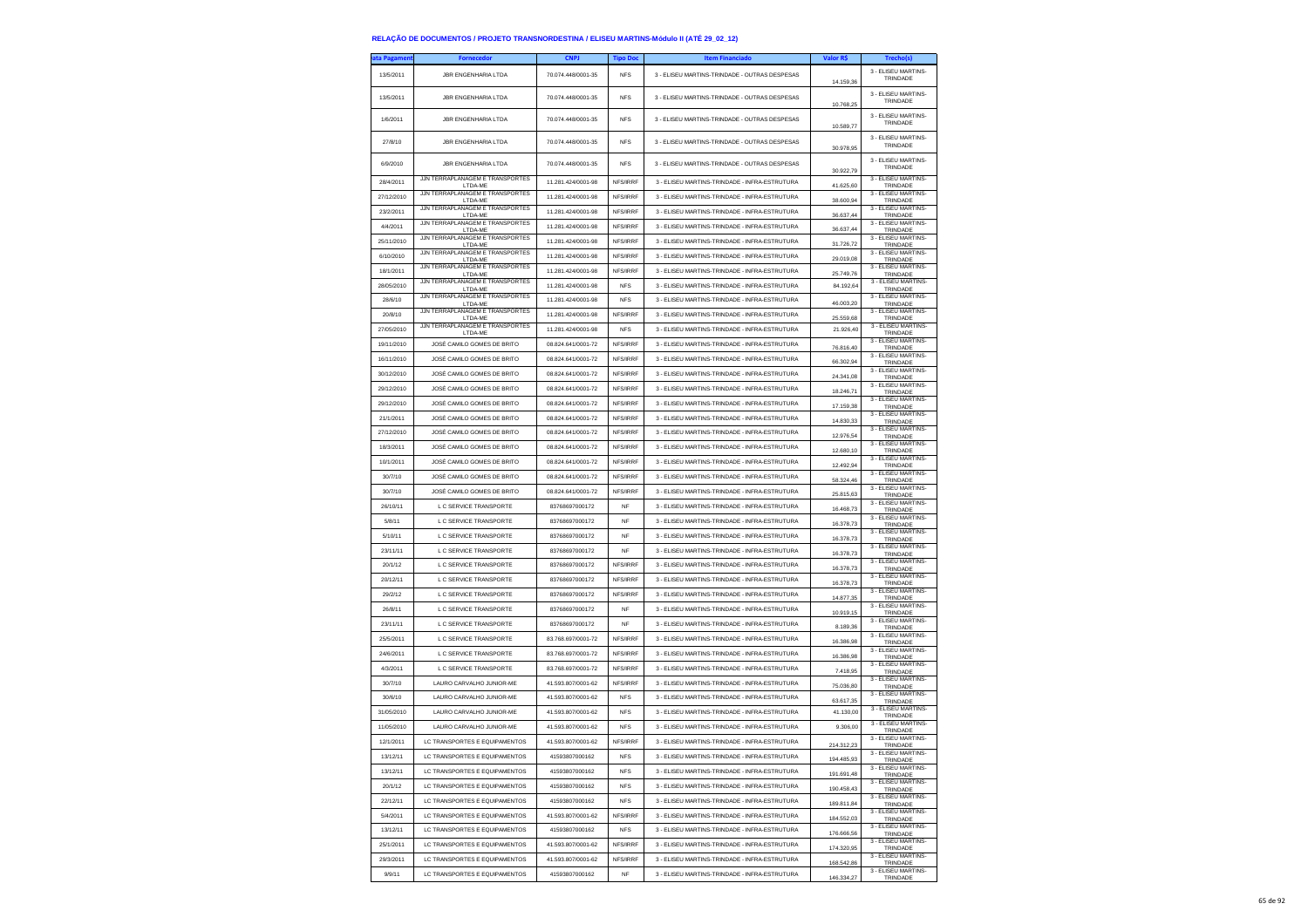| ita Pagamen | <b>Fornecedor</b>                                        | <b>CNPJ</b>        | <b>Tipo Doc</b>      | <b>Item Financiado</b>                        | Valor R\$              | Trecho(s)                       |
|-------------|----------------------------------------------------------|--------------------|----------------------|-----------------------------------------------|------------------------|---------------------------------|
| 13/5/2011   | <b>JBR ENGENHARIA LTDA</b>                               | 70.074.448/0001-35 | <b>NFS</b>           | 3 - ELISEU MARTINS-TRINDADE - OUTRAS DESPESAS | 14.159.36              | 3 - ELISEU MARTINS-<br>TRINDADE |
| 13/5/2011   | <b>JBR ENGENHARIA LTDA</b>                               | 70.074.448/0001-35 | <b>NFS</b>           | 3 - ELISEU MARTINS-TRINDADE - OUTRAS DESPESAS | 10.768,25              | 3 - FLISEU MARTINS-<br>TRINDADE |
| 1/6/2011    | JBR ENGENHARIA LTDA                                      | 70.074.448/0001-35 | <b>NFS</b>           | 3 - ELISEU MARTINS-TRINDADE - OUTRAS DESPESAS | 10.589,77              | 3 - ELISEU MARTINS<br>TRINDADE  |
| 27/8/10     | JBR ENGENHARIA LTDA                                      | 70.074.448/0001-35 | <b>NFS</b>           | 3 - ELISEU MARTINS-TRINDADE - OUTRAS DESPESAS | 30.978,95              | 3 - ELISEU MARTINS-<br>TRINDADE |
| 6/9/2010    | <b>JBR ENGENHARIA LTDA</b>                               | 70.074.448/0001-35 | <b>NFS</b>           | 3 - ELISEU MARTINS-TRINDADE - OUTRAS DESPESAS | 30.922,79              | 3 - ELISEU MARTINS-<br>TRINDADE |
| 28/4/2011   | JJN TERRAPLANAGEM E TRANSPORTES<br>LTDA-ME               | 11.281.424/0001-98 | NFS/IRRF             | 3 - ELISEU MARTINS-TRINDADE - INFRA-ESTRUTURA | 41.625,60              | 3 - ELISEU MARTINS<br>TRINDADE  |
| 27/12/2010  | JJN TERRAPLANAGEM E TRANSPORTES<br>LTDA-ME               | 11.281.424/0001-98 | NFS/IRRF             | 3 - ELISEU MARTINS-TRINDADE - INFRA-ESTRUTURA | 38,600.94              | 3 - ELISEU MARTINS-<br>TRINDADE |
| 23/2/2011   | JJN TERRAPLANAGEM E TRANSPORTES<br>LTDA-ME               | 11.281.424/0001-98 | NFS/IRRF             | 3 - ELISEU MARTINS-TRINDADE - INFRA-ESTRUTURA | 36.637,44              | 3 - FLISEU MARTINS-<br>TRINDADE |
| 4/4/2011    | JJN TERRAPLANAGEM E TRANSPORTES<br>LTDA-ME               | 11.281.424/0001-98 | NFS/IRRF             | 3 - ELISEU MARTINS-TRINDADE - INFRA-ESTRUTURA | 36.637,44              | 3 - ELISEU MARTINS-<br>TRINDADE |
| 25/11/2010  | JJN TERRAPLANAGEM E TRANSPORTES<br>LTDA-ME               | 11.281.424/0001-98 | NFS/IRRF             | 3 - ELISEU MARTINS-TRINDADE - INFRA-ESTRUTURA | 31.726,72              | 3 - FLISEU MARTINS<br>TRINDADE  |
| 6/10/2010   | JJN TERRAPLANAGEM E TRANSPORTES<br>LTDA-ME               | 11.281.424/0001-98 | NFS/IRRF             | 3 - ELISEU MARTINS-TRINDADE - INFRA-ESTRUTURA | 29.019.08              | 3 - ELISEU MARTINS-<br>TRINDADE |
| 18/1/2011   | JJN TERRAPLANAGEM E TRANSPORTES<br>LTDA-ME               | 11.281.424/0001-98 | NFS/IRRF             | 3 - ELISEU MARTINS-TRINDADE - INFRA-ESTRUTURA | 25.749,76              | 3 - ELISEU MARTINS-<br>TRINDADE |
| 28/05/2010  | JJN TERRAPLANAGEM E TRANSPORTES<br>LTDA-ME               | 11.281.424/0001-98 | <b>NFS</b>           | 3 - ELISEU MARTINS-TRINDADE - INFRA-ESTRUTURA | 84.192,64              | 3 - ELISEU MARTINS-<br>TRINDADE |
| 28/6/10     | JJN TERRAPLANAGEM E TRANSPORTES                          | 11.281.424/0001-98 | <b>NFS</b>           | 3 - ELISEU MARTINS-TRINDADE - INFRA-ESTRUTURA |                        | 3 - ELISEU MARTINS-             |
| 20/8/10     | LTDA-ME<br>JJN TERRAPLANAGEM E TRANSPORTES               | 11.281.424/0001-98 | NFS/IRRF             | 3 - ELISEU MARTINS-TRINDADE - INFRA-ESTRUTURA | 46.003,20<br>25.559,68 | TRINDADE<br>3 - ELISEU MARTINS- |
| 27/05/2010  | LTDA-ME<br>JJN TERRAPLANAGEM E TRANSPORTES               | 11.281.424/0001-98 | <b>NFS</b>           | 3 - ELISEU MARTINS-TRINDADE - INFRA-ESTRUTURA | 21.926,40              | TRINDADE<br>3 - ELISEU MARTINS- |
| 19/11/2010  | LTDA-ME<br>JOSÉ CAMILO GOMES DE BRITO                    | 08.824.641/0001-72 | NFS/IRRF             | 3 - ELISEU MARTINS-TRINDADE - INFRA-ESTRUTURA | 76.816.40              | TRINDADE<br>3 - ELISEU MARTINS- |
| 16/11/2010  | JOSÉ CAMILO GOMES DE BRITO                               | 08.824.641/0001-72 | NES/IRRE             | 3 - ELISEU MARTINS-TRINDADE - INFRA-ESTRUTURA |                        | TRINDADE<br>3 - ELISEU MARTINS- |
| 30/12/2010  | JOSÉ CAMILO GOMES DE BRITO                               | 08.824.641/0001-72 | NFS/IRRF             | 3 - ELISEU MARTINS-TRINDADE - INFRA-ESTRUTURA | 66.302,94              | TRINDADE<br>3 - ELISEU MARTINS- |
| 29/12/2010  | JOSÉ CAMILO GOMES DE BRITO                               | 08.824.641/0001-72 | NFS/IRRF             | 3 - ELISEU MARTINS-TRINDADE - INFRA-ESTRUTURA | 24.341,08              | TRINDADE<br>3 - ELISEU MARTINS- |
| 29/12/2010  | JOSÉ CAMILO GOMES DE BRITO                               | 08.824.641/0001-72 | NFS/IRRF             | 3 - ELISEU MARTINS-TRINDADE - INFRA-ESTRUTURA | 18,246.71              | TRINDADE<br>3 - ELISEU MARTINS- |
|             |                                                          | 08.824.641/0001-72 |                      |                                               | 17,159,38              | TRINDADE<br>3 - ELISEU MARTINS- |
| 21/1/2011   | JOSÉ CAMILO GOMES DE BRITO                               | 08.824.641/0001-72 | NFS/IRRF<br>NFS/IRRF | 3 - ELISEU MARTINS-TRINDADE - INFRA-ESTRUTURA | 14.830,33              | TRINDADE<br>3 - ELISEU MARTINS- |
| 27/12/2010  | JOSÉ CAMILO GOMES DE BRITO<br>JOSÉ CAMILO GOMES DE BRITO |                    |                      | 3 - ELISEU MARTINS-TRINDADE - INFRA-ESTRUTURA | 12.976.54              | TRINDADE<br>3 - ELISEU MARTINS- |
| 18/3/2011   |                                                          | 08.824.641/0001-72 | NFS/IRRF             | 3 - ELISEU MARTINS-TRINDADE - INFRA-ESTRUTURA | 12,680.10              | TRINDADE<br>3 - ELISEU MARTINS- |
| 10/1/2011   | JOSÉ CAMILO GOMES DE BRITO                               | 08.824.641/0001-72 | NFS/IRRF             | 3 - ELISEU MARTINS-TRINDADE - INFRA-ESTRUTURA | 12.492,94              | TRINDADE<br>3 - ELISEU MARTINS- |
| 30/7/10     | JOSÉ CAMILO GOMES DE BRITO                               | 08.824.641/0001-72 | NFS/IRRF             | 3 - ELISEU MARTINS-TRINDADE - INFRA-ESTRUTURA | 58.324.46              | TRINDADE<br>3 - ELISEU MARTINS- |
| 30/7/10     | JOSÉ CAMILO GOMES DE BRITO                               | 08.824.641/0001-72 | NFS/IRRF             | 3 - FLISELLMARTINS-TRINDADE - INFRA-ESTRUTURA | 25,815.63              | TRINDADE<br>3 - ELISEU MARTINS- |
| 26/10/11    | L C SERVICE TRANSPORTE                                   | 83768697000172     | <b>NF</b>            | 3 - ELISEU MARTINS-TRINDADE - INFRA-ESTRUTURA | 16.468,73              | TRINDADE<br>3 - ELISEU MARTINS  |
| 5/8/11      | L C SERVICE TRANSPORTE                                   | 83768697000172     | <b>NF</b>            | 3 - ELISEU MARTINS-TRINDADE - INFRA-ESTRUTURA | 16,378.73              | TRINDADE<br>3 - ELISEU MARTINS- |
| 5/10/11     | L C SERVICE TRANSPORTE                                   | 83768697000172     | <b>NF</b>            | 3 - ELISEU MARTINS-TRINDADE - INFRA-ESTRUTURA | 16.378,73              | TRINDADE<br>3 - ELISEU MARTINS- |
| 23/11/11    | L C SERVICE TRANSPORTE                                   | 83768697000172     | <b>NF</b>            | 3 - ELISEU MARTINS-TRINDADE - INFRA-ESTRUTURA | 16.378,73              | TRINDADE<br>3 - ELISEU MARTINS- |
| 20/1/12     | L C SERVICE TRANSPORTE                                   | 83768697000172     | NFS/IRRF             | 3 - ELISEU MARTINS-TRINDADE - INFRA-ESTRUTURA | 16,378.73              | TRINDADE<br>3 - ELISEU MARTINS- |
| 20/12/11    | L C SERVICE TRANSPORTE                                   | 83768697000172     | NFS/IRRF             | 3 - ELISEU MARTINS-TRINDADE - INFRA-ESTRUTURA | 16.378,73              | TRINDADE<br>3 - ELISEU MARTINS  |
| 29/2/12     | L C SERVICE TRANSPORTE                                   | 83768697000172     | NFS/IRRF             | 3 - ELISEU MARTINS-TRINDADE - INFRA-ESTRUTURA | 14.877,35              | TRINDADE<br>3 - ELISEU MARTINS  |
| 26/8/11     | L C SERVICE TRANSPORTE                                   | 83768697000172     | NF                   | 3 - ELISEU MARTINS-TRINDADE - INFRA-ESTRUTURA | 10.919.15              | TRINDADE<br>3 - ELISEU MARTINS- |
| 23/11/11    | L C SERVICE TRANSPORTE                                   | 83768697000172     | <b>NF</b>            | 3 - ELISEU MARTINS-TRINDADE - INFRA-ESTRUTURA | 8.189,36               | TRINDADE                        |
| 25/5/2011   | L C SERVICE TRANSPORTE                                   | 83.768.697/0001-72 | NFS/IRRF             | 3 - ELISEU MARTINS-TRINDADE - INFRA-ESTRUTURA | 16.386,98              | 3 - ELISEU MARTINS-<br>TRINDADE |
| 24/6/2011   | L C SERVICE TRANSPORTE                                   | 83.768.697/0001-72 | NFS/IRRF             | 3 - ELISEU MARTINS-TRINDADE - INFRA-ESTRUTURA | 16.386,98              | 3 - ELISEU MARTINS-<br>TRINDADE |
| 4/3/2011    | L C SERVICE TRANSPORTE                                   | 83.768.697/0001-72 | NFS/IRRF             | 3 - ELISEU MARTINS-TRINDADE - INFRA-ESTRUTURA | 7.418,95               | 3 - ELISEU MARTINS-<br>TRINDADE |
| 30/7/10     | LAURO CARVALHO JUNIOR-ME                                 | 41.593.807/0001-62 | NFS/IRRF             | 3 - ELISEU MARTINS-TRINDADE - INFRA-ESTRUTURA | 75.036,80              | 3 - ELISEU MARTINS-<br>TRINDADE |
| 30/6/10     | LAURO CARVALHO JUNIOR-ME                                 | 41.593.807/0001-62 | <b>NFS</b>           | 3 - ELISEU MARTINS-TRINDADE - INFRA-ESTRUTURA | 63.617,35              | 3 - ELISEU MARTINS-<br>TRINDADE |
| 31/05/2010  | LAURO CARVALHO JUNIOR-ME                                 | 41.593.807/0001-62 | <b>NFS</b>           | 3 - ELISEU MARTINS-TRINDADE - INFRA-ESTRUTURA | 41.130,00              | 3 - ELISEU MARTINS-<br>TRINDADE |
| 11/05/2010  | LAURO CARVALHO JUNIOR-ME                                 | 41.593.807/0001-62 | <b>NFS</b>           | 3 - ELISEU MARTINS-TRINDADE - INFRA-ESTRUTURA | 9.306,00               | 3 - ELISEU MARTINS<br>TRINDADE  |
| 12/1/2011   | LC TRANSPORTES E EQUIPAMENTOS                            | 41.593.807/0001-62 | NFS/IRRF             | 3 - ELISEU MARTINS-TRINDADE - INFRA-ESTRUTURA | 214.312,23             | 3 - FLISEU MARTINS-<br>TRINDADE |
| 13/12/11    | LC TRANSPORTES E EQUIPAMENTOS                            | 41593807000162     | ${\sf NFS}$          | 3 - ELISEU MARTINS-TRINDADE - INFRA-ESTRUTURA | 194 485 93             | 3 - ELISEU MARTINS-<br>TRINDADE |
| 13/12/11    | LC TRANSPORTES E EQUIPAMENTOS                            | 41593807000162     | <b>NFS</b>           | 3 - ELISEU MARTINS-TRINDADE - INFRA-ESTRUTURA | 191.691,48             | 3 - ELISEU MARTINS-<br>TRINDADE |
| 20/1/12     | LC TRANSPORTES E EQUIPAMENTOS                            | 41593807000162     | ${\sf NFS}$          | 3 - ELISEU MARTINS-TRINDADE - INFRA-ESTRUTURA | 190.458,43             | 3 - ELISEU MARTINS-<br>TRINDADE |
| 22/12/11    | LC TRANSPORTES E EQUIPAMENTOS                            | 41593807000162     | <b>NFS</b>           | 3 - ELISEU MARTINS-TRINDADE - INFRA-ESTRUTURA | 189 811 84             | 3 - FLISEU MARTINS-<br>TRINDADE |
| 5/4/2011    | LC TRANSPORTES E EQUIPAMENTOS                            | 41.593.807/0001-62 | NFS/IRRF             | 3 - ELISEU MARTINS-TRINDADE - INFRA-ESTRUTURA | 184.552,03             | 3 - ELISEU MARTINS-<br>TRINDADE |
| 13/12/11    | LC TRANSPORTES E EQUIPAMENTOS                            | 41593807000162     | <b>NFS</b>           | 3 - ELISEU MARTINS-TRINDADE - INFRA-ESTRUTURA | 176.666,56             | 3 - ELISEU MARTINS-<br>TRINDADE |
| 25/1/2011   | LC TRANSPORTES E EQUIPAMENTOS                            | 41.593.807/0001-62 | NFS/IRRF             | 3 - ELISEU MARTINS-TRINDADE - INFRA-ESTRUTURA | 174,320.95             | 3 - FLISEU MARTINS-<br>TRINDADE |
| 29/3/2011   | <b>I C TRANSPORTES E FOURAMENTOS</b>                     | 41.593.807/0001-62 | NES/IRRE             | 3 - FLISEU MARTINS-TRINDADE - INFRA-ESTRUTURA | 168,542.86             | 3 - ELISEU MARTINS-<br>TRINDADE |
| 9/9/11      | LC TRANSPORTES E EQUIPAMENTOS                            | 41593807000162     | NF                   | 3 - ELISEU MARTINS-TRINDADE - INFRA-ESTRUTURA | 146.334,27             | 3 - ELISEU MARTINS-<br>TRINDADE |
|             |                                                          |                    |                      |                                               |                        |                                 |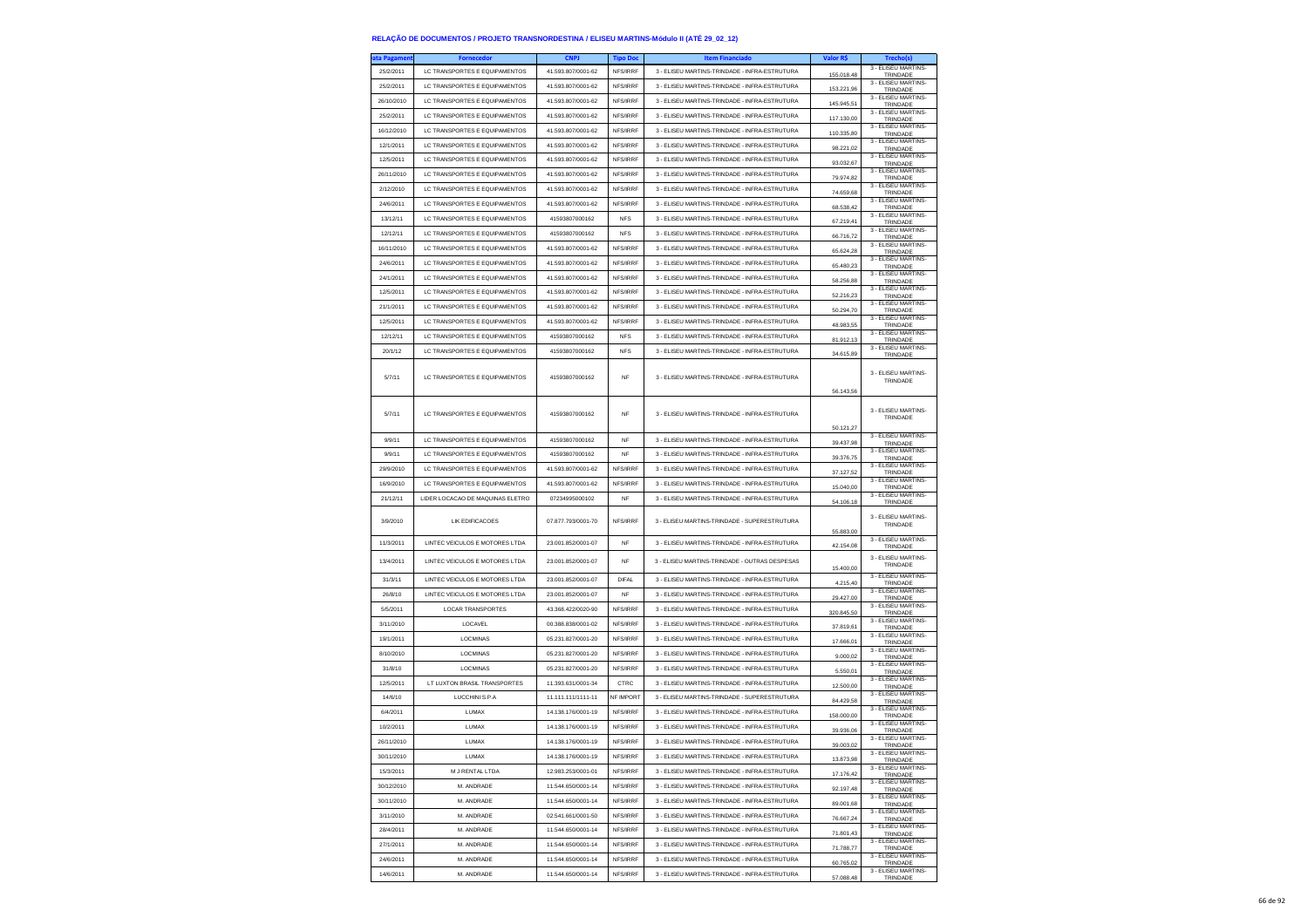| ita Pagamen | <b>Fornecedor</b>                    | <b>CNPJ</b>        | <b>Tipo Doc</b> | <b>Item Financiado</b>                        | Valor R\$  | Trecho(s)                       |
|-------------|--------------------------------------|--------------------|-----------------|-----------------------------------------------|------------|---------------------------------|
| 25/2/2011   | LC TRANSPORTES E EQUIPAMENTOS        | 41.593.807/0001-62 | NFS/IRRF        | 3 - ELISEU MARTINS-TRINDADE - INFRA-ESTRUTURA | 155,018.48 | 3 - FLISELLMARTINS-<br>TRINDADE |
| 25/2/2011   | LC TRANSPORTES E EQUIPAMENTOS        | 41.593.807/0001-62 | NFS/IRRF        | 3 - ELISEU MARTINS-TRINDADE - INFRA-ESTRUTURA |            | 3 - ELISEU MARTINS-             |
| 26/10/2010  | LC TRANSPORTES E EQUIPAMENTOS        | 41 593 807/0001-62 | NFS/IRRF        | 3 - ELISEU MARTINS-TRINDADE - INFRA-ESTRUTURA | 153.221,96 | TRINDADE<br>3 - ELISEU MARTINS- |
| 25/2/2011   | LC TRANSPORTES E EQUIPAMENTOS        | 41.593.807/0001-62 | NFS/IRRF        | 3 - ELISEU MARTINS-TRINDADE - INFRA-ESTRUTURA | 145.945,51 | TRINDADE<br>3 - FLISEU MARTINS  |
|             |                                      |                    |                 |                                               | 117.130.00 | TRINDADE<br>3 - ELISEU MARTINS- |
| 16/12/2010  | LC TRANSPORTES E EQUIPAMENTOS        | 41.593.807/0001-62 | NES/IRRE        | 3 - ELISEU MARTINS-TRINDADE - INFRA-ESTRUTURA | 110.335,80 | TRINDADE<br>3 - ELISEU MARTINS- |
| 12/1/2011   | LC TRANSPORTES E EQUIPAMENTOS        | 41.593.807/0001-62 | NFS/IRRF        | 3 - ELISEU MARTINS-TRINDADE - INFRA-ESTRUTURA | 98.221,02  | TRINDADE<br>3 - ELISEU MARTINS- |
| 12/5/2011   | LC TRANSPORTES E EQUIPAMENTOS        | 41.593.807/0001-62 | NFS/IRRF        | 3 - ELISEU MARTINS-TRINDADE - INFRA-ESTRUTURA | 93.032.67  | TRINDADE                        |
| 26/11/2010  | LC TRANSPORTES E EQUIPAMENTOS        | 41.593.807/0001-62 | NFS/IRRF        | 3 - ELISEU MARTINS-TRINDADE - INFRA-ESTRUTURA | 79.974,82  | 3 - ELISEU MARTINS-<br>TRINDADE |
| 2/12/2010   | LC TRANSPORTES E EQUIPAMENTOS        | 41.593.807/0001-62 | NFS/IRRF        | 3 - ELISEU MARTINS-TRINDADE - INFRA-ESTRUTURA | 74.659,68  | 3 - ELISEU MARTINS-<br>TRINDADE |
| 24/6/2011   | LC TRANSPORTES E EQUIPAMENTOS        | 41.593.807/0001-62 | NFS/IRRF        | 3 - ELISEU MARTINS-TRINDADE - INFRA-ESTRUTURA | 68.538,42  | 3 - ELISEU MARTINS<br>TRINDADE  |
| 13/12/11    | <b>IC TRANSPORTES E FOUIPAMENTOS</b> | 41593807000162     | <b>NFS</b>      | 3 - ELISEU MARTINS-TRINDADE - INFRA-ESTRUTURA | 67.219,41  | 3 - FLISEU MARTINS-<br>TRINDADE |
| 12/12/11    | LC TRANSPORTES E EQUIPAMENTOS        | 41593807000162     | <b>NFS</b>      | 3 - ELISEU MARTINS-TRINDADE - INFRA-ESTRUTURA | 66.716,72  | 3 - ELISEU MARTINS-<br>TRINDADE |
| 16/11/2010  | LC TRANSPORTES E EQUIPAMENTOS        | 41.593.807/0001-62 | NFS/IRRF        | 3 - ELISEU MARTINS-TRINDADE - INFRA-ESTRUTURA | 65.624,28  | 3 - ELISEU MARTINS-<br>TRINDADE |
| 24/6/2011   | LC TRANSPORTES E EQUIPAMENTOS        | 41.593.807/0001-62 | NFS/IRRF        | 3 - ELISEU MARTINS-TRINDADE - INFRA-ESTRUTURA | 65,480.23  | 3 - FLISEU MARTINS-             |
| 24/1/2011   | LC TRANSPORTES E EQUIPAMENTOS        | 41 593 807/0001-62 | NFS/IRRF        | 3 - ELISEU MARTINS-TRINDADE - INFRA-ESTRUTURA |            | TRINDADE<br>3 - ELISEU MARTINS- |
| 12/5/2011   | LC TRANSPORTES E EQUIPAMENTOS        | 41.593.807/0001-62 | NFS/IRRF        | 3 - ELISEU MARTINS-TRINDADE - INFRA-ESTRUTURA | 58.256,88  | TRINDADE<br>3 - ELISEU MARTINS- |
| 21/1/2011   | LC TRANSPORTES E EQUIPAMENTOS        | 41.593.807/0001-62 | NFS/IRRF        | 3 - ELISEU MARTINS-TRINDADE - INFRA-ESTRUTURA | 52.216,23  | TRINDADE<br>3 - ELISEU MARTINS- |
|             |                                      |                    |                 |                                               | 50.294.70  | TRINDADE<br>3 - ELISEU MARTINS- |
| 12/5/2011   | LC TRANSPORTES E EQUIPAMENTOS        | 41.593.807/0001-62 | NFS/IRRF        | 3 - ELISEU MARTINS-TRINDADE - INFRA-ESTRUTURA | 48.983,55  | TRINDADE<br>3 - ELISEU MARTINS- |
| 12/12/11    | LC TRANSPORTES E EQUIPAMENTOS        | 41593807000162     | <b>NFS</b>      | 3 - ELISEU MARTINS-TRINDADE - INFRA-ESTRUTURA | 81.912,13  | TRINDADE<br>3 - ELISEU MARTINS- |
| 20/1/12     | LC TRANSPORTES E EQUIPAMENTOS        | 41593807000162     | <b>NFS</b>      | 3 - ELISEU MARTINS-TRINDADE - INFRA-ESTRUTURA | 34.615.89  | TRINDADE                        |
|             |                                      |                    |                 |                                               |            | 3 - FLISEU MARTINS-             |
| 5/7/11      | LC TRANSPORTES E EQUIPAMENTOS        | 41593807000162     | <b>NF</b>       | 3 - ELISEU MARTINS-TRINDADE - INFRA-ESTRUTURA |            | TRINDADE                        |
|             |                                      |                    |                 |                                               | 56.143.56  |                                 |
| 5/7/11      | LC TRANSPORTES E EQUIPAMENTOS        | 41593807000162     | <b>NF</b>       | 3 - ELISEU MARTINS-TRINDADE - INFRA-ESTRUTURA |            | 3 - ELISEU MARTINS-             |
|             |                                      |                    |                 |                                               | 50.121,27  | TRINDADE                        |
| 9/9/11      | LC TRANSPORTES E EQUIPAMENTOS        | 41593807000162     | <b>NF</b>       | 3 - ELISEU MARTINS-TRINDADE - INFRA-ESTRUTURA | 39.437.98  | 3 - FLISEU MARTINS-<br>TRINDADE |
| 9/9/11      | LC TRANSPORTES E EQUIPAMENTOS        | 41593807000162     | NF              | 3 - ELISEU MARTINS-TRINDADE - INFRA-ESTRUTURA |            | 3 - ELISEU MARTINS-             |
| 29/9/2010   | LC TRANSPORTES E EQUIPAMENTOS        | 41.593.807/0001-62 | NFS/IRRF        | 3 - ELISEU MARTINS-TRINDADE - INFRA-ESTRUTURA | 39.376,75  | TRINDADE<br>3 - ELISEU MARTINS- |
| 16/9/2010   | LC TRANSPORTES E EQUIPAMENTOS        | 41.593.807/0001-62 | NFS/IRRF        | 3 - ELISEU MARTINS-TRINDADE - INFRA-ESTRUTURA | 37.127,52  | TRINDADE<br>3 - ELISEU MARTINS  |
|             |                                      |                    |                 |                                               | 15.040.00  | TRINDADE<br>3 - ELISEU MARTINS- |
| 21/12/11    | LIDER LOCACAO DE MAQUINAS ELETRO     | 07234995000102     | <b>NF</b>       | 3 - ELISEU MARTINS-TRINDADE - INFRA-ESTRUTURA | 54.106.18  | TRINDADE                        |
| 3/9/2010    | LIK EDIFICACOES                      | 07.877.793/0001-70 | NFS/IRRF        | 3 - ELISEU MARTINS-TRINDADE - SUPERESTRUTURA  |            | 3 - ELISEU MARTINS<br>TRINDADE  |
|             |                                      |                    |                 |                                               | 55,883.00  |                                 |
| 11/3/2011   | LINTEC VEICULOS E MOTORES LTDA       | 23.001.852/0001-07 | <b>NF</b>       | 3 - ELISEU MARTINS-TRINDADE - INFRA-ESTRUTURA | 42.154,08  | 3 - ELISEU MARTINS-<br>TRINDADE |
| 13/4/2011   | LINTEC VEICULOS E MOTORES LTDA       | 23.001.852/0001-07 | <b>NF</b>       | 3 - ELISEU MARTINS-TRINDADE - OUTRAS DESPESAS |            | 3 - ELISEU MARTINS-<br>TRINDADE |
| 31/3/11     | LINTEC VEICULOS E MOTORES LTDA       | 23.001.852/0001-07 | <b>DIFAL</b>    | 3 - ELISEU MARTINS-TRINDADE - INFRA-ESTRUTURA | 15,400.00  | 3 - ELISEU MARTINS-             |
| 26/8/10     | LINTEC VEICULOS E MOTORES LTDA       | 23.001.852/0001-07 | <b>NF</b>       | 3 - ELISEU MARTINS-TRINDADE - INFRA-ESTRUTURA | 4.215,40   | TRINDADE<br>3 - ELISEU MARTINS  |
|             |                                      |                    |                 |                                               | 29.427,00  | TRINDADE<br>3 - ELISEU MARTINS  |
| 5/5/2011    | <b>LOCAR TRANSPORTES</b>             | 43.368.422/0020-90 | NFS/IRRF        | 3 - ELISEU MARTINS-TRINDADE - INFRA-ESTRUTURA | 320.845.50 | TRINDADE<br>3 - ELISEU MARTINS- |
| 3/11/2010   | LOCAVEL                              | 00.388.838/0001-02 | NFS/IRRF        | 3 - ELISEU MARTINS-TRINDADE - INFRA-ESTRUTURA | 37.819,61  | TRINDADE<br>3 - ELISEU MARTINS- |
| 19/1/2011   | LOCMINAS                             | 05.231.827/0001-20 | NES/IRRE        | 3 - ELISEU MARTINS-TRINDADE - INFRA-ESTRUTURA | 17.666,01  | TRINDADE<br>3 - ELISEU MARTINS- |
| 8/10/2010   | LOCMINAS                             | 05.231.827/0001-20 | NFS/IRRF        | 3 - ELISEU MARTINS-TRINDADE - INFRA-ESTRUTURA | 9.000,02   | TRINDADE<br>3 - FLISEU MARTINS- |
| 31/8/10     | LOCMINAS                             | 05.231.827/0001-20 | NFS/IRRF        | 3 - ELISEU MARTINS-TRINDADE - INFRA-ESTRUTURA | 5.550,01   | TRINDADE                        |
| 12/5/2011   | LT LUXTON BRASIL TRANSPORTES         | 11 393 631/0001-34 | CTRC            | 3 - ELISEU MARTINS-TRINDADE - INFRA-ESTRUTURA | 12,500.00  | 3 - ELISEU MARTINS-<br>TRINDADE |
| 14/6/10     | LUCCHINI S.P.A                       | 11.111.111/1111-11 | NF IMPORT       | 3 - ELISEU MARTINS-TRINDADE - SUPERESTRUTURA  | 84.429,58  | 3 - ELISEU MARTINS<br>TRINDADE  |
| 6/4/2011    | LUMAX                                | 14.138.176/0001-19 | NFS/IRRF        | 3 - ELISEU MARTINS-TRINDADE - INFRA-ESTRUTURA | 158.000,00 | 3 - ELISEU MARTINS-<br>TRINDADE |
| 10/2/2011   | <b>LUMAX</b>                         | 14.138.176/0001-19 | NFS/IRRF        | 3 - ELISEU MARTINS-TRINDADE - INFRA-ESTRUTURA | 39.936,06  | 3 - ELISEU MARTINS<br>TRINDADE  |
| 26/11/2010  | LUMAX                                | 14.138.176/0001-19 | NFS/IRRF        | 3 - ELISEU MARTINS-TRINDADE - INFRA-ESTRUTURA | 39.003,02  | 3 - ELISEU MARTINS-<br>TRINDADE |
| 30/11/2010  | LUMAX                                | 14.138.176/0001-19 | NFS/IRRF        | 3 - ELISEU MARTINS-TRINDADE - INFRA-ESTRUTURA |            | 3 - ELISEU MARTINS-             |
| 15/3/2011   | M J RENTAL LTDA                      | 12.983.253/0001-01 | NFS/IRRF        | 3 - ELISEU MARTINS-TRINDADE - INFRA-ESTRUTURA | 13.873,98  | TRINDADE<br>3 - ELISEU MARTINS- |
| 30/12/2010  | M. ANDRADE                           | 11.544.650/0001-14 | NFS/IRRF        | 3 - ELISEU MARTINS-TRINDADE - INFRA-ESTRUTURA | 17.176,42  | TRINDADE<br>3 - ELISEU MARTINS- |
|             |                                      |                    |                 |                                               | 92.197,48  | TRINDADE<br>3 - ELISEU MARTINS- |
| 30/11/2010  | M. ANDRADE                           | 11.544.650/0001-14 | NFS/IRRF        | 3 - ELISEU MARTINS-TRINDADE - INFRA-ESTRUTURA | 89,001.68  | TRINDADE<br>3 - ELISEU MARTINS- |
| 3/11/2010   | M ANDRADE                            | 02.541.661/0001-50 | NFS/IRRF        | 3 - ELISEU MARTINS-TRINDADE - INFRA-ESTRUTURA | 76.667,24  | TRINDADE<br>3 - ELISEU MARTINS- |
| 28/4/2011   | M. ANDRADE                           | 11.544.650/0001-14 | NFS/IRRF        | 3 - ELISEU MARTINS-TRINDADE - INFRA-ESTRUTURA | 71.801,43  | TRINDADE<br>3 - FLISEU MARTINS- |
| 27/1/2011   | M. ANDRADE                           | 11.544.650/0001-14 | NFS/IRRF        | 3 - ELISEU MARTINS-TRINDADE - INFRA-ESTRUTURA | 71.788,77  | TRINDADE                        |
| 24/6/2011   | M. ANDRADE                           | 11.544.650/0001-14 | NES/IRRE        | 3 - ELISEU MARTINS-TRINDADE - INFRA-ESTRUTURA | 60.765,02  | 3 - ELISEU MARTINS-<br>TRINDADE |
| 14/6/2011   | M. ANDRADE                           | 11.544.650/0001-14 | NFS/IRRF        | 3 - ELISEU MARTINS-TRINDADE - INFRA-ESTRUTURA | 57.088,48  | 3 - ELISEU MARTINS-<br>TRINDADE |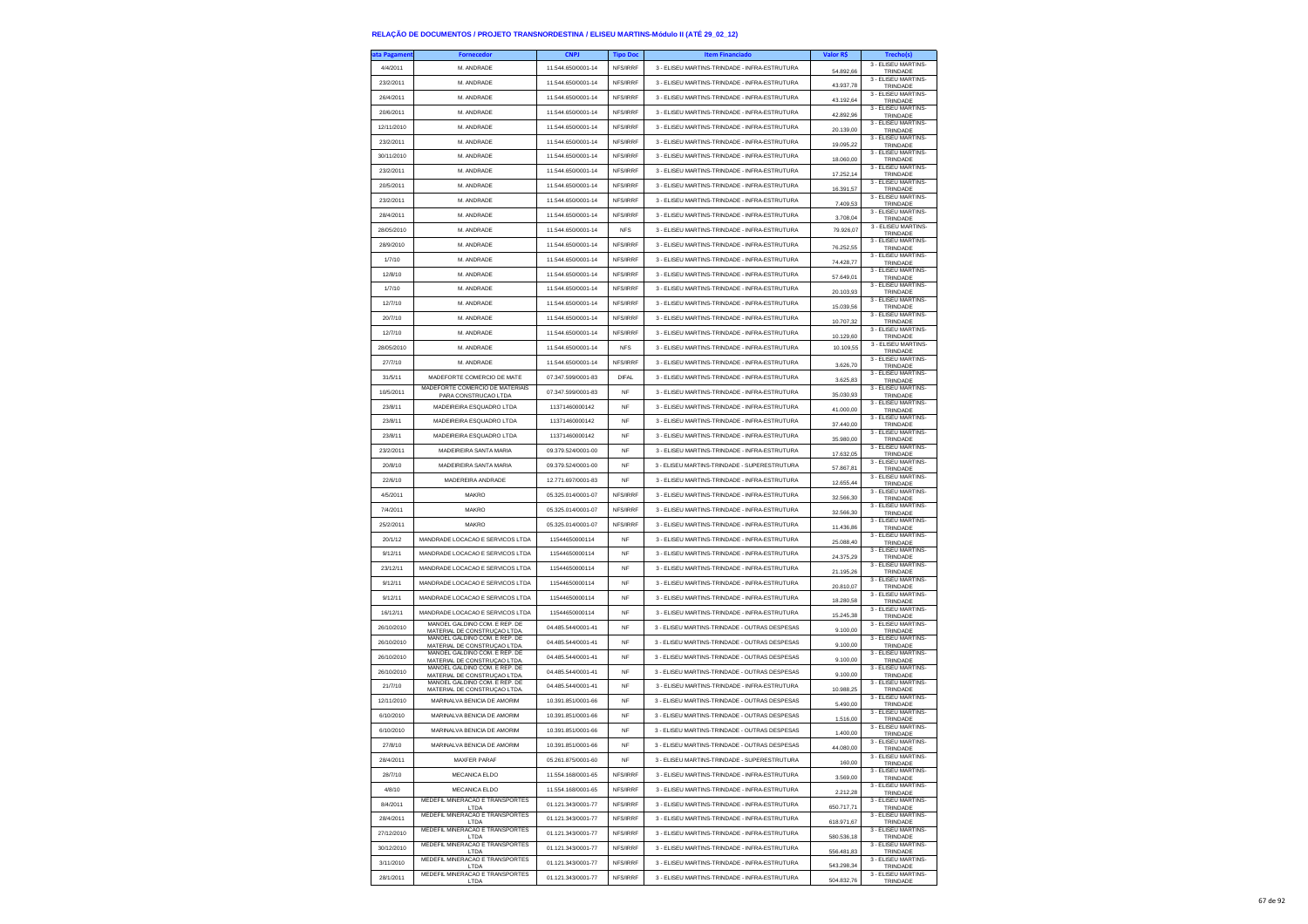| ta Pagamen | <b>Fornecedor</b>                                             | <b>CNPJ</b>        | <b>Tipo Doc</b> | <b>Item Financiado</b>                        | Valor R\$  | Trecho(s)                       |
|------------|---------------------------------------------------------------|--------------------|-----------------|-----------------------------------------------|------------|---------------------------------|
| 4/4/2011   | M. ANDRADE                                                    | 11.544.650/0001-14 | NFS/IRRF        | 3 - ELISEU MARTINS-TRINDADE - INFRA-ESTRUTURA | 54.892,66  | 3 - ELISEU MARTINS-<br>TRINDADE |
| 23/2/2011  | M. ANDRADE                                                    | 11.544.650/0001-14 | NFS/IRRF        | 3 - ELISEU MARTINS-TRINDADE - INFRA-ESTRUTURA | 43.937.78  | 3 - ELISEU MARTINS-<br>TRINDADE |
| 26/4/2011  | M. ANDRADE                                                    | 11.544.650/0001-14 | NFS/IRRF        | 3 - ELISEU MARTINS-TRINDADE - INFRA-ESTRUTURA | 43.192,64  | 3 - ELISEU MARTINS-             |
| 20/6/2011  | M. ANDRADE                                                    | 11.544.650/0001-14 | NFS/IRRF        | 3 - ELISEU MARTINS-TRINDADE - INFRA-ESTRUTURA |            | TRINDADE<br>3 - ELISEU MARTINS- |
| 12/11/2010 | M. ANDRADE                                                    | 11.544.650/0001-14 | NFS/IRRF        | 3 - ELISEU MARTINS-TRINDADE - INFRA-ESTRUTURA | 42.892,96  | TRINDADE<br>3 - ELISEU MARTINS- |
|            |                                                               |                    |                 |                                               | 20.139.00  | TRINDADE<br>3 - ELISEU MARTINS- |
| 23/2/2011  | M. ANDRADE                                                    | 11.544.650/0001-14 | NFS/IRRF        | 3 - ELISEU MARTINS-TRINDADE - INFRA-ESTRUTURA | 19.095.22  | TRINDADE<br>3 - ELISEU MARTINS- |
| 30/11/2010 | M. ANDRADE                                                    | 11.544.650/0001-14 | NFS/IRRF        | 3 - ELISEU MARTINS-TRINDADE - INFRA-ESTRUTURA | 18.060,00  | TRINDADE<br>3 - ELISEU MARTINS- |
| 23/2/2011  | M. ANDRADE                                                    | 11.544.650/0001-14 | NFS/IRRF        | 3 - ELISEU MARTINS-TRINDADE - INFRA-ESTRUTURA | 17.252.14  | TRINDADE                        |
| 20/5/2011  | M. ANDRADE                                                    | 11.544.650/0001-14 | NFS/IRRF        | 3 - ELISEU MARTINS-TRINDADE - INFRA-ESTRUTURA | 16.391,57  | 3 - ELISEU MARTINS-<br>TRINDADE |
| 23/2/2011  | M. ANDRADE                                                    | 11.544.650/0001-14 | NFS/IRRF        | 3 - ELISEU MARTINS-TRINDADE - INFRA-ESTRUTURA | 7.409,53   | 3 - ELISEU MARTINS-<br>TRINDADE |
| 28/4/2011  | M. ANDRADE                                                    | 11.544.650/0001-14 | NFS/IRRF        | 3 - FLISEU MARTINS-TRINDADE - INFRA-ESTRUTURA | 3 708 04   | 3 - ELISEU MARTINS-<br>TRINDADE |
| 28/05/2010 | M ANDRADE                                                     | 11.544.650/0001-14 | <b>NFS</b>      | 3 - ELISEU MARTINS-TRINDADE - INFRA-ESTRUTURA | 79.926.07  | 3 - ELISEU MARTINS-<br>TRINDADE |
| 28/9/2010  | M. ANDRADE                                                    | 11 544 650/0001-14 | <b>NES/IRRE</b> | 3 - ELISEU MARTINS-TRINDADE - INFRA-ESTRUTURA | 76.252,55  | 3 - ELISEU MARTINS-<br>TRINDADE |
| 1/7/10     | M. ANDRADE                                                    | 11.544.650/0001-14 | NFS/IRRF        | 3 - ELISEU MARTINS-TRINDADE - INFRA-ESTRUTURA |            | 3 - ELISEU MARTINS-             |
| 12/8/10    | M. ANDRADE                                                    | 11.544.650/0001-14 | NFS/IRRF        | 3 - FLISELLMARTINS-TRINDADE - INFRA-ESTRUTURA | 74.428,77  | TRINDADE<br>3 - FLISEU MARTINS- |
| 1/7/10     | M. ANDRADE                                                    | 11.544.650/0001-14 | NFS/IRRF        | 3 - ELISEU MARTINS-TRINDADE - INFRA-ESTRUTURA | 57.649,01  | TRINDADE<br>3 - ELISEU MARTINS- |
|            |                                                               |                    |                 |                                               | 20.103,93  | TRINDADE<br>3 - ELISEU MARTINS- |
| 12/7/10    | M. ANDRADE                                                    | 11.544.650/0001-14 | NFS/IRRF        | 3 - ELISEU MARTINS-TRINDADE - INFRA-ESTRUTURA | 15.039,56  | TRINDADE<br>3 - ELISEU MARTINS- |
| 20/7/10    | M. ANDRADE                                                    | 11.544.650/0001-14 | NFS/IRRF        | 3 - ELISEU MARTINS-TRINDADE - INFRA-ESTRUTURA | 10.707,32  | TRINDADE<br>3 - ELISEU MARTINS- |
| 12/7/10    | M. ANDRADE                                                    | 11.544.650/0001-14 | NFS/IRRF        | 3 - ELISEU MARTINS-TRINDADE - INFRA-ESTRUTURA | 10.129,60  | TRINDADE                        |
| 28/05/2010 | M. ANDRADE                                                    | 11.544.650/0001-14 | <b>NFS</b>      | 3 - ELISEU MARTINS-TRINDADE - INFRA-ESTRUTURA | 10.109,55  | 3 - ELISEU MARTINS-<br>TRINDADE |
| 27/7/10    | M. ANDRADE                                                    | 11.544.650/0001-14 | NFS/IRRF        | 3 - ELISEU MARTINS-TRINDADE - INFRA-ESTRUTURA | 3.626.70   | 3 - FLISEU MARTINS-<br>TRINDADE |
| 31/5/11    | MADEFORTE COMERCIO DE MATE                                    | 07 347 599/0001-83 | <b>DIFAL</b>    | 3 - ELISEU MARTINS-TRINDADE - INFRA-ESTRUTURA | 3.625,83   | 3 - ELISEU MARTINS-<br>TRINDADE |
| 10/5/2011  | MADEFORTE COMERCIO DE MATERIAIS<br>PARA CONSTRUCAO LTDA       | 07.347.599/0001-83 | NF              | 3 - ELISEU MARTINS-TRINDADE - INFRA-ESTRUTURA | 35.030.93  | 3 - ELISEU MARTINS-<br>TRINDADE |
| 23/8/11    | MADEIREIRA ESQUADRO LTDA                                      | 11371460000142     | <b>NF</b>       | 3 - ELISEU MARTINS-TRINDADE - INFRA-ESTRUTURA | 41,000.00  | 3 - ELISEU MARTINS-<br>TRINDADE |
| 23/8/11    | MADEIREIRA ESQUADRO LTDA                                      | 11371460000142     | <b>NF</b>       | 3 - ELISEU MARTINS-TRINDADE - INFRA-ESTRUTURA |            | 3 - ELISEU MARTINS-             |
| 23/8/11    | MADEIREIRA ESQUADRO LTDA                                      | 11371460000142     | NF              | 3 - ELISEU MARTINS-TRINDADE - INFRA-ESTRUTURA | 37,440.00  | TRINDADE<br>3 - ELISEU MARTINS- |
| 23/2/2011  | MADEIREIRA SANTA MARIA                                        | 09.379.524/0001-00 | <b>NF</b>       | 3 - ELISEU MARTINS-TRINDADE - INFRA-ESTRUTURA | 35.980,00  | TRINDADE<br>3 - ELISEU MARTINS- |
|            |                                                               |                    |                 |                                               | 17.632.05  | TRINDADE<br>3 - ELISEU MARTINS- |
| 20/8/10    | MADEIREIRA SANTA MARIA                                        | 09.379.524/0001-00 | <b>NF</b>       | 3 - ELISEU MARTINS-TRINDADE - SUPERESTRUTURA  | 57.867,81  | TRINDADE<br>3 - ELISEU MARTINS- |
| 22/6/10    | MADEREIRA ANDRADE                                             | 12.771.697/0001-83 | NF              | 3 - ELISEU MARTINS-TRINDADE - INFRA-ESTRUTURA | 12.655,44  | TRINDADE<br>3 - ELISEU MARTINS- |
| 4/5/2011   | MAKRO                                                         | 05 325 014/0001-07 | NFS/IRRF        | 3 - ELISEU MARTINS-TRINDADE - INFRA-ESTRUTURA | 32 566 30  | TRINDADE                        |
| 7/4/2011   | <b>MAKRO</b>                                                  | 05.325.014/0001-07 | NFS/IRRF        | 3 - ELISEU MARTINS-TRINDADE - INFRA-ESTRUTURA | 32.566,30  | 3 - ELISEU MARTINS-<br>TRINDADE |
| 25/2/2011  | MAKRO                                                         | 05.325.014/0001-07 | NFS/IRRF        | 3 - ELISEU MARTINS-TRINDADE - INFRA-ESTRUTURA | 11.436,86  | 3 - ELISEU MARTINS-<br>TRINDADE |
| 20/1/12    | MANDRADE LOCACAO E SERVICOS LTDA                              | 11544650000114     | <b>NF</b>       | 3 - ELISEU MARTINS-TRINDADE - INFRA-ESTRUTURA | 25.088.40  | 3 - ELISEU MARTINS-<br>TRINDADE |
| 9/12/11    | MANDRADE LOCACAO E SERVICOS LTDA                              | 11544650000114     | <b>NF</b>       | 3 - ELISEU MARTINS-TRINDADE - INFRA-ESTRUTURA | 24.375,29  | 3 - ELISEU MARTINS-<br>TRINDADE |
| 23/12/11   | MANDRADE LOCACAO E SERVICOS LTDA                              | 11544650000114     | <b>NF</b>       | 3 - ELISEU MARTINS-TRINDADE - INFRA-ESTRUTURA | 21.195,26  | 3 - ELISEU MARTINS-<br>TRINDADE |
| 9/12/11    | MANDRADE LOCACAO E SERVICOS LTDA                              | 11544650000114     | <b>NF</b>       | 3 - ELISEU MARTINS-TRINDADE - INFRA-ESTRUTURA | 20.810.07  | 3 - ELISEU MARTINS-             |
| 9/12/11    | MANDRADE LOCACAO E SERVICOS LTDA                              | 11544650000114     | <b>NF</b>       | 3 - ELISEU MARTINS-TRINDADE - INFRA-ESTRUTURA |            | TRINDADE<br>3 - ELISEU MARTINS- |
| 16/12/11   | MANDRADE LOCACAO E SERVICOS LTDA                              | 11544650000114     | <b>NF</b>       | 3 - ELISEU MARTINS-TRINDADE - INFRA-ESTRUTURA | 18.280,58  | TRINDADE<br>3 - ELISEU MARTINS- |
|            | MANOEL GALDINO COM. E REP. DE                                 | 04.485.544/0001-41 |                 | 3 - ELISEU MARTINS-TRINDADE - OUTRAS DESPESAS | 15.245,38  | TRINDADE<br>3 - ELISEU MARTINS- |
| 26/10/2010 | MATERIAL DE CONSTRUÇÃO LTDA.<br>MANOEL GALDINO COM. E REP. DE |                    | <b>NF</b>       |                                               | 9.100.00   | TRINDADE<br>3 - ELISEU MARTINS- |
| 26/10/2010 | MATERIAL DE CONSTRUÇÃO LTDA.<br>MANOEL GALDINO COM. E REP. DE | 04.485.544/0001-41 | <b>NF</b>       | 3 - ELISEU MARTINS-TRINDADE - OUTRAS DESPESAS | 9.100,00   | TRINDADE<br>3 - ELISEU MARTINS- |
| 26/10/2010 | MATERIAL DE CONSTRUÇÃO LTDA.<br>MANOEL GALDINO COM. E REP. DE | 04 485 544/0001-41 | NF              | 3 - ELISEU MARTINS-TRINDADE - OUTRAS DESPESAS | 9.100,00   | TRINDADE<br>3 - ELISEU MARTINS- |
| 26/10/2010 | MATERIAL DE CONSTRUCAO LTDA.                                  | 04.485.544/0001-41 | NF              | 3 - ELISEU MARTINS-TRINDADE - OUTRAS DESPESAS | 9.100,00   | TRINDADE                        |
| 21/7/10    | MANOEL GALDINO COM. E REP. DE<br>MATERIAL DE CONSTRUÇÃO LTDA  | 04.485.544/0001-41 | <b>NF</b>       | 3 - ELISEU MARTINS-TRINDADE - INFRA-ESTRUTURA | 10.988,25  | 3 - ELISEU MARTINS-<br>TRINDADE |
| 12/11/2010 | MARINALVA BENICIA DE AMORIM                                   | 10.391.851/0001-66 | <b>NF</b>       | 3 - ELISEU MARTINS-TRINDADE - OUTRAS DESPESAS | 5.490,00   | 3 - ELISEU MARTINS-<br>TRINDADE |
| 6/10/2010  | MARINALVA BENICIA DE AMORIM                                   | 10.391.851/0001-66 | NF              | 3 - ELISEU MARTINS-TRINDADE - OUTRAS DESPESAS | 1.516,00   | 3 - ELISEU MARTINS-<br>TRINDADE |
| 6/10/2010  | MARINALVA BENICIA DE AMORIM                                   | 10.391.851/0001-66 | <b>NF</b>       | 3 - ELISEU MARTINS-TRINDADE - OUTRAS DESPESAS | 1.400,00   | 3 - ELISEU MARTINS-<br>TRINDADE |
| 27/8/10    | MARINALVA BENICIA DE AMORIM                                   | 10.391.851/0001-66 | NF              | 3 - ELISEU MARTINS-TRINDADE - OUTRAS DESPESAS | 0.00       | 3 - ELISEU MARTINS-<br>TRINDAD  |
| 28/4/2011  | MAXFER PARAF                                                  | 05.261.875/0001-60 | NF              | 3 - ELISEU MARTINS-TRINDADE - SUPERESTRUTURA  |            | 3 - ELISEU MARTINS-             |
| 28/7/10    | MECANICA ELDO                                                 | 11.554.168/0001-65 | NFS/IRRF        | 3 - ELISEU MARTINS-TRINDADE - INFRA-ESTRUTURA | 160,00     | TRINDADE<br>3 - FLISEU MARTINS- |
|            | <b>MECANICA ELDO</b>                                          |                    | NES/IRRE        |                                               | 3,569.00   | TRINDADE<br>3 - ELISEU MARTINS- |
| 4/8/10     | MEDEFIL MINERACAO E TRANSPORTES                               | 11.554.168/0001-65 |                 | 3 - ELISEU MARTINS-TRINDADE - INFRA-ESTRUTURA | 2.212,28   | TRINDADE<br>3 - FLISEU MARTINS- |
| 8/4/2011   | LTDA<br>MEDEFIL MINERACAO E TRANSPORTES                       | 01.121.343/0001-77 | NFS/IRRF        | 3 - ELISEU MARTINS-TRINDADE - INFRA-ESTRUTURA | 650.717,71 | TRINDADE<br>3 - FLISELLMARTINS- |
| 28/4/2011  | LTDA<br>MEDEFIL MINERACAO E TRANSPORTES                       | 01.121.343/0001-77 | NFS/IRRF        | 3 - ELISEU MARTINS-TRINDADE - INFRA-ESTRUTURA | 618.971.67 | TRINDADE                        |
| 27/12/2010 | LTDA                                                          | 01.121.343/0001-77 | NES/IRRE        | 3 - ELISEU MARTINS-TRINDADE - INFRA-ESTRUTURA | 580.536.18 | 3 - ELISEU MARTINS-<br>TRINDADE |
| 30/12/2010 | MEDEFIL MINERACAO E TRANSPORTES<br>LTDA                       | 01.121.343/0001-77 | NFS/IRRF        | 3 - ELISEU MARTINS-TRINDADE - INFRA-ESTRUTURA | 556.481,83 | 3 - ELISEU MARTINS-<br>TRINDADE |
| 3/11/2010  | MEDEFIL MINERACAO E TRANSPORTES<br>LTDA                       | 01.121.343/0001-77 | NFS/IRRF        | 3 - ELISEU MARTINS-TRINDADE - INFRA-ESTRUTURA | 543.298.34 | 3 - ELISEU MARTINS-<br>TRINDADE |
| 28/1/2011  | MEDEFIL MINERACAO E TRANSPORTES<br>LTDA                       | 01 121 343/0001-77 | NFS/IRRF        | 3 - ELISEU MARTINS-TRINDADE - INFRA-ESTRUTURA | 504.832.76 | 3 - ELISEU MARTINS-<br>TRINDADE |
|            |                                                               |                    |                 |                                               |            |                                 |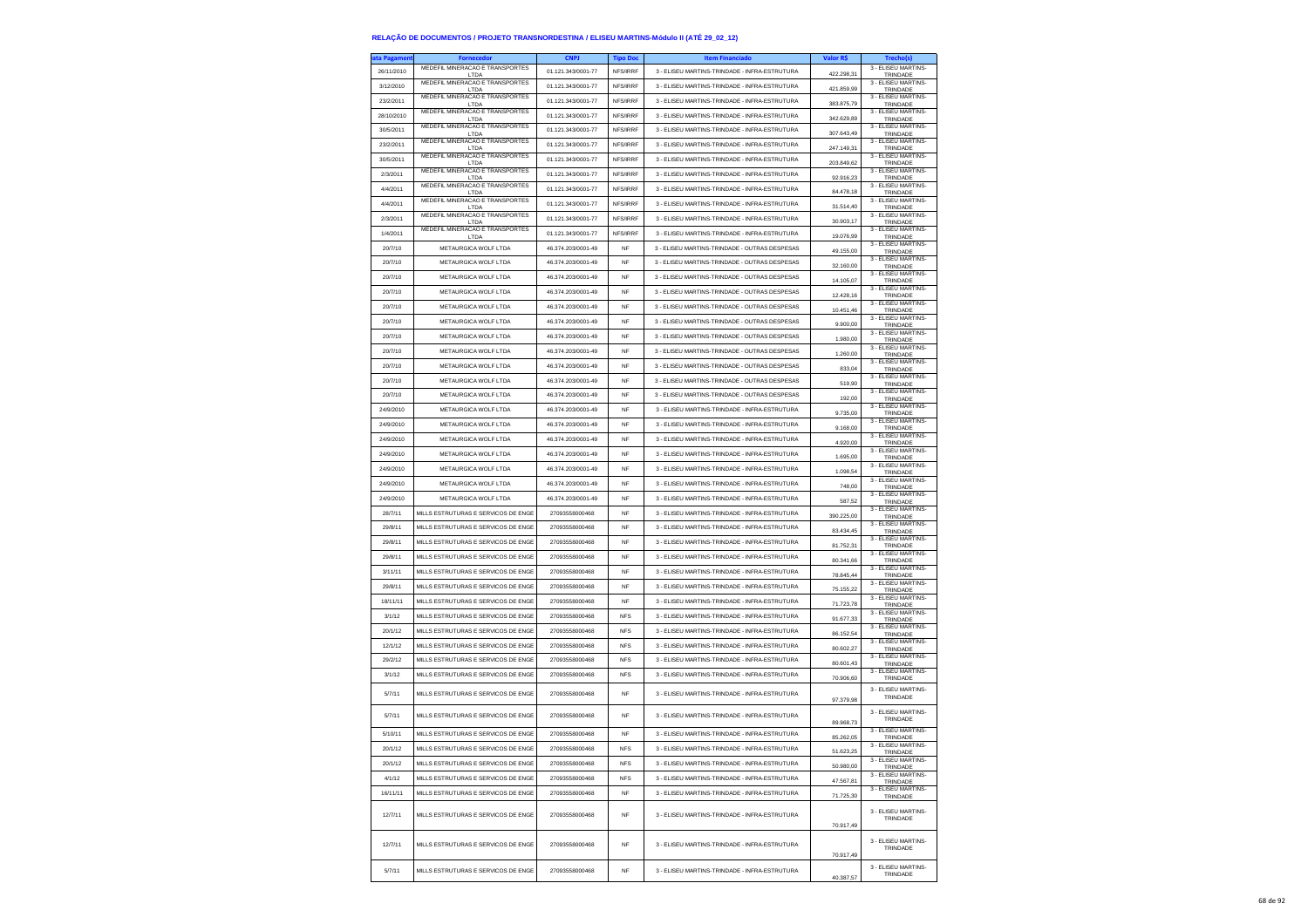| 26/11/2010<br>01.121.343/0001-77<br>NFS/IRRF<br>3 - ELISEU MARTINS-TRINDADE - INFRA-ESTRUTURA<br>422.298,31<br>LTDA<br>TRINDADE<br>MEDEFIL MINERACAO E TRANSPORTES<br>3 - ELISEU MARTINS-<br>3/12/2010<br>01.121.343/0001-77<br>3 - ELISEU MARTINS-TRINDADE - INFRA-ESTRUTURA<br>NFS/IRRF<br>421.859,99<br>LTDA<br>TRINDADE<br>MEDEFIL MINERACAO E TRANSPORTES<br>3 - FLISEU MARTINS-<br>23/2/2011<br>01.121.343/0001-77<br>3 - ELISEU MARTINS-TRINDADE - INFRA-ESTRUTURA<br>NFS/IRRF<br>383,875.79<br>LTDA<br>TRINDADE<br>MEDEFIL MINERACAO E TRANSPORTES<br>3 - ELISEU MARTINS-<br>28/10/2010<br>01.121.343/0001-77<br>NFS/IRRF<br>3 - ELISEU MARTINS-TRINDADE - INFRA-ESTRUTURA<br>342.629,89<br>LTDA<br>TRINDADE<br>MEDEFIL MINERACAO E TRANSPORTES<br>3 - ELISEU MARTINS-<br>30/5/2011<br>01.121.343/0001-77<br>3 - ELISEU MARTINS-TRINDADE - INFRA-ESTRUTURA<br>NFS/IRRF<br>307.643,49<br>TRINDADE<br>LTDA<br>MEDEEL MINERACAO E TRANSPORTES<br>3 - ELISEU MARTINS-<br>23/2/2011<br>01.121.343/0001-77<br>NFS/IRRF<br>3 - ELISEU MARTINS-TRINDADE - INFRA-ESTRUTURA<br>247.149.31<br>LTDA<br>TRINDADE<br>MEDEFIL MINERACAO E TRANSPORTES<br>3 - ELISEU MARTINS-<br>30/5/2011<br>01.121.343/0001-77<br>3 - ELISEU MARTINS-TRINDADE - INFRA-ESTRUTURA<br>NFS/IRRF<br>203.849.62<br>LTDA<br>TRINDADE<br>MEDEFIL MINERACAO E TRANSPORTES<br>3 - ELISEU MARTINS-<br>2/3/2011<br>01.121.343/0001-77<br>NFS/IRRF<br>3 - ELISEU MARTINS-TRINDADE - INFRA-ESTRUTURA<br>92.916,23<br>LTDA<br>TRINDADE<br>MEDEFIL MINERACAO E TRANSPORTES<br>3 - ELISEU MARTINS-<br>4/4/2011<br>01.121.343/0001-77<br>NFS/IRRF<br>3 - ELISEU MARTINS-TRINDADE - INFRA-ESTRUTURA<br>84,478.18<br>LTDA<br>TRINDADE<br>MEDEFIL MINERACAO E TRANSPORTES<br>3 - ELISEU MARTINS-<br>4/4/2011<br>01.121.343/0001-77<br>NFS/IRRF<br>3 - ELISEU MARTINS-TRINDADE - INFRA-ESTRUTURA<br>31.514,40<br>LTDA<br>TRINDADE<br>MEDEFIL MINERACAO E TRANSPORTES<br>3 - ELISEU MARTINS-<br>2/3/2011<br>01.121.343/0001-77<br>NFS/IRRF<br>3 - ELISEU MARTINS-TRINDADE - INFRA-ESTRUTURA<br>30.903,17<br>TRINDADE<br>LTDA<br>MEDEFIL MINERACAO E TRANSPORTES<br>3 - FLISEU MARTINS-<br>1/4/2011<br>01.121.343/0001-77<br>NFS/IRRF<br>3 - ELISEU MARTINS-TRINDADE - INFRA-ESTRUTURA<br>19.076.99<br>LTDA<br>TRINDADE<br>3 - ELISEU MARTINS-<br>METAURGICA WOLF LTDA<br>20/7/10<br>46.374.203/0001-49<br>3 - ELISEU MARTINS-TRINDADE - OUTRAS DESPESAS<br><b>NF</b><br>49.155,00<br>TRINDADE<br>3 - ELISEU MARTINS-<br>20/7/10<br>METAURGICA WOLF LTDA<br>46.374.203/0001-49<br><b>NF</b><br>3 - ELISEU MARTINS-TRINDADE - OUTRAS DESPESAS<br>32,160.00<br>TRINDADE<br>3 - FLISEU MARTINS<br>METAURGICA WOLF LTDA<br>46.374.203/0001-49<br>3 - ELISEU MARTINS-TRINDADE - OUTRAS DESPESAS<br>20/7/10<br>NF<br>14.105.07<br>TRINDADE<br>3 - ELISEU MARTINS-<br>20/7/10<br>METAURGICA WOLF LTDA<br>46.374.203/0001-49<br>3 - ELISEU MARTINS-TRINDADE - OUTRAS DESPESAS<br><b>NF</b><br>12.428,16<br>TRINDADE<br>3 - ELISEU MARTINS-<br>20/7/10<br>METAURGICA WOLF LTDA<br>46.374.203/0001-49<br><b>NF</b><br>3 - ELISEU MARTINS-TRINDADE - OUTRAS DESPESAS<br>10.451,46<br>TRINDADE<br>3 - ELISEU MARTINS-<br>20/7/10<br>METAURGICA WOLF LTDA<br>46.374.203/0001-49<br>NF<br>3 - ELISEU MARTINS-TRINDADE - OUTRAS DESPESAS<br>9.900,00<br>TRINDADE<br>3 - ELISEU MARTINS-<br>20/7/10<br>METAURGICA WOLF LTDA<br>46.374.203/0001-49<br>3 - ELISEU MARTINS-TRINDADE - OUTRAS DESPESAS<br><b>NF</b><br>1.980,00<br>TRINDADE<br>3 - ELISEU MARTINS-<br>20/7/10<br>METAURGICA WOLF LTDA<br>46.374.203/0001-49<br><b>NF</b><br>3 - ELISEU MARTINS-TRINDADE - OUTRAS DESPESAS<br>1.260,00<br>TRINDADE<br>3 - ELISEU MARTINS-<br>46.374.203/0001-49<br>3 - ELISEU MARTINS-TRINDADE - OUTRAS DESPESAS<br>20/7/10<br>METAURGICA WOLF LTDA<br>NF<br>833,04<br>TRINDADE<br>3 - FLISEU MARTINS-<br>METAURGICA WOLF LTDA<br>46.374.203/0001-49<br>3 - ELISEU MARTINS-TRINDADE - OUTRAS DESPESAS<br>20/7/10<br><b>NF</b><br>519,90<br>TRINDADE<br>3 - ELISEU MARTINS-<br>20/7/10<br>METAURGICA WOLF LTDA<br>46.374.203/0001-49<br><b>NF</b><br>3 - ELISEU MARTINS-TRINDADE - OUTRAS DESPESAS<br>192,00<br>TRINDADE<br>3 - ELISEU MARTINS-<br>24/9/2010<br>METAURGICA WOLF LTDA<br>46.374.203/0001-49<br>3 - ELISEU MARTINS-TRINDADE - INFRA-ESTRUTURA<br>NF<br>9.735,00<br>TRINDADE<br>3 - ELISEU MARTINS-<br>METAURGICA WOLF LTDA<br>46.374.203/0001-49<br>3 - ELISEU MARTINS-TRINDADE - INFRA-ESTRUTURA<br>24/9/2010<br><b>NF</b><br>9,168.00<br>TRINDADE<br>3 - ELISEU MARTINS-<br>24/9/2010<br>METAURGICA WOLF LTDA<br>46 374 203/0001-49<br><b>NF</b><br>3 - ELISEU MARTINS-TRINDADE - INFRA-ESTRUTURA<br>4.920,00<br>TRINDADE<br>3 - ELISEU MARTINS-<br>46.374.203/0001-49<br>3 - ELISEU MARTINS-TRINDADE - INFRA-ESTRUTURA<br>24/9/2010<br>METAURGICA WOLF LTDA<br>NF<br>1.695,00<br>TRINDADE<br>3 - ELISEU MARTINS-<br>METAURGICA WOLF LTDA<br>46.374.203/0001-49<br>3 - FLISEU MARTINS-TRINDADE - INFRA-ESTRUTURA<br>24/9/2010<br><b>NF</b><br>1.098.54<br>TRINDADE<br>3 - ELISEU MARTINS-<br>24/9/2010<br>METAURGICA WOLF LTDA<br>46.374.203/0001-49<br>3 - ELISEU MARTINS-TRINDADE - INFRA-ESTRUTURA<br><b>NF</b><br>748,00<br>TRINDADE<br>3 - ELISEU MARTINS-<br>METAURGICA WOLF LTDA<br>46.374.203/0001-49<br>24/9/2010<br>NF<br>3 - ELISEU MARTINS-TRINDADE - INFRA-ESTRUTURA<br>587,52<br>TRINDADE<br>3 - ELISEU MARTINS-<br>28/7/11<br>MILLS ESTRUTURAS E SERVICOS DE ENGE<br>27093558000468<br>3 - ELISEU MARTINS-TRINDADE - INFRA-ESTRUTURA<br><b>NF</b><br>390,225.00<br>TRINDADE<br>3 - ELISEU MARTINS-<br>29/8/11<br>MILLS ESTRUTURAS E SERVICOS DE ENGE<br>27093558000468<br>3 - ELISEU MARTINS-TRINDADE - INFRA-ESTRUTURA<br><b>NF</b><br>83.434,45<br>TRINDADE<br>3 - ELISEU MARTINS-<br>MILLS ESTRUTURAS E SERVICOS DE ENGE<br>29/8/11<br>27093558000468<br>NF<br>3 - ELISEU MARTINS-TRINDADE - INFRA-ESTRUTURA<br>81.752,31<br>TRINDADE<br>3 - ELISEU MARTINS-<br>29/8/11<br>MILLS ESTRUTURAS E SERVICOS DE ENGE<br>27093558000468<br>3 - ELISEU MARTINS-TRINDADE - INFRA-ESTRUTURA<br><b>NF</b><br>80.341.66<br>TRINDADE<br>3 - ELISEU MARTINS-<br>3/11/11<br>MILLS ESTRUTURAS E SERVICOS DE ENGE<br>27093558000468<br>3 - ELISEU MARTINS-TRINDADE - INFRA-ESTRUTURA<br><b>NF</b><br>78.845,44<br>TRINDADE<br>3 - ELISEU MARTINS-<br>29/8/11<br>MILLS ESTRUTURAS E SERVICOS DE ENGE<br>27093558000468<br><b>NF</b><br>3 - ELISEU MARTINS-TRINDADE - INFRA-ESTRUTURA<br>75.155,22<br>TRINDADE<br>3 - ELISEU MARTINS-<br>MILLS ESTRUTURAS E SERVICOS DE ENGE<br>27093558000468<br>3 - ELISEU MARTINS-TRINDADE - INFRA-ESTRUTURA<br>18/11/11<br><b>NF</b><br>71.723,78<br>TRINDADE<br>3 - ELISEU MARTINS-<br>3/1/12<br>MILLS ESTRUTURAS E SERVICOS DE ENGE<br>27093558000468<br>3 - ELISEU MARTINS-TRINDADE - INFRA-ESTRUTURA<br><b>NFS</b><br>91.677,33<br>TRINDADE<br>3 - ELISEU MARTINS-<br>20/1/12<br>MILLS ESTRUTURAS E SERVICOS DE ENGE<br>27093558000468<br><b>NFS</b><br>3 - ELISEU MARTINS-TRINDADE - INFRA-ESTRUTURA<br>86.152,54<br>TRINDADE<br>3 - ELISEU MARTINS-<br>12/1/12<br>MILLS ESTRUTURAS E SERVICOS DE ENGE<br>27093558000468<br>3 - ELISEU MARTINS-TRINDADE - INFRA-ESTRUTURA<br><b>NFS</b><br>80,602.27<br>TRINDADE<br>3 - FLISEU MARTINS-<br>29/2/12<br>MILLS ESTRUTURAS E SERVICOS DE ENGE<br>27093558000468<br>3 - ELISEU MARTINS-TRINDADE - INFRA-ESTRUTURA<br><b>NFS</b><br>80.601,43<br>TRINDADE<br>3 - ELISEU MARTINS-<br>3/1/12<br>MILLS ESTRUTURAS E SERVICOS DE ENGE<br>27093558000468<br><b>NFS</b><br>3 - ELISEU MARTINS-TRINDADE - INFRA-ESTRUTURA<br>70.906,60<br>TRINDADE<br>3 - ELISEU MARTINS-<br>5/7/11<br>MILLS ESTRUTURAS E SERVICOS DE ENGE<br>27093558000468<br><b>NF</b><br>3 - ELISEU MARTINS-TRINDADE - INFRA-ESTRUTURA<br>TRINDADE<br>97.379.98<br>3 - FLISEU MARTINS-<br>MILLS ESTRUTURAS E SERVICOS DE ENGE<br>27093558000468<br>3 - ELISEU MARTINS-TRINDADE - INFRA-ESTRUTURA<br>5/7/11<br><b>NF</b><br>TRINDADE<br>89.968,73<br>3 - ELISEU MARTINS-<br>5/10/11<br>MILLS ESTRUTURAS E SERVICOS DE ENGE<br>27093558000468<br>3 - ELISEU MARTINS-TRINDADE - INFRA-ESTRUTURA<br><b>NF</b><br>85.262.05<br><b>TRINDADE</b><br>3 - ELISEU MARTINS-<br>MILLS ESTRUTURAS E SERVICOS DE ENGE<br>27093558000468<br>20/1/12<br><b>NFS</b><br>3 - ELISELLMARTINS-TRINDADE - INFRA-ESTRUTURA<br>51.623,25<br>TRINDADE<br>3 - ELISEU MARTINS-<br>20/1/12<br>MILLS ESTRUTURAS E SERVICOS DE ENGE<br>27093558000468<br><b>NFS</b><br>3 - ELISEU MARTINS-TRINDADE - INFRA-ESTRUTURA<br>50.980,00<br>TRINDADE<br>3 - ELISEU MARTINS-<br>4/1/12<br>MILLS ESTRUTURAS E SERVICOS DE ENGE<br>27093558000468<br><b>NFS</b><br>3 - ELISEU MARTINS-TRINDADE - INFRA-ESTRUTURA<br>47.567.81<br>TRINDADE<br>3 - ELISEU MARTINS-<br>16/11/11<br>MILLS ESTRUTURAS E SERVICOS DE ENGE<br>27093558000468<br>3 - ELISEU MARTINS-TRINDADE - INFRA-ESTRUTURA<br>NF<br>71.725,30<br>TRINDADE<br>3 - ELISEU MARTINS-<br>12/7/11<br>MILLS ESTRUTURAS E SERVICOS DE ENGE<br>27093558000468<br>3 - ELISEU MARTINS-TRINDADE - INFRA-ESTRUTURA<br>NF<br>TRINDADE<br>70.917.49<br>3 - ELISEU MARTINS-<br>12/7/11<br>MILLS ESTRUTURAS E SERVICOS DE ENGE<br>27093558000468<br><b>NF</b><br>3 - ELISEU MARTINS-TRINDADE - INFRA-ESTRUTURA<br>TRINDADE<br>70.917,49<br>3 - ELISEU MARTINS-<br>5/7/11<br>MILLS ESTRUTURAS E SERVICOS DE ENGE<br>27093558000468<br><b>NF</b><br>3 - ELISEU MARTINS-TRINDADE - INFRA-ESTRUTURA<br>TRINDADE<br>40.387,57 | ata Pagamer | <b>Fornecedor</b>               | <b>CNPJ</b> | <b>Tipo Doc</b> | <b>Item Financiado</b> | Valor R\$ | Trecho(s)           |
|------------------------------------------------------------------------------------------------------------------------------------------------------------------------------------------------------------------------------------------------------------------------------------------------------------------------------------------------------------------------------------------------------------------------------------------------------------------------------------------------------------------------------------------------------------------------------------------------------------------------------------------------------------------------------------------------------------------------------------------------------------------------------------------------------------------------------------------------------------------------------------------------------------------------------------------------------------------------------------------------------------------------------------------------------------------------------------------------------------------------------------------------------------------------------------------------------------------------------------------------------------------------------------------------------------------------------------------------------------------------------------------------------------------------------------------------------------------------------------------------------------------------------------------------------------------------------------------------------------------------------------------------------------------------------------------------------------------------------------------------------------------------------------------------------------------------------------------------------------------------------------------------------------------------------------------------------------------------------------------------------------------------------------------------------------------------------------------------------------------------------------------------------------------------------------------------------------------------------------------------------------------------------------------------------------------------------------------------------------------------------------------------------------------------------------------------------------------------------------------------------------------------------------------------------------------------------------------------------------------------------------------------------------------------------------------------------------------------------------------------------------------------------------------------------------------------------------------------------------------------------------------------------------------------------------------------------------------------------------------------------------------------------------------------------------------------------------------------------------------------------------------------------------------------------------------------------------------------------------------------------------------------------------------------------------------------------------------------------------------------------------------------------------------------------------------------------------------------------------------------------------------------------------------------------------------------------------------------------------------------------------------------------------------------------------------------------------------------------------------------------------------------------------------------------------------------------------------------------------------------------------------------------------------------------------------------------------------------------------------------------------------------------------------------------------------------------------------------------------------------------------------------------------------------------------------------------------------------------------------------------------------------------------------------------------------------------------------------------------------------------------------------------------------------------------------------------------------------------------------------------------------------------------------------------------------------------------------------------------------------------------------------------------------------------------------------------------------------------------------------------------------------------------------------------------------------------------------------------------------------------------------------------------------------------------------------------------------------------------------------------------------------------------------------------------------------------------------------------------------------------------------------------------------------------------------------------------------------------------------------------------------------------------------------------------------------------------------------------------------------------------------------------------------------------------------------------------------------------------------------------------------------------------------------------------------------------------------------------------------------------------------------------------------------------------------------------------------------------------------------------------------------------------------------------------------------------------------------------------------------------------------------------------------------------------------------------------------------------------------------------------------------------------------------------------------------------------------------------------------------------------------------------------------------------------------------------------------------------------------------------------------------------------------------------------------------------------------------------------------------------------------------------------------------------------------------------------------------------------------------------------------------------------------------------------------------------------------------------------------------------------------------------------------------------------------------------------------------------------------------------------------------------------------------------------------------------------------------------------------------------------------------------------------------------------------------------------------------------------------------------------------------------------------------------------------------------------------------------------------------------------------------------------------------------------------------------------------------------------------------------------------------------------------------------------------------------------------------------------------------------------------------------------------------------------------------------------------------------------------------------------------------------------------------------------------------------------------------------------------------------------------------------------------------------------------------------------------------------------------------------------------------------------------------------------------------------------------------------------------------------------------------------------------------------------------------------------------------------------------------------------------------------------------------------------------------------------------------------------------------------------------------------------------------------------------------------------------------------------------------------------------------------------------------------------------------------------------------------------------------------------------------------------------------------------------------------------------------------------------------------------------------------------------------------------------------------------------------------------------------------------------------------------------------------------------------------------------------------------------------------------------------------------------------------------------------------------------------------------------------------------------------------------------------------------------------------------------------------------------------------------------------------------------------------------------------------------------------------------------------------------------------------------------------------------------------------------------------------------------------------------------------------------------------------------------------------------------------------------------------------------------------------------------------|-------------|---------------------------------|-------------|-----------------|------------------------|-----------|---------------------|
|                                                                                                                                                                                                                                                                                                                                                                                                                                                                                                                                                                                                                                                                                                                                                                                                                                                                                                                                                                                                                                                                                                                                                                                                                                                                                                                                                                                                                                                                                                                                                                                                                                                                                                                                                                                                                                                                                                                                                                                                                                                                                                                                                                                                                                                                                                                                                                                                                                                                                                                                                                                                                                                                                                                                                                                                                                                                                                                                                                                                                                                                                                                                                                                                                                                                                                                                                                                                                                                                                                                                                                                                                                                                                                                                                                                                                                                                                                                                                                                                                                                                                                                                                                                                                                                                                                                                                                                                                                                                                                                                                                                                                                                                                                                                                                                                                                                                                                                                                                                                                                                                                                                                                                                                                                                                                                                                                                                                                                                                                                                                                                                                                                                                                                                                                                                                                                                                                                                                                                                                                                                                                                                                                                                                                                                                                                                                                                                                                                                                                                                                                                                                                                                                                                                                                                                                                                                                                                                                                                                                                                                                                                                                                                                                                                                                                                                                                                                                                                                                                                                                                                                                                                                                                                                                                                                                                                                                                                                                                                                                                                                                                                                                                                                                                                                                                                                                                                                                                                                                                                                                                                                                                                                                                                                                                                                                                                                                                                                                                                                                                                                                                                                                                                                                                                                                                                                                                                                                                        |             | MEDEFIL MINERACAO E TRANSPORTES |             |                 |                        |           | 3 - ELISEU MARTINS- |
|                                                                                                                                                                                                                                                                                                                                                                                                                                                                                                                                                                                                                                                                                                                                                                                                                                                                                                                                                                                                                                                                                                                                                                                                                                                                                                                                                                                                                                                                                                                                                                                                                                                                                                                                                                                                                                                                                                                                                                                                                                                                                                                                                                                                                                                                                                                                                                                                                                                                                                                                                                                                                                                                                                                                                                                                                                                                                                                                                                                                                                                                                                                                                                                                                                                                                                                                                                                                                                                                                                                                                                                                                                                                                                                                                                                                                                                                                                                                                                                                                                                                                                                                                                                                                                                                                                                                                                                                                                                                                                                                                                                                                                                                                                                                                                                                                                                                                                                                                                                                                                                                                                                                                                                                                                                                                                                                                                                                                                                                                                                                                                                                                                                                                                                                                                                                                                                                                                                                                                                                                                                                                                                                                                                                                                                                                                                                                                                                                                                                                                                                                                                                                                                                                                                                                                                                                                                                                                                                                                                                                                                                                                                                                                                                                                                                                                                                                                                                                                                                                                                                                                                                                                                                                                                                                                                                                                                                                                                                                                                                                                                                                                                                                                                                                                                                                                                                                                                                                                                                                                                                                                                                                                                                                                                                                                                                                                                                                                                                                                                                                                                                                                                                                                                                                                                                                                                                                                                                                        |             |                                 |             |                 |                        |           |                     |
|                                                                                                                                                                                                                                                                                                                                                                                                                                                                                                                                                                                                                                                                                                                                                                                                                                                                                                                                                                                                                                                                                                                                                                                                                                                                                                                                                                                                                                                                                                                                                                                                                                                                                                                                                                                                                                                                                                                                                                                                                                                                                                                                                                                                                                                                                                                                                                                                                                                                                                                                                                                                                                                                                                                                                                                                                                                                                                                                                                                                                                                                                                                                                                                                                                                                                                                                                                                                                                                                                                                                                                                                                                                                                                                                                                                                                                                                                                                                                                                                                                                                                                                                                                                                                                                                                                                                                                                                                                                                                                                                                                                                                                                                                                                                                                                                                                                                                                                                                                                                                                                                                                                                                                                                                                                                                                                                                                                                                                                                                                                                                                                                                                                                                                                                                                                                                                                                                                                                                                                                                                                                                                                                                                                                                                                                                                                                                                                                                                                                                                                                                                                                                                                                                                                                                                                                                                                                                                                                                                                                                                                                                                                                                                                                                                                                                                                                                                                                                                                                                                                                                                                                                                                                                                                                                                                                                                                                                                                                                                                                                                                                                                                                                                                                                                                                                                                                                                                                                                                                                                                                                                                                                                                                                                                                                                                                                                                                                                                                                                                                                                                                                                                                                                                                                                                                                                                                                                                                                        |             |                                 |             |                 |                        |           |                     |
|                                                                                                                                                                                                                                                                                                                                                                                                                                                                                                                                                                                                                                                                                                                                                                                                                                                                                                                                                                                                                                                                                                                                                                                                                                                                                                                                                                                                                                                                                                                                                                                                                                                                                                                                                                                                                                                                                                                                                                                                                                                                                                                                                                                                                                                                                                                                                                                                                                                                                                                                                                                                                                                                                                                                                                                                                                                                                                                                                                                                                                                                                                                                                                                                                                                                                                                                                                                                                                                                                                                                                                                                                                                                                                                                                                                                                                                                                                                                                                                                                                                                                                                                                                                                                                                                                                                                                                                                                                                                                                                                                                                                                                                                                                                                                                                                                                                                                                                                                                                                                                                                                                                                                                                                                                                                                                                                                                                                                                                                                                                                                                                                                                                                                                                                                                                                                                                                                                                                                                                                                                                                                                                                                                                                                                                                                                                                                                                                                                                                                                                                                                                                                                                                                                                                                                                                                                                                                                                                                                                                                                                                                                                                                                                                                                                                                                                                                                                                                                                                                                                                                                                                                                                                                                                                                                                                                                                                                                                                                                                                                                                                                                                                                                                                                                                                                                                                                                                                                                                                                                                                                                                                                                                                                                                                                                                                                                                                                                                                                                                                                                                                                                                                                                                                                                                                                                                                                                                                                        |             |                                 |             |                 |                        |           |                     |
|                                                                                                                                                                                                                                                                                                                                                                                                                                                                                                                                                                                                                                                                                                                                                                                                                                                                                                                                                                                                                                                                                                                                                                                                                                                                                                                                                                                                                                                                                                                                                                                                                                                                                                                                                                                                                                                                                                                                                                                                                                                                                                                                                                                                                                                                                                                                                                                                                                                                                                                                                                                                                                                                                                                                                                                                                                                                                                                                                                                                                                                                                                                                                                                                                                                                                                                                                                                                                                                                                                                                                                                                                                                                                                                                                                                                                                                                                                                                                                                                                                                                                                                                                                                                                                                                                                                                                                                                                                                                                                                                                                                                                                                                                                                                                                                                                                                                                                                                                                                                                                                                                                                                                                                                                                                                                                                                                                                                                                                                                                                                                                                                                                                                                                                                                                                                                                                                                                                                                                                                                                                                                                                                                                                                                                                                                                                                                                                                                                                                                                                                                                                                                                                                                                                                                                                                                                                                                                                                                                                                                                                                                                                                                                                                                                                                                                                                                                                                                                                                                                                                                                                                                                                                                                                                                                                                                                                                                                                                                                                                                                                                                                                                                                                                                                                                                                                                                                                                                                                                                                                                                                                                                                                                                                                                                                                                                                                                                                                                                                                                                                                                                                                                                                                                                                                                                                                                                                                                                        |             |                                 |             |                 |                        |           |                     |
|                                                                                                                                                                                                                                                                                                                                                                                                                                                                                                                                                                                                                                                                                                                                                                                                                                                                                                                                                                                                                                                                                                                                                                                                                                                                                                                                                                                                                                                                                                                                                                                                                                                                                                                                                                                                                                                                                                                                                                                                                                                                                                                                                                                                                                                                                                                                                                                                                                                                                                                                                                                                                                                                                                                                                                                                                                                                                                                                                                                                                                                                                                                                                                                                                                                                                                                                                                                                                                                                                                                                                                                                                                                                                                                                                                                                                                                                                                                                                                                                                                                                                                                                                                                                                                                                                                                                                                                                                                                                                                                                                                                                                                                                                                                                                                                                                                                                                                                                                                                                                                                                                                                                                                                                                                                                                                                                                                                                                                                                                                                                                                                                                                                                                                                                                                                                                                                                                                                                                                                                                                                                                                                                                                                                                                                                                                                                                                                                                                                                                                                                                                                                                                                                                                                                                                                                                                                                                                                                                                                                                                                                                                                                                                                                                                                                                                                                                                                                                                                                                                                                                                                                                                                                                                                                                                                                                                                                                                                                                                                                                                                                                                                                                                                                                                                                                                                                                                                                                                                                                                                                                                                                                                                                                                                                                                                                                                                                                                                                                                                                                                                                                                                                                                                                                                                                                                                                                                                                                        |             |                                 |             |                 |                        |           |                     |
|                                                                                                                                                                                                                                                                                                                                                                                                                                                                                                                                                                                                                                                                                                                                                                                                                                                                                                                                                                                                                                                                                                                                                                                                                                                                                                                                                                                                                                                                                                                                                                                                                                                                                                                                                                                                                                                                                                                                                                                                                                                                                                                                                                                                                                                                                                                                                                                                                                                                                                                                                                                                                                                                                                                                                                                                                                                                                                                                                                                                                                                                                                                                                                                                                                                                                                                                                                                                                                                                                                                                                                                                                                                                                                                                                                                                                                                                                                                                                                                                                                                                                                                                                                                                                                                                                                                                                                                                                                                                                                                                                                                                                                                                                                                                                                                                                                                                                                                                                                                                                                                                                                                                                                                                                                                                                                                                                                                                                                                                                                                                                                                                                                                                                                                                                                                                                                                                                                                                                                                                                                                                                                                                                                                                                                                                                                                                                                                                                                                                                                                                                                                                                                                                                                                                                                                                                                                                                                                                                                                                                                                                                                                                                                                                                                                                                                                                                                                                                                                                                                                                                                                                                                                                                                                                                                                                                                                                                                                                                                                                                                                                                                                                                                                                                                                                                                                                                                                                                                                                                                                                                                                                                                                                                                                                                                                                                                                                                                                                                                                                                                                                                                                                                                                                                                                                                                                                                                                                                        |             |                                 |             |                 |                        |           |                     |
|                                                                                                                                                                                                                                                                                                                                                                                                                                                                                                                                                                                                                                                                                                                                                                                                                                                                                                                                                                                                                                                                                                                                                                                                                                                                                                                                                                                                                                                                                                                                                                                                                                                                                                                                                                                                                                                                                                                                                                                                                                                                                                                                                                                                                                                                                                                                                                                                                                                                                                                                                                                                                                                                                                                                                                                                                                                                                                                                                                                                                                                                                                                                                                                                                                                                                                                                                                                                                                                                                                                                                                                                                                                                                                                                                                                                                                                                                                                                                                                                                                                                                                                                                                                                                                                                                                                                                                                                                                                                                                                                                                                                                                                                                                                                                                                                                                                                                                                                                                                                                                                                                                                                                                                                                                                                                                                                                                                                                                                                                                                                                                                                                                                                                                                                                                                                                                                                                                                                                                                                                                                                                                                                                                                                                                                                                                                                                                                                                                                                                                                                                                                                                                                                                                                                                                                                                                                                                                                                                                                                                                                                                                                                                                                                                                                                                                                                                                                                                                                                                                                                                                                                                                                                                                                                                                                                                                                                                                                                                                                                                                                                                                                                                                                                                                                                                                                                                                                                                                                                                                                                                                                                                                                                                                                                                                                                                                                                                                                                                                                                                                                                                                                                                                                                                                                                                                                                                                                                                        |             |                                 |             |                 |                        |           |                     |
|                                                                                                                                                                                                                                                                                                                                                                                                                                                                                                                                                                                                                                                                                                                                                                                                                                                                                                                                                                                                                                                                                                                                                                                                                                                                                                                                                                                                                                                                                                                                                                                                                                                                                                                                                                                                                                                                                                                                                                                                                                                                                                                                                                                                                                                                                                                                                                                                                                                                                                                                                                                                                                                                                                                                                                                                                                                                                                                                                                                                                                                                                                                                                                                                                                                                                                                                                                                                                                                                                                                                                                                                                                                                                                                                                                                                                                                                                                                                                                                                                                                                                                                                                                                                                                                                                                                                                                                                                                                                                                                                                                                                                                                                                                                                                                                                                                                                                                                                                                                                                                                                                                                                                                                                                                                                                                                                                                                                                                                                                                                                                                                                                                                                                                                                                                                                                                                                                                                                                                                                                                                                                                                                                                                                                                                                                                                                                                                                                                                                                                                                                                                                                                                                                                                                                                                                                                                                                                                                                                                                                                                                                                                                                                                                                                                                                                                                                                                                                                                                                                                                                                                                                                                                                                                                                                                                                                                                                                                                                                                                                                                                                                                                                                                                                                                                                                                                                                                                                                                                                                                                                                                                                                                                                                                                                                                                                                                                                                                                                                                                                                                                                                                                                                                                                                                                                                                                                                                                                        |             |                                 |             |                 |                        |           |                     |
|                                                                                                                                                                                                                                                                                                                                                                                                                                                                                                                                                                                                                                                                                                                                                                                                                                                                                                                                                                                                                                                                                                                                                                                                                                                                                                                                                                                                                                                                                                                                                                                                                                                                                                                                                                                                                                                                                                                                                                                                                                                                                                                                                                                                                                                                                                                                                                                                                                                                                                                                                                                                                                                                                                                                                                                                                                                                                                                                                                                                                                                                                                                                                                                                                                                                                                                                                                                                                                                                                                                                                                                                                                                                                                                                                                                                                                                                                                                                                                                                                                                                                                                                                                                                                                                                                                                                                                                                                                                                                                                                                                                                                                                                                                                                                                                                                                                                                                                                                                                                                                                                                                                                                                                                                                                                                                                                                                                                                                                                                                                                                                                                                                                                                                                                                                                                                                                                                                                                                                                                                                                                                                                                                                                                                                                                                                                                                                                                                                                                                                                                                                                                                                                                                                                                                                                                                                                                                                                                                                                                                                                                                                                                                                                                                                                                                                                                                                                                                                                                                                                                                                                                                                                                                                                                                                                                                                                                                                                                                                                                                                                                                                                                                                                                                                                                                                                                                                                                                                                                                                                                                                                                                                                                                                                                                                                                                                                                                                                                                                                                                                                                                                                                                                                                                                                                                                                                                                                                                        |             |                                 |             |                 |                        |           |                     |
|                                                                                                                                                                                                                                                                                                                                                                                                                                                                                                                                                                                                                                                                                                                                                                                                                                                                                                                                                                                                                                                                                                                                                                                                                                                                                                                                                                                                                                                                                                                                                                                                                                                                                                                                                                                                                                                                                                                                                                                                                                                                                                                                                                                                                                                                                                                                                                                                                                                                                                                                                                                                                                                                                                                                                                                                                                                                                                                                                                                                                                                                                                                                                                                                                                                                                                                                                                                                                                                                                                                                                                                                                                                                                                                                                                                                                                                                                                                                                                                                                                                                                                                                                                                                                                                                                                                                                                                                                                                                                                                                                                                                                                                                                                                                                                                                                                                                                                                                                                                                                                                                                                                                                                                                                                                                                                                                                                                                                                                                                                                                                                                                                                                                                                                                                                                                                                                                                                                                                                                                                                                                                                                                                                                                                                                                                                                                                                                                                                                                                                                                                                                                                                                                                                                                                                                                                                                                                                                                                                                                                                                                                                                                                                                                                                                                                                                                                                                                                                                                                                                                                                                                                                                                                                                                                                                                                                                                                                                                                                                                                                                                                                                                                                                                                                                                                                                                                                                                                                                                                                                                                                                                                                                                                                                                                                                                                                                                                                                                                                                                                                                                                                                                                                                                                                                                                                                                                                                                                        |             |                                 |             |                 |                        |           |                     |
|                                                                                                                                                                                                                                                                                                                                                                                                                                                                                                                                                                                                                                                                                                                                                                                                                                                                                                                                                                                                                                                                                                                                                                                                                                                                                                                                                                                                                                                                                                                                                                                                                                                                                                                                                                                                                                                                                                                                                                                                                                                                                                                                                                                                                                                                                                                                                                                                                                                                                                                                                                                                                                                                                                                                                                                                                                                                                                                                                                                                                                                                                                                                                                                                                                                                                                                                                                                                                                                                                                                                                                                                                                                                                                                                                                                                                                                                                                                                                                                                                                                                                                                                                                                                                                                                                                                                                                                                                                                                                                                                                                                                                                                                                                                                                                                                                                                                                                                                                                                                                                                                                                                                                                                                                                                                                                                                                                                                                                                                                                                                                                                                                                                                                                                                                                                                                                                                                                                                                                                                                                                                                                                                                                                                                                                                                                                                                                                                                                                                                                                                                                                                                                                                                                                                                                                                                                                                                                                                                                                                                                                                                                                                                                                                                                                                                                                                                                                                                                                                                                                                                                                                                                                                                                                                                                                                                                                                                                                                                                                                                                                                                                                                                                                                                                                                                                                                                                                                                                                                                                                                                                                                                                                                                                                                                                                                                                                                                                                                                                                                                                                                                                                                                                                                                                                                                                                                                                                                                        |             |                                 |             |                 |                        |           |                     |
|                                                                                                                                                                                                                                                                                                                                                                                                                                                                                                                                                                                                                                                                                                                                                                                                                                                                                                                                                                                                                                                                                                                                                                                                                                                                                                                                                                                                                                                                                                                                                                                                                                                                                                                                                                                                                                                                                                                                                                                                                                                                                                                                                                                                                                                                                                                                                                                                                                                                                                                                                                                                                                                                                                                                                                                                                                                                                                                                                                                                                                                                                                                                                                                                                                                                                                                                                                                                                                                                                                                                                                                                                                                                                                                                                                                                                                                                                                                                                                                                                                                                                                                                                                                                                                                                                                                                                                                                                                                                                                                                                                                                                                                                                                                                                                                                                                                                                                                                                                                                                                                                                                                                                                                                                                                                                                                                                                                                                                                                                                                                                                                                                                                                                                                                                                                                                                                                                                                                                                                                                                                                                                                                                                                                                                                                                                                                                                                                                                                                                                                                                                                                                                                                                                                                                                                                                                                                                                                                                                                                                                                                                                                                                                                                                                                                                                                                                                                                                                                                                                                                                                                                                                                                                                                                                                                                                                                                                                                                                                                                                                                                                                                                                                                                                                                                                                                                                                                                                                                                                                                                                                                                                                                                                                                                                                                                                                                                                                                                                                                                                                                                                                                                                                                                                                                                                                                                                                                                                        |             |                                 |             |                 |                        |           |                     |
|                                                                                                                                                                                                                                                                                                                                                                                                                                                                                                                                                                                                                                                                                                                                                                                                                                                                                                                                                                                                                                                                                                                                                                                                                                                                                                                                                                                                                                                                                                                                                                                                                                                                                                                                                                                                                                                                                                                                                                                                                                                                                                                                                                                                                                                                                                                                                                                                                                                                                                                                                                                                                                                                                                                                                                                                                                                                                                                                                                                                                                                                                                                                                                                                                                                                                                                                                                                                                                                                                                                                                                                                                                                                                                                                                                                                                                                                                                                                                                                                                                                                                                                                                                                                                                                                                                                                                                                                                                                                                                                                                                                                                                                                                                                                                                                                                                                                                                                                                                                                                                                                                                                                                                                                                                                                                                                                                                                                                                                                                                                                                                                                                                                                                                                                                                                                                                                                                                                                                                                                                                                                                                                                                                                                                                                                                                                                                                                                                                                                                                                                                                                                                                                                                                                                                                                                                                                                                                                                                                                                                                                                                                                                                                                                                                                                                                                                                                                                                                                                                                                                                                                                                                                                                                                                                                                                                                                                                                                                                                                                                                                                                                                                                                                                                                                                                                                                                                                                                                                                                                                                                                                                                                                                                                                                                                                                                                                                                                                                                                                                                                                                                                                                                                                                                                                                                                                                                                                                                        |             |                                 |             |                 |                        |           |                     |
|                                                                                                                                                                                                                                                                                                                                                                                                                                                                                                                                                                                                                                                                                                                                                                                                                                                                                                                                                                                                                                                                                                                                                                                                                                                                                                                                                                                                                                                                                                                                                                                                                                                                                                                                                                                                                                                                                                                                                                                                                                                                                                                                                                                                                                                                                                                                                                                                                                                                                                                                                                                                                                                                                                                                                                                                                                                                                                                                                                                                                                                                                                                                                                                                                                                                                                                                                                                                                                                                                                                                                                                                                                                                                                                                                                                                                                                                                                                                                                                                                                                                                                                                                                                                                                                                                                                                                                                                                                                                                                                                                                                                                                                                                                                                                                                                                                                                                                                                                                                                                                                                                                                                                                                                                                                                                                                                                                                                                                                                                                                                                                                                                                                                                                                                                                                                                                                                                                                                                                                                                                                                                                                                                                                                                                                                                                                                                                                                                                                                                                                                                                                                                                                                                                                                                                                                                                                                                                                                                                                                                                                                                                                                                                                                                                                                                                                                                                                                                                                                                                                                                                                                                                                                                                                                                                                                                                                                                                                                                                                                                                                                                                                                                                                                                                                                                                                                                                                                                                                                                                                                                                                                                                                                                                                                                                                                                                                                                                                                                                                                                                                                                                                                                                                                                                                                                                                                                                                                                        |             |                                 |             |                 |                        |           |                     |
|                                                                                                                                                                                                                                                                                                                                                                                                                                                                                                                                                                                                                                                                                                                                                                                                                                                                                                                                                                                                                                                                                                                                                                                                                                                                                                                                                                                                                                                                                                                                                                                                                                                                                                                                                                                                                                                                                                                                                                                                                                                                                                                                                                                                                                                                                                                                                                                                                                                                                                                                                                                                                                                                                                                                                                                                                                                                                                                                                                                                                                                                                                                                                                                                                                                                                                                                                                                                                                                                                                                                                                                                                                                                                                                                                                                                                                                                                                                                                                                                                                                                                                                                                                                                                                                                                                                                                                                                                                                                                                                                                                                                                                                                                                                                                                                                                                                                                                                                                                                                                                                                                                                                                                                                                                                                                                                                                                                                                                                                                                                                                                                                                                                                                                                                                                                                                                                                                                                                                                                                                                                                                                                                                                                                                                                                                                                                                                                                                                                                                                                                                                                                                                                                                                                                                                                                                                                                                                                                                                                                                                                                                                                                                                                                                                                                                                                                                                                                                                                                                                                                                                                                                                                                                                                                                                                                                                                                                                                                                                                                                                                                                                                                                                                                                                                                                                                                                                                                                                                                                                                                                                                                                                                                                                                                                                                                                                                                                                                                                                                                                                                                                                                                                                                                                                                                                                                                                                                                                        |             |                                 |             |                 |                        |           |                     |
|                                                                                                                                                                                                                                                                                                                                                                                                                                                                                                                                                                                                                                                                                                                                                                                                                                                                                                                                                                                                                                                                                                                                                                                                                                                                                                                                                                                                                                                                                                                                                                                                                                                                                                                                                                                                                                                                                                                                                                                                                                                                                                                                                                                                                                                                                                                                                                                                                                                                                                                                                                                                                                                                                                                                                                                                                                                                                                                                                                                                                                                                                                                                                                                                                                                                                                                                                                                                                                                                                                                                                                                                                                                                                                                                                                                                                                                                                                                                                                                                                                                                                                                                                                                                                                                                                                                                                                                                                                                                                                                                                                                                                                                                                                                                                                                                                                                                                                                                                                                                                                                                                                                                                                                                                                                                                                                                                                                                                                                                                                                                                                                                                                                                                                                                                                                                                                                                                                                                                                                                                                                                                                                                                                                                                                                                                                                                                                                                                                                                                                                                                                                                                                                                                                                                                                                                                                                                                                                                                                                                                                                                                                                                                                                                                                                                                                                                                                                                                                                                                                                                                                                                                                                                                                                                                                                                                                                                                                                                                                                                                                                                                                                                                                                                                                                                                                                                                                                                                                                                                                                                                                                                                                                                                                                                                                                                                                                                                                                                                                                                                                                                                                                                                                                                                                                                                                                                                                                                                        |             |                                 |             |                 |                        |           |                     |
|                                                                                                                                                                                                                                                                                                                                                                                                                                                                                                                                                                                                                                                                                                                                                                                                                                                                                                                                                                                                                                                                                                                                                                                                                                                                                                                                                                                                                                                                                                                                                                                                                                                                                                                                                                                                                                                                                                                                                                                                                                                                                                                                                                                                                                                                                                                                                                                                                                                                                                                                                                                                                                                                                                                                                                                                                                                                                                                                                                                                                                                                                                                                                                                                                                                                                                                                                                                                                                                                                                                                                                                                                                                                                                                                                                                                                                                                                                                                                                                                                                                                                                                                                                                                                                                                                                                                                                                                                                                                                                                                                                                                                                                                                                                                                                                                                                                                                                                                                                                                                                                                                                                                                                                                                                                                                                                                                                                                                                                                                                                                                                                                                                                                                                                                                                                                                                                                                                                                                                                                                                                                                                                                                                                                                                                                                                                                                                                                                                                                                                                                                                                                                                                                                                                                                                                                                                                                                                                                                                                                                                                                                                                                                                                                                                                                                                                                                                                                                                                                                                                                                                                                                                                                                                                                                                                                                                                                                                                                                                                                                                                                                                                                                                                                                                                                                                                                                                                                                                                                                                                                                                                                                                                                                                                                                                                                                                                                                                                                                                                                                                                                                                                                                                                                                                                                                                                                                                                                                        |             |                                 |             |                 |                        |           |                     |
|                                                                                                                                                                                                                                                                                                                                                                                                                                                                                                                                                                                                                                                                                                                                                                                                                                                                                                                                                                                                                                                                                                                                                                                                                                                                                                                                                                                                                                                                                                                                                                                                                                                                                                                                                                                                                                                                                                                                                                                                                                                                                                                                                                                                                                                                                                                                                                                                                                                                                                                                                                                                                                                                                                                                                                                                                                                                                                                                                                                                                                                                                                                                                                                                                                                                                                                                                                                                                                                                                                                                                                                                                                                                                                                                                                                                                                                                                                                                                                                                                                                                                                                                                                                                                                                                                                                                                                                                                                                                                                                                                                                                                                                                                                                                                                                                                                                                                                                                                                                                                                                                                                                                                                                                                                                                                                                                                                                                                                                                                                                                                                                                                                                                                                                                                                                                                                                                                                                                                                                                                                                                                                                                                                                                                                                                                                                                                                                                                                                                                                                                                                                                                                                                                                                                                                                                                                                                                                                                                                                                                                                                                                                                                                                                                                                                                                                                                                                                                                                                                                                                                                                                                                                                                                                                                                                                                                                                                                                                                                                                                                                                                                                                                                                                                                                                                                                                                                                                                                                                                                                                                                                                                                                                                                                                                                                                                                                                                                                                                                                                                                                                                                                                                                                                                                                                                                                                                                                                                        |             |                                 |             |                 |                        |           |                     |
|                                                                                                                                                                                                                                                                                                                                                                                                                                                                                                                                                                                                                                                                                                                                                                                                                                                                                                                                                                                                                                                                                                                                                                                                                                                                                                                                                                                                                                                                                                                                                                                                                                                                                                                                                                                                                                                                                                                                                                                                                                                                                                                                                                                                                                                                                                                                                                                                                                                                                                                                                                                                                                                                                                                                                                                                                                                                                                                                                                                                                                                                                                                                                                                                                                                                                                                                                                                                                                                                                                                                                                                                                                                                                                                                                                                                                                                                                                                                                                                                                                                                                                                                                                                                                                                                                                                                                                                                                                                                                                                                                                                                                                                                                                                                                                                                                                                                                                                                                                                                                                                                                                                                                                                                                                                                                                                                                                                                                                                                                                                                                                                                                                                                                                                                                                                                                                                                                                                                                                                                                                                                                                                                                                                                                                                                                                                                                                                                                                                                                                                                                                                                                                                                                                                                                                                                                                                                                                                                                                                                                                                                                                                                                                                                                                                                                                                                                                                                                                                                                                                                                                                                                                                                                                                                                                                                                                                                                                                                                                                                                                                                                                                                                                                                                                                                                                                                                                                                                                                                                                                                                                                                                                                                                                                                                                                                                                                                                                                                                                                                                                                                                                                                                                                                                                                                                                                                                                                                                        |             |                                 |             |                 |                        |           |                     |
|                                                                                                                                                                                                                                                                                                                                                                                                                                                                                                                                                                                                                                                                                                                                                                                                                                                                                                                                                                                                                                                                                                                                                                                                                                                                                                                                                                                                                                                                                                                                                                                                                                                                                                                                                                                                                                                                                                                                                                                                                                                                                                                                                                                                                                                                                                                                                                                                                                                                                                                                                                                                                                                                                                                                                                                                                                                                                                                                                                                                                                                                                                                                                                                                                                                                                                                                                                                                                                                                                                                                                                                                                                                                                                                                                                                                                                                                                                                                                                                                                                                                                                                                                                                                                                                                                                                                                                                                                                                                                                                                                                                                                                                                                                                                                                                                                                                                                                                                                                                                                                                                                                                                                                                                                                                                                                                                                                                                                                                                                                                                                                                                                                                                                                                                                                                                                                                                                                                                                                                                                                                                                                                                                                                                                                                                                                                                                                                                                                                                                                                                                                                                                                                                                                                                                                                                                                                                                                                                                                                                                                                                                                                                                                                                                                                                                                                                                                                                                                                                                                                                                                                                                                                                                                                                                                                                                                                                                                                                                                                                                                                                                                                                                                                                                                                                                                                                                                                                                                                                                                                                                                                                                                                                                                                                                                                                                                                                                                                                                                                                                                                                                                                                                                                                                                                                                                                                                                                                                        |             |                                 |             |                 |                        |           |                     |
|                                                                                                                                                                                                                                                                                                                                                                                                                                                                                                                                                                                                                                                                                                                                                                                                                                                                                                                                                                                                                                                                                                                                                                                                                                                                                                                                                                                                                                                                                                                                                                                                                                                                                                                                                                                                                                                                                                                                                                                                                                                                                                                                                                                                                                                                                                                                                                                                                                                                                                                                                                                                                                                                                                                                                                                                                                                                                                                                                                                                                                                                                                                                                                                                                                                                                                                                                                                                                                                                                                                                                                                                                                                                                                                                                                                                                                                                                                                                                                                                                                                                                                                                                                                                                                                                                                                                                                                                                                                                                                                                                                                                                                                                                                                                                                                                                                                                                                                                                                                                                                                                                                                                                                                                                                                                                                                                                                                                                                                                                                                                                                                                                                                                                                                                                                                                                                                                                                                                                                                                                                                                                                                                                                                                                                                                                                                                                                                                                                                                                                                                                                                                                                                                                                                                                                                                                                                                                                                                                                                                                                                                                                                                                                                                                                                                                                                                                                                                                                                                                                                                                                                                                                                                                                                                                                                                                                                                                                                                                                                                                                                                                                                                                                                                                                                                                                                                                                                                                                                                                                                                                                                                                                                                                                                                                                                                                                                                                                                                                                                                                                                                                                                                                                                                                                                                                                                                                                                                                        |             |                                 |             |                 |                        |           |                     |
|                                                                                                                                                                                                                                                                                                                                                                                                                                                                                                                                                                                                                                                                                                                                                                                                                                                                                                                                                                                                                                                                                                                                                                                                                                                                                                                                                                                                                                                                                                                                                                                                                                                                                                                                                                                                                                                                                                                                                                                                                                                                                                                                                                                                                                                                                                                                                                                                                                                                                                                                                                                                                                                                                                                                                                                                                                                                                                                                                                                                                                                                                                                                                                                                                                                                                                                                                                                                                                                                                                                                                                                                                                                                                                                                                                                                                                                                                                                                                                                                                                                                                                                                                                                                                                                                                                                                                                                                                                                                                                                                                                                                                                                                                                                                                                                                                                                                                                                                                                                                                                                                                                                                                                                                                                                                                                                                                                                                                                                                                                                                                                                                                                                                                                                                                                                                                                                                                                                                                                                                                                                                                                                                                                                                                                                                                                                                                                                                                                                                                                                                                                                                                                                                                                                                                                                                                                                                                                                                                                                                                                                                                                                                                                                                                                                                                                                                                                                                                                                                                                                                                                                                                                                                                                                                                                                                                                                                                                                                                                                                                                                                                                                                                                                                                                                                                                                                                                                                                                                                                                                                                                                                                                                                                                                                                                                                                                                                                                                                                                                                                                                                                                                                                                                                                                                                                                                                                                                                                        |             |                                 |             |                 |                        |           |                     |
|                                                                                                                                                                                                                                                                                                                                                                                                                                                                                                                                                                                                                                                                                                                                                                                                                                                                                                                                                                                                                                                                                                                                                                                                                                                                                                                                                                                                                                                                                                                                                                                                                                                                                                                                                                                                                                                                                                                                                                                                                                                                                                                                                                                                                                                                                                                                                                                                                                                                                                                                                                                                                                                                                                                                                                                                                                                                                                                                                                                                                                                                                                                                                                                                                                                                                                                                                                                                                                                                                                                                                                                                                                                                                                                                                                                                                                                                                                                                                                                                                                                                                                                                                                                                                                                                                                                                                                                                                                                                                                                                                                                                                                                                                                                                                                                                                                                                                                                                                                                                                                                                                                                                                                                                                                                                                                                                                                                                                                                                                                                                                                                                                                                                                                                                                                                                                                                                                                                                                                                                                                                                                                                                                                                                                                                                                                                                                                                                                                                                                                                                                                                                                                                                                                                                                                                                                                                                                                                                                                                                                                                                                                                                                                                                                                                                                                                                                                                                                                                                                                                                                                                                                                                                                                                                                                                                                                                                                                                                                                                                                                                                                                                                                                                                                                                                                                                                                                                                                                                                                                                                                                                                                                                                                                                                                                                                                                                                                                                                                                                                                                                                                                                                                                                                                                                                                                                                                                                                                        |             |                                 |             |                 |                        |           |                     |
|                                                                                                                                                                                                                                                                                                                                                                                                                                                                                                                                                                                                                                                                                                                                                                                                                                                                                                                                                                                                                                                                                                                                                                                                                                                                                                                                                                                                                                                                                                                                                                                                                                                                                                                                                                                                                                                                                                                                                                                                                                                                                                                                                                                                                                                                                                                                                                                                                                                                                                                                                                                                                                                                                                                                                                                                                                                                                                                                                                                                                                                                                                                                                                                                                                                                                                                                                                                                                                                                                                                                                                                                                                                                                                                                                                                                                                                                                                                                                                                                                                                                                                                                                                                                                                                                                                                                                                                                                                                                                                                                                                                                                                                                                                                                                                                                                                                                                                                                                                                                                                                                                                                                                                                                                                                                                                                                                                                                                                                                                                                                                                                                                                                                                                                                                                                                                                                                                                                                                                                                                                                                                                                                                                                                                                                                                                                                                                                                                                                                                                                                                                                                                                                                                                                                                                                                                                                                                                                                                                                                                                                                                                                                                                                                                                                                                                                                                                                                                                                                                                                                                                                                                                                                                                                                                                                                                                                                                                                                                                                                                                                                                                                                                                                                                                                                                                                                                                                                                                                                                                                                                                                                                                                                                                                                                                                                                                                                                                                                                                                                                                                                                                                                                                                                                                                                                                                                                                                                                        |             |                                 |             |                 |                        |           |                     |
|                                                                                                                                                                                                                                                                                                                                                                                                                                                                                                                                                                                                                                                                                                                                                                                                                                                                                                                                                                                                                                                                                                                                                                                                                                                                                                                                                                                                                                                                                                                                                                                                                                                                                                                                                                                                                                                                                                                                                                                                                                                                                                                                                                                                                                                                                                                                                                                                                                                                                                                                                                                                                                                                                                                                                                                                                                                                                                                                                                                                                                                                                                                                                                                                                                                                                                                                                                                                                                                                                                                                                                                                                                                                                                                                                                                                                                                                                                                                                                                                                                                                                                                                                                                                                                                                                                                                                                                                                                                                                                                                                                                                                                                                                                                                                                                                                                                                                                                                                                                                                                                                                                                                                                                                                                                                                                                                                                                                                                                                                                                                                                                                                                                                                                                                                                                                                                                                                                                                                                                                                                                                                                                                                                                                                                                                                                                                                                                                                                                                                                                                                                                                                                                                                                                                                                                                                                                                                                                                                                                                                                                                                                                                                                                                                                                                                                                                                                                                                                                                                                                                                                                                                                                                                                                                                                                                                                                                                                                                                                                                                                                                                                                                                                                                                                                                                                                                                                                                                                                                                                                                                                                                                                                                                                                                                                                                                                                                                                                                                                                                                                                                                                                                                                                                                                                                                                                                                                                                                        |             |                                 |             |                 |                        |           |                     |
|                                                                                                                                                                                                                                                                                                                                                                                                                                                                                                                                                                                                                                                                                                                                                                                                                                                                                                                                                                                                                                                                                                                                                                                                                                                                                                                                                                                                                                                                                                                                                                                                                                                                                                                                                                                                                                                                                                                                                                                                                                                                                                                                                                                                                                                                                                                                                                                                                                                                                                                                                                                                                                                                                                                                                                                                                                                                                                                                                                                                                                                                                                                                                                                                                                                                                                                                                                                                                                                                                                                                                                                                                                                                                                                                                                                                                                                                                                                                                                                                                                                                                                                                                                                                                                                                                                                                                                                                                                                                                                                                                                                                                                                                                                                                                                                                                                                                                                                                                                                                                                                                                                                                                                                                                                                                                                                                                                                                                                                                                                                                                                                                                                                                                                                                                                                                                                                                                                                                                                                                                                                                                                                                                                                                                                                                                                                                                                                                                                                                                                                                                                                                                                                                                                                                                                                                                                                                                                                                                                                                                                                                                                                                                                                                                                                                                                                                                                                                                                                                                                                                                                                                                                                                                                                                                                                                                                                                                                                                                                                                                                                                                                                                                                                                                                                                                                                                                                                                                                                                                                                                                                                                                                                                                                                                                                                                                                                                                                                                                                                                                                                                                                                                                                                                                                                                                                                                                                                                                        |             |                                 |             |                 |                        |           |                     |
|                                                                                                                                                                                                                                                                                                                                                                                                                                                                                                                                                                                                                                                                                                                                                                                                                                                                                                                                                                                                                                                                                                                                                                                                                                                                                                                                                                                                                                                                                                                                                                                                                                                                                                                                                                                                                                                                                                                                                                                                                                                                                                                                                                                                                                                                                                                                                                                                                                                                                                                                                                                                                                                                                                                                                                                                                                                                                                                                                                                                                                                                                                                                                                                                                                                                                                                                                                                                                                                                                                                                                                                                                                                                                                                                                                                                                                                                                                                                                                                                                                                                                                                                                                                                                                                                                                                                                                                                                                                                                                                                                                                                                                                                                                                                                                                                                                                                                                                                                                                                                                                                                                                                                                                                                                                                                                                                                                                                                                                                                                                                                                                                                                                                                                                                                                                                                                                                                                                                                                                                                                                                                                                                                                                                                                                                                                                                                                                                                                                                                                                                                                                                                                                                                                                                                                                                                                                                                                                                                                                                                                                                                                                                                                                                                                                                                                                                                                                                                                                                                                                                                                                                                                                                                                                                                                                                                                                                                                                                                                                                                                                                                                                                                                                                                                                                                                                                                                                                                                                                                                                                                                                                                                                                                                                                                                                                                                                                                                                                                                                                                                                                                                                                                                                                                                                                                                                                                                                                                        |             |                                 |             |                 |                        |           |                     |
|                                                                                                                                                                                                                                                                                                                                                                                                                                                                                                                                                                                                                                                                                                                                                                                                                                                                                                                                                                                                                                                                                                                                                                                                                                                                                                                                                                                                                                                                                                                                                                                                                                                                                                                                                                                                                                                                                                                                                                                                                                                                                                                                                                                                                                                                                                                                                                                                                                                                                                                                                                                                                                                                                                                                                                                                                                                                                                                                                                                                                                                                                                                                                                                                                                                                                                                                                                                                                                                                                                                                                                                                                                                                                                                                                                                                                                                                                                                                                                                                                                                                                                                                                                                                                                                                                                                                                                                                                                                                                                                                                                                                                                                                                                                                                                                                                                                                                                                                                                                                                                                                                                                                                                                                                                                                                                                                                                                                                                                                                                                                                                                                                                                                                                                                                                                                                                                                                                                                                                                                                                                                                                                                                                                                                                                                                                                                                                                                                                                                                                                                                                                                                                                                                                                                                                                                                                                                                                                                                                                                                                                                                                                                                                                                                                                                                                                                                                                                                                                                                                                                                                                                                                                                                                                                                                                                                                                                                                                                                                                                                                                                                                                                                                                                                                                                                                                                                                                                                                                                                                                                                                                                                                                                                                                                                                                                                                                                                                                                                                                                                                                                                                                                                                                                                                                                                                                                                                                                                        |             |                                 |             |                 |                        |           |                     |
|                                                                                                                                                                                                                                                                                                                                                                                                                                                                                                                                                                                                                                                                                                                                                                                                                                                                                                                                                                                                                                                                                                                                                                                                                                                                                                                                                                                                                                                                                                                                                                                                                                                                                                                                                                                                                                                                                                                                                                                                                                                                                                                                                                                                                                                                                                                                                                                                                                                                                                                                                                                                                                                                                                                                                                                                                                                                                                                                                                                                                                                                                                                                                                                                                                                                                                                                                                                                                                                                                                                                                                                                                                                                                                                                                                                                                                                                                                                                                                                                                                                                                                                                                                                                                                                                                                                                                                                                                                                                                                                                                                                                                                                                                                                                                                                                                                                                                                                                                                                                                                                                                                                                                                                                                                                                                                                                                                                                                                                                                                                                                                                                                                                                                                                                                                                                                                                                                                                                                                                                                                                                                                                                                                                                                                                                                                                                                                                                                                                                                                                                                                                                                                                                                                                                                                                                                                                                                                                                                                                                                                                                                                                                                                                                                                                                                                                                                                                                                                                                                                                                                                                                                                                                                                                                                                                                                                                                                                                                                                                                                                                                                                                                                                                                                                                                                                                                                                                                                                                                                                                                                                                                                                                                                                                                                                                                                                                                                                                                                                                                                                                                                                                                                                                                                                                                                                                                                                                                                        |             |                                 |             |                 |                        |           |                     |
|                                                                                                                                                                                                                                                                                                                                                                                                                                                                                                                                                                                                                                                                                                                                                                                                                                                                                                                                                                                                                                                                                                                                                                                                                                                                                                                                                                                                                                                                                                                                                                                                                                                                                                                                                                                                                                                                                                                                                                                                                                                                                                                                                                                                                                                                                                                                                                                                                                                                                                                                                                                                                                                                                                                                                                                                                                                                                                                                                                                                                                                                                                                                                                                                                                                                                                                                                                                                                                                                                                                                                                                                                                                                                                                                                                                                                                                                                                                                                                                                                                                                                                                                                                                                                                                                                                                                                                                                                                                                                                                                                                                                                                                                                                                                                                                                                                                                                                                                                                                                                                                                                                                                                                                                                                                                                                                                                                                                                                                                                                                                                                                                                                                                                                                                                                                                                                                                                                                                                                                                                                                                                                                                                                                                                                                                                                                                                                                                                                                                                                                                                                                                                                                                                                                                                                                                                                                                                                                                                                                                                                                                                                                                                                                                                                                                                                                                                                                                                                                                                                                                                                                                                                                                                                                                                                                                                                                                                                                                                                                                                                                                                                                                                                                                                                                                                                                                                                                                                                                                                                                                                                                                                                                                                                                                                                                                                                                                                                                                                                                                                                                                                                                                                                                                                                                                                                                                                                                                                        |             |                                 |             |                 |                        |           |                     |
|                                                                                                                                                                                                                                                                                                                                                                                                                                                                                                                                                                                                                                                                                                                                                                                                                                                                                                                                                                                                                                                                                                                                                                                                                                                                                                                                                                                                                                                                                                                                                                                                                                                                                                                                                                                                                                                                                                                                                                                                                                                                                                                                                                                                                                                                                                                                                                                                                                                                                                                                                                                                                                                                                                                                                                                                                                                                                                                                                                                                                                                                                                                                                                                                                                                                                                                                                                                                                                                                                                                                                                                                                                                                                                                                                                                                                                                                                                                                                                                                                                                                                                                                                                                                                                                                                                                                                                                                                                                                                                                                                                                                                                                                                                                                                                                                                                                                                                                                                                                                                                                                                                                                                                                                                                                                                                                                                                                                                                                                                                                                                                                                                                                                                                                                                                                                                                                                                                                                                                                                                                                                                                                                                                                                                                                                                                                                                                                                                                                                                                                                                                                                                                                                                                                                                                                                                                                                                                                                                                                                                                                                                                                                                                                                                                                                                                                                                                                                                                                                                                                                                                                                                                                                                                                                                                                                                                                                                                                                                                                                                                                                                                                                                                                                                                                                                                                                                                                                                                                                                                                                                                                                                                                                                                                                                                                                                                                                                                                                                                                                                                                                                                                                                                                                                                                                                                                                                                                                                        |             |                                 |             |                 |                        |           |                     |
|                                                                                                                                                                                                                                                                                                                                                                                                                                                                                                                                                                                                                                                                                                                                                                                                                                                                                                                                                                                                                                                                                                                                                                                                                                                                                                                                                                                                                                                                                                                                                                                                                                                                                                                                                                                                                                                                                                                                                                                                                                                                                                                                                                                                                                                                                                                                                                                                                                                                                                                                                                                                                                                                                                                                                                                                                                                                                                                                                                                                                                                                                                                                                                                                                                                                                                                                                                                                                                                                                                                                                                                                                                                                                                                                                                                                                                                                                                                                                                                                                                                                                                                                                                                                                                                                                                                                                                                                                                                                                                                                                                                                                                                                                                                                                                                                                                                                                                                                                                                                                                                                                                                                                                                                                                                                                                                                                                                                                                                                                                                                                                                                                                                                                                                                                                                                                                                                                                                                                                                                                                                                                                                                                                                                                                                                                                                                                                                                                                                                                                                                                                                                                                                                                                                                                                                                                                                                                                                                                                                                                                                                                                                                                                                                                                                                                                                                                                                                                                                                                                                                                                                                                                                                                                                                                                                                                                                                                                                                                                                                                                                                                                                                                                                                                                                                                                                                                                                                                                                                                                                                                                                                                                                                                                                                                                                                                                                                                                                                                                                                                                                                                                                                                                                                                                                                                                                                                                                                                        |             |                                 |             |                 |                        |           |                     |
|                                                                                                                                                                                                                                                                                                                                                                                                                                                                                                                                                                                                                                                                                                                                                                                                                                                                                                                                                                                                                                                                                                                                                                                                                                                                                                                                                                                                                                                                                                                                                                                                                                                                                                                                                                                                                                                                                                                                                                                                                                                                                                                                                                                                                                                                                                                                                                                                                                                                                                                                                                                                                                                                                                                                                                                                                                                                                                                                                                                                                                                                                                                                                                                                                                                                                                                                                                                                                                                                                                                                                                                                                                                                                                                                                                                                                                                                                                                                                                                                                                                                                                                                                                                                                                                                                                                                                                                                                                                                                                                                                                                                                                                                                                                                                                                                                                                                                                                                                                                                                                                                                                                                                                                                                                                                                                                                                                                                                                                                                                                                                                                                                                                                                                                                                                                                                                                                                                                                                                                                                                                                                                                                                                                                                                                                                                                                                                                                                                                                                                                                                                                                                                                                                                                                                                                                                                                                                                                                                                                                                                                                                                                                                                                                                                                                                                                                                                                                                                                                                                                                                                                                                                                                                                                                                                                                                                                                                                                                                                                                                                                                                                                                                                                                                                                                                                                                                                                                                                                                                                                                                                                                                                                                                                                                                                                                                                                                                                                                                                                                                                                                                                                                                                                                                                                                                                                                                                                                                        |             |                                 |             |                 |                        |           |                     |
|                                                                                                                                                                                                                                                                                                                                                                                                                                                                                                                                                                                                                                                                                                                                                                                                                                                                                                                                                                                                                                                                                                                                                                                                                                                                                                                                                                                                                                                                                                                                                                                                                                                                                                                                                                                                                                                                                                                                                                                                                                                                                                                                                                                                                                                                                                                                                                                                                                                                                                                                                                                                                                                                                                                                                                                                                                                                                                                                                                                                                                                                                                                                                                                                                                                                                                                                                                                                                                                                                                                                                                                                                                                                                                                                                                                                                                                                                                                                                                                                                                                                                                                                                                                                                                                                                                                                                                                                                                                                                                                                                                                                                                                                                                                                                                                                                                                                                                                                                                                                                                                                                                                                                                                                                                                                                                                                                                                                                                                                                                                                                                                                                                                                                                                                                                                                                                                                                                                                                                                                                                                                                                                                                                                                                                                                                                                                                                                                                                                                                                                                                                                                                                                                                                                                                                                                                                                                                                                                                                                                                                                                                                                                                                                                                                                                                                                                                                                                                                                                                                                                                                                                                                                                                                                                                                                                                                                                                                                                                                                                                                                                                                                                                                                                                                                                                                                                                                                                                                                                                                                                                                                                                                                                                                                                                                                                                                                                                                                                                                                                                                                                                                                                                                                                                                                                                                                                                                                                                        |             |                                 |             |                 |                        |           |                     |
|                                                                                                                                                                                                                                                                                                                                                                                                                                                                                                                                                                                                                                                                                                                                                                                                                                                                                                                                                                                                                                                                                                                                                                                                                                                                                                                                                                                                                                                                                                                                                                                                                                                                                                                                                                                                                                                                                                                                                                                                                                                                                                                                                                                                                                                                                                                                                                                                                                                                                                                                                                                                                                                                                                                                                                                                                                                                                                                                                                                                                                                                                                                                                                                                                                                                                                                                                                                                                                                                                                                                                                                                                                                                                                                                                                                                                                                                                                                                                                                                                                                                                                                                                                                                                                                                                                                                                                                                                                                                                                                                                                                                                                                                                                                                                                                                                                                                                                                                                                                                                                                                                                                                                                                                                                                                                                                                                                                                                                                                                                                                                                                                                                                                                                                                                                                                                                                                                                                                                                                                                                                                                                                                                                                                                                                                                                                                                                                                                                                                                                                                                                                                                                                                                                                                                                                                                                                                                                                                                                                                                                                                                                                                                                                                                                                                                                                                                                                                                                                                                                                                                                                                                                                                                                                                                                                                                                                                                                                                                                                                                                                                                                                                                                                                                                                                                                                                                                                                                                                                                                                                                                                                                                                                                                                                                                                                                                                                                                                                                                                                                                                                                                                                                                                                                                                                                                                                                                                                                        |             |                                 |             |                 |                        |           |                     |
|                                                                                                                                                                                                                                                                                                                                                                                                                                                                                                                                                                                                                                                                                                                                                                                                                                                                                                                                                                                                                                                                                                                                                                                                                                                                                                                                                                                                                                                                                                                                                                                                                                                                                                                                                                                                                                                                                                                                                                                                                                                                                                                                                                                                                                                                                                                                                                                                                                                                                                                                                                                                                                                                                                                                                                                                                                                                                                                                                                                                                                                                                                                                                                                                                                                                                                                                                                                                                                                                                                                                                                                                                                                                                                                                                                                                                                                                                                                                                                                                                                                                                                                                                                                                                                                                                                                                                                                                                                                                                                                                                                                                                                                                                                                                                                                                                                                                                                                                                                                                                                                                                                                                                                                                                                                                                                                                                                                                                                                                                                                                                                                                                                                                                                                                                                                                                                                                                                                                                                                                                                                                                                                                                                                                                                                                                                                                                                                                                                                                                                                                                                                                                                                                                                                                                                                                                                                                                                                                                                                                                                                                                                                                                                                                                                                                                                                                                                                                                                                                                                                                                                                                                                                                                                                                                                                                                                                                                                                                                                                                                                                                                                                                                                                                                                                                                                                                                                                                                                                                                                                                                                                                                                                                                                                                                                                                                                                                                                                                                                                                                                                                                                                                                                                                                                                                                                                                                                                                                        |             |                                 |             |                 |                        |           |                     |
|                                                                                                                                                                                                                                                                                                                                                                                                                                                                                                                                                                                                                                                                                                                                                                                                                                                                                                                                                                                                                                                                                                                                                                                                                                                                                                                                                                                                                                                                                                                                                                                                                                                                                                                                                                                                                                                                                                                                                                                                                                                                                                                                                                                                                                                                                                                                                                                                                                                                                                                                                                                                                                                                                                                                                                                                                                                                                                                                                                                                                                                                                                                                                                                                                                                                                                                                                                                                                                                                                                                                                                                                                                                                                                                                                                                                                                                                                                                                                                                                                                                                                                                                                                                                                                                                                                                                                                                                                                                                                                                                                                                                                                                                                                                                                                                                                                                                                                                                                                                                                                                                                                                                                                                                                                                                                                                                                                                                                                                                                                                                                                                                                                                                                                                                                                                                                                                                                                                                                                                                                                                                                                                                                                                                                                                                                                                                                                                                                                                                                                                                                                                                                                                                                                                                                                                                                                                                                                                                                                                                                                                                                                                                                                                                                                                                                                                                                                                                                                                                                                                                                                                                                                                                                                                                                                                                                                                                                                                                                                                                                                                                                                                                                                                                                                                                                                                                                                                                                                                                                                                                                                                                                                                                                                                                                                                                                                                                                                                                                                                                                                                                                                                                                                                                                                                                                                                                                                                                                        |             |                                 |             |                 |                        |           |                     |
|                                                                                                                                                                                                                                                                                                                                                                                                                                                                                                                                                                                                                                                                                                                                                                                                                                                                                                                                                                                                                                                                                                                                                                                                                                                                                                                                                                                                                                                                                                                                                                                                                                                                                                                                                                                                                                                                                                                                                                                                                                                                                                                                                                                                                                                                                                                                                                                                                                                                                                                                                                                                                                                                                                                                                                                                                                                                                                                                                                                                                                                                                                                                                                                                                                                                                                                                                                                                                                                                                                                                                                                                                                                                                                                                                                                                                                                                                                                                                                                                                                                                                                                                                                                                                                                                                                                                                                                                                                                                                                                                                                                                                                                                                                                                                                                                                                                                                                                                                                                                                                                                                                                                                                                                                                                                                                                                                                                                                                                                                                                                                                                                                                                                                                                                                                                                                                                                                                                                                                                                                                                                                                                                                                                                                                                                                                                                                                                                                                                                                                                                                                                                                                                                                                                                                                                                                                                                                                                                                                                                                                                                                                                                                                                                                                                                                                                                                                                                                                                                                                                                                                                                                                                                                                                                                                                                                                                                                                                                                                                                                                                                                                                                                                                                                                                                                                                                                                                                                                                                                                                                                                                                                                                                                                                                                                                                                                                                                                                                                                                                                                                                                                                                                                                                                                                                                                                                                                                                                        |             |                                 |             |                 |                        |           |                     |
|                                                                                                                                                                                                                                                                                                                                                                                                                                                                                                                                                                                                                                                                                                                                                                                                                                                                                                                                                                                                                                                                                                                                                                                                                                                                                                                                                                                                                                                                                                                                                                                                                                                                                                                                                                                                                                                                                                                                                                                                                                                                                                                                                                                                                                                                                                                                                                                                                                                                                                                                                                                                                                                                                                                                                                                                                                                                                                                                                                                                                                                                                                                                                                                                                                                                                                                                                                                                                                                                                                                                                                                                                                                                                                                                                                                                                                                                                                                                                                                                                                                                                                                                                                                                                                                                                                                                                                                                                                                                                                                                                                                                                                                                                                                                                                                                                                                                                                                                                                                                                                                                                                                                                                                                                                                                                                                                                                                                                                                                                                                                                                                                                                                                                                                                                                                                                                                                                                                                                                                                                                                                                                                                                                                                                                                                                                                                                                                                                                                                                                                                                                                                                                                                                                                                                                                                                                                                                                                                                                                                                                                                                                                                                                                                                                                                                                                                                                                                                                                                                                                                                                                                                                                                                                                                                                                                                                                                                                                                                                                                                                                                                                                                                                                                                                                                                                                                                                                                                                                                                                                                                                                                                                                                                                                                                                                                                                                                                                                                                                                                                                                                                                                                                                                                                                                                                                                                                                                                                        |             |                                 |             |                 |                        |           |                     |
|                                                                                                                                                                                                                                                                                                                                                                                                                                                                                                                                                                                                                                                                                                                                                                                                                                                                                                                                                                                                                                                                                                                                                                                                                                                                                                                                                                                                                                                                                                                                                                                                                                                                                                                                                                                                                                                                                                                                                                                                                                                                                                                                                                                                                                                                                                                                                                                                                                                                                                                                                                                                                                                                                                                                                                                                                                                                                                                                                                                                                                                                                                                                                                                                                                                                                                                                                                                                                                                                                                                                                                                                                                                                                                                                                                                                                                                                                                                                                                                                                                                                                                                                                                                                                                                                                                                                                                                                                                                                                                                                                                                                                                                                                                                                                                                                                                                                                                                                                                                                                                                                                                                                                                                                                                                                                                                                                                                                                                                                                                                                                                                                                                                                                                                                                                                                                                                                                                                                                                                                                                                                                                                                                                                                                                                                                                                                                                                                                                                                                                                                                                                                                                                                                                                                                                                                                                                                                                                                                                                                                                                                                                                                                                                                                                                                                                                                                                                                                                                                                                                                                                                                                                                                                                                                                                                                                                                                                                                                                                                                                                                                                                                                                                                                                                                                                                                                                                                                                                                                                                                                                                                                                                                                                                                                                                                                                                                                                                                                                                                                                                                                                                                                                                                                                                                                                                                                                                                                                        |             |                                 |             |                 |                        |           |                     |
|                                                                                                                                                                                                                                                                                                                                                                                                                                                                                                                                                                                                                                                                                                                                                                                                                                                                                                                                                                                                                                                                                                                                                                                                                                                                                                                                                                                                                                                                                                                                                                                                                                                                                                                                                                                                                                                                                                                                                                                                                                                                                                                                                                                                                                                                                                                                                                                                                                                                                                                                                                                                                                                                                                                                                                                                                                                                                                                                                                                                                                                                                                                                                                                                                                                                                                                                                                                                                                                                                                                                                                                                                                                                                                                                                                                                                                                                                                                                                                                                                                                                                                                                                                                                                                                                                                                                                                                                                                                                                                                                                                                                                                                                                                                                                                                                                                                                                                                                                                                                                                                                                                                                                                                                                                                                                                                                                                                                                                                                                                                                                                                                                                                                                                                                                                                                                                                                                                                                                                                                                                                                                                                                                                                                                                                                                                                                                                                                                                                                                                                                                                                                                                                                                                                                                                                                                                                                                                                                                                                                                                                                                                                                                                                                                                                                                                                                                                                                                                                                                                                                                                                                                                                                                                                                                                                                                                                                                                                                                                                                                                                                                                                                                                                                                                                                                                                                                                                                                                                                                                                                                                                                                                                                                                                                                                                                                                                                                                                                                                                                                                                                                                                                                                                                                                                                                                                                                                                                                        |             |                                 |             |                 |                        |           |                     |
|                                                                                                                                                                                                                                                                                                                                                                                                                                                                                                                                                                                                                                                                                                                                                                                                                                                                                                                                                                                                                                                                                                                                                                                                                                                                                                                                                                                                                                                                                                                                                                                                                                                                                                                                                                                                                                                                                                                                                                                                                                                                                                                                                                                                                                                                                                                                                                                                                                                                                                                                                                                                                                                                                                                                                                                                                                                                                                                                                                                                                                                                                                                                                                                                                                                                                                                                                                                                                                                                                                                                                                                                                                                                                                                                                                                                                                                                                                                                                                                                                                                                                                                                                                                                                                                                                                                                                                                                                                                                                                                                                                                                                                                                                                                                                                                                                                                                                                                                                                                                                                                                                                                                                                                                                                                                                                                                                                                                                                                                                                                                                                                                                                                                                                                                                                                                                                                                                                                                                                                                                                                                                                                                                                                                                                                                                                                                                                                                                                                                                                                                                                                                                                                                                                                                                                                                                                                                                                                                                                                                                                                                                                                                                                                                                                                                                                                                                                                                                                                                                                                                                                                                                                                                                                                                                                                                                                                                                                                                                                                                                                                                                                                                                                                                                                                                                                                                                                                                                                                                                                                                                                                                                                                                                                                                                                                                                                                                                                                                                                                                                                                                                                                                                                                                                                                                                                                                                                                                                        |             |                                 |             |                 |                        |           |                     |
|                                                                                                                                                                                                                                                                                                                                                                                                                                                                                                                                                                                                                                                                                                                                                                                                                                                                                                                                                                                                                                                                                                                                                                                                                                                                                                                                                                                                                                                                                                                                                                                                                                                                                                                                                                                                                                                                                                                                                                                                                                                                                                                                                                                                                                                                                                                                                                                                                                                                                                                                                                                                                                                                                                                                                                                                                                                                                                                                                                                                                                                                                                                                                                                                                                                                                                                                                                                                                                                                                                                                                                                                                                                                                                                                                                                                                                                                                                                                                                                                                                                                                                                                                                                                                                                                                                                                                                                                                                                                                                                                                                                                                                                                                                                                                                                                                                                                                                                                                                                                                                                                                                                                                                                                                                                                                                                                                                                                                                                                                                                                                                                                                                                                                                                                                                                                                                                                                                                                                                                                                                                                                                                                                                                                                                                                                                                                                                                                                                                                                                                                                                                                                                                                                                                                                                                                                                                                                                                                                                                                                                                                                                                                                                                                                                                                                                                                                                                                                                                                                                                                                                                                                                                                                                                                                                                                                                                                                                                                                                                                                                                                                                                                                                                                                                                                                                                                                                                                                                                                                                                                                                                                                                                                                                                                                                                                                                                                                                                                                                                                                                                                                                                                                                                                                                                                                                                                                                                                                        |             |                                 |             |                 |                        |           |                     |
|                                                                                                                                                                                                                                                                                                                                                                                                                                                                                                                                                                                                                                                                                                                                                                                                                                                                                                                                                                                                                                                                                                                                                                                                                                                                                                                                                                                                                                                                                                                                                                                                                                                                                                                                                                                                                                                                                                                                                                                                                                                                                                                                                                                                                                                                                                                                                                                                                                                                                                                                                                                                                                                                                                                                                                                                                                                                                                                                                                                                                                                                                                                                                                                                                                                                                                                                                                                                                                                                                                                                                                                                                                                                                                                                                                                                                                                                                                                                                                                                                                                                                                                                                                                                                                                                                                                                                                                                                                                                                                                                                                                                                                                                                                                                                                                                                                                                                                                                                                                                                                                                                                                                                                                                                                                                                                                                                                                                                                                                                                                                                                                                                                                                                                                                                                                                                                                                                                                                                                                                                                                                                                                                                                                                                                                                                                                                                                                                                                                                                                                                                                                                                                                                                                                                                                                                                                                                                                                                                                                                                                                                                                                                                                                                                                                                                                                                                                                                                                                                                                                                                                                                                                                                                                                                                                                                                                                                                                                                                                                                                                                                                                                                                                                                                                                                                                                                                                                                                                                                                                                                                                                                                                                                                                                                                                                                                                                                                                                                                                                                                                                                                                                                                                                                                                                                                                                                                                                                                        |             |                                 |             |                 |                        |           |                     |
|                                                                                                                                                                                                                                                                                                                                                                                                                                                                                                                                                                                                                                                                                                                                                                                                                                                                                                                                                                                                                                                                                                                                                                                                                                                                                                                                                                                                                                                                                                                                                                                                                                                                                                                                                                                                                                                                                                                                                                                                                                                                                                                                                                                                                                                                                                                                                                                                                                                                                                                                                                                                                                                                                                                                                                                                                                                                                                                                                                                                                                                                                                                                                                                                                                                                                                                                                                                                                                                                                                                                                                                                                                                                                                                                                                                                                                                                                                                                                                                                                                                                                                                                                                                                                                                                                                                                                                                                                                                                                                                                                                                                                                                                                                                                                                                                                                                                                                                                                                                                                                                                                                                                                                                                                                                                                                                                                                                                                                                                                                                                                                                                                                                                                                                                                                                                                                                                                                                                                                                                                                                                                                                                                                                                                                                                                                                                                                                                                                                                                                                                                                                                                                                                                                                                                                                                                                                                                                                                                                                                                                                                                                                                                                                                                                                                                                                                                                                                                                                                                                                                                                                                                                                                                                                                                                                                                                                                                                                                                                                                                                                                                                                                                                                                                                                                                                                                                                                                                                                                                                                                                                                                                                                                                                                                                                                                                                                                                                                                                                                                                                                                                                                                                                                                                                                                                                                                                                                                                        |             |                                 |             |                 |                        |           |                     |
|                                                                                                                                                                                                                                                                                                                                                                                                                                                                                                                                                                                                                                                                                                                                                                                                                                                                                                                                                                                                                                                                                                                                                                                                                                                                                                                                                                                                                                                                                                                                                                                                                                                                                                                                                                                                                                                                                                                                                                                                                                                                                                                                                                                                                                                                                                                                                                                                                                                                                                                                                                                                                                                                                                                                                                                                                                                                                                                                                                                                                                                                                                                                                                                                                                                                                                                                                                                                                                                                                                                                                                                                                                                                                                                                                                                                                                                                                                                                                                                                                                                                                                                                                                                                                                                                                                                                                                                                                                                                                                                                                                                                                                                                                                                                                                                                                                                                                                                                                                                                                                                                                                                                                                                                                                                                                                                                                                                                                                                                                                                                                                                                                                                                                                                                                                                                                                                                                                                                                                                                                                                                                                                                                                                                                                                                                                                                                                                                                                                                                                                                                                                                                                                                                                                                                                                                                                                                                                                                                                                                                                                                                                                                                                                                                                                                                                                                                                                                                                                                                                                                                                                                                                                                                                                                                                                                                                                                                                                                                                                                                                                                                                                                                                                                                                                                                                                                                                                                                                                                                                                                                                                                                                                                                                                                                                                                                                                                                                                                                                                                                                                                                                                                                                                                                                                                                                                                                                                                                        |             |                                 |             |                 |                        |           |                     |
|                                                                                                                                                                                                                                                                                                                                                                                                                                                                                                                                                                                                                                                                                                                                                                                                                                                                                                                                                                                                                                                                                                                                                                                                                                                                                                                                                                                                                                                                                                                                                                                                                                                                                                                                                                                                                                                                                                                                                                                                                                                                                                                                                                                                                                                                                                                                                                                                                                                                                                                                                                                                                                                                                                                                                                                                                                                                                                                                                                                                                                                                                                                                                                                                                                                                                                                                                                                                                                                                                                                                                                                                                                                                                                                                                                                                                                                                                                                                                                                                                                                                                                                                                                                                                                                                                                                                                                                                                                                                                                                                                                                                                                                                                                                                                                                                                                                                                                                                                                                                                                                                                                                                                                                                                                                                                                                                                                                                                                                                                                                                                                                                                                                                                                                                                                                                                                                                                                                                                                                                                                                                                                                                                                                                                                                                                                                                                                                                                                                                                                                                                                                                                                                                                                                                                                                                                                                                                                                                                                                                                                                                                                                                                                                                                                                                                                                                                                                                                                                                                                                                                                                                                                                                                                                                                                                                                                                                                                                                                                                                                                                                                                                                                                                                                                                                                                                                                                                                                                                                                                                                                                                                                                                                                                                                                                                                                                                                                                                                                                                                                                                                                                                                                                                                                                                                                                                                                                                                                        |             |                                 |             |                 |                        |           |                     |
|                                                                                                                                                                                                                                                                                                                                                                                                                                                                                                                                                                                                                                                                                                                                                                                                                                                                                                                                                                                                                                                                                                                                                                                                                                                                                                                                                                                                                                                                                                                                                                                                                                                                                                                                                                                                                                                                                                                                                                                                                                                                                                                                                                                                                                                                                                                                                                                                                                                                                                                                                                                                                                                                                                                                                                                                                                                                                                                                                                                                                                                                                                                                                                                                                                                                                                                                                                                                                                                                                                                                                                                                                                                                                                                                                                                                                                                                                                                                                                                                                                                                                                                                                                                                                                                                                                                                                                                                                                                                                                                                                                                                                                                                                                                                                                                                                                                                                                                                                                                                                                                                                                                                                                                                                                                                                                                                                                                                                                                                                                                                                                                                                                                                                                                                                                                                                                                                                                                                                                                                                                                                                                                                                                                                                                                                                                                                                                                                                                                                                                                                                                                                                                                                                                                                                                                                                                                                                                                                                                                                                                                                                                                                                                                                                                                                                                                                                                                                                                                                                                                                                                                                                                                                                                                                                                                                                                                                                                                                                                                                                                                                                                                                                                                                                                                                                                                                                                                                                                                                                                                                                                                                                                                                                                                                                                                                                                                                                                                                                                                                                                                                                                                                                                                                                                                                                                                                                                                                                        |             |                                 |             |                 |                        |           |                     |
|                                                                                                                                                                                                                                                                                                                                                                                                                                                                                                                                                                                                                                                                                                                                                                                                                                                                                                                                                                                                                                                                                                                                                                                                                                                                                                                                                                                                                                                                                                                                                                                                                                                                                                                                                                                                                                                                                                                                                                                                                                                                                                                                                                                                                                                                                                                                                                                                                                                                                                                                                                                                                                                                                                                                                                                                                                                                                                                                                                                                                                                                                                                                                                                                                                                                                                                                                                                                                                                                                                                                                                                                                                                                                                                                                                                                                                                                                                                                                                                                                                                                                                                                                                                                                                                                                                                                                                                                                                                                                                                                                                                                                                                                                                                                                                                                                                                                                                                                                                                                                                                                                                                                                                                                                                                                                                                                                                                                                                                                                                                                                                                                                                                                                                                                                                                                                                                                                                                                                                                                                                                                                                                                                                                                                                                                                                                                                                                                                                                                                                                                                                                                                                                                                                                                                                                                                                                                                                                                                                                                                                                                                                                                                                                                                                                                                                                                                                                                                                                                                                                                                                                                                                                                                                                                                                                                                                                                                                                                                                                                                                                                                                                                                                                                                                                                                                                                                                                                                                                                                                                                                                                                                                                                                                                                                                                                                                                                                                                                                                                                                                                                                                                                                                                                                                                                                                                                                                                                                        |             |                                 |             |                 |                        |           |                     |
|                                                                                                                                                                                                                                                                                                                                                                                                                                                                                                                                                                                                                                                                                                                                                                                                                                                                                                                                                                                                                                                                                                                                                                                                                                                                                                                                                                                                                                                                                                                                                                                                                                                                                                                                                                                                                                                                                                                                                                                                                                                                                                                                                                                                                                                                                                                                                                                                                                                                                                                                                                                                                                                                                                                                                                                                                                                                                                                                                                                                                                                                                                                                                                                                                                                                                                                                                                                                                                                                                                                                                                                                                                                                                                                                                                                                                                                                                                                                                                                                                                                                                                                                                                                                                                                                                                                                                                                                                                                                                                                                                                                                                                                                                                                                                                                                                                                                                                                                                                                                                                                                                                                                                                                                                                                                                                                                                                                                                                                                                                                                                                                                                                                                                                                                                                                                                                                                                                                                                                                                                                                                                                                                                                                                                                                                                                                                                                                                                                                                                                                                                                                                                                                                                                                                                                                                                                                                                                                                                                                                                                                                                                                                                                                                                                                                                                                                                                                                                                                                                                                                                                                                                                                                                                                                                                                                                                                                                                                                                                                                                                                                                                                                                                                                                                                                                                                                                                                                                                                                                                                                                                                                                                                                                                                                                                                                                                                                                                                                                                                                                                                                                                                                                                                                                                                                                                                                                                                                                        |             |                                 |             |                 |                        |           |                     |
|                                                                                                                                                                                                                                                                                                                                                                                                                                                                                                                                                                                                                                                                                                                                                                                                                                                                                                                                                                                                                                                                                                                                                                                                                                                                                                                                                                                                                                                                                                                                                                                                                                                                                                                                                                                                                                                                                                                                                                                                                                                                                                                                                                                                                                                                                                                                                                                                                                                                                                                                                                                                                                                                                                                                                                                                                                                                                                                                                                                                                                                                                                                                                                                                                                                                                                                                                                                                                                                                                                                                                                                                                                                                                                                                                                                                                                                                                                                                                                                                                                                                                                                                                                                                                                                                                                                                                                                                                                                                                                                                                                                                                                                                                                                                                                                                                                                                                                                                                                                                                                                                                                                                                                                                                                                                                                                                                                                                                                                                                                                                                                                                                                                                                                                                                                                                                                                                                                                                                                                                                                                                                                                                                                                                                                                                                                                                                                                                                                                                                                                                                                                                                                                                                                                                                                                                                                                                                                                                                                                                                                                                                                                                                                                                                                                                                                                                                                                                                                                                                                                                                                                                                                                                                                                                                                                                                                                                                                                                                                                                                                                                                                                                                                                                                                                                                                                                                                                                                                                                                                                                                                                                                                                                                                                                                                                                                                                                                                                                                                                                                                                                                                                                                                                                                                                                                                                                                                                                                        |             |                                 |             |                 |                        |           |                     |
|                                                                                                                                                                                                                                                                                                                                                                                                                                                                                                                                                                                                                                                                                                                                                                                                                                                                                                                                                                                                                                                                                                                                                                                                                                                                                                                                                                                                                                                                                                                                                                                                                                                                                                                                                                                                                                                                                                                                                                                                                                                                                                                                                                                                                                                                                                                                                                                                                                                                                                                                                                                                                                                                                                                                                                                                                                                                                                                                                                                                                                                                                                                                                                                                                                                                                                                                                                                                                                                                                                                                                                                                                                                                                                                                                                                                                                                                                                                                                                                                                                                                                                                                                                                                                                                                                                                                                                                                                                                                                                                                                                                                                                                                                                                                                                                                                                                                                                                                                                                                                                                                                                                                                                                                                                                                                                                                                                                                                                                                                                                                                                                                                                                                                                                                                                                                                                                                                                                                                                                                                                                                                                                                                                                                                                                                                                                                                                                                                                                                                                                                                                                                                                                                                                                                                                                                                                                                                                                                                                                                                                                                                                                                                                                                                                                                                                                                                                                                                                                                                                                                                                                                                                                                                                                                                                                                                                                                                                                                                                                                                                                                                                                                                                                                                                                                                                                                                                                                                                                                                                                                                                                                                                                                                                                                                                                                                                                                                                                                                                                                                                                                                                                                                                                                                                                                                                                                                                                                                        |             |                                 |             |                 |                        |           |                     |
|                                                                                                                                                                                                                                                                                                                                                                                                                                                                                                                                                                                                                                                                                                                                                                                                                                                                                                                                                                                                                                                                                                                                                                                                                                                                                                                                                                                                                                                                                                                                                                                                                                                                                                                                                                                                                                                                                                                                                                                                                                                                                                                                                                                                                                                                                                                                                                                                                                                                                                                                                                                                                                                                                                                                                                                                                                                                                                                                                                                                                                                                                                                                                                                                                                                                                                                                                                                                                                                                                                                                                                                                                                                                                                                                                                                                                                                                                                                                                                                                                                                                                                                                                                                                                                                                                                                                                                                                                                                                                                                                                                                                                                                                                                                                                                                                                                                                                                                                                                                                                                                                                                                                                                                                                                                                                                                                                                                                                                                                                                                                                                                                                                                                                                                                                                                                                                                                                                                                                                                                                                                                                                                                                                                                                                                                                                                                                                                                                                                                                                                                                                                                                                                                                                                                                                                                                                                                                                                                                                                                                                                                                                                                                                                                                                                                                                                                                                                                                                                                                                                                                                                                                                                                                                                                                                                                                                                                                                                                                                                                                                                                                                                                                                                                                                                                                                                                                                                                                                                                                                                                                                                                                                                                                                                                                                                                                                                                                                                                                                                                                                                                                                                                                                                                                                                                                                                                                                                                                        |             |                                 |             |                 |                        |           |                     |
|                                                                                                                                                                                                                                                                                                                                                                                                                                                                                                                                                                                                                                                                                                                                                                                                                                                                                                                                                                                                                                                                                                                                                                                                                                                                                                                                                                                                                                                                                                                                                                                                                                                                                                                                                                                                                                                                                                                                                                                                                                                                                                                                                                                                                                                                                                                                                                                                                                                                                                                                                                                                                                                                                                                                                                                                                                                                                                                                                                                                                                                                                                                                                                                                                                                                                                                                                                                                                                                                                                                                                                                                                                                                                                                                                                                                                                                                                                                                                                                                                                                                                                                                                                                                                                                                                                                                                                                                                                                                                                                                                                                                                                                                                                                                                                                                                                                                                                                                                                                                                                                                                                                                                                                                                                                                                                                                                                                                                                                                                                                                                                                                                                                                                                                                                                                                                                                                                                                                                                                                                                                                                                                                                                                                                                                                                                                                                                                                                                                                                                                                                                                                                                                                                                                                                                                                                                                                                                                                                                                                                                                                                                                                                                                                                                                                                                                                                                                                                                                                                                                                                                                                                                                                                                                                                                                                                                                                                                                                                                                                                                                                                                                                                                                                                                                                                                                                                                                                                                                                                                                                                                                                                                                                                                                                                                                                                                                                                                                                                                                                                                                                                                                                                                                                                                                                                                                                                                                                                        |             |                                 |             |                 |                        |           |                     |
|                                                                                                                                                                                                                                                                                                                                                                                                                                                                                                                                                                                                                                                                                                                                                                                                                                                                                                                                                                                                                                                                                                                                                                                                                                                                                                                                                                                                                                                                                                                                                                                                                                                                                                                                                                                                                                                                                                                                                                                                                                                                                                                                                                                                                                                                                                                                                                                                                                                                                                                                                                                                                                                                                                                                                                                                                                                                                                                                                                                                                                                                                                                                                                                                                                                                                                                                                                                                                                                                                                                                                                                                                                                                                                                                                                                                                                                                                                                                                                                                                                                                                                                                                                                                                                                                                                                                                                                                                                                                                                                                                                                                                                                                                                                                                                                                                                                                                                                                                                                                                                                                                                                                                                                                                                                                                                                                                                                                                                                                                                                                                                                                                                                                                                                                                                                                                                                                                                                                                                                                                                                                                                                                                                                                                                                                                                                                                                                                                                                                                                                                                                                                                                                                                                                                                                                                                                                                                                                                                                                                                                                                                                                                                                                                                                                                                                                                                                                                                                                                                                                                                                                                                                                                                                                                                                                                                                                                                                                                                                                                                                                                                                                                                                                                                                                                                                                                                                                                                                                                                                                                                                                                                                                                                                                                                                                                                                                                                                                                                                                                                                                                                                                                                                                                                                                                                                                                                                                                                        |             |                                 |             |                 |                        |           |                     |
|                                                                                                                                                                                                                                                                                                                                                                                                                                                                                                                                                                                                                                                                                                                                                                                                                                                                                                                                                                                                                                                                                                                                                                                                                                                                                                                                                                                                                                                                                                                                                                                                                                                                                                                                                                                                                                                                                                                                                                                                                                                                                                                                                                                                                                                                                                                                                                                                                                                                                                                                                                                                                                                                                                                                                                                                                                                                                                                                                                                                                                                                                                                                                                                                                                                                                                                                                                                                                                                                                                                                                                                                                                                                                                                                                                                                                                                                                                                                                                                                                                                                                                                                                                                                                                                                                                                                                                                                                                                                                                                                                                                                                                                                                                                                                                                                                                                                                                                                                                                                                                                                                                                                                                                                                                                                                                                                                                                                                                                                                                                                                                                                                                                                                                                                                                                                                                                                                                                                                                                                                                                                                                                                                                                                                                                                                                                                                                                                                                                                                                                                                                                                                                                                                                                                                                                                                                                                                                                                                                                                                                                                                                                                                                                                                                                                                                                                                                                                                                                                                                                                                                                                                                                                                                                                                                                                                                                                                                                                                                                                                                                                                                                                                                                                                                                                                                                                                                                                                                                                                                                                                                                                                                                                                                                                                                                                                                                                                                                                                                                                                                                                                                                                                                                                                                                                                                                                                                                                                        |             |                                 |             |                 |                        |           |                     |
|                                                                                                                                                                                                                                                                                                                                                                                                                                                                                                                                                                                                                                                                                                                                                                                                                                                                                                                                                                                                                                                                                                                                                                                                                                                                                                                                                                                                                                                                                                                                                                                                                                                                                                                                                                                                                                                                                                                                                                                                                                                                                                                                                                                                                                                                                                                                                                                                                                                                                                                                                                                                                                                                                                                                                                                                                                                                                                                                                                                                                                                                                                                                                                                                                                                                                                                                                                                                                                                                                                                                                                                                                                                                                                                                                                                                                                                                                                                                                                                                                                                                                                                                                                                                                                                                                                                                                                                                                                                                                                                                                                                                                                                                                                                                                                                                                                                                                                                                                                                                                                                                                                                                                                                                                                                                                                                                                                                                                                                                                                                                                                                                                                                                                                                                                                                                                                                                                                                                                                                                                                                                                                                                                                                                                                                                                                                                                                                                                                                                                                                                                                                                                                                                                                                                                                                                                                                                                                                                                                                                                                                                                                                                                                                                                                                                                                                                                                                                                                                                                                                                                                                                                                                                                                                                                                                                                                                                                                                                                                                                                                                                                                                                                                                                                                                                                                                                                                                                                                                                                                                                                                                                                                                                                                                                                                                                                                                                                                                                                                                                                                                                                                                                                                                                                                                                                                                                                                                                                        |             |                                 |             |                 |                        |           |                     |
|                                                                                                                                                                                                                                                                                                                                                                                                                                                                                                                                                                                                                                                                                                                                                                                                                                                                                                                                                                                                                                                                                                                                                                                                                                                                                                                                                                                                                                                                                                                                                                                                                                                                                                                                                                                                                                                                                                                                                                                                                                                                                                                                                                                                                                                                                                                                                                                                                                                                                                                                                                                                                                                                                                                                                                                                                                                                                                                                                                                                                                                                                                                                                                                                                                                                                                                                                                                                                                                                                                                                                                                                                                                                                                                                                                                                                                                                                                                                                                                                                                                                                                                                                                                                                                                                                                                                                                                                                                                                                                                                                                                                                                                                                                                                                                                                                                                                                                                                                                                                                                                                                                                                                                                                                                                                                                                                                                                                                                                                                                                                                                                                                                                                                                                                                                                                                                                                                                                                                                                                                                                                                                                                                                                                                                                                                                                                                                                                                                                                                                                                                                                                                                                                                                                                                                                                                                                                                                                                                                                                                                                                                                                                                                                                                                                                                                                                                                                                                                                                                                                                                                                                                                                                                                                                                                                                                                                                                                                                                                                                                                                                                                                                                                                                                                                                                                                                                                                                                                                                                                                                                                                                                                                                                                                                                                                                                                                                                                                                                                                                                                                                                                                                                                                                                                                                                                                                                                                                                        |             |                                 |             |                 |                        |           |                     |
|                                                                                                                                                                                                                                                                                                                                                                                                                                                                                                                                                                                                                                                                                                                                                                                                                                                                                                                                                                                                                                                                                                                                                                                                                                                                                                                                                                                                                                                                                                                                                                                                                                                                                                                                                                                                                                                                                                                                                                                                                                                                                                                                                                                                                                                                                                                                                                                                                                                                                                                                                                                                                                                                                                                                                                                                                                                                                                                                                                                                                                                                                                                                                                                                                                                                                                                                                                                                                                                                                                                                                                                                                                                                                                                                                                                                                                                                                                                                                                                                                                                                                                                                                                                                                                                                                                                                                                                                                                                                                                                                                                                                                                                                                                                                                                                                                                                                                                                                                                                                                                                                                                                                                                                                                                                                                                                                                                                                                                                                                                                                                                                                                                                                                                                                                                                                                                                                                                                                                                                                                                                                                                                                                                                                                                                                                                                                                                                                                                                                                                                                                                                                                                                                                                                                                                                                                                                                                                                                                                                                                                                                                                                                                                                                                                                                                                                                                                                                                                                                                                                                                                                                                                                                                                                                                                                                                                                                                                                                                                                                                                                                                                                                                                                                                                                                                                                                                                                                                                                                                                                                                                                                                                                                                                                                                                                                                                                                                                                                                                                                                                                                                                                                                                                                                                                                                                                                                                                                                        |             |                                 |             |                 |                        |           |                     |
|                                                                                                                                                                                                                                                                                                                                                                                                                                                                                                                                                                                                                                                                                                                                                                                                                                                                                                                                                                                                                                                                                                                                                                                                                                                                                                                                                                                                                                                                                                                                                                                                                                                                                                                                                                                                                                                                                                                                                                                                                                                                                                                                                                                                                                                                                                                                                                                                                                                                                                                                                                                                                                                                                                                                                                                                                                                                                                                                                                                                                                                                                                                                                                                                                                                                                                                                                                                                                                                                                                                                                                                                                                                                                                                                                                                                                                                                                                                                                                                                                                                                                                                                                                                                                                                                                                                                                                                                                                                                                                                                                                                                                                                                                                                                                                                                                                                                                                                                                                                                                                                                                                                                                                                                                                                                                                                                                                                                                                                                                                                                                                                                                                                                                                                                                                                                                                                                                                                                                                                                                                                                                                                                                                                                                                                                                                                                                                                                                                                                                                                                                                                                                                                                                                                                                                                                                                                                                                                                                                                                                                                                                                                                                                                                                                                                                                                                                                                                                                                                                                                                                                                                                                                                                                                                                                                                                                                                                                                                                                                                                                                                                                                                                                                                                                                                                                                                                                                                                                                                                                                                                                                                                                                                                                                                                                                                                                                                                                                                                                                                                                                                                                                                                                                                                                                                                                                                                                                                                        |             |                                 |             |                 |                        |           |                     |
|                                                                                                                                                                                                                                                                                                                                                                                                                                                                                                                                                                                                                                                                                                                                                                                                                                                                                                                                                                                                                                                                                                                                                                                                                                                                                                                                                                                                                                                                                                                                                                                                                                                                                                                                                                                                                                                                                                                                                                                                                                                                                                                                                                                                                                                                                                                                                                                                                                                                                                                                                                                                                                                                                                                                                                                                                                                                                                                                                                                                                                                                                                                                                                                                                                                                                                                                                                                                                                                                                                                                                                                                                                                                                                                                                                                                                                                                                                                                                                                                                                                                                                                                                                                                                                                                                                                                                                                                                                                                                                                                                                                                                                                                                                                                                                                                                                                                                                                                                                                                                                                                                                                                                                                                                                                                                                                                                                                                                                                                                                                                                                                                                                                                                                                                                                                                                                                                                                                                                                                                                                                                                                                                                                                                                                                                                                                                                                                                                                                                                                                                                                                                                                                                                                                                                                                                                                                                                                                                                                                                                                                                                                                                                                                                                                                                                                                                                                                                                                                                                                                                                                                                                                                                                                                                                                                                                                                                                                                                                                                                                                                                                                                                                                                                                                                                                                                                                                                                                                                                                                                                                                                                                                                                                                                                                                                                                                                                                                                                                                                                                                                                                                                                                                                                                                                                                                                                                                                                                        |             |                                 |             |                 |                        |           |                     |
|                                                                                                                                                                                                                                                                                                                                                                                                                                                                                                                                                                                                                                                                                                                                                                                                                                                                                                                                                                                                                                                                                                                                                                                                                                                                                                                                                                                                                                                                                                                                                                                                                                                                                                                                                                                                                                                                                                                                                                                                                                                                                                                                                                                                                                                                                                                                                                                                                                                                                                                                                                                                                                                                                                                                                                                                                                                                                                                                                                                                                                                                                                                                                                                                                                                                                                                                                                                                                                                                                                                                                                                                                                                                                                                                                                                                                                                                                                                                                                                                                                                                                                                                                                                                                                                                                                                                                                                                                                                                                                                                                                                                                                                                                                                                                                                                                                                                                                                                                                                                                                                                                                                                                                                                                                                                                                                                                                                                                                                                                                                                                                                                                                                                                                                                                                                                                                                                                                                                                                                                                                                                                                                                                                                                                                                                                                                                                                                                                                                                                                                                                                                                                                                                                                                                                                                                                                                                                                                                                                                                                                                                                                                                                                                                                                                                                                                                                                                                                                                                                                                                                                                                                                                                                                                                                                                                                                                                                                                                                                                                                                                                                                                                                                                                                                                                                                                                                                                                                                                                                                                                                                                                                                                                                                                                                                                                                                                                                                                                                                                                                                                                                                                                                                                                                                                                                                                                                                                                                        |             |                                 |             |                 |                        |           |                     |
|                                                                                                                                                                                                                                                                                                                                                                                                                                                                                                                                                                                                                                                                                                                                                                                                                                                                                                                                                                                                                                                                                                                                                                                                                                                                                                                                                                                                                                                                                                                                                                                                                                                                                                                                                                                                                                                                                                                                                                                                                                                                                                                                                                                                                                                                                                                                                                                                                                                                                                                                                                                                                                                                                                                                                                                                                                                                                                                                                                                                                                                                                                                                                                                                                                                                                                                                                                                                                                                                                                                                                                                                                                                                                                                                                                                                                                                                                                                                                                                                                                                                                                                                                                                                                                                                                                                                                                                                                                                                                                                                                                                                                                                                                                                                                                                                                                                                                                                                                                                                                                                                                                                                                                                                                                                                                                                                                                                                                                                                                                                                                                                                                                                                                                                                                                                                                                                                                                                                                                                                                                                                                                                                                                                                                                                                                                                                                                                                                                                                                                                                                                                                                                                                                                                                                                                                                                                                                                                                                                                                                                                                                                                                                                                                                                                                                                                                                                                                                                                                                                                                                                                                                                                                                                                                                                                                                                                                                                                                                                                                                                                                                                                                                                                                                                                                                                                                                                                                                                                                                                                                                                                                                                                                                                                                                                                                                                                                                                                                                                                                                                                                                                                                                                                                                                                                                                                                                                                                                        |             |                                 |             |                 |                        |           |                     |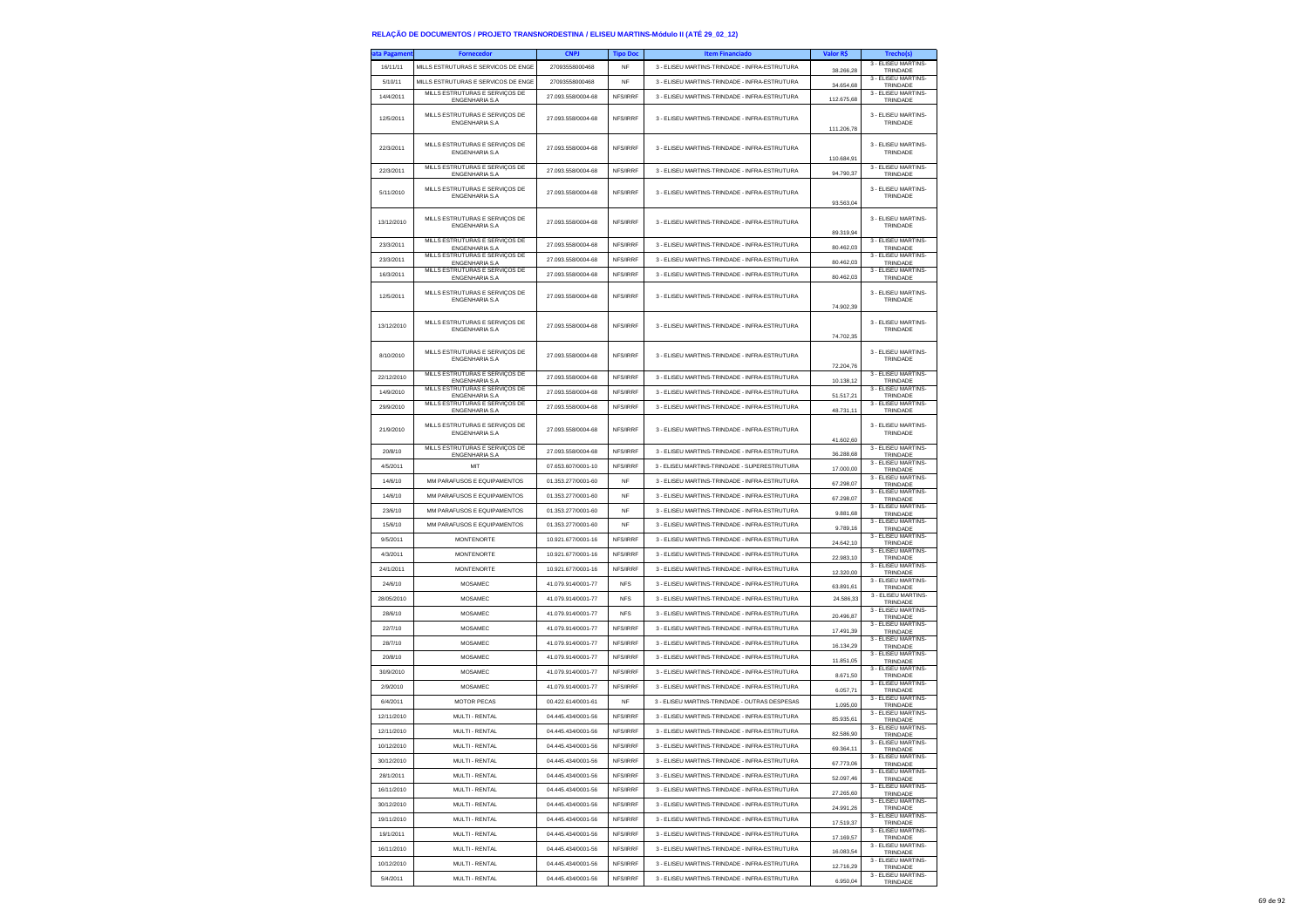| ita Pagament | <b>Fornecedor</b>                                        | <b>CNPJ</b>        | <b>Tipo Doc</b> | <b>Item Financiado</b>                        | Valor R\$  | Trecho(s)                       |
|--------------|----------------------------------------------------------|--------------------|-----------------|-----------------------------------------------|------------|---------------------------------|
| 16/11/11     | MILLS ESTRUTURAS E SERVICOS DE ENGE                      | 27093558000468     | NF              | 3 - ELISEU MARTINS-TRINDADE - INFRA-ESTRUTURA | 38,266.28  | 3 - ELISEU MARTINS-<br>TRINDADE |
| 5/10/11      | MILLS ESTRUTURAS E SERVICOS DE ENGE                      | 27093558000468     | <b>NF</b>       | 3 - ELISEU MARTINS-TRINDADE - INFRA-ESTRUTURA |            | 3 - FLISEU MARTINS-             |
|              | MILLS ESTRUTURAS E SERVIÇOS DE                           |                    |                 |                                               | 34.654,68  | TRINDADE<br>3 - ELISEU MARTINS- |
| 14/4/2011    | <b>ENGENHARIA S.A</b>                                    | 27 093 558/0004-68 | NFS/IRRF        | 3 - ELISEU MARTINS-TRINDADE - INFRA-ESTRUTURA | 112.675,68 | TRINDADE                        |
|              | MILLS ESTRUTURAS E SERVIÇOS DE                           |                    |                 |                                               |            | 3 - ELISEU MARTINS-             |
| 12/5/2011    | <b>ENGENHARIA S.A</b>                                    | 27.093.558/0004-68 | NFS/IRRF        | 3 - ELISEU MARTINS-TRINDADE - INFRA-ESTRUTURA |            | TRINDADE                        |
|              |                                                          |                    |                 |                                               | 111.206,78 |                                 |
| 22/3/2011    | MILLS ESTRUTURAS E SERVIÇOS DE                           | 27.093.558/0004-68 | NFS/IRRF        | 3 - ELISEU MARTINS-TRINDADE - INFRA-ESTRUTURA |            | 3 - ELISEU MARTINS-             |
|              | <b>ENGENHARIA S.A.</b>                                   |                    |                 |                                               | 110.684.91 | TRINDADE                        |
| 22/3/2011    | MILLS ESTRUTURAS E SERVIÇOS DE                           | 27.093.558/0004-68 | NFS/IRRF        | 3 - ELISEU MARTINS-TRINDADE - INFRA-ESTRUTURA |            | 3 - ELISEU MARTINS-             |
|              | ENGENHARIA S.A                                           |                    |                 |                                               | 94.790,37  | TRINDADE                        |
| 5/11/2010    | MILLS ESTRUTURAS E SERVICOS DE                           | 27.093.558/0004-68 | NFS/IRRF        | 3 - ELISEU MARTINS-TRINDADE - INFRA-ESTRUTURA |            | 3 - ELISEU MARTINS-             |
|              | <b>ENGENHARIA S.A.</b>                                   |                    |                 |                                               | 93,563.04  | TRINDADE                        |
|              |                                                          |                    |                 |                                               |            |                                 |
| 13/12/2010   | MILLS ESTRUTURAS E SERVIÇOS DE<br>ENGENHARIA S.A         | 27.093.558/0004-68 | NFS/IRRF        | 3 - ELISEU MARTINS-TRINDADE - INFRA-ESTRUTURA |            | 3 - ELISEU MARTINS-<br>TRINDADE |
|              |                                                          |                    |                 |                                               | 89.319,94  |                                 |
| 23/3/2011    | MILLS ESTRUTURAS E SERVIÇOS DE<br><b>ENGENHARIA S.A</b>  | 27.093.558/0004-68 | NFS/IRRF        | 3 - ELISEU MARTINS-TRINDADE - INFRA-ESTRUTURA | 80,462.03  | 3 - ELISEU MARTINS-<br>TRINDADE |
| 23/3/2011    | MILLS ESTRUTURAS E SERVIÇOS DE                           | 27.093.558/0004-68 | NFS/IRRF        | 3 - ELISEU MARTINS-TRINDADE - INFRA-ESTRUTURA |            | 3 - ELISEU MARTINS-             |
|              | <b>ENGENHARIA S.A.</b>                                   |                    |                 |                                               | 80.462,03  | TRINDADE                        |
| 16/3/2011    | MILLS ESTRUTURAS E SERVIÇOS DE<br><b>ENGENHARIA S.A</b>  | 27.093.558/0004-68 | NFS/IRRF        | 3 - ELISEU MARTINS-TRINDADE - INFRA-ESTRUTURA | 80.462,03  | 3 - ELISEU MARTINS-<br>TRINDADE |
|              |                                                          |                    |                 |                                               |            |                                 |
| 12/5/2011    | MILLS ESTRUTURAS E SERVIÇOS DE<br><b>ENGENHARIA S.A</b>  | 27.093.558/0004-68 | NFS/IRRF        | 3 - ELISEU MARTINS-TRINDADE - INFRA-ESTRUTURA |            | 3 - ELISEU MARTINS-<br>TRINDADE |
|              |                                                          |                    |                 |                                               | 74.902,39  |                                 |
|              | MILLS ESTRUTURAS E SERVICOS DE                           |                    |                 |                                               |            | 3 - ELISEU MARTINS-             |
| 13/12/2010   | <b>ENGENHARIA S.A</b>                                    | 27.093.558/0004-68 | NFS/IRRF        | 3 - ELISEU MARTINS-TRINDADE - INFRA-ESTRUTURA |            | TRINDADE                        |
|              |                                                          |                    |                 |                                               | 74.702,35  |                                 |
| 8/10/2010    | MILLS ESTRUTURAS E SERVIÇOS DE                           | 27.093.558/0004-68 | NFS/IRRF        | 3 - ELISEU MARTINS-TRINDADE - INFRA-ESTRUTURA |            | 3 - ELISEU MARTINS-             |
|              | <b>ENGENHARIA S.A.</b>                                   |                    |                 |                                               | 72.204,76  | TRINDADE                        |
| 22/12/2010   | MILLS ESTRUTURAS E SERVICOS DE                           | 27.093.558/0004-68 | NFS/IRRF        | 3 - FLISEU MARTINS-TRINDADE - INFRA-ESTRUTURA |            | 3 - ELISEU MARTINS-             |
|              | <b>ENGENHARIA S.A</b><br>MILLS ESTRUTURAS E SERVIÇOS DE  |                    |                 |                                               | 10.138,12  | TRINDADE<br>3 - ELISEU MARTINS- |
| 14/9/2010    | ENGENHARIA S.A                                           | 27.093.558/0004-68 | NFS/IRRF        | 3 - ELISEU MARTINS-TRINDADE - INFRA-ESTRUTURA | 51.517,21  | TRINDADE                        |
| 29/9/2010    | MILLS ESTRUTURAS E SERVICOS DE<br><b>ENGENHARIA S.A.</b> | 27.093.558/0004-68 | NFS/IRRF        | 3 - ELISEU MARTINS-TRINDADE - INFRA-ESTRUTURA | 48.731,11  | 3 - ELISEU MARTINS<br>TRINDADE  |
|              |                                                          |                    |                 |                                               |            |                                 |
| 21/9/2010    | MILLS ESTRUTURAS E SERVIÇOS DE<br><b>ENGENHARIA S.A</b>  | 27.093.558/0004-68 | NFS/IRRF        | 3 - ELISEU MARTINS-TRINDADE - INFRA-ESTRUTURA |            | 3 - ELISEU MARTINS-<br>TRINDADE |
|              |                                                          |                    |                 |                                               | 41.602,60  |                                 |
| 20/8/10      | MILLS ESTRUTURAS E SERVIÇOS DE<br><b>ENGENHARIA S.A.</b> | 27.093.558/0004-68 | NFS/IRRF        | 3 - ELISEU MARTINS-TRINDADE - INFRA-ESTRUTURA | 36.288,68  | 3 - FLISEU MARTINS-<br>TRINDADE |
| 4/5/2011     | MIT                                                      | 07.653.607/0001-10 | NES/IRRE        | 3 - ELISEU MARTINS-TRINDADE - SUPERESTRUTURA  |            | 3 - ELISEU MARTINS-             |
|              |                                                          |                    |                 |                                               | 17.000,00  | TRINDADE<br>3 - ELISEU MARTINS- |
| 14/6/10      | MM PARAFUSOS E EQUIPAMENTOS                              | 01.353.277/0001-60 | <b>NF</b>       | 3 - ELISEU MARTINS-TRINDADE - INFRA-ESTRUTURA | 67.298,07  | TRINDADE                        |
| 14/6/10      | MM PARAFUSOS E EQUIPAMENTOS                              | 01.353.277/0001-60 | NF              | 3 - ELISEU MARTINS-TRINDADE - INFRA-ESTRUTURA | 67.298,07  | 3 - ELISEU MARTINS-<br>TRINDADE |
| 23/6/10      | MM PARAFUSOS E EQUIPAMENTOS                              | 01.353.277/0001-60 | <b>NF</b>       | 3 - ELISEU MARTINS-TRINDADE - INFRA-ESTRUTURA |            | 3 - ELISEU MARTINS-             |
|              |                                                          |                    | NF              |                                               | 9.881,68   | TRINDADE<br>3 - ELISEU MARTINS- |
| 15/6/10      | MM PARAFUSOS E EQUIPAMENTOS                              | 01.353.277/0001-60 |                 | 3 - ELISEU MARTINS-TRINDADE - INFRA-ESTRUTURA | 9.789,16   | TRINDADE<br>3 - ELISEU MARTINS  |
| 9/5/2011     | <b>MONTENORTE</b>                                        | 10.921.677/0001-16 | NFS/IRRF        | 3 - ELISEU MARTINS-TRINDADE - INFRA-ESTRUTURA | 24.642,10  | TRINDADE                        |
| 4/3/2011     | <b>MONTENORTE</b>                                        | 10.921.677/0001-16 | NFS/IRRF        | 3 - ELISEU MARTINS-TRINDADE - INFRA-ESTRUTURA | 22.983.10  | 3 - ELISEU MARTINS<br>TRINDADE  |
| 24/1/2011    | <b>MONTENORTE</b>                                        | 10.921.677/0001-16 | NFS/IRRF        | 3 - ELISEU MARTINS-TRINDADE - INFRA-ESTRUTURA |            | 3 - ELISEU MARTINS-             |
|              |                                                          |                    |                 |                                               | 12.320,00  | TRINDADE<br>3 - ELISEU MARTINS  |
| 24/6/10      | <b>MOSAMEC</b>                                           | 41.079.914/0001-77 | <b>NFS</b>      | 3 - ELISEU MARTINS-TRINDADE - INFRA-ESTRUTURA | 63.891,61  | TRINDADE                        |
| 28/05/2010   | <b>MOSAMEC</b>                                           | 41.079.914/0001-77 | <b>NFS</b>      | 3 - ELISEU MARTINS-TRINDADE - INFRA-ESTRUTURA | 24.586,33  | 3 - ELISEU MARTINS-<br>TRINDADE |
| 28/6/10      | <b>MOSAMEC</b>                                           | 41.079.914/0001-77 | <b>NFS</b>      | 3 - ELISEU MARTINS-TRINDADE - INFRA-ESTRUTURA |            | 3 - ELISEU MARTINS-             |
|              |                                                          |                    |                 |                                               | 20.496,87  | TRINDADE<br>3 - ELISEU MARTINS- |
| 22/7/10      | MOSAMEC                                                  | 41.079.914/0001-77 | NFS/IRRF        | 3 - ELISEU MARTINS-TRINDADE - INFRA-ESTRUTURA | 17.491,39  | TRINDADE                        |
| 28/7/10      | MOSAMEC                                                  | 41.079.914/0001-77 | NFS/IRRF        | 3 - ELISEU MARTINS-TRINDADE - INFRA-ESTRUTURA | 16.134.29  | 3 - ELISEU MARTINS-<br>TRINDADE |
| 20/8/10      | <b>MOSAMEC</b>                                           | 41.079.914/0001-77 | NFS/IRRF        | 3 - ELISEU MARTINS-TRINDADE - INFRA-ESTRUTURA | 11.851.05  | 3 - ELISEU MARTINS-             |
|              |                                                          |                    |                 |                                               |            | TRINDADE<br>3 - ELISEU MARTINS- |
| 30/9/2010    | MOSAMEC                                                  | 41.079.914/0001-77 | NFS/IRRF        | 3 - ELISEU MARTINS-TRINDADE - INFRA-ESTRUTURA | 8.671,50   | TRINDADE                        |
| 2/9/2010     | MOSAMEC                                                  | 41.079.914/0001-77 | NFS/IRRF        | 3 - ELISEU MARTINS-TRINDADE - INFRA-ESTRUTURA | 6.057,71   | 3 - ELISEU MARTINS-<br>TRINDADE |
| 6/4/2011     | <b>MOTOR PECAS</b>                                       | 00.422.614/0001-61 | NF              | 3 - ELISEU MARTINS-TRINDADE - OUTRAS DESPESAS | 1.095.00   | 3 - ELISEU MARTINS-             |
|              |                                                          |                    |                 |                                               |            | TRINDADE<br>3 - ELISEU MARTINS- |
| 12/11/2010   | MULTI - RENTAL                                           | 04.445.434/0001-56 | NFS/IRRF        | 3 - ELISEU MARTINS-TRINDADE - INFRA-ESTRUTURA | 85.935,61  | TRINDADE                        |
| 12/11/2010   | MULTI - RENTAL                                           | 04.445.434/0001-56 | NFS/IRRF        | 3 - ELISEU MARTINS-TRINDADE - INFRA-ESTRUTURA | 82,586.90  | 3 - ELISEU MARTINS<br>TRINDADE  |
| 10/12/2010   | MULTI - RENTAL                                           | 04 445 434/0001-56 | NFS/IRRF        | 3 - FLISELLMARTINS-TRINDADE - INFRA-ESTRUTURA | 69.364,11  | 3 - ELISEU MARTINS-             |
|              |                                                          |                    | NFS/IRRF        |                                               |            | TRINDADE<br>3 - ELISEU MARTINS- |
| 30/12/2010   | MULTI - RENTAL                                           | 04.445.434/0001-56 |                 | 3 - ELISEU MARTINS-TRINDADE - INFRA-ESTRUTURA | 67.773,06  | TRINDADE<br>3 - ELISEU MARTINS- |
| 28/1/2011    | MULTI - RENTAL                                           | 04.445.434/0001-56 | NFS/IRRF        | 3 - ELISEU MARTINS-TRINDADE - INFRA-ESTRUTURA | 52 097 46  | TRINDADE                        |
| 16/11/2010   | MULTI - RENTAL                                           | 04.445.434/0001-56 | NFS/IRRF        | 3 - ELISEU MARTINS-TRINDADE - INFRA-ESTRUTURA | 27.265,60  | 3 - ELISEU MARTINS-             |
| 30/12/2010   | MULTI - RENTAL                                           |                    | NFS/IRRF        |                                               |            | TRINDADE<br>3 - ELISEU MARTINS- |
|              |                                                          | 04.445.434/0001-56 |                 | 3 - ELISEU MARTINS-TRINDADE - INFRA-ESTRUTURA | 24.991,26  | TRINDADE<br>3 - FLISEU MARTINS- |
| 19/11/2010   | MULTI - RENTAL                                           | 04.445.434/0001-56 | NFS/IRRF        | 3 - ELISEU MARTINS-TRINDADE - INFRA-ESTRUTURA | 17.519.37  | TRINDADE                        |
| 19/1/2011    | MULTI - RENTAL                                           | 04.445.434/0001-56 | NFS/IRRF        | 3 - FLISELLMARTINS-TRINDADE - INFRA-ESTRUTURA | 17.169,57  | 3 - ELISEU MARTINS-<br>TRINDADE |
| 16/11/2010   | MULTI - RENTAL                                           | 04.445.434/0001-56 | NFS/IRRF        | 3 - ELISEU MARTINS-TRINDADE - INFRA-ESTRUTURA |            | 3 - ELISEU MARTINS-             |
|              |                                                          |                    |                 |                                               | 16.083,54  | TRINDADE<br>3 - FLISEU MARTINS- |
| 10/12/2010   | MULTI - RENTAL                                           | 04.445.434/0001-56 | NFS/IRRF        | 3 - ELISEU MARTINS-TRINDADE - INFRA-ESTRUTURA | 12.716,29  | TRINDADE                        |
| 5/4/2011     | MULTI - RENTAL                                           | 04.445.434/0001-56 | NFS/IRRF        | 3 - FLISEU MARTINS-TRINDADE - INFRA-ESTRUTURA | 6.950,04   | 3 - FLISEU MARTINS-<br>TRINDADE |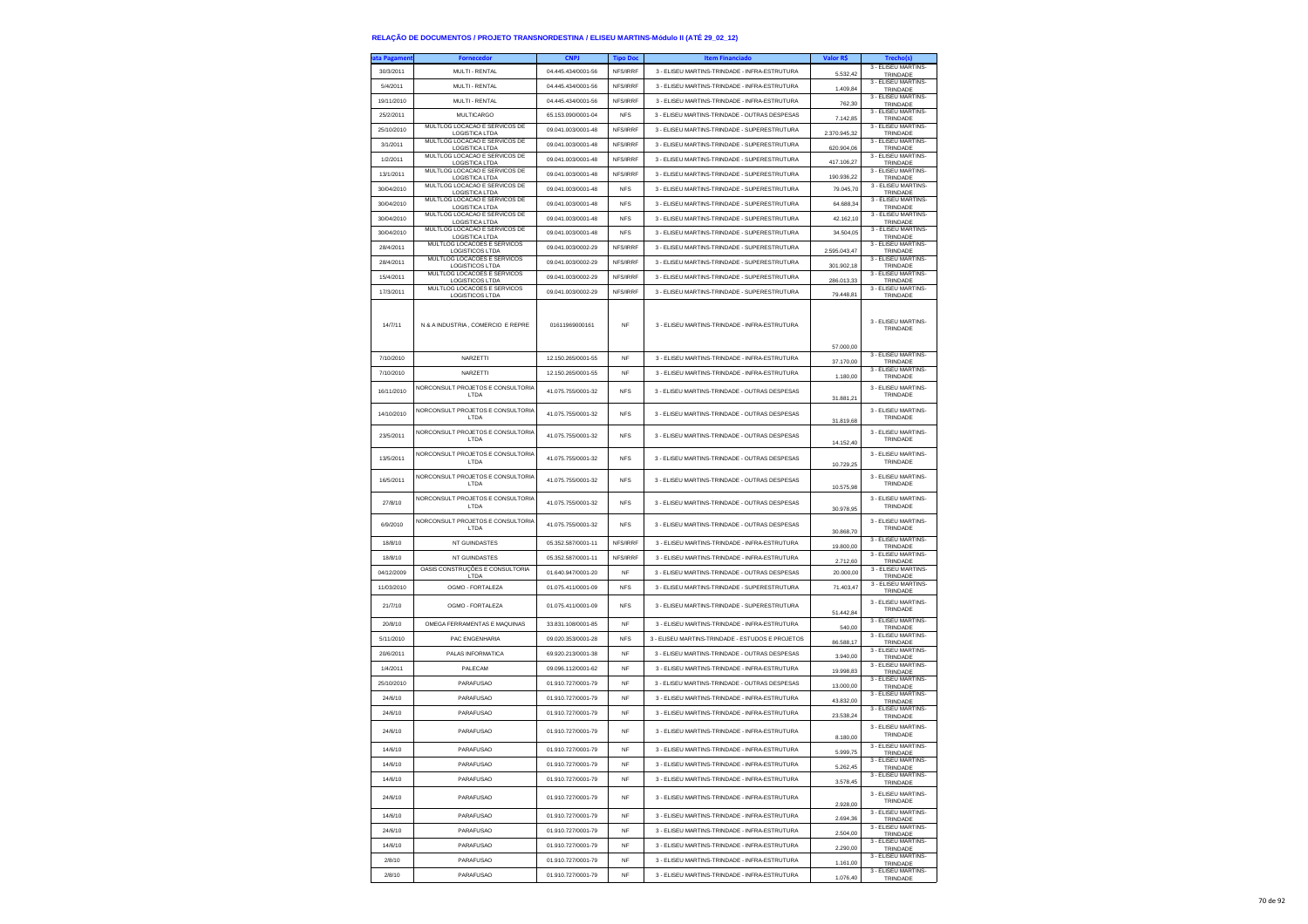| ita Pagameni | <b>Fornecedor</b>                                      | <b>CNPJ</b>        | <b>Tipo Doc</b> | <b>Item Financiado</b>                           | <b>Valor RS</b> | Trecho(s)                              |
|--------------|--------------------------------------------------------|--------------------|-----------------|--------------------------------------------------|-----------------|----------------------------------------|
| 30/3/2011    | MULTI - RENTAL                                         | 04.445.434/0001-56 | NFS/IRRF        | 3 - ELISEU MARTINS-TRINDADE - INFRA-ESTRUTURA    | 5.532.42        | 3 - ELISEU MARTINS-<br>TRINDADE        |
| 5/4/2011     | MULTI - RENTAL                                         | 04.445.434/0001-56 | NFS/IRRF        | 3 - ELISEU MARTINS-TRINDADE - INFRA-ESTRUTURA    | 1.409,84        | 3 - ELISEU MARTINS-<br>TRINDADE        |
| 19/11/2010   | MULTI - RENTAL                                         | 04.445.434/0001-56 | NFS/IRRF        | 3 - ELISEU MARTINS-TRINDADE - INFRA-ESTRUTURA    |                 | 3 - ELISEU MARTINS-                    |
|              | <b>MULTICARGO</b>                                      |                    | <b>NFS</b>      |                                                  | 762,30          | <b>TRINDADE</b><br>3 - ELISEU MARTINS- |
| 25/2/2011    | MULTLOG LOCACAO E SERVICOS DE                          | 65.153.090/0001-04 |                 | 3 - ELISEU MARTINS-TRINDADE - OUTRAS DESPESAS    | 7.142.85        | TRINDADE<br>3 - ELISEU MARTINS-        |
| 25/10/2010   | <b>LOGISTICA LTDA</b>                                  | 09.041.003/0001-48 | NFS/IRRF        | 3 - ELISEU MARTINS-TRINDADE - SUPERESTRUTURA     | 2.370.945,32    | TRINDADE<br>3 - ELISEU MARTINS         |
| 3/1/2011     | MULTLOG LOCACAO E SERVICOS DE<br><b>LOGISTICA LTDA</b> | 09.041.003/0001-48 | NFS/IRRF        | 3 - ELISEU MARTINS-TRINDADE - SUPERESTRUTURA     | 620.904,06      | TRINDADE                               |
| 1/2/2011     | MULTLOG LOCACAO E SERVICOS DE<br>LOGISTICA LTDA        | 09.041.003/0001-48 | NFS/IRRF        | 3 - ELISEU MARTINS-TRINDADE - SUPERESTRUTURA     | 417.106.27      | 3 - FLISEU MARTINS-<br>TRINDADE        |
| 13/1/2011    | MULTLOG LOCACAO E SERVICOS DE<br><b>LOGISTICA LTDA</b> | 09.041.003/0001-48 | NFS/IRRF        | 3 - ELISEU MARTINS-TRINDADE - SUPERESTRUTURA     | 190.936,22      | 3 - ELISEU MARTINS-<br>TRINDADE        |
| 30/04/2010   | MULTLOG LOCACAO E SERVICOS DE                          | 09.041.003/0001-48 | <b>NFS</b>      | 3 - ELISEU MARTINS-TRINDADE - SUPERESTRUTURA     | 79,045.70       | 3 - ELISEU MARTINS-                    |
| 30/04/2010   | LOGISTICA LTDA<br>MULTLOG LOCACAO E SERVICOS DE        | 09.041.003/0001-48 | <b>NFS</b>      | 3 - ELISEU MARTINS-TRINDADE - SUPERESTRUTURA     | 64.688,34       | TRINDADE<br>3 - ELISEU MARTINS-        |
|              | <b>LOGISTICA LTDA</b><br>MULTLOG LOCACAO E SERVICOS DE |                    |                 |                                                  |                 | TRINDADE<br>3 - ELISEU MARTINS-        |
| 30/04/2010   | <b>LOGISTICA LTDA</b><br>MULTLOG LOCACAO E SERVICOS DE | 09.041.003/0001-48 | <b>NFS</b>      | 3 - ELISELLMARTINS-TRINDADE - SUPERESTRUTURA     | 42.162.10       | TRINDADE<br>3 - ELISEU MARTINS-        |
| 30/04/2010   | LOGISTICA LTDA                                         | 09.041.003/0001-48 | <b>NFS</b>      | 3 - ELISEU MARTINS-TRINDADE - SUPERESTRUTURA     | 34.504,05       | TRINDADE                               |
| 28/4/2011    | MULTLOG LOCACOES E SERVICOS<br><b>LOGISTICOS LTDA</b>  | 09.041.003/0002-29 | NFS/IRRF        | 3 - ELISEU MARTINS-TRINDADE - SUPERESTRUTURA     | 259504347       | 3 - FLISEU MARTINS-<br>TRINDADE        |
| 28/4/2011    | MULTLOG LOCACOES E SERVICOS<br><b>LOGISTICOS LTDA</b>  | 09.041.003/0002-29 | NFS/IRRF        | 3 - ELISEU MARTINS-TRINDADE - SUPERESTRUTURA     | 301.902,18      | 3 - FLISEU MARTINS-<br>TRINDADE        |
| 15/4/2011    | MULTLOG LOCACOES E SERVICOS<br>LOGISTICOS LTDA         | 09.041.003/0002-29 | NFS/IRRF        | 3 - ELISEU MARTINS-TRINDADE - SUPERESTRUTURA     | 286.013,33      | 3 - ELISEU MARTINS-<br>TRINDADE        |
| 17/3/2011    | MULTLOG LOCACOES E SERVICOS                            | 09.041.003/0002-29 | NFS/IRRF        | 3 - ELISEU MARTINS-TRINDADE - SUPERESTRUTURA     |                 | 3 - ELISEU MARTINS-                    |
|              | <b>LOGISTICOS LTDA</b>                                 |                    |                 |                                                  | 79,448.81       | TRINDADE                               |
|              |                                                        |                    |                 |                                                  |                 |                                        |
| 14/7/11      | N & A INDUSTRIA, COMERCIO E REPRE                      | 01611969000161     | <b>NF</b>       | 3 - ELISEU MARTINS-TRINDADE - INFRA-ESTRUTURA    |                 | 3 - ELISEU MARTINS<br>TRINDADE         |
|              |                                                        |                    |                 |                                                  |                 |                                        |
|              |                                                        |                    |                 |                                                  | 57,000.00       | 3 - ELISEU MARTINS-                    |
| 7/10/2010    | NARZETTI                                               | 12.150.265/0001-55 | <b>NF</b>       | 3 - ELISEU MARTINS-TRINDADE - INFRA-ESTRUTURA    | 37.170,00       | TRINDADE<br>3 - ELISEU MARTINS-        |
| 7/10/2010    | NARZETTI                                               | 12.150.265/0001-55 | NF              | 3 - ELISEU MARTINS-TRINDADE - INFRA-ESTRUTURA    | 1.180,00        | TRINDADE                               |
| 16/11/2010   | NORCONSULT PROJETOS E CONSULTORIA                      | 41.075.755/0001-32 | <b>NFS</b>      | 3 - ELISEU MARTINS-TRINDADE - OUTRAS DESPESAS    |                 | 3 - ELISEU MARTINS<br>TRINDADE         |
|              | LTDA                                                   |                    |                 |                                                  | 31.881.21       |                                        |
| 14/10/2010   | NORCONSULT PROJETOS E CONSULTORIA<br>LTDA              | 41.075.755/0001-32 | <b>NFS</b>      | 3 - ELISEU MARTINS-TRINDADE - OUTRAS DESPESAS    | 31.819,68       | 3 - FLISEU MARTINS<br>TRINDADE         |
|              | NORCONSULT PROJETOS E CONSULTORIA                      |                    |                 |                                                  |                 | 3 - ELISEU MARTINS                     |
| 23/5/2011    | LTDA                                                   | 41.075.755/0001-32 | <b>NFS</b>      | 3 - ELISEU MARTINS-TRINDADE - OUTRAS DESPESAS    | 14.152,40       | TRINDADE                               |
| 13/5/2011    | NORCONSULT PROJETOS E CONSULTORIA                      | 41.075.755/0001-32 | <b>NFS</b>      | 3 - ELISEU MARTINS-TRINDADE - OUTRAS DESPESAS    |                 | 3 - ELISEU MARTINS-                    |
|              | LTDA                                                   |                    |                 |                                                  | 10.729,25       | TRINDADE                               |
| 16/5/2011    | NORCONSULT PROJETOS E CONSULTORIA<br>LTDA              | 41.075.755/0001-32 | <b>NFS</b>      | 3 - ELISEU MARTINS-TRINDADE - OUTRAS DESPESAS    |                 | 3 - ELISEU MARTINS-<br>TRINDADE        |
|              |                                                        |                    |                 |                                                  | 10.575,98       |                                        |
| 27/8/10      | NORCONSULT PROJETOS E CONSULTORIA<br>LTDA              | 41.075.755/0001-32 | <b>NFS</b>      | 3 - FLISEU MARTINS-TRINDADE - OUTRAS DESPESAS    | 30.978.95       | 3 - ELISEU MARTINS-<br>TRINDADE        |
|              | NORCONSULT PROJETOS E CONSULTORIA                      |                    |                 |                                                  |                 | 3 - ELISEU MARTINS-                    |
| 6/9/2010     | LTDA                                                   | 41.075.755/0001-32 | <b>NFS</b>      | 3 - ELISEU MARTINS-TRINDADE - OUTRAS DESPESAS    | 30.868,70       | TRINDADE                               |
| 18/8/10      | NT GUINDASTES                                          | 05.352.587/0001-11 | NFS/IRRF        | 3 - ELISEU MARTINS-TRINDADE - INFRA-ESTRUTURA    | 19.800,00       | 3 - ELISEU MARTINS-<br>TRINDADE        |
| 18/8/10      | NT GUINDASTES                                          | 05.352.587/0001-11 | NFS/IRRF        | 3 - ELISEU MARTINS-TRINDADE - INFRA-ESTRUTURA    | 2.712.60        | 3 - ELISEU MARTINS<br>TRINDADE         |
| 04/12/2009   | OASIS CONSTRUÇÕES E CONSULTORIA                        | 01.640.947/0001-20 | <b>NF</b>       | 3 - ELISEU MARTINS-TRINDADE - OUTRAS DESPESAS    | 20,000.00       | 3 - ELISEU MARTINS-                    |
| 11/03/2010   | LTDA<br>OGMO - FORTALEZA                               | 01.075.411/0001-09 | <b>NFS</b>      | 3 - ELISEU MARTINS-TRINDADE - SUPERESTRUTURA     | 71.403,47       | TRINDADE<br>3 - ELISEU MARTINS-        |
|              |                                                        |                    |                 |                                                  |                 | TRINDADE                               |
| 21/7/10      | OGMO - FORTALEZA                                       | 01.075.411/0001-09 | <b>NFS</b>      | 3 - ELISEU MARTINS-TRINDADE - SUPERESTRUTURA     | 51.442,84       | 3 - ELISEU MARTINS-<br>TRINDADE        |
| 20/8/10      | OMEGA FERRAMENTAS E MAQUINAS                           | 33.831.108/0001-85 | <b>NF</b>       | 3 - ELISEU MARTINS-TRINDADE - INFRA-ESTRUTURA    |                 | 3 - ELISEU MARTINS-                    |
| 5/11/2010    | PAC ENGENHARIA                                         | 09.020.353/0001-28 | <b>NFS</b>      | 3 - ELISEU MARTINS-TRINDADE - ESTUDOS E PROJETOS | 540,00          | TRINDADE<br>3 - ELISEU MARTINS-        |
|              |                                                        |                    |                 |                                                  | 86.588,17       | TRINDADE<br>3 - ELISEU MARTINS-        |
| 20/6/2011    | PALAS INFORMATICA                                      | 69.920.213/0001-38 | <b>NF</b>       | 3 - ELISEU MARTINS-TRINDADE - OUTRAS DESPESAS    | 3,940.00        | TRINDADE<br>3 - ELISEU MARTINS-        |
| 1/4/2011     | PALECAM                                                | 09.096.112/0001-62 | <b>NF</b>       | 3 - ELISEU MARTINS-TRINDADE - INFRA-ESTRUTURA    | 19.998,83       | TRINDADE                               |
| 25/10/2010   | <b>PARAFUSAO</b>                                       | 01.910.727/0001-79 | NF              | 3 - ELISEU MARTINS-TRINDADE - OUTRAS DESPESAS    | 13.000,00       | 3 - ELISEU MARTINS<br>TRINDADE         |
| 24/6/10      | <b>PARAFUSAO</b>                                       | 01.910.727/0001-79 | <b>NF</b>       | 3 - ELISEU MARTINS-TRINDADE - INFRA-ESTRUTURA    | 43.832,00       | 3 - FLISEU MARTINS-<br>TRINDADE        |
| 24/6/10      | <b>PARAFUSAO</b>                                       | 01 910 727/0001-79 | <b>NF</b>       | 3 - ELISEU MARTINS-TRINDADE - INFRA-ESTRUTURA    | 23.538,24       | 3 - ELISEU MARTINS-<br>TRINDADE        |
|              | PARAFUSAO                                              | 01 910 727/0001-79 |                 |                                                  |                 | 3 - ELISEU MARTINS-                    |
| 24/6/10      |                                                        |                    | <b>NF</b>       | 3 - ELISEU MARTINS-TRINDADE - INFRA-ESTRUTURA    | 8,180.00        | TRINDADE                               |
| 14/6/10      | <b>PARAFLISAO</b>                                      | 01.910.727/0001-79 | <b>NF</b>       | 3 - FLISELLMARTINS-TRINDADE - INFRA-ESTRUTURA    | 5.999.75        | 3 - ELISEU MARTINS-<br>TRINDADE        |
| 14/6/10      | <b>PARAFUSAO</b>                                       | 01.910.727/0001-79 | <b>NF</b>       | 3 - ELISEU MARTINS-TRINDADE - INFRA-ESTRUTURA    | 5.262,45        | 3 - ELISEU MARTINS-<br>TRINDADE        |
| 14/6/10      | PARAFUSAO                                              | 01.910.727/0001-79 | NF              | 3 - ELISEU MARTINS-TRINDADE - INFRA-ESTRUTURA    | 3 578 45        | 3 - ELISEU MARTINS-                    |
|              |                                                        |                    |                 |                                                  |                 | TRINDADE<br>3 - ELISEU MARTINS-        |
| 24/6/10      | PARAFUSAO                                              | 01.910.727/0001-79 | NF              | 3 - ELISEU MARTINS-TRINDADE - INFRA-ESTRUTURA    | 2.928,00        | TRINDADE                               |
| 14/6/10      | PARAFUSAO                                              | 01.910.727/0001-79 | NF              | 3 - ELISEU MARTINS-TRINDADE - INFRA-ESTRUTURA    | 2.694,36        | 3 - FLISEU MARTINS-<br>TRINDADE        |
| 24/6/10      | <b>PARAFUSAO</b>                                       | 01.910.727/0001-79 | NF              | 3 - ELISEU MARTINS-TRINDADE - INFRA-ESTRUTURA    |                 | 3 - FLISEU MARTINS-<br>TRINDADE        |
| 14/6/10      | PARAFUSAO                                              | 01.910.727/0001-79 | NF              | 3 - ELISEU MARTINS-TRINDADE - INFRA-ESTRUTURA    | 2.504,00        | 3 - ELISEU MARTINS-                    |
|              |                                                        |                    |                 |                                                  | 2.290,00        | TRINDADE<br>3 - ELISEU MARTINS-        |
| 2/8/10       | PARAFUSAO                                              | 01.910.727/0001-79 | NF              | 3 - ELISEU MARTINS-TRINDADE - INFRA-ESTRUTURA    | 1.161,00        | TRINDADE<br>3 - ELISEU MARTINS-        |
| 2/8/10       | PARAFUSAO                                              | 01.910.727/0001-79 | <b>NF</b>       | 3 - ELISEU MARTINS-TRINDADE - INFRA-ESTRUTURA    | 1.076.40        | TRINDADE                               |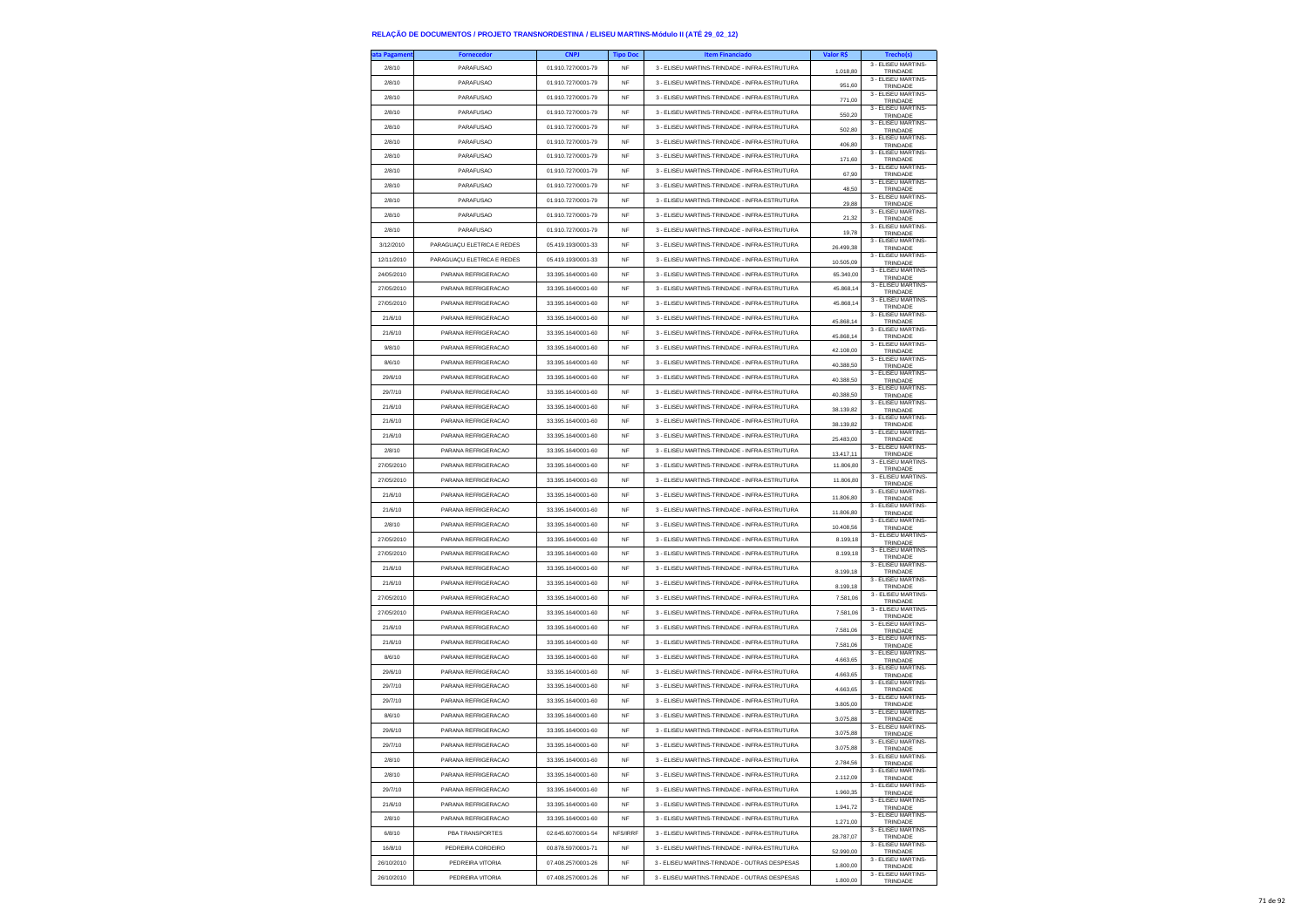| ita Pagamen | <b>Fornecedor</b>          | <b>CNPJ</b>        | <b>Tipo Doc</b> | <b>Item Financiado</b>                        | Valor R\$ | <b>Trecho(s</b>                        |
|-------------|----------------------------|--------------------|-----------------|-----------------------------------------------|-----------|----------------------------------------|
| 2/8/10      | <b>PARAFUSAO</b>           | 01.910.727/0001-79 | NF              | 3 - ELISEU MARTINS-TRINDADE - INFRA-ESTRUTURA | 1.018,80  | 3 - ELISEU MARTINS-<br>TRINDADE        |
| 2/8/10      | PARAFUSAO                  | 01.910.727/0001-79 | <b>NF</b>       | 3 - ELISEU MARTINS-TRINDADE - INFRA-ESTRUTURA | 951.60    | 3 - ELISEU MARTINS-<br>TRINDADE        |
| 2/8/10      | PARAFUSAO                  | 01 910 727/0001-79 | <b>NF</b>       | 3 - ELISEU MARTINS-TRINDADE - INFRA-ESTRUTURA | 771,00    | 3 - ELISEU MARTINS-                    |
| 2/8/10      | PARAFUSAO                  | 01.910.727/0001-79 | NF              | 3 - ELISEU MARTINS-TRINDADE - INFRA-ESTRUTURA |           | TRINDADE<br>3 - ELISEU MARTINS-        |
| 2/8/10      | PARAFUSAO                  | 01.910.727/0001-79 | <b>NF</b>       | 3 - ELISEU MARTINS-TRINDADE - INFRA-ESTRUTURA | 550,20    | TRINDADE<br>3 - ELISEU MARTINS-        |
|             |                            |                    |                 |                                               | 502.80    | TRINDADE<br>3 - ELISEU MARTINS-        |
| 2/8/10      | PARAFUSAO                  | 01.910.727/0001-79 | <b>NF</b>       | 3 - ELISEU MARTINS-TRINDADE - INFRA-ESTRUTURA | 406,80    | TRINDADE<br>3 - ELISEU MARTINS-        |
| 2/8/10      | PARAFUSAO                  | 01.910.727/0001-79 | <b>NF</b>       | 3 - ELISEU MARTINS-TRINDADE - INFRA-ESTRUTURA | 171,60    | TRINDADE<br>3 - ELISEU MARTINS-        |
| 2/8/10      | PARAFUSAO                  | 01.910.727/0001-79 | <b>NF</b>       | 3 - ELISEU MARTINS-TRINDADE - INFRA-ESTRUTURA | 67.90     | TRINDADE                               |
| 2/8/10      | PARAFUSAO                  | 01.910.727/0001-79 | <b>NF</b>       | 3 - ELISEU MARTINS-TRINDADE - INFRA-ESTRUTURA | 48.50     | 3 - ELISEU MARTINS-<br>TRINDADE        |
| 2/8/10      | PARAFUSAO                  | 01.910.727/0001-79 | <b>NF</b>       | 3 - ELISEU MARTINS-TRINDADE - INFRA-ESTRUTURA | 29,88     | 3 - ELISEU MARTINS-<br>TRINDADE        |
| 2/8/10      | PARAFUSAO                  | 01.910.727/0001-79 | <b>NF</b>       | 3 - ELISEU MARTINS-TRINDADE - INFRA-ESTRUTURA | 21.32     | 3 - ELISEU MARTINS-<br>TRINDADE        |
| 2/8/10      | PARAFUSAO                  | 01.910.727/0001-79 | <b>NF</b>       | 3 - ELISEU MARTINS-TRINDADE - INFRA-ESTRUTURA | 19,78     | 3 - ELISEU MARTINS-<br>TRINDADE        |
| 3/12/2010   | PARAGUAÇU ELETRICA E REDES | 05 419 193/0001-33 | <b>NF</b>       | 3 - ELISEU MARTINS-TRINDADE - INFRA-ESTRUTURA | 26.499,38 | 3 - ELISEU MARTINS-<br>TRINDADE        |
| 12/11/2010  | PARAGUAÇU ELETRICA E REDES | 05.419.193/0001-33 | NF              | 3 - ELISEU MARTINS-TRINDADE - INFRA-ESTRUTURA | 10.505,09 | 3 - ELISEU MARTINS-<br>TRINDADE        |
| 24/05/2010  | PARANA REFRIGERACAO        | 33.395.164/0001-60 | <b>NF</b>       | 3 - ELISEU MARTINS-TRINDADE - INFRA-ESTRUTURA | 65,340.00 | 3 - ELISEU MARTINS-<br>TRINDADE        |
| 27/05/2010  | PARANA REFRIGERACAO        | 33.395.164/0001-60 | NF              | 3 - ELISEU MARTINS-TRINDADE - INFRA-ESTRUTURA | 45.868.14 | 3 - ELISEU MARTINS-                    |
| 27/05/2010  | PARANA REFRIGERACAO        | 33.395.164/0001-60 | NF              | 3 - ELISEU MARTINS-TRINDADE - INFRA-ESTRUTURA | 45.868,14 | TRINDADE<br>3 - ELISEU MARTINS-        |
| 21/6/10     | PARANA REFRIGERACAO        | 33.395.164/0001-60 | <b>NF</b>       | 3 - ELISEU MARTINS-TRINDADE - INFRA-ESTRUTURA |           | TRINDADE<br>3 - ELISEU MARTINS-        |
|             |                            |                    | NF              |                                               | 45.868,14 | TRINDADE<br>3 - ELISEU MARTINS-        |
| 21/6/10     | PARANA REFRIGERACAO        | 33.395.164/0001-60 |                 | 3 - ELISEU MARTINS-TRINDADE - INFRA-ESTRUTURA | 45.868,14 | TRINDADE<br>3 - ELISEU MARTINS-        |
| 9/8/10      | PARANA REFRIGERACAO        | 33.395.164/0001-60 | NF              | 3 - ELISEU MARTINS-TRINDADE - INFRA-ESTRUTURA | 42.108,00 | TRINDADE<br>3 - ELISEU MARTINS-        |
| 8/6/10      | PARANA REFRIGERACAO        | 33.395.164/0001-60 | <b>NF</b>       | 3 - ELISEU MARTINS-TRINDADE - INFRA-ESTRUTURA | 40,388.50 | TRINDADE<br>3 - ELISEU MARTINS-        |
| 29/6/10     | PARANA REFRIGERACAO        | 33 395 164/0001-60 | NF              | 3 - ELISEU MARTINS-TRINDADE - INFRA-ESTRUTURA | 40.388,50 | TRINDADE<br>3 - FLISEU MARTINS-        |
| 29/7/10     | PARANA REFRIGERACAO        | 33.395.164/0001-60 | NF              | 3 - ELISEU MARTINS-TRINDADE - INFRA-ESTRUTURA | 40.388,50 | TRINDADE                               |
| 21/6/10     | PARANA REFRIGERACAO        | 33.395.164/0001-60 | <b>NF</b>       | 3 - ELISEU MARTINS-TRINDADE - INFRA-ESTRUTURA | 38.139,82 | 3 - ELISEU MARTINS-<br>TRINDADE        |
| 21/6/10     | PARANA REFRIGERACAO        | 33 395 164/0001-60 | <b>NF</b>       | 3 - ELISEU MARTINS-TRINDADE - INFRA-ESTRUTURA | 38.139,82 | 3 - ELISEU MARTINS-<br>TRINDADE        |
| 21/6/10     | PARANA REFRIGERACAO        | 33.395.164/0001-60 | NF              | 3 - ELISEU MARTINS-TRINDADE - INFRA-ESTRUTURA | 25.483,00 | 3 - ELISEU MARTINS-<br>TRINDADE        |
| 2/8/10      | PARANA REFRIGERACAO        | 33.395.164/0001-60 | <b>NF</b>       | 3 - ELISEU MARTINS-TRINDADE - INFRA-ESTRUTURA | 13.417.11 | 3 - ELISEU MARTINS-<br>TRINDADE        |
| 27/05/2010  | PARANA REFRIGERACAO        | 33 395 164/0001-60 | NF              | 3 - FLISELLMARTINS-TRINDADE - INFRA-ESTRUTURA | 11,806.80 | 3 - ELISEU MARTINS-<br>TRINDADE        |
| 27/05/2010  | PARANA REFRIGERACAO        | 33.395.164/0001-60 | NF              | 3 - ELISEU MARTINS-TRINDADE - INFRA-ESTRUTURA | 11.806,80 | 3 - ELISEU MARTINS-<br>TRINDADE        |
| 21/6/10     | PARANA REFRIGERACAO        | 33.395.164/0001-60 | <b>NF</b>       | 3 - ELISEU MARTINS-TRINDADE - INFRA-ESTRUTURA | 1180680   | 3 - ELISEU MARTINS-<br>TRINDADE        |
| 21/6/10     | PARANA REFRIGERACAO        | 33.395.164/0001-60 | <b>NF</b>       | 3 - ELISEU MARTINS-TRINDADE - INFRA-ESTRUTURA | 11.806,80 | 3 - ELISEU MARTINS-<br>TRINDADE        |
| 2/8/10      | PARANA REFRIGERACAO        | 33.395.164/0001-60 | NF              | 3 - ELISEU MARTINS-TRINDADE - INFRA-ESTRUTURA | 10.408,56 | 3 - ELISEU MARTINS-<br>TRINDADE        |
| 27/05/2010  | PARANA REFRIGERACAO        | 33.395.164/0001-60 | <b>NF</b>       | 3 - ELISEU MARTINS-TRINDADE - INFRA-ESTRUTURA | 8.199,18  | 3 - ELISEU MARTINS-                    |
| 27/05/2010  | PARANA REFRIGERACAO        | 33.395.164/0001-60 | <b>NF</b>       | 3 - ELISEU MARTINS-TRINDADE - INFRA-ESTRUTURA | 8.199.18  | TRINDADE<br>3 - ELISEU MARTINS-        |
| 21/6/10     | PARANA REFRIGERACAO        | 33.395.164/0001-60 | NF              | 3 - ELISEU MARTINS-TRINDADE - INFRA-ESTRUTURA |           | TRINDADE<br>3 - ELISEU MARTINS-        |
|             |                            |                    | <b>NF</b>       |                                               | 8.199,18  | TRINDADE<br>3 - ELISEU MARTINS-        |
| 21/6/10     | PARANA REFRIGERACAO        | 33.395.164/0001-60 |                 | 3 - ELISEU MARTINS-TRINDADE - INFRA-ESTRUTURA | 8.199.18  | TRINDADE<br>3 - ELISEU MARTINS-        |
| 27/05/2010  | PARANA REFRIGERACAO        | 33.395.164/0001-60 | <b>NF</b>       | 3 - ELISEU MARTINS-TRINDADE - INFRA-ESTRUTURA | 7.581.06  | TRINDADE<br>3 - ELISEU MARTINS-        |
| 27/05/2010  | PARANA REFRIGERACAO        | 33.395.164/0001-60 | <b>NF</b>       | 3 - ELISEU MARTINS-TRINDADE - INFRA-ESTRUTURA | 7.581,06  | TRINDADE<br>3 - ELISEU MARTINS-        |
| 21/6/10     | PARANA REFRIGERACAO        | 33.395.164/0001-60 | <b>NF</b>       | 3 - ELISEU MARTINS-TRINDADE - INFRA-ESTRUTURA | 7,581.06  | TRINDADE<br>3 - ELISEU MARTINS-        |
| 21/6/10     | PARANA REFRIGERACAO        | 33.395.164/0001-60 | NF              | 3 - ELISEU MARTINS-TRINDADE - INFRA-ESTRUTURA | 7.581,06  | TRINDADE                               |
| 8/6/10      | PARANA REFRIGERACAO        | 33 395 164/0001-60 | <b>NF</b>       | 3 - ELISEU MARTINS-TRINDADE - INFRA-ESTRUTURA | 4.663,65  | 3 - ELISEU MARTINS-<br>TRINDADE        |
| 29/6/10     | PARANA REFRIGERACAO        | 33.395.164/0001-60 | NF              | 3 - ELISEU MARTINS-TRINDADE - INFRA-ESTRUTURA | 4.663,65  | 3 - ELISEU MARTINS-<br>TRINDADE        |
| 29/7/10     | PARANA REFRIGERACAO        | 33.395.164/0001-60 | <b>NF</b>       | 3 - FLISELLMARTINS-TRINDADE - INFRA-ESTRUTURA | 4.663,65  | 3 - ELISEU MARTINS-<br>TRINDADE        |
| 29/7/10     | PARANA REFRIGERACAO        | 33 395 164/0001-60 | <b>NF</b>       | 3 - FLISELLMARTINS-TRINDADE - INFRA-ESTRUTURA | 3.805,00  | 3 - ELISEU MARTINS-<br>TRINDADE        |
| 8/6/10      | PARANA REFRIGERACAO        | 33.395.164/0001-60 | NF              | 3 - ELISEU MARTINS-TRINDADE - INFRA-ESTRUTURA | 3.075,88  | 3 - ELISEU MARTINS-<br>TRINDADE        |
| 29/6/10     | PARANA REFRIGERACAO        | 33 395 164/0001-60 | <b>NF</b>       | 3 - FLISELLMARTINS-TRINDADE - INFRA-ESTRUTURA | 3.075,88  | 3 - ELISEU MARTINS-<br>TRINDADE        |
| 29/7/10     | PARANA REFRIGERACAO        | 33.395.164/0001-60 | NF              | 3 - ELISEU MARTINS-TRINDADE - INFRA-ESTRUTURA |           | 3 - ELISEU MARTINS-<br><b>I RINDAL</b> |
| 2/8/10      | PARANA REFRIGERACAO        | 33.395.164/0001-60 | NF              | 3 - ELISEU MARTINS-TRINDADE - INFRA-ESTRUTURA | 2.784,56  | 3 - ELISEU MARTINS-<br>TRINDADE        |
| 2/8/10      | PARANA REFRIGERACAO        | 33.395.164/0001-60 | <b>NF</b>       | 3 - ELISEU MARTINS-TRINDADE - INFRA-ESTRUTURA |           | 3 - ELISEU MARTINS-                    |
| 29/7/10     | PARANA REFRIGERACAO        | 33.395.164/0001-60 | NF              | 3 - ELISEU MARTINS-TRINDADE - INFRA-ESTRUTURA | 2.112,09  | TRINDADE<br>3 - ELISEU MARTINS-        |
| 21/6/10     | PARANA REFRIGERACAO        | 33.395.164/0001-60 | NF              | 3 - ELISEU MARTINS-TRINDADE - INFRA-ESTRUTURA | 1.960,35  | TRINDADE<br>3 - FLISEU MARTINS-        |
| 2/8/10      | PARANA REFRIGERACAO        | 33.395.164/0001-60 | <b>NF</b>       | 3 - ELISEU MARTINS-TRINDADE - INFRA-ESTRUTURA | 1.941,72  | TRINDADE<br>3 - FLISEU MARTINS-        |
|             |                            |                    |                 |                                               | 1.271.00  | TRINDADE<br>3 - ELISEU MARTINS-        |
| 6/8/10      | PBA TRANSPORTES            | 02.645.607/0001-54 | NFS/IRRF        | 3 - ELISEU MARTINS-TRINDADE - INFRA-ESTRUTURA | 28.787,07 | TRINDADE<br>3 - ELISEU MARTINS-        |
| 16/8/10     | PEDREIRA CORDEIRO          | 00.878.597/0001-71 | NF              | 3 - ELISEU MARTINS-TRINDADE - INFRA-ESTRUTURA | 52.990,00 | TRINDADE<br>3 - ELISEU MARTINS-        |
| 26/10/2010  | PEDREIRA VITORIA           | 07.408.257/0001-26 | <b>NF</b>       | 3 - ELISEU MARTINS-TRINDADE - OUTRAS DESPESAS | 1,800.00  | TRINDADE<br>3 - ELISEU MARTINS-        |
| 26/10/2010  | PEDREIRA VITORIA           | 07.408.257/0001-26 | <b>NF</b>       | 3 - ELISEU MARTINS-TRINDADE - OUTRAS DESPESAS | 1800.00   | TRINDADE                               |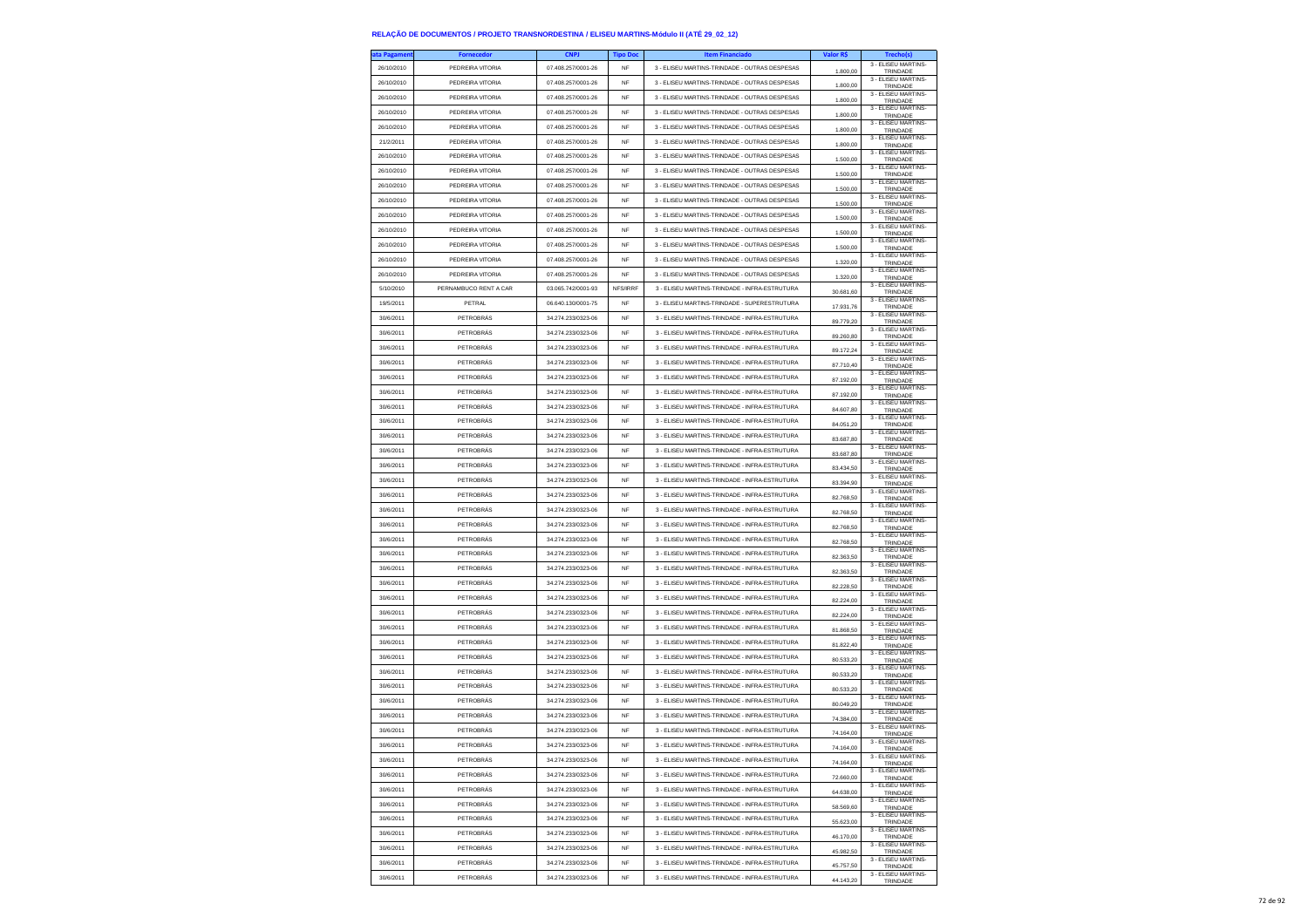| ta Pagamen | <b>Fornecedor</b>     | <b>CNPJ</b>        | <b>Tipo Doc</b> | <b>Item Financiado</b>                        | Valor R\$              | <b>Trecho(s)</b>                            |
|------------|-----------------------|--------------------|-----------------|-----------------------------------------------|------------------------|---------------------------------------------|
| 26/10/2010 | PEDREIRA VITORIA      | 07.408.257/0001-26 | NF              | 3 - ELISEU MARTINS-TRINDADE - OUTRAS DESPESAS | 1.800,00               | 3 - ELISEU MARTINS-<br>TRINDADE             |
| 26/10/2010 | PEDREIRA VITORIA      | 07.408.257/0001-26 | NF              | 3 - ELISEU MARTINS-TRINDADE - OUTRAS DESPESAS | 1.800,00               | 3 - ELISEU MARTINS-<br>TRINDADE             |
| 26/10/2010 | PEDREIRA VITORIA      | 07.408.257/0001-26 | <b>NF</b>       | 3 - ELISEU MARTINS-TRINDADE - OUTRAS DESPESAS | 1,800.00               | 3 - FLISEU MARTINS-<br>TRINDADE             |
| 26/10/2010 | PEDREIRA VITORIA      | 07.408.257/0001-26 | <b>NF</b>       | 3 - ELISEU MARTINS-TRINDADE - OUTRAS DESPESAS |                        | 3 - ELISEU MARTINS-                         |
| 26/10/2010 | PEDREIRA VITORIA      | 07.408.257/0001-26 | NF              | 3 - ELISEU MARTINS-TRINDADE - OUTRAS DESPESAS | 1.800,00               | TRINDADE<br>3 - ELISEU MARTINS-             |
| 21/2/2011  | PEDREIRA VITORIA      | 07.408.257/0001-26 | <b>NF</b>       | 3 - ELISEU MARTINS-TRINDADE - OUTRAS DESPESAS | 1.800,00               | TRINDADE<br>3 - ELISEU MARTINS-             |
| 26/10/2010 | PEDREIRA VITORIA      | 07 408 257/0001-26 | <b>NF</b>       | 3 - ELISEU MARTINS-TRINDADE - OUTRAS DESPESAS | 1800.00                | <b>TRINDADE</b><br>3 - ELISEU MARTINS-      |
|            |                       |                    |                 |                                               | 1.500,00               | TRINDADE<br>3 - ELISEU MARTINS-             |
| 26/10/2010 | PEDREIRA VITORIA      | 07.408.257/0001-26 | NF              | 3 - ELISEU MARTINS-TRINDADE - OUTRAS DESPESAS | 1.500,00               | TRINDADE<br>3 - ELISEU MARTINS-             |
| 26/10/2010 | PEDREIRA VITORIA      | 07.408.257/0001-26 | <b>NF</b>       | 3 - ELISEU MARTINS-TRINDADE - OUTRAS DESPESAS | 1,500.00               | TRINDADE<br>3 - ELISEU MARTINS-             |
| 26/10/2010 | PEDREIRA VITORIA      | 07.408.257/0001-26 | <b>NF</b>       | 3 - ELISEU MARTINS-TRINDADE - OUTRAS DESPESAS | 1.500,00               | TRINDADE<br>3 - ELISEU MARTINS-             |
| 26/10/2010 | PEDREIRA VITORIA      | 07.408.257/0001-26 | NF              | 3 - ELISEU MARTINS-TRINDADE - OUTRAS DESPESAS | 1.500,00               | TRINDADE<br>3 - ELISEU MARTINS-             |
| 26/10/2010 | PEDREIRA VITORIA      | 07.408.257/0001-26 | <b>NF</b>       | 3 - ELISEU MARTINS-TRINDADE - OUTRAS DESPESAS | 1,500.00               | TRINDADE                                    |
| 26/10/2010 | PEDREIRA VITORIA      | 07.408.257/0001-26 | <b>NF</b>       | 3 - ELISEU MARTINS-TRINDADE - OUTRAS DESPESAS | 1.500,00               | 3 - ELISEU MARTINS-<br>TRINDADE             |
| 26/10/2010 | PEDREIRA VITORIA      | 07.408.257/0001-26 | <b>NF</b>       | 3 - ELISEU MARTINS-TRINDADE - OUTRAS DESPESAS | 1.320,00               | 3 - ELISEU MARTINS-<br>TRINDADE             |
| 26/10/2010 | PEDREIRA VITORIA      | 07.408.257/0001-26 | <b>NF</b>       | 3 - ELISEU MARTINS-TRINDADE - OUTRAS DESPESAS | 1.320.00               | 3 - ELISEU MARTINS-<br>TRINDADE             |
| 5/10/2010  | PERNAMBUCO RENT A CAR | 03.065.742/0001-93 | NFS/IRRF        | 3 - ELISEU MARTINS-TRINDADE - INFRA-ESTRUTURA | 30.681,60              | 3 - ELISEU MARTINS-<br>TRINDADE             |
| 19/5/2011  | PETRAL                | 06.640.130/0001-75 | <b>NF</b>       | 3 - ELISEU MARTINS-TRINDADE - SUPERESTRUTURA  | 17.931,76              | 3 - ELISEU MARTINS-<br>TRINDADE             |
| 30/6/2011  | PETROBRÁS             | 34.274.233/0323-06 | <b>NF</b>       | 3 - ELISEU MARTINS-TRINDADE - INFRA-ESTRUTURA | 89,779.20              | 3 - ELISEU MARTINS-<br>TRINDADE             |
| 30/6/2011  | PETROBRÁS             | 34.274.233/0323-06 | <b>NF</b>       | 3 - ELISEU MARTINS-TRINDADE - INFRA-ESTRUTURA | 89.260,80              | 3 - ELISEU MARTINS-<br>TRINDADE             |
| 30/6/2011  | PETROBRÁS             | 34.274.233/0323-06 | <b>NF</b>       | 3 - ELISEU MARTINS-TRINDADE - INFRA-ESTRUTURA | 89.172,24              | 3 - ELISEU MARTINS-<br>TRINDADE             |
| 30/6/2011  | PETROBRÁS             | 34.274.233/0323-06 | NF              | 3 - ELISEU MARTINS-TRINDADE - INFRA-ESTRUTURA | 87.710,40              | 3 - ELISEU MARTINS-<br>TRINDADE             |
| 30/6/2011  | PETROBRÁS             | 34.274.233/0323-06 | <b>NF</b>       | 3 - FLISELLMARTINS-TRINDADE - INFRA-ESTRUTURA | 87.192,00              | 3 - FLISEU MARTINS-<br>TRINDADE             |
| 30/6/2011  | PETROBRÁS             | 34 274 233/0323-06 | NF              | 3 - ELISEU MARTINS-TRINDADE - INFRA-ESTRUTURA | 87.192,00              | 3 - ELISEU MARTINS-<br>TRINDADE             |
| 30/6/2011  | PETROBRÁS             | 34.274.233/0323-06 | NF              | 3 - ELISEU MARTINS-TRINDADE - INFRA-ESTRUTURA | 84.607,80              | 3 - ELISEU MARTINS-<br>TRINDADE             |
| 30/6/2011  | PETROBRÁS             | 34.274.233/0323-06 | <b>NF</b>       | 3 - ELISEU MARTINS-TRINDADE - INFRA-ESTRUTURA | 84.051,20              | 3 - ELISEU MARTINS-<br>TRINDADE             |
| 30/6/2011  | PETROBRÁS             | 34.274.233/0323-06 | NF              | 3 - ELISEU MARTINS-TRINDADE - INFRA-ESTRUTURA | 83.687,80              | 3 - ELISEU MARTINS-<br>TRINDADE             |
| 30/6/2011  | PETROBRÁS             | 34.274.233/0323-06 | NF              | 3 - ELISEU MARTINS-TRINDADE - INFRA-ESTRUTURA | 83.687,80              | 3 - FLISEU MARTINS-                         |
| 30/6/2011  | PETROBRÁS             | 34.274.233/0323-06 | <b>NF</b>       | 3 - ELISEU MARTINS-TRINDADE - INFRA-ESTRUTURA | 83.434.50              | TRINDADE<br>3 - FLISEU MARTINS-<br>TRINDADE |
| 30/6/2011  | PETROBRÁS             | 34 274 233/0323-06 | NF              | 3 - ELISEU MARTINS-TRINDADE - INFRA-ESTRUTURA |                        | 3 - ELISEU MARTINS-                         |
| 30/6/2011  | PETROBRÁS             | 34.274.233/0323-06 | NF              | 3 - ELISEU MARTINS-TRINDADE - INFRA-ESTRUTURA | 83.394,90              | TRINDADE<br>3 - ELISEU MARTINS-             |
| 30/6/2011  | PETROBRÁS             | 34.274.233/0323-06 | <b>NF</b>       | 3 - ELISEU MARTINS-TRINDADE - INFRA-ESTRUTURA | 82.768,50<br>82,768.50 | TRINDADE<br>3 - ELISEU MARTINS-             |
| 30/6/2011  | PETROBRÁS             | 34.274.233/0323-06 | <b>NF</b>       | 3 - ELISEU MARTINS-TRINDADE - INFRA-ESTRUTURA |                        | TRINDADE<br>3 - ELISEU MARTINS-             |
| 30/6/2011  | PETROBRÁS             | 34.274.233/0323-06 | NF              | 3 - ELISEU MARTINS-TRINDADE - INFRA-ESTRUTURA | 82.768,50              | TRINDADE<br>3 - ELISEU MARTINS-             |
| 30/6/2011  | PETROBRÁS             | 34.274.233/0323-06 | <b>NF</b>       | 3 - ELISEU MARTINS-TRINDADE - INFRA-ESTRUTURA | 82.768,50              | TRINDADE<br>3 - ELISEU MARTINS-             |
| 30/6/2011  | PETROBRÁS             | 34.274.233/0323-06 | NF              | 3 - ELISEU MARTINS-TRINDADE - INFRA-ESTRUTURA | 82.363.50              | TRINDADE<br>3 - ELISEU MARTINS-             |
| 30/6/2011  | PETROBRÁS             | 34.274.233/0323-06 | NF              | 3 - ELISEU MARTINS-TRINDADE - INFRA-ESTRUTURA | 82.363,50              | TRINDADE<br>3 - ELISEU MARTINS-             |
| 30/6/2011  | PETROBRÁS             | 34.274.233/0323-06 | <b>NF</b>       | 3 - ELISEU MARTINS-TRINDADE - INFRA-ESTRUTURA | 82.228,50              | TRINDADE<br>3 - ELISEU MARTINS-             |
|            |                       |                    |                 |                                               | 82,224.00              | TRINDADE<br>3 - ELISEU MARTINS-             |
| 30/6/2011  | PETROBRÁS             | 34.274.233/0323-06 | <b>NF</b>       | 3 - ELISEU MARTINS-TRINDADE - INFRA-ESTRUTURA | 82.224,00              | TRINDADE<br>3 - ELISEU MARTINS-             |
| 30/6/2011  | PETROBRÁS             | 34.274.233/0323-06 | NF              | 3 - ELISEU MARTINS-TRINDADE - INFRA-ESTRUTURA | 81.868,50              | TRINDADE<br>3 - ELISEU MARTINS-             |
| 30/6/2011  | PETROBRÁS             | 34.274.233/0323-06 | <b>NF</b>       | 3 - ELISEU MARTINS-TRINDADE - INFRA-ESTRUTURA | 81.822.40              | TRINDADE<br>3 - ELISEU MARTINS-             |
| 30/6/2011  | PETROBRÁS             | 34.274.233/0323-06 | <b>NF</b>       | 3 - ELISEU MARTINS-TRINDADE - INFRA-ESTRUTURA | 80.533,20              | TRINDADE<br>3 - ELISEU MARTINS-             |
| 30/6/2011  | PETROBRÁS             | 34 274 233/0323-06 | <b>NF</b>       | 3 - ELISEU MARTINS-TRINDADE - INFRA-ESTRUTURA | 80.533,20              | TRINDADE<br>3 - ELISEU MARTINS-             |
| 30/6/2011  | PETROBRÁS             | 34.274.233/0323-06 | <b>NF</b>       | 3 - ELISEU MARTINS-TRINDADE - INFRA-ESTRUTURA | 80.533.20              | TRINDADE<br>3 - ELISEU MARTINS-             |
| 30/6/2011  | PETROBRÁS             | 34 274 233/0323-06 | <b>NF</b>       | 3 - ELISEU MARTINS-TRINDADE - INFRA-ESTRUTURA | 80.049,20              | TRINDADE<br>3 - ELISEU MARTINS-             |
| 30/6/2011  | PETROBRÁS             | 34 274 233/0323-06 | <b>NF</b>       | 3 - FLISELLMARTINS-TRINDADE - INFRA-ESTRUTURA | 74.384,00              | TRINDADE<br>3 - FLISEU MARTINS-             |
| 30/6/2011  | PETROBRÁS             | 34.274.233/0323-06 | <b>NF</b>       | 3 - ELISEU MARTINS-TRINDADE - INFRA-ESTRUTURA | 74.164,00              | TRINDADE                                    |
| 30/6/2011  | PETROBRÁS             | 34.274.233/0323-06 | NF              | 3 - ELISEU MARTINS-TRINDADE - INFRA-ESTRUTURA | 74 164 00              | 3 - ELISEU MARTINS-<br>TRINDAD              |
| 30/6/2011  | <b>PETROBRÁS</b>      | 34.274.233/0323-06 | NF              | 3 - ELISEU MARTINS-TRINDADE - INFRA-ESTRUTURA | 74.164,00              | 3 - ELISEU MARTINS-<br>TRINDADE             |
| 30/6/2011  | PETROBRÁS             | 34.274.233/0323-06 | NF              | 3 - ELISEU MARTINS-TRINDADE - INFRA-ESTRUTURA | 72.660,00              | 3 - ELISEU MARTINS-<br>TRINDADE             |
| 30/6/2011  | PETROBRÁS             | 34.274.233/0323-06 | NF              | 3 - ELISEU MARTINS-TRINDADE - INFRA-ESTRUTURA | 64.638,00              | 3 - ELISEU MARTINS-<br>TRINDADE             |
| 30/6/2011  | PETROBRÁS             | 34.274.233/0323-06 | NF              | 3 - ELISEU MARTINS-TRINDADE - INFRA-ESTRUTURA | 58.569,60              | 3 - ELISEU MARTINS-<br>TRINDADE             |
| 30/6/2011  | PETROBRÁS             | 34.274.233/0323-06 | NF              | 3 - ELISEU MARTINS-TRINDADE - INFRA-ESTRUTURA | 55.623,00              | 3 - FLISEU MARTINS-<br>TRINDADE             |
| 30/6/2011  | <b>PETROBRÁS</b>      | 34.274.233/0323-06 | NF              | 3 - ELISEU MARTINS-TRINDADE - INFRA-ESTRUTURA | 46.170,00              | 3 - FLISEU MARTINS-<br>TRINDADE             |
| 30/6/2011  | <b>PETROBRÁS</b>      | 34.274.233/0323-06 | NF              | 3 - ELISEU MARTINS-TRINDADE - INFRA-ESTRUTURA | 45.982,50              | 3 - ELISEU MARTINS-<br>TRINDADE             |
| 30/6/2011  | PETROBRÁS             | 34.274.233/0323-06 | NF              | 3 - ELISEU MARTINS-TRINDADE - INFRA-ESTRUTURA | 45.757,50              | 3 - ELISEU MARTINS-<br>TRINDADE             |
| 30/6/2011  | PETROBRÁS             | 34.274.233/0323-06 | <b>NF</b>       | 3 - ELISEU MARTINS-TRINDADE - INFRA-ESTRUTURA | 44.143.20              | 3 - FLISEU MARTINS-<br>TRINDADE             |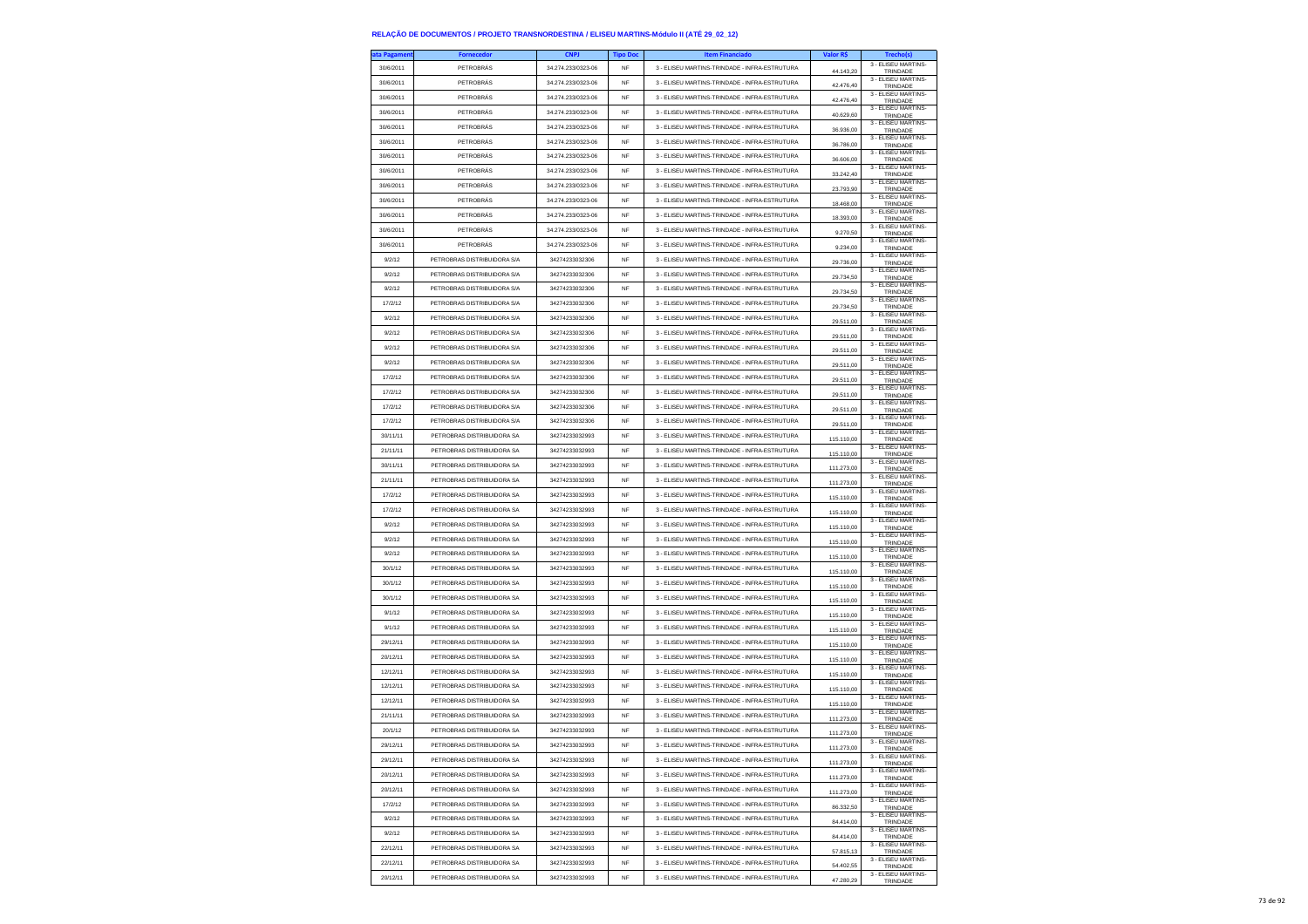| ta Pagament | <b>Fornecedor</b>           | <b>CNPJ</b>        | <b>Tipo Doc</b> | <b>Item Financiado</b>                        | Valor R\$  | <b>Trecho(s)</b>                       |
|-------------|-----------------------------|--------------------|-----------------|-----------------------------------------------|------------|----------------------------------------|
| 30/6/2011   | PETROBRÁS                   | 34.274.233/0323-06 | NF              | 3 - ELISEU MARTINS-TRINDADE - INFRA-ESTRUTURA | 44.143,20  | 3 - ELISEU MARTINS-<br>TRINDADE        |
| 30/6/2011   | PETROBRÁS                   | 34.274.233/0323-06 | <b>NF</b>       | 3 - ELISEU MARTINS-TRINDADE - INFRA-ESTRUTURA | 42,476.40  | 3 - ELISEU MARTINS-<br>TRINDADE        |
| 30/6/2011   | PETROBRÁS                   | 34.274.233/0323-06 | <b>NF</b>       | 3 - ELISEU MARTINS-TRINDADE - INFRA-ESTRUTURA | 42.476,40  | 3 - ELISEU MARTINS-<br>TRINDADE        |
| 30/6/2011   | PETROBRÁS                   | 34.274.233/0323-06 | NF              | 3 - ELISEU MARTINS-TRINDADE - INFRA-ESTRUTURA | 40.629,60  | 3 - ELISEU MARTINS-<br>TRINDADE        |
| 30/6/2011   | PETROBRÁS                   | 34.274.233/0323-06 | <b>NF</b>       | 3 - ELISEU MARTINS-TRINDADE - INFRA-ESTRUTURA | 36 936 00  | 3 - ELISEU MARTINS-<br>TRINDADE        |
| 30/6/2011   | PETROBRÁS                   | 34.274.233/0323-06 | <b>NF</b>       | 3 - ELISEU MARTINS-TRINDADE - INFRA-ESTRUTURA | 36,786.00  | 3 - ELISEU MARTINS-                    |
| 30/6/2011   | PETROBRÁS                   | 34.274.233/0323-06 | <b>NF</b>       | 3 - ELISEU MARTINS-TRINDADE - INFRA-ESTRUTURA |            | TRINDADE<br>3 - ELISEU MARTINS-        |
| 30/6/2011   | PETROBRÁS                   | 34.274.233/0323-06 | <b>NF</b>       | 3 - ELISEU MARTINS-TRINDADE - INFRA-ESTRUTURA | 36.606,00  | TRINDADE<br>3 - ELISEU MARTINS-        |
| 30/6/2011   | PETROBRÁS                   | 34.274.233/0323-06 | <b>NF</b>       | 3 - ELISEU MARTINS-TRINDADE - INFRA-ESTRUTURA | 33.242.40  | TRINDADE<br>3 - ELISEU MARTINS-        |
| 30/6/2011   | PETROBRÁS                   | 34.274.233/0323-06 | <b>NF</b>       | 3 - ELISEU MARTINS-TRINDADE - INFRA-ESTRUTURA | 23.793,90  | TRINDADE<br>3 - ELISEU MARTINS-        |
|             |                             | 34.274.233/0323-06 | <b>NF</b>       |                                               | 18,468.00  | TRINDADE<br>3 - ELISEU MARTINS-        |
| 30/6/2011   | PETROBRÁS                   |                    |                 | 3 - ELISEU MARTINS-TRINDADE - INFRA-ESTRUTURA | 18 393 00  | TRINDADE<br>3 - ELISEU MARTINS-        |
| 30/6/2011   | PETROBRÁS                   | 34.274.233/0323-06 | <b>NF</b>       | 3 - ELISEU MARTINS-TRINDADE - INFRA-ESTRUTURA | 9.270,50   | TRINDADE<br>3 - ELISEU MARTINS-        |
| 30/6/2011   | PETROBRÁS                   | 34 274 233/0323-06 | <b>NF</b>       | 3 - ELISEU MARTINS-TRINDADE - INFRA-ESTRUTURA | 9.234,00   | TRINDADE<br>3 - ELISEU MARTINS-        |
| 9/2/12      | PETROBRAS DISTRIBUIDORA S/A | 34274233032306     | NF              | 3 - ELISEU MARTINS-TRINDADE - INFRA-ESTRUTURA | 29.736,00  | TRINDADE<br>3 - ELISEU MARTINS-        |
| 9/2/12      | PETROBRAS DISTRIBUIDORA S/A | 34274233032306     | <b>NF</b>       | 3 - ELISEU MARTINS-TRINDADE - INFRA-ESTRUTURA | 29.734,50  | TRINDADE<br>3 - ELISEU MARTINS-        |
| 9/2/12      | PETROBRAS DISTRIBUIDORA S/A | 34274233032306     | <b>NF</b>       | 3 - ELISEU MARTINS-TRINDADE - INFRA-ESTRUTURA | 29.734,50  | TRINDADE                               |
| 17/2/12     | PETROBRAS DISTRIBUIDORA S/A | 34274233032306     | NF              | 3 - ELISEU MARTINS-TRINDADE - INFRA-ESTRUTURA | 29.734,50  | 3 - ELISEU MARTINS-<br>TRINDADE        |
| 9/2/12      | PETROBRAS DISTRIBUIDORA S/A | 34274233032306     | <b>NF</b>       | 3 - ELISEU MARTINS-TRINDADE - INFRA-ESTRUTURA | 29.511,00  | 3 - ELISEU MARTINS-<br>TRINDADE        |
| 9/2/12      | PETROBRAS DISTRIBUIDORA S/A | 34274233032306     | <b>NF</b>       | 3 - ELISEU MARTINS-TRINDADE - INFRA-ESTRUTURA | 29.511,00  | 3 - ELISEU MARTINS-<br>TRINDADE        |
| 9/2/12      | PETROBRAS DISTRIBUIDORA S/A | 34274233032306     | NF              | 3 - ELISEU MARTINS-TRINDADE - INFRA-ESTRUTURA | 29.511,00  | 3 - ELISEU MARTINS-<br>TRINDADE        |
| 9/2/12      | PETROBRAS DISTRIBUIDORA S/A | 34274233032306     | <b>NF</b>       | 3 - ELISEU MARTINS-TRINDADE - INFRA-ESTRUTURA | 29.511.00  | 3 - ELISEU MARTINS-<br>TRINDADE        |
| 17/2/12     | PETROBRAS DISTRIBUIDORA S/A | 34274233032306     | <b>NF</b>       | 3 - ELISEU MARTINS-TRINDADE - INFRA-ESTRUTURA | 29.511.00  | 3 - ELISEU MARTINS-<br>TRINDADE        |
| 17/2/12     | PETROBRAS DISTRIBUIDORA S/A | 34274233032306     | NF              | 3 - ELISEU MARTINS-TRINDADE - INFRA-ESTRUTURA | 29.511,00  | 3 - ELISEU MARTINS-<br>TRINDADE        |
| 17/2/12     | PETROBRAS DISTRIBUIDORA S/A | 34274233032306     | <b>NF</b>       | 3 - ELISEU MARTINS-TRINDADE - INFRA-ESTRUTURA | 29.511.00  | 3 - ELISEU MARTINS-<br><b>TRINDADE</b> |
| 17/2/12     | PETROBRAS DISTRIBUIDORA S/A | 34274233032306     | <b>NF</b>       | 3 - ELISEU MARTINS-TRINDADE - INFRA-ESTRUTURA | 29.511,00  | 3 - ELISEU MARTINS-<br>TRINDADE        |
| 30/11/11    | PETROBRAS DISTRIBUIDORA SA  | 34274233032993     | NF              | 3 - ELISEU MARTINS-TRINDADE - INFRA-ESTRUTURA | 115.110,00 | 3 - ELISEU MARTINS-                    |
| 21/11/11    | PETROBRAS DISTRIBUIDORA SA  | 34274233032993     | <b>NF</b>       | 3 - ELISEU MARTINS-TRINDADE - INFRA-ESTRUTURA | 115 110 00 | TRINDADE<br>3 - ELISEU MARTINS-        |
| 30/11/11    | PETROBRAS DISTRIBUIDORA SA  | 34274233032993     | <b>NF</b>       | 3 - FLISELLMARTINS-TRINDADE - INFRA-ESTRUTURA |            | TRINDADE<br>3 - ELISEU MARTINS-        |
| 21/11/11    | PETROBRAS DISTRIBUIDORA SA  | 34274233032993     | NF              | 3 - ELISEU MARTINS-TRINDADE - INFRA-ESTRUTURA | 111.273,00 | TRINDADE<br>3 - ELISEU MARTINS-        |
| 17/2/12     | PETROBRAS DISTRIBUIDORA SA  | 34274233032993     | <b>NF</b>       | 3 - ELISEU MARTINS-TRINDADE - INFRA-ESTRUTURA | 111.273.00 | TRINDADE<br>3 - ELISEU MARTINS-        |
| 17/2/12     | PETROBRAS DISTRIBUIDORA SA  | 34274233032993     | <b>NF</b>       | 3 - ELISEU MARTINS-TRINDADE - INFRA-ESTRUTURA | 115.110,00 | TRINDADE<br>3 - ELISEU MARTINS-        |
|             |                             |                    |                 |                                               | 115.110,00 | TRINDADE<br>3 - ELISEU MARTINS-        |
| 9/2/12      | PETROBRAS DISTRIBUIDORA SA  | 34274233032993     | NF              | 3 - ELISEU MARTINS-TRINDADE - INFRA-ESTRUTURA | 115.110,00 | TRINDADE<br>3 - ELISEU MARTINS-        |
| 9/2/12      | PETROBRAS DISTRIBUIDORA SA  | 34274233032993     | <b>NF</b>       | 3 - ELISEU MARTINS-TRINDADE - INFRA-ESTRUTURA | 115.110,00 | TRINDADE<br>3 - ELISEU MARTINS-        |
| 9/2/12      | PETROBRAS DISTRIBUIDORA SA  | 34274233032993     | <b>NF</b>       | 3 - ELISEU MARTINS-TRINDADE - INFRA-ESTRUTURA | 115.110,00 | TRINDADE<br>3 - ELISEU MARTINS-        |
| 30/1/12     | PETROBRAS DISTRIBUIDORA SA  | 34274233032993     | <b>NF</b>       | 3 - ELISEU MARTINS-TRINDADE - INFRA-ESTRUTURA | 115.110,00 | TRINDADE<br>3 - ELISEU MARTINS-        |
| 30/1/12     | PETROBRAS DISTRIBUIDORA SA  | 34274233032993     | <b>NF</b>       | 3 - ELISEU MARTINS-TRINDADE - INFRA-ESTRUTURA | 115,110.00 | TRINDADE                               |
| 30/1/12     | PETROBRAS DISTRIBUIDORA SA  | 34274233032993     | <b>NF</b>       | 3 - ELISEU MARTINS-TRINDADE - INFRA-ESTRUTURA | 115.110,00 | 3 - ELISEU MARTINS-<br>TRINDADE        |
| 9/1/12      | PETROBRAS DISTRIBUIDORA SA  | 34274233032993     | <b>NF</b>       | 3 - ELISEU MARTINS-TRINDADE - INFRA-ESTRUTURA | 115.110,00 | 3 - ELISEU MARTINS-<br>TRINDADE        |
| 9/1/12      | PETROBRAS DISTRIBUIDORA SA  | 34274233032993     | <b>NF</b>       | 3 - ELISEU MARTINS-TRINDADE - INFRA-ESTRUTURA | 115.110,00 | 3 - ELISEU MARTINS-<br>TRINDADE        |
| 29/12/11    | PETROBRAS DISTRIBUIDORA SA  | 34274233032993     | <b>NF</b>       | 3 - ELISEU MARTINS-TRINDADE - INFRA-ESTRUTURA | 115.110,00 | 3 - ELISEU MARTINS-<br>TRINDADE        |
| 20/12/11    | PETROBRAS DISTRIBUIDORA SA  | 34274233032993     | <b>NF</b>       | 3 - ELISEU MARTINS-TRINDADE - INFRA-ESTRUTURA | 115.110,00 | 3 - ELISEU MARTINS-<br>TRINDADE        |
| 12/12/11    | PETROBRAS DISTRIBUIDORA SA  | 34274233032993     | NF              | 3 - ELISEU MARTINS-TRINDADE - INFRA-ESTRUTURA | 115.110,00 | 3 - ELISEU MARTINS-<br>TRINDADE        |
| 12/12/11    | PETROBRAS DISTRIBUIDORA SA  | 34274233032993     | <b>NF</b>       | 3 - ELISEU MARTINS-TRINDADE - INFRA-ESTRUTURA | 115.110,00 | 3 - ELISEU MARTINS-<br>TRINDADE        |
| 12/12/11    | PETROBRAS DISTRIBUIDORA SA  | 34274233032993     | <b>NF</b>       | 3 - FLISELLMARTINS-TRINDADE - INFRA-ESTRUTURA | 115.110,00 | 3 - ELISEU MARTINS-<br>TRINDADE        |
| 21/11/11    | PETROBRAS DISTRIBUIDORA SA  | 34274233032993     | NF              | 3 - ELISEU MARTINS-TRINDADE - INFRA-ESTRUTURA | 111.273,00 | 3 - ELISEU MARTINS-<br>TRINDADE        |
| 20/1/12     | PETROBRAS DISTRIBUIDORA SA  | 34274233032993     | <b>NF</b>       | 3 - ELISEU MARTINS-TRINDADE - INFRA-ESTRUTURA |            | 3 - FLISEU MARTINS-                    |
| 29/12/11    | PETROBRAS DISTRIBUIDORA SA  | 34274233032993     | NF              | 3 - ELISEU MARTINS-TRINDADE - INFRA-ESTRUTURA | 111.273,00 | TRINDADE<br>3 - ELISEU MARTINS-        |
| 29/12/11    | PETROBRAS DISTRIBUIDORA SA  | 34274233032993     | NF              | 3 - ELISEU MARTINS-TRINDADE - INFRA-ESTRUTURA | .273,00    | TRINDAD<br>3 - ELISEU MARTINS          |
| 20/12/11    | PETROBRAS DISTRIBUIDORA SA  | 34274233032993     | NF              | 3 - ELISEU MARTINS-TRINDADE - INFRA-ESTRUTURA | 111.273,00 | TRINDADE<br>3 - ELISEU MARTINS-        |
|             |                             |                    |                 |                                               | 111 273 00 | TRINDADE<br>3 - ELISEU MARTINS-        |
| 20/12/11    | PETROBRAS DISTRIBUIDORA SA  | 34274233032993     | <b>NF</b>       | 3 - ELISEU MARTINS-TRINDADE - INFRA-ESTRUTURA | 111.273,00 | TRINDADE<br>3 - FLISEU MARTINS-        |
| 17/2/12     | PETROBRAS DISTRIBUIDORA SA  | 34274233032993     | NF              | 3 - ELISEU MARTINS-TRINDADE - INFRA-ESTRUTURA | 86.332,50  | TRINDADE<br>3 - ELISEU MARTINS-        |
| 9/2/12      | PETROBRAS DISTRIBUIDORA SA  | 34274233032993     | NF              | 3 - ELISEU MARTINS-TRINDADE - INFRA-ESTRUTURA | 84,414.00  | TRINDADE<br>3 - ELISEU MARTINS-        |
| 9/2/12      | PETROBRAS DISTRIBUIDORA SA  | 34274233032993     | <b>NF</b>       | 3 - ELISEU MARTINS-TRINDADE - INFRA-ESTRUTURA | 84.414,00  | TRINDADE<br>3 - ELISEU MARTINS-        |
| 22/12/11    | PETROBRAS DISTRIBUIDORA SA  | 34274233032993     | NF              | 3 - ELISEU MARTINS-TRINDADE - INFRA-ESTRUTURA | 57.815,13  | TRINDADE<br>3 - ELISEU MARTINS-        |
| 22/12/11    | PETROBRAS DISTRIBUIDORA SA  | 34274233032993     | NF              | 3 - ELISEU MARTINS-TRINDADE - INFRA-ESTRUTURA | 54,402.55  | TRINDADE                               |
| 20/12/11    | PETROBRAS DISTRIBUIDORA SA  | 34274233032993     | <b>NF</b>       | 3 - ELISEU MARTINS-TRINDADE - INFRA-ESTRUTURA | 47.280,29  | 3 - ELISEU MARTINS-<br>TRINDADE        |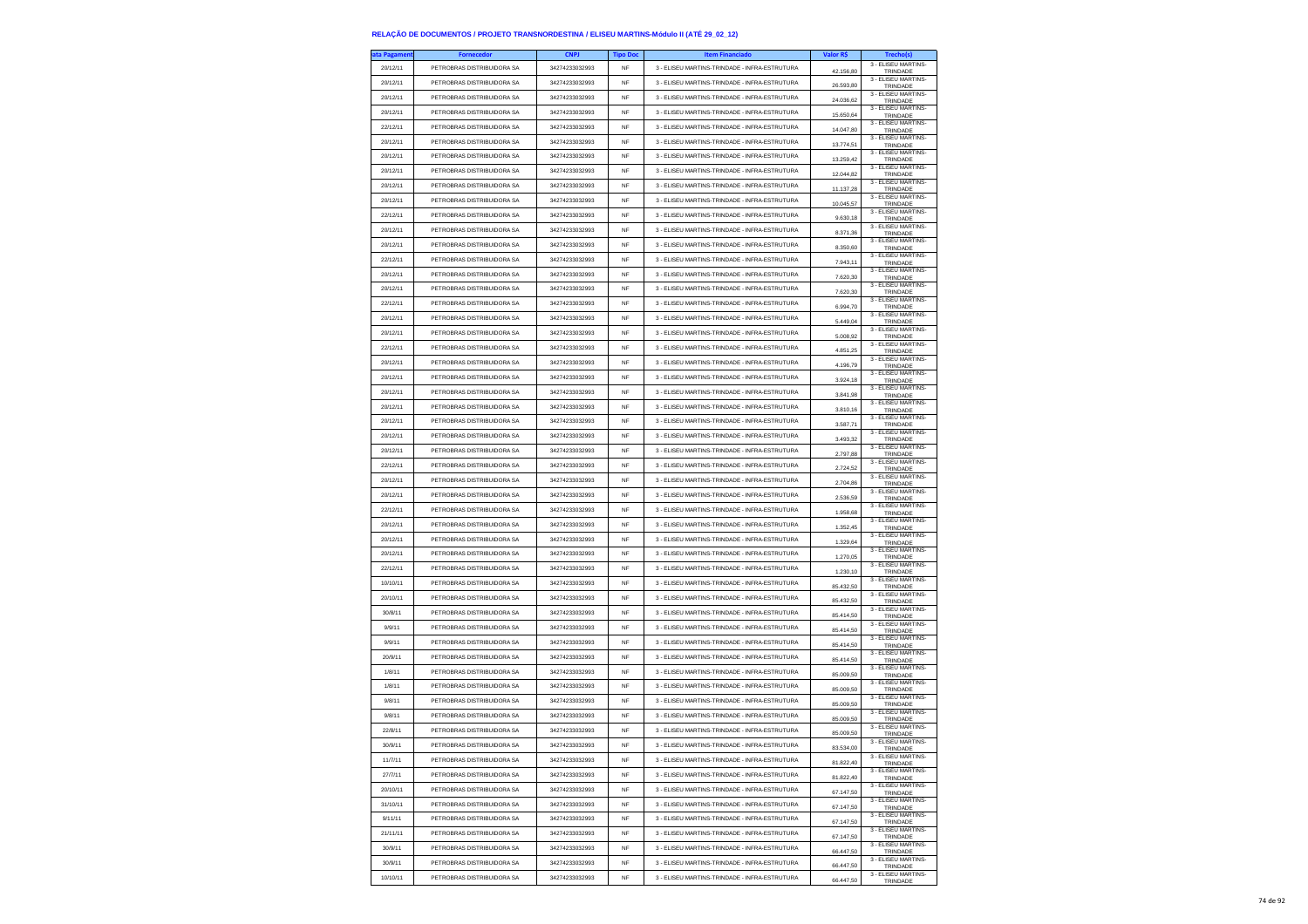| ta Pagamen | <b>Fornecedor</b>          | <b>CNPJ</b>    | <b>Tipo Doc</b> | <b>Item Financiado</b>                        | Valor R\$ |                                 |
|------------|----------------------------|----------------|-----------------|-----------------------------------------------|-----------|---------------------------------|
| 20/12/11   | PETROBRAS DISTRIBUIDORA SA | 34274233032993 | NF              | 3 - ELISEU MARTINS-TRINDADE - INFRA-ESTRUTURA | 42.156,80 | 3 - ELISEU MARTINS-<br>TRINDADE |
| 20/12/11   | PETROBRAS DISTRIBUIDORA SA | 34274233032993 | NF              | 3 - ELISEU MARTINS-TRINDADE - INFRA-ESTRUTURA | 26.593,80 | 3 - ELISEU MARTINS-             |
| 20/12/11   | PETROBRAS DISTRIBUIDORA SA | 34274233032993 | <b>NF</b>       | 3 - ELISEU MARTINS-TRINDADE - INFRA-ESTRUTURA |           | TRINDADE<br>3 - ELISEU MARTINS- |
| 20/12/11   | PETROBRAS DISTRIBUIDORA SA | 34274233032993 | NF              | 3 - ELISEU MARTINS-TRINDADE - INFRA-ESTRUTURA | 24.036.62 | TRINDADE<br>3 - ELISEU MARTINS- |
| 22/12/11   | PETROBRAS DISTRIBUIDORA SA | 34274233032993 | NF              | 3 - ELISEU MARTINS-TRINDADE - INFRA-ESTRUTURA | 15.650,64 | TRINDADE<br>3 - ELISEU MARTINS- |
|            |                            |                |                 |                                               | 14.047,80 | TRINDADE<br>3 - ELISEU MARTINS- |
| 20/12/11   | PETROBRAS DISTRIBUIDORA SA | 34274233032993 | <b>NF</b>       | 3 - ELISEU MARTINS-TRINDADE - INFRA-ESTRUTURA | 13,774.51 | TRINDADE<br>3 - ELISEU MARTINS- |
| 20/12/11   | PETROBRAS DISTRIBUIDORA SA | 34274233032993 | NF              | 3 - ELISEU MARTINS-TRINDADE - INFRA-ESTRUTURA | 13,259.42 | TRINDADE<br>3 - ELISEU MARTINS- |
| 20/12/11   | PETROBRAS DISTRIBUIDORA SA | 34274233032993 | NF              | 3 - ELISEU MARTINS-TRINDADE - INFRA-ESTRUTURA | 12.044,82 | TRINDADE                        |
| 20/12/11   | PETROBRAS DISTRIBUIDORA SA | 34274233032993 | NF              | 3 - ELISEU MARTINS-TRINDADE - INFRA-ESTRUTURA | 11.137,28 | 3 - ELISEU MARTINS-<br>TRINDADE |
| 20/12/11   | PETROBRAS DISTRIBUIDORA SA | 34274233032993 | NF              | 3 - ELISEU MARTINS-TRINDADE - INFRA-ESTRUTURA | 10.045,57 | 3 - ELISEU MARTINS-<br>TRINDADE |
| 22/12/11   | PETROBRAS DISTRIBUIDORA SA | 34274233032993 | NF              | 3 - ELISEU MARTINS-TRINDADE - INFRA-ESTRUTURA | 9.630,18  | 3 - ELISEU MARTINS-<br>TRINDADE |
| 20/12/11   | PETROBRAS DISTRIBUIDORA SA | 34274233032993 | <b>NF</b>       | 3 - ELISEU MARTINS-TRINDADE - INFRA-ESTRUTURA | 8.371.36  | 3 - ELISEU MARTINS-<br>TRINDADE |
| 20/12/11   | PETROBRAS DISTRIBUIDORA SA | 34274233032993 | <b>NF</b>       | 3 - ELISEU MARTINS-TRINDADE - INFRA-ESTRUTURA | 8.350,60  | 3 - ELISEU MARTINS-<br>TRINDADE |
| 22/12/11   | PETROBRAS DISTRIBUIDORA SA | 34274233032993 | <b>NF</b>       | 3 - FLISELLMARTINS-TRINDADE - INFRA-ESTRUTURA | 7.943,11  | 3 - ELISEU MARTINS-<br>TRINDADE |
| 20/12/11   | PETROBRAS DISTRIBUIDORA SA | 34274233032993 | <b>NF</b>       | 3 - ELISEU MARTINS-TRINDADE - INFRA-ESTRUTURA | 7.620.30  | 3 - ELISEU MARTINS-<br>TRINDADE |
| 20/12/11   | PETROBRAS DISTRIBUIDORA SA | 34274233032993 | <b>NF</b>       | 3 - ELISEU MARTINS-TRINDADE - INFRA-ESTRUTURA | 7.620,30  | 3 - ELISEU MARTINS-<br>TRINDADE |
| 22/12/11   | PETROBRAS DISTRIBUIDORA SA | 34274233032993 | <b>NF</b>       | 3 - ELISEU MARTINS-TRINDADE - INFRA-ESTRUTURA | 6.994,70  | 3 - ELISEU MARTINS-             |
| 20/12/11   | PETROBRAS DISTRIBUIDORA SA | 34274233032993 | <b>NF</b>       | 3 - ELISEU MARTINS-TRINDADE - INFRA-ESTRUTURA |           | TRINDADE<br>3 - ELISEU MARTINS- |
| 20/12/11   | PETROBRAS DISTRIBUIDORA SA | 34274233032993 | <b>NF</b>       | 3 - ELISEU MARTINS-TRINDADE - INFRA-ESTRUTURA | 5,449.04  | TRINDADE<br>3 - ELISEU MARTINS- |
| 22/12/11   | PETROBRAS DISTRIBUIDORA SA | 34274233032993 | <b>NF</b>       | 3 - ELISEU MARTINS-TRINDADE - INFRA-ESTRUTURA | 5.008,92  | TRINDADE<br>3 - ELISEU MARTINS- |
|            | PETROBRAS DISTRIBUIDORA SA |                |                 |                                               | 4.851,25  | TRINDADE<br>3 - ELISEU MARTINS- |
| 20/12/11   |                            | 34274233032993 | NF              | 3 - ELISEU MARTINS-TRINDADE - INFRA-ESTRUTURA | 4.196,79  | TRINDADE<br>3 - FLISEU MARTINS- |
| 20/12/11   | PETROBRAS DISTRIBUIDORA SA | 34274233032993 | <b>NF</b>       | 3 - ELISEU MARTINS-TRINDADE - INFRA-ESTRUTURA | 3.924,18  | TRINDADE<br>3 - ELISEU MARTINS- |
| 20/12/11   | PETROBRAS DISTRIBUIDORA SA | 34274233032993 | NF              | 3 - FLISELLMARTINS-TRINDADE - INFRA-ESTRUTURA | 3.841,98  | TRINDADE<br>3 - ELISEU MARTINS- |
| 20/12/11   | PETROBRAS DISTRIBUIDORA SA | 34274233032993 | NF              | 3 - ELISEU MARTINS-TRINDADE - INFRA-ESTRUTURA | 3.810,16  | TRINDADE<br>3 - ELISEU MARTINS- |
| 20/12/11   | PETROBRAS DISTRIBUIDORA SA | 34274233032993 | <b>NF</b>       | 3 - ELISEU MARTINS-TRINDADE - INFRA-ESTRUTURA | 3.587,71  | TRINDADE<br>3 - ELISEU MARTINS- |
| 20/12/11   | PETROBRAS DISTRIBUIDORA SA | 34274233032993 | NF              | 3 - ELISEU MARTINS-TRINDADE - INFRA-ESTRUTURA | 3.493,32  | TRINDADE<br>3 - ELISEU MARTINS- |
| 20/12/11   | PETROBRAS DISTRIBUIDORA SA | 34274233032993 | NF              | 3 - ELISEU MARTINS-TRINDADE - INFRA-ESTRUTURA | 2.797,88  | TRINDADE<br>3 - ELISEU MARTINS- |
| 22/12/11   | PETROBRAS DISTRIBUIDORA SA | 34274233032993 | <b>NF</b>       | 3 - ELISEU MARTINS-TRINDADE - INFRA-ESTRUTURA | 2724.52   | TRINDADE<br>3 - ELISEU MARTINS- |
| 20/12/11   | PETROBRAS DISTRIBUIDORA SA | 34274233032993 | NF              | 3 - FLISELLMARTINS-TRINDADE - INFRA-ESTRUTURA | 2.704,86  | TRINDADE<br>3 - ELISEU MARTINS- |
| 20/12/11   | PETROBRAS DISTRIBUIDORA SA | 34274233032993 | NF              | 3 - ELISEU MARTINS-TRINDADE - INFRA-ESTRUTURA | 2.536,59  | TRINDADE<br>3 - ELISEU MARTINS- |
| 22/12/11   | PETROBRAS DISTRIBUIDORA SA | 34274233032993 | <b>NF</b>       | 3 - ELISEU MARTINS-TRINDADE - INFRA-ESTRUTURA | 1.958.68  | TRINDADE<br>3 - ELISEU MARTINS- |
| 20/12/11   | PETROBRAS DISTRIBUIDORA SA | 34274233032993 | <b>NF</b>       | 3 - ELISEU MARTINS-TRINDADE - INFRA-ESTRUTURA | 1.352,45  | TRINDADE<br>3 - ELISEU MARTINS- |
| 20/12/11   | PETROBRAS DISTRIBUIDORA SA | 34274233032993 | NF              | 3 - ELISEU MARTINS-TRINDADE - INFRA-ESTRUTURA | 1.329,64  | TRINDADE                        |
| 20/12/11   | PETROBRAS DISTRIBUIDORA SA | 34274233032993 | <b>NF</b>       | 3 - ELISEU MARTINS-TRINDADE - INFRA-ESTRUTURA | 1.270.05  | 3 - ELISEU MARTINS-<br>TRINDADE |
| 22/12/11   | PETROBRAS DISTRIBUIDORA SA | 34274233032993 | NF              | 3 - ELISEU MARTINS-TRINDADE - INFRA-ESTRUTURA | 1.230,10  | 3 - ELISEU MARTINS-<br>TRINDADE |
| 10/10/11   | PETROBRAS DISTRIBUIDORA SA | 34274233032993 | NF              | 3 - ELISEU MARTINS-TRINDADE - INFRA-ESTRUTURA | 85.432,50 | 3 - ELISEU MARTINS-<br>TRINDADE |
| 20/10/11   | PETROBRAS DISTRIBUIDORA SA | 34274233032993 | <b>NF</b>       | 3 - ELISEU MARTINS-TRINDADE - INFRA-ESTRUTURA | 85.432.50 | 3 - ELISEU MARTINS-<br>TRINDADE |
| 30/8/11    | PETROBRAS DISTRIBUIDORA SA | 34274233032993 | NF              | 3 - ELISEU MARTINS-TRINDADE - INFRA-ESTRUTURA | 85.414,50 | 3 - ELISEU MARTINS-<br>TRINDADE |
| 9/9/11     | PETROBRAS DISTRIBUIDORA SA | 34274233032993 | NF              | 3 - ELISEU MARTINS-TRINDADE - INFRA-ESTRUTURA | 85.414,50 | 3 - ELISEU MARTINS-<br>TRINDADE |
| 9/9/11     | PETROBRAS DISTRIBUIDORA SA | 34274233032993 | <b>NF</b>       | 3 - ELISEU MARTINS-TRINDADE - INFRA-ESTRUTURA | 85.414,50 | 3 - ELISEU MARTINS-<br>TRINDADE |
| 20/9/11    | PETROBRAS DISTRIBUIDORA SA | 34274233032993 | <b>NF</b>       | 3 - ELISEU MARTINS-TRINDADE - INFRA-ESTRUTURA | 85.414,50 | 3 - ELISEU MARTINS-<br>TRINDADE |
| 1/8/11     | PETROBRAS DISTRIBUIDORA SA | 34274233032993 | NF              | 3 - ELISEU MARTINS-TRINDADE - INFRA-ESTRUTURA | 85.009,50 | 3 - ELISEU MARTINS-<br>TRINDADE |
| 1/8/11     | PETROBRAS DISTRIBUIDORA SA | 34274233032993 | <b>NF</b>       | 3 - ELISEU MARTINS-TRINDADE - INFRA-ESTRUTURA | 85,009.50 | 3 - ELISEU MARTINS-<br>TRINDADE |
| 9/8/11     | PETROBRAS DISTRIBUIDORA SA | 34274233032993 | NF              | 3 - ELISEU MARTINS-TRINDADE - INFRA-ESTRUTURA | 85.009,50 | 3 - ELISEU MARTINS-<br>TRINDADE |
| 9/8/11     | PETROBRAS DISTRIBUIDORA SA | 34274233032993 | <b>NF</b>       | 3 - ELISEU MARTINS-TRINDADE - INFRA-ESTRUTURA | 85.009,50 | 3 - ELISEU MARTINS-<br>TRINDADE |
| 22/8/11    | PETROBRAS DISTRIBUIDORA SA | 34274233032993 | <b>NF</b>       | 3 - FLISEU MARTINS-TRINDADE - INFRA-ESTRUTURA | 85,009.50 | 3 - ELISEU MARTINS-<br>TRINDADE |
| 30/9/11    | PETROBRAS DISTRIBUIDORA SA | 34274233032993 | <b>NF</b>       | 3 - ELISEU MARTINS-TRINDADE - INFRA-ESTRUTURA | 83 534 00 | 3 - ELISEU MARTINS-<br>TRINDADE |
| 11/7/11    | PETROBRAS DISTRIBUIDORA SA | 34274233032993 | NF              | 3 - ELISEU MARTINS-TRINDADE - INFRA-ESTRUTURA | 81.822,40 | 3 - ELISEU MARTINS-<br>TRINDADE |
| 27/7/11    | PETROBRAS DISTRIBUIDORA SA | 34274233032993 | NF              | 3 - ELISEU MARTINS-TRINDADE - INFRA-ESTRUTURA | 81.822,40 | 3 - ELISEU MARTINS-<br>TRINDADE |
| 20/10/11   | PETROBRAS DISTRIBUIDORA SA | 34274233032993 | NF              | 3 - ELISEU MARTINS-TRINDADE - INFRA-ESTRUTURA | 67.147.50 | 3 - FLISEU MARTINS-<br>TRINDADE |
| 31/10/11   | PETROBRAS DISTRIBUIDORA SA | 34274233032993 | NF              | 3 - ELISEU MARTINS-TRINDADE - INFRA-ESTRUTURA | 67.147,50 | 3 - FLISEU MARTINS-<br>TRINDADE |
| 9/11/11    | PETROBRAS DISTRIBUIDORA SA | 34274233032993 | NF              | 3 - ELISEU MARTINS-TRINDADE - INFRA-ESTRUTURA | 67.147,50 | 3 - ELISEU MARTINS-<br>TRINDADE |
| 21/11/11   | PETROBRAS DISTRIBUIDORA SA | 34274233032993 | NF              | 3 - ELISEU MARTINS-TRINDADE - INFRA-ESTRUTURA |           | 3 - FLISEU MARTINS-             |
| 30/9/11    | PETROBRAS DISTRIBUIDORA SA | 34274233032993 | NF              | 3 - ELISEU MARTINS-TRINDADE - INFRA-ESTRUTURA | 67.147,50 | TRINDADE<br>3 - ELISEU MARTINS- |
| 30/9/11    | PETROBRAS DISTRIBUIDORA SA | 34274233032993 | NF              | 3 - ELISEU MARTINS-TRINDADE - INFRA-ESTRUTURA | 66.447,50 | TRINDADE<br>3 - FLISEU MARTINS- |
| 10/10/11   | PETROBRAS DISTRIBUIDORA SA | 34274233032993 | NF              | 3 - ELISEU MARTINS-TRINDADE - INFRA-ESTRUTURA | 66,447.50 | TRINDADE<br>3 - ELISEU MARTINS- |
|            |                            |                |                 |                                               | 66,447.50 | TRINDADE                        |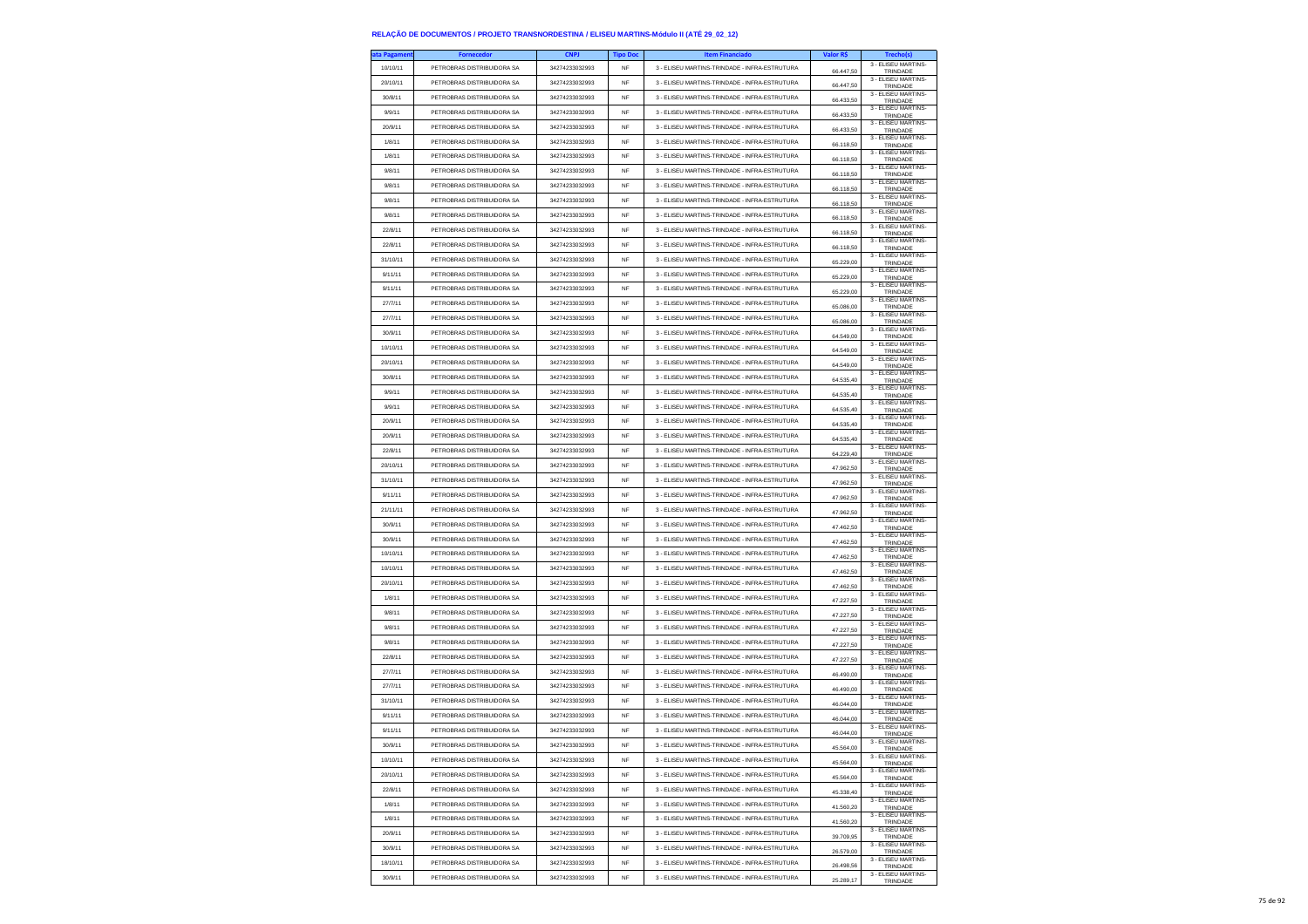| ta Pagamen | <b>Fornecedor</b>          | <b>CNPJ</b>    | <b>Tipo Doc</b> | <b>Item Financiado</b>                        | Valor R\$ | Trecho(s)                             |
|------------|----------------------------|----------------|-----------------|-----------------------------------------------|-----------|---------------------------------------|
| 10/10/11   | PETROBRAS DISTRIBUIDORA SA | 34274233032993 | NF              | 3 - ELISEU MARTINS-TRINDADE - INFRA-ESTRUTURA | 66.447,50 | 3 - ELISEU MARTINS-<br>TRINDADE       |
| 20/10/11   | PETROBRAS DISTRIBUIDORA SA | 34274233032993 | <b>NF</b>       | 3 - ELISEU MARTINS-TRINDADE - INFRA-ESTRUTURA | 66,447.50 | 3 - ELISEU MARTINS-<br>TRINDADE       |
| 30/8/11    | PETROBRAS DISTRIBUIDORA SA | 34274233032993 | <b>NF</b>       | 3 - FLISELLMARTINS-TRINDADE - INFRA-ESTRUTURA | 66.433,50 | 3 - ELISEU MARTINS-                   |
| 9/9/11     | PETROBRAS DISTRIBUIDORA SA | 34274233032993 | NF              | 3 - ELISEU MARTINS-TRINDADE - INFRA-ESTRUTURA |           | TRINDADE<br>3 - ELISEU MARTINS-       |
| 20/9/11    | PETROBRAS DISTRIBUIDORA SA | 34274233032993 | <b>NF</b>       | 3 - ELISEU MARTINS-TRINDADE - INFRA-ESTRUTURA | 66.433,50 | TRINDADE<br>3 - ELISEU MARTINS-       |
| 1/8/11     | PETROBRAS DISTRIBUIDORA SA | 34274233032993 | <b>NF</b>       | 3 - ELISEU MARTINS-TRINDADE - INFRA-ESTRUTURA | 66 433 50 | TRINDADE<br>3 - ELISEU MARTINS-       |
|            | PETROBRAS DISTRIBUIDORA SA | 34274233032993 | <b>NF</b>       | 3 - ELISEU MARTINS-TRINDADE - INFRA-ESTRUTURA | 66.118.50 | TRINDADE<br>3 - ELISEU MARTINS-       |
| 1/8/11     |                            |                |                 |                                               | 66.118,50 | TRINDADE<br>3 - ELISEU MARTINS-       |
| 9/8/11     | PETROBRAS DISTRIBUIDORA SA | 34274233032993 | <b>NF</b>       | 3 - ELISEU MARTINS-TRINDADE - INFRA-ESTRUTURA | 66.118,50 | TRINDADE<br>3 - ELISEU MARTINS-       |
| 9/8/11     | PETROBRAS DISTRIBUIDORA SA | 34274233032993 | <b>NF</b>       | 3 - ELISEU MARTINS-TRINDADE - INFRA-ESTRUTURA | 66.118,50 | TRINDADE<br>3 - ELISEU MARTINS-       |
| 9/8/11     | PETROBRAS DISTRIBUIDORA SA | 34274233032993 | <b>NF</b>       | 3 - ELISEU MARTINS-TRINDADE - INFRA-ESTRUTURA | 66.118,50 | TRINDADE<br>3 - ELISEU MARTINS-       |
| 9/8/11     | PETROBRAS DISTRIBUIDORA SA | 34274233032993 | <b>NF</b>       | 3 - ELISEU MARTINS-TRINDADE - INFRA-ESTRUTURA | 66.118.50 | TRINDADE                              |
| 22/8/11    | PETROBRAS DISTRIBUIDORA SA | 34274233032993 | <b>NF</b>       | 3 - ELISEU MARTINS-TRINDADE - INFRA-ESTRUTURA | 66.118,50 | 3 - ELISEU MARTINS-<br>TRINDADE       |
| 22/8/11    | PETROBRAS DISTRIBUIDORA SA | 34274233032993 | <b>NF</b>       | 3 - ELISEU MARTINS-TRINDADE - INFRA-ESTRUTURA | 66.118.50 | 3 - ELISEU MARTINS-<br>TRINDADE       |
| 31/10/11   | PETROBRAS DISTRIBUIDORA SA | 34274233032993 | NF              | 3 - ELISEU MARTINS-TRINDADE - INFRA-ESTRUTURA | 65.229,00 | 3 - ELISEU MARTINS-<br>TRINDADE       |
| 9/11/11    | PETROBRAS DISTRIBUIDORA SA | 34274233032993 | <b>NF</b>       | 3 - ELISEU MARTINS-TRINDADE - INFRA-ESTRUTURA | 65.229,00 | 3 - FLISEU MARTINS-<br>TRINDADE       |
| 9/11/11    | PETROBRAS DISTRIBUIDORA SA | 34274233032993 | <b>NF</b>       | 3 - ELISEU MARTINS-TRINDADE - INFRA-ESTRUTURA | 65.229,00 | 3 - ELISEU MARTINS-<br>TRINDADE       |
| 27/7/11    | PETROBRAS DISTRIBUIDORA SA | 34274233032993 | NF              | 3 - ELISEU MARTINS-TRINDADE - INFRA-ESTRUTURA | 65.086,00 | 3 - ELISEU MARTINS-<br>TRINDADE       |
| 27/7/11    | PETROBRAS DISTRIBUIDORA SA | 34274233032993 | <b>NF</b>       | 3 - ELISEU MARTINS-TRINDADE - INFRA-ESTRUTURA | 65.086,00 | 3 - ELISEU MARTINS-                   |
| 30/9/11    | PETROBRAS DISTRIBUIDORA SA | 34274233032993 | <b>NF</b>       | 3 - ELISEU MARTINS-TRINDADE - INFRA-ESTRUTURA |           | TRINDADE<br>3 - ELISEU MARTINS-       |
| 10/10/11   | PETROBRAS DISTRIBUIDORA SA | 34274233032993 | NF              | 3 - ELISEU MARTINS-TRINDADE - INFRA-ESTRUTURA | 64.549,00 | TRINDADE<br>3 - ELISEU MARTINS-       |
| 20/10/11   | PETROBRAS DISTRIBUIDORA SA | 34274233032993 | <b>NF</b>       | 3 - ELISEU MARTINS-TRINDADE - INFRA-ESTRUTURA | 64.549,00 | TRINDADE<br>3 - FLISEU MARTINS-       |
| 30/8/11    | PETROBRAS DISTRIBUIDORA SA | 34274233032993 | <b>NF</b>       | 3 - ELISEU MARTINS-TRINDADE - INFRA-ESTRUTURA | 64,549.00 | TRINDADE<br>3 - ELISEU MARTINS-       |
| 9/9/11     | PETROBRAS DISTRIBUIDORA SA | 34274233032993 | NF              | 3 - ELISEU MARTINS-TRINDADE - INFRA-ESTRUTURA | 64.535,40 | TRINDADE<br>3 - ELISEU MARTINS-       |
| 9/9/11     | PETROBRAS DISTRIBUIDORA SA | 34274233032993 | <b>NF</b>       | 3 - ELISEU MARTINS-TRINDADE - INFRA-ESTRUTURA | 64.535,40 | TRINDADE<br>3 - ELISEU MARTINS-       |
|            |                            |                |                 |                                               | 64.535.40 | TRINDADE<br>3 - ELISEU MARTINS-       |
| 20/9/11    | PETROBRAS DISTRIBUIDORA SA | 34274233032993 | <b>NF</b>       | 3 - ELISEU MARTINS-TRINDADE - INFRA-ESTRUTURA | 64.535,40 | TRINDADE<br>3 - ELISEU MARTINS-       |
| 20/9/11    | PETROBRAS DISTRIBUIDORA SA | 34274233032993 | NF              | 3 - ELISEU MARTINS-TRINDADE - INFRA-ESTRUTURA | 64.535,40 | TRINDADE<br>3 - ELISEU MARTINS-       |
| 22/8/11    | PETROBRAS DISTRIBUIDORA SA | 34274233032993 | <b>NF</b>       | 3 - ELISEU MARTINS-TRINDADE - INFRA-ESTRUTURA | 64 229 40 | TRINDADE<br>3 - ELISEU MARTINS-       |
| 20/10/11   | PETROBRAS DISTRIBUIDORA SA | 34274233032993 | <b>NF</b>       | 3 - FLISELLMARTINS-TRINDADE - INFRA-ESTRUTURA | 47.962.50 | TRINDADE<br>3 - ELISEU MARTINS-       |
| 31/10/11   | PETROBRAS DISTRIBUIDORA SA | 34274233032993 | NF              | 3 - ELISEU MARTINS-TRINDADE - INFRA-ESTRUTURA | 47.962,50 | TRINDADE<br>3 - ELISEU MARTINS-       |
| 9/11/11    | PETROBRAS DISTRIBUIDORA SA | 34274233032993 | <b>NF</b>       | 3 - ELISEU MARTINS-TRINDADE - INFRA-ESTRUTURA | 47.962.50 | TRINDADE<br>3 - ELISEU MARTINS-       |
| 21/11/11   | PETROBRAS DISTRIBUIDORA SA | 34274233032993 | <b>NF</b>       | 3 - ELISEU MARTINS-TRINDADE - INFRA-ESTRUTURA | 47.962,50 | TRINDADE<br>3 - ELISEU MARTINS-       |
| 30/9/11    | PETROBRAS DISTRIBUIDORA SA | 34274233032993 | NF              | 3 - ELISEU MARTINS-TRINDADE - INFRA-ESTRUTURA | 47.462,50 | TRINDADE<br>3 - ELISEU MARTINS-       |
| 30/9/11    | PETROBRAS DISTRIBUIDORA SA | 34274233032993 | <b>NF</b>       | 3 - ELISEU MARTINS-TRINDADE - INFRA-ESTRUTURA | 47.462,50 | TRINDADE                              |
| 10/10/11   | PETROBRAS DISTRIBUIDORA SA | 34274233032993 | <b>NF</b>       | 3 - ELISEU MARTINS-TRINDADE - INFRA-ESTRUTURA | 47.462,50 | 3 - ELISEU MARTINS-<br>TRINDADE       |
| 10/10/11   | PETROBRAS DISTRIBUIDORA SA | 34274233032993 | <b>NF</b>       | 3 - ELISEU MARTINS-TRINDADE - INFRA-ESTRUTURA | 47.462,50 | 3 - ELISEU MARTINS-<br>TRINDADE       |
| 20/10/11   | PETROBRAS DISTRIBUIDORA SA | 34274233032993 | <b>NF</b>       | 3 - ELISEU MARTINS-TRINDADE - INFRA-ESTRUTURA | 47.462.50 | 3 - ELISEU MARTINS-<br>TRINDADE       |
| 1/8/11     | PETROBRAS DISTRIBUIDORA SA | 34274233032993 | <b>NF</b>       | 3 - ELISEU MARTINS-TRINDADE - INFRA-ESTRUTURA | 47.227,50 | 3 - ELISEU MARTINS-<br>TRINDADE       |
| 9/8/11     | PETROBRAS DISTRIBUIDORA SA | 34274233032993 | <b>NF</b>       | 3 - ELISEU MARTINS-TRINDADE - INFRA-ESTRUTURA | 47.227,50 | 3 - ELISEU MARTINS-<br>TRINDADE       |
| 9/8/11     | PETROBRAS DISTRIBUIDORA SA | 34274233032993 | <b>NF</b>       | 3 - ELISEU MARTINS-TRINDADE - INFRA-ESTRUTURA | 47.227.50 | 3 - ELISEU MARTINS-<br>TRINDADE       |
| 9/8/11     | PETROBRAS DISTRIBUIDORA SA | 34274233032993 | <b>NF</b>       | 3 - ELISEU MARTINS-TRINDADE - INFRA-ESTRUTURA | 47.227,50 | 3 - ELISEU MARTINS-<br>TRINDADE       |
| 22/8/11    | PETROBRAS DISTRIBUIDORA SA | 34274233032993 | <b>NF</b>       | 3 - ELISEU MARTINS-TRINDADE - INFRA-ESTRUTURA | 47.227,50 | 3 - ELISEU MARTINS-<br>TRINDADE       |
| 27/7/11    | PETROBRAS DISTRIBUIDORA SA | 34274233032993 | NF              | 3 - ELISEU MARTINS-TRINDADE - INFRA-ESTRUTURA | 46.490,00 | 3 - ELISEU MARTINS-<br>TRINDADE       |
| 27/7/11    | PETROBRAS DISTRIBUIDORA SA | 34274233032993 | <b>NF</b>       | 3 - FLISELLMARTINS-TRINDADE - INFRA-ESTRUTURA | 46.490,00 | 3 - ELISEU MARTINS-<br>TRINDADE       |
| 31/10/11   | PETROBRAS DISTRIBUIDORA SA | 34274233032993 | <b>NF</b>       | 3 - ELISEU MARTINS-TRINDADE - INFRA-ESTRUTURA | 46.044,00 | 3 - ELISEU MARTINS-<br>TRINDADE       |
| 9/11/11    | PETROBRAS DISTRIBUIDORA SA | 34274233032993 | NF              | 3 - ELISEU MARTINS-TRINDADE - INFRA-ESTRUTURA | 46.044,00 | 3 - ELISEU MARTINS-<br>TRINDADE       |
| 9/11/11    | PETROBRAS DISTRIBUIDORA SA | 34274233032993 | <b>NF</b>       | 3 - FLISELLMARTINS-TRINDADE - INFRA-ESTRUTURA | 46.044,00 | 3 - FLISEU MARTINS-<br>TRINDADE       |
| 30/9/11    | PETROBRAS DISTRIBUIDORA SA | 34274233032993 | NF              | 3 - ELISEU MARTINS-TRINDADE - INFRA-ESTRUTURA | \$4.00    | 3 - ELISEU MARTINS-<br><b>TRINDAD</b> |
| 10/10/11   | PETROBRAS DISTRIBUIDORA SA | 34274233032993 | NF              | 3 - ELISEU MARTINS-TRINDADE - INFRA-ESTRUTURA | 45.564,00 | 3 - ELISEU MARTINS<br>TRINDADE        |
| 20/10/11   | PETROBRAS DISTRIBUIDORA SA | 34274233032993 | <b>NF</b>       | 3 - ELISEU MARTINS-TRINDADE - INFRA-ESTRUTURA | 45.564.00 | 3 - ELISEU MARTINS-                   |
| 22/8/11    | PETROBRAS DISTRIBUIDORA SA | 34274233032993 | <b>NF</b>       | 3 - ELISEU MARTINS-TRINDADE - INFRA-ESTRUTURA |           | TRINDADE<br>3 - ELISEU MARTINS-       |
| 1/8/11     | PETROBRAS DISTRIBUIDORA SA | 34274233032993 | NF              | 3 - ELISEU MARTINS-TRINDADE - INFRA-ESTRUTURA | 45.338,40 | TRINDADE<br>3 - ELISEU MARTINS-       |
| 1/8/11     | PETROBRAS DISTRIBUIDORA SA | 34274233032993 | <b>NF</b>       | 3 - ELISEU MARTINS-TRINDADE - INFRA-ESTRUTURA | 41.560,20 | TRINDADE<br>3 - FLISEU MARTINS-       |
| 20/9/11    | PETROBRAS DISTRIBUIDORA SA | 34274233032993 | <b>NF</b>       | 3 - ELISEU MARTINS-TRINDADE - INFRA-ESTRUTURA | 41.560.20 | TRINDADE<br>3 - ELISEU MARTINS-       |
| 30/9/11    | PETROBRAS DISTRIBUIDORA SA | 34274233032993 | NF              | 3 - ELISEU MARTINS-TRINDADE - INFRA-ESTRUTURA | 39.709,95 | TRINDADE<br>3 - ELISEU MARTINS-       |
| 18/10/11   | PETROBRAS DISTRIBUIDORA SA | 34274233032993 | <b>NF</b>       | 3 - ELISEU MARTINS-TRINDADE - INFRA-ESTRUTURA | 26.579,00 | TRINDADE<br>3 - ELISEU MARTINS-       |
| 30/9/11    | PETROBRAS DISTRIBUIDORA SA | 34274233032993 | <b>NF</b>       | 3 - ELISEU MARTINS-TRINDADE - INFRA-ESTRUTURA | 26,498.56 | TRINDADE<br>3 - ELISEU MARTINS-       |
|            |                            |                |                 |                                               | 25.289.17 | TRINDADE                              |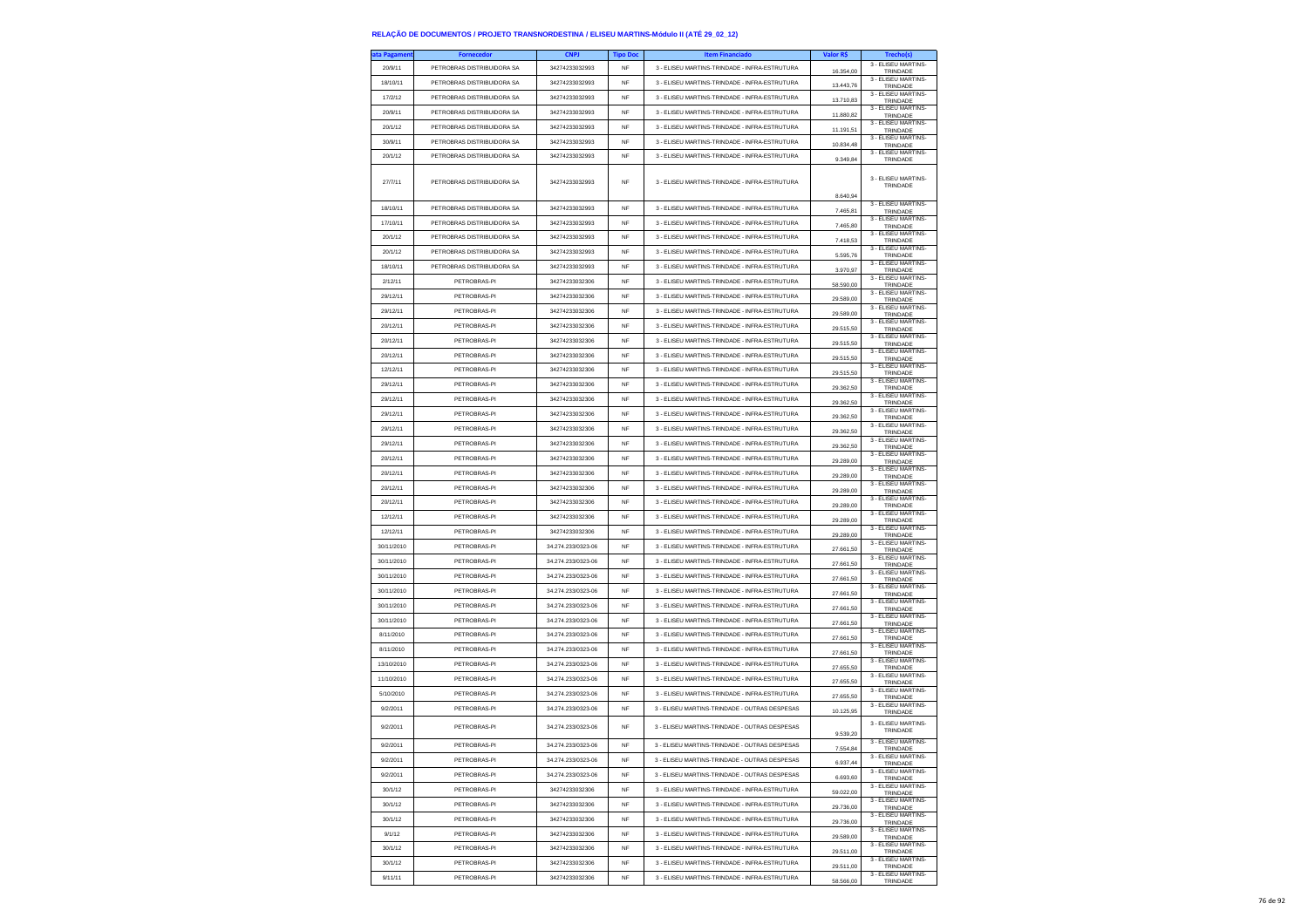| ıta Pagameni | <b>Fornecedor</b>          | <b>CNPJ</b>        | <b>Tipo Doc</b> | <b>Item Financiado</b>                        | Valor R\$ | Trecho(s)                       |
|--------------|----------------------------|--------------------|-----------------|-----------------------------------------------|-----------|---------------------------------|
| 20/9/11      | PETROBRAS DISTRIBUIDORA SA | 34274233032993     | <b>NF</b>       | 3 - ELISEU MARTINS-TRINDADE - INFRA-ESTRUTURA | 16,354.00 | 3 - ELISEU MARTINS-<br>TRINDADE |
| 18/10/11     | PETROBRAS DISTRIBUIDORA SA | 34274233032993     | NF              | 3 - ELISEU MARTINS-TRINDADE - INFRA-ESTRUTURA |           | 3 - ELISEU MARTINS-             |
| 17/2/12      | PETROBRAS DISTRIBUIDORA SA | 34274233032993     | <b>NF</b>       | 3 - ELISEU MARTINS-TRINDADE - INFRA-ESTRUTURA | 13.443,76 | TRINDADE<br>3 - ELISEU MARTINS- |
|              |                            |                    |                 |                                               | 13.710,83 | TRINDADE<br>3 - ELISEU MARTINS  |
| 20/9/11      | PETROBRAS DISTRIBUIDORA SA | 34274233032993     | <b>NF</b>       | 3 - ELISEU MARTINS-TRINDADE - INFRA-ESTRUTURA | 11,880.82 | TRINDADE<br>3 - ELISEU MARTINS- |
| 20/1/12      | PETROBRAS DISTRIBUIDORA SA | 34274233032993     | <b>NF</b>       | 3 - ELISEU MARTINS-TRINDADE - INFRA-ESTRUTURA | 11.191,51 | TRINDADE                        |
| 30/9/11      | PETROBRAS DISTRIBUIDORA SA | 34274233032993     | <b>NF</b>       | 3 - ELISEU MARTINS-TRINDADE - INFRA-ESTRUTURA | 10,834.48 | 3 - ELISEU MARTINS-<br>TRINDADE |
| 20/1/12      | PETROBRAS DISTRIBUIDORA SA | 34274233032993     | NF              | 3 - ELISEU MARTINS-TRINDADE - INFRA-ESTRUTURA | 9.349,84  | 3 - ELISEU MARTINS-<br>TRINDADE |
| 27/7/11      | PETROBRAS DISTRIBUIDORA SA | 34274233032993     | NF              | 3 - ELISEU MARTINS-TRINDADE - INFRA-ESTRUTURA | 8.640,94  | 3 - ELISEU MARTINS-<br>TRINDADE |
| 18/10/11     | PETROBRAS DISTRIBUIDORA SA | 34274233032993     | <b>NF</b>       | 3 - ELISEU MARTINS-TRINDADE - INFRA-ESTRUTURA | 7,465.81  | 3 - ELISEU MARTINS-<br>TRINDADE |
| 17/10/11     | PETROBRAS DISTRIBUIDORA SA | 34274233032993     | NF              | 3 - FLISELLMARTINS-TRINDADE - INFRA-ESTRUTURA | 7.465,80  | 3 - ELISEU MARTINS-<br>TRINDADE |
| 20/1/12      | PETROBRAS DISTRIBUIDORA SA | 34274233032993     | NF              | 3 - ELISEU MARTINS-TRINDADE - INFRA-ESTRUTURA |           | 3 - ELISEU MARTINS-             |
| 20/1/12      | PETROBRAS DISTRIBUIDORA SA | 34274233032993     | <b>NF</b>       | 3 - ELISEU MARTINS-TRINDADE - INFRA-ESTRUTURA | 7.418,53  | TRINDADE<br>3 - ELISEU MARTINS  |
|              | PETROBRAS DISTRIBUIDORA SA |                    |                 |                                               | 5,595.76  | TRINDADE<br>3 - ELISEU MARTINS- |
| 18/10/11     |                            | 34274233032993     | <b>NF</b>       | 3 - ELISEU MARTINS-TRINDADE - INFRA-ESTRUTURA | 3.970.97  | TRINDADE<br>3 - ELISEU MARTINS- |
| 2/12/11      | PETROBRAS-PI               | 34274233032306     | <b>NF</b>       | 3 - ELISEU MARTINS-TRINDADE - INFRA-ESTRUTURA | 58.590,00 | TRINDADE<br>3 - ELISEU MARTINS- |
| 29/12/11     | PETROBRAS-PI               | 34274233032306     | <b>NF</b>       | 3 - ELISEU MARTINS-TRINDADE - INFRA-ESTRUTURA | 29,589.00 | TRINDADE                        |
| 29/12/11     | PETROBRAS-PI               | 34274233032306     | <b>NF</b>       | 3 - ELISEU MARTINS-TRINDADE - INFRA-ESTRUTURA | 29.589,00 | 3 - ELISEU MARTINS-<br>TRINDADE |
| 20/12/11     | PETROBRAS-PI               | 34274233032306     | <b>NF</b>       | 3 - ELISEU MARTINS-TRINDADE - INFRA-ESTRUTURA | 29.515,50 | 3 - ELISEU MARTINS-<br>TRINDADE |
| 20/12/11     | PETROBRAS-PI               | 34274233032306     | <b>NF</b>       | 3 - ELISEU MARTINS-TRINDADE - INFRA-ESTRUTURA | 29.515.50 | 3 - ELISEU MARTINS<br>TRINDADE  |
| 20/12/11     | PETROBRAS-PI               | 34274233032306     | <b>NF</b>       | 3 - ELISEU MARTINS-TRINDADE - INFRA-ESTRUTURA |           | 3 - ELISEU MARTINS-             |
| 12/12/11     | PETROBRAS-PI               | 34274233032306     | <b>NF</b>       | 3 - ELISEU MARTINS-TRINDADE - INFRA-ESTRUTURA | 29.515,50 | TRINDADE<br>3 - ELISEU MARTINS- |
|              |                            |                    |                 |                                               | 29.515,50 | TRINDADE<br>3 - ELISEU MARTINS- |
| 29/12/11     | PETROBRAS-PI               | 34274233032306     | NF              | 3 - ELISEU MARTINS-TRINDADE - INFRA-ESTRUTURA | 29,362.50 | TRINDADE<br>3 - FLISEU MARTINS- |
| 29/12/11     | PETROBRAS-PI               | 34274233032306     | NF              | 3 - ELISEU MARTINS-TRINDADE - INFRA-ESTRUTURA | 29.362,50 | TRINDADE                        |
| 29/12/11     | PETROBRAS-PI               | 34274233032306     | <b>NF</b>       | 3 - ELISEU MARTINS-TRINDADE - INFRA-ESTRUTURA | 29,362.50 | 3 - ELISEU MARTINS-<br>TRINDADE |
| 29/12/11     | PETROBRAS-PI               | 34274233032306     | NF              | 3 - ELISEU MARTINS-TRINDADE - INFRA-ESTRUTURA | 29.362,50 | 3 - ELISEU MARTINS-<br>TRINDADE |
| 29/12/11     | PETROBRAS-PI               | 34274233032306     | <b>NF</b>       | 3 - ELISEU MARTINS-TRINDADE - INFRA-ESTRUTURA | 29.362,50 | 3 - FLISEU MARTINS-<br>TRINDADE |
| 20/12/11     | PETROBRAS-PI               | 34274233032306     | <b>NF</b>       | 3 - ELISEU MARTINS-TRINDADE - INFRA-ESTRUTURA |           | 3 - ELISEU MARTINS-             |
| 20/12/11     | PETROBRAS-P                | 34274233032306     | NF              | 3 - ELISEU MARTINS-TRINDADE - INFRA-ESTRUTURA | 29.289,00 | TRINDADE<br>3 - ELISEU MARTINS- |
| 20/12/11     | PETROBRAS-PI               | 34274233032306     | <b>NF</b>       | 3 - ELISEU MARTINS-TRINDADE - INFRA-ESTRUTURA | 29.289,00 | TRINDADE<br>3 - ELISEU MARTINS- |
|              |                            |                    |                 |                                               | 29.289,00 | TRINDADE<br>3 - ELISEU MARTINS- |
| 20/12/11     | PETROBRAS-PI               | 34274233032306     | NF              | 3 - ELISEU MARTINS-TRINDADE - INFRA-ESTRUTURA | 29.289,00 | TRINDADE<br>3 - ELISEU MARTINS  |
| 12/12/11     | PETROBRAS-PI               | 34274233032306     | NF              | 3 - ELISEU MARTINS-TRINDADE - INFRA-ESTRUTURA | 29,289.00 | TRINDADE                        |
| 12/12/11     | PETROBRAS-PI               | 34274233032306     | <b>NF</b>       | 3 - ELISEU MARTINS-TRINDADE - INFRA-ESTRUTURA | 29,289.00 | 3 - ELISEU MARTINS-<br>TRINDADE |
| 30/11/2010   | PETROBRAS-PI               | 34.274.233/0323-06 | <b>NF</b>       | 3 - ELISEU MARTINS-TRINDADE - INFRA-ESTRUTURA | 27.661,50 | 3 - ELISEU MARTINS-<br>TRINDADE |
| 30/11/2010   | PETROBRAS-PI               | 34.274.233/0323-06 | NF              | 3 - ELISEU MARTINS-TRINDADE - INFRA-ESTRUTURA | 27.661,50 | 3 - ELISEU MARTINS-<br>TRINDADE |
| 30/11/2010   | PETROBRAS-PI               | 34.274.233/0323-06 | <b>NF</b>       | 3 - ELISEU MARTINS-TRINDADE - INFRA-ESTRUTURA | 27.661.50 | 3 - ELISEU MARTINS-<br>TRINDADE |
| 30/11/2010   | PETROBRAS-PI               | 34.274.233/0323-06 | NF              | 3 - ELISEU MARTINS-TRINDADE - INFRA-ESTRUTURA |           | 3 - ELISEU MARTINS-             |
| 30/11/2010   | PETROBRAS-PI               | 34.274.233/0323-06 | NF              | 3 - ELISEU MARTINS-TRINDADE - INFRA-ESTRUTURA | 27.661,50 | TRINDADE<br>3 - ELISEU MARTINS- |
|              |                            |                    |                 |                                               | 27.661,50 | TRINDADE<br>3 - ELISEU MARTINS- |
| 30/11/2010   | PETROBRAS-PI               | 34.274.233/0323-06 | <b>NF</b>       | 3 - ELISEU MARTINS-TRINDADE - INFRA-ESTRUTURA | 27.661.50 | TRINDADE<br>3 - ELISEU MARTINS- |
| 8/11/2010    | PETROBRAS-PI               | 34.274.233/0323-06 | <b>NF</b>       | 3 - ELISEU MARTINS-TRINDADE - INFRA-ESTRUTURA | 27.661,50 | TRINDADE                        |
| 8/11/2010    | PETROBRAS-PI               | 34.274.233/0323-06 | NF              | 3 - ELISEU MARTINS-TRINDADE - INFRA-ESTRUTURA | 27.661,50 | 3 - ELISEU MARTINS-<br>TRINDADE |
| 13/10/2010   | PETROBRAS-PI               | 34.274.233/0323-06 | <b>NF</b>       | 3 - ELISEU MARTINS-TRINDADE - INFRA-ESTRUTURA | 27,655.50 | 3 - ELISEU MARTINS-<br>TRINDADE |
| 11/10/2010   | PETROBRAS-PI               | 34.274.233/0323-06 | NF              | 3 - ELISEU MARTINS-TRINDADE - INFRA-ESTRUTURA | 27.655,50 | 3 - ELISEU MARTINS-<br>TRINDADE |
| 5/10/2010    | PETROBRAS-PI               | 34.274.233/0323-06 | <b>NF</b>       | 3 - ELISEU MARTINS-TRINDADE - INFRA-ESTRUTURA | 27.655,50 | 3 - ELISEU MARTINS-<br>TRINDADE |
| 9/2/2011     | PETROBRAS-PI               | 34.274.233/0323-06 | <b>NF</b>       | 3 - ELISEU MARTINS-TRINDADE - OUTRAS DESPESAS | 10.125.95 | 3 - ELISEU MARTINS-<br>TRINDADE |
| 9/2/2011     | PETROBRAS-PI               | 34.274.233/0323-06 | <b>NF</b>       | 3 - ELISEU MARTINS-TRINDADE - OUTRAS DESPESAS | 9.539,20  | 3 - ELISEU MARTINS-<br>TRINDADE |
| 9/2/2011     | PETROBRAS-PI               | 34.274.233/0323-06 | NF              | 3 - ELISEU MARTINS-TRINDADE - OUTRAS DESPESAS |           | 3 - ELISEU MARTINS-             |
| 9/2/2011     | PETROBRAS-PI               | 34.274.233/0323-06 | <b>NF</b>       | 3 - ELISEU MARTINS-TRINDADE - OUTRAS DESPESAS | 7.554.84  | TRINDADE<br>3 - ELISEU MARTINS- |
| 9/2/2011     | PETROBRAS-PI               | 34.274.233/0323-06 | NF              | 3 - ELISEU MARTINS-TRINDADE - OUTRAS DESPESAS | 6.937,44  | TRINDADE<br>3 - ELISEU MARTINS- |
|              |                            |                    |                 |                                               | 6.693,60  | TRINDADE<br>3 - ELISEU MARTINS- |
| 30/1/12      | PETROBRAS-PI               | 34274233032306     | NF              | 3 - ELISEU MARTINS-TRINDADE - INFRA-ESTRUTURA | 59.022,00 | TRINDADE<br>3 - ELISEU MARTINS- |
| 30/1/12      | PETROBRAS-PI               | 34274233032306     | NF              | 3 - ELISEU MARTINS-TRINDADE - INFRA-ESTRUTURA | 29.736.00 | TRINDADE                        |
| 30/1/12      | PETROBRAS-PI               | 34274233032306     | NF              | 3 - ELISEU MARTINS-TRINDADE - INFRA-ESTRUTURA | 29.736,00 | 3 - ELISEU MARTINS-<br>TRINDADE |
| 9/1/12       | PETROBRAS-PI               | 34274233032306     | NF              | 3 - ELISEU MARTINS-TRINDADE - INFRA-ESTRUTURA | 29.589,00 | 3 - ELISEU MARTINS-<br>TRINDADE |
| 30/1/12      | PETROBRAS-PI               | 34274233032306     | <b>NF</b>       | 3 - FLISEU MARTINS-TRINDADE - INFRA-ESTRUTURA | 29.511.00 | 3 - ELISEU MARTINS-<br>TRINDADE |
| 30/1/12      | PETROBRAS-PI               | 34274233032306     | NF              | 3 - ELISEU MARTINS-TRINDADE - INFRA-ESTRUTURA | 29.511,00 | 3 - ELISEU MARTINS-<br>TRINDADE |
| 9/11/11      | PETROBRAS-PI               | 34274233032306     | NF              | 3 - ELISEU MARTINS-TRINDADE - INFRA-ESTRUTURA |           | 3 - ELISEU MARTINS-             |
|              |                            |                    |                 |                                               | 58.566,00 | TRINDADE                        |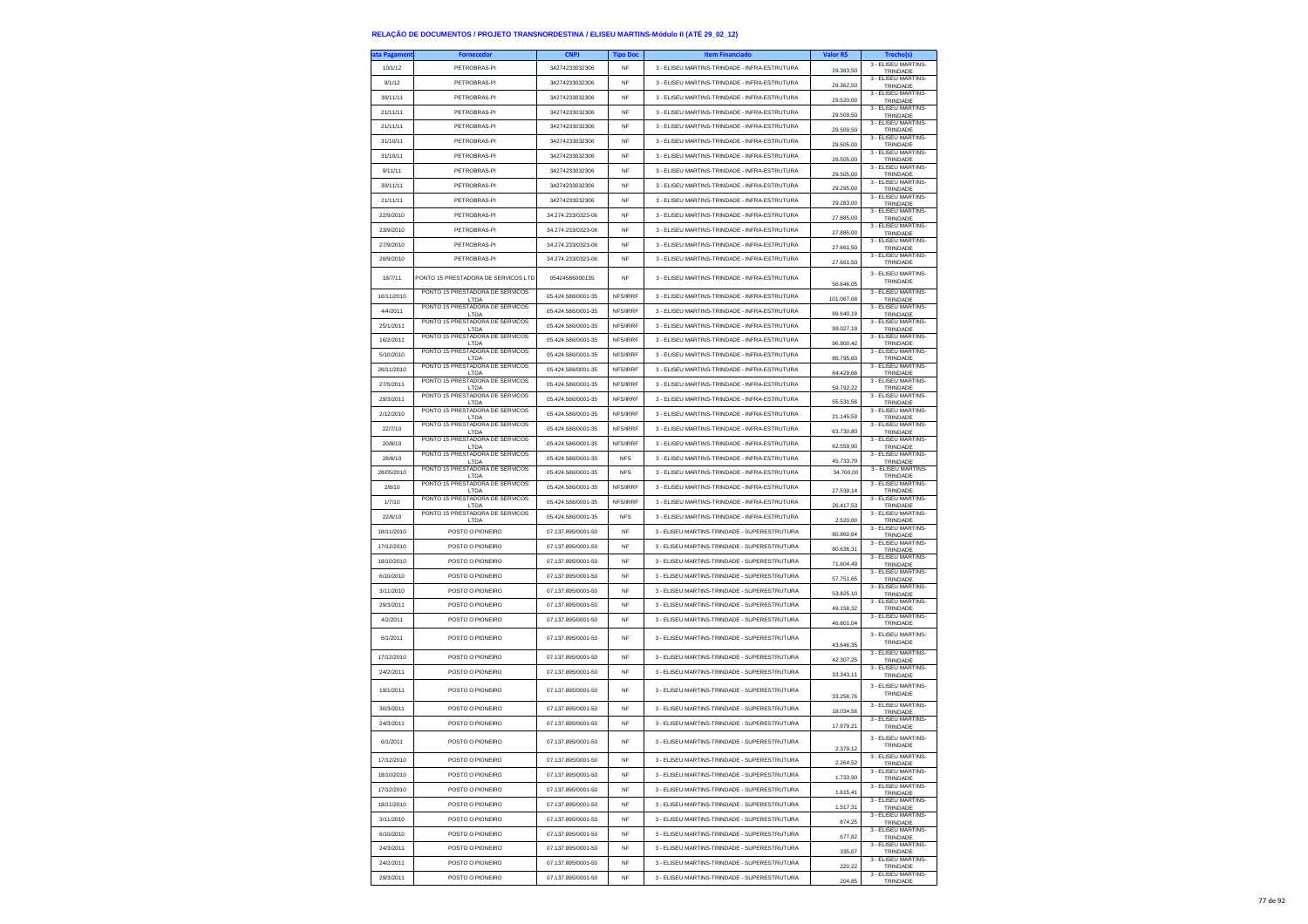| ta Pagamen           | <b>Fornecedor</b>                        | <b>CNPJ</b>                              | <b>Tipo Dor</b>         | <b>Item Financiado</b>                                                                         | Valor R\$              | <b>Trecho(s</b>                 |
|----------------------|------------------------------------------|------------------------------------------|-------------------------|------------------------------------------------------------------------------------------------|------------------------|---------------------------------|
| 10/1/12              | PETROBRAS-PI                             | 34274233032306                           | <b>NF</b>               | 3 - ELISEU MARTINS-TRINDADE - INFRA-ESTRUTURA                                                  | 29.383,50              | 3 - ELISEU MARTINS-<br>TRINDADE |
| 9/1/12               | PETROBRAS-PI                             | 34274233032306                           | NF                      | 3 - ELISEU MARTINS-TRINDADE - INFRA-ESTRUTURA                                                  | 29.362,50              | 3 - ELISEU MARTINS-             |
| 30/11/11             | PETROBRAS-PI                             | 34274233032306                           | <b>NF</b>               | 3 - ELISEU MARTINS-TRINDADE - INFRA-ESTRUTURA                                                  |                        | TRINDADE<br>3 - ELISEU MARTINS- |
| 21/11/11             | PETROBRAS-PI                             | 34274233032306                           | NF                      | 3 - ELISEU MARTINS-TRINDADE - INFRA-ESTRUTURA                                                  | 29,520.00              | TRINDADE<br>3 - ELISEU MARTINS- |
| 21/11/11             | PETROBRAS-PI                             | 34274233032306                           | <b>NF</b>               | 3 - ELISEU MARTINS-TRINDADE - INFRA-ESTRUTURA                                                  | 29.509,50              | TRINDADE<br>3 - ELISEU MARTINS- |
|                      |                                          |                                          |                         |                                                                                                | 29.509,50              | TRINDADE<br>3 - ELISEU MARTINS- |
| 31/10/11             | PETROBRAS-PI                             | 34274233032306                           | <b>NF</b>               | 3 - ELISEU MARTINS-TRINDADE - INFRA-ESTRUTURA                                                  | 29,505.00              | TRINDADE<br>3 - ELISEU MARTINS- |
| 31/10/11             | PETROBRAS-PI                             | 34274233032306                           | <b>NF</b>               | 3 - ELISEU MARTINS-TRINDADE - INFRA-ESTRUTURA                                                  | 29,505.00              | TRINDADE<br>3 - ELISEU MARTINS- |
| 9/11/11              | PETROBRAS-PI                             | 34274233032306                           | <b>NF</b>               | 3 - ELISEU MARTINS-TRINDADE - INFRA-ESTRUTURA                                                  | 29.505,00              | TRINDADE<br>3 - ELISEU MARTINS- |
| 30/11/11             | PETROBRAS-PI                             | 34274233032306                           | <b>NF</b>               | 3 - ELISEU MARTINS-TRINDADE - INFRA-ESTRUTURA                                                  | 29,295.00              | TRINDADE                        |
| 21/11/11             | PETROBRAS-PI                             | 34274233032306                           | <b>NF</b>               | 3 - ELISEU MARTINS-TRINDADE - INFRA-ESTRUTURA                                                  | 29.283,00              | 3 - ELISEU MARTINS-<br>TRINDADE |
| 22/9/2010            | PETROBRAS-PI                             | 34 274 233/0323-06                       | <b>NF</b>               | 3 - ELISEU MARTINS-TRINDADE - INFRA-ESTRUTURA                                                  | 27.885,00              | 3 - ELISEU MARTINS-<br>TRINDADE |
| 23/9/2010            | PETROBRAS-PI                             | 34.274.233/0323-06                       | NF                      | 3 - ELISEU MARTINS-TRINDADE - INFRA-ESTRUTURA                                                  | 27,885.00              | 3 - FLISEU MARTINS-<br>TRINDADE |
| 27/9/2010            | PETROBRAS-PI                             | 34.274.233/0323-06                       | <b>NF</b>               | 3 - ELISEU MARTINS-TRINDADE - INFRA-ESTRUTURA                                                  | 27.661,50              | 3 - ELISEU MARTINS-<br>TRINDADE |
| 28/9/2010            | PFTROBRAS-PI                             | 34 274 233/0323-06                       | <b>NF</b>               | 3 - ELISEU MARTINS-TRINDADE - INFRA-ESTRUTURA                                                  | 27.661,50              | 3 - ELISEU MARTINS-<br>TRINDADE |
| 18/7/11              | PONTO 15 PRESTADORA DE SERVICOS LTD      | 05424586000135                           | NF                      | 3 - ELISEU MARTINS-TRINDADE - INFRA-ESTRUTURA                                                  | 56.646.05              | 3 - ELISEU MARTINS-<br>TRINDADE |
| 16/11/2010           | PONTO 15 PRESTADORA DE SERVICOS<br>LTDA  | 05.424.586/0001-35                       | NFS/IRRF                | 3 - ELISEU MARTINS-TRINDADE - INFRA-ESTRUTURA                                                  | 101.067,68             | 3 - ELISEU MARTINS-<br>TRINDADE |
| 4/4/2011             | PONTO 15 PRESTADORA DE SERVICOS          | 05.424.586/0001-35                       | NFS/IRRF                | 3 - ELISEU MARTINS-TRINDADE - INFRA-ESTRUTURA                                                  | 99.640,19              | 3 - ELISEU MARTINS-             |
| 25/1/2011            | LTDA<br>PONTO 15 PRESTADORA DE SERVICOS  | 05.424.586/0001-35                       | NFS/IRRF                | 3 - ELISEU MARTINS-TRINDADE - INFRA-ESTRUTURA                                                  | 99.027.19              | TRINDADE<br>3 - ELISEU MARTINS- |
| 16/2/2011            | LTDA<br>PONTO 15 PRESTADORA DE SERVICOS  | 05.424.586/0001-35                       | NFS/IRRF                | 3 - ELISEU MARTINS-TRINDADE - INFRA-ESTRUTURA                                                  | 96.900,42              | TRINDADE<br>3 - ELISEU MARTINS- |
| 5/10/2010            | LTDA<br>PONTO 15 PRESTADORA DE SERVICOS  | 05.424.586/0001-35                       | NFS/IRRF                | 3 - ELISEU MARTINS-TRINDADE - INFRA-ESTRUTURA                                                  |                        | TRINDADE<br>3 - ELISEU MARTINS- |
| 26/11/2010           | LTDA<br>PONTO 15 PRESTADORA DE SERVICOS  | 05.424.586/0001-35                       | NFS/IRRF                | 3 - ELISEU MARTINS-TRINDADE - INFRA-ESTRUTURA                                                  | 86.795,60              | TRINDADE<br>3 - FLISEU MARTINS- |
| 27/5/2011            | LTDA<br>PONTO 15 PRESTADORA DE SERVICOS  | 05.424.586/0001-35                       | NFS/IRRF                | 3 - ELISEU MARTINS-TRINDADE - INFRA-ESTRUTURA                                                  | 84 429 66              | TRINDADE<br>3 - ELISEU MARTINS- |
| 29/3/2011            | LTDA<br>PONTO 15 PRESTADORA DE SERVICOS  | 05.424.586/0001-35                       | NFS/IRRF                | 3 - ELISEU MARTINS-TRINDADE - INFRA-ESTRUTURA                                                  | 59.792,22              | TRINDADE<br>3 - ELISEU MARTINS- |
| 2/12/2010            | LTDA<br>PONTO 15 PRESTADORA DE SERVICOS  | 05.424.586/0001-35                       | NFS/IRRF                | 3 - ELISEU MARTINS-TRINDADE - INFRA-ESTRUTURA                                                  | 55.531,56              | TRINDADE<br>3 - FLISEU MARTINS- |
| 22/7/10              | LTDA<br>PONTO 15 PRESTADORA DE SERVICOS  | 05 424 586/0001-35                       | NFS/IRRF                | 3 - ELISEU MARTINS-TRINDADE - INFRA-ESTRUTURA                                                  | 21 145 59              | TRINDADE<br>3 - ELISEU MARTINS- |
| 20/8/10              | LTDA<br>PONTO 15 PRESTADORA DE SERVICOS  | 05.424.586/0001-35                       | NFS/IRRF                | 3 - ELISEU MARTINS-TRINDADE - INFRA-ESTRUTURA                                                  | 63.730,80              | TRINDADE<br>3 - FLISEU MARTINS  |
| 28/6/10              | LTDA<br>PONTO 15 PRESTADORA DE SERVICOS  | 05.424.586/0001-35                       | <b>NFS</b>              | 3 - ELISEU MARTINS-TRINDADE - INFRA-ESTRUTURA                                                  | 62.559,90              | TRINDADE<br>3 - ELISEU MARTINS- |
|                      | I TDA<br>PONTO 15 PRESTADORA DE SERVICOS |                                          |                         |                                                                                                | 45 733 70<br>34 700 00 | TRINDADE<br>3 - ELISEU MARTINS- |
| 28/05/2010<br>2/8/10 | LTDA<br>PONTO 15 PRESTADORA DE SERVICOS  | 05.424.586/0001-35<br>05.424.586/0001-35 | <b>NFS</b><br>NES/IRRE  | 3 - ELISEU MARTINS-TRINDADE - INFRA-ESTRUTURA<br>3 - ELISEU MARTINS-TRINDADE - INFRA-ESTRUTURA |                        | TRINDADE<br>3 - ELISEU MARTINS- |
| 1/7/10               | LTDA<br>PONTO 15 PRESTADORA DE SERVICOS  | 05.424.586/0001-35                       | NFS/IRRF                | 3 - ELISEU MARTINS-TRINDADE - INFRA-ESTRUTURA                                                  | 27.539,14              | TRINDADE<br>3 - FLISEU MARTINS- |
|                      | I TDA<br>PONTO 15 PRESTADORA DE SERVICOS |                                          |                         |                                                                                                | 26.417.53              | TRINDADE<br>3 - ELISEU MARTINS- |
| 22/6/10              | LTD/                                     | 05.424.586/0001-35                       | <b>NFS</b><br><b>NF</b> | 3 - ELISEU MARTINS-TRINDADE - INFRA-ESTRUTURA                                                  | 2.520,00               | TRINDADE<br>3 - ELISEU MARTINS- |
| 18/11/2010           | POSTO O PIONEIRO                         | 07.137.895/0001-50                       |                         | 3 - ELISEU MARTINS-TRINDADE - SUPERESTRUTURA                                                   | 80.860,64              | TRINDADE<br>3 - ELISEU MARTINS  |
| 17/12/2010           | POSTO O PIONEIRO                         | 07.137.895/0001-50                       | NF                      | 3 - ELISEU MARTINS-TRINDADE - SUPERESTRUTURA                                                   | 80.636,31              | TRINDADE<br>3 - ELISEU MARTINS- |
| 18/10/2010           | POSTO O PIONEIRO                         | 07.137.895/0001-50                       | <b>NF</b>               | 3 - ELISEU MARTINS-TRINDADE - SUPERESTRUTURA                                                   | 71.604,49              | TRINDADE<br>3 - ELISEU MARTINS- |
| 6/10/2010            | POSTO O PIONEIRO                         | 07.137.895/0001-50                       | NF                      | 3 - ELISEU MARTINS-TRINDADE - SUPERESTRUTURA                                                   | 57.751,65              | TRINDADE<br>3 - ELISEU MARTINS- |
| 3/11/2010            | POSTO O PIONEIRO                         | 07.137.895/0001-50                       | NF                      | 3 - ELISEU MARTINS-TRINDADE - SUPERESTRUTURA                                                   | 53.825,10              | TRINDADE<br>3 - ELISEU MARTINS- |
| 29/3/2011            | POSTO O PIONEIRO                         | 07.137.895/0001-50                       | <b>NF</b>               | 3 - ELISEU MARTINS-TRINDADE - SUPERESTRUTURA                                                   | 49.158,32              | TRINDADE<br>3 - ELISEU MARTINS- |
| 4/2/2011             | POSTO O PIONEIRO                         | 07.137.895/0001-50                       | NF                      | 3 - ELISEU MARTINS-TRINDADE - SUPERESTRUTURA                                                   | 46.801,04              | TRINDADE                        |
| 6/1/2011             | POSTO O PIONEIRO                         | 07.137.895/0001-50                       | <b>NF</b>               | 3 - ELISEU MARTINS-TRINDADE - SUPERESTRUTURA                                                   | 43.646,35              | 3 - ELISEU MARTINS-<br>TRINDADE |
| 17/12/2010           | POSTO O PIONEIRO                         | 07.137.895/0001-50                       | <b>NF</b>               | 3 - ELISEU MARTINS-TRINDADE - SUPERESTRUTURA                                                   | 42.307,25              | 3 - ELISEU MARTINS-<br>TRINDADE |
| 24/2/2011            | POSTO O PIONEIRO                         | 07.137.895/0001-50                       | NF                      | 3 - ELISEU MARTINS-TRINDADE - SUPERESTRUTURA                                                   | 33.343,11              | 3 - ELISEU MARTINS-<br>TRINDADE |
| 19/1/2011            | POSTO O PIONEIRO                         | 07.137.895/0001-50                       | <b>NF</b>               | 3 - ELISEU MARTINS-TRINDADE - SUPERESTRUTURA                                                   | 33.256,76              | 3 - ELISEU MARTINS<br>TRINDADE  |
| 30/3/2011            | POSTO O PIONEIRO                         | 07 137 895/0001-50                       | NF                      | 3 - ELISEU MARTINS-TRINDADE - SUPERESTRUTURA                                                   | 18,034.56              | 3 - ELISEU MARTINS-<br>TRINDADE |
| 24/3/2011            | POSTO O PIONEIRO                         | 07.137.895/0001-50                       | NF                      | 3 - ELISEU MARTINS-TRINDADE - SUPERESTRUTURA                                                   | 17.979.21              | 3 - FLISEU MARTINS-<br>TRINDADE |
| 6/1/2011             | POSTO O PIONEIRO                         | 07.137.895/0001-50                       | NF                      | 3 - ELISEU MARTINS-TRINDADE - SUPERESTRUTURA                                                   | 2.379.12               | 3 - FLISEU MARTINS<br>TRINDADE  |
| 17/12/2010           | POSTO O PIONEIRO                         | 07.137.895/0001-50                       | NF                      | 3 - ELISEU MARTINS-TRINDADE - SUPERESTRUTURA                                                   | 2.264,52               | 3 - ELISEU MARTINS-<br>TRINDADE |
| 18/10/2010           | POSTO O PIONEIRO                         | 07.137.895/0001-50                       | <b>NF</b>               | 3 - ELISEU MARTINS-TRINDADE - SUPERESTRUTURA                                                   | 1.733.90               | 3 - FLISEU MARTINS-<br>TRINDADE |
| 17/12/2010           | POSTO O PIONEIRO                         | 07.137.895/0001-50                       | NF                      | 3 - ELISEU MARTINS-TRINDADE - SUPERESTRUTURA                                                   | 1.615,41               | 3 - ELISEU MARTINS-<br>TRINDADE |
| 18/11/2010           | POSTO O PIONEIRO                         | 07.137.895/0001-50                       | <b>NF</b>               | 3 - ELISEU MARTINS-TRINDADE - SUPERESTRUTURA                                                   | 1.517,31               | 3 - ELISEU MARTINS<br>TRINDADE  |
| 3/11/2010            | POSTO O PIONEIRO                         | 07.137.895/0001-50                       | NF                      | 3 - ELISEU MARTINS-TRINDADE - SUPERESTRUTURA                                                   | 874,25                 | 3 - ELISEU MARTINS-<br>TRINDADE |
| 6/10/2010            | POSTO O PIONEIRO                         | 07.137.895/0001-50                       | NF                      | 3 - ELISEU MARTINS-TRINDADE - SUPERESTRUTURA                                                   | 677,82                 | 3 - FLISELLMARTINS-<br>TRINDADE |
| 24/3/2011            | POSTO O PIONEIRO                         | 07.137.895/0001-50                       | NF                      | 3 - ELISEU MARTINS-TRINDADE - SUPERESTRUTURA                                                   | 335,07                 | 3 - ELISEU MARTINS-<br>TRINDADE |
| 24/2/2011            | POSTO O PIONEIRO                         | 07.137.895/0001-50                       | NF                      | 3 - ELISEU MARTINS-TRINDADE - SUPERESTRUTURA                                                   | 220.22                 | 3 - ELISEU MARTINS-<br>TRINDADE |
| 29/3/2011            | POSTO O PIONEIRO                         | 07 137 895/0001-50                       | <b>NF</b>               | 3 - ELISEU MARTINS-TRINDADE - SUPERESTRUTURA                                                   | 204,85                 | 3 - FLISEU MARTINS-<br>TRINDADE |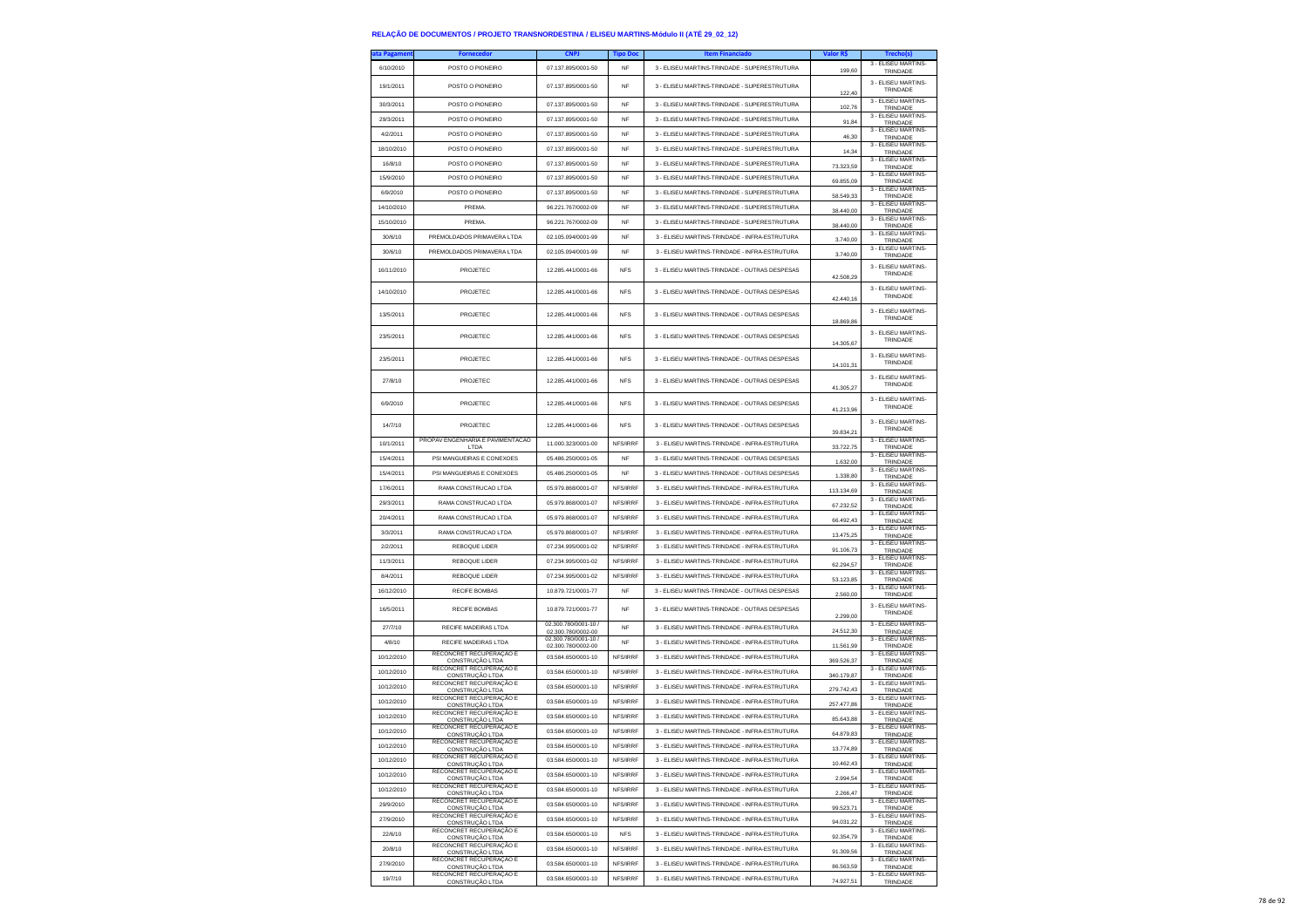| ata Pagameni          | <b>Fornecedor</b>                                        | <b>CNPJ</b>                                | <b>Tipo Doc</b> | <b>Item Financiado</b>                        | Valor R\$  |                                 |
|-----------------------|----------------------------------------------------------|--------------------------------------------|-----------------|-----------------------------------------------|------------|---------------------------------|
| 6/10/2010             | POSTO O PIONEIRO                                         | 07.137.895/0001-50                         | <b>NF</b>       | 3 - ELISEU MARTINS-TRINDADE - SUPERESTRUTURA  | 199,60     | 3 - ELISEU MARTINS-<br>TRINDADE |
| 19/1/2011             | POSTO O PIONEIRO                                         | 07.137.895/0001-50                         | NF              | 3 - ELISEU MARTINS-TRINDADE - SUPERESTRUTURA  |            | 3 - ELISEU MARTINS-             |
|                       |                                                          |                                            |                 |                                               | 122.40     | TRINDADE<br>3 - FLISEU MARTINS- |
| 30/3/2011             | POSTO O PIONEIRO                                         | 07.137.895/0001-50                         | <b>NF</b>       | 3 - ELISEU MARTINS-TRINDADE - SUPERESTRUTURA  | 102,76     | TRINDADE<br>3 - ELISEU MARTINS- |
| 29/3/2011             | POSTO O PIONEIRO                                         | 07.137.895/0001-50                         | <b>NF</b>       | 3 - ELISEU MARTINS-TRINDADE - SUPERESTRUTURA  | 91,84      | TRINDADE<br>3 - ELISEU MARTINS- |
| 4/2/2011              | POSTO O PIONEIRO                                         | 07.137.895/0001-50                         | NF              | 3 - ELISEU MARTINS-TRINDADE - SUPERESTRUTURA  | 46,30      | TRINDADE<br>3 - FLISEU MARTINS- |
| 18/10/2010            | POSTO O PIONEIRO                                         | 07.137.895/0001-50                         | <b>NF</b>       | 3 - ELISEU MARTINS-TRINDADE - SUPERESTRUTURA  | 14.34      | TRINDADE<br>3 - ELISEU MARTINS- |
| 16/8/10               | POSTO O PIONEIRO                                         | 07.137.895/0001-50                         | <b>NF</b>       | 3 - ELISEU MARTINS-TRINDADE - SUPERESTRUTURA  | 73.323,59  | TRINDADE<br>3 - ELISEU MARTINS- |
| 15/9/2010             | POSTO O PIONEIRO                                         | 07.137.895/0001-50                         | NF              | 3 - ELISEU MARTINS-TRINDADE - SUPERESTRUTURA  | 69.855,09  | TRINDADE<br>3 - ELISEU MARTINS  |
| 6/9/2010              | POSTO O PIONEIRO                                         | 07.137.895/0001-50                         | <b>NF</b>       | 3 - ELISEU MARTINS-TRINDADE - SUPERESTRUTURA  | 58,549.33  | TRINDADE<br>3 - ELISEU MARTINS- |
| 14/10/2010            | PREMA.                                                   | 96 221 767/0002-09                         | <b>NF</b>       | 3 - ELISEU MARTINS-TRINDADE - SUPERESTRUTURA  | 38,440.00  | TRINDADE<br>3 - ELISEU MARTINS- |
| 15/10/2010<br>30/6/10 | PREMA.                                                   | 96.221.767/0002-09                         | NF              | 3 - ELISEU MARTINS-TRINDADE - SUPERESTRUTURA  | 38.440,00  | TRINDADE<br>3 - ELISEU MARTINS- |
|                       | PREMOLDADOS PRIMAVERA LTDA<br>PREMOLDADOS PRIMAVERA LTDA | 02.105.094/0001-99<br>02.105.094/0001-99   | NF              | 3 - ELISEU MARTINS-TRINDADE - INFRA-ESTRUTURA | 3.740.00   | TRINDADE<br>3 - ELISEU MARTINS- |
| 30/6/10               |                                                          |                                            | NF              | 3 - ELISEU MARTINS-TRINDADE - INFRA-ESTRUTURA | 3.740,00   | TRINDADE                        |
| 16/11/2010            | PROJETEC                                                 | 12 285 441/0001-66                         | <b>NFS</b>      | 3 - ELISEU MARTINS-TRINDADE - OUTRAS DESPESAS | 42.508,29  | 3 - ELISEU MARTINS-<br>TRINDADE |
| 14/10/2010            | PROJETEC                                                 | 12.285.441/0001-66                         | <b>NFS</b>      | 3 - ELISEU MARTINS-TRINDADE - OUTRAS DESPESAS | 42.440,16  | 3 - ELISEU MARTINS-<br>TRINDADE |
| 13/5/2011             | PROJETEC                                                 | 12.285.441/0001-66                         | <b>NFS</b>      | 3 - ELISEU MARTINS-TRINDADE - OUTRAS DESPESAS | 18,869.86  | 3 - ELISEU MARTINS-<br>TRINDADE |
| 23/5/2011             | PROJETEC                                                 | 12.285.441/0001-66                         | <b>NFS</b>      | 3 - ELISEU MARTINS-TRINDADE - OUTRAS DESPESAS | 14.305,67  | 3 - ELISEU MARTINS<br>TRINDADE  |
| 23/5/2011             | PROJETEC                                                 | 12.285.441/0001-66                         | <b>NFS</b>      | 3 - ELISEU MARTINS-TRINDADE - OUTRAS DESPESAS | 14.101,31  | 3 - ELISEU MARTINS-<br>TRINDADE |
| 27/8/10               | PROJETEC                                                 | 12.285.441/0001-66                         | <b>NFS</b>      | 3 - ELISEU MARTINS-TRINDADE - OUTRAS DESPESAS | 41.305,27  | 3 - FLISEU MARTINS-<br>TRINDADE |
| 6/9/2010              | PROJETEC                                                 | 12.285.441/0001-66                         | <b>NFS</b>      | 3 - ELISEU MARTINS-TRINDADE - OUTRAS DESPESAS | 41 213 96  | 3 - ELISEU MARTINS-<br>TRINDADE |
| 14/7/10               | PROJETEC                                                 | 12.285.441/0001-66                         | <b>NFS</b>      | 3 - ELISEU MARTINS-TRINDADE - OUTRAS DESPESAS | 39.834,21  | 3 - ELISEU MARTINS<br>TRINDADE  |
| 10/1/2011             | PROPAV ENGENHARIA E PAVIMENTACAO<br>LTDA                 | 11.000.323/0001-00                         | NFS/IRRF        | 3 - ELISEU MARTINS-TRINDADE - INFRA-ESTRUTURA | 33.722,75  | 3 - ELISEU MARTINS<br>TRINDADE  |
| 15/4/2011             | PSI MANGUEIRAS E CONEXOES                                | 05.486.250/0001-05                         | <b>NF</b>       | 3 - ELISEU MARTINS-TRINDADE - OUTRAS DESPESAS | 1.632,00   | 3 - ELISEU MARTINS-<br>TRINDADE |
| 15/4/2011             | PSI MANGUEIRAS E CONEXOES                                | 05.486.250/0001-05                         | <b>NF</b>       | 3 - ELISEU MARTINS-TRINDADE - OUTRAS DESPESAS | 1.338,80   | 3 - ELISEU MARTINS-<br>TRINDADE |
| 17/6/2011             | RAMA CONSTRUCAO LTDA                                     | 05.979.868/0001-07                         | NFS/IRRF        | 3 - ELISEU MARTINS-TRINDADE - INFRA-ESTRUTURA | 113.134,69 | 3 - ELISEU MARTINS-<br>TRINDADE |
| 29/3/2011             | RAMA CONSTRUCAO LTDA                                     | 05.979.868/0001-07                         | NFS/IRRF        | 3 - ELISEU MARTINS-TRINDADE - INFRA-ESTRUTURA | 67.232,52  | 3 - FLISEU MARTINS-<br>TRINDADE |
| 20/4/2011             | RAMA CONSTRUCAO LTDA                                     | 05.979.868/0001-07                         | NFS/IRRF        | 3 - ELISEU MARTINS-TRINDADE - INFRA-ESTRUTURA | 66.492,43  | 3 - ELISEU MARTINS-<br>TRINDADE |
| 3/3/2011              | RAMA CONSTRUCAO LTDA                                     | 05.979.868/0001-07                         | NFS/IRRF        | 3 - ELISEU MARTINS-TRINDADE - INFRA-ESTRUTURA | 13.475,25  | 3 - ELISEU MARTINS-<br>TRINDADE |
| 2/2/2011              | REBOQUE LIDER                                            | 07.234.995/0001-02                         | NFS/IRRF        | 3 - ELISEU MARTINS-TRINDADE - INFRA-ESTRUTURA | 91.106,73  | 3 - ELISEU MARTINS-<br>TRINDADE |
| 11/3/2011             | <b>REBOQUE LIDER</b>                                     | 07.234.995/0001-02                         | NFS/IRRF        | 3 - ELISEU MARTINS-TRINDADE - INFRA-ESTRUTURA | 62.294,57  | 3 - ELISEU MARTINS-<br>TRINDADE |
| 8/4/2011              | REBOQUE LIDER                                            | 07.234.995/0001-02                         | NFS/IRRF        | 3 - ELISEU MARTINS-TRINDADE - INFRA-ESTRUTURA | 53.123,85  | 3 - ELISEU MARTINS-<br>TRINDADE |
| 16/12/2010            | RECIFE BOMBAS                                            | 10.879.721/0001-77                         | <b>NF</b>       | 3 - ELISEU MARTINS-TRINDADE - OUTRAS DESPESAS | 2,560.00   | 3 - ELISEU MARTINS-<br>TRINDADE |
| 16/5/2011             | RECIFE BOMBAS                                            | 10.879.721/0001-77                         | NF              | 3 - ELISEU MARTINS-TRINDADE - OUTRAS DESPESAS | 2.299,00   | 3 - ELISEU MARTINS-<br>TRINDADE |
| 27/7/10               | RECIFE MADEIRAS LTDA                                     | 02.300.780/0001-10 /<br>02.300.780/0002-00 | NF              | 3 - ELISEU MARTINS-TRINDADE - INFRA-ESTRUTURA | 24.512,30  | 3 - ELISEU MARTINS-<br>TRINDADE |
| 4/8/10                | <b>RECIFE MADEIRAS LTDA</b>                              | 02.300.780/0001-10 /<br>02.300.780/0002-00 | <b>NF</b>       | 3 - ELISEU MARTINS-TRINDADE - INFRA-ESTRUTURA | 11.561,99  | 3 - ELISEU MARTINS-<br>TRINDADE |
| 10/12/2010            | RECONCRET RECUPERAÇÃO E<br>CONSTRUÇÃO LTDA               | 03.584.650/0001-10                         | NFS/IRRF        | 3 - ELISEU MARTINS-TRINDADE - INFRA-ESTRUTURA | 369.526.37 | 3 - ELISEU MARTINS-<br>TRINDADE |
| 10/12/2010            | RECONCRET RECUPERAÇÃO E<br>CONSTRUCÃO LTDA               | 03.584.650/0001-10                         | NFS/IRRF        | 3 - ELISEU MARTINS-TRINDADE - INFRA-ESTRUTURA | 340.179,87 | 3 - ELISEU MARTINS-<br>TRINDADE |
| 10/12/2010            | RECONCRET RECUPERAÇÃO E<br>CONSTRUÇÃO LTDA               | 03.584.650/0001-10                         | NFS/IRRF        | 3 - ELISEU MARTINS-TRINDADE - INFRA-ESTRUTURA | 279.742,43 | 3 - ELISEU MARTINS-<br>TRINDADE |
| 10/12/2010            | RECONCRET RECUPERAÇÃO E<br>CONSTRUÇÃO LTDA               | 03.584.650/0001-10                         | NFS/IRRF        | 3 - ELISEU MARTINS-TRINDADE - INFRA-ESTRUTURA | 257.477.86 | 3 - ELISEU MARTINS-<br>TRINDADE |
| 10/12/2010            | RECONCRET RECUPERAÇÃO E<br>CONSTRUCÃO LTDA               | 03.584.650/0001-10                         | NFS/IRRF        | 3 - ELISEU MARTINS-TRINDADE - INFRA-ESTRUTURA | 85.643,88  | 3 - ELISEU MARTINS-<br>TRINDADE |
| 10/12/2010            | RECONCRET RECUPERAÇÃO E<br>CONSTRUÇÃO LTDA               | 03 584 650/0001-10                         | NFS/IRRF        | 3 - ELISEU MARTINS-TRINDADE - INFRA-ESTRUTURA | 64.879,83  | 3 - FLISEU MARTINS-<br>TRINDADE |
| 10/12/2010            | RECONCRET RECUPERAÇÃO E<br>)NSTRUCÃO LTD                 | 03.584.650/0001-10                         | NFS/IRRF        | 3 - ELISEU MARTINS-TRINDADE - INFRA-ESTRUTURA | .774,89    | 3 - ELISEU MARTINS-<br>TRINDAD  |
| 10/12/2010            | RECONCRET RECUPERAÇÃO E<br>CONSTRUCÃO LTDA               | 03.584.650/0001-10                         | NFS/IRRF        | 3 - ELISEU MARTINS-TRINDADE - INFRA-ESTRUTURA | 10.462,43  | 3 - ELISEU MARTINS<br>TRINDADE  |
| 10/12/2010            | RECONCRET RECUPERAÇÃO E<br>CONSTRUÇÃO LTDA               | 03.584.650/0001-10                         | NFS/IRRF        | 3 - ELISEU MARTINS-TRINDADE - INFRA-ESTRUTURA | 2.994.54   | 3 - ELISEU MARTINS-<br>TRINDADE |
| 10/12/2010            | RECONCRET RECUPERAÇÃO E<br>CONSTRUÇÃO LTDA               | 03.584.650/0001-10                         | NFS/IRRF        | 3 - ELISEU MARTINS-TRINDADE - INFRA-ESTRUTURA | 2.266,47   | 3 - ELISEU MARTINS-<br>TRINDADE |
| 29/9/2010             | RECONCRET RECUPERAÇÃO E<br>CONSTRUCÃO LTDA               | 03.584.650/0001-10                         | NFS/IRRF        | 3 - ELISEU MARTINS-TRINDADE - INFRA-ESTRUTURA | 99.523,71  | 3 - ELISEU MARTINS-<br>TRINDADE |
| 27/9/2010             | RECONCRET RECUPERAÇÃO E<br>CONSTRUCÃO LTDA               | 03.584.650/0001-10                         | NFS/IRRF        | 3 - ELISEU MARTINS-TRINDADE - INFRA-ESTRUTURA | 94.031,22  | 3 - ELISEU MARTINS-<br>TRINDADE |
| 22/6/10               | RECONCRET RECUPERAÇÃO E<br>CONSTRUÇÃO LTDA               | 03 584 650/0001-10                         | <b>NFS</b>      | 3 - ELISEU MARTINS-TRINDADE - INFRA-ESTRUTURA | 92.354,79  | 3 - ELISEU MARTINS-<br>TRINDADE |
| 20/8/10               | RECONCRET RECUPERAÇÃO E<br>CONSTRUCÃO LTDA               | 03.584.650/0001-10                         | NFS/IRRF        | 3 - ELISEU MARTINS-TRINDADE - INFRA-ESTRUTURA | 91.309,56  | 3 - ELISEU MARTINS-<br>TRINDADE |
| 27/9/2010             | RECONCRET RECUPERAÇÃO E<br>CONSTRUÇÃO LTDA               | 03.584.650/0001-10                         | NFS/IRRF        | 3 - ELISEU MARTINS-TRINDADE - INFRA-ESTRUTURA | 86 563 59  | 3 - ELISEU MARTINS-<br>TRINDADE |
| 19/7/10               | RECONCRET RECUPERAÇÃO E<br>CONSTRUÇÃO LTDA               | 03 584 650/0001-10                         | NFS/IRRF        | 3 - ELISEU MARTINS-TRINDADE - INFRA-ESTRUTURA | 74.927.51  | 3 - ELISEU MARTINS-<br>TRINDADE |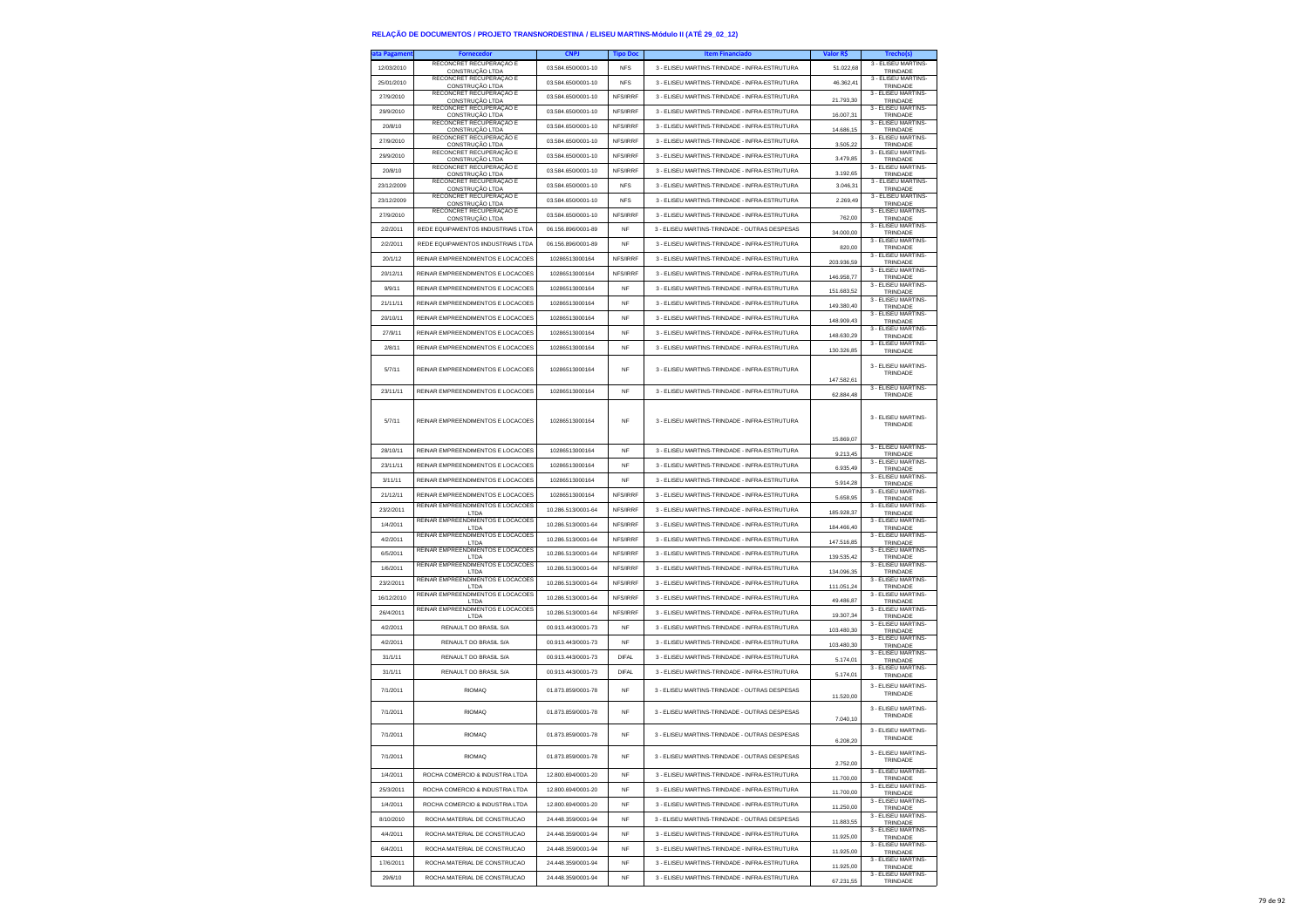| a Pagamen  |                                             | <b>CNPJ</b>        | <b>Tipo Doc</b> | <b>Item Financiado</b>                        | Valor R\$  |                                 |
|------------|---------------------------------------------|--------------------|-----------------|-----------------------------------------------|------------|---------------------------------|
| 12/03/2010 | RECONCRET RECUPERAÇÃO E<br>CONSTRUÇÃO LTDA  | 03.584.650/0001-10 | <b>NFS</b>      | 3 - ELISEU MARTINS-TRINDADE - INFRA-ESTRUTURA | 51.022,68  | 3 - ELISEU MARTINS-<br>TRINDADE |
| 25/01/2010 | RECONCRET RECUPERAÇÃO E                     | 03.584.650/0001-10 | <b>NFS</b>      | 3 - ELISEU MARTINS-TRINDADE - INFRA-ESTRUTURA | 46.362.41  | 3 - ELISEU MARTINS-             |
| 27/9/2010  | CONSTRUÇÃO LTDA<br>RECONCRET RECUPERAÇÃO E  | 03.584.650/0001-10 | NFS/IRRF        | 3 - ELISEU MARTINS-TRINDADE - INFRA-ESTRUTURA |            | TRINDADE<br>3 - ELISEU MARTINS- |
|            | CONSTRUCÃO LTDA<br>RECONCRET RECUPERAÇÃO E  |                    |                 |                                               | 21.793,30  | TRINDADE<br>3 - ELISEU MARTINS- |
| 29/9/2010  | CONSTRUÇÃO LTDA<br>RECONCRET RECUPERAÇÃO E  | 03.584.650/0001-10 | NFS/IRRF        | 3 - ELISEU MARTINS-TRINDADE - INFRA-ESTRUTURA | 16.007.31  | TRINDADE<br>3 - ELISEU MARTINS- |
| 20/8/10    | CONSTRUÇÃO LTDA                             | 03.584.650/0001-10 | NFS/IRRF        | 3 - ELISEU MARTINS-TRINDADE - INFRA-ESTRUTURA | 14.686,15  | TRINDADE                        |
| 27/9/2010  | RECONCRET RECUPERAÇÃO E<br>CONSTRUCÃO I TDA | 03 584 650/0001-10 | NFS/IRRF        | 3 - ELISEU MARTINS-TRINDADE - INFRA-ESTRUTURA | 3.505,22   | 3 - ELISEU MARTINS-<br>TRINDADE |
| 29/9/2010  | RECONCRET RECUPERAÇÃO E<br>CONSTRUÇÃO LTDA  | 03.584.650/0001-10 | NFS/IRRF        | 3 - ELISEU MARTINS-TRINDADE - INFRA-ESTRUTURA | 347985     | 3 - FLISEU MARTINS-<br>TRINDADE |
| 20/8/10    | RECONCRET RECUPERAÇÃO E<br>CONSTRUÇÃO LTDA  | 03.584.650/0001-10 | NFS/IRRF        | 3 - ELISEU MARTINS-TRINDADE - INFRA-ESTRUTURA | 3.192,65   | 3 - ELISEU MARTINS-<br>TRINDADE |
| 23/12/2009 | RECONCRET RECUPERAÇÃO E                     | 03.584.650/0001-10 | <b>NFS</b>      | 3 - ELISEU MARTINS-TRINDADE - INFRA-ESTRUTURA | 3.046,31   | 3 - ELISEU MARTINS-             |
| 23/12/2009 | CONSTRUÇÃO LTDA<br>RECONCRET RECUPERAÇÃO E  | 03.584.650/0001-10 | <b>NFS</b>      | 3 - ELISEU MARTINS-TRINDADE - INFRA-ESTRUTURA | 2.269,49   | TRINDADE<br>3 - ELISEU MARTINS- |
|            | CONSTRUÇÃO LTDA<br>RECONCRET RECUPERAÇÃO E  |                    |                 | 3 - FLISELLMARTINS-TRINDADE - INFRA-ESTRUTURA |            | TRINDADE<br>3 - ELISEU MARTINS- |
| 27/9/2010  | CONSTRUÇÃO LTDA                             | 03.584.650/0001-10 | NFS/IRRF        |                                               | 762,00     | TRINDADE<br>3 - ELISEU MARTINS- |
| 2/2/2011   | REDE EQUIPAMENTOS IINDUSTRIAIS LTDA         | 06.156.896/0001-89 | <b>NF</b>       | 3 - ELISEU MARTINS-TRINDADE - OUTRAS DESPESAS | 34.000,00  | TRINDADE<br>3 - ELISEU MARTINS- |
| 2/2/2011   | REDE EQUIPAMENTOS IINDUSTRIAIS LTDA         | 06.156.896/0001-89 | NF              | 3 - ELISEU MARTINS-TRINDADE - INFRA-ESTRUTURA | 820.00     | TRINDADE                        |
| 20/1/12    | REINAR EMPREENDIMENTOS E LOCACOES           | 10286513000164     | NFS/IRRF        | 3 - ELISEU MARTINS-TRINDADE - INFRA-ESTRUTURA | 203.936,59 | 3 - ELISEU MARTINS-<br>TRINDADE |
| 20/12/11   | REINAR EMPREENDIMENTOS E LOCACOES           | 10286513000164     | NFS/IRRF        | 3 - ELISEU MARTINS-TRINDADE - INFRA-ESTRUTURA | 146.958,77 | 3 - ELISEU MARTINS-<br>TRINDADE |
| 9/9/11     | REINAR EMPREENDIMENTOS E LOCACOES           | 10286513000164     | NF              | 3 - ELISEU MARTINS-TRINDADE - INFRA-ESTRUTURA | 151.683,52 | 3 - ELISEU MARTINS-<br>TRINDADE |
| 21/11/11   | REINAR EMPREENDIMENTOS E LOCACOES           | 10286513000164     | <b>NF</b>       | 3 - ELISEU MARTINS-TRINDADE - INFRA-ESTRUTURA |            | 3 - ELISEU MARTINS-             |
| 20/10/11   | REINAR EMPREENDIMENTOS E LOCACOES           | 10286513000164     | <b>NF</b>       | 3 - ELISEU MARTINS-TRINDADE - INFRA-ESTRUTURA | 149.380,40 | TRINDADE<br>3 - ELISEU MARTINS- |
|            |                                             |                    |                 |                                               | 148.909,43 | TRINDADE<br>3 - ELISEU MARTINS- |
| 27/9/11    | REINAR EMPREENDIMENTOS E LOCACOES           | 10286513000164     | NF              | 3 - ELISEU MARTINS-TRINDADE - INFRA-ESTRUTURA | 148.630,29 | TRINDADE<br>3 - ELISEU MARTINS- |
| 2/8/11     | REINAR EMPREENDIMENTOS E LOCACOES           | 10286513000164     | <b>NF</b>       | 3 - ELISEU MARTINS-TRINDADE - INFRA-ESTRUTURA | 130.326,85 | TRINDADE                        |
| 5/7/11     | REINAR EMPREENDIMENTOS E LOCACOES           | 10286513000164     | NF              | 3 - ELISEU MARTINS-TRINDADE - INFRA-ESTRUTURA |            | 3 - ELISEU MARTINS-             |
|            |                                             |                    |                 |                                               | 147.582,61 | TRINDADE                        |
| 23/11/11   | REINAR EMPREENDIMENTOS E LOCACOES           | 10286513000164     | <b>NF</b>       | 3 - ELISEU MARTINS-TRINDADE - INFRA-ESTRUTURA | 62.884,48  | 3 - FLISEU MARTINS-<br>TRINDADE |
|            |                                             |                    |                 |                                               |            |                                 |
| 5/7/11     | REINAR EMPREENDIMENTOS E LOCACOES           | 10286513000164     | NF              | 3 - ELISEU MARTINS-TRINDADE - INFRA-ESTRUTURA |            | 3 - FLISEU MARTINS-             |
|            |                                             |                    |                 |                                               |            | TRINDADE                        |
|            |                                             |                    |                 |                                               | 15.869,07  | 3 - ELISEU MARTINS-             |
| 28/10/11   | REINAR EMPREENDIMENTOS E LOCACOES           | 10286513000164     | <b>NF</b>       | 3 - ELISEU MARTINS-TRINDADE - INFRA-ESTRUTURA | 9.213,45   | TRINDADE<br>3 - ELISEU MARTINS- |
| 23/11/11   | REINAR EMPREENDIMENTOS E LOCACOES           | 10286513000164     | NF              | 3 - ELISEU MARTINS-TRINDADE - INFRA-ESTRUTURA | 6.935,49   | TRINDADE                        |
| 3/11/11    | REINAR EMPREENDIMENTOS E LOCACOES           | 10286513000164     | <b>NF</b>       | 3 - ELISEU MARTINS-TRINDADE - INFRA-ESTRUTURA | 5.914,28   | 3 - ELISEU MARTINS-<br>TRINDADE |
| 21/12/11   | REINAR EMPREENDIMENTOS E LOCACOES           | 10286513000164     | NFS/IRRF        | 3 - ELISEU MARTINS-TRINDADE - INFRA-ESTRUTURA | 5.658,95   | 3 - ELISEU MARTINS-<br>TRINDADE |
| 23/2/2011  | REINAR EMPREENDIMENTOS E LOCACOES<br>LTDA   | 10.286.513/0001-64 | NFS/IRRF        | 3 - ELISEU MARTINS-TRINDADE - INFRA-ESTRUTURA | 185.928,37 | 3 - ELISEU MARTINS-<br>TRINDADE |
| 1/4/2011   | REINAR EMPREENDIMENTOS E LOCACOES           | 10.286.513/0001-64 | NFS/IRRF        | 3 - ELISEU MARTINS-TRINDADE - INFRA-ESTRUTURA | 184.466,40 | 3 - ELISEU MARTINS-             |
| 4/2/2011   | LTDA<br>REINAR EMPREENDIMENTOS E LOCACOES   | 10.286.513/0001-64 | NFS/IRRF        | 3 - ELISEU MARTINS-TRINDADE - INFRA-ESTRUTURA |            | TRINDADE<br>3 - ELISEU MARTINS- |
| 6/5/2011   | LTDA<br>REINAR EMPREENDIMENTOS E LOCACOES   | 10.286.513/0001-64 | NFS/IRRF        | 3 - ELISEU MARTINS-TRINDADE - INFRA-ESTRUTURA | 147.516,85 | TRINDADE<br>3 - ELISEU MARTINS- |
|            | LTDA<br>REINAR EMPREENDIMENTOS E LOCACOES   |                    |                 |                                               | 139.535,42 | TRINDADE<br>3 - ELISEU MARTINS- |
| 1/6/2011   | LTDA<br>REINAR EMPREENDIMENTOS E LOCACOES   | 10.286.513/0001-64 | NFS/IRRF        | 3 - ELISEU MARTINS-TRINDADE - INFRA-ESTRUTURA | 134.096.35 | TRINDADE<br>3 - ELISEU MARTINS- |
| 23/2/2011  | LTDA                                        | 10.286.513/0001-64 | NFS/IRRF        | 3 - ELISEU MARTINS-TRINDADE - INFRA-ESTRUTURA | 111.051,24 | TRINDADE                        |
| 16/12/2010 | REINAR EMPREENDIMENTOS E LOCACOES<br>LTDA   | 10.286.513/0001-64 | NFS/IRRF        | 3 - ELISEU MARTINS-TRINDADE - INFRA-ESTRUTURA | 49.486,87  | 3 - ELISEU MARTINS-<br>TRINDADE |
| 26/4/2011  | REINAR EMPREENDIMENTOS E LOCACOES<br>LTDA   | 10.286.513/0001-64 | NFS/IRRF        | 3 - ELISEU MARTINS-TRINDADE - INFRA-ESTRUTURA | 19,307.34  | 3 - ELISEU MARTINS-<br>TRINDADE |
| 4/2/2011   | RENAULT DO BRASIL S/A                       | 00.913.443/0001-73 | <b>NF</b>       | 3 - ELISEU MARTINS-TRINDADE - INFRA-ESTRUTURA | 103.480,30 | 3 - ELISEU MARTINS-<br>TRINDADE |
| 4/2/2011   | RENAULT DO BRASIL S/A                       | 00.913.443/0001-73 | NF              | 3 - ELISEU MARTINS-TRINDADE - INFRA-ESTRUTURA | 103.480,30 | 3 - ELISEU MARTINS-             |
| 31/1/11    | RENAULT DO BRASIL S/A                       | 00.913.443/0001-73 | <b>DIFAL</b>    | 3 - ELISEU MARTINS-TRINDADE - INFRA-ESTRUTURA |            | TRINDADE<br>3 - ELISEU MARTINS- |
| 31/1/11    | RENAULT DO BRASIL S/A                       | 00 913 443/0001-73 | <b>DIFAL</b>    | 3 - ELISEU MARTINS-TRINDADE - INFRA-ESTRUTURA | 5.174,01   | TRINDADE<br>3 - ELISEU MARTINS- |
|            |                                             |                    |                 |                                               | 5.174.01   | TRINDADE                        |
| 7/1/2011   | RIOMAO                                      | 01.873.859/0001-78 | <b>NF</b>       | 3 - ELISEU MARTINS-TRINDADE - OUTRAS DESPESAS | 11 520 00  | 3 - ELISEU MARTINS-<br>TRINDADE |
|            |                                             |                    |                 |                                               |            | 3 - ELISEU MARTINS-             |
| 7/1/2011   | <b>RIOMAQ</b>                               | 01.873.859/0001-78 | NF              | 3 - ELISEU MARTINS-TRINDADE - OUTRAS DESPESAS | 7.040,10   | TRINDADE                        |
| 7/1/2011   | <b>RIOMAQ</b>                               | 01 873 859/0001-78 | <b>NF</b>       | 3 - FLISEU MARTINS-TRINDADE - OUTRAS DESPESAS |            | 3 - ELISEU MARTINS-             |
|            |                                             |                    |                 |                                               | 6,208.20   | TRINDADE                        |
| 7/1/2011   | <b>RIOMAQ</b>                               | 01.873.859/0001-78 | NF              | 3 - ELISEU MARTINS-TRINDADE - OUTRAS DESPESAS |            | 3 - FLISEU MARTINS-<br>TRINDADE |
|            |                                             | 12.800.694/0001-20 |                 |                                               | 2.752,00   | 3 - ELISEU MARTINS-             |
| 1/4/2011   | ROCHA COMERCIO & INDUSTRIA LTDA             |                    | NF              | 3 - ELISEU MARTINS-TRINDADE - INFRA-ESTRUTURA | 11,700.00  | TRINDADE<br>3 - ELISEU MARTINS- |
| 25/3/2011  | ROCHA COMERCIO & INDUSTRIA LTDA             | 12.800.694/0001-20 | <b>NF</b>       | 3 - ELISEU MARTINS-TRINDADE - INFRA-ESTRUTURA | 11,700.00  | TRINDADE                        |
| 1/4/2011   | ROCHA COMERCIO & INDUSTRIA LTDA             | 12.800.694/0001-20 | <b>NF</b>       | 3 - ELISEU MARTINS-TRINDADE - INFRA-ESTRUTURA | 11.250,00  | 3 - ELISEU MARTINS-<br>TRINDADE |
| 8/10/2010  | ROCHA MATERIAL DE CONSTRUCAO                | 24.448.359/0001-94 | NF              | 3 - ELISEU MARTINS-TRINDADE - OUTRAS DESPESAS | 11.883,55  | 3 - ELISEU MARTINS-<br>TRINDADE |
| 4/4/2011   | ROCHA MATERIAL DE CONSTRUCAO                | 24.448.359/0001-94 | <b>NF</b>       | 3 - ELISEU MARTINS-TRINDADE - INFRA-ESTRUTURA | 11.925.00  | 3 - ELISEU MARTINS-<br>TRINDADE |
| 6/4/2011   | ROCHA MATERIAL DE CONSTRUCAO                | 24.448.359/0001-94 | <b>NF</b>       | 3 - ELISEU MARTINS-TRINDADE - INFRA-ESTRUTURA | 11.925,00  | 3 - ELISEU MARTINS-             |
| 17/6/2011  | ROCHA MATERIAL DE CONSTRUCAO                | 24.448.359/0001-94 | NF              | 3 - ELISEU MARTINS-TRINDADE - INFRA-ESTRUTURA |            | TRINDADE<br>3 - ELISEU MARTINS- |
|            |                                             |                    |                 |                                               | 11.925.00  | TRINDADE<br>3 - ELISEU MARTINS- |
| 29/6/10    | ROCHA MATERIAL DE CONSTRUCAO                | 24.448.359/0001-94 | <b>NF</b>       | 3 - ELISEU MARTINS-TRINDADE - INFRA-ESTRUTURA | 67.231.55  | TRINDADE                        |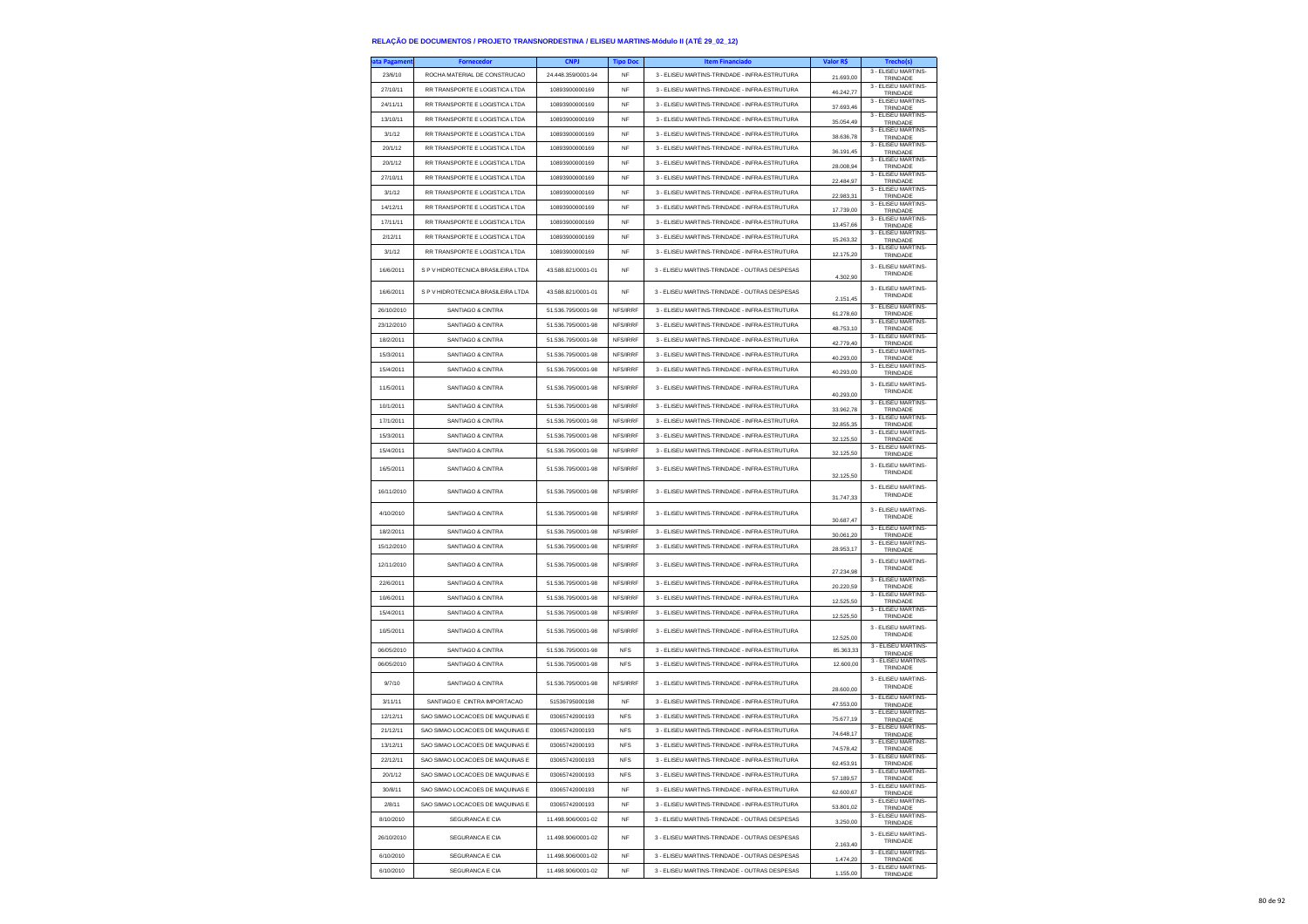| ata Pagamen | <b>Fornecedor</b>                  | <b>CNPJ</b>        | <b>Tipo Doc</b> | <b>Item Financiado</b>                        | Valor R\$              | Trecho(s)                                   |
|-------------|------------------------------------|--------------------|-----------------|-----------------------------------------------|------------------------|---------------------------------------------|
| 23/6/10     | ROCHA MATERIAL DE CONSTRUCAO       | 24.448.359/0001-94 | NF              | 3 - ELISEU MARTINS-TRINDADE - INFRA-ESTRUTURA | 21.693,00              | 3 - ELISEU MARTINS-<br>TRINDADE             |
| 27/10/11    | RR TRANSPORTE E LOGISTICA LTDA     | 10893900000169     | NF              | 3 - ELISEU MARTINS-TRINDADE - INFRA-ESTRUTURA | 46.242,77              | 3 - ELISEU MARTINS-<br>TRINDADE             |
| 24/11/11    | RR TRANSPORTE E LOGISTICA LTDA     | 10893900000169     | <b>NF</b>       | 3 - ELISEU MARTINS-TRINDADE - INFRA-ESTRUTURA |                        | 3 - ELISEU MARTINS                          |
| 13/10/11    | RR TRANSPORTE E LOGISTICA LTDA     | 10893900000169     | <b>NF</b>       | 3 - ELISEU MARTINS-TRINDADE - INFRA-ESTRUTURA | 37,693.46              | TRINDADE<br>3 - ELISEU MARTINS-             |
| 3/1/12      | RR TRANSPORTE E LOGISTICA LTDA     | 10893900000169     | NF              | 3 - ELISEU MARTINS-TRINDADE - INFRA-ESTRUTURA | 35.054,49              | TRINDADE<br>3 - ELISEU MARTINS-             |
| 20/1/12     | RR TRANSPORTE E LOGISTICA LTDA     | 10893900000169     | <b>NF</b>       | 3 - ELISEU MARTINS-TRINDADE - INFRA-ESTRUTURA | 38.636,78              | TRINDADE<br>3 - ELISEU MARTINS-             |
|             |                                    |                    |                 |                                               | 36 191 45              | TRINDADE<br>3 - ELISEU MARTINS-             |
| 20/1/12     | RR TRANSPORTE E LOGISTICA LTDA     | 10893900000169     | NF              | 3 - ELISEU MARTINS-TRINDADE - INFRA-ESTRUTURA | 28,008.94              | TRINDADE<br>3 - ELISEU MARTINS-             |
| 27/10/11    | RR TRANSPORTE E LOGISTICA LTDA     | 10893900000169     | NF              | 3 - ELISEU MARTINS-TRINDADE - INFRA-ESTRUTURA | 22.484,97              | TRINDADE<br>3 - ELISEU MARTINS-             |
| 3/1/12      | RR TRANSPORTE E LOGISTICA LTDA     | 10893900000169     | <b>NF</b>       | 3 - ELISEU MARTINS-TRINDADE - INFRA-ESTRUTURA | 22.983.31              | TRINDADE<br>3 - ELISEU MARTINS-             |
| 14/12/11    | RR TRANSPORTE E LOGISTICA LTDA     | 10893900000169     | <b>NF</b>       | 3 - ELISEU MARTINS-TRINDADE - INFRA-ESTRUTURA | 17.739,00              | TRINDADE                                    |
| 17/11/11    | RR TRANSPORTE E LOGISTICA LTDA     | 10893900000169     | <b>NF</b>       | 3 - ELISEU MARTINS-TRINDADE - INFRA-ESTRUTURA | 13.457,66              | 3 - ELISEU MARTINS-<br>TRINDADE             |
| 2/12/11     | RR TRANSPORTE E LOGISTICA LTDA     | 10893900000169     | <b>NF</b>       | 3 - ELISEU MARTINS-TRINDADE - INFRA-ESTRUTURA | 15.263,32              | 3 - ELISEU MARTINS-<br>TRINDADE             |
| 3/1/12      | RR TRANSPORTE E LOGISTICA LTDA     | 10893900000169     | <b>NF</b>       | 3 - ELISEU MARTINS-TRINDADE - INFRA-ESTRUTURA | 12.175,20              | 3 - ELISEU MARTINS-<br>TRINDADE             |
| 16/6/2011   | S P V HIDROTECNICA BRASILEIRA LTDA | 43.588.821/0001-01 | NF              | 3 - ELISEU MARTINS-TRINDADE - OUTRAS DESPESAS | 4.302,90               | 3 - ELISEU MARTINS-<br>TRINDADE             |
| 16/6/2011   | S P V HIDROTECNICA BRASILEIRA LTDA | 43.588.821/0001-01 | NF              | 3 - ELISEU MARTINS-TRINDADE - OUTRAS DESPESAS | 2.151,45               | 3 - ELISEU MARTINS-<br>TRINDADE             |
| 26/10/2010  | SANTIAGO & CINTRA                  | 51.536.795/0001-98 | NFS/IRRF        | 3 - ELISEU MARTINS-TRINDADE - INFRA-ESTRUTURA | 61.278,60              | 3 - ELISEU MARTINS-<br>TRINDADE             |
| 23/12/2010  | SANTIAGO & CINTRA                  | 51.536.795/0001-98 | NFS/IRRF        | 3 - ELISEU MARTINS-TRINDADE - INFRA-ESTRUTURA | 48.753,10              | 3 - ELISEU MARTINS-<br>TRINDADE             |
| 18/2/2011   | SANTIAGO & CINTRA                  | 51.536.795/0001-98 | NFS/IRRF        | 3 - ELISEU MARTINS-TRINDADE - INFRA-ESTRUTURA | 42.779,40              | 3 - ELISEU MARTINS-<br>TRINDADE             |
| 15/3/2011   | <b>SANTIAGO &amp; CINTRA</b>       | 51.536.795/0001-98 | NFS/IRRF        | 3 - ELISEU MARTINS-TRINDADE - INFRA-ESTRUTURA | 40,293.00              | 3 - ELISEU MARTINS-<br>TRINDADE             |
| 15/4/2011   | SANTIAGO & CINTRA                  | 51.536.795/0001-98 | NFS/IRRF        | 3 - ELISEU MARTINS-TRINDADE - INFRA-ESTRUTURA | 40 293 00              | 3 - ELISEU MARTINS-<br>TRINDADE             |
|             |                                    |                    |                 |                                               |                        | 3 - ELISEU MARTINS-                         |
| 11/5/2011   | SANTIAGO & CINTRA                  | 51.536.795/0001-98 | NFS/IRRF        | 3 - ELISEU MARTINS-TRINDADE - INFRA-ESTRUTURA | 40.293,00              | TRINDADE                                    |
| 10/1/2011   | SANTIAGO & CINTRA                  | 51.536.795/0001-98 | NFS/IRRF        | 3 - ELISEU MARTINS-TRINDADE - INFRA-ESTRUTURA | 33.962.78              | 3 - ELISEU MARTINS-<br>TRINDADE             |
| 17/1/2011   | SANTIAGO & CINTRA                  | 51.536.795/0001-98 | NFS/IRRF        | 3 - ELISEU MARTINS-TRINDADE - INFRA-ESTRUTURA | 32 855 35              | 3 - FLISEU MARTINS-<br>TRINDADE             |
| 15/3/2011   | <b>SANTIAGO &amp; CINTRA</b>       | 51.536.795/0001-98 | NFS/IRRF        | 3 - FLISEU MARTINS-TRINDADE - INFRA-ESTRUTURA | 32.125.50              | 3 - ELISEU MARTINS-<br>TRINDADE             |
| 15/4/2011   | SANTIAGO & CINTRA                  | 51.536.795/0001-98 | NFS/IRRF        | 3 - ELISEU MARTINS-TRINDADE - INFRA-ESTRUTURA | 32.125,50              | 3 - ELISEU MARTINS-<br>TRINDADE             |
| 16/5/2011   | SANTIAGO & CINTRA                  | 51.536.795/0001-98 | NFS/IRRF        | 3 - ELISEU MARTINS-TRINDADE - INFRA-ESTRUTURA | 32.125,50              | 3 - ELISEU MARTINS-<br>TRINDADE             |
| 16/11/2010  | SANTIAGO & CINTRA                  | 51 536 795/0001-98 | NFS/IRRF        | 3 - ELISEU MARTINS-TRINDADE - INFRA-ESTRUTURA | 31.747,33              | 3 - FLISEU MARTINS-<br>TRINDADE             |
| 4/10/2010   | SANTIAGO & CINTRA                  | 51.536.795/0001-98 | NFS/IRRF        | 3 - ELISEU MARTINS-TRINDADE - INFRA-ESTRUTURA | 30.687,47              | 3 - ELISEU MARTINS-<br>TRINDADE             |
| 18/2/2011   | <b>SANTIAGO &amp; CINTRA</b>       | 51.536.795/0001-98 | NFS/IRRF        | 3 - ELISEU MARTINS-TRINDADE - INFRA-ESTRUTURA | 30.061,20              | 3 - ELISEU MARTINS-<br>TRINDADE             |
| 15/12/2010  | <b>SANTIAGO &amp; CINTRA</b>       | 51.536.795/0001-98 | NFS/IRRF        | 3 - ELISEU MARTINS-TRINDADE - INFRA-ESTRUTURA | 28.953.17              | 3 - ELISEU MARTINS-<br>TRINDADE             |
| 12/11/2010  | SANTIAGO & CINTRA                  | 51.536.795/0001-98 | NFS/IRRF        | 3 - ELISEU MARTINS-TRINDADE - INFRA-ESTRUTURA | 27.234,98              | 3 - ELISEU MARTINS-<br>TRINDADE             |
| 22/6/2011   | SANTIAGO & CINTRA                  | 51.536.795/0001-98 | NFS/IRRF        | 3 - ELISEU MARTINS-TRINDADE - INFRA-ESTRUTURA | 20.220,59              | 3 - ELISEU MARTINS-<br>TRINDADE             |
| 10/6/2011   | SANTIAGO & CINTRA                  | 51.536.795/0001-98 | NFS/IRRF        | 3 - ELISEU MARTINS-TRINDADE - INFRA-ESTRUTURA | 12,525.50              | 3 - ELISEU MARTINS-                         |
| 15/4/2011   | <b>SANTIAGO &amp; CINTRA</b>       | 51.536.795/0001-98 | NFS/IRRF        | 3 - ELISEU MARTINS-TRINDADE - INFRA-ESTRUTURA |                        | TRINDADE<br>3 - ELISEU MARTINS-             |
| 10/5/2011   | <b>SANTIAGO &amp; CINTRA</b>       | 51.536.795/0001-98 | NFS/IRRF        | 3 - ELISEU MARTINS-TRINDADE - INFRA-ESTRUTURA | 12.525,50              | TRINDADE<br>3 - ELISEU MARTINS-<br>TRINDADE |
| 06/05/2010  | SANTIAGO & CINTRA                  | 51.536.795/0001-98 | <b>NFS</b>      | 3 - ELISEU MARTINS-TRINDADE - INFRA-ESTRUTURA | 12,525.00<br>85.363.33 | 3 - ELISEU MARTINS-                         |
| 06/05/2010  | <b>SANTIAGO &amp; CINTRA</b>       | 51.536.795/0001-98 | <b>NFS</b>      | 3 - FLISEU MARTINS-TRINDADE - INFRA-ESTRUTURA | 12.600,00              | TRINDADE<br>3 - ELISEU MARTINS-             |
| 9/7/10      | SANTIAGO & CINTRA                  | 51.536.795/0001-98 | NFS/IRRF        | 3 - ELISEU MARTINS-TRINDADE - INFRA-ESTRUTURA |                        | TRINDADE<br>3 - ELISEU MARTINS-<br>TRINDADE |
| 3/11/11     | SANTIAGO E CINTRA IMPORTACAO       | 51536795000198     | NF              | 3 - ELISEU MARTINS-TRINDADE - INFRA-ESTRUTURA | 28,600.00              | 3 - ELISEU MARTINS-                         |
| 12/12/11    | SAO SIMAO LOCACOES DE MAQUINAS E   | 03065742000193     | <b>NFS</b>      | 3 - ELISEU MARTINS-TRINDADE - INFRA-ESTRUTURA | 47,553.00              | TRINDADE<br>3 - ELISEU MARTINS-             |
| 21/12/11    | SAO SIMAO LOCACOES DE MAQUINAS E   | 03065742000193     | <b>NFS</b>      | 3 - ELISEU MARTINS-TRINDADE - INFRA-ESTRUTURA | 75.677,19              | TRINDADE<br>3 - ELISEU MARTINS-             |
| 13/12/11    | SAO SIMAO LOCACOES DE MAQUINAS E   | 03065742000193     |                 | 3 - ELISEU MARTINS-TRINDADE - INFRA-ESTRUTURA | 74 648 17              | TRINDADE<br>3 - ELISEU MARTINS-             |
|             |                                    |                    | <b>NFS</b>      |                                               | 74.578,42              | TRINDADE<br>3 - ELISEU MARTINS-             |
| 22/12/11    | SAO SIMAO LOCACOES DE MAQUINAS E   | 03065742000193     | <b>NFS</b>      | 3 - ELISEU MARTINS-TRINDADE - INFRA-ESTRUTURA | 62.453,91              | TRINDADE<br>3 - ELISEU MARTINS-             |
| 20/1/12     | SAO SIMAO LOCACOES DE MAQUINAS E   | 03065742000193     | <b>NFS</b>      | 3 - ELISEU MARTINS-TRINDADE - INFRA-ESTRUTURA | 57,189.57              | TRINDADE<br>3 - ELISEU MARTINS-             |
| 30/8/11     | SAO SIMAO LOCACOES DE MAQUINAS E   | 03065742000193     | NF              | 3 - ELISEU MARTINS-TRINDADE - INFRA-ESTRUTURA | 62.600,67              | TRINDADE                                    |
| 2/8/11      | SAO SIMAO LOCACOES DE MAQUINAS E   | 03065742000193     | NF              | 3 - ELISEU MARTINS-TRINDADE - INFRA-ESTRUTURA | 53.801,02              | 3 - ELISEU MARTINS-<br>TRINDADE             |
| 8/10/2010   | SEGURANCA E CIA                    | 11.498.906/0001-02 | NF              | 3 - ELISEU MARTINS-TRINDADE - OUTRAS DESPESAS | 3.250.00               | 3 - ELISEU MARTINS-<br>TRINDADE             |
| 26/10/2010  | SEGURANCA E CIA                    | 11.498.906/0001-02 | NF              | 3 - ELISEU MARTINS-TRINDADE - OUTRAS DESPESAS | 2.163.40               | 3 - ELISEU MARTINS-<br>TRINDADE             |
| 6/10/2010   | SEGURANCA E CIA                    | 11.498.906/0001-02 | NF              | 3 - ELISEU MARTINS-TRINDADE - OUTRAS DESPESAS | 1.474,20               | 3 - ELISEU MARTINS-<br>TRINDADE             |
| 6/10/2010   | SEGURANCA E CIA                    | 11.498.906/0001-02 | NF              | 3 - ELISEU MARTINS-TRINDADE - OUTRAS DESPESAS | 1.155,00               | 3 - ELISEU MARTINS-<br>TRINDADE             |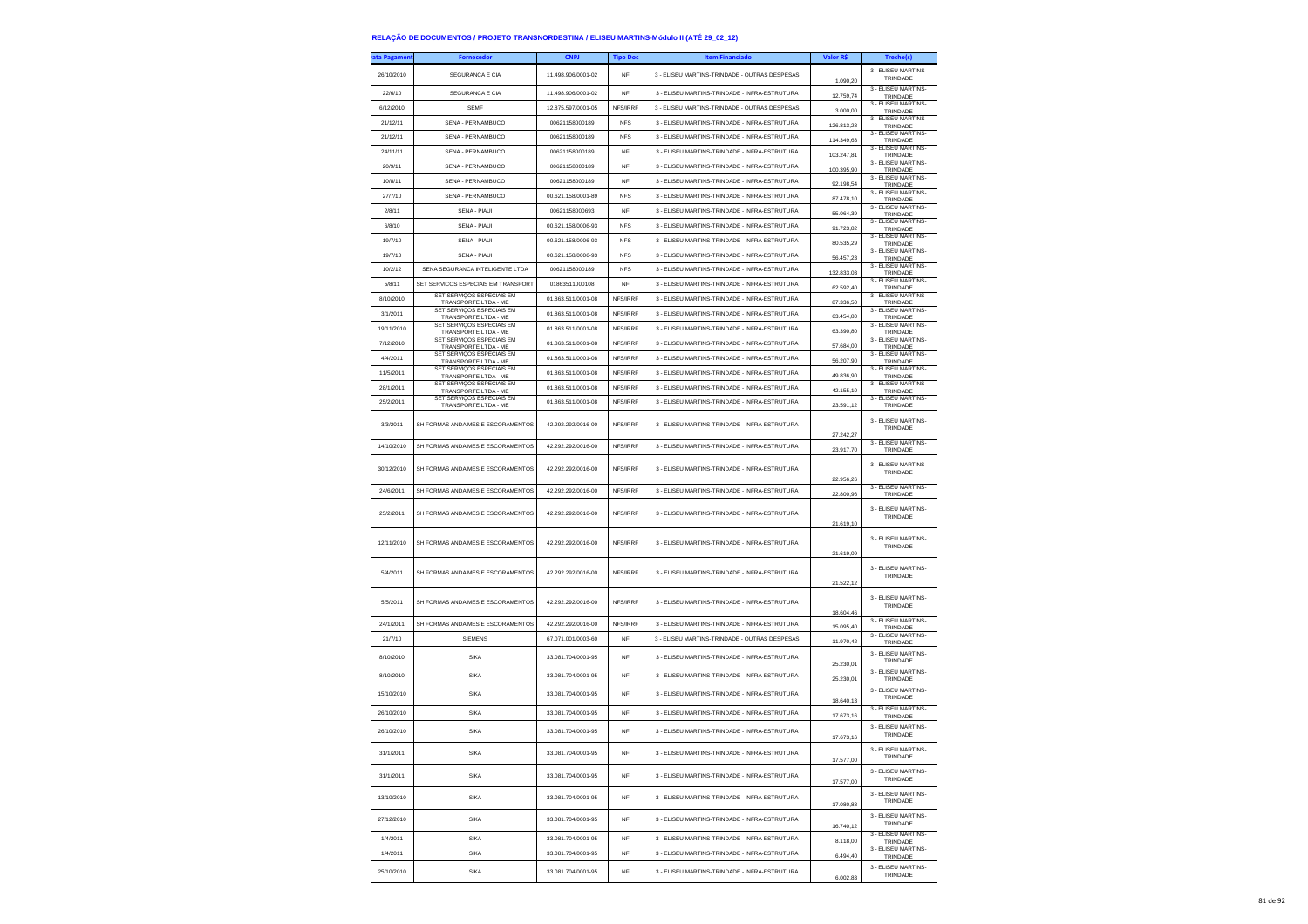| <b>ita Pagamen</b> | <b>Fornecedor</b>                                                         | <b>CNPJ</b>        | <b>Tipo Doc</b> | <b>Item Financiado</b>                        | Valor R\$            | Trecho(s)                       |
|--------------------|---------------------------------------------------------------------------|--------------------|-----------------|-----------------------------------------------|----------------------|---------------------------------|
| 26/10/2010         | SEGURANCA E CIA                                                           | 11.498.906/0001-02 | <b>NF</b>       | 3 - ELISEU MARTINS-TRINDADE - OUTRAS DESPESAS | 1.090,20             | 3 - ELISEU MARTINS-<br>TRINDADE |
| 22/6/10            | SEGURANCA E CIA                                                           | 11.498.906/0001-02 | <b>NF</b>       | 3 - ELISEU MARTINS-TRINDADE - INFRA-ESTRUTURA | 12.759,74            | 3 - ELISEU MARTINS-<br>TRINDADE |
| 6/12/2010          | <b>SEMF</b>                                                               | 12.875.597/0001-05 | NFS/IRRF        | 3 - ELISEU MARTINS-TRINDADE - OUTRAS DESPESAS | 3.000,00             | 3 - ELISEU MARTINS-<br>TRINDADE |
| 21/12/11           | SENA - PERNAMBUCO                                                         | 00621158000189     | <b>NFS</b>      | 3 - ELISEU MARTINS-TRINDADE - INFRA-ESTRUTURA | 126.813,28           | 3 - ELISEU MARTINS-<br>TRINDADE |
| 21/12/11           | SENA - PERNAMBUCO                                                         | 00621158000189     | <b>NFS</b>      | 3 - ELISEU MARTINS-TRINDADE - INFRA-ESTRUTURA | 114,349.63           | 3 - FLISEU MARTINS-<br>TRINDADE |
| 24/11/11           | SENA - PERNAMBUCO                                                         | 00621158000189     | <b>NF</b>       | 3 - ELISEU MARTINS-TRINDADE - INFRA-ESTRUTURA | 103.247,81           | 3 - ELISEU MARTINS-<br>TRINDADE |
| 20/9/11            | SENA - PERNAMBUCO                                                         | 00621158000189     | NF              | 3 - ELISEU MARTINS-TRINDADE - INFRA-ESTRUTURA | 100.395,90           | 3 - ELISEU MARTINS-<br>TRINDADE |
| 10/8/11            | SENA - PERNAMBUCO                                                         | 00621158000189     | <b>NF</b>       | 3 - ELISEU MARTINS-TRINDADE - INFRA-ESTRUTURA | 92.198.54            | 3 - ELISEU MARTINS-<br>TRINDADE |
| 27/7/10            | SENA - PERNAMBUCO                                                         | 00.621.158/0001-89 | <b>NFS</b>      | 3 - ELISEU MARTINS-TRINDADE - INFRA-ESTRUTURA | 87.478,10            | 3 - ELISEU MARTINS-<br>TRINDADE |
| 2/8/11             | SENA - PIAUI                                                              | 00621158000693     | <b>NF</b>       | 3 - ELISEU MARTINS-TRINDADE - INFRA-ESTRUTURA | 55.064.39            | 3 - ELISEU MARTINS-<br>TRINDADE |
| 6/8/10             | SENA - PIAUI                                                              | 00.621.158/0006-93 | <b>NFS</b>      | 3 - ELISEU MARTINS-TRINDADE - INFRA-ESTRUTURA | 91.723,82            | 3 - ELISEU MARTINS-<br>TRINDADE |
| 19/7/10            | <b>SENA - PIAUI</b>                                                       | 00.621.158/0006-93 | <b>NFS</b>      | 3 - FLISELLMARTINS-TRINDADE - INFRA-ESTRUTURA | 80.535,29            | 3 - ELISEU MARTINS-<br>TRINDADE |
| 19/7/10            | SENA - PIAUI                                                              | 00.621.158/0006-93 | <b>NFS</b>      | 3 - ELISEU MARTINS-TRINDADE - INFRA-ESTRUTURA | 56.457,23            | 3 - ELISEU MARTINS-<br>TRINDADE |
| 10/2/12            | SENA SEGURANCA INTELIGENTE LTDA                                           | 00621158000189     | <b>NFS</b>      | 3 - ELISEU MARTINS-TRINDADE - INFRA-ESTRUTURA | 132 833 03           | 3 - ELISEU MARTINS-<br>TRINDADE |
| 5/8/11             | SET SERVICOS ESPECIAIS EM TRANSPORT                                       | 01863511000108     | NF              | 3 - ELISEU MARTINS-TRINDADE - INFRA-ESTRUTURA | 62.592,40            | 3 - ELISEU MARTINS-<br>TRINDADE |
| 8/10/2010          | SET SERVIÇOS ESPECIAIS EM<br>TRANSPORTE LTDA - ME                         | 01.863.511/0001-08 | NFS/IRRF        | 3 - ELISEU MARTINS-TRINDADE - INFRA-ESTRUTURA | 87.336,50            | 3 - ELISEU MARTINS-<br>TRINDADE |
| 3/1/2011           | SET SERVIÇOS ESPECIAIS EM<br>TRANSPORTE LTDA - ME                         | 01.863.511/0001-08 | NFS/IRRF        | 3 - ELISEU MARTINS-TRINDADE - INFRA-ESTRUTURA | 63.454.80            | 3 - ELISEU MARTINS<br>TRINDADE  |
| 19/11/2010         | SET SERVIÇOS ESPECIAIS EM<br>TRANSPORTE LTDA - ME                         | 01.863.511/0001-08 | NFS/IRRF        | 3 - ELISEU MARTINS-TRINDADE - INFRA-ESTRUTURA | 63.390,80            | 3 - ELISEU MARTINS-<br>TRINDADE |
| 7/12/2010          | SET SERVIÇOS ESPECIAIS EM<br>TRANSPORTE LTDA - ME                         | 01.863.511/0001-08 | NFS/IRRF        | 3 - ELISEU MARTINS-TRINDADE - INFRA-ESTRUTURA | 57.684,00            | 3 - ELISEU MARTINS-<br>TRINDADE |
| 4/4/2011           | SET SERVICOS ESPECIAIS EM                                                 | 01.863.511/0001-08 | NFS/IRRF        | 3 - ELISEU MARTINS-TRINDADE - INFRA-ESTRUTURA | 56,207.90            | 3 - ELISEU MARTINS-<br>TRINDADE |
| 11/5/2011          | TRANSPORTE LTDA - ME<br>SET SERVIÇOS ESPECIAIS EM<br>TRANSPORTE LTDA - ME | 01.863.511/0001-08 | NFS/IRRF        | 3 - FLISELLMARTINS-TRINDADE - INFRA-ESTRUTURA | 49.836,90            | 3 - ELISEU MARTINS-<br>TRINDADE |
| 28/1/2011          | SET SERVIÇOS ESPECIAIS EM<br>TRANSPORTE LTDA - ME                         | 01.863.511/0001-08 | NFS/IRRF        | 3 - ELISEU MARTINS-TRINDADE - INFRA-ESTRUTURA | 42.155,10            | 3 - ELISEU MARTINS-<br>TRINDADE |
| 25/2/2011          | SET SERVIÇOS ESPECIAIS EM<br>TRANSPORTE LTDA - ME                         | 01.863.511/0001-08 | NFS/IRRF        | 3 - ELISEU MARTINS-TRINDADE - INFRA-ESTRUTURA | 23.591.12            | 3 - ELISEU MARTINS-<br>TRINDADE |
|                    |                                                                           |                    |                 |                                               |                      | 3 - ELISEU MARTINS-             |
| 3/3/2011           | SH FORMAS ANDAIMES E ESCORAMENTOS                                         | 42.292.292/0016-00 | NFS/IRRF        | 3 - ELISEU MARTINS-TRINDADE - INFRA-ESTRUTURA | 27.242,27            | TRINDADE                        |
| 14/10/2010         | SH FORMAS ANDAIMES E ESCORAMENTOS                                         | 42.292.292/0016-00 | NFS/IRRF        | 3 - ELISEU MARTINS-TRINDADE - INFRA-ESTRUTURA | 23.917.70            | 3 - ELISEU MARTINS-<br>TRINDADE |
| 30/12/2010         |                                                                           | 42.292.292/0016-00 | NFS/IRRF        | 3 - ELISEU MARTINS-TRINDADE - INFRA-ESTRUTURA |                      | 3 - ELISEU MARTINS-             |
|                    | SH FORMAS ANDAIMES E ESCORAMENTOS                                         |                    |                 |                                               | 22.956,26            | TRINDADE                        |
| 24/6/2011          | SH FORMAS ANDAIMES E ESCORAMENTOS                                         | 42.292.292/0016-00 | NFS/IRRF        | 3 - ELISEU MARTINS-TRINDADE - INFRA-ESTRUTURA | 22,800.96            | 3 - ELISEU MARTINS<br>TRINDADE  |
| 25/2/2011          | SH FORMAS ANDAIMES E ESCORAMENTOS                                         | 42.292.292/0016-00 | NFS/IRRF        | 3 - ELISEU MARTINS-TRINDADE - INFRA-ESTRUTURA |                      | 3 - ELISEU MARTINS-<br>TRINDADE |
|                    |                                                                           |                    |                 |                                               | 21.619.10            |                                 |
| 12/11/2010         | SH FORMAS ANDAIMES E ESCORAMENTOS                                         | 42.292.292/0016-00 | NFS/IRRF        | 3 - ELISEU MARTINS-TRINDADE - INFRA-ESTRUTURA |                      | 3 - ELISEU MARTINS-<br>TRINDADE |
|                    |                                                                           |                    |                 |                                               | 21.619,09            |                                 |
| 5/4/2011           | SH FORMAS ANDAIMES E ESCORAMENTOS                                         | 42.292.292/0016-00 | NFS/IRRF        | 3 - ELISEU MARTINS-TRINDADE - INFRA-ESTRUTURA |                      | 3 - ELISEU MARTINS<br>TRINDADE  |
|                    |                                                                           |                    |                 |                                               | 21.522,12            |                                 |
| 5/5/2011           | SH FORMAS ANDAIMES E ESCORAMENTOS                                         | 42.292.292/0016-00 | NFS/IRRF        | 3 - ELISEU MARTINS-TRINDADE - INFRA-ESTRUTURA |                      | 3 - ELISEU MARTINS-<br>TRINDADE |
|                    |                                                                           |                    |                 |                                               | 18,604.46            | 3 - ELISEU MARTINS-             |
| 24/1/2011          | SH FORMAS ANDAIMES E ESCORAMENTOS                                         | 42.292.292/0016-00 | NFS/IRRF        | 3 - ELISEU MARTINS-TRINDADE - INFRA-ESTRUTURA | 15.095,40            | TRINDADE<br>3 - ELISEU MARTINS- |
| 21/7/10            | <b>SIEMENS</b>                                                            | 67.071.001/0003-60 | <b>NF</b>       | 3 - ELISEU MARTINS-TRINDADE - OUTRAS DESPESAS | 11.970,42            | TRINDADE                        |
| 8/10/2010          | SIKA                                                                      | 33.081.704/0001-95 | <b>NF</b>       | 3 - ELISEU MARTINS-TRINDADE - INFRA-ESTRUTURA | 25.230.01            | 3 - ELISEU MARTINS-<br>TRINDADE |
| 8/10/2010          | SIKA                                                                      | 33.081.704/0001-95 | <b>NF</b>       | 3 - ELISEU MARTINS-TRINDADE - INFRA-ESTRUTURA | 25.230,01            | 3 - ELISEU MARTINS-<br>TRINDADE |
| 15/10/2010         | SIKA                                                                      | 33.081.704/0001-95 | <b>NF</b>       | 3 - ELISEU MARTINS-TRINDADE - INFRA-ESTRUTURA |                      | 3 - ELISEU MARTINS-             |
|                    |                                                                           |                    |                 |                                               | 18.640,13            | TRINDADE<br>3 - ELISEU MARTINS- |
| 26/10/2010         | SIKA                                                                      | 33.081.704/0001-95 | <b>NF</b>       | 3 - ELISEU MARTINS-TRINDADE - INFRA-ESTRUTURA | 17.673,16            | TRINDADE                        |
| 26/10/2010         | SIKA                                                                      | 33.081.704/0001-95 | NF              | 3 - ELISEU MARTINS-TRINDADE - INFRA-ESTRUTURA | 17.673,16            | 3 - ELISEU MARTINS-<br>TRINDADE |
| 31/1/2011          | <b>SIKA</b>                                                               | 33.081.704/0001-95 | NF              | 3 - ELISEU MARTINS-TRINDADE - INFRA-ESTRUTURA |                      | 3 - ELISEU MARTINS-<br>TRINDADE |
|                    |                                                                           |                    |                 |                                               | 17.577,00            | 3 - ELISEU MARTINS-             |
| 31/1/2011          | SIKA                                                                      | 33.081.704/0001-95 | <b>NF</b>       | 3 - ELISEU MARTINS-TRINDADE - INFRA-ESTRUTURA | 17.577,00            | TRINDADE                        |
| 13/10/2010         | SIKA                                                                      | 33.081.704/0001-95 | NF              | 3 - ELISEU MARTINS-TRINDADE - INFRA-ESTRUTURA | 17.080,88            | 3 - ELISEU MARTINS-<br>TRINDADE |
| 27/12/2010         | SIKA                                                                      | 33.081.704/0001-95 | <b>NF</b>       | 3 - FLISELLMARTINS-TRINDADE - INFRA-ESTRUTURA | 16.740,12            | 3 - FIJSEU MARTINS-<br>TRINDADE |
| 1/4/2011           | SIKA                                                                      | 33.081.704/0001-95 | NF              | 3 - FLISELLMARTINS-TRINDADE - INFRA-ESTRUTURA |                      | 3 - FLISEU MARTINS-             |
| 1/4/2011           | SIKA                                                                      | 33.081.704/0001-95 | NF              | 3 - ELISEU MARTINS-TRINDADE - INFRA-ESTRUTURA | 8.118,00<br>6.494,40 | TRINDADE<br>3 - ELISEU MARTINS- |
|                    |                                                                           |                    |                 |                                               |                      | TRINDADE<br>3 - ELISEU MARTINS- |
| 25/10/2010         | SIKA                                                                      | 33.081.704/0001-95 | <b>NF</b>       | 3 - ELISEU MARTINS-TRINDADE - INFRA-ESTRUTURA | 6.002.83             | TRINDADE                        |

6.002,83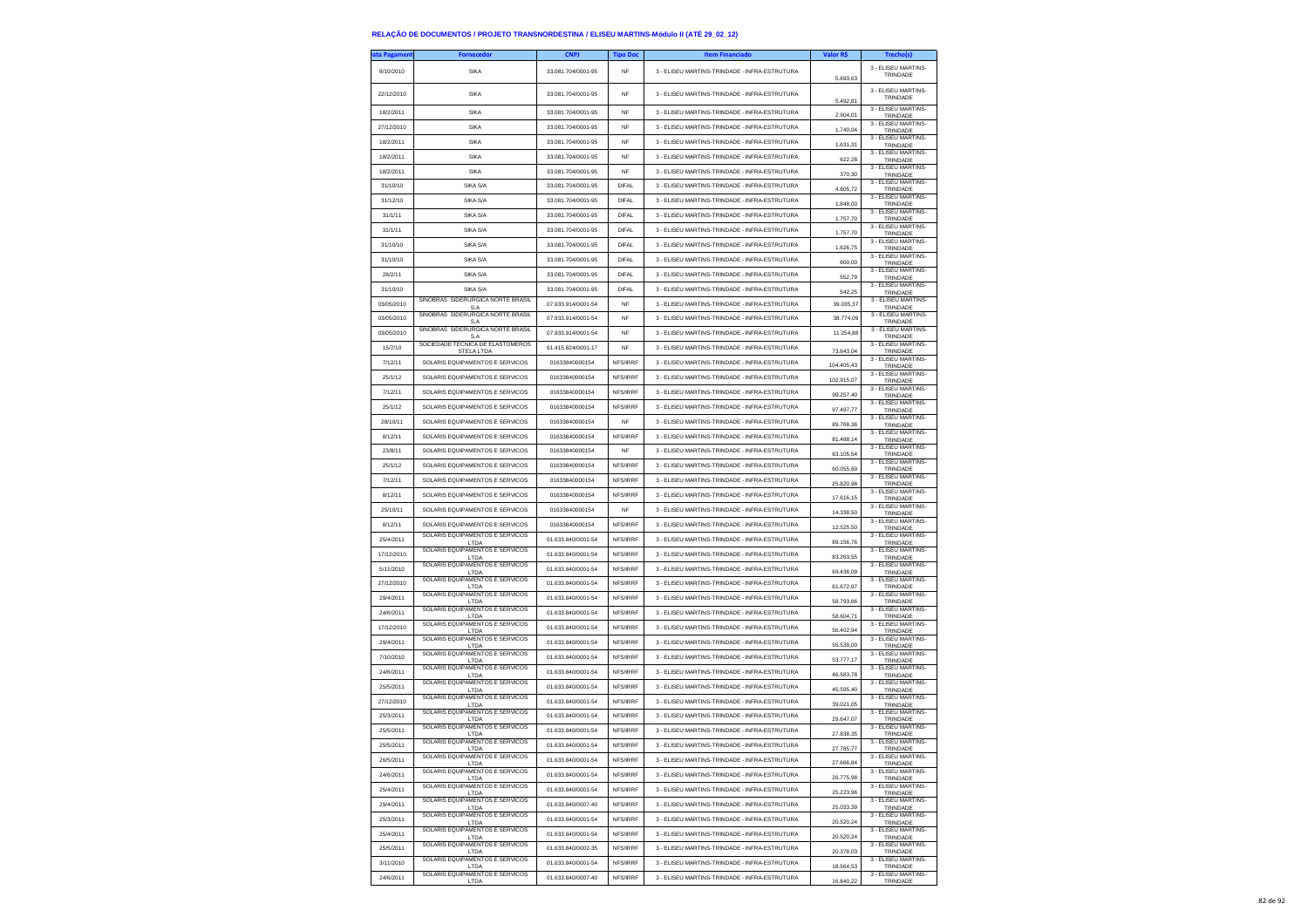| ta Pagamen | <b>Fornecedor</b>                                                  | <b>CNPJ</b>        | <b>Tipo Doc</b> | <b>Item Financiado</b>                        | Valor R\$  | Trecho(s)                              |
|------------|--------------------------------------------------------------------|--------------------|-----------------|-----------------------------------------------|------------|----------------------------------------|
| 8/10/2010  | <b>SIKA</b>                                                        | 33.081.704/0001-95 | <b>NF</b>       | 3 - ELISEU MARTINS-TRINDADE - INFRA-ESTRUTURA | 5.693.63   | 3 - ELISEU MARTINS-<br>TRINDADE        |
| 22/12/2010 | <b>SIKA</b>                                                        | 33.081.704/0001-95 | <b>NF</b>       | 3 - ELISEU MARTINS-TRINDADE - INFRA-ESTRUTURA | 5.492.81   | 3 - ELISEU MARTINS-<br>TRINDADE        |
| 18/2/2011  | SIKA                                                               | 33.081.704/0001-95 | NF              | 3 - ELISEU MARTINS-TRINDADE - INFRA-ESTRUTURA | 2.904,01   | 3 - ELISEU MARTINS-<br>TRINDADE        |
| 27/12/2010 | SIKA                                                               | 33.081.704/0001-95 | NF              | 3 - ELISEU MARTINS-TRINDADE - INFRA-ESTRUTURA | 1.740.04   | 3 - ELISEU MARTINS<br><b>TRINDADE</b>  |
| 18/2/2011  | SIKA                                                               | 33.081.704/0001-95 | <b>NF</b>       | 3 - ELISEU MARTINS-TRINDADE - INFRA-ESTRUTURA | 1.631,31   | 3 - ELISEU MARTINS-<br>TRINDADE        |
| 18/2/2011  | <b>SIKA</b>                                                        | 33.081.704/0001-95 | NF              | 3 - ELISEU MARTINS-TRINDADE - INFRA-ESTRUTURA |            | 3 - ELISEU MARTINS-                    |
| 18/2/2011  | SIKA                                                               | 33.081.704/0001-95 | <b>NF</b>       | 3 - ELISEU MARTINS-TRINDADE - INFRA-ESTRUTURA | 622,28     | TRINDADE<br>3 - ELISEU MARTINS-        |
| 31/10/10   | SIKA S/A                                                           | 33.081.704/0001-95 | <b>DIFAL</b>    | 3 - ELISEU MARTINS-TRINDADE - INFRA-ESTRUTURA | 370.30     | TRINDADE<br>3 - ELISEU MARTINS-        |
| 31/12/10   | SIKA S/A                                                           | 33.081.704/0001-95 | DIFAL           | 3 - ELISEU MARTINS-TRINDADE - INFRA-ESTRUTURA | 4.805,72   | TRINDADE<br>3 - ELISEU MARTINS-        |
|            | SIKA S/A                                                           | 33.081.704/0001-95 | <b>DIFAL</b>    |                                               | 1.848,00   | TRINDADE<br>3 - ELISEU MARTINS-        |
| 31/1/11    |                                                                    | 33.081.704/0001-95 |                 | 3 - ELISEU MARTINS-TRINDADE - INFRA-ESTRUTURA | 1.757.70   | TRINDADE<br>3 - ELISEU MARTINS-        |
| 31/1/11    | SIKA S/A                                                           |                    | <b>DIFAL</b>    | 3 - ELISEU MARTINS-TRINDADE - INFRA-ESTRUTURA | 1.757,70   | TRINDADE<br>3 - ELISEU MARTINS-        |
| 31/10/10   | SIKA S/A                                                           | 33.081.704/0001-95 | DIFAI           | 3 - ELISEU MARTINS-TRINDADE - INFRA-ESTRUTURA | 1.626,75   | TRINDADE<br>3 - FLISEU MARTINS-        |
| 31/10/10   | SIKA S/A                                                           | 33.081.704/0001-95 | DIFAL           | 3 - ELISEU MARTINS-TRINDADE - INFRA-ESTRUTURA | 600.00     | TRINDADE<br>3 - ELISEU MARTINS-        |
| 28/2/11    | SIKA S/A                                                           | 33.081.704/0001-95 | <b>DIFAL</b>    | 3 - ELISEU MARTINS-TRINDADE - INFRA-ESTRUTURA | 552,79     | TRINDADE                               |
| 31/10/10   | SIKA S/A                                                           | 33.081.704/0001-95 | <b>DIFAL</b>    | 3 - ELISEU MARTINS-TRINDADE - INFRA-ESTRUTURA | 542,25     | 3 - ELISEU MARTINS-<br>TRINDADE        |
| 03/05/2010 | SINOBRAS SIDERURGICA NORTE BRASIL<br>S A                           | 07.933.914/0001-54 | <b>NF</b>       | 3 - ELISEU MARTINS-TRINDADE - INFRA-ESTRUTURA | 39.035,37  | 3 - ELISEU MARTINS-<br>TRINDADE        |
| 03/05/2010 | SINOBRAS SIDERURGICA NORTE BRASIL<br>S.A                           | 07.933.914/0001-54 | <b>NF</b>       | 3 - ELISEU MARTINS-TRINDADE - INFRA-ESTRUTURA | 38,774.09  | 3 - ELISEU MARTINS-<br>TRINDADE        |
| 03/05/2010 | SINOBRAS SIDERURGICA NORTE BRASIL<br>S.A                           | 07.933.914/0001-54 | <b>NF</b>       | 3 - ELISEU MARTINS-TRINDADE - INFRA-ESTRUTURA | 11.254.88  | 3 - ELISEU MARTINS-<br>TRINDADE        |
| 15/7/10    | SOCIEDADE TECNICA DE ELASTOMEROS<br><b>STELA LTDA</b>              | 61.415.824/0001-17 | NF              | 3 - ELISEU MARTINS-TRINDADE - INFRA-ESTRUTURA | 73 643 04  | 3 - ELISEU MARTINS-<br>TRINDADE        |
| 7/12/11    | SOLARIS EQUIPAMENTOS E SERVICOS                                    | 01633840000154     | NFS/IRRF        | 3 - ELISEU MARTINS-TRINDADE - INFRA-ESTRUTURA | 104.405.43 | 3 - ELISEU MARTINS-<br>TRINDADE        |
| 25/1/12    | SOLARIS EQUIPAMENTOS E SERVICOS                                    | 01633840000154     | NFS/IRRF        | 3 - ELISEU MARTINS-TRINDADE - INFRA-ESTRUTURA | 102.915,07 | 3 - ELISEU MARTINS-<br>TRINDADE        |
| 7/12/11    | SOLARIS EQUIPAMENTOS E SERVICOS                                    | 01633840000154     | NFS/IRRF        | 3 - ELISEU MARTINS-TRINDADE - INFRA-ESTRUTURA | 99.257,40  | 3 - ELISEU MARTINS-<br>TRINDADE        |
| 25/1/12    | SOLARIS EQUIPAMENTOS E SERVICOS                                    | 01633840000154     | NFS/IRRF        | 3 - ELISEU MARTINS-TRINDADE - INFRA-ESTRUTURA |            | 3 - ELISEU MARTINS-                    |
| 28/10/11   | SOLARIS EQUIPAMENTOS E SERVICOS                                    | 01633840000154     | <b>NF</b>       | 3 - ELISEU MARTINS-TRINDADE - INFRA-ESTRUTURA | 97.497,77  | TRINDADE<br>3 - ELISEU MARTINS-        |
| 8/12/11    | SOLARIS EQUIPAMENTOS E SERVICOS                                    | 01633840000154     | NFS/IRRF        | 3 - ELISEU MARTINS-TRINDADE - INFRA-ESTRUTURA | 89.768.36  | TRINDADE<br>3 - FLISEU MARTINS-        |
| 23/8/11    | SOLARIS EQUIPAMENTOS E SERVICOS                                    | 01633840000154     | <b>NF</b>       | 3 - ELISEU MARTINS-TRINDADE - INFRA-ESTRUTURA | 81.488,14  | TRINDADE<br>3 - FLISEU MARTINS-        |
|            | SOLARIS EQUIPAMENTOS E SERVICOS                                    | 01633840000154     | NFS/IRRF        | 3 - ELISEU MARTINS-TRINDADE - INFRA-ESTRUTURA | 83.105,54  | TRINDADE<br>3 - ELISEU MARTINS-        |
| 25/1/12    |                                                                    |                    |                 |                                               | 60.055,69  | TRINDADE<br>3 - ELISEU MARTINS-        |
| 7/12/11    | SOLARIS EQUIPAMENTOS E SERVICOS                                    | 01633840000154     | NFS/IRRF        | 3 - ELISEU MARTINS-TRINDADE - INFRA-ESTRUTURA | 25.820,98  | TRINDADE<br>3 - ELISEU MARTINS-        |
| 8/12/11    | SOLARIS EQUIPAMENTOS E SERVICOS                                    | 01633840000154     | NFS/IRRF        | 3 - ELISEU MARTINS-TRINDADE - INFRA-ESTRUTURA | 17.616.15  | TRINDADE<br>3 - ELISEU MARTINS-        |
| 25/10/11   | SOLARIS EQUIPAMENTOS E SERVICOS                                    | 01633840000154     | <b>NF</b>       | 3 - ELISEU MARTINS-TRINDADE - INFRA-ESTRUTURA | 14.338,50  | TRINDADE<br>3 - ELISEU MARTINS-        |
| 8/12/11    | SOLARIS EQUIPAMENTOS E SERVICOS<br>SOLARIS EQUIPAMENTOS E SERVICOS | 01633840000154     | NFS/IRRF        | 3 - ELISEU MARTINS-TRINDADE - INFRA-ESTRUTURA | 12.525,50  | TRINDADE<br>3 - ELISEU MARTINS-        |
| 25/4/2011  | LTDA                                                               | 01.633.840/0001-54 | NFS/IRRF        | 3 - ELISEU MARTINS-TRINDADE - INFRA-ESTRUTURA | 89.156.76  | TRINDADE                               |
| 17/12/2010 | SOLARIS EQUIPAMENTOS E SERVICOS<br>LTDA                            | 01.633.840/0001-54 | NFS/IRRF        | 3 - ELISEU MARTINS-TRINDADE - INFRA-ESTRUTURA | 83.263,55  | 3 - ELISEU MARTINS-<br>TRINDADE        |
| 5/11/2010  | SOLARIS EQUIPAMENTOS E SERVICOS<br>LTDA                            | 01.633.840/0001-54 | NFS/IRRF        | 3 - ELISEU MARTINS-TRINDADE - INFRA-ESTRUTURA | 69.436,09  | 3 - ELISEU MARTINS-<br>TRINDADE        |
| 27/12/2010 | SOLARIS EQUIPAMENTOS E SERVICOS<br>I TDA                           | 01.633.840/0001-54 | NFS/IRRF        | 3 - ELISEU MARTINS-TRINDADE - INFRA-ESTRUTURA | 61.672.97  | 3 - ELISEU MARTINS-<br>TRINDADE        |
| 29/4/2011  | SOLARIS EQUIPAMENTOS E SERVICOS<br>LTDA                            | 01.633.840/0001-54 | NFS/IRRF        | 3 - ELISEU MARTINS-TRINDADE - INFRA-ESTRUTURA | 58.793,66  | 3 - ELISEU MARTINS-<br>TRINDADE        |
| 24/6/2011  | SOLARIS EQUIPAMENTOS E SERVICOS<br>LTDA                            | 01.633.840/0001-54 | NFS/IRRF        | 3 - ELISEU MARTINS-TRINDADE - INFRA-ESTRUTURA | 58.604,71  | 3 - ELISEU MARTINS-<br>TRINDADE        |
| 17/12/2010 | SOLARIS EQUIPAMENTOS E SERVICOS<br>LTDA                            | 01.633.840/0001-54 | NFS/IRRF        | 3 - ELISEU MARTINS-TRINDADE - INFRA-ESTRUTURA | 56,402.94  | 3 - ELISEU MARTINS-<br>TRINDADE        |
| 29/4/2011  | SOLARIS EQUIPAMENTOS E SERVICOS<br>LTDA                            | 01.633.840/0001-54 | NFS/IRRF        | 3 - ELISEU MARTINS-TRINDADE - INFRA-ESTRUTURA | 55.539,00  | 3 - ELISEU MARTINS-<br>TRINDADE        |
| 7/10/2010  | SOLARIS EQUIPAMENTOS E SERVICOS<br>LTDA                            | 01.633.840/0001-54 | NFS/IRRF        | 3 - ELISEU MARTINS-TRINDADE - INFRA-ESTRUTURA | 53.777,17  | 3 - ELISEU MARTINS-<br>TRINDADE        |
| 24/6/2011  | SOLARIS EQUIPAMENTOS E SERVICOS<br>I TDA                           | 01.633.840/0001-54 | NFS/IRRF        | 3 - ELISEU MARTINS-TRINDADE - INFRA-ESTRUTURA | 46 583 78  | 3 - ELISEU MARTINS-<br>TRINDADE        |
| 25/5/2011  | SOLARIS EQUIPAMENTOS E SERVICOS                                    | 01.633.840/0001-54 | NFS/IRRF        | 3 - ELISEU MARTINS-TRINDADE - INFRA-ESTRUTURA |            | 3 - ELISEU MARTINS-                    |
| 27/12/2010 | LTDA<br>SOLARIS EQUIPAMENTOS E SERVICOS                            | 01 633 840/0001-54 | NFS/IRRF        | 3 - ELISEU MARTINS-TRINDADE - INFRA-ESTRUTURA | 45.595,40  | TRINDADE<br>3 - ELISEU MARTINS-        |
| 25/3/2011  | LTDA<br>SOLARIS EQUIPAMENTOS E SERVICOS                            | 01.633.840/0001-54 | NFS/IRRF        | 3 - ELISEU MARTINS-TRINDADE - INFRA-ESTRUTURA | 39.021,05  | TRINDADE<br>3 - ELISEU MARTINS-        |
| 25/5/2011  | I TDA<br>SOLARIS EQUIPAMENTOS E SERVICOS                           | 01 633 840/0001-54 | NFS/IRRF        | 3 - ELISEU MARTINS-TRINDADE - INFRA-ESTRUTURA | 29.647.07  | TRINDADE<br>3 - FLISEU MARTINS-        |
| 25/5/2011  | LTDA<br>SOLARIS EQUIPAMENTOS E SERVICOS                            | 01 633 840/0001-54 | NES/IRRE        |                                               | 27.838,35  | TRINDADE<br>3 - ELISEU MARTINS-        |
|            | SOLARIS EQUIPAMENTOS E SERVICOS                                    |                    |                 | 3 - ELISEU MARTINS-TRINDADE - INFRA-ESTRUTURA | 27.785,77  | <b>I RINDAL</b><br>3 - ELISEU MARTINS- |
| 26/5/2011  | LTDA<br>SOLARIS EQUIPAMENTOS E SERVICOS                            | 01.633.840/0001-54 | NFS/IRRF        | 3 - ELISEU MARTINS-TRINDADE - INFRA-ESTRUTURA | 27.666.84  | TRINDADE<br>3 - FLISEU MARTINS-        |
| 24/6/2011  | LTDA<br>SOLARIS EQUIPAMENTOS E SERVICOS                            | 01.633.840/0001-54 | NFS/IRRF        | 3 - ELISEU MARTINS-TRINDADE - INFRA-ESTRUTURA | 26.775,98  | TRINDADE<br>3 - ELISEU MARTINS-        |
| 25/4/2011  | LTDA<br>SOLARIS FOURAMENTOS E SERVICOS                             | 01.633.840/0001-54 | NFS/IRRF        | 3 - ELISEU MARTINS-TRINDADE - INFRA-ESTRUTURA | 25.223,96  | TRINDADE                               |
| 29/4/2011  | LTDA                                                               | 01.633.840/0007-40 | NFS/IRRF        | 3 - ELISEU MARTINS-TRINDADE - INFRA-ESTRUTURA | 25.033,39  | 3 - ELISEU MARTINS-<br>TRINDADE        |
| 25/3/2011  | SOLARIS EQUIPAMENTOS E SERVICOS<br>LTDA                            | 01.633.840/0001-54 | NFS/IRRF        | 3 - FLISELLMARTINS-TRINDADE - INFRA-ESTRUTURA | 20.520,24  | 3 - ELISEU MARTINS-<br>TRINDADE        |
| 25/4/2011  | SOLARIS EQUIPAMENTOS E SERVICOS<br>LTDA                            | 01.633.840/0001-54 | NFS/IRRF        | 3 - ELISEU MARTINS-TRINDADE - INFRA-ESTRUTURA | 20.520,24  | 3 - ELISEU MARTINS-<br>TRINDADE        |
| 25/5/2011  | SOLARIS FOURAMENTOS E SERVICOS<br>LTDA                             | 01.633.840/0002-35 | NFS/IRRF        | 3 - ELISEU MARTINS-TRINDADE - INFRA-ESTRUTURA | 20.378,03  | 3 - FLISEU MARTINS-<br>TRINDADE        |
| 3/11/2010  | SOLARIS EQUIPAMENTOS E SERVICOS<br>LTDA                            | 01.633.840/0001-54 | NFS/IRRF        | 3 - ELISEU MARTINS-TRINDADE - INFRA-ESTRUTURA | 18.564,53  | 3 - ELISEU MARTINS-<br>TRINDADE        |
| 24/6/2011  | SOLARIS EQUIPAMENTOS E SERVICOS<br>LTDA                            | 01.633.840/0007-40 | NFS/IRRF        | 3 - ELISEU MARTINS-TRINDADE - INFRA-ESTRUTURA | 16.840,22  | 3 - ELISEU MARTINS-<br>TRINDADE        |
|            |                                                                    |                    |                 |                                               |            |                                        |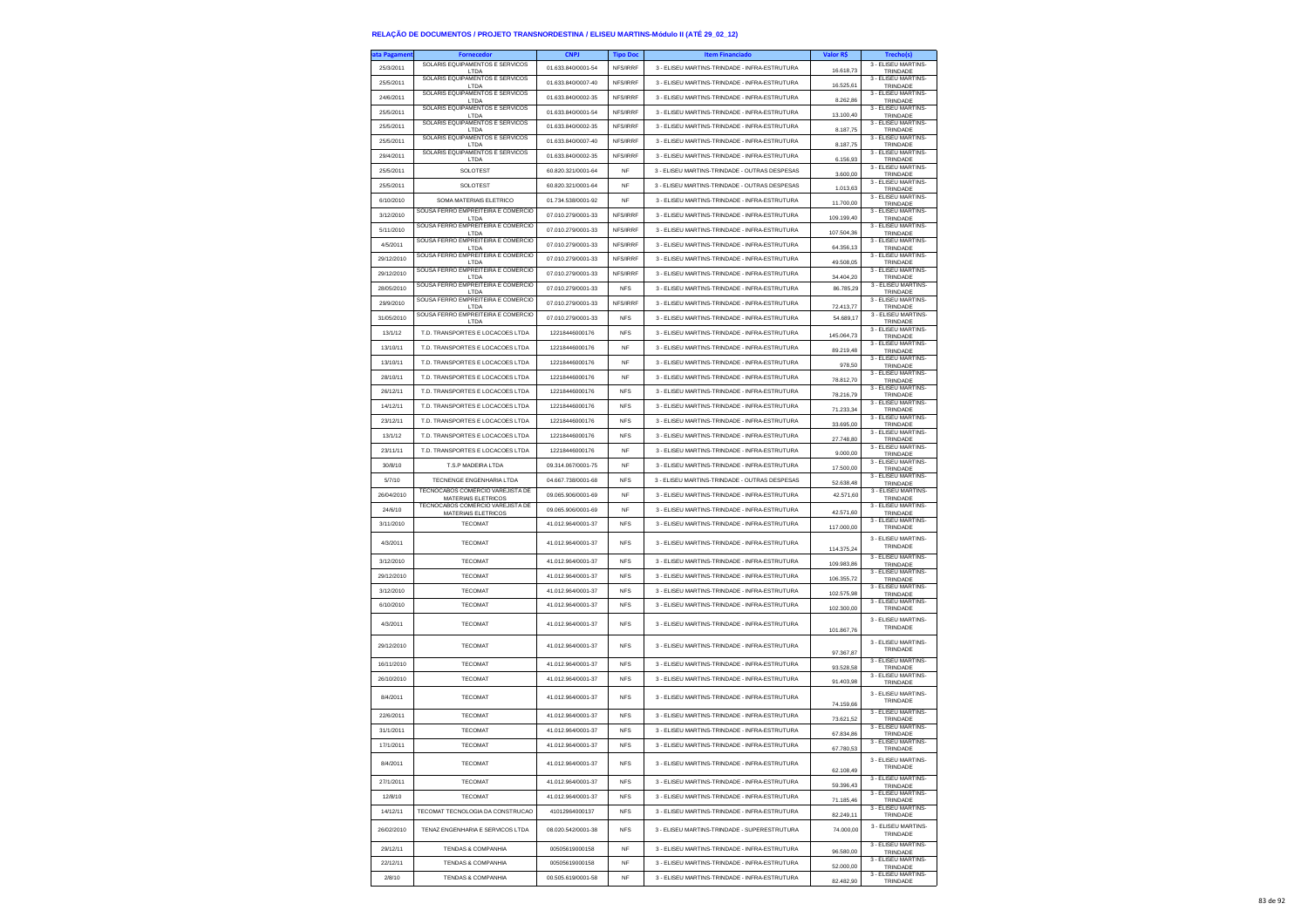| ta Pagament | <b>Fornecedor</b>                                       | <b>CNPJ</b>        | <b>Tipo Doc</b> | <b>Item Financiado</b>                        | Valor R\$              | <b>Trecho(s)</b>                |
|-------------|---------------------------------------------------------|--------------------|-----------------|-----------------------------------------------|------------------------|---------------------------------|
| 25/3/2011   | SOLARIS EQUIPAMENTOS E SERVICOS<br>LTDA                 | 01.633.840/0001-54 | NFS/IRRF        | 3 - ELISEU MARTINS-TRINDADE - INFRA-ESTRUTURA | 16.618,73              | 3 - ELISEU MARTINS-<br>TRINDADE |
| 25/5/2011   | SOLARIS EQUIPAMENTOS E SERVICOS                         | 01.633.840/0007-40 | NFS/IRRF        | 3 - ELISEU MARTINS-TRINDADE - INFRA-ESTRUTURA |                        | 3 - FLISEU MARTINS-             |
|             | LTDA<br>SOLARIS EQUIPAMENTOS E SERVICOS                 | 01 633 840/0002-35 |                 |                                               | 16,525.61              | TRINDADE<br>3 - ELISEU MARTINS- |
| 24/6/2011   | LTDA<br>SOLARIS EQUIPAMENTOS E SERVICOS                 |                    | NFS/IRRF        | 3 - ELISEU MARTINS-TRINDADE - INFRA-ESTRUTURA | 8.262,86               | TRINDADE<br>3 - ELISEU MARTINS- |
| 25/5/2011   | LTDA                                                    | 01.633.840/0001-54 | NFS/IRRF        | 3 - ELISEU MARTINS-TRINDADE - INFRA-ESTRUTURA | 13.100,40              | TRINDADE                        |
| 25/5/2011   | SOLARIS EQUIPAMENTOS E SERVICOS<br>I TDA                | 01.633.840/0002-35 | NFS/IRRF        | 3 - ELISEU MARTINS-TRINDADE - INFRA-ESTRUTURA | 8.187.75               | 3 - ELISEU MARTINS<br>TRINDADE  |
| 25/5/2011   | SOLARIS EQUIPAMENTOS E SERVICOS<br>LTDA                 | 01 633 840/0007-40 | NFS/IRRF        | 3 - FLISELLMARTINS-TRINDADE - INFRA-ESTRUTURA | 8.187,75               | 3 - FLISEU MARTINS-<br>TRINDADE |
| 29/4/2011   | SOLARIS EQUIPAMENTOS E SERVICOS                         | 01.633.840/0002-35 | NFS/IRRF        | 3 - ELISEU MARTINS-TRINDADE - INFRA-ESTRUTURA |                        | 3 - ELISEU MARTINS-             |
| 25/5/2011   | LTDA<br>SOLOTEST                                        | 60.820.321/0001-64 | NF              | 3 - ELISEU MARTINS-TRINDADE - OUTRAS DESPESAS | 6.156,93               | TRINDADE<br>3 - ELISEU MARTINS- |
|             |                                                         |                    |                 |                                               | 3.600,00               | TRINDADE<br>3 - ELISEU MARTINS- |
| 25/5/2011   | SOLOTEST                                                | 60.820.321/0001-64 | <b>NF</b>       | 3 - ELISEU MARTINS-TRINDADE - OUTRAS DESPESAS | 1.013,63               | TRINDADE<br>3 - ELISEU MARTINS- |
| 6/10/2010   | SOMA MATERIAIS ELETRICO                                 | 01.734.538/0001-92 | <b>NF</b>       | 3 - ELISEU MARTINS-TRINDADE - INFRA-ESTRUTURA | 11.700,00              | TRINDADE                        |
| 3/12/2010   | SOUSA FERRO EMPREITEIRA E COMERCIO<br>LTDA              | 07.010.279/0001-33 | NFS/IRRF        | 3 - ELISEU MARTINS-TRINDADE - INFRA-ESTRUTURA | 109.199,40             | 3 - ELISEU MARTINS<br>TRINDADE  |
| 5/11/2010   | SOUSA FERRO EMPREITEIRA E COMERCIO<br>LTDA              | 07.010.279/0001-33 | NFS/IRRF        | 3 - ELISEU MARTINS-TRINDADE - INFRA-ESTRUTURA | 107.504,36             | 3 - FLISEU MARTINS-<br>TRINDADE |
| 4/5/2011    | SOUSA FERRO EMPREITEIRA E COMERCIO<br>LTDA              | 07.010.279/0001-33 | <b>NES/IRRE</b> | 3 - ELISEU MARTINS-TRINDADE - INFRA-ESTRUTURA | 64.356,13              | 3 - ELISEU MARTINS-<br>TRINDADE |
| 29/12/2010  | SOUSA FERRO EMPREITEIRA E COMERCIO                      | 07.010.279/0001-33 | NFS/IRRF        | 3 - ELISEU MARTINS-TRINDADE - INFRA-ESTRUTURA | 49.508,05              | 3 - ELISEU MARTINS-             |
| 29/12/2010  | LTDA<br>SOUSA FERRO EMPREITEIRA E COMERCIO              | 07.010.279/0001-33 | NFS/IRRF        | 3 - ELISEU MARTINS-TRINDADE - INFRA-ESTRUTURA |                        | TRINDADE<br>3 - ELISEU MARTINS- |
|             | LTDA<br>SOUSA FERRO EMPREITEIRA E COMERCIO              |                    |                 |                                               | 34,404.20              | TRINDADE<br>3 - ELISEU MARTINS- |
| 28/05/2010  | LTDA<br>SOUSA FERRO EMPREITEIRA E COMERCIO              | 07.010.279/0001-33 | <b>NFS</b>      | 3 - ELISEU MARTINS-TRINDADE - INFRA-ESTRUTURA | 86.785,29              | TRINDADE<br>3 - ELISEU MARTINS- |
| 29/9/2010   | LTDA                                                    | 07.010.279/0001-33 | NFS/IRRF        | 3 - ELISEU MARTINS-TRINDADE - INFRA-ESTRUTURA | 72.413,77              | TRINDADE                        |
| 31/05/2010  | SOUSA FERRO EMPREITEIRA E COMERCIO<br>LTDA              | 07.010.279/0001-33 | <b>NFS</b>      | 3 - ELISEU MARTINS-TRINDADE - INFRA-ESTRUTURA | 54.689,17              | 3 - ELISEU MARTINS-<br>TRINDADE |
| 13/1/12     | T.D. TRANSPORTES E LOCACOES LTDA                        | 12218446000176     | <b>NFS</b>      | 3 - ELISEU MARTINS-TRINDADE - INFRA-ESTRUTURA | 145.064,73             | 3 - ELISEU MARTINS-<br>TRINDADE |
| 13/10/11    | T.D. TRANSPORTES E LOCACOES LTDA                        | 12218446000176     | NF              | 3 - ELISEU MARTINS-TRINDADE - INFRA-ESTRUTURA | 89.219,48              | 3 - ELISEU MARTINS-<br>TRINDADE |
| 13/10/11    | T.D. TRANSPORTES E LOCACOES LTDA                        | 12218446000176     | <b>NF</b>       | 3 - ELISEU MARTINS-TRINDADE - INFRA-ESTRUTURA |                        | 3 - ELISEU MARTINS-             |
| 28/10/11    | T.D. TRANSPORTES E LOCACOES LTDA                        | 12218446000176     | <b>NF</b>       | 3 - ELISEU MARTINS-TRINDADE - INFRA-ESTRUTURA | 978.50                 | TRINDADE<br>3 - ELISEU MARTINS- |
|             |                                                         |                    |                 |                                               | 78.812,70              | TRINDADE<br>3 - ELISEU MARTINS- |
| 26/12/11    | T.D. TRANSPORTES E LOCACOES LTDA                        | 12218446000176     | <b>NFS</b>      | 3 - ELISEU MARTINS-TRINDADE - INFRA-ESTRUTURA | 78.216,79              | TRINDADE<br>3 - ELISEU MARTINS  |
| 14/12/11    | T.D. TRANSPORTES E LOCACOES LTDA                        | 12218446000176     | <b>NFS</b>      | 3 - ELISEU MARTINS-TRINDADE - INFRA-ESTRUTURA | 71.233.34              | TRINDADE                        |
| 23/12/11    | T.D. TRANSPORTES E LOCACOES LTDA                        | 12218446000176     | <b>NFS</b>      | 3 - ELISEU MARTINS-TRINDADE - INFRA-ESTRUTURA | 33,695.00              | 3 - ELISEU MARTINS-<br>TRINDADE |
| 13/1/12     | T.D. TRANSPORTES E LOCACOES LTDA                        | 12218446000176     | <b>NFS</b>      | 3 - ELISEU MARTINS-TRINDADE - INFRA-ESTRUTURA | 27.748,80              | 3 - ELISEU MARTINS-<br>TRINDADE |
| 23/11/11    | T.D. TRANSPORTES E LOCACOES LTDA                        | 12218446000176     | <b>NF</b>       | 3 - ELISEU MARTINS-TRINDADE - INFRA-ESTRUTURA | 9,000.00               | 3 - ELISEU MARTINS-<br>TRINDADE |
| 30/8/10     | T.S.P MADEIRA LTDA                                      | 09 314 067/0001-75 | <b>NF</b>       | 3 - ELISEU MARTINS-TRINDADE - INFRA-ESTRUTURA | 17.500,00              | 3 - ELISEU MARTINS-<br>TRINDADE |
| 5/7/10      | TECNENGE ENGENHARIA LTDA                                | 04.667.738/0001-68 | <b>NFS</b>      | 3 - ELISEU MARTINS-TRINDADE - OUTRAS DESPESAS |                        | 3 - FLISEU MARTINS              |
| 26/04/2010  | TECNOCABOS COMERCIO VAREJISTA DE                        | 09.065.906/0001-69 | <b>NF</b>       | 3 - ELISEU MARTINS-TRINDADE - INFRA-ESTRUTURA | 52.638,48<br>42.571,60 | TRINDADE<br>3 - ELISEU MARTINS- |
|             | MATERIAIS ELETRICOS<br>TECNOCABOS COMERCIO VAREJISTA DE |                    |                 |                                               |                        | TRINDADE<br>3 - ELISEU MARTINS- |
| 24/6/10     | MATERIAIS ELETRICOS                                     | 09.065.906/0001-69 | <b>NF</b>       | 3 - ELISEU MARTINS-TRINDADE - INFRA-ESTRUTURA | 42.571,60              | TRINDADE<br>3 - ELISEU MARTINS- |
| 3/11/2010   | <b>TECOMAT</b>                                          | 41.012.964/0001-37 | <b>NFS</b>      | 3 - ELISEU MARTINS-TRINDADE - INFRA-ESTRUTURA | 117.000,00             | TRINDADE                        |
| 4/3/2011    | <b>TECOMAT</b>                                          | 41.012.964/0001-37 | <b>NFS</b>      | 3 - ELISEU MARTINS-TRINDADE - INFRA-ESTRUTURA |                        | 3 - ELISEU MARTINS-<br>TRINDADE |
|             |                                                         |                    |                 |                                               | 114,375.24             | 3 - ELISEU MARTINS-             |
| 3/12/2010   | <b>TECOMAT</b>                                          | 41.012.964/0001-37 | <b>NFS</b>      | 3 - ELISEU MARTINS-TRINDADE - INFRA-ESTRUTURA | 109.983,86             | TRINDADE<br>3 - ELISEU MARTINS- |
| 29/12/2010  | <b>TECOMAT</b>                                          | 41.012.964/0001-37 | <b>NFS</b>      | 3 - ELISEU MARTINS-TRINDADE - INFRA-ESTRUTURA | 106.355,72             | TRINDADE                        |
| 3/12/2010   | <b>TECOMAT</b>                                          | 41.012.964/0001-37 | <b>NFS</b>      | 3 - ELISEU MARTINS-TRINDADE - INFRA-ESTRUTURA | 102.575.98             | 3 - ELISEU MARTINS-<br>TRINDADE |
| 6/10/2010   | <b>TECOMAT</b>                                          | 41.012.964/0001-37 | <b>NFS</b>      | 3 - ELISEU MARTINS-TRINDADE - INFRA-ESTRUTURA | 102.300,00             | 3 - ELISEU MARTINS-<br>TRINDADE |
| 4/3/2011    | <b>TECOMAT</b>                                          | 41.012.964/0001-37 | <b>NFS</b>      | 3 - ELISEU MARTINS-TRINDADE - INFRA-ESTRUTURA |                        | 3 - ELISEU MARTINS-             |
|             |                                                         |                    |                 |                                               | 101.867.76             | TRINDADE                        |
| 29/12/2010  | <b>TECOMAT</b>                                          | 41.012.964/0001-37 | <b>NFS</b>      | 3 - ELISEU MARTINS-TRINDADE - INFRA-ESTRUTURA |                        | 3 - ELISEU MARTINS-<br>TRINDADE |
|             |                                                         |                    |                 |                                               | 97.367,87              | 3 - ELISEU MARTINS-             |
| 16/11/2010  | <b>TECOMAT</b>                                          | 41.012.964/0001-37 | <b>NFS</b>      | 3 - ELISEU MARTINS-TRINDADE - INFRA-ESTRUTURA | 93.528,58              | TRINDADE<br>3 - FLISEU MARTINS- |
| 26/10/2010  | <b>TECOMAT</b>                                          | 41.012.964/0001-37 | <b>NFS</b>      | 3 - ELISEU MARTINS-TRINDADE - INFRA-ESTRUTURA | 91,403.98              | TRINDADE                        |
| 8/4/2011    | <b>TECOMAT</b>                                          | 41.012.964/0001-37 | <b>NFS</b>      | 3 - ELISEU MARTINS-TRINDADE - INFRA-ESTRUTURA |                        | 3 - ELISEU MARTINS-<br>TRINDADE |
|             |                                                         |                    |                 |                                               | 74.159,66              | 3 - FLISEU MARTINS-             |
| 22/6/2011   | <b>TECOMAT</b>                                          | 41.012.964/0001-37 | <b>NFS</b>      | 3 - ELISEU MARTINS-TRINDADE - INFRA-ESTRUTURA | 73.621.52              | TRINDADE<br>3 - FLISEU MARTINS- |
| 31/1/2011   | <b>TECOMAT</b>                                          | 41.012.964/0001-37 | <b>NFS</b>      | 3 - ELISEU MARTINS-TRINDADE - INFRA-ESTRUTURA | 67.834.86              | TRINDADE                        |
| 17/1/2011   | <b>TECOMAT</b>                                          | 41.012.964/0001-37 | <b>NFS</b>      | 3 - ELISEU MARTINS-TRINDADE - INFRA-ESTRUTURA | 67.780,53              | 3 - ELISEU MARTINS-<br>I RIND   |
| 8/4/2011    | <b>TECOMAT</b>                                          | 41.012.964/0001-37 | <b>NFS</b>      | 3 - ELISEU MARTINS-TRINDADE - INFRA-ESTRUTURA |                        | 3 - ELISEU MARTINS-             |
|             |                                                         |                    |                 |                                               | 62.108.49              | TRINDADE<br>3 - ELISEU MARTINS- |
| 27/1/2011   | <b>TECOMAT</b>                                          | 41.012.964/0001-37 | <b>NFS</b>      | 3 - ELISEU MARTINS-TRINDADE - INFRA-ESTRUTURA | 59.396,43              | TRINDADE                        |
| 12/8/10     | <b>TECOMAT</b>                                          | 41.012.964/0001-37 | <b>NFS</b>      | 3 - ELISEU MARTINS-TRINDADE - INFRA-ESTRUTURA | 71.185,46              | 3 - ELISEU MARTINS-<br>TRINDADE |
| 14/12/11    | TECOMAT TECNOLOGIA DA CONSTRUCAO                        | 41012964000137     | ${\sf NFS}$     | 3 - FLISEU MARTINS-TRINDADE - INFRA-ESTRUTURA | 82.249.11              | 3 - ELISEU MARTINS-<br>TRINDADE |
| 26/02/2010  | TENAZ ENGENHARIA E SERVICOS LTDA                        | 08.020.542/0001-38 | <b>NFS</b>      | 3 - ELISEU MARTINS-TRINDADE - SUPERESTRUTURA  | 74.000,00              | 3 - FLISEU MARTINS-             |
|             |                                                         |                    |                 |                                               |                        | TRINDADE<br>3 - ELISEU MARTINS- |
| 29/12/11    | <b>TENDAS &amp; COMPANHIA</b>                           | 00505619000158     | NF              | 3 - ELISEU MARTINS-TRINDADE - INFRA-ESTRUTURA | 96,580.00              | TRINDADE                        |
| 22/12/11    | <b>TENDAS &amp; COMPANHIA</b>                           | 00505619000158     | <b>NF</b>       | 3 - ELISEU MARTINS-TRINDADE - INFRA-ESTRUTURA | 52.000,00              | 3 - ELISEU MARTINS-<br>TRINDADE |
| 2/8/10      | <b>TENDAS &amp; COMPANHIA</b>                           | 00.505.619/0001-58 | <b>NF</b>       | 3 - ELISEU MARTINS-TRINDADE - INFRA-ESTRUTURA | 82.482,90              | 3 - ELISEU MARTINS-<br>TRINDADE |
|             |                                                         |                    |                 |                                               |                        |                                 |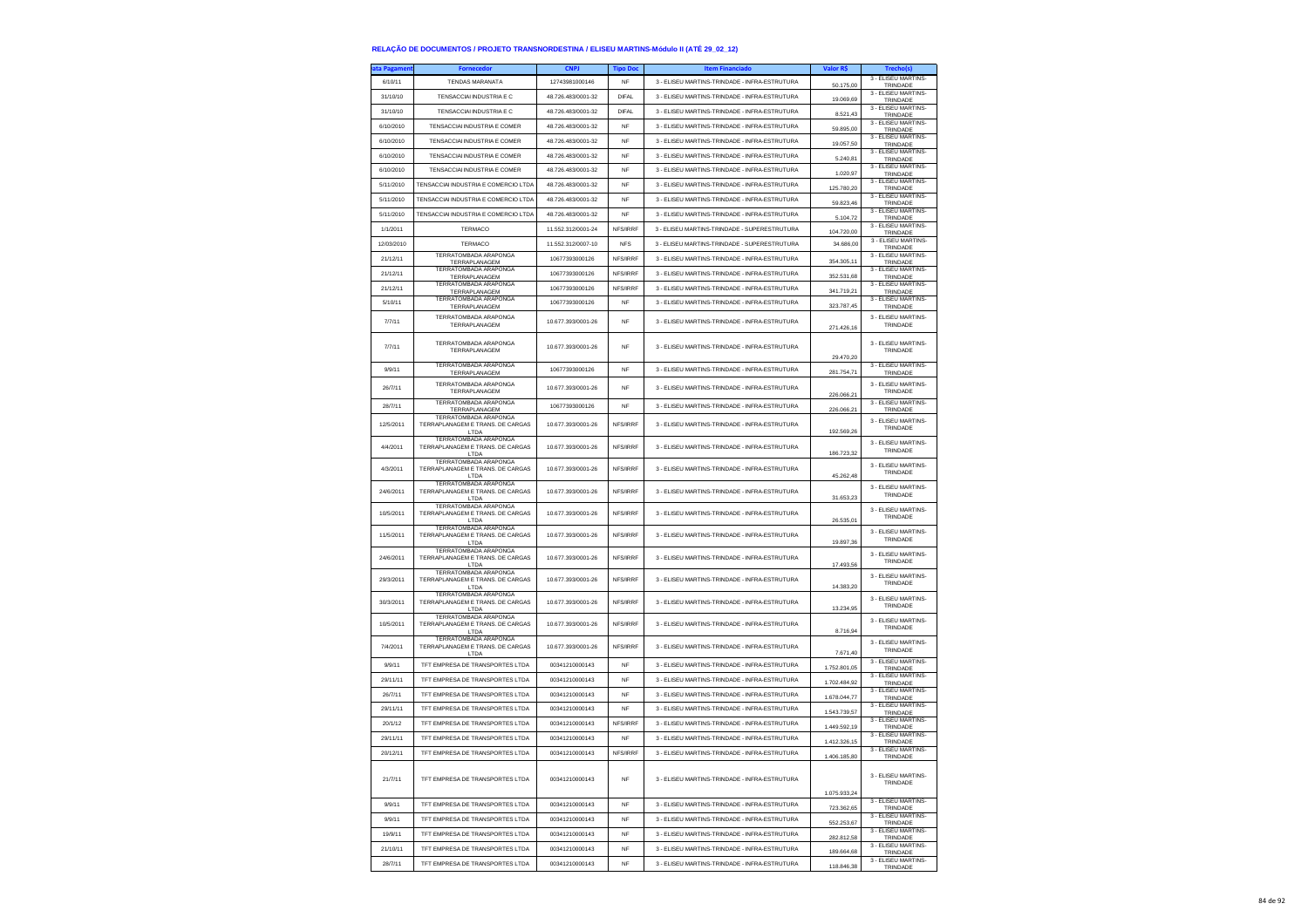| ata Pagamen | <b>Fornecedor</b>                                                | <b>CNPJ</b>        | <b>Tipo Doc</b> | <b>Item Financiado</b>                        | Valor R\$               | Trecho(s)                       |
|-------------|------------------------------------------------------------------|--------------------|-----------------|-----------------------------------------------|-------------------------|---------------------------------|
| 6/10/11     | <b>TENDAS MARANATA</b>                                           | 12743981000146     | <b>NF</b>       | 3 - ELISEU MARTINS-TRINDADE - INFRA-ESTRUTURA | 50.175,00               | 3 - ELISEU MARTINS-<br>TRINDADE |
| 31/10/10    | TENSACCIAI INDUSTRIA E C                                         | 48.726.483/0001-32 | <b>DIFAL</b>    | 3 - ELISEU MARTINS-TRINDADE - INFRA-ESTRUTURA | 19.069,69               | 3 - ELISEU MARTINS-             |
| 31/10/10    | TENSACCIAI INDUSTRIA E C                                         | 48.726.483/0001-32 | <b>DIFAL</b>    | 3 - ELISEU MARTINS-TRINDADE - INFRA-ESTRUTURA |                         | TRINDADE<br>3 - ELISEU MARTINS- |
|             |                                                                  |                    |                 | 3 - ELISEU MARTINS-TRINDADE - INFRA-ESTRUTURA | 8.521.43                | TRINDADE<br>3 - ELISEU MARTINS- |
| 6/10/2010   | TENSACCIAI INDUSTRIA E COMER                                     | 48.726.483/0001-32 | NF              |                                               | 59.895,00               | TRINDADE<br>3 - ELISEU MARTINS- |
| 6/10/2010   | TENSACCIAI INDUSTRIA E COMER                                     | 48.726.483/0001-32 | NF              | 3 - ELISEU MARTINS-TRINDADE - INFRA-ESTRUTURA | 19.057.50               | TRINDADE                        |
| 6/10/2010   | TENSACCIAI INDUSTRIA E COMER                                     | 48 726 483/0001-32 | <b>NF</b>       | 3 - ELISEU MARTINS-TRINDADE - INFRA-ESTRUTURA | 5.240,81                | 3 - ELISEU MARTINS-<br>TRINDADE |
| 6/10/2010   | TENSACCIAI INDUSTRIA E COMER                                     | 48.726.483/0001-32 | NF              | 3 - ELISEU MARTINS-TRINDADE - INFRA-ESTRUTURA | 1.020.97                | 3 - ELISEU MARTINS-<br>TRINDADE |
| 5/11/2010   | TENSACCIAI INDUSTRIA E COMERCIO LTDA                             | 48 726 483/0001-32 | <b>NF</b>       | 3 - ELISEU MARTINS-TRINDADE - INFRA-ESTRUTURA | 125.780,20              | 3 - ELISEU MARTINS-<br>TRINDADE |
| 5/11/2010   | TENSACCIAI INDUSTRIA E COMERCIO LTD/                             | 48.726.483/0001-32 | NF              | 3 - ELISEU MARTINS-TRINDADE - INFRA-ESTRUTURA | 59.823,46               | 3 - ELISEU MARTINS-<br>TRINDADE |
| 5/11/2010   | TENSACCIAI INDUSTRIA E COMERCIO LTDA                             | 48.726.483/0001-32 | <b>NF</b>       | 3 - ELISEU MARTINS-TRINDADE - INFRA-ESTRUTURA | 5.104.72                | 3 - ELISEU MARTINS<br>TRINDADE  |
| 1/1/2011    | TERMACO                                                          | 11.552.312/0001-24 | NFS/IRRF        | 3 - ELISEU MARTINS-TRINDADE - SUPERESTRUTURA  |                         | 3 - FLISEU MARTINS-             |
| 12/03/2010  | TERMACO                                                          | 11.552.312/0007-10 | <b>NFS</b>      | 3 - ELISEU MARTINS-TRINDADE - SUPERESTRUTURA  | 104.720,00<br>34,686.00 | TRINDADE<br>3 - ELISEU MARTINS- |
| 21/12/11    | TERRATOMBADA ARAPONGA                                            | 10677393000126     | NFS/IRRF        | 3 - ELISEU MARTINS-TRINDADE - INFRA-ESTRUTURA |                         | TRINDADE<br>3 - ELISEU MARTINS- |
|             | TERRAPLANAGEM<br><b>TERRATOMBADA ARAPONGA</b>                    |                    |                 |                                               | 354.305,11              | TRINDADE<br>3 - ELISEU MARTINS- |
| 21/12/11    | TERRAPLANAGEM<br>TERRATOMBADA ARAPONGA                           | 10677393000126     | NFS/IRRF        | 3 - ELISEU MARTINS-TRINDADE - INFRA-ESTRUTURA | 352.531.68              | TRINDADE<br>3 - ELISEU MARTINS- |
| 21/12/11    | TERRAPLANAGEM                                                    | 10677393000126     | NFS/IRRF        | 3 - ELISEU MARTINS-TRINDADE - INFRA-ESTRUTURA | 341.719,21              | TRINDADE                        |
| 5/10/11     | TERRATOMBADA ARAPONGA<br>TERRAPLANAGEM                           | 10677393000126     | <b>NF</b>       | 3 - ELISEU MARTINS-TRINDADE - INFRA-ESTRUTURA | 323.787,45              | 3 - ELISEU MARTINS<br>TRINDADE  |
| 7/7/11      | TERRATOMBADA ARAPONGA                                            | 10.677.393/0001-26 | NF              | 3 - ELISEU MARTINS-TRINDADE - INFRA-ESTRUTURA |                         | 3 - ELISEU MARTINS-             |
|             | TERRAPLANAGEM                                                    |                    |                 |                                               | 271.426.16              | TRINDADE                        |
| 7/7/11      | TERRATOMBADA ARAPONGA                                            | 10 677 393/0001-26 | <b>NF</b>       | 3 - ELISEU MARTINS-TRINDADE - INFRA-ESTRUTURA |                         | 3 - ELISEU MARTINS-             |
|             | TERRAPLANAGEM                                                    |                    |                 |                                               | 29,470.20               | TRINDADE                        |
| 9/9/11      | <b>TERRATOMBADA ARAPONGA</b><br>TERRAPLANAGEM                    | 10677393000126     | NF              | 3 - ELISEU MARTINS-TRINDADE - INFRA-ESTRUTURA | 281.754,71              | 3 - ELISEU MARTINS-<br>TRINDADE |
| 26/7/11     | TERRATOMBADA ARAPONGA                                            | 10.677.393/0001-26 | <b>NF</b>       | 3 - ELISEU MARTINS-TRINDADE - INFRA-ESTRUTURA |                         | 3 - ELISEU MARTINS              |
|             | TERRAPLANAGEM<br>TERRATOMBADA ARAPONGA                           |                    |                 |                                               | 226.066,21              | TRINDADE<br>3 - ELISEU MARTINS- |
| 28/7/11     | TERRAPLANAGEM                                                    | 10677393000126     | <b>NF</b>       | 3 - FLISELLMARTINS-TRINDADE - INFRA-ESTRUTURA | 226.066,21              | TRINDADE                        |
| 12/5/2011   | TERRATOMBADA ARAPONGA<br>TERRAPLANAGEM E TRANS. DE CARGAS        | 10.677.393/0001-26 | NFS/IRRF        | 3 - ELISEU MARTINS-TRINDADE - INFRA-ESTRUTURA |                         | 3 - ELISEU MARTINS<br>TRINDADE  |
|             | LTDA<br>TERRATOMBADA ARAPONGA                                    |                    |                 |                                               | 192.569,26              |                                 |
| 4/4/2011    | TERRAPLANAGEM E TRANS. DE CARGAS<br>LTDA                         | 10.677.393/0001-26 | NFS/IRRF        | 3 - ELISEU MARTINS-TRINDADE - INFRA-ESTRUTURA | 186.723,32              | 3 - ELISEU MARTINS-<br>TRINDADE |
| 4/3/2011    | TERRATOMBADA ARAPONGA<br>TERRAPLANAGEM E TRANS. DE CARGAS        | 10.677.393/0001-26 | NFS/IRRF        | 3 - ELISEU MARTINS-TRINDADE - INFRA-ESTRUTURA |                         | 3 - ELISEU MARTINS-             |
|             | LTDA                                                             |                    |                 |                                               | 45.262,48               | TRINDADE                        |
| 24/6/2011   | TERRATOMBADA ARAPONGA<br>TERRAPLANAGEM E TRANS. DE CARGAS        | 10.677.393/0001-26 | NFS/IRRF        | 3 - ELISEU MARTINS-TRINDADE - INFRA-ESTRUTURA |                         | 3 - ELISEU MARTINS-<br>TRINDADE |
|             | LTDA<br><b>TERRATOMBADA ARAPONGA</b>                             |                    |                 |                                               | 31.653.23               | 3 - ELISEU MARTINS-             |
| 10/5/2011   | TERRAPLANAGEM E TRANS. DE CARGAS<br>LTDA                         | 10.677.393/0001-26 | NFS/IRRF        | 3 - ELISEU MARTINS-TRINDADE - INFRA-ESTRUTURA | 26.535,01               | TRINDADE                        |
| 11/5/2011   | <b>TERRATOMBADA ARAPONGA</b><br>TERRAPLANAGEM E TRANS. DE CARGAS | 10.677.393/0001-26 | NFS/IRRF        | 3 - ELISEU MARTINS-TRINDADE - INFRA-ESTRUTURA |                         | 3 - ELISEU MARTINS              |
|             | LTDA                                                             |                    |                 |                                               | 19.897,36               | TRINDADE                        |
| 24/6/2011   | TERRATOMBADA ARAPONGA<br>TERRAPLANAGEM E TRANS. DE CARGAS        | 10.677.393/0001-26 | NFS/IRRF        | 3 - ELISEU MARTINS-TRINDADE - INFRA-ESTRUTURA |                         | 3 - ELISEU MARTINS-<br>TRINDADE |
|             | LTDA<br><b>TERRATOMBADA ARAPONGA</b>                             |                    |                 |                                               | 17.493,56               | 3 - ELISEU MARTINS-             |
| 29/3/2011   | TERRAPLANAGEM E TRANS. DE CARGAS<br>LTDA                         | 10.677.393/0001-26 | NFS/IRRF        | 3 - ELISEU MARTINS-TRINDADE - INFRA-ESTRUTURA | 14.383,20               | TRINDADE                        |
| 30/3/2011   | <b>TERRATOMBADA ARAPONGA</b><br>TERRAPLANAGEM E TRANS. DE CARGAS | 10.677.393/0001-26 | NFS/IRRF        | 3 - ELISEU MARTINS-TRINDADE - INFRA-ESTRUTURA |                         | 3 - ELISEU MARTINS-             |
|             | LTDA                                                             |                    |                 |                                               | 13.234.95               | TRINDADE                        |
| 10/5/2011   | TERRATOMBADA ARAPONGA<br>TERRAPLANAGEM E TRANS. DE CARGAS        | 10.677.393/0001-26 | NFS/IRRF        | 3 - ELISEU MARTINS-TRINDADE - INFRA-ESTRUTURA |                         | 3 - ELISEU MARTINS<br>TRINDADE  |
|             | LTDA<br>TERRATOMBADA ARAPONGA                                    |                    |                 |                                               | 8.716,94                |                                 |
| 7/4/2011    | TERRAPLANAGEM E TRANS. DE CARGAS<br>LTDA                         | 10.677.393/0001-26 | NFS/IRRF        | 3 - ELISEU MARTINS-TRINDADE - INFRA-ESTRUTURA | 7.671,40                | 3 - ELISEU MARTINS-<br>TRINDADE |
| 9/9/11      | TFT EMPRESA DE TRANSPORTES LTDA                                  | 00341210000143     | <b>NF</b>       | 3 - ELISEU MARTINS-TRINDADE - INFRA-ESTRUTURA | 1.752.801.05            | 3 - ELISEU MARTINS-<br>TRINDADE |
| 29/11/11    | TFT EMPRESA DE TRANSPORTES LTDA                                  | 00341210000143     | <b>NF</b>       | 3 - ELISEU MARTINS-TRINDADE - INFRA-ESTRUTURA |                         | 3 - ELISEU MARTINS              |
| 26/7/11     | TFT EMPRESA DE TRANSPORTES LTDA                                  | 00341210000143     | <b>NF</b>       | 3 - ELISEU MARTINS-TRINDADE - INFRA-ESTRUTURA | 1.702.484,92            | TRINDADE<br>3 - ELISEU MARTINS- |
| 29/11/11    | TFT EMPRESA DE TRANSPORTES LTDA                                  | 00341210000143     | NF              | 3 - ELISEU MARTINS-TRINDADE - INFRA-ESTRUTURA | 1.678.044.77            | TRINDADE<br>3 - ELISEU MARTINS- |
|             |                                                                  |                    |                 |                                               | 1.543.739,57            | TRINDADE<br>3 - ELISEU MARTINS- |
| 20/1/12     | TFT EMPRESA DE TRANSPORTES LTDA                                  | 00341210000143     | NFS/IRRF        | 3 - ELISEU MARTINS-TRINDADE - INFRA-ESTRUTURA | 1.449.592,19            | TRINDADE<br>3 - ELISEU MARTINS- |
| 29/11/11    | TET EMPRESA DE TRANSPORTES I TDA                                 | 00341210000143     | <b>NF</b>       | 3 - FLISELLMARTINS-TRINDADE - INFRA-ESTRUTURA | 1.412.326,15            | TRINDADE<br>3 - ELISEU MARTINS- |
| 20/12/11    | TFT EMPRESA DE TRANSPORTES LTDA                                  | 00341210000143     | NFS/IRRF        | 3 - ELISEU MARTINS-TRINDADE - INFRA-ESTRUTURA | 1.406.185,80            | TRINDADE                        |
|             |                                                                  |                    |                 |                                               |                         | 3 - ELISEU MARTINS-             |
| 21/7/11     | TFT EMPRESA DE TRANSPORTES LTDA                                  | 00341210000143     | <b>NF</b>       | 3 - ELISEU MARTINS-TRINDADE - INFRA-ESTRUTURA |                         | TRINDADE                        |
|             |                                                                  |                    |                 |                                               | 1.075.933,24            | 3 - ELISEU MARTINS-             |
| 9/9/11      | TFT EMPRESA DE TRANSPORTES LTDA                                  | 00341210000143     | <b>NF</b>       | 3 - ELISEU MARTINS-TRINDADE - INFRA-ESTRUTURA | 723.362,65              | TRINDADE<br>3 - ELISEU MARTINS  |
| 9/9/11      | TFT EMPRESA DE TRANSPORTES LTDA                                  | 00341210000143     | <b>NF</b>       | 3 - ELISEU MARTINS-TRINDADE - INFRA-ESTRUTURA | 552.253,67              | TRINDADE                        |
| 19/9/11     | TFT EMPRESA DE TRANSPORTES LTDA                                  | 00341210000143     | <b>NF</b>       | 3 - ELISEU MARTINS-TRINDADE - INFRA-ESTRUTURA | 282.812,58              | 3 - ELISEU MARTINS-<br>TRINDADE |
| 21/10/11    | TFT EMPRESA DE TRANSPORTES LTDA                                  | 00341210000143     | <b>NF</b>       | 3 - ELISEU MARTINS-TRINDADE - INFRA-ESTRUTURA | 189,664.68              | 3 - ELISEU MARTINS-<br>TRINDADE |
| 28/7/11     | TFT EMPRESA DE TRANSPORTES LTDA                                  | 00341210000143     | NF              | 3 - ELISEU MARTINS-TRINDADE - INFRA-ESTRUTURA | 118.846,38              | 3 - ELISEU MARTINS-<br>TRINDADE |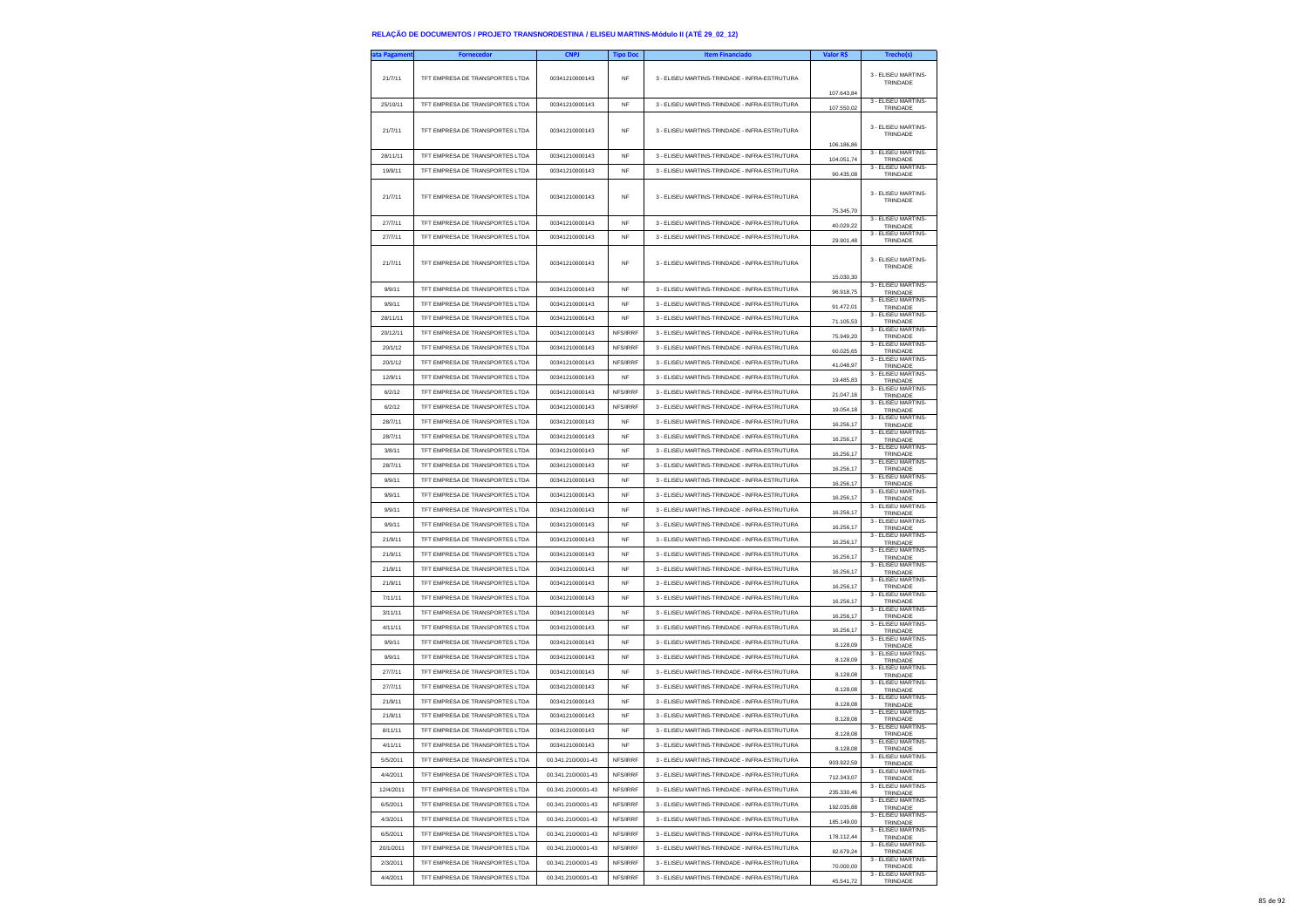| ata Pagament | <b>Fornecedor</b>               | <b>CNPJ</b>        | <b>Tipo Doc</b> | <b>Item Financiado</b>                                                                         | Valor R\$                | Trecho(s)                              |
|--------------|---------------------------------|--------------------|-----------------|------------------------------------------------------------------------------------------------|--------------------------|----------------------------------------|
| 21/7/11      | TFT EMPRESA DE TRANSPORTES LTDA | 00341210000143     | NF              | 3 - ELISEU MARTINS-TRINDADE - INFRA-ESTRUTURA                                                  |                          | 3 - FLISEU MARTINS<br>TRINDADE         |
| 25/10/11     | TFT EMPRESA DE TRANSPORTES LTDA | 00341210000143     | NF              | 3 - ELISEU MARTINS-TRINDADE - INFRA-ESTRUTURA                                                  | 107.643.84<br>107.550,02 | 3 - ELISEU MARTINS-<br>TRINDADE        |
| 21/7/11      | TFT EMPRESA DE TRANSPORTES LTDA | 00341210000143     | NF              | 3 - ELISEU MARTINS-TRINDADE - INFRA-ESTRUTURA                                                  | 106,186.86               | 3 - ELISEU MARTINS-<br>TRINDADE        |
| 28/11/11     | TFT EMPRESA DE TRANSPORTES LTDA | 00341210000143     | NF              | 3 - ELISEU MARTINS-TRINDADE - INFRA-ESTRUTURA                                                  | 104.051,74               | 3 - ELISEU MARTINS-<br>TRINDADE        |
| 19/9/11      | TFT EMPRESA DE TRANSPORTES LTDA | 00341210000143     | <b>NF</b>       | 3 - ELISEU MARTINS-TRINDADE - INFRA-ESTRUTURA                                                  | 90.435,08                | 3 - ELISEU MARTINS-<br>TRINDADE        |
| 21/7/11      | TFT EMPRESA DE TRANSPORTES LTDA | 00341210000143     | NF              | 3 - ELISEU MARTINS-TRINDADE - INFRA-ESTRUTURA                                                  | 75,345.70                | 3 - ELISEU MARTINS-<br>TRINDADE        |
| 27/7/11      | TFT EMPRESA DE TRANSPORTES LTDA | 00341210000143     | <b>NF</b>       | 3 - ELISEU MARTINS-TRINDADE - INFRA-ESTRUTURA                                                  | 40.029,22                | 3 - ELISEU MARTINS-<br>TRINDADE        |
| 27/7/11      | TFT EMPRESA DE TRANSPORTES LTDA | 00341210000143     | NF              | 3 - ELISEU MARTINS-TRINDADE - INFRA-ESTRUTURA                                                  | 29.901,48                | 3 - ELISEU MARTINS<br>TRINDADE         |
| 21/7/11      | TFT EMPRESA DE TRANSPORTES LTDA | 00341210000143     | NF              | 3 - ELISEU MARTINS-TRINDADE - INFRA-ESTRUTURA                                                  | 15.030,30                | 3 - ELISEU MARTINS-<br>TRINDADE        |
| 9/9/11       | TFT EMPRESA DE TRANSPORTES LTDA | 00341210000143     | NF              | 3 - ELISEU MARTINS-TRINDADE - INFRA-ESTRUTURA                                                  | 96.918,75                | 3 - ELISEU MARTINS-<br>TRINDADE        |
| 9/9/11       | TFT EMPRESA DE TRANSPORTES LTDA | 00341210000143     | <b>NF</b>       | 3 - ELISEU MARTINS-TRINDADE - INFRA-ESTRUTURA                                                  | 91.472,01                | 3 - ELISEU MARTINS-<br>TRINDADE        |
| 28/11/11     | TFT EMPRESA DE TRANSPORTES LTDA | 00341210000143     | <b>NF</b>       | 3 - ELISEU MARTINS-TRINDADE - INFRA-ESTRUTURA                                                  | 71.105,53                | 3 - ELISEU MARTINS-<br>TRINDADE        |
| 20/12/11     | TFT EMPRESA DE TRANSPORTES LTDA | 00341210000143     | NFS/IRRF        | 3 - ELISEU MARTINS-TRINDADE - INFRA-ESTRUTURA                                                  | 75.949,20                | 3 - ELISEU MARTINS-<br>TRINDADE        |
| 20/1/12      | TFT EMPRESA DE TRANSPORTES LTDA | 00341210000143     | NFS/IRRF        | 3 - ELISEU MARTINS-TRINDADE - INFRA-ESTRUTURA                                                  | 60.025,65                | 3 - ELISEU MARTINS-<br>TRINDADE        |
| 20/1/12      | TFT EMPRESA DE TRANSPORTES LTDA | 00341210000143     | NFS/IRRF        | 3 - ELISEU MARTINS-TRINDADE - INFRA-ESTRUTURA                                                  | 41.048,97                | 3 - ELISEU MARTINS-<br>TRINDADE        |
| 12/9/11      | TFT EMPRESA DE TRANSPORTES LTDA | 00341210000143     | NF              | 3 - ELISEU MARTINS-TRINDADE - INFRA-ESTRUTURA                                                  | 19.485,83                | 3 - ELISEU MARTINS-<br>TRINDADE        |
| 6/2/12       | TFT EMPRESA DE TRANSPORTES LTDA | 00341210000143     | NFS/IRRF        | 3 - ELISEU MARTINS-TRINDADE - INFRA-ESTRUTURA                                                  | 21.047.16                | 3 - ELISEU MARTINS-                    |
| 6/2/12       | TFT EMPRESA DE TRANSPORTES LTDA | 00341210000143     | NFS/IRRF        | 3 - ELISEU MARTINS-TRINDADE - INFRA-ESTRUTURA                                                  |                          | TRINDADE<br>3 - ELISEU MARTINS-        |
| 28/7/11      | TFT EMPRESA DE TRANSPORTES LTDA | 00341210000143     | NF              | 3 - ELISEU MARTINS-TRINDADE - INFRA-ESTRUTURA                                                  | 19.054,18                | TRINDADE<br>3 - ELISEU MARTINS-        |
| 28/7/11      | TFT EMPRESA DE TRANSPORTES LTDA | 00341210000143     | <b>NF</b>       | 3 - ELISEU MARTINS-TRINDADE - INFRA-ESTRUTURA                                                  | 16.256,17                | TRINDADE<br>3 - ELISEU MARTINS-        |
| 3/8/11       | TFT EMPRESA DE TRANSPORTES LTDA | 00341210000143     | <b>NF</b>       | 3 - ELISEU MARTINS-TRINDADE - INFRA-ESTRUTURA                                                  | 16 256 17                | TRINDADE<br>3 - ELISEU MARTINS-        |
| 28/7/11      | TFT EMPRESA DE TRANSPORTES LTDA | 00341210000143     | NF              | 3 - ELISEU MARTINS-TRINDADE - INFRA-ESTRUTURA                                                  | 16.256.17                | TRINDADE<br>3 - ELISEU MARTINS-        |
| 9/9/11       | TFT EMPRESA DE TRANSPORTES LTDA | 00341210000143     | <b>NF</b>       |                                                                                                | 16.256,17                | TRINDADE<br>3 - ELISEU MARTINS         |
| 9/9/11       | TFT EMPRESA DE TRANSPORTES LTDA | 00341210000143     |                 | 3 - ELISEU MARTINS-TRINDADE - INFRA-ESTRUTURA<br>3 - ELISEU MARTINS-TRINDADE - INFRA-ESTRUTURA | 16,256.17                | TRINDADE<br>3 - ELISEU MARTINS-        |
|              |                                 |                    | <b>NF</b>       |                                                                                                | 16,256.17                | TRINDADE<br>3 - ELISEU MARTINS-        |
| 9/9/11       | TFT EMPRESA DE TRANSPORTES LTDA | 00341210000143     | NF              | 3 - ELISEU MARTINS-TRINDADE - INFRA-ESTRUTURA                                                  | 16.256,17                | TRINDADE<br>3 - ELISEU MARTINS-        |
| 9/9/11       | TFT EMPRESA DE TRANSPORTES LTDA | 00341210000143     | NF              | 3 - ELISEU MARTINS-TRINDADE - INFRA-ESTRUTURA                                                  | 16,256.17                | TRINDADE<br>3 - ELISEU MARTINS-        |
| 21/9/11      | TFT EMPRESA DE TRANSPORTES LTDA | 00341210000143     | <b>NF</b>       | 3 - ELISEU MARTINS-TRINDADE - INFRA-ESTRUTURA                                                  | 16.256,17                | TRINDADE<br>3 - ELISEU MARTINS-        |
| 21/9/11      | TFT EMPRESA DE TRANSPORTES LTDA | 00341210000143     | <b>NF</b>       | 3 - ELISEU MARTINS-TRINDADE - INFRA-ESTRUTURA                                                  | 16.256,17                | TRINDADE<br>3 - ELISEU MARTINS         |
| 21/9/11      | TFT EMPRESA DE TRANSPORTES LTDA | 00341210000143     | <b>NF</b>       | 3 - ELISEU MARTINS-TRINDADE - INFRA-ESTRUTURA                                                  | 16,256.17                | TRINDADE                               |
| 21/9/11      | TFT EMPRESA DE TRANSPORTES LTDA | 00341210000143     | <b>NF</b>       | 3 - ELISEU MARTINS-TRINDADE - INFRA-ESTRUTURA                                                  | 16.256,17                | 3 - ELISEU MARTINS-<br>TRINDADE        |
| 7/11/11      | TFT EMPRESA DE TRANSPORTES LTDA | 00341210000143     | NF              | 3 - ELISEU MARTINS-TRINDADE - INFRA-ESTRUTURA                                                  | 16.256,17                | 3 - ELISEU MARTINS-<br>TRINDADE        |
| 3/11/11      | TFT EMPRESA DE TRANSPORTES LTDA | 00341210000143     | NF              | 3 - ELISEU MARTINS-TRINDADE - INFRA-ESTRUTURA                                                  | 16,256.17                | 3 - ELISEU MARTINS-<br>TRINDADE        |
| 4/11/11      | TFT EMPRESA DE TRANSPORTES LTDA | 00341210000143     | <b>NF</b>       | 3 - ELISEU MARTINS-TRINDADE - INFRA-ESTRUTURA                                                  | 16.256,17                | 3 - ELISEU MARTINS-<br>TRINDADE        |
| 9/9/11       | TFT EMPRESA DE TRANSPORTES LTDA | 00341210000143     | NF              | 3 - ELISEU MARTINS-TRINDADE - INFRA-ESTRUTURA                                                  | 8.128,09                 | 3 - ELISEU MARTINS-<br>TRINDADE        |
| 9/9/11       | TFT EMPRESA DE TRANSPORTES LTDA | 00341210000143     | NF              | 3 - ELISEU MARTINS-TRINDADE - INFRA-ESTRUTURA                                                  | 8,128.09                 | 3 - FLISEU MARTINS-<br>TRINDADE        |
| 27/7/11      | TET EMPRESA DE TRANSPORTES LTDA | 00341210000143     | <b>NF</b>       | 3 - FLISELLMARTINS-TRINDADE - INFRA-ESTRUTURA                                                  | 8.128,08                 | 3 - ELISEU MARTINS-<br>TRINDADE        |
| 27/7/11      | TFT EMPRESA DE TRANSPORTES LTDA | 00341210000143     | <b>NF</b>       | 3 - ELISEU MARTINS-TRINDADE - INFRA-ESTRUTURA                                                  | 8.128,08                 | 3 - ELISEU MARTINS-<br>TRINDADE        |
| 21/9/11      | TFT EMPRESA DE TRANSPORTES LTDA | 00341210000143     | NF              | 3 - ELISEU MARTINS-TRINDADE - INFRA-ESTRUTURA                                                  | 8.128,08                 | 3 - ELISEU MARTINS-<br>TRINDADE        |
| 21/9/11      | TET EMPRESA DE TRANSPORTES LTDA | 00341210000143     | <b>NF</b>       | 3 - ELISEU MARTINS-TRINDADE - INFRA-ESTRUTURA                                                  | 8.128,08                 | 3 - FLISEU MARTINS-<br>TRINDADE        |
| 8/11/11      | TFT EMPRESA DE TRANSPORTES LTDA | 00341210000143     | <b>NF</b>       | 3 - FLISELLMARTINS-TRINDADE - INFRA-ESTRUTURA                                                  | 8.128,08                 | 3 - ELISEU MARTINS-<br>TRINDADE        |
| 4/11/11      | TFT EMPRESA DE TRANSPORTES LTDA | 00341210000143     | NF              | 3 - ELISEU MARTINS-TRINDADE - INFRA-ESTRUTURA                                                  | 8.128.08                 | 3 - ELISEU MARTINS-<br><b>TRINDADE</b> |
| 5/5/2011     | TFT EMPRESA DE TRANSPORTES LTDA | 00.341.210/0001-43 | NFS/IRRF        | 3 - ELISEU MARTINS-TRINDADE - INFRA-ESTRUTURA                                                  | 903.922,59               | 3 - ELISEU MARTINS-<br>TRINDADE        |
| 4/4/2011     | TFT EMPRESA DE TRANSPORTES LTDA | 00.341.210/0001-43 | NFS/IRRF        | 3 - ELISEU MARTINS-TRINDADE - INFRA-ESTRUTURA                                                  | 712.343,07               | 3 - ELISEU MARTINS-                    |
| 12/4/2011    | TFT EMPRESA DE TRANSPORTES LTDA | 00.341.210/0001-43 | NFS/IRRF        | 3 - ELISEU MARTINS-TRINDADE - INFRA-ESTRUTURA                                                  |                          | TRINDADE<br>3 - FLISEU MARTINS-        |
| 6/5/2011     | TFT EMPRESA DE TRANSPORTES LTDA | 00.341.210/0001-43 | NFS/IRRF        | 3 - ELISEU MARTINS-TRINDADE - INFRA-ESTRUTURA                                                  | 235.330,46               | TRINDADE<br>3 - ELISEU MARTINS-        |
| 4/3/2011     | TFT EMPRESA DE TRANSPORTES LTDA | 00.341.210/0001-43 | NFS/IRRF        | 3 - ELISEU MARTINS-TRINDADE - INFRA-ESTRUTURA                                                  | 192.035.88               | TRINDADE<br>3 - ELISEU MARTINS-        |
| 6/5/2011     | TFT EMPRESA DE TRANSPORTES LTDA | 00.341.210/0001-43 | NFS/IRRF        | 3 - ELISEU MARTINS-TRINDADE - INFRA-ESTRUTURA                                                  | 185.149.00               | TRINDADE<br>3 - ELISEU MARTINS-        |
|              | TFT EMPRESA DE TRANSPORTES LTDA |                    |                 |                                                                                                | 178.112,44               | TRINDADE<br>3 - ELISEU MARTINS-        |
| 20/1/2011    |                                 | 00.341.210/0001-43 | NFS/IRRF        | 3 - ELISEU MARTINS-TRINDADE - INFRA-ESTRUTURA                                                  | 82.679.24                | TRINDADE<br>3 - ELISEU MARTINS-        |
| 2/3/2011     | TFT EMPRESA DE TRANSPORTES LTDA | 00.341.210/0001-43 | NFS/IRRF        | 3 - ELISEU MARTINS-TRINDADE - INFRA-ESTRUTURA                                                  | 70.000,00                | TRINDADE<br>3 - ELISEU MARTINS-        |
| 4/4/2011     | TFT EMPRESA DE TRANSPORTES LTDA | 00.341.210/0001-43 | NFS/IRRF        | 3 - ELISEU MARTINS-TRINDADE - INFRA-ESTRUTURA                                                  | 45.541,72                | TRINDADE                               |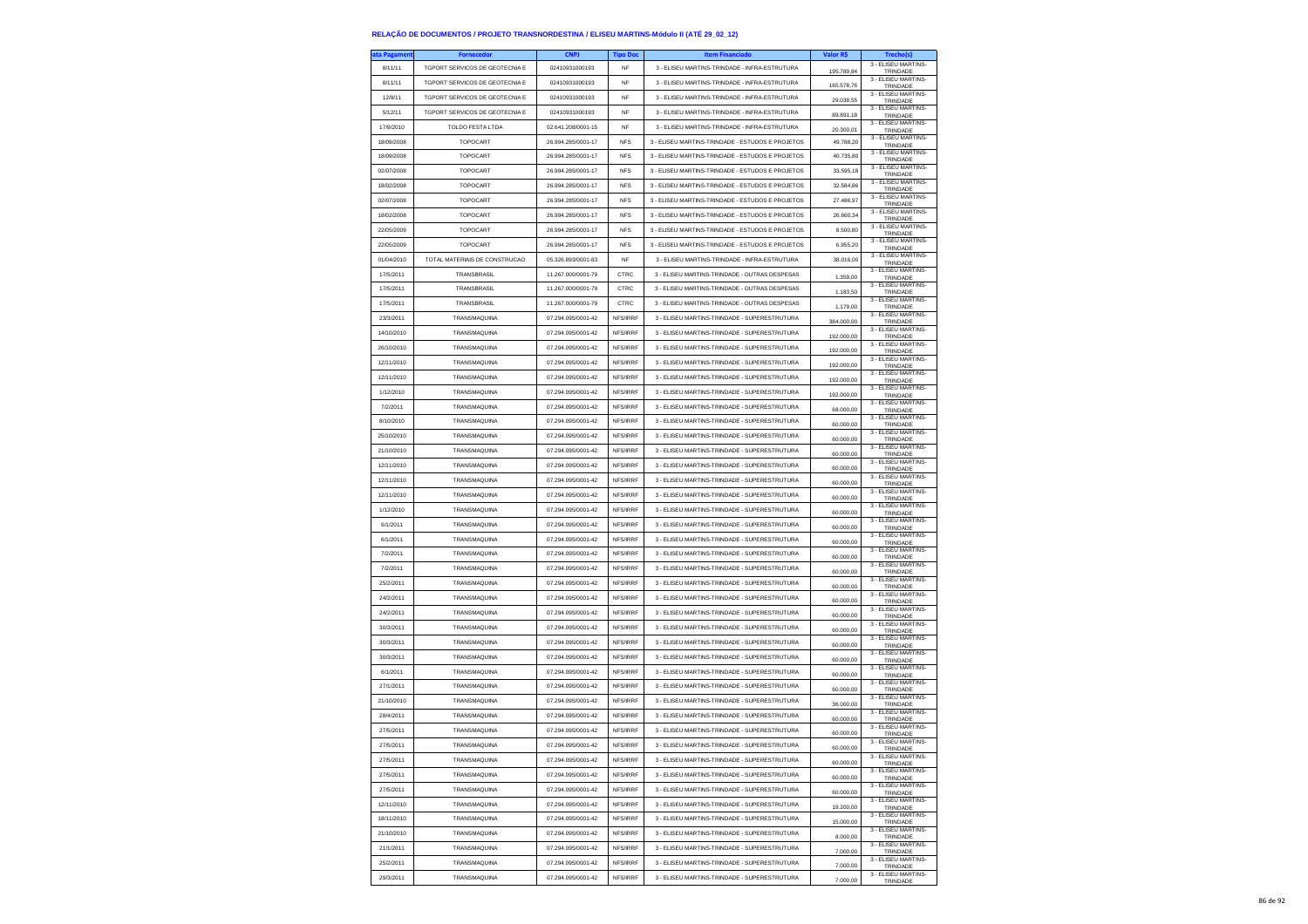| ta Pagamen | <b>Fornecedor</b>              | <b>CNPJ</b>        | <b>Tipo Doc</b> | <b>Item Financiado</b>                           | Valor R\$              | <b>Trecho(s)</b>                          |
|------------|--------------------------------|--------------------|-----------------|--------------------------------------------------|------------------------|-------------------------------------------|
| 8/11/11    | TGPORT SERVICOS DE GEOTECNIA E | 02410931000193     | NF              | 3 - ELISEU MARTINS-TRINDADE - INFRA-ESTRUTURA    | 195.789,84             | 3 - ELISEU MARTINS-<br>TRINDADE           |
| 8/11/11    | TGPORT SERVICOS DE GEOTECNIA E | 02410931000193     | NF              | 3 - ELISEU MARTINS-TRINDADE - INFRA-ESTRUTURA    | 165.578,76             | 3 - ELISEU MARTINS-<br>TRINDADE           |
| 12/9/11    | TGPORT SERVICOS DE GEOTECNIA E | 02410931000193     | <b>NF</b>       | 3 - ELISEU MARTINS-TRINDADE - INFRA-ESTRUTURA    | 29.038.55              | 3 - FLISEU MARTINS-<br>TRINDADE           |
| 5/12/11    | TGPORT SERVICOS DE GEOTECNIA E | 02410931000193     | <b>NF</b>       | 3 - ELISEU MARTINS-TRINDADE - INFRA-ESTRUTURA    |                        | 3 - ELISEU MARTINS-                       |
| 17/9/2010  | TOLDO FESTA LTDA               | 02.641.208/0001-15 | NF              | 3 - ELISEU MARTINS-TRINDADE - INFRA-ESTRUTURA    | 89.891,18              | TRINDADE<br>3 - ELISEU MARTINS-           |
| 18/09/2008 | TOPOCART                       | 26.994.285/0001-17 | <b>NFS</b>      | 3 - ELISEU MARTINS-TRINDADE - ESTUDOS E PROJETOS | 20.300,01<br>49.788,20 | TRINDADE<br>3 - ELISEU MARTINS-           |
| 18/09/2008 | TOPOCART                       | 26.994.285/0001-17 | <b>NFS</b>      | 3 - ELISEU MARTINS-TRINDADE - ESTUDOS E PROJETOS | 40.735.80              | TRINDADE<br>3 - ELISEU MARTINS-           |
|            |                                |                    |                 |                                                  |                        | TRINDADE<br>3 - ELISEU MARTINS-           |
| 02/07/2008 | TOPOCART                       | 26.994.285/0001-17 | <b>NFS</b>      | 3 - ELISEU MARTINS-TRINDADE - ESTUDOS E PROJETOS | 33.595,18              | TRINDADE<br>3 - ELISEU MARTINS-           |
| 18/02/2008 | TOPOCART                       | 26.994.285/0001-17 | <b>NFS</b>      | 3 - ELISEU MARTINS-TRINDADE - ESTUDOS E PROJETOS | 32.584.86              | TRINDADE<br>3 - ELISEU MARTINS-           |
| 02/07/2008 | TOPOCART                       | 26.994.285/0001-17 | <b>NFS</b>      | 3 - ELISEU MARTINS-TRINDADE - ESTUDOS E PROJETOS | 27,486.97              | TRINDADE<br>3 - ELISEU MARTINS-           |
| 18/02/2008 | TOPOCART                       | 26.994.285/0001-17 | <b>NFS</b>      | 3 - ELISEU MARTINS-TRINDADE - ESTUDOS E PROJETOS | 26.660,34              | TRINDADE<br>3 - FLISEU MARTINS-           |
| 22/05/2009 | TOPOCART                       | 26.994.285/0001-17 | <b>NFS</b>      | 3 - ELISEU MARTINS-TRINDADE - ESTUDOS E PROJETOS | 8,500.80               | TRINDADE<br>3 - ELISEU MARTINS-           |
| 22/05/2009 | TOPOCART                       | 26 994 285/0001-17 | <b>NFS</b>      | 3 - ELISEU MARTINS-TRINDADE - ESTUDOS E PROJETOS | 6.955.20               | TRINDADE<br>3 - ELISEU MARTINS-           |
| 01/04/2010 | TOTAL MATERIAIS DE CONSTRUCAO  | 05.326.893/0001-83 | <b>NF</b>       | 3 - ELISEU MARTINS-TRINDADE - INFRA-ESTRUTURA    | 38.016,00              | TRINDADE<br>3 - ELISEU MARTINS-           |
| 17/5/2011  | TRANSBRASIL                    | 11.267.000/0001-79 | CTRC            | 3 - ELISEU MARTINS-TRINDADE - OUTRAS DESPESAS    | 1.359.00               | TRINDADE<br>3 - ELISEU MARTINS-           |
| 17/5/2011  | TRANSBRASIL                    | 11.267.000/0001-79 | CTRC            | 3 - ELISEU MARTINS-TRINDADE - OUTRAS DESPESAS    | 1.183,50               | TRINDADE<br>3 - ELISEU MARTINS-           |
| 17/5/2011  | TRANSBRASIL                    | 11.267.000/0001-79 | CTRC            | 3 - ELISEU MARTINS-TRINDADE - OUTRAS DESPESAS    | 1.179,00               | TRINDADE<br>3 - ELISEU MARTINS-           |
| 23/3/2011  | TRANSMAQUINA                   | 07.294.095/0001-42 | NFS/IRRF        | 3 - ELISEU MARTINS-TRINDADE - SUPERESTRUTURA     | 384,000.00             | TRINDADE                                  |
| 14/10/2010 | TRANSMAQUINA                   | 07.294.095/0001-42 | NFS/IRRF        | 3 - ELISEU MARTINS-TRINDADE - SUPERESTRUTURA     | 192.000,00             | 3 - ELISEU MARTINS-<br>TRINDADE           |
| 26/10/2010 | TRANSMAQUINA                   | 07.294.095/0001-42 | NES/IRRE        | 3 - ELISEU MARTINS-TRINDADE - SUPERESTRUTURA     | 192.000,00             | 3 - ELISEU MARTINS-<br>TRINDADE           |
| 12/11/2010 | TRANSMAQUINA                   | 07.294.095/0001-42 | NFS/IRRF        | 3 - ELISEU MARTINS-TRINDADE - SUPERESTRUTURA     | 192.000,00             | 3 - ELISEU MARTINS-<br>TRINDADE           |
| 12/11/2010 | <b>TRANSMAOUINA</b>            | 07 294 095/0001-42 | NFS/IRRF        | 3 - ELISEU MARTINS-TRINDADE - SUPERESTRUTURA     | 192.000,00             | 3 - ELISEU MARTINS-<br>TRINDADE           |
| 1/12/2010  | <b>TRANSMAOUINA</b>            | 07.294.095/0001-42 | NFS/IRRF        | 3 - ELISEU MARTINS-TRINDADE - SUPERESTRUTURA     | 192.000,00             | 3 - ELISEU MARTINS-<br>TRINDADE           |
| 7/2/2011   | TRANSMAQUINA                   | 07.294.095/0001-42 | NFS/IRRF        | 3 - ELISEU MARTINS-TRINDADE - SUPERESTRUTURA     | 68.000,00              | 3 - ELISEU MARTINS-<br>TRINDADE           |
| 8/10/2010  | TRANSMAQUINA                   | 07.294.095/0001-42 | NES/IRRE        | 3 - ELISEU MARTINS-TRINDADE - SUPERESTRUTURA     | 60.000,00              | 3 - ELISEU MARTINS-<br>TRINDADE           |
| 25/10/2010 | TRANSMAQUINA                   | 07.294.095/0001-42 | NFS/IRRF        | 3 - ELISEU MARTINS-TRINDADE - SUPERESTRUTURA     | 60.000,00              | 3 - ELISEU MARTINS-<br>TRINDADE           |
| 21/10/2010 | TRANSMAQUINA                   | 07.294.095/0001-42 | NFS/IRRF        | 3 - ELISEU MARTINS-TRINDADE - SUPERESTRUTURA     | 60.000,00              | 3 - ELISEU MARTINS-<br>TRINDADE           |
| 12/11/2010 | TRANSMAQUINA                   | 07.294.095/0001-42 | NFS/IRRF        | 3 - ELISEU MARTINS-TRINDADE - SUPERESTRUTURA     | 60,000.00              | 3 - ELISEU MARTINS-<br>TRINDADE           |
| 12/11/2010 | <b>TRANSMAOUINA</b>            | 07.294.095/0001-42 | NFS/IRRF        | 3 - ELISEU MARTINS-TRINDADE - SUPERESTRUTURA     | 60.000,00              | 3 - ELISEU MARTINS-<br>TRINDADE           |
| 12/11/2010 | TRANSMAQUINA                   | 07.294.095/0001-42 | NFS/IRRF        | 3 - ELISEU MARTINS-TRINDADE - SUPERESTRUTURA     | 60,000.00              | 3 - FLISEU MARTINS-<br>TRINDADE           |
| 1/12/2010  | TRANSMAQUINA                   | 07.294.095/0001-42 | NFS/IRRF        | 3 - ELISEU MARTINS-TRINDADE - SUPERESTRUTURA     | 60,000.00              | 3 - ELISEU MARTINS-<br>TRINDADE           |
| 6/1/2011   | TRANSMAQUINA                   | 07.294.095/0001-42 | NFS/IRRF        | 3 - ELISEU MARTINS-TRINDADE - SUPERESTRUTURA     | 60.000,00              | 3 - ELISEU MARTINS-<br>TRINDADE           |
| 6/1/2011   | TRANSMAQUINA                   | 07.294.095/0001-42 | NFS/IRRF        | 3 - ELISEU MARTINS-TRINDADE - SUPERESTRUTURA     | 60.000,00              | 3 - ELISEU MARTINS-<br>TRINDADE           |
| 7/2/2011   | TRANSMAQUINA                   | 07.294.095/0001-42 | NFS/IRRF        | 3 - ELISEU MARTINS-TRINDADE - SUPERESTRUTURA     | 60,000.00              | 3 - ELISEU MARTINS-<br>TRINDADE           |
| 7/2/2011   | TRANSMAQUINA                   | 07.294.095/0001-42 | NFS/IRRF        | 3 - ELISEU MARTINS-TRINDADE - SUPERESTRUTURA     | 60.000,00              | 3 - ELISEU MARTINS-<br>TRINDADE           |
| 25/2/2011  | TRANSMAQUINA                   | 07.294.095/0001-42 | NFS/IRRF        | 3 - ELISEU MARTINS-TRINDADE - SUPERESTRUTURA     | 60.000,00              | 3 - ELISEU MARTINS-<br>TRINDADE           |
| 24/2/2011  | TRANSMAQUINA                   | 07.294.095/0001-42 | NFS/IRRF        | 3 - ELISEU MARTINS-TRINDADE - SUPERESTRUTURA     | 60,000.00              | 3 - ELISEU MARTINS-<br>TRINDADE           |
| 24/2/2011  | TRANSMAQUINA                   | 07.294.095/0001-42 | NFS/IRRF        | 3 - ELISEU MARTINS-TRINDADE - SUPERESTRUTURA     | 60.000,00              | 3 - ELISEU MARTINS-<br>TRINDADE           |
| 30/3/2011  | TRANSMAQUINA                   | 07.294.095/0001-42 | NFS/IRRF        | 3 - ELISEU MARTINS-TRINDADE - SUPERESTRUTURA     | 60.000,00              | 3 - ELISEU MARTINS-<br>TRINDADE           |
| 30/3/2011  | TRANSMAQUINA                   | 07.294.095/0001-42 | NFS/IRRF        | 3 - ELISEU MARTINS-TRINDADE - SUPERESTRUTURA     | 60,000.00              | 3 - ELISEU MARTINS-<br>TRINDADE           |
| 30/3/2011  | TRANSMAQUINA                   | 07 294 095/0001-42 | NFS/IRRF        | 3 - ELISEU MARTINS-TRINDADE - SUPERESTRUTURA     | 60.000,00              | 3 - ELISEU MARTINS-<br>TRINDADE           |
| 6/1/2011   | <b>TRANSMAOUINA</b>            | 07.294.095/0001-42 | NFS/IRRF        | 3 - ELISEU MARTINS-TRINDADE - SUPERESTRUTURA     | 60,000.00              | 3 - ELISEU MARTINS-<br>TRINDADE           |
| 27/1/2011  | TRANSMAQUINA                   | 07.294.095/0001-42 | NES/IRRE        | 3 - ELISEU MARTINS-TRINDADE - SUPERESTRUTURA     | 60,000.00              | 3 - ELISEU MARTINS-<br>TRINDADE           |
| 21/10/2010 | TRANSMAQUINA                   | 07.294.095/0001-42 | NFS/IRRF        | 3 - ELISEU MARTINS-TRINDADE - SUPERESTRUTURA     | 36.000,00              | 3 - ELISEU MARTINS-                       |
| 28/4/2011  | TRANSMAQUINA                   | 07.294.095/0001-42 | NFS/IRRF        | 3 - ELISEU MARTINS-TRINDADE - SUPERESTRUTURA     |                        | TRINDADE<br>3 - ELISEU MARTINS-           |
| 27/5/2011  | TRANSMAQUINA                   | 07 294 095/0001-42 | NFS/IRRF        | 3 - FLISEU MARTINS-TRINDADE - SUPERESTRUTURA     | 60.000,00              | TRINDADE<br>3 - FLISEU MARTINS-           |
| 27/5/2011  | TRANSMAQUINA                   | 07.294.095/0001-42 | NFS/IRRF        | 3 - ELISEU MARTINS-TRINDADE - SUPERESTRUTURA     | 60.000,00              | TRINDADE<br>3 - ELISEU MARTINS-<br>TOMOAD |
| 27/5/2011  | TRANSMAQUINA                   | 07.294.095/0001-42 | NFS/IRRF        | 3 - ELISEU MARTINS-TRINDADE - SUPERESTRUTURA     | 60,000.00              | 3 - ELISEU MARTINS-                       |
| 27/5/2011  | TRANSMAQUINA                   | 07.294.095/0001-42 | NFS/IRRF        | 3 - ELISEU MARTINS-TRINDADE - SUPERESTRUTURA     | 60.000,00              | TRINDADE<br>3 - ELISEU MARTINS-           |
| 27/5/2011  | <b>TRANSMAOUINA</b>            | 07 294 095/0001-42 | NFS/IRRF        | 3 - ELISEU MARTINS-TRINDADE - SUPERESTRUTURA     | 60,000.00              | TRINDADE<br>3 - ELISEU MARTINS-           |
| 12/11/2010 | TRANSMAQUINA                   | 07.294.095/0001-42 | NFS/IRRF        | 3 - ELISEU MARTINS-TRINDADE - SUPERESTRUTURA     | 60.000,00              | TRINDADE<br>3 - ELISEU MARTINS-           |
| 18/11/2010 | TRANSMAQUINA                   | 07.294.095/0001-42 | NFS/IRRF        | 3 - ELISEU MARTINS-TRINDADE - SUPERESTRUTURA     | 19.200,00              | TRINDADE<br>3 - ELISEU MARTINS-           |
| 21/10/2010 | <b>TRANSMAOUINA</b>            | 07.294.095/0001-42 | NFS/IRRF        | 3 - ELISEU MARTINS-TRINDADE - SUPERESTRUTURA     | 15.000,00              | TRINDADE<br>3 - FLISEU MARTINS-           |
|            |                                |                    | NFS/IRRF        | 3 - ELISEU MARTINS-TRINDADE - SUPERESTRUTURA     | 8.000.00               | TRINDADE<br>3 - ELISEU MARTINS-           |
| 21/1/2011  | TRANSMAQUINA                   | 07.294.095/0001-42 |                 |                                                  | 7.000,00               | TRINDADE<br>3 - ELISEU MARTINS-           |
| 25/2/2011  | TRANSMAQUINA                   | 07.294.095/0001-42 | NFS/IRRF        | 3 - ELISEU MARTINS-TRINDADE - SUPERESTRUTURA     | 7.000,00               | TRINDADE<br>3 - FLISEU MARTINS-           |
| 29/3/2011  | TRANSMAQUINA                   | 07.294.095/0001-42 | NFS/IRRF        | 3 - ELISEU MARTINS-TRINDADE - SUPERESTRUTURA     | 7,000.00               | TRINDADE                                  |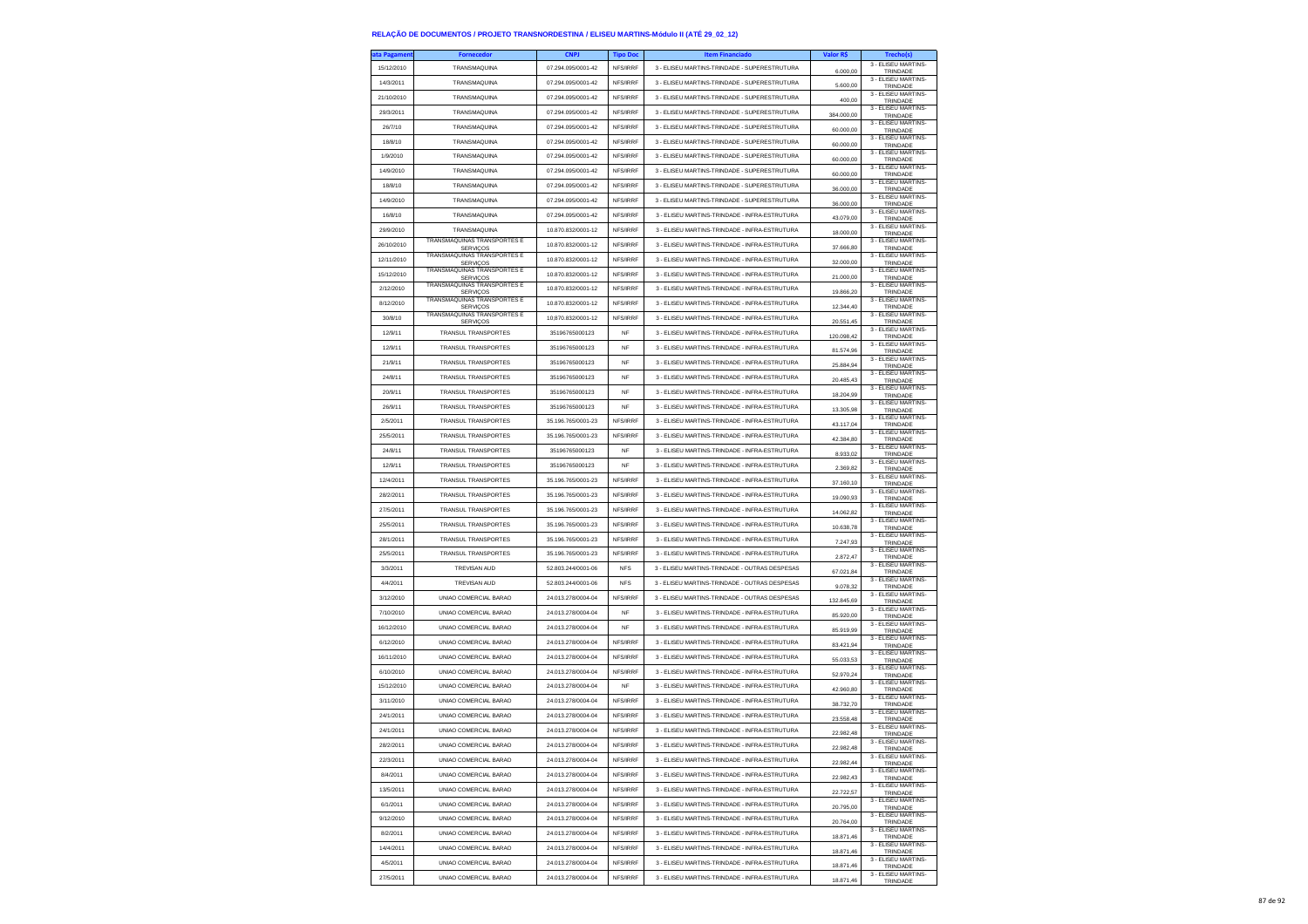| ita Pagamen            | <b>Fornecedor</b>                                     | <b>CNPJ</b>                              | <b>Tipo Doc</b>      | <b>Item Financiado</b>                        | Valor R\$  | <b>Trecho(s)</b>                                       |
|------------------------|-------------------------------------------------------|------------------------------------------|----------------------|-----------------------------------------------|------------|--------------------------------------------------------|
| 15/12/2010             | TRANSMAQUINA                                          | 07.294.095/0001-42                       | NFS/IRRF             | 3 - ELISEU MARTINS-TRINDADE - SUPERESTRUTURA  | 6.000,00   | 3 - ELISEU MARTINS-<br>TRINDADE                        |
| 14/3/2011              | TRANSMAQUINA                                          | 07.294.095/0001-42                       | NFS/IRRF             | 3 - ELISEU MARTINS-TRINDADE - SUPERESTRUTURA  | 5.600.00   | 3 - ELISEU MARTINS-<br>TRINDADE                        |
| 21/10/2010             | TRANSMAQUINA                                          | 07.294.095/0001-42                       | NFS/IRRF             | 3 - ELISEU MARTINS-TRINDADE - SUPERESTRUTURA  | 400,00     | 3 - ELISEU MARTINS-<br>TRINDADE                        |
| 29/3/2011              | TRANSMAQUINA                                          | 07.294.095/0001-42                       | NFS/IRRF             | 3 - ELISEU MARTINS-TRINDADE - SUPERESTRUTURA  |            | 3 - ELISEU MARTINS-                                    |
| 26/7/10                | TRANSMAQUINA                                          | 07.294.095/0001-42                       | NFS/IRRF             | 3 - ELISEU MARTINS-TRINDADE - SUPERESTRUTURA  | 384.000,00 | TRINDADE<br>3 - ELISEU MARTINS-                        |
| 18/8/10                | TRANSMAQUINA                                          | 07.294.095/0001-42                       | NFS/IRRF             | 3 - ELISEU MARTINS-TRINDADE - SUPERESTRUTURA  | 60,000.00  | TRINDADE<br>3 - ELISEU MARTINS-                        |
|                        |                                                       |                                          | NFS/IRRF             |                                               | 60.000,00  | TRINDADE<br>3 - ELISEU MARTINS-                        |
| 1/9/2010               | TRANSMAQUINA                                          | 07.294.095/0001-42                       |                      | 3 - ELISEU MARTINS-TRINDADE - SUPERESTRUTURA  | 60.000,00  | TRINDADE<br>3 - ELISEU MARTINS-                        |
| 14/9/2010              | TRANSMAQUINA                                          | 07.294.095/0001-42                       | NFS/IRRF             | 3 - ELISEU MARTINS-TRINDADE - SUPERESTRUTURA  | 60,000.00  | TRINDADE<br>3 - ELISEU MARTINS-                        |
| 18/8/10                | TRANSMAQUINA                                          | 07.294.095/0001-42                       | NFS/IRRF             | 3 - ELISEU MARTINS-TRINDADE - SUPERESTRUTURA  | 36.000,00  | TRINDADE<br>3 - ELISEU MARTINS-                        |
| 14/9/2010              | TRANSMAQUINA                                          | 07.294.095/0001-42                       | NFS/IRRF             | 3 - ELISEU MARTINS-TRINDADE - SUPERESTRUTURA  | 36.000,00  | TRINDADE                                               |
| 16/8/10                | TRANSMAQUINA                                          | 07.294.095/0001-42                       | NFS/IRRF             | 3 - ELISEU MARTINS-TRINDADE - INFRA-ESTRUTURA | 43.079.00  | 3 - ELISEU MARTINS-<br>TRINDADE                        |
| 29/9/2010              | TRANSMAQUINA                                          | 10.870.832/0001-12                       | NFS/IRRF             | 3 - ELISEU MARTINS-TRINDADE - INFRA-ESTRUTURA | 18,000.00  | 3 - ELISEU MARTINS-<br>TRINDADE                        |
| 26/10/2010             | TRANSMÁQUINAS TRANSPORTES E<br><b>SERVICOS</b>        | 10.870.832/0001-12                       | NES/IRRE             | 3 - ELISEU MARTINS-TRINDADE - INFRA-ESTRUTURA | 37,666.80  | 3 - ELISEU MARTINS-<br>TRINDADE                        |
| 12/11/2010             | <b>TRANSMAQUINAS TRANSPORTES E</b><br><b>SERVICOS</b> | 10.870.832/0001-12                       | NFS/IRRF             | 3 - ELISEU MARTINS-TRINDADE - INFRA-ESTRUTURA | 32.000,00  | 3 - ELISEU MARTINS-<br>TRINDADE                        |
| 15/12/2010             | TRANSMÁQUINAS TRANSPORTES E<br><b>SERVIÇOS</b>        | 10.870.832/0001-12                       | NFS/IRRF             | 3 - ELISEU MARTINS-TRINDADE - INFRA-ESTRUTURA | 21.000,00  | 3 - ELISEU MARTINS-<br>TRINDADE                        |
| 2/12/2010              | TRANSMÁQUINAS TRANSPORTES E<br><b>SERVICOS</b>        | 10.870.832/0001-12                       | NFS/IRRF             | 3 - ELISEU MARTINS-TRINDADE - INFRA-ESTRUTURA | 19.866,20  | 3 - ELISEU MARTINS-<br>TRINDADE                        |
| 8/12/2010              | <b>TRANSMÁQUINAS TRANSPORTES E</b><br><b>SERVICOS</b> | 10.870.832/0001-12                       | NFS/IRRF             | 3 - ELISEU MARTINS-TRINDADE - INFRA-ESTRUTURA | 12.344,40  | 3 - ELISEU MARTINS-<br>TRINDADE                        |
| 30/8/10                | TRANSMÁQUINAS TRANSPORTES E<br><b>SERVICOS</b>        | 10:870.832/0001-12                       | NFS/IRRF             | 3 - ELISEU MARTINS-TRINDADE - INFRA-ESTRUTURA | 20.551,45  | 3 - ELISEU MARTINS-<br>TRINDADE                        |
| 12/9/11                | TRANSUL TRANSPORTES                                   | 35196765000123                           | <b>NF</b>            | 3 - ELISEU MARTINS-TRINDADE - INFRA-ESTRUTURA | 120.098,42 | 3 - ELISEU MARTINS-                                    |
| 12/9/11                | TRANSUL TRANSPORTES                                   | 35196765000123                           | NF                   | 3 - ELISEU MARTINS-TRINDADE - INFRA-ESTRUTURA | 81.574,96  | TRINDADE<br>3 - ELISEU MARTINS-                        |
| 21/9/11                | TRANSUL TRANSPORTES                                   | 35196765000123                           | <b>NF</b>            | 3 - ELISEU MARTINS-TRINDADE - INFRA-ESTRUTURA | 25 884 94  | TRINDADE<br>3 - ELISEU MARTINS-                        |
| 24/8/11                | TRANSUL TRANSPORTES                                   | 35196765000123                           | <b>NF</b>            | 3 - ELISEU MARTINS-TRINDADE - INFRA-ESTRUTURA |            | TRINDADE<br>3 - ELISEU MARTINS-                        |
| 20/9/11                | TRANSUL TRANSPORTES                                   | 35196765000123                           | NF                   | 3 - ELISEU MARTINS-TRINDADE - INFRA-ESTRUTURA | 20.485.43  | TRINDADE<br>3 - ELISEU MARTINS-                        |
| 26/9/11                | TRANSUL TRANSPORTES                                   | 35196765000123                           | <b>NF</b>            | 3 - ELISEU MARTINS-TRINDADE - INFRA-ESTRUTURA | 18.204,99  | TRINDADE<br>3 - ELISEU MARTINS-                        |
| 2/5/2011               | TRANSUL TRANSPORTES                                   | 35 196 765/0001-23                       | NFS/IRRF             | 3 - ELISEU MARTINS-TRINDADE - INFRA-ESTRUTURA | 13 305 98  | TRINDADE<br>3 - ELISEU MARTINS-                        |
| 25/5/2011              | TRANSUL TRANSPORTES                                   | 35.196.765/0001-23                       | NFS/IRRF             | 3 - ELISEU MARTINS-TRINDADE - INFRA-ESTRUTURA | 43.117.04  | TRINDADE<br>3 - ELISEU MARTINS-                        |
| 24/8/11                | TRANSUL TRANSPORTES                                   | 35196765000123                           | <b>NF</b>            | 3 - ELISEU MARTINS-TRINDADE - INFRA-ESTRUTURA | 42.384,80  | TRINDADE<br>3 - ELISEU MARTINS-                        |
| 12/9/11                | <b>TRANSUL TRANSPORTES</b>                            | 35196765000123                           | <b>NF</b>            | 3 - ELISEU MARTINS-TRINDADE - INFRA-ESTRUTURA | 8.933.02   | TRINDADE<br>3 - ELISEU MARTINS-                        |
|                        |                                                       |                                          | NFS/IRRF             | 3 - ELISEU MARTINS-TRINDADE - INFRA-ESTRUTURA | 2,369.82   | TRINDADE<br>3 - ELISEU MARTINS-                        |
| 12/4/2011<br>28/2/2011 | TRANSUL TRANSPORTES<br>TRANSUL TRANSPORTES            | 35.196.765/0001-23<br>35.196.765/0001-23 | NFS/IRRF             | 3 - ELISEU MARTINS-TRINDADE - INFRA-ESTRUTURA | 37.160,10  | TRINDADE<br>3 - ELISEU MARTINS-                        |
| 27/5/2011              | <b>TRANSUL TRANSPORTES</b>                            | 35.196.765/0001-23                       | NFS/IRRF             | 3 - ELISEU MARTINS-TRINDADE - INFRA-ESTRUTURA | 19 090 93  | TRINDADE<br>3 - ELISEU MARTINS-                        |
|                        |                                                       |                                          |                      |                                               | 14.062,82  | TRINDADE<br>3 - ELISEU MARTINS                         |
| 25/5/2011              | TRANSUL TRANSPORTES                                   | 35.196.765/0001-23                       | NFS/IRRF<br>NFS/IRRF | 3 - ELISEU MARTINS-TRINDADE - INFRA-ESTRUTURA | 10.638,78  | TRINDADE<br>3 - ELISEU MARTINS-                        |
| 28/1/2011              | TRANSUL TRANSPORTES                                   | 35.196.765/0001-23                       |                      | 3 - ELISEU MARTINS-TRINDADE - INFRA-ESTRUTURA | 7.247.93   | TRINDADE<br>3 - ELISEU MARTINS-                        |
| 25/5/2011              | <b>TRANSUL TRANSPORTES</b>                            | 35.196.765/0001-23                       | NFS/IRRF             | 3 - ELISEU MARTINS-TRINDADE - INFRA-ESTRUTURA | 2.872,47   | TRINDADE<br>3 - ELISEU MARTINS-                        |
| 3/3/2011               | TREVISAN AUD                                          | 52.803.244/0001-06                       | <b>NFS</b>           | 3 - ELISEU MARTINS-TRINDADE - OUTRAS DESPESAS | 67.021,84  | TRINDADE<br>3 - ELISEU MARTINS-                        |
| 4/4/2011               | TREVISAN AUD                                          | 52.803.244/0001-06                       | <b>NFS</b>           | 3 - ELISEU MARTINS-TRINDADE - OUTRAS DESPESAS | 9.078.32   | TRINDADE<br>3 - ELISEU MARTINS-                        |
| 3/12/2010              | UNIAO COMERCIAL BARAO                                 | 24.013.278/0004-04                       | NFS/IRRF             | 3 - ELISEU MARTINS-TRINDADE - OUTRAS DESPESAS | 132.845,69 | TRINDADE<br>3 - ELISEU MARTINS-                        |
| 7/10/2010              | UNIAO COMERCIAL BARAO                                 | 24.013.278/0004-04                       | <b>NF</b>            | 3 - ELISEU MARTINS-TRINDADE - INFRA-ESTRUTURA | 85.920,00  | TRINDADE<br>3 - ELISEU MARTINS-                        |
| 16/12/2010             | UNIAO COMERCIAL BARAO                                 | 24.013.278/0004-04                       | <b>NF</b>            | 3 - ELISEU MARTINS-TRINDADE - INFRA-ESTRUTURA | 85.919.99  | TRINDADE<br>3 - ELISEU MARTINS-                        |
| 6/12/2010              | UNIAO COMERCIAL BARAO                                 | 24.013.278/0004-04                       | NFS/IRRF             | 3 - ELISEU MARTINS-TRINDADE - INFRA-ESTRUTURA | 83.421,94  | TRINDADE                                               |
| 16/11/2010             | UNIAO COMERCIAL BARAO                                 | 24.013.278/0004-04                       | NFS/IRRF             | 3 - ELISEU MARTINS-TRINDADE - INFRA-ESTRUTURA | 55.033,53  | 3 - ELISEU MARTINS-<br>TRINDADE<br>3 - ELISEU MARTINS- |
| 6/10/2010              | UNIAO COMERCIAL BARAO                                 | 24.013.278/0004-04                       | NFS/IRRF             | 3 - ELISEU MARTINS-TRINDADE - INFRA-ESTRUTURA | 52.970,24  | TRINDADE                                               |
| 15/12/2010             | UNIAO COMERCIAL BARAO                                 | 24.013.278/0004-04                       | <b>NF</b>            | 3 - FLISELLMARTINS-TRINDADE - INFRA-ESTRUTURA | 42.960,80  | 3 - ELISEU MARTINS-<br>TRINDADE                        |
| 3/11/2010              | UNIAO COMERCIAL BARAO                                 | 24.013.278/0004-04                       | NFS/IRRF             | 3 - FLISELLMARTINS-TRINDADE - INFRA-ESTRUTURA | 38,732.70  | 3 - ELISEU MARTINS-<br>TRINDADE                        |
| 24/1/2011              | UNIAO COMERCIAL BARAO                                 | 24.013.278/0004-04                       | NFS/IRRF             | 3 - ELISEU MARTINS-TRINDADE - INFRA-ESTRUTURA | 23.558,48  | 3 - ELISEU MARTINS-<br>TRINDADE                        |
| 24/1/2011              | UNIAO COMERCIAL BARAO                                 | 24.013.278/0004-04                       | NFS/IRRF             | 3 - ELISEU MARTINS-TRINDADE - INFRA-ESTRUTURA | 22.982.48  | 3 - FLISEU MARTINS-<br>TRINDADE                        |
| 28/2/2011              | UNIAO COMERCIAL BARAO                                 | 24.013.278/0004-04                       | NFS/IRRF             | 3 - ELISEU MARTINS-TRINDADE - INFRA-ESTRUTURA | .48        | 3 - ELISEU MARTINS-<br>TRINDAD                         |
| 22/3/2011              | UNIAO COMERCIAL BARAO                                 | 24.013.278/0004-04                       | NFS/IRRF             | 3 - ELISEU MARTINS-TRINDADE - INFRA-ESTRUTURA | 22.982,44  | 3 - ELISEU MARTINS-<br>TRINDADE                        |
| 8/4/2011               | UNIAO COMERCIAL BARAO                                 | 24.013.278/0004-04                       | NFS/IRRF             | 3 - ELISEU MARTINS-TRINDADE - INFRA-ESTRUTURA | 22 982 43  | 3 - ELISEU MARTINS-<br>TRINDADE                        |
| 13/5/2011              | UNIAO COMERCIAL BARAO                                 | 24.013.278/0004-04                       | NFS/IRRF             | 3 - ELISEU MARTINS-TRINDADE - INFRA-ESTRUTURA | 22.722,57  | 3 - ELISEU MARTINS-<br>TRINDADE                        |
| 6/1/2011               | UNIAO COMERCIAL BARAO                                 | 24.013.278/0004-04                       | NFS/IRRF             | 3 - ELISEU MARTINS-TRINDADE - INFRA-ESTRUTURA | 20.795,00  | 3 - ELISEU MARTINS-<br>TRINDADE                        |
| 9/12/2010              | UNIAO COMERCIAL BARAO                                 | 24.013.278/0004-04                       | NFS/IRRF             | 3 - ELISEU MARTINS-TRINDADE - INFRA-ESTRUTURA | 20,764.00  | 3 - ELISEU MARTINS-<br>TRINDADE                        |
| 8/2/2011               | UNIAO COMERCIAL BARAO                                 | 24.013.278/0004-04                       | NFS/IRRF             | 3 - ELISEU MARTINS-TRINDADE - INFRA-ESTRUTURA | 18.871,46  | 3 - ELISEU MARTINS-<br>TRINDADE                        |
| 14/4/2011              | UNIAO COMERCIAL BARAO                                 | 24.013.278/0004-04                       | NFS/IRRF             | 3 - ELISEU MARTINS-TRINDADE - INFRA-ESTRUTURA | 18.871,46  | 3 - ELISEU MARTINS-<br>TRINDADE                        |
| 4/5/2011               | UNIAO COMERCIAL BARAO                                 | 24.013.278/0004-04                       | NFS/IRRF             | 3 - ELISEU MARTINS-TRINDADE - INFRA-ESTRUTURA | 18,871.46  | 3 - ELISEU MARTINS-<br>TRINDADE                        |
| 27/5/2011              | UNIAO COMERCIAL BARAO                                 | 24.013.278/0004-04                       | NFS/IRRF             | 3 - ELISEU MARTINS-TRINDADE - INFRA-ESTRUTURA | 18,871.46  | 3 - ELISEU MARTINS-<br>TRINDADE                        |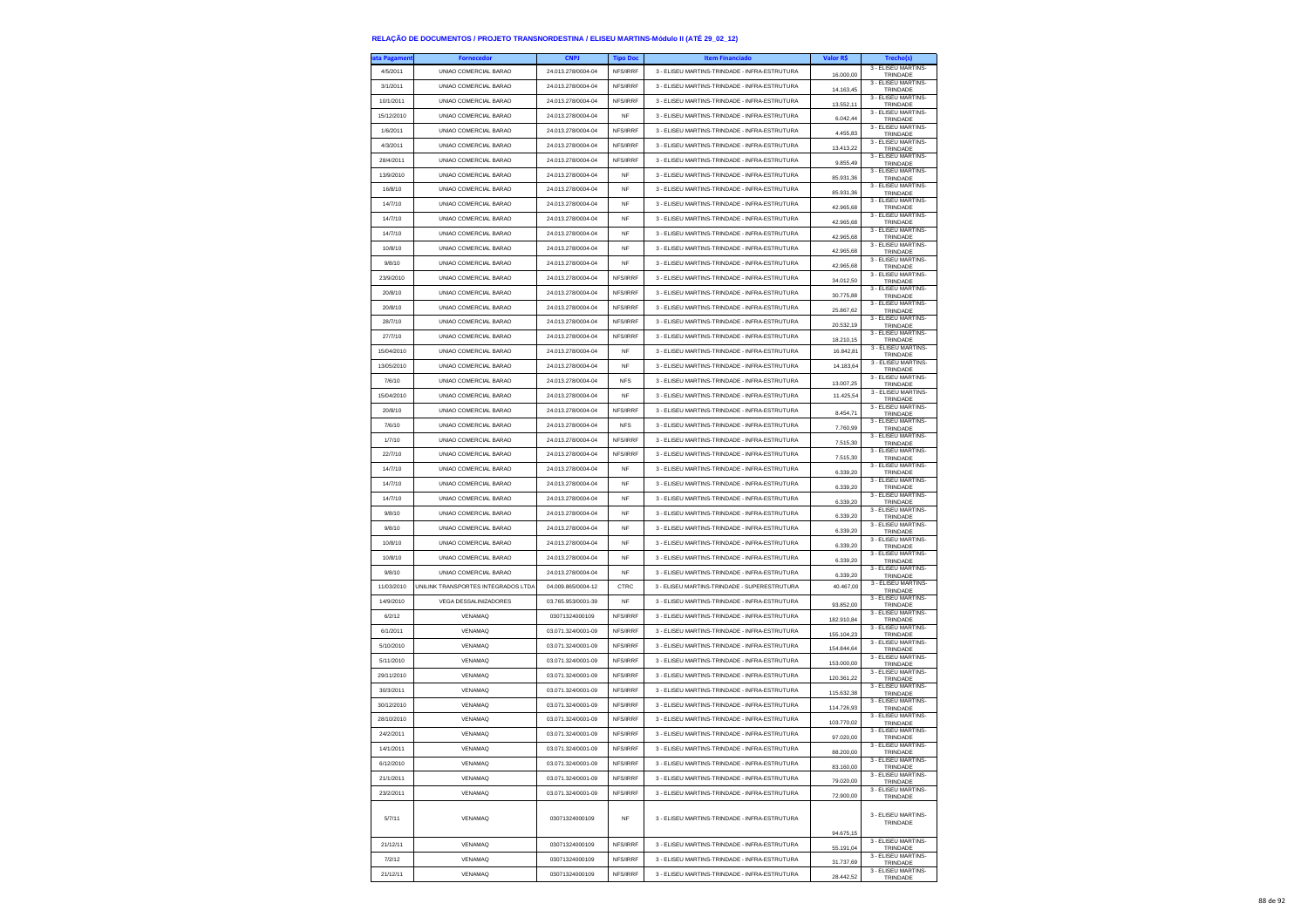| ta Pagamer | Fornecedo                           | <b>CNPJ</b>        | <b>Tipo Doc</b> | <b>Item Financiado</b>                        | <b>Valor RS</b> |                                             |
|------------|-------------------------------------|--------------------|-----------------|-----------------------------------------------|-----------------|---------------------------------------------|
| 4/5/2011   | UNIAO COMERCIAL BARAO               | 24.013.278/0004-04 | NFS/IRRF        | 3 - ELISEU MARTINS-TRINDADE - INFRA-ESTRUTURA | 16.000,00       | 3 - ELISEU MARTINS-<br>TRINDADE             |
| 3/1/2011   | UNIAO COMERCIAL BARAO               | 24.013.278/0004-04 | NFS/IRRF        | 3 - ELISEU MARTINS-TRINDADE - INFRA-ESTRUTURA | 14.163,45       | 3 - ELISEU MARTINS-<br>TRINDADE             |
| 10/1/2011  | UNIAO COMERCIAL BARAO               | 24.013.278/0004-04 | NFS/IRRF        | 3 - ELISEU MARTINS-TRINDADE - INFRA-ESTRUTURA | 13.552,11       | 3 - ELISEU MARTINS-<br>TRINDADE             |
| 15/12/2010 | UNIAO COMERCIAL BARAO               | 24.013.278/0004-04 | <b>NF</b>       | 3 - ELISEU MARTINS-TRINDADE - INFRA-ESTRUTURA | 6.042,44        | 3 - ELISEU MARTINS-<br>TRINDADE             |
| 1/6/2011   | UNIAO COMERCIAL BARAO               | 24.013.278/0004-04 | NFS/IRRF        | 3 - ELISEU MARTINS-TRINDADE - INFRA-ESTRUTURA | 4.455,83        | 3 - ELISEU MARTINS-                         |
| 4/3/2011   | UNIAO COMERCIAL BARAO               | 24.013.278/0004-04 | NFS/IRRF        | 3 - ELISEU MARTINS-TRINDADE - INFRA-ESTRUTURA |                 | TRINDADE<br>3 - FLISEU MARTINS-             |
| 28/4/2011  | UNIAO COMERCIAL BARAO               | 24.013.278/0004-04 | NFS/IRRF        | 3 - ELISEU MARTINS-TRINDADE - INFRA-ESTRUTURA | 13.413,22       | TRINDADE<br>3 - ELISEU MARTINS-             |
| 13/9/2010  | UNIAO COMERCIAL BARAO               | 24.013.278/0004-04 | NF              | 3 - ELISEU MARTINS-TRINDADE - INFRA-ESTRUTURA | 9.855,49        | TRINDADE<br>3 - ELISEU MARTINS-             |
| 16/8/10    | UNIAO COMERCIAL BARAO               | 24.013.278/0004-04 | <b>NF</b>       | 3 - ELISEU MARTINS-TRINDADE - INFRA-ESTRUTURA | 85.931,36       | TRINDADE<br>3 - ELISEU MARTINS-             |
|            |                                     |                    |                 |                                               | 85.931,36       | TRINDADE<br>3 - ELISEU MARTINS-             |
| 14/7/10    | UNIAO COMERCIAL BARAO               | 24.013.278/0004-04 | <b>NF</b>       | 3 - ELISEU MARTINS-TRINDADE - INFRA-ESTRUTURA | 42.965,68       | TRINDADE<br>3 - FLISEU MARTINS-             |
| 14/7/10    | UNIAO COMERCIAL BARAO               | 24.013.278/0004-04 | NF              | 3 - ELISEU MARTINS-TRINDADE - INFRA-ESTRUTURA | 42.965,68       | TRINDADE<br>3 - FLISEU MARTINS-             |
| 14/7/10    | UNIAO COMERCIAL BARAO               | 24.013.278/0004-04 | <b>NF</b>       | 3 - ELISEU MARTINS-TRINDADE - INFRA-ESTRUTURA | 42.965.68       | TRINDADE                                    |
| 10/8/10    | UNIAO COMERCIAL BARAO               | 24.013.278/0004-04 | <b>NF</b>       | 3 - ELISEU MARTINS-TRINDADE - INFRA-ESTRUTURA | 42.965.68       | 3 - ELISEU MARTINS-<br>TRINDADE             |
| 9/8/10     | UNIAO COMERCIAL BARAO               | 24.013.278/0004-04 | NF              | 3 - ELISEU MARTINS-TRINDADE - INFRA-ESTRUTURA | 42.965,68       | 3 - ELISEU MARTINS-<br>TRINDADE             |
| 23/9/2010  | UNIAO COMERCIAL BARAO               | 24.013.278/0004-04 | NFS/IRRF        | 3 - ELISEU MARTINS-TRINDADE - INFRA-ESTRUTURA | 34.012.50       | 3 - ELISEU MARTINS-<br>TRINDADE             |
| 20/8/10    | UNIAO COMERCIAL BARAO               | 24.013.278/0004-04 | NFS/IRRF        | 3 - ELISEU MARTINS-TRINDADE - INFRA-ESTRUTURA | 30.775,88       | 3 - ELISEU MARTINS-<br>TRINDADE             |
| 20/8/10    | UNIAO COMERCIAL BARAO               | 24.013.278/0004-04 | NFS/IRRF        | 3 - ELISEU MARTINS-TRINDADE - INFRA-ESTRUTURA | 25.867,62       | 3 - ELISEU MARTINS-<br>TRINDADE             |
| 28/7/10    | UNIAO COMERCIAL BARAO               | 24.013.278/0004-04 | NFS/IRRF        | 3 - ELISEU MARTINS-TRINDADE - INFRA-ESTRUTURA | 20.532.19       | 3 - ELISEU MARTINS-<br>TRINDADE             |
| 27/7/10    | UNIAO COMERCIAL BARAO               | 24.013.278/0004-04 | NFS/IRRF        | 3 - ELISEU MARTINS-TRINDADE - INFRA-ESTRUTURA | 18.210,15       | 3 - ELISEU MARTINS-<br>TRINDADE             |
| 15/04/2010 | UNIAO COMERCIAL BARAO               | 24.013.278/0004-04 | <b>NF</b>       | 3 - ELISEU MARTINS-TRINDADE - INFRA-ESTRUTURA | 16.842,81       | 3 - ELISEU MARTINS-<br>TRINDADE             |
| 13/05/2010 | UNIAO COMERCIAL BARAO               | 24.013.278/0004-04 | <b>NF</b>       | 3 - ELISEU MARTINS-TRINDADE - INFRA-ESTRUTURA | 14.183,64       | 3 - ELISEU MARTINS-<br>TRINDADE             |
| 7/6/10     | UNIAO COMERCIAL BARAO               | 24 013 278/0004-04 | <b>NFS</b>      | 3 - ELISEU MARTINS-TRINDADE - INFRA-ESTRUTURA | 13.007,25       | 3 - ELISEU MARTINS-<br>TRINDADE             |
| 15/04/2010 | UNIAO COMERCIAL BARAO               | 24.013.278/0004-04 | <b>NF</b>       | 3 - ELISEU MARTINS-TRINDADE - INFRA-ESTRUTURA | 11.425,54       | 3 - ELISEU MARTINS-<br>TRINDADE             |
| 20/8/10    | UNIAO COMERCIAL BARAO               | 24 013 278/0004-04 | NFS/IRRF        | 3 - ELISEU MARTINS-TRINDADE - INFRA-ESTRUTURA | 8.454,71        | 3 - ELISEU MARTINS-                         |
| 7/6/10     | UNIAO COMERCIAL BARAO               | 24.013.278/0004-04 | <b>NFS</b>      | 3 - ELISEU MARTINS-TRINDADE - INFRA-ESTRUTURA | 7.760,99        | TRINDADE<br>3 - ELISEU MARTINS-<br>TRINDADE |
| 1/7/10     | UNIAO COMERCIAL BARAO               | 24.013.278/0004-04 | NFS/IRRF        | 3 - ELISEU MARTINS-TRINDADE - INFRA-ESTRUTURA |                 | 3 - ELISEU MARTINS-                         |
| 22/7/10    | UNIAO COMERCIAL BARAO               | 24.013.278/0004-04 | NFS/IRRF        | 3 - ELISEU MARTINS-TRINDADE - INFRA-ESTRUTURA | 7.515,30        | TRINDADE<br>3 - FLISEU MARTINS-             |
| 14/7/10    | UNIAO COMERCIAL BARAO               | 24.013.278/0004-04 | <b>NF</b>       | 3 - ELISEU MARTINS-TRINDADE - INFRA-ESTRUTURA | 751530          | TRINDADE<br>3 - ELISEU MARTINS-             |
| 14/7/10    | UNIAO COMERCIAL BARAO               | 24 013 278/0004-04 | <b>NF</b>       | 3 - ELISEU MARTINS-TRINDADE - INFRA-ESTRUTURA | 6.339,20        | TRINDADE<br>3 - ELISEU MARTINS-             |
| 14/7/10    | UNIAO COMERCIAL BARAO               | 24.013.278/0004-04 | NF              | 3 - ELISEU MARTINS-TRINDADE - INFRA-ESTRUTURA | 6.339,20        | TRINDADE<br>3 - ELISEU MARTINS-             |
| 9/8/10     | UNIAO COMERCIAL BARAO               | 24.013.278/0004-04 | <b>NF</b>       | 3 - ELISEU MARTINS-TRINDADE - INFRA-ESTRUTURA | 6.339,20        | TRINDADE<br>3 - ELISEU MARTINS-             |
| 9/8/10     | UNIAO COMERCIAL BARAO               | 24.013.278/0004-04 | <b>NF</b>       | 3 - ELISEU MARTINS-TRINDADE - INFRA-ESTRUTURA | 6.339,20        | TRINDADE<br>3 - ELISEU MARTINS-             |
|            |                                     |                    |                 |                                               | 6.339,20        | TRINDADE<br>3 - ELISEU MARTINS-             |
| 10/8/10    | UNIAO COMERCIAL BARAO               | 24.013.278/0004-04 | NF              | 3 - ELISEU MARTINS-TRINDADE - INFRA-ESTRUTURA | 6.339,20        | TRINDADE<br>3 - ELISEU MARTINS-             |
| 10/8/10    | UNIAO COMERCIAL BARAO               | 24.013.278/0004-04 | <b>NF</b>       | 3 - ELISEU MARTINS-TRINDADE - INFRA-ESTRUTURA | 6.339,20        | TRINDADE<br>3 - ELISEU MARTINS-             |
| 9/8/10     | UNIAO COMERCIAL BARAO               | 24.013.278/0004-04 | <b>NF</b>       | 3 - ELISEU MARTINS-TRINDADE - INFRA-ESTRUTURA | 6.339,20        | TRINDADE<br>3 - ELISEU MARTINS-             |
| 11/03/2010 | UNILINK TRANSPORTES INTEGRADOS LTD/ | 04.009.865/0004-12 | CTRC            | 3 - ELISEU MARTINS-TRINDADE - SUPERESTRUTURA  | 40.467,00       | TRINDADE<br>3 - ELISEU MARTINS-             |
| 14/9/2010  | VEGA DESSALINIZADORES               | 03.765.953/0001-39 | <b>NF</b>       | 3 - ELISEU MARTINS-TRINDADE - INFRA-ESTRUTURA | 93.852.00       | TRINDADE<br>3 - ELISEU MARTINS-             |
| 6/2/12     | VENAMAQ                             | 03071324000109     | NFS/IRRF        | 3 - ELISEU MARTINS-TRINDADE - INFRA-ESTRUTURA | 182.910,84      | TRINDADE                                    |
| 6/1/2011   | VENAMAQ                             | 03.071.324/0001-09 | NFS/IRRF        | 3 - ELISEU MARTINS-TRINDADE - INFRA-ESTRUTURA | 155.104,23      | 3 - ELISEU MARTINS-<br>TRINDADE             |
| 5/10/2010  | VENAMAQ                             | 03.071.324/0001-09 | NFS/IRRF        | 3 - ELISEU MARTINS-TRINDADE - INFRA-ESTRUTURA | 154.844.64      | 3 - ELISEU MARTINS-<br>TRINDADE             |
| 5/11/2010  | <b>VENAMAQ</b>                      | 03.071.324/0001-09 | NFS/IRRF        | 3 - FLISELLMARTINS-TRINDADE - INFRA-ESTRUTURA | 153.000,00      | 3 - ELISEU MARTINS-<br>TRINDADE             |
| 29/11/2010 | VENAMAQ                             | 03.071.324/0001-09 | NFS/IRRF        | 3 - ELISEU MARTINS-TRINDADE - INFRA-ESTRUTURA | 120.361,22      | 3 - ELISEU MARTINS-<br>TRINDADE             |
| 30/3/2011  | VENAMAQ                             | 03.071.324/0001-09 | NFS/IRRF        | 3 - ELISEU MARTINS-TRINDADE - INFRA-ESTRUTURA | 115 632 38      | 3 - ELISEU MARTINS-<br>TRINDADE             |
| 30/12/2010 | <b>VENAMAQ</b>                      | 03.071.324/0001-09 | NES/IRRE        | 3 - ELISEU MARTINS-TRINDADE - INFRA-ESTRUTURA | 114.726.93      | 3 - ELISEU MARTINS-<br>TRINDADE             |
| 28/10/2010 | VENAMAQ                             | 03.071.324/0001-09 | NFS/IRRF        | 3 - ELISEU MARTINS-TRINDADE - INFRA-ESTRUTURA | 103.770,02      | 3 - ELISEU MARTINS-<br><b>TRINDADE</b>      |
| 24/2/2011  | VENAMAQ                             | 03.071.324/0001-09 | NFS/IRRF        | 3 - ELISEU MARTINS-TRINDADE - INFRA-ESTRUTURA | 97.020.00       | 3 - ELISEU MARTINS-<br>TRINDADE             |
| 14/1/2011  |                                     | 03 071 324/0001-09 | <b>NES/IRRE</b> | 3 - FLISELLMARTINS-TRINDADE - INFRA-ESTRUTURA | 88.200,00       | 3 - ELISEU MARTINS-<br>TRINDADE             |
| 6/12/2010  | VENAMAQ                             | 03.071.324/0001-09 | NFS/IRRF        | 3 - ELISEU MARTINS-TRINDADE - INFRA-ESTRUTURA | 83.160,00       | 3 - ELISEU MARTINS-<br>TRINDADE             |
| 21/1/2011  | VENAMAQ                             | 03.071.324/0001-09 | NFS/IRRF        | 3 - ELISEU MARTINS-TRINDADE - INFRA-ESTRUTURA | 79.020,00       | 3 - FLISEU MARTINS-<br>TRINDADE             |
| 23/2/2011  | VENAMAQ                             | 03.071.324/0001-09 | NFS/IRRF        | 3 - ELISEU MARTINS-TRINDADE - INFRA-ESTRUTURA | 72.900,00       | 3 - ELISEU MARTINS-<br>TRINDADE             |
| 5/7/11     | VENAMAQ                             | 03071324000109     | <b>NF</b>       | 3 - ELISEU MARTINS-TRINDADE - INFRA-ESTRUTURA |                 | 3 - ELISEU MARTINS-<br>TRINDADE             |
|            |                                     |                    |                 |                                               | 94.675,15       | 3 - ELISEU MARTINS-                         |
| 21/12/11   | VENAMAO                             | 03071324000109     | NFS/IRRF        | 3 - ELISEU MARTINS-TRINDADE - INFRA-ESTRUTURA | 55.191,04       | TRINDADE                                    |
| 7/2/12     | VENAMAQ                             | 03071324000109     | NFS/IRRF        | 3 - ELISEU MARTINS-TRINDADE - INFRA-ESTRUTURA | 31.737,69       | 3 - ELISEU MARTINS-<br>TRINDADE             |
| 21/12/11   | VENAMAQ                             | 03071324000109     | NFS/IRRF        | 3 - ELISEU MARTINS-TRINDADE - INFRA-ESTRUTURA | 28 442 52       | 3 - FLISEU MARTINS-<br>TRINDADE             |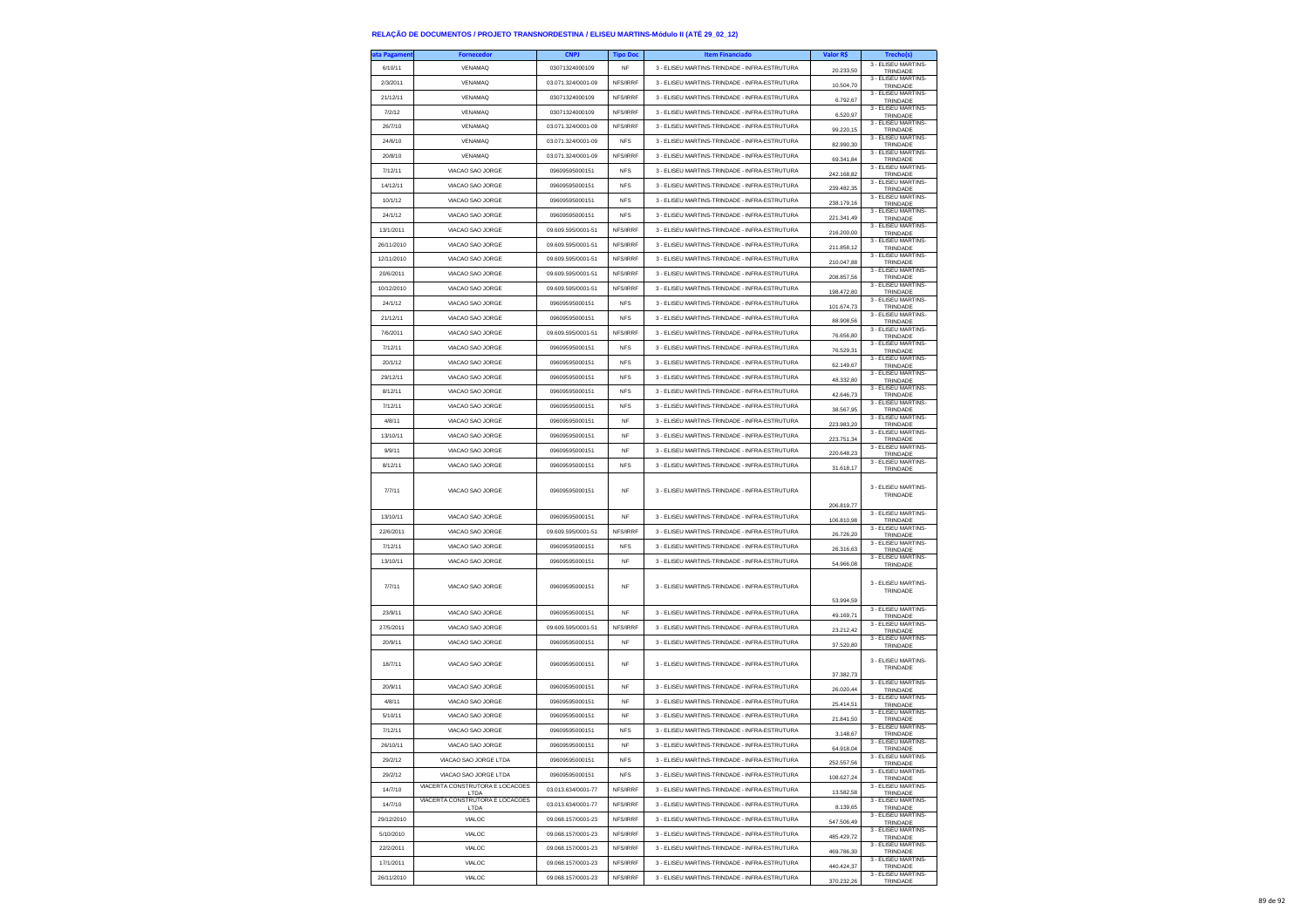| ita Pagamen | <b>Fornecedor</b>                       | <b>CNPJ</b>        | <b>Tipo Doc</b> | <b>Item Financiado</b>                        | Valor R\$  | Trecho(s)                                   |
|-------------|-----------------------------------------|--------------------|-----------------|-----------------------------------------------|------------|---------------------------------------------|
| 6/10/11     | VENAMAQ                                 | 03071324000109     | NF              | 3 - ELISEU MARTINS-TRINDADE - INFRA-ESTRUTURA | 20.233,50  | 3 - ELISEU MARTINS-<br>TRINDADE             |
| 2/3/2011    | VENAMAQ                                 | 03.071.324/0001-09 | NFS/IRRF        | 3 - ELISEU MARTINS-TRINDADE - INFRA-ESTRUTURA | 10.504,70  | 3 - ELISEU MARTINS-                         |
| 21/12/11    | <b>VENAMAQ</b>                          | 03071324000109     | NFS/IRRF        | 3 - ELISEU MARTINS-TRINDADE - INFRA-ESTRUTURA |            | TRINDADE<br>3 - ELISEU MARTINS-             |
| 7/2/12      | VENAMAQ                                 | 03071324000109     | NFS/IRRF        | 3 - ELISEU MARTINS-TRINDADE - INFRA-ESTRUTURA | 6.792,67   | TRINDADE<br>3 - ELISEU MARTINS-             |
|             | VENAMAQ                                 |                    |                 |                                               | 6.520,97   | TRINDADE<br>3 - ELISEU MARTINS-             |
| 26/7/10     |                                         | 03.071.324/0001-09 | NFS/IRRF        | 3 - ELISEU MARTINS-TRINDADE - INFRA-ESTRUTURA | 99.220,15  | TRINDADE<br>3 - ELISEU MARTINS-             |
| 24/6/10     | VENAMAQ                                 | 03.071.324/0001-09 | <b>NFS</b>      | 3 - ELISEU MARTINS-TRINDADE - INFRA-ESTRUTURA | 82.990,30  | TRINDADE<br>3 - ELISEU MARTINS-             |
| 20/8/10     | VENAMAQ                                 | 03.071.324/0001-09 | NFS/IRRF        | 3 - ELISEU MARTINS-TRINDADE - INFRA-ESTRUTURA | 69.341,84  | TRINDADE                                    |
| 7/12/11     | VIACAO SAO JORGE                        | 09609595000151     | <b>NFS</b>      | 3 - ELISEU MARTINS-TRINDADE - INFRA-ESTRUTURA | 242.168.82 | 3 - ELISEU MARTINS-<br>TRINDADE             |
| 14/12/11    | VIACAO SAO JORGE                        | 09609595000151     | <b>NFS</b>      | 3 - ELISEU MARTINS-TRINDADE - INFRA-ESTRUTURA | 239.482,35 | 3 - ELISEU MARTINS-<br>TRINDADE             |
| 10/1/12     | VIACAO SAO JORGE                        | 09609595000151     | <b>NFS</b>      | 3 - ELISEU MARTINS-TRINDADE - INFRA-ESTRUTURA | 238.179,16 | 3 - ELISEU MARTINS-<br>TRINDADE             |
| 24/1/12     | VIACAO SAO JORGE                        | 09609595000151     | <b>NFS</b>      | 3 - ELISEU MARTINS-TRINDADE - INFRA-ESTRUTURA | 221 341 49 | 3 - ELISEU MARTINS-<br>TRINDADE             |
| 13/1/2011   | VIACAO SAO JORGE                        | 09 609 595/0001-51 | NFS/IRRF        | 3 - ELISEU MARTINS-TRINDADE - INFRA-ESTRUTURA | 216.200,00 | 3 - ELISEU MARTINS-<br>TRINDADE             |
| 26/11/2010  | VIACAO SAO JORGE                        | 09.609.595/0001-51 | NFS/IRRF        | 3 - ELISEU MARTINS-TRINDADE - INFRA-ESTRUTURA | 211.858,12 | 3 - ELISEU MARTINS-<br>TRINDADE             |
| 12/11/2010  | VIACAO SAO JORGE                        | 09.609.595/0001-51 | NFS/IRRF        | 3 - ELISEU MARTINS-TRINDADE - INFRA-ESTRUTURA | 210 047 88 | 3 - ELISEU MARTINS-<br>TRINDADE             |
| 20/6/2011   | VIACAO SAO JORGE                        | 09.609.595/0001-51 | NFS/IRRF        | 3 - FLISELLMARTINS-TRINDADE - INFRA-ESTRUTURA | 208.857,56 | 3 - ELISEU MARTINS-                         |
| 10/12/2010  | VIACAO SAO JORGE                        | 09.609.595/0001-51 | NFS/IRRF        | 3 - ELISEU MARTINS-TRINDADE - INFRA-ESTRUTURA |            | TRINDADE<br>3 - ELISEU MARTINS-             |
| 24/1/12     | VIACAO SAO JORGE                        | 09609595000151     | <b>NFS</b>      | 3 - ELISEU MARTINS-TRINDADE - INFRA-ESTRUTURA | 198.472,80 | TRINDADE<br>3 - ELISEU MARTINS-             |
| 21/12/11    | VIACAO SAO JORGE                        | 09609595000151     | <b>NFS</b>      | 3 - ELISEU MARTINS-TRINDADE - INFRA-ESTRUTURA | 101.674.73 | TRINDADE<br>3 - ELISEU MARTINS-             |
| 7/6/2011    | VIACAO SAO JORGE                        | 09.609.595/0001-51 | NFS/IRRF        | 3 - ELISEU MARTINS-TRINDADE - INFRA-ESTRUTURA | 88.908,56  | TRINDADE<br>3 - ELISEU MARTINS-             |
|             |                                         |                    |                 |                                               | 76.656,80  | TRINDADE<br>3 - ELISEU MARTINS-             |
| 7/12/11     | VIACAO SAO JORGE                        | 09609595000151     | <b>NFS</b>      | 3 - ELISEU MARTINS-TRINDADE - INFRA-ESTRUTURA | 76.529,31  | TRINDADE<br>3 - ELISEU MARTINS-             |
| 20/1/12     | VIACAO SAO JORGE                        | 09609595000151     | <b>NFS</b>      | 3 - ELISEU MARTINS-TRINDADE - INFRA-ESTRUTURA | 62.149,67  | TRINDADE<br>3 - ELISEU MARTINS-             |
| 29/12/11    | VIACAO SAO JORGE                        | 09609595000151     | <b>NFS</b>      | 3 - ELISEU MARTINS-TRINDADE - INFRA-ESTRUTURA | 48.332,80  | TRINDADE<br>3 - ELISEU MARTINS-             |
| 8/12/11     | VIACAO SAO JORGE                        | 09609595000151     | <b>NFS</b>      | 3 - ELISEU MARTINS-TRINDADE - INFRA-ESTRUTURA | 42 646 73  | TRINDADE                                    |
| 7/12/11     | VIACAO SAO JORGE                        | 09609595000151     | <b>NFS</b>      | 3 - ELISEU MARTINS-TRINDADE - INFRA-ESTRUTURA | 38.567,95  | 3 - ELISEU MARTINS-<br>TRINDADE             |
| 4/8/11      | VIACAO SAO JORGE                        | 09609595000151     | <b>NF</b>       | 3 - ELISEU MARTINS-TRINDADE - INFRA-ESTRUTURA | 223.983,20 | 3 - ELISEU MARTINS-<br>TRINDADE             |
| 13/10/11    | VIACAO SAO JORGE                        | 09609595000151     | NF              | 3 - ELISEU MARTINS-TRINDADE - INFRA-ESTRUTURA | 223.751,34 | 3 - ELISEU MARTINS-<br>TRINDADE             |
| 9/9/11      | VIACAO SAO JORGE                        | 09609595000151     | NF              | 3 - ELISEU MARTINS-TRINDADE - INFRA-ESTRUTURA | 220.648,23 | 3 - ELISEU MARTINS-<br>TRINDADE             |
| 8/12/11     | VIACAO SAO JORGE                        | 09609595000151     | <b>NFS</b>      | 3 - ELISEU MARTINS-TRINDADE - INFRA-ESTRUTURA | 31.618,17  | 3 - ELISEU MARTINS-<br>TRINDADE             |
| 7/7/11      | VIACAO SAO JORGE                        | 09609595000151     | NF              | 3 - FLISEU MARTINS-TRINDADE - INFRA-ESTRUTURA | 206.819,77 | 3 - ELISEU MARTINS-<br>TRINDADE             |
| 13/10/11    | VIACAO SAO JORGE                        | 09609595000151     | NF              | 3 - ELISEU MARTINS-TRINDADE - INFRA-ESTRUTURA | 106.810,98 | 3 - ELISEU MARTINS-<br>TRINDADE             |
| 22/6/2011   | VIACAO SAO JORGE                        | 09.609.595/0001-51 | NFS/IRRF        | 3 - ELISEU MARTINS-TRINDADE - INFRA-ESTRUTURA | 26.726,20  | 3 - ELISEU MARTINS-<br>TRINDADE             |
| 7/12/11     | VIACAO SAO JORGE                        | 09609595000151     | <b>NFS</b>      | 3 - ELISEU MARTINS-TRINDADE - INFRA-ESTRUTURA | 26.316,63  | 3 - ELISEU MARTINS-                         |
| 13/10/11    | VIACAO SAO JORGE                        | 09609595000151     | NF              | 3 - ELISEU MARTINS-TRINDADE - INFRA-ESTRUTURA |            | TRINDADE<br>3 - ELISEU MARTINS-             |
| 7/7/11      | VIACAO SAO JORGE                        | 09609595000151     | NF              | 3 - ELISEU MARTINS-TRINDADE - INFRA-ESTRUTURA | 54.966,08  | TRINDADE<br>3 - ELISEU MARTINS-<br>TRINDADE |
|             |                                         |                    |                 |                                               | 53.994,59  | 3 - ELISEU MARTINS-                         |
| 23/9/11     | VIACAO SAO JORGE                        | 09609595000151     | NF              | 3 - ELISEU MARTINS-TRINDADE - INFRA-ESTRUTURA | 49.169,71  | TRINDADE<br>3 - ELISEU MARTINS-             |
| 27/5/2011   | VIACAO SAO JORGE                        | 09.609.595/0001-51 | NFS/IRRF        | 3 - ELISEU MARTINS-TRINDADE - INFRA-ESTRUTURA | 23.212,42  | TRINDADE<br>3 - ELISEU MARTINS-             |
| 20/9/11     | VIACAO SAO JORGE                        | 09609595000151     | NF              | 3 - ELISEU MARTINS-TRINDADE - INFRA-ESTRUTURA | 37.520,80  | TRINDADE                                    |
| 18/7/11     | VIACAO SAO JORGE                        | 09609595000151     | NF              | 3 - ELISEU MARTINS-TRINDADE - INFRA-ESTRUTURA | 37.382,73  | 3 - FLISEU MARTINS-<br>TRINDADE             |
| 20/9/11     | VIACAO SAO JORGE                        | 09609595000151     | <b>NF</b>       | 3 - ELISEU MARTINS-TRINDADE - INFRA-ESTRUTURA | 26.020,44  | 3 - ELISEU MARTINS-<br>TRINDADE             |
| 4/8/11      | VIACAO SAO JORGE                        | 09609595000151     | NF              | 3 - ELISEU MARTINS-TRINDADE - INFRA-ESTRUTURA | 25.414,51  | 3 - ELISEU MARTINS-<br>TRINDADE             |
| 5/10/11     | VIACAO SAO JORGE                        | 09609595000151     | NF              | 3 - ELISEU MARTINS-TRINDADE - INFRA-ESTRUTURA | 21.841,50  | 3 - FLISEU MARTINS-<br>TRINDADE             |
| 7/12/11     | VIACAO SAO JORGE                        | 09609595000151     | <b>NFS</b>      | 3 - ELISEU MARTINS-TRINDADE - INFRA-ESTRUTURA | 3.148,67   | 3 - ELISEU MARTINS-<br>TRINDADE             |
| 26/10/11    | VIACAO SAO JORGE                        | 09609595000151     | NF              | 3 - ELISEU MARTINS-TRINDADE - INFRA-ESTRUTURA | 64.918,04  | 3 - ELISEU MARTINS-<br><b>TRINDADE</b>      |
| 29/2/12     | VIACAO SAO JORGE LTDA                   | 09609595000151     | <b>NFS</b>      | 3 - ELISEU MARTINS-TRINDADE - INFRA-ESTRUTURA | 252,557.56 | 3 - ELISEU MARTINS-<br>TRINDADE             |
| 29/2/12     | VIACAO SAO JORGE LTDA                   | 09609595000151     | <b>NFS</b>      | 3 - ELISEU MARTINS-TRINDADE - INFRA-ESTRUTURA | 108.627,24 | 3 - ELISEU MARTINS-<br>TRINDADE             |
| 14/7/10     | VIACERTA CONSTRUTORA E LOCACOES<br>LTDA | 03.013.634/0001-77 | NFS/IRRF        | 3 - ELISEU MARTINS-TRINDADE - INFRA-ESTRUTURA | 13.582,58  | 3 - FLISEU MARTINS-<br>TRINDADE             |
| 14/7/10     | VIACERTA CONSTRUTORA E LOCACOES<br>LTDA | 03.013.634/0001-77 | NFS/IRRF        | 3 - ELISEU MARTINS-TRINDADE - INFRA-ESTRUTURA | 8.139.65   | 3 - ELISEU MARTINS-<br>TRINDADE             |
| 29/12/2010  | VIALOC                                  | 09.068.157/0001-23 | NFS/IRRF        | 3 - ELISEU MARTINS-TRINDADE - INFRA-ESTRUTURA | 547.506,49 | 3 - ELISEU MARTINS-<br>TRINDADE             |
| 5/10/2010   | VIALOC                                  | 09.068.157/0001-23 | NFS/IRRF        | 3 - ELISEU MARTINS-TRINDADE - INFRA-ESTRUTURA | 485.429.72 | 3 - ELISEU MARTINS-                         |
| 22/2/2011   | VIALOC                                  | 09.068.157/0001-23 | NFS/IRRF        | 3 - ELISEU MARTINS-TRINDADE - INFRA-ESTRUTURA | 469 786 30 | TRINDADE<br>3 - ELISEU MARTINS-             |
| 17/1/2011   | VIALOC                                  | 09.068.157/0001-23 | NFS/IRRF        | 3 - ELISEU MARTINS-TRINDADE - INFRA-ESTRUTURA | 440.424,37 | TRINDADE<br>3 - ELISEU MARTINS-<br>TRINDADE |
| 26/11/2010  | VIALOC                                  | 09.068.157/0001-23 | NFS/IRRF        | 3 - ELISEU MARTINS-TRINDADE - INFRA-ESTRUTURA | 370.232.26 | 3 - ELISEU MARTINS-                         |
|             |                                         |                    |                 |                                               |            | TRINDADE                                    |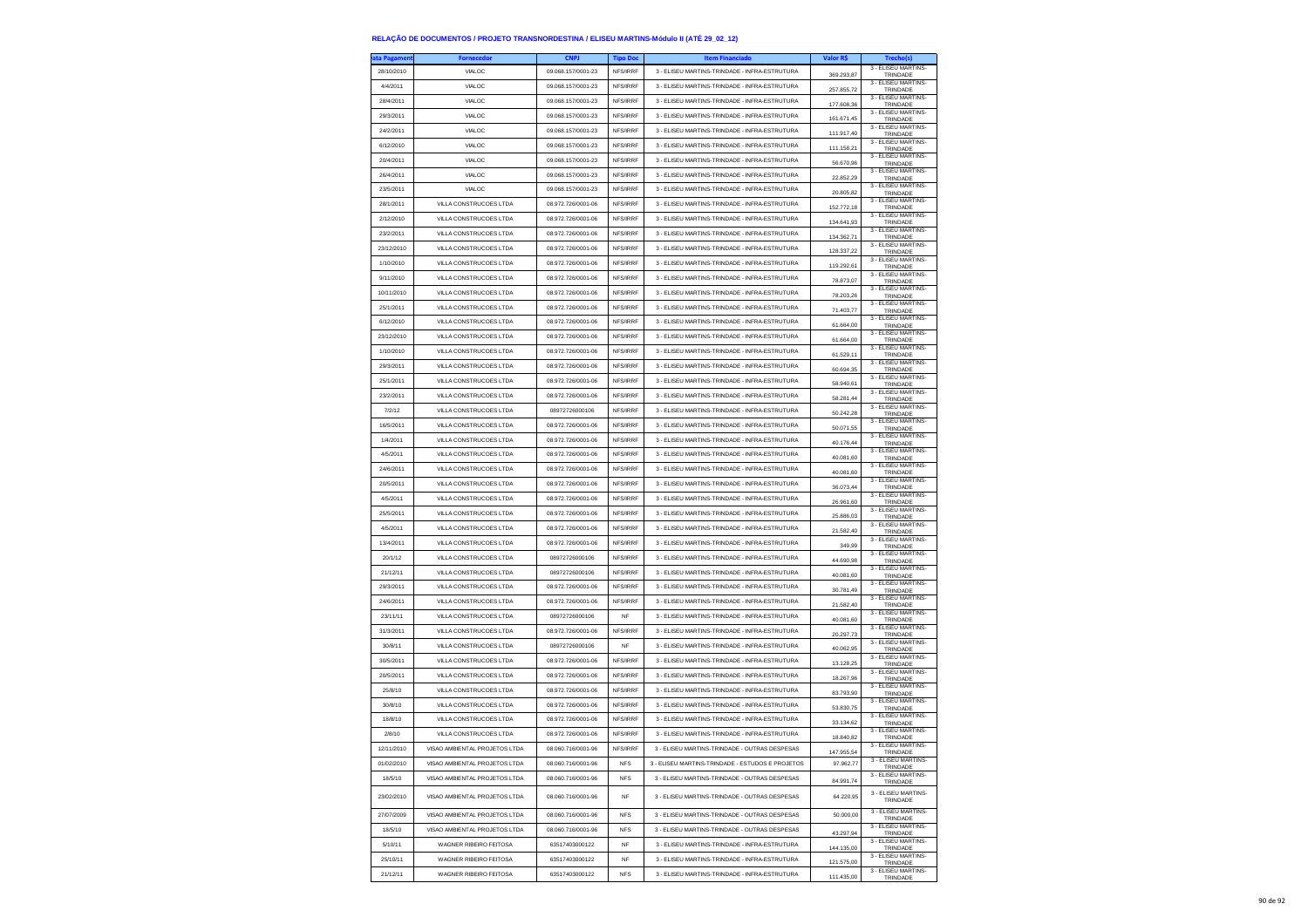| ata Pagameni | <b>Fornecedor</b>             | <b>CNPJ</b>        | <b>Tipo Doc</b> | <b>Item Financiado</b>                           | Valor R\$  | Trecho(s)                              |
|--------------|-------------------------------|--------------------|-----------------|--------------------------------------------------|------------|----------------------------------------|
| 28/10/2010   | VIALOC                        | 09.068.157/0001-23 | NFS/IRRF        | 3 - ELISEU MARTINS-TRINDADE - INFRA-ESTRUTURA    | 369,293.87 | 3 - ELISEU MARTINS-<br>TRINDADE        |
| 4/4/2011     | VIALOC                        | 09.068.157/0001-23 | NFS/IRRF        | 3 - ELISEU MARTINS-TRINDADE - INFRA-ESTRUTURA    | 257.855,72 | 3 - ELISEU MARTINS-<br>TRINDADE        |
| 28/4/2011    | VIALOC                        | 09.068.157/0001-23 | NFS/IRRF        | 3 - ELISEU MARTINS-TRINDADE - INFRA-ESTRUTURA    | 177.608,36 | 3 - ELISEU MARTINS-<br>TRINDADE        |
| 29/3/2011    | VIALOC                        | 09.068.157/0001-23 | NFS/IRRF        | 3 - ELISEU MARTINS-TRINDADE - INFRA-ESTRUTURA    | 161.671.45 | 3 - ELISEU MARTINS-<br>TRINDADE        |
| 24/2/2011    | VIALOC                        | 09.068.157/0001-23 | NFS/IRRF        | 3 - ELISEU MARTINS-TRINDADE - INFRA-ESTRUTURA    | 111.917,40 | 3 - ELISEU MARTINS-<br>TRINDADE        |
| 6/12/2010    | VIALOC                        | 09.068.157/0001-23 | NFS/IRRF        | 3 - ELISEU MARTINS-TRINDADE - INFRA-ESTRUTURA    | 111.158,21 | 3 - ELISEU MARTINS-                    |
| 20/4/2011    | VIALOC                        | 09.068.157/0001-23 | NFS/IRRF        | 3 - ELISEU MARTINS-TRINDADE - INFRA-ESTRUTURA    |            | TRINDADE<br>3 - ELISEU MARTINS-        |
| 26/4/2011    | VIALOC                        | 09.068.157/0001-23 | NFS/IRRF        | 3 - ELISEU MARTINS-TRINDADE - INFRA-ESTRUTURA    | 56,670.96  | TRINDADE<br>3 - ELISEU MARTINS-        |
| 23/5/2011    | VIALOC                        | 09.068.157/0001-23 | NFS/IRRF        | 3 - ELISEU MARTINS-TRINDADE - INFRA-ESTRUTURA    | 22.852,29  | TRINDADE<br>3 - ELISEU MARTINS-        |
| 28/1/2011    | VILLA CONSTRUCOES LTDA        | 08.972.726/0001-06 | NFS/IRRF        | 3 - ELISEU MARTINS-TRINDADE - INFRA-ESTRUTURA    | 20.805,82  | TRINDADE<br>3 - ELISEU MARTINS         |
| 2/12/2010    | VILLA CONSTRUCOES LTDA        | 08.972.726/0001-06 | NFS/IRRF        | 3 - FLISELLMARTINS-TRINDADE - INFRA-ESTRUTURA    | 152,772.18 | TRINDADE<br>3 - ELISEU MARTINS-        |
| 23/2/2011    | VILLA CONSTRUCOES LTDA        | 08.972.726/0001-06 | NFS/IRRF        | 3 - ELISEU MARTINS-TRINDADE - INFRA-ESTRUTURA    | 134.641,93 | TRINDADE<br>3 - ELISEU MARTINS-        |
| 23/12/2010   | VILLA CONSTRUCOES LTDA        | 08.972.726/0001-06 | NFS/IRRF        | 3 - ELISEU MARTINS-TRINDADE - INFRA-ESTRUTURA    | 134.362,71 | TRINDADE<br>3 - ELISEU MARTINS-        |
| 1/10/2010    | VILLA CONSTRUCOES LTDA        | 08.972.726/0001-06 | NFS/IRRF        | 3 - FLISELLMARTINS-TRINDADE - INFRA-ESTRUTURA    | 128 337 22 | TRINDADE<br>3 - FLISEU MARTINS-        |
| 9/11/2010    | VILLA CONSTRUCOES LTDA        | 08.972.726/0001-06 | NFS/IRRF        |                                                  | 119.292,61 | TRINDADE<br>3 - ELISEU MARTINS-        |
|              |                               |                    |                 | 3 - ELISEU MARTINS-TRINDADE - INFRA-ESTRUTURA    | 78.873,07  | TRINDADE<br>3 - ELISEU MARTINS-        |
| 10/11/2010   | VILLA CONSTRUCOES LTDA        | 08.972.726/0001-06 | NFS/IRRF        | 3 - ELISEU MARTINS-TRINDADE - INFRA-ESTRUTURA    | 78.203,26  | TRINDADE<br>3 - ELISEU MARTINS-        |
| 25/1/2011    | VILLA CONSTRUCOES LTDA        | 08.972.726/0001-06 | NFS/IRRF        | 3 - ELISEU MARTINS-TRINDADE - INFRA-ESTRUTURA    | 71.403,77  | TRINDADE<br>3 - ELISEU MARTINS-        |
| 6/12/2010    | VILLA CONSTRUCOES LTDA        | 08.972.726/0001-06 | NFS/IRRF        | 3 - ELISEU MARTINS-TRINDADE - INFRA-ESTRUTURA    | 61.664,00  | TRINDADE<br>3 - ELISEU MARTINS-        |
| 23/12/2010   | VILLA CONSTRUCOES LTDA        | 08.972.726/0001-06 | NFS/IRRF        | 3 - ELISEU MARTINS-TRINDADE - INFRA-ESTRUTURA    | 61.664,00  | TRINDADE<br>3 - ELISEU MARTINS-        |
| 1/10/2010    | VILLA CONSTRUCOES LTDA        | 08.972.726/0001-06 | NFS/IRRF        | 3 - ELISEU MARTINS-TRINDADE - INFRA-ESTRUTURA    | 61.529,11  | TRINDADE<br>3 - ELISEU MARTINS-        |
| 29/3/2011    | VILLA CONSTRUCOES LTDA        | 08 972 726/0001-06 | NFS/IRRF        | 3 - ELISEU MARTINS-TRINDADE - INFRA-ESTRUTURA    | 60.694,35  | TRINDADE                               |
| 25/1/2011    | VILLA CONSTRUCOES LTDA        | 08.972.726/0001-06 | NFS/IRRF        | 3 - ELISEU MARTINS-TRINDADE - INFRA-ESTRUTURA    | 58.940,61  | 3 - ELISEU MARTINS-<br>TRINDADE        |
| 23/2/2011    | VILLA CONSTRUCOES LTDA        | 08.972.726/0001-06 | NFS/IRRF        | 3 - ELISEU MARTINS-TRINDADE - INFRA-ESTRUTURA    | 58 281 44  | 3 - ELISEU MARTINS-<br>TRINDADE        |
| 7/2/12       | VILLA CONSTRUCOES LTDA        | 08972726000106     | NFS/IRRF        | 3 - ELISEU MARTINS-TRINDADE - INFRA-ESTRUTURA    | 50.242,28  | 3 - ELISEU MARTINS-<br>TRINDADE        |
| 16/5/2011    | VILLA CONSTRUCOES LTDA        | 08.972.726/0001-06 | NFS/IRRF        | 3 - ELISEU MARTINS-TRINDADE - INFRA-ESTRUTURA    | 50.071,55  | 3 - ELISEU MARTINS-<br>TRINDADE        |
| 1/4/2011     | VILLA CONSTRUCOES LTDA        | 08.972.726/0001-06 | NFS/IRRF        | 3 - ELISEU MARTINS-TRINDADE - INFRA-ESTRUTURA    | 40.176.44  | 3 - FLISEU MARTINS-<br>TRINDADE        |
| 4/5/2011     | VILLA CONSTRUCOES LTDA        | 08 972 726/0001-06 | NFS/IRRF        | 3 - ELISEU MARTINS-TRINDADE - INFRA-ESTRUTURA    | 40.081.60  | 3 - ELISEU MARTINS-<br>TRINDADE        |
| 24/6/2011    | VILLA CONSTRUCOES LTDA        | 08.972.726/0001-06 | NFS/IRRF        | 3 - ELISEU MARTINS-TRINDADE - INFRA-ESTRUTURA    | 40.081,60  | 3 - ELISEU MARTINS-<br>TRINDADE        |
| 20/5/2011    | VILLA CONSTRUCOES LTDA        | 08.972.726/0001-06 | NFS/IRRF        | 3 - ELISEU MARTINS-TRINDADE - INFRA-ESTRUTURA    | 36.073.44  | 3 - ELISEU MARTINS<br>TRINDADE         |
| 4/5/2011     | VILLA CONSTRUCOES LTDA        | 08.972.726/0001-06 | NFS/IRRF        | 3 - ELISEU MARTINS-TRINDADE - INFRA-ESTRUTURA    | 26.961,60  | 3 - ELISEU MARTINS-<br>TRINDADE        |
| 25/5/2011    | VILLA CONSTRUCOES LTDA        | 08.972.726/0001-06 | NFS/IRRF        | 3 - ELISEU MARTINS-TRINDADE - INFRA-ESTRUTURA    | 25.886,03  | 3 - ELISEU MARTINS-<br>TRINDADE        |
| 4/5/2011     | VILLA CONSTRUCOES LTDA        | 08.972.726/0001-06 | NFS/IRRF        | 3 - ELISEU MARTINS-TRINDADE - INFRA-ESTRUTURA    | 21.582.40  | 3 - ELISEU MARTINS-<br>TRINDADE        |
| 13/4/2011    | VILLA CONSTRUCOES LTDA        | 08.972.726/0001-06 | NFS/IRRF        | 3 - ELISEU MARTINS-TRINDADE - INFRA-ESTRUTURA    | 349,99     | 3 - ELISEU MARTINS-<br>TRINDADE        |
| 20/1/12      | VILLA CONSTRUCOES LTDA        | 08972726000106     | NFS/IRRF        | 3 - ELISEU MARTINS-TRINDADE - INFRA-ESTRUTURA    | 44.690,98  | 3 - ELISEU MARTINS-<br>TRINDADE        |
| 21/12/11     | VILLA CONSTRUCOES LTDA        | 08972726000106     | NFS/IRRF        | 3 - ELISEU MARTINS-TRINDADE - INFRA-ESTRUTURA    | 40.081.60  | 3 - ELISEU MARTINS-<br>TRINDADE        |
| 29/3/2011    | VILLA CONSTRUCOES LTDA        | 08.972.726/0001-06 | NFS/IRRF        | 3 - ELISEU MARTINS-TRINDADE - INFRA-ESTRUTURA    | 30.781,49  | 3 - ELISEU MARTINS-<br>TRINDADE        |
| 24/6/2011    | VILLA CONSTRUCOES LTDA        | 08.972.726/0001-06 | NFS/IRRF        | 3 - ELISEU MARTINS-TRINDADE - INFRA-ESTRUTURA    | 21.582,40  | 3 - ELISEU MARTINS-<br>TRINDADE        |
| 23/11/11     | VILLA CONSTRUCOES LTDA        | 08972726000106     | <b>NF</b>       | 3 - ELISEU MARTINS-TRINDADE - INFRA-ESTRUTURA    | 40.081.60  | 3 - ELISEU MARTINS-<br>TRINDADE        |
| 31/3/2011    | VILLA CONSTRUCOES LTDA        | 08.972.726/0001-06 | NFS/IRRF        | 3 - ELISEU MARTINS-TRINDADE - INFRA-ESTRUTURA    | 20.297,73  | 3 - ELISEU MARTINS-<br>TRINDADE        |
| 30/8/11      | VILLA CONSTRUCOES LTDA        | 08972726000106     | <b>NF</b>       | 3 - ELISEU MARTINS-TRINDADE - INFRA-ESTRUTURA    | 40.062,95  | 3 - ELISEU MARTINS-<br>TRINDADE        |
| 30/5/2011    | VILLA CONSTRUCOES LTDA        | 08.972.726/0001-06 | NFS/IRRF        | 3 - ELISEU MARTINS-TRINDADE - INFRA-ESTRUTURA    |            | 3 - FLISEU MARTINS-                    |
| 20/5/2011    | VILLA CONSTRUCOES LTDA        | 08.972.726/0001-06 | NFS/IRRF        | 3 - ELISEU MARTINS-TRINDADE - INFRA-ESTRUTURA    | 13.128.25  | TRINDADE<br>3 - ELISEU MARTINS-        |
| 25/8/10      | VILLA CONSTRUCOES LTDA        | 08.972.726/0001-06 | NFS/IRRF        | 3 - ELISEU MARTINS-TRINDADE - INFRA-ESTRUTURA    | 18.267,96  | TRINDADE<br>3 - ELISEU MARTINS-        |
| 30/8/10      | VILLA CONSTRUCOES LTDA        | 08.972.726/0001-06 | NFS/IRRF        | 3 - ELISEU MARTINS-TRINDADE - INFRA-ESTRUTURA    | 83.793,90  | TRINDADE<br>3 - ELISEU MARTINS-        |
| 18/8/10      | VILLA CONSTRUCOES LTDA        | 08.972.726/0001-06 | NFS/IRRF        | 3 - ELISEU MARTINS-TRINDADE - INFRA-ESTRUTURA    | 53.830,75  | TRINDADE<br>3 - ELISEU MARTINS-        |
| 2/8/10       | VILLA CONSTRUCOES LTDA        | 08 972 726/0001-06 | NFS/IRRF        | 3 - ELISEU MARTINS-TRINDADE - INFRA-ESTRUTURA    | 33.134,62  | TRINDADE<br>3 - ELISEU MARTINS-        |
| 12/11/2010   | VISAO AMBIENTAL PROJETOS LTDA | 08.060.716/0001-96 | NFS/IRRF        | 3 - ELISEU MARTINS-TRINDADE - OUTRAS DESPESAS    | 18,840.82  | TRINDADE<br>3 - FLISEU MARTINS-        |
|              |                               |                    |                 |                                                  | 147.955,54 | <b>TRINDADE</b><br>3 - ELISEU MARTINS- |
| 01/02/2010   | VISAO AMBIENTAL PROJETOS LTDA | 08.060.716/0001-96 | <b>NFS</b>      | 3 - ELISEU MARTINS-TRINDADE - ESTUDOS E PROJETOS | 97.962,77  | TRINDADE<br>3 - ELISEU MARTINS-        |
| 18/5/10      | VISAO AMBIENTAL PROJETOS LTDA | 08.060.716/0001-96 | <b>NFS</b>      | 3 - ELISEU MARTINS-TRINDADE - OUTRAS DESPESAS    | 84.991,74  | TRINDADE                               |
| 23/02/2010   | VISAO AMBIENTAL PROJETOS LTDA | 08.060.716/0001-96 | NF              | 3 - ELISEU MARTINS-TRINDADE - OUTRAS DESPESAS    | 64 220 95  | 3 - ELISEU MARTINS-<br>TRINDADE        |
| 27/07/2009   | VISAO AMBIENTAL PROJETOS LTDA | 08.060.716/0001-96 | <b>NFS</b>      | 3 - ELISEU MARTINS-TRINDADE - OUTRAS DESPESAS    | 50,000.00  | 3 - ELISEU MARTINS-<br>TRINDADE        |
| 18/5/10      | VISAO AMBIENTAL PROJETOS LTDA | 08.060.716/0001-96 | <b>NFS</b>      | 3 - ELISEU MARTINS-TRINDADE - OUTRAS DESPESAS    | 43.297,94  | 3 - ELISEU MARTINS-<br>TRINDADE        |
| 5/10/11      | WAGNER RIBEIRO FEITOSA        | 63517403000122     | NF              | 3 - ELISEU MARTINS-TRINDADE - INFRA-ESTRUTURA    | 144.135,00 | 3 - FLISEU MARTINS-<br>TRINDADE        |
| 25/10/11     | WAGNER RIBEIRO FEITOSA        | 63517403000122     | NF              | 3 - ELISEU MARTINS-TRINDADE - INFRA-ESTRUTURA    | 121.575,00 | 3 - ELISEU MARTINS-<br>TRINDADE        |
| 21/12/11     | WAGNER RIBEIRO FEITOSA        | 63517403000122     | <b>NFS</b>      | 3 - ELISEU MARTINS-TRINDADE - INFRA-ESTRUTURA    | 111.435,00 | 3 - ELISEU MARTINS-<br>TRINDADE        |
|              |                               |                    |                 |                                                  |            |                                        |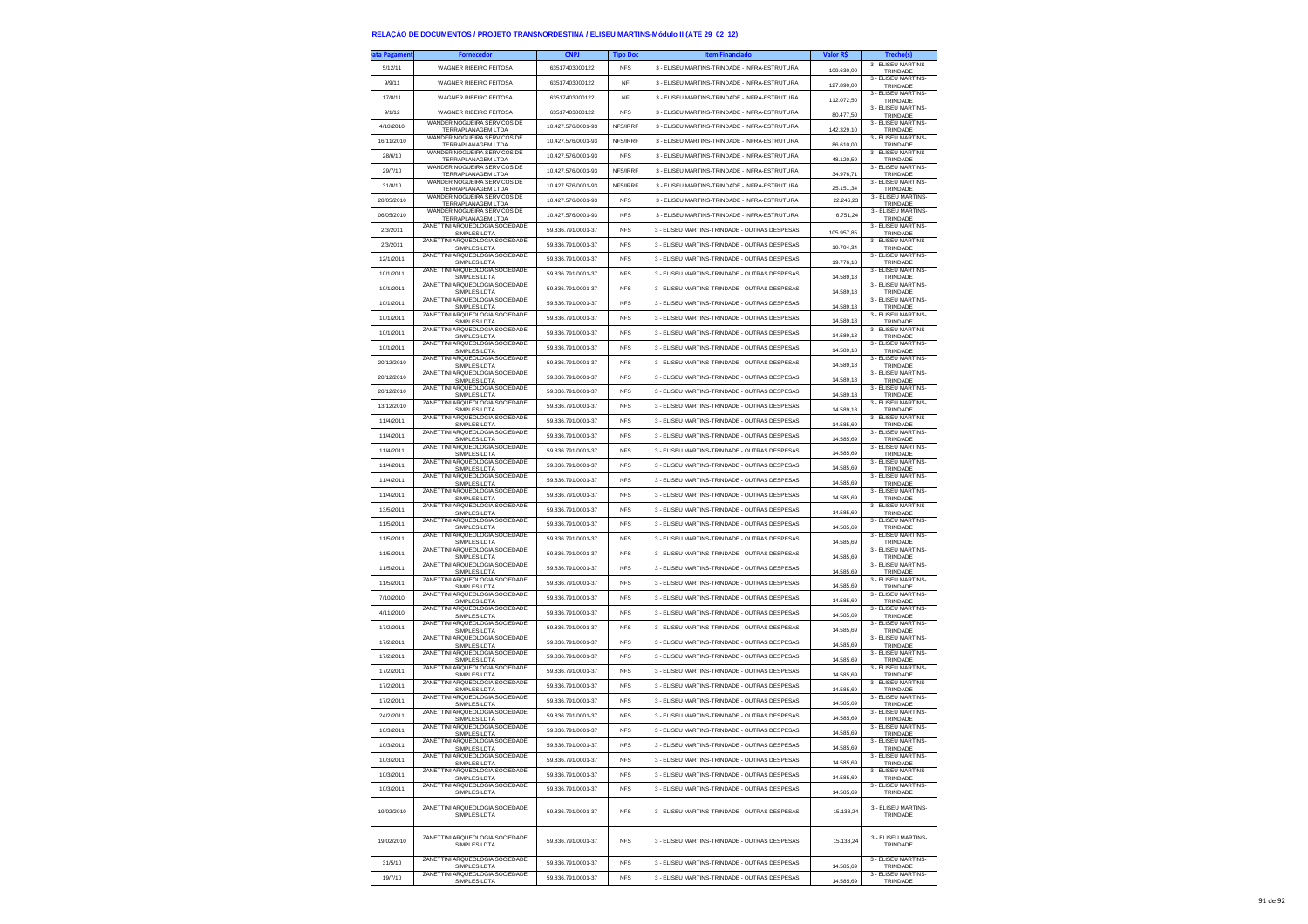| ta Pagamen | <b>Fornecedor</b>                                      | <b>CNPJ</b>        | <b>Tipo Doc</b> | <b>Item Financiado</b>                        | Valor R\$              | <b>Trecho(s)</b>                |
|------------|--------------------------------------------------------|--------------------|-----------------|-----------------------------------------------|------------------------|---------------------------------|
| 5/12/11    | WAGNER RIBEIRO FEITOSA                                 | 63517403000122     | <b>NFS</b>      | 3 - ELISEU MARTINS-TRINDADE - INFRA-ESTRUTURA | 109.630,00             | 3 - ELISEU MARTINS<br>TRINDADE  |
| 9/9/11     | WAGNER RIBEIRO FEITOSA                                 | 63517403000122     | NF              | 3 - ELISEU MARTINS-TRINDADE - INFRA-ESTRUTURA |                        | 3 - ELISEU MARTINS-             |
| 17/8/11    | WAGNER RIBEIRO FEITOSA                                 | 63517403000122     | <b>NF</b>       | 3 - ELISEU MARTINS-TRINDADE - INFRA-ESTRUTURA | 127.890,00             | TRINDADE<br>3 - FLISEU MARTINS- |
|            |                                                        |                    |                 |                                               | 112 072 50             | TRINDADE<br>3 - ELISEU MARTINS- |
| 9/1/12     | WAGNER RIBEIRO FEITOSA<br>WANDER NOGUEIRA SERVICOS DE  | 63517403000122     | <b>NFS</b>      | 3 - ELISEU MARTINS-TRINDADE - INFRA-ESTRUTURA | 80.477,50              | TRINDADE<br>3 - ELISEU MARTINS- |
| 4/10/2010  | TERRAPLANAGEM LTDA<br>WANDER NOGUEIRA SERVICOS DE      | 10.427.576/0001-93 | NFS/IRRF        | 3 - ELISEU MARTINS-TRINDADE - INFRA-ESTRUTURA | 142.329,10             | TRINDADE                        |
| 16/11/2010 | TERRAPLANAGEM LTDA                                     | 10.427.576/0001-93 | NFS/IRRF        | 3 - ELISEU MARTINS-TRINDADE - INFRA-ESTRUTURA | 86.610.00              | 3 - ELISEU MARTINS-<br>TRINDADE |
| 28/6/10    | WANDER NOGUEIRA SERVICOS DE<br>TERRAPLANAGEM LTDA      | 10 427 576/0001-93 | <b>NFS</b>      | 3 - ELISEU MARTINS-TRINDADE - INFRA-ESTRUTURA | 48.120,59              | 3 - ELISEU MARTINS-<br>TRINDADE |
| 29/7/10    | WANDER NOGUEIRA SERVICOS DE<br>TERRAPLANAGEM LTDA      | 10.427.576/0001-93 | NFS/IRRF        | 3 - ELISEU MARTINS-TRINDADE - INFRA-ESTRUTURA | 34.976,71              | 3 - ELISEU MARTINS-<br>TRINDADE |
| 31/8/10    | WANDER NOGUEIRA SERVICOS DE                            | 10.427.576/0001-93 | NFS/IRRF        | 3 - ELISEU MARTINS-TRINDADE - INFRA-ESTRUTURA |                        | 3 - ELISEU MARTINS-             |
| 28/05/2010 | TERRAPLANAGEM LTDA<br>WANDER NOGUEIRA SERVICOS DE      | 10.427.576/0001-93 | <b>NFS</b>      | 3 - ELISEU MARTINS-TRINDADE - INFRA-ESTRUTURA | 25.151.34<br>22.246.23 | TRINDADE<br>3 - ELISEU MARTINS- |
|            | TERRAPLANAGEM LTDA<br>WANDER NOGUEIRA SERVICOS DE      |                    |                 |                                               |                        | TRINDADE<br>3 - ELISEU MARTINS- |
| 06/05/2010 | TERRAPLANAGEM LTDA<br>ZANETTINI ARQUEOLOGIA SOCIEDADE  | 10 427 576/0001-93 | <b>NFS</b>      | 3 - ELISEU MARTINS-TRINDADE - INFRA-ESTRUTURA | 6,751.24               | TRINDADE<br>3 - FLISEU MARTINS- |
| 2/3/2011   | SIMPLES LDTA                                           | 59.836.791/0001-37 | <b>NFS</b>      | 3 - ELISEU MARTINS-TRINDADE - OUTRAS DESPESAS | 105.957.85             | TRINDADE                        |
| 2/3/2011   | ZANETTINI ARQUEOLOGIA SOCIEDADE<br>SIMPLES LDTA        | 59.836.791/0001-37 | <b>NFS</b>      | 3 - ELISEU MARTINS-TRINDADE - OUTRAS DESPESAS | 19.794,34              | 3 - ELISEU MARTINS-<br>TRINDADE |
| 12/1/2011  | ZANETTINI ARQUEOLOGIA SOCIEDADE<br>SIMPLES LDTA        | 59 836 791/0001-37 | <b>NFS</b>      | 3 - ELISEU MARTINS-TRINDADE - OUTRAS DESPESAS | 19.776,18              | 3 - ELISEU MARTINS-<br>TRINDADE |
| 10/1/2011  | ZANETTINI ARQUEOLOGIA SOCIEDADE<br>SIMPLES LDTA        | 59.836.791/0001-37 | <b>NFS</b>      | 3 - ELISEU MARTINS-TRINDADE - OUTRAS DESPESAS | 14.589,18              | 3 - FLISEU MARTINS-<br>TRINDADE |
| 10/1/2011  | ZANETTINI ARQUEOLOGIA SOCIEDADE                        | 59.836.791/0001-37 | <b>NFS</b>      | 3 - ELISEU MARTINS-TRINDADE - OUTRAS DESPESAS |                        | 3 - ELISEU MARTINS-             |
|            | SIMPLES LDTA<br>ZANETTINI ARQUEOLOGIA SOCIEDADE        |                    |                 |                                               | 14.589,18              | TRINDADE<br>3 - ELISEU MARTINS- |
| 10/1/2011  | SIMPLES LDTA<br>ZANETTINI ARQUEOLOGIA SOCIEDADE        | 59.836.791/0001-37 | <b>NFS</b>      | 3 - ELISEU MARTINS-TRINDADE - OUTRAS DESPESAS | 14.589,18              | TRINDADE<br>3 - ELISEU MARTINS- |
| 10/1/2011  | SIMPLES LDTA<br>ZANETTINI ARQUEOLOGIA SOCIEDADE        | 59.836.791/0001-37 | <b>NFS</b>      | 3 - ELISEU MARTINS-TRINDADE - OUTRAS DESPESAS | 14.589,18              | TRINDADE<br>3 - ELISEU MARTINS- |
| 10/1/2011  | SIMPLES LDTA                                           | 59.836.791/0001-37 | <b>NFS</b>      | 3 - ELISEU MARTINS-TRINDADE - OUTRAS DESPESAS | 14.589,18              | TRINDADE                        |
| 10/1/2011  | ZANETTINI ARQUEOLOGIA SOCIEDADE<br>SIMPLES LDTA        | 59.836.791/0001-37 | <b>NFS</b>      | 3 - ELISEU MARTINS-TRINDADE - OUTRAS DESPESAS | 14.589,18              | 3 - ELISEU MARTINS-<br>TRINDADE |
| 20/12/2010 | ZANETTINI ARQUEOLOGIA SOCIEDADE<br>SIMPLES LDTA        | 59.836.791/0001-37 | <b>NFS</b>      | 3 - ELISEU MARTINS-TRINDADE - OUTRAS DESPESAS | 14.589,18              | 3 - ELISEU MARTINS-<br>TRINDADE |
| 20/12/2010 | ZANETTINI ARQUEOLOGIA SOCIEDADE<br>SIMPLES LDTA        | 59.836.791/0001-37 | <b>NFS</b>      | 3 - ELISEU MARTINS-TRINDADE - OUTRAS DESPESAS | 14,589.18              | 3 - FLISEU MARTINS-<br>TRINDADE |
| 20/12/2010 | ZANETTINI ARQUEOLOGIA SOCIEDADE                        | 59.836.791/0001-37 | <b>NFS</b>      | 3 - ELISEU MARTINS-TRINDADE - OUTRAS DESPESAS |                        | 3 - ELISEU MARTINS-             |
|            | SIMPLES LDTA<br>ZANETTINI ARQUEOLOGIA SOCIEDADE        |                    |                 | 3 - ELISEU MARTINS-TRINDADE - OUTRAS DESPESAS | 14.589,18              | TRINDADE<br>3 - ELISEU MARTINS- |
| 13/12/2010 | SIMPLES LDTA<br>ZANETTINI ARQUEOLOGIA SOCIEDADE        | 59.836.791/0001-37 | <b>NFS</b>      |                                               | 14.589,18              | TRINDADE<br>3 - ELISEU MARTINS- |
| 11/4/2011  | SIMPLES LDTA<br>ZANETTINI ARQUEOLOGIA SOCIEDADE        | 59.836.791/0001-37 | <b>NFS</b>      | 3 - ELISEU MARTINS-TRINDADE - OUTRAS DESPESAS | 14,585.69              | TRINDADE<br>3 - ELISEU MARTINS- |
| 11/4/2011  | SIMPLES LDTA                                           | 59 836 791/0001-37 | <b>NFS</b>      | 3 - ELISEU MARTINS-TRINDADE - OUTRAS DESPESAS | 14.585,69              | TRINDADE                        |
| 11/4/2011  | ZANETTINI ARQUEOLOGIA SOCIEDADE<br>SIMPLES LDTA        | 59.836.791/0001-37 | <b>NFS</b>      | 3 - ELISEU MARTINS-TRINDADE - OUTRAS DESPESAS | 14.585,69              | 3 - ELISEU MARTINS-<br>TRINDADE |
| 11/4/2011  | ZANETTINI ARQUEOLOGIA SOCIEDADE<br>SIMPLES LDTA        | 59.836.791/0001-37 | <b>NFS</b>      | 3 - ELISEU MARTINS-TRINDADE - OUTRAS DESPESAS | 14,585.69              | 3 - ELISEU MARTINS-<br>TRINDADE |
| 11/4/2011  | ZANETTINI ARQUEOLOGIA SOCIEDADE<br>SIMPLES LDTA        | 59.836.791/0001-37 | <b>NFS</b>      | 3 - ELISEU MARTINS-TRINDADE - OUTRAS DESPESAS | 14.585,69              | 3 - ELISEU MARTINS-<br>TRINDADE |
| 11/4/2011  | ZANETTINI ARQUEOLOGIA SOCIEDADE                        | 59.836.791/0001-37 | <b>NFS</b>      | 3 - ELISEU MARTINS-TRINDADE - OUTRAS DESPESAS |                        | 3 - ELISEU MARTINS-             |
| 13/5/2011  | SIMPLES LDTA<br>ZANETTINI ARQUEOLOGIA SOCIEDADE        | 59.836.791/0001-37 | <b>NFS</b>      | 3 - ELISEU MARTINS-TRINDADE - OUTRAS DESPESAS | 14.585,69              | TRINDADE<br>3 - ELISEU MARTINS  |
|            | SIMPLES LDTA<br>ZANETTINI ARQUEOLOGIA SOCIEDADE        |                    |                 |                                               | 14,585.69              | TRINDADE<br>3 - ELISEU MARTINS- |
| 11/5/2011  | <b>SIMPLES LDTA</b><br>ZANETTINI ARQUEOLOGIA SOCIEDADE | 59.836.791/0001-37 | <b>NFS</b>      | 3 - ELISEU MARTINS-TRINDADE - OUTRAS DESPESAS | 14.585,69              | TRINDADE<br>3 - ELISEU MARTINS- |
| 11/5/2011  | SIMPLES LDTA                                           | 59.836.791/0001-37 | <b>NFS</b>      | 3 - ELISEU MARTINS-TRINDADE - OUTRAS DESPESAS | 14.585,69              | TRINDADE                        |
| 11/5/2011  | ZANETTINI ARQUEOLOGIA SOCIEDADE<br>SIMPLES LDTA        | 59.836.791/0001-37 | <b>NFS</b>      | 3 - ELISEU MARTINS-TRINDADE - OUTRAS DESPESAS | 14,585.69              | 3 - ELISEU MARTINS-<br>TRINDADE |
| 11/5/2011  | ZANETTINI ARQUEOLOGIA SOCIEDADE<br>SIMPLES LDTA        | 59.836.791/0001-37 | <b>NFS</b>      | 3 - ELISEU MARTINS-TRINDADE - OUTRAS DESPESAS | 14.585,69              | 3 - ELISEU MARTINS-<br>TRINDADE |
| 11/5/2011  | ZANETTINI ARQUEOLOGIA SOCIEDADE<br>SIMPLES LDTA        | 59.836.791/0001-37 | <b>NFS</b>      | 3 - ELISEU MARTINS-TRINDADE - OUTRAS DESPESAS | 14.585,69              | 3 - ELISEU MARTINS-<br>TRINDADE |
| 7/10/2010  | ZANETTINI ARQUEOLOGIA SOCIEDADE                        | 59.836.791/0001-37 | <b>NFS</b>      | 3 - ELISEU MARTINS-TRINDADE - OUTRAS DESPESAS | 14,585.69              | 3 - ELISEU MARTINS-             |
| 4/11/2010  | SIMPLES LDTA<br>ZANETTINI ARQUEOLOGIA SOCIEDADE        | 59.836.791/0001-37 | <b>NFS</b>      | 3 - ELISEU MARTINS-TRINDADE - OUTRAS DESPESAS |                        | TRINDADE<br>3 - ELISEU MARTINS- |
|            | SIMPLES LDTA<br>ZANETTINI ARQUEOLOGIA SOCIEDADE        |                    | <b>NFS</b>      |                                               | 14.585,69              | TRINDADE<br>3 - ELISEU MARTINS- |
| 17/2/2011  | SIMPLES LDTA<br>ZANETTINI ARQUEOLOGIA SOCIEDADE        | 59.836.791/0001-37 |                 | 3 - ELISEU MARTINS-TRINDADE - OUTRAS DESPESAS | 14.585,69              | TRINDADE<br>3 - ELISEU MARTINS- |
| 17/2/2011  | SIMPLES LDTA<br>ZANETTINI ARQUEOLOGIA SOCIEDADE        | 59.836.791/0001-37 | <b>NFS</b>      | 3 - ELISEU MARTINS-TRINDADE - OUTRAS DESPESAS | 14,585.69              | TRINDADE<br>3 - FLISEU MARTINS- |
| 17/2/2011  | SIMPLES LDTA                                           | 59.836.791/0001-37 | <b>NFS</b>      | 3 - ELISEU MARTINS-TRINDADE - OUTRAS DESPESAS | 14.585,69              | TRINDADE                        |
| 17/2/2011  | ZANETTINI ARQUEOLOGIA SOCIEDADE<br>SIMPLES LDTA        | 59.836.791/0001-37 | <b>NFS</b>      | 3 - ELISEU MARTINS-TRINDADE - OUTRAS DESPESAS | 14.585,69              | 3 - ELISEU MARTINS-<br>TRINDADE |
| 17/2/2011  | ZANETTINI ARQUEOLOGIA SOCIEDADE<br>SIMPLES LDTA        | 59.836.791/0001-37 | <b>NFS</b>      | 3 - ELISEU MARTINS-TRINDADE - OUTRAS DESPESAS | 14.585,69              | 3 - ELISEU MARTINS<br>TRINDADE  |
| 17/2/2011  | ZANETTINI ARQUEOLOGIA SOCIEDADE                        | 59.836.791/0001-37 | <b>NFS</b>      | 3 - ELISEU MARTINS-TRINDADE - OUTRAS DESPESAS | 14.585,69              | 3 - ELISEU MARTINS-<br>TRINDADE |
| 24/2/2011  | SIMPLES LDTA<br>ZANETTINI ARQUEOLOGIA SOCIEDADE        | 59.836.791/0001-37 | <b>NFS</b>      | 3 - ELISEU MARTINS-TRINDADE - OUTRAS DESPESAS |                        | 3 - ELISEU MARTINS-             |
|            | SIMPLES LDTA<br>ZANETTINI ARQUEOLOGIA SOCIEDADE        |                    | <b>NFS</b>      |                                               | 14.585,69              | TRINDADE<br>3 - ELISEU MARTINS- |
| 10/3/2011  | SIMPLES LDTA<br>ZANETTINI ARQUEOLOGIA SOCIEDADE        | 59.836.791/0001-37 |                 | 3 - ELISEU MARTINS-TRINDADE - OUTRAS DESPESAS | 14.585,69              | TRINDADE<br>3 - FLISEU MARTINS- |
| 10/3/2011  | ZANETTINI ARQUEOLOGIA SOCIEDADE                        | 59.836.791/0001-37 | <b>NFS</b>      | 3 - ELISEU MARTINS-TRINDADE - OUTRAS DESPESAS | 14 585 60              | 3 - ELISEU MARTINS-             |
| 10/3/2011  | SIMPLES LDTA                                           | 59.836.791/0001-37 | <b>NFS</b>      | 3 - ELISEU MARTINS-TRINDADE - OUTRAS DESPESAS | 14.585,69              | TRINDADE                        |
| 10/3/2011  | ZANETTINI ARQUEOLOGIA SOCIEDADE<br>SIMPLES LDTA        | 59.836.791/0001-37 | <b>NFS</b>      | 3 - ELISEU MARTINS-TRINDADE - OUTRAS DESPESAS | 14.585.69              | 3 - ELISEU MARTINS-<br>TRINDADE |
| 10/3/2011  | ZANETTINI ARQUEOLOGIA SOCIEDADE<br>SIMPLES LDTA        | 59.836.791/0001-37 | <b>NFS</b>      | 3 - ELISEU MARTINS-TRINDADE - OUTRAS DESPESAS | 14,585.69              | 3 - ELISEU MARTINS-<br>TRINDADE |
| 19/02/2010 | ZANETTINI ARQUEOLOGIA SOCIEDADE<br>SIMPLES LDTA        | 59 836 791/0001-37 | <b>NFS</b>      | 3 - ELISEU MARTINS-TRINDADE - OUTRAS DESPESAS | 15,138.24              | 3 - ELISEU MARTINS-<br>TRINDADE |
| 19/02/2010 | ZANETTINI ARQUEOLOGIA SOCIEDADE<br>SIMPLES LDTA        | 59.836.791/0001-37 | <b>NFS</b>      | 3 - ELISEU MARTINS-TRINDADE - OUTRAS DESPESAS | 15.138.24              | 3 - ELISEU MARTINS-<br>TRINDADE |
| 31/5/10    | ZANETTINI ARQUEOLOGIA SOCIEDADE<br>SIMPLES LDTA        | 59.836.791/0001-37 | <b>NFS</b>      | 3 - ELISEU MARTINS-TRINDADE - OUTRAS DESPESAS | 14,585.69              | 3 - ELISEU MARTINS<br>TRINDADE  |
| 19/7/10    | ZANETTINI ARQUEOLOGIA SOCIEDADE                        | 59.836.791/0001-37 | <b>NFS</b>      | 3 - ELISEU MARTINS-TRINDADE - OUTRAS DESPESAS | 14.585,69              | 3 - FLISEU MARTINS-             |
|            | SIMPLES LDTA                                           |                    |                 |                                               |                        | TRINDADE                        |